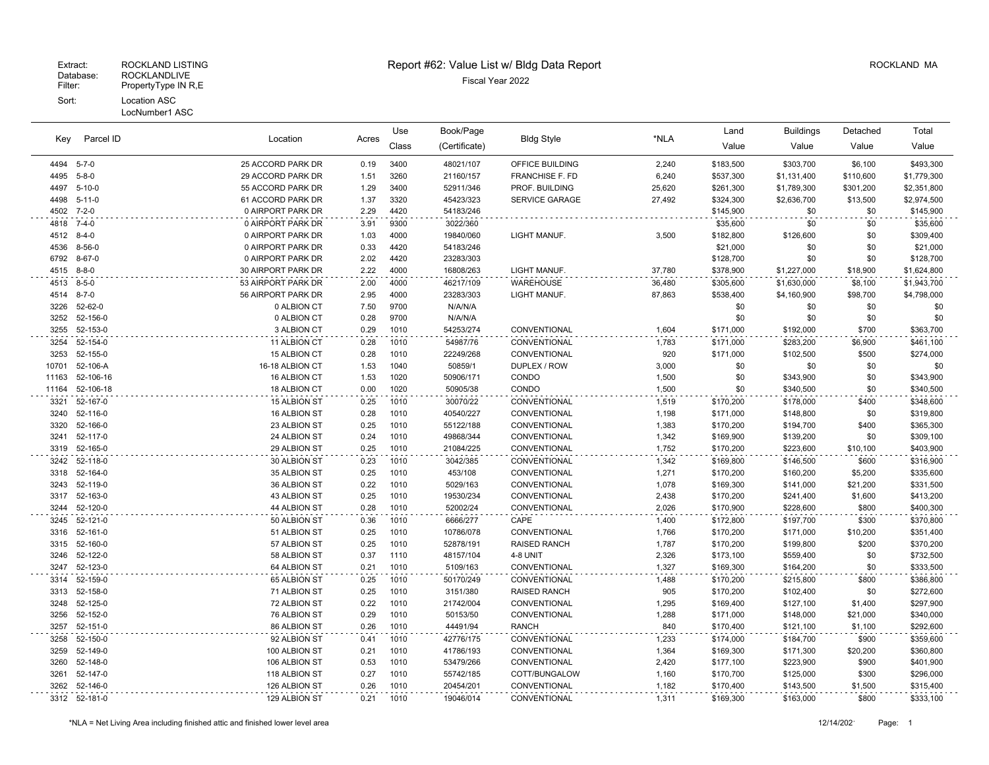## Patabase: ROCKLANDLIVE<br>Filter: PropertyType IN R,E PropertyType IN R,E Sort: Location ASC

LocNumber1 ASC

## Extract: ROCKLAND LISTING ROCKLAND MA Report #62: Value List w/ Bldg Data Report And Report Assessment ROCKLAND MA

Book/Page Land Buildings Detached

Bldg Style \*NLA

Location Acres

Use

|       |               |                    |       | ---   | boonn ago     |                        |        |           | banan iyo   | -------   |             |
|-------|---------------|--------------------|-------|-------|---------------|------------------------|--------|-----------|-------------|-----------|-------------|
| Key   | Parcel ID     | Location           | Acres | Class | (Certificate) | <b>Bldg Style</b>      | *NLA   | Value     | Value       | Value     | Value       |
|       | 4494 5-7-0    | 25 ACCORD PARK DR  | 0.19  | 3400  | 48021/107     | OFFICE BUILDING        | 2,240  | \$183,500 | \$303,700   | \$6,100   | \$493,300   |
| 4495  | $5 - 8 - 0$   | 29 ACCORD PARK DR  | 1.51  | 3260  | 21160/157     | <b>FRANCHISE F. FD</b> | 6,240  | \$537,300 | \$1,131,400 | \$110,600 | \$1,779,300 |
|       | 4497 5-10-0   | 55 ACCORD PARK DR  | 1.29  | 3400  | 52911/346     | PROF. BUILDING         | 25,620 | \$261,300 | \$1,789,300 | \$301,200 | \$2,351,800 |
|       | 4498 5-11-0   | 61 ACCORD PARK DR  | 1.37  | 3320  | 45423/323     | SERVICE GARAGE         | 27,492 | \$324,300 | \$2,636,700 | \$13,500  | \$2,974,500 |
|       | 4502 7-2-0    | 0 AIRPORT PARK DR  | 2.29  | 4420  | 54183/246     |                        |        | \$145,900 | \$0         | \$0       | \$145,900   |
|       | 4818 7-4-0    | 0 AIRPORT PARK DR  | 3.91  | 9300  | 3022/360      |                        |        | \$35,600  | \$0         | \$0       | \$35,600    |
|       | 4512 8-4-0    | 0 AIRPORT PARK DR  | 1.03  | 4000  | 19840/060     | LIGHT MANUF.           | 3,500  | \$182,800 | \$126,600   | \$0       | \$309,400   |
|       | 4536 8-56-0   | 0 AIRPORT PARK DR  | 0.33  | 4420  | 54183/246     |                        |        | \$21,000  | \$0         | \$0       | \$21,000    |
|       | 6792 8-67-0   | 0 AIRPORT PARK DR  | 2.02  | 4420  | 23283/303     |                        |        | \$128,700 | \$0         | \$0       | \$128,700   |
|       | 4515 8-8-0    | 30 AIRPORT PARK DR | 2.22  | 4000  | 16808/263     | LIGHT MANUF.           | 37,780 | \$378,900 | \$1,227,000 | \$18,900  | \$1,624,800 |
|       | 4513 8-5-0    | 53 AIRPORT PARK DR | 2.00  | 4000  | 46217/109     | <b>WAREHOUSE</b>       | 36,480 | \$305,600 | \$1,630,000 | \$8,100   | \$1,943,700 |
|       | 4514 8-7-0    | 56 AIRPORT PARK DR | 2.95  | 4000  | 23283/303     | LIGHT MANUF.           | 87,863 | \$538,400 | \$4,160,900 | \$98,700  | \$4,798,000 |
|       | 3226 52-62-0  | 0 ALBION CT        | 7.50  | 9700  | N/A/N/A       |                        |        | \$0       | \$0         | \$0       | \$0         |
|       | 3252 52-156-0 | 0 ALBION CT        | 0.28  | 9700  | N/A/N/A       |                        |        | \$0       | \$0         | \$0       | \$0         |
| 3255  | 52-153-0      | 3 ALBION CT        | 0.29  | 1010  | 54253/274     | CONVENTIONAL           | 1,604  | \$171,000 | \$192,000   | \$700     | \$363,700   |
| 3254  | 52-154-0      | 11 ALBION CT       | 0.28  | 1010  | 54987/76      | CONVENTIONAL           | 1,783  | \$171,000 | \$283,200   | \$6,900   | \$461,100   |
| 3253  | 52-155-0      | 15 ALBION CT       | 0.28  | 1010  | 22249/268     | CONVENTIONAL           | 920    | \$171,000 | \$102,500   | \$500     | \$274,000   |
| 10701 | 52-106-A      | 16-18 ALBION CT    | 1.53  | 1040  | 50859/1       | DUPLEX / ROW           | 3,000  | \$0       | \$0         | \$0       | \$0         |
| 11163 | 52-106-16     | 16 ALBION CT       | 1.53  | 1020  | 50906/171     | CONDO                  | 1,500  | \$0       | \$343,900   | \$0       | \$343,900   |
| 11164 | 52-106-18     | 18 ALBION CT       | 0.00  | 1020  | 50905/38      | CONDO                  | 1,500  | \$0       | \$340,500   | \$0       | \$340,500   |
| 3321  | 52-167-0      | 15 ALBION ST       | 0.25  | 1010  | 30070/22      | CONVENTIONAL           | 1,519  | \$170,200 | \$178,000   | \$400     | \$348,600   |
|       | 3240 52-116-0 | 16 ALBION ST       | 0.28  | 1010  | 40540/227     | CONVENTIONAL           | 1,198  | \$171,000 | \$148,800   | \$0       | \$319,800   |
| 3320  | 52-166-0      | 23 ALBION ST       | 0.25  | 1010  | 55122/188     | CONVENTIONAL           | 1,383  | \$170,200 | \$194,700   | \$400     | \$365,300   |
|       | 3241 52-117-0 | 24 ALBION ST       | 0.24  | 1010  | 49868/344     | CONVENTIONAL           | 1,342  | \$169,900 | \$139,200   | \$0       | \$309,100   |
|       | 3319 52-165-0 | 29 ALBION ST       | 0.25  | 1010  | 21084/225     | CONVENTIONAL           | 1,752  | \$170,200 | \$223,600   | \$10,100  | \$403,900   |
|       | 3242 52-118-0 | 30 ALBION ST       | 0.23  | 1010  | 3042/385      | CONVENTIONAL           | 1,342  | \$169,800 | \$146,500   | \$600     | \$316,900   |
|       | 3318 52-164-0 | 35 ALBION ST       | 0.25  | 1010  | 453/108       | CONVENTIONAL           | 1,271  | \$170,200 | \$160,200   | \$5,200   | \$335,600   |
|       | 3243 52-119-0 | 36 ALBION ST       | 0.22  | 1010  | 5029/163      | CONVENTIONAL           | 1,078  | \$169,300 | \$141,000   | \$21,200  | \$331,500   |
|       | 3317 52-163-0 | 43 ALBION ST       | 0.25  | 1010  | 19530/234     | CONVENTIONAL           | 2,438  | \$170,200 | \$241,400   | \$1,600   | \$413,200   |
| 3244  | 52-120-0      | 44 ALBION ST       | 0.28  | 1010  | 52002/24      | CONVENTIONAL           | 2,026  | \$170,900 | \$228,600   | \$800     | \$400,300   |
|       | 3245 52-121-0 | 50 ALBION ST       | 0.36  | 1010  | 6666/277      | CAPE                   | 1,400  | \$172,800 | \$197,700   | \$300     | \$370,800   |
|       | 3316 52-161-0 | 51 ALBION ST       | 0.25  | 1010  | 10786/078     | CONVENTIONAL           | 1,766  | \$170,200 | \$171,000   | \$10,200  | \$351,400   |
|       | 3315 52-160-0 | 57 ALBION ST       | 0.25  | 1010  | 52878/191     | <b>RAISED RANCH</b>    | 1,787  | \$170,200 | \$199,800   | \$200     | \$370,200   |
| 3246  | 52-122-0      | 58 ALBION ST       | 0.37  | 1110  | 48157/104     | 4-8 UNIT               | 2,326  | \$173,100 | \$559,400   | \$0       | \$732,500   |
| 3247  | 52-123-0      | 64 ALBION ST       | 0.21  | 1010  | 5109/163      | CONVENTIONAL           | 1,327  | \$169,300 | \$164,200   | \$0       | \$333,500   |
| 3314  | 52-159-0      | 65 ALBION ST       | 0.25  | 1010  | 50170/249     | CONVENTIONAL           | 1,488  | \$170,200 | \$215,800   | \$800     | \$386,800   |
|       | 3313 52-158-0 | 71 ALBION ST       | 0.25  | 1010  | 3151/380      | RAISED RANCH           | 905    | \$170,200 | \$102,400   | \$0       | \$272,600   |
|       | 3248 52-125-0 | 72 ALBION ST       | 0.22  | 1010  | 21742/004     | CONVENTIONAL           | 1,295  | \$169,400 | \$127,100   | \$1,400   | \$297,900   |
| 3256  | 52-152-0      | 76 ALBION ST       | 0.29  | 1010  | 50153/50      | CONVENTIONAL           | 1,288  | \$171,000 | \$148,000   | \$21,000  | \$340,000   |
| 3257  | 52-151-0      | 86 ALBION ST       | 0.26  | 1010  | 44491/94      | <b>RANCH</b>           | 840    | \$170,400 | \$121,100   | \$1,100   | \$292,600   |
|       | 3258 52-150-0 | 92 ALBION ST       | 0.41  | 1010  | 42776/175     | CONVENTIONAL           | 1,233  | \$174,000 | \$184,700   | \$900     | \$359,600   |

 52-149-0 100 ALBION ST 0.21 1010 41786/193 CONVENTIONAL 1,364 \$169,300 \$171,300 \$20,200 \$360,800 52-148-0 106 ALBION ST 0.53 1010 53479/266 CONVENTIONAL 2,420 \$177,100 \$223,900 \$900 \$401,900 52-147-0 118 ALBION ST 0.27 1010 55742/185 COTT/BUNGALOW 1,160 \$170,700 \$125,000 \$300 \$296,000 52-146-0 126 ALBION ST 0.26 1010 20454/201 CONVENTIONAL 1,182 \$170,400 \$143,500 \$1,500 \$315,400 52-181-0 129 ALBION ST 0.21 1010 19046/014 CONVENTIONAL 1,311 \$169,300 \$163,000 \$800 \$333,100

Total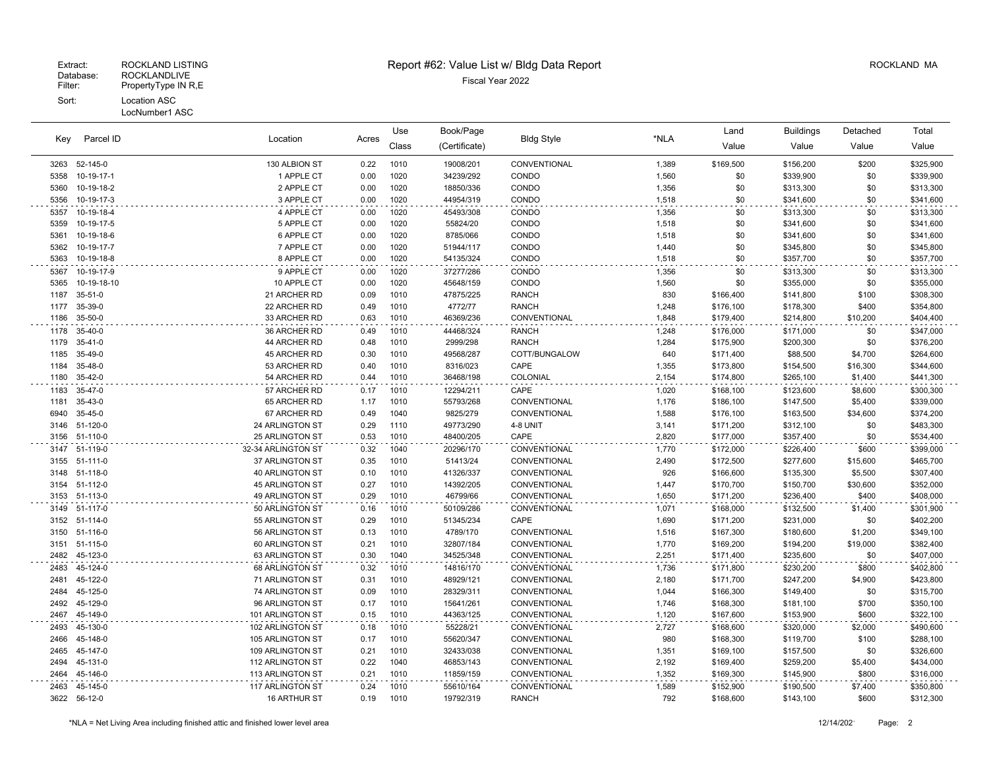## Extraordinate: EXPOCKLANDLIVE<br>Filter: PropertyType IN R,E Fiscal Year 2022 PropertyType IN R,E Sort: Location ASC LocNumber1 ASC

## Extract: ROCKLAND LISTING **Report #62: Value List w/ Bldg Data Report** Allem Report ROCKLAND MA

| Key  | Parcel ID     | Location<br>Acres      | Use  | Book/Page | <b>Bldg Style</b> |               | Land  | <b>Buildings</b> | Detached  | Total    |           |
|------|---------------|------------------------|------|-----------|-------------------|---------------|-------|------------------|-----------|----------|-----------|
|      |               |                        |      | Class     | (Certificate)     |               | *NLA  | Value            | Value     | Value    | Value     |
| 3263 | 52-145-0      | 130 ALBION ST          | 0.22 | 1010      | 19008/201         | CONVENTIONAL  | 1,389 | \$169,500        | \$156,200 | \$200    | \$325,900 |
| 5358 | 10-19-17-1    | 1 APPLE CT             | 0.00 | 1020      | 34239/292         | CONDO         | 1,560 | \$0              | \$339,900 | \$0      | \$339,900 |
| 5360 | 10-19-18-2    | 2 APPLE CT             | 0.00 | 1020      | 18850/336         | CONDO         | 1,356 | \$0              | \$313,300 | \$0      | \$313,300 |
| 5356 | 10-19-17-3    | 3 APPLE CT             | 0.00 | 1020      | 44954/319         | CONDO         | 1,518 | \$0              | \$341,600 | \$0      | \$341,600 |
| 5357 | 10-19-18-4    | 4 APPLE CT             | 0.00 | 1020      | 45493/308         | CONDO         | 1,356 | \$0              | \$313,300 | \$0      | \$313,300 |
| 5359 | 10-19-17-5    | 5 APPLE CT             | 0.00 | 1020      | 55824/20          | CONDO         | 1,518 | \$0              | \$341,600 | \$0      | \$341,600 |
| 5361 | 10-19-18-6    | 6 APPLE CT             | 0.00 | 1020      | 8785/066          | CONDO         | 1,518 | \$0              | \$341,600 | \$0      | \$341,600 |
| 5362 | 10-19-17-7    | 7 APPLE CT             | 0.00 | 1020      | 51944/117         | CONDO         | 1,440 | \$0              | \$345,800 | \$0      | \$345,800 |
| 5363 | 10-19-18-8    | 8 APPLE CT             | 0.00 | 1020      | 54135/324         | CONDO         | 1,518 | \$0              | \$357,700 | \$0      | \$357,700 |
| 5367 | 10-19-17-9    | 9 APPLE CT             | 0.00 | 1020      | 37277/286         | CONDO         | 1,356 | \$0              | \$313,300 | \$0      | \$313,300 |
| 5365 | 10-19-18-10   | 10 APPLE CT            | 0.00 | 1020      | 45648/159         | CONDO         | 1,560 | \$0              | \$355,000 | \$0      | \$355,000 |
| 1187 | $35 - 51 - 0$ | 21 ARCHER RD           | 0.09 | 1010      | 47875/225         | <b>RANCH</b>  | 830   | \$166,400        | \$141,800 | \$100    | \$308,300 |
| 1177 | 35-39-0       | 22 ARCHER RD           | 0.49 | 1010      | 4772/77           | <b>RANCH</b>  | 1,248 | \$176,100        | \$178,300 | \$400    | \$354,800 |
| 1186 | 35-50-0       | 33 ARCHER RD           | 0.63 | 1010      | 46369/236         | CONVENTIONAL  | 1,848 | \$179,400        | \$214,800 | \$10,200 | \$404,400 |
| 1178 | 35-40-0       | 36 ARCHER RD           | 0.49 | 1010      | 44468/324         | <b>RANCH</b>  | 1,248 | \$176,000        | \$171,000 | \$0      | \$347,000 |
| 1179 | $35 - 41 - 0$ | 44 ARCHER RD           | 0.48 | 1010      | 2999/298          | <b>RANCH</b>  | 1,284 | \$175,900        | \$200,300 | \$0      | \$376,200 |
| 1185 | 35-49-0       | 45 ARCHER RD           | 0.30 | 1010      | 49568/287         | COTT/BUNGALOW | 640   | \$171,400        | \$88,500  | \$4,700  | \$264,600 |
| 1184 | 35-48-0       | 53 ARCHER RD           | 0.40 | 1010      | 8316/023          | CAPE          | 1,355 | \$173,800        | \$154,500 | \$16,300 | \$344,600 |
| 1180 | 35-42-0       | 54 ARCHER RD           | 0.44 | 1010      | 36468/198         | COLONIAL      | 2,154 | \$174,800        | \$265,100 | \$1,400  | \$441,300 |
| 1183 | 35-47-0       | 57 ARCHER RD           | 0.17 | 1010      | 12294/211         | CAPE          | 1,020 | \$168,100        | \$123,600 | \$8,600  | \$300,300 |
| 1181 | 35-43-0       | 65 ARCHER RD           | 1.17 | 1010      | 55793/268         | CONVENTIONAL  | 1,176 | \$186,100        | \$147,500 | \$5,400  | \$339,000 |
| 6940 | 35-45-0       | 67 ARCHER RD           | 0.49 | 1040      | 9825/279          | CONVENTIONAL  | 1,588 | \$176,100        | \$163,500 | \$34,600 | \$374,200 |
| 3146 | 51-120-0      | 24 ARLINGTON ST        | 0.29 | 1110      | 49773/290         | 4-8 UNIT      | 3,141 | \$171,200        | \$312,100 | \$0      | \$483,300 |
| 3156 | 51-110-0      | 25 ARLINGTON ST        | 0.53 | 1010      | 48400/205         | CAPE          | 2,820 | \$177,000        | \$357,400 | \$0      | \$534,400 |
| 3147 | 51-119-0      | 32-34 ARLINGTON ST     | 0.32 | 1040      | 20296/170         | CONVENTIONAL  | 1,770 | \$172,000        | \$226,400 | \$600    | \$399,000 |
| 3155 | 51-111-0      | 37 ARLINGTON ST        | 0.35 | 1010      | 51413/24          | CONVENTIONAL  | 2,490 | \$172,500        | \$277,600 | \$15,600 | \$465,700 |
| 3148 | 51-118-0      | <b>40 ARLINGTON ST</b> | 0.10 | 1010      | 41326/337         | CONVENTIONAL  | 926   | \$166,600        | \$135,300 | \$5,500  | \$307,400 |
| 3154 | 51-112-0      | <b>45 ARLINGTON ST</b> | 0.27 | 1010      | 14392/205         | CONVENTIONAL  | 1,447 | \$170,700        | \$150,700 | \$30,600 | \$352,000 |
| 3153 | 51-113-0      | 49 ARLINGTON ST        | 0.29 | 1010      | 46799/66          | CONVENTIONAL  | 1,650 | \$171,200        | \$236,400 | \$400    | \$408,000 |
| 3149 | 51-117-0      | 50 ARLINGTON ST        | 0.16 | 1010      | 50109/286         | CONVENTIONAL  | 1,071 | \$168,000        | \$132,500 | \$1,400  | \$301,900 |
| 3152 | 51-114-0      | 55 ARLINGTON ST        | 0.29 | 1010      | 51345/234         | CAPE          | 1,690 | \$171,200        | \$231,000 | \$0      | \$402,200 |
| 3150 | 51-116-0      | 56 ARLINGTON ST        | 0.13 | 1010      | 4789/170          | CONVENTIONAL  | 1,516 | \$167,300        | \$180,600 | \$1,200  | \$349,100 |
| 3151 | 51-115-0      | 60 ARLINGTON ST        | 0.21 | 1010      | 32807/184         | CONVENTIONAL  | 1,770 | \$169,200        | \$194,200 | \$19,000 | \$382,400 |
| 2482 | 45-123-0      | 63 ARLINGTON ST        | 0.30 | 1040      | 34525/348         | CONVENTIONAL  | 2,251 | \$171,400        | \$235,600 | \$0      | \$407,000 |
| 2483 | 45-124-0      | 68 ARLINGTON ST        | 0.32 | 1010      | 14816/170         | CONVENTIONAL  | 1,736 | \$171,800        | \$230,200 | \$800    | \$402,800 |
| 2481 | 45-122-0      | 71 ARLINGTON ST        | 0.31 | 1010      | 48929/121         | CONVENTIONAL  | 2,180 | \$171,700        | \$247,200 | \$4,900  | \$423,800 |
| 2484 | 45-125-0      | 74 ARLINGTON ST        | 0.09 | 1010      | 28329/311         | CONVENTIONAL  | 1,044 | \$166,300        | \$149,400 | \$0      | \$315,700 |
| 2492 | 45-129-0      | 96 ARLINGTON ST        | 0.17 | 1010      | 15641/261         | CONVENTIONAL  | 1,746 | \$168,300        | \$181,100 | \$700    | \$350,100 |
| 2467 | 45-149-0      | 101 ARLINGTON ST       | 0.15 | 1010      | 44363/125         | CONVENTIONAL  | 1,120 | \$167,600        | \$153,900 | \$600    | \$322,100 |
| 2493 | 45-130-0      | 102 ARLINGTON ST       | 0.18 | 1010      | 55228/21          | CONVENTIONAL  | 2,727 | \$168,600        | \$320,000 | \$2,000  | \$490,600 |
| 2466 | 45-148-0      | 105 ARLINGTON ST       | 0.17 | 1010      | 55620/347         | CONVENTIONAL  | 980   | \$168,300        | \$119,700 | \$100    | \$288,100 |
| 2465 | 45-147-0      | 109 ARLINGTON ST       | 0.21 | 1010      | 32433/038         | CONVENTIONAL  | 1,351 | \$169,100        | \$157,500 | \$0      | \$326,600 |
| 2494 | 45-131-0      | 112 ARLINGTON ST       | 0.22 | 1040      | 46853/143         | CONVENTIONAL  | 2,192 | \$169,400        | \$259,200 | \$5,400  | \$434,000 |
| 2464 | 45-146-0      | 113 ARLINGTON ST       | 0.21 | 1010      | 11859/159         | CONVENTIONAL  | 1,352 | \$169,300        | \$145,900 | \$800    | \$316,000 |
| 2463 | 45-145-0      | 117 ARLINGTON ST       | 0.24 | 1010      | 55610/164         | CONVENTIONAL  | 1,589 | \$152,900        | \$190,500 | \$7,400  | \$350,800 |
|      | 3622 56-12-0  | 16 ARTHUR ST           | 0.19 | 1010      | 19792/319         | <b>RANCH</b>  | 792   | \$168,600        | \$143,100 | \$600    | \$312,300 |

\*NLA = Net Living Area including finished attic and finished lower level area 12/14/2021 Page: 2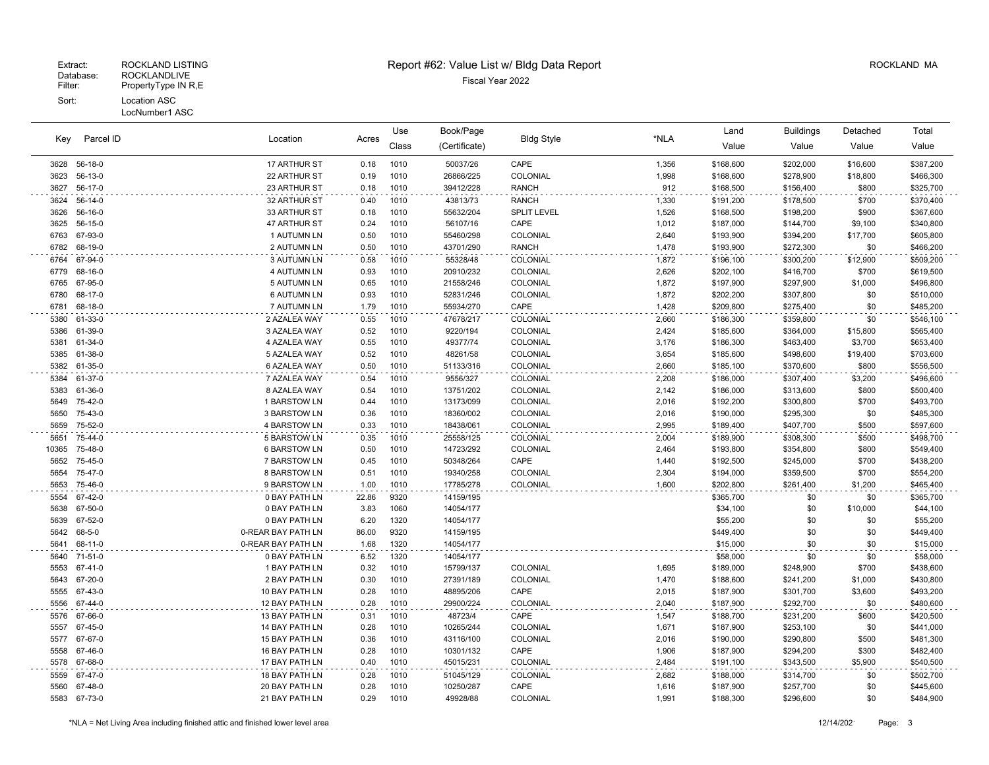LocNumber1 ASC

| Parcel ID<br>Key |                    |                              |              | Use          | Book/Page             |                      |                | Land                   | <b>Buildings</b>       | Detached         | Total                  |
|------------------|--------------------|------------------------------|--------------|--------------|-----------------------|----------------------|----------------|------------------------|------------------------|------------------|------------------------|
|                  |                    | Location                     | Acres        | Class        | (Certificate)         | <b>Bldg Style</b>    | *NLA           | Value                  | Value                  | Value            | Value                  |
|                  | 3628 56-18-0       | 17 ARTHUR ST                 | 0.18         | 1010         | 50037/26              | CAPE                 | 1,356          | \$168,600              | \$202,000              | \$16,600         | \$387,200              |
| 3623             | 56-13-0            | 22 ARTHUR ST                 | 0.19         | 1010         | 26866/225             | COLONIAL             | 1,998          | \$168,600              | \$278,900              | \$18,800         | \$466,300              |
| 3627             | 56-17-0            | 23 ARTHUR ST                 | 0.18         | 1010         | 39412/228             | <b>RANCH</b>         | 912            | \$168,500              | \$156,400              | \$800            | \$325,700              |
| 3624             | 56-14-0            | 32 ARTHUR ST                 | 0.40         | 1010         | 43813/73              | <b>RANCH</b>         | 1,330          | \$191,200              | \$178,500              | \$700            | \$370,400              |
| 3626             | 56-16-0            | 33 ARTHUR ST                 | 0.18         | 1010         | 55632/204             | <b>SPLIT LEVEL</b>   | 1,526          | \$168,500              | \$198,200              | \$900            | \$367,600              |
| 3625             | 56-15-0            | 47 ARTHUR ST                 | 0.24         | 1010         | 56107/16              | CAPE                 | 1,012          | \$187,000              | \$144,700              | \$9,100          | \$340,800              |
| 6763             | 67-93-0            | 1 AUTUMN LN                  | 0.50         | 1010         | 55460/298             | COLONIAL             | 2,640          | \$193,900              | \$394,200              | \$17,700         | \$605,800              |
| 6782             | 68-19-0            | 2 AUTUMN LN                  | 0.50         | 1010         | 43701/290             | <b>RANCH</b>         | 1,478          | \$193,900              | \$272,300              | \$0              | \$466,200              |
| 6764             | 67-94-0            | <b>3 AUTUMN LN</b>           | 0.58         | 1010         | 55328/48              | COLONIAL             | 1,872          | \$196,100              | \$300,200              | \$12,900         | \$509,200              |
| 6779             | 68-16-0            | <b>4 AUTUMN LN</b>           | 0.93         | 1010         | 20910/232             | COLONIAL             | 2,626          | \$202,100              | \$416,700              | \$700            | \$619,500              |
| 6765             | 67-95-0            | <b>5 AUTUMN LN</b>           | 0.65         | 1010         | 21558/246             | COLONIAL             | 1,872          | \$197,900              | \$297,900              | \$1,000          | \$496,800              |
| 6780             | 68-17-0            | <b>6 AUTUMN LN</b>           | 0.93         | 1010         | 52831/246             | COLONIAL             | 1,872          | \$202,200              | \$307,800              | \$0              | \$510,000              |
| 6781             | 68-18-0            | 7 AUTUMN LN                  | 1.79         | 1010         | 55934/270             | CAPE                 | 1,428          | \$209,800              | \$275,400              | \$0              | \$485,200              |
| 5380             | 61-33-0            | 2 AZALEA WAY                 | 0.55         | 1010         | 47678/217             | COLONIAL             | 2,660          | \$186,300              | \$359,800              | \$0              | \$546,100              |
| 5386             | 61-39-0            | 3 AZALEA WAY                 | 0.52         | 1010         | 9220/194              | COLONIAL             | 2,424          | \$185,600              | \$364,000              | \$15,800         | \$565,400              |
| 5381             | 61-34-0            | 4 AZALEA WAY                 | 0.55         | 1010         | 49377/74              | COLONIAL             | 3,176          | \$186,300              | \$463,400              | \$3,700          | \$653,400              |
| 5385             | 61-38-0            | 5 AZALEA WAY                 | 0.52         | 1010         | 48261/58              | COLONIAL             | 3,654          | \$185,600              | \$498,600              | \$19,400         | \$703,600              |
| 5382             | 61-35-0            | 6 AZALEA WAY                 | 0.50         | 1010         | 51133/316             | COLONIAL             | 2,660          | \$185,100              | \$370,600              | \$800            | \$556,500              |
| 5384             | 61-37-0<br>61-36-0 | 7 AZALEA WAY<br>8 AZALEA WAY | 0.54         | 1010<br>1010 | 9556/327<br>13751/202 | COLONIAL<br>COLONIAL | 2,208<br>2,142 | \$186,000              | \$307,400<br>\$313,600 | \$3,200<br>\$800 | \$496,600              |
| 5383<br>5649     | 75-42-0            | 1 BARSTOW LN                 | 0.54<br>0.44 | 1010         | 13173/099             | <b>COLONIAL</b>      | 2,016          | \$186,000<br>\$192,200 | \$300,800              | \$700            | \$500,400<br>\$493,700 |
| 5650             | 75-43-0            | 3 BARSTOW LN                 | 0.36         | 1010         | 18360/002             | <b>COLONIAL</b>      | 2,016          | \$190,000              | \$295,300              | \$0              | \$485,300              |
| 5659             | 75-52-0            | 4 BARSTOW LN                 | 0.33         | 1010         | 18438/061             | COLONIAL             | 2,995          | \$189,400              | \$407,700              | \$500            | \$597,600              |
| 5651             | 75-44-0            | <b>5 BARSTOW LN</b>          | 0.35         | 1010         | 25558/125             | <b>COLONIAL</b>      | 2,004          | \$189,900              | \$308,300              | \$500            | \$498,700              |
| 10365            | 75-48-0            | <b>6 BARSTOW LN</b>          | 0.50         | 1010         | 14723/292             | COLONIAL             | 2,464          | \$193,800              | \$354,800              | \$800            | \$549,400              |
| 5652             | 75-45-0            | <b>7 BARSTOW LN</b>          | 0.45         | 1010         | 50348/264             | CAPE                 | 1,440          | \$192,500              | \$245,000              | \$700            | \$438,200              |
| 5654             | 75-47-0            | 8 BARSTOW LN                 | 0.51         | 1010         | 19340/258             | COLONIAL             | 2,304          | \$194,000              | \$359,500              | \$700            | \$554,200              |
| 5653             | 75-46-0            | 9 BARSTOW LN                 | 1.00         | 1010         | 17785/278             | COLONIAL             | 1,600          | \$202,800              | \$261,400              | \$1,200          | \$465,400              |
| 5554             | 67-42-0            | 0 BAY PATH LN                | 22.86        | 9320         | 14159/195             |                      |                | \$365,700              | \$0                    | \$0              | \$365,700              |
| 5638             | 67-50-0            | 0 BAY PATH LN                | 3.83         | 1060         | 14054/177             |                      |                | \$34,100               | \$0                    | \$10,000         | \$44,100               |
| 5639             | 67-52-0            | 0 BAY PATH LN                | 6.20         | 1320         | 14054/177             |                      |                | \$55,200               | \$0                    | \$0              | \$55,200               |
| 5642             | 68-5-0             | 0-REAR BAY PATH LN           | 86.00        | 9320         | 14159/195             |                      |                | \$449,400              | \$0                    | \$0              | \$449,400              |
| 5641             | 68-11-0            | 0-REAR BAY PATH LN           | 1.68         | 1320         | 14054/177             |                      |                | \$15,000               | \$0                    | \$0              | \$15,000               |
| 5640             | 71-51-0            | 0 BAY PATH LN                | 6.52         | 1320         | 14054/177             |                      |                | \$58,000               | \$0                    | \$0              | \$58,000               |
| 5553             | 67-41-0            | 1 BAY PATH LN                | 0.32         | 1010         | 15799/137             | COLONIAL             | 1,695          | \$189,000              | \$248,900              | \$700            | \$438,600              |
| 5643             | 67-20-0            | 2 BAY PATH LN                | 0.30         | 1010         | 27391/189             | COLONIAL             | 1,470          | \$188,600              | \$241,200              | \$1,000          | \$430,800              |
| 5555             | 67-43-0            | 10 BAY PATH LN               | 0.28         | 1010         | 48895/206             | CAPE                 | 2,015          | \$187,900              | \$301,700              | \$3,600          | \$493,200              |
| 5556             | 67-44-0            | 12 BAY PATH LN               | 0.28         | 1010         | 29900/224             | COLONIAL             | 2,040          | \$187,900              | \$292,700              | \$0              | \$480,600              |
| 5576             | 67-66-0            | 13 BAY PATH LN               | 0.31         | 1010         | 48723/4               | CAPE                 | 1,547          | \$188,700              | \$231,200              | \$600            | \$420,500              |
| 5557             | 67-45-0            | 14 BAY PATH LN               | 0.28         | 1010         | 10265/244             | COLONIAL             | 1,671          | \$187,900              | \$253,100              | \$0              | \$441,000              |
| 5577             | 67-67-0            | 15 BAY PATH LN               | 0.36         | 1010         | 43116/100             | COLONIAL             | 2,016          | \$190,000              | \$290,800              | \$500            | \$481,300              |
| 5558             | 67-46-0            | 16 BAY PATH LN               | 0.28         | 1010         | 10301/132             | CAPE                 | 1,906          | \$187,900              | \$294,200              | \$300            | \$482,400              |
| 5578             | 67-68-0            | 17 BAY PATH LN               | 0.40         | 1010         | 45015/231             | COLONIAL             | 2,484          | \$191,100              | \$343,500              | \$5,900          | \$540,500              |
| 5559             | 67-47-0            | 18 BAY PATH LN               | 0.28         | 1010         | 51045/129             | COLONIAL             | 2,682          | \$188,000              | \$314,700              | \$0              | \$502,700              |
| 5560             | 67-48-0            | 20 BAY PATH LN               | 0.28         | 1010         | 10250/287             | CAPE                 | 1,616          | \$187,900              | \$257,700              | \$0              | \$445,600              |
| 5583             | 67-73-0            | 21 BAY PATH LN               | 0.29         | 1010         | 49928/88              | COLONIAL             | 1,991          | \$188,300              | \$296,600              | \$0              | \$484,900              |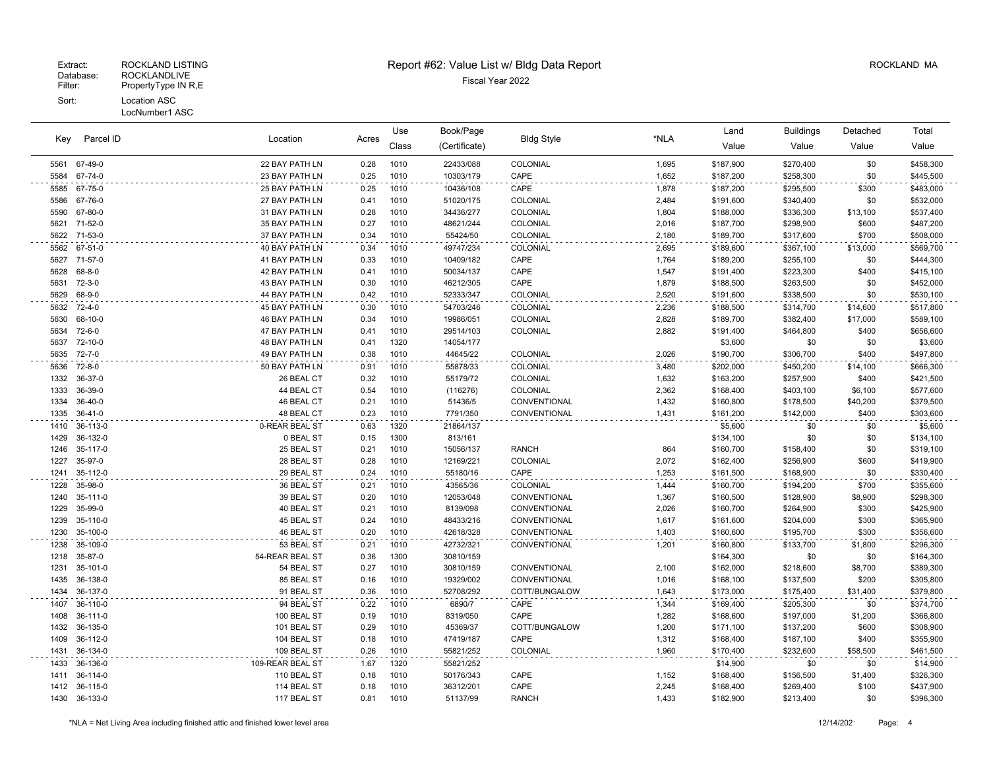| Parcel ID<br>Key |              |                  |       | Use   | Book/Page     | <b>Bldg Style</b> |       | Land      | <b>Buildings</b> | Detached | Total     |
|------------------|--------------|------------------|-------|-------|---------------|-------------------|-------|-----------|------------------|----------|-----------|
|                  |              | Location         | Acres | Class | (Certificate) |                   | *NLA  | Value     | Value            | Value    | Value     |
| 5561             | 67-49-0      | 22 BAY PATH LN   | 0.28  | 1010  | 22433/088     | COLONIAL          | 1,695 | \$187,900 | \$270,400        | \$0      | \$458,300 |
| 5584             | 67-74-0      | 23 BAY PATH LN   | 0.25  | 1010  | 10303/179     | CAPE              | 1,652 | \$187,200 | \$258,300        | \$0      | \$445,500 |
| 5585             | 67-75-0      | 25 BAY PATH LN   | 0.25  | 1010  | 10436/108     | CAPE              | 1,878 | \$187,200 | \$295,500        | \$300    | \$483,000 |
| 5586             | 67-76-0      | 27 BAY PATH LN   | 0.41  | 1010  | 51020/175     | COLONIAL          | 2,484 | \$191,600 | \$340,400        | \$0      | \$532,000 |
| 5590             | 67-80-0      | 31 BAY PATH LN   | 0.28  | 1010  | 34436/277     | COLONIAL          | 1,804 | \$188,000 | \$336,300        | \$13,100 | \$537,400 |
| 5621             | 71-52-0      | 35 BAY PATH LN   | 0.27  | 1010  | 48621/244     | COLONIAL          | 2,016 | \$187,700 | \$298,900        | \$600    | \$487,200 |
| 5622             | 71-53-0      | 37 BAY PATH LN   | 0.34  | 1010  | 55424/50      | COLONIAL          | 2,180 | \$189,700 | \$317,600        | \$700    | \$508,000 |
| 5562             | 67-51-0      | 40 BAY PATH LN   | 0.34  | 1010  | 49747/234     | <b>COLONIAL</b>   | 2,695 | \$189,600 | \$367,100        | \$13,000 | \$569,700 |
| 5627             | 71-57-0      | 41 BAY PATH LN   | 0.33  | 1010  | 10409/182     | CAPE              | 1,764 | \$189,200 | \$255,100        | \$0      | \$444,300 |
| 5628             | $68 - 8 - 0$ | 42 BAY PATH LN   | 0.41  | 1010  | 50034/137     | CAPE              | 1,547 | \$191,400 | \$223,300        | \$400    | \$415,100 |
| 5631             | $72 - 3 - 0$ | 43 BAY PATH LN   | 0.30  | 1010  | 46212/305     | CAPE              | 1,879 | \$188,500 | \$263,500        | \$0      | \$452,000 |
| 5629             | 68-9-0       | 44 BAY PATH LN   | 0.42  | 1010  | 52333/347     | COLONIAL          | 2,520 | \$191,600 | \$338,500        | \$0      | \$530,100 |
| 5632             | $72 - 4 - 0$ | 45 BAY PATH LN   | 0.30  | 1010  | 54703/246     | COLONIAL          | 2,236 | \$188,500 | \$314,700        | \$14,600 | \$517,800 |
| 5630             | 68-10-0      | 46 BAY PATH LN   | 0.34  | 1010  | 19986/051     | COLONIAL          | 2,828 | \$189,700 | \$382,400        | \$17,000 | \$589,100 |
| 5634             | 72-6-0       | 47 BAY PATH LN   | 0.41  | 1010  | 29514/103     | COLONIAL          | 2,882 | \$191,400 | \$464,800        | \$400    | \$656,600 |
| 5637             | 72-10-0      | 48 BAY PATH LN   | 0.41  | 1320  | 14054/177     |                   |       | \$3,600   | \$0              | \$0      | \$3,600   |
| 5635             | $72 - 7 - 0$ | 49 BAY PATH LN   | 0.38  | 1010  | 44645/22      | COLONIAL          | 2,026 | \$190,700 | \$306,700        | \$400    | \$497,800 |
| 5636             | 72-8-0       | 50 BAY PATH LN   | 0.91  | 1010  | 55878/33      | COLONIAL          | 3,480 | \$202,000 | \$450,200        | \$14,100 | \$666,300 |
| 1332             | 36-37-0      | 26 BEAL CT       | 0.32  | 1010  | 55179/72      | <b>COLONIAL</b>   | 1,632 | \$163,200 | \$257,900        | \$400    | \$421,500 |
| 1333             | 36-39-0      | 44 BEAL CT       | 0.54  | 1010  | (116276)      | COLONIAL          | 2,362 | \$168,400 | \$403,100        | \$6,100  | \$577,600 |
| 1334             | 36-40-0      | 46 BEAL CT       | 0.21  | 1010  | 51436/5       | CONVENTIONAL      | 1,432 | \$160,800 | \$178,500        | \$40,200 | \$379,500 |
| 1335             | 36-41-0      | 48 BEAL CT       | 0.23  | 1010  | 7791/350      | CONVENTIONAL      | 1,431 | \$161,200 | \$142,000        | \$400    | \$303,600 |
| 1410             | 36-113-0     | 0-REAR BEAL ST   | 0.63  | 1320  | 21864/137     |                   |       | \$5,600   | \$0              | \$0      | \$5,600   |
| 1429             | 36-132-0     | 0 BEAL ST        | 0.15  | 1300  | 813/161       |                   |       | \$134,100 | \$0              | \$0      | \$134,100 |
| 1246             | 35-117-0     | 25 BEAL ST       | 0.21  | 1010  | 15056/137     | <b>RANCH</b>      | 864   | \$160,700 | \$158,400        | \$0      | \$319,100 |
| 1227             | 35-97-0      | 28 BEAL ST       | 0.28  | 1010  | 12169/221     | COLONIAL          | 2,072 | \$162,400 | \$256,900        | \$600    | \$419,900 |
| 1241             | 35-112-0     | 29 BEAL ST       | 0.24  | 1010  | 55180/16      | CAPE              | 1,253 | \$161,500 | \$168,900        | \$0      | \$330,400 |
| 1228             | 35-98-0      | 36 BEAL ST       | 0.21  | 1010  | 43565/36      | COLONIAL          | 1,444 | \$160,700 | \$194,200        | \$700    | \$355,600 |
| 1240             | 35-111-0     | 39 BEAL ST       | 0.20  | 1010  | 12053/048     | CONVENTIONAL      | 1,367 | \$160,500 | \$128,900        | \$8,900  | \$298,300 |
| 1229             | 35-99-0      | 40 BEAL ST       | 0.21  | 1010  | 8139/098      | CONVENTIONAL      | 2,026 | \$160,700 | \$264,900        | \$300    | \$425,900 |
| 1239             | 35-110-0     | 45 BEAL ST       | 0.24  | 1010  | 48433/216     | CONVENTIONAL      | 1,617 | \$161,600 | \$204,000        | \$300    | \$365,900 |
| 1230             | 35-100-0     | 46 BEAL ST       | 0.20  | 1010  | 42618/328     | CONVENTIONAL      | 1,403 | \$160,600 | \$195,700        | \$300    | \$356,600 |
| 1238             | 35-109-0     | 53 BEAL ST       | 0.21  | 1010  | 42732/321     | CONVENTIONAL      | 1,201 | \$160,800 | \$133,700        | \$1,800  | \$296,300 |
| 1218             | 35-87-0      | 54-REAR BEAL ST  | 0.36  | 1300  | 30810/159     |                   |       | \$164,300 | \$0              | \$0      | \$164,300 |
| 1231             | 35-101-0     | 54 BEAL ST       | 0.27  | 1010  | 30810/159     | CONVENTIONAL      | 2,100 | \$162,000 | \$218,600        | \$8,700  | \$389,300 |
| 1435             | 36-138-0     | 85 BEAL ST       | 0.16  | 1010  | 19329/002     | CONVENTIONAL      | 1,016 | \$168,100 | \$137,500        | \$200    | \$305,800 |
| 1434             | 36-137-0     | 91 BEAL ST       | 0.36  | 1010  | 52708/292     | COTT/BUNGALOW     | 1,643 | \$173,000 | \$175,400        | \$31,400 | \$379,800 |
| 1407             | 36-110-0     | 94 BEAL ST       | 0.22  | 1010  | 6890/7        | CAPE              | 1,344 | \$169,400 | \$205,300        | \$0      | \$374,700 |
| 1408             | 36-111-0     | 100 BEAL ST      | 0.19  | 1010  | 8319/050      | CAPE              | 1,282 | \$168,600 | \$197,000        | \$1,200  | \$366,800 |
| 1432             | 36-135-0     | 101 BEAL ST      | 0.29  | 1010  | 45369/37      | COTT/BUNGALOW     | 1,200 | \$171,100 | \$137,200        | \$600    | \$308,900 |
| 1409             | 36-112-0     | 104 BEAL ST      | 0.18  | 1010  | 47419/187     | CAPE              | 1,312 | \$168,400 | \$187,100        | \$400    | \$355,900 |
| 1431             | 36-134-0     | 109 BEAL ST      | 0.26  | 1010  | 55821/252     | COLONIAL          | 1,960 | \$170,400 | \$232,600        | \$58,500 | \$461,500 |
| 1433             | 36-136-0     | 109-REAR BEAL ST | 1.67  | 1320  | 55821/252     |                   |       | \$14,900  | \$0              | \$0      | \$14,900  |
| 1411             | 36-114-0     | 110 BEAL ST      | 0.18  | 1010  | 50176/343     | CAPE              | 1,152 | \$168,400 | \$156,500        | \$1,400  | \$326,300 |
| 1412             | 36-115-0     | 114 BEAL ST      | 0.18  | 1010  | 36312/201     | CAPE              | 2,245 | \$168,400 | \$269,400        | \$100    | \$437,900 |
| 1430             | 36-133-0     | 117 BEAL ST      | 0.81  | 1010  | 51137/99      | <b>RANCH</b>      | 1,433 | \$182,900 | \$213,400        | \$0      | \$396,300 |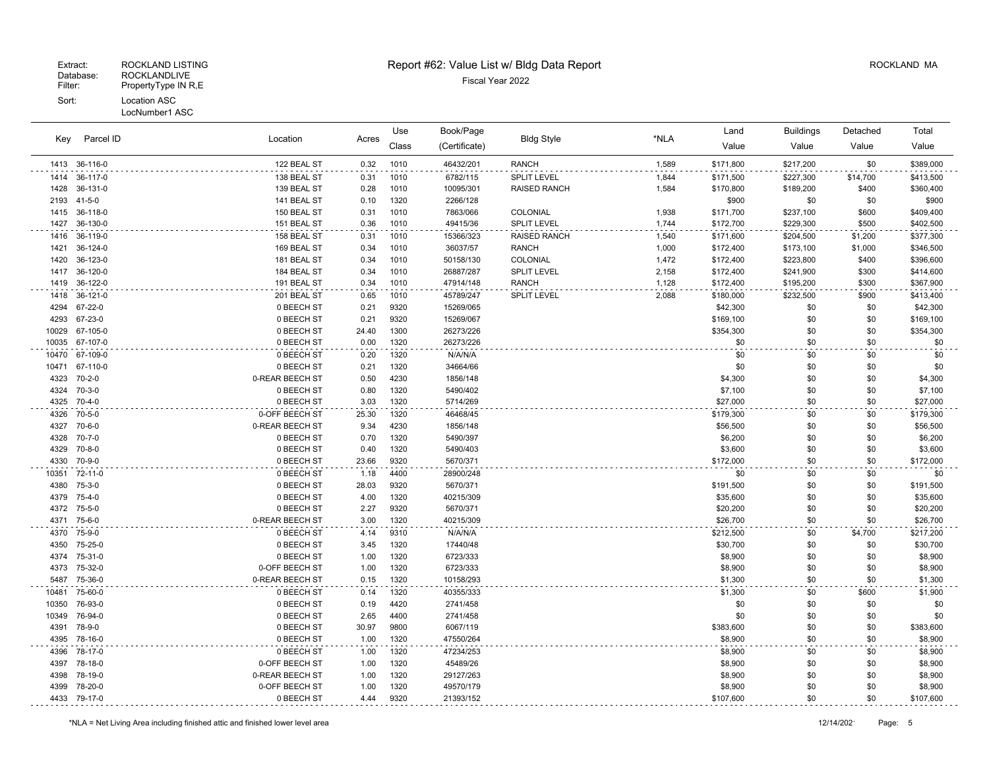## Extract: ROCKLAND LISTING **Report #62: Value List w/ Bldg Data Report** Alleman and RockLAND MA

| Parcel ID<br>Key<br>36-116-0<br>1413<br>1414<br>36-117-0<br>36-131-0<br>1428 |              |                 | Location<br>Acres | Book/Page<br>Use |               |                     | Land  | <b>Buildings</b> | Detached  | Total    |           |
|------------------------------------------------------------------------------|--------------|-----------------|-------------------|------------------|---------------|---------------------|-------|------------------|-----------|----------|-----------|
|                                                                              |              |                 |                   | Class            | (Certificate) | <b>Bldg Style</b>   | *NLA  | Value            | Value     | Value    | Value     |
|                                                                              |              | 122 BEAL ST     | 0.32              | 1010             | 46432/201     | <b>RANCH</b>        | 1,589 | \$171,800        | \$217,200 | \$0      | \$389,000 |
|                                                                              |              | 138 BEAL ST     | 0.31              | 1010             | 6782/115      | SPLIT LEVEL         | 1,844 | \$171,500        | \$227,300 | \$14,700 | \$413,500 |
|                                                                              |              | 139 BEAL ST     | 0.28              | 1010             | 10095/301     | <b>RAISED RANCH</b> | 1,584 | \$170,800        | \$189,200 | \$400    | \$360,400 |
| 2193                                                                         | $41 - 5 - 0$ | 141 BEAL ST     | 0.10              | 1320             | 2266/128      |                     |       | \$900            | \$0       | \$0      | \$900     |
| 1415                                                                         | 36-118-0     | 150 BEAL ST     | 0.31              | 1010             | 7863/066      | COLONIAL            | 1,938 | \$171,700        | \$237,100 | \$600    | \$409,400 |
| 1427                                                                         | 36-130-0     | 151 BEAL ST     | 0.36              | 1010             | 49415/36      | <b>SPLIT LEVEL</b>  | 1,744 | \$172,700        | \$229,300 | \$500    | \$402,500 |
| 1416                                                                         | 36-119-0     | 158 BEAL ST     | 0.31              | 1010             | 15366/323     | RAISED RANCH        | 1,540 | \$171,600        | \$204,500 | \$1,200  | \$377,300 |
| 1421                                                                         | 36-124-0     | 169 BEAL ST     | 0.34              | 1010             | 36037/57      | <b>RANCH</b>        | 1,000 | \$172,400        | \$173,100 | \$1,000  | \$346,500 |
| 1420                                                                         | 36-123-0     | 181 BEAL ST     | 0.34              | 1010             | 50158/130     | COLONIAL            | 1,472 | \$172,400        | \$223,800 | \$400    | \$396,600 |
| 1417                                                                         | 36-120-0     | 184 BEAL ST     | 0.34              | 1010             | 26887/287     | <b>SPLIT LEVEL</b>  | 2,158 | \$172,400        | \$241,900 | \$300    | \$414,600 |
| 1419                                                                         | 36-122-0     | 191 BEAL ST     | 0.34              | 1010             | 47914/148     | <b>RANCH</b>        | 1,128 | \$172,400        | \$195,200 | \$300    | \$367,900 |
| 1418                                                                         | 36-121-0     | 201 BEAL ST     | 0.65              | 1010             | 45789/247     | SPLIT LEVEL         | 2,088 | \$180,000        | \$232,500 | \$900    | \$413,400 |
| 4294                                                                         | 67-22-0      | 0 BEECH ST      | 0.21              | 9320             | 15269/065     |                     |       | \$42,300         | \$0       | \$0      | \$42,300  |
| 4293                                                                         | 67-23-0      | 0 BEECH ST      | 0.21              | 9320             | 15269/067     |                     |       | \$169,100        | \$0       | \$0      | \$169,100 |
| 10029                                                                        | 67-105-0     | 0 BEECH ST      | 24.40             | 1300             | 26273/226     |                     |       | \$354,300        | \$0       | \$0      | \$354,300 |
| 10035                                                                        | 67-107-0     | 0 BEECH ST      | 0.00              | 1320             | 26273/226     |                     |       | \$0              | \$0       | \$0      | \$0       |
| 10470                                                                        | 67-109-0     | 0 BEECH ST      | 0.20              | 1320             | N/A/N/A       |                     |       | \$0              | \$0       | \$0      | \$0       |
| 10471                                                                        | 67-110-0     | 0 BEECH ST      | 0.21              | 1320             | 34664/66      |                     |       | \$0              | \$0       | \$0      | \$0       |
| 4323                                                                         | $70 - 2 - 0$ | 0-REAR BEECH ST | 0.50              | 4230             | 1856/148      |                     |       | \$4,300          | \$0       | \$0      | \$4,300   |
| 4324                                                                         | $70-3-0$     | 0 BEECH ST      | 0.80              | 1320             | 5490/402      |                     |       | \$7,100          | \$0       | \$0      | \$7,100   |
| 4325                                                                         | $70 - 4 - 0$ | 0 BEECH ST      | 3.03              | 1320             | 5714/269      |                     |       | \$27,000         | \$0       | \$0      | \$27,000  |
| 4326                                                                         | 70-5-0       | 0-OFF BEECH ST  | 25.30             | 1320             | 46468/45      |                     |       | \$179,300        | \$0       | \$0      | \$179,300 |
| 4327                                                                         | $70 - 6 - 0$ | 0-REAR BEECH ST | 9.34              | 4230             | 1856/148      |                     |       | \$56,500         | \$0       | \$0      | \$56,500  |
| 4328                                                                         | $70 - 7 - 0$ | 0 BEECH ST      | 0.70              | 1320             | 5490/397      |                     |       | \$6,200          | \$0       | \$0      | \$6,200   |
| 4329                                                                         | $70 - 8 - 0$ | 0 BEECH ST      | 0.40              | 1320             | 5490/403      |                     |       | \$3,600          | \$0       | \$0      | \$3,600   |
| 4330                                                                         | 70-9-0       | 0 BEECH ST      | 23.66             | 9320             | 5670/371      |                     |       | \$172,000        | \$0       | \$0      | \$172,000 |
| 10351                                                                        | 72-11-0      | 0 BEECH ST      | 1.18              | 4400             | 28900/248     |                     |       | \$0              | \$0       | \$0      | \$0       |
| 4380                                                                         | $75-3-0$     | 0 BEECH ST      | 28.03             | 9320             | 5670/371      |                     |       | \$191,500        | \$0       | \$0      | \$191,500 |
| 4379                                                                         | $75 - 4 - 0$ | 0 BEECH ST      | 4.00              | 1320             | 40215/309     |                     |       | \$35,600         | \$0       | \$0      | \$35,600  |
| 4372                                                                         | 75-5-0       | 0 BEECH ST      | 2.27              | 9320             | 5670/371      |                     |       | \$20,200         | \$0       | \$0      | \$20,200  |
| 4371                                                                         | $75 - 6 - 0$ | 0-REAR BEECH ST | 3.00              | 1320             | 40215/309     |                     |       | \$26,700         | \$0       | \$0      | \$26,700  |
| 4370                                                                         | 75-9-0       | 0 BEECH ST      | 4.14              | 9310             | N/A/N/A       |                     |       | \$212,500        | \$0       | \$4,700  | \$217,200 |
| 4350                                                                         | 75-25-0      | 0 BEECH ST      | 3.45              | 1320             | 17440/48      |                     |       | \$30,700         | \$0       | \$0      | \$30,700  |
| 4374                                                                         | 75-31-0      | 0 BEECH ST      | 1.00              | 1320             | 6723/333      |                     |       | \$8,900          | \$0       | \$0      | \$8,900   |
| 4373                                                                         | 75-32-0      | 0-OFF BEECH ST  | 1.00              | 1320             | 6723/333      |                     |       | \$8,900          | \$0       | \$0      | \$8,900   |
| 5487                                                                         | 75-36-0      | 0-REAR BEECH ST | 0.15              | 1320             | 10158/293     |                     |       | \$1,300          | \$0       | \$0      | \$1,300   |
| 10481                                                                        | 75-60-0      | 0 BEECH ST      | 0.14              | 1320             | 40355/333     |                     |       | \$1,300          | \$0       | \$600    | \$1,900   |
| 10350                                                                        | 76-93-0      | 0 BEECH ST      | 0.19              | 4420             | 2741/458      |                     |       | \$0              | \$0       | \$0      | \$0       |
| 10349                                                                        | 76-94-0      | 0 BEECH ST      | 2.65              | 4400             | 2741/458      |                     |       | \$0              | \$0       | \$0      | \$0       |
| 4391                                                                         | 78-9-0       | 0 BEECH ST      | 30.97             | 9800             | 6067/119      |                     |       | \$383,600        | \$0       | \$0      | \$383,600 |
| 4395                                                                         | 78-16-0      | 0 BEECH ST      | 1.00              | 1320             | 47550/264     |                     |       | \$8,900          | \$0       | \$0      | \$8,900   |
| 4396                                                                         | 78-17-0      | 0 BEECH ST      | 1.00              | 1320             | 47234/253     |                     |       | \$8,900          | \$0       | \$0      | \$8,900   |
| 4397                                                                         | 78-18-0      | 0-OFF BEECH ST  | 1.00              | 1320             | 45489/26      |                     |       | \$8,900          | \$0       | \$0      | \$8,900   |
| 4398                                                                         | 78-19-0      | 0-REAR BEECH ST | 1.00              | 1320             | 29127/263     |                     |       | \$8,900          | \$0       | \$0      | \$8,900   |
| 4399                                                                         | 78-20-0      | 0-OFF BEECH ST  | 1.00              | 1320             | 49570/179     |                     |       | \$8,900          | \$0       | \$0      | \$8,900   |
|                                                                              | 4433 79-17-0 | 0 BEECH ST      | 4.44              | 9320             | 21393/152     |                     |       | \$107,600        | \$0       | \$0      | \$107,600 |
|                                                                              |              |                 |                   |                  |               |                     |       |                  |           |          |           |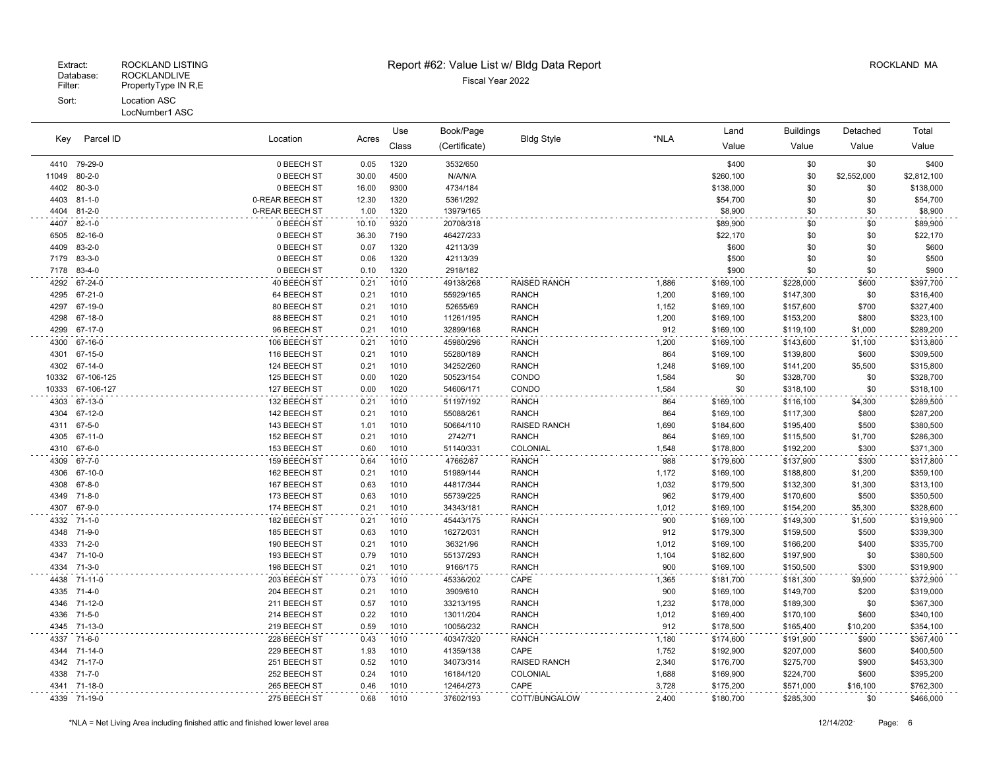#### LocNumber1 ASC

| Key          | Parcel ID               | Location<br>Acres            | Use          | Book/Page    |                        |                              | Land           | <b>Buildings</b>       | Detached               | Total              |                        |
|--------------|-------------------------|------------------------------|--------------|--------------|------------------------|------------------------------|----------------|------------------------|------------------------|--------------------|------------------------|
|              |                         |                              |              | Class        | (Certificate)          | <b>Bldg Style</b>            | *NLA           | Value                  | Value                  | Value              | Value                  |
|              | 4410 79-29-0            | 0 BEECH ST                   | 0.05         | 1320         | 3532/650               |                              |                | \$400                  | \$0                    | \$0                | \$400                  |
| 11049        | $80 - 2 - 0$            | 0 BEECH ST                   | 30.00        | 4500         | N/A/N/A                |                              |                | \$260,100              | \$0                    | \$2,552,000        | \$2,812,100            |
| 4402         | $80 - 3 - 0$            | 0 BEECH ST                   | 16.00        | 9300         | 4734/184               |                              |                | \$138,000              | \$0                    | \$0                | \$138,000              |
| 4403         | $81 - 1 - 0$            | 0-REAR BEECH ST              | 12.30        | 1320         | 5361/292               |                              |                | \$54,700               | \$0                    | \$0                | \$54,700               |
| 4404         | $81 - 2 - 0$            | 0-REAR BEECH ST              | 1.00         | 1320         | 13979/165              |                              |                | \$8,900                | \$0                    | \$0                | \$8,900                |
| 4407         | $82 - 1 - 0$            | 0 BEECH ST                   | 10.10        | 9320         | 20708/318              |                              |                | \$89,900               | \$0                    | \$0                | \$89,900               |
| 6505         | 82-16-0                 | 0 BEECH ST                   | 36.30        | 7190         | 46427/233              |                              |                | \$22,170               | \$0                    | \$0                | \$22,170               |
| 4409         | $83 - 2 - 0$            | 0 BEECH ST                   | 0.07         | 1320         | 42113/39               |                              |                | \$600                  | \$0                    | \$0                | \$600                  |
| 7179         | 83-3-0                  | 0 BEECH ST                   | 0.06         | 1320         | 42113/39               |                              |                | \$500                  | \$0                    | \$0                | \$500                  |
| 7178         | $83 - 4 - 0$            | 0 BEECH ST                   | 0.10         | 1320         | 2918/182               |                              |                | \$900                  | \$0                    | \$0                | \$900                  |
| 4292         | 67-24-0                 | 40 BEECH ST                  | 0.21         | 1010         | 49138/268              | <b>RAISED RANCH</b>          | 1,886          | \$169,100              | \$228,000              | \$600              | \$397,700              |
| 4295         | 67-21-0                 | 64 BEECH ST                  | 0.21         | 1010         | 55929/165              | <b>RANCH</b>                 | 1,200          | \$169,100              | \$147,300              | \$0                | \$316,400              |
| 4297         | 67-19-0                 | 80 BEECH ST                  | 0.21         | 1010         | 52655/69               | <b>RANCH</b>                 | 1,152          | \$169,100              | \$157,600              | \$700              | \$327,400              |
| 4298         | 67-18-0                 | 88 BEECH ST                  | 0.21         | 1010         | 11261/195              | <b>RANCH</b>                 | 1,200          | \$169,100              | \$153,200              | \$800              | \$323,100              |
| 4299         | 67-17-0                 | 96 BEECH ST                  | 0.21         | 1010         | 32899/168              | <b>RANCH</b>                 | 912            | \$169,100              | \$119,100              | \$1,000            | \$289,200              |
| 4300         | 67-16-0                 | 106 BEECH ST                 | 0.21         | 1010         | 45980/296              | <b>RANCH</b>                 | 1,200          | \$169,100              | \$143,600              | \$1,100            | \$313,800              |
| 4301         | 67-15-0                 | 116 BEECH ST                 | 0.21         | 1010         | 55280/189              | <b>RANCH</b>                 | 864            | \$169,100              | \$139,800              | \$600              | \$309,500              |
| 4302         | 67-14-0                 | 124 BEECH ST                 | 0.21         | 1010         | 34252/260              | <b>RANCH</b>                 | 1,248          | \$169,100              | \$141,200              | \$5,500            | \$315,800              |
| 10332        | 67-106-125              | 125 BEECH ST                 | 0.00         | 1020         | 50523/154              | CONDO                        | 1,584          | \$0                    | \$328,700              | \$0                | \$328,700              |
| 10333        | 67-106-127              | 127 BEECH ST                 | 0.00         | 1020         | 54606/171              | CONDO                        | 1,584          | \$0                    | \$318,100              | \$0                | \$318,100              |
| 4303         | 67-13-0                 | 132 BEECH ST                 | 0.21         | 1010         | 51197/192              | <b>RANCH</b>                 | 864            | \$169,100              | \$116,100              | \$4,300            | \$289,500              |
| 4304         | 67-12-0                 | 142 BEECH ST                 | 0.21         | 1010         | 55088/261              | <b>RANCH</b>                 | 864            | \$169,100              | \$117,300              | \$800              | \$287,200              |
| 4311         | 67-5-0                  | 143 BEECH ST                 | 1.01         | 1010         | 50664/110              | <b>RAISED RANCH</b>          | 1,690          | \$184,600              | \$195,400              | \$500              | \$380,500              |
| 4305         | 67-11-0                 | 152 BEECH ST<br>153 BEECH ST | 0.21         | 1010<br>1010 | 2742/71                | <b>RANCH</b><br>COLONIAL     | 864            | \$169,100              | \$115,500              | \$1,700            | \$286,300              |
| 4310         | 67-6-0                  |                              | 0.60         |              | 51140/331              |                              | 1,548          | \$178,800              | \$192,200              | \$300              | \$371,300              |
| 4309         | 67-7-0                  | 159 BEECH ST                 | 0.64         | 1010         | 47662/87               | <b>RANCH</b>                 | 988            | \$179,600              | \$137,900              | \$300              | \$317,800              |
| 4306<br>4308 | 67-10-0<br>$67 - 8 - 0$ | 162 BEECH ST<br>167 BEECH ST | 0.21<br>0.63 | 1010<br>1010 | 51989/144<br>44817/344 | <b>RANCH</b><br><b>RANCH</b> | 1,172<br>1,032 | \$169,100<br>\$179,500 | \$188,800<br>\$132,300 | \$1,200<br>\$1,300 | \$359,100<br>\$313,100 |
| 4349         | $71 - 8 - 0$            | 173 BEECH ST                 | 0.63         | 1010         | 55739/225              | <b>RANCH</b>                 | 962            | \$179,400              | \$170,600              | \$500              | \$350,500              |
| 4307         | 67-9-0                  | 174 BEECH ST                 | 0.21         | 1010         | 34343/181              | <b>RANCH</b>                 | 1,012          | \$169,100              | \$154,200              | \$5,300            | \$328,600              |
| 4332         | $71 - 1 - 0$            | 182 BEECH ST                 | 0.21         | 1010         | 45443/175              | <b>RANCH</b>                 | 900            | \$169,100              | \$149,300              | \$1,500            | \$319,900              |
| 4348         | 71-9-0                  | 185 BEECH ST                 | 0.63         | 1010         | 16272/031              | <b>RANCH</b>                 | 912            | \$179,300              | \$159,500              | \$500              | \$339,300              |
| 4333         | 71-2-0                  | 190 BEECH ST                 | 0.21         | 1010         | 36321/96               | <b>RANCH</b>                 | 1,012          | \$169,100              | \$166,200              | \$400              | \$335,700              |
| 4347         | 71-10-0                 | 193 BEECH ST                 | 0.79         | 1010         | 55137/293              | <b>RANCH</b>                 | 1,104          | \$182,600              | \$197,900              | \$0                | \$380,500              |
| 4334         | 71-3-0                  | 198 BEECH ST                 | 0.21         | 1010         | 9166/175               | <b>RANCH</b>                 | 900            | \$169,100              | \$150,500              | \$300              | \$319,900              |
| 4438         | 71-11-0                 | 203 BEECH ST                 | 0.73         | 1010         | 45336/202              | CAPE                         | 1,365          | \$181,700              | \$181,300              | \$9,900            | \$372,900              |
| 4335 71-4-0  |                         | 204 BEECH ST                 | 0.21         | 1010         | 3909/610               | <b>RANCH</b>                 | 900            | \$169,100              | \$149,700              | \$200              | \$319,000              |
| 4346         | 71-12-0                 | 211 BEECH ST                 | 0.57         | 1010         | 33213/195              | <b>RANCH</b>                 | 1,232          | \$178,000              | \$189,300              | \$0                | \$367,300              |
| 4336         | 71-5-0                  | 214 BEECH ST                 | 0.22         | 1010         | 13011/204              | <b>RANCH</b>                 | 1,012          | \$169,400              | \$170,100              | \$600              | \$340,100              |
| 4345         | 71-13-0                 | 219 BEECH ST                 | 0.59         | 1010         | 10056/232              | <b>RANCH</b>                 | 912            | \$178,500              | \$165,400              | \$10,200           | \$354,100              |
| 4337 71-6-0  |                         | 228 BEECH ST                 | 0.43         | 1010         | 40347/320              | <b>RANCH</b>                 | 1,180          | \$174,600              | \$191,900              | \$900              | \$367,400              |
| 4344         | 71-14-0                 | 229 BEECH ST                 | 1.93         | 1010         | 41359/138              | CAPE                         | 1,752          | \$192,900              | \$207,000              | \$600              | \$400,500              |
|              | 4342 71-17-0            | 251 BEECH ST                 | 0.52         | 1010         | 34073/314              | <b>RAISED RANCH</b>          | 2,340          | \$176,700              | \$275,700              | \$900              | \$453,300              |
| 4338         | 71-7-0                  | 252 BEECH ST                 | 0.24         | 1010         | 16184/120              | COLONIAL                     | 1,688          | \$169,900              | \$224,700              | \$600              | \$395,200              |
|              | 4341 71-18-0            | 265 BEECH ST                 | 0.46         | 1010         | 12464/273              | CAPE                         | 3,728          | \$175,200              | \$571,000              | \$16,100           | \$762,300              |
|              | 4339 71-19-0            | 275 BEECH ST                 | 0.68         | 1010         | 37602/193              | COTT/BUNGALOW                | 2,400          | \$180,700              | \$285,300              | \$0                | \$466,000              |
|              |                         |                              |              |              |                        |                              |                |                        |                        |                    |                        |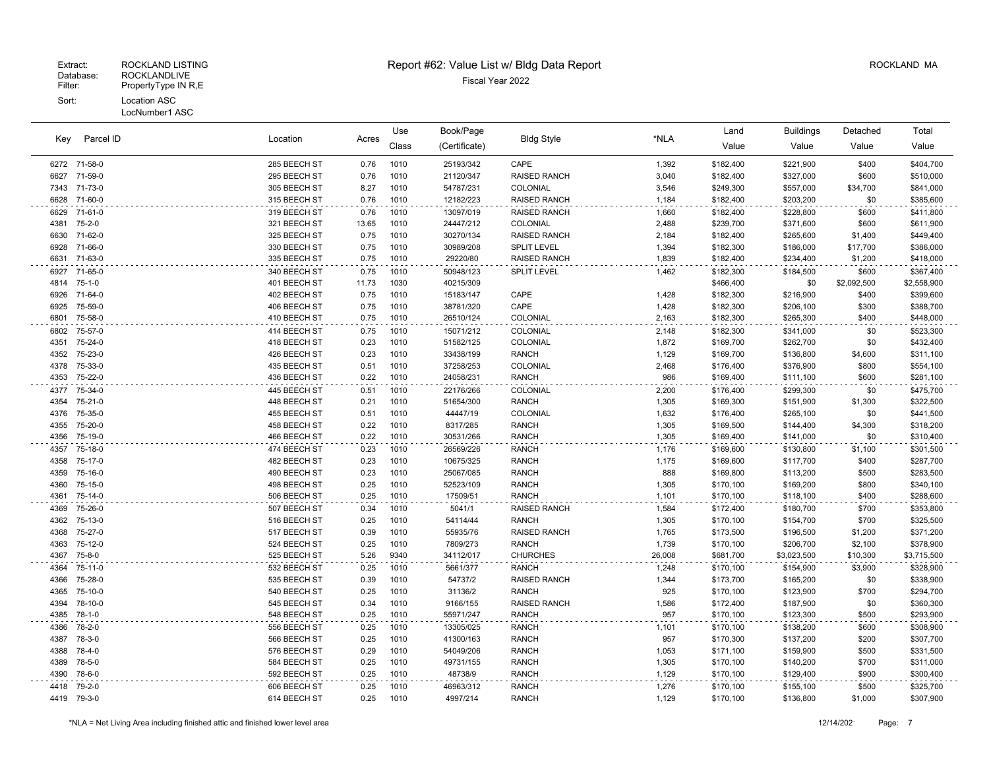|              | Parcel ID          | Use<br>Location<br>Acres     |              | Book/Page    |                        |                              | Land           | <b>Buildings</b>       | Detached               | Total          |                        |
|--------------|--------------------|------------------------------|--------------|--------------|------------------------|------------------------------|----------------|------------------------|------------------------|----------------|------------------------|
| Key          |                    |                              |              | Class        | (Certificate)          | <b>Bldg Style</b>            | *NLA           | Value                  | Value                  | Value          | Value                  |
|              | 6272 71-58-0       | 285 BEECH ST                 | 0.76         | 1010         | 25193/342              | CAPE                         | 1,392          | \$182,400              | \$221,900              | \$400          | \$404,700              |
| 6627         | 71-59-0            | 295 BEECH ST                 | 0.76         | 1010         | 21120/347              | RAISED RANCH                 | 3,040          | \$182,400              | \$327,000              | \$600          | \$510,000              |
|              | 7343 71-73-0       | 305 BEECH ST                 | 8.27         | 1010         | 54787/231              | COLONIAL                     | 3,546          | \$249,300              | \$557,000              | \$34,700       | \$841,000              |
| 6628         | 71-60-0            | 315 BEECH ST                 | 0.76         | 1010         | 12182/223              | <b>RAISED RANCH</b>          | 1,184          | \$182,400              | \$203,200              | \$0            | \$385,600              |
|              | 6629 71-61-0       | 319 BEECH ST                 | 0.76         | 1010         | 13097/019              | RAISED RANCH                 | 1,660          | \$182,400              | \$228,800              | \$600          | \$411,800              |
| 4381         | 75-2-0             | 321 BEECH ST                 | 13.65        | 1010         | 24447/212              | COLONIAL                     | 2,488          | \$239,700              | \$371,600              | \$600          | \$611,900              |
| 6630         | 71-62-0            | 325 BEECH ST                 | 0.75         | 1010         | 30270/134              | RAISED RANCH                 | 2,184          | \$182,400              | \$265,600              | \$1,400        | \$449,400              |
| 6928         | 71-66-0            | 330 BEECH ST                 | 0.75         | 1010         | 30989/208              | <b>SPLIT LEVEL</b>           | 1,394          | \$182,300              | \$186,000              | \$17,700       | \$386,000              |
|              | 6631 71-63-0       | 335 BEECH ST                 | 0.75         | 1010         | 29220/80               | RAISED RANCH                 | 1,839          | \$182,400              | \$234,400              | \$1,200        | \$418,000              |
| 6927         | 71-65-0            | 340 BEECH ST                 | 0.75         | 1010         | 50948/123              | SPLIT LEVEL                  | 1,462          | \$182,300              | \$184,500              | \$600          | \$367,400              |
|              | 4814 75-1-0        | 401 BEECH ST                 | 11.73        | 1030         | 40215/309              |                              |                | \$466,400              | \$0                    | \$2,092,500    | \$2,558,900            |
| 6926         | 71-64-0            | 402 BEECH ST                 | 0.75         | 1010         | 15183/147              | CAPE                         | 1,428          | \$182,300              | \$216,900              | \$400          | \$399,600              |
| 6925         | 75-59-0            | 406 BEECH ST                 | 0.75         | 1010         | 38781/320              | CAPE                         | 1,428          | \$182,300              | \$206,100              | \$300          | \$388,700              |
| 6801         | 75-58-0            | 410 BEECH ST                 | 0.75         | 1010         | 26510/124              | COLONIAL                     | 2,163          | \$182,300              | \$265,300              | \$400          | \$448,000              |
| 6802         | 75-57-0            | 414 BEECH ST                 | 0.75         | 1010         | 15071/212              | COLONIAL                     | 2,148          | \$182,300              | \$341,000              | \$0            | \$523,300              |
| 4351         | 75-24-0            | 418 BEECH ST                 | 0.23         | 1010         | 51582/125              | COLONIAL                     | 1,872          | \$169,700              | \$262,700              | \$0            | \$432,400              |
| 4352         | 75-23-0            | 426 BEECH ST                 | 0.23         | 1010         | 33438/199              | <b>RANCH</b>                 | 1,129          | \$169,700              | \$136,800              | \$4,600        | \$311,100              |
| 4378         | 75-33-0            | 435 BEECH ST                 | 0.51         | 1010         | 37258/253              | COLONIAL                     | 2,468          | \$176,400              | \$376,900              | \$800          | \$554,100              |
| 4353         | 75-22-0            | 436 BEECH ST                 | 0.22         | 1010         | 24058/231              | <b>RANCH</b>                 | 986            | \$169,400              | \$111,100              | \$600          | \$281,100              |
| 4377         | 75-34-0            | 445 BEECH ST                 | 0.51         | 1010         | 22176/266              | COLONIAL                     | 2,200          | \$176,400              | \$299,300              | \$0            | \$475,700              |
|              | 4354 75-21-0       | 448 BEECH ST                 | 0.21         | 1010         | 51654/300              | <b>RANCH</b>                 | 1,305          | \$169,300              | \$151,900              | \$1,300        | \$322,500              |
| 4376         | 75-35-0            | 455 BEECH ST                 | 0.51         | 1010         | 44447/19               | COLONIAL                     | 1,632          | \$176,400              | \$265,100              | \$0            | \$441,500              |
|              | 4355 75-20-0       | 458 BEECH ST                 | 0.22         | 1010         | 8317/285               | RANCH                        | 1,305          | \$169,500              | \$144,400              | \$4,300        | \$318,200              |
| 4356         | 75-19-0            | 466 BEECH ST                 | 0.22         | 1010         | 30531/266              | <b>RANCH</b>                 | 1,305          | \$169,400              | \$141,000              | \$0            | \$310,400              |
|              | 4357 75-18-0       | 474 BEECH ST                 | 0.23         | 1010         | 26569/226              | RANCH                        | 1,176          | \$169,600              | \$130,800              | \$1,100        | \$301,500              |
| 4358         | 75-17-0            | 482 BEECH ST                 | 0.23         | 1010         | 10675/325              | RANCH                        | 1,175          | \$169,600              | \$117,700              | \$400          | \$287,700              |
| 4359         | 75-16-0            | 490 BEECH ST                 | 0.23         | 1010         | 25067/085              | <b>RANCH</b>                 | 888            | \$169,800              | \$113,200              | \$500          | \$283,500              |
| 4360         | 75-15-0            | 498 BEECH ST                 | 0.25         | 1010         | 52523/109              | <b>RANCH</b>                 | 1,305          | \$170,100              | \$169,200              | \$800          | \$340,100              |
| 4361         | 75-14-0            | 506 BEECH ST                 | 0.25         | 1010         | 17509/51               | <b>RANCH</b>                 | 1,101          | \$170,100              | \$118,100              | \$400          | \$288,600              |
| 4369         | 75-26-0            | 507 BEECH ST                 | 0.34         | 1010         | 5041/1                 | RAISED RANCH                 | 1,584          | \$172,400              | \$180,700              | \$700          | \$353,800              |
| 4362         | 75-13-0            | 516 BEECH ST                 | 0.25         | 1010         | 54114/44               | <b>RANCH</b>                 | 1,305          | \$170,100              | \$154,700              | \$700          | \$325,500              |
| 4368         | 75-27-0            | 517 BEECH ST                 | 0.39         | 1010         | 55935/76               | <b>RAISED RANCH</b>          | 1,765          | \$173,500              | \$196,500              | \$1,200        | \$371,200              |
| 4363         | 75-12-0            | 524 BEECH ST                 | 0.25         | 1010         | 7809/273               | RANCH<br><b>CHURCHES</b>     | 1,739          | \$170,100              | \$206,700              | \$2,100        | \$378,900              |
| 4367         | 75-8-0             | 525 BEECH ST                 | 5.26         | 9340         | 34112/017              |                              | 26,008         | \$681,700              | \$3,023,500            | \$10,300       | \$3,715,500            |
| 4364         | 75-11-0            | 532 BEECH ST                 | 0.25         | 1010         | 5661/377               | <b>RANCH</b>                 | 1,248          | \$170,100              | \$154,900              | \$3,900        | \$328,900              |
| 4366<br>4365 | 75-28-0            | 535 BEECH ST                 | 0.39<br>0.25 | 1010         | 54737/2                | RAISED RANCH<br><b>RANCH</b> | 1,344<br>925   | \$173,700              | \$165,200              | \$0            | \$338,900              |
|              | 75-10-0<br>78-10-0 | 540 BEECH ST<br>545 BEECH ST |              | 1010         | 31136/2                | RAISED RANCH                 |                | \$170,100              | \$123,900              | \$700          | \$294,700              |
| 4394<br>4385 | 78-1-0             | 548 BEECH ST                 | 0.34<br>0.25 | 1010<br>1010 | 9166/155<br>55971/247  | <b>RANCH</b>                 | 1,586<br>957   | \$172,400<br>\$170,100 | \$187,900<br>\$123,300 | \$0<br>\$500   | \$360,300<br>\$293,900 |
|              |                    |                              |              |              |                        |                              |                |                        |                        |                |                        |
| 4386         | 78-2-0<br>78-3-0   | 556 BEECH ST                 | 0.25<br>0.25 | 1010<br>1010 | 13305/025              | <b>RANCH</b><br><b>RANCH</b> | 1,101<br>957   | \$170,100              | \$138,200              | \$600          | \$308,900              |
| 4387<br>4388 | 78-4-0             | 566 BEECH ST<br>576 BEECH ST | 0.29         | 1010         | 41300/163<br>54049/206 | <b>RANCH</b>                 | 1,053          | \$170,300<br>\$171,100 | \$137,200<br>\$159,900 | \$200<br>\$500 | \$307,700<br>\$331,500 |
| 4389         | 78-5-0             | 584 BEECH ST                 | 0.25         | 1010         | 49731/155              | <b>RANCH</b>                 | 1,305          | \$170,100              | \$140,200              | \$700          | \$311,000              |
| 4390         | 78-6-0             | 592 BEECH ST                 | 0.25         | 1010         | 48738/9                | <b>RANCH</b>                 | 1,129          | \$170,100              | \$129,400              | \$900          | \$300,400              |
|              | 4418 79-2-0        | 606 BEECH ST                 | 0.25         | 1010         | 46963/312              | RANCH                        |                | \$170,100              |                        | \$500          | \$325,700              |
|              | 4419 79-3-0        | 614 BEECH ST                 | 0.25         | 1010         | 4997/214               | <b>RANCH</b>                 | 1,276<br>1,129 | \$170,100              | \$155,100<br>\$136,800 | \$1,000        | \$307,900              |
|              |                    |                              |              |              |                        |                              |                |                        |                        |                |                        |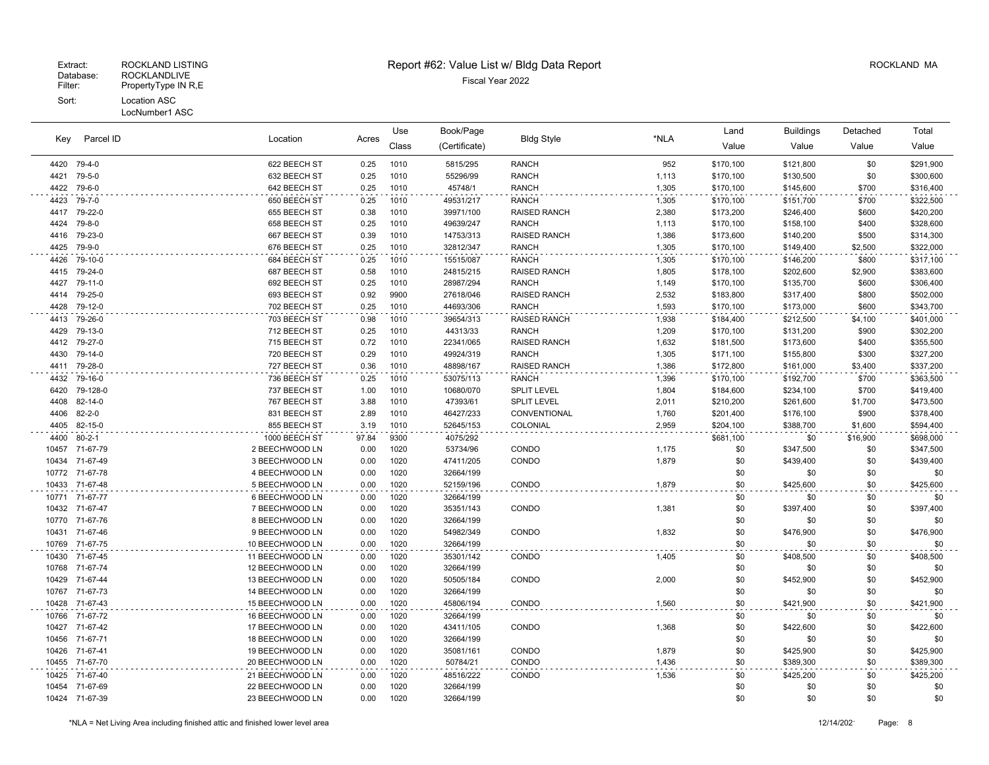| Parcel ID   |                | Location        |       | Use   | Book/Page     | <b>Bldg Style</b>   |       | Land      | <b>Buildings</b> | Detached | Total     |
|-------------|----------------|-----------------|-------|-------|---------------|---------------------|-------|-----------|------------------|----------|-----------|
| Key         |                |                 | Acres | Class | (Certificate) |                     | *NLA  | Value     | Value            | Value    | Value     |
| 4420 79-4-0 |                | 622 BEECH ST    | 0.25  | 1010  | 5815/295      | <b>RANCH</b>        | 952   | \$170,100 | \$121,800        | \$0      | \$291,900 |
| 4421        | 79-5-0         | 632 BEECH ST    | 0.25  | 1010  | 55296/99      | <b>RANCH</b>        | 1,113 | \$170,100 | \$130,500        | \$0      | \$300,600 |
| 4422        | 79-6-0         | 642 BEECH ST    | 0.25  | 1010  | 45748/1       | <b>RANCH</b>        | 1,305 | \$170,100 | \$145,600        | \$700    | \$316,400 |
| 4423        | 79-7-0         | 650 BEECH ST    | 0.25  | 1010  | 49531/217     | <b>RANCH</b>        | 1,305 | \$170,100 | \$151,700        | \$700    | \$322,500 |
| 4417        | 79-22-0        | 655 BEECH ST    | 0.38  | 1010  | 39971/100     | RAISED RANCH        | 2,380 | \$173,200 | \$246,400        | \$600    | \$420,200 |
| 4424        | 79-8-0         | 658 BEECH ST    | 0.25  | 1010  | 49639/247     | <b>RANCH</b>        | 1,113 | \$170,100 | \$158,100        | \$400    | \$328,600 |
| 4416        | 79-23-0        | 667 BEECH ST    | 0.39  | 1010  | 14753/313     | <b>RAISED RANCH</b> | 1,386 | \$173,600 | \$140,200        | \$500    | \$314,300 |
| 4425        | 79-9-0         | 676 BEECH ST    | 0.25  | 1010  | 32812/347     | <b>RANCH</b>        | 1,305 | \$170,100 | \$149,400        | \$2,500  | \$322,000 |
| 4426        | 79-10-0        | 684 BEECH ST    | 0.25  | 1010  | 15515/087     | <b>RANCH</b>        | 1,305 | \$170,100 | \$146,200        | \$800    | \$317,100 |
| 4415        | 79-24-0        | 687 BEECH ST    | 0.58  | 1010  | 24815/215     | <b>RAISED RANCH</b> | 1,805 | \$178,100 | \$202,600        | \$2,900  | \$383,600 |
| 4427        | 79-11-0        | 692 BEECH ST    | 0.25  | 1010  | 28987/294     | <b>RANCH</b>        | 1,149 | \$170,100 | \$135,700        | \$600    | \$306,400 |
| 4414        | 79-25-0        | 693 BEECH ST    | 0.92  | 9900  | 27618/046     | <b>RAISED RANCH</b> | 2,532 | \$183,800 | \$317,400        | \$800    | \$502,000 |
| 4428        | 79-12-0        | 702 BEECH ST    | 0.25  | 1010  | 44693/306     | <b>RANCH</b>        | 1,593 | \$170,100 | \$173,000        | \$600    | \$343,700 |
| 4413        | 79-26-0        | 703 BEECH ST    | 0.98  | 1010  | 39654/313     | <b>RAISED RANCH</b> | 1,938 | \$184,400 | \$212,500        | \$4,100  | \$401,000 |
| 4429        | 79-13-0        | 712 BEECH ST    | 0.25  | 1010  | 44313/33      | <b>RANCH</b>        | 1,209 | \$170,100 | \$131,200        | \$900    | \$302,200 |
| 4412        | 79-27-0        | 715 BEECH ST    | 0.72  | 1010  | 22341/065     | <b>RAISED RANCH</b> | 1,632 | \$181,500 | \$173,600        | \$400    | \$355,500 |
| 4430        | 79-14-0        | 720 BEECH ST    | 0.29  | 1010  | 49924/319     | <b>RANCH</b>        | 1,305 | \$171,100 | \$155,800        | \$300    | \$327,200 |
| 4411        | 79-28-0        | 727 BEECH ST    | 0.36  | 1010  | 48898/167     | <b>RAISED RANCH</b> | 1,386 | \$172,800 | \$161,000        | \$3,400  | \$337,200 |
| 4432        | 79-16-0        | 736 BEECH ST    | 0.25  | 1010  | 53075/113     | <b>RANCH</b>        | 1,396 | \$170,100 | \$192,700        | \$700    | \$363,500 |
| 6420        | 79-128-0       | 737 BEECH ST    | 1.00  | 1010  | 10680/070     | <b>SPLIT LEVEL</b>  | 1,804 | \$184,600 | \$234,100        | \$700    | \$419,400 |
| 4408        | 82-14-0        | 767 BEECH ST    | 3.88  | 1010  | 47393/61      | SPLIT LEVEL         | 2,011 | \$210,200 | \$261,600        | \$1,700  | \$473,500 |
| 4406        | $82 - 2 - 0$   | 831 BEECH ST    | 2.89  | 1010  | 46427/233     | CONVENTIONAL        | 1,760 | \$201,400 | \$176,100        | \$900    | \$378,400 |
| 4405        | 82-15-0        | 855 BEECH ST    | 3.19  | 1010  | 52645/153     | COLONIAL            | 2,959 | \$204,100 | \$388,700        | \$1,600  | \$594,400 |
| 4400        | $80 - 2 - 1$   | 1000 BEECH ST   | 97.84 | 9300  | 4075/292      |                     |       | \$681,100 | \$0              | \$16,900 | \$698,000 |
| 10457       | 71-67-79       | 2 BEECHWOOD LN  | 0.00  | 1020  | 53734/96      | CONDO               | 1,175 | \$0       | \$347,500        | \$0      | \$347,500 |
| 10434       | 71-67-49       | 3 BEECHWOOD LN  | 0.00  | 1020  | 47411/205     | CONDO               | 1,879 | \$0       | \$439,400        | \$0      | \$439,400 |
|             | 10772 71-67-78 | 4 BEECHWOOD LN  | 0.00  | 1020  | 32664/199     |                     |       | \$0       | \$0              | \$0      | \$0       |
| 10433       | 71-67-48       | 5 BEECHWOOD LN  | 0.00  | 1020  | 52159/196     | CONDO               | 1,879 | \$0       | \$425,600        | \$0      | \$425,600 |
| 10771       | 71-67-77       | 6 BEECHWOOD LN  | 0.00  | 1020  | 32664/199     |                     |       | \$0       | \$0              | \$0      | \$0       |
| 10432       | 71-67-47       | 7 BEECHWOOD LN  | 0.00  | 1020  | 35351/143     | CONDO               | 1,381 | \$0       | \$397,400        | \$0      | \$397,400 |
| 10770       | 71-67-76       | 8 BEECHWOOD LN  | 0.00  | 1020  | 32664/199     |                     |       | \$0       | \$0              | \$0      | \$0       |
| 10431       | 71-67-46       | 9 BEECHWOOD LN  | 0.00  | 1020  | 54982/349     | CONDO               | 1,832 | \$0       | \$476,900        | \$0      | \$476,900 |
| 10769       | 71-67-75       | 10 BEECHWOOD LN | 0.00  | 1020  | 32664/199     |                     |       | \$0       | \$0              | \$0      | \$0       |
| 10430       | 71-67-45       | 11 BEECHWOOD LN | 0.00  | 1020  | 35301/142     | CONDO               | 1,405 | \$0       | \$408,500        | \$0      | \$408,500 |
| 10768       | 71-67-74       | 12 BEECHWOOD LN | 0.00  | 1020  | 32664/199     |                     |       | \$0       | \$0              | \$0      | \$0       |
| 10429       | 71-67-44       | 13 BEECHWOOD LN | 0.00  | 1020  | 50505/184     | CONDO               | 2,000 | \$0       | \$452,900        | \$0      | \$452,900 |
| 10767       | 71-67-73       | 14 BEECHWOOD LN | 0.00  | 1020  | 32664/199     |                     |       | \$0       | \$0              | \$0      | \$0       |
| 10428       | 71-67-43       | 15 BEECHWOOD LN | 0.00  | 1020  | 45806/194     | CONDO               | 1,560 | \$0       | \$421,900        | \$0      | \$421,900 |
| 10766       | 71-67-72       | 16 BEECHWOOD LN | 0.00  | 1020  | 32664/199     |                     |       | \$0       | \$0              | \$0      | \$0       |
|             | 10427 71-67-42 | 17 BEECHWOOD LN | 0.00  | 1020  | 43411/105     | CONDO               | 1,368 | \$0       | \$422,600        | \$0      | \$422,600 |
| 10456       | 71-67-71       | 18 BEECHWOOD LN | 0.00  | 1020  | 32664/199     |                     |       | \$0       | \$0              | \$0      | \$0       |
| 10426       | 71-67-41       | 19 BEECHWOOD LN | 0.00  | 1020  | 35081/161     | CONDO               | 1,879 | \$0       | \$425,900        | \$0      | \$425,900 |
| 10455       | 71-67-70       | 20 BEECHWOOD LN | 0.00  | 1020  | 50784/21      | CONDO               | 1,436 | \$0       | \$389,300        | \$0      | \$389,300 |
| 10425       | 71-67-40       | 21 BEECHWOOD LN | 0.00  | 1020  | 48516/222     | CONDO               | 1,536 | \$0       | \$425,200        | \$0      | \$425,200 |
| 10454       | 71-67-69       | 22 BEECHWOOD LN | 0.00  | 1020  | 32664/199     |                     |       | \$0       | \$0              | \$0      | \$0       |
|             | 10424 71-67-39 | 23 BEECHWOOD LN | 0.00  | 1020  | 32664/199     |                     |       | \$0       | \$0              | \$0      | \$0       |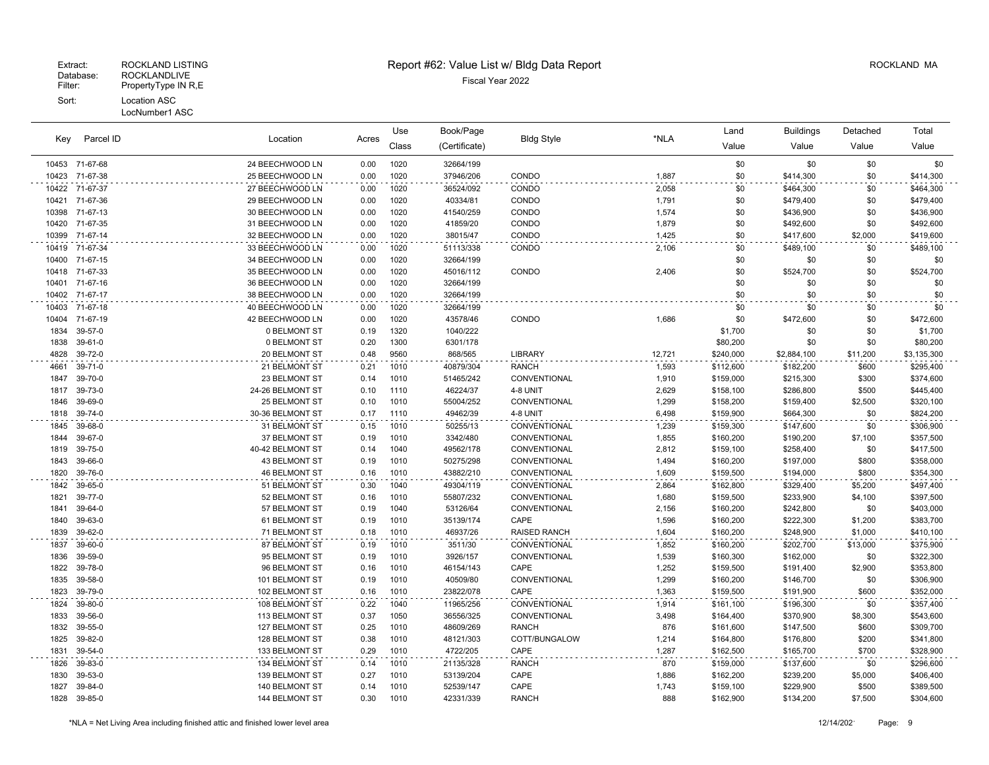#### Patabase: ROCKLANDLIVE<br>Filter: PropertyType IN R,E PropertyType IN R,E Sort: Location ASC LocNumber1 ASC

# Extract: ROCKLAND LISTING ROCKLAND MA Report #62: Value List w/ Bldg Data Report And Report Assessment ROCKLAND MA

Use

| Key   | Parcel ID      | Location             | Acres | Use<br>Class | Book/Page<br>(Certificate) | <b>Bldg Style</b>   | *NLA   | Land<br>Value | <b>Buildings</b><br>Value | Detached<br>Value | Total<br>Value |
|-------|----------------|----------------------|-------|--------------|----------------------------|---------------------|--------|---------------|---------------------------|-------------------|----------------|
|       | 10453 71-67-68 | 24 BEECHWOOD LN      | 0.00  | 1020         | 32664/199                  |                     |        | \$0           | \$0                       | \$0               | \$0            |
|       | 10423 71-67-38 | 25 BEECHWOOD LN      | 0.00  | 1020         | 37946/206                  | CONDO               | 1,887  | \$0           | \$414,300                 | \$0               | \$414,300      |
|       | 10422 71-67-37 | 27 BEECHWOOD LN      | 0.00  | 1020         | 36524/092                  | CONDO               | 2,058  | \$0           | \$464,300                 | \$0               | \$464,300      |
| 10421 | 71-67-36       | 29 BEECHWOOD LN      | 0.00  | 1020         | 40334/81                   | CONDO               | 1,791  | \$0           | \$479,400                 | \$0               | \$479,400      |
|       | 10398 71-67-13 | 30 BEECHWOOD LN      | 0.00  | 1020         | 41540/259                  | CONDO               | 1,574  | \$0           | \$436,900                 | \$0               | \$436,900      |
| 10420 | 71-67-35       | 31 BEECHWOOD LN      | 0.00  | 1020         | 41859/20                   | CONDO               | 1,879  | \$0           | \$492,600                 | \$0               | \$492,600      |
| 10399 | 71-67-14       | 32 BEECHWOOD LN      | 0.00  | 1020         | 38015/47                   | CONDO               | 1,425  | \$0           | \$417,600                 | \$2,000           | \$419,600      |
|       | 10419 71-67-34 | 33 BEECHWOOD LN      | 0.00  | 1020         | 51113/338                  | <b>CONDO</b>        | 2,106  | \$0           | \$489,100                 | \$0               | \$489,100      |
|       | 10400 71-67-15 | 34 BEECHWOOD LN      | 0.00  | 1020         | 32664/199                  |                     |        | \$0           | \$0                       | \$0               | \$0            |
|       | 10418 71-67-33 | 35 BEECHWOOD LN      | 0.00  | 1020         | 45016/112                  | CONDO               | 2,406  | \$0           | \$524,700                 | \$0               | \$524,700      |
| 10401 | 71-67-16       | 36 BEECHWOOD LN      | 0.00  | 1020         | 32664/199                  |                     |        | \$0           | \$0                       | \$0               | \$0            |
|       | 10402 71-67-17 | 38 BEECHWOOD LN      | 0.00  | 1020         | 32664/199                  |                     |        | \$0           | \$0                       | \$0               | \$0            |
|       | 10403 71-67-18 | 40 BEECHWOOD LN      | 0.00  | 1020         | 32664/199                  |                     |        | \$0           | \$0                       | \$0               | \$0            |
|       | 10404 71-67-19 | 42 BEECHWOOD LN      | 0.00  | 1020         | 43578/46                   | CONDO               | 1,686  | \$0           | \$472,600                 | \$0               | \$472,600      |
| 1834  | 39-57-0        | 0 BELMONT ST         | 0.19  | 1320         | 1040/222                   |                     |        | \$1,700       | \$0                       | \$0               | \$1,700        |
| 1838  | 39-61-0        | 0 BELMONT ST         | 0.20  | 1300         | 6301/178                   |                     |        | \$80,200      | \$0                       | \$0               | \$80,200       |
| 4828  | 39-72-0        | 20 BELMONT ST        | 0.48  | 9560         | 868/565                    | <b>LIBRARY</b>      | 12,721 | \$240,000     | \$2,884,100               | \$11,200          | \$3,135,300    |
| 4661  | 39-71-0        | 21 BELMONT ST        | 0.21  | 1010         | 40879/304                  | <b>RANCH</b>        | 1,593  | \$112,600     | \$182,200                 | \$600             | \$295,400      |
| 1847  | 39-70-0        | 23 BELMONT ST        | 0.14  | 1010         | 51465/242                  | <b>CONVENTIONAL</b> | 1,910  | \$159,000     | \$215,300                 | \$300             | \$374,600      |
| 1817  | 39-73-0        | 24-26 BELMONT ST     | 0.10  | 1110         | 46224/37                   | 4-8 UNIT            | 2,629  | \$158,100     | \$286,800                 | \$500             | \$445,400      |
| 1846  | 39-69-0        | 25 BELMONT ST        | 0.10  | 1010         | 55004/252                  | CONVENTIONAL        | 1,299  | \$158,200     | \$159,400                 | \$2,500           | \$320,100      |
| 1818  | 39-74-0        | 30-36 BELMONT ST     | 0.17  | 1110         | 49462/39                   | 4-8 UNIT            | 6,498  | \$159,900     | \$664,300                 | \$0               | \$824,200      |
| 1845  | 39-68-0        | 31 BELMONT ST        | 0.15  | 1010         | 50255/13                   | CONVENTIONAL        | 1,239  | \$159,300     | \$147,600                 | \$0               | \$306,900      |
| 1844  | 39-67-0        | 37 BELMONT ST        | 0.19  | 1010         | 3342/480                   | CONVENTIONAL        | 1,855  | \$160,200     | \$190,200                 | \$7,100           | \$357,500      |
| 1819  | 39-75-0        | 40-42 BELMONT ST     | 0.14  | 1040         | 49562/178                  | CONVENTIONAL        | 2,812  | \$159,100     | \$258,400                 | \$0               | \$417,500      |
| 1843  | 39-66-0        | 43 BELMONT ST        | 0.19  | 1010         | 50275/298                  | CONVENTIONAL        | 1,494  | \$160,200     | \$197,000                 | \$800             | \$358,000      |
| 1820  | 39-76-0        | <b>46 BELMONT ST</b> | 0.16  | 1010         | 43882/210                  | CONVENTIONAL        | 1,609  | \$159,500     | \$194,000                 | \$800             | \$354,300      |
| 1842  | 39-65-0        | 51 BELMONT ST        | 0.30  | 1040         | 49304/119                  | CONVENTIONAL        | 2,864  | \$162,800     | \$329,400                 | \$5,200           | \$497,400      |
| 1821  | 39-77-0        | 52 BELMONT ST        | 0.16  | 1010         | 55807/232                  | <b>CONVENTIONAL</b> | 1,680  | \$159,500     | \$233,900                 | \$4,100           | \$397,500      |
| 1841  | 39-64-0        | 57 BELMONT ST        | 0.19  | 1040         | 53126/64                   | CONVENTIONAL        | 2,156  | \$160,200     | \$242,800                 | \$0               | \$403,000      |
| 1840  | 39-63-0        | 61 BELMONT ST        | 0.19  | 1010         | 35139/174                  | CAPE                | 1,596  | \$160,200     | \$222,300                 | \$1,200           | \$383,700      |
| 1839  | 39-62-0        | 71 BELMONT ST        | 0.18  | 1010         | 46937/26                   | <b>RAISED RANCH</b> | 1,604  | \$160,200     | \$248,900                 | \$1,000           | \$410,100      |
| 1837  | 39-60-0        | 87 BELMONT ST        | 0.19  | 1010         | 3511/30                    | CONVENTIONAL        | 1,852  | \$160,200     | \$202,700                 | \$13,000          | \$375,900      |
| 1836  | 39-59-0        | 95 BELMONT ST        | 0.19  | 1010         | 3926/157                   | CONVENTIONAL        | 1,539  | \$160,300     | \$162,000                 | \$0               | \$322,300      |
| 1822  | 39-78-0        | 96 BELMONT ST        | 0.16  | 1010         | 46154/143                  | CAPE                | 1,252  | \$159,500     | \$191,400                 | \$2,900           | \$353,800      |
| 1835  | 39-58-0        | 101 BELMONT ST       | 0.19  | 1010         | 40509/80                   | CONVENTIONAL        | 1,299  | \$160,200     | \$146,700                 | \$0               | \$306,900      |
| 1823  | 39-79-0        | 102 BELMONT ST       | 0.16  | 1010         | 23822/078                  | CAPE                | 1,363  | \$159,500     | \$191,900                 | \$600             | \$352,000      |
| 1824  | 39-80-0        | 108 BELMONT ST       | 0.22  | 1040         | 11965/256                  | CONVENTIONAL        | 1,914  | \$161,100     | \$196,300                 | \$0               | \$357,400      |
| 1833  | 39-56-0        | 113 BELMONT ST       | 0.37  | 1050         | 36556/325                  | CONVENTIONAL        | 3,498  | \$164,400     | \$370,900                 | \$8,300           | \$543,600      |
|       | 1832 39-55-0   | 127 BELMONT ST       | 0.25  | 1010         | 48609/269                  | <b>RANCH</b>        | 876    | \$161,600     | \$147,500                 | \$600             | \$309,700      |
|       |                |                      |       |              |                            |                     |        |               |                           |                   |                |

 39-55-0 127 BELMONT ST 0.25 1010 48609/269 RANCH 876 \$161,600 \$147,500 \$600 \$309,700 39-82-0 128 BELMONT ST 0.38 1010 48121/303 COTT/BUNGALOW 1,214 \$164,800 \$176,800 \$200 \$341,800 39-54-0 133 BELMONT ST 0.29 1010 4722/205 CAPE 1,287 \$162,500 \$165,700 \$700 \$328,900 39-83-0 134 BELMONT ST 0.14 1010 21135/328 RANCH 870 \$159,000 \$137,600 \$0 \$296,600 39-53-0 139 BELMONT ST 0.27 1010 53139/204 CAPE 1,886 \$162,200 \$239,200 \$5,000 \$406,400 39-84-0 140 BELMONT ST 0.14 1010 52539/147 CAPE 1,743 \$159,100 \$229,900 \$500 \$389,500 39-85-0 144 BELMONT ST 0.30 1010 42331/339 RANCH 888 \$162,900 \$134,200 \$7,500 \$304,600

Total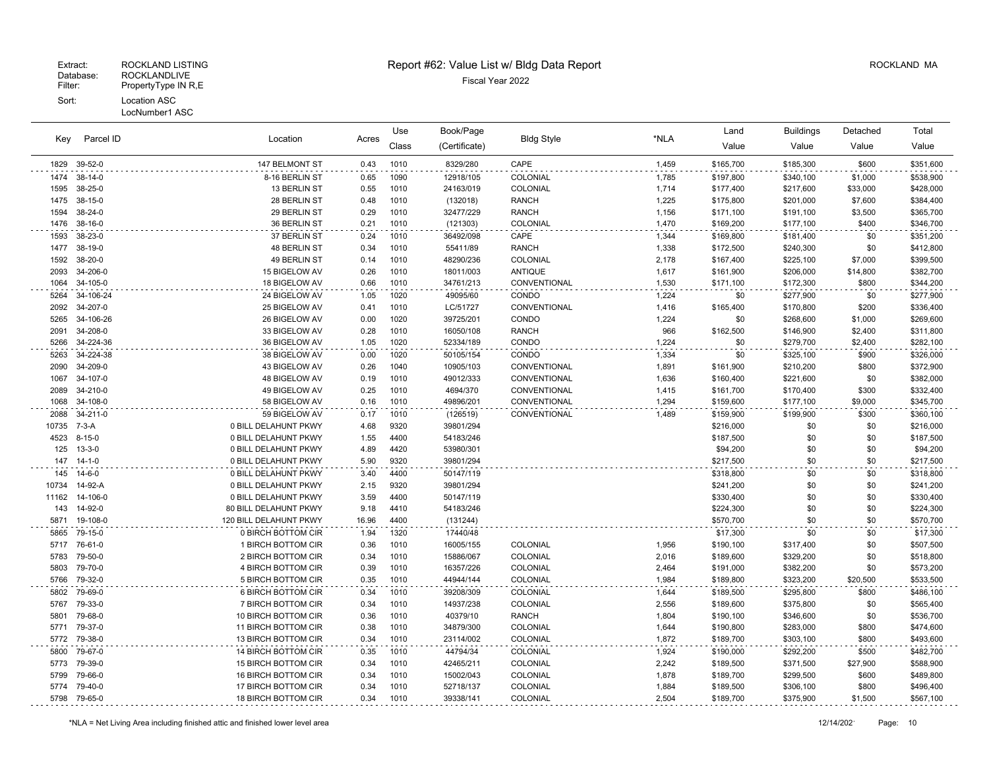| Key   | Parcel ID    |                            |       | Use   | Book/Page     |                   |       | Land      | Buildings | Detached | Total     |
|-------|--------------|----------------------------|-------|-------|---------------|-------------------|-------|-----------|-----------|----------|-----------|
|       |              | Location                   | Acres | Class | (Certificate) | <b>Bldg Style</b> | *NLA  | Value     | Value     | Value    | Value     |
| 1829  | 39-52-0      | 147 BELMONT ST             | 0.43  | 1010  | 8329/280      | CAPE              | 1,459 | \$165,700 | \$185,300 | \$600    | \$351,600 |
| 1474  | 38-14-0      | 8-16 BERLIN ST             | 0.65  | 1090  | 12918/105     | COLONIAL          | 1,785 | \$197,800 | \$340,100 | \$1,000  | \$538,900 |
| 1595  | 38-25-0      | 13 BERLIN ST               | 0.55  | 1010  | 24163/019     | COLONIAL          | 1,714 | \$177,400 | \$217,600 | \$33,000 | \$428,000 |
| 1475  | 38-15-0      | 28 BERLIN ST               | 0.48  | 1010  | (132018)      | <b>RANCH</b>      | 1,225 | \$175,800 | \$201,000 | \$7,600  | \$384,400 |
| 1594  | 38-24-0      | 29 BERLIN ST               | 0.29  | 1010  | 32477/229     | <b>RANCH</b>      | 1,156 | \$171,100 | \$191,100 | \$3,500  | \$365,700 |
| 1476  | 38-16-0      | 36 BERLIN ST               | 0.21  | 1010  | (121303)      | COLONIAL          | 1,470 | \$169,200 | \$177,100 | \$400    | \$346,700 |
| 1593  | 38-23-0      | 37 BERLIN ST               | 0.24  | 1010  | 36492/098     | CAPE              | 1,344 | \$169,800 | \$181,400 | \$0      | \$351,200 |
| 1477  | 38-19-0      | 48 BERLIN ST               | 0.34  | 1010  | 55411/89      | <b>RANCH</b>      | 1,338 | \$172,500 | \$240,300 | \$0      | \$412,800 |
| 1592  | 38-20-0      | 49 BERLIN ST               | 0.14  | 1010  | 48290/236     | COLONIAL          | 2,178 | \$167,400 | \$225,100 | \$7,000  | \$399,500 |
| 2093  | 34-206-0     | 15 BIGELOW AV              | 0.26  | 1010  | 18011/003     | <b>ANTIQUE</b>    | 1,617 | \$161,900 | \$206,000 | \$14,800 | \$382,700 |
| 1064  | 34-105-0     | 18 BIGELOW AV              | 0.66  | 1010  | 34761/213     | CONVENTIONAL      | 1,530 | \$171,100 | \$172,300 | \$800    | \$344,200 |
| 5264  | 34-106-24    | 24 BIGELOW AV              | 1.05  | 1020  | 49095/60      | CONDO             | 1,224 | \$0       | \$277,900 | \$0      | \$277,900 |
| 2092  | 34-207-0     | 25 BIGELOW AV              | 0.41  | 1010  | LC/51727      | CONVENTIONAL      | 1,416 | \$165,400 | \$170,800 | \$200    | \$336,400 |
| 5265  | 34-106-26    | 26 BIGELOW AV              | 0.00  | 1020  | 39725/201     | CONDO             | 1,224 | \$0       | \$268,600 | \$1,000  | \$269,600 |
| 2091  | 34-208-0     | 33 BIGELOW AV              | 0.28  | 1010  | 16050/108     | <b>RANCH</b>      | 966   | \$162,500 | \$146,900 | \$2,400  | \$311,800 |
| 5266  | 34-224-36    | 36 BIGELOW AV              | 1.05  | 1020  | 52334/189     | CONDO             | 1,224 | \$0       | \$279,700 | \$2,400  | \$282,100 |
| 5263  | 34-224-38    | 38 BIGELOW AV              | 0.00  | 1020  | 50105/154     | CONDO             | 1,334 | \$0       | \$325,100 | \$900    | \$326,000 |
| 2090  | 34-209-0     | 43 BIGELOW AV              | 0.26  | 1040  | 10905/103     | CONVENTIONAL      | 1,891 | \$161,900 | \$210,200 | \$800    | \$372,900 |
| 1067  | 34-107-0     | 48 BIGELOW AV              | 0.19  | 1010  | 49012/333     | CONVENTIONAL      | 1,636 | \$160,400 | \$221,600 | \$0      | \$382,000 |
| 2089  | 34-210-0     | 49 BIGELOW AV              | 0.25  | 1010  | 4694/370      | CONVENTIONAL      | 1,415 | \$161,700 | \$170,400 | \$300    | \$332,400 |
| 1068  | 34-108-0     | 58 BIGELOW AV              | 0.16  | 1010  | 49896/201     | CONVENTIONAL      | 1,294 | \$159,600 | \$177,100 | \$9,000  | \$345,700 |
| 2088  | 34-211-0     | 59 BIGELOW AV              | 0.17  | 1010  | (126519)      | CONVENTIONAL      | 1,489 | \$159,900 | \$199,900 | \$300    | \$360,100 |
| 10735 | 7-3-A        | 0 BILL DELAHUNT PKWY       | 4.68  | 9320  | 39801/294     |                   |       | \$216,000 | \$0       | \$0      | \$216,000 |
| 4523  | $8 - 15 - 0$ | 0 BILL DELAHUNT PKWY       | 1.55  | 4400  | 54183/246     |                   |       | \$187,500 | \$0       | \$0      | \$187,500 |
| 125   | $13 - 3 - 0$ | 0 BILL DELAHUNT PKWY       | 4.89  | 4420  | 53980/301     |                   |       | \$94,200  | \$0       | \$0      | \$94,200  |
| 147   | 14-1-0       | 0 BILL DELAHUNT PKWY       | 5.90  | 9320  | 39801/294     |                   |       | \$217,500 | \$0       | \$0      | \$217,500 |
| 145   | 14-6-0       | 0 BILL DELAHUNT PKWY       | 3.40  | 4400  | 50147/119     |                   |       | \$318,800 | \$0       | \$0      | \$318,800 |
| 10734 | 14-92-A      | 0 BILL DELAHUNT PKWY       | 2.15  | 9320  | 39801/294     |                   |       | \$241,200 | \$0       | \$0      | \$241,200 |
| 11162 | 14-106-0     | 0 BILL DELAHUNT PKWY       | 3.59  | 4400  | 50147/119     |                   |       | \$330,400 | \$0       | \$0      | \$330,400 |
| 143   | 14-92-0      | 80 BILL DELAHUNT PKWY      | 9.18  | 4410  | 54183/246     |                   |       | \$224,300 | \$0       | \$0      | \$224,300 |
| 5871  | 19-108-0     | 120 BILL DELAHUNT PKWY     | 16.96 | 4400  | (131244)      |                   |       | \$570,700 | \$0       | \$0      | \$570,700 |
| 5865  | 79-15-0      | 0 BIRCH BOTTOM CIR         | 1.94  | 1320  | 17440/48      |                   |       | \$17,300  | \$0       | \$0      | \$17,300  |
| 5717  | 76-61-0      | 1 BIRCH BOTTOM CIR         | 0.36  | 1010  | 16005/155     | COLONIAL          | 1,956 | \$190,100 | \$317,400 | \$0      | \$507,500 |
| 5783  | 79-50-0      | 2 BIRCH BOTTOM CIR         | 0.34  | 1010  | 15886/067     | COLONIAL          | 2,016 | \$189,600 | \$329,200 | \$0      | \$518,800 |
| 5803  | 79-70-0      | <b>4 BIRCH BOTTOM CIR</b>  | 0.39  | 1010  | 16357/226     | COLONIAL          | 2,464 | \$191,000 | \$382,200 | \$0      | \$573,200 |
| 5766  | 79-32-0      | 5 BIRCH BOTTOM CIR         | 0.35  | 1010  | 44944/144     | COLONIAL          | 1,984 | \$189,800 | \$323,200 | \$20,500 | \$533,500 |
| 5802  | 79-69-0      | 6 BIRCH BOTTOM CIR         | 0.34  | 1010  | 39208/309     | COLONIAL          | 1,644 | \$189,500 | \$295,800 | \$800    | \$486,100 |
| 5767  | 79-33-0      | 7 BIRCH BOTTOM CIR         | 0.34  | 1010  | 14937/238     | COLONIAL          | 2,556 | \$189,600 | \$375,800 | \$0      | \$565,400 |
| 5801  | 79-68-0      | 10 BIRCH BOTTOM CIR        | 0.36  | 1010  | 40379/10      | <b>RANCH</b>      | 1,804 | \$190,100 | \$346,600 | \$0      | \$536,700 |
| 5771  | 79-37-0      | 11 BIRCH BOTTOM CIR        | 0.38  | 1010  | 34879/300     | COLONIAL          | 1,644 | \$190,800 | \$283,000 | \$800    | \$474,600 |
| 5772  | 79-38-0      | 13 BIRCH BOTTOM CIR        | 0.34  | 1010  | 23114/002     | COLONIAL          | 1,872 | \$189,700 | \$303,100 | \$800    | \$493,600 |
| 5800  | 79-67-0      | 14 BIRCH BOTTOM CIR        | 0.35  | 1010  | 44794/34      | COLONIAL          | 1,924 | \$190,000 | \$292,200 | \$500    | \$482,700 |
| 5773  | 79-39-0      | 15 BIRCH BOTTOM CIR        | 0.34  | 1010  | 42465/211     | COLONIAL          | 2,242 | \$189,500 | \$371,500 | \$27,900 | \$588,900 |
| 5799  | 79-66-0      | 16 BIRCH BOTTOM CIR        | 0.34  | 1010  | 15002/043     | COLONIAL          | 1,878 | \$189,700 | \$299,500 | \$600    | \$489,800 |
| 5774  | 79-40-0      | 17 BIRCH BOTTOM CIR        | 0.34  | 1010  | 52718/137     | COLONIAL          | 1,884 | \$189,500 | \$306,100 | \$800    | \$496,400 |
| 5798  | 79-65-0      | <b>18 BIRCH BOTTOM CIR</b> | 0.34  | 1010  | 39338/141     | COLONIAL          | 2,504 | \$189,700 | \$375,900 | \$1,500  | \$567,100 |
|       |              |                            |       |       |               |                   |       |           |           |          |           |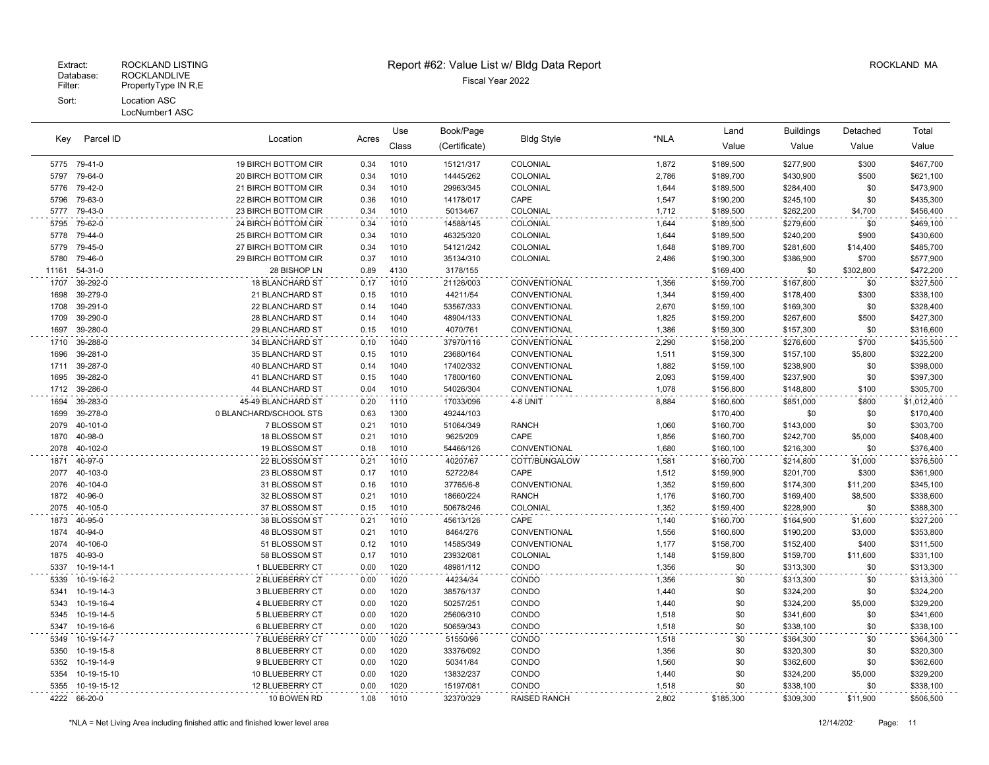| Parcel ID<br>Key | Location     |                        | Use   | Book/Page    |               |                   | Land  | <b>Buildings</b> | Detached  | Total      |             |
|------------------|--------------|------------------------|-------|--------------|---------------|-------------------|-------|------------------|-----------|------------|-------------|
|                  |              |                        | Acres | Class        | (Certificate) | <b>Bldg Style</b> | *NLA  | Value            | Value     | Value      | Value       |
|                  | 5775 79-41-0 | 19 BIRCH BOTTOM CIR    | 0.34  | 1010         | 15121/317     | COLONIAL          | 1,872 | \$189,500        | \$277,900 | \$300      | \$467,700   |
| 5797             | 79-64-0      | 20 BIRCH BOTTOM CIR    | 0.34  | 1010         | 14445/262     | COLONIAL          | 2,786 | \$189,700        | \$430,900 | \$500      | \$621,100   |
| 5776             | 79-42-0      | 21 BIRCH BOTTOM CIR    | 0.34  | 1010         | 29963/345     | COLONIAL          | 1,644 | \$189,500        | \$284,400 | \$0        | \$473,900   |
| 5796             | 79-63-0      | 22 BIRCH BOTTOM CIR    | 0.36  | 1010         | 14178/017     | CAPE              | 1,547 | \$190,200        | \$245,100 | \$0        | \$435,300   |
| 5777             | 79-43-0      | 23 BIRCH BOTTOM CIR    | 0.34  | 1010         | 50134/67      | COLONIAL          | 1,712 | \$189,500        | \$262,200 | \$4,700    | \$456,400   |
| 5795             | 79-62-0      | 24 BIRCH BOTTOM CIR    | 0.34  | 1010         | 14588/145     | COLONIAL          | 1,644 | \$189,500        | \$279,600 | \$0        | \$469,100   |
| 5778             | 79-44-0      | 25 BIRCH BOTTOM CIR    | 0.34  | 1010         | 46325/320     | COLONIAL          | 1,644 | \$189,500        | \$240,200 | \$900      | \$430,600   |
| 5779             | 79-45-0      | 27 BIRCH BOTTOM CIR    | 0.34  | 1010         | 54121/242     | COLONIAL          | 1,648 | \$189,700        | \$281,600 | \$14,400   | \$485,700   |
| 5780             | 79-46-0      | 29 BIRCH BOTTOM CIR    | 0.37  | 1010         | 35134/310     | COLONIAL          | 2,486 | \$190,300        | \$386,900 | \$700      | \$577,900   |
| 11161            | 54-31-0      | 28 BISHOP LN           | 0.89  | 4130         | 3178/155      |                   |       | \$169,400        | \$0       | \$302,800  | \$472,200   |
| 1707             | 39-292-0     | <b>18 BLANCHARD ST</b> | 0.17  | 1010         | 21126/003     | CONVENTIONAL      | 1,356 | \$159,700        | \$167,800 | \$0        | \$327,500   |
| 1698             | 39-279-0     | 21 BLANCHARD ST        | 0.15  | 1010         | 44211/54      | CONVENTIONAL      | 1,344 | \$159,400        | \$178,400 | \$300      | \$338,100   |
| 1708             | 39-291-0     | 22 BLANCHARD ST        | 0.14  | 1040         | 53567/333     | CONVENTIONAL      | 2,670 | \$159,100        | \$169,300 | \$0        | \$328,400   |
| 1709             | 39-290-0     | 28 BLANCHARD ST        | 0.14  | 1040         | 48904/133     | CONVENTIONAL      | 1,825 | \$159,200        | \$267,600 | \$500      | \$427,300   |
| 1697             | 39-280-0     | 29 BLANCHARD ST        | 0.15  | 1010         | 4070/761      | CONVENTIONAL      | 1,386 | \$159,300        | \$157,300 | \$0        | \$316,600   |
| 1710             | 39-288-0     | 34 BLANCHARD ST        | 0.10  | 1040         | 37970/116     | CONVENTIONAL      | 2,290 | \$158,200        | \$276,600 | \$700      | \$435,500   |
| 1696             | 39-281-0     | 35 BLANCHARD ST        | 0.15  | 1010         | 23680/164     | CONVENTIONAL      | 1,511 | \$159,300        | \$157,100 | \$5,800    | \$322,200   |
| 1711             | 39-287-0     | <b>40 BLANCHARD ST</b> | 0.14  | 1040         | 17402/332     | CONVENTIONAL      | 1,882 | \$159,100        | \$238,900 | \$0        | \$398,000   |
| 1695             | 39-282-0     | 41 BLANCHARD ST        | 0.15  | 1040         | 17800/160     | CONVENTIONAL      | 2,093 | \$159,400        | \$237,900 | \$0        | \$397,300   |
| 1712             | 39-286-0     | 44 BLANCHARD ST        | 0.04  | 1010         | 54026/304     | CONVENTIONAL      | 1,078 | \$156,800        | \$148,800 | \$100      | \$305,700   |
| 1694             | 39-283-0     | 45-49 BLANCHARD ST     | 0.20  | 1110         | 17033/096     | 4-8 UNIT          | 8,884 | \$160,600        | \$851,000 | \$800      | \$1,012,400 |
| 1699             | 39-278-0     | 0 BLANCHARD/SCHOOL STS | 0.63  | 1300         | 49244/103     |                   |       | \$170,400        | \$0       | \$0        | \$170,400   |
| 2079             | 40-101-0     | 7 BLOSSOM ST           | 0.21  | 1010         | 51064/349     | <b>RANCH</b>      | 1,060 | \$160,700        | \$143,000 | \$0        | \$303,700   |
| 1870             | 40-98-0      | 18 BLOSSOM ST          | 0.21  | 1010         | 9625/209      | CAPE              | 1,856 | \$160,700        | \$242,700 | \$5,000    | \$408,400   |
| 2078             | 40-102-0     | 19 BLOSSOM ST          | 0.18  | 1010         | 54466/126     | CONVENTIONAL      | 1,680 | \$160,100        | \$216,300 | \$0        | \$376,400   |
| 1871             | 40-97-0      | 22 BLOSSOM ST          | 0.21  | 1010         | 40207/67      | COTT/BUNGALOW     | 1,581 | \$160,700        | \$214,800 | \$1,000    | \$376,500   |
| 2077             | 40-103-0     | 23 BLOSSOM ST          | 0.17  | 1010         | 52722/84      | CAPE              | 1,512 | \$159,900        | \$201,700 | \$300      | \$361,900   |
| 2076             | 40-104-0     | 31 BLOSSOM ST          | 0.16  | 1010         | 37765/6-8     | CONVENTIONAL      | 1,352 | \$159,600        | \$174,300 | \$11,200   | \$345,100   |
| 1872             | 40-96-0      | 32 BLOSSOM ST          | 0.21  | 1010         | 18660/224     | <b>RANCH</b>      | 1,176 | \$160,700        | \$169,400 | \$8,500    | \$338,600   |
| 2075             | 40-105-0     | 37 BLOSSOM ST          | 0.15  | 1010         | 50678/246     | COLONIAL          | 1,352 | \$159,400        | \$228,900 | \$0        | \$388,300   |
| 1873             | 40-95-0      | 38 BLOSSOM ST          | 0.21  | 1010         | 45613/126     | CAPE              | 1,140 | \$160,700        | \$164,900 | \$1,600    | \$327,200   |
| 1874             | 40-94-0      | 48 BLOSSOM ST          | 0.21  | 1010         | 8464/276      | CONVENTIONAL      | 1,556 | \$160,600        | \$190,200 | \$3,000    | \$353,800   |
| 2074             | 40-106-0     | 51 BLOSSOM ST          | 0.12  | 1010         | 14585/349     | CONVENTIONAL      | 1,177 | \$158,700        | \$152,400 | \$400      | \$311,500   |
| 1875             | 40-93-0      | 58 BLOSSOM ST          | 0.17  | 1010         | 23932/081     | COLONIAL          | 1,148 | \$159,800        | \$159,700 | \$11,600   | \$331,100   |
| 5337             | 10-19-14-1   | 1 BLUEBERRY CT         | 0.00  | 1020         | 48981/112     | CONDO             | 1,356 | \$0              | \$313,300 | \$0        | \$313,300   |
| 5339             | 10-19-16-2   | 2 BLUEBERRY CT         | 0.00  | 1020         | 44234/34      | CONDO             | 1,356 | \$0              | \$313,300 | \$0        | \$313,300   |
| 5341             | 10-19-14-3   | 3 BLUEBERRY CT         | 0.00  | 1020         | 38576/137     | CONDO             | 1,440 | \$0              | \$324,200 | \$0        | \$324,200   |
| 5343             | 10-19-16-4   | 4 BLUEBERRY CT         | 0.00  | 1020         | 50257/251     | CONDO             | 1,440 | \$0              | \$324,200 | \$5,000    | \$329,200   |
| 5345             | 10-19-14-5   | 5 BLUEBERRY CT         | 0.00  | 1020         | 25606/310     | CONDO             | 1,518 | \$0              | \$341,600 | \$0<br>\$0 | \$341,600   |
| 5347             | 10-19-16-6   | 6 BLUEBERRY CT         | 0.00  | 1020         | 50659/343     | CONDO             | 1,518 | \$0              | \$338,100 |            | \$338,100   |
| 5349             | 10-19-14-7   | 7 BLUEBERRY CT         | 0.00  | 1020         | 51550/96      | CONDO             | 1,518 | \$0              | \$364,300 | \$0        | \$364,300   |
| 5350             | 10-19-15-8   | 8 BLUEBERRY CT         | 0.00  | 1020         | 33376/092     | CONDO             | 1,356 | \$0              | \$320,300 | \$0        | \$320,300   |
| 5352             | 10-19-14-9   | 9 BLUEBERRY CT         | 0.00  | 1020         | 50341/84      | CONDO             | 1,560 | \$0              | \$362,600 | \$0        | \$362,600   |
| 5354<br>5355     | 10-19-15-10  | 10 BLUEBERRY CT        | 0.00  | 1020<br>1020 | 13832/237     | CONDO             | 1,440 | \$0              | \$324,200 | \$5,000    | \$329,200   |
|                  | 10-19-15-12  | 12 BLUEBERRY CT        | 0.00  |              | 15197/081     | CONDO             | 1,518 | \$0              | \$338,100 | \$0        | \$338,100   |
|                  | 4222 66-20-0 | 10 BOWEN RD            | 1.08  | 1010         | 32370/329     | RAISED RANCH      | 2,802 | \$185,300        | \$309.300 | \$11,900   | \$506,500   |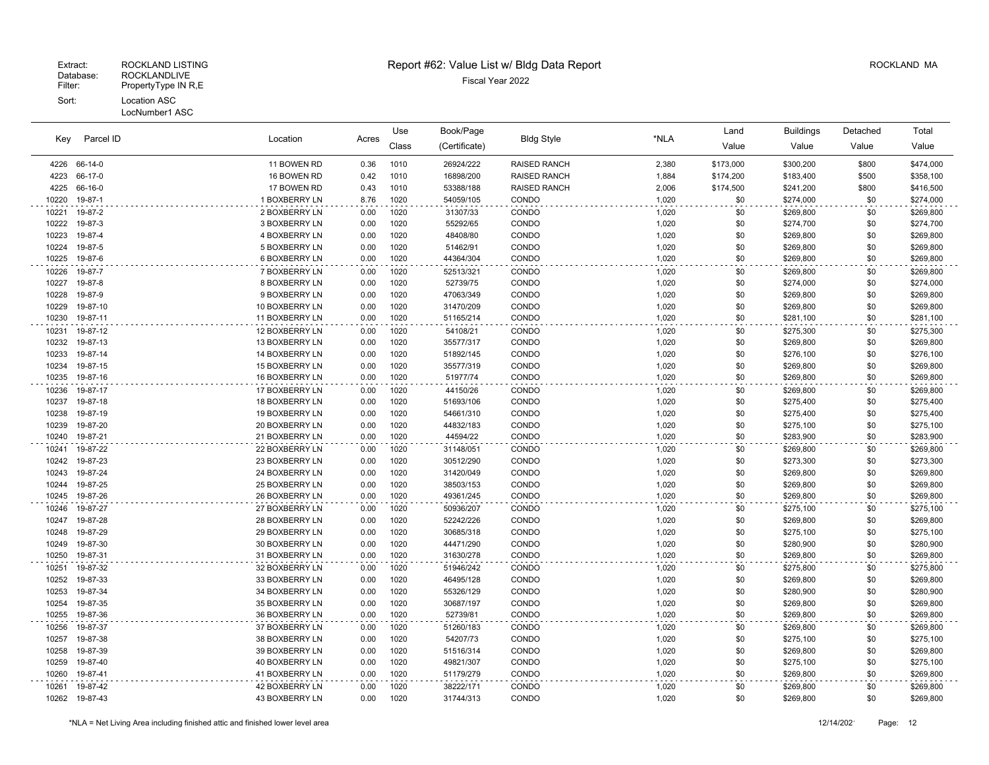| Key            | Parcel ID            | Location<br>Acres                |              | Use          | Book/Page              |                     |                | Land       | <b>Buildings</b>       | Detached   | Total                  |
|----------------|----------------------|----------------------------------|--------------|--------------|------------------------|---------------------|----------------|------------|------------------------|------------|------------------------|
|                |                      |                                  |              | Class        | (Certificate)          | <b>Bldg Style</b>   | *NLA           | Value      | Value                  | Value      | Value                  |
| 4226           | 66-14-0              | 11 BOWEN RD                      | 0.36         | 1010         | 26924/222              | <b>RAISED RANCH</b> | 2,380          | \$173,000  | \$300,200              | \$800      | \$474,000              |
| 4223           | 66-17-0              | 16 BOWEN RD                      | 0.42         | 1010         | 16898/200              | <b>RAISED RANCH</b> | 1,884          | \$174,200  | \$183,400              | \$500      | \$358,100              |
| 4225           | 66-16-0              | 17 BOWEN RD                      | 0.43         | 1010         | 53388/188              | <b>RAISED RANCH</b> | 2,006          | \$174,500  | \$241,200              | \$800      | \$416,500              |
| 10220          | 19-87-1              | 1 BOXBERRY LN                    | 8.76         | 1020         | 54059/105              | CONDO               | 1,020          | \$0        | \$274,000              | \$0        | \$274,000              |
| 10221          | 19-87-2              | 2 BOXBERRY LN                    | 0.00         | 1020         | 31307/33               | CONDO               | 1,020          | \$0        | \$269,800              | \$0        | \$269,800              |
| 10222          | 19-87-3              | 3 BOXBERRY LN                    | 0.00         | 1020         | 55292/65               | CONDO               | 1,020          | \$0        | \$274,700              | \$0        | \$274,700              |
| 10223          | 19-87-4              | 4 BOXBERRY LN                    | 0.00         | 1020         | 48408/80               | CONDO               | 1,020          | \$0        | \$269,800              | \$0        | \$269,800              |
| 10224          | 19-87-5              | 5 BOXBERRY LN                    | 0.00         | 1020         | 51462/91               | CONDO               | 1,020          | \$0        | \$269,800              | \$0        | \$269,800              |
| 10225          | 19-87-6              | 6 BOXBERRY LN                    | 0.00         | 1020         | 44364/304              | CONDO               | 1,020          | \$0        | \$269,800              | \$0        | \$269,800              |
| 10226          | 19-87-7              | 7 BOXBERRY LN                    | 0.00         | 1020         | 52513/321              | CONDO               | 1,020          | \$0        | \$269,800              | \$0        | \$269,800              |
| 10227          | 19-87-8              | 8 BOXBERRY LN                    | 0.00         | 1020         | 52739/75               | CONDO               | 1,020          | \$0        | \$274,000              | \$0        | \$274,000              |
| 10228          | 19-87-9              | 9 BOXBERRY LN                    | 0.00         | 1020         | 47063/349              | CONDO               | 1,020          | \$0        | \$269,800              | \$0        | \$269,800              |
| 10229          | 19-87-10             | 10 BOXBERRY LN                   | 0.00         | 1020         | 31470/209              | CONDO               | 1,020          | \$0        | \$269,800              | \$0        | \$269,800              |
| 10230          | 19-87-11             | 11 BOXBERRY LN                   | 0.00         | 1020         | 51165/214              | CONDO               | 1,020          | \$0        | \$281,100              | \$0        | \$281,100              |
| 10231          | 19-87-12             | 12 BOXBERRY LN                   | 0.00         | 1020         | 54108/21               | CONDO               | 1,020          | \$0        | \$275,300              | \$0        | \$275,300              |
| 10232          | 19-87-13             | 13 BOXBERRY LN                   | 0.00         | 1020         | 35577/317              | CONDO               | 1,020          | \$0        | \$269,800              | \$0        | \$269,800              |
| 10233          | 19-87-14             | 14 BOXBERRY LN                   | 0.00         | 1020         | 51892/145              | CONDO               | 1,020          | \$0        | \$276,100              | \$0        | \$276,100              |
| 10234          | 19-87-15             | 15 BOXBERRY LN                   | 0.00         | 1020         | 35577/319              | CONDO               | 1,020          | \$0        | \$269,800              | \$0        | \$269,800              |
| 10235          | 19-87-16             | 16 BOXBERRY LN                   | 0.00         | 1020         | 51977/74               | CONDO               | 1,020          | \$0        | \$269,800              | \$0        | \$269,800              |
| 10236          | 19-87-17             | 17 BOXBERRY LN                   | 0.00         | 1020         | 44150/26               | CONDO               | 1,020          | \$0        | \$269,800              | \$0        | \$269,800              |
| 10237          | 19-87-18             | 18 BOXBERRY LN                   | 0.00         | 1020         | 51693/106              | CONDO               | 1,020          | \$0        | \$275,400              | \$0        | \$275,400              |
| 10238          | 19-87-19             | 19 BOXBERRY LN                   | 0.00         | 1020         | 54661/310              | CONDO               | 1,020          | \$0        | \$275,400              | \$0        | \$275,400              |
| 10239          | 19-87-20             | 20 BOXBERRY LN                   | 0.00         | 1020         | 44832/183              | CONDO               | 1,020          | \$0        | \$275,100              | \$0        | \$275,100              |
| 10240          | 19-87-21             | 21 BOXBERRY LN                   | 0.00         | 1020         | 44594/22               | CONDO               | 1,020          | \$0        | \$283,900              | \$0        | \$283,900              |
| 10241          | 19-87-22             | 22 BOXBERRY LN                   | 0.00         | 1020         | 31148/051              | CONDO               | 1,020          | \$0        | \$269,800              | \$0        | \$269,800              |
| 10242          | 19-87-23             | 23 BOXBERRY LN                   | 0.00         | 1020         | 30512/290              | CONDO               | 1,020          | \$0        | \$273,300              | \$0        | \$273,300              |
| 10243          | 19-87-24             | 24 BOXBERRY LN                   | 0.00         | 1020         | 31420/049              | CONDO               | 1,020          | \$0        | \$269,800              | \$0        | \$269,800              |
| 10244          | 19-87-25             | 25 BOXBERRY LN                   | 0.00         | 1020         | 38503/153              | CONDO               | 1,020          | \$0        | \$269,800              | \$0        | \$269,800              |
| 10245          | 19-87-26             | 26 BOXBERRY LN                   | 0.00         | 1020         | 49361/245              | CONDO               | 1,020          | \$0        | \$269,800              | \$0        | \$269,800              |
| 10246          | 19-87-27             | 27 BOXBERRY LN                   | 0.00         | 1020         | 50936/207              | CONDO               | 1,020          | \$0        | \$275,100              | \$0        | \$275,100              |
| 10247          | 19-87-28             | 28 BOXBERRY LN                   | 0.00         | 1020         | 52242/226              | CONDO               | 1,020          | \$0        | \$269,800              | \$0        | \$269,800              |
| 10248          | 19-87-29             | 29 BOXBERRY LN                   | 0.00         | 1020         | 30685/318              | CONDO               | 1,020          | \$0        | \$275,100              | \$0        | \$275,100              |
| 10249          | 19-87-30             | 30 BOXBERRY LN                   | 0.00         | 1020         | 44471/290              | CONDO               | 1,020          | \$0        | \$280,900              | \$0        | \$280,900              |
| 10250          | 19-87-31             | 31 BOXBERRY LN                   | 0.00         | 1020         | 31630/278              | CONDO               | 1,020          | \$0        | \$269,800              | \$0        | \$269,800              |
| 10251          | 19-87-32             | 32 BOXBERRY LN                   | 0.00         | 1020         | 51946/242              | CONDO               | 1,020          | \$0        | \$275,800              | \$0        | \$275,800              |
| 10252          | 19-87-33             | 33 BOXBERRY LN                   | 0.00         | 1020         | 46495/128              | CONDO               | 1,020          | \$0        | \$269,800              | \$0        | \$269,800              |
| 10253          | 19-87-34             | 34 BOXBERRY LN                   | 0.00         | 1020         | 55326/129              | CONDO               | 1,020          | \$0        | \$280,900              | \$0        | \$280,900              |
| 10254          | 19-87-35             | 35 BOXBERRY LN                   | 0.00         | 1020         | 30687/197              | CONDO               | 1,020          | \$0        | \$269,800              | \$0        | \$269,800              |
| 10255          | 19-87-36             | 36 BOXBERRY LN                   | 0.00         | 1020         | 52739/81               | CONDO               | 1,020          | \$0        | \$269,800              | \$0        | \$269,800              |
| 10256          | 19-87-37             | 37 BOXBERRY LN                   | 0.00         | 1020         | 51260/183              | CONDO               | 1,020          | \$0        | \$269,800              | \$0        | \$269,800              |
| 10257          | 19-87-38             | 38 BOXBERRY LN                   | 0.00         | 1020         | 54207/73               | CONDO               | 1,020          | \$0        | \$275,100              | \$0        | \$275,100              |
| 10258          | 19-87-39<br>19-87-40 | 39 BOXBERRY LN                   | 0.00         | 1020<br>1020 | 51516/314              | CONDO               | 1,020          | \$0<br>\$0 | \$269,800              | \$0<br>\$0 | \$269,800              |
| 10259<br>10260 | 19-87-41             | 40 BOXBERRY LN<br>41 BOXBERRY LN | 0.00<br>0.00 | 1020         | 49821/307<br>51179/279 | CONDO<br>CONDO      | 1,020<br>1,020 | \$0        | \$275,100<br>\$269,800 | \$0        | \$275,100<br>\$269,800 |
|                |                      |                                  |              |              |                        |                     |                |            |                        |            |                        |
| 10261<br>10262 | 19-87-42<br>19-87-43 | 42 BOXBERRY LN<br>43 BOXBERRY LN | 0.00<br>0.00 | 1020<br>1020 | 38222/171<br>31744/313 | CONDO<br>CONDO      | 1,020<br>1,020 | \$0<br>\$0 | \$269,800<br>\$269,800 | \$0<br>\$0 | \$269,800<br>\$269,800 |
|                |                      |                                  |              |              |                        |                     |                |            |                        |            |                        |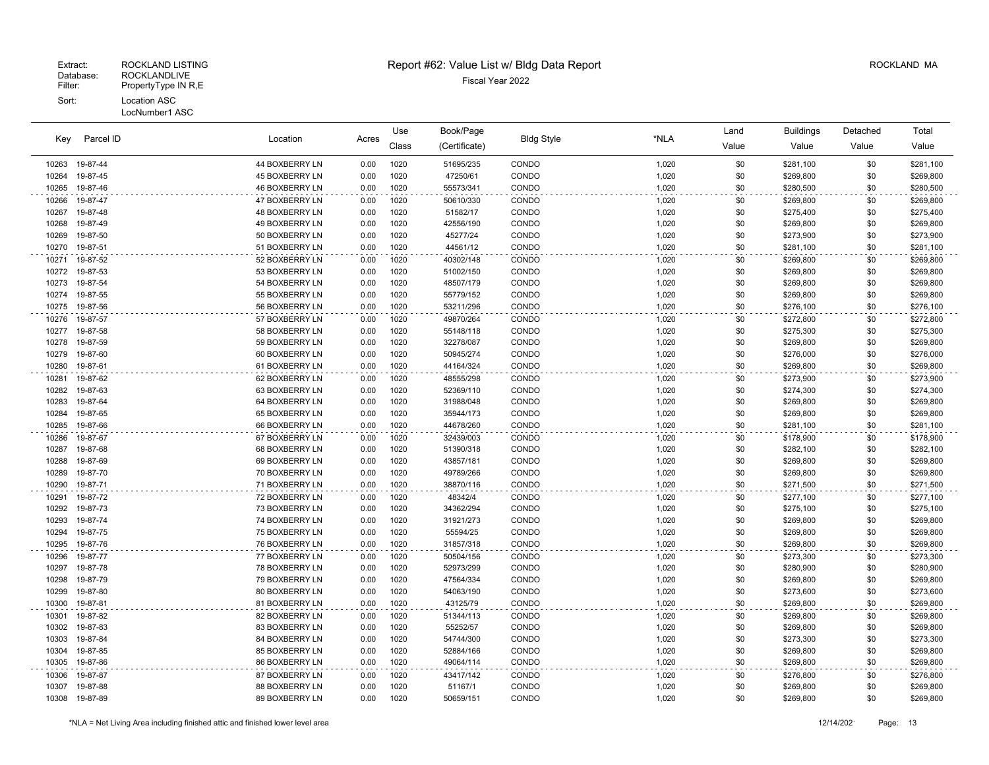| Key            | Parcel ID            | Location                         | Acres        | Use          | Book/Page              | <b>Bldg Style</b> | *NLA           | Land       | <b>Buildings</b>       | Detached   | Total                  |
|----------------|----------------------|----------------------------------|--------------|--------------|------------------------|-------------------|----------------|------------|------------------------|------------|------------------------|
|                |                      |                                  |              | Class        | (Certificate)          |                   |                | Value      | Value                  | Value      | Value                  |
| 10263          | 19-87-44             | 44 BOXBERRY LN                   | 0.00         | 1020         | 51695/235              | CONDO             | 1,020          | \$0        | \$281,100              | \$0        | \$281,100              |
| 10264          | 19-87-45             | <b>45 BOXBERRY LN</b>            | 0.00         | 1020         | 47250/61               | CONDO             | 1,020          | \$0        | \$269,800              | \$0        | \$269,800              |
| 10265          | 19-87-46             | 46 BOXBERRY LN                   | 0.00         | 1020         | 55573/341              | CONDO             | 1,020          | \$0        | \$280,500              | \$0        | \$280,500              |
| 10266          | 19-87-47             | 47 BOXBERRY LN                   | 0.00         | 1020         | 50610/330              | CONDO             | 1,020          | \$0        | \$269,800              | \$0        | \$269,800              |
| 10267          | 19-87-48             | <b>48 BOXBERRY LN</b>            | 0.00         | 1020         | 51582/17               | CONDO             | 1,020          | \$0        | \$275,400              | \$0        | \$275,400              |
| 10268          | 19-87-49             | 49 BOXBERRY LN                   | 0.00         | 1020         | 42556/190              | CONDO             | 1,020          | \$0        | \$269,800              | \$0        | \$269,800              |
| 10269          | 19-87-50             | 50 BOXBERRY LN                   | 0.00         | 1020         | 45277/24               | CONDO             | 1,020          | \$0        | \$273,900              | \$0        | \$273,900              |
| 10270          | 19-87-51             | 51 BOXBERRY LN                   | 0.00         | 1020         | 44561/12               | CONDO             | 1,020          | \$0        | \$281,100              | \$0        | \$281,100              |
| 10271          | 19-87-52             | 52 BOXBERRY LN                   | 0.00         | 1020         | 40302/148              | CONDO             | 1,020          | \$0        | \$269,800              | \$0        | \$269,800              |
| 10272          | 19-87-53             | 53 BOXBERRY LN                   | 0.00         | 1020         | 51002/150              | CONDO             | 1,020          | \$0        | \$269,800              | \$0        | \$269,800              |
| 10273          | 19-87-54             | 54 BOXBERRY LN                   | 0.00         | 1020         | 48507/179              | CONDO             | 1,020          | \$0        | \$269,800              | \$0        | \$269,800              |
| 10274          | 19-87-55             | 55 BOXBERRY LN                   | 0.00         | 1020         | 55779/152              | CONDO             | 1,020          | \$0        | \$269,800              | \$0        | \$269,800              |
| 10275          | 19-87-56             | 56 BOXBERRY LN                   | 0.00         | 1020         | 53211/296              | CONDO             | 1,020          | \$0        | \$276,100              | \$0        | \$276,100              |
| 10276          | 19-87-57             | 57 BOXBERRY LN                   | 0.00         | 1020         | 49870/264              | CONDO             | 1,020          | \$0        | \$272,800              | \$0        | \$272,800              |
| 10277          | 19-87-58             | 58 BOXBERRY LN                   | 0.00         | 1020         | 55148/118              | CONDO             | 1,020          | \$0        | \$275,300              | \$0        | \$275,300              |
| 10278          | 19-87-59             | 59 BOXBERRY LN                   | 0.00         | 1020         | 32278/087              | CONDO             | 1,020          | \$0        | \$269,800              | \$0        | \$269,800              |
| 10279          | 19-87-60             | 60 BOXBERRY LN                   | 0.00         | 1020         | 50945/274              | CONDO             | 1,020          | \$0        | \$276,000              | \$0        | \$276,000              |
| 10280          | 19-87-61             | 61 BOXBERRY LN                   | 0.00         | 1020         | 44164/324              | CONDO             | 1,020          | \$0        | \$269,800              | \$0        | \$269,800              |
| 10281          | 19-87-62             | 62 BOXBERRY LN                   | 0.00         | 1020         | 48555/298              | CONDO             | 1,020          | \$0        | \$273,900              | \$0        | \$273,900              |
| 10282          | 19-87-63             | 63 BOXBERRY LN                   | 0.00         | 1020         | 52369/110              | CONDO             | 1,020          | \$0        | \$274,300              | \$0        | \$274,300              |
| 10283          | 19-87-64             | 64 BOXBERRY LN                   | 0.00         | 1020         | 31988/048              | CONDO             | 1,020          | \$0        | \$269,800              | \$0        | \$269,800              |
| 10284          | 19-87-65             | 65 BOXBERRY LN                   | 0.00         | 1020         | 35944/173              | CONDO             | 1,020          | \$0        | \$269,800              | \$0        | \$269,800              |
| 10285          | 19-87-66             | 66 BOXBERRY LN                   | 0.00         | 1020         | 44678/260              | CONDO             | 1,020          | \$0        | \$281,100              | \$0        | \$281,100              |
| 10286          | 19-87-67             | 67 BOXBERRY LN                   | 0.00         | 1020         | 32439/003              | CONDO             | 1,020          | \$0        | \$178,900              | \$0        | \$178,900              |
| 10287          | 19-87-68             | 68 BOXBERRY LN                   | 0.00         | 1020<br>1020 | 51390/318              | CONDO             | 1,020          | \$0        | \$282,100              | \$0        | \$282,100              |
| 10288<br>10289 | 19-87-69             | 69 BOXBERRY LN                   | 0.00         |              | 43857/181              | CONDO<br>CONDO    | 1,020<br>1,020 | \$0<br>\$0 | \$269,800              | \$0<br>\$0 | \$269,800              |
| 10290          | 19-87-70<br>19-87-71 | 70 BOXBERRY LN<br>71 BOXBERRY LN | 0.00<br>0.00 | 1020<br>1020 | 49789/266<br>38870/116 | CONDO             | 1,020          | \$0        | \$269,800              | \$0        | \$269,800<br>\$271,500 |
|                |                      |                                  |              |              |                        |                   |                |            | \$271,500              |            |                        |
| 10291<br>10292 | 19-87-72<br>19-87-73 | 72 BOXBERRY LN<br>73 BOXBERRY LN | 0.00         | 1020<br>1020 | 48342/4<br>34362/294   | CONDO<br>CONDO    | 1,020<br>1,020 | \$0<br>\$0 | \$277,100              | \$0<br>\$0 | \$277,100              |
| 10293          | 19-87-74             | 74 BOXBERRY LN                   | 0.00<br>0.00 | 1020         | 31921/273              | CONDO             | 1,020          | \$0        | \$275,100<br>\$269,800 | \$0        | \$275,100<br>\$269,800 |
| 10294          | 19-87-75             | 75 BOXBERRY LN                   | 0.00         | 1020         | 55594/25               | CONDO             | 1,020          | \$0        | \$269,800              | \$0        | \$269,800              |
| 10295          | 19-87-76             | 76 BOXBERRY LN                   | 0.00         | 1020         | 31857/318              | CONDO             | 1,020          | \$0        | \$269,800              | \$0        | \$269,800              |
| 10296          | 19-87-77             | 77 BOXBERRY LN                   | 0.00         | 1020         | 50504/156              | CONDO             | 1,020          | \$0        | \$273,300              | \$0        | \$273,300              |
| 10297          | 19-87-78             | 78 BOXBERRY LN                   | 0.00         | 1020         | 52973/299              | CONDO             | 1,020          | \$0        | \$280,900              | \$0        | \$280,900              |
| 10298          | 19-87-79             | 79 BOXBERRY LN                   | 0.00         | 1020         | 47564/334              | CONDO             | 1,020          | \$0        | \$269,800              | \$0        | \$269,800              |
| 10299          | 19-87-80             | 80 BOXBERRY LN                   | 0.00         | 1020         | 54063/190              | CONDO             | 1,020          | \$0        | \$273,600              | \$0        | \$273,600              |
| 10300          | 19-87-81             | 81 BOXBERRY LN                   | 0.00         | 1020         | 43125/79               | CONDO             | 1,020          | \$0        | \$269,800              | \$0        | \$269,800              |
| 10301          | 19-87-82             | 82 BOXBERRY LN                   | 0.00         | 1020         | 51344/113              | CONDO             | 1,020          | \$0        | \$269,800              | \$0        | \$269,800              |
| 10302          | 19-87-83             | 83 BOXBERRY LN                   | 0.00         | 1020         | 55252/57               | CONDO             | 1,020          | \$0        | \$269,800              | \$0        | \$269,800              |
| 10303          | 19-87-84             | 84 BOXBERRY LN                   | 0.00         | 1020         | 54744/300              | CONDO             | 1,020          | \$0        | \$273,300              | \$0        | \$273,300              |
| 10304          | 19-87-85             | 85 BOXBERRY LN                   | 0.00         | 1020         | 52884/166              | CONDO             | 1,020          | \$0        | \$269,800              | \$0        | \$269,800              |
| 10305          | 19-87-86             | 86 BOXBERRY LN                   | 0.00         | 1020         | 49064/114              | CONDO             | 1,020          | \$0        | \$269,800              | \$0        | \$269,800              |
| 10306          | 19-87-87             | 87 BOXBERRY LN                   | 0.00         | 1020         | 43417/142              | CONDO             | 1,020          | \$0        | \$276,800              | \$0        | \$276,800              |
| 10307          | 19-87-88             | 88 BOXBERRY LN                   | 0.00         | 1020         | 51167/1                | CONDO             | 1,020          | \$0        | \$269,800              | \$0        | \$269,800              |
| 10308          | 19-87-89             | 89 BOXBERRY LN                   | 0.00         | 1020         | 50659/151              | CONDO             | 1,020          | \$0        | \$269,800              | \$0        | \$269,800              |
|                |                      |                                  |              |              |                        |                   |                |            |                        |            |                        |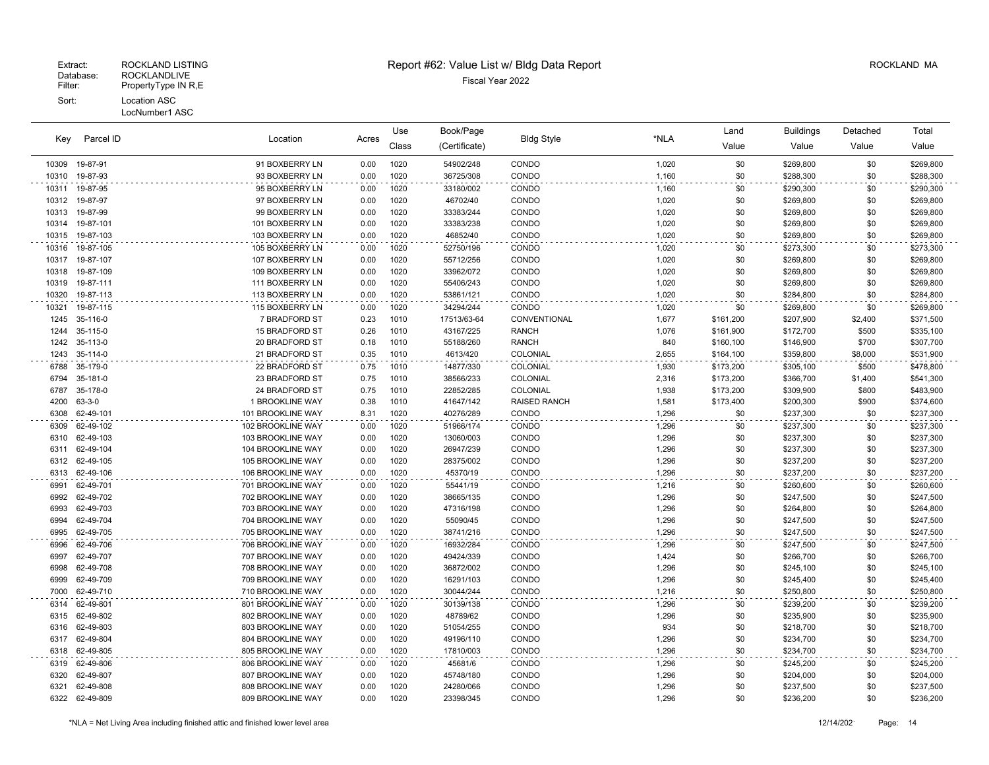|       |              | Location          |       | Use   | Book/Page     |                     | *NLA  | Land      | <b>Buildings</b> | Detached | Total     |
|-------|--------------|-------------------|-------|-------|---------------|---------------------|-------|-----------|------------------|----------|-----------|
| Key   | Parcel ID    |                   | Acres | Class | (Certificate) | <b>Bldg Style</b>   |       | Value     | Value            | Value    | Value     |
| 10309 | 19-87-91     | 91 BOXBERRY LN    | 0.00  | 1020  | 54902/248     | CONDO               | 1,020 | \$0       | \$269,800        | \$0      | \$269,800 |
| 10310 | 19-87-93     | 93 BOXBERRY LN    | 0.00  | 1020  | 36725/308     | CONDO               | 1,160 | \$0       | \$288,300        | \$0      | \$288,300 |
| 10311 | 19-87-95     | 95 BOXBERRY LN    | 0.00  | 1020  | 33180/002     | CONDO               | 1,160 | \$0       | \$290,300        | \$0      | \$290,300 |
| 10312 | 19-87-97     | 97 BOXBERRY LN    | 0.00  | 1020  | 46702/40      | CONDO               | 1,020 | \$0       | \$269,800        | \$0      | \$269,800 |
| 10313 | 19-87-99     | 99 BOXBERRY LN    | 0.00  | 1020  | 33383/244     | CONDO               | 1,020 | \$0       | \$269,800        | \$0      | \$269,800 |
| 10314 | 19-87-101    | 101 BOXBERRY LN   | 0.00  | 1020  | 33383/238     | CONDO               | 1,020 | \$0       | \$269,800        | \$0      | \$269,800 |
| 10315 | 19-87-103    | 103 BOXBERRY LN   | 0.00  | 1020  | 46852/40      | CONDO               | 1,020 | \$0       | \$269,800        | \$0      | \$269,800 |
| 10316 | 19-87-105    | 105 BOXBERRY LN   | 0.00  | 1020  | 52750/196     | CONDO               | 1,020 | \$0       | \$273,300        | \$0      | \$273,300 |
| 10317 | 19-87-107    | 107 BOXBERRY LN   | 0.00  | 1020  | 55712/256     | CONDO               | 1,020 | \$0       | \$269,800        | \$0      | \$269,800 |
| 10318 | 19-87-109    | 109 BOXBERRY LN   | 0.00  | 1020  | 33962/072     | CONDO               | 1,020 | \$0       | \$269,800        | \$0      | \$269,800 |
| 10319 | 19-87-111    | 111 BOXBERRY LN   | 0.00  | 1020  | 55406/243     | CONDO               | 1,020 | \$0       | \$269,800        | \$0      | \$269,800 |
| 10320 | 19-87-113    | 113 BOXBERRY LN   | 0.00  | 1020  | 53861/121     | CONDO               | 1,020 | \$0       | \$284,800        | \$0      | \$284,800 |
| 10321 | 19-87-115    | 115 BOXBERRY LN   | 0.00  | 1020  | 34294/244     | CONDO               | 1,020 | \$0       | \$269,800        | \$0      | \$269,800 |
| 1245  | 35-116-0     | 7 BRADFORD ST     | 0.23  | 1010  | 17513/63-64   | CONVENTIONAL        | 1,677 | \$161,200 | \$207,900        | \$2,400  | \$371,500 |
| 1244  | 35-115-0     | 15 BRADFORD ST    | 0.26  | 1010  | 43167/225     | <b>RANCH</b>        | 1,076 | \$161,900 | \$172,700        | \$500    | \$335,100 |
| 1242  | 35-113-0     | 20 BRADFORD ST    | 0.18  | 1010  | 55188/260     | <b>RANCH</b>        | 840   | \$160,100 | \$146,900        | \$700    | \$307,700 |
| 1243  | 35-114-0     | 21 BRADFORD ST    | 0.35  | 1010  | 4613/420      | COLONIAL            | 2,655 | \$164,100 | \$359,800        | \$8,000  | \$531,900 |
| 6788  | 35-179-0     | 22 BRADFORD ST    | 0.75  | 1010  | 14877/330     | COLONIAL            | 1,930 | \$173,200 | \$305,100        | \$500    | \$478,800 |
| 6794  | 35-181-0     | 23 BRADFORD ST    | 0.75  | 1010  | 38566/233     | COLONIAL            | 2,316 | \$173,200 | \$366,700        | \$1,400  | \$541,300 |
| 6787  | 35-178-0     | 24 BRADFORD ST    | 0.75  | 1010  | 22852/285     | COLONIAL            | 1,938 | \$173,200 | \$309,900        | \$800    | \$483,900 |
| 4200  | $63 - 3 - 0$ | 1 BROOKLINE WAY   | 0.38  | 1010  | 41647/142     | <b>RAISED RANCH</b> | 1,581 | \$173,400 | \$200,300        | \$900    | \$374,600 |
| 6308  | 62-49-101    | 101 BROOKLINE WAY | 8.31  | 1020  | 40276/289     | CONDO               | 1,296 | \$0       | \$237,300        | \$0      | \$237,300 |
| 6309  | 62-49-102    | 102 BROOKLINE WAY | 0.00  | 1020  | 51966/174     | CONDO               | 1,296 | \$0       | \$237,300        | \$0      | \$237,300 |
| 6310  | 62-49-103    | 103 BROOKLINE WAY | 0.00  | 1020  | 13060/003     | CONDO               | 1,296 | \$0       | \$237,300        | \$0      | \$237,300 |
| 6311  | 62-49-104    | 104 BROOKLINE WAY | 0.00  | 1020  | 26947/239     | CONDO               | 1,296 | \$0       | \$237,300        | \$0      | \$237,300 |
| 6312  | 62-49-105    | 105 BROOKLINE WAY | 0.00  | 1020  | 28375/002     | CONDO               | 1,296 | \$0       | \$237,200        | \$0      | \$237,200 |
| 6313  | 62-49-106    | 106 BROOKLINE WAY | 0.00  | 1020  | 45370/19      | CONDO               | 1,296 | \$0       | \$237,200        | \$0      | \$237,200 |
| 6991  | 62-49-701    | 701 BROOKLINE WAY | 0.00  | 1020  | 55441/19      | CONDO               | 1,216 | \$0       | \$260,600        | \$0      | \$260,600 |
| 6992  | 62-49-702    | 702 BROOKLINE WAY | 0.00  | 1020  | 38665/135     | CONDO               | 1,296 | \$0       | \$247,500        | \$0      | \$247,500 |
| 6993  | 62-49-703    | 703 BROOKLINE WAY | 0.00  | 1020  | 47316/198     | CONDO               | 1,296 | \$0       | \$264,800        | \$0      | \$264,800 |
| 6994  | 62-49-704    | 704 BROOKLINE WAY | 0.00  | 1020  | 55090/45      | CONDO               | 1,296 | \$0       | \$247,500        | \$0      | \$247,500 |
| 6995  | 62-49-705    | 705 BROOKLINE WAY | 0.00  | 1020  | 38741/216     | CONDO               | 1,296 | \$0       | \$247,500        | \$0      | \$247,500 |
| 6996  | 62-49-706    | 706 BROOKLINE WAY | 0.00  | 1020  | 16932/284     | CONDO               | 1,296 | \$0       | \$247,500        | \$0      | \$247,500 |
| 6997  | 62-49-707    | 707 BROOKLINE WAY | 0.00  | 1020  | 49424/339     | CONDO               | 1,424 | \$0       | \$266,700        | \$0      | \$266,700 |
| 6998  | 62-49-708    | 708 BROOKLINE WAY | 0.00  | 1020  | 36872/002     | CONDO               | 1,296 | \$0       | \$245,100        | \$0      | \$245,100 |
| 6999  | 62-49-709    | 709 BROOKLINE WAY | 0.00  | 1020  | 16291/103     | CONDO               | 1,296 | \$0       | \$245,400        | \$0      | \$245,400 |
| 7000  | 62-49-710    | 710 BROOKLINE WAY | 0.00  | 1020  | 30044/244     | CONDO               | 1,216 | \$0       | \$250,800        | \$0      | \$250,800 |
| 6314  | 62-49-801    | 801 BROOKLINE WAY | 0.00  | 1020  | 30139/138     | CONDO               | 1,296 | \$0       | \$239,200        | \$0      | \$239,200 |
| 6315  | 62-49-802    | 802 BROOKLINE WAY | 0.00  | 1020  | 48789/62      | CONDO               | 1,296 | \$0       | \$235,900        | \$0      | \$235,900 |
| 6316  | 62-49-803    | 803 BROOKLINE WAY | 0.00  | 1020  | 51054/255     | CONDO               | 934   | \$0       | \$218,700        | \$0      | \$218,700 |
| 6317  | 62-49-804    | 804 BROOKLINE WAY | 0.00  | 1020  | 49196/110     | CONDO               | 1,296 | \$0       | \$234,700        | \$0      | \$234,700 |
| 6318  | 62-49-805    | 805 BROOKLINE WAY | 0.00  | 1020  | 17810/003     | CONDO               | 1,296 | \$0       | \$234,700        | \$0      | \$234,700 |
| 6319  | 62-49-806    | 806 BROOKLINE WAY | 0.00  | 1020  | 45681/6       | CONDO               | 1,296 | \$0       | \$245,200        | \$0      | \$245,200 |
| 6320  | 62-49-807    | 807 BROOKLINE WAY | 0.00  | 1020  | 45748/180     | CONDO               | 1,296 | \$0       | \$204,000        | \$0      | \$204,000 |
| 6321  | 62-49-808    | 808 BROOKLINE WAY | 0.00  | 1020  | 24280/066     | CONDO               | 1,296 | \$0       | \$237,500        | \$0      | \$237,500 |
| 6322  | 62-49-809    | 809 BROOKLINE WAY | 0.00  | 1020  | 23398/345     | CONDO               | 1,296 | \$0       | \$236,200        | \$0      | \$236,200 |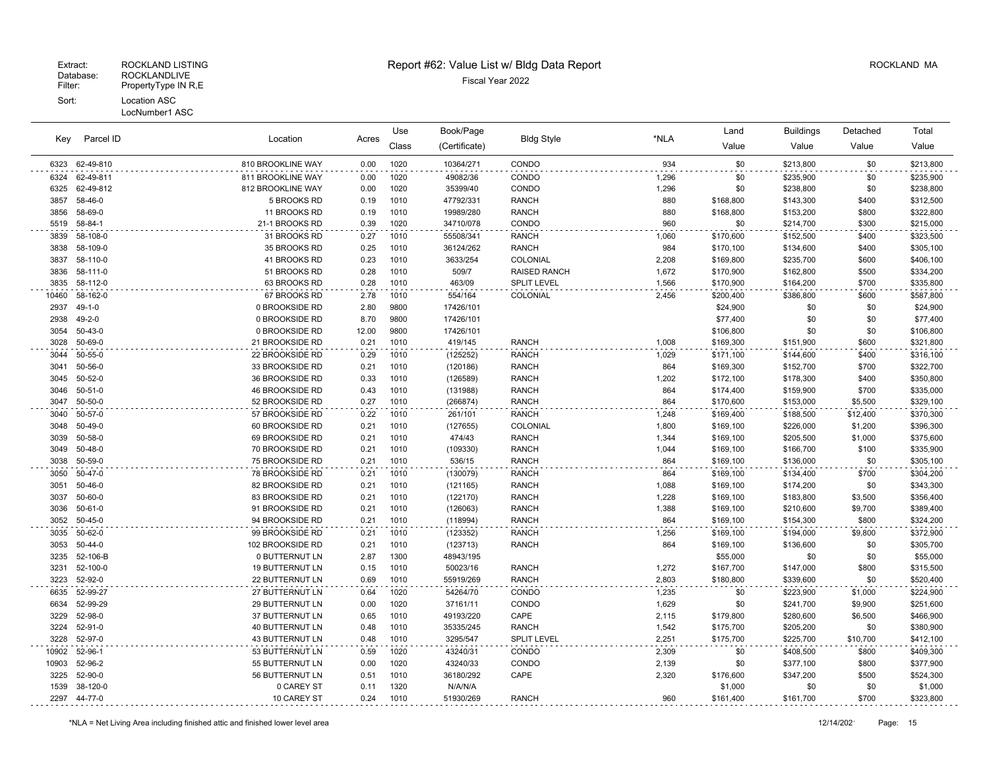|       |               |                        |       | Use   | Book/Page     |                     |       | Land      | <b>Buildings</b> | Detached | Total     |
|-------|---------------|------------------------|-------|-------|---------------|---------------------|-------|-----------|------------------|----------|-----------|
| Key   | Parcel ID     | Location               | Acres | Class | (Certificate) | <b>Bldg Style</b>   | *NLA  | Value     | Value            | Value    | Value     |
| 6323  | 62-49-810     | 810 BROOKLINE WAY      | 0.00  | 1020  | 10364/271     | CONDO               | 934   | \$0       | \$213,800        | \$0      | \$213,800 |
| 6324  | 62-49-811     | 811 BROOKLINE WAY      | 0.00  | 1020  | 49082/36      | CONDO               | 1,296 | \$0       | \$235,900        | \$0      | \$235,900 |
| 6325  | 62-49-812     | 812 BROOKLINE WAY      | 0.00  | 1020  | 35399/40      | CONDO               | 1,296 | \$0       | \$238,800        | \$0      | \$238,800 |
| 3857  | 58-46-0       | 5 BROOKS RD            | 0.19  | 1010  | 47792/331     | <b>RANCH</b>        | 880   | \$168,800 | \$143,300        | \$400    | \$312,500 |
| 3856  | 58-69-0       | 11 BROOKS RD           | 0.19  | 1010  | 19989/280     | <b>RANCH</b>        | 880   | \$168,800 | \$153,200        | \$800    | \$322,800 |
| 5519  | 58-84-1       | 21-1 BROOKS RD         | 0.39  | 1020  | 34710/078     | CONDO               | 960   | \$0       | \$214,700        | \$300    | \$215,000 |
| 3839  | 58-108-0      | 31 BROOKS RD           | 0.27  | 1010  | 55508/341     | <b>RANCH</b>        | 1,060 | \$170,600 | \$152,500        | \$400    | \$323,500 |
| 3838  | 58-109-0      | 35 BROOKS RD           | 0.25  | 1010  | 36124/262     | <b>RANCH</b>        | 984   | \$170,100 | \$134,600        | \$400    | \$305,100 |
| 3837  | 58-110-0      | 41 BROOKS RD           | 0.23  | 1010  | 3633/254      | COLONIAL            | 2,208 | \$169,800 | \$235,700        | \$600    | \$406,100 |
| 3836  | 58-111-0      | 51 BROOKS RD           | 0.28  | 1010  | 509/7         | <b>RAISED RANCH</b> | 1,672 | \$170,900 | \$162,800        | \$500    | \$334,200 |
| 3835  | 58-112-0      | 63 BROOKS RD           | 0.28  | 1010  | 463/09        | SPLIT LEVEL         | 1,566 | \$170,900 | \$164,200        | \$700    | \$335,800 |
| 10460 | 58-162-0      | 67 BROOKS RD           | 2.78  | 1010  | 554/164       | COLONIAL            | 2,456 | \$200,400 | \$386,800        | \$600    | \$587,800 |
| 2937  | $49 - 1 - 0$  | 0 BROOKSIDE RD         | 2.80  | 9800  | 17426/101     |                     |       | \$24,900  | \$0              | \$0      | \$24,900  |
| 2938  | $49 - 2 - 0$  | 0 BROOKSIDE RD         | 8.70  | 9800  | 17426/101     |                     |       | \$77,400  | \$0              | \$0      | \$77,400  |
| 3054  | $50 - 43 - 0$ | 0 BROOKSIDE RD         | 12.00 | 9800  | 17426/101     |                     |       | \$106,800 | \$0              | \$0      | \$106,800 |
| 3028  | 50-69-0       | 21 BROOKSIDE RD        | 0.21  | 1010  | 419/145       | <b>RANCH</b>        | 1,008 | \$169,300 | \$151,900        | \$600    | \$321,800 |
| 3044  | 50-55-0       | 22 BROOKSIDE RD        | 0.29  | 1010  | (125252)      | <b>RANCH</b>        | 1,029 | \$171,100 | \$144,600        | \$400    | \$316,100 |
| 3041  | 50-56-0       | 33 BROOKSIDE RD        | 0.21  | 1010  | (120186)      | <b>RANCH</b>        | 864   | \$169,300 | \$152,700        | \$700    | \$322,700 |
| 3045  | 50-52-0       | 36 BROOKSIDE RD        | 0.33  | 1010  | (126589)      | <b>RANCH</b>        | 1,202 | \$172,100 | \$178,300        | \$400    | \$350,800 |
| 3046  | $50 - 51 - 0$ | 46 BROOKSIDE RD        | 0.43  | 1010  | (131988)      | <b>RANCH</b>        | 864   | \$174,400 | \$159,900        | \$700    | \$335,000 |
| 3047  | 50-50-0       | 52 BROOKSIDE RD        | 0.27  | 1010  | (266874)      | <b>RANCH</b>        | 864   | \$170,600 | \$153,000        | \$5,500  | \$329,100 |
| 3040  | 50-57-0       | 57 BROOKSIDE RD        | 0.22  | 1010  | 261/101       | <b>RANCH</b>        | 1,248 | \$169,400 | \$188,500        | \$12,400 | \$370,300 |
| 3048  | 50-49-0       | 60 BROOKSIDE RD        | 0.21  | 1010  | (127655)      | COLONIAL            | 1,800 | \$169,100 | \$226,000        | \$1,200  | \$396,300 |
| 3039  | 50-58-0       | 69 BROOKSIDE RD        | 0.21  | 1010  | 474/43        | <b>RANCH</b>        | 1,344 | \$169,100 | \$205,500        | \$1,000  | \$375,600 |
| 3049  | 50-48-0       | 70 BROOKSIDE RD        | 0.21  | 1010  | (109330)      | <b>RANCH</b>        | 1,044 | \$169,100 | \$166,700        | \$100    | \$335,900 |
| 3038  | 50-59-0       | 75 BROOKSIDE RD        | 0.21  | 1010  | 536/15        | <b>RANCH</b>        | 864   | \$169,100 | \$136,000        | \$0      | \$305,100 |
| 3050  | 50-47-0       | 78 BROOKSIDE RD        | 0.21  | 1010  | (130079)      | <b>RANCH</b>        | 864   | \$169,100 | \$134,400        | \$700    | \$304,200 |
| 3051  | $50 - 46 - 0$ | 82 BROOKSIDE RD        | 0.21  | 1010  | (121165)      | <b>RANCH</b>        | 1,088 | \$169,100 | \$174,200        | \$0      | \$343,300 |
| 3037  | 50-60-0       | 83 BROOKSIDE RD        | 0.21  | 1010  | (122170)      | <b>RANCH</b>        | 1,228 | \$169,100 | \$183,800        | \$3,500  | \$356,400 |
| 3036  | $50 - 61 - 0$ | 91 BROOKSIDE RD        | 0.21  | 1010  | (126063)      | <b>RANCH</b>        | 1,388 | \$169,100 | \$210,600        | \$9,700  | \$389,400 |
| 3052  | $50 - 45 - 0$ | 94 BROOKSIDE RD        | 0.21  | 1010  | (118994)      | <b>RANCH</b>        | 864   | \$169,100 | \$154,300        | \$800    | \$324,200 |
| 3035  | 50-62-0       | 99 BROOKSIDE RD        | 0.21  | 1010  | (123352)      | <b>RANCH</b>        | 1,256 | \$169,100 | \$194,000        | \$9,800  | \$372,900 |
| 3053  | $50 - 44 - 0$ | 102 BROOKSIDE RD       | 0.21  | 1010  | (123713)      | <b>RANCH</b>        | 864   | \$169,100 | \$136,600        | \$0      | \$305,700 |
| 3235  | 52-106-B      | 0 BUTTERNUT LN         | 2.87  | 1300  | 48943/195     |                     |       | \$55,000  | \$0              | \$0      | \$55,000  |
| 3231  | 52-100-0      | <b>19 BUTTERNUT LN</b> | 0.15  | 1010  | 50023/16      | <b>RANCH</b>        | 1,272 | \$167,700 | \$147,000        | \$800    | \$315,500 |
| 3223  | 52-92-0       | 22 BUTTERNUT LN        | 0.69  | 1010  | 55919/269     | <b>RANCH</b>        | 2,803 | \$180,800 | \$339,600        | \$0      | \$520,400 |
| 6635  | 52-99-27      | 27 BUTTERNUT LN        | 0.64  | 1020  | 54264/70      | CONDO               | 1,235 | \$0       | \$223,900        | \$1,000  | \$224,900 |
| 6634  | 52-99-29      | 29 BUTTERNUT LN        | 0.00  | 1020  | 37161/11      | CONDO               | 1,629 | \$0       | \$241,700        | \$9,900  | \$251,600 |
| 3229  | 52-98-0       | 37 BUTTERNUT LN        | 0.65  | 1010  | 49193/220     | CAPE                | 2,115 | \$179,800 | \$280,600        | \$6,500  | \$466,900 |
| 3224  | 52-91-0       | 40 BUTTERNUT LN        | 0.48  | 1010  | 35335/245     | <b>RANCH</b>        | 1,542 | \$175,700 | \$205,200        | \$0      | \$380,900 |
| 3228  | 52-97-0       | 43 BUTTERNUT LN        | 0.48  | 1010  | 3295/547      | SPLIT LEVEL         | 2,251 | \$175,700 | \$225,700        | \$10,700 | \$412,100 |
| 10902 | 52-96-1       | 53 BUTTERNUT LN        | 0.59  | 1020  | 43240/31      | CONDO               | 2,309 | \$0       | \$408,500        | \$800    | \$409,300 |
| 10903 | 52-96-2       | 55 BUTTERNUT LN        | 0.00  | 1020  | 43240/33      | CONDO               | 2,139 | \$0       | \$377,100        | \$800    | \$377,900 |
| 3225  | 52-90-0       | 56 BUTTERNUT LN        | 0.51  | 1010  | 36180/292     | CAPE                | 2,320 | \$176,600 | \$347,200        | \$500    | \$524,300 |
| 1539  | 38-120-0      | 0 CAREY ST             | 0.11  | 1320  | N/A/N/A       |                     |       | \$1,000   | \$0              | \$0      | \$1,000   |
|       | 2297 44-77-0  | 10 CAREY ST            | 0.24  | 1010  | 51930/269     | <b>RANCH</b>        | 960   | \$161,400 | \$161,700        | \$700    | \$323,800 |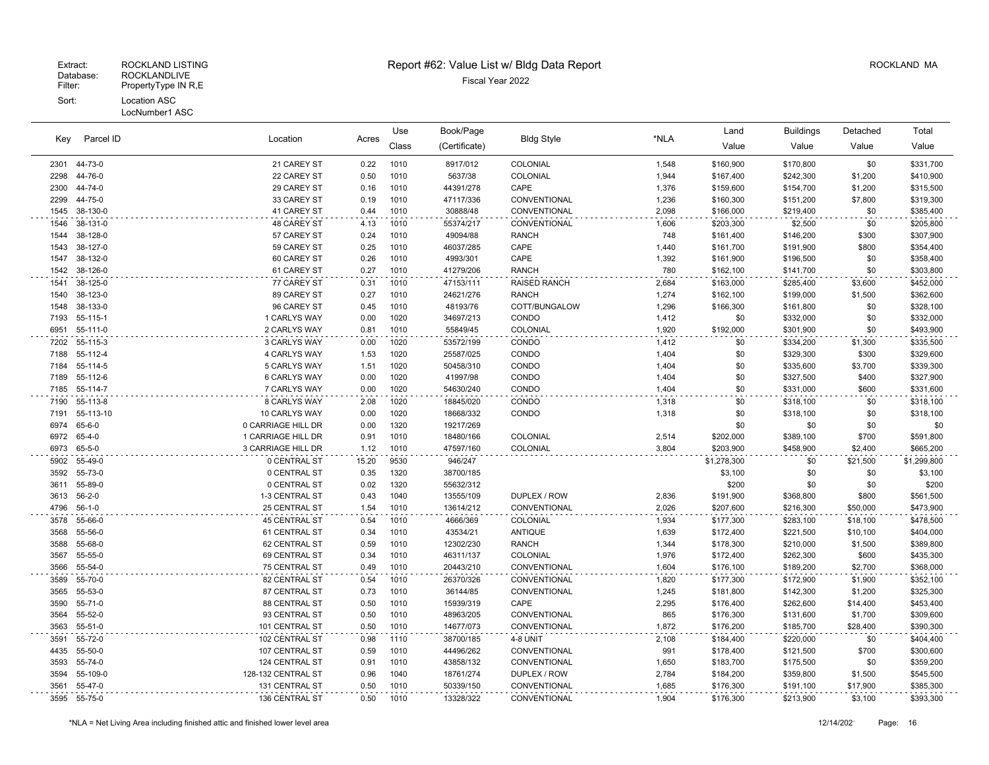#### LocNumber1 ASC

|      |              |                      |       | Use   | Book/Page     |                     |       | Land        | <b>Buildings</b> | Detached | Total       |
|------|--------------|----------------------|-------|-------|---------------|---------------------|-------|-------------|------------------|----------|-------------|
| Kev  | Parcel ID    | Location             | Acres | Class | (Certificate) | <b>Bldg Style</b>   | *NLA  | Value       | Value            | Value    | Value       |
| 2301 | 44-73-0      | 21 CAREY ST          | 0.22  | 1010  | 8917/012      | COLONIAL            | 1,548 | \$160,900   | \$170,800        | \$0      | \$331,700   |
| 2298 | 44-76-0      | 22 CAREY ST          | 0.50  | 1010  | 5637/38       | COLONIAL            | 1,944 | \$167,400   | \$242,300        | \$1,200  | \$410,900   |
| 2300 | 44-74-0      | 29 CAREY ST          | 0.16  | 1010  | 44391/278     | CAPE                | 1,376 | \$159,600   | \$154,700        | \$1,200  | \$315,500   |
| 2299 | 44-75-0      | 33 CAREY ST          | 0.19  | 1010  | 47117/336     | CONVENTIONAL        | 1,236 | \$160,300   | \$151,200        | \$7,800  | \$319,300   |
| 1545 | 38-130-0     | 41 CAREY ST          | 0.44  | 1010  | 30888/48      | CONVENTIONAL        | 2,098 | \$166,000   | \$219,400        | \$0      | \$385,400   |
| 1546 | 38-131-0     | 48 CAREY ST          | 4.13  | 1010  | 55374/217     | CONVENTIONAL        | 1,606 | \$203,300   | \$2,500          | \$0      | \$205,800   |
| 1544 | 38-128-0     | 57 CAREY ST          | 0.24  | 1010  | 49094/88      | <b>RANCH</b>        | 748   | \$161,400   | \$146,200        | \$300    | \$307,900   |
| 1543 | 38-127-0     | 59 CAREY ST          | 0.25  | 1010  | 46037/285     | CAPE                | 1,440 | \$161,700   | \$191,900        | \$800    | \$354,400   |
| 1547 | 38-132-0     | 60 CAREY ST          | 0.26  | 1010  | 4993/301      | CAPE                | 1,392 | \$161,900   | \$196,500        | \$0      | \$358,400   |
| 1542 | 38-126-0     | 61 CAREY ST          | 0.27  | 1010  | 41279/206     | <b>RANCH</b>        | 780   | \$162,100   | \$141,700        | \$0      | \$303,800   |
| 1541 | 38-125-0     | 77 CAREY ST          | 0.31  | 1010  | 47153/111     | <b>RAISED RANCH</b> | 2,684 | \$163,000   | \$285,400        | \$3,600  | \$452,000   |
| 1540 | 38-123-0     | 89 CAREY ST          | 0.27  | 1010  | 24621/276     | <b>RANCH</b>        | 1,274 | \$162,100   | \$199,000        | \$1,500  | \$362,600   |
| 1548 | 38-133-0     | 96 CAREY ST          | 0.45  | 1010  | 48193/76      | COTT/BUNGALOW       | 1,296 | \$166,300   | \$161,800        | \$0      | \$328,100   |
| 7193 | 55-115-1     | 1 CARLYS WAY         | 0.00  | 1020  | 34697/213     | CONDO               | 1,412 | \$0         | \$332,000        | \$0      | \$332,000   |
| 6951 | 55-111-0     | 2 CARLYS WAY         | 0.81  | 1010  | 55849/45      | COLONIAL            | 1,920 | \$192,000   | \$301,900        | \$0      | \$493,900   |
| 7202 | 55-115-3     | 3 CARLYS WAY         | 0.00  | 1020  | 53572/199     | CONDO               | 1,412 | \$0         | \$334,200        | \$1,300  | \$335,500   |
| 7188 | 55-112-4     | 4 CARLYS WAY         | 1.53  | 1020  | 25587/025     | CONDO               | 1,404 | \$0         | \$329,300        | \$300    | \$329,600   |
| 7184 | 55-114-5     | 5 CARLYS WAY         | 1.51  | 1020  | 50458/310     | CONDO               | 1,404 | \$0         | \$335,600        | \$3,700  | \$339,300   |
| 7189 | 55-112-6     | <b>6 CARLYS WAY</b>  | 0.00  | 1020  | 41997/98      | CONDO               | 1,404 | \$0         | \$327,500        | \$400    | \$327,900   |
| 7185 | 55-114-7     | 7 CARLYS WAY         | 0.00  | 1020  | 54630/240     | CONDO               | 1,404 | \$0         | \$331,000        | \$600    | \$331,600   |
| 7190 | 55-113-8     | 8 CARLYS WAY         | 2.08  | 1020  | 18845/020     | CONDO               | 1,318 | \$0         | \$318,100        | \$0      | \$318,100   |
| 7191 | 55-113-10    | 10 CARLYS WAY        | 0.00  | 1020  | 18668/332     | CONDO               | 1,318 | \$0         | \$318,100        | \$0      | \$318,100   |
| 6974 | 65-6-0       | 0 CARRIAGE HILL DR   | 0.00  | 1320  | 19217/269     |                     |       | \$0         | \$0              | \$0      | \$0         |
| 6972 | 65-4-0       | 1 CARRIAGE HILL DR   | 0.91  | 1010  | 18480/166     | COLONIAL            | 2,514 | \$202,000   | \$389,100        | \$700    | \$591,800   |
| 6973 | 65-5-0       | 3 CARRIAGE HILL DR   | 1.12  | 1010  | 47597/160     | COLONIAL            | 3,804 | \$203,900   | \$458,900        | \$2,400  | \$665,200   |
| 5902 | 55-49-0      | 0 CENTRAL ST         | 15.20 | 9530  | 946/247       |                     |       | \$1,278,300 | \$0              | \$21,500 | \$1,299,800 |
| 3592 | 55-73-0      | 0 CENTRAL ST         | 0.35  | 1320  | 38700/185     |                     |       | \$3,100     | \$0              | \$0      | \$3,100     |
| 3611 | 55-89-0      | 0 CENTRAL ST         | 0.02  | 1320  | 55632/312     |                     |       | \$200       | \$0              | \$0      | \$200       |
| 3613 | $56 - 2 - 0$ | 1-3 CENTRAL ST       | 0.43  | 1040  | 13555/109     | DUPLEX / ROW        | 2,836 | \$191,900   | \$368,800        | \$800    | \$561,500   |
| 4796 | $56-1-0$     | 25 CENTRAL ST        | 1.54  | 1010  | 13614/212     | CONVENTIONAL        | 2,026 | \$207,600   | \$216,300        | \$50,000 | \$473,900   |
| 3578 | 55-66-0      | <b>45 CENTRAL ST</b> | 0.54  | 1010  | 4666/369      | COLONIAL            | 1,934 | \$177,300   | \$283,100        | \$18,100 | \$478,500   |
| 3568 | 55-56-0      | 61 CENTRAL ST        | 0.34  | 1010  | 43534/21      | ANTIQUE             | 1,639 | \$172,400   | \$221,500        | \$10,100 | \$404,000   |
| 3588 | 55-68-0      | 62 CENTRAL ST        | 0.59  | 1010  | 12302/230     | <b>RANCH</b>        | 1,344 | \$178,300   | \$210,000        | \$1,500  | \$389,800   |
| 3567 | 55-55-0      | 69 CENTRAL ST        | 0.34  | 1010  | 46311/137     | COLONIAL            | 1,976 | \$172,400   | \$262,300        | \$600    | \$435,300   |
| 3566 | 55-54-0      | 75 CENTRAL ST        | 0.49  | 1010  | 20443/210     | CONVENTIONAL        | 1,604 | \$176,100   | \$189,200        | \$2,700  | \$368,000   |
| 3589 | 55-70-0      | 82 CENTRAL ST        | 0.54  | 1010  | 26370/326     | CONVENTIONAL        | 1,820 | \$177,300   | \$172,900        | \$1,900  | \$352,100   |
| 3565 | 55-53-0      | 87 CENTRAL ST        | 0.73  | 1010  | 36144/85      | CONVENTIONAL        | 1,245 | \$181,800   | \$142,300        | \$1,200  | \$325,300   |
| 3590 | 55-71-0      | 88 CENTRAL ST        | 0.50  | 1010  | 15939/319     | CAPE                | 2,295 | \$176,400   | \$262,600        | \$14,400 | \$453,400   |
| 3564 | 55-52-0      | 93 CENTRAL ST        | 0.50  | 1010  | 48963/205     | CONVENTIONAL        | 865   | \$176,300   | \$131,600        | \$1,700  | \$309,600   |
| 3563 | 55-51-0      | 101 CENTRAL ST       | 0.50  | 1010  | 14677/073     | CONVENTIONAL        | 1,872 | \$176,200   | \$185,700        | \$28,400 | \$390,300   |
| 3591 | 55-72-0      | 102 CENTRAL ST       | 0.98  | 1110  | 38700/185     | 4-8 UNIT            | 2,108 | \$184,400   | \$220,000        | \$0      | \$404,400   |
| 4435 | 55-50-0      | 107 CENTRAL ST       | 0.59  | 1010  | 44496/262     | CONVENTIONAL        | 991   | \$178,400   | \$121,500        | \$700    | \$300,600   |
| 3593 | 55-74-0      | 124 CENTRAL ST       | 0.91  | 1010  | 43858/132     | CONVENTIONAL        | 1,650 | \$183,700   | \$175,500        | \$0      | \$359,200   |
| 3594 | 55-109-0     | 128-132 CENTRAL ST   | 0.96  | 1040  | 18761/274     | DUPLEX / ROW        | 2,784 | \$184,200   | \$359,800        | \$1,500  | \$545,500   |
| 3561 | 55-47-0      | 131 CENTRAL ST       | 0.50  | 1010  | 50339/150     | CONVENTIONAL        | 1,685 | \$176,300   | \$191,100        | \$17,900 | \$385,300   |
| 3595 | 55-75-0      | 136 CENTRAL ST       | 0.50  | 1010  | 13328/322     | CONVENTIONAL        | 1,904 | \$176,300   | \$213,900        | \$3,100  | \$393,300   |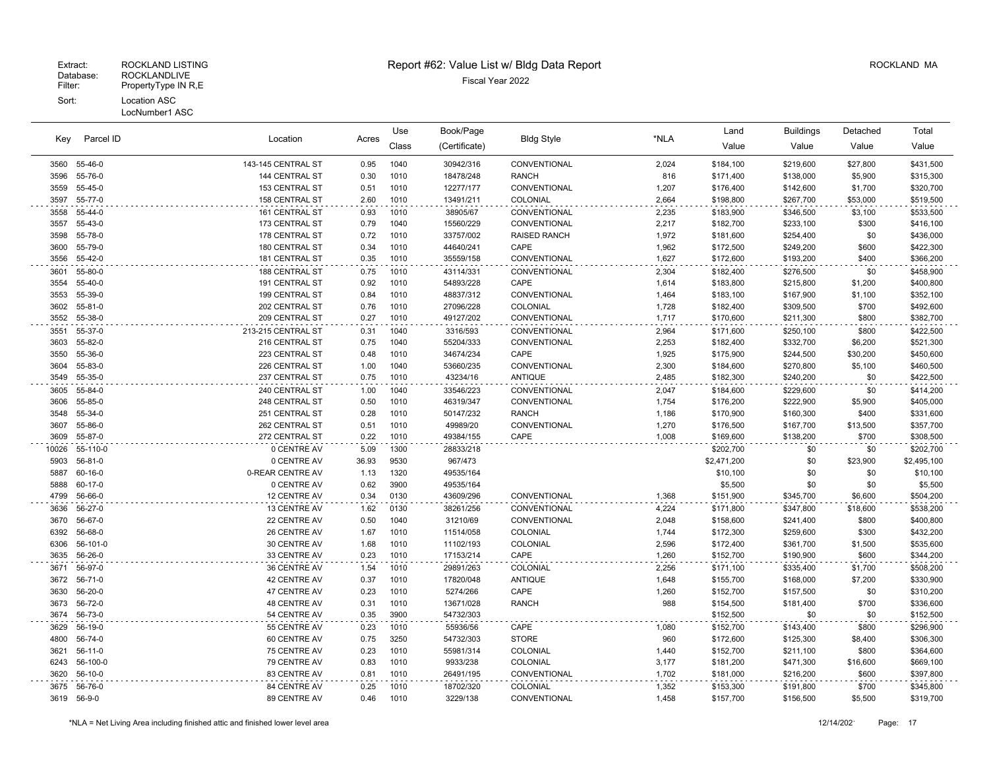# Extract: ROCKLAND LISTING Report #62: Value List w/ Bldg Data Report ROCKLAND MA

Location Acres Value Value Value Value Key Book/Page Land Buildings Detached (Certificate) Bldg Style \*NLA Class Use Parcel ID Total 55-46-0 143-145 CENTRAL ST 0.95 1040 30942/316 CONVENTIONAL 2,024 \$184,100 \$219,600 \$27,800 \$431,500 55-76-0 144 CENTRAL ST 0.30 1010 18478/248 RANCH 816 \$171,400 \$138,000 \$5,900 \$315,300 55-45-0 153 CENTRAL ST 0.51 1010 12277/177 CONVENTIONAL 1,207 \$176,400 \$142,600 \$1,700 \$320,700 55-77-0 158 CENTRAL ST 2.60 1010 13491/211 COLONIAL 2,664 \$198,800 \$267,700 \$53,000 \$519,500 55-44-0 161 CENTRAL ST 0.93 1010 38905/67 CONVENTIONAL 2,235 \$183,900 \$346,500 \$3,100 \$533,500 55-43-0 173 CENTRAL ST 0.79 1040 15560/229 CONVENTIONAL 2,217 \$182,700 \$233,100 \$300 \$416,100 55-78-0 178 CENTRAL ST 0.72 1010 33757/002 RAISED RANCH 1,972 \$181,600 \$254,400 \$0 \$436,000 55-79-0 180 CENTRAL ST 0.34 1010 44640/241 CAPE 1,962 \$172,500 \$249,200 \$600 \$422,300 55-42-0 181 CENTRAL ST 0.35 1010 35559/158 CONVENTIONAL 1,627 \$172,600 \$193,200 \$400 \$366,200 55-80-0 188 CENTRAL ST 0.75 1010 43114/331 CONVENTIONAL 2,304 \$182,400 \$276,500 \$0 \$458,900 55-40-0 191 CENTRAL ST 0.92 1010 54893/228 CAPE 1,614 \$183,800 \$215,800 \$1,200 \$400,800 55-39-0 199 CENTRAL ST 0.84 1010 48837/312 CONVENTIONAL 1,464 \$183,100 \$167,900 \$1,100 \$352,100 55-81-0 202 CENTRAL ST 0.76 1010 27096/228 COLONIAL 1,728 \$182,400 \$309,500 \$700 \$492,600 55-38-0 209 CENTRAL ST 0.27 1010 49127/202 CONVENTIONAL 1,717 \$170,600 \$211,300 \$800 \$382,700 55-37-0 213-215 CENTRAL ST 0.31 1040 3316/593 CONVENTIONAL 2,964 \$171,600 \$250,100 \$800 \$422,500 55-82-0 216 CENTRAL ST 0.75 1040 55204/333 CONVENTIONAL 2,253 \$182,400 \$332,700 \$6,200 \$521,300 55-36-0 223 CENTRAL ST 0.48 1010 34674/234 CAPE 1,925 \$175,900 \$244,500 \$30,200 \$450,600 55-83-0 226 CENTRAL ST 1.00 1040 53660/235 CONVENTIONAL 2,300 \$184,600 \$270,800 \$5,100 \$460,500 55-35-0 237 CENTRAL ST 0.75 1010 43234/16 ANTIQUE 2,485 \$182,300 \$240,200 \$0 \$422,500 55-84-0 240 CENTRAL ST 1.00 1040 33546/223 CONVENTIONAL 2,047 \$184,600 \$229,600 \$0 \$414,200 55-85-0 248 CENTRAL ST 0.50 1010 46319/347 CONVENTIONAL 1,754 \$176,200 \$222,900 \$5,900 \$405,000 55-34-0 251 CENTRAL ST 0.28 1010 50147/232 RANCH 1,186 \$170,900 \$160,300 \$400 \$331,600 55-86-0 262 CENTRAL ST 0.51 1010 49989/20 CONVENTIONAL 1,270 \$176,500 \$167,700 \$13,500 \$357,700 55-87-0 272 CENTRAL ST 0.22 1010 49384/155 CAPE 1,008 \$169,600 \$138,200 \$700 \$308,500 10026 55-110-0 0 CENTRE AV 5.09 1300 28833/218 \$202,700 \$0 \$0 \$202,700 56-81-0 0 CENTRE AV 36.93 9530 967/473 \$2,471,200 \$0 \$23,900 \$2,495,100 60-16-0 0-REAR CENTRE AV 1.13 1320 49535/164 \$10,100 \$0 \$0 \$10,100 5888 60-17-0 0 CENTRE AV 0.62 3900 49535/164 \$5,500 \$0 \$0 \$5,500 \$5,500 56-66-0 12 CENTRE AV 0.34 0130 43609/296 CONVENTIONAL 1,368 \$151,900 \$345,700 \$6,600 \$504,200 56-27-0 13 CENTRE AV 1.62 0130 38261/256 CONVENTIONAL 4,224 \$171,800 \$347,800 \$18,600 \$538,200 56-67-0 22 CENTRE AV 0.50 1040 31210/69 CONVENTIONAL 2,048 \$158,600 \$241,400 \$800 \$400,800 56-68-0 26 CENTRE AV 1.67 1010 11514/058 COLONIAL 1,744 \$172,300 \$259,600 \$300 \$432,200 56-101-0 30 CENTRE AV 1.68 1010 11102/193 COLONIAL 2,596 \$172,400 \$361,700 \$1,500 \$535,600 56-26-0 33 CENTRE AV 0.23 1010 17153/214 CAPE 1,260 \$152,700 \$190,900 \$600 \$344,200 56-97-0 36 CENTRE AV 1.54 1010 29891/263 COLONIAL 2,256 \$171,100 \$335,400 \$1,700 \$508,200 56-71-0 42 CENTRE AV 0.37 1010 17820/048 ANTIQUE 1,648 \$155,700 \$168,000 \$7,200 \$330,900 56-20-0 47 CENTRE AV 0.23 1010 5274/266 CAPE 1,260 \$152,700 \$157,500 \$0 \$310,200 56-72-0 48 CENTRE AV 0.31 1010 13671/028 RANCH 988 \$154,500 \$181,400 \$700 \$336,600 56-73-0 54 CENTRE AV 0.35 3900 54732/303 \$152,500 \$0 \$0 \$152,500 56-19-0 55 CENTRE AV 0.23 1010 55936/56 CAPE 1,080 \$152,700 \$143,400 \$800 \$296,900 56-74-0 60 CENTRE AV 0.75 3250 54732/303 STORE 960 \$172,600 \$125,300 \$8,400 \$306,300 56-11-0 75 CENTRE AV 0.23 1010 55981/314 COLONIAL 1,440 \$152,700 \$211,100 \$800 \$364,600 56-100-0 79 CENTRE AV 0.83 1010 9933/238 COLONIAL 3,177 \$181,200 \$471,300 \$16,600 \$669,100 56-10-0 83 CENTRE AV 0.81 1010 26491/195 CONVENTIONAL 1,702 \$181,000 \$216,200 \$600 \$397,800 56-76-0 84 CENTRE AV 0.25 1010 18702/320 COLONIAL 1,352 \$153,300 \$191,800 \$700 \$345,800 56-9-0 89 CENTRE AV 0.46 1010 3229/138 CONVENTIONAL 1,458 \$157,700 \$156,500 \$5,500 \$319,700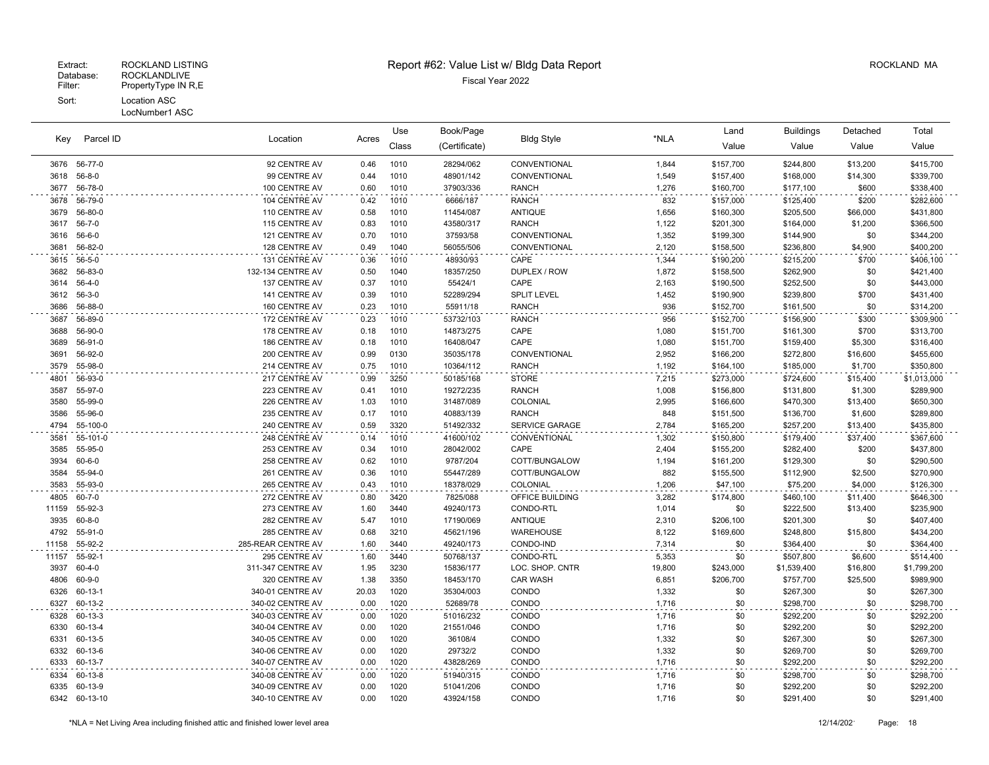|              |                   |                                |              | Use          | Book/Page             |                       |                | Land                   | <b>Buildings</b>       | Detached     | Total                  |
|--------------|-------------------|--------------------------------|--------------|--------------|-----------------------|-----------------------|----------------|------------------------|------------------------|--------------|------------------------|
| Key          | Parcel ID         | Location                       | Acres        | Class        | (Certificate)         | <b>Bldg Style</b>     | *NLA           | Value                  | Value                  | Value        | Value                  |
|              | 3676 56-77-0      | 92 CENTRE AV                   | 0.46         | 1010         | 28294/062             | CONVENTIONAL          | 1,844          | \$157,700              | \$244,800              | \$13,200     | \$415,700              |
| 3618         | $56 - 8 - 0$      | 99 CENTRE AV                   | 0.44         | 1010         | 48901/142             | CONVENTIONAL          | 1,549          | \$157,400              | \$168,000              | \$14,300     | \$339,700              |
| 3677         | 56-78-0           | 100 CENTRE AV                  | 0.60         | 1010         | 37903/336             | <b>RANCH</b>          | 1,276          | \$160,700              | \$177,100              | \$600        | \$338,400              |
| 3678         | 56-79-0           | 104 CENTRE AV                  | 0.42         | 1010         | 6666/187              | <b>RANCH</b>          | 832            | \$157,000              | \$125,400              | \$200        | \$282,600              |
| 3679         | 56-80-0           | 110 CENTRE AV                  | 0.58         | 1010         | 11454/087             | ANTIQUE               | 1,656          | \$160,300              | \$205,500              | \$66,000     | \$431,800              |
| 3617         | $56 - 7 - 0$      | 115 CENTRE AV                  | 0.83         | 1010         | 43580/317             | <b>RANCH</b>          | 1,122          | \$201,300              | \$164,000              | \$1,200      | \$366,500              |
| 3616         | 56-6-0            | 121 CENTRE AV                  | 0.70         | 1010         | 37593/58              | CONVENTIONAL          | 1,352          | \$199,300              | \$144,900              | \$0          | \$344,200              |
| 3681         | 56-82-0           | 128 CENTRE AV                  | 0.49         | 1040         | 56055/506             | CONVENTIONAL          | 2,120          | \$158,500              | \$236,800              | \$4,900      | \$400,200              |
| 3615         | $56 - 5 - 0$      | 131 CENTRE AV                  | 0.36         | 1010         | 48930/93              | CAPE                  | 1,344          | \$190,200              | \$215,200              | \$700        | \$406,100              |
| 3682         | 56-83-0           | 132-134 CENTRE AV              | 0.50         | 1040         | 18357/250             | DUPLEX / ROW          | 1,872          | \$158,500              | \$262,900              | \$0          | \$421,400              |
| 3614         | $56 - 4 - 0$      | 137 CENTRE AV                  | 0.37         | 1010         | 55424/1               | CAPE                  | 2,163          | \$190,500              | \$252,500              | \$0          | \$443,000              |
| 3612         | $56 - 3 - 0$      | 141 CENTRE AV                  | 0.39         | 1010         | 52289/294             | <b>SPLIT LEVEL</b>    | 1,452          | \$190,900              | \$239,800              | \$700        | \$431,400              |
| 3686         | 56-88-0           | 160 CENTRE AV                  | 0.23         | 1010         | 55911/18              | <b>RANCH</b>          | 936            | \$152,700              | \$161,500              | \$0          | \$314,200              |
| 3687         | 56-89-0           | 172 CENTRE AV                  | 0.23         | 1010         | 53732/103             | <b>RANCH</b>          | 956            | \$152,700              | \$156,900              | \$300        | \$309,900              |
| 3688         | 56-90-0           | 178 CENTRE AV                  | 0.18         | 1010         | 14873/275             | CAPE                  | 1,080          | \$151,700              | \$161,300              | \$700        | \$313,700              |
| 3689         | 56-91-0           | 186 CENTRE AV                  | 0.18         | 1010         | 16408/047             | CAPE                  | 1,080          | \$151,700              | \$159,400              | \$5,300      | \$316,400              |
| 3691         | 56-92-0           | 200 CENTRE AV                  | 0.99         | 0130         | 35035/178             | CONVENTIONAL          | 2,952          | \$166,200              | \$272,800              | \$16,600     | \$455,600              |
| 3579         | 55-98-0           | 214 CENTRE AV                  | 0.75         | 1010         | 10364/112             | <b>RANCH</b>          | 1,192          | \$164,100              | \$185,000              | \$1,700      | \$350,800              |
| 4801         | 56-93-0           | 217 CENTRE AV                  | 0.99         | 3250         | 50185/168             | <b>STORE</b>          | 7,215          | \$273,000              | \$724,600              | \$15,400     | \$1,013,000            |
| 3587         | 55-97-0           | 223 CENTRE AV                  | 0.41         | 1010         | 19272/235             | <b>RANCH</b>          | 1,008          | \$156,800              | \$131,800              | \$1,300      | \$289,900              |
| 3580         | 55-99-0           | 226 CENTRE AV                  | 1.03         | 1010         | 31487/089             | COLONIAL              | 2,995          | \$166,600              | \$470,300              | \$13,400     | \$650,300              |
| 3586         | 55-96-0           | 235 CENTRE AV                  | 0.17         | 1010         | 40883/139             | <b>RANCH</b>          | 848            | \$151,500              | \$136,700              | \$1,600      | \$289,800              |
| 4794         | 55-100-0          | 240 CENTRE AV                  | 0.59         | 3320         | 51492/332             | SERVICE GARAGE        | 2,784          | \$165,200              | \$257,200              | \$13,400     | \$435,800              |
| 3581         | 55-101-0          | 248 CENTRE AV                  | 0.14         | 1010         | 41600/102             | CONVENTIONAL          | 1,302          | \$150,800              | \$179,400              | \$37,400     | \$367,600              |
| 3585<br>3934 | 55-95-0<br>60-6-0 | 253 CENTRE AV                  | 0.34<br>0.62 | 1010<br>1010 | 28042/002<br>9787/204 | CAPE<br>COTT/BUNGALOW | 2,404<br>1,194 | \$155,200              | \$282,400              | \$200<br>\$0 | \$437,800<br>\$290,500 |
| 3584         | 55-94-0           | 258 CENTRE AV<br>261 CENTRE AV | 0.36         | 1010         | 55447/289             | COTT/BUNGALOW         | 882            | \$161,200<br>\$155,500 | \$129,300<br>\$112,900 | \$2,500      | \$270,900              |
| 3583         | 55-93-0           | 265 CENTRE AV                  | 0.43         | 1010         | 18378/029             | COLONIAL              | 1,206          | \$47,100               | \$75,200               | \$4,000      | \$126,300              |
| 4805         | 60-7-0            | 272 CENTRE AV                  | 0.80         | 3420         | 7825/088              | OFFICE BUILDING       | 3,282          | \$174,800              | \$460,100              | \$11,400     | \$646,300              |
| 11159        | 55-92-3           | 273 CENTRE AV                  | 1.60         | 3440         | 49240/173             | CONDO-RTL             | 1,014          | \$0                    | \$222,500              | \$13,400     | \$235,900              |
| 3935         | 60-8-0            | 282 CENTRE AV                  | 5.47         | 1010         | 17190/069             | <b>ANTIQUE</b>        | 2,310          | \$206,100              | \$201,300              | \$0          | \$407,400              |
| 4792         | 55-91-0           | 285 CENTRE AV                  | 0.68         | 3210         | 45621/196             | WAREHOUSE             | 8,122          | \$169,600              | \$248,800              | \$15,800     | \$434,200              |
| 11158        | 55-92-2           | 285-REAR CENTRE AV             | 1.60         | 3440         | 49240/173             | CONDO-IND             | 7,314          | \$0                    | \$364,400              | \$0          | \$364,400              |
| 11157        | 55-92-1           | 295 CENTRE AV                  | 1.60         | 3440         | 50768/137             | CONDO-RTL             | 5,353          | \$0                    | \$507,800              | \$6,600      | \$514,400              |
| 3937         | $60 - 4 - 0$      | 311-347 CENTRE AV              | 1.95         | 3230         | 15836/177             | LOC. SHOP. CNTR       | 19,800         | \$243,000              | \$1,539,400            | \$16,800     | \$1,799,200            |
| 4806         | 60-9-0            | 320 CENTRE AV                  | 1.38         | 3350         | 18453/170             | <b>CAR WASH</b>       | 6,851          | \$206,700              | \$757,700              | \$25,500     | \$989,900              |
| 6326         | 60-13-1           | 340-01 CENTRE AV               | 20.03        | 1020         | 35304/003             | CONDO                 | 1,332          | \$0                    | \$267,300              | \$0          | \$267,300              |
| 6327         | 60-13-2           | 340-02 CENTRE AV               | 0.00         | 1020         | 52689/78              | CONDO                 | 1,716          | \$0                    | \$298,700              | \$0          | \$298,700              |
| 6328         | 60-13-3           | 340-03 CENTRE AV               | 0.00         | 1020         | 51016/232             | CONDO                 | 1,716          | \$0                    | \$292,200              | \$0          | \$292,200              |
| 6330         | 60-13-4           | 340-04 CENTRE AV               | 0.00         | 1020         | 21551/046             | CONDO                 | 1,716          | \$0                    | \$292,200              | \$0          | \$292,200              |
| 6331         | 60-13-5           | 340-05 CENTRE AV               | 0.00         | 1020         | 36108/4               | CONDO                 | 1,332          | \$0                    | \$267,300              | \$0          | \$267,300              |
| 6332         | 60-13-6           | 340-06 CENTRE AV               | 0.00         | 1020         | 29732/2               | CONDO                 | 1,332          | \$0                    | \$269,700              | \$0          | \$269,700              |
| 6333         | 60-13-7           | 340-07 CENTRE AV               | 0.00         | 1020         | 43828/269             | CONDO                 | 1,716          | \$0                    | \$292,200              | \$0          | \$292,200              |
| 6334         | 60-13-8           | 340-08 CENTRE AV               | 0.00         | 1020         | 51940/315             | CONDO                 | 1,716          | \$0                    | \$298,700              | \$0          | \$298,700              |
| 6335         | 60-13-9           | 340-09 CENTRE AV               | 0.00         | 1020         | 51041/206             | CONDO                 | 1,716          | \$0                    | \$292,200              | \$0          | \$292,200              |
|              | 6342 60-13-10     | 340-10 CENTRE AV               | 0.00         | 1020         | 43924/158             | CONDO                 | 1,716          | \$0                    | \$291,400              | \$0          | \$291,400              |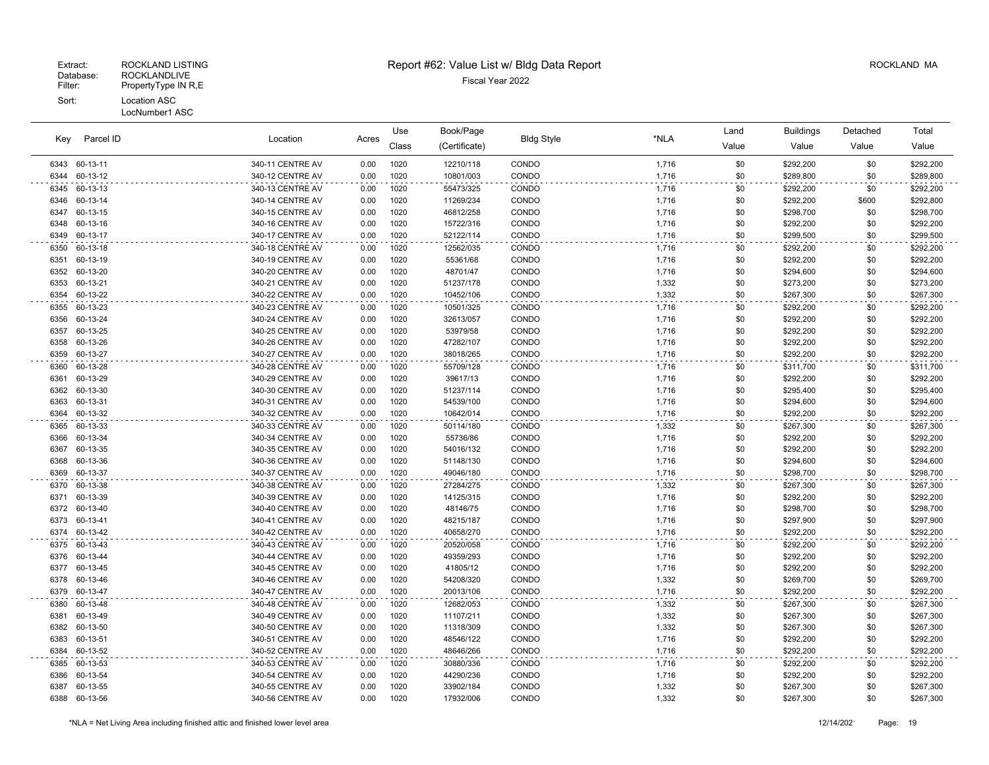|      | Parcel ID     | Location         |       | Use   | Book/Page     |                   | *NLA  | Land  | <b>Buildings</b> | Detached | Total     |
|------|---------------|------------------|-------|-------|---------------|-------------------|-------|-------|------------------|----------|-----------|
| Key  |               |                  | Acres | Class | (Certificate) | <b>Bldg Style</b> |       | Value | Value            | Value    | Value     |
|      | 6343 60-13-11 | 340-11 CENTRE AV | 0.00  | 1020  | 12210/118     | CONDO             | 1,716 | \$0   | \$292,200        | \$0      | \$292,200 |
| 6344 | 60-13-12      | 340-12 CENTRE AV | 0.00  | 1020  | 10801/003     | CONDO             | 1,716 | \$0   | \$289,800        | \$0      | \$289,800 |
| 6345 | 60-13-13      | 340-13 CENTRE AV | 0.00  | 1020  | 55473/325     | CONDO             | 1,716 | \$0   | \$292,200        | \$0      | \$292,200 |
| 6346 | 60-13-14      | 340-14 CENTRE AV | 0.00  | 1020  | 11269/234     | CONDO             | 1,716 | \$0   | \$292,200        | \$600    | \$292,800 |
| 6347 | 60-13-15      | 340-15 CENTRE AV | 0.00  | 1020  | 46812/258     | CONDO             | 1,716 | \$0   | \$298,700        | \$0      | \$298,700 |
| 6348 | 60-13-16      | 340-16 CENTRE AV | 0.00  | 1020  | 15722/316     | CONDO             | 1,716 | \$0   | \$292,200        | \$0      | \$292,200 |
| 6349 | 60-13-17      | 340-17 CENTRE AV | 0.00  | 1020  | 52122/114     | CONDO             | 1,716 | \$0   | \$299,500        | \$0      | \$299,500 |
| 6350 | 60-13-18      | 340-18 CENTRE AV | 0.00  | 1020  | 12562/035     | CONDO             | 1,716 | \$0   | \$292,200        | \$0      | \$292,200 |
| 6351 | 60-13-19      | 340-19 CENTRE AV | 0.00  | 1020  | 55361/68      | CONDO             | 1,716 | \$0   | \$292,200        | \$0      | \$292,200 |
| 6352 | 60-13-20      | 340-20 CENTRE AV | 0.00  | 1020  | 48701/47      | CONDO             | 1,716 | \$0   | \$294,600        | \$0      | \$294,600 |
| 6353 | 60-13-21      | 340-21 CENTRE AV | 0.00  | 1020  | 51237/178     | CONDO             | 1,332 | \$0   | \$273,200        | \$0      | \$273,200 |
| 6354 | 60-13-22      | 340-22 CENTRE AV | 0.00  | 1020  | 10452/106     | CONDO             | 1,332 | \$0   | \$267,300        | \$0      | \$267,300 |
| 6355 | 60-13-23      | 340-23 CENTRE AV | 0.00  | 1020  | 10501/325     | CONDO             | 1,716 | \$0   | \$292,200        | \$0      | \$292,200 |
| 6356 | 60-13-24      | 340-24 CENTRE AV | 0.00  | 1020  | 32613/057     | CONDO             | 1,716 | \$0   | \$292,200        | \$0      | \$292,200 |
| 6357 | 60-13-25      | 340-25 CENTRE AV | 0.00  | 1020  | 53979/58      | CONDO             | 1,716 | \$0   | \$292,200        | \$0      | \$292,200 |
| 6358 | 60-13-26      | 340-26 CENTRE AV | 0.00  | 1020  | 47282/107     | CONDO             | 1,716 | \$0   | \$292,200        | \$0      | \$292,200 |
| 6359 | 60-13-27      | 340-27 CENTRE AV | 0.00  | 1020  | 38018/265     | CONDO             | 1,716 | \$0   | \$292,200        | \$0      | \$292,200 |
| 6360 | 60-13-28      | 340-28 CENTRE AV | 0.00  | 1020  | 55709/128     | CONDO             | 1,716 | \$0   | \$311,700        | \$0      | \$311,700 |
| 6361 | 60-13-29      | 340-29 CENTRE AV | 0.00  | 1020  | 39617/13      | CONDO             | 1,716 | \$0   | \$292,200        | \$0      | \$292,200 |
| 6362 | 60-13-30      | 340-30 CENTRE AV | 0.00  | 1020  | 51237/114     | CONDO             | 1,716 | \$0   | \$295,400        | \$0      | \$295,400 |
| 6363 | 60-13-31      | 340-31 CENTRE AV | 0.00  | 1020  | 54539/100     | CONDO             | 1,716 | \$0   | \$294,600        | \$0      | \$294,600 |
| 6364 | 60-13-32      | 340-32 CENTRE AV | 0.00  | 1020  | 10642/014     | CONDO             | 1.716 | \$0   | \$292,200        | \$0      | \$292,200 |
| 6365 | 60-13-33      | 340-33 CENTRE AV | 0.00  | 1020  | 50114/180     | CONDO             | 1,332 | \$0   | \$267,300        | \$0      | \$267,300 |
| 6366 | 60-13-34      | 340-34 CENTRE AV | 0.00  | 1020  | 55736/86      | CONDO             | 1,716 | \$0   | \$292,200        | \$0      | \$292,200 |
| 6367 | 60-13-35      | 340-35 CENTRE AV | 0.00  | 1020  | 54016/132     | CONDO             | 1,716 | \$0   | \$292,200        | \$0      | \$292,200 |
| 6368 | 60-13-36      | 340-36 CENTRE AV | 0.00  | 1020  | 51148/130     | CONDO             | 1,716 | \$0   | \$294,600        | \$0      | \$294,600 |
| 6369 | 60-13-37      | 340-37 CENTRE AV | 0.00  | 1020  | 49046/180     | CONDO             | 1,716 | \$0   | \$298,700        | \$0      | \$298,700 |
| 6370 | 60-13-38      | 340-38 CENTRE AV | 0.00  | 1020  | 27284/275     | CONDO             | 1,332 | \$0   | \$267,300        | \$0      | \$267,300 |
| 6371 | 60-13-39      | 340-39 CENTRE AV | 0.00  | 1020  | 14125/315     | CONDO             | 1,716 | \$0   | \$292,200        | \$0      | \$292,200 |
| 6372 | 60-13-40      | 340-40 CENTRE AV | 0.00  | 1020  | 48146/75      | CONDO             | 1,716 | \$0   | \$298,700        | \$0      | \$298,700 |
| 6373 | 60-13-41      | 340-41 CENTRE AV | 0.00  | 1020  | 48215/187     | CONDO             | 1,716 | \$0   | \$297,900        | \$0      | \$297,900 |
| 6374 | 60-13-42      | 340-42 CENTRE AV | 0.00  | 1020  | 40658/270     | CONDO             | 1,716 | \$0   | \$292,200        | \$0      | \$292,200 |
| 6375 | 60-13-43      | 340-43 CENTRE AV | 0.00  | 1020  | 20520/058     | CONDO             | 1,716 | \$0   | \$292,200        | \$0      | \$292,200 |
| 6376 | 60-13-44      | 340-44 CENTRE AV | 0.00  | 1020  | 49359/293     | CONDO             | 1,716 | \$0   | \$292,200        | \$0      | \$292,200 |
| 6377 | 60-13-45      | 340-45 CENTRE AV | 0.00  | 1020  | 41805/12      | CONDO             | 1,716 | \$0   | \$292,200        | \$0      | \$292,200 |
| 6378 | 60-13-46      | 340-46 CENTRE AV | 0.00  | 1020  | 54208/320     | CONDO             | 1,332 | \$0   | \$269,700        | \$0      | \$269,700 |
| 6379 | 60-13-47      | 340-47 CENTRE AV | 0.00  | 1020  | 20013/106     | CONDO             | 1,716 | \$0   | \$292,200        | \$0      | \$292,200 |
| 6380 | 60-13-48      | 340-48 CENTRE AV | 0.00  | 1020  | 12682/053     | CONDO             | 1,332 | \$0   | \$267,300        | \$0      | \$267,300 |
| 6381 | 60-13-49      | 340-49 CENTRE AV | 0.00  | 1020  | 11107/211     | CONDO             | 1,332 | \$0   | \$267,300        | \$0      | \$267,300 |
| 6382 | 60-13-50      | 340-50 CENTRE AV | 0.00  | 1020  | 11318/309     | CONDO             | 1,332 | \$0   | \$267,300        | \$0      | \$267,300 |
| 6383 | 60-13-51      | 340-51 CENTRE AV | 0.00  | 1020  | 48546/122     | CONDO             | 1,716 | \$0   | \$292,200        | \$0      | \$292,200 |
| 6384 | 60-13-52      | 340-52 CENTRE AV | 0.00  | 1020  | 48646/266     | CONDO             | 1,716 | \$0   | \$292,200        | \$0      | \$292,200 |
| 6385 | 60-13-53      | 340-53 CENTRE AV | 0.00  | 1020  | 30880/336     | CONDO             | 1,716 | \$0   | \$292,200        | \$0      | \$292,200 |
| 6386 | 60-13-54      | 340-54 CENTRE AV | 0.00  | 1020  | 44290/236     | CONDO             | 1,716 | \$0   | \$292,200        | \$0      | \$292,200 |
| 6387 | 60-13-55      | 340-55 CENTRE AV | 0.00  | 1020  | 33902/184     | CONDO             | 1,332 | \$0   | \$267,300        | \$0      | \$267,300 |
|      | 6388 60-13-56 | 340-56 CENTRE AV | 0.00  | 1020  | 17932/006     | CONDO             | 1,332 | \$0   | \$267,300        | \$0      | \$267,300 |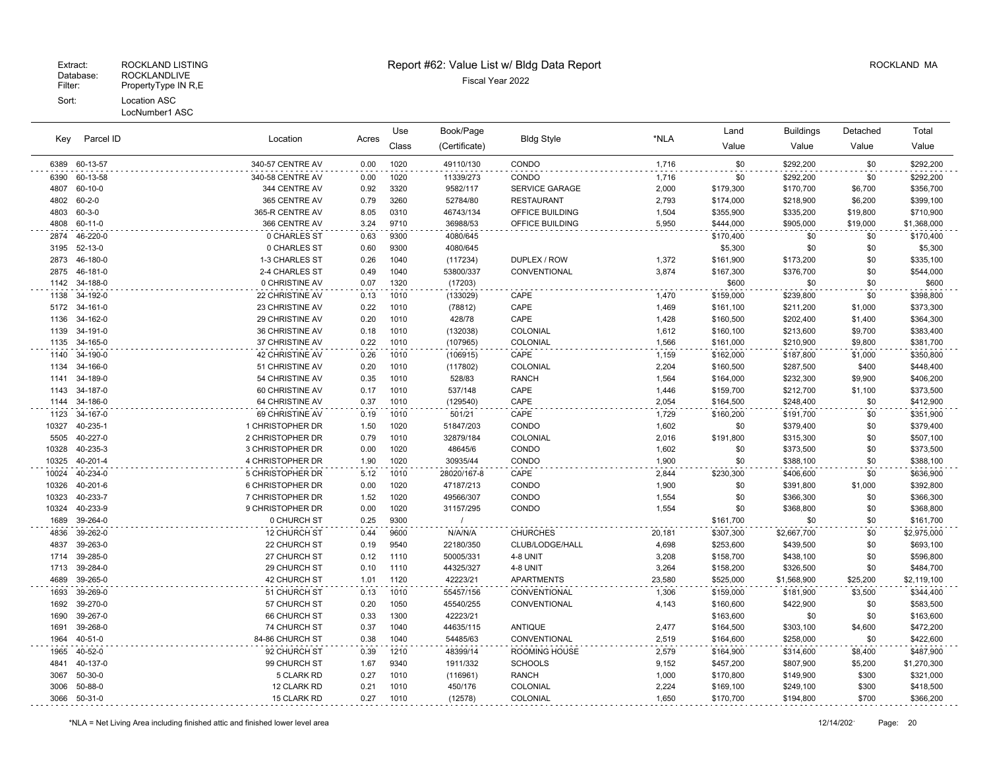|              |                      |                                    |              | Use          | Book/Page          |                       |                | Land                   | <b>Buildings</b>       | Detached         | Total                  |
|--------------|----------------------|------------------------------------|--------------|--------------|--------------------|-----------------------|----------------|------------------------|------------------------|------------------|------------------------|
| Key          | Parcel ID            | Location                           | Acres        | Class        | (Certificate)      | <b>Bldg Style</b>     | *NLA           | Value                  | Value                  | Value            | Value                  |
| 6389         | 60-13-57             | 340-57 CENTRE AV                   | 0.00         | 1020         | 49110/130          | CONDO                 | 1,716          | \$0                    | \$292,200              | \$0              | \$292,200              |
| 6390         | 60-13-58             | 340-58 CENTRE AV                   | 0.00         | 1020         | 11339/273          | CONDO                 | 1,716          | \$0                    | \$292,200              | \$0              | \$292,200              |
| 4807         | 60-10-0              | 344 CENTRE AV                      | 0.92         | 3320         | 9582/117           | <b>SERVICE GARAGE</b> | 2,000          | \$179,300              | \$170,700              | \$6,700          | \$356,700              |
| 4802         | $60 - 2 - 0$         | 365 CENTRE AV                      | 0.79         | 3260         | 52784/80           | <b>RESTAURANT</b>     | 2,793          | \$174,000              | \$218,900              | \$6,200          | \$399,100              |
| 4803         | 60-3-0               | 365-R CENTRE AV                    | 8.05         | 0310         | 46743/134          | OFFICE BUILDING       | 1,504          | \$355,900              | \$335,200              | \$19,800         | \$710,900              |
| 4808         | 60-11-0              | 366 CENTRE AV                      | 3.24         | 9710         | 36988/53           | OFFICE BUILDING       | 5.950          | \$444,000              | \$905,000              | \$19,000         | \$1,368,000            |
| 2874         | 46-220-0             | 0 CHARLES ST                       | 0.63         | 9300         | 4080/645           |                       |                | \$170,400              | \$0                    | \$0              | \$170,400              |
| 3195         | 52-13-0              | 0 CHARLES ST                       | 0.60         | 9300         | 4080/645           |                       |                | \$5,300                | \$0                    | \$0              | \$5,300                |
| 2873         | 46-180-0             | 1-3 CHARLES ST                     | 0.26         | 1040         | (117234)           | DUPLEX / ROW          | 1,372          | \$161,900              | \$173,200              | \$0              | \$335,100              |
| 2875         | 46-181-0             | 2-4 CHARLES ST                     | 0.49         | 1040         | 53800/337          | CONVENTIONAL          | 3,874          | \$167,300              | \$376,700              | \$0              | \$544,000              |
| 1142         | 34-188-0             | 0 CHRISTINE AV                     | 0.07         | 1320         | (17203)            |                       |                | \$600                  | \$0                    | \$0              | \$600                  |
| 1138         | 34-192-0             | 22 CHRISTINE AV                    | 0.13         | 1010         | (133029)           | CAPE                  | 1,470          | \$159,000              | \$239,800              | \$0              | \$398,800              |
| 5172         | 34-161-0             | 23 CHRISTINE AV                    | 0.22         | 1010         | (78812)            | CAPE                  | 1,469          | \$161,100              | \$211,200              | \$1,000          | \$373,300              |
| 1136         | 34-162-0             | 29 CHRISTINE AV                    | 0.20         | 1010         | 428/78             | CAPE                  | 1,428          | \$160,500              | \$202,400              | \$1,400          | \$364,300              |
| 1139         | 34-191-0             | 36 CHRISTINE AV                    | 0.18         | 1010         | (132038)           | COLONIAL              | 1,612          | \$160,100              | \$213,600              | \$9,700          | \$383,400              |
| 1135         | 34-165-0             | 37 CHRISTINE AV                    | 0.22         | 1010         | (107965)           | COLONIAL              | 1,566          | \$161,000              | \$210,900              | \$9,800          | \$381,700              |
| 1140         | 34-190-0<br>34-166-0 | 42 CHRISTINE AV<br>51 CHRISTINE AV | 0.26         | 1010<br>1010 | (106915)           | CAPE<br>COLONIAL      | 1,159<br>2,204 | \$162,000              | \$187,800              | \$1,000<br>\$400 | \$350,800              |
| 1134<br>1141 | 34-189-0             | 54 CHRISTINE AV                    | 0.20<br>0.35 | 1010         | (117802)<br>528/83 | <b>RANCH</b>          | 1,564          | \$160,500<br>\$164,000 | \$287,500<br>\$232,300 | \$9,900          | \$448,400<br>\$406,200 |
| 1143         | 34-187-0             | 60 CHRISTINE AV                    | 0.17         | 1010         | 537/148            | CAPE                  | 1,446          | \$159,700              | \$212,700              | \$1,100          | \$373,500              |
| 1144         | 34-186-0             | 64 CHRISTINE AV                    | 0.37         | 1010         | (129540)           | CAPE                  | 2,054          | \$164,500              | \$248,400              | \$0              | \$412,900              |
| 1123         | 34-167-0             | 69 CHRISTINE AV                    | 0.19         | 1010         | 501/21             | CAPE                  | 1,729          | \$160,200              | \$191,700              | \$0              | \$351,900              |
| 10327        | 40-235-1             | 1 CHRISTOPHER DR                   | 1.50         | 1020         | 51847/203          | CONDO                 | 1,602          | \$0                    | \$379,400              | \$0              | \$379,400              |
| 5505         | 40-227-0             | 2 CHRISTOPHER DR                   | 0.79         | 1010         | 32879/184          | COLONIAL              | 2,016          | \$191,800              | \$315,300              | \$0              | \$507,100              |
| 10328        | 40-235-3             | 3 CHRISTOPHER DR                   | 0.00         | 1020         | 48645/6            | CONDO                 | 1,602          | \$0                    | \$373,500              | \$0              | \$373,500              |
| 10325        | 40-201-4             | 4 CHRISTOPHER DR                   | 1.90         | 1020         | 30935/44           | CONDO                 | 1,900          | \$0                    | \$388,100              | \$0              | \$388,100              |
| 10024        | 40-234-0             | 5 CHRISTOPHER DR                   | 5.12         | 1010         | 28020/167-8        | CAPE                  | 2,844          | \$230,300              | \$406,600              | \$0              | \$636,900              |
| 10326        | 40-201-6             | 6 CHRISTOPHER DR                   | 0.00         | 1020         | 47187/213          | CONDO                 | 1,900          | \$0                    | \$391,800              | \$1,000          | \$392,800              |
| 10323        | 40-233-7             | 7 CHRISTOPHER DR                   | 1.52         | 1020         | 49566/307          | CONDO                 | 1,554          | \$0                    | \$366,300              | \$0              | \$366,300              |
| 10324        | 40-233-9             | 9 CHRISTOPHER DR                   | 0.00         | 1020         | 31157/295          | CONDO                 | 1,554          | \$0                    | \$368,800              | \$0              | \$368,800              |
| 1689         | 39-264-0             | 0 CHURCH ST                        | 0.25         | 9300         |                    |                       |                | \$161,700              | \$0                    | \$0              | \$161,700              |
| 4836         | 39-262-0             | 12 CHURCH ST                       | 0.44         | 9600         | N/A/N/A            | <b>CHURCHES</b>       | 20,181         | \$307,300              | \$2,667,700            | \$0              | \$2,975,000            |
| 4837         | 39-263-0             | 22 CHURCH ST                       | 0.19         | 9540         | 22180/350          | CLUB/LODGE/HALL       | 4,698          | \$253,600              | \$439,500              | \$0              | \$693,100              |
| 1714         | 39-285-0             | 27 CHURCH ST                       | 0.12         | 1110         | 50005/331          | 4-8 UNIT              | 3,208          | \$158,700              | \$438,100              | \$0              | \$596,800              |
| 1713         | 39-284-0             | 29 CHURCH ST                       | 0.10         | 1110         | 44325/327          | 4-8 UNIT              | 3,264          | \$158,200              | \$326,500              | \$0              | \$484,700              |
| 4689         | 39-265-0             | 42 CHURCH ST                       | 1.01         | 1120         | 42223/21           | <b>APARTMENTS</b>     | 23,580         | \$525,000              | \$1,568,900            | \$25,200         | \$2,119,100            |
| 1693         | 39-269-0             | 51 CHURCH ST                       | 0.13         | 1010         | 55457/156          | CONVENTIONAL          | 1,306          | \$159,000              | \$181,900              | \$3,500          | \$344,400              |
| 1692         | 39-270-0             | 57 CHURCH ST                       | 0.20         | 1050         | 45540/255          | CONVENTIONAL          | 4,143          | \$160,600              | \$422,900              | \$0              | \$583,500              |
| 1690         | 39-267-0             | <b>66 CHURCH ST</b>                | 0.33         | 1300         | 42223/21           |                       |                | \$163,600              | \$0                    | \$0              | \$163,600              |
| 1691         | 39-268-0             | 74 CHURCH ST                       | 0.37         | 1040         | 44635/115          | <b>ANTIQUE</b>        | 2,477          | \$164,500              | \$303,100              | \$4,600          | \$472,200              |
| 1964         | $40 - 51 - 0$        | 84-86 CHURCH ST                    | 0.38         | 1040         | 54485/63           | CONVENTIONAL          | 2,519          | \$164,600              | \$258,000              | \$0              | \$422,600              |
| 1965         | 40-52-0              | 92 CHURCH ST                       | 0.39         | 1210         | 48399/14           | <b>ROOMING HOUSE</b>  | 2,579          | \$164,900              | \$314,600              | \$8,400          | \$487,900              |
| 4841         | 40-137-0             | 99 CHURCH ST                       | 1.67         | 9340         | 1911/332           | <b>SCHOOLS</b>        | 9,152          | \$457,200              | \$807,900              | \$5,200          | \$1,270,300            |
| 3067         | $50-30-0$            | 5 CLARK RD                         | 0.27         | 1010         | (116961)           | <b>RANCH</b>          | 1,000          | \$170,800              | \$149,900              | \$300            | \$321,000              |
| 3006         | 50-88-0              | 12 CLARK RD                        | 0.21         | 1010         | 450/176            | COLONIAL              | 2,224          | \$169,100              | \$249,100              | \$300            | \$418,500              |
| 3066         | 50-31-0              | 15 CLARK RD                        | 0.27         | 1010         | (12578)            | COLONIAL              | 1,650          | \$170,700              | \$194,800              | \$700            | \$366,200              |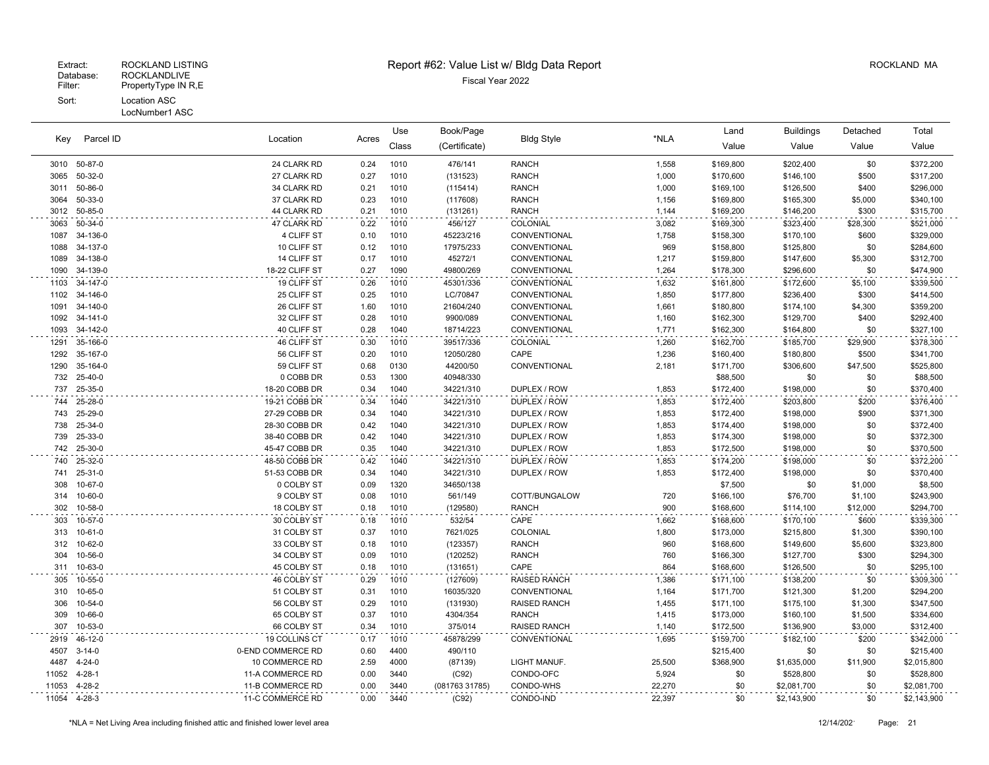#### LocNumber1 ASC

|       |               |                   |       | Use   | Book/Page      |                     | *NLA   | Land      | Buildings   | Detached | Total       |
|-------|---------------|-------------------|-------|-------|----------------|---------------------|--------|-----------|-------------|----------|-------------|
| Kev   | Parcel ID     | Location          | Acres | Class | (Certificate)  | <b>Bldg Style</b>   |        | Value     | Value       | Value    | Value       |
| 3010  | 50-87-0       | 24 CLARK RD       | 0.24  | 1010  | 476/141        | <b>RANCH</b>        | 1,558  | \$169,800 | \$202,400   | \$0      | \$372,200   |
| 3065  | 50-32-0       | 27 CLARK RD       | 0.27  | 1010  | (131523)       | <b>RANCH</b>        | 1,000  | \$170,600 | \$146,100   | \$500    | \$317,200   |
| 3011  | 50-86-0       | 34 CLARK RD       | 0.21  | 1010  | (115414)       | <b>RANCH</b>        | 1,000  | \$169,100 | \$126,500   | \$400    | \$296,000   |
| 3064  | 50-33-0       | 37 CLARK RD       | 0.23  | 1010  | (117608)       | <b>RANCH</b>        | 1,156  | \$169,800 | \$165,300   | \$5,000  | \$340,100   |
| 3012  | 50-85-0       | 44 CLARK RD       | 0.21  | 1010  | (131261)       | <b>RANCH</b>        | 1,144  | \$169,200 | \$146,200   | \$300    | \$315,700   |
| 3063  | 50-34-0       | 47 CLARK RD       | 0.22  | 1010  | 456/127        | COLONIAL            | 3,082  | \$169,300 | \$323,400   | \$28,300 | \$521,000   |
| 1087  | 34-136-0      | 4 CLIFF ST        | 0.10  | 1010  | 45223/216      | CONVENTIONAL        | 1,758  | \$158,300 | \$170,100   | \$600    | \$329,000   |
| 1088  | 34-137-0      | 10 CLIFF ST       | 0.12  | 1010  | 17975/233      | CONVENTIONAL        | 969    | \$158,800 | \$125,800   | \$0      | \$284,600   |
| 1089  | 34-138-0      | 14 CLIFF ST       | 0.17  | 1010  | 45272/1        | CONVENTIONAL        | 1,217  | \$159,800 | \$147,600   | \$5,300  | \$312,700   |
| 1090  | 34-139-0      | 18-22 CLIFF ST    | 0.27  | 1090  | 49800/269      | CONVENTIONAL        | 1,264  | \$178,300 | \$296,600   | \$0      | \$474,900   |
| 1103  | 34-147-0      | 19 CLIFF ST       | 0.26  | 1010  | 45301/336      | CONVENTIONAL        | 1,632  | \$161,800 | \$172,600   | \$5,100  | \$339,500   |
| 1102  | 34-146-0      | 25 CLIFF ST       | 0.25  | 1010  | LC/70847       | CONVENTIONAL        | 1,850  | \$177,800 | \$236,400   | \$300    | \$414,500   |
| 1091  | 34-140-0      | 26 CLIFF ST       | 1.60  | 1010  | 21604/240      | CONVENTIONAL        | 1,661  | \$180,800 | \$174,100   | \$4,300  | \$359,200   |
| 1092  | 34-141-0      | 32 CLIFF ST       | 0.28  | 1010  | 9900/089       | CONVENTIONAL        | 1,160  | \$162,300 | \$129,700   | \$400    | \$292,400   |
| 1093  | 34-142-0      | 40 CLIFF ST       | 0.28  | 1040  | 18714/223      | CONVENTIONAL        | 1,771  | \$162,300 | \$164,800   | \$0      | \$327,100   |
| 1291  | 35-166-0      | 46 CLIFF ST       | 0.30  | 1010  | 39517/336      | COLONIAL            | 1,260  | \$162,700 | \$185,700   | \$29,900 | \$378,300   |
| 1292  | 35-167-0      | 56 CLIFF ST       | 0.20  | 1010  | 12050/280      | CAPE                | 1,236  | \$160,400 | \$180,800   | \$500    | \$341,700   |
| 1290  | 35-164-0      | 59 CLIFF ST       | 0.68  | 0130  | 44200/50       | CONVENTIONAL        | 2,181  | \$171,700 | \$306,600   | \$47,500 | \$525,800   |
| 732   | 25-40-0       | 0 COBB DR         | 0.53  | 1300  | 40948/330      |                     |        | \$88,500  | \$0         | \$0      | \$88,500    |
| 737   | 25-35-0       | 18-20 COBB DR     | 0.34  | 1040  | 34221/310      | DUPLEX / ROW        | 1,853  | \$172,400 | \$198,000   | \$0      | \$370,400   |
| 744   | 25-28-0       | 19-21 COBB DR     | 0.34  | 1040  | 34221/310      | DUPLEX / ROW        | 1,853  | \$172,400 | \$203,800   | \$200    | \$376,400   |
| 743   | 25-29-0       | 27-29 COBB DR     | 0.34  | 1040  | 34221/310      | DUPLEX / ROW        | 1,853  | \$172,400 | \$198,000   | \$900    | \$371,300   |
| 738   | 25-34-0       | 28-30 COBB DR     | 0.42  | 1040  | 34221/310      | DUPLEX / ROW        | 1,853  | \$174,400 | \$198,000   | \$0      | \$372,400   |
| 739   | 25-33-0       | 38-40 COBB DR     | 0.42  | 1040  | 34221/310      | DUPLEX / ROW        | 1,853  | \$174,300 | \$198,000   | \$0      | \$372,300   |
| 742   | 25-30-0       | 45-47 COBB DR     | 0.35  | 1040  | 34221/310      | DUPLEX / ROW        | 1,853  | \$172,500 | \$198,000   | \$0      | \$370,500   |
| 740   | 25-32-0       | 48-50 COBB DR     | 0.42  | 1040  | 34221/310      | DUPLEX / ROW        | 1,853  | \$174,200 | \$198,000   | \$0      | \$372,200   |
| 741   | $25 - 31 - 0$ | 51-53 COBB DR     | 0.34  | 1040  | 34221/310      | DUPLEX / ROW        | 1,853  | \$172,400 | \$198,000   | \$0      | \$370,400   |
| 308   | 10-67-0       | 0 COLBY ST        | 0.09  | 1320  | 34650/138      |                     |        | \$7,500   | \$0         | \$1,000  | \$8,500     |
| 314   | 10-60-0       | 9 COLBY ST        | 0.08  | 1010  | 561/149        | COTT/BUNGALOW       | 720    | \$166,100 | \$76,700    | \$1,100  | \$243,900   |
| 302   | 10-58-0       | 18 COLBY ST       | 0.18  | 1010  | (129580)       | <b>RANCH</b>        | 900    | \$168,600 | \$114,100   | \$12,000 | \$294,700   |
| 303   | 10-57-0       | 30 COLBY ST       | 0.18  | 1010  | 532/54         | CAPE                | 1,662  | \$168,600 | \$170,100   | \$600    | \$339,300   |
| 313   | 10-61-0       | 31 COLBY ST       | 0.37  | 1010  | 7621/025       | COLONIAL            | 1,800  | \$173,000 | \$215,800   | \$1,300  | \$390,100   |
| 312   | 10-62-0       | 33 COLBY ST       | 0.18  | 1010  | (123357)       | <b>RANCH</b>        | 960    | \$168,600 | \$149,600   | \$5,600  | \$323,800   |
| 304   | 10-56-0       | 34 COLBY ST       | 0.09  | 1010  | (120252)       | <b>RANCH</b>        | 760    | \$166,300 | \$127,700   | \$300    | \$294,300   |
| 311   | 10-63-0       | 45 COLBY ST       | 0.18  | 1010  | (131651)       | CAPE                | 864    | \$168,600 | \$126,500   | \$0      | \$295,100   |
| 305   | 10-55-0       | 46 COLBY ST       | 0.29  | 1010  | (127609)       | <b>RAISED RANCH</b> | 1,386  | \$171,100 | \$138,200   | \$0      | \$309,300   |
| 310   | 10-65-0       | 51 COLBY ST       | 0.31  | 1010  | 16035/320      | CONVENTIONAL        | 1,164  | \$171,700 | \$121,300   | \$1,200  | \$294,200   |
| 306   | 10-54-0       | 56 COLBY ST       | 0.29  | 1010  | (131930)       | <b>RAISED RANCH</b> | 1,455  | \$171,100 | \$175,100   | \$1,300  | \$347,500   |
| 309   | 10-66-0       | 65 COLBY ST       | 0.37  | 1010  | 4304/354       | <b>RANCH</b>        | 1,415  | \$173,000 | \$160,100   | \$1,500  | \$334,600   |
| 307   | 10-53-0       | 66 COLBY ST       | 0.34  | 1010  | 375/014        | <b>RAISED RANCH</b> | 1,140  | \$172,500 | \$136,900   | \$3,000  | \$312,400   |
| 2919  | 46-12-0       | 19 COLLINS CT     | 0.17  | 1010  | 45878/299      | CONVENTIONAL        | 1,695  | \$159,700 | \$182,100   | \$200    | \$342,000   |
| 4507  | $3 - 14 - 0$  | 0-END COMMERCE RD | 0.60  | 4400  | 490/110        |                     |        | \$215,400 | \$0         | \$0      | \$215,400   |
| 4487  | $4 - 24 - 0$  | 10 COMMERCE RD    | 2.59  | 4000  | (87139)        | LIGHT MANUF.        | 25,500 | \$368,900 | \$1,635,000 | \$11,900 | \$2,015,800 |
| 11052 | $4 - 28 - 1$  | 11-A COMMERCE RD  | 0.00  | 3440  | (C92)          | CONDO-OFC           | 5,924  | \$0       | \$528,800   | \$0      | \$528,800   |
| 11053 | $4 - 28 - 2$  | 11-B COMMERCE RD  | 0.00  | 3440  | (081763 31785) | CONDO-WHS           | 22,270 | \$0       | \$2,081,700 | \$0      | \$2,081,700 |
| 11054 | 4-28-3        | 11-C COMMERCE RD  | 0.00  | 3440  | (C92)          | CONDO-IND           | 22,397 | \$0       | \$2,143,900 | \$0      | \$2,143,900 |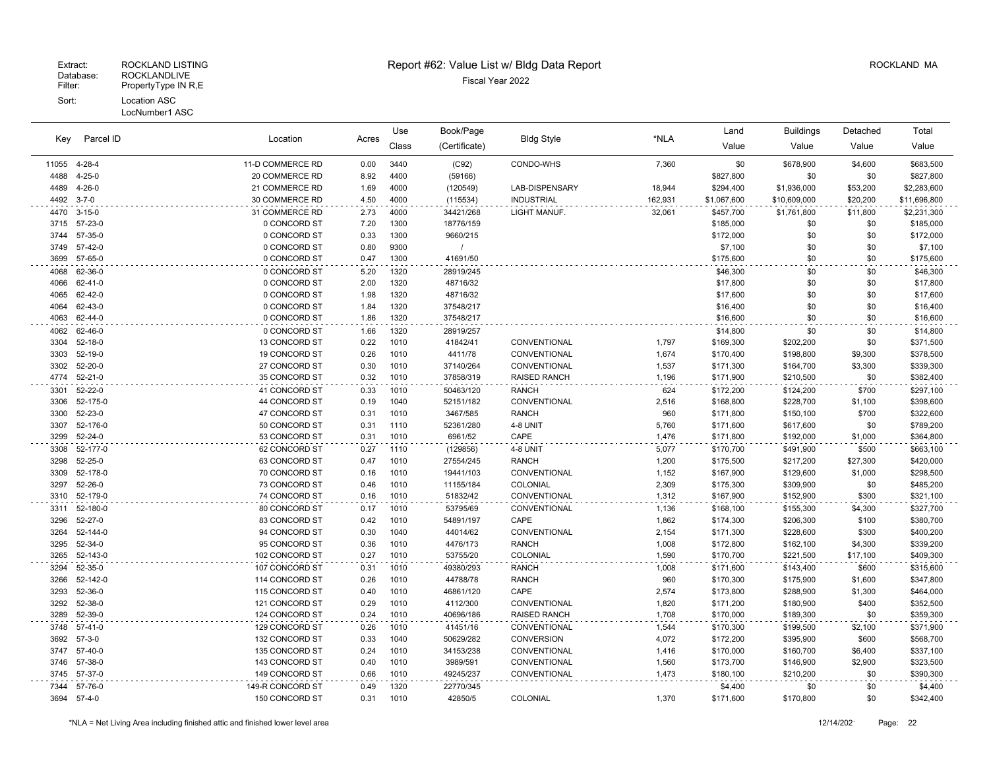## Extract: ROCKLAND LISTING **Report #62: Value List w/ Bldg Data Report** Allem Report ROCKLAND MA

Use

Book/Page Land Buildings Detached

| Key          | Parcel ID                | Location                         | Acres        | Class        | (Certificate)          | <b>Bldg Style</b>                   | *NLA           | Value                  | Value                  | Value            | Value                  |
|--------------|--------------------------|----------------------------------|--------------|--------------|------------------------|-------------------------------------|----------------|------------------------|------------------------|------------------|------------------------|
| 11055        | 4-28-4                   | 11-D COMMERCE RD                 | 0.00         | 3440         | (C92)                  | CONDO-WHS                           | 7,360          | \$0                    | \$678,900              | \$4,600          | \$683,500              |
| 4488         | $4 - 25 - 0$             | 20 COMMERCE RD                   | 8.92         | 4400         | (59166)                |                                     |                | \$827,800              | \$0                    | \$0              | \$827,800              |
| 4489         | $4 - 26 - 0$             | 21 COMMERCE RD                   | 1.69         | 4000         | (120549)               | LAB-DISPENSARY                      | 18,944         | \$294,400              | \$1,936,000            | \$53,200         | \$2,283,600            |
| 4492         | $3 - 7 - 0$              | 30 COMMERCE RD                   | 4.50         | 4000         | (115534)               | <b>INDUSTRIAL</b>                   | 162,931        | \$1,067,600            | \$10,609,000           | \$20,200         | \$11,696,800           |
| 4470         | $3 - 15 - 0$             | 31 COMMERCE RD                   | 2.73         | 4000         | 34421/268              | LIGHT MANUF.                        | 32,061         | \$457,700              | \$1,761,800            | \$11,800         | \$2,231,300            |
| 3715         | 57-23-0                  | 0 CONCORD ST                     | 7.20         | 1300         | 18776/159              |                                     |                | \$185,000              | \$0                    | \$0              | \$185,000              |
| 3744         | 57-35-0                  | 0 CONCORD ST                     | 0.33         | 1300         | 9660/215               |                                     |                | \$172,000              | \$0                    | \$0              | \$172,000              |
| 3749         | 57-42-0                  | 0 CONCORD ST                     | 0.80         | 9300         | $\prime$               |                                     |                | \$7,100                | \$0                    | \$0              | \$7,100                |
| 3699         | 57-65-0                  | 0 CONCORD ST                     | 0.47         | 1300         | 41691/50               |                                     |                | \$175,600              | \$0                    | \$0              | \$175,600              |
| 4068         | 62-36-0                  | 0 CONCORD ST                     | 5.20         | 1320         | 28919/245              |                                     |                | \$46,300               | \$0                    | \$0              | \$46,300               |
| 4066         | 62-41-0                  | 0 CONCORD ST                     | 2.00         | 1320         | 48716/32               |                                     |                | \$17,800               | \$0                    | \$0              | \$17,800               |
| 4065         | 62-42-0                  | 0 CONCORD ST                     | 1.98         | 1320         | 48716/32               |                                     |                | \$17,600               | \$0                    | \$0              | \$17,600               |
| 4064         | 62-43-0                  | 0 CONCORD ST                     | 1.84         | 1320         | 37548/217              |                                     |                | \$16,400               | \$0                    | \$0              | \$16,400               |
| 4063         | 62-44-0                  | 0 CONCORD ST                     | 1.86         | 1320         | 37548/217              |                                     |                | \$16,600               | \$0                    | \$0              | \$16,600               |
| 4062         | 62-46-0                  | 0 CONCORD ST                     | 1.66         | 1320         | 28919/257              |                                     |                | \$14,800               | \$0                    | \$0              | \$14,800               |
| 3304         | $52 - 18 - 0$            | 13 CONCORD ST                    | 0.22         | 1010         | 41842/41               | CONVENTIONAL                        | 1,797          | \$169,300              | \$202,200              | \$0              | \$371,500              |
| 3303         | 52-19-0                  | 19 CONCORD ST                    | 0.26         | 1010         | 4411/78                | CONVENTIONAL                        | 1,674          | \$170,400              | \$198,800              | \$9,300          | \$378,500              |
| 3302<br>4774 | 52-20-0<br>$52 - 21 - 0$ | 27 CONCORD ST<br>35 CONCORD ST   | 0.30<br>0.32 | 1010<br>1010 | 37140/264<br>37858/319 | CONVENTIONAL<br><b>RAISED RANCH</b> | 1,537<br>1,196 | \$171,300<br>\$171,900 | \$164,700<br>\$210,500 | \$3,300<br>\$0   | \$339,300<br>\$382,400 |
| 3301         | 52-22-0                  | 41 CONCORD ST                    | 0.33         | 1010         | 50463/120              | <b>RANCH</b>                        | 624            | \$172,200              | \$124,200              | \$700            | \$297,100              |
| 3306         | 52-175-0                 | 44 CONCORD ST                    | 0.19         | 1040         | 52151/182              | CONVENTIONAL                        | 2,516          | \$168,800              | \$228,700              | \$1,100          | \$398,600              |
| 3300         | 52-23-0                  | 47 CONCORD ST                    | 0.31         | 1010         | 3467/585               | <b>RANCH</b>                        | 960            | \$171,800              | \$150,100              | \$700            | \$322,600              |
| 3307         | 52-176-0                 | 50 CONCORD ST                    | 0.31         | 1110         | 52361/280              | 4-8 UNIT                            | 5,760          | \$171,600              | \$617,600              | \$0              | \$789,200              |
| 3299         | 52-24-0                  | 53 CONCORD ST                    | 0.31         | 1010         | 6961/52                | CAPE                                | 1,476          | \$171,800              | \$192,000              | \$1,000          | \$364,800              |
| 3308         | 52-177-0                 | 62 CONCORD ST                    | 0.27         | 1110         | (129856)               | 4-8 UNIT                            | 5,077          | \$170,700              | \$491,900              | \$500            | \$663,100              |
| 3298         | 52-25-0                  | 63 CONCORD ST                    | 0.47         | 1010         | 27554/245              | <b>RANCH</b>                        | 1,200          | \$175,500              | \$217,200              | \$27,300         | \$420,000              |
| 3309         | 52-178-0                 | 70 CONCORD ST                    | 0.16         | 1010         | 19441/103              | CONVENTIONAL                        | 1,152          | \$167,900              | \$129,600              | \$1,000          | \$298,500              |
| 3297         | 52-26-0                  | 73 CONCORD ST                    | 0.46         | 1010         | 11155/184              | COLONIAL                            | 2,309          | \$175,300              | \$309,900              | \$0              | \$485,200              |
| 3310         | 52-179-0                 | 74 CONCORD ST                    | 0.16         | 1010         | 51832/42               | CONVENTIONAL                        | 1,312          | \$167,900              | \$152,900              | \$300            | \$321,100              |
| 3311         | 52-180-0                 | 80 CONCORD ST                    | 0.17         | 1010         | 53795/69               | CONVENTIONAL                        | 1,136          | \$168,100              | \$155,300              | \$4,300          | \$327,700              |
| 3296         | 52-27-0                  | 83 CONCORD ST                    | 0.42         | 1010         | 54891/197              | CAPE                                | 1,862          | \$174,300              | \$206,300              | \$100            | \$380,700              |
| 3264         | 52-144-0                 | 94 CONCORD ST                    | 0.30         | 1040         | 44014/62               | CONVENTIONAL                        | 2,154          | \$171,300              | \$228,600              | \$300            | \$400,200              |
| 3295         | 52-34-0                  | 95 CONCORD ST                    | 0.36         | 1010         | 4476/173               | <b>RANCH</b>                        | 1,008          | \$172,800              | \$162,100              | \$4,300          | \$339,200              |
| 3265         | 52-143-0                 | 102 CONCORD ST                   | 0.27         | 1010         | 53755/20               | COLONIAL                            | 1,590          | \$170,700              | \$221,500              | \$17,100         | \$409,300              |
| 3294         | 52-35-0<br>52-142-0      | 107 CONCORD ST                   | 0.31         | 1010<br>1010 | 49380/293              | <b>RANCH</b><br><b>RANCH</b>        | 1,008          | \$171,600              | \$143,400              | \$600            | \$315,600              |
| 3266<br>3293 | 52-36-0                  | 114 CONCORD ST                   | 0.26<br>0.40 | 1010         | 44788/78<br>46861/120  | CAPE                                | 960            | \$170,300              | \$175,900              | \$1,600          | \$347,800              |
| 3292         | 52-38-0                  | 115 CONCORD ST<br>121 CONCORD ST | 0.29         | 1010         | 4112/300               | CONVENTIONAL                        | 2,574<br>1,820 | \$173,800<br>\$171,200 | \$288,900<br>\$180,900 | \$1,300<br>\$400 | \$464,000<br>\$352,500 |
| 3289         | 52-39-0                  | 124 CONCORD ST                   | 0.24         | 1010         | 40696/186              | <b>RAISED RANCH</b>                 | 1,708          | \$170,000              | \$189,300              | \$0              | \$359,300              |
| 3748         | $57-41-0$                | 129 CONCORD ST                   | 0.26         | 1010         | 41451/16               | CONVENTIONAL                        | 1,544          | \$170,300              | \$199,500              | \$2,100          | \$371,900              |
| 3692         | $57 - 3 - 0$             | 132 CONCORD ST                   | 0.33         | 1040         | 50629/282              | <b>CONVERSION</b>                   | 4,072          | \$172,200              | \$395,900              | \$600            | \$568,700              |
| 3747         | 57-40-0                  | 135 CONCORD ST                   | 0.24         | 1010         | 34153/238              | CONVENTIONAL                        | 1,416          | \$170,000              | \$160,700              | \$6,400          | \$337,100              |
| 3746         | 57-38-0                  | 143 CONCORD ST                   | 0.40         | 1010         | 3989/591               | CONVENTIONAL                        | 1,560          | \$173,700              | \$146,900              | \$2,900          | \$323,500              |
| 3745         | 57-37-0                  | 149 CONCORD ST                   | 0.66         | 1010         | 49245/237              | CONVENTIONAL                        | 1,473          | \$180,100              | \$210,200              | \$0              | \$390,300              |
| 7344         | 57-76-0                  | 149-R CONCORD ST                 | 0.49         | 1320         | 22770/345              |                                     |                | \$4,400                | \$0                    | \$0              | \$4,400                |
| 3694         | $57 - 4 - 0$             | 150 CONCORD ST                   | 0.31         | 1010         | 42850/5                | <b>COLONIAL</b>                     | 1,370          | \$171,600              | \$170,800              | \$0              | \$342,400              |
|              |                          |                                  |              |              |                        |                                     |                |                        |                        |                  |                        |

\*NLA = Net Living Area including finished attic and finished lower level area 12/14/202 Page: 22

Total

LocNumber1 ASC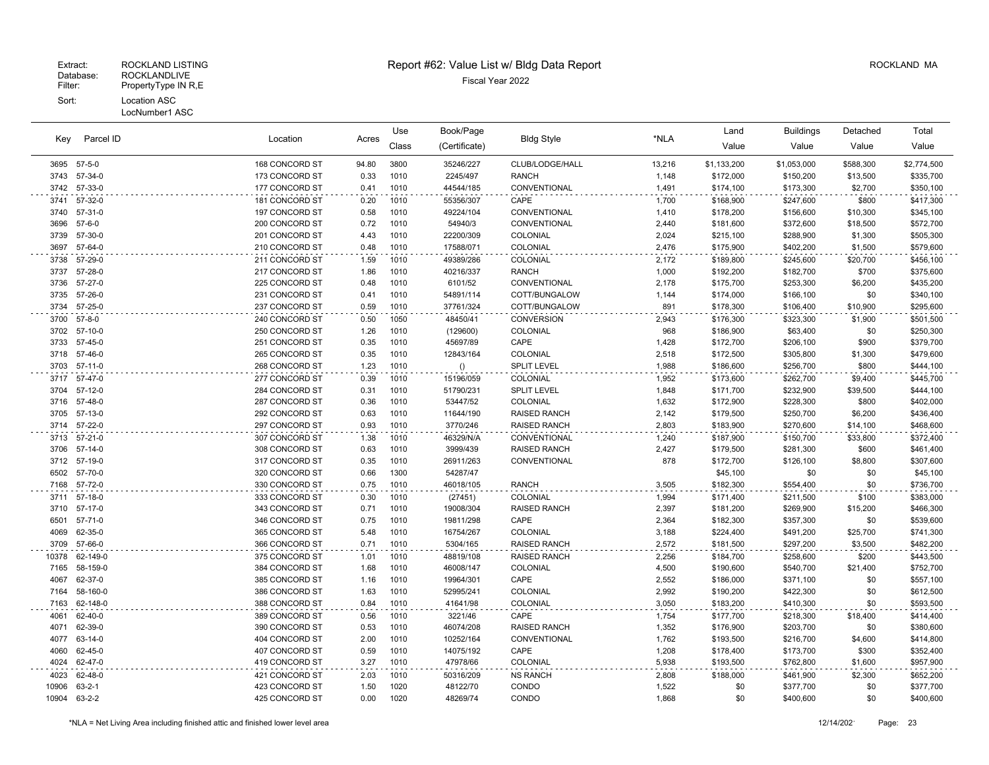|              |                      |                                  |              | Use          | Book/Page              |                                 |                | Land                   | Buildings              | Detached        | Total                  |
|--------------|----------------------|----------------------------------|--------------|--------------|------------------------|---------------------------------|----------------|------------------------|------------------------|-----------------|------------------------|
| Key          | Parcel ID            | Location                         | Acres        | Class        | (Certificate)          | <b>Bldg Style</b>               | *NLA           | Value                  | Value                  | Value           | Value                  |
|              | 3695 57-5-0          | 168 CONCORD ST                   | 94.80        | 3800         | 35246/227              | CLUB/LODGE/HALL                 | 13,216         | \$1,133,200            | \$1,053,000            | \$588,300       | \$2,774,500            |
| 3743         | 57-34-0              | 173 CONCORD ST                   | 0.33         | 1010         | 2245/497               | <b>RANCH</b>                    | 1,148          | \$172,000              | \$150,200              | \$13,500        | \$335,700              |
| 3742         | 57-33-0              | 177 CONCORD ST                   | 0.41         | 1010         | 44544/185              | CONVENTIONAL                    | 1,491          | \$174,100              | \$173,300              | \$2,700         | \$350,100              |
| 3741         | 57-32-0              | 181 CONCORD ST                   | 0.20         | 1010         | 55356/307              | CAPE                            | 1,700          | \$168,900              | \$247,600              | \$800           | \$417,300              |
| 3740         | 57-31-0              | 197 CONCORD ST                   | 0.58         | 1010         | 49224/104              | CONVENTIONAL                    | 1,410          | \$178,200              | \$156,600              | \$10,300        | \$345,100              |
| 3696         | $57 - 6 - 0$         | 200 CONCORD ST                   | 0.72         | 1010         | 54940/3                | CONVENTIONAL                    | 2,440          | \$181,600              | \$372,600              | \$18,500        | \$572,700              |
| 3739         | 57-30-0              | 201 CONCORD ST                   | 4.43         | 1010         | 22200/309              | COLONIAL                        | 2,024          | \$215,100              | \$288,900              | \$1,300         | \$505,300              |
| 3697         | 57-64-0              | 210 CONCORD ST                   | 0.48         | 1010         | 17588/071              | COLONIAL                        | 2,476          | \$175,900              | \$402,200              | \$1,500         | \$579,600              |
| 3738         | 57-29-0              | 211 CONCORD ST                   | 1.59         | 1010         | 49389/286              | COLONIAL                        | 2,172          | \$189,800              | \$245,600              | \$20,700        | \$456,100              |
| 3737         | 57-28-0              | 217 CONCORD ST                   | 1.86         | 1010         | 40216/337              | <b>RANCH</b>                    | 1,000          | \$192,200              | \$182,700              | \$700           | \$375,600              |
| 3736         | 57-27-0              | 225 CONCORD ST                   | 0.48         | 1010         | 6101/52                | CONVENTIONAL                    | 2,178          | \$175,700              | \$253,300              | \$6,200         | \$435,200              |
| 3735         | 57-26-0              | 231 CONCORD ST                   | 0.41         | 1010         | 54891/114              | COTT/BUNGALOW                   | 1,144          | \$174,000              | \$166,100              | \$0             | \$340,100              |
| 3734         | 57-25-0              | 237 CONCORD ST                   | 0.59         | 1010         | 37761/324              | COTT/BUNGALOW                   | 891            | \$178,300              | \$106,400              | \$10,900        | \$295,600              |
| 3700         | $57 - 8 - 0$         | 240 CONCORD ST                   | 0.50         | 1050         | 48450/41               | <b>CONVERSION</b>               | 2,943          | \$176,300              | \$323,300              | \$1,900         | \$501,500              |
| 3702         | 57-10-0              | 250 CONCORD ST                   | 1.26         | 1010         | (129600)               | COLONIAL                        | 968            | \$186,900              | \$63,400               | \$0             | \$250,300              |
| 3733         | 57-45-0              | 251 CONCORD ST                   | 0.35         | 1010         | 45697/89               | CAPE                            | 1,428          | \$172,700              | \$206,100              | \$900           | \$379,700              |
| 3718         | 57-46-0              | 265 CONCORD ST                   | 0.35         | 1010         | 12843/164              | COLONIAL                        | 2,518          | \$172,500              | \$305,800              | \$1,300         | \$479,600              |
| 3703         | $57-11-0$            | 268 CONCORD ST                   | 1.23         | 1010         | ()                     | <b>SPLIT LEVEL</b>              | 1,988          | \$186,600              | \$256,700              | \$800           | \$444,100              |
| 3717         | 57-47-0              | 277 CONCORD ST                   | 0.39         | 1010         | 15196/059              | COLONIAL                        | 1,952          | \$173,600              | \$262,700              | \$9,400         | \$445,700              |
| 3704         | 57-12-0              | 284 CONCORD ST                   | 0.31         | 1010         | 51790/231              | SPLIT LEVEL                     | 1,848          | \$171,700              | \$232,900              | \$39,500        | \$444,100              |
| 3716         | 57-48-0              | 287 CONCORD ST                   | 0.36         | 1010         | 53447/52               | COLONIAL                        | 1,632          | \$172,900              | \$228,300              | \$800           | \$402,000              |
| 3705         | 57-13-0              | 292 CONCORD ST                   | 0.63         | 1010         | 11644/190              | <b>RAISED RANCH</b>             | 2,142          | \$179,500              | \$250,700              | \$6,200         | \$436,400              |
| 3714         | 57-22-0              | 297 CONCORD ST                   | 0.93         | 1010         | 3770/246               | <b>RAISED RANCH</b>             | 2,803          | \$183,900              | \$270,600              | \$14,100        | \$468,600              |
| 3713         | $57 - 21 - 0$        | 307 CONCORD ST                   | 1.38         | 1010         | 46329/N/A              | CONVENTIONAL                    | 1,240          | \$187,900              | \$150,700              | \$33,800        | \$372,400              |
| 3706         | $57-14-0$            | 308 CONCORD ST                   | 0.63         | 1010         | 3999/439               | <b>RAISED RANCH</b>             | 2,427          | \$179,500              | \$281,300              | \$600           | \$461,400              |
| 3712         | 57-19-0              | 317 CONCORD ST                   | 0.35         | 1010         | 26911/263              | CONVENTIONAL                    | 878            | \$172,700              | \$126,100              | \$8,800         | \$307,600              |
| 6502         | 57-70-0              | 320 CONCORD ST                   | 0.66         | 1300         | 54287/47               |                                 |                | \$45,100               | \$0                    | \$0             | \$45,100               |
| 7168         | 57-72-0              | 330 CONCORD ST                   | 0.75         | 1010         | 46018/105              | <b>RANCH</b>                    | 3,505          | \$182,300              | \$554,400              | \$0             | \$736,700              |
| 3711         | 57-18-0              | 333 CONCORD ST                   | 0.30         | 1010         | (27451)                | COLONIAL                        | 1,994          | \$171,400              | \$211,500              | \$100           | \$383,000              |
| 3710         | 57-17-0              | 343 CONCORD ST                   | 0.71         | 1010         | 19008/304              | <b>RAISED RANCH</b>             | 2,397          | \$181,200              | \$269,900              | \$15,200        | \$466,300              |
| 6501         | 57-71-0              | 346 CONCORD ST                   | 0.75         | 1010         | 19811/298              | CAPE                            | 2,364          | \$182,300              | \$357,300              | \$0             | \$539,600              |
| 4069         | 62-35-0              | 365 CONCORD ST                   | 5.48         | 1010<br>1010 | 16754/267              | COLONIAL                        | 3,188          | \$224,400              | \$491,200              | \$25,700        | \$741,300              |
| 3709         | 57-66-0              | 366 CONCORD ST                   | 0.71         |              | 5304/165               | <b>RAISED RANCH</b>             | 2,572          | \$181,500              | \$297,200              | \$3,500         | \$482,200              |
| 10378        | 62-149-0<br>58-159-0 | 375 CONCORD ST<br>384 CONCORD ST | 1.01<br>1.68 | 1010<br>1010 | 48819/108              | <b>RAISED RANCH</b><br>COLONIAL | 2,256          | \$184,700              | \$258,600              | \$200           | \$443,500              |
| 7165<br>4067 | 62-37-0              | 385 CONCORD ST                   | 1.16         | 1010         | 46008/147<br>19964/301 | CAPE                            | 4,500<br>2,552 | \$190,600<br>\$186,000 | \$540,700<br>\$371,100 | \$21,400<br>\$0 | \$752,700<br>\$557,100 |
| 7164         | 58-160-0             | 386 CONCORD ST                   | 1.63         | 1010         | 52995/241              | COLONIAL                        | 2,992          | \$190,200              | \$422,300              | \$0             | \$612,500              |
| 7163         | 62-148-0             | 388 CONCORD ST                   | 0.84         | 1010         | 41641/98               | COLONIAL                        | 3,050          | \$183,200              | \$410,300              | \$0             | \$593,500              |
|              | 62-40-0              |                                  |              |              |                        |                                 |                |                        |                        |                 |                        |
| 4061<br>4071 | 62-39-0              | 389 CONCORD ST<br>390 CONCORD ST | 0.56<br>0.53 | 1010<br>1010 | 3221/46<br>46074/208   | CAPE<br><b>RAISED RANCH</b>     | 1,754<br>1,352 | \$177,700<br>\$176,900 | \$218,300<br>\$203,700 | \$18,400<br>\$0 | \$414,400<br>\$380,600 |
| 4077         | 63-14-0              | 404 CONCORD ST                   | 2.00         | 1010         | 10252/164              | CONVENTIONAL                    | 1,762          | \$193,500              | \$216,700              | \$4,600         | \$414,800              |
| 4060         | 62-45-0              | 407 CONCORD ST                   | 0.59         | 1010         | 14075/192              | CAPE                            | 1,208          | \$178,400              | \$173,700              | \$300           | \$352,400              |
| 4024         | 62-47-0              | 419 CONCORD ST                   | 3.27         | 1010         | 47978/66               | COLONIAL                        | 5,938          | \$193,500              | \$762,800              | \$1,600         | \$957,900              |
| 4023         | 62-48-0              | 421 CONCORD ST                   | 2.03         | 1010         |                        | <b>NS RANCH</b>                 | 2,808          | \$188,000              | \$461,900              | \$2,300         |                        |
| 10906        | $63 - 2 - 1$         | 423 CONCORD ST                   | 1.50         | 1020         | 50316/209<br>48122/70  | CONDO                           | 1,522          | \$0                    | \$377,700              | \$0             | \$652,200<br>\$377,700 |
| 10904 63-2-2 |                      | 425 CONCORD ST                   | 0.00         | 1020         | 48269/74               | CONDO                           | 1.868          | \$0                    | \$400,600              | \$0             | \$400,600              |
|              |                      |                                  |              |              |                        |                                 |                |                        |                        |                 |                        |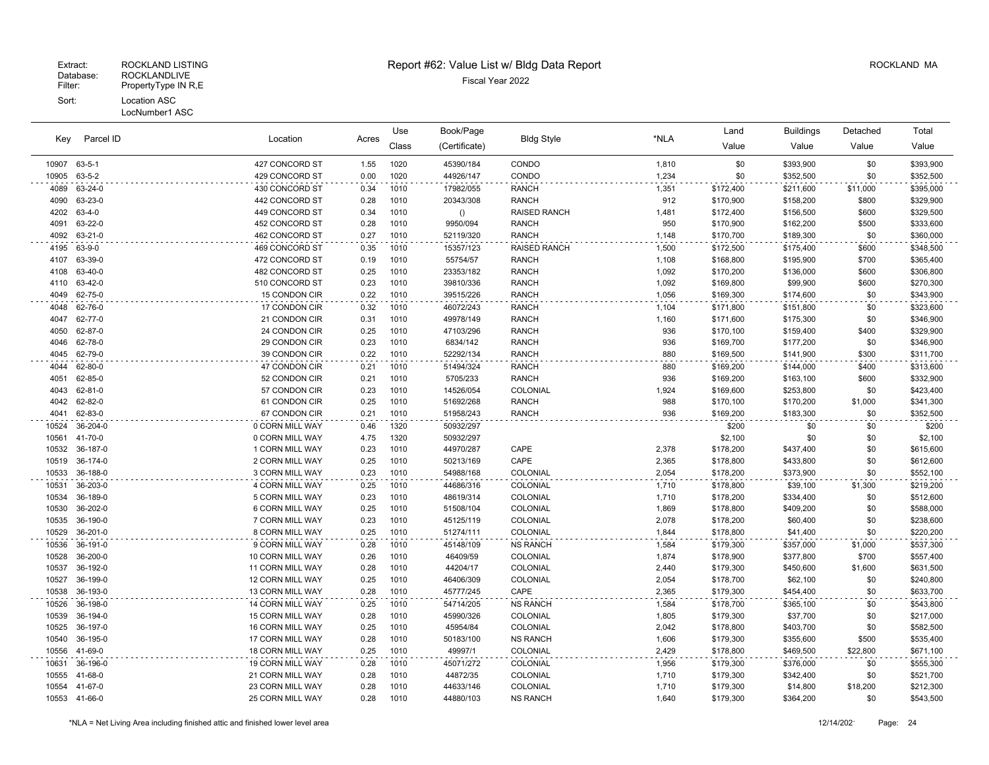## Fiscal Year 2022 Database: ROCKLANDLIVE Filter: PropertyType IN R,E Sort: Location ASC

# Extract: ROCKLAND LISTING Report #62: Value List w/ Bldg Data Report ROCKLAND MA

 36-188-0 3 CORN MILL WAY 0.23 1010 54988/168 COLONIAL 2,054 \$178,200 \$373,900 \$0 \$552,100 36-203-0 4 CORN MILL WAY 0.25 1010 44686/316 COLONIAL 1,710 \$178,800 \$39,100 \$1,300 \$219,200 36-189-0 5 CORN MILL WAY 0.23 1010 48619/314 COLONIAL 1,710 \$178,200 \$334,400 \$0 \$512,600 36-202-0 6 CORN MILL WAY 0.25 1010 51508/104 COLONIAL 1,869 \$178,800 \$409,200 \$0 \$588,000 36-190-0 7 CORN MILL WAY 0.23 1010 45125/119 COLONIAL 2,078 \$178,200 \$60,400 \$0 \$238,600 36-201-0 8 CORN MILL WAY 0.25 1010 51274/111 COLONIAL 1,844 \$178,800 \$41,400 \$0 \$220,200 36-191-0 9 CORN MILL WAY 0.28 1010 45148/109 NS RANCH 1,584 \$179,300 \$357,000 \$1,000 \$537,300 36-200-0 10 CORN MILL WAY 0.26 1010 46409/59 COLONIAL 1,874 \$178,900 \$377,800 \$700 \$557,400 36-192-0 11 CORN MILL WAY 0.28 1010 44204/17 COLONIAL 2,440 \$179,300 \$450,600 \$1,600 \$631,500 36-199-0 12 CORN MILL WAY 0.25 1010 46406/309 COLONIAL 2,054 \$178,700 \$62,100 \$0 \$240,800 36-193-0 13 CORN MILL WAY 0.28 1010 45777/245 CAPE 2,365 \$179,300 \$454,400 \$0 \$633,700 36-198-0 14 CORN MILL WAY 0.25 1010 54714/205 NS RANCH 1,584 \$178,700 \$365,100 \$0 \$543,800 10539 36-194-0 15 CORN MILL WAY 0.28 1010 45990/326 COLONIAL 1,805 \$179,300 \$37,700 \$0 \$217,000 36-197-0 16 CORN MILL WAY 0.25 1010 45954/84 COLONIAL 2,042 \$178,800 \$403,700 \$0 \$582,500 36-195-0 17 CORN MILL WAY 0.28 1010 50183/100 NS RANCH 1,606 \$179,300 \$355,600 \$500 \$535,400 41-69-0 18 CORN MILL WAY 0.25 1010 49997/1 COLONIAL 2,429 \$178,800 \$469,500 \$22,800 \$671,100 36-196-0 19 CORN MILL WAY 0.28 1010 45071/272 COLONIAL 1,956 \$179,300 \$376,000 \$0 \$555,300 41-68-0 21 CORN MILL WAY 0.28 1010 44872/35 COLONIAL 1,710 \$179,300 \$342,400 \$0 \$521,700 41-67-0 23 CORN MILL WAY 0.28 1010 44633/146 COLONIAL 1,710 \$179,300 \$14,800 \$18,200 \$212,300 41-66-0 25 CORN MILL WAY 0.28 1010 44880/103 NS RANCH 1,640 \$179,300 \$364,200 \$0 \$543,500

| Key          | Parcel ID      | Location        | Acres | Use   | Book/Page     | <b>Bldg Style</b>   | *NLA  | Land      | <b>Buildings</b> | Detached | Total     |
|--------------|----------------|-----------------|-------|-------|---------------|---------------------|-------|-----------|------------------|----------|-----------|
|              |                |                 |       | Class | (Certificate) |                     |       | Value     | Value            | Value    | Value     |
| 10907        | 63-5-1         | 427 CONCORD ST  | 1.55  | 1020  | 45390/184     | CONDO               | 1,810 | \$0       | \$393,900        | \$0      | \$393,900 |
| 10905 63-5-2 |                | 429 CONCORD ST  | 0.00  | 1020  | 44926/147     | CONDO               | 1,234 | \$0       | \$352,500        | \$0      | \$352,500 |
| 4089         | 63-24-0        | 430 CONCORD ST  | 0.34  | 1010  | 17982/055     | <b>RANCH</b>        | 1,351 | \$172,400 | \$211,600        | \$11,000 | \$395,000 |
| 4090         | 63-23-0        | 442 CONCORD ST  | 0.28  | 1010  | 20343/308     | <b>RANCH</b>        | 912   | \$170,900 | \$158,200        | \$800    | \$329,900 |
| 4202         | 63-4-0         | 449 CONCORD ST  | 0.34  | 1010  | ()            | <b>RAISED RANCH</b> | 1,481 | \$172,400 | \$156,500        | \$600    | \$329,500 |
| 4091         | 63-22-0        | 452 CONCORD ST  | 0.28  | 1010  | 9950/094      | <b>RANCH</b>        | 950   | \$170,900 | \$162,200        | \$500    | \$333,600 |
| 4092         | 63-21-0        | 462 CONCORD ST  | 0.27  | 1010  | 52119/320     | <b>RANCH</b>        | 1,148 | \$170,700 | \$189,300        | \$0      | \$360,000 |
| 4195 63-9-0  |                | 469 CONCORD ST  | 0.35  | 1010  | 15357/123     | <b>RAISED RANCH</b> | 1,500 | \$172,500 | \$175,400        | \$600    | \$348,500 |
| 4107         | 63-39-0        | 472 CONCORD ST  | 0.19  | 1010  | 55754/57      | <b>RANCH</b>        | 1,108 | \$168,800 | \$195,900        | \$700    | \$365,400 |
|              | 4108 63-40-0   | 482 CONCORD ST  | 0.25  | 1010  | 23353/182     | <b>RANCH</b>        | 1,092 | \$170,200 | \$136,000        | \$600    | \$306,800 |
| 4110         | 63-42-0        | 510 CONCORD ST  | 0.23  | 1010  | 39810/336     | <b>RANCH</b>        | 1,092 | \$169,800 | \$99,900         | \$600    | \$270,300 |
| 4049         | 62-75-0        | 15 CONDON CIR   | 0.22  | 1010  | 39515/226     | <b>RANCH</b>        | 1,056 | \$169,300 | \$174,600        | \$0      | \$343,900 |
| 4048         | 62-76-0        | 17 CONDON CIR   | 0.32  | 1010  | 46072/243     | <b>RANCH</b>        | 1,104 | \$171,800 | \$151,800        | \$0      | \$323,600 |
| 4047         | 62-77-0        | 21 CONDON CIR   | 0.31  | 1010  | 49978/149     | <b>RANCH</b>        | 1,160 | \$171,600 | \$175,300        | \$0      | \$346,900 |
| 4050         | 62-87-0        | 24 CONDON CIR   | 0.25  | 1010  | 47103/296     | <b>RANCH</b>        | 936   | \$170,100 | \$159,400        | \$400    | \$329,900 |
| 4046         | 62-78-0        | 29 CONDON CIR   | 0.23  | 1010  | 6834/142      | <b>RANCH</b>        | 936   | \$169,700 | \$177,200        | \$0      | \$346,900 |
|              | 4045 62-79-0   | 39 CONDON CIR   | 0.22  | 1010  | 52292/134     | <b>RANCH</b>        | 880   | \$169,500 | \$141,900        | \$300    | \$311,700 |
| 4044         | 62-80-0        | 47 CONDON CIR   | 0.21  | 1010  | 51494/324     | <b>RANCH</b>        | 880   | \$169,200 | \$144,000        | \$400    | \$313,600 |
| 4051         | 62-85-0        | 52 CONDON CIR   | 0.21  | 1010  | 5705/233      | <b>RANCH</b>        | 936   | \$169,200 | \$163,100        | \$600    | \$332,900 |
| 4043         | 62-81-0        | 57 CONDON CIR   | 0.23  | 1010  | 14526/054     | COLONIAL            | 1,924 | \$169,600 | \$253,800        | \$0      | \$423,400 |
|              | 4042 62-82-0   | 61 CONDON CIR   | 0.25  | 1010  | 51692/268     | <b>RANCH</b>        | 988   | \$170,100 | \$170,200        | \$1,000  | \$341,300 |
| 4041         | 62-83-0        | 67 CONDON CIR   | 0.21  | 1010  | 51958/243     | <b>RANCH</b>        | 936   | \$169,200 | \$183,300        | \$0      | \$352,500 |
| 10524        | 36-204-0       | 0 CORN MILL WAY | 0.46  | 1320  | 50932/297     |                     |       | \$200     | \$0              | \$0      | \$200     |
| 10561        | 41-70-0        | 0 CORN MILL WAY | 4.75  | 1320  | 50932/297     |                     |       | \$2,100   | \$0              | \$0      | \$2,100   |
|              | 10532 36-187-0 | 1 CORN MILL WAY | 0.23  | 1010  | 44970/287     | CAPE                | 2,378 | \$178,200 | \$437,400        | \$0      | \$615,600 |
|              | 10519 36-174-0 | 2 CORN MILL WAY | 0.25  | 1010  | 50213/169     | CAPE                | 2,365 | \$178,800 | \$433,800        | \$0      | \$612,600 |

LocNumber1 ASC

| *NLA = Net Living Area including finished attic and finished lower level area | 12/14/202 | Page: 24 |  |
|-------------------------------------------------------------------------------|-----------|----------|--|
|-------------------------------------------------------------------------------|-----------|----------|--|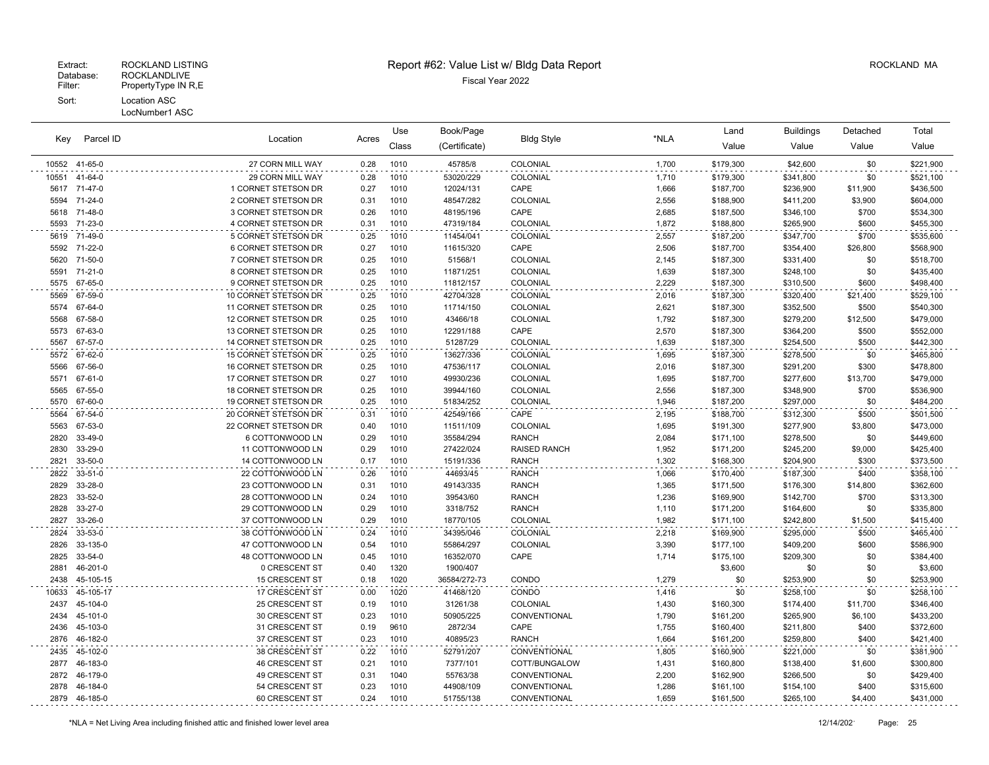Extract: ROCKLAND LISTING Report #62: Value List w/ Bldg Data Report ROCKLAND MA

Location Acres Value Value Value Value Key Book/Page Land Buildings Detached (Certificate) Bldg Style \*NLA Class Use Parcel ID Total 41-65-0 27 CORN MILL WAY 0.28 1010 45785/8 COLONIAL 1,700 \$179,300 \$42,600 \$0 \$221,900 41-64-0 29 CORN MILL WAY 0.28 1010 53020/229 COLONIAL 1,710 \$179,300 \$341,800 \$0 \$521,100 71-47-0 1 CORNET STETSON DR 0.27 1010 12024/131 CAPE 1,666 \$187,700 \$236,900 \$11,900 \$436,500 71-24-0 2 CORNET STETSON DR 0.31 1010 48547/282 COLONIAL 2,556 \$188,900 \$411,200 \$3,900 \$604,000 71-48-0 3 CORNET STETSON DR 0.26 1010 48195/196 CAPE 2,685 \$187,500 \$346,100 \$700 \$534,300 71-23-0 4 CORNET STETSON DR 0.31 1010 47319/184 COLONIAL 1,872 \$188,800 \$265,900 \$600 \$455,300 71-49-0 5 CORNET STETSON DR 0.25 1010 11454/041 COLONIAL 2,557 \$187,200 \$347,700 \$700 \$535,600 71-22-0 6 CORNET STETSON DR 0.27 1010 11615/320 CAPE 2,506 \$187,700 \$354,400 \$26,800 \$568,900 71-50-0 7 CORNET STETSON DR 0.25 1010 51568/1 COLONIAL 2,145 \$187,300 \$331,400 \$0 \$518,700 71-21-0 8 CORNET STETSON DR 0.25 1010 11871/251 COLONIAL 1,639 \$187,300 \$248,100 \$0 \$435,400 67-65-0 9 CORNET STETSON DR 0.25 1010 11812/157 COLONIAL 2,229 \$187,300 \$310,500 \$600 \$498,400 67-59-0 10 CORNET STETSON DR 0.25 1010 42704/328 COLONIAL 2,016 \$187,300 \$320,400 \$21,400 \$529,100 67-64-0 11 CORNET STETSON DR 0.25 1010 11714/150 COLONIAL 2,621 \$187,300 \$352,500 \$500 \$540,300 67-58-0 12 CORNET STETSON DR 0.25 1010 43466/18 COLONIAL 1,792 \$187,300 \$279,200 \$12,500 \$479,000 67-63-0 13 CORNET STETSON DR 0.25 1010 12291/188 CAPE 2,570 \$187,300 \$364,200 \$500 \$552,000 67-57-0 14 CORNET STETSON DR 0.25 1010 51287/29 COLONIAL 1,639 \$187,300 \$254,500 \$500 \$442,300 67-62-0 15 CORNET STETSON DR 0.25 1010 13627/336 COLONIAL 1,695 \$187,300 \$278,500 \$0 \$465,800 67-56-0 16 CORNET STETSON DR 0.25 1010 47536/117 COLONIAL 2,016 \$187,300 \$291,200 \$300 \$478,800 67-61-0 17 CORNET STETSON DR 0.27 1010 49930/236 COLONIAL 1,695 \$187,700 \$277,600 \$13,700 \$479,000 67-55-0 18 CORNET STETSON DR 0.25 1010 39944/160 COLONIAL 2,556 \$187,300 \$348,900 \$700 \$536,900 67-60-0 19 CORNET STETSON DR 0.25 1010 51834/252 COLONIAL 1,946 \$187,200 \$297,000 \$0 \$484,200 67-54-0 20 CORNET STETSON DR 0.31 1010 42549/166 CAPE 2,195 \$188,700 \$312,300 \$500 \$501,500 67-53-0 22 CORNET STETSON DR 0.40 1010 11511/109 COLONIAL 1,695 \$191,300 \$277,900 \$3,800 \$473,000 33-49-0 6 COTTONWOOD LN 0.29 1010 35584/294 RANCH 2,084 \$171,100 \$278,500 \$0 \$449,600 33-29-0 11 COTTONWOOD LN 0.29 1010 27422/024 RAISED RANCH 1,952 \$171,200 \$245,200 \$9,000 \$425,400 33-50-0 14 COTTONWOOD LN 0.17 1010 15191/336 RANCH 1,302 \$168,300 \$204,900 \$300 \$373,500 33-51-0 22 COTTONWOOD LN 0.26 1010 44693/45 RANCH 1,066 \$170,400 \$187,300 \$400 \$358,100 33-28-0 23 COTTONWOOD LN 0.31 1010 49143/335 RANCH 1,365 \$171,500 \$176,300 \$14,800 \$362,600 33-52-0 28 COTTONWOOD LN 0.24 1010 39543/60 RANCH 1,236 \$169,900 \$142,700 \$700 \$313,300 33-27-0 29 COTTONWOOD LN 0.29 1010 3318/752 RANCH 1,110 \$171,200 \$164,600 \$0 \$335,800 33-26-0 37 COTTONWOOD LN 0.29 1010 18770/105 COLONIAL 1,982 \$171,100 \$242,800 \$1,500 \$415,400 33-53-0 38 COTTONWOOD LN 0.24 1010 34395/046 COLONIAL 2,218 \$169,900 \$295,000 \$500 \$465,400 33-135-0 47 COTTONWOOD LN 0.54 1010 55864/297 COLONIAL 3,390 \$177,100 \$409,200 \$600 \$586,900 33-54-0 48 COTTONWOOD LN 0.45 1010 16352/070 CAPE 1,714 \$175,100 \$209,300 \$0 \$384,400 2881 46-201-0 0 CRESCENT ST 0.40 1320 1900/407 \$3,600 \$0 \$0 \$3,600 \$0 \$3,600 2438 45-105-15 15 15 CRESCENT ST 0.18 1020 36584/272-73 CONDO 16.1279 \$0 \$253,900 \$0 \$253,900 \$0 \$253,900 10633 45-105-17 10 17 CRESCENT ST 0.00 1020 41468/120 CONDO 1,416 \$0 \$258,100 \$0 \$258,100 \$0 \$258,100 45-104-0 25 CRESCENT ST 0.19 1010 31261/38 COLONIAL 1,430 \$160,300 \$174,400 \$11,700 \$346,400 45-101-0 30 CRESCENT ST 0.23 1010 50905/225 CONVENTIONAL 1,790 \$161,200 \$265,900 \$6,100 \$433,200 45-103-0 31 CRESCENT ST 0.19 9610 2872/34 CAPE 1,755 \$160,400 \$211,800 \$400 \$372,600 46-182-0 37 CRESCENT ST 0.23 1010 40895/23 RANCH 1,664 \$161,200 \$259,800 \$400 \$421,400 45-102-0 38 CRESCENT ST 0.22 1010 52791/207 CONVENTIONAL 1,805 \$160,900 \$221,000 \$0 \$381,900 46-183-0 46 CRESCENT ST 0.21 1010 7377/101 COTT/BUNGALOW 1,431 \$160,800 \$138,400 \$1,600 \$300,800 46-179-0 49 CRESCENT ST 0.31 1040 55763/38 CONVENTIONAL 2,200 \$162,900 \$266,500 \$0 \$429,400 46-184-0 54 CRESCENT ST 0.23 1010 44908/109 CONVENTIONAL 1,286 \$161,100 \$154,100 \$400 \$315,600 46-185-0 60 CRESCENT ST 0.24 1010 51755/138 CONVENTIONAL 1,659 \$161,500 \$265,100 \$4,400 \$431,000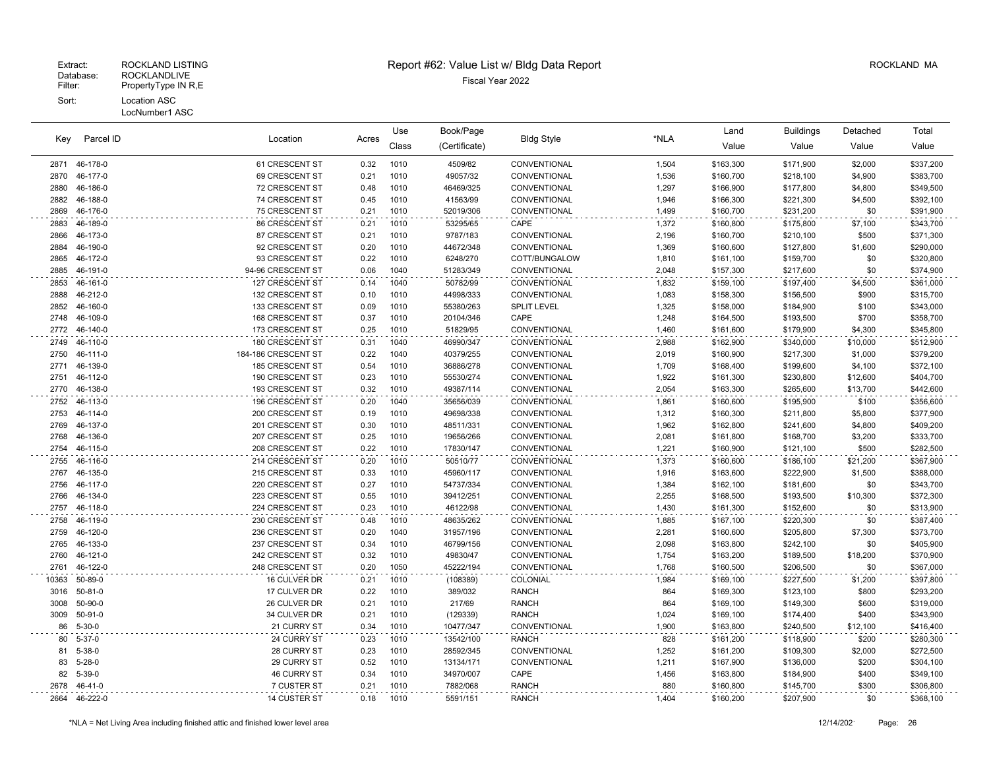#### Fiscal Year 2022 Database: ROCKLANDLIVE Extract: ROCKLAND LISTING Report #62: Value List w/ Bldg Data Report ROCKLAND MA Filter: PropertyType IN R,E Sort: Location ASC LocNumber1 ASC

Location Acres Value Value Value Value Key Book/Page Land Buildings Detached (Certificate) Bldg Style \*NLA Class Use Parcel ID Total 46-178-0 61 CRESCENT ST 0.32 1010 4509/82 CONVENTIONAL 1,504 \$163,300 \$171,900 \$2,000 \$337,200 46-177-0 69 CRESCENT ST 0.21 1010 49057/32 CONVENTIONAL 1,536 \$160,700 \$218,100 \$4,900 \$383,700 46-186-0 72 CRESCENT ST 0.48 1010 46469/325 CONVENTIONAL 1,297 \$166,900 \$177,800 \$4,800 \$349,500 46-188-0 74 CRESCENT ST 0.45 1010 41563/99 CONVENTIONAL 1,946 \$166,300 \$221,300 \$4,500 \$392,100 46-176-0 75 CRESCENT ST 0.21 1010 52019/306 CONVENTIONAL 1,499 \$160,700 \$231,200 \$0 \$391,900 46-189-0 86 CRESCENT ST 0.21 1010 53295/65 CAPE 1,372 \$160,800 \$175,800 \$7,100 \$343,700 46-173-0 87 CRESCENT ST 0.21 1010 9787/183 CONVENTIONAL 2,196 \$160,700 \$210,100 \$500 \$371,300 46-190-0 92 CRESCENT ST 0.20 1010 44672/348 CONVENTIONAL 1,369 \$160,600 \$127,800 \$1,600 \$290,000 46-172-0 93 CRESCENT ST 0.22 1010 6248/270 COTT/BUNGALOW 1,810 \$161,100 \$159,700 \$0 \$320,800 46-191-0 94-96 CRESCENT ST 0.06 1040 51283/349 CONVENTIONAL 2,048 \$157,300 \$217,600 \$0 \$374,900 46-161-0 127 CRESCENT ST 0.14 1040 50782/99 CONVENTIONAL 1,832 \$159,100 \$197,400 \$4,500 \$361,000 46-212-0 132 CRESCENT ST 0.10 1010 44998/333 CONVENTIONAL 1,083 \$158,300 \$156,500 \$900 \$315,700 46-160-0 133 CRESCENT ST 0.09 1010 55380/263 SPLIT LEVEL 1,325 \$158,000 \$184,900 \$100 \$343,000 46-109-0 168 CRESCENT ST 0.37 1010 20104/346 CAPE 1,248 \$164,500 \$193,500 \$700 \$358,700 46-140-0 173 CRESCENT ST 0.25 1010 51829/95 CONVENTIONAL 1,460 \$161,600 \$179,900 \$4,300 \$345,800 46-110-0 180 CRESCENT ST 0.31 1040 46990/347 CONVENTIONAL 2,988 \$162,900 \$340,000 \$10,000 \$512,900 46-111-0 184-186 CRESCENT ST 0.22 1040 40379/255 CONVENTIONAL 2,019 \$160,900 \$217,300 \$1,000 \$379,200 46-139-0 185 CRESCENT ST 0.54 1010 36886/278 CONVENTIONAL 1,709 \$168,400 \$199,600 \$4,100 \$372,100 46-112-0 190 CRESCENT ST 0.23 1010 55530/274 CONVENTIONAL 1,922 \$161,300 \$230,800 \$12,600 \$404,700 46-138-0 193 CRESCENT ST 0.32 1010 49387/114 CONVENTIONAL 2,054 \$163,300 \$265,600 \$13,700 \$442,600 46-113-0 196 CRESCENT ST 0.20 1040 35656/039 CONVENTIONAL 1,861 \$160,600 \$195,900 \$100 \$356,600 46-114-0 200 CRESCENT ST 0.19 1010 49698/338 CONVENTIONAL 1,312 \$160,300 \$211,800 \$5,800 \$377,900 46-137-0 201 CRESCENT ST 0.30 1010 48511/331 CONVENTIONAL 1,962 \$162,800 \$241,600 \$4,800 \$409,200 46-136-0 207 CRESCENT ST 0.25 1010 19656/266 CONVENTIONAL 2,081 \$161,800 \$168,700 \$3,200 \$333,700 46-115-0 208 CRESCENT ST 0.22 1010 17830/147 CONVENTIONAL 1,221 \$160,900 \$121,100 \$500 \$282,500 46-116-0 214 CRESCENT ST 0.20 1010 50510/77 CONVENTIONAL 1,373 \$160,600 \$186,100 \$21,200 \$367,900 46-135-0 215 CRESCENT ST 0.33 1010 45960/117 CONVENTIONAL 1,916 \$163,600 \$222,900 \$1,500 \$388,000 46-117-0 220 CRESCENT ST 0.27 1010 54737/334 CONVENTIONAL 1,384 \$162,100 \$181,600 \$0 \$343,700 46-134-0 223 CRESCENT ST 0.55 1010 39412/251 CONVENTIONAL 2,255 \$168,500 \$193,500 \$10,300 \$372,300 46-118-0 224 CRESCENT ST 0.23 1010 46122/98 CONVENTIONAL 1,430 \$161,300 \$152,600 \$0 \$313,900 46-119-0 230 CRESCENT ST 0.48 1010 48635/262 CONVENTIONAL 1,885 \$167,100 \$220,300 \$0 \$387,400 46-120-0 236 CRESCENT ST 0.20 1040 31957/196 CONVENTIONAL 2,281 \$160,600 \$205,800 \$7,300 \$373,700 46-133-0 237 CRESCENT ST 0.34 1010 46799/156 CONVENTIONAL 2,098 \$163,800 \$242,100 \$0 \$405,900 46-121-0 242 CRESCENT ST 0.32 1010 49830/47 CONVENTIONAL 1,754 \$163,200 \$189,500 \$18,200 \$370,900 46-122-0 248 CRESCENT ST 0.20 1050 45222/194 CONVENTIONAL 1,768 \$160,500 \$206,500 \$0 \$367,000 50-89-0 16 CULVER DR 0.21 1010 (108389) COLONIAL 1,984 \$169,100 \$227,500 \$1,200 \$397,800 50-81-0 17 CULVER DR 0.22 1010 389/032 RANCH 864 \$169,300 \$123,100 \$800 \$293,200 50-90-0 26 CULVER DR 0.21 1010 217/69 RANCH 864 \$169,100 \$149,300 \$600 \$319,000 50-91-0 34 CULVER DR 0.21 1010 (129339) RANCH 1,024 \$169,100 \$174,400 \$400 \$343,900 5-30-0 21 CURRY ST 0.34 1010 10477/347 CONVENTIONAL 1,900 \$163,800 \$240,500 \$12,100 \$416,400 5-37-0 24 CURRY ST 0.23 1010 13542/100 RANCH 828 \$161,200 \$118,900 \$200 \$280,300 5-38-0 28 CURRY ST 0.23 1010 28592/345 CONVENTIONAL 1,252 \$161,200 \$109,300 \$2,000 \$272,500 5-28-0 29 CURRY ST 0.52 1010 13134/171 CONVENTIONAL 1,211 \$167,900 \$136,000 \$200 \$304,100 5-39-0 46 CURRY ST 0.34 1010 34970/007 CAPE 1,456 \$163,800 \$184,900 \$400 \$349,100 46-41-0 7 CUSTER ST 0.21 1010 7882/068 RANCH 880 \$160,800 \$145,700 \$300 \$306,800 46-222-0 14 CUSTER ST 0.18 1010 5591/151 RANCH 1,404 \$160,200 \$207,900 \$0 \$368,100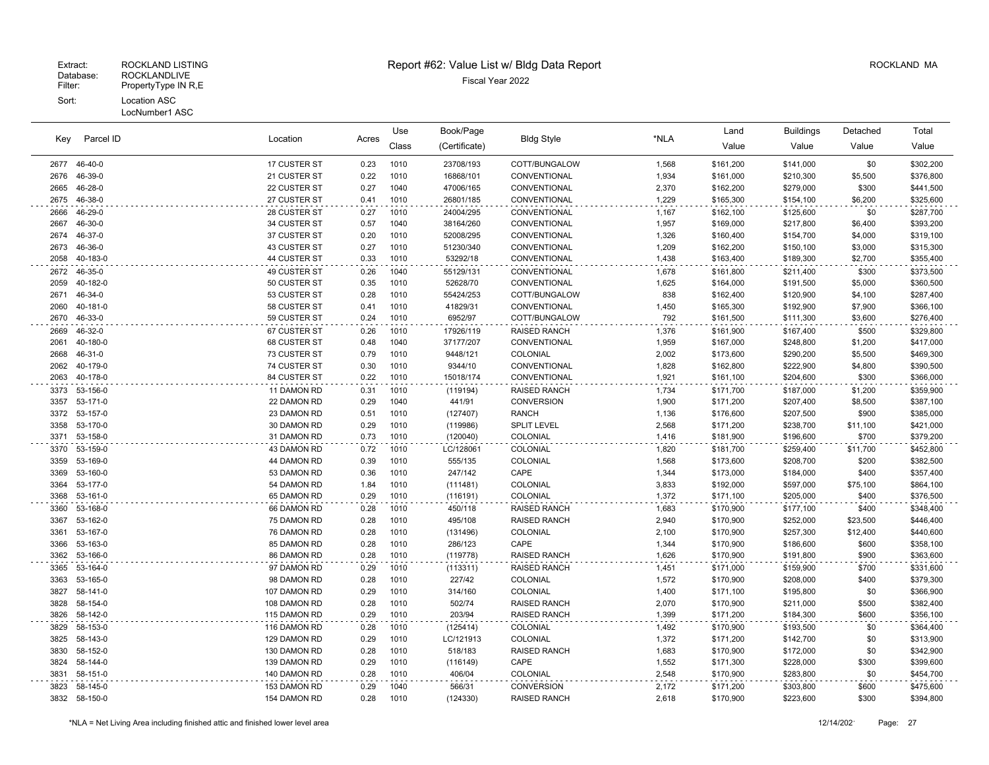#### LocNumber1 ASC

| Key          | Parcel ID           | Location                     | Acres        | Use          | Book/Page           | <b>Bldg Style</b>        | *NLA           | Land                   | <b>Buildings</b>       | Detached           | Total                  |
|--------------|---------------------|------------------------------|--------------|--------------|---------------------|--------------------------|----------------|------------------------|------------------------|--------------------|------------------------|
|              |                     |                              |              | Class        | (Certificate)       |                          |                | Value                  | Value                  | Value              | Value                  |
| 2677         | 46-40-0             | 17 CUSTER ST                 | 0.23         | 1010         | 23708/193           | COTT/BUNGALOW            | 1,568          | \$161,200              | \$141,000              | \$0                | \$302,200              |
| 2676         | 46-39-0             | 21 CUSTER ST                 | 0.22         | 1010         | 16868/101           | CONVENTIONAL             | 1,934          | \$161,000              | \$210,300              | \$5,500            | \$376,800              |
| 2665         | 46-28-0             | 22 CUSTER ST                 | 0.27         | 1040         | 47006/165           | CONVENTIONAL             | 2,370          | \$162,200              | \$279,000              | \$300              | \$441,500              |
| 2675         | 46-38-0             | 27 CUSTER ST                 | 0.41         | 1010         | 26801/185           | CONVENTIONAL             | 1,229          | \$165,300              | \$154,100              | \$6,200            | \$325,600              |
| 2666         | 46-29-0             | 28 CUSTER ST                 | 0.27         | 1010         | 24004/295           | CONVENTIONAL             | 1,167          | \$162,100              | \$125,600              | \$0                | \$287,700              |
| 2667         | 46-30-0             | 34 CUSTER ST                 | 0.57         | 1040         | 38164/260           | CONVENTIONAL             | 1,957          | \$169,000              | \$217,800              | \$6,400            | \$393,200              |
| 2674         | 46-37-0             | 37 CUSTER ST                 | 0.20         | 1010         | 52008/295           | CONVENTIONAL             | 1,326          | \$160,400              | \$154,700              | \$4,000            | \$319,100              |
| 2673         | 46-36-0             | 43 CUSTER ST                 | 0.27         | 1010         | 51230/340           | CONVENTIONAL             | 1,209          | \$162,200              | \$150,100              | \$3,000            | \$315,300              |
| 2058         | 40-183-0            | 44 CUSTER ST                 | 0.33         | 1010         | 53292/18            | CONVENTIONAL             | 1,438          | \$163,400              | \$189,300              | \$2,700            | \$355,400              |
| 2672         | 46-35-0             | 49 CUSTER ST                 | 0.26         | 1040         | 55129/131           | CONVENTIONAL             | 1,678          | \$161,800              | \$211,400              | \$300              | \$373,500              |
| 2059         | 40-182-0            | 50 CUSTER ST                 | 0.35         | 1010         | 52628/70            | CONVENTIONAL             | 1,625          | \$164,000              | \$191,500              | \$5,000            | \$360,500              |
| 2671         | 46-34-0             | 53 CUSTER ST                 | 0.28         | 1010         | 55424/253           | COTT/BUNGALOW            | 838            | \$162,400              | \$120,900              | \$4,100            | \$287,400              |
| 2060         | 40-181-0            | 58 CUSTER ST                 | 0.41         | 1010         | 41829/31            | CONVENTIONAL             | 1,450          | \$165,300              | \$192,900              | \$7,900            | \$366,100              |
| 2670         | 46-33-0             | 59 CUSTER ST                 | 0.24         | 1010         | 6952/97             | COTT/BUNGALOW            | 792            | \$161,500              | \$111,300              | \$3,600            | \$276,400              |
| 2669         | 46-32-0             | 67 CUSTER ST                 | 0.26         | 1010         | 17926/119           | <b>RAISED RANCH</b>      | 1,376          | \$161,900              | \$167,400              | \$500              | \$329,800              |
| 2061         | 40-180-0<br>46-31-0 | 68 CUSTER ST                 | 0.48         | 1040<br>1010 | 37177/207           | CONVENTIONAL<br>COLONIAL | 1,959          | \$167,000              | \$248,800              | \$1,200            | \$417,000              |
| 2668<br>2062 | 40-179-0            | 73 CUSTER ST<br>74 CUSTER ST | 0.79<br>0.30 | 1010         | 9448/121<br>9344/10 | CONVENTIONAL             | 2,002<br>1,828 | \$173,600<br>\$162,800 | \$290,200<br>\$222,900 | \$5,500<br>\$4,800 | \$469,300<br>\$390,500 |
| 2063         | 40-178-0            | 84 CUSTER ST                 | 0.22         | 1010         | 15018/174           | CONVENTIONAL             | 1,921          | \$161,100              | \$204,600              | \$300              | \$366,000              |
| 3373         | 53-156-0            | 11 DAMON RD                  | 0.31         | 1010         | (119194)            | <b>RAISED RANCH</b>      | 1,734          | \$171,700              | \$187,000              | \$1,200            | \$359,900              |
| 3357         | 53-171-0            | 22 DAMON RD                  | 0.29         | 1040         | 441/91              | <b>CONVERSION</b>        | 1,900          | \$171,200              | \$207,400              | \$8,500            | \$387,100              |
| 3372         | 53-157-0            | 23 DAMON RD                  | 0.51         | 1010         | (127407)            | <b>RANCH</b>             | 1,136          | \$176,600              | \$207,500              | \$900              | \$385,000              |
| 3358         | 53-170-0            | 30 DAMON RD                  | 0.29         | 1010         | (119986)            | <b>SPLIT LEVEL</b>       | 2,568          | \$171,200              | \$238,700              | \$11,100           | \$421,000              |
| 3371         | 53-158-0            | 31 DAMON RD                  | 0.73         | 1010         | (120040)            | COLONIAL                 | 1,416          | \$181,900              | \$196,600              | \$700              | \$379,200              |
| 3370         | 53-159-0            | 43 DAMON RD                  | 0.72         | 1010         | LC/128061           | COLONIAL                 | 1,820          | \$181,700              | \$259,400              | \$11,700           | \$452,800              |
| 3359         | 53-169-0            | 44 DAMON RD                  | 0.39         | 1010         | 555/135             | COLONIAL                 | 1,568          | \$173,600              | \$208,700              | \$200              | \$382,500              |
| 3369         | 53-160-0            | 53 DAMON RD                  | 0.36         | 1010         | 247/142             | CAPE                     | 1,344          | \$173,000              | \$184,000              | \$400              | \$357,400              |
| 3364         | 53-177-0            | 54 DAMON RD                  | 1.84         | 1010         | (111481)            | COLONIAL                 | 3,833          | \$192,000              | \$597,000              | \$75,100           | \$864,100              |
| 3368         | 53-161-0            | 65 DAMON RD                  | 0.29         | 1010         | (116191)            | COLONIAL                 | 1,372          | \$171,100              | \$205,000              | \$400              | \$376,500              |
| 3360         | 53-168-0            | 66 DAMON RD                  | 0.28         | 1010         | 450/118             | RAISED RANCH             | 1,683          | \$170,900              | \$177,100              | \$400              | \$348,400              |
| 3367         | 53-162-0            | 75 DAMON RD                  | 0.28         | 1010         | 495/108             | <b>RAISED RANCH</b>      | 2,940          | \$170,900              | \$252,000              | \$23,500           | \$446,400              |
| 3361         | 53-167-0            | 76 DAMON RD                  | 0.28         | 1010         | (131496)            | COLONIAL                 | 2,100          | \$170,900              | \$257,300              | \$12,400           | \$440,600              |
| 3366         | 53-163-0            | 85 DAMON RD                  | 0.28         | 1010         | 286/123             | CAPE                     | 1,344          | \$170,900              | \$186,600              | \$600              | \$358,100              |
| 3362         | 53-166-0            | 86 DAMON RD                  | 0.28         | 1010         | (119778)            | <b>RAISED RANCH</b>      | 1,626          | \$170,900              | \$191,800              | \$900              | \$363,600              |
| 3365         | 53-164-0            | 97 DAMON RD                  | 0.29         | 1010         | (113311)            | RAISED RANCH             | 1,451          | \$171,000              | \$159,900              | \$700              | \$331,600              |
| 3363         | 53-165-0            | 98 DAMON RD                  | 0.28         | 1010         | 227/42              | COLONIAL                 | 1,572          | \$170,900              | \$208,000              | \$400              | \$379,300              |
| 3827         | 58-141-0            | 107 DAMON RD                 | 0.29         | 1010         | 314/160             | COLONIAL                 | 1,400          | \$171,100              | \$195,800              | \$0                | \$366,900              |
| 3828         | 58-154-0            | 108 DAMON RD                 | 0.28         | 1010         | 502/74              | <b>RAISED RANCH</b>      | 2,070          | \$170,900              | \$211,000              | \$500              | \$382,400              |
| 3826         | 58-142-0            | 115 DAMON RD                 | 0.29         | 1010         | 203/94              | <b>RAISED RANCH</b>      | 1,399          | \$171,200              | \$184,300              | \$600              | \$356,100              |
| 3829         | 58-153-0            | 116 DAMON RD                 | 0.28         | 1010         | (125414)            | COLONIAL                 | 1,492          | \$170,900              | \$193,500              | \$0                | \$364,400              |
| 3825         | 58-143-0            | 129 DAMON RD                 | 0.29         | 1010         | LC/121913           | COLONIAL                 | 1,372          | \$171,200              | \$142,700              | \$0                | \$313,900              |
| 3830         | 58-152-0            | 130 DAMON RD                 | 0.28         | 1010         | 518/183             | <b>RAISED RANCH</b>      | 1,683          | \$170,900              | \$172,000              | \$0                | \$342,900              |
| 3824         | 58-144-0            | 139 DAMON RD                 | 0.29         | 1010         | (116149)            | CAPE                     | 1,552          | \$171,300              | \$228,000              | \$300              | \$399,600              |
| 3831         | 58-151-0            | 140 DAMON RD                 | 0.28         | 1010         | 406/04              | COLONIAL                 | 2,548          | \$170,900              | \$283,800              | \$0                | \$454,700              |
| 3823         | 58-145-0            | 153 DAMON RD                 | 0.29         | 1040         | 566/31              | <b>CONVERSION</b>        | 2,172          | \$171,200              | \$303,800              | \$600              | \$475,600              |
| 3832         | 58-150-0            | 154 DAMON RD                 | 0.28         | 1010         | (124330)            | <b>RAISED RANCH</b>      | 2,618          | \$170,900              | \$223,600              | \$300              | \$394,800              |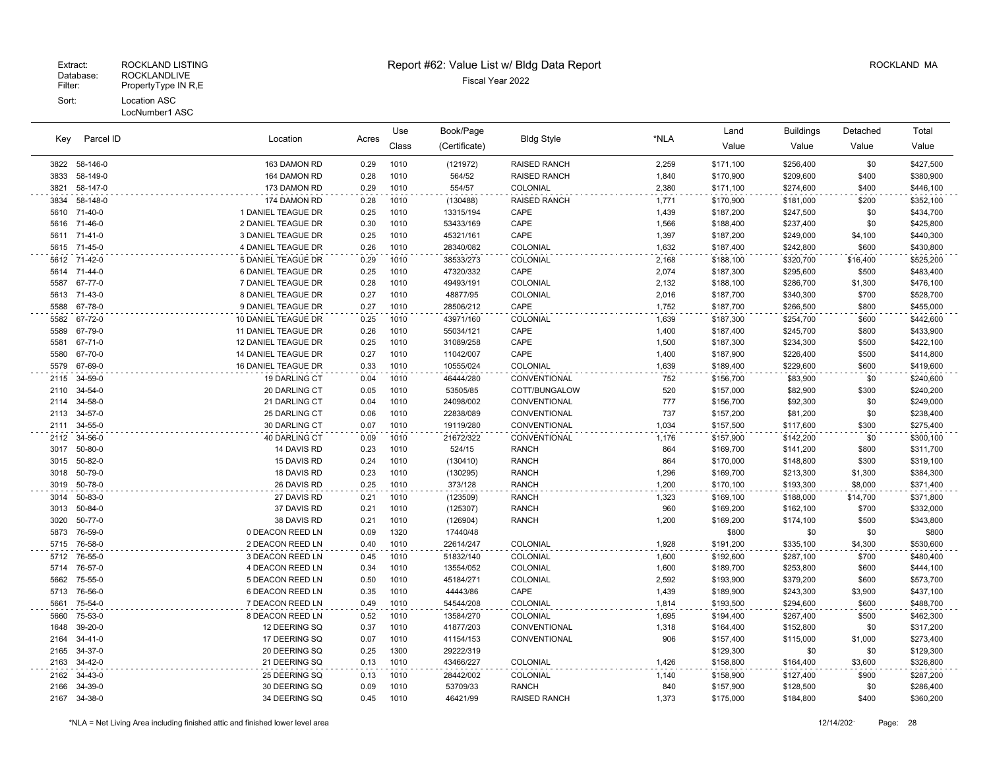## Extract: ROCKLAND LISTING **Report #62: Value List w/ Bldg Data Report** Alleman and RockLAND MA

|      |               | Location            |       | Use   | Book/Page     |                     | *NLA  | Land      | <b>Buildings</b> | Detached | Total     |
|------|---------------|---------------------|-------|-------|---------------|---------------------|-------|-----------|------------------|----------|-----------|
| Key  | Parcel ID     |                     | Acres | Class | (Certificate) | <b>Bldg Style</b>   |       | Value     | Value            | Value    | Value     |
|      | 3822 58-146-0 | 163 DAMON RD        | 0.29  | 1010  | (121972)      | RAISED RANCH        | 2,259 | \$171,100 | \$256,400        | \$0      | \$427,500 |
| 3833 | 58-149-0      | 164 DAMON RD        | 0.28  | 1010  | 564/52        | RAISED RANCH        | 1,840 | \$170,900 | \$209,600        | \$400    | \$380,900 |
| 3821 | 58-147-0      | 173 DAMON RD        | 0.29  | 1010  | 554/57        | COLONIAL            | 2,380 | \$171,100 | \$274,600        | \$400    | \$446,100 |
| 3834 | 58-148-0      | 174 DAMON RD        | 0.28  | 1010  | (130488)      | RAISED RANCH        | 1,771 | \$170,900 | \$181,000        | \$200    | \$352,100 |
|      | 5610 71-40-0  | 1 DANIEL TEAGUE DR  | 0.25  | 1010  | 13315/194     | CAPE                | 1,439 | \$187,200 | \$247,500        | \$0      | \$434,700 |
| 5616 | 71-46-0       | 2 DANIEL TEAGUE DR  | 0.30  | 1010  | 53433/169     | CAPE                | 1,566 | \$188,400 | \$237,400        | \$0      | \$425,800 |
| 5611 | 71-41-0       | 3 DANIEL TEAGUE DR  | 0.25  | 1010  | 45321/161     | CAPE                | 1,397 | \$187,200 | \$249,000        | \$4,100  | \$440,300 |
| 5615 | 71-45-0       | 4 DANIEL TEAGUE DR  | 0.26  | 1010  | 28340/082     | COLONIAL            | 1,632 | \$187,400 | \$242,800        | \$600    | \$430,800 |
|      | 5612 71-42-0  | 5 DANIEL TEAGUE DR  | 0.29  | 1010  | 38533/273     | <b>COLONIAL</b>     | 2,168 | \$188,100 | \$320,700        | \$16,400 | \$525,200 |
| 5614 | 71-44-0       | 6 DANIEL TEAGUE DR  | 0.25  | 1010  | 47320/332     | CAPE                | 2,074 | \$187,300 | \$295,600        | \$500    | \$483,400 |
| 5587 | 67-77-0       | 7 DANIEL TEAGUE DR  | 0.28  | 1010  | 49493/191     | COLONIAL            | 2,132 | \$188,100 | \$286,700        | \$1,300  | \$476,100 |
| 5613 | 71-43-0       | 8 DANIEL TEAGUE DR  | 0.27  | 1010  | 48877/95      | COLONIAL            | 2,016 | \$187,700 | \$340,300        | \$700    | \$528,700 |
| 5588 | 67-78-0       | 9 DANIEL TEAGUE DR  | 0.27  | 1010  | 28506/212     | CAPE                | 1,752 | \$187,700 | \$266,500        | \$800    | \$455,000 |
| 5582 | 67-72-0       | 10 DANIEL TEAGUE DR | 0.25  | 1010  | 43971/160     | COLONIAL            | 1,639 | \$187,300 | \$254,700        | \$600    | \$442,600 |
| 5589 | 67-79-0       | 11 DANIEL TEAGUE DR | 0.26  | 1010  | 55034/121     | CAPE                | 1,400 | \$187,400 | \$245,700        | \$800    | \$433,900 |
| 5581 | 67-71-0       | 12 DANIEL TEAGUE DR | 0.25  | 1010  | 31089/258     | CAPE                | 1,500 | \$187,300 | \$234,300        | \$500    | \$422,100 |
| 5580 | 67-70-0       | 14 DANIEL TEAGUE DR | 0.27  | 1010  | 11042/007     | CAPE                | 1,400 | \$187,900 | \$226,400        | \$500    | \$414,800 |
| 5579 | 67-69-0       | 16 DANIEL TEAGUE DR | 0.33  | 1010  | 10555/024     | COLONIAL            | 1,639 | \$189,400 | \$229,600        | \$600    | \$419,600 |
| 2115 | 34-59-0       | 19 DARLING CT       | 0.04  | 1010  | 46444/280     | CONVENTIONAL        | 752   | \$156,700 | \$83,900         | \$0      | \$240,600 |
| 2110 | 34-54-0       | 20 DARLING CT       | 0.05  | 1010  | 53505/85      | COTT/BUNGALOW       | 520   | \$157,000 | \$82,900         | \$300    | \$240,200 |
| 2114 | 34-58-0       | 21 DARLING CT       | 0.04  | 1010  | 24098/002     | CONVENTIONAL        | 777   | \$156,700 | \$92,300         | \$0      | \$249,000 |
| 2113 | 34-57-0       | 25 DARLING CT       | 0.06  | 1010  | 22838/089     | CONVENTIONAL        | 737   | \$157,200 | \$81,200         | \$0      | \$238,400 |
| 2111 | 34-55-0       | 30 DARLING CT       | 0.07  | 1010  | 19119/280     | CONVENTIONAL        | 1,034 | \$157,500 | \$117,600        | \$300    | \$275,400 |
| 2112 | 34-56-0       | 40 DARLING CT       | 0.09  | 1010  | 21672/322     | CONVENTIONAL        | 1,176 | \$157,900 | \$142,200        | \$0      | \$300,100 |
| 3017 | 50-80-0       | 14 DAVIS RD         | 0.23  | 1010  | 524/15        | <b>RANCH</b>        | 864   | \$169,700 | \$141,200        | \$800    | \$311,700 |
| 3015 | 50-82-0       | 15 DAVIS RD         | 0.24  | 1010  | (130410)      | <b>RANCH</b>        | 864   | \$170,000 | \$148,800        | \$300    | \$319,100 |
| 3018 | 50-79-0       | 18 DAVIS RD         | 0.23  | 1010  | (130295)      | <b>RANCH</b>        | 1,296 | \$169,700 | \$213,300        | \$1,300  | \$384,300 |
| 3019 | 50-78-0       | 26 DAVIS RD         | 0.25  | 1010  | 373/128       | RANCH               | 1,200 | \$170,100 | \$193,300        | \$8,000  | \$371,400 |
| 3014 | 50-83-0       | 27 DAVIS RD         | 0.21  | 1010  | (123509)      | <b>RANCH</b>        | 1,323 | \$169,100 | \$188,000        | \$14,700 | \$371,800 |
| 3013 | 50-84-0       | 37 DAVIS RD         | 0.21  | 1010  | (125307)      | <b>RANCH</b>        | 960   | \$169,200 | \$162,100        | \$700    | \$332,000 |
| 3020 | 50-77-0       | 38 DAVIS RD         | 0.21  | 1010  | (126904)      | <b>RANCH</b>        | 1,200 | \$169,200 | \$174,100        | \$500    | \$343,800 |
| 5873 | 76-59-0       | 0 DEACON REED LN    | 0.09  | 1320  | 17440/48      |                     |       | \$800     | \$0              | \$0      | \$800     |
| 5715 | 76-58-0       | 2 DEACON REED LN    | 0.40  | 1010  | 22614/247     | COLONIAL            | 1,928 | \$191,200 | \$335,100        | \$4,300  | \$530,600 |
| 5712 | 76-55-0       | 3 DEACON REED LN    | 0.45  | 1010  | 51832/140     | COLONIAL            | 1,600 | \$192,600 | \$287,100        | \$700    | \$480,400 |
| 5714 | 76-57-0       | 4 DEACON REED LN    | 0.34  | 1010  | 13554/052     | COLONIAL            | 1,600 | \$189,700 | \$253,800        | \$600    | \$444,100 |
| 5662 | 75-55-0       | 5 DEACON REED LN    | 0.50  | 1010  | 45184/271     | COLONIAL            | 2,592 | \$193,900 | \$379,200        | \$600    | \$573,700 |
| 5713 | 76-56-0       | 6 DEACON REED LN    | 0.35  | 1010  | 44443/86      | CAPE                | 1,439 | \$189,900 | \$243,300        | \$3,900  | \$437,100 |
| 5661 | 75-54-0       | 7 DEACON REED LN    | 0.49  | 1010  | 54544/208     | COLONIAL            | 1,814 | \$193,500 | \$294,600        | \$600    | \$488,700 |
| 5660 | 75-53-0       | 8 DEACON REED LN    | 0.52  | 1010  | 13584/270     | COLONIAL            | 1,695 | \$194,400 | \$267,400        | \$500    | \$462,300 |
| 1648 | 39-20-0       | 12 DEERING SQ       | 0.37  | 1010  | 41877/203     | CONVENTIONAL        | 1,318 | \$164,400 | \$152,800        | \$0      | \$317,200 |
| 2164 | $34 - 41 - 0$ | 17 DEERING SQ       | 0.07  | 1010  | 41154/153     | CONVENTIONAL        | 906   | \$157,400 | \$115,000        | \$1,000  | \$273,400 |
| 2165 | 34-37-0       | 20 DEERING SQ       | 0.25  | 1300  | 29222/319     |                     |       | \$129,300 | \$0              | \$0      | \$129,300 |
| 2163 | 34-42-0       | 21 DEERING SQ       | 0.13  | 1010  | 43466/227     | COLONIAL            | 1,426 | \$158,800 | \$164,400        | \$3,600  | \$326,800 |
| 2162 | 34-43-0       | 25 DEERING SQ       | 0.13  | 1010  | 28442/002     | COLONIAL            | 1,140 | \$158,900 | \$127,400        | \$900    | \$287,200 |
| 2166 | 34-39-0       | 30 DEERING SQ       | 0.09  | 1010  | 53709/33      | <b>RANCH</b>        | 840   | \$157,900 | \$128,500        | \$0      | \$286,400 |
| 2167 | 34-38-0       | 34 DEERING SQ       | 0.45  | 1010  | 46421/99      | <b>RAISED RANCH</b> | 1,373 | \$175,000 | \$184,800        | \$400    | \$360,200 |
|      |               |                     |       |       |               |                     |       |           |                  |          |           |

 $\sim$   $\sim$ 

 $\ddot{\phantom{a}}$ 

 $\ddot{\phantom{0}}$ 

 $\ddot{\phantom{0}}$ 

 $\sim$   $\sim$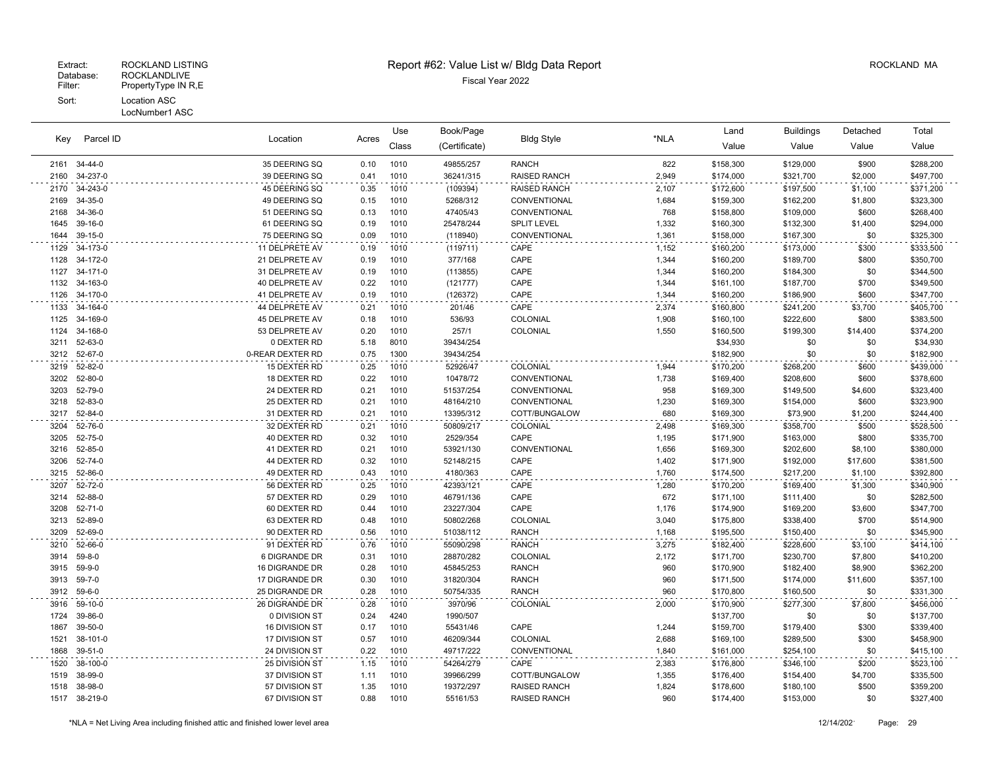#### Patabase: ROCKLANDLIVE<br>Filter: PropertyType IN R,E PropertyType IN R,E Sort: Location ASC LocNumber1 ASC

# Extract: ROCKLAND LISTING CONSULTING REPORT #62: Value List w/ Bldg Data Report Acceleration Consultant ROCKLAND MA

Use

Book/Page Land Buildings Detached

|      |               |                  |       | ---   | boonn ago     |                     |       | ----      |           |          | $\sim$    |
|------|---------------|------------------|-------|-------|---------------|---------------------|-------|-----------|-----------|----------|-----------|
| Key  | Parcel ID     | Location         | Acres | Class | (Certificate) | <b>Bldg Style</b>   | *NLA  | Value     | Value     | Value    | Value     |
|      | 2161 34-44-0  | 35 DEERING SQ    | 0.10  | 1010  | 49855/257     | <b>RANCH</b>        | 822   | \$158,300 | \$129,000 | \$900    | \$288,200 |
|      | 2160 34-237-0 | 39 DEERING SQ    | 0.41  | 1010  | 36241/315     | RAISED RANCH        | 2,949 | \$174,000 | \$321,700 | \$2,000  | \$497,700 |
|      | 2170 34-243-0 | 45 DEERING SQ    | 0.35  | 1010  | (109394)      | <b>RAISED RANCH</b> | 2,107 | \$172,600 | \$197,500 | \$1,100  | \$371,200 |
|      | 2169 34-35-0  | 49 DEERING SQ    | 0.15  | 1010  | 5268/312      | CONVENTIONAL        | 1,684 | \$159,300 | \$162,200 | \$1,800  | \$323,300 |
|      | 2168 34-36-0  | 51 DEERING SQ    | 0.13  | 1010  | 47405/43      | CONVENTIONAL        | 768   | \$158,800 | \$109,000 | \$600    | \$268,400 |
|      | 1645 39-16-0  | 61 DEERING SQ    | 0.19  | 1010  | 25478/244     | <b>SPLIT LEVEL</b>  | 1,332 | \$160,300 | \$132,300 | \$1,400  | \$294,000 |
| 1644 | 39-15-0       | 75 DEERING SQ    | 0.09  | 1010  | (118940)      | CONVENTIONAL        | 1,361 | \$158,000 | \$167,300 | \$0      | \$325,300 |
|      | 1129 34-173-0 | 11 DELPRETE AV   | 0.19  | 1010  | (119711)      | CAPE                | 1,152 | \$160,200 | \$173,000 | \$300    | \$333,500 |
|      | 1128 34-172-0 | 21 DELPRETE AV   | 0.19  | 1010  | 377/168       | CAPE                | 1,344 | \$160,200 | \$189,700 | \$800    | \$350,700 |
|      | 1127 34-171-0 | 31 DELPRETE AV   | 0.19  | 1010  | (113855)      | CAPE                | 1,344 | \$160,200 | \$184,300 | \$0      | \$344,500 |
|      | 1132 34-163-0 | 40 DELPRETE AV   | 0.22  | 1010  | (121777)      | CAPE                | 1,344 | \$161,100 | \$187,700 | \$700    | \$349,500 |
|      | 1126 34-170-0 | 41 DELPRETE AV   | 0.19  | 1010  | (126372)      | CAPE                | 1,344 | \$160,200 | \$186,900 | \$600    | \$347,700 |
|      | 1133 34-164-0 | 44 DELPRETE AV   | 0.21  | 1010  | 201/46        | CAPE                | 2,374 | \$160,800 | \$241,200 | \$3,700  | \$405,700 |
|      | 1125 34-169-0 | 45 DELPRETE AV   | 0.18  | 1010  | 536/93        | COLONIAL            | 1,908 | \$160,100 | \$222,600 | \$800    | \$383,500 |
| 1124 | 34-168-0      | 53 DELPRETE AV   | 0.20  | 1010  | 257/1         | COLONIAL            | 1,550 | \$160,500 | \$199,300 | \$14,400 | \$374,200 |
| 3211 | 52-63-0       | 0 DEXTER RD      | 5.18  | 8010  | 39434/254     |                     |       | \$34,930  | \$0       | \$0      | \$34,930  |
|      | 3212 52-67-0  | 0-REAR DEXTER RD | 0.75  | 1300  | 39434/254     |                     |       | \$182,900 | \$0       | \$0      | \$182,900 |
|      | 3219 52-82-0  | 15 DEXTER RD     | 0.25  | 1010  | 52926/47      | COLONIAL            | 1,944 | \$170,200 | \$268,200 | \$600    | \$439,000 |
|      | 3202 52-80-0  | 18 DEXTER RD     | 0.22  | 1010  | 10478/72      | CONVENTIONAL        | 1,738 | \$169,400 | \$208,600 | \$600    | \$378,600 |
|      | 3203 52-79-0  | 24 DEXTER RD     | 0.21  | 1010  | 51537/254     | CONVENTIONAL        | 958   | \$169,300 | \$149,500 | \$4,600  | \$323,400 |
|      | 3218 52-83-0  | 25 DEXTER RD     | 0.21  | 1010  | 48164/210     | <b>CONVENTIONAL</b> | 1,230 | \$169,300 | \$154,000 | \$600    | \$323,900 |
|      | 3217 52-84-0  | 31 DEXTER RD     | 0.21  | 1010  | 13395/312     | COTT/BUNGALOW       | 680   | \$169,300 | \$73,900  | \$1,200  | \$244,400 |
| 3204 | 52-76-0       | 32 DEXTER RD     | 0.21  | 1010  | 50809/217     | COLONIAL            | 2,498 | \$169,300 | \$358,700 | \$500    | \$528,500 |
|      | 3205 52-75-0  | 40 DEXTER RD     | 0.32  | 1010  | 2529/354      | CAPE                | 1,195 | \$171,900 | \$163,000 | \$800    | \$335,700 |
|      | 3216 52-85-0  | 41 DEXTER RD     | 0.21  | 1010  | 53921/130     | CONVENTIONAL        | 1,656 | \$169,300 | \$202,600 | \$8,100  | \$380,000 |
|      | 3206 52-74-0  | 44 DEXTER RD     | 0.32  | 1010  | 52148/215     | CAPE                | 1,402 | \$171,900 | \$192,000 | \$17,600 | \$381,500 |
|      | 3215 52-86-0  | 49 DEXTER RD     | 0.43  | 1010  | 4180/363      | CAPE                | 1,760 | \$174,500 | \$217,200 | \$1,100  | \$392,800 |
| 3207 | 52-72-0       | 56 DEXTER RD     | 0.25  | 1010  | 42393/121     | CAPE                | 1,280 | \$170,200 | \$169,400 | \$1,300  | \$340,900 |
|      | 3214 52-88-0  | 57 DEXTER RD     | 0.29  | 1010  | 46791/136     | CAPE                | 672   | \$171,100 | \$111,400 | \$0      | \$282,500 |
|      | 3208 52-71-0  | 60 DEXTER RD     | 0.44  | 1010  | 23227/304     | CAPE                | 1,176 | \$174,900 | \$169,200 | \$3,600  | \$347,700 |
|      | 3213 52-89-0  | 63 DEXTER RD     | 0.48  | 1010  | 50802/268     | COLONIAL            | 3,040 | \$175,800 | \$338,400 | \$700    | \$514,900 |
|      | 3209 52-69-0  | 90 DEXTER RD     | 0.56  | 1010  | 51038/112     | <b>RANCH</b>        | 1,168 | \$195,500 | \$150,400 | \$0      | \$345,900 |
|      | 3210 52-66-0  | 91 DEXTER RD     | 0.76  | 1010  | 55090/298     | <b>RANCH</b>        | 3,275 | \$182,400 | \$228,600 | \$3,100  | \$414,100 |
|      | 3914 59-8-0   | 6 DIGRANDE DR    | 0.31  | 1010  | 28870/282     | COLONIAL            | 2,172 | \$171,700 | \$230,700 | \$7,800  | \$410,200 |
|      | 3915 59-9-0   | 16 DIGRANDE DR   | 0.28  | 1010  | 45845/253     | <b>RANCH</b>        | 960   | \$170,900 | \$182,400 | \$8,900  | \$362,200 |
|      | 3913 59-7-0   | 17 DIGRANDE DR   | 0.30  | 1010  | 31820/304     | <b>RANCH</b>        | 960   | \$171,500 | \$174,000 | \$11,600 | \$357,100 |
|      | 3912 59-6-0   | 25 DIGRANDE DR   | 0.28  | 1010  | 50754/335     | <b>RANCH</b>        | 960   | \$170,800 | \$160,500 | \$0      | \$331,300 |
|      | 3916 59-10-0  | 26 DIGRANDE DR   | 0.28  | 1010  | 3970/96       | COLONIAL            | 2,000 | \$170,900 | \$277,300 | \$7,800  | \$456,000 |
|      | 1724 39-86-0  | 0 DIVISION ST    | 0.24  | 4240  | 1990/507      |                     |       | \$137,700 | \$0       | \$0      | \$137,700 |
|      | 1867 39-50-0  | 16 DIVISION ST   | 0.17  | 1010  | 55431/46      | CAPE                | 1,244 | \$159,700 | \$179,400 | \$300    | \$339,400 |
|      | 1521 38-101-0 | 17 DIVISION ST   | 0.57  | 1010  | 46209/344     | COLONIAL            | 2,688 | \$169,100 | \$289,500 | \$300    | \$458,900 |

 39-51-0 24 DIVISION ST 0.22 1010 49717/222 CONVENTIONAL 1,840 \$161,000 \$254,100 \$0 \$415,100 38-100-0 25 DIVISION ST 1.15 1010 54264/279 CAPE 2,383 \$176,800 \$346,100 \$200 \$523,100 38-99-0 37 DIVISION ST 1.11 1010 39966/299 COTT/BUNGALOW 1,355 \$176,400 \$154,400 \$4,700 \$335,500 38-98-0 57 DIVISION ST 1.35 1010 19372/297 RAISED RANCH 1,824 \$178,600 \$180,100 \$500 \$359,200 38-219-0 67 DIVISION ST 0.88 1010 55161/53 RAISED RANCH 960 \$174,400 \$153,000 \$0 \$327,400

Total

\*NLA = Net Living Area including finished attic and finished lower level area 12/14/2021 Page: 29

 $\sim$   $\sim$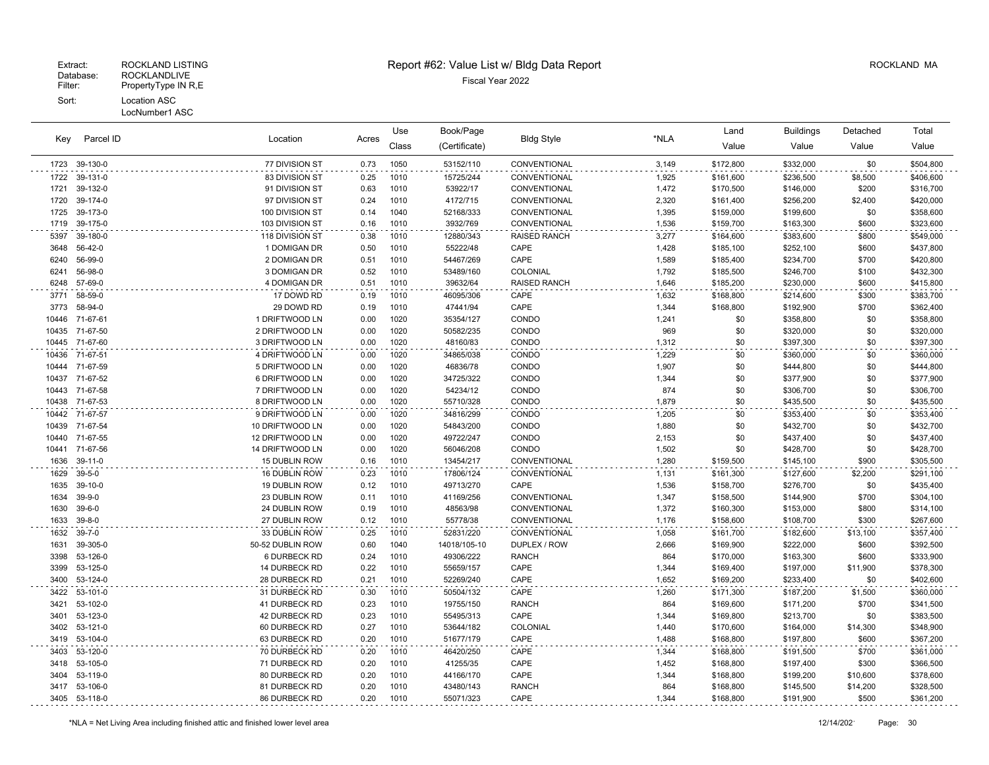|       |              |                  |       | Use   | Book/Page     |                     |       | Land      | <b>Buildings</b> | Detached | Total     |
|-------|--------------|------------------|-------|-------|---------------|---------------------|-------|-----------|------------------|----------|-----------|
| Key   | Parcel ID    | Location         | Acres | Class | (Certificate) | <b>Bldg Style</b>   | *NLA  | Value     | Value            | Value    | Value     |
| 1723  | 39-130-0     | 77 DIVISION ST   | 0.73  | 1050  | 53152/110     | CONVENTIONAL        | 3,149 | \$172,800 | \$332,000        | \$0      | \$504,800 |
| 1722  | 39-131-0     | 83 DIVISION ST   | 0.25  | 1010  | 15725/244     | CONVENTIONAL        | 1,925 | \$161,600 | \$236,500        | \$8,500  | \$406,600 |
| 1721  | 39-132-0     | 91 DIVISION ST   | 0.63  | 1010  | 53922/17      | CONVENTIONAL        | 1,472 | \$170,500 | \$146,000        | \$200    | \$316,700 |
| 1720  | 39-174-0     | 97 DIVISION ST   | 0.24  | 1010  | 4172/715      | CONVENTIONAL        | 2,320 | \$161,400 | \$256,200        | \$2,400  | \$420,000 |
| 1725  | 39-173-0     | 100 DIVISION ST  | 0.14  | 1040  | 52168/333     | CONVENTIONAL        | 1,395 | \$159,000 | \$199,600        | \$0      | \$358,600 |
| 1719  | 39-175-0     | 103 DIVISION ST  | 0.16  | 1010  | 3932/769      | <b>CONVENTIONAL</b> | 1,536 | \$159,700 | \$163,300        | \$600    | \$323,600 |
| 5397  | 39-180-0     | 118 DIVISION ST  | 0.38  | 1010  | 12880/343     | RAISED RANCH        | 3,277 | \$164,600 | \$383,600        | \$800    | \$549,000 |
| 3648  | 56-42-0      | 1 DOMIGAN DR     | 0.50  | 1010  | 55222/48      | CAPE                | 1,428 | \$185,100 | \$252,100        | \$600    | \$437,800 |
| 6240  | 56-99-0      | 2 DOMIGAN DR     | 0.51  | 1010  | 54467/269     | CAPE                | 1,589 | \$185,400 | \$234,700        | \$700    | \$420,800 |
| 6241  | 56-98-0      | 3 DOMIGAN DR     | 0.52  | 1010  | 53489/160     | COLONIAL            | 1,792 | \$185,500 | \$246,700        | \$100    | \$432,300 |
| 6248  | 57-69-0      | 4 DOMIGAN DR     | 0.51  | 1010  | 39632/64      | RAISED RANCH        | 1,646 | \$185,200 | \$230,000        | \$600    | \$415,800 |
| 3771  | 58-59-0      | 17 DOWD RD       | 0.19  | 1010  | 46095/306     | CAPE                | 1,632 | \$168,800 | \$214,600        | \$300    | \$383,700 |
| 3773  | 58-94-0      | 29 DOWD RD       | 0.19  | 1010  | 47441/94      | CAPE                | 1,344 | \$168,800 | \$192,900        | \$700    | \$362,400 |
| 10446 | 71-67-61     | 1 DRIFTWOOD LN   | 0.00  | 1020  | 35354/127     | CONDO               | 1,241 | \$0       | \$358,800        | \$0      | \$358,800 |
| 10435 | 71-67-50     | 2 DRIFTWOOD LN   | 0.00  | 1020  | 50582/235     | CONDO               | 969   | \$0       | \$320,000        | \$0      | \$320,000 |
| 10445 | 71-67-60     | 3 DRIFTWOOD LN   | 0.00  | 1020  | 48160/83      | CONDO               | 1,312 | \$0       | \$397,300        | \$0      | \$397,300 |
| 10436 | 71-67-51     | 4 DRIFTWOOD LN   | 0.00  | 1020  | 34865/038     | CONDO               | 1,229 | \$0       | \$360,000        | \$0      | \$360,000 |
| 10444 | 71-67-59     | 5 DRIFTWOOD LN   | 0.00  | 1020  | 46836/78      | CONDO               | 1,907 | \$0       | \$444,800        | \$0      | \$444,800 |
| 10437 | 71-67-52     | 6 DRIFTWOOD LN   | 0.00  | 1020  | 34725/322     | CONDO               | 1,344 | \$0       | \$377,900        | \$0      | \$377,900 |
| 10443 | 71-67-58     | 7 DRIFTWOOD LN   | 0.00  | 1020  | 54234/12      | CONDO               | 874   | \$0       | \$306,700        | \$0      | \$306,700 |
| 10438 | 71-67-53     | 8 DRIFTWOOD LN   | 0.00  | 1020  | 55710/328     | CONDO               | 1,879 | \$0       | \$435,500        | \$0      | \$435,500 |
| 10442 | 71-67-57     | 9 DRIFTWOOD LN   | 0.00  | 1020  | 34816/299     | CONDO               | 1,205 | \$0       | \$353,400        | \$0      | \$353,400 |
| 10439 | 71-67-54     | 10 DRIFTWOOD LN  | 0.00  | 1020  | 54843/200     | CONDO               | 1,880 | \$0       | \$432,700        | \$0      | \$432,700 |
| 10440 | 71-67-55     | 12 DRIFTWOOD LN  | 0.00  | 1020  | 49722/247     | CONDO               | 2,153 | \$0       | \$437,400        | \$0      | \$437,400 |
| 10441 | 71-67-56     | 14 DRIFTWOOD LN  | 0.00  | 1020  | 56046/208     | CONDO               | 1,502 | \$0       | \$428,700        | \$0      | \$428,700 |
| 1636  | $39-11-0$    | 15 DUBLIN ROW    | 0.16  | 1010  | 13454/217     | CONVENTIONAL        | 1,280 | \$159,500 | \$145,100        | \$900    | \$305,500 |
| 1629  | $39 - 5 - 0$ | 16 DUBLIN ROW    | 0.23  | 1010  | 17806/124     | CONVENTIONAL        | 1,131 | \$161,300 | \$127,600        | \$2,200  | \$291,100 |
| 1635  | 39-10-0      | 19 DUBLIN ROW    | 0.12  | 1010  | 49713/270     | CAPE                | 1,536 | \$158,700 | \$276,700        | \$0      | \$435,400 |
| 1634  | $39 - 9 - 0$ | 23 DUBLIN ROW    | 0.11  | 1010  | 41169/256     | CONVENTIONAL        | 1,347 | \$158,500 | \$144,900        | \$700    | \$304,100 |
| 1630  | $39 - 6 - 0$ | 24 DUBLIN ROW    | 0.19  | 1010  | 48563/98      | CONVENTIONAL        | 1,372 | \$160,300 | \$153,000        | \$800    | \$314,100 |
| 1633  | $39 - 8 - 0$ | 27 DUBLIN ROW    | 0.12  | 1010  | 55778/38      | CONVENTIONAL        | 1,176 | \$158,600 | \$108,700        | \$300    | \$267,600 |
| 1632  | $39 - 7 - 0$ | 33 DUBLIN ROW    | 0.25  | 1010  | 52831/220     | CONVENTIONAL        | 1,058 | \$161,700 | \$182,600        | \$13,100 | \$357,400 |
| 1631  | 39-305-0     | 50-52 DUBLIN ROW | 0.60  | 1040  | 14018/105-10  | DUPLEX / ROW        | 2,666 | \$169,900 | \$222,000        | \$600    | \$392,500 |
| 3398  | 53-126-0     | 6 DURBECK RD     | 0.24  | 1010  | 49306/222     | <b>RANCH</b>        | 864   | \$170,000 | \$163,300        | \$600    | \$333,900 |
| 3399  | 53-125-0     | 14 DURBECK RD    | 0.22  | 1010  | 55659/157     | CAPE                | 1,344 | \$169,400 | \$197,000        | \$11,900 | \$378,300 |
| 3400  | 53-124-0     | 28 DURBECK RD    | 0.21  | 1010  | 52269/240     | CAPE                | 1,652 | \$169,200 | \$233,400        | \$0      | \$402,600 |
| 3422  | 53-101-0     | 31 DURBECK RD    | 0.30  | 1010  | 50504/132     | CAPE                | 1,260 | \$171,300 | \$187,200        | \$1,500  | \$360,000 |
| 3421  | 53-102-0     | 41 DURBECK RD    | 0.23  | 1010  | 19755/150     | <b>RANCH</b>        | 864   | \$169,600 | \$171,200        | \$700    | \$341,500 |
| 3401  | 53-123-0     | 42 DURBECK RD    | 0.23  | 1010  | 55495/313     | CAPE                | 1,344 | \$169,800 | \$213,700        | \$0      | \$383,500 |
| 3402  | 53-121-0     | 60 DURBECK RD    | 0.27  | 1010  | 53644/182     | COLONIAL            | 1,440 | \$170,600 | \$164,000        | \$14,300 | \$348,900 |
| 3419  | 53-104-0     | 63 DURBECK RD    | 0.20  | 1010  | 51677/179     | CAPE                | 1,488 | \$168,800 | \$197,800        | \$600    | \$367,200 |
| 3403  | 53-120-0     | 70 DURBECK RD    | 0.20  | 1010  | 46420/250     | CAPE                | 1,344 | \$168,800 | \$191,500        | \$700    | \$361,000 |
| 3418  | 53-105-0     | 71 DURBECK RD    | 0.20  | 1010  | 41255/35      | CAPE                | 1,452 | \$168,800 | \$197,400        | \$300    | \$366,500 |
| 3404  | 53-119-0     | 80 DURBECK RD    | 0.20  | 1010  | 44166/170     | CAPE                | 1,344 | \$168,800 | \$199,200        | \$10,600 | \$378,600 |
| 3417  | 53-106-0     | 81 DURBECK RD    | 0.20  | 1010  | 43480/143     | <b>RANCH</b>        | 864   | \$168,800 | \$145,500        | \$14,200 | \$328,500 |
| 3405  | 53-118-0     | 86 DURBECK RD    | 0.20  | 1010  | 55071/323     | CAPE                | 1,344 | \$168,800 | \$191,900        | \$500    | \$361,200 |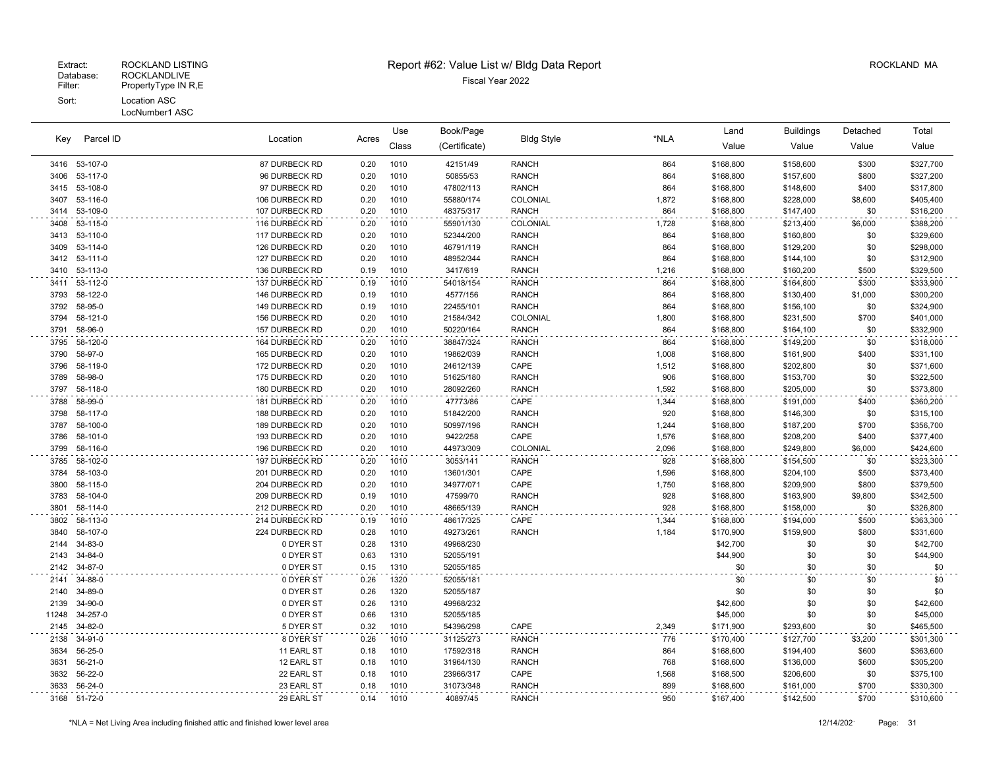#### Fiscal Year 2022 Database: ROCKLANDLIVE Extract: ROCKLAND LISTING Report #62: Value List w/ Bldg Data Report ROCKLAND MA Filter: PropertyType IN R,E Sort: Location ASC LocNumber1 ASC

Location Acres Value Value Value Value Key Book/Page Land Buildings Detached (Certificate) Bldg Style \*NLA Class Use Parcel ID Total 53-107-0 87 DURBECK RD 0.20 1010 42151/49 RANCH 864 \$168,800 \$158,600 \$300 \$327,700 53-117-0 96 DURBECK RD 0.20 1010 50855/53 RANCH 864 \$168,800 \$157,600 \$800 \$327,200 53-108-0 97 DURBECK RD 0.20 1010 47802/113 RANCH 864 \$168,800 \$148,600 \$400 \$317,800 53-116-0 106 DURBECK RD 0.20 1010 55880/174 COLONIAL 1,872 \$168,800 \$228,000 \$8,600 \$405,400 53-109-0 107 DURBECK RD 0.20 1010 48375/317 RANCH 864 \$168,800 \$147,400 \$0 \$316,200 53-115-0 116 DURBECK RD 0.20 1010 55901/130 COLONIAL 1,728 \$168,800 \$213,400 \$6,000 \$388,200 3413 53-110-0 117 DURBECK RD 0.20 1010 52344/200 RANCH 864 \$160,800 \$160,800 \$0 \$329,600 3409 53-114-0 126 DURBECK RD 0.20 1010 46791/119 RANCH 864 \$168,800 \$129,200 \$0 \$298,000 53-111-0 127 DURBECK RD 0.20 1010 48952/344 RANCH 864 \$168,800 \$144,100 \$0 \$312,900 53-113-0 136 DURBECK RD 0.19 1010 3417/619 RANCH 1,216 \$168,800 \$160,200 \$500 \$329,500 53-112-0 137 DURBECK RD 0.19 1010 54018/154 RANCH 864 \$168,800 \$164,800 \$300 \$333,900 58-122-0 146 DURBECK RD 0.19 1010 4577/156 RANCH 864 \$168,800 \$130,400 \$1,000 \$300,200 58-95-0 149 DURBECK RD 0.19 1010 22455/101 RANCH 864 \$168,800 \$156,100 \$0 \$324,900 58-121-0 156 DURBECK RD 0.20 1010 21584/342 COLONIAL 1,800 \$168,800 \$231,500 \$700 \$401,000 58-96-0 157 DURBECK RD 0.20 1010 50220/164 RANCH 864 \$168,800 \$164,100 \$0 \$332,900 3795 58-120-0 164 DURBECK RD 0.20 1010 38847/324 RANCH 864 \$168,800 \$149,200 \$0 \$318,000 58-97-0 165 DURBECK RD 0.20 1010 19862/039 RANCH 1,008 \$168,800 \$161,900 \$400 \$331,100 3796 58-119-0 172 DURBECK RD 0.20 1010 24612/139 CAPE 1,512 \$168,800 \$202,800 \$0 \$371,600 58-98-0 175 DURBECK RD 0.20 1010 51625/180 RANCH 906 \$168,800 \$153,700 \$0 \$322,500 58-118-0 180 DURBECK RD 0.20 1010 28092/260 RANCH 1,592 \$168,800 \$205,000 \$0 \$373,800 58-99-0 181 DURBECK RD 0.20 1010 47773/86 CAPE 1,344 \$168,800 \$191,000 \$400 \$360,200 58-117-0 188 DURBECK RD 0.20 1010 51842/200 RANCH 920 \$168,800 \$146,300 \$0 \$315,100 58-100-0 189 DURBECK RD 0.20 1010 50997/196 RANCH 1,244 \$168,800 \$187,200 \$700 \$356,700 58-101-0 193 DURBECK RD 0.20 1010 9422/258 CAPE 1,576 \$168,800 \$208,200 \$400 \$377,400 58-116-0 196 DURBECK RD 0.20 1010 44973/309 COLONIAL 2,096 \$168,800 \$249,800 \$6,000 \$424,600 58-102-0 197 DURBECK RD 0.20 1010 3053/141 RANCH 928 \$168,800 \$154,500 \$0 \$323,300 58-103-0 201 DURBECK RD 0.20 1010 13601/301 CAPE 1,596 \$168,800 \$204,100 \$500 \$373,400 58-115-0 204 DURBECK RD 0.20 1010 34977/071 CAPE 1,750 \$168,800 \$209,900 \$800 \$379,500 58-104-0 209 DURBECK RD 0.19 1010 47599/70 RANCH 928 \$168,800 \$163,900 \$9,800 \$342,500 58-114-0 212 DURBECK RD 0.20 1010 48665/139 RANCH 928 \$168,800 \$158,000 \$0 \$326,800 58-113-0 214 DURBECK RD 0.19 1010 48617/325 CAPE 1,344 \$168,800 \$194,000 \$500 \$363,300 58-107-0 224 DURBECK RD 0.28 1010 49273/261 RANCH 1,184 \$170,900 \$159,900 \$800 \$331,600 34-83-0 0 DYER ST 0.28 1310 49968/230 \$42,700 \$0 \$0 \$42,700 2143 34-84-0 0 DYER ST 6.63 1310 52055/191 \$44,900 \$0 \$0 \$14,900 34-87-0 0 DYER ST 0.15 1310 52055/185 \$0 \$0 \$0 \$0 2141 34-88-0 0 DYER ST 622055/181 \$0 \$0 \$0 \$0 34-89-0 0 DYER ST 0.26 1320 52055/187 \$0 \$0 \$0 \$0 2139 34-90-0 0 DYER ST 0.26 1310 49968/232 \$42,600 \$0 \$0 \$42,600 11248 34-257-0 0 DYER ST 0.66 1310 52055/185 \$45,000 \$0 \$0 \$45,000 \$0 \$0 \$45,000 34-82-0 5 DYER ST 0.32 1010 54396/298 CAPE 2,349 \$171,900 \$293,600 \$0 \$465,500 34-91-0 8 DYER ST 0.26 1010 31125/273 RANCH 776 \$170,400 \$127,700 \$3,200 \$301,300 56-25-0 11 EARL ST 0.18 1010 17592/318 RANCH 864 \$168,600 \$194,400 \$600 \$363,600 56-21-0 12 EARL ST 0.18 1010 31964/130 RANCH 768 \$168,600 \$136,000 \$600 \$305,200 56-22-0 22 EARL ST 0.18 1010 23966/317 CAPE 1,568 \$168,500 \$206,600 \$0 \$375,100 56-24-0 23 EARL ST 0.18 1010 31073/348 RANCH 899 \$168,600 \$161,000 \$700 \$330,300

51-72-0 29 EARL ST 0.14 1010 40897/45 RANCH 950 \$167,400 \$142,500 \$700 \$310,600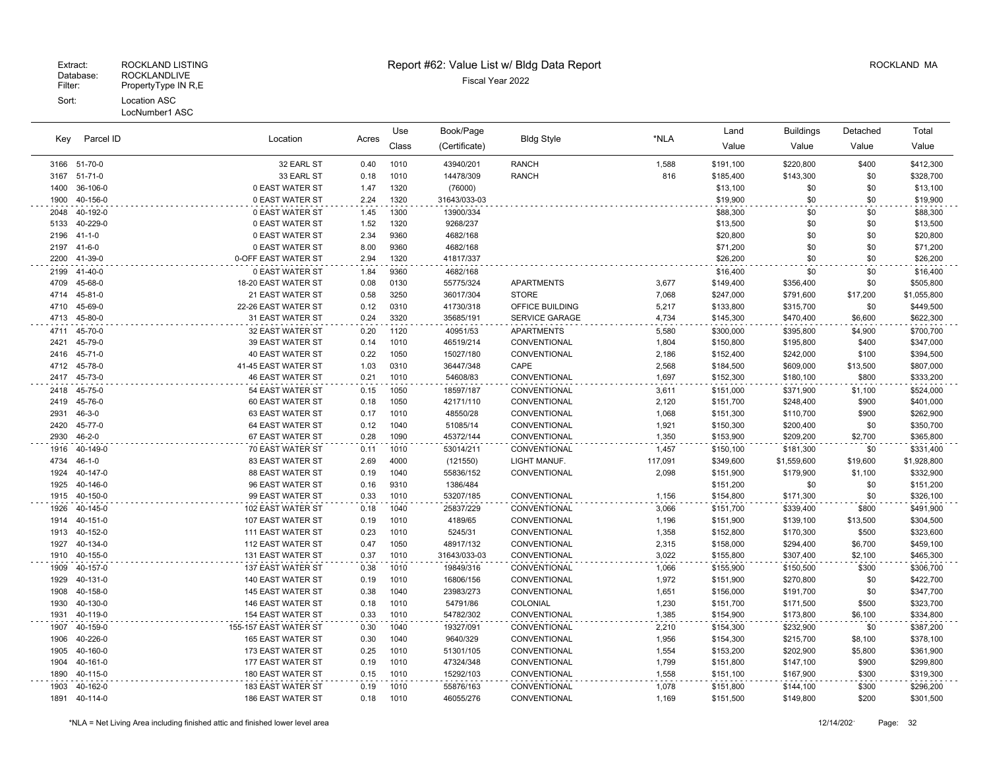|              |                      |                                        |              | Use          | Book/Page          |                              |                | Land                   | <b>Buildings</b>       | Detached          | Total                  |
|--------------|----------------------|----------------------------------------|--------------|--------------|--------------------|------------------------------|----------------|------------------------|------------------------|-------------------|------------------------|
| Key          | Parcel ID            | Location                               | Acres        | Class        | (Certificate)      | <b>Bldg Style</b>            | *NLA           | Value                  | Value                  | Value             | Value                  |
|              | 3166 51-70-0         | 32 EARL ST                             | 0.40         | 1010         | 43940/201          | <b>RANCH</b>                 | 1,588          | \$191,100              | \$220,800              | \$400             | \$412,300              |
| 3167         | $51 - 71 - 0$        | 33 EARL ST                             | 0.18         | 1010         | 14478/309          | <b>RANCH</b>                 | 816            | \$185,400              | \$143,300              | \$0               | \$328,700              |
| 1400         | 36-106-0             | 0 EAST WATER ST                        | 1.47         | 1320         | (76000)            |                              |                | \$13,100               | \$0                    | \$0               | \$13,100               |
| 1900         | 40-156-0             | 0 EAST WATER ST                        | 2.24         | 1320         | 31643/033-03       |                              |                | \$19,900               | \$0                    | \$0               | \$19,900               |
| 2048         | 40-192-0             | 0 EAST WATER ST                        | 1.45         | 1300         | 13900/334          |                              |                | \$88,300               | \$0                    | \$0               | \$88,300               |
| 5133         | 40-229-0             | 0 EAST WATER ST                        | 1.52         | 1320         | 9268/237           |                              |                | \$13,500               | \$0                    | \$0               | \$13,500               |
| 2196         | $41 - 1 - 0$         | 0 EAST WATER ST                        | 2.34         | 9360         | 4682/168           |                              |                | \$20,800               | \$0                    | \$0               | \$20,800               |
| 2197         | $41 - 6 - 0$         | 0 EAST WATER ST                        | 8.00         | 9360         | 4682/168           |                              |                | \$71,200               | \$0                    | \$0               | \$71,200               |
| 2200         | 41-39-0              | 0-OFF EAST WATER ST                    | 2.94         | 1320         | 41817/337          |                              |                | \$26,200               | \$0                    | \$0               | \$26,200               |
| 2199         | 41-40-0              | 0 EAST WATER ST                        | 1.84         | 9360         | 4682/168           |                              |                | \$16,400               | \$0                    | \$0               | \$16,400               |
| 4709         | 45-68-0              | 18-20 EAST WATER ST                    | 0.08         | 0130         | 55775/324          | <b>APARTMENTS</b>            | 3,677          | \$149,400              | \$356,400              | \$0               | \$505,800              |
| 4714         | 45-81-0              | 21 EAST WATER ST                       | 0.58         | 3250         | 36017/304          | <b>STORE</b>                 | 7,068          | \$247,000              | \$791,600              | \$17,200          | \$1,055,800            |
| 4710         | 45-69-0              | 22-26 EAST WATER ST                    | 0.12         | 0310         | 41730/318          | OFFICE BUILDING              | 5,217          | \$133,800              | \$315,700              | \$0               | \$449,500              |
| 4713         | 45-80-0              | 31 EAST WATER ST                       | 0.24         | 3320         | 35685/191          | SERVICE GARAGE               | 4,734          | \$145,300              | \$470,400              | \$6,600           | \$622,300              |
| 4711         | 45-70-0              | 32 EAST WATER ST                       | 0.20         | 1120         | 40951/53           | <b>APARTMENTS</b>            | 5,580          | \$300,000              | \$395,800              | \$4,900           | \$700,700              |
| 2421         | 45-79-0              | 39 EAST WATER ST                       | 0.14         | 1010         | 46519/214          | CONVENTIONAL                 | 1,804          | \$150,800              | \$195,800              | \$400             | \$347,000              |
| 2416         | 45-71-0              | <b>40 EAST WATER ST</b>                | 0.22         | 1050         | 15027/180          | CONVENTIONAL                 | 2,186          | \$152,400              | \$242,000              | \$100             | \$394,500              |
| 4712         | 45-78-0              | 41-45 EAST WATER ST                    | 1.03         | 0310         | 36447/348          | CAPE                         | 2,568          | \$184,500              | \$609,000              | \$13,500          | \$807,000              |
| 2417         | 45-73-0              | <b>46 EAST WATER ST</b>                | 0.21         | 1010         | 54608/83           | CONVENTIONAL                 | 1,697          | \$152,300              | \$180,100              | \$800             | \$333,200              |
| 2418         | 45-75-0              | 54 EAST WATER ST                       | 0.15         | 1050         | 18597/187          | CONVENTIONAL                 | 3,611          | \$151,000              | \$371,900              | \$1,100           | \$524,000              |
| 2419         | 45-76-0              | 60 EAST WATER ST                       | 0.18         | 1050         | 42171/110          | CONVENTIONAL                 | 2,120          | \$151,700              | \$248,400              | \$900             | \$401,000              |
| 2931         | $46 - 3 - 0$         | 63 EAST WATER ST                       | 0.17         | 1010         | 48550/28           | CONVENTIONAL                 | 1,068          | \$151,300              | \$110,700              | \$900             | \$262,900              |
| 2420         | 45-77-0              | 64 EAST WATER ST                       | 0.12         | 1040         | 51085/14           | CONVENTIONAL                 | 1,921          | \$150,300              | \$200,400              | \$0               | \$350,700              |
| 2930         | $46 - 2 - 0$         | 67 EAST WATER ST                       | 0.28         | 1090         | 45372/144          | CONVENTIONAL                 | 1,350          | \$153,900              | \$209,200              | \$2,700           | \$365,800              |
| 1916         | 40-149-0             | 70 EAST WATER ST                       | 0.11         | 1010         | 53014/211          | CONVENTIONAL                 | 1,457          | \$150,100              | \$181,300              | \$0               | \$331,400              |
| 4734         | $46 - 1 - 0$         | <b>83 EAST WATER ST</b>                | 2.69         | 4000         | (121550)           | LIGHT MANUF.                 | 117,091        | \$349,600              | \$1,559,600            | \$19,600          | \$1,928,800            |
| 1924         | 40-147-0             | <b>88 EAST WATER ST</b>                | 0.19         | 1040         | 55836/152          | CONVENTIONAL                 | 2,098          | \$151,900              | \$179,900              | \$1,100           | \$332,900              |
| 1925         | 40-146-0             | 96 EAST WATER ST                       | 0.16         | 9310         | 1386/484           |                              |                | \$151,200              | \$0                    | \$0               | \$151,200              |
| 1915         | 40-150-0             | 99 EAST WATER ST                       | 0.33         | 1010         | 53207/185          | CONVENTIONAL                 | 1,156          | \$154,800              | \$171,300              | \$0               | \$326,100              |
| 1926         | 40-145-0             | 102 EAST WATER ST                      | 0.18         | 1040         | 25837/229          | CONVENTIONAL                 | 3,066          | \$151,700              | \$339,400              | \$800             | \$491,900              |
| 1914         | 40-151-0<br>40-152-0 | 107 EAST WATER ST                      | 0.19<br>0.23 | 1010<br>1010 | 4189/65<br>5245/31 | CONVENTIONAL                 | 1,196          | \$151,900              | \$139,100              | \$13,500<br>\$500 | \$304,500              |
| 1913<br>1927 | 40-134-0             | 111 EAST WATER ST<br>112 EAST WATER ST | 0.47         | 1050         | 48917/132          | CONVENTIONAL<br>CONVENTIONAL | 1,358<br>2,315 | \$152,800<br>\$158,000 | \$170,300<br>\$294,400 | \$6,700           | \$323,600<br>\$459,100 |
| 1910         | 40-155-0             | 131 EAST WATER ST                      | 0.37         | 1010         | 31643/033-03       | CONVENTIONAL                 | 3,022          | \$155,800              | \$307,400              | \$2,100           | \$465,300              |
| 1909         | 40-157-0             | 137 EAST WATER ST                      | 0.38         | 1010         | 19849/316          | CONVENTIONAL                 | 1,066          | \$155,900              | \$150,500              | \$300             | \$306,700              |
| 1929         | 40-131-0             | 140 EAST WATER ST                      | 0.19         | 1010         | 16806/156          | CONVENTIONAL                 | 1,972          | \$151,900              | \$270,800              | \$0               | \$422,700              |
| 1908         | 40-158-0             | 145 EAST WATER ST                      | 0.38         | 1040         | 23983/273          | CONVENTIONAL                 | 1,651          | \$156,000              | \$191,700              | \$0               | \$347,700              |
| 1930         | 40-130-0             | 146 EAST WATER ST                      | 0.18         | 1010         | 54791/86           | COLONIAL                     | 1,230          | \$151,700              | \$171,500              | \$500             | \$323,700              |
| 1931         | 40-119-0             | 154 EAST WATER ST                      | 0.33         | 1010         | 54782/302          | CONVENTIONAL                 | 1,385          | \$154,900              | \$173,800              | \$6,100           | \$334,800              |
| 1907         | 40-159-0             | 155-157 EAST WATER ST                  | 0.30         | 1040         | 19327/091          | CONVENTIONAL                 | 2,210          | \$154,300              | \$232,900              | \$0               | \$387,200              |
| 1906         | 40-226-0             | <b>165 EAST WATER ST</b>               | 0.30         | 1040         | 9640/329           | CONVENTIONAL                 | 1,956          | \$154,300              | \$215,700              | \$8,100           | \$378,100              |
| 1905         | 40-160-0             | 173 EAST WATER ST                      | 0.25         | 1010         | 51301/105          | CONVENTIONAL                 | 1,554          | \$153,200              | \$202,900              | \$5,800           | \$361,900              |
| 1904         | 40-161-0             | 177 EAST WATER ST                      | 0.19         | 1010         | 47324/348          | CONVENTIONAL                 | 1,799          | \$151,800              | \$147,100              | \$900             | \$299,800              |
| 1890         | 40-115-0             | 180 EAST WATER ST                      | 0.15         | 1010         | 15292/103          | CONVENTIONAL                 | 1,558          | \$151,100              | \$167,900              | \$300             | \$319,300              |
| 1903         | 40-162-0             | 183 EAST WATER ST                      | 0.19         | 1010         | 55876/163          | CONVENTIONAL                 | 1,078          | \$151,800              | \$144,100              | \$300             | \$296,200              |
| 1891         | 40-114-0             | 186 EAST WATER ST                      | 0.18         | 1010         | 46055/276          | CONVENTIONAL                 | 1,169          | \$151,500              | \$149,800              | \$200             | \$301,500              |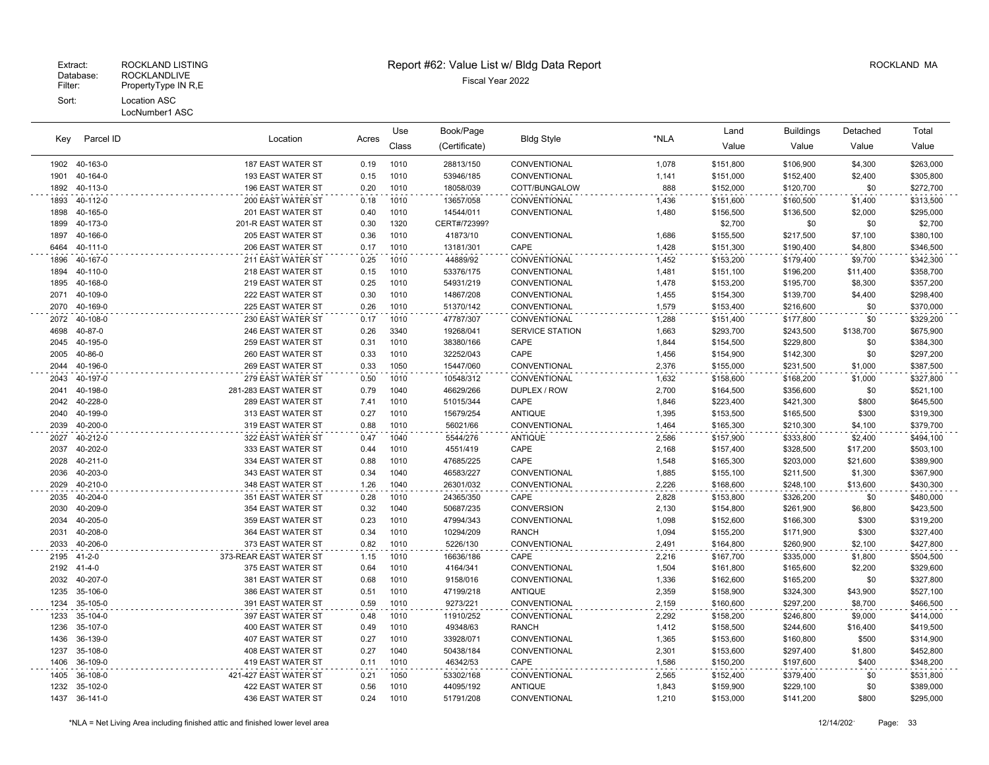|      |               |                        |       | Use   | Book/Page     |                        |       | Land      | <b>Buildings</b> | Detached  | Total     |
|------|---------------|------------------------|-------|-------|---------------|------------------------|-------|-----------|------------------|-----------|-----------|
| Key  | Parcel ID     | Location               | Acres | Class | (Certificate) | <b>Bldg Style</b>      | *NLA  | Value     | Value            | Value     | Value     |
|      | 1902 40-163-0 | 187 EAST WATER ST      | 0.19  | 1010  | 28813/150     | CONVENTIONAL           | 1,078 | \$151,800 | \$106,900        | \$4,300   | \$263,000 |
| 1901 | 40-164-0      | 193 EAST WATER ST      | 0.15  | 1010  | 53946/185     | CONVENTIONAL           | 1,141 | \$151,000 | \$152,400        | \$2,400   | \$305,800 |
| 1892 | 40-113-0      | 196 EAST WATER ST      | 0.20  | 1010  | 18058/039     | COTT/BUNGALOW          | 888   | \$152,000 | \$120,700        | \$0       | \$272,700 |
| 1893 | 40-112-0      | 200 EAST WATER ST      | 0.18  | 1010  | 13657/058     | CONVENTIONAL           | 1,436 | \$151,600 | \$160,500        | \$1,400   | \$313,500 |
| 1898 | 40-165-0      | 201 EAST WATER ST      | 0.40  | 1010  | 14544/011     | CONVENTIONAL           | 1,480 | \$156,500 | \$136,500        | \$2,000   | \$295,000 |
| 1899 | 40-173-0      | 201-R EAST WATER ST    | 0.30  | 1320  | CERT#/72399?  |                        |       | \$2,700   | \$0              | \$0       | \$2,700   |
| 1897 | 40-166-0      | 205 EAST WATER ST      | 0.36  | 1010  | 41873/10      | CONVENTIONAL           | 1,686 | \$155,500 | \$217,500        | \$7,100   | \$380,100 |
| 6464 | 40-111-0      | 206 EAST WATER ST      | 0.17  | 1010  | 13181/301     | CAPE                   | 1,428 | \$151,300 | \$190,400        | \$4,800   | \$346,500 |
| 1896 | 40-167-0      | 211 EAST WATER ST      | 0.25  | 1010  | 44889/92      | CONVENTIONAL           | 1,452 | \$153,200 | \$179,400        | \$9,700   | \$342,300 |
| 1894 | 40-110-0      | 218 EAST WATER ST      | 0.15  | 1010  | 53376/175     | CONVENTIONAL           | 1,481 | \$151,100 | \$196,200        | \$11,400  | \$358,700 |
| 1895 | 40-168-0      | 219 EAST WATER ST      | 0.25  | 1010  | 54931/219     | CONVENTIONAL           | 1,478 | \$153,200 | \$195,700        | \$8,300   | \$357,200 |
| 2071 | 40-109-0      | 222 EAST WATER ST      | 0.30  | 1010  | 14867/208     | CONVENTIONAL           | 1,455 | \$154,300 | \$139,700        | \$4,400   | \$298,400 |
| 2070 | 40-169-0      | 225 EAST WATER ST      | 0.26  | 1010  | 51370/142     | CONVENTIONAL           | 1,579 | \$153,400 | \$216,600        | \$0       | \$370,000 |
| 2072 | 40-108-0      | 230 EAST WATER ST      | 0.17  | 1010  | 47787/307     | CONVENTIONAL           | 1,288 | \$151,400 | \$177,800        | \$0       | \$329,200 |
| 4698 | 40-87-0       | 246 EAST WATER ST      | 0.26  | 3340  | 19268/041     | <b>SERVICE STATION</b> | 1,663 | \$293,700 | \$243,500        | \$138,700 | \$675,900 |
| 2045 | 40-195-0      | 259 EAST WATER ST      | 0.31  | 1010  | 38380/166     | CAPE                   | 1,844 | \$154,500 | \$229,800        | \$0       | \$384,300 |
| 2005 | 40-86-0       | 260 EAST WATER ST      | 0.33  | 1010  | 32252/043     | CAPE                   | 1,456 | \$154,900 | \$142,300        | \$0       | \$297,200 |
| 2044 | 40-196-0      | 269 EAST WATER ST      | 0.33  | 1050  | 15447/060     | CONVENTIONAL           | 2,376 | \$155,000 | \$231,500        | \$1,000   | \$387,500 |
| 2043 | 40-197-0      | 279 EAST WATER ST      | 0.50  | 1010  | 10548/312     | CONVENTIONAL           | 1,632 | \$158,600 | \$168,200        | \$1,000   | \$327,800 |
| 2041 | 40-198-0      | 281-283 EAST WATER ST  | 0.79  | 1040  | 46629/266     | DUPLEX / ROW           | 2,700 | \$164,500 | \$356,600        | \$0       | \$521,100 |
| 2042 | 40-228-0      | 289 EAST WATER ST      | 7.41  | 1010  | 51015/344     | CAPE                   | 1,846 | \$223,400 | \$421,300        | \$800     | \$645,500 |
| 2040 | 40-199-0      | 313 EAST WATER ST      | 0.27  | 1010  | 15679/254     | <b>ANTIQUE</b>         | 1,395 | \$153,500 | \$165,500        | \$300     | \$319,300 |
| 2039 | 40-200-0      | 319 EAST WATER ST      | 0.88  | 1010  | 56021/66      | CONVENTIONAL           | 1,464 | \$165,300 | \$210,300        | \$4,100   | \$379,700 |
| 2027 | 40-212-0      | 322 EAST WATER ST      | 0.47  | 1040  | 5544/276      | <b>ANTIQUE</b>         | 2,586 | \$157,900 | \$333,800        | \$2,400   | \$494,100 |
| 2037 | 40-202-0      | 333 EAST WATER ST      | 0.44  | 1010  | 4551/419      | CAPE                   | 2,168 | \$157,400 | \$328,500        | \$17,200  | \$503,100 |
| 2028 | 40-211-0      | 334 EAST WATER ST      | 0.88  | 1010  | 47685/225     | CAPE                   | 1,548 | \$165,300 | \$203,000        | \$21,600  | \$389,900 |
| 2036 | 40-203-0      | 343 EAST WATER ST      | 0.34  | 1040  | 46583/227     | CONVENTIONAL           | 1,885 | \$155,100 | \$211,500        | \$1,300   | \$367,900 |
| 2029 | 40-210-0      | 348 EAST WATER ST      | 1.26  | 1040  | 26301/032     | CONVENTIONAL           | 2,226 | \$168,600 | \$248,100        | \$13,600  | \$430,300 |
| 2035 | 40-204-0      | 351 EAST WATER ST      | 0.28  | 1010  | 24365/350     | CAPE                   | 2,828 | \$153,800 | \$326,200        | \$0       | \$480,000 |
| 2030 | 40-209-0      | 354 EAST WATER ST      | 0.32  | 1040  | 50687/235     | <b>CONVERSION</b>      | 2,130 | \$154,800 | \$261,900        | \$6,800   | \$423,500 |
| 2034 | 40-205-0      | 359 EAST WATER ST      | 0.23  | 1010  | 47994/343     | CONVENTIONAL           | 1,098 | \$152,600 | \$166,300        | \$300     | \$319,200 |
| 2031 | 40-208-0      | 364 EAST WATER ST      | 0.34  | 1010  | 10294/209     | <b>RANCH</b>           | 1,094 | \$155,200 | \$171,900        | \$300     | \$327,400 |
| 2033 | 40-206-0      | 373 EAST WATER ST      | 0.82  | 1010  | 5226/130      | CONVENTIONAL           | 2,491 | \$164,800 | \$260,900        | \$2,100   | \$427,800 |
| 2195 | $41 - 2 - 0$  | 373-REAR EAST WATER ST | 1.15  | 1010  | 16636/186     | CAPE                   | 2,216 | \$167,700 | \$335,000        | \$1,800   | \$504,500 |
| 2192 | $41 - 4 - 0$  | 375 EAST WATER ST      | 0.64  | 1010  | 4164/341      | CONVENTIONAL           | 1,504 | \$161,800 | \$165,600        | \$2,200   | \$329,600 |
| 2032 | 40-207-0      | 381 EAST WATER ST      | 0.68  | 1010  | 9158/016      | CONVENTIONAL           | 1,336 | \$162,600 | \$165,200        | \$0       | \$327,800 |
| 1235 | 35-106-0      | 386 EAST WATER ST      | 0.51  | 1010  | 47199/218     | <b>ANTIQUE</b>         | 2,359 | \$158,900 | \$324,300        | \$43,900  | \$527,100 |
| 1234 | 35-105-0      | 391 EAST WATER ST      | 0.59  | 1010  | 9273/221      | CONVENTIONAL           | 2,159 | \$160,600 | \$297,200        | \$8,700   | \$466,500 |
| 1233 | 35-104-0      | 397 EAST WATER ST      | 0.48  | 1010  | 11910/252     | CONVENTIONAL           | 2,292 | \$158,200 | \$246,800        | \$9,000   | \$414,000 |
| 1236 | 35-107-0      | 400 EAST WATER ST      | 0.49  | 1010  | 49348/63      | <b>RANCH</b>           | 1,412 | \$158,500 | \$244,600        | \$16,400  | \$419,500 |
| 1436 | 36-139-0      | 407 EAST WATER ST      | 0.27  | 1010  | 33928/071     | CONVENTIONAL           | 1,365 | \$153,600 | \$160,800        | \$500     | \$314,900 |
| 1237 | 35-108-0      | 408 EAST WATER ST      | 0.27  | 1040  | 50438/184     | CONVENTIONAL           | 2,301 | \$153,600 | \$297,400        | \$1,800   | \$452,800 |
| 1406 | 36-109-0      | 419 EAST WATER ST      | 0.11  | 1010  | 46342/53      | CAPE                   | 1,586 | \$150,200 | \$197,600        | \$400     | \$348,200 |
| 1405 | 36-108-0      | 421-427 EAST WATER ST  | 0.21  | 1050  | 53302/168     | CONVENTIONAL           | 2,565 | \$152,400 | \$379,400        | \$0       | \$531,800 |
| 1232 | 35-102-0      | 422 EAST WATER ST      | 0.56  | 1010  | 44095/192     | <b>ANTIQUE</b>         | 1,843 | \$159,900 | \$229,100        | \$0       | \$389,000 |
|      | 1437 36-141-0 | 436 EAST WATER ST      | 0.24  | 1010  | 51791/208     | CONVENTIONAL           | 1.210 | \$153,000 | \$141,200        | \$800     | \$295.000 |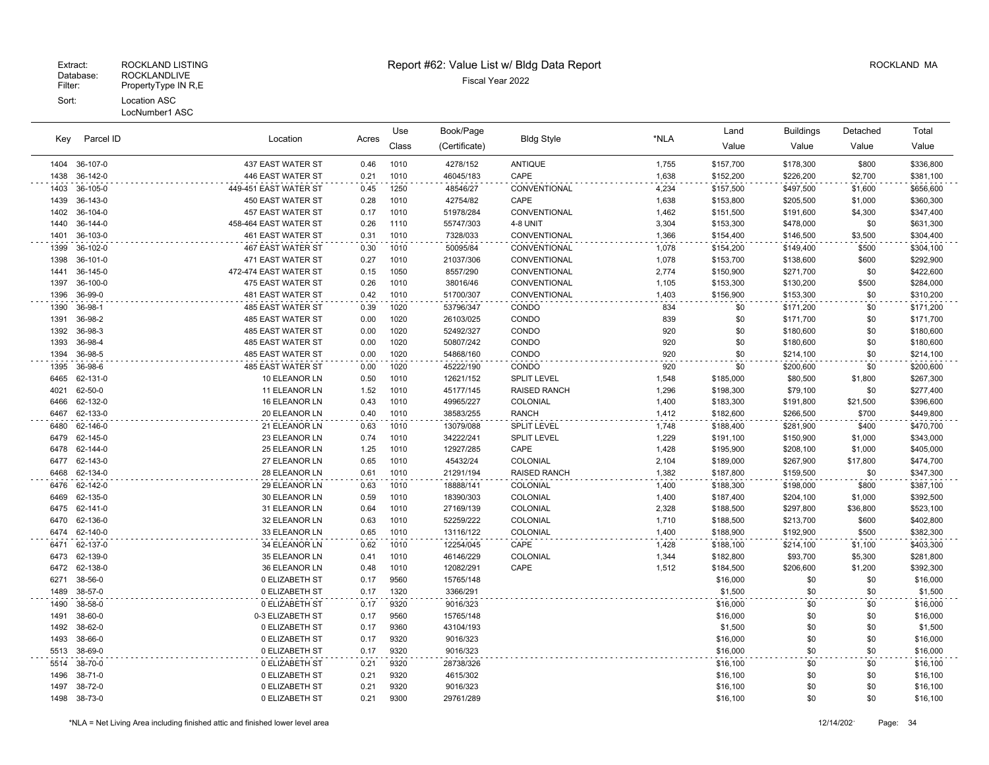|      |           |                          |       | Use          | Book/Page     |                     | *NLA  | Land      | <b>Buildings</b> | Detached   | Total     |
|------|-----------|--------------------------|-------|--------------|---------------|---------------------|-------|-----------|------------------|------------|-----------|
| Key  | Parcel ID | Location                 | Acres | Class        | (Certificate) | <b>Bldg Style</b>   |       | Value     | Value            | Value      | Value     |
| 1404 | 36-107-0  | 437 EAST WATER ST        | 0.46  | 1010         | 4278/152      | <b>ANTIQUE</b>      | 1,755 | \$157,700 | \$178,300        | \$800      | \$336,800 |
| 1438 | 36-142-0  | 446 EAST WATER ST        | 0.21  | 1010         | 46045/183     | CAPE                | 1,638 | \$152,200 | \$226,200        | \$2,700    | \$381,100 |
| 1403 | 36-105-0  | 449-451 EAST WATER ST    | 0.45  | 1250         | 48546/27      | CONVENTIONAL        | 4,234 | \$157,500 | \$497,500        | \$1,600    | \$656,600 |
| 1439 | 36-143-0  | 450 EAST WATER ST        | 0.28  | 1010         | 42754/82      | CAPE                | 1,638 | \$153,800 | \$205,500        | \$1,000    | \$360,300 |
| 1402 | 36-104-0  | 457 EAST WATER ST        | 0.17  | 1010         | 51978/284     | CONVENTIONAL        | 1,462 | \$151,500 | \$191,600        | \$4,300    | \$347,400 |
| 1440 | 36-144-0  | 458-464 EAST WATER ST    | 0.26  | 1110         | 55747/303     | 4-8 UNIT            | 3,304 | \$153,300 | \$478,000        | \$0        | \$631,300 |
| 1401 | 36-103-0  | 461 EAST WATER ST        | 0.31  | 1010         | 7328/033      | CONVENTIONAL        | 1,366 | \$154,400 | \$146,500        | \$3,500    | \$304,400 |
| 1399 | 36-102-0  | 467 EAST WATER ST        | 0.30  | 1010         | 50095/84      | CONVENTIONAL        | 1,078 | \$154,200 | \$149,400        | \$500      | \$304,100 |
| 1398 | 36-101-0  | 471 EAST WATER ST        | 0.27  | 1010         | 21037/306     | CONVENTIONAL        | 1,078 | \$153,700 | \$138,600        | \$600      | \$292,900 |
| 1441 | 36-145-0  | 472-474 EAST WATER ST    | 0.15  | 1050         | 8557/290      | CONVENTIONAL        | 2,774 | \$150,900 | \$271,700        | \$0        | \$422,600 |
| 1397 | 36-100-0  | 475 EAST WATER ST        | 0.26  | 1010         | 38016/46      | CONVENTIONAL        | 1,105 | \$153,300 | \$130,200        | \$500      | \$284,000 |
| 1396 | 36-99-0   | 481 EAST WATER ST        | 0.42  | 1010         | 51700/307     | CONVENTIONAL        | 1,403 | \$156,900 | \$153,300        | \$0        | \$310,200 |
| 1390 | 36-98-1   | 485 EAST WATER ST        | 0.39  | 1020         | 53796/347     | CONDO               | 834   | \$0       | \$171,200        | \$0        | \$171,200 |
| 1391 | 36-98-2   | <b>485 EAST WATER ST</b> | 0.00  | 1020         | 26103/025     | CONDO               | 839   | \$0       | \$171,700        | \$0        | \$171,700 |
| 1392 | 36-98-3   | 485 EAST WATER ST        | 0.00  | 1020         | 52492/327     | CONDO               | 920   | \$0       | \$180,600        | \$0        | \$180,600 |
| 1393 | 36-98-4   | 485 EAST WATER ST        | 0.00  | 1020         | 50807/242     | CONDO               | 920   | \$0       | \$180,600        | \$0        | \$180,600 |
| 1394 | 36-98-5   | 485 EAST WATER ST        | 0.00  | 1020         | 54868/160     | CONDO               | 920   | \$0       | \$214,100        | \$0        | \$214,100 |
| 1395 | 36-98-6   | 485 EAST WATER ST        | 0.00  | 1020         | 45222/190     | CONDO               | 920   | \$0       | \$200,600        | \$0        | \$200,600 |
| 6465 | 62-131-0  | 10 ELEANOR LN            | 0.50  | 1010         | 12621/152     | <b>SPLIT LEVEL</b>  | 1,548 | \$185,000 | \$80,500         | \$1,800    | \$267,300 |
| 4021 | 62-50-0   | 11 ELEANOR LN            | 1.52  | 1010         | 45177/145     | <b>RAISED RANCH</b> | 1,296 | \$198,300 | \$79,100         | \$0        | \$277,400 |
| 6466 | 62-132-0  | 16 ELEANOR LN            | 0.43  | 1010         | 49965/227     | COLONIAL            | 1,400 | \$183,300 | \$191,800        | \$21,500   | \$396,600 |
| 6467 | 62-133-0  | 20 ELEANOR LN            | 0.40  | 1010         | 38583/255     | <b>RANCH</b>        | 1,412 | \$182,600 | \$266,500        | \$700      | \$449,800 |
| 6480 | 62-146-0  | 21 ELEANOR LN            | 0.63  | 1010         | 13079/088     | <b>SPLIT LEVEL</b>  | 1,748 | \$188,400 | \$281,900        | \$400      | \$470,700 |
| 6479 | 62-145-0  | 23 ELEANOR LN            | 0.74  | 1010         | 34222/241     | <b>SPLIT LEVEL</b>  | 1,229 | \$191,100 | \$150,900        | \$1,000    | \$343,000 |
| 6478 | 62-144-0  | 25 ELEANOR LN            | 1.25  | 1010         | 12927/285     | CAPE                | 1,428 | \$195,900 | \$208,100        | \$1,000    | \$405,000 |
| 6477 | 62-143-0  | 27 ELEANOR LN            | 0.65  | 1010         | 45432/24      | <b>COLONIAL</b>     | 2,104 | \$189,000 | \$267,900        | \$17,800   | \$474,700 |
| 6468 | 62-134-0  | 28 ELEANOR LN            | 0.61  | 1010         | 21291/194     | <b>RAISED RANCH</b> | 1,382 | \$187,800 | \$159,500        | \$0        | \$347,300 |
| 6476 | 62-142-0  | 29 ELEANOR LN            | 0.63  | 1010         | 18888/141     | COLONIAL            | 1,400 | \$188,300 | \$198,000        | \$800      | \$387,100 |
| 6469 | 62-135-0  | 30 ELEANOR LN            | 0.59  | 1010         | 18390/303     | COLONIAL            | 1,400 | \$187,400 | \$204,100        | \$1,000    | \$392,500 |
| 6475 | 62-141-0  | 31 ELEANOR LN            | 0.64  | 1010         | 27169/139     | COLONIAL            | 2,328 | \$188,500 | \$297,800        | \$36,800   | \$523,100 |
| 6470 | 62-136-0  | 32 ELEANOR LN            | 0.63  | 1010         | 52259/222     | COLONIAL            | 1,710 | \$188,500 | \$213,700        | \$600      | \$402,800 |
| 6474 | 62-140-0  | 33 ELEANOR LN            | 0.65  | 1010         | 13116/122     | COLONIAL            | 1,400 | \$188,900 | \$192,900        | \$500      | \$382,300 |
| 6471 | 62-137-0  | 34 ELEANOR LN            | 0.62  | 1010         | 12254/045     | CAPE                | 1,428 | \$188,100 | \$214,100        | \$1,100    | \$403,300 |
| 6473 | 62-139-0  | 35 ELEANOR LN            | 0.41  | 1010         | 46146/229     | COLONIAL            | 1,344 | \$182,800 | \$93,700         | \$5,300    | \$281,800 |
| 6472 | 62-138-0  | 36 ELEANOR LN            | 0.48  | 1010         | 12082/291     | CAPE                | 1,512 | \$184,500 | \$206,600        | \$1,200    | \$392,300 |
| 6271 | 38-56-0   | 0 ELIZABETH ST           | 0.17  | 9560         | 15765/148     |                     |       | \$16,000  | \$0              | \$0        | \$16,000  |
| 1489 | 38-57-0   | 0 ELIZABETH ST           | 0.17  | 1320         | 3366/291      |                     |       | \$1,500   | \$0              | \$0        | \$1,500   |
| 1490 | 38-58-0   | 0 ELIZABETH ST           | 0.17  | 9320         | 9016/323      |                     |       | \$16,000  | \$0              | \$0        | \$16,000  |
| 1491 | 38-60-0   | 0-3 ELIZABETH ST         | 0.17  | 9560         | 15765/148     |                     |       | \$16,000  | \$0              | \$0        | \$16,000  |
| 1492 | 38-62-0   | 0 ELIZABETH ST           | 0.17  | 9360         | 43104/193     |                     |       | \$1,500   | \$0              | \$0        | \$1,500   |
| 1493 | 38-66-0   | 0 ELIZABETH ST           | 0.17  | 9320         | 9016/323      |                     |       | \$16,000  | \$0              | \$0        | \$16,000  |
| 5513 | 38-69-0   | 0 ELIZABETH ST           | 0.17  | 9320         | 9016/323      |                     |       | \$16,000  | \$0              | \$0        | \$16,000  |
| 5514 | 38-70-0   | 0 ELIZABETH ST           | 0.21  | 9320         | 28738/326     |                     |       | \$16,100  | \$0              | \$0        | \$16,100  |
| 1496 | 38-71-0   | 0 ELIZABETH ST           | 0.21  | 9320         | 4615/302      |                     |       | \$16,100  | \$0              | \$0        | \$16,100  |
| 1497 | 38-72-0   | 0 ELIZABETH ST           | 0.21  | 9320<br>9300 | 9016/323      |                     |       | \$16,100  | \$0              | \$0<br>\$0 | \$16,100  |
| 1498 | 38-73-0   | 0 ELIZABETH ST           | 0.21  |              | 29761/289     |                     |       | \$16,100  | \$0              |            | \$16,100  |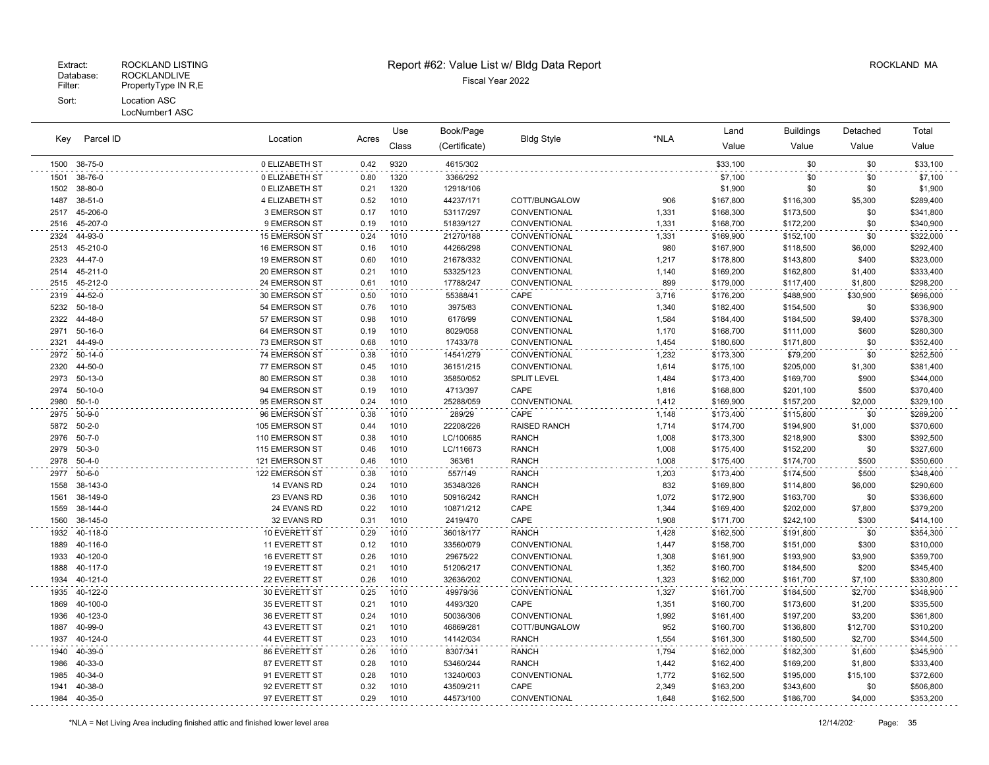## Extract: ROCKLAND LISTING **Report #62: Value List w/ Bldg Data Report** Alleman and RockLAND MA

|              |                          |                                  |              | Use          | Book/Page           |                              |                | Land                   | <b>Buildings</b>       | Detached         | Total                  |
|--------------|--------------------------|----------------------------------|--------------|--------------|---------------------|------------------------------|----------------|------------------------|------------------------|------------------|------------------------|
| Key          | Parcel ID                | Location                         | Acres        | Class        | (Certificate)       | <b>Bldg Style</b>            | *NLA           | Value                  | Value                  | Value            | Value                  |
| 1500         | 38-75-0                  | 0 ELIZABETH ST                   | 0.42         | 9320         | 4615/302            |                              |                | \$33,100               | \$0                    | \$0              | \$33,100               |
| 1501         | 38-76-0                  | 0 ELIZABETH ST                   | 0.80         | 1320         | 3366/292            |                              |                | \$7,100                | \$0                    | \$0              | \$7,100                |
| 1502         | 38-80-0                  | 0 ELIZABETH ST                   | 0.21         | 1320         | 12918/106           |                              |                | \$1,900                | \$0                    | \$0              | \$1,900                |
| 1487         | 38-51-0                  | 4 ELIZABETH ST                   | 0.52         | 1010         | 44237/171           | COTT/BUNGALOW                | 906            | \$167,800              | \$116,300              | \$5,300          | \$289,400              |
| 2517         | 45-206-0                 | 3 EMERSON ST                     | 0.17         | 1010         | 53117/297           | CONVENTIONAL                 | 1,331          | \$168,300              | \$173,500              | \$0              | \$341,800              |
| 2516         | 45-207-0                 | 9 EMERSON ST                     | 0.19         | 1010         | 51839/127           | CONVENTIONAL                 | 1,331          | \$168,700              | \$172,200              | \$0              | \$340,900              |
| 2324         | 44-93-0                  | 15 EMERSON ST                    | 0.24         | 1010         | 21270/188           | CONVENTIONAL                 | 1,331          | \$169,900              | \$152,100              | \$0              | \$322,000              |
| 2513         | 45-210-0                 | 16 EMERSON ST                    | 0.16         | 1010         | 44266/298           | CONVENTIONAL                 | 980            | \$167,900              | \$118,500              | \$6,000          | \$292,400              |
| 2323         | 44-47-0                  | 19 EMERSON ST                    | 0.60         | 1010         | 21678/332           | CONVENTIONAL                 | 1,217          | \$178,800              | \$143,800              | \$400            | \$323,000              |
| 2514         | 45-211-0                 | 20 EMERSON ST                    | 0.21         | 1010         | 53325/123           | CONVENTIONAL                 | 1,140          | \$169,200              | \$162,800              | \$1,400          | \$333,400              |
| 2515         | 45-212-0                 | 24 EMERSON ST                    | 0.61         | 1010         | 17788/247           | CONVENTIONAL                 | 899            | \$179,000              | \$117,400              | \$1,800          | \$298,200              |
| 2319         | 44-52-0                  | 30 EMERSON ST                    | 0.50         | 1010         | 55388/41            | CAPE                         | 3,716          | \$176,200              | \$488,900              | \$30,900         | \$696,000              |
| 5232         | $50 - 18 - 0$            | 54 EMERSON ST                    | 0.76         | 1010         | 3975/83             | CONVENTIONAL                 | 1,340          | \$182,400              | \$154,500              | \$0              | \$336,900              |
| 2322         | 44-48-0                  | 57 EMERSON ST                    | 0.98         | 1010         | 6176/99             | CONVENTIONAL                 | 1,584          | \$184,400              | \$184,500              | \$9,400          | \$378,300              |
| 2971         | $50 - 16 - 0$            | 64 EMERSON ST                    | 0.19         | 1010         | 8029/058            | CONVENTIONAL                 | 1,170          | \$168,700              | \$111,000              | \$600            | \$280,300              |
| 2321         | 44-49-0                  | 73 EMERSON ST                    | 0.68         | 1010         | 17433/78            | CONVENTIONAL                 | 1,454          | \$180,600              | \$171,800              | \$0              | \$352,400              |
| 2972         | $50-14-0$                | 74 EMERSON ST                    | 0.38         | 1010         | 14541/279           | CONVENTIONAL                 | 1,232          | \$173,300              | \$79,200               | \$0              | \$252,500              |
| 2320         | 44-50-0                  | 77 EMERSON ST                    | 0.45         | 1010         | 36151/215           | CONVENTIONAL                 | 1,614          | \$175,100              | \$205,000              | \$1,300          | \$381,400              |
| 2973         | 50-13-0                  | 80 EMERSON ST                    | 0.38         | 1010         | 35850/052           | <b>SPLIT LEVEL</b>           | 1,484          | \$173,400              | \$169,700              | \$900            | \$344,000              |
| 2974         | 50-10-0                  | 94 EMERSON ST                    | 0.19         | 1010         | 4713/397            | CAPE                         | 1,816          | \$168,800              | \$201,100              | \$500            | \$370,400              |
| 2980         | $50 - 1 - 0$             | 95 EMERSON ST                    | 0.24         | 1010         | 25288/059           | CONVENTIONAL                 | 1,412          | \$169,900              | \$157,200              | \$2,000          | \$329,100              |
| 2975         | $50 - 9 - 0$             | 96 EMERSON ST                    | 0.38         | 1010         | 289/29              | CAPE                         | 1,148          | \$173,400              | \$115,800              | \$0              | \$289,200              |
| 5872         | $50 - 2 - 0$             | 105 EMERSON ST                   | 0.44         | 1010         | 22208/226           | <b>RAISED RANCH</b>          | 1,714          | \$174,700              | \$194,900              | \$1,000          | \$370,600              |
| 2976<br>2979 | $50 - 7 - 0$<br>$50-3-0$ | 110 EMERSON ST                   | 0.38<br>0.46 | 1010<br>1010 | LC/100685           | <b>RANCH</b>                 | 1,008          | \$173,300              | \$218,900              | \$300<br>\$0     | \$392,500              |
| 2978         | $50 - 4 - 0$             | 115 EMERSON ST<br>121 EMERSON ST | 0.46         | 1010         | LC/116673<br>363/61 | <b>RANCH</b><br><b>RANCH</b> | 1,008<br>1,008 | \$175,400<br>\$175,400 | \$152,200<br>\$174,700 | \$500            | \$327,600<br>\$350,600 |
| 2977         | $50 - 6 - 0$             | 122 EMERSON ST                   |              |              | 557/149             | <b>RANCH</b>                 |                |                        |                        |                  |                        |
| 1558         | 38-143-0                 | 14 EVANS RD                      | 0.38<br>0.24 | 1010<br>1010 | 35348/326           | <b>RANCH</b>                 | 1,203<br>832   | \$173,400<br>\$169,800 | \$174,500<br>\$114,800 | \$500<br>\$6,000 | \$348,400<br>\$290,600 |
| 1561         | 38-149-0                 | 23 EVANS RD                      | 0.36         | 1010         | 50916/242           | <b>RANCH</b>                 | 1,072          | \$172,900              | \$163,700              | \$0              | \$336,600              |
| 1559         | 38-144-0                 | 24 EVANS RD                      | 0.22         | 1010         | 10871/212           | CAPE                         | 1,344          | \$169,400              | \$202,000              | \$7,800          | \$379,200              |
| 1560         | 38-145-0                 | 32 EVANS RD                      | 0.31         | 1010         | 2419/470            | CAPE                         | 1,908          | \$171,700              | \$242,100              | \$300            | \$414,100              |
| 1932         | 40-118-0                 | 10 EVERETT ST                    | 0.29         | 1010         | 36018/177           | <b>RANCH</b>                 | 1,428          | \$162,500              | \$191,800              | \$0              | \$354,300              |
| 1889         | 40-116-0                 | 11 EVERETT ST                    | 0.12         | 1010         | 33560/079           | CONVENTIONAL                 | 1,447          | \$158,700              | \$151,000              | \$300            | \$310,000              |
| 1933         | 40-120-0                 | 16 EVERETT ST                    | 0.26         | 1010         | 29675/22            | CONVENTIONAL                 | 1,308          | \$161,900              | \$193,900              | \$3,900          | \$359,700              |
| 1888         | 40-117-0                 | 19 EVERETT ST                    | 0.21         | 1010         | 51206/217           | CONVENTIONAL                 | 1,352          | \$160,700              | \$184,500              | \$200            | \$345,400              |
| 1934         | 40-121-0                 | 22 EVERETT ST                    | 0.26         | 1010         | 32636/202           | CONVENTIONAL                 | 1,323          | \$162,000              | \$161,700              | \$7,100          | \$330,800              |
| 1935         | 40-122-0                 | 30 EVERETT ST                    | 0.25         | 1010         | 49979/36            | CONVENTIONAL                 | 1,327          | \$161,700              | \$184,500              | \$2,700          | \$348,900              |
| 1869         | 40-100-0                 | 35 EVERETT ST                    | 0.21         | 1010         | 4493/320            | CAPE                         | 1,351          | \$160,700              | \$173,600              | \$1,200          | \$335,500              |
| 1936         | 40-123-0                 | 36 EVERETT ST                    | 0.24         | 1010         | 50036/306           | CONVENTIONAL                 | 1,992          | \$161,400              | \$197,200              | \$3,200          | \$361,800              |
| 1887         | 40-99-0                  | 43 EVERETT ST                    | 0.21         | 1010         | 46869/281           | COTT/BUNGALOW                | 952            | \$160,700              | \$136,800              | \$12,700         | \$310,200              |
| 1937         | 40-124-0                 | 44 EVERETT ST                    | 0.23         | 1010         | 14142/034           | <b>RANCH</b>                 | 1,554          | \$161,300              | \$180,500              | \$2,700          | \$344,500              |
| 1940         | 40-39-0                  | 86 EVERETT ST                    | 0.26         | 1010         | 8307/341            | <b>RANCH</b>                 | 1,794          | \$162,000              | \$182,300              | \$1,600          | \$345,900              |
| 1986         | 40-33-0                  | 87 EVERETT ST                    | 0.28         | 1010         | 53460/244           | <b>RANCH</b>                 | 1,442          | \$162,400              | \$169,200              | \$1,800          | \$333,400              |
| 1985         | 40-34-0                  | 91 EVERETT ST                    | 0.28         | 1010         | 13240/003           | CONVENTIONAL                 | 1,772          | \$162,500              | \$195,000              | \$15,100         | \$372,600              |
| 1941         | 40-38-0                  | 92 EVERETT ST                    | 0.32         | 1010         | 43509/211           | CAPE                         | 2,349          | \$163,200              | \$343,600              | \$0              | \$506,800              |
| 1984         | 40-35-0                  | 97 EVERETT ST                    | 0.29         | 1010         | 44573/100           | CONVENTIONAL                 | 1,648          | \$162,500              | \$186,700              | \$4,000          | \$353,200              |
|              |                          |                                  |              |              |                     |                              |                |                        |                        |                  |                        |

 $\sim$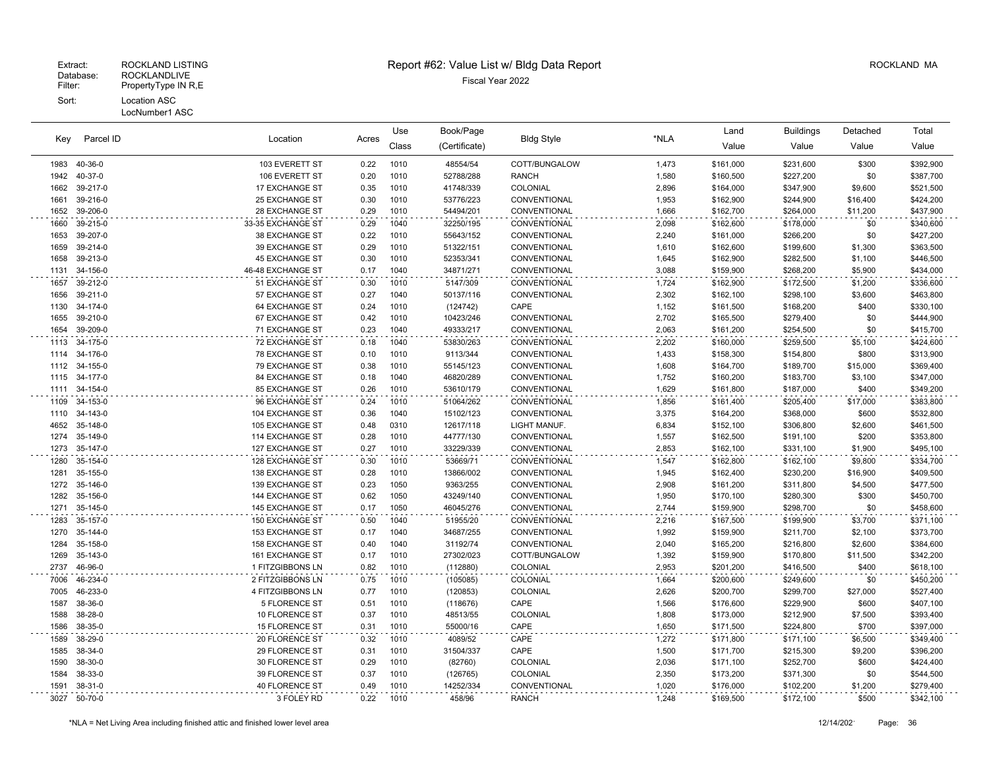## Extract: ROCKLAND LISTING **Report #62: Value List w/ Bldg Data Report** Alleman and RockLAND MA

Location Acres Value Value Value Value Book/Page Bldg Style **Contained Accord Buildings** Detached (Certificate) Bldg Style Class Use Total 40-36-0 103 EVERETT ST 0.22 1010 48554/54 COTT/BUNGALOW 1,473 \$161,000 \$231,600 \$300 \$392,900 40-37-0 106 EVERETT ST 0.20 1010 52788/288 RANCH 1,580 \$160,500 \$227,200 \$0 \$387,700 39-217-0 17 EXCHANGE ST 0.35 1010 41748/339 COLONIAL 2,896 \$164,000 \$347,900 \$9,600 \$521,500 39-216-0 25 EXCHANGE ST 0.30 1010 53776/223 CONVENTIONAL 1,953 \$162,900 \$244,900 \$16,400 \$424,200

| 1652 | 39-206-0      | 28 EXCHANGE ST         | 0.29 | 1010 | 54494/201 | CONVENTIONAL  | 1,666 | \$162,700 | \$264,000 | \$11,200 | \$437,900 |
|------|---------------|------------------------|------|------|-----------|---------------|-------|-----------|-----------|----------|-----------|
|      | 1660 39-215-0 | 33-35 EXCHANGE ST      | 0.29 | 1040 | 32250/195 | CONVENTIONAL  | 2,098 | \$162,600 | \$178,000 | \$0      | \$340,600 |
| 1653 | 39-207-0      | 38 EXCHANGE ST         | 0.22 | 1010 | 55643/152 | CONVENTIONAL  | 2,240 | \$161,000 | \$266,200 | \$0      | \$427,200 |
| 1659 | 39-214-0      | 39 EXCHANGE ST         | 0.29 | 1010 | 51322/151 | CONVENTIONAL  | 1,610 | \$162,600 | \$199,600 | \$1,300  | \$363,500 |
| 1658 | 39-213-0      | <b>45 EXCHANGE ST</b>  | 0.30 | 1010 | 52353/341 | CONVENTIONAL  | 1,645 | \$162,900 | \$282,500 | \$1,100  | \$446,500 |
|      | 1131 34-156-0 | 46-48 EXCHANGE ST      | 0.17 | 1040 | 34871/271 | CONVENTIONAL  | 3,088 | \$159,900 | \$268,200 | \$5,900  | \$434,000 |
|      | 1657 39-212-0 | 51 EXCHANGE ST         | 0.30 | 1010 | 5147/309  | CONVENTIONAL  | 1,724 | \$162,900 | \$172,500 | \$1,200  | \$336,600 |
| 1656 | 39-211-0      | 57 EXCHANGE ST         | 0.27 | 1040 | 50137/116 | CONVENTIONAL  | 2,302 | \$162,100 | \$298,100 | \$3,600  | \$463,800 |
| 1130 | 34-174-0      | <b>64 EXCHANGE ST</b>  | 0.24 | 1010 | (124742)  | CAPE          | 1,152 | \$161,500 | \$168,200 | \$400    | \$330,100 |
|      | 1655 39-210-0 | 67 EXCHANGE ST         | 0.42 | 1010 | 10423/246 | CONVENTIONAL  | 2,702 | \$165,500 | \$279,400 | \$0      | \$444,900 |
| 1654 | 39-209-0      | <b>71 EXCHANGE ST</b>  | 0.23 | 1040 | 49333/217 | CONVENTIONAL  | 2,063 | \$161,200 | \$254,500 | \$0      | \$415,700 |
|      | 1113 34-175-0 | <b>72 EXCHANGE ST</b>  | 0.18 | 1040 | 53830/263 | CONVENTIONAL  | 2,202 | \$160,000 | \$259,500 | \$5,100  | \$424,600 |
|      | 1114 34-176-0 | 78 EXCHANGE ST         | 0.10 | 1010 | 9113/344  | CONVENTIONAL  | 1,433 | \$158,300 | \$154,800 | \$800    | \$313,900 |
|      | 1112 34-155-0 | 79 EXCHANGE ST         | 0.38 | 1010 | 55145/123 | CONVENTIONAL  | 1,608 | \$164,700 | \$189,700 | \$15,000 | \$369,400 |
|      | 1115 34-177-0 | 84 EXCHANGE ST         | 0.18 | 1040 | 46820/289 | CONVENTIONAL  | 1,752 | \$160,200 | \$183,700 | \$3,100  | \$347,000 |
|      | 1111 34-154-0 | 85 EXCHANGE ST         | 0.26 | 1010 | 53610/179 | CONVENTIONAL  | 1,629 | \$161,800 | \$187,000 | \$400    | \$349,200 |
|      | 1109 34-153-0 | 96 EXCHANGE ST         | 0.24 | 1010 | 51064/262 | CONVENTIONAL  | 1,856 | \$161,400 | \$205,400 | \$17,000 | \$383,800 |
|      | 1110 34-143-0 | 104 EXCHANGE ST        | 0.36 | 1040 | 15102/123 | CONVENTIONAL  | 3,375 | \$164,200 | \$368,000 | \$600    | \$532,800 |
|      | 4652 35-148-0 | 105 EXCHANGE ST        | 0.48 | 0310 | 12617/118 | LIGHT MANUF.  | 6,834 | \$152,100 | \$306,800 | \$2,600  | \$461,500 |
|      | 1274 35-149-0 | 114 EXCHANGE ST        | 0.28 | 1010 | 44777/130 | CONVENTIONAL  | 1,557 | \$162,500 | \$191,100 | \$200    | \$353,800 |
|      | 1273 35-147-0 | 127 EXCHANGE ST        | 0.27 | 1010 | 33229/339 | CONVENTIONAL  | 2,853 | \$162,100 | \$331,100 | \$1,900  | \$495,100 |
| 1280 | 35-154-0      | 128 EXCHANGE ST        | 0.30 | 1010 | 53669/71  | CONVENTIONAL  | 1,547 | \$162,800 | \$162,100 | \$9,800  | \$334,700 |
|      | 1281 35-155-0 | 138 EXCHANGE ST        | 0.28 | 1010 | 13866/002 | CONVENTIONAL  | 1,945 | \$162,400 | \$230,200 | \$16,900 | \$409,500 |
|      | 1272 35-146-0 | 139 EXCHANGE ST        | 0.23 | 1050 | 9363/255  | CONVENTIONAL  | 2,908 | \$161,200 | \$311,800 | \$4,500  | \$477,500 |
|      | 1282 35-156-0 | 144 EXCHANGE ST        | 0.62 | 1050 | 43249/140 | CONVENTIONAL  | 1,950 | \$170,100 | \$280,300 | \$300    | \$450,700 |
|      | 1271 35-145-0 | <b>145 EXCHANGE ST</b> | 0.17 | 1050 | 46045/276 | CONVENTIONAL  | 2.744 | \$159,900 | \$298,700 | \$0      | \$458,600 |
|      | 1283 35-157-0 | 150 EXCHANGE ST        | 0.50 | 1040 | 51955/20  | CONVENTIONAL  | 2,216 | \$167,500 | \$199,900 | \$3,700  | \$371,100 |
|      | 1270 35-144-0 | 153 EXCHANGE ST        | 0.17 | 1040 | 34687/255 | CONVENTIONAL  | 1,992 | \$159,900 | \$211,700 | \$2,100  | \$373,700 |
| 1284 | 35-158-0      | 158 EXCHANGE ST        | 0.40 | 1040 | 31192/74  | CONVENTIONAL  | 2,040 | \$165,200 | \$216,800 | \$2,600  | \$384,600 |
| 1269 | 35-143-0      | 161 EXCHANGE ST        | 0.17 | 1010 | 27302/023 | COTT/BUNGALOW | 1,392 | \$159,900 | \$170,800 | \$11,500 | \$342,200 |
|      | 2737 46-96-0  | 1 FITZGIBBONS LN       | 0.82 | 1010 | (112880)  | COLONIAL      | 2,953 | \$201,200 | \$416,500 | \$400    | \$618,100 |
|      | 7006 46-234-0 | 2 FITZGIBBONS LN       | 0.75 | 1010 | (105085)  | COLONIAL      | 1,664 | \$200,600 | \$249,600 | \$0      | \$450,200 |
| 7005 | 46-233-0      | 4 FITZGIBBONS LN       | 0.77 | 1010 | (120853)  | COLONIAL      | 2,626 | \$200,700 | \$299,700 | \$27,000 | \$527,400 |
| 1587 | 38-36-0       | 5 FLORENCE ST          | 0.51 | 1010 | (118676)  | CAPE          | 1,566 | \$176,600 | \$229,900 | \$600    | \$407,100 |
| 1588 | 38-28-0       | 10 FLORENCE ST         | 0.37 | 1010 | 48513/55  | COLONIAL      | 1,808 | \$173,000 | \$212,900 | \$7,500  | \$393,400 |
|      | 1586 38-35-0  | <b>15 FLORENCE ST</b>  | 0.31 | 1010 | 55000/16  | CAPE          | 1,650 | \$171,500 | \$224,800 | \$700    | \$397,000 |
|      | 1589 38-29-0  | 20 FLORENCE ST         | 0.32 | 1010 | 4089/52   | CAPE          | 1,272 | \$171,800 | \$171,100 | \$6,500  | \$349,400 |
| 1585 | 38-34-0       | 29 FLORENCE ST         | 0.31 | 1010 | 31504/337 | CAPE          | 1,500 | \$171,700 | \$215,300 | \$9,200  | \$396,200 |
| 1590 | 38-30-0       | 30 FLORENCE ST         | 0.29 | 1010 | (82760)   | COLONIAL      | 2,036 | \$171,100 | \$252,700 | \$600    | \$424,400 |
| 1584 | 38-33-0       | 39 FLORENCE ST         | 0.37 | 1010 | (126765)  | COLONIAL      | 2,350 | \$173,200 | \$371,300 | \$0      | \$544,500 |
|      | 1591 38-31-0  | <b>40 FLORENCE ST</b>  | 0.49 | 1010 | 14252/334 | CONVENTIONAL  | 1,020 | \$176,000 | \$102,200 | \$1,200  | \$279,400 |
|      | 3027 50-70-0  | 3 FOLEY RD             | 0.22 | 1010 | 458/96    | <b>RANCH</b>  | 1,248 | \$169,500 | \$172,100 | \$500    | \$342,100 |
|      |               |                        |      |      |           |               |       |           |           |          |           |

LocNumber1 ASC

Key Parcel ID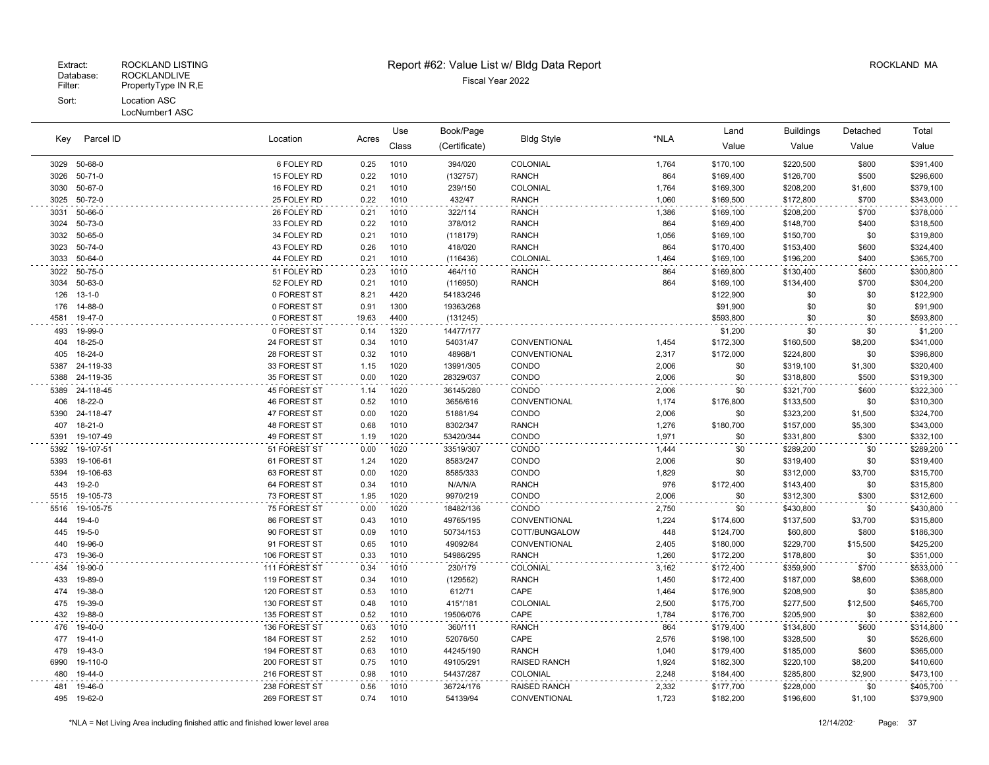### Extract: ROCKLAND LISTING **Report #62: Value List w/ Bldg Data Report** Alleman and RockLAND MA

| Key         | Parcel ID                 | Location                     | Acres        | Use<br>Class | Book/Page<br>(Certificate) | <b>Bldg Style</b>     | *NLA           | Land<br>Value    | <b>Buildings</b><br>Value | Detached<br>Value | Total<br>Value         |
|-------------|---------------------------|------------------------------|--------------|--------------|----------------------------|-----------------------|----------------|------------------|---------------------------|-------------------|------------------------|
|             | 3029 50-68-0              | 6 FOLEY RD                   | 0.25         | 1010         | 394/020                    | COLONIAL              | 1,764          | \$170,100        | \$220,500                 | \$800             | \$391,400              |
| 3026        | $50 - 71 - 0$             | 15 FOLEY RD                  | 0.22         | 1010         | (132757)                   | <b>RANCH</b>          | 864            | \$169,400        | \$126,700                 | \$500             | \$296,600              |
| 3030        | 50-67-0                   | 16 FOLEY RD                  | 0.21         | 1010         | 239/150                    | COLONIAL              | 1,764          | \$169,300        | \$208,200                 | \$1,600           | \$379,100              |
| 3025        | 50-72-0                   | 25 FOLEY RD                  | 0.22         | 1010         | 432/47                     | <b>RANCH</b>          | 1,060          | \$169,500        | \$172,800                 | \$700             | \$343,000              |
| 3031        | 50-66-0                   | 26 FOLEY RD                  | 0.21         | 1010         | 322/114                    | <b>RANCH</b>          | 1,386          | \$169,100        | \$208,200                 | \$700             | \$378,000              |
| 3024        | 50-73-0                   | 33 FOLEY RD                  | 0.22         | 1010         | 378/012                    | <b>RANCH</b>          | 864            | \$169,400        | \$148,700                 | \$400             | \$318,500              |
| 3032        | 50-65-0                   | 34 FOLEY RD                  | 0.21         | 1010         | (118179)                   | <b>RANCH</b>          | 1,056          | \$169,100        | \$150,700                 | \$0               | \$319,800              |
| 3023        | 50-74-0                   | 43 FOLEY RD                  | 0.26         | 1010         | 418/020                    | <b>RANCH</b>          | 864            | \$170,400        | \$153,400                 | \$600             | \$324,400              |
| 3033        | 50-64-0                   | 44 FOLEY RD                  | 0.21         | 1010         | (116436)                   | <b>COLONIAL</b>       | 1,464          | \$169,100        | \$196,200                 | \$400             | \$365,700              |
| 3022        | 50-75-0                   | 51 FOLEY RD                  | 0.23         | 1010         | 464/110                    | <b>RANCH</b>          | 864            | \$169,800        | \$130,400                 | \$600             | \$300,800              |
| 3034        | 50-63-0                   | 52 FOLEY RD                  | 0.21         | 1010         | (116950)                   | <b>RANCH</b>          | 864            | \$169,100        | \$134,400                 | \$700             | \$304,200              |
| 126         | $13 - 1 - 0$              | 0 FOREST ST                  | 8.21         | 4420         | 54183/246                  |                       |                | \$122,900        | \$0                       | \$0               | \$122,900              |
| 176         | 14-88-0                   | 0 FOREST ST                  | 0.91         | 1300         | 19363/268                  |                       |                | \$91,900         | \$0                       | \$0               | \$91,900               |
| 4581        | 19-47-0                   | 0 FOREST ST                  | 19.63        | 4400         | (131245)                   |                       |                | \$593,800        | \$0                       | \$0               | \$593,800              |
| 493         | 19-99-0                   | 0 FOREST ST                  | 0.14         | 1320         | 14477/177                  |                       |                | \$1,200          | \$0                       | \$0               | \$1,200                |
| 404         | 18-25-0                   | 24 FOREST ST                 | 0.34         | 1010         | 54031/47                   | CONVENTIONAL          | 1,454          | \$172,300        | \$160,500                 | \$8,200           | \$341,000              |
| 405         | 18-24-0                   | 28 FOREST ST                 | 0.32         | 1010         | 48968/1                    | CONVENTIONAL          | 2,317          | \$172,000        | \$224,800                 | \$0               | \$396,800              |
| 5387        | 24-119-33                 | 33 FOREST ST                 | 1.15         | 1020         | 13991/305                  | CONDO                 | 2,006          | \$0              | \$319,100                 | \$1,300           | \$320,400              |
| 5388        | 24-119-35                 | 35 FOREST ST                 | 0.00         | 1020         | 28329/037                  | CONDO                 | 2,006          | \$0              | \$318,800                 | \$500             | \$319,300              |
| 5389        | 24-118-45                 | 45 FOREST ST                 | 1.14         | 1020         | 36145/280                  | CONDO                 | 2,006          | \$0              | \$321,700                 | \$600             | \$322,300              |
| 406         | 18-22-0                   | 46 FOREST ST                 | 0.52         | 1010         | 3656/616                   | CONVENTIONAL          | 1,174          | \$176,800        | \$133,500                 | \$0               | \$310,300              |
| 5390        | 24-118-47                 | 47 FOREST ST                 | 0.00         | 1020         | 51881/94                   | CONDO                 | 2,006          | \$0              | \$323,200                 | \$1,500           | \$324,700              |
| 407         | $18 - 21 - 0$             | 48 FOREST ST                 | 0.68         | 1010         | 8302/347                   | <b>RANCH</b>          | 1,276          | \$180,700        | \$157,000                 | \$5,300           | \$343,000              |
| 5391        | 19-107-49                 | 49 FOREST ST                 | 1.19         | 1020         | 53420/344                  | CONDO                 | 1,971          | \$0              | \$331,800                 | \$300             | \$332,100              |
| 5392        | 19-107-51                 | 51 FOREST ST                 | 0.00         | 1020         | 33519/307                  | CONDO                 | 1,444          | \$0              | \$289,200                 | \$0               | \$289,200              |
| 5393        | 19-106-61                 | 61 FOREST ST                 | 1.24         | 1020         | 8583/247                   | CONDO                 | 2,006          | \$0              | \$319,400                 | \$0               | \$319,400              |
| 5394<br>443 | 19-106-63                 | 63 FOREST ST                 | 0.00<br>0.34 | 1020         | 8585/333                   | CONDO                 | 1,829<br>976   | \$0              | \$312,000                 | \$3,700           | \$315,700              |
| 5515        | 19-2-0<br>19-105-73       | 64 FOREST ST<br>73 FOREST ST | 1.95         | 1010<br>1020 | N/A/N/A<br>9970/219        | <b>RANCH</b><br>CONDO | 2,006          | \$172,400<br>\$0 | \$143,400                 | \$0<br>\$300      | \$315,800<br>\$312,600 |
|             |                           |                              |              |              |                            |                       |                |                  | \$312,300                 |                   |                        |
| 5516<br>444 | 19-105-75<br>$19 - 4 - 0$ | 75 FOREST ST<br>86 FOREST ST | 0.00<br>0.43 | 1020<br>1010 | 18482/136<br>49765/195     | CONDO<br>CONVENTIONAL | 2,750<br>1,224 | \$0<br>\$174,600 | \$430,800<br>\$137,500    | \$0<br>\$3,700    | \$430,800<br>\$315,800 |
| 445         | $19 - 5 - 0$              | 90 FOREST ST                 | 0.09         | 1010         | 50734/153                  | COTT/BUNGALOW         | 448            | \$124,700        | \$60,800                  | \$800             | \$186,300              |
| 440         | 19-96-0                   | 91 FOREST ST                 | 0.65         | 1010         | 49092/84                   | CONVENTIONAL          | 2,405          | \$180,000        | \$229,700                 | \$15,500          | \$425,200              |
| 473         | 19-36-0                   | 106 FOREST ST                | 0.33         | 1010         | 54986/295                  | <b>RANCH</b>          | 1,260          | \$172,200        | \$178,800                 | \$0               | \$351,000              |
| 434         | 19-90-0                   | 111 FOREST ST                | 0.34         | 1010         | 230/179                    | COLONIAL              | 3,162          | \$172,400        | \$359,900                 | \$700             | \$533,000              |
| 433         | 19-89-0                   | 119 FOREST ST                | 0.34         | 1010         | (129562)                   | <b>RANCH</b>          | 1,450          | \$172,400        | \$187,000                 | \$8,600           | \$368,000              |
| 474         | 19-38-0                   | 120 FOREST ST                | 0.53         | 1010         | 612/71                     | CAPE                  | 1,464          | \$176,900        | \$208,900                 | \$0               | \$385,800              |
| 475         | 19-39-0                   | 130 FOREST ST                | 0.48         | 1010         | 415*/181                   | COLONIAL              | 2,500          | \$175,700        | \$277,500                 | \$12,500          | \$465,700              |
| 432         | 19-88-0                   | 135 FOREST ST                | 0.52         | 1010         | 19506/076                  | CAPE                  | 1,784          | \$176,700        | \$205,900                 | \$0               | \$382,600              |
| 476         | 19-40-0                   | 136 FOREST ST                | 0.63         | 1010         | 360/111                    | <b>RANCH</b>          | 864            | \$179,400        | \$134,800                 | \$600             | \$314,800              |
| 477         | 19-41-0                   | 184 FOREST ST                | 2.52         | 1010         | 52076/50                   | CAPE                  | 2,576          | \$198,100        | \$328,500                 | \$0               | \$526,600              |
| 479         | 19-43-0                   | 194 FOREST ST                | 0.63         | 1010         | 44245/190                  | <b>RANCH</b>          | 1,040          | \$179,400        | \$185,000                 | \$600             | \$365,000              |
| 6990        | 19-110-0                  | 200 FOREST ST                | 0.75         | 1010         | 49105/291                  | <b>RAISED RANCH</b>   | 1,924          | \$182,300        | \$220,100                 | \$8,200           | \$410,600              |
| 480         | 19-44-0                   | 216 FOREST ST                | 0.98         | 1010         | 54437/287                  | COLONIAL              | 2,248          | \$184,400        | \$285,800                 | \$2,900           | \$473,100              |
| 481         | 19-46-0                   | 238 FOREST ST                | 0.56         | 1010         | 36724/176                  | <b>RAISED RANCH</b>   | 2,332          | \$177,700        | \$228,000                 | \$0               | \$405,700              |
| 495         | 19-62-0                   | 269 FOREST ST                | 0.74         | 1010         | 54139/94                   | CONVENTIONAL          | 1,723          | \$182,200        | \$196,600                 | \$1,100           | \$379,900              |
|             |                           |                              |              |              |                            |                       |                |                  |                           |                   |                        |

\*NLA = Net Living Area including finished attic and finished lower level area 12/14/202 Page: 37

 $\sim$   $\sim$ 

 $\sim 10$ 

 $\ddot{\phantom{a}}$ 

 $\mathbb{Z}^{\times}$ 

 $\sim$   $\sim$ 

 $\ddot{\phantom{a}}$ 

 $\Box$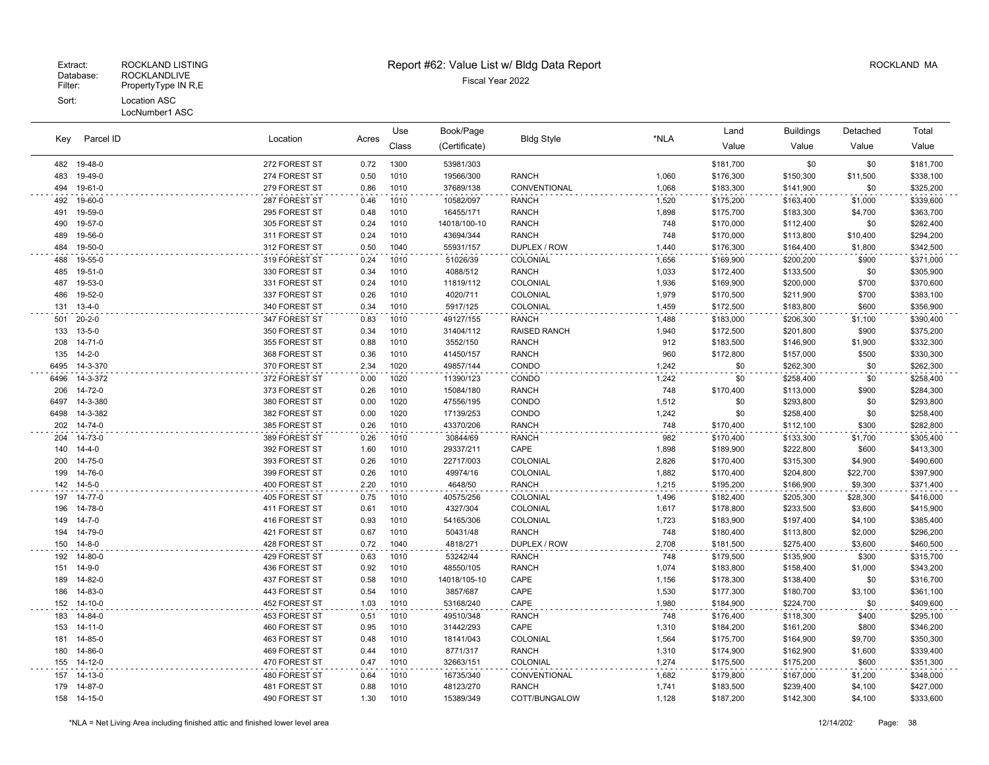LocNumber1 ASC

|      |              |               |       | Use   | Book/Page     |                   |       | Land      | <b>Buildings</b> | Detached | Total     |
|------|--------------|---------------|-------|-------|---------------|-------------------|-------|-----------|------------------|----------|-----------|
| Key  | Parcel ID    | Location      | Acres | Class | (Certificate) | <b>Bldg Style</b> | *NLA  | Value     | Value            | Value    | Value     |
|      | 482 19-48-0  | 272 FOREST ST | 0.72  | 1300  | 53981/303     |                   |       | \$181,700 | \$0              | \$0      | \$181,700 |
|      | 483 19-49-0  | 274 FOREST ST | 0.50  | 1010  | 19566/300     | <b>RANCH</b>      | 1,060 | \$176,300 | \$150,300        | \$11,500 | \$338,100 |
| 494  | 19-61-0      | 279 FOREST ST | 0.86  | 1010  | 37689/138     | CONVENTIONAL      | 1,068 | \$183,300 | \$141,900        | \$0      | \$325,200 |
| 492  | 19-60-0      | 287 FOREST ST | 0.46  | 1010  | 10582/097     | <b>RANCH</b>      | 1,520 | \$175,200 | \$163,400        | \$1,000  | \$339,600 |
| 491  | 19-59-0      | 295 FOREST ST | 0.48  | 1010  | 16455/171     | <b>RANCH</b>      | 1,898 | \$175,700 | \$183,300        | \$4,700  | \$363,700 |
| 490  | 19-57-0      | 305 FOREST ST | 0.24  | 1010  | 14018/100-10  | <b>RANCH</b>      | 748   | \$170,000 | \$112,400        | \$0      | \$282,400 |
| 489  | 19-56-0      | 311 FOREST ST | 0.24  | 1010  | 43694/344     | <b>RANCH</b>      | 748   | \$170,000 | \$113,800        | \$10,400 | \$294,200 |
|      | 484 19-50-0  | 312 FOREST ST | 0.50  | 1040  | 55931/157     | DUPLEX / ROW      | 1,440 | \$176,300 | \$164,400        | \$1,800  | \$342,500 |
| 488  | 19-55-0      | 319 FOREST ST | 0.24  | 1010  | 51026/39      | COLONIAL          | 1,656 | \$169,900 | \$200,200        | \$900    | \$371,000 |
| 485  | 19-51-0      | 330 FOREST ST | 0.34  | 1010  | 4088/512      | <b>RANCH</b>      | 1,033 | \$172,400 | \$133,500        | \$0      | \$305,900 |
| 487  | 19-53-0      | 331 FOREST ST | 0.24  | 1010  | 11819/112     | COLONIAL          | 1,936 | \$169,900 | \$200,000        | \$700    | \$370,600 |
| 486  | 19-52-0      | 337 FOREST ST | 0.26  | 1010  | 4020/711      | COLONIAL          | 1,979 | \$170,500 | \$211,900        | \$700    | \$383,100 |
| 131  | $13 - 4 - 0$ | 340 FOREST ST | 0.34  | 1010  | 5917/125      | COLONIAL          | 1,459 | \$172,500 | \$183,800        | \$600    | \$356,900 |
| 501  | $20 - 2 - 0$ | 347 FOREST ST | 0.83  | 1010  | 49127/155     | <b>RANCH</b>      | 1,488 | \$183,000 | \$206,300        | \$1,100  | \$390,400 |
| 133  | $13 - 5 - 0$ | 350 FOREST ST | 0.34  | 1010  | 31404/112     | RAISED RANCH      | 1,940 | \$172,500 | \$201,800        | \$900    | \$375,200 |
| 208  | 14-71-0      | 355 FOREST ST | 0.88  | 1010  | 3552/150      | <b>RANCH</b>      | 912   | \$183,500 | \$146,900        | \$1,900  | \$332,300 |
| 135  | $14 - 2 - 0$ | 368 FOREST ST | 0.36  | 1010  | 41450/157     | <b>RANCH</b>      | 960   | \$172,800 | \$157,000        | \$500    | \$330,300 |
| 6495 | 14-3-370     | 370 FOREST ST | 2.34  | 1020  | 49857/144     | CONDO             | 1,242 | \$0       | \$262,300        | \$0      | \$262,300 |
| 6496 | 14-3-372     | 372 FOREST ST | 0.00  | 1020  | 11390/123     | CONDO             | 1,242 | \$0       | \$258,400        | \$0      | \$258,400 |
| 206  | 14-72-0      | 373 FOREST ST | 0.26  | 1010  | 15084/180     | <b>RANCH</b>      | 748   | \$170,400 | \$113,000        | \$900    | \$284,300 |
| 6497 | 14-3-380     | 380 FOREST ST | 0.00  | 1020  | 47556/195     | CONDO             | 1,512 | \$0       | \$293,800        | \$0      | \$293,800 |
| 6498 | 14-3-382     | 382 FOREST ST | 0.00  | 1020  | 17139/253     | CONDO             | 1,242 | \$0       | \$258,400        | \$0      | \$258,400 |
|      | 202 14-74-0  | 385 FOREST ST | 0.26  | 1010  | 43370/206     | <b>RANCH</b>      | 748   | \$170,400 | \$112,100        | \$300    | \$282,800 |
| 204  | 14-73-0      | 389 FOREST ST | 0.26  | 1010  | 30844/69      | <b>RANCH</b>      | 982   | \$170,400 | \$133,300        | \$1,700  | \$305,400 |
| 140  | $14 - 4 - 0$ | 392 FOREST ST | 1.60  | 1010  | 29337/211     | CAPE              | 1,898 | \$189,900 | \$222,800        | \$600    | \$413,300 |
| 200  | 14-75-0      | 393 FOREST ST | 0.26  | 1010  | 22717/003     | COLONIAL          | 2,826 | \$170,400 | \$315,300        | \$4,900  | \$490,600 |
| 199  | 14-76-0      | 399 FOREST ST | 0.26  | 1010  | 49974/16      | COLONIAL          | 1,882 | \$170,400 | \$204,800        | \$22,700 | \$397,900 |
|      | 142 14-5-0   | 400 FOREST ST | 2.20  | 1010  | 4648/50       | RANCH             | 1,215 | \$195,200 | \$166,900        | \$9,300  | \$371,400 |
| 197  | 14-77-0      | 405 FOREST ST | 0.75  | 1010  | 40575/256     | COLONIAL          | 1,496 | \$182,400 | \$205,300        | \$28,300 | \$416,000 |
| 196  | 14-78-0      | 411 FOREST ST | 0.61  | 1010  | 4327/304      | COLONIAL          | 1,617 | \$178,800 | \$233,500        | \$3,600  | \$415,900 |
| 149  | $14 - 7 - 0$ | 416 FOREST ST | 0.93  | 1010  | 54165/306     | COLONIAL          | 1,723 | \$183,900 | \$197,400        | \$4,100  | \$385,400 |
| 194  | 14-79-0      | 421 FOREST ST | 0.67  | 1010  | 50431/48      | <b>RANCH</b>      | 748   | \$180,400 | \$113,800        | \$2,000  | \$296,200 |
| 150  | $14 - 8 - 0$ | 428 FOREST ST | 0.72  | 1040  | 4818/271      | DUPLEX / ROW      | 2,708 | \$181,500 | \$275,400        | \$3,600  | \$460,500 |
|      | 192 14-80-0  | 429 FOREST ST | 0.63  | 1010  | 53242/44      | <b>RANCH</b>      | 748   | \$179,500 | \$135,900        | \$300    | \$315,700 |
| 151  | $14 - 9 - 0$ | 436 FOREST ST | 0.92  | 1010  | 48550/105     | <b>RANCH</b>      | 1,074 | \$183,800 | \$158,400        | \$1,000  | \$343,200 |
| 189  | 14-82-0      | 437 FOREST ST | 0.58  | 1010  | 14018/105-10  | CAPE              | 1,156 | \$178,300 | \$138,400        | \$0      | \$316,700 |
| 186  | 14-83-0      | 443 FOREST ST | 0.54  | 1010  | 3857/687      | CAPE              | 1,530 | \$177,300 | \$180,700        | \$3,100  | \$361,100 |
|      | 152 14-10-0  | 452 FOREST ST | 1.03  | 1010  | 53168/240     | CAPE              | 1,980 | \$184,900 | \$224,700        | \$0      | \$409,600 |
| 183  | 14-84-0      | 453 FOREST ST | 0.51  | 1010  | 49510/348     | <b>RANCH</b>      | 748   | \$176,400 | \$118,300        | \$400    | \$295,100 |
| 153  | 14-11-0      | 460 FOREST ST | 0.95  | 1010  | 31442/293     | CAPE              | 1,310 | \$184,200 | \$161,200        | \$800    | \$346,200 |
| 181  | 14-85-0      | 463 FOREST ST | 0.48  | 1010  | 18141/043     | COLONIAL          | 1,564 | \$175,700 | \$164,900        | \$9,700  | \$350,300 |
| 180  | 14-86-0      | 469 FOREST ST | 0.44  | 1010  | 8771/317      | <b>RANCH</b>      | 1,310 | \$174,900 | \$162,900        | \$1,600  | \$339,400 |
| 155  | 14-12-0      | 470 FOREST ST | 0.47  | 1010  | 32663/151     | COLONIAL          | 1,274 | \$175,500 | \$175,200        | \$600    | \$351,300 |
|      | 157 14-13-0  | 480 FOREST ST | 0.64  | 1010  | 16735/340     | CONVENTIONAL      | 1,682 | \$179,800 | \$167,000        | \$1,200  | \$348,000 |
|      | 179 14-87-0  | 481 FOREST ST | 0.88  | 1010  | 48123/270     | <b>RANCH</b>      | 1,741 | \$183,500 | \$239,400        | \$4,100  | \$427,000 |
|      | 158 14-15-0  | 490 FOREST ST | 1.30  | 1010  | 15389/349     | COTT/BUNGALOW     | 1,128 | \$187,200 | \$142,300        | \$4,100  | \$333,600 |
|      |              |               |       |       |               |                   |       |           |                  |          |           |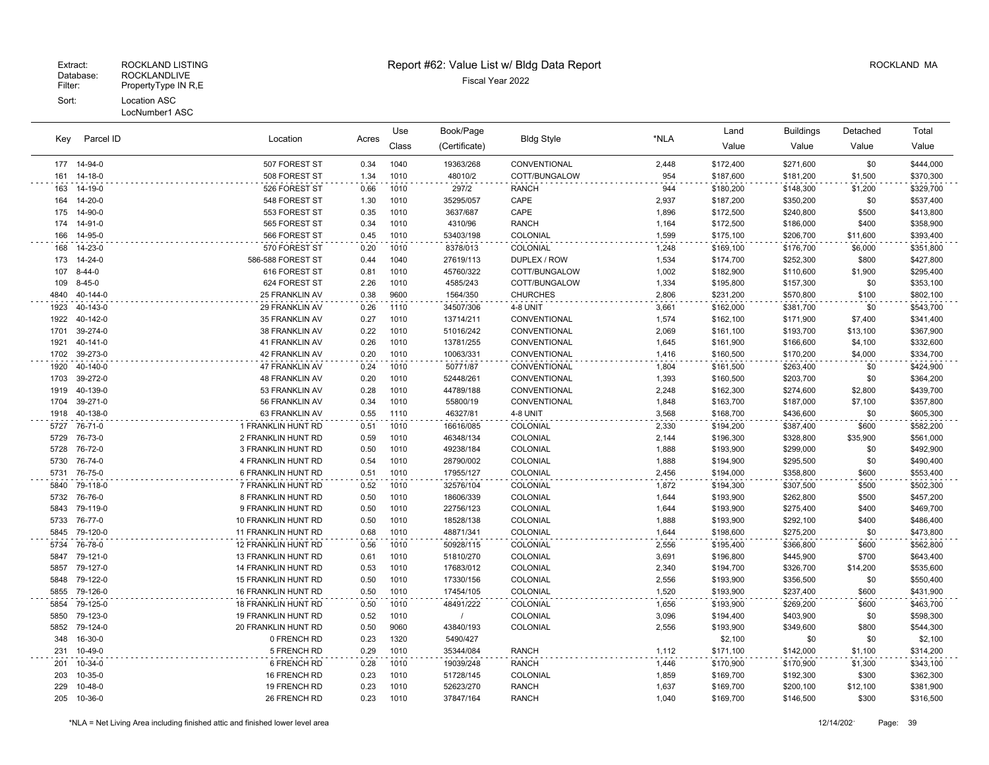#### LocNumber1 ASC

| Kev  | Parcel ID    | Location              | Acres | Use<br>Class | Book/Page<br>(Certificate) | <b>Bldg Style</b> | *NLA  | Land<br>Value | <b>Buildings</b><br>Value | Detached<br>Value | Total<br>Value |
|------|--------------|-----------------------|-------|--------------|----------------------------|-------------------|-------|---------------|---------------------------|-------------------|----------------|
|      | 177 14-94-0  | 507 FOREST ST         | 0.34  | 1040         | 19363/268                  | CONVENTIONAL      | 2,448 | \$172,400     | \$271,600                 | \$0               | \$444,000      |
|      | 161 14-18-0  | 508 FOREST ST         | 1.34  | 1010         | 48010/2                    | COTT/BUNGALOW     | 954   | \$187,600     | \$181,200                 | \$1,500           | \$370,300      |
| 163  | 14-19-0      | 526 FOREST ST         | 0.66  | 1010         | 297/2                      | <b>RANCH</b>      | 944   | \$180,200     | \$148,300                 | \$1,200           | \$329,700      |
| 164  | 14-20-0      | 548 FOREST ST         | 1.30  | 1010         | 35295/057                  | CAPE              | 2,937 | \$187,200     | \$350,200                 | \$0               | \$537,400      |
| 175  | 14-90-0      | 553 FOREST ST         | 0.35  | 1010         | 3637/687                   | CAPE              | 1,896 | \$172,500     | \$240,800                 | \$500             | \$413,800      |
| 174  | 14-91-0      | 565 FOREST ST         | 0.34  | 1010         | 4310/96                    | <b>RANCH</b>      | 1,164 | \$172,500     | \$186,000                 | \$400             | \$358,900      |
| 166  | 14-95-0      | 566 FOREST ST         | 0.45  | 1010         | 53403/198                  | COLONIAL          | 1,599 | \$175,100     | \$206,700                 | \$11,600          | \$393,400      |
| 168  | 14-23-0      | 570 FOREST ST         | 0.20  | 1010         | 8378/013                   | COLONIAL          | 1,248 | \$169,100     | \$176,700                 | \$6,000           | \$351,800      |
| 173  | 14-24-0      | 586-588 FOREST ST     | 0.44  | 1040         | 27619/113                  | DUPLEX / ROW      | 1,534 | \$174,700     | \$252,300                 | \$800             | \$427,800      |
| 107  | $8 - 44 - 0$ | 616 FOREST ST         | 0.81  | 1010         | 45760/322                  | COTT/BUNGALOW     | 1,002 | \$182,900     | \$110,600                 | \$1,900           | \$295,400      |
| 109  | $8 - 45 - 0$ | 624 FOREST ST         | 2.26  | 1010         | 4585/243                   | COTT/BUNGALOW     | 1,334 | \$195,800     | \$157,300                 | \$0               | \$353,100      |
| 4840 | 40-144-0     | 25 FRANKLIN AV        | 0.38  | 9600         | 1564/350                   | <b>CHURCHES</b>   | 2,806 | \$231,200     | \$570,800                 | \$100             | \$802,100      |
| 1923 | 40-143-0     | 29 FRANKLIN AV        | 0.26  | 1110         | 34507/306                  | 4-8 UNIT          | 3,661 | \$162,000     | \$381,700                 | \$0               | \$543,700      |
| 1922 | 40-142-0     | 35 FRANKLIN AV        | 0.27  | 1010         | 13714/211                  | CONVENTIONAL      | 1,574 | \$162,100     | \$171,900                 | \$7,400           | \$341,400      |
| 1701 | 39-274-0     | 38 FRANKLIN AV        | 0.22  | 1010         | 51016/242                  | CONVENTIONAL      | 2,069 | \$161,100     | \$193,700                 | \$13,100          | \$367,900      |
| 1921 | 40-141-0     | 41 FRANKLIN AV        | 0.26  | 1010         | 13781/255                  | CONVENTIONAL      | 1,645 | \$161,900     | \$166,600                 | \$4,100           | \$332,600      |
| 1702 | 39-273-0     | 42 FRANKLIN AV        | 0.20  | 1010         | 10063/331                  | CONVENTIONAL      | 1,416 | \$160,500     | \$170,200                 | \$4,000           | \$334,700      |
| 1920 | 40-140-0     | 47 FRANKLIN AV        | 0.24  | 1010         | 50771/87                   | CONVENTIONAL      | 1,804 | \$161,500     | \$263,400                 | \$0               | \$424,900      |
| 1703 | 39-272-0     | <b>48 FRANKLIN AV</b> | 0.20  | 1010         | 52448/261                  | CONVENTIONAL      | 1,393 | \$160,500     | \$203,700                 | \$0               | \$364,200      |
| 1919 | 40-139-0     | 53 FRANKLIN AV        | 0.28  | 1010         | 44789/188                  | CONVENTIONAL      | 2,248 | \$162,300     | \$274,600                 | \$2,800           | \$439,700      |
| 1704 | 39-271-0     | 56 FRANKLIN AV        | 0.34  | 1010         | 55800/19                   | CONVENTIONAL      | 1,848 | \$163,700     | \$187,000                 | \$7,100           | \$357,800      |
| 1918 | 40-138-0     | 63 FRANKLIN AV        | 0.55  | 1110         | 46327/81                   | 4-8 UNIT          | 3,568 | \$168,700     | \$436,600                 | \$0               | \$605,300      |
|      | 5727 76-71-0 | 1 FRANKLIN HUNT RD    | 0.51  | 1010         | 16616/085                  | COLONIAL          | 2,330 | \$194,200     | \$387,400                 | \$600             | \$582,200      |
| 5729 | 76-73-0      | 2 FRANKLIN HUNT RD    | 0.59  | 1010         | 46348/134                  | COLONIAL          | 2,144 | \$196,300     | \$328,800                 | \$35,900          | \$561,000      |
| 5728 | 76-72-0      | 3 FRANKLIN HUNT RD    | 0.50  | 1010         | 49238/184                  | COLONIAL          | 1,888 | \$193,900     | \$299,000                 | \$0               | \$492,900      |
| 5730 | 76-74-0      | 4 FRANKLIN HUNT RD    | 0.54  | 1010         | 28790/002                  | COLONIAL          | 1,888 | \$194,900     | \$295,500                 | \$0               | \$490,400      |
| 5731 | 76-75-0      | 6 FRANKLIN HUNT RD    | 0.51  | 1010         | 17955/127                  | COLONIAL          | 2,456 | \$194,000     | \$358,800                 | \$600             | \$553,400      |
| 5840 | 79-118-0     | 7 FRANKLIN HUNT RD    | 0.52  | 1010         | 32576/104                  | COLONIAL          | 1,872 | \$194,300     | \$307,500                 | \$500             | \$502,300      |
| 5732 | 76-76-0      | 8 FRANKLIN HUNT RD    | 0.50  | 1010         | 18606/339                  | COLONIAL          | 1,644 | \$193,900     | \$262,800                 | \$500             | \$457,200      |
| 5843 | 79-119-0     | 9 FRANKLIN HUNT RD    | 0.50  | 1010         | 22756/123                  | COLONIAL          | 1,644 | \$193,900     | \$275,400                 | \$400             | \$469,700      |
| 5733 | 76-77-0      | 10 FRANKLIN HUNT RD   | 0.50  | 1010         | 18528/138                  | COLONIAL          | 1,888 | \$193,900     | \$292,100                 | \$400             | \$486,400      |
| 5845 | 79-120-0     | 11 FRANKLIN HUNT RD   | 0.68  | 1010         | 48871/341                  | COLONIAL          | 1.644 | \$198,600     | \$275,200                 | \$0               | \$473,800      |
| 5734 | 76-78-0      | 12 FRANKLIN HUNT RD   | 0.56  | 1010         | 50928/115                  | COLONIAL          | 2,556 | \$195,400     | \$366,800                 | \$600             | \$562,800      |
| 5847 | 79-121-0     | 13 FRANKLIN HUNT RD   | 0.61  | 1010         | 51810/270                  | COLONIAL          | 3,691 | \$196,800     | \$445,900                 | \$700             | \$643,400      |
| 5857 | 79-127-0     | 14 FRANKLIN HUNT RD   | 0.53  | 1010         | 17683/012                  | COLONIAL          | 2,340 | \$194,700     | \$326,700                 | \$14,200          | \$535,600      |
| 5848 | 79-122-0     | 15 FRANKLIN HUNT RD   | 0.50  | 1010         | 17330/156                  | COLONIAL          | 2,556 | \$193,900     | \$356,500                 | \$0               | \$550,400      |
| 5855 | 79-126-0     | 16 FRANKLIN HUNT RD   | 0.50  | 1010         | 17454/105                  | COLONIAL          | 1,520 | \$193,900     | \$237,400                 | \$600             | \$431,900      |
| 5854 | 79-125-0     | 18 FRANKLIN HUNT RD   | 0.50  | 1010         | 48491/222                  | COLONIAL          | 1,656 | \$193,900     | \$269,200                 | \$600             | \$463,700      |
| 5850 | 79-123-0     | 19 FRANKLIN HUNT RD   | 0.52  | 1010         | $\prime$                   | COLONIAL          | 3,096 | \$194,400     | \$403,900                 | \$0               | \$598,300      |
| 5852 | 79-124-0     | 20 FRANKLIN HUNT RD   | 0.50  | 9060         | 43840/193                  | COLONIAL          | 2,556 | \$193,900     | \$349,600                 | \$800             | \$544,300      |
| 348  | 16-30-0      | 0 FRENCH RD           | 0.23  | 1320         | 5490/427                   |                   |       | \$2,100       | \$0                       | \$0               | \$2,100        |
| 231  | 10-49-0      | 5 FRENCH RD           | 0.29  | 1010         | 35344/084                  | <b>RANCH</b>      | 1,112 | \$171,100     | \$142,000                 | \$1,100           | \$314,200      |
| 201  | 10-34-0      | 6 FRENCH RD           | 0.28  | 1010         | 19039/248                  | <b>RANCH</b>      | 1,446 | \$170,900     | \$170,900                 | \$1,300           | \$343,100      |
| 203  | 10-35-0      | 16 FRENCH RD          | 0.23  | 1010         | 51728/145                  | COLONIAL          | 1,859 | \$169,700     | \$192,300                 | \$300             | \$362,300      |
| 229  | 10-48-0      | 19 FRENCH RD          | 0.23  | 1010         | 52623/270                  | <b>RANCH</b>      | 1,637 | \$169,700     | \$200,100                 | \$12,100          | \$381,900      |
| 205  | 10-36-0      | 26 FRENCH RD          | 0.23  | 1010         | 37847/164                  | <b>RANCH</b>      | 1,040 | \$169,700     | \$146,500                 | \$300             | \$316,500      |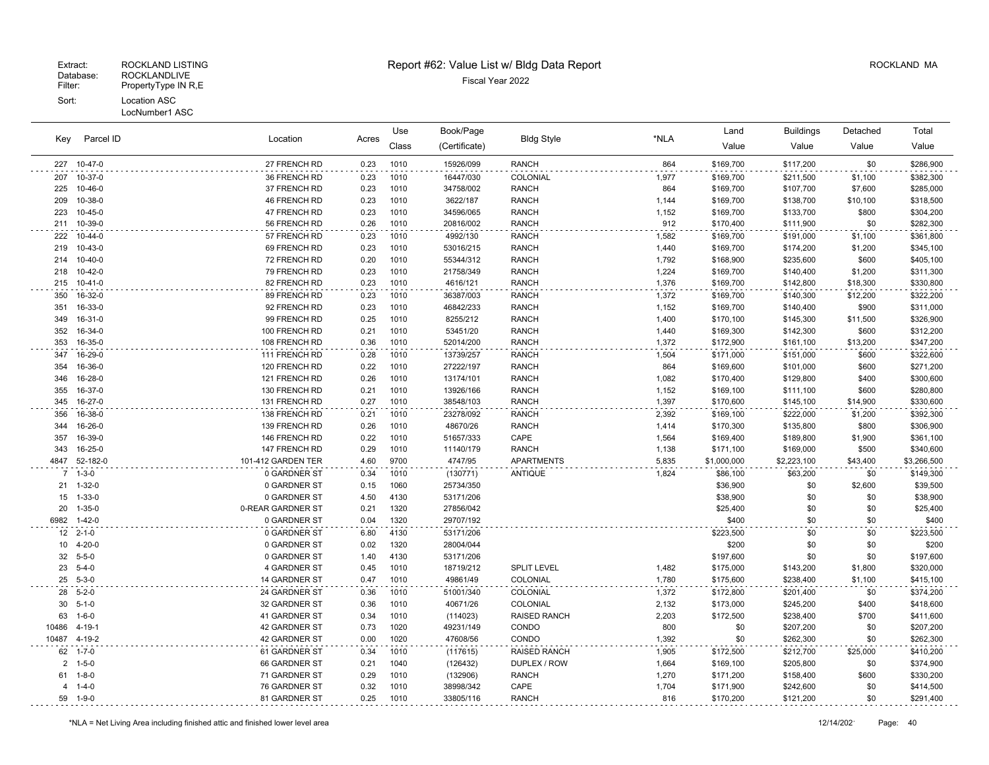| Key            | Parcel ID       |                    |       | Use   | Book/Page     |                     |       | Land        | <b>Buildings</b> | Detached | Total       |
|----------------|-----------------|--------------------|-------|-------|---------------|---------------------|-------|-------------|------------------|----------|-------------|
|                |                 | Location           | Acres | Class | (Certificate) | <b>Bldg Style</b>   | *NLA  | Value       | Value            | Value    | Value       |
|                | 227 10-47-0     | 27 FRENCH RD       | 0.23  | 1010  | 15926/099     | <b>RANCH</b>        | 864   | \$169,700   | \$117,200        | \$0      | \$286,900   |
| 207            | 10-37-0         | 36 FRENCH RD       | 0.23  | 1010  | 16447/030     | COLONIAL            | 1,977 | \$169,700   | \$211,500        | \$1,100  | \$382,300   |
| 225            | 10-46-0         | 37 FRENCH RD       | 0.23  | 1010  | 34758/002     | <b>RANCH</b>        | 864   | \$169,700   | \$107,700        | \$7,600  | \$285,000   |
| 209            | 10-38-0         | 46 FRENCH RD       | 0.23  | 1010  | 3622/187      | <b>RANCH</b>        | 1,144 | \$169,700   | \$138,700        | \$10,100 | \$318,500   |
| 223            | 10-45-0         | 47 FRENCH RD       | 0.23  | 1010  | 34596/065     | <b>RANCH</b>        | 1,152 | \$169,700   | \$133,700        | \$800    | \$304,200   |
| 211            | 10-39-0         | 56 FRENCH RD       | 0.26  | 1010  | 20816/002     | <b>RANCH</b>        | 912   | \$170,400   | \$111,900        | \$0      | \$282,300   |
| 222            | 10-44-0         | 57 FRENCH RD       | 0.23  | 1010  | 4992/130      | <b>RANCH</b>        | 1,582 | \$169,700   | \$191,000        | \$1,100  | \$361,800   |
| 219            | 10-43-0         | 69 FRENCH RD       | 0.23  | 1010  | 53016/215     | <b>RANCH</b>        | 1,440 | \$169,700   | \$174,200        | \$1,200  | \$345,100   |
| 214            | $10 - 40 - 0$   | 72 FRENCH RD       | 0.20  | 1010  | 55344/312     | <b>RANCH</b>        | 1,792 | \$168,900   | \$235,600        | \$600    | \$405,100   |
| 218            | 10-42-0         | 79 FRENCH RD       | 0.23  | 1010  | 21758/349     | <b>RANCH</b>        | 1,224 | \$169,700   | \$140,400        | \$1,200  | \$311,300   |
| 215            | 10-41-0         | 82 FRENCH RD       | 0.23  | 1010  | 4616/121      | <b>RANCH</b>        | 1,376 | \$169,700   | \$142,800        | \$18,300 | \$330,800   |
| 350            | 16-32-0         | 89 FRENCH RD       | 0.23  | 1010  | 36387/003     | <b>RANCH</b>        | 1,372 | \$169,700   | \$140,300        | \$12,200 | \$322,200   |
| 351            | 16-33-0         | 92 FRENCH RD       | 0.23  | 1010  | 46842/233     | <b>RANCH</b>        | 1,152 | \$169,700   | \$140,400        | \$900    | \$311,000   |
| 349            | 16-31-0         | 99 FRENCH RD       | 0.25  | 1010  | 8255/212      | <b>RANCH</b>        | 1,400 | \$170,100   | \$145,300        | \$11,500 | \$326,900   |
| 352            | 16-34-0         | 100 FRENCH RD      | 0.21  | 1010  | 53451/20      | <b>RANCH</b>        | 1,440 | \$169,300   | \$142,300        | \$600    | \$312,200   |
| 353            | 16-35-0         | 108 FRENCH RD      | 0.36  | 1010  | 52014/200     | <b>RANCH</b>        | 1,372 | \$172,900   | \$161,100        | \$13,200 | \$347,200   |
| 347            | 16-29-0         | 111 FRENCH RD      | 0.28  | 1010  | 13739/257     | <b>RANCH</b>        | 1,504 | \$171,000   | \$151,000        | \$600    | \$322,600   |
| 354            | 16-36-0         | 120 FRENCH RD      | 0.22  | 1010  | 27222/197     | <b>RANCH</b>        | 864   | \$169,600   | \$101,000        | \$600    | \$271,200   |
| 346            | 16-28-0         | 121 FRENCH RD      | 0.26  | 1010  | 13174/101     | <b>RANCH</b>        | 1,082 | \$170,400   | \$129,800        | \$400    | \$300,600   |
| 355            | 16-37-0         | 130 FRENCH RD      | 0.21  | 1010  | 13926/166     | <b>RANCH</b>        | 1,152 | \$169,100   | \$111,100        | \$600    | \$280,800   |
| 345            | 16-27-0         | 131 FRENCH RD      | 0.27  | 1010  | 38548/103     | <b>RANCH</b>        | 1,397 | \$170,600   | \$145,100        | \$14,900 | \$330,600   |
| 356            | 16-38-0         | 138 FRENCH RD      | 0.21  | 1010  | 23278/092     | <b>RANCH</b>        | 2,392 | \$169,100   | \$222,000        | \$1,200  | \$392,300   |
| 344            | 16-26-0         | 139 FRENCH RD      | 0.26  | 1010  | 48670/26      | <b>RANCH</b>        | 1,414 | \$170,300   | \$135,800        | \$800    | \$306,900   |
| 357            | 16-39-0         | 146 FRENCH RD      | 0.22  | 1010  | 51657/333     | CAPE                | 1,564 | \$169,400   | \$189,800        | \$1,900  | \$361,100   |
| 343            | 16-25-0         | 147 FRENCH RD      | 0.29  | 1010  | 11140/179     | <b>RANCH</b>        | 1,138 | \$171,100   | \$169,000        | \$500    | \$340,600   |
|                | 4847 52-182-0   | 101-412 GARDEN TER | 4.60  | 9700  | 4747/95       | APARTMENTS          | 5,835 | \$1,000,000 | \$2,223,100      | \$43,400 | \$3,266,500 |
|                | $7 - 1 - 3 - 0$ | 0 GARDNER ST       | 0.34  | 1010  | (130771)      | <b>ANTIQUE</b>      | 1,824 | \$86,100    | \$63,200         | \$0      | \$149,300   |
|                | 21 1-32-0       | 0 GARDNER ST       | 0.15  | 1060  | 25734/350     |                     |       | \$36,900    | \$0              | \$2,600  | \$39,500    |
| 15             | $1 - 33 - 0$    | 0 GARDNER ST       | 4.50  | 4130  | 53171/206     |                     |       | \$38,900    | \$0              | \$0      | \$38,900    |
| 20             | $1 - 35 - 0$    | 0-REAR GARDNER ST  | 0.21  | 1320  | 27856/042     |                     |       | \$25,400    | \$0              | \$0      | \$25,400    |
| 6982           | $1 - 42 - 0$    | 0 GARDNER ST       | 0.04  | 1320  | 29707/192     |                     |       | \$400       | \$0              | \$0      | \$400       |
|                | $12$ 2-1-0      | 0 GARDNER ST       | 6.80  | 4130  | 53171/206     |                     |       | \$223,500   | \$0              | \$0      | \$223,500   |
| 10             | $4 - 20 - 0$    | 0 GARDNER ST       | 0.02  | 1320  | 28004/044     |                     |       | \$200       | \$0              | \$0      | \$200       |
|                | 32 5-5-0        | 0 GARDNER ST       | 1.40  | 4130  | 53171/206     |                     |       | \$197,600   | \$0              | \$0      | \$197,600   |
|                | 23 5-4-0        | 4 GARDNER ST       | 0.45  | 1010  | 18719/212     | SPLIT LEVEL         | 1,482 | \$175,000   | \$143,200        | \$1,800  | \$320,000   |
|                | 25 5-3-0        | 14 GARDNER ST      | 0.47  | 1010  | 49861/49      | COLONIAL            | 1,780 | \$175,600   | \$238,400        | \$1,100  | \$415,100   |
|                | 28 5-2-0        | 24 GARDNER ST      | 0.36  | 1010  | 51001/340     | COLONIAL            | 1,372 | \$172,800   | \$201,400        | \$0      | \$374,200   |
| 30             | $5 - 1 - 0$     | 32 GARDNER ST      | 0.36  | 1010  | 40671/26      | COLONIAL            | 2,132 | \$173,000   | \$245,200        | \$400    | \$418,600   |
| 63             | $1 - 6 - 0$     | 41 GARDNER ST      | 0.34  | 1010  | (114023)      | <b>RAISED RANCH</b> | 2,203 | \$172,500   | \$238,400        | \$700    | \$411,600   |
| 10486          | $4 - 19 - 1$    | 42 GARDNER ST      | 0.73  | 1020  | 49231/149     | CONDO               | 800   | \$0         | \$207,200        | \$0      | \$207,200   |
| 10487 4-19-2   |                 | 42 GARDNER ST      | 0.00  | 1020  | 47608/56      | CONDO               | 1,392 | \$0         | \$262,300        | \$0      | \$262,300   |
| 62             | $1 - 7 - 0$     | 61 GARDNER ST      | 0.34  | 1010  | (117615)      | <b>RAISED RANCH</b> | 1,905 | \$172,500   | \$212,700        | \$25,000 | \$410,200   |
| $\overline{2}$ | $1 - 5 - 0$     | 66 GARDNER ST      | 0.21  | 1040  | (126432)      | DUPLEX / ROW        | 1,664 | \$169,100   | \$205,800        | \$0      | \$374,900   |
| 61             | $1 - 8 - 0$     | 71 GARDNER ST      | 0.29  | 1010  | (132906)      | <b>RANCH</b>        | 1,270 | \$171,200   | \$158,400        | \$600    | \$330,200   |
| 4              | $1 - 4 - 0$     | 76 GARDNER ST      | 0.32  | 1010  | 38998/342     | CAPE                | 1,704 | \$171,900   | \$242,600        | \$0      | \$414,500   |
|                | 59 1-9-0        | 81 GARDNER ST      | 0.25  | 1010  | 33805/116     | <b>RANCH</b>        | 816   | \$170,200   | \$121,200        | \$0      | \$291,400   |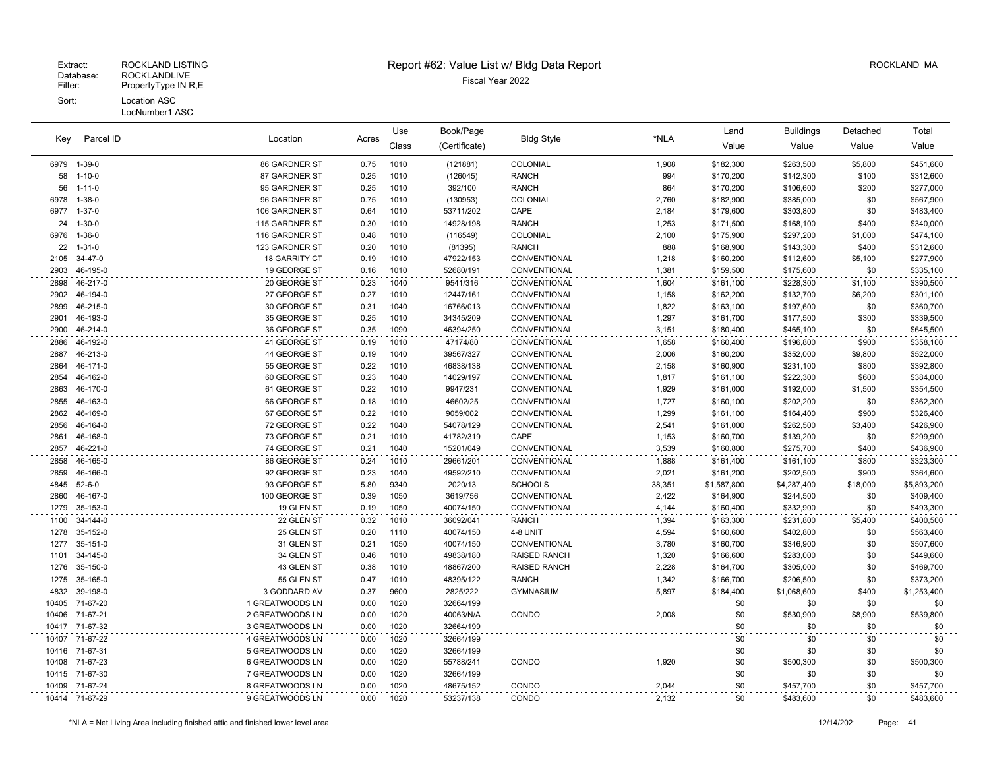LocNumber1 ASC

| Key          | Parcel ID            |                          |              | Use          | Book/Page              |                          |                | Land                   | <b>Buildings</b>       | Detached       | Total                  |
|--------------|----------------------|--------------------------|--------------|--------------|------------------------|--------------------------|----------------|------------------------|------------------------|----------------|------------------------|
|              |                      | Location                 | Acres        | Class        | (Certificate)          | <b>Bldg Style</b>        | *NLA           | Value                  | Value                  | Value          | Value                  |
| 6979         | 1-39-0               | 86 GARDNER ST            | 0.75         | 1010         | (121881)               | COLONIAL                 | 1,908          | \$182,300              | \$263,500              | \$5,800        | \$451,600              |
| 58           | $1 - 10 - 0$         | 87 GARDNER ST            | 0.25         | 1010         | (126045)               | <b>RANCH</b>             | 994            | \$170,200              | \$142,300              | \$100          | \$312,600              |
| 56           | $1 - 11 - 0$         | 95 GARDNER ST            | 0.25         | 1010         | 392/100                | <b>RANCH</b>             | 864            | \$170,200              | \$106,600              | \$200          | \$277,000              |
| 6978         | $1 - 38 - 0$         | 96 GARDNER ST            | 0.75         | 1010         | (130953)               | COLONIAL                 | 2,760          | \$182,900              | \$385,000              | \$0            | \$567,900              |
| 6977         | $1 - 37 - 0$         | 106 GARDNER ST           | 0.64         | 1010         | 53711/202              | CAPE                     | 2,184          | \$179,600              | \$303,800              | \$0            | \$483,400              |
| 24           | $1 - 30 - 0$         | 115 GARDNER ST           | 0.30         | 1010         | 14928/198              | <b>RANCH</b>             | 1,253          | \$171,500              | \$168,100              | \$400          | \$340,000              |
| 6976         | $1 - 36 - 0$         | 116 GARDNER ST           | 0.48         | 1010         | (116549)               | COLONIAL                 | 2,100          | \$175,900              | \$297,200              | \$1,000        | \$474,100              |
| 22           | $1 - 31 - 0$         | 123 GARDNER ST           | 0.20         | 1010         | (81395)                | <b>RANCH</b>             | 888            | \$168,900              | \$143,300              | \$400          | \$312,600              |
| 2105         | 34-47-0              | <b>18 GARRITY CT</b>     | 0.19         | 1010         | 47922/153              | CONVENTIONAL             | 1,218          | \$160,200              | \$112,600              | \$5,100        | \$277,900              |
| 2903         | 46-195-0             | 19 GEORGE ST             | 0.16         | 1010         | 52680/191              | CONVENTIONAL             | 1,381          | \$159,500              | \$175,600              | \$0            | \$335,100              |
| 2898         | 46-217-0             | 20 GEORGE ST             | 0.23         | 1040         | 9541/316               | CONVENTIONAL             | 1,604          | \$161,100              | \$228,300              | \$1,100        | \$390,500              |
| 2902         | 46-194-0             | 27 GEORGE ST             | 0.27         | 1010         | 12447/161              | CONVENTIONAL             | 1,158          | \$162,200              | \$132,700              | \$6,200        | \$301,100              |
| 2899         | 46-215-0             | 30 GEORGE ST             | 0.31         | 1040         | 16766/013              | CONVENTIONAL             | 1,822          | \$163,100              | \$197,600              | \$0            | \$360,700              |
| 2901         | 46-193-0             | 35 GEORGE ST             | 0.25         | 1010         | 34345/209              | CONVENTIONAL             | 1,297          | \$161,700              | \$177,500              | \$300          | \$339,500              |
| 2900         | 46-214-0             | 36 GEORGE ST             | 0.35         | 1090         | 46394/250              | CONVENTIONAL             | 3,151          | \$180,400              | \$465,100              | \$0            | \$645,500              |
| 2886         | 46-192-0             | 41 GEORGE ST             | 0.19         | 1010         | 47174/80               | CONVENTIONAL             | 1,658          | \$160,400              | \$196,800              | \$900          | \$358,100              |
| 2887         | 46-213-0             | 44 GEORGE ST             | 0.19         | 1040         | 39567/327              | CONVENTIONAL             | 2,006          | \$160,200              | \$352,000              | \$9,800        | \$522,000              |
| 2864         | 46-171-0             | 55 GEORGE ST             | 0.22         | 1010         | 46838/138              | CONVENTIONAL             | 2,158          | \$160,900              | \$231,100              | \$800          | \$392,800              |
| 2854         | 46-162-0             | 60 GEORGE ST             | 0.23         | 1040         | 14029/197              | CONVENTIONAL             | 1,817          | \$161,100              | \$222,300              | \$600          | \$384,000              |
| 2863         | 46-170-0             | 61 GEORGE ST             | 0.22         | 1010         | 9947/231               | CONVENTIONAL             | 1,929          | \$161,000              | \$192,000              | \$1,500        | \$354,500              |
| 2855         | 46-163-0             | 66 GEORGE ST             | 0.18         | 1010         | 46602/25               | CONVENTIONAL             | 1,727          | \$160,100              | \$202,200              | \$0            | \$362,300              |
| 2862         | 46-169-0             | 67 GEORGE ST             | 0.22         | 1010         | 9059/002               | CONVENTIONAL             | 1,299          | \$161,100              | \$164,400              | \$900          | \$326,400              |
| 2856         | 46-164-0             | 72 GEORGE ST             | 0.22         | 1040         | 54078/129              | CONVENTIONAL             | 2,541          | \$161,000              | \$262,500              | \$3,400        | \$426,900              |
| 2861         | 46-168-0             | 73 GEORGE ST             | 0.21         | 1010         | 41782/319              | CAPE                     | 1,153          | \$160,700              | \$139,200              | \$0            | \$299,900              |
| 2857         | 46-221-0             | 74 GEORGE ST             | 0.21         | 1040         | 15201/049              | CONVENTIONAL             | 3,539          | \$160,800              | \$275,700              | \$400          | \$436,900              |
| 2858         | 46-165-0             | 86 GEORGE ST             | 0.24         | 1010         | 29661/201              | CONVENTIONAL             | 1,888          | \$161,400              | \$161,100              | \$800          | \$323,300              |
| 2859         | 46-166-0             | 92 GEORGE ST             | 0.23         | 1040         | 49592/210              | CONVENTIONAL             | 2,021          | \$161,200              | \$202,500              | \$900          | \$364,600              |
| 4845         | $52 - 6 - 0$         | 93 GEORGE ST             | 5.80         | 9340         | 2020/13                | <b>SCHOOLS</b>           | 38,351         | \$1,587,800            | \$4,287,400            | \$18,000       | \$5,893,200            |
| 2860<br>1279 | 46-167-0             | 100 GEORGE ST            | 0.39         | 1050         | 3619/756               | CONVENTIONAL             | 2,422          | \$164,900              | \$244,500              | \$0            | \$409,400              |
|              | 35-153-0             | 19 GLEN ST               | 0.19         | 1050         | 40074/150              | CONVENTIONAL             | 4,144          | \$160,400              | \$332,900              | \$0            | \$493,300              |
| 1100<br>1278 | 34-144-0<br>35-152-0 | 22 GLEN ST<br>25 GLEN ST | 0.32         | 1010<br>1110 | 36092/041              | <b>RANCH</b>             | 1,394<br>4,594 | \$163,300              | \$231,800<br>\$402,800 | \$5,400<br>\$0 | \$400,500<br>\$563,400 |
| 1277         | 35-151-0             | 31 GLEN ST               | 0.20<br>0.21 | 1050         | 40074/150<br>40074/150 | 4-8 UNIT<br>CONVENTIONAL | 3,780          | \$160,600<br>\$160,700 | \$346,900              | \$0            | \$507,600              |
| 1101         | 34-145-0             | 34 GLEN ST               | 0.46         | 1010         | 49838/180              | <b>RAISED RANCH</b>      | 1,320          | \$166,600              | \$283,000              | \$0            | \$449,600              |
| 1276         | 35-150-0             | 43 GLEN ST               | 0.38         | 1010         | 48867/200              | <b>RAISED RANCH</b>      | 2,228          | \$164,700              | \$305,000              | \$0            | \$469,700              |
| 1275         | 35-165-0             | 55 GLEN ST               | 0.47         | 1010         | 48395/122              | <b>RANCH</b>             | 1,342          | \$166,700              | \$206,500              | \$0            | \$373,200              |
| 4832         | 39-198-0             | 3 GODDARD AV             | 0.37         | 9600         | 2825/222               | <b>GYMNASIUM</b>         | 5,897          | \$184,400              | \$1,068,600            | \$400          | \$1,253,400            |
| 10405        | 71-67-20             | 1 GREATWOODS LN          | 0.00         | 1020         | 32664/199              |                          |                | \$0                    | \$0                    | \$0            | \$0                    |
| 10406        | 71-67-21             | 2 GREATWOODS LN          | 0.00         | 1020         | 40063/N/A              | CONDO                    | 2,008          | \$0                    | \$530,900              | \$8,900        | \$539,800              |
| 10417        | 71-67-32             | 3 GREATWOODS LN          | 0.00         | 1020         | 32664/199              |                          |                | \$0                    | \$0                    | \$0            | \$0                    |
| 10407        | 71-67-22             | 4 GREATWOODS LN          | 0.00         | 1020         | 32664/199              |                          |                | \$0                    | \$0                    | \$0            | \$0                    |
| 10416        | 71-67-31             | 5 GREATWOODS LN          | 0.00         | 1020         | 32664/199              |                          |                | \$0                    | \$0                    | \$0            | \$0                    |
| 10408        | 71-67-23             | 6 GREATWOODS LN          | 0.00         | 1020         | 55788/241              | CONDO                    | 1,920          | \$0                    | \$500,300              | \$0            | \$500,300              |
| 10415        | 71-67-30             | 7 GREATWOODS LN          | 0.00         | 1020         | 32664/199              |                          |                | \$0                    | \$0                    | \$0            | \$0                    |
| 10409        | 71-67-24             | 8 GREATWOODS LN          | 0.00         | 1020         | 48675/152              | CONDO                    | 2,044          | \$0                    | \$457,700              | \$0            | \$457,700              |
|              | 10414 71-67-29       | 9 GREATWOODS LN          | 0.00         | 1020         | 53237/138              | CONDO                    | 2,132          | \$0                    | \$483,600              | \$0            | \$483,600              |
|              |                      |                          |              |              |                        |                          |                |                        |                        |                |                        |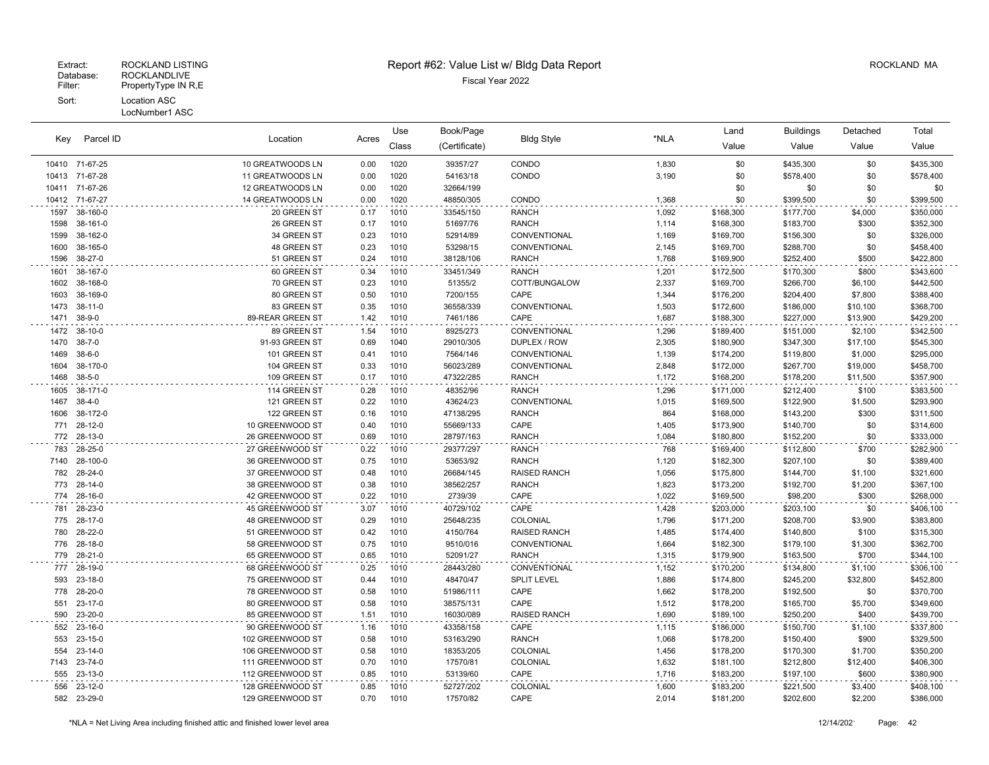| Key  | Parcel ID      | Location         |       | Use   | Book/Page     |                     |       | Land      | <b>Buildings</b> | Detached | Total     |
|------|----------------|------------------|-------|-------|---------------|---------------------|-------|-----------|------------------|----------|-----------|
|      |                |                  | Acres | Class | (Certificate) | <b>Bldg Style</b>   | *NLA  | Value     | Value            | Value    | Value     |
|      | 10410 71-67-25 | 10 GREATWOODS LN | 0.00  | 1020  | 39357/27      | CONDO               | 1,830 | \$0       | \$435,300        | \$0      | \$435,300 |
|      | 10413 71-67-28 | 11 GREATWOODS LN | 0.00  | 1020  | 54163/18      | CONDO               | 3,190 | \$0       | \$578,400        | \$0      | \$578,400 |
|      | 10411 71-67-26 | 12 GREATWOODS LN | 0.00  | 1020  | 32664/199     |                     |       | \$0       | \$0              | \$0      | \$0       |
|      | 10412 71-67-27 | 14 GREATWOODS LN | 0.00  | 1020  | 48850/305     | CONDO               | 1,368 | \$0       | \$399,500        | \$0      | \$399,500 |
| 1597 | 38-160-0       | 20 GREEN ST      | 0.17  | 1010  | 33545/150     | <b>RANCH</b>        | 1,092 | \$168,300 | \$177,700        | \$4,000  | \$350,000 |
| 1598 | 38-161-0       | 26 GREEN ST      | 0.17  | 1010  | 51697/76      | <b>RANCH</b>        | 1,114 | \$168,300 | \$183,700        | \$300    | \$352,300 |
| 1599 | 38-162-0       | 34 GREEN ST      | 0.23  | 1010  | 52914/89      | CONVENTIONAL        | 1,169 | \$169,700 | \$156,300        | \$0      | \$326,000 |
| 1600 | 38-165-0       | 48 GREEN ST      | 0.23  | 1010  | 53298/15      | CONVENTIONAL        | 2,145 | \$169,700 | \$288,700        | \$0      | \$458,400 |
| 1596 | 38-27-0        | 51 GREEN ST      | 0.24  | 1010  | 38128/106     | <b>RANCH</b>        | 1,768 | \$169,900 | \$252,400        | \$500    | \$422,800 |
| 1601 | 38-167-0       | 60 GREEN ST      | 0.34  | 1010  | 33451/349     | <b>RANCH</b>        | 1,201 | \$172,500 | \$170,300        | \$800    | \$343,600 |
| 1602 | 38-168-0       | 70 GREEN ST      | 0.23  | 1010  | 51355/2       | COTT/BUNGALOW       | 2,337 | \$169,700 | \$266,700        | \$6,100  | \$442,500 |
| 1603 | 38-169-0       | 80 GREEN ST      | 0.50  | 1010  | 7200/155      | CAPE                | 1,344 | \$176,200 | \$204,400        | \$7,800  | \$388,400 |
| 1473 | 38-11-0        | 83 GREEN ST      | 0.35  | 1010  | 36558/339     | CONVENTIONAL        | 1,503 | \$172,600 | \$186,000        | \$10,100 | \$368,700 |
| 1471 | 38-9-0         | 89-REAR GREEN ST | 1.42  | 1010  | 7461/186      | CAPE                | 1,687 | \$188,300 | \$227,000        | \$13,900 | \$429,200 |
| 1472 | 38-10-0        | 89 GREEN ST      | 1.54  | 1010  | 8925/273      | CONVENTIONAL        | 1,296 | \$189,400 | \$151,000        | \$2,100  | \$342,500 |
| 1470 | $38 - 7 - 0$   | 91-93 GREEN ST   | 0.69  | 1040  | 29010/305     | DUPLEX / ROW        | 2,305 | \$180,900 | \$347,300        | \$17,100 | \$545,300 |
| 1469 | $38-6-0$       | 101 GREEN ST     | 0.41  | 1010  | 7564/146      | CONVENTIONAL        | 1,139 | \$174,200 | \$119,800        | \$1,000  | \$295,000 |
| 1604 | 38-170-0       | 104 GREEN ST     | 0.33  | 1010  | 56023/289     | CONVENTIONAL        | 2,848 | \$172,000 | \$267,700        | \$19,000 | \$458,700 |
| 1468 | $38 - 5 - 0$   | 109 GREEN ST     | 0.17  | 1010  | 47322/285     | <b>RANCH</b>        | 1,172 | \$168,200 | \$178,200        | \$11,500 | \$357,900 |
| 1605 | 38-171-0       | 114 GREEN ST     | 0.28  | 1010  | 48352/96      | <b>RANCH</b>        | 1,296 | \$171,000 | \$212,400        | \$100    | \$383,500 |
| 1467 | $38 - 4 - 0$   | 121 GREEN ST     | 0.22  | 1010  | 43624/23      | <b>CONVENTIONAL</b> | 1,015 | \$169,500 | \$122,900        | \$1,500  | \$293,900 |
| 1606 | 38-172-0       | 122 GREEN ST     | 0.16  | 1010  | 47138/295     | <b>RANCH</b>        | 864   | \$168,000 | \$143,200        | \$300    | \$311,500 |
| 771  | 28-12-0        | 10 GREENWOOD ST  | 0.40  | 1010  | 55669/133     | CAPE                | 1,405 | \$173,900 | \$140,700        | \$0      | \$314,600 |
| 772  | 28-13-0        | 26 GREENWOOD ST  | 0.69  | 1010  | 28797/163     | <b>RANCH</b>        | 1,084 | \$180,800 | \$152,200        | \$0      | \$333,000 |
| 783  | 28-25-0        | 27 GREENWOOD ST  | 0.22  | 1010  | 29377/297     | <b>RANCH</b>        | 768   | \$169,400 | \$112,800        | \$700    | \$282,900 |
| 7140 | 28-100-0       | 36 GREENWOOD ST  | 0.75  | 1010  | 53653/92      | <b>RANCH</b>        | 1,120 | \$182,300 | \$207,100        | \$0      | \$389,400 |
| 782  | 28-24-0        | 37 GREENWOOD ST  | 0.48  | 1010  | 26684/145     | <b>RAISED RANCH</b> | 1,056 | \$175,800 | \$144,700        | \$1,100  | \$321,600 |
| 773  | 28-14-0        | 38 GREENWOOD ST  | 0.38  | 1010  | 38562/257     | <b>RANCH</b>        | 1,823 | \$173,200 | \$192,700        | \$1,200  | \$367,100 |
|      | 774 28-16-0    | 42 GREENWOOD ST  | 0.22  | 1010  | 2739/39       | CAPE                | 1,022 | \$169,500 | \$98,200         | \$300    | \$268,000 |
| 781  | 28-23-0        | 45 GREENWOOD ST  | 3.07  | 1010  | 40729/102     | CAPE                | 1,428 | \$203,000 | \$203,100        | \$0      | \$406,100 |
| 775  | 28-17-0        | 48 GREENWOOD ST  | 0.29  | 1010  | 25648/235     | COLONIAL            | 1,796 | \$171,200 | \$208,700        | \$3,900  | \$383,800 |
| 780  | 28-22-0        | 51 GREENWOOD ST  | 0.42  | 1010  | 4150/764      | <b>RAISED RANCH</b> | 1,485 | \$174,400 | \$140,800        | \$100    | \$315,300 |
| 776  | 28-18-0        | 58 GREENWOOD ST  | 0.75  | 1010  | 9510/016      | CONVENTIONAL        | 1,664 | \$182,300 | \$179,100        | \$1,300  | \$362,700 |
| 779  | 28-21-0        | 65 GREENWOOD ST  | 0.65  | 1010  | 52091/27      | <b>RANCH</b>        | 1,315 | \$179,900 | \$163,500        | \$700    | \$344,100 |
| 777  | 28-19-0        | 68 GREENWOOD ST  | 0.25  | 1010  | 28443/280     | CONVENTIONAL        | 1,152 | \$170,200 | \$134,800        | \$1,100  | \$306,100 |
| 593  | 23-18-0        | 75 GREENWOOD ST  | 0.44  | 1010  | 48470/47      | <b>SPLIT LEVEL</b>  | 1,886 | \$174,800 | \$245,200        | \$32,800 | \$452,800 |
| 778  | 28-20-0        | 78 GREENWOOD ST  | 0.58  | 1010  | 51986/111     | CAPE                | 1,662 | \$178,200 | \$192,500        | \$0      | \$370,700 |
| 551  | 23-17-0        | 80 GREENWOOD ST  | 0.58  | 1010  | 38575/131     | CAPE                | 1,512 | \$178,200 | \$165,700        | \$5,700  | \$349,600 |
| 590  | 23-20-0        | 85 GREENWOOD ST  | 1.51  | 1010  | 16030/089     | <b>RAISED RANCH</b> | 1,690 | \$189,100 | \$250,200        | \$400    | \$439,700 |
| 552  | 23-16-0        | 90 GREENWOOD ST  | 1.16  | 1010  | 43358/158     | CAPE                | 1,115 | \$186,000 | \$150,700        | \$1,100  | \$337,800 |
| 553  | $23 - 15 - 0$  | 102 GREENWOOD ST | 0.58  | 1010  | 53163/290     | <b>RANCH</b>        | 1,068 | \$178,200 | \$150,400        | \$900    | \$329,500 |
| 554  | $23 - 14 - 0$  | 106 GREENWOOD ST | 0.58  | 1010  | 18353/205     | COLONIAL            | 1,456 | \$178,200 | \$170,300        | \$1,700  | \$350,200 |
| 7143 | 23-74-0        | 111 GREENWOOD ST | 0.70  | 1010  | 17570/81      | COLONIAL            | 1,632 | \$181,100 | \$212,800        | \$12,400 | \$406,300 |
| 555  | 23-13-0        | 112 GREENWOOD ST | 0.85  | 1010  | 53139/60      | CAPE                | 1,716 | \$183,200 | \$197,100        | \$600    | \$380,900 |
| 556  | 23-12-0        | 128 GREENWOOD ST | 0.85  | 1010  | 52727/202     | <b>COLONIAL</b>     | 1,600 | \$183,200 | \$221,500        | \$3,400  | \$408,100 |
|      | 582 23-29-0    | 129 GREENWOOD ST | 0.70  | 1010  | 17570/82      | CAPE                | 2,014 | \$181,200 | \$202,600        | \$2,200  | \$386,000 |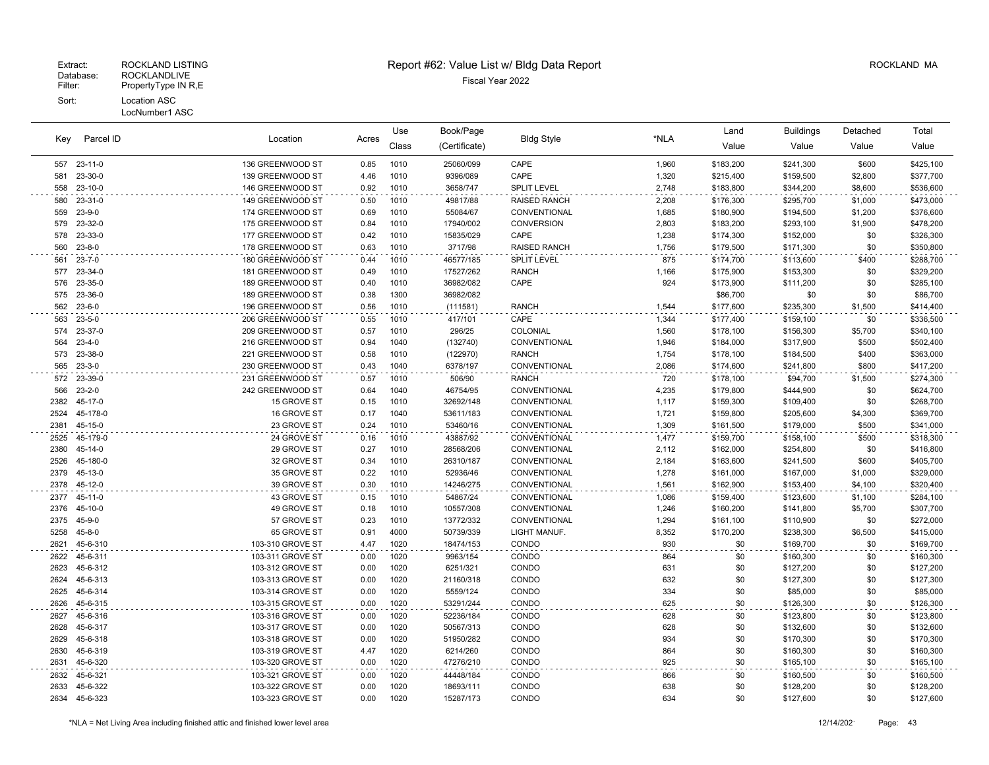Key Parcel ID

# Extract: ROCKLAND LISTING **Report #62: Value List w/ Bldg Data Report** Alleman and RockLAND MA

Bldg Style

Book/Page Bldg Style **Contained Accord Buildings** Detached

Location Acres

Use

| <b>Key</b>   | Parcel ID            | Location                             | Acres        | Class        | (Certificate)         | <b>Bigg Style</b>   | <b>INLA</b>    | Value                  | Value                  | Value          | Value                  |
|--------------|----------------------|--------------------------------------|--------------|--------------|-----------------------|---------------------|----------------|------------------------|------------------------|----------------|------------------------|
|              | 557 23-11-0          | 136 GREENWOOD ST                     | 0.85         | 1010         | 25060/099             | CAPE                | 1,960          | \$183,200              | \$241,300              | \$600          | \$425,100              |
| 581          | 23-30-0              | 139 GREENWOOD ST                     | 4.46         | 1010         | 9396/089              | CAPE                | 1,320          | \$215,400              | \$159,500              | \$2,800        | \$377,700              |
|              | 558 23-10-0          | 146 GREENWOOD ST                     | 0.92         | 1010         | 3658/747              | <b>SPLIT LEVEL</b>  | 2,748          | \$183,800              | \$344,200              | \$8,600        | \$536,600              |
| 580          | 23-31-0              | 149 GREENWOOD ST                     | 0.50         | 1010         | 49817/88              | RAISED RANCH        | 2,208          | \$176,300              | \$295,700              | \$1,000        | \$473,000              |
| 559          | 23-9-0               | 174 GREENWOOD ST                     | 0.69         | 1010         | 55084/67              | CONVENTIONAL        | 1,685          | \$180,900              | \$194,500              | \$1,200        | \$376,600              |
| 579          | 23-32-0              | 175 GREENWOOD ST                     | 0.84         | 1010         | 17940/002             | <b>CONVERSION</b>   | 2,803          | \$183,200              | \$293,100              | \$1,900        | \$478,200              |
| 578          | 23-33-0              | 177 GREENWOOD ST                     | 0.42         | 1010         | 15835/029             | CAPE                | 1,238          | \$174,300              | \$152,000              | \$0            | \$326,300              |
| 560          | $23 - 8 - 0$         | 178 GREENWOOD ST                     | 0.63         | 1010         | 3717/98               | <b>RAISED RANCH</b> | 1,756          | \$179,500              | \$171,300              | \$0            | \$350,800              |
| 561          | 23-7-0               | 180 GREENWOOD ST                     | 0.44         | 1010         | 46577/185             | <b>SPLIT LEVEL</b>  | 875            | \$174,700              | \$113,600              | \$400          | \$288,700              |
|              | 577 23-34-0          | 181 GREENWOOD ST                     | 0.49         | 1010         | 17527/262             | <b>RANCH</b>        | 1,166          | \$175,900              | \$153,300              | \$0            | \$329,200              |
|              | 576 23-35-0          | 189 GREENWOOD ST                     | 0.40         | 1010         | 36982/082             | CAPE                | 924            | \$173,900              | \$111,200              | \$0            | \$285,100              |
|              | 575 23-36-0          | 189 GREENWOOD ST                     | 0.38         | 1300         | 36982/082             |                     |                | \$86,700               | \$0                    | \$0            | \$86,700               |
|              | 562 23-6-0           | 196 GREENWOOD ST                     | 0.56         | 1010         | (111581)              | <b>RANCH</b>        | 1,544          | \$177,600              | \$235,300              | \$1,500        | \$414,400              |
| 563<br>574   | 23-5-0<br>23-37-0    | 206 GREENWOOD ST<br>209 GREENWOOD ST | 0.55<br>0.57 | 1010<br>1010 | 417/101<br>296/25     | CAPE<br>COLONIAL    | 1,344<br>1,560 | \$177,400<br>\$178,100 | \$159,100              | \$0<br>\$5,700 | \$336,500<br>\$340,100 |
| 564          | $23 - 4 - 0$         | 216 GREENWOOD ST                     | 0.94         | 1040         | (132740)              | CONVENTIONAL        | 1,946          | \$184,000              | \$156,300<br>\$317,900 | \$500          | \$502,400              |
|              | 573 23-38-0          | 221 GREENWOOD ST                     | 0.58         | 1010         | (122970)              | <b>RANCH</b>        | 1,754          | \$178,100              | \$184,500              | \$400          | \$363,000              |
| 565          | $23 - 3 - 0$         | 230 GREENWOOD ST                     | 0.43         | 1040         | 6378/197              | CONVENTIONAL        | 2,086          | \$174,600              | \$241,800              | \$800          | \$417,200              |
|              | 572 23-39-0          | 231 GREENWOOD ST                     | 0.57         | 1010         | 506/90                | <b>RANCH</b>        | 720            | \$178,100              | \$94,700               | \$1,500        | \$274,300              |
| 566          | $23 - 2 - 0$         | 242 GREENWOOD ST                     | 0.64         | 1040         | 46754/95              | CONVENTIONAL        | 4,235          | \$179,800              | \$444,900              | \$0            | \$624,700              |
| 2382         | 45-17-0              | 15 GROVE ST                          | 0.15         | 1010         | 32692/148             | CONVENTIONAL        | 1,117          | \$159,300              | \$109,400              | \$0            | \$268,700              |
| 2524         | 45-178-0             | 16 GROVE ST                          | 0.17         | 1040         | 53611/183             | CONVENTIONAL        | 1,721          | \$159,800              | \$205,600              | \$4,300        | \$369,700              |
| 2381         | 45-15-0              | 23 GROVE ST                          | 0.24         | 1010         | 53460/16              | CONVENTIONAL        | 1,309          | \$161,500              | \$179,000              | \$500          | \$341,000              |
| 2525         | 45-179-0             | 24 GROVE ST                          | 0.16         | 1010         | 43887/92              | CONVENTIONAL        | 1,477          | \$159,700              | \$158,100              | \$500          | \$318,300              |
| 2380         | 45-14-0              | 29 GROVE ST                          | 0.27         | 1010         | 28568/206             | CONVENTIONAL        | 2,112          | \$162,000              | \$254,800              | \$0            | \$416,800              |
| 2526         | 45-180-0             | 32 GROVE ST                          | 0.34         | 1010         | 26310/187             | CONVENTIONAL        | 2,184          | \$163,600              | \$241,500              | \$600          | \$405,700              |
| 2379         | 45-13-0              | 35 GROVE ST                          | 0.22         | 1010         | 52936/46              | CONVENTIONAL        | 1,278          | \$161,000              | \$167,000              | \$1,000        | \$329,000              |
| 2378         | 45-12-0              | 39 GROVE ST                          | 0.30         | 1010         | 14246/275             | CONVENTIONAL        | 1,561          | \$162,900              | \$153,400              | \$4,100        | \$320,400              |
|              | 2377 45-11-0         | 43 GROVE ST                          | 0.15         | 1010         | 54867/24              | CONVENTIONAL        | 1,086          | \$159,400              | \$123,600              | \$1,100        | \$284,100              |
| 2376         | 45-10-0              | 49 GROVE ST                          | 0.18         | 1010         | 10557/308             | CONVENTIONAL        | 1,246          | \$160,200              | \$141,800              | \$5,700        | \$307,700              |
|              | 2375 45-9-0          | 57 GROVE ST                          | 0.23         | 1010         | 13772/332             | CONVENTIONAL        | 1,294          | \$161,100              | \$110,900              | \$0            | \$272,000              |
| 5258         | $45 - 8 - 0$         | 65 GROVE ST                          | 0.91         | 4000         | 50739/339             | LIGHT MANUF.        | 8,352          | \$170,200              | \$238,300              | \$6,500        | \$415,000              |
| 2621         | 45-6-310             | 103-310 GROVE ST                     | 4.47         | 1020         | 18474/153             | CONDO               | 930            | \$0                    | \$169,700              | \$0            | \$169,700              |
| 2622         | 45-6-311<br>45-6-312 | 103-311 GROVE ST                     | 0.00         | 1020         | 9963/154              | CONDO               | 864            | \$0                    | \$160,300              | \$0            | \$160,300              |
| 2623<br>2624 | 45-6-313             | 103-312 GROVE ST<br>103-313 GROVE ST | 0.00<br>0.00 | 1020<br>1020 | 6251/321<br>21160/318 | CONDO<br>CONDO      | 631<br>632     | \$0<br>\$0             | \$127,200<br>\$127,300 | \$0<br>\$0     | \$127,200<br>\$127,300 |
| 2625         | 45-6-314             | 103-314 GROVE ST                     | 0.00         | 1020         | 5559/124              | CONDO               | 334            | \$0                    | \$85,000               | \$0            | \$85,000               |
| 2626         | 45-6-315             | 103-315 GROVE ST                     | 0.00         | 1020         | 53291/244             | CONDO               | 625            | \$0                    | \$126,300              | \$0            | \$126,300              |
| 2627         | 45-6-316             | 103-316 GROVE ST                     | 0.00         | 1020         | 52236/184             | CONDO               | 628            | \$0                    | \$123,800              | \$0            | \$123,800              |
| 2628         | 45-6-317             | 103-317 GROVE ST                     | 0.00         | 1020         | 50567/313             | CONDO               | 628            | \$0                    | \$132,600              | \$0            | \$132,600              |
| 2629         | 45-6-318             | 103-318 GROVE ST                     | 0.00         | 1020         | 51950/282             | CONDO               | 934            | \$0                    | \$170,300              | \$0            | \$170,300              |
| 2630         | 45-6-319             | 103-319 GROVE ST                     | 4.47         | 1020         | 6214/260              | CONDO               | 864            | \$0                    | \$160,300              | \$0            | \$160,300              |
| 2631         | 45-6-320             | 103-320 GROVE ST                     | 0.00         | 1020         | 47276/210             | CONDO               | 925            | \$0                    | \$165,100              | \$0            | \$165,100              |
| 2632         | 45-6-321             | 103-321 GROVE ST                     | 0.00         | 1020         | 44448/184             | CONDO               | 866            | \$0                    | \$160,500              | \$0            | \$160,500              |
| 2633         | 45-6-322             | 103-322 GROVE ST                     | 0.00         | 1020         | 18693/111             | CONDO               | 638            | \$0                    | \$128,200              | \$0            | \$128,200              |
|              | 2634 45-6-323        | 103-323 GROVE ST                     | 0.00         | 1020         | 15287/173             | CONDO               | 634            | \$0                    | \$127,600              | \$0            | \$127,600              |
|              |                      |                                      |              |              |                       |                     |                |                        |                        |                |                        |

Total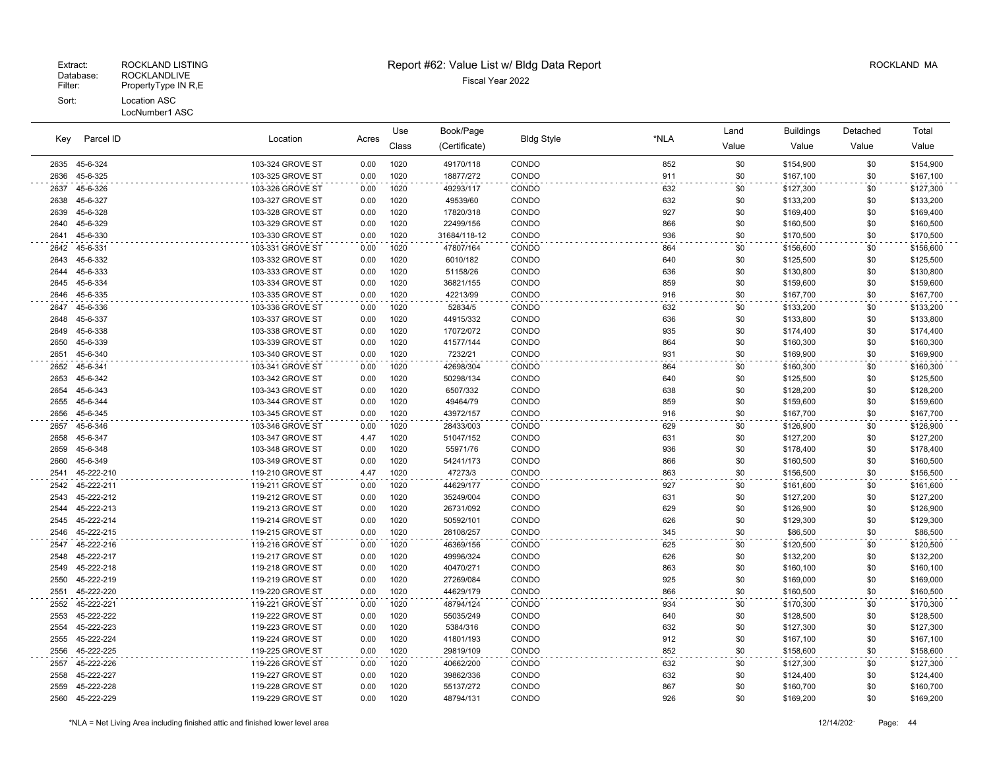|      |            |                  |       | Use   | Book/Page     |                   | *NLA | Land  | <b>Buildings</b> | Detached | Total     |
|------|------------|------------------|-------|-------|---------------|-------------------|------|-------|------------------|----------|-----------|
| Key  | Parcel ID  | Location         | Acres | Class | (Certificate) | <b>Bldg Style</b> |      | Value | Value            | Value    | Value     |
| 2635 | 45-6-324   | 103-324 GROVE ST | 0.00  | 1020  | 49170/118     | CONDO             | 852  | \$0   | \$154,900        | \$0      | \$154,900 |
| 2636 | 45-6-325   | 103-325 GROVE ST | 0.00  | 1020  | 18877/272     | CONDO             | 911  | \$0   | \$167,100        | \$0      | \$167,100 |
| 2637 | 45-6-326   | 103-326 GROVE ST | 0.00  | 1020  | 49293/117     | CONDO             | 632  | \$0   | \$127,300        | \$0      | \$127,300 |
| 2638 | 45-6-327   | 103-327 GROVE ST | 0.00  | 1020  | 49539/60      | CONDO             | 632  | \$0   | \$133,200        | \$0      | \$133,200 |
| 2639 | 45-6-328   | 103-328 GROVE ST | 0.00  | 1020  | 17820/318     | CONDO             | 927  | \$0   | \$169,400        | \$0      | \$169,400 |
| 2640 | 45-6-329   | 103-329 GROVE ST | 0.00  | 1020  | 22499/156     | CONDO             | 866  | \$0   | \$160,500        | \$0      | \$160,500 |
| 2641 | 45-6-330   | 103-330 GROVE ST | 0.00  | 1020  | 31684/118-12  | CONDO             | 936  | \$0   | \$170,500        | \$0      | \$170,500 |
| 2642 | 45-6-331   | 103-331 GROVE ST | 0.00  | 1020  | 47807/164     | CONDO             | 864  | \$0   | \$156,600        | \$0      | \$156,600 |
| 2643 | 45-6-332   | 103-332 GROVE ST | 0.00  | 1020  | 6010/182      | CONDO             | 640  | \$0   | \$125,500        | \$0      | \$125,500 |
| 2644 | 45-6-333   | 103-333 GROVE ST | 0.00  | 1020  | 51158/26      | CONDO             | 636  | \$0   | \$130,800        | \$0      | \$130,800 |
| 2645 | 45-6-334   | 103-334 GROVE ST | 0.00  | 1020  | 36821/155     | CONDO             | 859  | \$0   | \$159,600        | \$0      | \$159,600 |
| 2646 | 45-6-335   | 103-335 GROVE ST | 0.00  | 1020  | 42213/99      | CONDO             | 916  | \$0   | \$167,700        | \$0      | \$167,700 |
| 2647 | 45-6-336   | 103-336 GROVE ST | 0.00  | 1020  | 52834/5       | CONDO             | 632  | \$0   | \$133,200        | \$0      | \$133,200 |
| 2648 | 45-6-337   | 103-337 GROVE ST | 0.00  | 1020  | 44915/332     | CONDO             | 636  | \$0   | \$133,800        | \$0      | \$133,800 |
| 2649 | 45-6-338   | 103-338 GROVE ST | 0.00  | 1020  | 17072/072     | CONDO             | 935  | \$0   | \$174,400        | \$0      | \$174,400 |
| 2650 | 45-6-339   | 103-339 GROVE ST | 0.00  | 1020  | 41577/144     | CONDO             | 864  | \$0   | \$160,300        | \$0      | \$160,300 |
| 2651 | 45-6-340   | 103-340 GROVE ST | 0.00  | 1020  | 7232/21       | CONDO             | 931  | \$0   | \$169,900        | \$0      | \$169,900 |
| 2652 | 45-6-341   | 103-341 GROVE ST | 0.00  | 1020  | 42698/304     | CONDO             | 864  | \$0   | \$160,300        | \$0      | \$160,300 |
| 2653 | 45-6-342   | 103-342 GROVE ST | 0.00  | 1020  | 50298/134     | CONDO             | 640  | \$0   | \$125,500        | \$0      | \$125,500 |
| 2654 | 45-6-343   | 103-343 GROVE ST | 0.00  | 1020  | 6507/332      | CONDO             | 638  | \$0   | \$128,200        | \$0      | \$128,200 |
| 2655 | 45-6-344   | 103-344 GROVE ST | 0.00  | 1020  | 49464/79      | CONDO             | 859  | \$0   | \$159,600        | \$0      | \$159,600 |
| 2656 | 45-6-345   | 103-345 GROVE ST | 0.00  | 1020  | 43972/157     | CONDO             | 916  | \$0   | \$167,700        | \$0      | \$167,700 |
| 2657 | 45-6-346   | 103-346 GROVE ST | 0.00  | 1020  | 28433/003     | CONDO             | 629  | \$0   | \$126,900        | \$0      | \$126,900 |
| 2658 | 45-6-347   | 103-347 GROVE ST | 4.47  | 1020  | 51047/152     | CONDO             | 631  | \$0   | \$127,200        | \$0      | \$127,200 |
| 2659 | 45-6-348   | 103-348 GROVE ST | 0.00  | 1020  | 55971/76      | CONDO             | 936  | \$0   | \$178,400        | \$0      | \$178,400 |
| 2660 | 45-6-349   | 103-349 GROVE ST | 0.00  | 1020  | 54241/173     | CONDO             | 866  | \$0   | \$160,500        | \$0      | \$160,500 |
| 2541 | 45-222-210 | 119-210 GROVE ST | 4.47  | 1020  | 47273/3       | CONDO             | 863  | \$0   | \$156,500        | \$0      | \$156,500 |
| 2542 | 45-222-211 | 119-211 GROVE ST | 0.00  | 1020  | 44629/177     | CONDO             | 927  | \$0   | \$161,600        | \$0      | \$161,600 |
| 2543 | 45-222-212 | 119-212 GROVE ST | 0.00  | 1020  | 35249/004     | CONDO             | 631  | \$0   | \$127,200        | \$0      | \$127,200 |
| 2544 | 45-222-213 | 119-213 GROVE ST | 0.00  | 1020  | 26731/092     | CONDO             | 629  | \$0   | \$126,900        | \$0      | \$126,900 |
| 2545 | 45-222-214 | 119-214 GROVE ST | 0.00  | 1020  | 50592/101     | CONDO             | 626  | \$0   | \$129,300        | \$0      | \$129,300 |
| 2546 | 45-222-215 | 119-215 GROVE ST | 0.00  | 1020  | 28108/257     | CONDO             | 345  | \$0   | \$86,500         | \$0      | \$86,500  |
| 2547 | 45-222-216 | 119-216 GROVE ST | 0.00  | 1020  | 46369/156     | CONDO             | 625  | \$0   | \$120,500        | \$0      | \$120,500 |
| 2548 | 45-222-217 | 119-217 GROVE ST | 0.00  | 1020  | 49996/324     | CONDO             | 626  | \$0   | \$132,200        | \$0      | \$132,200 |
| 2549 | 45-222-218 | 119-218 GROVE ST | 0.00  | 1020  | 40470/271     | CONDO             | 863  | \$0   | \$160,100        | \$0      | \$160,100 |
| 2550 | 45-222-219 | 119-219 GROVE ST | 0.00  | 1020  | 27269/084     | CONDO             | 925  | \$0   | \$169,000        | \$0      | \$169,000 |
| 2551 | 45-222-220 | 119-220 GROVE ST | 0.00  | 1020  | 44629/179     | CONDO             | 866  | \$0   | \$160,500        | \$0      | \$160,500 |
| 2552 | 45-222-221 | 119-221 GROVE ST | 0.00  | 1020  | 48794/124     | CONDO             | 934  | \$0   | \$170,300        | \$0      | \$170,300 |
| 2553 | 45-222-222 | 119-222 GROVE ST | 0.00  | 1020  | 55035/249     | CONDO             | 640  | \$0   | \$128,500        | \$0      | \$128,500 |
| 2554 | 45-222-223 | 119-223 GROVE ST | 0.00  | 1020  | 5384/316      | CONDO             | 632  | \$0   | \$127,300        | \$0      | \$127,300 |
| 2555 | 45-222-224 | 119-224 GROVE ST | 0.00  | 1020  | 41801/193     | CONDO             | 912  | \$0   | \$167,100        | \$0      | \$167,100 |
| 2556 | 45-222-225 | 119-225 GROVE ST | 0.00  | 1020  | 29819/109     | CONDO             | 852  | \$0   | \$158,600        | \$0      | \$158,600 |
| 2557 | 45-222-226 | 119-226 GROVE ST | 0.00  | 1020  | 40662/200     | CONDO             | 632  | \$0   | \$127,300        | \$0      | \$127,300 |
| 2558 | 45-222-227 | 119-227 GROVE ST | 0.00  | 1020  | 39862/336     | CONDO             | 632  | \$0   | \$124,400        | \$0      | \$124,400 |
| 2559 | 45-222-228 | 119-228 GROVE ST | 0.00  | 1020  | 55137/272     | CONDO             | 867  | \$0   | \$160,700        | \$0      | \$160,700 |
| 2560 | 45-222-229 | 119-229 GROVE ST | 0.00  | 1020  | 48794/131     | CONDO             | 926  | \$0   | \$169,200        | \$0      | \$169,200 |
|      |            |                  |       |       |               |                   |      |       |                  |          |           |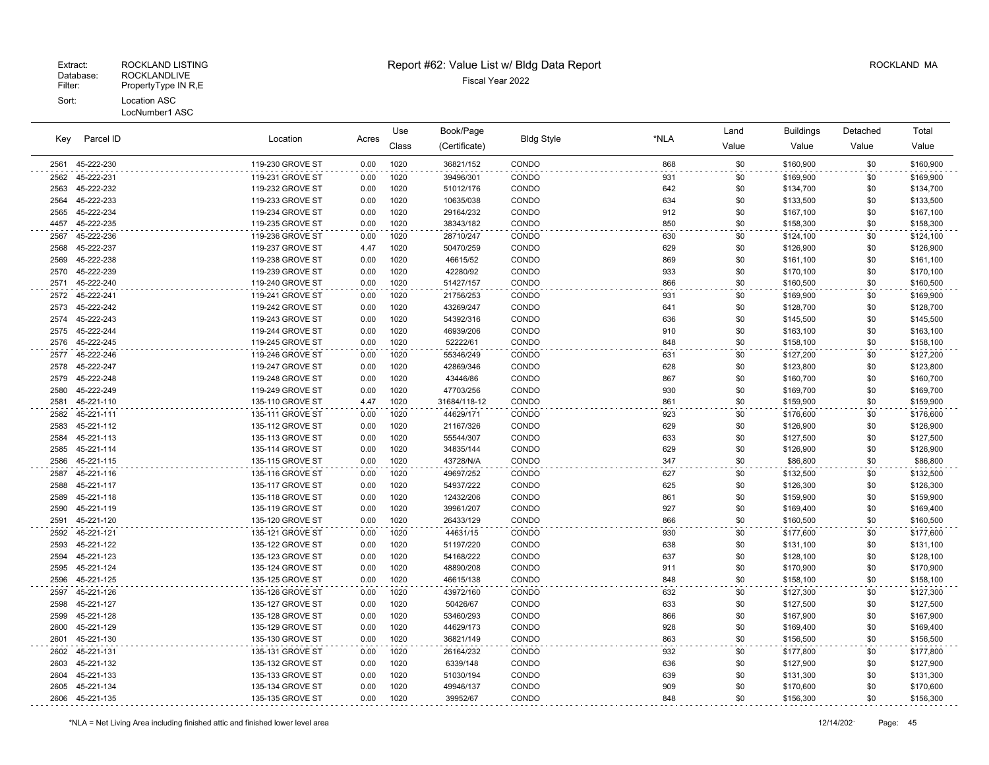# Extract: ROCKLAND LISTING **Report #62: Value List w/ Bldg Data Report** Alleman and RockLAND MA

Use

Book/Page Land Buildings Detached

| Key          | Parcel ID  | Location                             | Acres        |              |                       | <b>Bldg Style</b> | *NLA       |            |           |            |           |
|--------------|------------|--------------------------------------|--------------|--------------|-----------------------|-------------------|------------|------------|-----------|------------|-----------|
|              |            |                                      |              | Class        | (Certificate)         |                   |            | Value      | Value     | Value      | Value     |
| 2561         | 45-222-230 | 119-230 GROVE ST                     | 0.00         | 1020         | 36821/152             | CONDO             | 868        | \$0        | \$160,900 | \$0        | \$160,900 |
| 2562         | 45-222-231 | 119-231 GROVE ST                     | 0.00         | 1020         | 39496/301             | CONDO             | 931        | \$0        | \$169,900 | \$0        | \$169,900 |
| 2563         | 45-222-232 | 119-232 GROVE ST                     | 0.00         | 1020         | 51012/176             | CONDO             | 642        | \$0        | \$134,700 | \$0        | \$134,700 |
| 2564         | 45-222-233 | 119-233 GROVE ST                     | 0.00         | 1020         | 10635/038             | CONDO             | 634        | \$0        | \$133,500 | \$0        | \$133,500 |
| 2565         | 45-222-234 | 119-234 GROVE ST                     | 0.00         | 1020         | 29164/232             | CONDO             | 912        | \$0        | \$167,100 | \$0        | \$167,100 |
| 4457         | 45-222-235 | 119-235 GROVE ST                     | 0.00         | 1020         | 38343/182             | CONDO             | 850        | \$0        | \$158,300 | \$0        | \$158,300 |
| 2567         | 45-222-236 | 119-236 GROVE ST                     | 0.00         | 1020         | 28710/247             | CONDO             | 630        | \$0        | \$124,100 | \$0        | \$124,100 |
| 2568         | 45-222-237 | 119-237 GROVE ST                     | 4.47         | 1020         | 50470/259             | CONDO             | 629        | \$0        | \$126,900 | \$0        | \$126,900 |
| 2569         | 45-222-238 | 119-238 GROVE ST                     | 0.00         | 1020         | 46615/52              | CONDO             | 869        | \$0        | \$161,100 | \$0        | \$161,100 |
| 2570         | 45-222-239 | 119-239 GROVE ST                     | 0.00         | 1020         | 42280/92              | CONDO             | 933        | \$0        | \$170,100 | \$0        | \$170,100 |
| 2571         | 45-222-240 | 119-240 GROVE ST                     | 0.00         | 1020         | 51427/157             | CONDO             | 866        | \$0        | \$160,500 | \$0        | \$160,500 |
| 2572         | 45-222-241 | 119-241 GROVE ST                     | 0.00         | 1020         | 21756/253             | CONDO             | 931        | \$0        | \$169,900 | \$0        | \$169,900 |
| 2573         | 45-222-242 | 119-242 GROVE ST                     | 0.00         | 1020         | 43269/247             | CONDO             | 641        | \$0        | \$128,700 | \$0        | \$128,700 |
| 2574         | 45-222-243 | 119-243 GROVE ST                     | 0.00         | 1020         | 54392/316             | CONDO             | 636        | \$0        | \$145,500 | \$0        | \$145,500 |
| 2575         | 45-222-244 | 119-244 GROVE ST                     | 0.00         | 1020         | 46939/206             | CONDO             | 910        | \$0        | \$163,100 | \$0        | \$163,100 |
| 2576         | 45-222-245 | 119-245 GROVE ST                     | 0.00         | 1020         | 52222/61              | CONDO             | 848        | \$0        | \$158,100 | \$0        | \$158,100 |
| 2577         | 45-222-246 | 119-246 GROVE ST                     | 0.00         | 1020         | 55346/249             | CONDO             | 631        | \$0        | \$127,200 | \$0        | \$127,200 |
| 2578         | 45-222-247 | 119-247 GROVE ST                     | 0.00         | 1020         | 42869/346             | CONDO             | 628        | \$0        | \$123,800 | \$0        | \$123,800 |
| 2579         | 45-222-248 | 119-248 GROVE ST                     | 0.00         | 1020         | 43446/86              | CONDO             | 867        | \$0        | \$160,700 | \$0        | \$160,700 |
| 2580         | 45-222-249 | 119-249 GROVE ST                     | 0.00         | 1020         | 47703/256             | CONDO             | 930        | \$0        | \$169,700 | \$0        | \$169,700 |
| 2581         | 45-221-110 | 135-110 GROVE ST                     | 4.47         | 1020         | 31684/118-12          | CONDO             | 861        | \$0        | \$159,900 | \$0        | \$159,900 |
| 2582         | 45-221-111 | 135-111 GROVE ST                     | 0.00         | 1020         | 44629/171             | CONDO             | 923        | \$0        | \$176,600 | \$0        | \$176,600 |
| 2583         | 45-221-112 | 135-112 GROVE ST                     | 0.00         | 1020         | 21167/326             | CONDO             | 629        | \$0        | \$126,900 | \$0        | \$126,900 |
| 2584         | 45-221-113 | 135-113 GROVE ST                     | 0.00         | 1020         | 55544/307             | CONDO             | 633        | \$0        | \$127,500 | \$0        | \$127,500 |
| 2585         | 45-221-114 | 135-114 GROVE ST                     | 0.00         | 1020         | 34835/144             | CONDO             | 629        | \$0        | \$126,900 | \$0        | \$126,900 |
| 2586         | 45-221-115 | 135-115 GROVE ST                     | 0.00         | 1020         | 43728/N/A             | CONDO             | 347        | \$0        | \$86,800  | \$0        | \$86,800  |
| 2587         | 45-221-116 | 135-116 GROVE ST                     | 0.00         | 1020         | 49697/252             | CONDO             | 627        | \$0        | \$132,500 | \$0        | \$132,500 |
| 2588         | 45-221-117 | 135-117 GROVE ST                     | 0.00         | 1020         | 54937/222             | CONDO             | 625        | \$0        | \$126,300 | \$0        | \$126,300 |
| 2589         | 45-221-118 | 135-118 GROVE ST                     | 0.00         | 1020         | 12432/206             | CONDO             | 861        | \$0        | \$159,900 | \$0        | \$159,900 |
| 2590         | 45-221-119 | 135-119 GROVE ST                     | 0.00         | 1020         | 39961/207             | CONDO             | 927        | \$0        | \$169,400 | \$0        | \$169,400 |
| 2591         | 45-221-120 | 135-120 GROVE ST                     | 0.00         | 1020         | 26433/129             | CONDO             | 866        | \$0        | \$160,500 | \$0        | \$160,500 |
| 2592         | 45-221-121 | 135-121 GROVE ST                     | 0.00         | 1020         | 44631/15              | CONDO             | 930        | \$0        | \$177,600 | \$0        | \$177,600 |
| 2593         | 45-221-122 | 135-122 GROVE ST                     | 0.00         | 1020         | 51197/220             | CONDO             | 638        | \$0        | \$131,100 | \$0        | \$131,100 |
| 2594         | 45-221-123 | 135-123 GROVE ST                     | 0.00         | 1020         | 54168/222             | CONDO             | 637        | \$0        | \$128,100 | \$0        | \$128,100 |
| 2595         | 45-221-124 | 135-124 GROVE ST                     | 0.00         | 1020         | 48890/208             | CONDO             | 911        | \$0        | \$170,900 | \$0        | \$170,900 |
| 2596         | 45-221-125 | 135-125 GROVE ST                     | 0.00         | 1020         | 46615/138             | CONDO             | 848        | \$0        | \$158,100 | \$0        | \$158,100 |
| 2597         | 45-221-126 | 135-126 GROVE ST                     | 0.00         | 1020         | 43972/160             | CONDO             | 632        | \$0        | \$127,300 | \$0        | \$127,300 |
| 2598         | 45-221-127 | 135-127 GROVE ST                     | 0.00         | 1020         | 50426/67              | CONDO             | 633        | \$0        | \$127,500 | \$0        | \$127,500 |
| 2599         | 45-221-128 | 135-128 GROVE ST                     | 0.00         | 1020         | 53460/293             | CONDO             | 866        | \$0        | \$167,900 | \$0        | \$167,900 |
| 2600         | 45-221-129 | 135-129 GROVE ST                     | 0.00         | 1020         | 44629/173             | CONDO             | 928        | \$0        | \$169,400 | \$0        | \$169,400 |
| 2601         | 45-221-130 | 135-130 GROVE ST                     | 0.00         | 1020         | 36821/149             | CONDO             | 863        | \$0        | \$156,500 | \$0        | \$156,500 |
| 2602         | 45-221-131 | 135-131 GROVE ST                     | 0.00         | 1020         | 26164/232             | CONDO             | 932        | \$0        | \$177,800 | \$0        | \$177,800 |
| 2603         | 45-221-132 | 135-132 GROVE ST                     | 0.00         | 1020         | 6339/148              | CONDO             | 636        | \$0        | \$127,900 | \$0        | \$127,900 |
| 2604         | 45-221-133 | 135-133 GROVE ST                     | 0.00         | 1020         | 51030/194             | CONDO             | 639        | \$0        | \$131,300 | \$0        | \$131,300 |
| 2605<br>2606 | 45-221-134 | 135-134 GROVE ST<br>135-135 GROVE ST | 0.00<br>0.00 | 1020<br>1020 | 49946/137<br>39952/67 | CONDO<br>CONDO    | 909<br>848 | \$0<br>\$0 | \$170,600 | \$0<br>\$0 | \$170,600 |
|              | 45-221-135 |                                      |              |              |                       |                   |            |            | \$156,300 |            | \$156,300 |

Total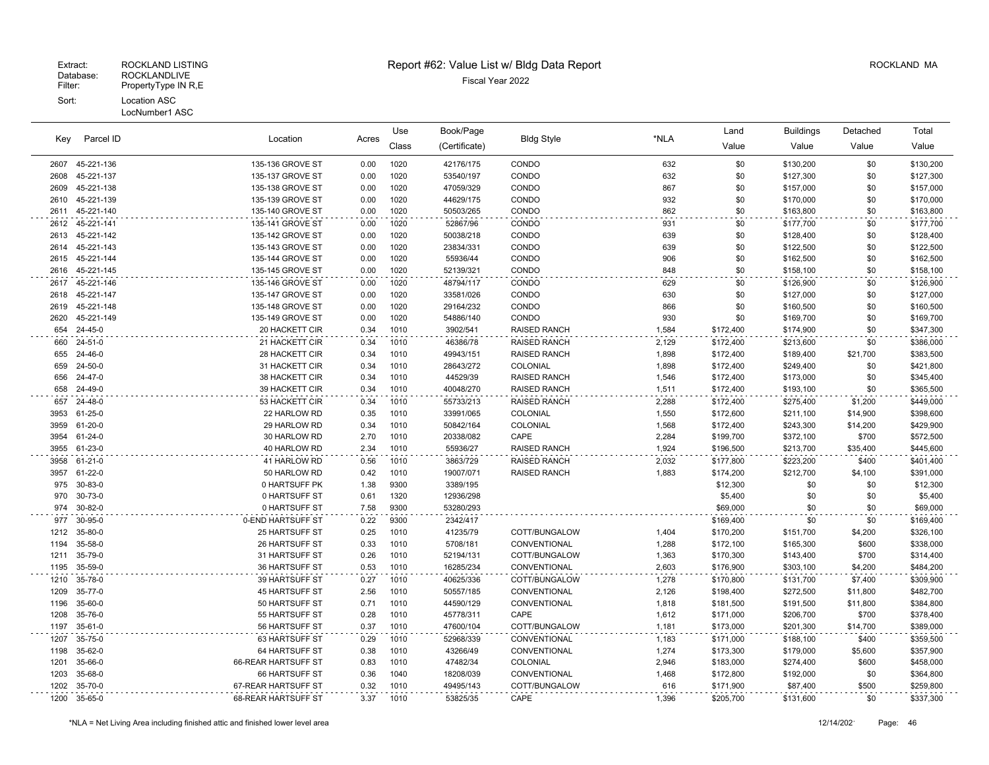| Key        | Parcel ID          | Location<br>Acres                |              | Use          | Book/Page              |                                 |                | Land                   | <b>Buildings</b>       | Detached            | Total                  |
|------------|--------------------|----------------------------------|--------------|--------------|------------------------|---------------------------------|----------------|------------------------|------------------------|---------------------|------------------------|
|            |                    |                                  |              | Class        | (Certificate)          | <b>Bldg Style</b>               | *NLA           | Value                  | Value                  | Value               | Value                  |
| 2607       | 45-221-136         | 135-136 GROVE ST                 | 0.00         | 1020         | 42176/175              | CONDO                           | 632            | \$0                    | \$130,200              | \$0                 | \$130,200              |
| 2608       | 45-221-137         | 135-137 GROVE ST                 | 0.00         | 1020         | 53540/197              | CONDO                           | 632            | \$0                    | \$127,300              | \$0                 | \$127,300              |
| 2609       | 45-221-138         | 135-138 GROVE ST                 | 0.00         | 1020         | 47059/329              | CONDO                           | 867            | \$0                    | \$157,000              | \$0                 | \$157,000              |
| 2610       | 45-221-139         | 135-139 GROVE ST                 | 0.00         | 1020         | 44629/175              | CONDO                           | 932            | \$0                    | \$170,000              | \$0                 | \$170,000              |
| 2611       | 45-221-140         | 135-140 GROVE ST                 | 0.00         | 1020         | 50503/265              | CONDO                           | 862            | \$0                    | \$163,800              | \$0                 | \$163,800              |
| 2612       | 45-221-141         | 135-141 GROVE ST                 | 0.00         | 1020         | 52867/96               | CONDO                           | 931            | \$0                    | \$177,700              | \$0                 | \$177,700              |
| 2613       | 45-221-142         | 135-142 GROVE ST                 | 0.00         | 1020         | 50038/218              | CONDO                           | 639            | \$0                    | \$128,400              | \$0                 | \$128,400              |
| 2614       | 45-221-143         | 135-143 GROVE ST                 | 0.00         | 1020         | 23834/331              | CONDO                           | 639            | \$0                    | \$122,500              | \$0                 | \$122,500              |
| 2615       | 45-221-144         | 135-144 GROVE ST                 | 0.00         | 1020         | 55936/44               | CONDO                           | 906            | \$0                    | \$162,500              | \$0                 | \$162,500              |
| 2616       | 45-221-145         | 135-145 GROVE ST                 | 0.00         | 1020         | 52139/321              | CONDO                           | 848            | \$0                    | \$158,100              | \$0                 | \$158,100              |
| 2617       | 45-221-146         | 135-146 GROVE ST                 | 0.00         | 1020         | 48794/117              | CONDO                           | 629            | \$0                    | \$126,900              | \$0                 | \$126,900              |
| 2618       | 45-221-147         | 135-147 GROVE ST                 | 0.00         | 1020         | 33581/026              | CONDO                           | 630            | \$0                    | \$127,000              | \$0                 | \$127,000              |
| 2619       | 45-221-148         | 135-148 GROVE ST                 | 0.00         | 1020         | 29164/232              | CONDO                           | 866            | \$0                    | \$160,500              | \$0                 | \$160,500              |
| 2620       | 45-221-149         | 135-149 GROVE ST                 | 0.00         | 1020         | 54886/140              | CONDO                           | 930            | \$0                    | \$169,700              | \$0                 | \$169,700              |
| 654        | 24-45-0            | 20 HACKETT CIR                   | 0.34         | 1010         | 3902/541               | <b>RAISED RANCH</b>             | 1,584          | \$172,400              | \$174,900              | \$0                 | \$347,300              |
| 660        | 24-51-0            | 21 HACKETT CIR                   | 0.34         | 1010         | 46386/78               | <b>RAISED RANCH</b>             | 2,129          | \$172,400              | \$213,600              | \$0                 | \$386,000              |
| 655        | 24-46-0<br>24-50-0 | 28 HACKETT CIR                   | 0.34         | 1010         | 49943/151              | <b>RAISED RANCH</b>             | 1,898          | \$172,400              | \$189,400              | \$21,700            | \$383,500              |
| 659<br>656 | 24-47-0            | 31 HACKETT CIR<br>38 HACKETT CIR | 0.34<br>0.34 | 1010<br>1010 | 28643/272<br>44529/39  | COLONIAL<br><b>RAISED RANCH</b> | 1,898<br>1,546 | \$172,400<br>\$172,400 | \$249,400<br>\$173,000 | \$0<br>\$0          | \$421,800<br>\$345,400 |
| 658        | 24-49-0            | 39 HACKETT CIR                   | 0.34         | 1010         | 40048/270              | <b>RAISED RANCH</b>             | 1,511          | \$172,400              | \$193,100              | \$0                 | \$365,500              |
| 657        | 24-48-0            | 53 HACKETT CIR                   | 0.34         | 1010         |                        | <b>RAISED RANCH</b>             |                |                        |                        |                     |                        |
| 3953       | 61-25-0            | 22 HARLOW RD                     | 0.35         | 1010         | 55733/213<br>33991/065 | COLONIAL                        | 2,288<br>1,550 | \$172,400<br>\$172,600 | \$275,400<br>\$211,100 | \$1,200<br>\$14,900 | \$449,000<br>\$398,600 |
| 3959       | 61-20-0            | 29 HARLOW RD                     | 0.34         | 1010         | 50842/164              | COLONIAL                        | 1,568          | \$172,400              | \$243,300              | \$14,200            | \$429,900              |
| 3954       | 61-24-0            | 30 HARLOW RD                     | 2.70         | 1010         | 20338/082              | CAPE                            | 2,284          | \$199,700              | \$372,100              | \$700               | \$572,500              |
| 3955       | 61-23-0            | 40 HARLOW RD                     | 2.34         | 1010         | 55936/27               | <b>RAISED RANCH</b>             | 1,924          | \$196,500              | \$213,700              | \$35,400            | \$445,600              |
| 3958       | 61-21-0            | 41 HARLOW RD                     | 0.56         | 1010         | 3863/729               | <b>RAISED RANCH</b>             | 2,032          | \$177,800              | \$223,200              | \$400               | \$401,400              |
| 3957       | 61-22-0            | 50 HARLOW RD                     | 0.42         | 1010         | 19007/071              | RAISED RANCH                    | 1,883          | \$174,200              | \$212,700              | \$4,100             | \$391,000              |
| 975        | 30-83-0            | 0 HARTSUFF PK                    | 1.38         | 9300         | 3389/195               |                                 |                | \$12,300               | \$0                    | \$0                 | \$12,300               |
| 970        | 30-73-0            | 0 HARTSUFF ST                    | 0.61         | 1320         | 12936/298              |                                 |                | \$5,400                | \$0                    | \$0                 | \$5,400                |
| 974        | 30-82-0            | 0 HARTSUFF ST                    | 7.58         | 9300         | 53280/293              |                                 |                | \$69,000               | \$0                    | \$0                 | \$69,000               |
| 977        | 30-95-0            | 0-END HARTSUFF ST                | 0.22         | 9300         | 2342/417               |                                 |                | \$169,400              | \$0                    | \$0                 | \$169,400              |
| 1212       | 35-80-0            | 25 HARTSUFF ST                   | 0.25         | 1010         | 41235/79               | COTT/BUNGALOW                   | 1,404          | \$170,200              | \$151,700              | \$4,200             | \$326,100              |
| 1194       | 35-58-0            | 26 HARTSUFF ST                   | 0.33         | 1010         | 5708/181               | CONVENTIONAL                    | 1,288          | \$172,100              | \$165,300              | \$600               | \$338,000              |
| 1211       | 35-79-0            | 31 HARTSUFF ST                   | 0.26         | 1010         | 52194/131              | COTT/BUNGALOW                   | 1,363          | \$170,300              | \$143,400              | \$700               | \$314,400              |
| 1195       | 35-59-0            | 36 HARTSUFF ST                   | 0.53         | 1010         | 16285/234              | CONVENTIONAL                    | 2,603          | \$176,900              | \$303,100              | \$4,200             | \$484,200              |
| 1210       | 35-78-0            | 39 HARTSUFF ST                   | 0.27         | 1010         | 40625/336              | COTT/BUNGALOW                   | 1,278          | \$170,800              | \$131,700              | \$7,400             | \$309,900              |
| 1209       | 35-77-0            | 45 HARTSUFF ST                   | 2.56         | 1010         | 50557/185              | CONVENTIONAL                    | 2,126          | \$198,400              | \$272,500              | \$11,800            | \$482,700              |
| 1196       | 35-60-0            | 50 HARTSUFF ST                   | 0.71         | 1010         | 44590/129              | CONVENTIONAL                    | 1,818          | \$181,500              | \$191,500              | \$11,800            | \$384,800              |
| 1208       | 35-76-0            | 55 HARTSUFF ST                   | 0.28         | 1010         | 45778/311              | CAPE                            | 1,612          | \$171,000              | \$206,700              | \$700               | \$378,400              |
| 1197       | 35-61-0            | 56 HARTSUFF ST                   | 0.37         | 1010         | 47600/104              | COTT/BUNGALOW                   | 1,181          | \$173,000              | \$201,300              | \$14,700            | \$389,000              |
| 1207       | 35-75-0            | 63 HARTSUFF ST                   | 0.29         | 1010         | 52968/339              | CONVENTIONAL                    | 1,183          | \$171,000              | \$188,100              | \$400               | \$359,500              |
| 1198       | 35-62-0            | 64 HARTSUFF ST                   | 0.38         | 1010         | 43266/49               | CONVENTIONAL                    | 1,274          | \$173,300              | \$179,000              | \$5,600             | \$357,900              |
| 1201       | 35-66-0            | 66-REAR HARTSUFF ST              | 0.83         | 1010         | 47482/34               | COLONIAL                        | 2,946          | \$183,000              | \$274,400              | \$600               | \$458,000              |
| 1203       | 35-68-0            | 66 HARTSUFF ST                   | 0.36         | 1040         | 18208/039              | CONVENTIONAL                    | 1,468          | \$172,800              | \$192,000              | \$0                 | \$364,800              |
| 1202       | 35-70-0            | 67-REAR HARTSUFF ST              | 0.32         | 1010         | 49495/143              | COTT/BUNGALOW                   | 616            | \$171,900              | \$87,400               | \$500               | \$259,800              |
| 1200       | 35-65-0            | 68-REAR HARTSUFF ST              | 3.37         | 1010         | 53825/35               | CAPE                            | 1,396          | \$205,700              | \$131,600              | \$0                 | \$337,300              |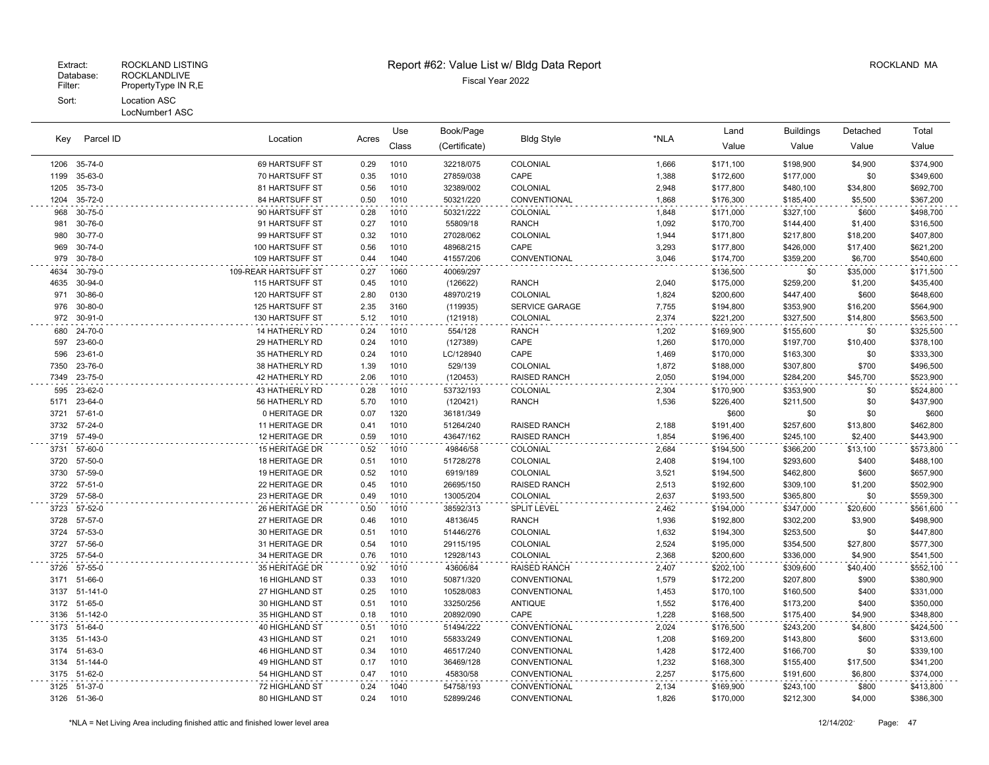# Extract: ROCKLAND LISTING **Report #62: Value List w/ Bldg Data Report** Allem Report ROCKLAND MA

| Parcel ID<br>Key |               | Location             |       | Use   | Book/Page<br><b>Bldg Style</b> |                       | Land  | <b>Buildings</b> | Detached  | Total    |           |
|------------------|---------------|----------------------|-------|-------|--------------------------------|-----------------------|-------|------------------|-----------|----------|-----------|
|                  |               |                      | Acres | Class | (Certificate)                  |                       | *NLA  | Value            | Value     | Value    | Value     |
| 1206             | 35-74-0       | 69 HARTSUFF ST       | 0.29  | 1010  | 32218/075                      | COLONIAL              | 1,666 | \$171,100        | \$198,900 | \$4,900  | \$374,900 |
| 1199             | 35-63-0       | 70 HARTSUFF ST       | 0.35  | 1010  | 27859/038                      | CAPE                  | 1,388 | \$172,600        | \$177,000 | \$0      | \$349,600 |
| 1205             | 35-73-0       | 81 HARTSUFF ST       | 0.56  | 1010  | 32389/002                      | COLONIAL              | 2,948 | \$177,800        | \$480,100 | \$34,800 | \$692,700 |
| 1204             | 35-72-0       | 84 HARTSUFF ST       | 0.50  | 1010  | 50321/220                      | CONVENTIONAL          | 1,868 | \$176,300        | \$185,400 | \$5,500  | \$367,200 |
| 968              | 30-75-0       | 90 HARTSUFF ST       | 0.28  | 1010  | 50321/222                      | COLONIAL              | 1,848 | \$171,000        | \$327,100 | \$600    | \$498,700 |
| 981              | 30-76-0       | 91 HARTSUFF ST       | 0.27  | 1010  | 55809/18                       | <b>RANCH</b>          | 1,092 | \$170,700        | \$144,400 | \$1,400  | \$316,500 |
| 980              | 30-77-0       | 99 HARTSUFF ST       | 0.32  | 1010  | 27028/062                      | COLONIAL              | 1,944 | \$171,800        | \$217,800 | \$18,200 | \$407,800 |
| 969              | $30 - 74 - 0$ | 100 HARTSUFF ST      | 0.56  | 1010  | 48968/215                      | CAPE                  | 3,293 | \$177,800        | \$426,000 | \$17,400 | \$621,200 |
| 979              | 30-78-0       | 109 HARTSUFF ST      | 0.44  | 1040  | 41557/206                      | CONVENTIONAL          | 3,046 | \$174,700        | \$359,200 | \$6,700  | \$540,600 |
| 4634             | 30-79-0       | 109-REAR HARTSUFF ST | 0.27  | 1060  | 40069/297                      |                       |       | \$136,500        | \$0       | \$35,000 | \$171,500 |
| 4635             | 30-94-0       | 115 HARTSUFF ST      | 0.45  | 1010  | (126622)                       | <b>RANCH</b>          | 2,040 | \$175,000        | \$259,200 | \$1,200  | \$435,400 |
| 971              | 30-86-0       | 120 HARTSUFF ST      | 2.80  | 0130  | 48970/219                      | COLONIAL              | 1,824 | \$200,600        | \$447,400 | \$600    | \$648,600 |
| 976              | 30-80-0       | 125 HARTSUFF ST      | 2.35  | 3160  | (119935)                       | <b>SERVICE GARAGE</b> | 7,755 | \$194,800        | \$353,900 | \$16,200 | \$564,900 |
| 972              | 30-91-0       | 130 HARTSUFF ST      | 5.12  | 1010  | (121918)                       | COLONIAL              | 2,374 | \$221,200        | \$327,500 | \$14,800 | \$563,500 |
| 680              | 24-70-0       | 14 HATHERLY RD       | 0.24  | 1010  | 554/128                        | <b>RANCH</b>          | 1,202 | \$169,900        | \$155,600 | \$0      | \$325,500 |
| 597              | 23-60-0       | 29 HATHERLY RD       | 0.24  | 1010  | (127389)                       | CAPE                  | 1,260 | \$170,000        | \$197,700 | \$10,400 | \$378,100 |
| 596              | 23-61-0       | 35 HATHERLY RD       | 0.24  | 1010  | LC/128940                      | CAPE                  | 1,469 | \$170,000        | \$163,300 | \$0      | \$333,300 |
| 7350             | 23-76-0       | 38 HATHERLY RD       | 1.39  | 1010  | 529/139                        | COLONIAL              | 1,872 | \$188,000        | \$307,800 | \$700    | \$496,500 |
| 7349             | 23-75-0       | 42 HATHERLY RD       | 2.06  | 1010  | (120453)                       | <b>RAISED RANCH</b>   | 2,050 | \$194,000        | \$284,200 | \$45,700 | \$523,900 |
| 595              | 23-62-0       | 43 HATHERLY RD       | 0.28  | 1010  | 53732/193                      | COLONIAL              | 2,304 | \$170,900        | \$353,900 | \$0      | \$524,800 |
| 5171             | 23-64-0       | 56 HATHERLY RD       | 5.70  | 1010  | (120421)                       | <b>RANCH</b>          | 1,536 | \$226,400        | \$211,500 | \$0      | \$437,900 |
| 3721             | 57-61-0       | 0 HERITAGE DR        | 0.07  | 1320  | 36181/349                      |                       |       | \$600            | \$0       | \$0      | \$600     |
| 3732             | 57-24-0       | 11 HERITAGE DR       | 0.41  | 1010  | 51264/240                      | <b>RAISED RANCH</b>   | 2,188 | \$191,400        | \$257,600 | \$13,800 | \$462,800 |
| 3719             | 57-49-0       | 12 HERITAGE DR       | 0.59  | 1010  | 43647/162                      | <b>RAISED RANCH</b>   | 1,854 | \$196,400        | \$245,100 | \$2,400  | \$443,900 |
| 3731             | 57-60-0       | 15 HERITAGE DR       | 0.52  | 1010  | 49846/58                       | COLONIAL              | 2,684 | \$194,500        | \$366,200 | \$13,100 | \$573,800 |
| 3720             | 57-50-0       | 18 HERITAGE DR       | 0.51  | 1010  | 51728/278                      | COLONIAL              | 2,408 | \$194,100        | \$293,600 | \$400    | \$488,100 |
| 3730             | 57-59-0       | 19 HERITAGE DR       | 0.52  | 1010  | 6919/189                       | COLONIAL              | 3,521 | \$194,500        | \$462,800 | \$600    | \$657,900 |
| 3722             | 57-51-0       | 22 HERITAGE DR       | 0.45  | 1010  | 26695/150                      | RAISED RANCH          | 2,513 | \$192,600        | \$309,100 | \$1,200  | \$502,900 |
| 3729             | 57-58-0       | 23 HERITAGE DR       | 0.49  | 1010  | 13005/204                      | COLONIAL              | 2,637 | \$193,500        | \$365,800 | \$0      | \$559,300 |
| 3723             | 57-52-0       | 26 HERITAGE DR       | 0.50  | 1010  | 38592/313                      | <b>SPLIT LEVEL</b>    | 2,462 | \$194,000        | \$347,000 | \$20,600 | \$561,600 |
| 3728             | 57-57-0       | 27 HERITAGE DR       | 0.46  | 1010  | 48136/45                       | <b>RANCH</b>          | 1,936 | \$192,800        | \$302,200 | \$3,900  | \$498,900 |
| 3724             | 57-53-0       | 30 HERITAGE DR       | 0.51  | 1010  | 51446/276                      | COLONIAL              | 1,632 | \$194,300        | \$253,500 | \$0      | \$447,800 |
| 3727             | 57-56-0       | 31 HERITAGE DR       | 0.54  | 1010  | 29115/195                      | COLONIAL              | 2,524 | \$195,000        | \$354,500 | \$27,800 | \$577,300 |
| 3725             | 57-54-0       | 34 HERITAGE DR       | 0.76  | 1010  | 12928/143                      | COLONIAL              | 2,368 | \$200,600        | \$336,000 | \$4,900  | \$541,500 |
| 3726             | 57-55-0       | 35 HERITAGE DR       | 0.92  | 1010  | 43606/84                       | RAISED RANCH          | 2,407 | \$202,100        | \$309,600 | \$40,400 | \$552,100 |
| 3171             | 51-66-0       | 16 HIGHLAND ST       | 0.33  | 1010  | 50871/320                      | CONVENTIONAL          | 1,579 | \$172,200        | \$207,800 | \$900    | \$380,900 |
|                  | 3137 51-141-0 | 27 HIGHLAND ST       | 0.25  | 1010  | 10528/083                      | CONVENTIONAL          | 1,453 | \$170,100        | \$160,500 | \$400    | \$331,000 |
| 3172             | 51-65-0       | 30 HIGHLAND ST       | 0.51  | 1010  | 33250/256                      | <b>ANTIQUE</b>        | 1,552 | \$176,400        | \$173,200 | \$400    | \$350,000 |
|                  | 3136 51-142-0 | 35 HIGHLAND ST       | 0.18  | 1010  | 20892/090                      | CAPE                  | 1,228 | \$168,500        | \$175,400 | \$4,900  | \$348,800 |
| 3173             | 51-64-0       | 40 HIGHLAND ST       | 0.51  | 1010  | 51494/222                      | CONVENTIONAL          | 2,024 | \$176,500        | \$243,200 | \$4,800  | \$424,500 |
|                  | 3135 51-143-0 | 43 HIGHLAND ST       | 0.21  | 1010  | 55833/249                      | CONVENTIONAL          | 1,208 | \$169,200        | \$143,800 | \$600    | \$313,600 |
| 3174             | 51-63-0       | 46 HIGHLAND ST       | 0.34  | 1010  | 46517/240                      | CONVENTIONAL          | 1,428 | \$172,400        | \$166,700 | \$0      | \$339,100 |
|                  | 3134 51-144-0 | 49 HIGHLAND ST       | 0.17  | 1010  | 36469/128                      | CONVENTIONAL          | 1,232 | \$168,300        | \$155,400 | \$17,500 | \$341,200 |
|                  | 3175 51-62-0  | 54 HIGHLAND ST       | 0.47  | 1010  | 45830/58                       | CONVENTIONAL          | 2,257 | \$175,600        | \$191,600 | \$6,800  | \$374,000 |
| 3125             | 51-37-0       | 72 HIGHLAND ST       | 0.24  | 1040  | 54758/193                      | CONVENTIONAL          | 2,134 | \$169,900        | \$243,100 | \$800    | \$413,800 |
|                  | 3126 51-36-0  | 80 HIGHLAND ST       | 0.24  | 1010  | 52899/246                      | CONVENTIONAL          | 1.826 | \$170,000        | \$212,300 | \$4,000  | \$386,300 |

\*NLA = Net Living Area including finished attic and finished lower level area 12/14/202 Page: 47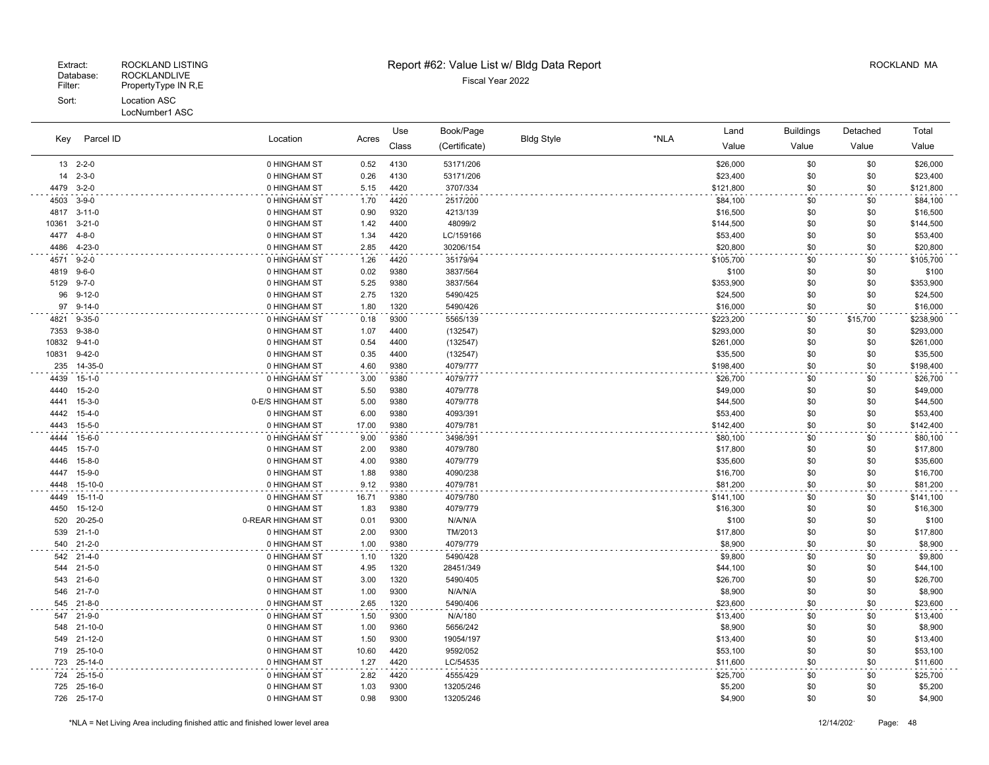LocNumber1 ASC

 $\omega$  is  $\omega$  in

 $\sim$  . . .

 $\sim 100\,M_\odot$ 

### Extract: ROCKLAND LISTING **Report #62: Value List w/ Bldg Data Report** Alleman and RockLAND MA

| Key   | Parcel ID                  | Location                          | Acres        | Use<br>Class | Book/Page<br>(Certificate) | <b>Bldg Style</b> | *NLA | Land<br>Value       | <b>Buildings</b><br>Value | Detached<br>Value | Total<br>Value      |
|-------|----------------------------|-----------------------------------|--------------|--------------|----------------------------|-------------------|------|---------------------|---------------------------|-------------------|---------------------|
|       | 13 2-2-0                   | 0 HINGHAM ST                      | 0.52         | 4130         | 53171/206                  |                   |      | \$26,000            | \$0                       | \$0               | \$26,000            |
| 14    | $2 - 3 - 0$                | 0 HINGHAM ST                      | 0.26         | 4130         | 53171/206                  |                   |      | \$23,400            | \$0                       | \$0               | \$23,400            |
| 4479  | $3 - 2 - 0$                | 0 HINGHAM ST                      | 5.15         | 4420         | 3707/334                   |                   |      | \$121,800           | \$0                       | \$0               | \$121,800           |
| 4503  | $3 - 9 - 0$                | 0 HINGHAM ST                      | 1.70         | 4420         | 2517/200                   |                   |      | \$84,100            | \$0                       | \$0               | \$84,100            |
| 4817  | $3 - 11 - 0$               | 0 HINGHAM ST                      | 0.90         | 9320         | 4213/139                   |                   |      | \$16,500            | \$0                       | \$0               | \$16,500            |
| 10361 | $3 - 21 - 0$               | 0 HINGHAM ST                      | 1.42         | 4400         | 48099/2                    |                   |      | \$144,500           | \$0                       | \$0               | \$144,500           |
| 4477  | 4-8-0                      | 0 HINGHAM ST                      | 1.34         | 4420         | LC/159166                  |                   |      | \$53,400            | \$0                       | \$0               | \$53,400            |
| 4486  | $4 - 23 - 0$               | 0 HINGHAM ST                      | 2.85         | 4420         | 30206/154                  |                   |      | \$20,800            | \$0                       | \$0               | \$20,800            |
| 4571  | $9 - 2 - 0$                | 0 HINGHAM ST                      | 1.26         | 4420         | 35179/94                   |                   |      | \$105,700           | \$0                       | \$0               | \$105,700           |
| 4819  | $9 - 6 - 0$                | 0 HINGHAM ST                      | 0.02         | 9380         | 3837/564                   |                   |      | \$100               | \$0                       | \$0               | \$100               |
| 5129  | $9 - 7 - 0$                | 0 HINGHAM ST                      | 5.25         | 9380         | 3837/564                   |                   |      | \$353,900           | \$0                       | \$0               | \$353,900           |
| 96    | $9 - 12 - 0$               | 0 HINGHAM ST                      | 2.75         | 1320         | 5490/425                   |                   |      | \$24,500            | \$0                       | \$0               | \$24,500            |
| 97    | $9 - 14 - 0$               | 0 HINGHAM ST                      | 1.80         | 1320         | 5490/426                   |                   |      | \$16,000            | \$0                       | \$0               | \$16,000            |
| 4821  | $9 - 35 - 0$               | 0 HINGHAM ST                      | 0.18         | 9300         | 5565/139                   |                   |      | \$223,200           | \$0                       | \$15,700          | \$238,900           |
| 7353  | $9 - 38 - 0$               | 0 HINGHAM ST                      | 1.07         | 4400         | (132547)                   |                   |      | \$293,000           | \$0                       | \$0               | \$293,000           |
| 10832 | $9 - 41 - 0$               | 0 HINGHAM ST                      | 0.54         | 4400         | (132547)                   |                   |      | \$261,000           | \$0                       | \$0               | \$261,000           |
| 10831 | $9 - 42 - 0$               | 0 HINGHAM ST                      | 0.35         | 4400         | (132547)                   |                   |      | \$35,500            | \$0                       | \$0               | \$35,500            |
| 235   | 14-35-0                    | 0 HINGHAM ST                      | 4.60         | 9380         | 4079/777                   |                   |      | \$198,400           | \$0                       | \$0               | \$198,400           |
| 4439  | $15 - 1 - 0$               | 0 HINGHAM ST                      | 3.00         | 9380         | 4079/777                   |                   |      | \$26,700            | \$0                       | \$0               | \$26,700            |
| 4440  | $15 - 2 - 0$               | 0 HINGHAM ST                      | 5.50         | 9380         | 4079/778                   |                   |      | \$49,000            | \$0                       | \$0               | \$49,000            |
| 4441  | $15 - 3 - 0$               | 0-E/S HINGHAM ST                  | 5.00         | 9380         | 4079/778                   |                   |      | \$44,500            | \$0                       | \$0               | \$44,500            |
| 4442  | $15 - 4 - 0$               | 0 HINGHAM ST                      | 6.00         | 9380         | 4093/391                   |                   |      | \$53,400            | \$0                       | \$0               | \$53,400            |
| 4443  | $15 - 5 - 0$               | 0 HINGHAM ST                      | 17.00        | 9380         | 4079/781                   |                   |      | \$142,400           | \$0                       | \$0               | \$142,400           |
| 4444  | $15 - 6 - 0$               | 0 HINGHAM ST                      | 9.00         | 9380         | 3498/391                   |                   |      | \$80,100            | \$0                       | \$0               | \$80,100            |
| 4445  | $15 - 7 - 0$               | 0 HINGHAM ST                      | 2.00         | 9380         | 4079/780                   |                   |      | \$17,800            | \$0                       | \$0               | \$17,800            |
| 4446  | $15 - 8 - 0$               | 0 HINGHAM ST                      | 4.00         | 9380         | 4079/779                   |                   |      | \$35,600            | \$0                       | \$0               | \$35,600            |
| 4447  | $15 - 9 - 0$               | 0 HINGHAM ST                      | 1.88         | 9380         | 4090/238                   |                   |      | \$16,700            | \$0                       | \$0               | \$16,700            |
| 4448  | 15-10-0                    | 0 HINGHAM ST                      | 9.12         | 9380         | 4079/781                   |                   |      | \$81,200            | \$0                       | \$0               | \$81,200            |
| 4449  | 15-11-0                    | 0 HINGHAM ST                      | 16.71        | 9380         | 4079/780                   |                   |      | \$141,100           | \$0                       | \$0               | \$141,100           |
| 4450  | $15-12-0$                  | 0 HINGHAM ST                      | 1.83         | 9380         | 4079/779                   |                   |      | \$16,300            | \$0                       | \$0               | \$16,300            |
| 520   | 20-25-0                    | 0-REAR HINGHAM ST<br>0 HINGHAM ST | 0.01         | 9300         | N/A/N/A                    |                   |      | \$100               | \$0                       | \$0               | \$100               |
| 539   | $21 - 1 - 0$<br>540 21-2-0 | 0 HINGHAM ST                      | 2.00<br>1.00 | 9300<br>9380 | TM/2013<br>4079/779        |                   |      | \$17,800<br>\$8,900 | \$0<br>\$0                | \$0<br>\$0        | \$17,800<br>\$8,900 |
|       | 542 21-4-0                 | 0 HINGHAM ST                      |              |              | 5490/428                   |                   |      |                     |                           |                   |                     |
| 544   | $21 - 5 - 0$               | 0 HINGHAM ST                      | 1.10<br>4.95 | 1320<br>1320 | 28451/349                  |                   |      | \$9,800<br>\$44,100 | \$0<br>\$0                | \$0<br>\$0        | \$9,800<br>\$44,100 |
|       | 543 21-6-0                 | 0 HINGHAM ST                      | 3.00         | 1320         | 5490/405                   |                   |      | \$26,700            | \$0                       | \$0               | \$26,700            |
|       | 546 21-7-0                 | 0 HINGHAM ST                      | 1.00         | 9300         | N/A/N/A                    |                   |      | \$8,900             | \$0                       | \$0               | \$8,900             |
|       | 545 21-8-0                 | 0 HINGHAM ST                      | 2.65         | 1320         | 5490/406                   |                   |      | \$23,600            | \$0                       | \$0               | \$23,600            |
|       | 547 21-9-0                 | 0 HINGHAM ST                      | 1.50         | 9300         | N/A/180                    |                   |      | \$13,400            | \$0                       | \$0               | \$13,400            |
| 548   | 21-10-0                    | 0 HINGHAM ST                      | 1.00         | 9360         | 5656/242                   |                   |      | \$8,900             | \$0                       | \$0               | \$8,900             |
|       | 549 21-12-0                | 0 HINGHAM ST                      | 1.50         | 9300         | 19054/197                  |                   |      | \$13,400            | \$0                       | \$0               | \$13,400            |
|       | 719 25-10-0                | 0 HINGHAM ST                      | 10.60        | 4420         | 9592/052                   |                   |      | \$53,100            | \$0                       | \$0               | \$53,100            |
|       | 723 25-14-0                | 0 HINGHAM ST                      | 1.27         | 4420         | LC/54535                   |                   |      | \$11,600            | \$0                       | \$0               | \$11,600            |
|       | 724 25-15-0                | 0 HINGHAM ST                      | 2.82         | 4420         | 4555/429                   |                   |      | \$25,700            | \$0                       | \$0               | \$25,700            |

 25-16-0 0 HINGHAM ST 1.03 9300 13205/246 \$5,200 \$0 \$0 \$5,200 25-17-0 0 HINGHAM ST 0.98 9300 13205/246 \$4,900 \$0 \$0 \$4,900

\*NLA = Net Living Area including finished attic and finished lower level area 12/14/202 Page: 48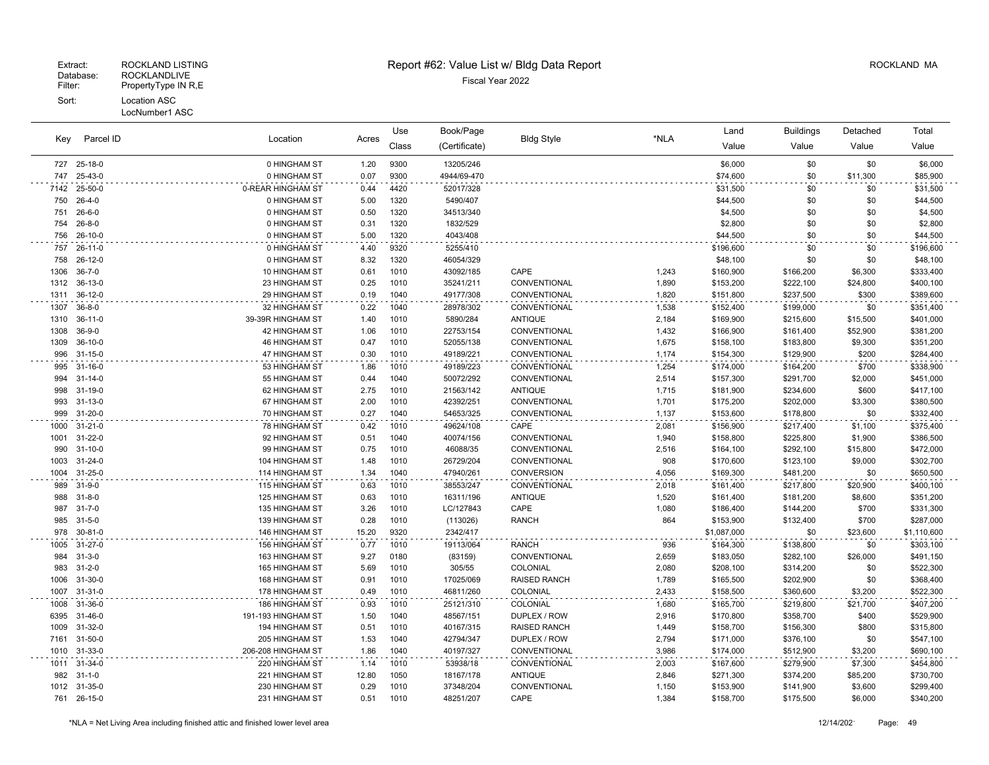| Key        | Parcel ID                      |                                |              | Use          | Book/Page              |                                |                | Land                   | <b>Buildings</b>       | Detached         | Total                  |
|------------|--------------------------------|--------------------------------|--------------|--------------|------------------------|--------------------------------|----------------|------------------------|------------------------|------------------|------------------------|
|            |                                | Location                       | Acres        | Class        | (Certificate)          | <b>Bldg Style</b>              | *NLA           | Value                  | Value                  | Value            | Value                  |
|            | 727 25-18-0                    | 0 HINGHAM ST                   | 1.20         | 9300         | 13205/246              |                                |                | \$6,000                | \$0                    | \$0              | \$6,000                |
| 747        | 25-43-0                        | 0 HINGHAM ST                   | 0.07         | 9300         | 4944/69-470            |                                |                | \$74,600               | \$0                    | \$11,300         | \$85,900               |
| 7142       | 25-50-0                        | 0-REAR HINGHAM ST              | 0.44         | 4420         | 52017/328              |                                |                | \$31,500               | \$0                    | \$0              | \$31,500               |
| 750        | $26 - 4 - 0$                   | 0 HINGHAM ST                   | 5.00         | 1320         | 5490/407               |                                |                | \$44,500               | \$0                    | \$0              | \$44,500               |
| 751        | $26 - 6 - 0$                   | 0 HINGHAM ST                   | 0.50         | 1320         | 34513/340              |                                |                | \$4,500                | \$0                    | \$0              | \$4,500                |
| 754        | $26 - 8 - 0$                   | 0 HINGHAM ST                   | 0.31         | 1320         | 1832/529               |                                |                | \$2,800                | \$0                    | \$0              | \$2,800                |
| 756        | 26-10-0                        | 0 HINGHAM ST                   | 5.00         | 1320         | 4043/408               |                                |                | \$44,500               | \$0                    | \$0              | \$44,500               |
| 757        | $26 - 11 - 0$                  | 0 HINGHAM ST                   | 4.40         | 9320         | 5255/410               |                                |                | \$196,600              | \$0                    | \$0              | \$196,600              |
| 758        | 26-12-0                        | 0 HINGHAM ST                   | 8.32         | 1320         | 46054/329              |                                |                | \$48,100               | \$0                    | \$0              | \$48,100               |
| 1306       | $36 - 7 - 0$                   | 10 HINGHAM ST                  | 0.61         | 1010         | 43092/185              | CAPE                           | 1,243          | \$160,900              | \$166,200              | \$6,300          | \$333,400              |
| 1312       | $36-13-0$                      | 23 HINGHAM ST                  | 0.25         | 1010         | 35241/211              | CONVENTIONAL                   | 1,890          | \$153,200              | \$222,100              | \$24,800         | \$400,100              |
| 1311       | $36-12-0$                      | 29 HINGHAM ST                  | 0.19         | 1040         | 49177/308              | CONVENTIONAL                   | 1,820          | \$151,800              | \$237,500              | \$300            | \$389,600              |
| 1307       | $36 - 8 - 0$                   | 32 HINGHAM ST                  | 0.22         | 1040         | 28978/302              | CONVENTIONAL                   | 1,538          | \$152,400              | \$199,000              | \$0              | \$351,400              |
| 1310       | $36-11-0$                      | 39-39R HINGHAM ST              | 1.40         | 1010         | 5890/284               | <b>ANTIQUE</b>                 | 2,184          | \$169,900              | \$215,600              | \$15,500         | \$401,000              |
| 1308       | $36-9-0$                       | 42 HINGHAM ST                  | 1.06         | 1010         | 22753/154              | CONVENTIONAL                   | 1,432          | \$166,900              | \$161,400              | \$52,900         | \$381,200              |
| 1309       | $36-10-0$<br>$31 - 15 - 0$     | 46 HINGHAM ST                  | 0.47<br>0.30 | 1010<br>1010 | 52055/138              | CONVENTIONAL                   | 1,675          | \$158,100              | \$183,800              | \$9,300<br>\$200 | \$351,200              |
| 996        |                                | 47 HINGHAM ST                  |              |              | 49189/221              | CONVENTIONAL                   | 1,174          | \$154,300              | \$129,900              |                  | \$284,400              |
| 995        | $31 - 16 - 0$                  | 53 HINGHAM ST                  | 1.86<br>0.44 | 1010         | 49189/223              | CONVENTIONAL                   | 1,254          | \$174,000              | \$164,200              | \$700            | \$338,900              |
| 994<br>998 | $31 - 14 - 0$<br>$31 - 19 - 0$ | 55 HINGHAM ST<br>62 HINGHAM ST | 2.75         | 1040<br>1010 | 50072/292<br>21563/142 | CONVENTIONAL<br><b>ANTIQUE</b> | 2,514<br>1,715 | \$157,300<br>\$181,900 | \$291,700<br>\$234,600 | \$2,000<br>\$600 | \$451,000<br>\$417,100 |
| 993        | $31 - 13 - 0$                  | 67 HINGHAM ST                  | 2.00         | 1010         | 42392/251              | CONVENTIONAL                   | 1,701          | \$175,200              | \$202,000              | \$3,300          | \$380,500              |
| 999        | 31-20-0                        | 70 HINGHAM ST                  | 0.27         | 1040         | 54653/325              | CONVENTIONAL                   | 1,137          | \$153,600              | \$178,800              | \$0              | \$332,400              |
| 1000       | $31 - 21 - 0$                  | 78 HINGHAM ST                  | 0.42         | 1010         | 49624/108              | CAPE                           | 2,081          | \$156,900              | \$217,400              | \$1,100          | \$375,400              |
| 1001       | $31 - 22 - 0$                  | 92 HINGHAM ST                  | 0.51         | 1040         | 40074/156              | CONVENTIONAL                   | 1,940          | \$158,800              | \$225,800              | \$1,900          | \$386,500              |
| 990        | $31 - 10 - 0$                  | 99 HINGHAM ST                  | 0.75         | 1010         | 46088/35               | CONVENTIONAL                   | 2,516          | \$164,100              | \$292,100              | \$15,800         | \$472,000              |
| 1003       | $31 - 24 - 0$                  | 104 HINGHAM ST                 | 1.48         | 1010         | 26729/204              | CONVENTIONAL                   | 908            | \$170,600              | \$123,100              | \$9,000          | \$302,700              |
| 1004       | $31 - 25 - 0$                  | 114 HINGHAM ST                 | 1.34         | 1040         | 47940/261              | CONVERSION                     | 4,056          | \$169,300              | \$481,200              | \$0              | \$650,500              |
| 989        | $31 - 9 - 0$                   | 115 HINGHAM ST                 | 0.63         | 1010         | 38553/247              | CONVENTIONAL                   | 2,018          | \$161,400              | \$217,800              | \$20,900         | \$400,100              |
| 988        | $31 - 8 - 0$                   | 125 HINGHAM ST                 | 0.63         | 1010         | 16311/196              | <b>ANTIQUE</b>                 | 1,520          | \$161,400              | \$181,200              | \$8,600          | \$351,200              |
| 987        | $31 - 7 - 0$                   | 135 HINGHAM ST                 | 3.26         | 1010         | LC/127843              | CAPE                           | 1,080          | \$186,400              | \$144,200              | \$700            | \$331,300              |
| 985        | $31 - 5 - 0$                   | 139 HINGHAM ST                 | 0.28         | 1010         | (113026)               | <b>RANCH</b>                   | 864            | \$153,900              | \$132,400              | \$700            | \$287,000              |
| 978        | 30-81-0                        | 146 HINGHAM ST                 | 15.20        | 9320         | 2342/417               |                                |                | \$1,087,000            | \$0                    | \$23,600         | \$1,110,600            |
| 1005       | 31-27-0                        | 156 HINGHAM ST                 | 0.77         | 1010         | 19113/064              | <b>RANCH</b>                   | 936            | \$164,300              | \$138,800              | \$0              | \$303,100              |
| 984        | $31 - 3 - 0$                   | 163 HINGHAM ST                 | 9.27         | 0180         | (83159)                | CONVENTIONAL                   | 2,659          | \$183,050              | \$282,100              | \$26,000         | \$491,150              |
| 983        | $31 - 2 - 0$                   | 165 HINGHAM ST                 | 5.69         | 1010         | 305/55                 | COLONIAL                       | 2,080          | \$208,100              | \$314,200              | \$0              | \$522,300              |
| 1006       | $31 - 30 - 0$                  | 168 HINGHAM ST                 | 0.91         | 1010         | 17025/069              | <b>RAISED RANCH</b>            | 1,789          | \$165,500              | \$202,900              | \$0              | \$368,400              |
| 1007       | 31-31-0                        | 178 HINGHAM ST                 | 0.49         | 1010         | 46811/260              | COLONIAL                       | 2,433          | \$158,500              | \$360,600              | \$3,200          | \$522,300              |
| 1008       | 31-36-0                        | 186 HINGHAM ST                 | 0.93         | 1010         | 25121/310              | COLONIAL                       | 1,680          | \$165,700              | \$219,800              | \$21,700         | \$407,200              |
| 6395       | $31 - 46 - 0$                  | 191-193 HINGHAM ST             | 1.50         | 1040         | 48567/151              | DUPLEX / ROW                   | 2,916          | \$170,800              | \$358,700              | \$400            | \$529,900              |
| 1009       | 31-32-0                        | 194 HINGHAM ST                 | 0.51         | 1010         | 40167/315              | <b>RAISED RANCH</b>            | 1,449          | \$158,700              | \$156,300              | \$800            | \$315,800              |
| 7161       | $31 - 50 - 0$                  | 205 HINGHAM ST                 | 1.53         | 1040         | 42794/347              | DUPLEX / ROW                   | 2,794          | \$171,000              | \$376,100              | \$0              | \$547,100              |
| 1010       | 31-33-0                        | 206-208 HINGHAM ST             | 1.86         | 1040         | 40197/327              | CONVENTIONAL                   | 3,986          | \$174,000              | \$512,900              | \$3,200          | \$690,100              |
| 1011       | 31-34-0                        | 220 HINGHAM ST                 | 1.14         | 1010         | 53938/18               | CONVENTIONAL                   | 2,003          | \$167,600              | \$279,900              | \$7,300          | \$454,800              |
| 982        | $31 - 1 - 0$                   | 221 HINGHAM ST                 | 12.80        | 1050         | 18167/178              | <b>ANTIQUE</b>                 | 2,846          | \$271,300              | \$374,200              | \$85,200         | \$730,700              |
|            | 1012 31-35-0                   | 230 HINGHAM ST                 | 0.29         | 1010         | 37348/204              | CONVENTIONAL                   | 1,150          | \$153,900              | \$141,900              | \$3,600          | \$299,400              |
|            | 761 26-15-0                    | 231 HINGHAM ST                 | 0.51         | 1010         | 48251/207              | CAPE                           | 1,384          | \$158,700              | \$175,500              | \$6,000          | \$340,200              |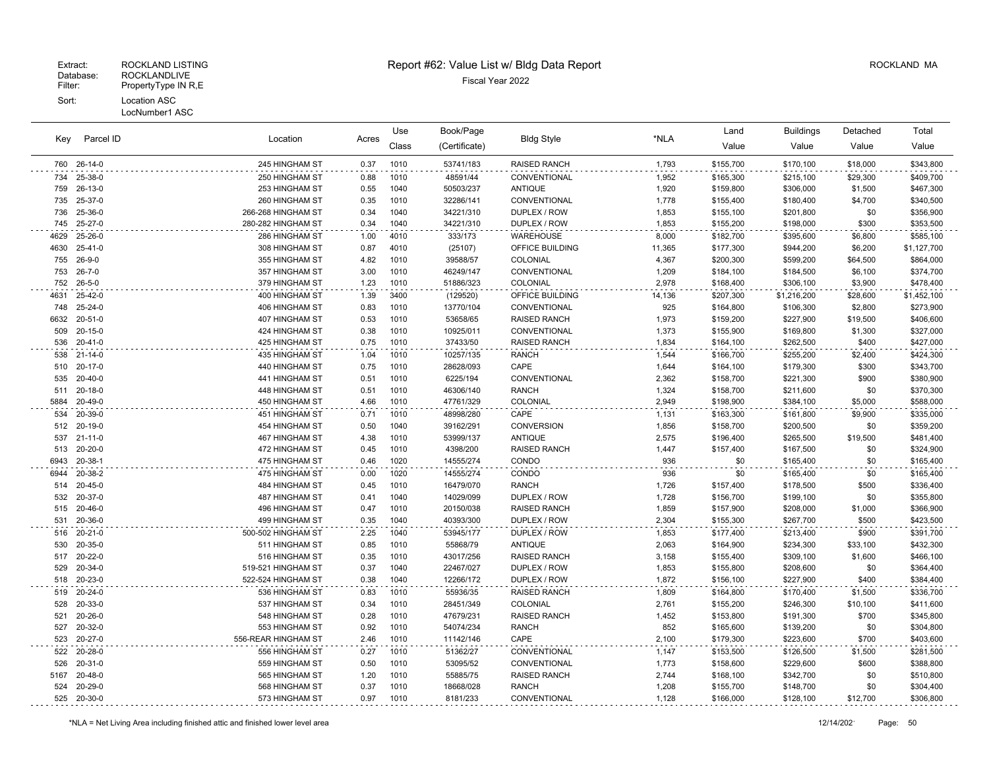#### LocNumber1 ASC

| Kev  | Parcel ID              |                                  |              | Use          | Book/Page             |                      |                | Land                   | Buildings              | Detached       | Total                  |
|------|------------------------|----------------------------------|--------------|--------------|-----------------------|----------------------|----------------|------------------------|------------------------|----------------|------------------------|
|      |                        | Location                         | Acres        | Class        | (Certificate)         | <b>Bldg Style</b>    | *NLA           | Value                  | Value                  | Value          | Value                  |
|      | 760 26-14-0            | 245 HINGHAM ST                   | 0.37         | 1010         | 53741/183             | <b>RAISED RANCH</b>  | 1,793          | \$155,700              | \$170,100              | \$18,000       | \$343,800              |
| 734  | 25-38-0                | 250 HINGHAM ST                   | 0.88         | 1010         | 48591/44              | CONVENTIONAL         | 1,952          | \$165,300              | \$215,100              | \$29,300       | \$409,700              |
| 759  | 26-13-0                | 253 HINGHAM ST                   | 0.55         | 1040         | 50503/237             | <b>ANTIQUE</b>       | 1,920          | \$159,800              | \$306,000              | \$1,500        | \$467,300              |
| 735  | 25-37-0                | 260 HINGHAM ST                   | 0.35         | 1010         | 32286/141             | CONVENTIONAL         | 1,778          | \$155,400              | \$180,400              | \$4,700        | \$340,500              |
| 736  | 25-36-0                | 266-268 HINGHAM ST               | 0.34         | 1040         | 34221/310             | DUPLEX / ROW         | 1,853          | \$155,100              | \$201,800              | \$0            | \$356,900              |
| 745  | 25-27-0                | 280-282 HINGHAM ST               | 0.34         | 1040         | 34221/310             | DUPLEX / ROW         | 1,853          | \$155,200              | \$198,000              | \$300          | \$353,500              |
| 4629 | 25-26-0                | 286 HINGHAM ST                   | 1.00         | 4010         | 333/173               | <b>WAREHOUSE</b>     | 8,000          | \$182,700              | \$395,600              | \$6,800        | \$585,100              |
| 4630 | $25 - 41 - 0$          | 308 HINGHAM ST                   | 0.87         | 4010         | (25107)               | OFFICE BUILDING      | 11,365         | \$177,300              | \$944,200              | \$6,200        | \$1,127,700            |
| 755  | 26-9-0                 | 355 HINGHAM ST                   | 4.82         | 1010         | 39588/57              | COLONIAL             | 4,367          | \$200,300              | \$599,200              | \$64,500       | \$864,000              |
| 753  | $26 - 7 - 0$           | 357 HINGHAM ST                   | 3.00         | 1010         | 46249/147             | CONVENTIONAL         | 1,209          | \$184,100              | \$184,500              | \$6,100        | \$374,700              |
| 752  | $26 - 5 - 0$           | 379 HINGHAM ST                   | 1.23         | 1010         | 51886/323             | COLONIAL             | 2,978          | \$168,400              | \$306,100              | \$3,900        | \$478,400              |
| 4631 | 25-42-0                | 400 HINGHAM ST                   | 1.39         | 3400         | (129520)              | OFFICE BUILDING      | 14,136         | \$207,300              | \$1,216,200            | \$28,600       | \$1,452,100            |
| 748  | 25-24-0                | 406 HINGHAM ST                   | 0.83         | 1010         | 13770/104             | CONVENTIONAL         | 925            | \$164,800              | \$106,300              | \$2,800        | \$273,900              |
| 6632 | 20-51-0                | <b>407 HINGHAM ST</b>            | 0.53         | 1010         | 53658/65              | <b>RAISED RANCH</b>  | 1,973          | \$159,200              | \$227,900              | \$19,500       | \$406,600              |
|      | 509 20-15-0            | 424 HINGHAM ST                   | 0.38         | 1010         | 10925/011             | CONVENTIONAL         | 1,373          | \$155,900              | \$169,800              | \$1,300        | \$327,000              |
| 536  | $20 - 41 - 0$          | 425 HINGHAM ST                   | 0.75         | 1010         | 37433/50              | <b>RAISED RANCH</b>  | 1,834          | \$164,100              | \$262,500              | \$400          | \$427,000              |
|      | 538 21-14-0            | 435 HINGHAM ST                   | 1.04         | 1010         | 10257/135             | <b>RANCH</b>         | 1,544          | \$166,700              | \$255,200              | \$2,400        | \$424,300              |
| 510  | 20-17-0<br>535 20-40-0 | 440 HINGHAM ST<br>441 HINGHAM ST | 0.75         | 1010<br>1010 | 28628/093<br>6225/194 | CAPE<br>CONVENTIONAL | 1,644<br>2,362 | \$164,100              | \$179,300<br>\$221,300 | \$300<br>\$900 | \$343,700              |
| 511  | 20-18-0                | 448 HINGHAM ST                   | 0.51<br>0.51 | 1010         | 46306/140             | <b>RANCH</b>         | 1,324          | \$158,700<br>\$158,700 |                        | \$0            | \$380,900<br>\$370,300 |
| 5884 | 20-49-0                | 450 HINGHAM ST                   | 4.66         | 1010         | 47761/329             | COLONIAL             | 2,949          | \$198,900              | \$211,600<br>\$384,100 | \$5,000        | \$588,000              |
| 534  | 20-39-0                | 451 HINGHAM ST                   | 0.71         | 1010         | 48998/280             | CAPE                 | 1,131          | \$163,300              | \$161,800              | \$9,900        | \$335,000              |
| 512  | 20-19-0                | 454 HINGHAM ST                   | 0.50         | 1040         | 39162/291             | <b>CONVERSION</b>    | 1,856          | \$158,700              | \$200,500              | \$0            | \$359,200              |
| 537  | 21-11-0                | <b>467 HINGHAM ST</b>            | 4.38         | 1010         | 53999/137             | <b>ANTIQUE</b>       | 2,575          | \$196,400              | \$265,500              | \$19,500       | \$481,400              |
| 513  | 20-20-0                | 472 HINGHAM ST                   | 0.45         | 1010         | 4398/200              | <b>RAISED RANCH</b>  | 1,447          | \$157,400              | \$167,500              | \$0            | \$324,900              |
| 6943 | 20-38-1                | 475 HINGHAM ST                   | 0.46         | 1020         | 14555/274             | CONDO                | 936            | \$0                    | \$165,400              | \$0            | \$165,400              |
| 6944 | 20-38-2                | 475 HINGHAM ST                   | 0.00         | 1020         | 14555/274             | CONDO                | 936            | \$0                    | \$165,400              | \$0            | \$165,400              |
| 514  | $20 - 45 - 0$          | 484 HINGHAM ST                   | 0.45         | 1010         | 16479/070             | <b>RANCH</b>         | 1,726          | \$157,400              | \$178,500              | \$500          | \$336,400              |
| 532  | 20-37-0                | 487 HINGHAM ST                   | 0.41         | 1040         | 14029/099             | DUPLEX / ROW         | 1,728          | \$156,700              | \$199,100              | \$0            | \$355,800              |
| 515  | 20-46-0                | 496 HINGHAM ST                   | 0.47         | 1010         | 20150/038             | <b>RAISED RANCH</b>  | 1,859          | \$157,900              | \$208,000              | \$1,000        | \$366,900              |
| 531  | 20-36-0                | 499 HINGHAM ST                   | 0.35         | 1040         | 40393/300             | DUPLEX / ROW         | 2,304          | \$155,300              | \$267,700              | \$500          | \$423,500              |
|      | 516 20-21-0            | 500-502 HINGHAM ST               | 2.25         | 1040         | 53945/177             | DUPLEX / ROW         | 1,853          | \$177,400              | \$213,400              | \$900          | \$391,700              |
| 530  | 20-35-0                | 511 HINGHAM ST                   | 0.85         | 1010         | 55868/79              | <b>ANTIQUE</b>       | 2,063          | \$164,900              | \$234,300              | \$33,100       | \$432,300              |
| 517  | 20-22-0                | 516 HINGHAM ST                   | 0.35         | 1010         | 43017/256             | <b>RAISED RANCH</b>  | 3,158          | \$155,400              | \$309,100              | \$1,600        | \$466,100              |
| 529  | 20-34-0                | 519-521 HINGHAM ST               | 0.37         | 1040         | 22467/027             | DUPLEX / ROW         | 1,853          | \$155,800              | \$208,600              | \$0            | \$364,400              |
|      | 518 20-23-0            | 522-524 HINGHAM ST               | 0.38         | 1040         | 12266/172             | DUPLEX / ROW         | 1,872          | \$156,100              | \$227,900              | \$400          | \$384,400              |
| 519  | 20-24-0                | 536 HINGHAM ST                   | 0.83         | 1010         | 55936/35              | <b>RAISED RANCH</b>  | 1,809          | \$164,800              | \$170,400              | \$1,500        | \$336,700              |
| 528  | 20-33-0                | 537 HINGHAM ST                   | 0.34         | 1010         | 28451/349             | COLONIAL             | 2,761          | \$155,200              | \$246,300              | \$10,100       | \$411,600              |
| 521  | 20-26-0                | 548 HINGHAM ST                   | 0.28         | 1010         | 47679/231             | <b>RAISED RANCH</b>  | 1,452          | \$153,800              | \$191,300              | \$700          | \$345,800              |
| 527  | 20-32-0                | 553 HINGHAM ST                   | 0.92         | 1010         | 54074/234             | <b>RANCH</b>         | 852            | \$165,600              | \$139,200              | \$0            | \$304,800              |
| 523  | 20-27-0                | 556-REAR HINGHAM ST              | 2.46         | 1010         | 11142/146             | CAPE                 | 2,100          | \$179,300              | \$223,600              | \$700          | \$403,600              |
|      | 522 20-28-0            | 556 HINGHAM ST                   | 0.27         | 1010         | 51362/27              | CONVENTIONAL         | 1,147          | \$153,500              | \$126,500              | \$1,500        | \$281,500              |
| 526  | 20-31-0                | 559 HINGHAM ST                   | 0.50         | 1010         | 53095/52              | CONVENTIONAL         | 1,773          | \$158,600              | \$229,600              | \$600          | \$388,800              |
| 5167 | 20-48-0                | 565 HINGHAM ST                   | 1.20         | 1010         | 55885/75              | RAISED RANCH         | 2,744          | \$168,100              | \$342,700              | \$0            | \$510,800              |
| 524  | 20-29-0                | 568 HINGHAM ST                   | 0.37         | 1010         | 18668/028             | <b>RANCH</b>         | 1,208          | \$155,700              | \$148,700              | \$0            | \$304,400              |
|      | 525 20-30-0            | 573 HINGHAM ST                   | 0.97         | 1010         | 8181/233              | CONVENTIONAL         | 1,128          | \$166,000              | \$128,100              | \$12,700       | \$306,800              |

\*NLA = Net Living Area including finished attic and finished lower level area 12/14/202 Page: 50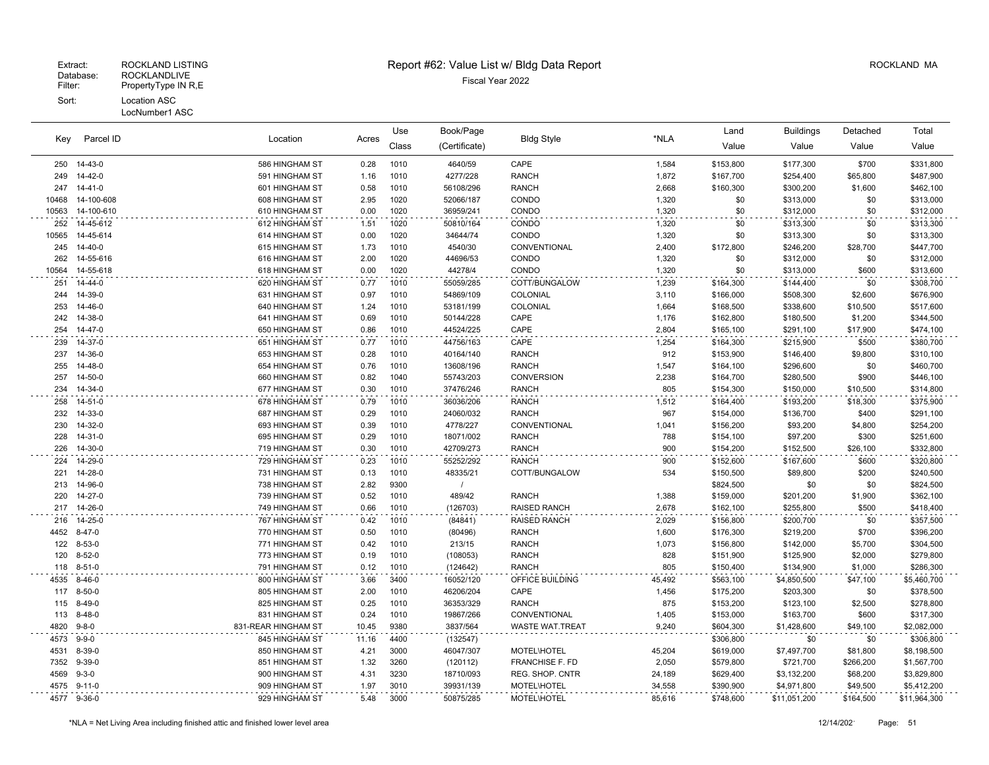| Key   | Parcel ID     | Location            | Acres | Use          | Book/Page     | <b>Bldg Style</b>  | *NLA   | Land      | <b>Buildings</b> | Detached  | Total        |
|-------|---------------|---------------------|-------|--------------|---------------|--------------------|--------|-----------|------------------|-----------|--------------|
|       |               |                     |       | Class        | (Certificate) |                    |        | Value     | Value            | Value     | Value        |
|       | 250 14-43-0   | 586 HINGHAM ST      | 0.28  | 1010         | 4640/59       | CAPE               | 1,584  | \$153,800 | \$177,300        | \$700     | \$331,800    |
| 249   | 14-42-0       | 591 HINGHAM ST      | 1.16  | 1010         | 4277/228      | <b>RANCH</b>       | 1,872  | \$167,700 | \$254,400        | \$65,800  | \$487,900    |
| 247   | $14 - 41 - 0$ | 601 HINGHAM ST      | 0.58  | 1010         | 56108/296     | <b>RANCH</b>       | 2,668  | \$160,300 | \$300,200        | \$1,600   | \$462,100    |
| 10468 | 14-100-608    | 608 HINGHAM ST      | 2.95  | 1020         | 52066/187     | CONDO              | 1,320  | \$0       | \$313,000        | \$0       | \$313,000    |
| 10563 | 14-100-610    | 610 HINGHAM ST      | 0.00  | 1020         | 36959/241     | CONDO              | 1,320  | \$0       | \$312,000        | \$0       | \$312,000    |
| 252   | 14-45-612     | 612 HINGHAM ST      | 1.51  | 1020         | 50810/164     | CONDO              | 1,320  | \$0       | \$313,300        | \$0       | \$313,300    |
| 10565 | 14-45-614     | 614 HINGHAM ST      | 0.00  | 1020         | 34644/74      | CONDO              | 1,320  | \$0       | \$313,300        | \$0       | \$313,300    |
| 245   | 14-40-0       | 615 HINGHAM ST      | 1.73  | 1010         | 4540/30       | CONVENTIONAL       | 2,400  | \$172,800 | \$246,200        | \$28,700  | \$447,700    |
| 262   | 14-55-616     | 616 HINGHAM ST      | 2.00  | 1020         | 44696/53      | CONDO              | 1,320  | \$0       | \$312,000        | \$0       | \$312,000    |
| 10564 | 14-55-618     | 618 HINGHAM ST      | 0.00  | 1020         | 44278/4       | CONDO              | 1,320  | \$0       | \$313,000        | \$600     | \$313,600    |
| 251   | 14-44-0       | 620 HINGHAM ST      | 0.77  | 1010         | 55059/285     | COTT/BUNGALOW      | 1,239  | \$164,300 | \$144,400        | \$0       | \$308,700    |
| 244   | 14-39-0       | 631 HINGHAM ST      | 0.97  | 1010         | 54869/109     | COLONIAL           | 3,110  | \$166,000 | \$508,300        | \$2,600   | \$676,900    |
| 253   | 14-46-0       | 640 HINGHAM ST      | 1.24  | 1010         | 53181/199     | COLONIAL           | 1,664  | \$168,500 | \$338,600        | \$10,500  | \$517,600    |
| 242   | 14-38-0       | 641 HINGHAM ST      | 0.69  | 1010         | 50144/228     | CAPE               | 1,176  | \$162,800 | \$180,500        | \$1,200   | \$344,500    |
| 254   | 14-47-0       | 650 HINGHAM ST      | 0.86  | 1010         | 44524/225     | CAPE               | 2,804  | \$165,100 | \$291,100        | \$17,900  | \$474,100    |
| 239   | 14-37-0       | 651 HINGHAM ST      | 0.77  | 1010         | 44756/163     | CAPE               | 1,254  | \$164,300 | \$215,900        | \$500     | \$380,700    |
| 237   | 14-36-0       | 653 HINGHAM ST      | 0.28  | 1010         | 40164/140     | <b>RANCH</b>       | 912    | \$153,900 | \$146,400        | \$9,800   | \$310,100    |
| 255   | 14-48-0       | 654 HINGHAM ST      | 0.76  | 1010         | 13608/196     | <b>RANCH</b>       | 1,547  | \$164,100 | \$296,600        | \$0       | \$460,700    |
| 257   | 14-50-0       | 660 HINGHAM ST      | 0.82  | 1040         | 55743/203     | <b>CONVERSION</b>  | 2,238  | \$164,700 | \$280,500        | \$900     | \$446,100    |
| 234   | 14-34-0       | 677 HINGHAM ST      | 0.30  | 1010         | 37476/246     | <b>RANCH</b>       | 805    | \$154,300 | \$150,000        | \$10,500  | \$314,800    |
| 258   | 14-51-0       | 678 HINGHAM ST      | 0.79  | 1010         | 36036/206     | <b>RANCH</b>       | 1,512  | \$164,400 | \$193,200        | \$18,300  | \$375,900    |
| 232   | 14-33-0       | 687 HINGHAM ST      | 0.29  | 1010         | 24060/032     | <b>RANCH</b>       | 967    | \$154,000 | \$136,700        | \$400     | \$291,100    |
| 230   | 14-32-0       | 693 HINGHAM ST      | 0.39  | 1010         | 4778/227      | CONVENTIONAL       | 1,041  | \$156,200 | \$93,200         | \$4,800   | \$254,200    |
| 228   | 14-31-0       | 695 HINGHAM ST      | 0.29  | 1010         | 18071/002     | <b>RANCH</b>       | 788    | \$154,100 | \$97,200         | \$300     | \$251,600    |
| 226   | 14-30-0       | 719 HINGHAM ST      | 0.30  | 1010         | 42709/273     | <b>RANCH</b>       | 900    | \$154,200 | \$152,500        | \$26,100  | \$332,800    |
| 224   | 14-29-0       | 729 HINGHAM ST      | 0.23  | 1010         | 55252/292     | <b>RANCH</b>       | 900    | \$152,600 | \$167,600        | \$600     | \$320,800    |
| 221   | 14-28-0       | 731 HINGHAM ST      | 0.13  | 1010         | 48335/21      | COTT/BUNGALOW      | 534    | \$150,500 | \$89,800         | \$200     | \$240,500    |
| 213   | 14-96-0       | 738 HINGHAM ST      | 2.82  | 9300         | $\sqrt{ }$    |                    |        | \$824,500 | \$0              | \$0       | \$824,500    |
| 220   | 14-27-0       | 739 HINGHAM ST      | 0.52  | 1010         | 489/42        | <b>RANCH</b>       | 1,388  | \$159,000 | \$201,200        | \$1,900   | \$362,100    |
| 217   | 14-26-0       | 749 HINGHAM ST      | 0.66  | 1010         | (126703)      | RAISED RANCH       | 2,678  | \$162,100 | \$255,800        | \$500     | \$418,400    |
| 216   | 14-25-0       | 767 HINGHAM ST      | 0.42  | 1010         | (84841)       | RAISED RANCH       | 2,029  | \$156,800 | \$200,700        | \$0       | \$357,500    |
| 4452  | $8 - 47 - 0$  | 770 HINGHAM ST      | 0.50  | 1010         | (80496)       | <b>RANCH</b>       | 1,600  | \$176,300 | \$219,200        | \$700     | \$396,200    |
| 122   | 8-53-0        | 771 HINGHAM ST      | 0.42  | 1010         | 213/15        | <b>RANCH</b>       | 1,073  | \$156,800 | \$142,000        | \$5,700   | \$304,500    |
| 120   | $8 - 52 - 0$  | 773 HINGHAM ST      | 0.19  | 1010         | (108053)      | <b>RANCH</b>       | 828    | \$151,900 | \$125,900        | \$2,000   | \$279,800    |
| 118   | $8 - 51 - 0$  | 791 HINGHAM ST      | 0.12  | 1010         | (124642)      | <b>RANCH</b>       | 805    | \$150,400 | \$134,900        | \$1,000   | \$286,300    |
| 4535  | 8-46-0        | 800 HINGHAM ST      | 3.66  | 3400         | 16052/120     | OFFICE BUILDING    | 45,492 | \$563,100 | \$4,850,500      | \$47,100  | \$5,460,700  |
| 117   | $8 - 50 - 0$  | 805 HINGHAM ST      | 2.00  | 1010         | 46206/204     | CAPE               | 1,456  | \$175,200 | \$203,300        | \$0       | \$378,500    |
| 115   | 8-49-0        | 825 HINGHAM ST      | 0.25  | 1010         | 36353/329     | <b>RANCH</b>       | 875    | \$153,200 | \$123,100        | \$2,500   | \$278,800    |
| 113   | $8 - 48 - 0$  | 831 HINGHAM ST      | 0.24  | 1010         | 19867/266     | CONVENTIONAL       | 1,405  | \$153,000 | \$163,700        | \$600     | \$317,300    |
| 4820  | $9 - 8 - 0$   | 831-REAR HINGHAM ST | 10.45 | 9380         | 3837/564      | WASTE WAT.TREAT    | 9,240  | \$604,300 | \$1,428,600      | \$49,100  | \$2,082,000  |
| 4573  | $9 - 9 - 0$   | 845 HINGHAM ST      | 11.16 | 4400         | (132547)      |                    |        | \$306,800 | \$0              | \$0       | \$306,800    |
| 4531  | $8 - 39 - 0$  | 850 HINGHAM ST      | 4.21  | 3000         | 46047/307     | MOTEL\HOTEL        | 45,204 | \$619,000 | \$7,497,700      | \$81,800  | \$8,198,500  |
| 7352  | $9 - 39 - 0$  | 851 HINGHAM ST      | 1.32  | 3260         | (120112)      | FRANCHISE F. FD    | 2,050  | \$579,800 | \$721,700        | \$266,200 | \$1,567,700  |
| 4569  | $9 - 3 - 0$   | 900 HINGHAM ST      | 4.31  | 3230<br>3010 | 18710/093     | REG. SHOP. CNTR    | 24,189 | \$629,400 | \$3,132,200      | \$68,200  | \$3,829,800  |
|       | 4575 9-11-0   | 909 HINGHAM ST      | 1.97  |              | 39931/139     | <b>MOTEL\HOTEL</b> | 34,558 | \$390,900 | \$4,971,800      | \$49,500  | \$5,412,200  |
|       | 4577 9-36-0   | 929 HINGHAM ST      | 5.48  | 3000         | 50875/285     | MOTEL\HOTEL        | 85,616 | \$748,600 | \$11,051,200     | \$164,500 | \$11,964,300 |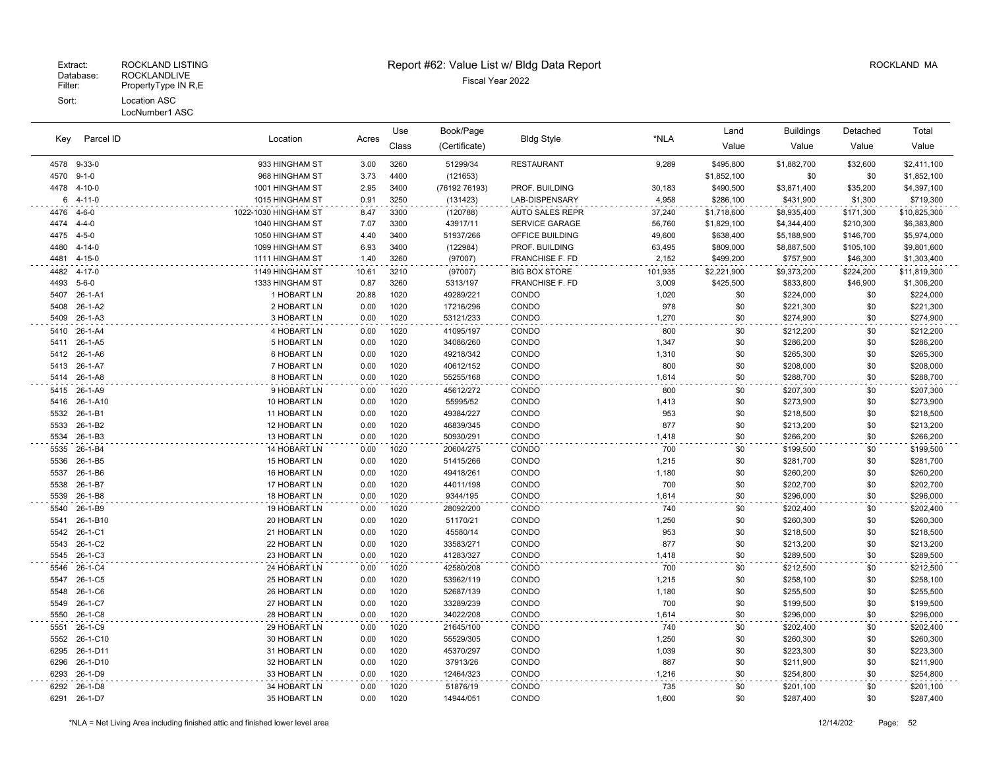# Extract: ROCKLAND LISTING **Report #62: Value List w/ Bldg Data Report** Alleman and RockLAND MA

| Parcel ID<br>Key | Location           |                              | Use          | Book/Page    |                        |                        | Land         | <b>Buildings</b> | Detached               | Total      |                        |  |
|------------------|--------------------|------------------------------|--------------|--------------|------------------------|------------------------|--------------|------------------|------------------------|------------|------------------------|--|
|                  |                    |                              | Acres        | Class        | (Certificate)          | <b>Bldg Style</b>      | *NLA         | Value            | Value                  | Value      | Value                  |  |
| 4578             | $9 - 33 - 0$       | 933 HINGHAM ST               | 3.00         | 3260         | 51299/34               | <b>RESTAURANT</b>      | 9,289        | \$495,800        | \$1,882,700            | \$32,600   | \$2,411,100            |  |
| 4570             | $9 - 1 - 0$        | 968 HINGHAM ST               | 3.73         | 4400         | (121653)               |                        |              | \$1,852,100      | \$0                    | \$0        | \$1,852,100            |  |
| 4478             | $4 - 10 - 0$       | 1001 HINGHAM ST              | 2.95         | 3400         | (76192 76193)          | PROF. BUILDING         | 30,183       | \$490,500        | \$3,871,400            | \$35,200   | \$4,397,100            |  |
| 6                | 4-11-0             | 1015 HINGHAM ST              | 0.91         | 3250         | (131423)               | LAB-DISPENSARY         | 4.958        | \$286,100        | \$431,900              | \$1,300    | \$719,300              |  |
| 4476             | 4-6-0              | 1022-1030 HINGHAM ST         | 8.47         | 3300         | (120788)               | <b>AUTO SALES REPR</b> | 37,240       | \$1,718,600      | \$8,935,400            | \$171,300  | \$10,825,300           |  |
| 4474             | $4 - 4 - 0$        | 1040 HINGHAM ST              | 7.07         | 3300         | 43917/11               | SERVICE GARAGE         | 56,760       | \$1,829,100      | \$4,344,400            | \$210,300  | \$6,383,800            |  |
| 4475             | $4 - 5 - 0$        | 1050 HINGHAM ST              | 4.40         | 3400         | 51937/266              | OFFICE BUILDING        | 49,600       | \$638,400        | \$5,188,900            | \$146,700  | \$5,974,000            |  |
| 4480             | $4 - 14 - 0$       | 1099 HINGHAM ST              | 6.93         | 3400         | (122984)               | PROF. BUILDING         | 63,495       | \$809,000        | \$8,887,500            | \$105,100  | \$9,801,600            |  |
| 4481             | $4 - 15 - 0$       | 1111 HINGHAM ST              | 1.40         | 3260         | (97007)                | <b>FRANCHISE F. FD</b> | 2,152        | \$499,200        | \$757,900              | \$46,300   | \$1,303,400            |  |
| 4482             | $4 - 17 - 0$       | 1149 HINGHAM ST              | 10.61        | 3210         | (97007)                | <b>BIG BOX STORE</b>   | 101,935      | \$2,221,900      | \$9,373,200            | \$224,200  | \$11,819,300           |  |
| 4493             | $5 - 6 - 0$        | 1333 HINGHAM ST              | 0.87         | 3260         | 5313/197               | <b>FRANCHISE F. FD</b> | 3,009        | \$425,500        | \$833,800              | \$46,900   | \$1,306,200            |  |
| 5407             | $26 - 1 - A1$      | 1 HOBART LN                  | 20.88        | 1020         | 49289/221              | <b>CONDO</b>           | 1,020        | \$0              | \$224,000              | \$0        | \$224,000              |  |
| 5408             | 26-1-A2            | 2 HOBART LN                  | 0.00         | 1020         | 17216/296              | CONDO                  | 978          | \$0              | \$221,300              | \$0        | \$221,300              |  |
| 5409             | $26 - 1 - A3$      | 3 HOBART LN                  | 0.00         | 1020         | 53121/233              | CONDO                  | 1,270        | \$0              | \$274,900              | \$0        | \$274,900              |  |
| 5410             | 26-1-A4            | 4 HOBART LN                  | 0.00         | 1020         | 41095/197              | CONDO                  | 800          | \$0              | \$212,200              | \$0        | \$212,200              |  |
| 5411             | 26-1-A5            | 5 HOBART LN                  | 0.00         | 1020         | 34086/260              | CONDO                  | 1,347        | \$0              | \$286,200              | \$0        | \$286,200              |  |
| 5412             | 26-1-A6            | <b>6 HOBART LN</b>           | 0.00         | 1020         | 49218/342              | CONDO                  | 1,310        | \$0              | \$265,300              | \$0        | \$265,300              |  |
| 5413             | 26-1-A7            | 7 HOBART LN                  | 0.00         | 1020         | 40612/152              | CONDO                  | 800          | \$0              | \$208,000              | \$0        | \$208,000              |  |
| 5414             | $26 - 1 - A8$      | 8 HOBART LN                  | 0.00         | 1020         | 55255/168              | CONDO                  | 1,614        | \$0              | \$288,700              | \$0        | \$288,700              |  |
| 5415             | 26-1-A9            | 9 HOBART LN                  | 0.00         | 1020         | 45612/272              | CONDO                  | 800          | \$0              | \$207,300              | \$0        | \$207,300              |  |
| 5416             | 26-1-A10           | 10 HOBART LN                 | 0.00         | 1020         | 55995/52               | CONDO                  | 1,413        | \$0              | \$273,900              | \$0        | \$273,900              |  |
| 5532<br>5533     | 26-1-B1<br>26-1-B2 | 11 HOBART LN<br>12 HOBART LN | 0.00<br>0.00 | 1020<br>1020 | 49384/227<br>46839/345 | CONDO<br>CONDO         | 953<br>877   | \$0<br>\$0       | \$218,500              | \$0<br>\$0 | \$218,500<br>\$213,200 |  |
| 5534             | 26-1-B3            | 13 HOBART LN                 | 0.00         | 1020         | 50930/291              | CONDO                  | 1,418        | \$0              | \$213,200<br>\$266,200 | \$0        | \$266,200              |  |
|                  | 26-1-B4            | 14 HOBART LN                 |              |              | 20604/275              |                        |              |                  |                        | \$0        |                        |  |
| 5535<br>5536     | 26-1-B5            | 15 HOBART LN                 | 0.00<br>0.00 | 1020<br>1020 | 51415/266              | CONDO<br>CONDO         | 700<br>1,215 | \$0<br>\$0       | \$199,500<br>\$281,700 | \$0        | \$199,500<br>\$281,700 |  |
| 5537             | 26-1-B6            | 16 HOBART LN                 | 0.00         | 1020         | 49418/261              | CONDO                  | 1,180        | \$0              | \$260,200              | \$0        | \$260,200              |  |
| 5538             | 26-1-B7            | 17 HOBART LN                 | 0.00         | 1020         | 44011/198              | CONDO                  | 700          | \$0              | \$202,700              | \$0        | \$202,700              |  |
| 5539             | 26-1-B8            | 18 HOBART LN                 | 0.00         | 1020         | 9344/195               | CONDO                  | 1,614        | \$0              | \$296,000              | \$0        | \$296,000              |  |
| 5540             | 26-1-B9            | 19 HOBART LN                 | 0.00         | 1020         | 28092/200              | CONDO                  | 740          | \$0              | \$202,400              | \$0        | \$202,400              |  |
| 5541             | 26-1-B10           | 20 HOBART LN                 | 0.00         | 1020         | 51170/21               | CONDO                  | 1,250        | \$0              | \$260,300              | \$0        | \$260,300              |  |
| 5542             | 26-1-C1            | 21 HOBART LN                 | 0.00         | 1020         | 45580/14               | CONDO                  | 953          | \$0              | \$218,500              | \$0        | \$218,500              |  |
| 5543             | 26-1-C2            | 22 HOBART LN                 | 0.00         | 1020         | 33583/271              | CONDO                  | 877          | \$0              | \$213,200              | \$0        | \$213,200              |  |
| 5545             | 26-1-C3            | 23 HOBART LN                 | 0.00         | 1020         | 41283/327              | CONDO                  | 1,418        | \$0              | \$289,500              | \$0        | \$289,500              |  |
| 5546             | 26-1-C4            | 24 HOBART LN                 | 0.00         | 1020         | 42580/208              | CONDO                  | 700          | \$0              | \$212,500              | \$0        | \$212,500              |  |
| 5547             | 26-1-C5            | 25 HOBART LN                 | 0.00         | 1020         | 53962/119              | CONDO                  | 1,215        | \$0              | \$258,100              | \$0        | \$258,100              |  |
| 5548             | 26-1-C6            | 26 HOBART LN                 | 0.00         | 1020         | 52687/139              | CONDO                  | 1,180        | \$0              | \$255,500              | \$0        | \$255,500              |  |
| 5549             | 26-1-C7            | 27 HOBART LN                 | 0.00         | 1020         | 33289/239              | CONDO                  | 700          | \$0              | \$199,500              | \$0        | \$199,500              |  |
| 5550             | 26-1-C8            | 28 HOBART LN                 | 0.00         | 1020         | 34022/208              | CONDO                  | 1,614        | \$0              | \$296,000              | \$0        | \$296,000              |  |
| 5551             | 26-1-C9            | 29 HOBART LN                 | 0.00         | 1020         | 21645/100              | <b>CONDO</b>           | 740          | \$0              | \$202,400              | \$0        | \$202,400              |  |
| 5552             | 26-1-C10           | 30 HOBART LN                 | 0.00         | 1020         | 55529/305              | CONDO                  | 1,250        | \$0              | \$260,300              | \$0        | \$260,300              |  |
| 6295             | 26-1-D11           | 31 HOBART LN                 | 0.00         | 1020         | 45370/297              | CONDO                  | 1,039        | \$0              | \$223,300              | \$0        | \$223,300              |  |
| 6296             | 26-1-D10           | 32 HOBART LN                 | 0.00         | 1020         | 37913/26               | CONDO                  | 887          | \$0              | \$211,900              | \$0        | \$211,900              |  |
| 6293             | 26-1-D9            | 33 HOBART LN                 | 0.00         | 1020         | 12464/323              | CONDO                  | 1,216        | \$0              | \$254,800              | \$0        | \$254,800              |  |
| 6292             | 26-1-D8            | 34 HOBART LN                 | 0.00         | 1020         | 51876/19               | CONDO                  | 735          | \$0              | \$201,100              | \$0        | \$201,100              |  |
| 6291             | 26-1-D7            | 35 HOBART LN                 | 0.00         | 1020         | 14944/051              | <b>CONDO</b>           | 1.600        | \$0              | \$287,400              | \$0        | \$287,400              |  |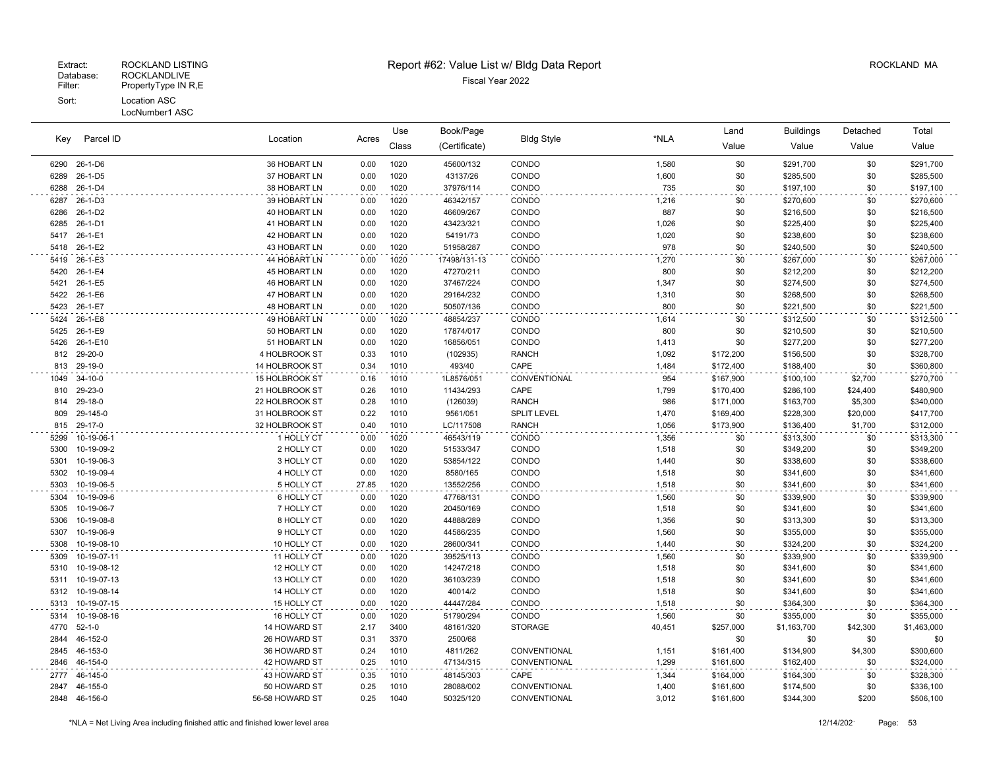|              |                          |                          |              | Use          | Book/Page              |                    | *NLA           | Land       | <b>Buildings</b>       | Detached   | Total                  |
|--------------|--------------------------|--------------------------|--------------|--------------|------------------------|--------------------|----------------|------------|------------------------|------------|------------------------|
| Key          | Parcel ID                | Location                 | Acres        | Class        | (Certificate)          | <b>Bldg Style</b>  |                | Value      | Value                  | Value      | Value                  |
| 6290         | 26-1-D6                  | 36 HOBART LN             | 0.00         | 1020         | 45600/132              | CONDO              | 1,580          | \$0        | \$291,700              | \$0        | \$291,700              |
| 6289         | 26-1-D5                  | 37 HOBART LN             | 0.00         | 1020         | 43137/26               | CONDO              | 1,600          | \$0        | \$285,500              | \$0        | \$285,500              |
| 6288         | $26 - 1 - D4$            | 38 HOBART LN             | 0.00         | 1020         | 37976/114              | CONDO              | 735            | \$0        | \$197,100              | \$0        | \$197,100              |
| 6287         | 26-1-D3                  | 39 HOBART LN             | 0.00         | 1020         | 46342/157              | CONDO              | 1,216          | \$0        | \$270,600              | \$0        | \$270,600              |
| 6286         | 26-1-D2                  | 40 HOBART LN             | 0.00         | 1020         | 46609/267              | CONDO              | 887            | \$0        | \$216,500              | \$0        | \$216,500              |
| 6285         | 26-1-D1                  | 41 HOBART LN             | 0.00         | 1020         | 43423/321              | CONDO              | 1,026          | \$0        | \$225,400              | \$0        | \$225,400              |
| 5417         | 26-1-E1                  | 42 HOBART LN             | 0.00         | 1020         | 54191/73               | CONDO              | 1,020          | \$0        | \$238,600              | \$0        | \$238,600              |
| 5418         | 26-1-E2                  | 43 HOBART LN             | 0.00         | 1020         | 51958/287              | CONDO              | 978            | \$0        | \$240,500              | \$0        | \$240,500              |
|              | 5419 26-1-E3             | 44 HOBART LN             | 0.00         | 1020         | 17498/131-13           | CONDO              | 1,270          | \$0        | \$267,000              | \$0        | \$267,000              |
| 5420         | 26-1-E4                  | <b>45 HOBART LN</b>      | 0.00         | 1020         | 47270/211              | CONDO              | 800            | \$0        | \$212,200              | \$0        | \$212,200              |
| 5421         | 26-1-E5                  | 46 HOBART LN             | 0.00         | 1020         | 37467/224              | CONDO              | 1,347          | \$0        | \$274,500              | \$0        | \$274,500              |
| 5422         | 26-1-E6                  | 47 HOBART LN             | 0.00         | 1020         | 29164/232              | CONDO              | 1,310          | \$0        | \$268,500              | \$0        | \$268,500              |
| 5423         | 26-1-E7                  | 48 HOBART LN             | 0.00         | 1020         | 50507/136              | CONDO              | 800            | \$0        | \$221,500              | \$0        | \$221,500              |
| 5424         | 26-1-E8                  | 49 HOBART LN             | 0.00         | 1020         | 48854/237              | CONDO              | 1,614          | \$0        | \$312,500              | \$0        | \$312,500              |
| 5425         | 26-1-E9                  | 50 HOBART LN             | 0.00         | 1020         | 17874/017              | CONDO              | 800            | \$0        | \$210,500              | \$0        | \$210,500              |
| 5426         | 26-1-E10                 | 51 HOBART LN             | 0.00         | 1020         | 16856/051              | CONDO              | 1,413          | \$0        | \$277,200              | \$0        | \$277,200              |
| 812          | 29-20-0                  | 4 HOLBROOK ST            | 0.33         | 1010         | (102935)               | <b>RANCH</b>       | 1,092          | \$172,200  | \$156,500              | \$0        | \$328,700              |
| 813          | 29-19-0                  | 14 HOLBROOK ST           | 0.34         | 1010         | 493/40                 | CAPE               | 1,484          | \$172,400  | \$188,400              | \$0        | \$360,800              |
| 1049         | $34-10-0$                | 15 HOLBROOK ST           | 0.16         | 1010         | 1L8576/051             | CONVENTIONAL       | 954            | \$167,900  | \$100,100              | \$2,700    | \$270,700              |
| 810          | 29-23-0                  | 21 HOLBROOK ST           | 0.26         | 1010         | 11434/293              | CAPE               | 1,799          | \$170,400  | \$286,100              | \$24,400   | \$480,900              |
| 814          | 29-18-0                  | 22 HOLBROOK ST           | 0.28         | 1010         | (126039)               | <b>RANCH</b>       | 986            | \$171,000  | \$163,700              | \$5,300    | \$340,000              |
| 809          | 29-145-0                 | 31 HOLBROOK ST           | 0.22         | 1010         | 9561/051               | <b>SPLIT LEVEL</b> | 1,470          | \$169,400  | \$228,300              | \$20,000   | \$417,700              |
| 815          | 29-17-0                  | 32 HOLBROOK ST           | 0.40         | 1010         | LC/117508              | <b>RANCH</b>       | 1,056          | \$173,900  | \$136,400              | \$1,700    | \$312,000              |
| 5299         | 10-19-06-1               | 1 HOLLY CT               | 0.00         | 1020         | 46543/119              | CONDO              | 1,356          | \$0        | \$313,300              | \$0        | \$313,300              |
| 5300         | 10-19-09-2               | 2 HOLLY CT               | 0.00         | 1020         | 51533/347              | CONDO              | 1,518          | \$0        | \$349,200              | \$0        | \$349,200              |
| 5301         | 10-19-06-3               | 3 HOLLY CT               | 0.00         | 1020         | 53854/122              | CONDO              | 1,440          | \$0        | \$338,600              | \$0        | \$338,600              |
| 5302         | 10-19-09-4               | 4 HOLLY CT               | 0.00         | 1020         | 8580/165               | CONDO              | 1,518          | \$0        | \$341,600              | \$0        | \$341,600              |
| 5303         | 10-19-06-5               | 5 HOLLY CT               | 27.85        | 1020         | 13552/256              | CONDO              | 1,518          | \$0        | \$341,600              | \$0        | \$341,600              |
| 5304         | 10-19-09-6               | 6 HOLLY CT               | 0.00         | 1020         | 47768/131              | CONDO              | 1,560          | \$0        | \$339,900              | \$0        | \$339,900              |
| 5305         | 10-19-06-7               | 7 HOLLY CT               | 0.00         | 1020         | 20450/169              | CONDO              | 1,518          | \$0        | \$341,600              | \$0        | \$341,600              |
| 5306         | 10-19-08-8<br>10-19-06-9 | 8 HOLLY CT<br>9 HOLLY CT | 0.00         | 1020<br>1020 | 44888/289              | CONDO              | 1,356          | \$0<br>\$0 | \$313,300              | \$0<br>\$0 | \$313,300              |
| 5307<br>5308 | 10-19-08-10              | 10 HOLLY CT              | 0.00<br>0.00 | 1020         | 44586/235<br>28600/341 | CONDO<br>CONDO     | 1,560<br>1,440 | \$0        | \$355,000              | \$0        | \$355,000<br>\$324,200 |
|              | 10-19-07-11              | 11 HOLLY CT              |              | 1020         | 39525/113              | CONDO              |                | \$0        | \$324,200              |            |                        |
| 5309<br>5310 | 10-19-08-12              | 12 HOLLY CT              | 0.00<br>0.00 | 1020         | 14247/218              | CONDO              | 1,560<br>1,518 | \$0        | \$339,900<br>\$341,600 | \$0<br>\$0 | \$339,900<br>\$341,600 |
| 5311         | 10-19-07-13              | 13 HOLLY CT              | 0.00         | 1020         | 36103/239              | CONDO              | 1,518          | \$0        | \$341,600              | \$0        | \$341,600              |
|              | 5312 10-19-08-14         | 14 HOLLY CT              | 0.00         | 1020         | 40014/2                | CONDO              | 1,518          | \$0        | \$341,600              | \$0        | \$341,600              |
| 5313         | 10-19-07-15              | 15 HOLLY CT              | 0.00         | 1020         | 44447/284              | CONDO              | 1,518          | \$0        | \$364,300              | \$0        | \$364,300              |
| 5314         | 10-19-08-16              | 16 HOLLY CT              | 0.00         | 1020         | 51790/294              | CONDO              | 1,560          | \$0        | \$355,000              | \$0        | \$355,000              |
| 4770         | $52 - 1 - 0$             | 14 HOWARD ST             | 2.17         | 3400         | 48161/320              | <b>STORAGE</b>     | 40,451         | \$257,000  | \$1,163,700            | \$42,300   | \$1,463,000            |
| 2844         | 46-152-0                 | 26 HOWARD ST             | 0.31         | 3370         | 2500/68                |                    |                | \$0        | \$0                    | \$0        | \$0                    |
| 2845         | 46-153-0                 | 36 HOWARD ST             | 0.24         | 1010         | 4811/262               | CONVENTIONAL       | 1,151          | \$161,400  | \$134,900              | \$4,300    | \$300,600              |
| 2846         | 46-154-0                 | 42 HOWARD ST             | 0.25         | 1010         | 47134/315              | CONVENTIONAL       | 1,299          | \$161,600  | \$162,400              | \$0        | \$324,000              |
| 2777         | 46-145-0                 | 43 HOWARD ST             | 0.35         | 1010         | 48145/303              | CAPE               | 1,344          | \$164,000  | \$164,300              | \$0        | \$328,300              |
| 2847         | 46-155-0                 | 50 HOWARD ST             | 0.25         | 1010         | 28088/002              | CONVENTIONAL       | 1,400          | \$161,600  | \$174,500              | \$0        | \$336,100              |
|              | 2848 46-156-0            | 56-58 HOWARD ST          | 0.25         | 1040         | 50325/120              | CONVENTIONAL       | 3,012          | \$161,600  | \$344,300              | \$200      | \$506,100              |
|              |                          |                          |              |              |                        |                    |                |            |                        |            |                        |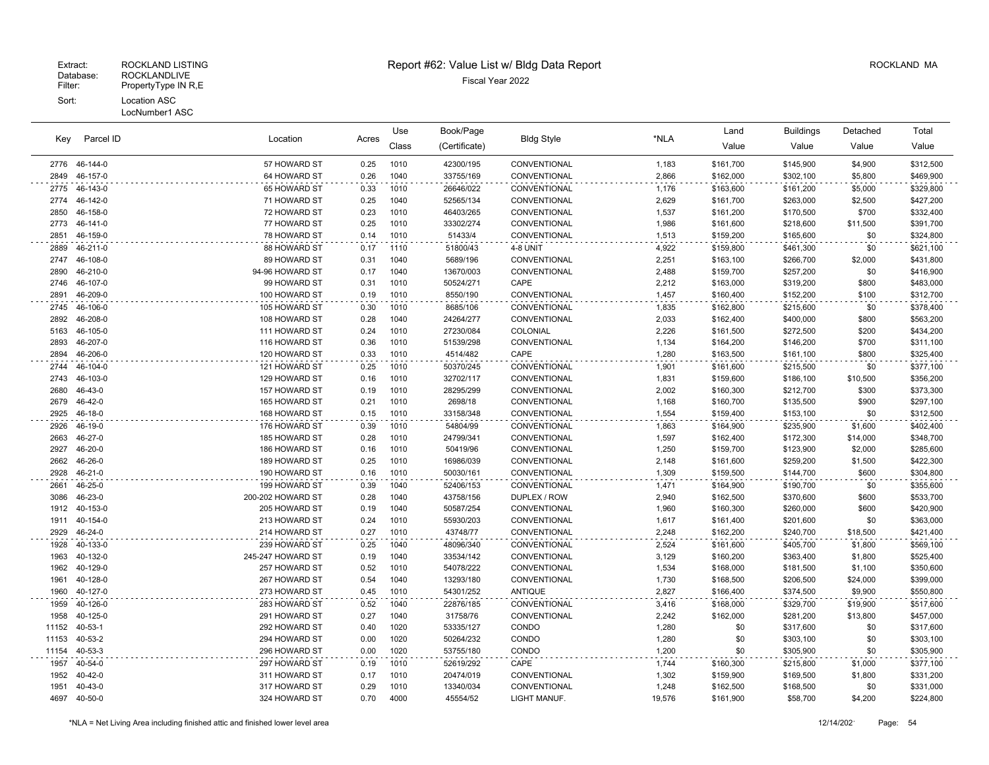| Parcel ID<br>Key |               | Location             |       | Use   | Book/Page     |                   |        | Land      | <b>Buildings</b> | Detached | Total     |
|------------------|---------------|----------------------|-------|-------|---------------|-------------------|--------|-----------|------------------|----------|-----------|
|                  |               |                      | Acres | Class | (Certificate) | <b>Bldg Style</b> | *NLA   | Value     | Value            | Value    | Value     |
| 2776             | 46-144-0      | 57 HOWARD ST         | 0.25  | 1010  | 42300/195     | CONVENTIONAL      | 1,183  | \$161,700 | \$145,900        | \$4,900  | \$312,500 |
| 2849             | 46-157-0      | 64 HOWARD ST         | 0.26  | 1040  | 33755/169     | CONVENTIONAL      | 2,866  | \$162,000 | \$302,100        | \$5,800  | \$469,900 |
| 2775             | 46-143-0      | 65 HOWARD ST         | 0.33  | 1010  | 26646/022     | CONVENTIONAL      | 1,176  | \$163,600 | \$161,200        | \$5,000  | \$329,800 |
| 2774             | 46-142-0      | 71 HOWARD ST         | 0.25  | 1040  | 52565/134     | CONVENTIONAL      | 2,629  | \$161,700 | \$263,000        | \$2,500  | \$427,200 |
| 2850             | 46-158-0      | 72 HOWARD ST         | 0.23  | 1010  | 46403/265     | CONVENTIONAL      | 1,537  | \$161,200 | \$170,500        | \$700    | \$332,400 |
| 2773             | 46-141-0      | 77 HOWARD ST         | 0.25  | 1010  | 33302/274     | CONVENTIONAL      | 1,986  | \$161,600 | \$218,600        | \$11,500 | \$391,700 |
| 2851             | 46-159-0      | 78 HOWARD ST         | 0.14  | 1010  | 51433/4       | CONVENTIONAL      | 1,513  | \$159,200 | \$165,600        | \$0      | \$324,800 |
| 2889             | 46-211-0      | 88 HOWARD ST         | 0.17  | 1110  | 51800/43      | 4-8 UNIT          | 4,922  | \$159,800 | \$461,300        | \$0      | \$621,100 |
| 2747             | 46-108-0      | 89 HOWARD ST         | 0.31  | 1040  | 5689/196      | CONVENTIONAL      | 2,251  | \$163,100 | \$266,700        | \$2,000  | \$431,800 |
| 2890             | 46-210-0      | 94-96 HOWARD ST      | 0.17  | 1040  | 13670/003     | CONVENTIONAL      | 2,488  | \$159,700 | \$257,200        | \$0      | \$416,900 |
| 2746             | 46-107-0      | 99 HOWARD ST         | 0.31  | 1010  | 50524/271     | CAPE              | 2,212  | \$163,000 | \$319,200        | \$800    | \$483,000 |
| 2891             | 46-209-0      | 100 HOWARD ST        | 0.19  | 1010  | 8550/190      | CONVENTIONAL      | 1,457  | \$160,400 | \$152,200        | \$100    | \$312,700 |
| 2745             | 46-106-0      | 105 HOWARD ST        | 0.30  | 1010  | 8685/106      | CONVENTIONAL      | 1,835  | \$162,800 | \$215,600        | \$0      | \$378,400 |
| 2892             | 46-208-0      | 108 HOWARD ST        | 0.28  | 1040  | 24264/277     | CONVENTIONAL      | 2,033  | \$162,400 | \$400,000        | \$800    | \$563,200 |
| 5163             | 46-105-0      | 111 HOWARD ST        | 0.24  | 1010  | 27230/084     | COLONIAL          | 2,226  | \$161,500 | \$272,500        | \$200    | \$434,200 |
| 2893             | 46-207-0      | 116 HOWARD ST        | 0.36  | 1010  | 51539/298     | CONVENTIONAL      | 1,134  | \$164,200 | \$146,200        | \$700    | \$311,100 |
| 2894             | 46-206-0      | 120 HOWARD ST        | 0.33  | 1010  | 4514/482      | CAPE              | 1,280  | \$163,500 | \$161,100        | \$800    | \$325,400 |
| 2744             | 46-104-0      | 121 HOWARD ST        | 0.25  | 1010  | 50370/245     | CONVENTIONAL      | 1,901  | \$161,600 | \$215,500        | \$0      | \$377,100 |
| 2743             | 46-103-0      | 129 HOWARD ST        | 0.16  | 1010  | 32702/117     | CONVENTIONAL      | 1,831  | \$159,600 | \$186,100        | \$10,500 | \$356,200 |
| 2680             | 46-43-0       | <b>157 HOWARD ST</b> | 0.19  | 1010  | 28295/299     | CONVENTIONAL      | 2,002  | \$160,300 | \$212,700        | \$300    | \$373,300 |
| 2679             | 46-42-0       | 165 HOWARD ST        | 0.21  | 1010  | 2698/18       | CONVENTIONAL      | 1,168  | \$160,700 | \$135,500        | \$900    | \$297,100 |
| 2925             | 46-18-0       | 168 HOWARD ST        | 0.15  | 1010  | 33158/348     | CONVENTIONAL      | 1,554  | \$159,400 | \$153,100        | \$0      | \$312,500 |
| 2926             | 46-19-0       | 176 HOWARD ST        | 0.39  | 1010  | 54804/99      | CONVENTIONAL      | 1,863  | \$164,900 | \$235,900        | \$1,600  | \$402,400 |
| 2663             | 46-27-0       | 185 HOWARD ST        | 0.28  | 1010  | 24799/341     | CONVENTIONAL      | 1,597  | \$162,400 | \$172,300        | \$14,000 | \$348,700 |
| 2927             | 46-20-0       | 186 HOWARD ST        | 0.16  | 1010  | 50419/96      | CONVENTIONAL      | 1,250  | \$159,700 | \$123,900        | \$2,000  | \$285,600 |
| 2662             | 46-26-0       | 189 HOWARD ST        | 0.25  | 1010  | 16986/039     | CONVENTIONAL      | 2,148  | \$161,600 | \$259,200        | \$1,500  | \$422,300 |
| 2928             | 46-21-0       | 190 HOWARD ST        | 0.16  | 1010  | 50030/161     | CONVENTIONAL      | 1,309  | \$159,500 | \$144,700        | \$600    | \$304,800 |
| 2661             | 46-25-0       | 199 HOWARD ST        | 0.39  | 1040  | 52406/153     | CONVENTIONAL      | 1,471  | \$164,900 | \$190,700        | \$0      | \$355,600 |
| 3086             | 46-23-0       | 200-202 HOWARD ST    | 0.28  | 1040  | 43758/156     | DUPLEX / ROW      | 2,940  | \$162,500 | \$370,600        | \$600    | \$533,700 |
| 1912             | 40-153-0      | 205 HOWARD ST        | 0.19  | 1040  | 50587/254     | CONVENTIONAL      | 1,960  | \$160,300 | \$260,000        | \$600    | \$420,900 |
| 1911             | 40-154-0      | 213 HOWARD ST        | 0.24  | 1010  | 55930/203     | CONVENTIONAL      | 1,617  | \$161,400 | \$201,600        | \$0      | \$363,000 |
| 2929             | 46-24-0       | 214 HOWARD ST        | 0.27  | 1010  | 43748/77      | CONVENTIONAL      | 2,248  | \$162,200 | \$240,700        | \$18,500 | \$421,400 |
| 1928             | 40-133-0      | 239 HOWARD ST        | 0.25  | 1040  | 48096/340     | CONVENTIONAL      | 2,524  | \$161,600 | \$405,700        | \$1,800  | \$569,100 |
| 1963             | 40-132-0      | 245-247 HOWARD ST    | 0.19  | 1040  | 33534/142     | CONVENTIONAL      | 3,129  | \$160,200 | \$363,400        | \$1,800  | \$525,400 |
| 1962             | 40-129-0      | 257 HOWARD ST        | 0.52  | 1010  | 54078/222     | CONVENTIONAL      | 1,534  | \$168,000 | \$181,500        | \$1,100  | \$350,600 |
| 1961             | 40-128-0      | 267 HOWARD ST        | 0.54  | 1040  | 13293/180     | CONVENTIONAL      | 1,730  | \$168,500 | \$206,500        | \$24,000 | \$399,000 |
| 1960             | 40-127-0      | 273 HOWARD ST        | 0.45  | 1010  | 54301/252     | <b>ANTIQUE</b>    | 2,827  | \$166,400 | \$374,500        | \$9,900  | \$550,800 |
| 1959             | 40-126-0      | 283 HOWARD ST        | 0.52  | 1040  | 22876/185     | CONVENTIONAL      | 3,416  | \$168,000 | \$329,700        | \$19,900 | \$517,600 |
| 1958             | 40-125-0      | 291 HOWARD ST        | 0.27  | 1040  | 31758/76      | CONVENTIONAL      | 2,242  | \$162,000 | \$281,200        | \$13,800 | \$457,000 |
| 11152            | $40 - 53 - 1$ | 292 HOWARD ST        | 0.40  | 1020  | 53335/127     | CONDO             | 1,280  | \$0       | \$317,600        | \$0      | \$317,600 |
| 11153            | 40-53-2       | 294 HOWARD ST        | 0.00  | 1020  | 50264/232     | CONDO             | 1,280  | \$0       | \$303,100        | \$0      | \$303,100 |
| 11154            | $40 - 53 - 3$ | 296 HOWARD ST        | 0.00  | 1020  | 53755/180     | CONDO             | 1,200  | \$0       | \$305,900        | \$0      | \$305,900 |
| 1957             | 40-54-0       | 297 HOWARD ST        | 0.19  | 1010  | 52619/292     | CAPE              | 1,744  | \$160,300 | \$215,800        | \$1,000  | \$377,100 |
| 1952             | 40-42-0       | 311 HOWARD ST        | 0.17  | 1010  | 20474/019     | CONVENTIONAL      | 1,302  | \$159,900 | \$169,500        | \$1,800  | \$331,200 |
| 1951             | 40-43-0       | 317 HOWARD ST        | 0.29  | 1010  | 13340/034     | CONVENTIONAL      | 1,248  | \$162,500 | \$168,500        | \$0      | \$331,000 |
| 4697             | 40-50-0       | 324 HOWARD ST        | 0.70  | 4000  | 45554/52      | LIGHT MANUF.      | 19,576 | \$161,900 | \$58,700         | \$4,200  | \$224,800 |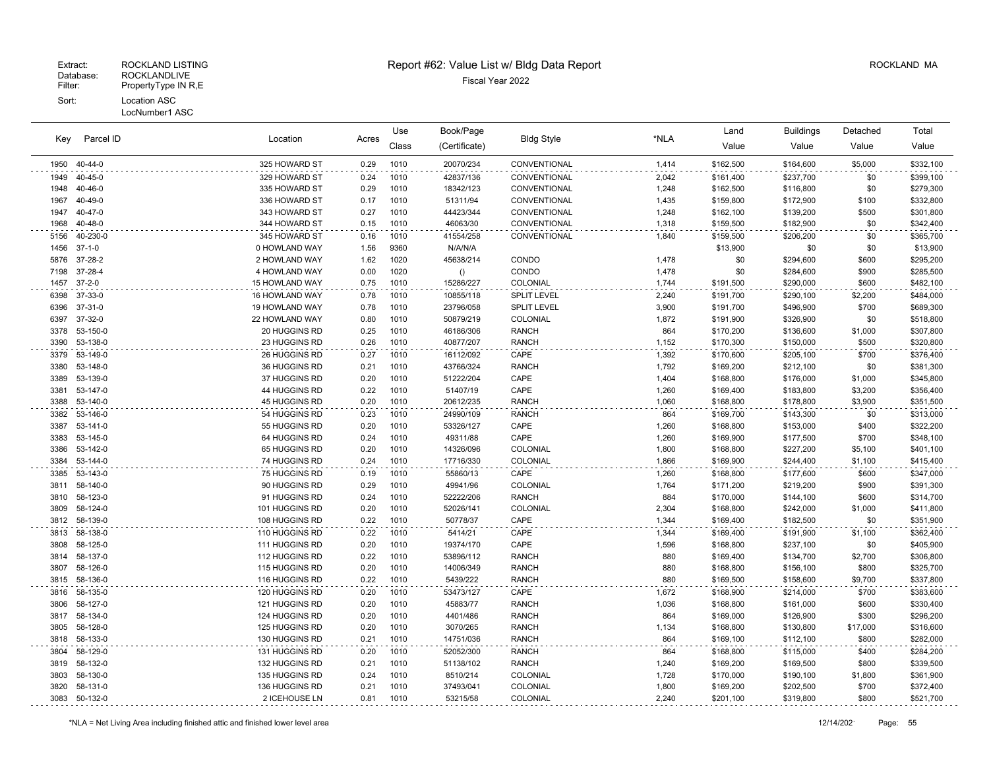LocNumber1 ASC

| Key          | Parcel ID            | Location<br>Acres              | Use          | Book/Page    |                        |                              | Land           | <b>Buildings</b>       | Detached               | Total        |                        |
|--------------|----------------------|--------------------------------|--------------|--------------|------------------------|------------------------------|----------------|------------------------|------------------------|--------------|------------------------|
|              |                      |                                |              | Class        | (Certificate)          | <b>Bldg Style</b>            | *NLA           | Value                  | Value                  | Value        | Value                  |
| 1950         | 40-44-0              | 325 HOWARD ST                  | 0.29         | 1010         | 20070/234              | CONVENTIONAL                 | 1,414          | \$162,500              | \$164,600              | \$5,000      | \$332,100              |
| 1949         | 40-45-0              | 329 HOWARD ST                  | 0.24         | 1010         | 42837/136              | CONVENTIONAL                 | 2,042          | \$161,400              | \$237,700              | \$0          | \$399,100              |
| 1948         | 40-46-0              | 335 HOWARD ST                  | 0.29         | 1010         | 18342/123              | CONVENTIONAL                 | 1,248          | \$162,500              | \$116,800              | \$0          | \$279,300              |
| 1967         | 40-49-0              | 336 HOWARD ST                  | 0.17         | 1010         | 51311/94               | CONVENTIONAL                 | 1,435          | \$159,800              | \$172,900              | \$100        | \$332,800              |
| 1947         | 40-47-0              | 343 HOWARD ST                  | 0.27         | 1010         | 44423/344              | CONVENTIONAL                 | 1,248          | \$162,100              | \$139,200              | \$500        | \$301,800              |
| 1968         | 40-48-0              | 344 HOWARD ST                  | 0.15         | 1010         | 46063/30               | CONVENTIONAL                 | 1,318          | \$159,500              | \$182,900              | \$0          | \$342,400              |
| 5156         | 40-230-0             | 345 HOWARD ST                  | 0.16         | 1010         | 41554/258              | CONVENTIONAL                 | 1,840          | \$159,500              | \$206,200              | \$0          | \$365,700              |
| 1456         | $37 - 1 - 0$         | 0 HOWLAND WAY                  | 1.56         | 9360         | N/A/N/A                |                              |                | \$13,900               | \$0                    | \$0          | \$13,900               |
| 5876         | 37-28-2              | 2 HOWLAND WAY                  | 1.62         | 1020         | 45638/214              | CONDO                        | 1,478          | \$0                    | \$294,600              | \$600        | \$295,200              |
| 7198         | 37-28-4              | 4 HOWLAND WAY                  | 0.00         | 1020         | ()                     | CONDO                        | 1,478          | \$0                    | \$284,600              | \$900        | \$285,500              |
| 1457         | $37 - 2 - 0$         | <b>15 HOWLAND WAY</b>          | 0.75         | 1010         | 15286/227              | COLONIAL                     | 1,744          | \$191,500              | \$290,000              | \$600        | \$482,100              |
| 6398         | 37-33-0              | 16 HOWLAND WAY                 | 0.78         | 1010         | 10855/118              | <b>SPLIT LEVEL</b>           | 2,240          | \$191,700              | \$290,100              | \$2,200      | \$484,000              |
| 6396         | 37-31-0              | 19 HOWLAND WAY                 | 0.78         | 1010         | 23796/058              | <b>SPLIT LEVEL</b>           | 3,900          | \$191,700              | \$496,900              | \$700        | \$689,300              |
| 6397         | 37-32-0              | 22 HOWLAND WAY                 | 0.80         | 1010         | 50879/219              | COLONIAL                     | 1,872          | \$191,900              | \$326,900              | \$0          | \$518,800              |
| 3378         | 53-150-0<br>53-138-0 | 20 HUGGINS RD<br>23 HUGGINS RD | 0.25         | 1010         | 46186/306<br>40877/207 | <b>RANCH</b><br><b>RANCH</b> | 864            | \$170,200              | \$136,600              | \$1,000      | \$307,800<br>\$320,800 |
| 3390         |                      |                                | 0.26         | 1010         |                        |                              | 1,152          | \$170,300              | \$150,000              | \$500        |                        |
| 3379<br>3380 | 53-149-0<br>53-148-0 | 26 HUGGINS RD<br>36 HUGGINS RD | 0.27<br>0.21 | 1010<br>1010 | 16112/092<br>43766/324 | CAPE<br><b>RANCH</b>         | 1,392<br>1,792 | \$170,600              | \$205,100              | \$700<br>\$0 | \$376,400              |
| 3389         | 53-139-0             | 37 HUGGINS RD                  | 0.20         | 1010         | 51222/204              | CAPE                         | 1,404          | \$169,200<br>\$168,800 | \$212,100<br>\$176,000 | \$1,000      | \$381,300<br>\$345,800 |
| 3381         | 53-147-0             | 44 HUGGINS RD                  | 0.22         | 1010         | 51407/19               | CAPE                         | 1,260          | \$169,400              | \$183,800              | \$3,200      | \$356,400              |
| 3388         | 53-140-0             | 45 HUGGINS RD                  | 0.20         | 1010         | 20612/235              | <b>RANCH</b>                 | 1,060          | \$168,800              | \$178,800              | \$3,900      | \$351,500              |
| 3382         | 53-146-0             | 54 HUGGINS RD                  | 0.23         | 1010         | 24990/109              | <b>RANCH</b>                 | 864            | \$169,700              | \$143,300              | \$0          | \$313,000              |
| 3387         | 53-141-0             | 55 HUGGINS RD                  | 0.20         | 1010         | 53326/127              | CAPE                         | 1,260          | \$168,800              | \$153,000              | \$400        | \$322,200              |
| 3383         | 53-145-0             | 64 HUGGINS RD                  | 0.24         | 1010         | 49311/88               | CAPE                         | 1,260          | \$169,900              | \$177,500              | \$700        | \$348,100              |
| 3386         | 53-142-0             | 65 HUGGINS RD                  | 0.20         | 1010         | 14326/096              | <b>COLONIAL</b>              | 1,800          | \$168,800              | \$227,200              | \$5,100      | \$401,100              |
| 3384         | 53-144-0             | 74 HUGGINS RD                  | 0.24         | 1010         | 17716/330              | COLONIAL                     | 1,866          | \$169,900              | \$244,400              | \$1,100      | \$415,400              |
| 3385         | 53-143-0             | 75 HUGGINS RD                  | 0.19         | 1010         | 55860/13               | CAPE                         | 1,260          | \$168,800              | \$177,600              | \$600        | \$347,000              |
| 3811         | 58-140-0             | 90 HUGGINS RD                  | 0.29         | 1010         | 49941/96               | COLONIAL                     | 1,764          | \$171,200              | \$219,200              | \$900        | \$391,300              |
| 3810         | 58-123-0             | 91 HUGGINS RD                  | 0.24         | 1010         | 52222/206              | <b>RANCH</b>                 | 884            | \$170,000              | \$144,100              | \$600        | \$314,700              |
| 3809         | 58-124-0             | 101 HUGGINS RD                 | 0.20         | 1010         | 52026/141              | COLONIAL                     | 2,304          | \$168,800              | \$242,000              | \$1,000      | \$411,800              |
| 3812         | 58-139-0             | 108 HUGGINS RD                 | 0.22         | 1010         | 50778/37               | CAPE                         | 1,344          | \$169,400              | \$182,500              | \$0          | \$351,900              |
| 3813         | 58-138-0             | 110 HUGGINS RD                 | 0.22         | 1010         | 5414/21                | CAPE                         | 1,344          | \$169,400              | \$191,900              | \$1,100      | \$362,400              |
| 3808         | 58-125-0             | 111 HUGGINS RD                 | 0.20         | 1010         | 19374/170              | CAPE                         | 1,596          | \$168,800              | \$237,100              | \$0          | \$405,900              |
| 3814         | 58-137-0             | 112 HUGGINS RD                 | 0.22         | 1010         | 53896/112              | <b>RANCH</b>                 | 880            | \$169,400              | \$134,700              | \$2,700      | \$306,800              |
| 3807         | 58-126-0             | 115 HUGGINS RD                 | 0.20         | 1010         | 14006/349              | <b>RANCH</b>                 | 880            | \$168,800              | \$156,100              | \$800        | \$325,700              |
| 3815         | 58-136-0             | 116 HUGGINS RD                 | 0.22         | 1010         | 5439/222               | <b>RANCH</b>                 | 880            | \$169,500              | \$158,600              | \$9,700      | \$337,800              |
| 3816         | 58-135-0             | 120 HUGGINS RD                 | 0.20         | 1010         | 53473/127              | CAPE                         | 1,672          | \$168,900              | \$214,000              | \$700        | \$383,600              |
| 3806         | 58-127-0             | 121 HUGGINS RD                 | 0.20         | 1010         | 45883/77               | <b>RANCH</b>                 | 1,036          | \$168,800              | \$161,000              | \$600        | \$330,400              |
| 3817         | 58-134-0             | 124 HUGGINS RD                 | 0.20         | 1010         | 4401/486               | <b>RANCH</b>                 | 864            | \$169,000              | \$126,900              | \$300        | \$296,200              |
| 3805         | 58-128-0             | 125 HUGGINS RD                 | 0.20         | 1010         | 3070/265               | <b>RANCH</b>                 | 1,134          | \$168,800              | \$130,800              | \$17,000     | \$316,600              |
| 3818         | 58-133-0             | 130 HUGGINS RD                 | 0.21         | 1010         | 14751/036              | <b>RANCH</b>                 | 864            | \$169,100              | \$112,100              | \$800        | \$282,000              |
| 3804         | 58-129-0             | 131 HUGGINS RD                 | 0.20         | 1010         | 52052/300              | <b>RANCH</b>                 | 864            | \$168,800              | \$115,000              | \$400        | \$284,200              |
| 3819         | 58-132-0             | 132 HUGGINS RD                 | 0.21         | 1010         | 51138/102              | <b>RANCH</b>                 | 1,240          | \$169,200              | \$169,500              | \$800        | \$339,500              |
| 3803         | 58-130-0             | 135 HUGGINS RD                 | 0.24         | 1010         | 8510/214               | COLONIAL                     | 1,728          | \$170,000              | \$190,100              | \$1,800      | \$361,900              |
| 3820         | 58-131-0             | 136 HUGGINS RD                 | 0.21         | 1010         | 37493/041              | COLONIAL                     | 1,800          | \$169,200              | \$202,500              | \$700        | \$372,400              |
|              | 3083 50-132-0        | 2 ICEHOUSE LN                  | 0.81         | 1010         | 53215/58               | COLONIAL                     | 2.240          | \$201,100              | \$319,800              | \$800        | \$521,700              |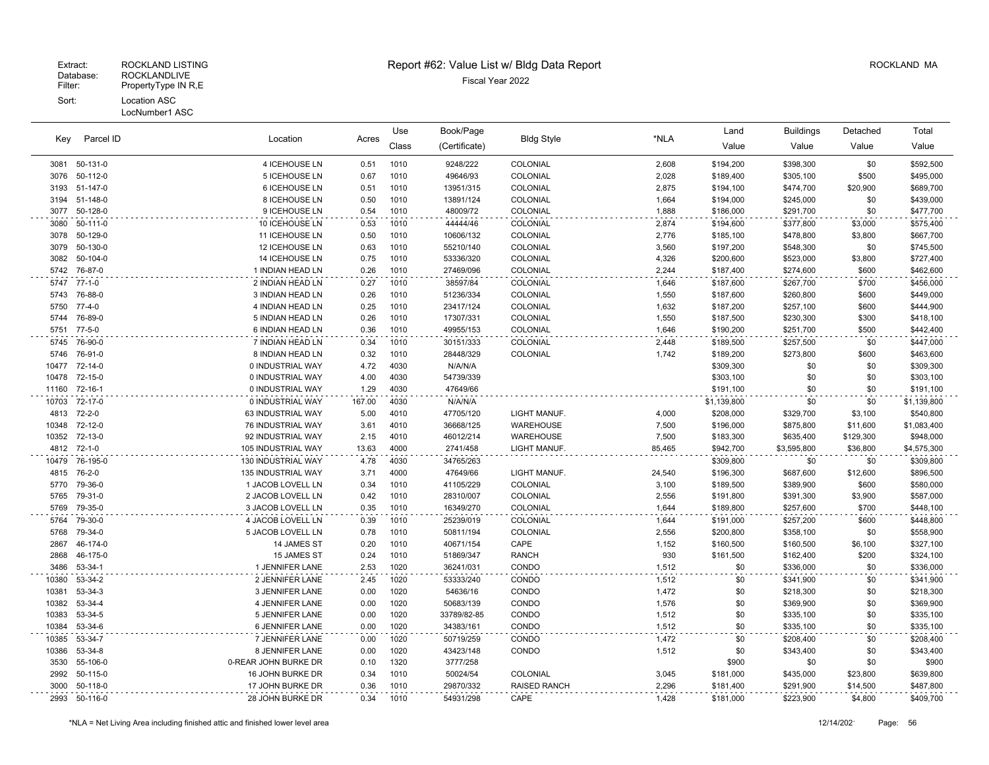#### LocNumber1 ASC

|       | Parcel ID<br>Key |                      | Location<br>Acres | Use   | Book/Page     | <b>Bldg Style</b>   |        | Land        | <b>Buildings</b> | Detached  | Total       |
|-------|------------------|----------------------|-------------------|-------|---------------|---------------------|--------|-------------|------------------|-----------|-------------|
|       |                  |                      |                   | Class | (Certificate) |                     | *NLA   | Value       | Value            | Value     | Value       |
|       | 3081 50-131-0    | 4 ICEHOUSE LN        | 0.51              | 1010  | 9248/222      | COLONIAL            | 2,608  | \$194,200   | \$398,300        | \$0       | \$592,500   |
| 3076  | 50-112-0         | 5 ICEHOUSE LN        | 0.67              | 1010  | 49646/93      | COLONIAL            | 2,028  | \$189,400   | \$305,100        | \$500     | \$495,000   |
| 3193  | 51-147-0         | 6 ICEHOUSE LN        | 0.51              | 1010  | 13951/315     | COLONIAL            | 2,875  | \$194,100   | \$474,700        | \$20,900  | \$689,700   |
| 3194  | 51-148-0         | 8 ICEHOUSE LN        | 0.50              | 1010  | 13891/124     | COLONIAL            | 1,664  | \$194,000   | \$245,000        | \$0       | \$439,000   |
| 3077  | 50-128-0         | 9 ICEHOUSE LN        | 0.54              | 1010  | 48009/72      | COLONIAL            | 1,888  | \$186,000   | \$291,700        | \$0       | \$477,700   |
| 3080  | 50-111-0         | 10 ICEHOUSE LN       | 0.53              | 1010  | 44444/46      | COLONIAL            | 2,874  | \$194,600   | \$377,800        | \$3,000   | \$575,400   |
| 3078  | 50-129-0         | 11 ICEHOUSE LN       | 0.50              | 1010  | 10606/132     | COLONIAL            | 2,776  | \$185,100   | \$478,800        | \$3,800   | \$667,700   |
| 3079  | 50-130-0         | 12 ICEHOUSE LN       | 0.63              | 1010  | 55210/140     | COLONIAL            | 3,560  | \$197,200   | \$548,300        | \$0       | \$745,500   |
| 3082  | 50-104-0         | 14 ICEHOUSE LN       | 0.75              | 1010  | 53336/320     | COLONIAL            | 4,326  | \$200,600   | \$523,000        | \$3,800   | \$727,400   |
| 5742  | 76-87-0          | 1 INDIAN HEAD LN     | 0.26              | 1010  | 27469/096     | COLONIAL            | 2,244  | \$187,400   | \$274,600        | \$600     | \$462,600   |
| 5747  | 77-1-0           | 2 INDIAN HEAD LN     | 0.27              | 1010  | 38597/84      | COLONIAL            | 1,646  | \$187,600   | \$267,700        | \$700     | \$456,000   |
| 5743  | 76-88-0          | 3 INDIAN HEAD LN     | 0.26              | 1010  | 51236/334     | COLONIAL            | 1,550  | \$187,600   | \$260,800        | \$600     | \$449,000   |
| 5750  | $77-4-0$         | 4 INDIAN HEAD LN     | 0.25              | 1010  | 23417/124     | COLONIAL            | 1,632  | \$187,200   | \$257,100        | \$600     | \$444,900   |
| 5744  | 76-89-0          | 5 INDIAN HEAD LN     | 0.26              | 1010  | 17307/331     | COLONIAL            | 1,550  | \$187,500   | \$230,300        | \$300     | \$418,100   |
| 5751  | $77-5-0$         | 6 INDIAN HEAD LN     | 0.36              | 1010  | 49955/153     | COLONIAL            | 1,646  | \$190,200   | \$251,700        | \$500     | \$442,400   |
| 5745  | 76-90-0          | 7 INDIAN HEAD LN     | 0.34              | 1010  | 30151/333     | COLONIAL            | 2,448  | \$189,500   | \$257,500        | \$0       | \$447,000   |
| 5746  | 76-91-0          | 8 INDIAN HEAD LN     | 0.32              | 1010  | 28448/329     | COLONIAL            | 1,742  | \$189,200   | \$273,800        | \$600     | \$463,600   |
|       | 10477 72-14-0    | 0 INDUSTRIAL WAY     | 4.72              | 4030  | N/A/N/A       |                     |        | \$309,300   | \$0              | \$0       | \$309,300   |
| 10478 | 72-15-0          | 0 INDUSTRIAL WAY     | 4.00              | 4030  | 54739/339     |                     |        | \$303,100   | \$0              | \$0       | \$303,100   |
| 11160 | 72-16-1          | 0 INDUSTRIAL WAY     | 1.29              | 4030  | 47649/66      |                     |        | \$191,100   | \$0              | \$0       | \$191,100   |
| 10703 | 72-17-0          | 0 INDUSTRIAL WAY     | 167.00            | 4030  | N/A/N/A       |                     |        | \$1,139,800 | \$0              | \$0       | \$1,139,800 |
| 4813  | $72 - 2 - 0$     | 63 INDUSTRIAL WAY    | 5.00              | 4010  | 47705/120     | LIGHT MANUF.        | 4,000  | \$208,000   | \$329,700        | \$3,100   | \$540,800   |
| 10348 | 72-12-0          | 76 INDUSTRIAL WAY    | 3.61              | 4010  | 36668/125     | WAREHOUSE           | 7,500  | \$196,000   | \$875,800        | \$11,600  | \$1,083,400 |
| 10352 | 72-13-0          | 92 INDUSTRIAL WAY    | 2.15              | 4010  | 46012/214     | <b>WAREHOUSE</b>    | 7,500  | \$183,300   | \$635,400        | \$129,300 | \$948,000   |
| 4812  | $72 - 1 - 0$     | 105 INDUSTRIAL WAY   | 13.63             | 4000  | 2741/458      | LIGHT MANUF.        | 85,465 | \$942,700   | \$3,595,800      | \$36,800  | \$4,575,300 |
| 10479 | 76-195-0         | 130 INDUSTRIAL WAY   | 4.78              | 4030  | 34765/263     |                     |        | \$309,800   | \$0              | \$0       | \$309,800   |
| 4815  | 76-2-0           | 135 INDUSTRIAL WAY   | 3.71              | 4000  | 47649/66      | LIGHT MANUF.        | 24,540 | \$196,300   | \$687,600        | \$12,600  | \$896,500   |
| 5770  | 79-36-0          | 1 JACOB LOVELL LN    | 0.34              | 1010  | 41105/229     | COLONIAL            | 3,100  | \$189,500   | \$389,900        | \$600     | \$580,000   |
| 5765  | 79-31-0          | 2 JACOB LOVELL LN    | 0.42              | 1010  | 28310/007     | COLONIAL            | 2,556  | \$191,800   | \$391,300        | \$3,900   | \$587,000   |
| 5769  | 79-35-0          | 3 JACOB LOVELL LN    | 0.35              | 1010  | 16349/270     | COLONIAL            | 1,644  | \$189,800   | \$257,600        | \$700     | \$448,100   |
| 5764  | 79-30-0          | 4 JACOB LOVELL LN    | 0.39              | 1010  | 25239/019     | COLONIAL            | 1,644  | \$191,000   | \$257,200        | \$600     | \$448,800   |
| 5768  | 79-34-0          | 5 JACOB LOVELL LN    | 0.78              | 1010  | 50811/194     | COLONIAL            | 2,556  | \$200,800   | \$358,100        | \$0       | \$558,900   |
| 2867  | 46-174-0         | 14 JAMES ST          | 0.20              | 1010  | 40671/154     | CAPE                | 1,152  | \$160,500   | \$160,500        | \$6,100   | \$327,100   |
| 2868  | 46-175-0         | 15 JAMES ST          | 0.24              | 1010  | 51869/347     | <b>RANCH</b>        | 930    | \$161,500   | \$162,400        | \$200     | \$324,100   |
| 3486  | 53-34-1          | 1 JENNIFER LANE      | 2.53              | 1020  | 36241/031     | CONDO               | 1,512  | \$0         | \$336,000        | \$0       | \$336,000   |
| 10380 | 53-34-2          | 2 JENNIFER LANE      | 2.45              | 1020  | 53333/240     | CONDO               | 1,512  | \$0         | \$341,900        | \$0       | \$341,900   |
| 10381 | 53-34-3          | 3 JENNIFER LANE      | 0.00              | 1020  | 54636/16      | CONDO               | 1,472  | \$0         | \$218,300        | \$0       | \$218,300   |
| 10382 | 53-34-4          | 4 JENNIFER LANE      | 0.00              | 1020  | 50683/139     | CONDO               | 1,576  | \$0         | \$369,900        | \$0       | \$369,900   |
| 10383 | 53-34-5          | 5 JENNIFER LANE      | 0.00              | 1020  | 33789/82-85   | CONDO               | 1,512  | \$0         | \$335,100        | \$0       | \$335,100   |
| 10384 | 53-34-6          | 6 JENNIFER LANE      | 0.00              | 1020  | 34383/161     | CONDO               | 1,512  | \$0         | \$335,100        | \$0       | \$335,100   |
| 10385 | 53-34-7          | 7 JENNIFER LANE      | 0.00              | 1020  | 50719/259     | CONDO               | 1,472  | \$0         | \$208,400        | \$0       | \$208,400   |
| 10386 | 53-34-8          | 8 JENNIFER LANE      | 0.00              | 1020  | 43423/148     | CONDO               | 1,512  | \$0         | \$343,400        | \$0       | \$343,400   |
| 3530  | 55-106-0         | 0-REAR JOHN BURKE DR | 0.10              | 1320  | 3777/258      |                     |        | \$900       | \$0              | \$0       | \$900       |
| 2992  | 50-115-0         | 16 JOHN BURKE DR     | 0.34              | 1010  | 50024/54      | COLONIAL            | 3,045  | \$181,000   | \$435,000        | \$23,800  | \$639,800   |
| 3000  | 50-118-0         | 17 JOHN BURKE DR     | 0.36              | 1010  | 29870/332     | <b>RAISED RANCH</b> | 2,296  | \$181,400   | \$291,900        | \$14,500  | \$487,800   |
| 2993  | 50-116-0         | 28 JOHN BURKE DR     | 0.34              | 1010  | 54931/298     | CAPE                | 1,428  | \$181,000   | \$223,900        | \$4,800   | \$409,700   |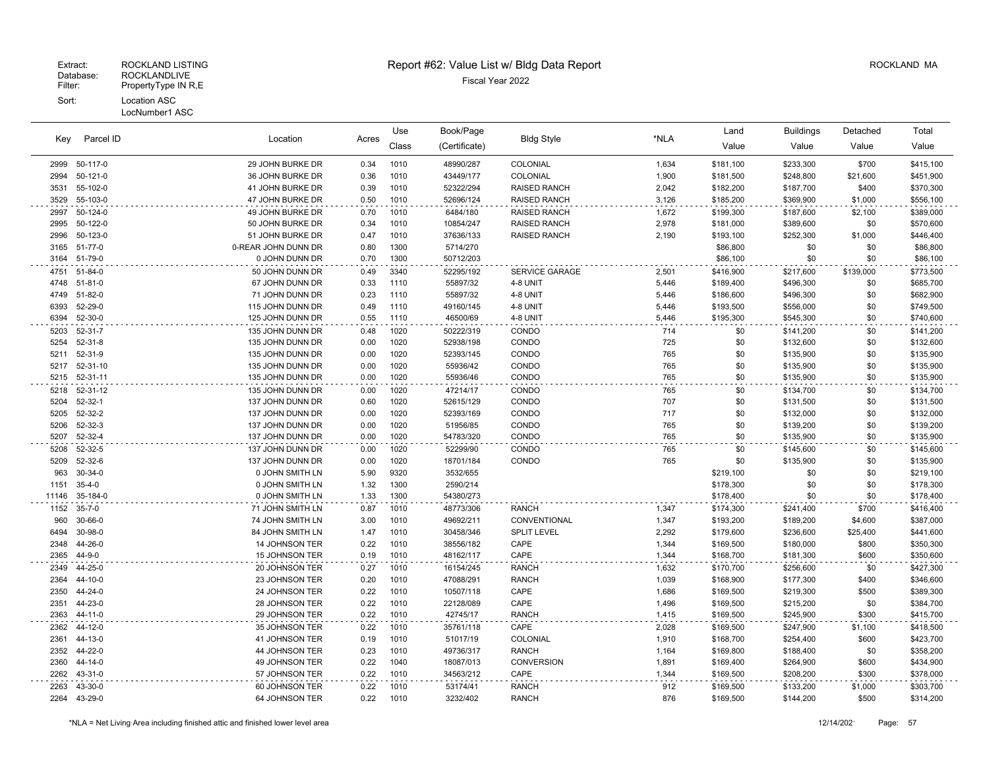# Extract: ROCKLAND LISTING **Report #62: Value List w/ Bldg Data Report** Allem Report ROCKLAND MA

| Parcel ID<br>Key | Location<br>Acres |                     | Use  | Book/Page |               | *NLA                  | Land  | <b>Buildings</b> | Detached  | Total     |           |
|------------------|-------------------|---------------------|------|-----------|---------------|-----------------------|-------|------------------|-----------|-----------|-----------|
|                  |                   |                     |      | Class     | (Certificate) | <b>Bldg Style</b>     |       | Value            | Value     | Value     | Value     |
| 2999             | 50-117-0          | 29 JOHN BURKE DR    | 0.34 | 1010      | 48990/287     | COLONIAL              | 1,634 | \$181,100        | \$233,300 | \$700     | \$415,100 |
| 2994             | 50-121-0          | 36 JOHN BURKE DR    | 0.36 | 1010      | 43449/177     | COLONIAL              | 1,900 | \$181,500        | \$248,800 | \$21,600  | \$451,900 |
| 3531             | 55-102-0          | 41 JOHN BURKE DR    | 0.39 | 1010      | 52322/294     | RAISED RANCH          | 2,042 | \$182,200        | \$187,700 | \$400     | \$370,300 |
| 3529             | 55-103-0          | 47 JOHN BURKE DR    | 0.50 | 1010      | 52696/124     | <b>RAISED RANCH</b>   | 3,126 | \$185,200        | \$369,900 | \$1,000   | \$556,100 |
| 2997             | 50-124-0          | 49 JOHN BURKE DR    | 0.70 | 1010      | 6484/180      | RAISED RANCH          | 1,672 | \$199,300        | \$187,600 | \$2,100   | \$389,000 |
| 2995             | 50-122-0          | 50 JOHN BURKE DR    | 0.34 | 1010      | 10854/247     | <b>RAISED RANCH</b>   | 2,978 | \$181,000        | \$389,600 | \$0       | \$570,600 |
| 2996             | 50-123-0          | 51 JOHN BURKE DR    | 0.47 | 1010      | 37636/133     | <b>RAISED RANCH</b>   | 2,190 | \$193,100        | \$252,300 | \$1,000   | \$446,400 |
| 3165             | 51-77-0           | 0-REAR JOHN DUNN DR | 0.80 | 1300      | 5714/270      |                       |       | \$86,800         | \$0       | \$0       | \$86,800  |
| 3164             | 51-79-0           | 0 JOHN DUNN DR      | 0.70 | 1300      | 50712/203     |                       |       | \$86,100         | \$0       | \$0       | \$86,100  |
| 4751             | $51 - 84 - 0$     | 50 JOHN DUNN DR     | 0.49 | 3340      | 52295/192     | <b>SERVICE GARAGE</b> | 2,501 | \$416,900        | \$217,600 | \$139,000 | \$773,500 |
| 4748             | $51 - 81 - 0$     | 67 JOHN DUNN DR     | 0.33 | 1110      | 55897/32      | 4-8 UNIT              | 5,446 | \$189,400        | \$496,300 | \$0       | \$685,700 |
| 4749             | $51 - 82 - 0$     | 71 JOHN DUNN DR     | 0.23 | 1110      | 55897/32      | 4-8 UNIT              | 5.446 | \$186,600        | \$496,300 | \$0       | \$682,900 |
| 6393             | 52-29-0           | 115 JOHN DUNN DR    | 0.49 | 1110      | 49160/145     | 4-8 UNIT              | 5,446 | \$193,500        | \$556,000 | \$0       | \$749,500 |
| 6394             | 52-30-0           | 125 JOHN DUNN DR    | 0.55 | 1110      | 46500/69      | 4-8 UNIT              | 5,446 | \$195,300        | \$545,300 | \$0       | \$740,600 |
| 5203             | $52 - 31 - 7$     | 135 JOHN DUNN DR    | 0.48 | 1020      | 50222/319     | CONDO                 | 714   | \$0              | \$141,200 | \$0       | \$141,200 |
| 5254             | $52 - 31 - 8$     | 135 JOHN DUNN DR    | 0.00 | 1020      | 52938/198     | CONDO                 | 725   | \$0              | \$132,600 | \$0       | \$132,600 |
| 5211             | 52-31-9           | 135 JOHN DUNN DR    | 0.00 | 1020      | 52393/145     | CONDO                 | 765   | \$0              | \$135,900 | \$0       | \$135,900 |
| 5217             | 52-31-10          | 135 JOHN DUNN DR    | 0.00 | 1020      | 55936/42      | CONDO                 | 765   | \$0              | \$135,900 | \$0       | \$135,900 |
| 5215             | 52-31-11          | 135 JOHN DUNN DR    | 0.00 | 1020      | 55936/46      | CONDO                 | 765   | \$0              | \$135,900 | \$0       | \$135,900 |
| 5218             | 52-31-12          | 135 JOHN DUNN DR    | 0.00 | 1020      | 47214/17      | CONDO                 | 765   | \$0              | \$134,700 | \$0       | \$134,700 |
| 5204             | $52 - 32 - 1$     | 137 JOHN DUNN DR    | 0.60 | 1020      | 52615/129     | CONDO                 | 707   | \$0              | \$131,500 | \$0       | \$131,500 |
| 5205             | 52-32-2           | 137 JOHN DUNN DR    | 0.00 | 1020      | 52393/169     | CONDO                 | 717   | \$0              | \$132,000 | \$0       | \$132,000 |
| 5206             | 52-32-3           | 137 JOHN DUNN DR    | 0.00 | 1020      | 51956/85      | CONDO                 | 765   | \$0              | \$139,200 | \$0       | \$139,200 |
| 5207             | 52-32-4           | 137 JOHN DUNN DR    | 0.00 | 1020      | 54783/320     | CONDO                 | 765   | \$0              | \$135,900 | \$0       | \$135,900 |
| 5208             | 52-32-5           | 137 JOHN DUNN DR    | 0.00 | 1020      | 52299/90      | CONDO                 | 765   | \$0              | \$145,600 | \$0       | \$145,600 |
| 5209             | 52-32-6           | 137 JOHN DUNN DR    | 0.00 | 1020      | 18701/184     | CONDO                 | 765   | \$0              | \$135,900 | \$0       | \$135,900 |
| 963              | $30 - 34 - 0$     | 0 JOHN SMITH LN     | 5.90 | 9320      | 3532/655      |                       |       | \$219,100        | \$0       | \$0       | \$219,100 |
| 1151             | $35 - 4 - 0$      | 0 JOHN SMITH LN     | 1.32 | 1300      | 2590/214      |                       |       | \$178,300        | \$0       | \$0       | \$178,300 |
| 11146            | 35-184-0          | 0 JOHN SMITH LN     | 1.33 | 1300      | 54380/273     |                       |       | \$178,400        | \$0       | \$0       | \$178,400 |
| 1152             | $35 - 7 - 0$      | 71 JOHN SMITH LN    | 0.87 | 1010      | 48773/306     | <b>RANCH</b>          | 1,347 | \$174,300        | \$241,400 | \$700     | \$416,400 |
| 960              | 30-66-0           | 74 JOHN SMITH LN    | 3.00 | 1010      | 49692/211     | CONVENTIONAL          | 1,347 | \$193,200        | \$189,200 | \$4,600   | \$387,000 |
| 6494             | 30-98-0           | 84 JOHN SMITH LN    | 1.47 | 1010      | 30458/346     | <b>SPLIT LEVEL</b>    | 2,292 | \$179,600        | \$236,600 | \$25,400  | \$441,600 |
| 2348             | 44-26-0           | 14 JOHNSON TER      | 0.22 | 1010      | 38556/182     | CAPE                  | 1,344 | \$169,500        | \$180,000 | \$800     | \$350,300 |
| 2365             | 44-9-0            | 15 JOHNSON TER      | 0.19 | 1010      | 48162/117     | CAPE                  | 1,344 | \$168,700        | \$181,300 | \$600     | \$350,600 |
| 2349             | 44-25-0           | 20 JOHNSON TER      | 0.27 | 1010      | 16154/245     | <b>RANCH</b>          | 1,632 | \$170,700        | \$256,600 | \$0       | \$427,300 |
| 2364             | 44-10-0           | 23 JOHNSON TER      | 0.20 | 1010      | 47088/291     | <b>RANCH</b>          | 1,039 | \$168,900        | \$177,300 | \$400     | \$346,600 |
| 2350             | 44-24-0           | 24 JOHNSON TER      | 0.22 | 1010      | 10507/118     | CAPE                  | 1,686 | \$169,500        | \$219,300 | \$500     | \$389,300 |
| 2351             | 44-23-0           | 28 JOHNSON TER      | 0.22 | 1010      | 22128/089     | CAPE                  | 1,496 | \$169,500        | \$215,200 | \$0       | \$384,700 |
| 2363             | 44-11-0           | 29 JOHNSON TER      | 0.22 | 1010      | 42745/17      | <b>RANCH</b>          | 1,415 | \$169,500        | \$245,900 | \$300     | \$415,700 |
| 2362             | 44-12-0           | 35 JOHNSON TER      | 0.22 | 1010      | 35761/118     | CAPE                  | 2,028 | \$169,500        | \$247,900 | \$1,100   | \$418,500 |
| 2361             | 44-13-0           | 41 JOHNSON TER      | 0.19 | 1010      | 51017/19      | COLONIAL              | 1,910 | \$168,700        | \$254,400 | \$600     | \$423,700 |
| 2352             | 44-22-0           | 44 JOHNSON TER      | 0.23 | 1010      | 49736/317     | <b>RANCH</b>          | 1,164 | \$169,800        | \$188,400 | \$0       | \$358,200 |
| 2360             | 44-14-0           | 49 JOHNSON TER      | 0.22 | 1040      | 18087/013     | <b>CONVERSION</b>     | 1,891 | \$169,400        | \$264,900 | \$600     | \$434,900 |
| 2262             | 43-31-0           | 57 JOHNSON TER      | 0.22 | 1010      | 34563/212     | CAPE                  | 1,344 | \$169,500        | \$208,200 | \$300     | \$378,000 |
| 2263             | 43-30-0           | 60 JOHNSON TER      | 0.22 | 1010      | 53174/41      | <b>RANCH</b>          | 912   | \$169,500        | \$133,200 | \$1,000   | \$303,700 |
| 2264             | 43-29-0           | 64 JOHNSON TER      | 0.22 | 1010      | 3232/402      | <b>RANCH</b>          | 876   | \$169,500        | \$144,200 | \$500     | \$314,200 |
|                  |                   |                     |      |           |               |                       |       |                  |           |           |           |

\*NLA = Net Living Area including finished attic and finished lower level area 12/14/202 Page: 57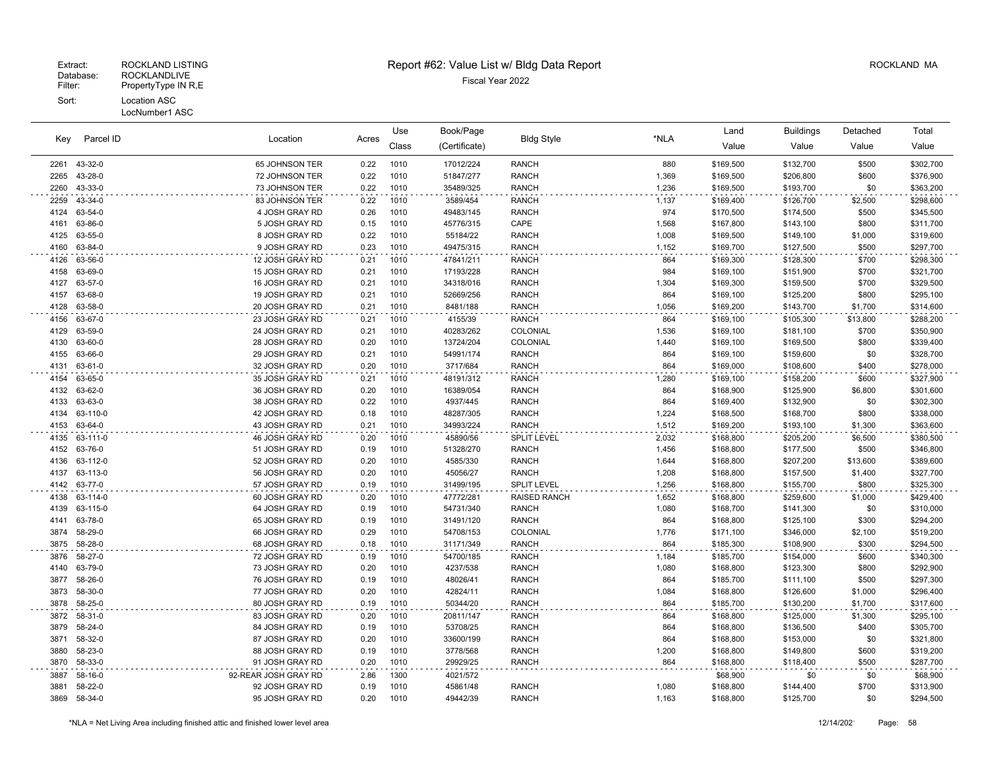| Parcel ID<br>Key | Location           | Acres                              | Use          | Book/Page    | <b>Bldg Style</b>      | *NLA                     | Land         | <b>Buildings</b>       | Detached               | Total        |                        |
|------------------|--------------------|------------------------------------|--------------|--------------|------------------------|--------------------------|--------------|------------------------|------------------------|--------------|------------------------|
|                  |                    |                                    |              | Class        | (Certificate)          |                          |              | Value                  | Value                  | Value        | Value                  |
| 2261             | 43-32-0            | 65 JOHNSON TER                     | 0.22         | 1010         | 17012/224              | <b>RANCH</b>             | 880          | \$169,500              | \$132,700              | \$500        | \$302,700              |
| 2265             | 43-28-0            | 72 JOHNSON TER                     | 0.22         | 1010         | 51847/277              | <b>RANCH</b>             | 1,369        | \$169,500              | \$206,800              | \$600        | \$376,900              |
| 2260             | 43-33-0            | 73 JOHNSON TER                     | 0.22         | 1010         | 35489/325              | <b>RANCH</b>             | 1,236        | \$169,500              | \$193,700              | \$0          | \$363,200              |
| 2259             | 43-34-0            | 83 JOHNSON TER                     | 0.22         | 1010         | 3589/454               | <b>RANCH</b>             | 1,137        | \$169,400              | \$126,700              | \$2,500      | \$298,600              |
| 4124             | 63-54-0            | 4 JOSH GRAY RD                     | 0.26         | 1010         | 49483/145              | <b>RANCH</b>             | 974          | \$170,500              | \$174,500              | \$500        | \$345,500              |
| 4161             | 63-86-0            | 5 JOSH GRAY RD                     | 0.15         | 1010         | 45776/315              | CAPE                     | 1,568        | \$167,800              | \$143,100              | \$800        | \$311,700              |
| 4125             | 63-55-0            | 8 JOSH GRAY RD                     | 0.22         | 1010         | 55184/22               | <b>RANCH</b>             | 1,008        | \$169,500              | \$149,100              | \$1,000      | \$319,600              |
| 4160             | 63-84-0            | 9 JOSH GRAY RD                     | 0.23         | 1010         | 49475/315              | <b>RANCH</b>             | 1,152        | \$169,700              | \$127,500              | \$500        | \$297,700              |
| 4126             | 63-56-0            | 12 JOSH GRAY RD                    | 0.21         | 1010         | 47841/211              | <b>RANCH</b>             | 864          | \$169,300              | \$128,300              | \$700        | \$298,300              |
| 4158             | 63-69-0            | 15 JOSH GRAY RD                    | 0.21         | 1010         | 17193/228              | <b>RANCH</b>             | 984          | \$169,100              | \$151,900              | \$700        | \$321,700              |
| 4127             | 63-57-0            | 16 JOSH GRAY RD                    | 0.21         | 1010         | 34318/016              | <b>RANCH</b>             | 1,304        | \$169,300              | \$159,500              | \$700        | \$329,500              |
| 4157             | 63-68-0            | 19 JOSH GRAY RD                    | 0.21         | 1010         | 52669/256              | <b>RANCH</b>             | 864          | \$169,100              | \$125,200              | \$800        | \$295,100              |
| 4128             | 63-58-0            | 20 JOSH GRAY RD                    | 0.21         | 1010         | 8481/188               | <b>RANCH</b>             | 1,056        | \$169,200              | \$143,700              | \$1,700      | \$314,600              |
| 4156             | 63-67-0            | 23 JOSH GRAY RD                    | 0.21         | 1010         | 4155/39                | <b>RANCH</b>             | 864          | \$169,100              | \$105,300              | \$13,800     | \$288,200              |
| 4129             | 63-59-0            | 24 JOSH GRAY RD                    | 0.21         | 1010         | 40283/262              | COLONIAL                 | 1,536        | \$169,100              | \$181,100              | \$700        | \$350,900              |
| 4130<br>4155     | 63-60-0<br>63-66-0 | 28 JOSH GRAY RD<br>29 JOSH GRAY RD | 0.20<br>0.21 | 1010<br>1010 | 13724/204<br>54991/174 | COLONIAL<br><b>RANCH</b> | 1,440<br>864 | \$169,100<br>\$169,100 | \$169,500<br>\$159,600 | \$800<br>\$0 | \$339,400<br>\$328,700 |
| 4131             | 63-61-0            | 32 JOSH GRAY RD                    | 0.20         | 1010         | 3717/684               | <b>RANCH</b>             | 864          | \$169,000              | \$108,600              | \$400        | \$278,000              |
| 4154             | 63-65-0            | 35 JOSH GRAY RD                    | 0.21         | 1010         | 48191/312              | <b>RANCH</b>             |              | \$169,100              | \$158,200              | \$600        | \$327,900              |
| 4132             | 63-62-0            | 36 JOSH GRAY RD                    | 0.20         | 1010         | 16389/054              | <b>RANCH</b>             | 1,280<br>864 | \$168,900              | \$125,900              | \$6,800      | \$301,600              |
| 4133             | 63-63-0            | 38 JOSH GRAY RD                    | 0.22         | 1010         | 4937/445               | <b>RANCH</b>             | 864          | \$169,400              | \$132,900              | \$0          | \$302,300              |
| 4134             | 63-110-0           | 42 JOSH GRAY RD                    | 0.18         | 1010         | 48287/305              | <b>RANCH</b>             | 1,224        | \$168,500              | \$168,700              | \$800        | \$338,000              |
| 4153             | 63-64-0            | 43 JOSH GRAY RD                    | 0.21         | 1010         | 34993/224              | <b>RANCH</b>             | 1,512        | \$169,200              | \$193,100              | \$1,300      | \$363,600              |
| 4135             | 63-111-0           | 46 JOSH GRAY RD                    | 0.20         | 1010         | 45890/56               | <b>SPLIT LEVEL</b>       | 2,032        | \$168,800              | \$205,200              | \$6,500      | \$380,500              |
| 4152             | 63-76-0            | 51 JOSH GRAY RD                    | 0.19         | 1010         | 51328/270              | <b>RANCH</b>             | 1,456        | \$168,800              | \$177,500              | \$500        | \$346,800              |
| 4136             | 63-112-0           | 52 JOSH GRAY RD                    | 0.20         | 1010         | 4585/330               | <b>RANCH</b>             | 1,644        | \$168,800              | \$207,200              | \$13,600     | \$389,600              |
| 4137             | 63-113-0           | 56 JOSH GRAY RD                    | 0.20         | 1010         | 45056/27               | <b>RANCH</b>             | 1,208        | \$168,800              | \$157,500              | \$1,400      | \$327,700              |
| 4142             | 63-77-0            | 57 JOSH GRAY RD                    | 0.19         | 1010         | 31499/195              | <b>SPLIT LEVEL</b>       | 1,256        | \$168,800              | \$155,700              | \$800        | \$325,300              |
| 4138             | 63-114-0           | 60 JOSH GRAY RD                    | 0.20         | 1010         | 47772/281              | <b>RAISED RANCH</b>      | 1,652        | \$168,800              | \$259,600              | \$1,000      | \$429,400              |
| 4139             | 63-115-0           | 64 JOSH GRAY RD                    | 0.19         | 1010         | 54731/340              | <b>RANCH</b>             | 1,080        | \$168,700              | \$141,300              | \$0          | \$310,000              |
| 4141             | 63-78-0            | 65 JOSH GRAY RD                    | 0.19         | 1010         | 31491/120              | <b>RANCH</b>             | 864          | \$168,800              | \$125,100              | \$300        | \$294,200              |
| 3874             | 58-29-0            | 66 JOSH GRAY RD                    | 0.29         | 1010         | 54708/153              | COLONIAL                 | 1,776        | \$171,100              | \$346,000              | \$2,100      | \$519,200              |
| 3875             | 58-28-0            | 68 JOSH GRAY RD                    | 0.18         | 1010         | 31171/349              | <b>RANCH</b>             | 864          | \$185,300              | \$108,900              | \$300        | \$294,500              |
| 3876             | 58-27-0            | 72 JOSH GRAY RD                    | 0.19         | 1010         | 54700/185              | <b>RANCH</b>             | 1,184        | \$185,700              | \$154,000              | \$600        | \$340,300              |
| 4140             | 63-79-0            | 73 JOSH GRAY RD                    | 0.20         | 1010         | 4237/538               | <b>RANCH</b>             | 1,080        | \$168,800              | \$123,300              | \$800        | \$292,900              |
| 3877             | 58-26-0            | 76 JOSH GRAY RD                    | 0.19         | 1010         | 48026/41               | <b>RANCH</b>             | 864          | \$185,700              | \$111,100              | \$500        | \$297,300              |
| 3873             | 58-30-0            | 77 JOSH GRAY RD                    | 0.20         | 1010         | 42824/11               | <b>RANCH</b>             | 1,084        | \$168,800              | \$126,600              | \$1,000      | \$296,400              |
| 3878             | 58-25-0            | 80 JOSH GRAY RD                    | 0.19         | 1010         | 50344/20               | <b>RANCH</b>             | 864          | \$185,700              | \$130,200              | \$1,700      | \$317,600              |
| 3872             | 58-31-0            | 83 JOSH GRAY RD                    | 0.20         | 1010         | 20811/147              | <b>RANCH</b>             | 864          | \$168,800              | \$125,000              | \$1,300      | \$295,100              |
| 3879             | 58-24-0            | 84 JOSH GRAY RD                    | 0.19         | 1010         | 53708/25               | <b>RANCH</b>             | 864          | \$168,800              | \$136,500              | \$400        | \$305,700              |
| 3871             | 58-32-0            | 87 JOSH GRAY RD                    | 0.20         | 1010         | 33600/199              | <b>RANCH</b>             | 864          | \$168,800              | \$153,000              | \$0          | \$321,800              |
| 3880             | 58-23-0            | 88 JOSH GRAY RD                    | 0.19         | 1010         | 3778/568               | <b>RANCH</b>             | 1,200        | \$168,800              | \$149,800              | \$600        | \$319,200              |
| 3870             | 58-33-0            | 91 JOSH GRAY RD                    | 0.20         | 1010         | 29929/25               | <b>RANCH</b>             | 864          | \$168,800              | \$118,400              | \$500        | \$287,700              |
| 3887             | 58-16-0            | 92-REAR JOSH GRAY RD               | 2.86         | 1300         | 4021/572               |                          |              | \$68,900               | \$0                    | \$0          | \$68,900               |
| 3881             | 58-22-0            | 92 JOSH GRAY RD                    | 0.19         | 1010         | 45861/48               | <b>RANCH</b>             | 1,080        | \$168,800              | \$144,400              | \$700        | \$313,900              |
| 3869             | 58-34-0            | 95 JOSH GRAY RD                    | 0.20         | 1010         | 49442/39               | <b>RANCH</b>             | 1,163        | \$168,800              | \$125,700              | \$0          | \$294,500              |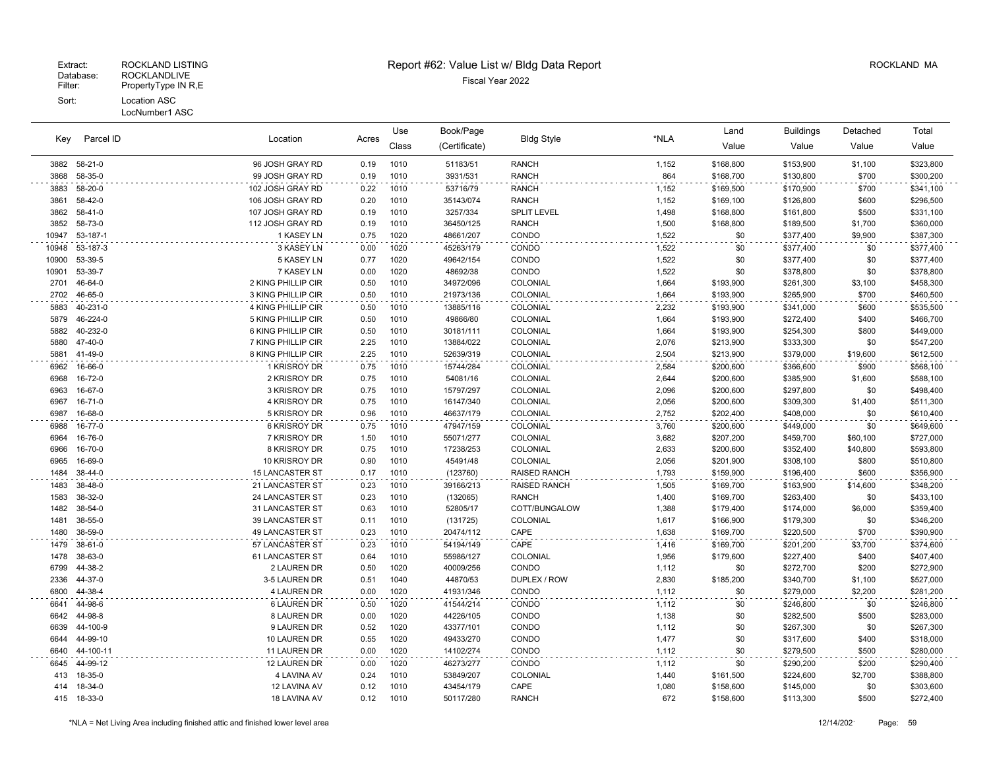| Parcel ID<br>Key |               |                        | Use   | Book/Page |               |                     | Land  | <b>Buildings</b> | Detached  | Total    |           |
|------------------|---------------|------------------------|-------|-----------|---------------|---------------------|-------|------------------|-----------|----------|-----------|
|                  |               | Location               | Acres | Class     | (Certificate) | <b>Bldg Style</b>   | *NLA  | Value            | Value     | Value    | Value     |
| 3882             | $58-21-0$     | 96 JOSH GRAY RD        | 0.19  | 1010      | 51183/51      | RANCH               | 1,152 | \$168,800        | \$153,900 | \$1,100  | \$323,800 |
| 3868             | 58-35-0       | 99 JOSH GRAY RD        | 0.19  | 1010      | 3931/531      | <b>RANCH</b>        | 864   | \$168,700        | \$130,800 | \$700    | \$300,200 |
| 3883             | 58-20-0       | 102 JOSH GRAY RD       | 0.22  | 1010      | 53716/79      | <b>RANCH</b>        | 1,152 | \$169,500        | \$170,900 | \$700    | \$341,100 |
| 3861             | 58-42-0       | 106 JOSH GRAY RD       | 0.20  | 1010      | 35143/074     | <b>RANCH</b>        | 1,152 | \$169,100        | \$126,800 | \$600    | \$296,500 |
| 3862             | 58-41-0       | 107 JOSH GRAY RD       | 0.19  | 1010      | 3257/334      | <b>SPLIT LEVEL</b>  | 1,498 | \$168,800        | \$161,800 | \$500    | \$331,100 |
| 3852             | 58-73-0       | 112 JOSH GRAY RD       | 0.19  | 1010      | 36450/125     | <b>RANCH</b>        | 1,500 | \$168,800        | \$189,500 | \$1,700  | \$360,000 |
| 10947            | 53-187-1      | 1 KASEY LN             | 0.75  | 1020      | 48661/207     | CONDO               | 1,522 | \$0              | \$377,400 | \$9,900  | \$387,300 |
| 10948            | 53-187-3      | 3 KASEY LN             | 0.00  | 1020      | 45263/179     | CONDO               | 1,522 | \$0              | \$377,400 | \$0      | \$377,400 |
| 10900            | 53-39-5       | <b>5 KASEY LN</b>      | 0.77  | 1020      | 49642/154     | CONDO               | 1,522 | \$0              | \$377,400 | \$0      | \$377,400 |
| 10901            | 53-39-7       | 7 KASEY LN             | 0.00  | 1020      | 48692/38      | CONDO               | 1,522 | \$0              | \$378,800 | \$0      | \$378,800 |
| 2701             | 46-64-0       | 2 KING PHILLIP CIR     | 0.50  | 1010      | 34972/096     | COLONIAL            | 1,664 | \$193,900        | \$261,300 | \$3,100  | \$458,300 |
| 2702             | 46-65-0       | 3 KING PHILLIP CIR     | 0.50  | 1010      | 21973/136     | COLONIAL            | 1.664 | \$193,900        | \$265.900 | \$700    | \$460,500 |
| 5883             | 40-231-0      | 4 KING PHILLIP CIR     | 0.50  | 1010      | 13885/116     | COLONIAL            | 2,232 | \$193,900        | \$341,000 | \$600    | \$535,500 |
| 5879             | 46-224-0      | 5 KING PHILLIP CIR     | 0.50  | 1010      | 49866/80      | COLONIAL            | 1,664 | \$193,900        | \$272,400 | \$400    | \$466,700 |
| 5882             | 40-232-0      | 6 KING PHILLIP CIR     | 0.50  | 1010      | 30181/111     | COLONIAL            | 1,664 | \$193,900        | \$254,300 | \$800    | \$449,000 |
| 5880             | 47-40-0       | 7 KING PHILLIP CIR     | 2.25  | 1010      | 13884/022     | COLONIAL            | 2,076 | \$213,900        | \$333,300 | \$0      | \$547,200 |
| 5881             | 41-49-0       | 8 KING PHILLIP CIR     | 2.25  | 1010      | 52639/319     | COLONIAL            | 2,504 | \$213,900        | \$379,000 | \$19,600 | \$612,500 |
| 6962             | 16-66-0       | 1 KRISROY DR           | 0.75  | 1010      | 15744/284     | <b>COLONIAL</b>     | 2,584 | \$200,600        | \$366,600 | \$900    | \$568,100 |
| 6968             | 16-72-0       | 2 KRISROY DR           | 0.75  | 1010      | 54081/16      | COLONIAL            | 2,644 | \$200,600        | \$385,900 | \$1,600  | \$588,100 |
| 6963             | 16-67-0       | 3 KRISROY DR           | 0.75  | 1010      | 15797/297     | COLONIAL            | 2,096 | \$200,600        | \$297,800 | \$0      | \$498,400 |
| 6967             | $16 - 71 - 0$ | 4 KRISROY DR           | 0.75  | 1010      | 16147/340     | COLONIAL            | 2,056 | \$200,600        | \$309,300 | \$1,400  | \$511,300 |
| 6987             | 16-68-0       | 5 KRISROY DR           | 0.96  | 1010      | 46637/179     | COLONIAL            | 2,752 | \$202,400        | \$408,000 | \$0      | \$610,400 |
| 6988             | 16-77-0       | 6 KRISROY DR           | 0.75  | 1010      | 47947/159     | COLONIAL            | 3,760 | \$200,600        | \$449,000 | \$0      | \$649,600 |
| 6964             | 16-76-0       | 7 KRISROY DR           | 1.50  | 1010      | 55071/277     | COLONIAL            | 3,682 | \$207,200        | \$459,700 | \$60,100 | \$727,000 |
| 6966             | 16-70-0       | 8 KRISROY DR           | 0.75  | 1010      | 17238/253     | COLONIAL            | 2.633 | \$200,600        | \$352.400 | \$40,800 | \$593,800 |
| 6965             | 16-69-0       | 10 KRISROY DR          | 0.90  | 1010      | 45491/48      | COLONIAL            | 2,056 | \$201,900        | \$308,100 | \$800    | \$510,800 |
| 1484             | 38-44-0       | <b>15 LANCASTER ST</b> | 0.17  | 1010      | (123760)      | <b>RAISED RANCH</b> | 1,793 | \$159,900        | \$196,400 | \$600    | \$356,900 |
| 1483             | 38-48-0       | 21 LANCASTER ST        | 0.23  | 1010      | 39166/213     | <b>RAISED RANCH</b> | 1,505 | \$169,700        | \$163,900 | \$14,600 | \$348,200 |
| 1583             | 38-32-0       | 24 LANCASTER ST        | 0.23  | 1010      | (132065)      | <b>RANCH</b>        | 1,400 | \$169,700        | \$263,400 | \$0      | \$433,100 |
| 1482             | 38-54-0       | 31 LANCASTER ST        | 0.63  | 1010      | 52805/17      | COTT/BUNGALOW       | 1,388 | \$179,400        | \$174,000 | \$6,000  | \$359,400 |
| 1481             | 38-55-0       | 39 LANCASTER ST        | 0.11  | 1010      | (131725)      | COLONIAL            | 1,617 | \$166,900        | \$179,300 | \$0      | \$346,200 |
| 1480             | 38-59-0       | 49 LANCASTER ST        | 0.23  | 1010      | 20474/112     | CAPE                | 1,638 | \$169,700        | \$220,500 | \$700    | \$390,900 |
| 1479             | $38-61-0$     | 57 LANCASTER ST        | 0.23  | 1010      | 54194/149     | CAPE                | 1,416 | \$169,700        | \$201,200 | \$3,700  | \$374,600 |
| 1478             | 38-63-0       | 61 LANCASTER ST        | 0.64  | 1010      | 55986/127     | COLONIAL            | 1,956 | \$179,600        | \$227,400 | \$400    | \$407,400 |
| 6799             | 44-38-2       | 2 LAUREN DR            | 0.50  | 1020      | 40009/256     | CONDO               | 1,112 | \$0              | \$272,700 | \$200    | \$272,900 |
| 2336             | 44-37-0       | 3-5 LAUREN DR          | 0.51  | 1040      | 44870/53      | DUPLEX / ROW        | 2,830 | \$185,200        | \$340,700 | \$1,100  | \$527,000 |
| 6800             | 44-38-4       | 4 LAUREN DR            | 0.00  | 1020      | 41931/346     | CONDO               | 1,112 | \$0              | \$279,000 | \$2,200  | \$281,200 |
| 6641             | 44-98-6       | <b>6 LAUREN DR</b>     | 0.50  | 1020      | 41544/214     | CONDO               | 1,112 | \$0              | \$246,800 | \$0      | \$246,800 |
| 6642             | 44-98-8       | 8 LAUREN DR            | 0.00  | 1020      | 44226/105     | CONDO               | 1,138 | \$0              | \$282,500 | \$500    | \$283,000 |
| 6639             | 44-100-9      | 9 LAUREN DR            | 0.52  | 1020      | 43377/101     | CONDO               | 1,112 | \$0              | \$267,300 | \$0      | \$267,300 |
| 6644             | 44-99-10      | 10 LAUREN DR           | 0.55  | 1020      | 49433/270     | CONDO               | 1,477 | \$0              | \$317,600 | \$400    | \$318,000 |
| 6640             | 44-100-11     | 11 LAUREN DR           | 0.00  | 1020      | 14102/274     | CONDO               | 1,112 | \$0              | \$279,500 | \$500    | \$280,000 |
| 6645             | 44-99-12      | 12 LAUREN DR           | 0.00  | 1020      | 46273/277     | CONDO               | 1,112 | \$0              | \$290,200 | \$200    | \$290,400 |
| 413              | 18-35-0       | 4 LAVINA AV            | 0.24  | 1010      | 53849/207     | COLONIAL            | 1,440 | \$161,500        | \$224,600 | \$2,700  | \$388,800 |
| 414              | 18-34-0       | 12 LAVINA AV           | 0.12  | 1010      | 43454/179     | CAPE                | 1,080 | \$158,600        | \$145,000 | \$0      | \$303,600 |
| 415              | 18-33-0       | 18 LAVINA AV           | 0.12  | 1010      | 50117/280     | <b>RANCH</b>        | 672   | \$158,600        | \$113,300 | \$500    | \$272,400 |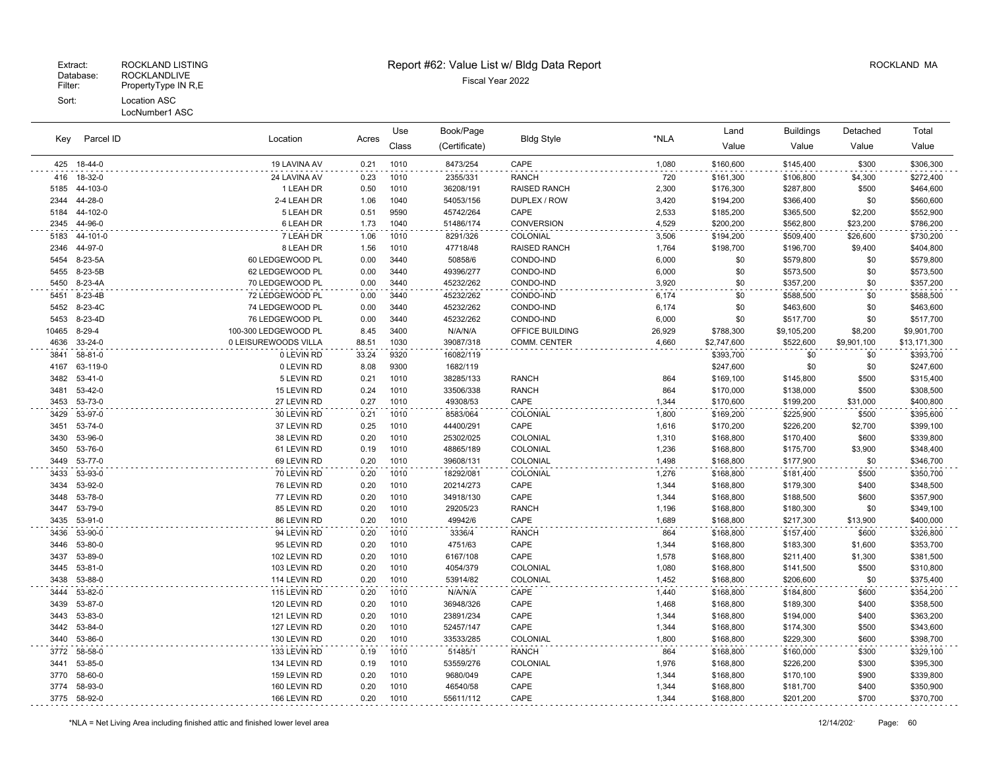| Key          | Parcel ID          |                            |              | Use          | Book/Page             |                      |                | Land                   | <b>Buildings</b>       | Detached     | Total                  |
|--------------|--------------------|----------------------------|--------------|--------------|-----------------------|----------------------|----------------|------------------------|------------------------|--------------|------------------------|
|              |                    | Location                   | Acres        | Class        | (Certificate)         | <b>Bldg Style</b>    | *NLA           | Value                  | Value                  | Value        | Value                  |
| 425          | 18-44-0            | 19 LAVINA AV               | 0.21         | 1010         | 8473/254              | CAPE                 | 1,080          | \$160,600              | \$145,400              | \$300        | \$306,300              |
| 416          | 18-32-0            | 24 LAVINA AV               | 0.23         | 1010         | 2355/331              | <b>RANCH</b>         | 720            | \$161,300              | \$106,800              | \$4,300      | \$272,400              |
| 5185         | 44-103-0           | 1 LEAH DR                  | 0.50         | 1010         | 36208/191             | RAISED RANCH         | 2,300          | \$176,300              | \$287,800              | \$500        | \$464,600              |
| 2344         | 44-28-0            | 2-4 LEAH DR                | 1.06         | 1040         | 54053/156             | DUPLEX / ROW         | 3,420          | \$194,200              | \$366,400              | \$0          | \$560,600              |
| 5184         | 44-102-0           | 5 LEAH DR                  | 0.51         | 9590         | 45742/264             | CAPE                 | 2,533          | \$185,200              | \$365,500              | \$2,200      | \$552,900              |
| 2345         | 44-96-0            | 6 LEAH DR                  | 1.73         | 1040         | 51486/174             | <b>CONVERSION</b>    | 4,529          | \$200,200              | \$562,800              | \$23,200     | \$786,200              |
| 5183         | 44-101-0           | 7 LEAH DR                  | 1.06         | 1010         | 8291/326              | COLONIAL             | 3,506          | \$194,200              | \$509,400              | \$26,600     | \$730,200              |
| 2346         | 44-97-0            | 8 LEAH DR                  | 1.56         | 1010         | 47718/48              | <b>RAISED RANCH</b>  | 1,764          | \$198,700              | \$196,700              | \$9,400      | \$404,800              |
| 5454         | 8-23-5A            | 60 LEDGEWOOD PL            | 0.00         | 3440         | 50858/6               | CONDO-IND            | 6,000          | \$0                    | \$579,800              | \$0          | \$579,800              |
| 5455         | 8-23-5B            | 62 LEDGEWOOD PL            | 0.00         | 3440         | 49396/277             | CONDO-IND            | 6,000          | \$0                    | \$573,500              | \$0          | \$573,500              |
| 5450         | 8-23-4A            | 70 LEDGEWOOD PL            | 0.00         | 3440         | 45232/262             | CONDO-IND            | 3,920          | \$0                    | \$357,200              | \$0          | \$357,200              |
| 5451         | 8-23-4B            | 72 LEDGEWOOD PL            | 0.00         | 3440         | 45232/262             | CONDO-IND            | 6,174          | \$0                    | \$588,500              | \$0          | \$588,500              |
| 5452         | 8-23-4C            | 74 LEDGEWOOD PL            | 0.00         | 3440         | 45232/262             | CONDO-IND            | 6,174          | \$0                    | \$463,600              | \$0          | \$463,600              |
| 5453         | 8-23-4D            | 76 LEDGEWOOD PL            | 0.00         | 3440         | 45232/262             | CONDO-IND            | 6,000          | \$0                    | \$517,700              | \$0          | \$517,700              |
| 10465        | $8 - 29 - 4$       | 100-300 LEDGEWOOD PL       | 8.45         | 3400         | N/A/N/A               | OFFICE BUILDING      | 26,929         | \$788,300              | \$9,105,200            | \$8,200      | \$9,901,700            |
| 4636         | 33-24-0            | 0 LEISUREWOODS VILLA       | 88.51        | 1030         | 39087/318             | COMM. CENTER         | 4,660          | \$2,747,600            | \$522,600              | \$9,901,100  | \$13,171,300           |
| 3841         | 58-81-0            | 0 LEVIN RD                 | 33.24        | 9320         | 16082/119             |                      |                | \$393,700              | \$0                    | \$0          | \$393,700              |
| 4167         | 63-119-0           | 0 LEVIN RD                 | 8.08         | 9300         | 1682/119              |                      |                | \$247,600              | \$0                    | \$0          | \$247,600              |
| 3482         | 53-41-0            | 5 LEVIN RD                 | 0.21         | 1010         | 38285/133             | <b>RANCH</b>         | 864            | \$169,100              | \$145,800              | \$500        | \$315,400              |
| 3481         | 53-42-0            | 15 LEVIN RD                | 0.24         | 1010         | 33506/338             | <b>RANCH</b>         | 864            | \$170,000              | \$138,000              | \$500        | \$308,500              |
| 3453         | 53-73-0            | 27 LEVIN RD                | 0.27         | 1010         | 49308/53              | CAPE                 | 1,344          | \$170,600              | \$199,200              | \$31,000     | \$400,800              |
| 3429         | 53-97-0            | 30 LEVIN RD                | 0.21         | 1010         | 8583/064              | COLONIAL             | 1,800          | \$169,200              | \$225,900              | \$500        | \$395,600              |
| 3451         | 53-74-0            | 37 LEVIN RD                | 0.25         | 1010         | 44400/291             | CAPE                 | 1,616          | \$170,200              | \$226,200              | \$2,700      | \$399,100              |
| 3430         | 53-96-0            | 38 LEVIN RD                | 0.20         | 1010         | 25302/025             | <b>COLONIAL</b>      | 1,310          | \$168,800              | \$170,400              | \$600        | \$339,800              |
| 3450         | 53-76-0            | 61 LEVIN RD                | 0.19         | 1010         | 48865/189             | COLONIAL             | 1,236          | \$168,800              | \$175,700              | \$3,900      | \$348,400              |
| 3449         | 53-77-0            | 69 LEVIN RD                | 0.20         | 1010         | 39608/131             | COLONIAL             | 1,498          | \$168,800              | \$177,900              | \$0          | \$346,700              |
| 3433         | 53-93-0            | 70 LEVIN RD                | 0.20         | 1010         | 18292/081             | COLONIAL             | 1,276          | \$168,800              | \$181,400              | \$500        | \$350,700              |
| 3434         | 53-92-0            | 76 LEVIN RD                | 0.20         | 1010         | 20214/273             | CAPE                 | 1,344          | \$168,800              | \$179,300              | \$400        | \$348,500              |
| 3448<br>3447 | 53-78-0<br>53-79-0 | 77 LEVIN RD                | 0.20<br>0.20 | 1010<br>1010 | 34918/130<br>29205/23 | CAPE<br><b>RANCH</b> | 1,344<br>1,196 | \$168,800              | \$188,500              | \$600<br>\$0 | \$357,900              |
| 3435         | 53-91-0            | 85 LEVIN RD<br>86 LEVIN RD | 0.20         | 1010         | 49942/6               | CAPE                 | 1,689          | \$168,800<br>\$168,800 | \$180,300<br>\$217,300 | \$13,900     | \$349,100<br>\$400,000 |
| 3436         | 53-90-0            | 94 LEVIN RD                | 0.20         | 1010         | 3336/4                | <b>RANCH</b>         | 864            | \$168,800              | \$157,400              | \$600        | \$326,800              |
| 3446         | 53-80-0            | 95 LEVIN RD                | 0.20         | 1010         | 4751/63               | CAPE                 | 1,344          | \$168,800              | \$183,300              | \$1,600      | \$353,700              |
| 3437         | 53-89-0            | 102 LEVIN RD               | 0.20         | 1010         | 6167/108              | CAPE                 | 1,578          | \$168,800              | \$211,400              | \$1,300      | \$381,500              |
| 3445         | 53-81-0            | 103 LEVIN RD               | 0.20         | 1010         | 4054/379              | COLONIAL             | 1,080          | \$168,800              | \$141,500              | \$500        | \$310,800              |
| 3438         | 53-88-0            | 114 LEVIN RD               | 0.20         | 1010         | 53914/82              | COLONIAL             | 1,452          | \$168,800              | \$206,600              | \$0          | \$375,400              |
| 3444         | 53-82-0            | 115 LEVIN RD               | 0.20         | 1010         | N/A/N/A               | CAPE                 | 1,440          | \$168,800              | \$184,800              | \$600        | \$354,200              |
| 3439         | 53-87-0            | 120 LEVIN RD               | 0.20         | 1010         | 36948/326             | CAPE                 | 1,468          | \$168,800              | \$189,300              | \$400        | \$358,500              |
| 3443         | 53-83-0            | 121 LEVIN RD               | 0.20         | 1010         | 23891/234             | CAPE                 | 1,344          | \$168,800              | \$194,000              | \$400        | \$363,200              |
| 3442         | 53-84-0            | 127 LEVIN RD               | 0.20         | 1010         | 52457/147             | CAPE                 | 1,344          | \$168,800              | \$174,300              | \$500        | \$343,600              |
| 3440         | 53-86-0            | 130 LEVIN RD               | 0.20         | 1010         | 33533/285             | COLONIAL             | 1,800          | \$168,800              | \$229,300              | \$600        | \$398,700              |
| 3772         | 58-58-0            | 133 LEVIN RD               | 0.19         | 1010         | 51485/1               | <b>RANCH</b>         | 864            | \$168,800              | \$160,000              | \$300        | \$329,100              |
| 3441         | 53-85-0            | 134 LEVIN RD               | 0.19         | 1010         | 53559/276             | COLONIAL             | 1,976          | \$168,800              | \$226,200              | \$300        | \$395,300              |
| 3770         | 58-60-0            | 159 LEVIN RD               | 0.20         | 1010         | 9680/049              | CAPE                 | 1,344          | \$168,800              | \$170,100              | \$900        | \$339,800              |
| 3774         | 58-93-0            | 160 LEVIN RD               | 0.20         | 1010         | 46540/58              | CAPE                 | 1,344          | \$168,800              | \$181,700              | \$400        | \$350,900              |
|              | 3775 58-92-0       | 166 LEVIN RD               | 0.20         | 1010         | 55611/112             | CAPE                 | 1,344          | \$168,800              | \$201,200              | \$700        | \$370,700              |
|              |                    |                            |              |              |                       |                      |                |                        |                        |              |                        |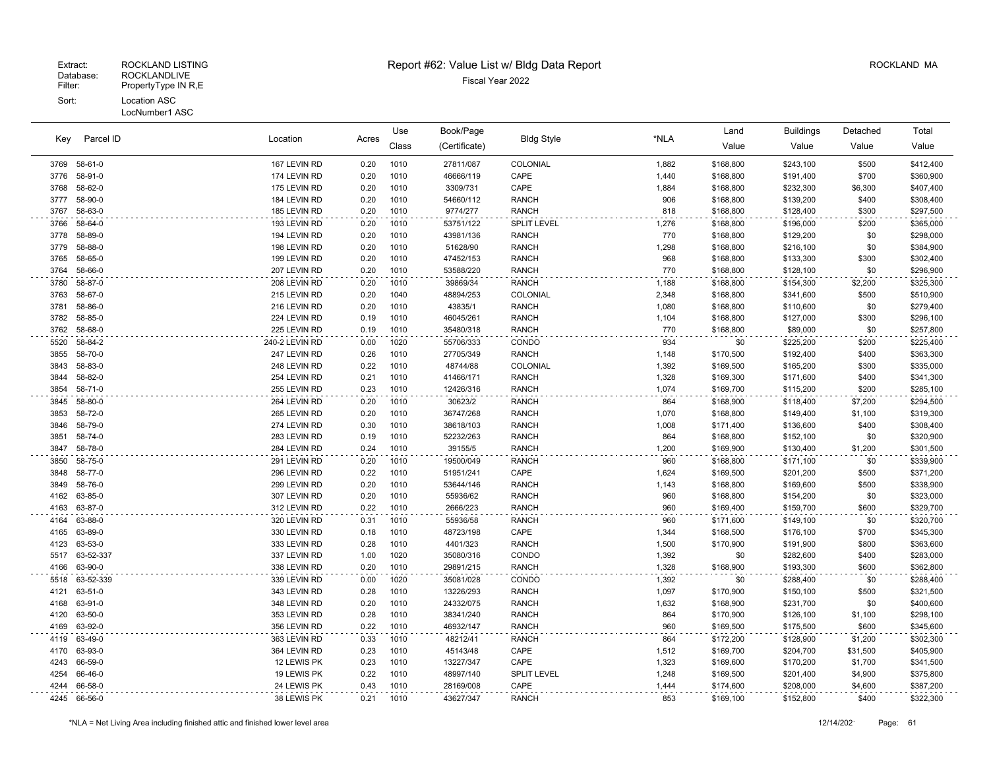|      | Parcel ID<br>Key | Location<br>Acres |      | Use   | Book/Page     |                    |       | Land      | <b>Buildings</b> | Detached | Total     |
|------|------------------|-------------------|------|-------|---------------|--------------------|-------|-----------|------------------|----------|-----------|
|      |                  |                   |      | Class | (Certificate) | <b>Bldg Style</b>  | *NLA  | Value     | Value            | Value    | Value     |
| 3769 | 58-61-0          | 167 LEVIN RD      | 0.20 | 1010  | 27811/087     | COLONIAL           | 1,882 | \$168,800 | \$243,100        | \$500    | \$412,400 |
| 3776 | 58-91-0          | 174 LEVIN RD      | 0.20 | 1010  | 46666/119     | CAPE               | 1,440 | \$168,800 | \$191,400        | \$700    | \$360,900 |
| 3768 | 58-62-0          | 175 LEVIN RD      | 0.20 | 1010  | 3309/731      | CAPE               | 1,884 | \$168,800 | \$232,300        | \$6,300  | \$407,400 |
| 3777 | 58-90-0          | 184 LEVIN RD      | 0.20 | 1010  | 54660/112     | <b>RANCH</b>       | 906   | \$168,800 | \$139,200        | \$400    | \$308,400 |
| 3767 | 58-63-0          | 185 LEVIN RD      | 0.20 | 1010  | 9774/277      | <b>RANCH</b>       | 818   | \$168,800 | \$128,400        | \$300    | \$297,500 |
| 3766 | 58-64-0          | 193 LEVIN RD      | 0.20 | 1010  | 53751/122     | SPLIT LEVEL        | 1,276 | \$168,800 | \$196,000        | \$200    | \$365,000 |
| 3778 | 58-89-0          | 194 LEVIN RD      | 0.20 | 1010  | 43981/136     | <b>RANCH</b>       | 770   | \$168,800 | \$129,200        | \$0      | \$298,000 |
| 3779 | 58-88-0          | 198 LEVIN RD      | 0.20 | 1010  | 51628/90      | <b>RANCH</b>       | 1,298 | \$168,800 | \$216,100        | \$0      | \$384,900 |
| 3765 | 58-65-0          | 199 LEVIN RD      | 0.20 | 1010  | 47452/153     | <b>RANCH</b>       | 968   | \$168,800 | \$133,300        | \$300    | \$302,400 |
| 3764 | 58-66-0          | 207 LEVIN RD      | 0.20 | 1010  | 53588/220     | <b>RANCH</b>       | 770   | \$168,800 | \$128,100        | \$0      | \$296,900 |
| 3780 | 58-87-0          | 208 LEVIN RD      | 0.20 | 1010  | 39869/34      | <b>RANCH</b>       | 1,188 | \$168,800 | \$154,300        | \$2,200  | \$325,300 |
| 3763 | 58-67-0          | 215 LEVIN RD      | 0.20 | 1040  | 48894/253     | COLONIAL           | 2,348 | \$168,800 | \$341,600        | \$500    | \$510,900 |
| 3781 | 58-86-0          | 216 LEVIN RD      | 0.20 | 1010  | 43835/1       | <b>RANCH</b>       | 1,080 | \$168,800 | \$110,600        | \$0      | \$279,400 |
| 3782 | 58-85-0          | 224 LEVIN RD      | 0.19 | 1010  | 46045/261     | <b>RANCH</b>       | 1,104 | \$168,800 | \$127,000        | \$300    | \$296,100 |
| 3762 | 58-68-0          | 225 LEVIN RD      | 0.19 | 1010  | 35480/318     | <b>RANCH</b>       | 770   | \$168,800 | \$89,000         | \$0      | \$257,800 |
| 5520 | 58-84-2          | 240-2 LEVIN RD    | 0.00 | 1020  | 55706/333     | CONDO              | 934   | \$0       | \$225,200        | \$200    | \$225,400 |
| 3855 | 58-70-0          | 247 LEVIN RD      | 0.26 | 1010  | 27705/349     | <b>RANCH</b>       | 1,148 | \$170,500 | \$192,400        | \$400    | \$363,300 |
| 3843 | 58-83-0          | 248 LEVIN RD      | 0.22 | 1010  | 48744/88      | COLONIAL           | 1,392 | \$169,500 | \$165,200        | \$300    | \$335,000 |
| 3844 | 58-82-0          | 254 LEVIN RD      | 0.21 | 1010  | 41466/171     | <b>RANCH</b>       | 1,328 | \$169,300 | \$171,600        | \$400    | \$341,300 |
| 3854 | 58-71-0          | 255 LEVIN RD      | 0.23 | 1010  | 12426/316     | <b>RANCH</b>       | 1,074 | \$169,700 | \$115,200        | \$200    | \$285,100 |
| 3845 | 58-80-0          | 264 LEVIN RD      | 0.20 | 1010  | 30623/2       | <b>RANCH</b>       | 864   | \$168,900 | \$118,400        | \$7,200  | \$294,500 |
| 3853 | 58-72-0          | 265 LEVIN RD      | 0.20 | 1010  | 36747/268     | <b>RANCH</b>       | 1,070 | \$168,800 | \$149,400        | \$1,100  | \$319,300 |
| 3846 | 58-79-0          | 274 LEVIN RD      | 0.30 | 1010  | 38618/103     | <b>RANCH</b>       | 1,008 | \$171,400 | \$136,600        | \$400    | \$308,400 |
| 3851 | 58-74-0          | 283 LEVIN RD      | 0.19 | 1010  | 52232/263     | <b>RANCH</b>       | 864   | \$168,800 | \$152,100        | \$0      | \$320,900 |
| 3847 | 58-78-0          | 284 LEVIN RD      | 0.24 | 1010  | 39155/5       | <b>RANCH</b>       | 1,200 | \$169,900 | \$130,400        | \$1,200  | \$301,500 |
| 3850 | 58-75-0          | 291 LEVIN RD      | 0.20 | 1010  | 19500/049     | <b>RANCH</b>       | 960   | \$168,800 | \$171,100        | \$0      | \$339,900 |
| 3848 | 58-77-0          | 296 LEVIN RD      | 0.22 | 1010  | 51951/241     | CAPE               | 1,624 | \$169,500 | \$201,200        | \$500    | \$371,200 |
| 3849 | 58-76-0          | 299 LEVIN RD      | 0.20 | 1010  | 53644/146     | <b>RANCH</b>       | 1,143 | \$168,800 | \$169,600        | \$500    | \$338,900 |
| 4162 | 63-85-0          | 307 LEVIN RD      | 0.20 | 1010  | 55936/62      | <b>RANCH</b>       | 960   | \$168,800 | \$154,200        | \$0      | \$323,000 |
| 4163 | 63-87-0          | 312 LEVIN RD      | 0.22 | 1010  | 2666/223      | <b>RANCH</b>       | 960   | \$169,400 | \$159,700        | \$600    | \$329,700 |
| 4164 | 63-88-0          | 320 LEVIN RD      | 0.31 | 1010  | 55936/58      | <b>RANCH</b>       | 960   | \$171,600 | \$149,100        | \$0      | \$320,700 |
| 4165 | 63-89-0          | 330 LEVIN RD      | 0.18 | 1010  | 48723/198     | CAPE               | 1,344 | \$168,500 | \$176,100        | \$700    | \$345,300 |
| 4123 | 63-53-0          | 333 LEVIN RD      | 0.28 | 1010  | 4401/323      | <b>RANCH</b>       | 1,500 | \$170,900 | \$191,900        | \$800    | \$363,600 |
| 5517 | 63-52-337        | 337 LEVIN RD      | 1.00 | 1020  | 35080/316     | CONDO              | 1,392 | \$0       | \$282,600        | \$400    | \$283,000 |
| 4166 | 63-90-0          | 338 LEVIN RD      | 0.20 | 1010  | 29891/215     | <b>RANCH</b>       | 1,328 | \$168,900 | \$193,300        | \$600    | \$362,800 |
| 5518 | 63-52-339        | 339 LEVIN RD      | 0.00 | 1020  | 35081/028     | CONDO              | 1,392 | \$0       | \$288,400        | \$0      | \$288,400 |
| 4121 | 63-51-0          | 343 LEVIN RD      | 0.28 | 1010  | 13226/293     | <b>RANCH</b>       | 1,097 | \$170,900 | \$150,100        | \$500    | \$321,500 |
| 4168 | 63-91-0          | 348 LEVIN RD      | 0.20 | 1010  | 24332/075     | <b>RANCH</b>       | 1,632 | \$168,900 | \$231,700        | \$0      | \$400,600 |
| 4120 | 63-50-0          | 353 LEVIN RD      | 0.28 | 1010  | 38341/240     | <b>RANCH</b>       | 864   | \$170,900 | \$126,100        | \$1,100  | \$298,100 |
| 4169 | 63-92-0          | 356 LEVIN RD      | 0.22 | 1010  | 46932/147     | <b>RANCH</b>       | 960   | \$169,500 | \$175,500        | \$600    | \$345,600 |
| 4119 | 63-49-0          | 363 LEVIN RD      | 0.33 | 1010  | 48212/41      | <b>RANCH</b>       | 864   | \$172,200 | \$128,900        | \$1,200  | \$302,300 |
| 4170 | 63-93-0          | 364 LEVIN RD      | 0.23 | 1010  | 45143/48      | CAPE               | 1,512 | \$169,700 | \$204,700        | \$31,500 | \$405,900 |
| 4243 | 66-59-0          | 12 LEWIS PK       | 0.23 | 1010  | 13227/347     | CAPE               | 1,323 | \$169,600 | \$170,200        | \$1,700  | \$341,500 |
| 4254 | 66-46-0          | 19 LEWIS PK       | 0.22 | 1010  | 48997/140     | <b>SPLIT LEVEL</b> | 1,248 | \$169,500 | \$201,400        | \$4,900  | \$375,800 |
| 4244 | 66-58-0          | 24 LEWIS PK       | 0.43 | 1010  | 28169/008     | CAPE               | 1,444 | \$174,600 | \$208,000        | \$4,600  | \$387,200 |
| 4245 | 66-56-0          | 38 LEWIS PK       | 0.21 | 1010  | 43627/347     | <b>RANCH</b>       | 853   | \$169,100 | \$152,800        | \$400    | \$322,300 |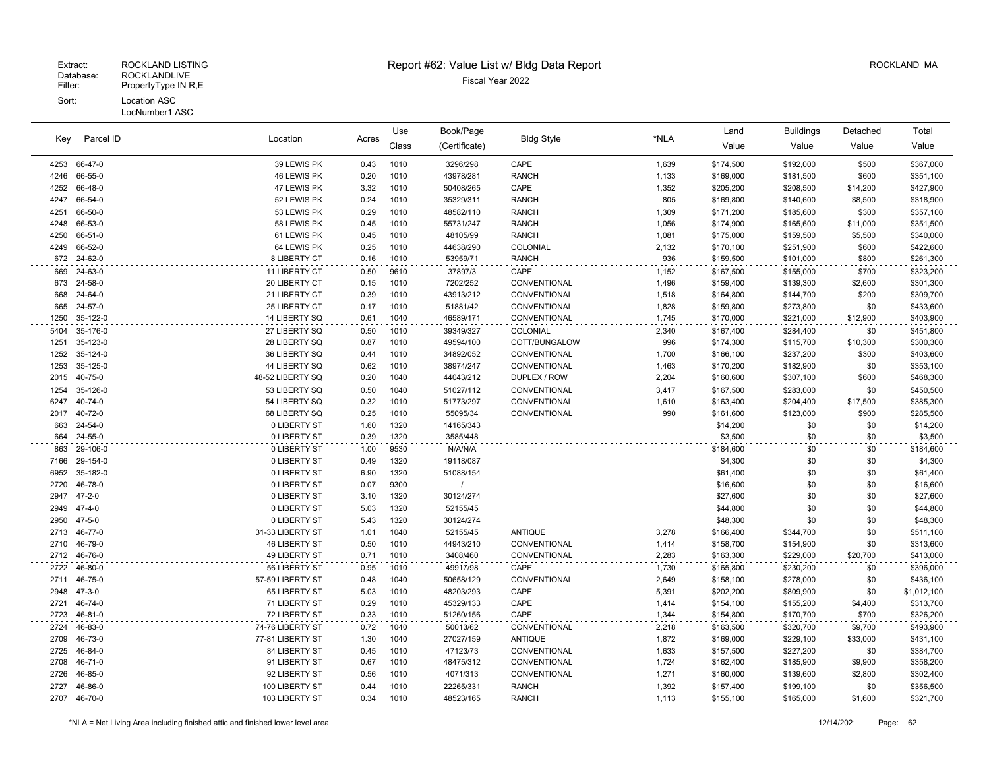| Key          | Parcel ID                    | Location                     | Acres        | Use          | Book/Page             | <b>Bldg Style</b> | *NLA  | Land                 | <b>Buildings</b> | Detached   | Total                |
|--------------|------------------------------|------------------------------|--------------|--------------|-----------------------|-------------------|-------|----------------------|------------------|------------|----------------------|
|              |                              |                              |              | Class        | (Certificate)         |                   |       | Value                | Value            | Value      | Value                |
| 4253         | 66-47-0                      | 39 LEWIS PK                  | 0.43         | 1010         | 3296/298              | CAPE              | 1,639 | \$174,500            | \$192,000        | \$500      | \$367,000            |
| 4246         | 66-55-0                      | 46 LEWIS PK                  | 0.20         | 1010         | 43978/281             | <b>RANCH</b>      | 1,133 | \$169,000            | \$181,500        | \$600      | \$351,100            |
| 4252         | 66-48-0                      | 47 LEWIS PK                  | 3.32         | 1010         | 50408/265             | CAPE              | 1,352 | \$205,200            | \$208,500        | \$14,200   | \$427,900            |
| 4247         | 66-54-0                      | 52 LEWIS PK                  | 0.24         | 1010         | 35329/311             | <b>RANCH</b>      | 805   | \$169,800            | \$140,600        | \$8,500    | \$318,900            |
| 4251         | 66-50-0                      | 53 LEWIS PK                  | 0.29         | 1010         | 48582/110             | <b>RANCH</b>      | 1,309 | \$171,200            | \$185,600        | \$300      | \$357,100            |
| 4248         | 66-53-0                      | 58 LEWIS PK                  | 0.45         | 1010         | 55731/247             | <b>RANCH</b>      | 1,056 | \$174,900            | \$165,600        | \$11,000   | \$351,500            |
| 4250         | 66-51-0                      | 61 LEWIS PK                  | 0.45         | 1010         | 48105/99              | <b>RANCH</b>      | 1,081 | \$175,000            | \$159,500        | \$5,500    | \$340,000            |
| 4249         | 66-52-0                      | 64 LEWIS PK                  | 0.25         | 1010         | 44638/290             | COLONIAL          | 2,132 | \$170,100            | \$251,900        | \$600      | \$422,600            |
| 672          | 24-62-0                      | 8 LIBERTY CT                 | 0.16         | 1010         | 53959/71              | <b>RANCH</b>      | 936   | \$159,500            | \$101,000        | \$800      | \$261,300            |
| 669          | 24-63-0                      | 11 LIBERTY CT                | 0.50         | 9610         | 37897/3               | CAPE              | 1,152 | \$167,500            | \$155,000        | \$700      | \$323,200            |
| 673          | 24-58-0                      | 20 LIBERTY CT                | 0.15         | 1010         | 7202/252              | CONVENTIONAL      | 1,496 | \$159,400            | \$139,300        | \$2,600    | \$301,300            |
| 668          | 24-64-0                      | 21 LIBERTY CT                | 0.39         | 1010         | 43913/212             | CONVENTIONAL      | 1,518 | \$164,800            | \$144,700        | \$200      | \$309,700            |
| 665          | 24-57-0                      | 25 LIBERTY CT                | 0.17         | 1010         | 51881/42              | CONVENTIONAL      | 1,828 | \$159,800            | \$273,800        | \$0        | \$433,600            |
| 1250         | 35-122-0                     | 14 LIBERTY SQ                | 0.61         | 1040         | 46589/171             | CONVENTIONAL      | 1,745 | \$170,000            | \$221,000        | \$12,900   | \$403,900            |
| 5404         | 35-176-0                     | 27 LIBERTY SQ                | 0.50         | 1010         | 39349/327             | COLONIAL          | 2,340 | \$167,400            | \$284,400        | \$0        | \$451,800            |
| 1251         | 35-123-0                     | 28 LIBERTY SQ                | 0.87         | 1010         | 49594/100             | COTT/BUNGALOW     | 996   | \$174,300            | \$115,700        | \$10,300   | \$300,300            |
| 1252         | 35-124-0                     | 36 LIBERTY SQ                | 0.44         | 1010         | 34892/052             | CONVENTIONAL      | 1,700 | \$166,100            | \$237,200        | \$300      | \$403,600            |
| 1253         | 35-125-0                     | 44 LIBERTY SQ                | 0.62         | 1010         | 38974/247             | CONVENTIONAL      | 1,463 | \$170,200            | \$182,900        | \$0        | \$353,100            |
| 2015         | 40-75-0                      | 48-52 LIBERTY SQ             | 0.20         | 1040         | 44043/212             | DUPLEX / ROW      | 2,204 | \$160,600            | \$307,100        | \$600      | \$468,300            |
| 1254         | 35-126-0                     | 53 LIBERTY SQ                | 0.50         | 1040         | 51027/112             | CONVENTIONAL      | 3,417 | \$167,500            | \$283,000        | \$0        | \$450,500            |
| 6247         | 40-74-0                      | 54 LIBERTY SQ                | 0.32         | 1010         | 51773/297             | CONVENTIONAL      | 1,610 | \$163,400            | \$204,400        | \$17,500   | \$385,300            |
| 2017         | 40-72-0                      | 68 LIBERTY SQ                | 0.25         | 1010         | 55095/34              | CONVENTIONAL      | 990   | \$161,600            | \$123,000        | \$900      | \$285,500            |
| 663          | 24-54-0                      | 0 LIBERTY ST                 | 1.60         | 1320         | 14165/343             |                   |       | \$14,200             | \$0              | \$0        | \$14,200             |
| 664          | 24-55-0                      | 0 LIBERTY ST                 | 0.39         | 1320         | 3585/448              |                   |       | \$3,500              | \$0              | \$0        | \$3,500              |
| 863          | 29-106-0                     | 0 LIBERTY ST                 | 1.00         | 9530         | N/A/N/A               |                   |       | \$184,600            | \$0              | \$0        | \$184,600            |
| 7166         | 29-154-0                     | 0 LIBERTY ST                 | 0.49         | 1320         | 19118/087             |                   |       | \$4,300              | \$0              | \$0        | \$4,300              |
| 6952         | 35-182-0                     | 0 LIBERTY ST                 | 6.90         | 1320         | 51088/154             |                   |       | \$61,400             | \$0              | \$0        | \$61,400             |
| 2720<br>2947 | 46-78-0<br>$47 - 2 - 0$      | 0 LIBERTY ST<br>0 LIBERTY ST | 0.07<br>3.10 | 9300<br>1320 | $\prime$<br>30124/274 |                   |       | \$16,600<br>\$27,600 | \$0<br>\$0       | \$0<br>\$0 | \$16,600<br>\$27,600 |
|              |                              |                              |              |              |                       |                   |       |                      |                  |            |                      |
| 2949<br>2950 | $47 - 4 - 0$<br>$47 - 5 - 0$ | 0 LIBERTY ST<br>0 LIBERTY ST | 5.03<br>5.43 | 1320<br>1320 | 52155/45<br>30124/274 |                   |       | \$44,800<br>\$48,300 | \$0<br>\$0       | \$0<br>\$0 | \$44,800<br>\$48,300 |
| 2713         | 46-77-0                      | 31-33 LIBERTY ST             | 1.01         | 1040         | 52155/45              | <b>ANTIQUE</b>    | 3,278 | \$166,400            | \$344,700        | \$0        | \$511,100            |
| 2710         | 46-79-0                      | 46 LIBERTY ST                | 0.50         | 1010         | 44943/210             | CONVENTIONAL      | 1,414 | \$158,700            | \$154,900        | \$0        | \$313,600            |
| 2712         | 46-76-0                      | 49 LIBERTY ST                | 0.71         | 1010         | 3408/460              | CONVENTIONAL      | 2,283 | \$163,300            | \$229,000        | \$20,700   | \$413,000            |
| 2722         | 46-80-0                      | 56 LIBERTY ST                | 0.95         | 1010         | 49917/98              | CAPE              | 1,730 | \$165,800            | \$230,200        | \$0        | \$396,000            |
| 2711         | 46-75-0                      | 57-59 LIBERTY ST             | 0.48         | 1040         | 50658/129             | CONVENTIONAL      | 2,649 | \$158,100            | \$278,000        | \$0        | \$436,100            |
| 2948         | $47 - 3 - 0$                 | 65 LIBERTY ST                | 5.03         | 1010         | 48203/293             | CAPE              | 5,391 | \$202,200            | \$809,900        | \$0        | \$1,012,100          |
| 2721         | 46-74-0                      | 71 LIBERTY ST                | 0.29         | 1010         | 45329/133             | CAPE              | 1,414 | \$154,100            | \$155,200        | \$4,400    | \$313,700            |
| 2723         | 46-81-0                      | 72 LIBERTY ST                | 0.33         | 1010         | 51260/156             | CAPE              | 1,344 | \$154,800            | \$170,700        | \$700      | \$326,200            |
| 2724         | 46-83-0                      | 74-76 LIBERTY ST             | 0.72         | 1040         | 50013/62              | CONVENTIONAL      | 2,218 | \$163,500            | \$320,700        | \$9,700    | \$493,900            |
| 2709         | 46-73-0                      | 77-81 LIBERTY ST             | 1.30         | 1040         | 27027/159             | <b>ANTIQUE</b>    | 1,872 | \$169,000            | \$229,100        | \$33,000   | \$431,100            |
| 2725         | 46-84-0                      | 84 LIBERTY ST                | 0.45         | 1010         | 47123/73              | CONVENTIONAL      | 1,633 | \$157,500            | \$227,200        | \$0        | \$384,700            |
| 2708         | 46-71-0                      | 91 LIBERTY ST                | 0.67         | 1010         | 48475/312             | CONVENTIONAL      | 1,724 | \$162,400            | \$185,900        | \$9,900    | \$358,200            |
| 2726         | 46-85-0                      | 92 LIBERTY ST                | 0.56         | 1010         | 4071/313              | CONVENTIONAL      | 1,271 | \$160,000            | \$139,600        | \$2,800    | \$302,400            |
| 2727         | 46-86-0                      | 100 LIBERTY ST               | 0.44         | 1010         | 22265/331             | <b>RANCH</b>      | 1,392 | \$157,400            | \$199,100        | \$0        | \$356,500            |
| 2707         | 46-70-0                      | 103 LIBERTY ST               | 0.34         | 1010         | 48523/165             | <b>RANCH</b>      | 1,113 | \$155,100            | \$165,000        | \$1,600    | \$321,700            |
|              |                              |                              |              |              |                       |                   |       |                      |                  |            |                      |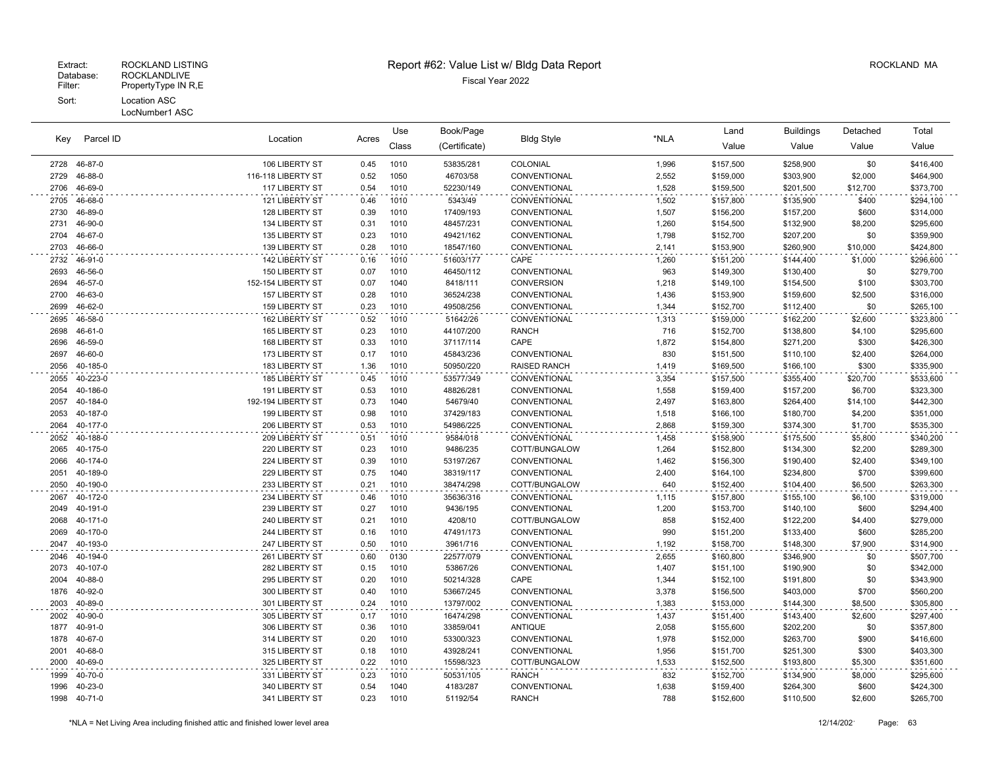| Parcel ID<br>Kev |          | Location           |       | Use   | Book/Page     |                     |       | Land      | <b>Buildings</b> | Detached | Total     |
|------------------|----------|--------------------|-------|-------|---------------|---------------------|-------|-----------|------------------|----------|-----------|
|                  |          |                    | Acres | Class | (Certificate) | <b>Bldg Style</b>   | *NLA  | Value     | Value            | Value    | Value     |
| 2728             | 46-87-0  | 106 LIBERTY ST     | 0.45  | 1010  | 53835/281     | COLONIAL            | 1,996 | \$157,500 | \$258,900        | \$0      | \$416,400 |
| 2729             | 46-88-0  | 116-118 LIBERTY ST | 0.52  | 1050  | 46703/58      | CONVENTIONAL        | 2,552 | \$159,000 | \$303,900        | \$2,000  | \$464,900 |
| 2706             | 46-69-0  | 117 LIBERTY ST     | 0.54  | 1010  | 52230/149     | CONVENTIONAL        | 1,528 | \$159,500 | \$201,500        | \$12,700 | \$373,700 |
| 2705             | 46-68-0  | 121 LIBERTY ST     | 0.46  | 1010  | 5343/49       | CONVENTIONAL        | 1,502 | \$157,800 | \$135,900        | \$400    | \$294,100 |
| 2730             | 46-89-0  | 128 LIBERTY ST     | 0.39  | 1010  | 17409/193     | CONVENTIONAL        | 1,507 | \$156,200 | \$157,200        | \$600    | \$314,000 |
| 2731             | 46-90-0  | 134 LIBERTY ST     | 0.31  | 1010  | 48457/231     | CONVENTIONAL        | 1,260 | \$154,500 | \$132,900        | \$8,200  | \$295,600 |
| 2704             | 46-67-0  | 135 LIBERTY ST     | 0.23  | 1010  | 49421/162     | CONVENTIONAL        | 1,798 | \$152,700 | \$207,200        | \$0      | \$359,900 |
| 2703             | 46-66-0  | 139 LIBERTY ST     | 0.28  | 1010  | 18547/160     | CONVENTIONAL        | 2,141 | \$153,900 | \$260,900        | \$10,000 | \$424,800 |
| 2732             | 46-91-0  | 142 LIBERTY ST     | 0.16  | 1010  | 51603/177     | CAPE                | 1,260 | \$151,200 | \$144,400        | \$1,000  | \$296,600 |
| 2693             | 46-56-0  | 150 LIBERTY ST     | 0.07  | 1010  | 46450/112     | CONVENTIONAL        | 963   | \$149,300 | \$130,400        | \$0      | \$279,700 |
| 2694             | 46-57-0  | 152-154 LIBERTY ST | 0.07  | 1040  | 8418/111      | <b>CONVERSION</b>   | 1,218 | \$149,100 | \$154,500        | \$100    | \$303,700 |
| 2700             | 46-63-0  | 157 LIBERTY ST     | 0.28  | 1010  | 36524/238     | CONVENTIONAL        | 1,436 | \$153,900 | \$159,600        | \$2,500  | \$316,000 |
| 2699             | 46-62-0  | 159 LIBERTY ST     | 0.23  | 1010  | 49508/256     | CONVENTIONAL        | 1,344 | \$152,700 | \$112,400        | \$0      | \$265,100 |
| 2695             | 46-58-0  | 162 LIBERTY ST     | 0.52  | 1010  | 51642/26      | CONVENTIONAL        | 1,313 | \$159,000 | \$162,200        | \$2,600  | \$323,800 |
| 2698             | 46-61-0  | 165 LIBERTY ST     | 0.23  | 1010  | 44107/200     | <b>RANCH</b>        | 716   | \$152,700 | \$138,800        | \$4,100  | \$295,600 |
| 2696             | 46-59-0  | 168 LIBERTY ST     | 0.33  | 1010  | 37117/114     | CAPE                | 1,872 | \$154,800 | \$271,200        | \$300    | \$426,300 |
| 2697             | 46-60-0  | 173 LIBERTY ST     | 0.17  | 1010  | 45843/236     | CONVENTIONAL        | 830   | \$151,500 | \$110,100        | \$2,400  | \$264,000 |
| 2056             | 40-185-0 | 183 LIBERTY ST     | 1.36  | 1010  | 50950/220     | <b>RAISED RANCH</b> | 1,419 | \$169,500 | \$166,100        | \$300    | \$335,900 |
| 2055             | 40-223-0 | 185 LIBERTY ST     | 0.45  | 1010  | 53577/349     | CONVENTIONAL        | 3,354 | \$157,500 | \$355,400        | \$20,700 | \$533,600 |
| 2054             | 40-186-0 | 191 LIBERTY ST     | 0.53  | 1010  | 48826/281     | CONVENTIONAL        | 1,558 | \$159,400 | \$157,200        | \$6,700  | \$323,300 |
| 2057             | 40-184-0 | 192-194 LIBERTY ST | 0.73  | 1040  | 54679/40      | CONVENTIONAL        | 2,497 | \$163,800 | \$264,400        | \$14,100 | \$442,300 |
| 2053             | 40-187-0 | 199 LIBERTY ST     | 0.98  | 1010  | 37429/183     | CONVENTIONAL        | 1,518 | \$166,100 | \$180,700        | \$4,200  | \$351,000 |
| 2064             | 40-177-0 | 206 LIBERTY ST     | 0.53  | 1010  | 54986/225     | CONVENTIONAL        | 2,868 | \$159,300 | \$374,300        | \$1,700  | \$535,300 |
| 2052             | 40-188-0 | 209 LIBERTY ST     | 0.51  | 1010  | 9584/018      | CONVENTIONAL        | 1,458 | \$158,900 | \$175,500        | \$5,800  | \$340,200 |
| 2065             | 40-175-0 | 220 LIBERTY ST     | 0.23  | 1010  | 9486/235      | COTT/BUNGALOW       | 1,264 | \$152,800 | \$134,300        | \$2,200  | \$289,300 |
| 2066             | 40-174-0 | 224 LIBERTY ST     | 0.39  | 1010  | 53197/267     | CONVENTIONAL        | 1,462 | \$156,300 | \$190,400        | \$2,400  | \$349,100 |
| 2051             | 40-189-0 | 229 LIBERTY ST     | 0.75  | 1040  | 38319/117     | CONVENTIONAL        | 2,400 | \$164,100 | \$234,800        | \$700    | \$399,600 |
| 2050             | 40-190-0 | 233 LIBERTY ST     | 0.21  | 1010  | 38474/298     | COTT/BUNGALOW       | 640   | \$152,400 | \$104,400        | \$6,500  | \$263,300 |
| 2067             | 40-172-0 | 234 LIBERTY ST     | 0.46  | 1010  | 35636/316     | CONVENTIONAL        | 1,115 | \$157,800 | \$155,100        | \$6,100  | \$319,000 |
| 2049             | 40-191-0 | 239 LIBERTY ST     | 0.27  | 1010  | 9436/195      | CONVENTIONAL        | 1,200 | \$153,700 | \$140,100        | \$600    | \$294,400 |
| 2068             | 40-171-0 | 240 LIBERTY ST     | 0.21  | 1010  | 4208/10       | COTT/BUNGALOW       | 858   | \$152,400 | \$122,200        | \$4,400  | \$279,000 |
| 2069             | 40-170-0 | 244 LIBERTY ST     | 0.16  | 1010  | 47491/173     | CONVENTIONAL        | 990   | \$151,200 | \$133,400        | \$600    | \$285,200 |
| 2047             | 40-193-0 | 247 LIBERTY ST     | 0.50  | 1010  | 3961/716      | CONVENTIONAL        | 1,192 | \$158,700 | \$148,300        | \$7,900  | \$314,900 |
| 2046             | 40-194-0 | 261 LIBERTY ST     | 0.60  | 0130  | 22577/079     | CONVENTIONAL        | 2,655 | \$160,800 | \$346,900        | \$0      | \$507,700 |
| 2073             | 40-107-0 | 282 LIBERTY ST     | 0.15  | 1010  | 53867/26      | CONVENTIONAL        | 1,407 | \$151,100 | \$190,900        | \$0      | \$342,000 |
| 2004             | 40-88-0  | 295 LIBERTY ST     | 0.20  | 1010  | 50214/328     | CAPE                | 1,344 | \$152,100 | \$191,800        | \$0      | \$343,900 |
| 1876             | 40-92-0  | 300 LIBERTY ST     | 0.40  | 1010  | 53667/245     | CONVENTIONAL        | 3,378 | \$156,500 | \$403,000        | \$700    | \$560,200 |
| 2003             | 40-89-0  | 301 LIBERTY ST     | 0.24  | 1010  | 13797/002     | CONVENTIONAL        | 1,383 | \$153,000 | \$144,300        | \$8,500  | \$305,800 |
| 2002             | 40-90-0  | 305 LIBERTY ST     | 0.17  | 1010  | 16474/298     | CONVENTIONAL        | 1,437 | \$151,400 | \$143,400        | \$2,600  | \$297,400 |
| 1877             | 40-91-0  | 306 LIBERTY ST     | 0.36  | 1010  | 33859/041     | <b>ANTIQUE</b>      | 2,058 | \$155,600 | \$202,200        | \$0      | \$357,800 |
| 1878             | 40-67-0  | 314 LIBERTY ST     | 0.20  | 1010  | 53300/323     | CONVENTIONAL        | 1,978 | \$152,000 | \$263,700        | \$900    | \$416,600 |
| 2001             | 40-68-0  | 315 LIBERTY ST     | 0.18  | 1010  | 43928/241     | CONVENTIONAL        | 1,956 | \$151,700 | \$251,300        | \$300    | \$403,300 |
| 2000             | 40-69-0  | 325 LIBERTY ST     | 0.22  | 1010  | 15598/323     | COTT/BUNGALOW       | 1,533 | \$152,500 | \$193,800        | \$5,300  | \$351,600 |
| 1999             | 40-70-0  | 331 LIBERTY ST     | 0.23  | 1010  | 50531/105     | <b>RANCH</b>        | 832   | \$152,700 | \$134,900        | \$8,000  | \$295,600 |
| 1996             | 40-23-0  | 340 LIBERTY ST     | 0.54  | 1040  | 4183/287      | CONVENTIONAL        | 1,638 | \$159,400 | \$264,300        | \$600    | \$424,300 |
| 1998             | 40-71-0  | 341 LIBERTY ST     | 0.23  | 1010  | 51192/54      | <b>RANCH</b>        | 788   | \$152,600 | \$110,500        | \$2,600  | \$265,700 |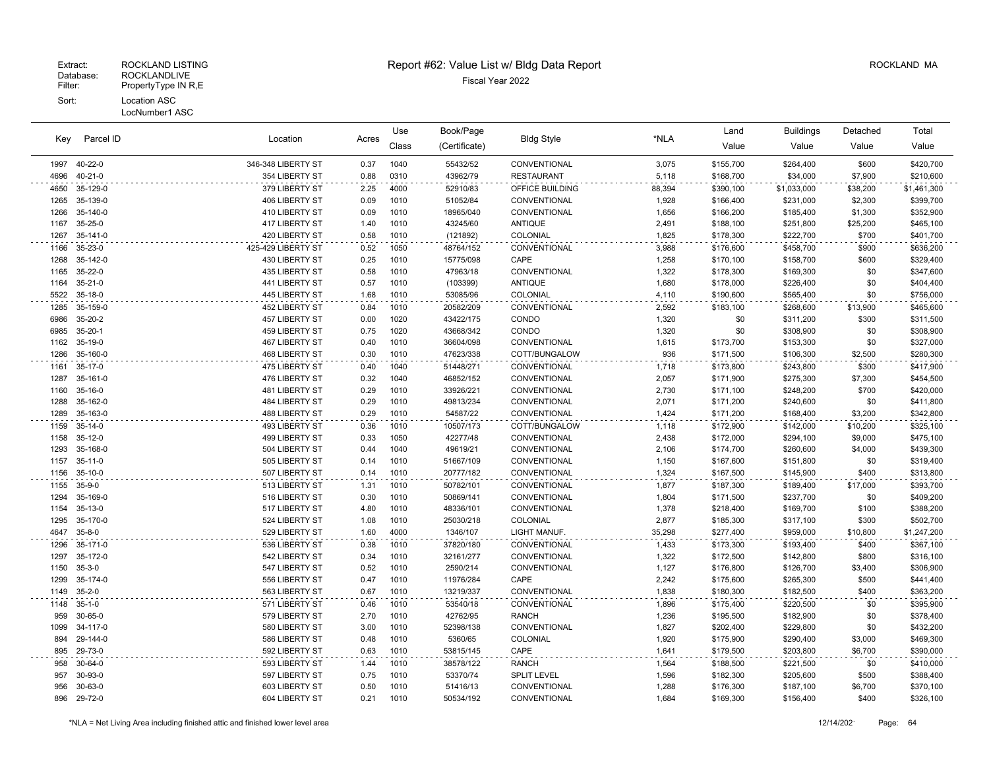# Extract: ROCKLAND LISTING **Report #62: Value List w/ Bldg Data Report** Alleman and RockLAND MA

| Key          | Parcel ID                | Location                         |              | Book/Page<br>Use<br><b>Bldg Style</b><br>Acres |                        | *NLA                          | Land           | <b>Buildings</b>       | Detached               | Total            |                        |
|--------------|--------------------------|----------------------------------|--------------|------------------------------------------------|------------------------|-------------------------------|----------------|------------------------|------------------------|------------------|------------------------|
|              |                          |                                  |              | Class                                          | (Certificate)          |                               |                | Value                  | Value                  | Value            | Value                  |
| 1997         | 40-22-0                  | 346-348 LIBERTY ST               | 0.37         | 1040                                           | 55432/52               | CONVENTIONAL                  | 3,075          | \$155,700              | \$264,400              | \$600            | \$420,700              |
| 4696         | $40 - 21 - 0$            | 354 LIBERTY ST                   | 0.88         | 0310                                           | 43962/79               | <b>RESTAURANT</b>             | 5,118          | \$168,700              | \$34,000               | \$7,900          | \$210,600              |
| 4650         | 35-129-0                 | 379 LIBERTY ST                   | 2.25         | 4000                                           | 52910/83               | OFFICE BUILDING               | 88,394         | \$390,100              | \$1,033,000            | \$38,200         | \$1,461,300            |
| 1265         | 35-139-0                 | 406 LIBERTY ST                   | 0.09         | 1010                                           | 51052/84               | CONVENTIONAL                  | 1,928          | \$166,400              | \$231,000              | \$2,300          | \$399,700              |
| 1266         | 35-140-0                 | 410 LIBERTY ST                   | 0.09         | 1010                                           | 18965/040              | CONVENTIONAL                  | 1,656          | \$166,200              | \$185,400              | \$1,300          | \$352,900              |
| 1167         | 35-25-0                  | 417 LIBERTY ST                   | 1.40         | 1010                                           | 43245/60               | <b>ANTIQUE</b>                | 2,491          | \$188,100              | \$251,800              | \$25,200         | \$465,100              |
| 1267         | 35-141-0                 | 420 LIBERTY ST                   | 0.58         | 1010                                           | (121892)               | COLONIAL                      | 1,825          | \$178,300              | \$222,700              | \$700            | \$401,700              |
| 1166         | 35-23-0                  | 425-429 LIBERTY ST               | 0.52         | 1050                                           | 48764/152              | CONVENTIONAL                  | 3,988          | \$176,600              | \$458,700              | \$900            | \$636,200              |
| 1268         | 35-142-0                 | 430 LIBERTY ST                   | 0.25         | 1010                                           | 15775/098              | CAPE                          | 1,258          | \$170,100              | \$158,700              | \$600            | \$329,400              |
| 1165         | 35-22-0                  | 435 LIBERTY ST                   | 0.58         | 1010                                           | 47963/18               | CONVENTIONAL                  | 1,322          | \$178,300              | \$169,300              | \$0              | \$347,600              |
| 1164         | $35 - 21 - 0$            | 441 LIBERTY ST                   | 0.57         | 1010                                           | (103399)               | <b>ANTIQUE</b>                | 1,680          | \$178,000              | \$226,400              | \$0              | \$404,400              |
| 5522         | 35-18-0                  | 445 LIBERTY ST                   | 1.68         | 1010                                           | 53085/96               | COLONIAL                      | 4,110          | \$190,600              | \$565,400              | \$0              | \$756,000              |
| 1285         | 35-159-0                 | 452 LIBERTY ST                   | 0.84         | 1010                                           | 20582/209              | CONVENTIONAL                  | 2,592          | \$183,100              | \$268,600              | \$13,900         | \$465,600              |
| 6986         | 35-20-2                  | 457 LIBERTY ST                   | 0.00         | 1020                                           | 43422/175              | CONDO                         | 1,320          | \$0                    | \$311,200              | \$300            | \$311,500              |
| 6985<br>1162 | $35 - 20 - 1$<br>35-19-0 | 459 LIBERTY ST                   | 0.75         | 1020<br>1010                                   | 43668/342              | CONDO                         | 1,320          | \$0                    | \$308,900              | \$0<br>\$0       | \$308,900              |
| 1286         | 35-160-0                 | 467 LIBERTY ST<br>468 LIBERTY ST | 0.40<br>0.30 | 1010                                           | 36604/098<br>47623/338 | CONVENTIONAL<br>COTT/BUNGALOW | 1,615<br>936   | \$173,700<br>\$171,500 | \$153,300<br>\$106,300 | \$2,500          | \$327,000              |
|              |                          |                                  |              |                                                |                        |                               |                |                        |                        |                  | \$280,300              |
| 1161<br>1287 | 35-17-0<br>35-161-0      | 475 LIBERTY ST<br>476 LIBERTY ST | 0.40<br>0.32 | 1040<br>1040                                   | 51448/271<br>46852/152 | CONVENTIONAL<br>CONVENTIONAL  | 1,718<br>2,057 | \$173,800<br>\$171,900 | \$243,800<br>\$275,300 | \$300<br>\$7,300 | \$417,900<br>\$454,500 |
| 1160         | 35-16-0                  | 481 LIBERTY ST                   | 0.29         | 1010                                           | 33926/221              | CONVENTIONAL                  | 2,730          | \$171,100              | \$248,200              | \$700            | \$420,000              |
| 1288         | 35-162-0                 | 484 LIBERTY ST                   | 0.29         | 1010                                           | 49813/234              | CONVENTIONAL                  | 2,071          | \$171,200              | \$240,600              | \$0              | \$411,800              |
| 1289         | 35-163-0                 | 488 LIBERTY ST                   | 0.29         | 1010                                           | 54587/22               | CONVENTIONAL                  | 1,424          | \$171,200              | \$168,400              | \$3,200          | \$342,800              |
| 1159         | $35-14-0$                | 493 LIBERTY ST                   | 0.36         | 1010                                           | 10507/173              | COTT/BUNGALOW                 | 1,118          | \$172,900              | \$142,000              | \$10,200         | \$325,100              |
| 1158         | 35-12-0                  | 499 LIBERTY ST                   | 0.33         | 1050                                           | 42277/48               | CONVENTIONAL                  | 2,438          | \$172,000              | \$294,100              | \$9,000          | \$475,100              |
| 1293         | 35-168-0                 | 504 LIBERTY ST                   | 0.44         | 1040                                           | 49619/21               | CONVENTIONAL                  | 2,106          | \$174,700              | \$260,600              | \$4,000          | \$439,300              |
| 1157         | $35 - 11 - 0$            | 505 LIBERTY ST                   | 0.14         | 1010                                           | 51667/109              | CONVENTIONAL                  | 1,150          | \$167,600              | \$151,800              | \$0              | \$319,400              |
| 1156         | 35-10-0                  | 507 LIBERTY ST                   | 0.14         | 1010                                           | 20777/182              | CONVENTIONAL                  | 1,324          | \$167,500              | \$145,900              | \$400            | \$313,800              |
| 1155         | $35-9-0$                 | 513 LIBERTY ST                   | 1.31         | 1010                                           | 50782/101              | CONVENTIONAL                  | 1,877          | \$187,300              | \$189,400              | \$17,000         | \$393,700              |
| 1294         | 35-169-0                 | 516 LIBERTY ST                   | 0.30         | 1010                                           | 50869/141              | CONVENTIONAL                  | 1,804          | \$171,500              | \$237,700              | \$0              | \$409,200              |
| 1154         | 35-13-0                  | 517 LIBERTY ST                   | 4.80         | 1010                                           | 48336/101              | CONVENTIONAL                  | 1,378          | \$218,400              | \$169,700              | \$100            | \$388,200              |
| 1295         | 35-170-0                 | 524 LIBERTY ST                   | 1.08         | 1010                                           | 25030/218              | COLONIAL                      | 2,877          | \$185,300              | \$317,100              | \$300            | \$502,700              |
| 4647         | $35 - 8 - 0$             | 529 LIBERTY ST                   | 1.60         | 4000                                           | 1346/107               | LIGHT MANUF.                  | 35,298         | \$277,400              | \$959,000              | \$10,800         | \$1,247,200            |
| 1296         | 35-171-0                 | 536 LIBERTY ST                   | 0.38         | 1010                                           | 37820/180              | CONVENTIONAL                  | 1,433          | \$173,300              | \$193,400              | \$400            | \$367,100              |
| 1297         | 35-172-0                 | 542 LIBERTY ST                   | 0.34         | 1010                                           | 32161/277              | CONVENTIONAL                  | 1,322          | \$172,500              | \$142,800              | \$800            | \$316,100              |
| 1150         | $35 - 3 - 0$             | 547 LIBERTY ST                   | 0.52         | 1010                                           | 2590/214               | CONVENTIONAL                  | 1,127          | \$176,800              | \$126,700              | \$3,400          | \$306,900              |
| 1299         | 35-174-0                 | 556 LIBERTY ST                   | 0.47         | 1010                                           | 11976/284              | CAPE                          | 2,242          | \$175,600              | \$265,300              | \$500            | \$441,400              |
| 1149         | $35 - 2 - 0$             | 563 LIBERTY ST                   | 0.67         | 1010                                           | 13219/337              | CONVENTIONAL                  | 1,838          | \$180,300              | \$182,500              | \$400            | \$363,200              |
| 1148         | $35 - 1 - 0$             | 571 LIBERTY ST                   | 0.46         | 1010                                           | 53540/18               | CONVENTIONAL                  | 1,896          | \$175,400              | \$220,500              | \$0              | \$395,900              |
| 959          | 30-65-0                  | 579 LIBERTY ST                   | 2.70         | 1010                                           | 42762/95               | <b>RANCH</b>                  | 1,236          | \$195,500              | \$182,900              | \$0              | \$378,400              |
| 1099         | 34-117-0                 | 580 LIBERTY ST                   | 3.00         | 1010                                           | 52398/138              | CONVENTIONAL                  | 1,827          | \$202,400              | \$229,800              | \$0              | \$432,200              |
| 894          | 29-144-0                 | 586 LIBERTY ST                   | 0.48         | 1010                                           | 5360/65                | COLONIAL                      | 1,920          | \$175,900              | \$290,400              | \$3,000          | \$469,300              |
| 895          | 29-73-0                  | 592 LIBERTY ST                   | 0.63         | 1010                                           | 53815/145              | CAPE                          | 1,641          | \$179,500              | \$203,800              | \$6,700          | \$390,000              |
| 958          | 30-64-0                  | 593 LIBERTY ST                   | 1.44         | 1010                                           | 38578/122              | <b>RANCH</b>                  | 1,564          | \$188,500              | \$221,500              | \$0              | \$410,000              |
| 957          | 30-93-0                  | 597 LIBERTY ST                   | 0.75         | 1010                                           | 53370/74               | <b>SPLIT LEVEL</b>            | 1,596          | \$182,300              | \$205,600              | \$500            | \$388,400              |
| 956          | 30-63-0                  | 603 LIBERTY ST                   | 0.50         | 1010                                           | 51416/13               | CONVENTIONAL                  | 1,288          | \$176,300              | \$187,100              | \$6,700          | \$370,100              |
|              | 896 29-72-0              | 604 LIBERTY ST                   | 0.21         | 1010                                           | 50534/192              | CONVENTIONAL                  | 1,684          | \$169,300              | \$156,400              | \$400            | \$326,100              |

 $\sim 10$ 

 $\sim$ 

 $\sim$  .

 $\sim$   $\sim$ 

 $\ddot{\phantom{a}}$ 

 $\sim$   $\sim$ 

 $\sim$   $\sim$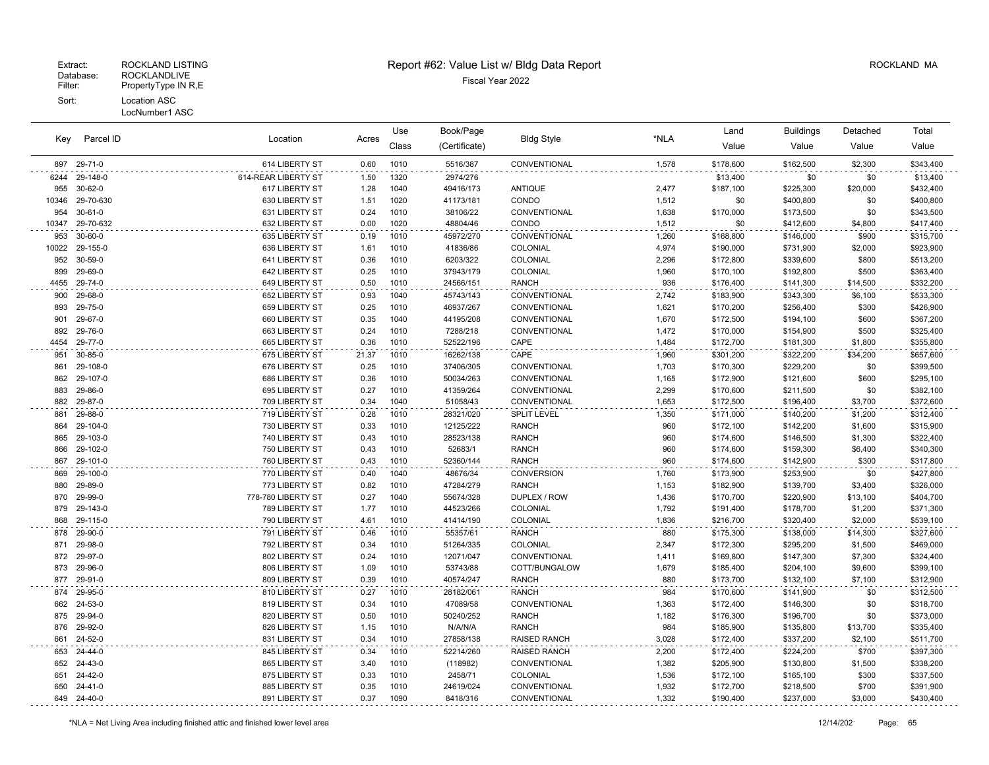#### Database: ROCKLANDLIVE<br>Filter: PropertyType IN R,E PropertyType IN R,E Sort: Location ASC LocNumber1 ASC

### Extract: ROCKLAND LISTING ROCKLAND MA Report #62: Value List w/ Bldg Data Report And Report Assessment ROCKLAND MA

| Key   | Parcel ID       | Location            | Acres | Use   | Book/Page     | <b>Bldg Style</b>  | *NLA  | Land      | <b>Buildings</b> | Detached | Total     |
|-------|-----------------|---------------------|-------|-------|---------------|--------------------|-------|-----------|------------------|----------|-----------|
|       |                 |                     |       | Class | (Certificate) |                    |       | Value     | Value            | Value    | Value     |
| 897   | 29-71-0         | 614 LIBERTY ST      | 0.60  | 1010  | 5516/387      | CONVENTIONAL       | 1,578 | \$178,600 | \$162,500        | \$2,300  | \$343,400 |
| 6244  | 29-148-0        | 614-REAR LIBERTY ST | 1.50  | 1320  | 2974/276      |                    |       | \$13,400  | \$0              | \$0      | \$13,400  |
| 955   | 30-62-0         | 617 LIBERTY ST      | 1.28  | 1040  | 49416/173     | <b>ANTIQUE</b>     | 2,477 | \$187,100 | \$225,300        | \$20,000 | \$432,400 |
|       | 10346 29-70-630 | 630 LIBERTY ST      | 1.51  | 1020  | 41173/181     | CONDO              | 1,512 | \$0       | \$400,800        | \$0      | \$400,800 |
| 954   | $30 - 61 - 0$   | 631 LIBERTY ST      | 0.24  | 1010  | 38106/22      | CONVENTIONAL       | 1,638 | \$170,000 | \$173,500        | \$0      | \$343,500 |
| 10347 | 29-70-632       | 632 LIBERTY ST      | 0.00  | 1020  | 48804/46      | CONDO              | 1,512 | \$0       | \$412,600        | \$4,800  | \$417,400 |
| 953   | $30 - 60 - 0$   | 635 LIBERTY ST      | 0.19  | 1010  | 45972/270     | CONVENTIONAL       | 1,260 | \$168,800 | \$146,000        | \$900    | \$315,700 |
|       | 10022 29-155-0  | 636 LIBERTY ST      | 1.61  | 1010  | 41836/86      | COLONIAL           | 4,974 | \$190,000 | \$731,900        | \$2,000  | \$923,900 |
| 952   | 30-59-0         | 641 LIBERTY ST      | 0.36  | 1010  | 6203/322      | COLONIAL           | 2,296 | \$172,800 | \$339,600        | \$800    | \$513,200 |
| 899   | 29-69-0         | 642 LIBERTY ST      | 0.25  | 1010  | 37943/179     | COLONIAL           | 1,960 | \$170,100 | \$192,800        | \$500    | \$363,400 |
| 4455  | 29-74-0         | 649 LIBERTY ST      | 0.50  | 1010  | 24566/151     | RANCH              | 936   | \$176,400 | \$141,300        | \$14,500 | \$332,200 |
| 900   | 29-68-0         | 652 LIBERTY ST      | 0.93  | 1040  | 45743/143     | CONVENTIONAL       | 2,742 | \$183,900 | \$343,300        | \$6,100  | \$533,300 |
| 893   | 29-75-0         | 659 LIBERTY ST      | 0.25  | 1010  | 46937/267     | CONVENTIONAL       | 1,621 | \$170,200 | \$256,400        | \$300    | \$426,900 |
|       | 901 29-67-0     | 660 LIBERTY ST      | 0.35  | 1040  | 44195/208     | CONVENTIONAL       | 1,670 | \$172,500 | \$194,100        | \$600    | \$367,200 |
| 892   | 29-76-0         | 663 LIBERTY ST      | 0.24  | 1010  | 7288/218      | CONVENTIONAL       | 1,472 | \$170,000 | \$154,900        | \$500    | \$325,400 |
| 4454  | 29-77-0         | 665 LIBERTY ST      | 0.36  | 1010  | 52522/196     | CAPE               | 1.484 | \$172,700 | \$181,300        | \$1,800  | \$355,800 |
| 951   | 30-85-0         | 675 LIBERTY ST      | 21.37 | 1010  | 16262/138     | CAPE               | 1,960 | \$301,200 | \$322,200        | \$34,200 | \$657,600 |
| 861   | 29-108-0        | 676 LIBERTY ST      | 0.25  | 1010  | 37406/305     | CONVENTIONAL       | 1,703 | \$170,300 | \$229,200        | \$0      | \$399,500 |
|       | 862 29-107-0    | 686 LIBERTY ST      | 0.36  | 1010  | 50034/263     | CONVENTIONAL       | 1,165 | \$172,900 | \$121,600        | \$600    | \$295,100 |
| 883   | 29-86-0         | 695 LIBERTY ST      | 0.27  | 1010  | 41359/264     | CONVENTIONAL       | 2,299 | \$170,600 | \$211,500        | \$0      | \$382,100 |
| 882   | 29-87-0         | 709 LIBERTY ST      | 0.34  | 1040  | 51058/43      | CONVENTIONAL       | 1,653 | \$172,500 | \$196,400        | \$3,700  | \$372,600 |
| 881   | 29-88-0         | 719 LIBERTY ST      | 0.28  | 1010  | 28321/020     | <b>SPLIT LEVEL</b> | 1,350 | \$171,000 | \$140,200        | \$1,200  | \$312,400 |
| 864   | 29-104-0        | 730 LIBERTY ST      | 0.33  | 1010  | 12125/222     | <b>RANCH</b>       | 960   | \$172,100 | \$142,200        | \$1,600  | \$315,900 |
|       | 865 29-103-0    | 740 LIBERTY ST      | 0.43  | 1010  | 28523/138     | <b>RANCH</b>       | 960   | \$174,600 | \$146,500        | \$1,300  | \$322,400 |
| 866   | 29-102-0        | 750 LIBERTY ST      | 0.43  | 1010  | 52683/1       | <b>RANCH</b>       | 960   | \$174,600 | \$159,300        | \$6,400  | \$340,300 |
| 867   | 29-101-0        | 760 LIBERTY ST      | 0.43  | 1010  | 52360/144     | <b>RANCH</b>       | 960   | \$174,600 | \$142,900        | \$300    | \$317,800 |
| 869   | 29-100-0        | 770 LIBERTY ST      | 0.40  | 1040  | 48676/34      | <b>CONVERSION</b>  | 1,760 | \$173,900 | \$253,900        | \$0      | \$427,800 |
| 880   | 29-89-0         | 773 LIBERTY ST      | 0.82  | 1010  | 47284/279     | <b>RANCH</b>       | 1,153 | \$182,900 | \$139,700        | \$3,400  | \$326,000 |
| 870   | 29-99-0         | 778-780 LIBERTY ST  | 0.27  | 1040  | 55674/328     | DUPLEX / ROW       | 1,436 | \$170,700 | \$220,900        | \$13,100 | \$404,700 |
|       | 879 29-143-0    | 789 LIBERTY ST      | 1.77  | 1010  | 44523/266     | COLONIAL           | 1,792 | \$191,400 | \$178,700        | \$1,200  | \$371,300 |
| 868   | 29-115-0        | 790 LIBERTY ST      | 4.61  | 1010  | 41414/190     | COLONIAL           | 1,836 | \$216,700 | \$320,400        | \$2,000  | \$539,100 |
| 878   | 29-90-0         | 791 LIBERTY ST      | 0.46  | 1010  | 55357/61      | <b>RANCH</b>       | 880   | \$175,300 | \$138,000        | \$14,300 | \$327,600 |
| 871   | 29-98-0         | 792 LIBERTY ST      | 0.34  | 1010  | 51264/335     | COLONIAL           | 2,347 | \$172,300 | \$295,200        | \$1,500  | \$469,000 |
|       | 872 29-97-0     | 802 LIBERTY ST      | 0.24  | 1010  | 12071/047     | CONVENTIONAL       | 1,411 | \$169,800 | \$147,300        | \$7,300  | \$324,400 |
| 873   | 29-96-0         | 806 LIBERTY ST      | 1.09  | 1010  | 53743/88      | COTT/BUNGALOW      | 1,679 | \$185,400 | \$204,100        | \$9,600  | \$399,100 |
| 877   | 29-91-0         | 809 LIBERTY ST      | 0.39  | 1010  | 40574/247     | <b>RANCH</b>       | 880   | \$173,700 | \$132,100        | \$7,100  | \$312,900 |
| 874   | 29-95-0         | 810 LIBERTY ST      | 0.27  | 1010  | 28182/061     | <b>RANCH</b>       | 984   | \$170,600 | \$141,900        | \$0      | \$312,500 |
| 662   | 24-53-0         | 819 LIBERTY ST      | 0.34  | 1010  | 47089/58      | CONVENTIONAL       | 1,363 | \$172,400 | \$146,300        | \$0      | \$318,700 |
|       | 875 29-94-0     | 820 LIBERTY ST      | 0.50  | 1010  | 50240/252     | <b>RANCH</b>       | 1,182 | \$176,300 | \$196,700        | \$0      | \$373,000 |

 29-92-0 826 LIBERTY ST 1.15 1010 N/A/N/A RANCH 984 \$185,900 \$135,800 \$13,700 \$335,400 24-52-0 831 LIBERTY ST 0.34 1010 27858/138 RAISED RANCH 3,028 \$172,400 \$337,200 \$2,100 \$511,700 24-44-0 845 LIBERTY ST 0.34 1010 52214/260 RAISED RANCH 2,200 \$172,400 \$224,200 \$700 \$397,300 24-43-0 865 LIBERTY ST 3.40 1010 (118982) CONVENTIONAL 1,382 \$205,900 \$130,800 \$1,500 \$338,200 24-42-0 875 LIBERTY ST 0.33 1010 2458/71 COLONIAL 1,536 \$172,100 \$165,100 \$300 \$337,500 24-41-0 885 LIBERTY ST 0.35 1010 24619/024 CONVENTIONAL 1,932 \$172,700 \$218,500 \$700 \$391,900 24-40-0 891 LIBERTY ST 0.37 1090 8418/316 CONVENTIONAL 1,332 \$190,400 \$237,000 \$3,000 \$430,400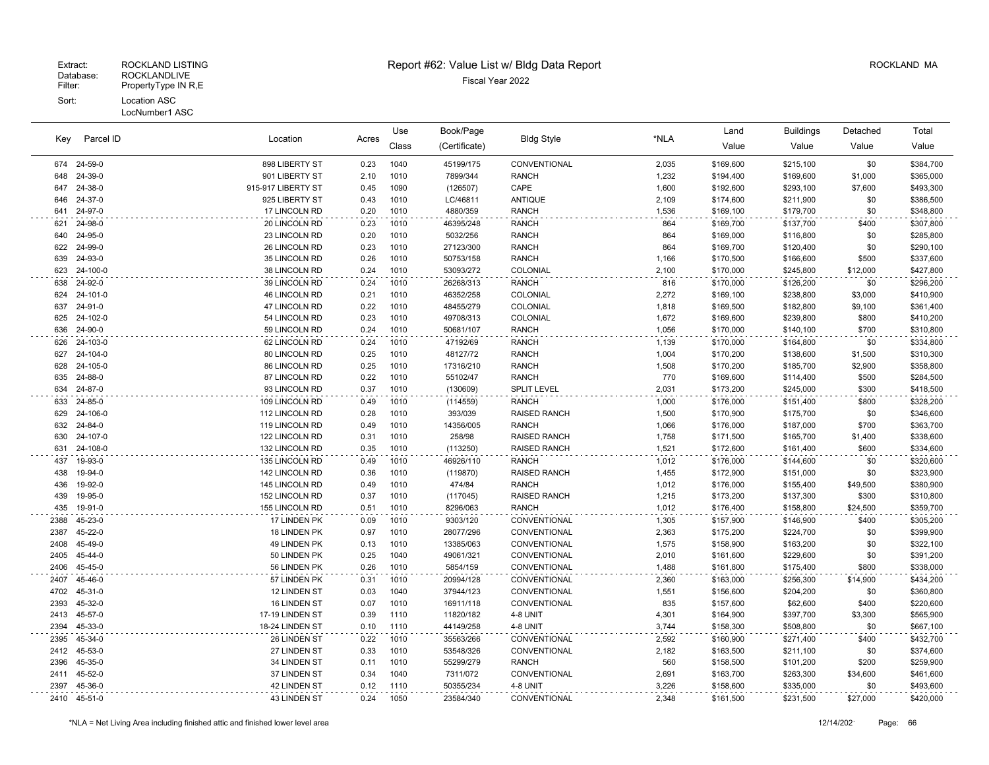#### LocNumber1 ASC

| Parcel ID<br>Key | Location    |                      | Use   | Book/Page<br><b>Bldg Style</b> |               | Land                | <b>Buildings</b> | Detached  | Total     |          |           |
|------------------|-------------|----------------------|-------|--------------------------------|---------------|---------------------|------------------|-----------|-----------|----------|-----------|
|                  |             |                      | Acres | Class                          | (Certificate) |                     | *NLA             | Value     | Value     | Value    | Value     |
|                  | 674 24-59-0 | 898 LIBERTY ST       | 0.23  | 1040                           | 45199/175     | CONVENTIONAL        | 2,035            | \$169,600 | \$215,100 | \$0      | \$384,700 |
| 648              | 24-39-0     | 901 LIBERTY ST       | 2.10  | 1010                           | 7899/344      | <b>RANCH</b>        | 1,232            | \$194,400 | \$169,600 | \$1,000  | \$365,000 |
| 647              | 24-38-0     | 915-917 LIBERTY ST   | 0.45  | 1090                           | (126507)      | CAPE                | 1,600            | \$192,600 | \$293,100 | \$7,600  | \$493,300 |
| 646              | 24-37-0     | 925 LIBERTY ST       | 0.43  | 1010                           | LC/46811      | <b>ANTIQUE</b>      | 2,109            | \$174,600 | \$211,900 | \$0      | \$386,500 |
| 641              | 24-97-0     | 17 LINCOLN RD        | 0.20  | 1010                           | 4880/359      | <b>RANCH</b>        | 1,536            | \$169,100 | \$179,700 | \$0      | \$348,800 |
| 621              | 24-98-0     | 20 LINCOLN RD        | 0.23  | 1010                           | 46395/248     | <b>RANCH</b>        | 864              | \$169,700 | \$137,700 | \$400    | \$307,800 |
| 640              | 24-95-0     | 23 LINCOLN RD        | 0.20  | 1010                           | 5032/256      | <b>RANCH</b>        | 864              | \$169,000 | \$116,800 | \$0      | \$285,800 |
| 622              | 24-99-0     | 26 LINCOLN RD        | 0.23  | 1010                           | 27123/300     | <b>RANCH</b>        | 864              | \$169,700 | \$120,400 | \$0      | \$290,100 |
| 639              | 24-93-0     | 35 LINCOLN RD        | 0.26  | 1010                           | 50753/158     | <b>RANCH</b>        | 1,166            | \$170,500 | \$166,600 | \$500    | \$337,600 |
| 623              | 24-100-0    | 38 LINCOLN RD        | 0.24  | 1010                           | 53093/272     | COLONIAL            | 2,100            | \$170,000 | \$245,800 | \$12,000 | \$427,800 |
| 638              | 24-92-0     | 39 LINCOLN RD        | 0.24  | 1010                           | 26268/313     | <b>RANCH</b>        | 816              | \$170,000 | \$126,200 | \$0      | \$296,200 |
| 624              | 24-101-0    | <b>46 LINCOLN RD</b> | 0.21  | 1010                           | 46352/258     | COLONIAL            | 2,272            | \$169,100 | \$238,800 | \$3,000  | \$410,900 |
| 637              | 24-91-0     | 47 LINCOLN RD        | 0.22  | 1010                           | 48455/279     | COLONIAL            | 1,818            | \$169,500 | \$182,800 | \$9,100  | \$361,400 |
| 625              | 24-102-0    | 54 LINCOLN RD        | 0.23  | 1010                           | 49708/313     | COLONIAL            | 1,672            | \$169,600 | \$239,800 | \$800    | \$410,200 |
| 636              | 24-90-0     | 59 LINCOLN RD        | 0.24  | 1010                           | 50681/107     | <b>RANCH</b>        | 1,056            | \$170,000 | \$140,100 | \$700    | \$310,800 |
| 626              | 24-103-0    | 62 LINCOLN RD        | 0.24  | 1010                           | 47192/69      | <b>RANCH</b>        | 1,139            | \$170,000 | \$164,800 | \$0      | \$334,800 |
| 627              | 24-104-0    | 80 LINCOLN RD        | 0.25  | 1010                           | 48127/72      | <b>RANCH</b>        | 1,004            | \$170,200 | \$138,600 | \$1,500  | \$310,300 |
| 628              | 24-105-0    | 86 LINCOLN RD        | 0.25  | 1010                           | 17316/210     | <b>RANCH</b>        | 1,508            | \$170,200 | \$185,700 | \$2,900  | \$358,800 |
| 635              | 24-88-0     | 87 LINCOLN RD        | 0.22  | 1010                           | 55102/47      | <b>RANCH</b>        | 770              | \$169,600 | \$114,400 | \$500    | \$284,500 |
| 634              | 24-87-0     | 93 LINCOLN RD        | 0.37  | 1010                           | (130609)      | <b>SPLIT LEVEL</b>  | 2,031            | \$173,200 | \$245,000 | \$300    | \$418,500 |
| 633              | 24-85-0     | 109 LINCOLN RD       | 0.49  | 1010                           | (114559)      | <b>RANCH</b>        | 1,000            | \$176,000 | \$151,400 | \$800    | \$328,200 |
| 629              | 24-106-0    | 112 LINCOLN RD       | 0.28  | 1010                           | 393/039       | <b>RAISED RANCH</b> | 1,500            | \$170,900 | \$175,700 | \$0      | \$346,600 |
| 632              | 24-84-0     | 119 LINCOLN RD       | 0.49  | 1010                           | 14356/005     | <b>RANCH</b>        | 1,066            | \$176,000 | \$187,000 | \$700    | \$363,700 |
| 630              | 24-107-0    | 122 LINCOLN RD       | 0.31  | 1010                           | 258/98        | <b>RAISED RANCH</b> | 1,758            | \$171,500 | \$165,700 | \$1,400  | \$338,600 |
| 631              | 24-108-0    | 132 LINCOLN RD       | 0.35  | 1010                           | (113250)      | <b>RAISED RANCH</b> | 1,521            | \$172,600 | \$161,400 | \$600    | \$334,600 |
| 437              | 19-93-0     | 135 LINCOLN RD       | 0.49  | 1010                           | 46926/110     | <b>RANCH</b>        | 1,012            | \$176,000 | \$144,600 | \$0      | \$320,600 |
| 438              | 19-94-0     | 142 LINCOLN RD       | 0.36  | 1010                           | (119870)      | <b>RAISED RANCH</b> | 1,455            | \$172,900 | \$151,000 | \$0      | \$323,900 |
| 436              | 19-92-0     | 145 LINCOLN RD       | 0.49  | 1010                           | 474/84        | <b>RANCH</b>        | 1,012            | \$176,000 | \$155,400 | \$49,500 | \$380,900 |
| 439              | 19-95-0     | 152 LINCOLN RD       | 0.37  | 1010                           | (117045)      | <b>RAISED RANCH</b> | 1,215            | \$173,200 | \$137,300 | \$300    | \$310,800 |
| 435              | 19-91-0     | 155 LINCOLN RD       | 0.51  | 1010                           | 8296/063      | <b>RANCH</b>        | 1,012            | \$176,400 | \$158,800 | \$24,500 | \$359,700 |
| 2388             | 45-23-0     | 17 LINDEN PK         | 0.09  | 1010                           | 9303/120      | CONVENTIONAL        | 1,305            | \$157,900 | \$146,900 | \$400    | \$305,200 |
| 2387             | 45-22-0     | 18 LINDEN PK         | 0.97  | 1010                           | 28077/296     | CONVENTIONAL        | 2,363            | \$175,200 | \$224,700 | \$0      | \$399,900 |
| 2408             | 45-49-0     | 49 LINDEN PK         | 0.13  | 1010                           | 13385/063     | CONVENTIONAL        | 1,575            | \$158,900 | \$163,200 | \$0      | \$322,100 |
| 2405             | 45-44-0     | 50 LINDEN PK         | 0.25  | 1040                           | 49061/321     | CONVENTIONAL        | 2,010            | \$161,600 | \$229,600 | \$0      | \$391,200 |
| 2406             | 45-45-0     | 56 LINDEN PK         | 0.26  | 1010                           | 5854/159      | CONVENTIONAL        | 1,488            | \$161,800 | \$175,400 | \$800    | \$338,000 |
| 2407             | 45-46-0     | 57 LINDEN PK         | 0.31  | 1010                           | 20994/128     | CONVENTIONAL        | 2,360            | \$163,000 | \$256,300 | \$14,900 | \$434,200 |
| 4702             | 45-31-0     | 12 LINDEN ST         | 0.03  | 1040                           | 37944/123     | CONVENTIONAL        | 1,551            | \$156,600 | \$204,200 | \$0      | \$360,800 |
| 2393             | 45-32-0     | 16 LINDEN ST         | 0.07  | 1010                           | 16911/118     | CONVENTIONAL        | 835              | \$157,600 | \$62,600  | \$400    | \$220,600 |
| 2413             | 45-57-0     | 17-19 LINDEN ST      | 0.39  | 1110                           | 11820/182     | 4-8 UNIT            | 4,301            | \$164,900 | \$397,700 | \$3,300  | \$565,900 |
| 2394             | 45-33-0     | 18-24 LINDEN ST      | 0.10  | 1110                           | 44149/258     | 4-8 UNIT            | 3,744            | \$158,300 | \$508,800 | \$0      | \$667,100 |
| 2395             | 45-34-0     | 26 LINDEN ST         | 0.22  | 1010                           | 35563/266     | CONVENTIONAL        | 2,592            | \$160,900 | \$271,400 | \$400    | \$432,700 |
| 2412             | 45-53-0     | 27 LINDEN ST         | 0.33  | 1010                           | 53548/326     | CONVENTIONAL        | 2,182            | \$163,500 | \$211,100 | \$0      | \$374,600 |
| 2396             | 45-35-0     | 34 LINDEN ST         | 0.11  | 1010                           | 55299/279     | <b>RANCH</b>        | 560              | \$158,500 | \$101,200 | \$200    | \$259,900 |
| 2411             | 45-52-0     | 37 LINDEN ST         | 0.34  | 1040                           | 7311/072      | CONVENTIONAL        | 2,691            | \$163,700 | \$263,300 | \$34,600 | \$461,600 |
| 2397             | 45-36-0     | 42 LINDEN ST         | 0.12  | 1110                           | 50355/234     | 4-8 UNIT            | 3,226            | \$158,600 | \$335,000 | \$0      | \$493,600 |
| 2410             | 45-51-0     | 43 LINDEN ST         | 0.24  | 1050                           | 23584/340     | CONVENTIONAL        | 2,348            | \$161,500 | \$231,500 | \$27,000 | \$420,000 |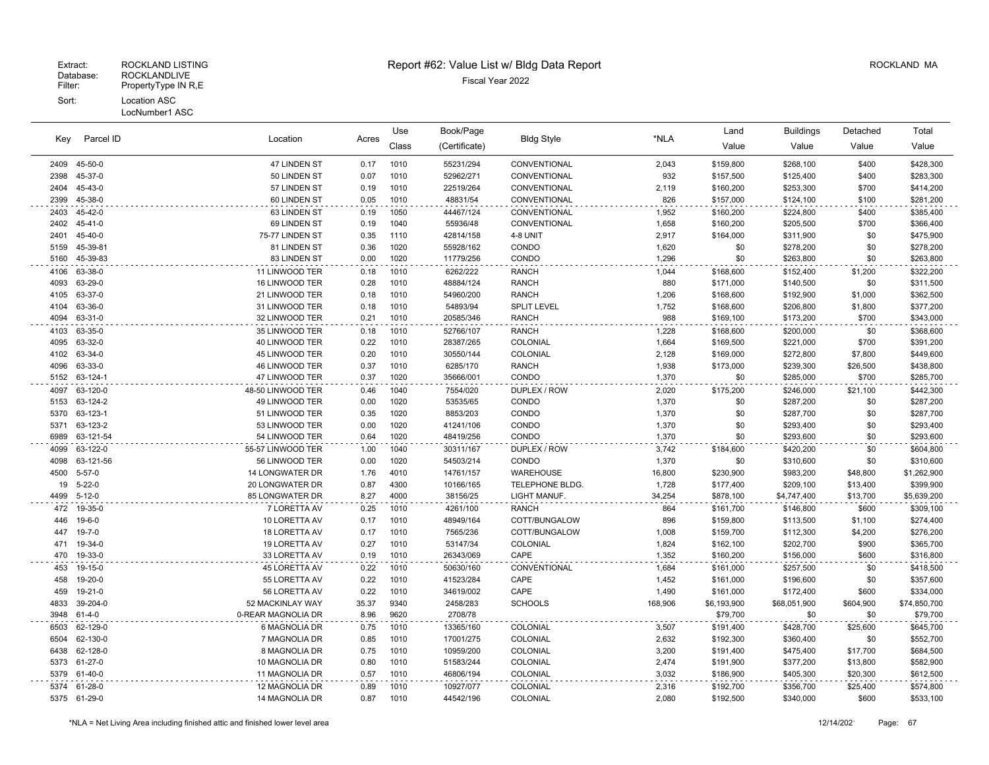LocNumber1 ASC

| Key          | Parcel ID          | Location                                | Acres        | Use          | Book/Page             | <b>Bldg Style</b>                  | *NLA           | Land                   | <b>Buildings</b>       | Detached            | Total                  |
|--------------|--------------------|-----------------------------------------|--------------|--------------|-----------------------|------------------------------------|----------------|------------------------|------------------------|---------------------|------------------------|
|              |                    |                                         |              | Class        | (Certificate)         |                                    |                | Value                  | Value                  | Value               | Value                  |
| 2409         | 45-50-0            | 47 LINDEN ST                            | 0.17         | 1010         | 55231/294             | CONVENTIONAL                       | 2,043          | \$159,800              | \$268,100              | \$400               | \$428,300              |
| 2398         | 45-37-0            | 50 LINDEN ST                            | 0.07         | 1010         | 52962/271             | CONVENTIONAL                       | 932            | \$157,500              | \$125,400              | \$400               | \$283,300              |
| 2404         | 45-43-0            | 57 LINDEN ST                            | 0.19         | 1010         | 22519/264             | CONVENTIONAL                       | 2,119          | \$160,200              | \$253,300              | \$700               | \$414,200              |
| 2399         | 45-38-0            | 60 LINDEN ST                            | 0.05         | 1010         | 48831/54              | CONVENTIONAL                       | 826            | \$157,000              | \$124,100              | \$100               | \$281,200              |
| 2403         | 45-42-0            | 63 LINDEN ST                            | 0.19         | 1050         | 44467/124             | CONVENTIONAL                       | 1,952          | \$160,200              | \$224,800              | \$400               | \$385,400              |
| 2402         | $45 - 41 - 0$      | 69 LINDEN ST                            | 0.19         | 1040         | 55936/48              | CONVENTIONAL                       | 1,658          | \$160,200              | \$205,500              | \$700               | \$366,400              |
| 2401         | 45-40-0            | 75-77 LINDEN ST                         | 0.35         | 1110         | 42814/158             | 4-8 UNIT                           | 2,917          | \$164,000              | \$311,900              | \$0                 | \$475,900              |
| 5159         | 45-39-81           | 81 LINDEN ST                            | 0.36         | 1020         | 55928/162             | CONDO                              | 1,620          | \$0                    | \$278,200              | \$0                 | \$278,200              |
| 5160         | 45-39-83           | 83 LINDEN ST                            | 0.00         | 1020         | 11779/256             | CONDO                              | 1,296          | \$0                    | \$263,800              | \$0                 | \$263,800              |
| 4106         | 63-38-0            | 11 LINWOOD TER                          | 0.18         | 1010         | 6262/222              | <b>RANCH</b>                       | 1,044          | \$168,600              | \$152,400              | \$1,200             | \$322,200              |
| 4093         | 63-29-0            | 16 LINWOOD TER                          | 0.28         | 1010         | 48884/124             | <b>RANCH</b>                       | 880            | \$171,000              | \$140,500              | \$0                 | \$311,500              |
| 4105         | 63-37-0            | 21 LINWOOD TER                          | 0.18         | 1010         | 54960/200             | <b>RANCH</b>                       | 1,206          | \$168,600              | \$192,900              | \$1,000             | \$362,500              |
| 4104         | 63-36-0            | 31 LINWOOD TER                          | 0.18         | 1010         | 54893/94              | <b>SPLIT LEVEL</b>                 | 1,752          | \$168,600              | \$206,800              | \$1,800             | \$377,200              |
| 4094         | 63-31-0            | 32 LINWOOD TER                          | 0.21         | 1010         | 20585/346             | <b>RANCH</b>                       | 988            | \$169,100              | \$173,200              | \$700               | \$343,000              |
| 4103         | 63-35-0<br>63-32-0 | 35 LINWOOD TER<br><b>40 LINWOOD TER</b> | 0.18<br>0.22 | 1010<br>1010 | 52766/107             | <b>RANCH</b>                       | 1,228          | \$168,600              | \$200,000              | \$0                 | \$368,600              |
| 4095<br>4102 | 63-34-0            | 45 LINWOOD TER                          | 0.20         | 1010         | 28387/265             | <b>COLONIAL</b><br><b>COLONIAL</b> | 1,664<br>2,128 | \$169,500              | \$221,000<br>\$272,800 | \$700               | \$391,200              |
| 4096         | 63-33-0            | 46 LINWOOD TER                          | 0.37         | 1010         | 30550/144<br>6285/170 | <b>RANCH</b>                       | 1,938          | \$169,000<br>\$173,000 | \$239,300              | \$7,800<br>\$26,500 | \$449,600<br>\$438,800 |
| 5152         | 63-124-1           | 47 LINWOOD TER                          | 0.37         | 1020         | 35666/001             | CONDO                              | 1,370          | \$0                    | \$285,000              | \$700               | \$285,700              |
| 4097         | 63-120-0           | 48-50 LINWOOD TER                       | 0.46         | 1040         | 7554/020              | DUPLEX / ROW                       | 2,020          | \$175,200              | \$246,000              | \$21,100            | \$442,300              |
| 5153         | 63-124-2           | 49 LINWOOD TER                          | 0.00         | 1020         | 53535/65              | CONDO                              | 1,370          | \$0                    | \$287,200              | \$0                 | \$287,200              |
| 5370         | 63-123-1           | 51 LINWOOD TER                          | 0.35         | 1020         | 8853/203              | CONDO                              | 1,370          | \$0                    | \$287,700              | \$0                 | \$287,700              |
| 5371         | 63-123-2           | 53 LINWOOD TER                          | 0.00         | 1020         | 41241/106             | CONDO                              | 1,370          | \$0                    | \$293,400              | \$0                 | \$293,400              |
| 6989         | 63-121-54          | 54 LINWOOD TER                          | 0.64         | 1020         | 48419/256             | CONDO                              | 1,370          | \$0                    | \$293,600              | \$0                 | \$293,600              |
| 4099         | 63-122-0           | 55-57 LINWOOD TER                       | 1.00         | 1040         | 30311/167             | DUPLEX / ROW                       | 3,742          | \$184,600              | \$420,200              | \$0                 | \$604,800              |
| 4098         | 63-121-56          | 56 LINWOOD TER                          | 0.00         | 1020         | 54503/214             | CONDO                              | 1,370          | \$0                    | \$310,600              | \$0                 | \$310,600              |
| 4500         | $5 - 57 - 0$       | <b>14 LONGWATER DR</b>                  | 1.76         | 4010         | 14761/157             | <b>WAREHOUSE</b>                   | 16,800         | \$230,900              | \$983,200              | \$48,800            | \$1,262,900            |
| 19           | $5 - 22 - 0$       | <b>20 LONGWATER DR</b>                  | 0.87         | 4300         | 10166/165             | TELEPHONE BLDG.                    | 1,728          | \$177,400              | \$209,100              | \$13,400            | \$399,900              |
| 4499         | $5 - 12 - 0$       | <b>85 LONGWATER DR</b>                  | 8.27         | 4000         | 38156/25              | LIGHT MANUF.                       | 34,254         | \$878,100              | \$4,747,400            | \$13,700            | \$5,639,200            |
| 472          | 19-35-0            | 7 LORETTA AV                            | 0.25         | 1010         | 4261/100              | <b>RANCH</b>                       | 864            | \$161,700              | \$146,800              | \$600               | \$309,100              |
| 446          | 19-6-0             | 10 LORETTA AV                           | 0.17         | 1010         | 48949/164             | COTT/BUNGALOW                      | 896            | \$159,800              | \$113,500              | \$1,100             | \$274,400              |
| 447          | 19-7-0             | 18 LORETTA AV                           | 0.17         | 1010         | 7565/236              | COTT/BUNGALOW                      | 1,008          | \$159,700              | \$112,300              | \$4,200             | \$276,200              |
| 471          | 19-34-0            | 19 LORETTA AV                           | 0.27         | 1010         | 53147/34              | COLONIAL                           | 1,824          | \$162,100              | \$202,700              | \$900               | \$365,700              |
| 470          | 19-33-0            | 33 LORETTA AV                           | 0.19         | 1010         | 26343/069             | CAPE                               | 1,352          | \$160,200              | \$156,000              | \$600               | \$316,800              |
| 453          | 19-15-0            | 45 LORETTA AV                           | 0.22         | 1010         | 50630/160             | CONVENTIONAL                       | 1,684          | \$161,000              | \$257,500              | \$0                 | \$418,500              |
| 458          | 19-20-0            | 55 LORETTA AV                           | 0.22         | 1010         | 41523/284             | CAPE                               | 1,452          | \$161,000              | \$196,600              | \$0                 | \$357,600              |
| 459          | 19-21-0            | 56 LORETTA AV                           | 0.22         | 1010         | 34619/002             | CAPE                               | 1,490          | \$161,000              | \$172,400              | \$600               | \$334,000              |
| 4833         | 39-204-0           | 52 MACKINLAY WAY                        | 35.37        | 9340         | 2458/283              | <b>SCHOOLS</b>                     | 168,906        | \$6,193,900            | \$68,051,900           | \$604,900           | \$74,850,700           |
| 3948         | $61 - 4 - 0$       | 0-REAR MAGNOLIA DR                      | 8.96         | 9620         | 2708/78               |                                    |                | \$79,700               | \$0                    | \$0                 | \$79,700               |
| 6503         | 62-129-0           | 6 MAGNOLIA DR                           | 0.75         | 1010         | 13365/160             | COLONIAL                           | 3,507          | \$191,400              | \$428,700              | \$25,600            | \$645,700              |
| 6504         | 62-130-0           | 7 MAGNOLIA DR                           | 0.85         | 1010         | 17001/275             | COLONIAL                           | 2,632          | \$192,300              | \$360,400              | \$0                 | \$552,700              |
| 6438         | 62-128-0           | 8 MAGNOLIA DR                           | 0.75         | 1010         | 10959/200             | COLONIAL                           | 3,200          | \$191,400              | \$475,400              | \$17,700            | \$684,500              |
| 5373         | 61-27-0            | 10 MAGNOLIA DR                          | 0.80         | 1010         | 51583/244             | COLONIAL                           | 2,474          | \$191,900              | \$377,200              | \$13,800            | \$582,900              |
| 5379         | 61-40-0            | 11 MAGNOLIA DR                          | 0.57         | 1010         | 46806/194             | COLONIAL                           | 3,032          | \$186,900              | \$405,300              | \$20,300            | \$612,500              |
| 5374         | 61-28-0            | 12 MAGNOLIA DR                          | 0.89         | 1010         | 10927/077             | COLONIAL                           | 2,316          | \$192,700              | \$356,700              | \$25,400            | \$574,800              |
|              | 5375 61-29-0       | 14 MAGNOLIA DR                          | 0.87         | 1010         | 44542/196             | COLONIAL                           | 2,080          | \$192,500              | \$340,000              | \$600               | \$533,100              |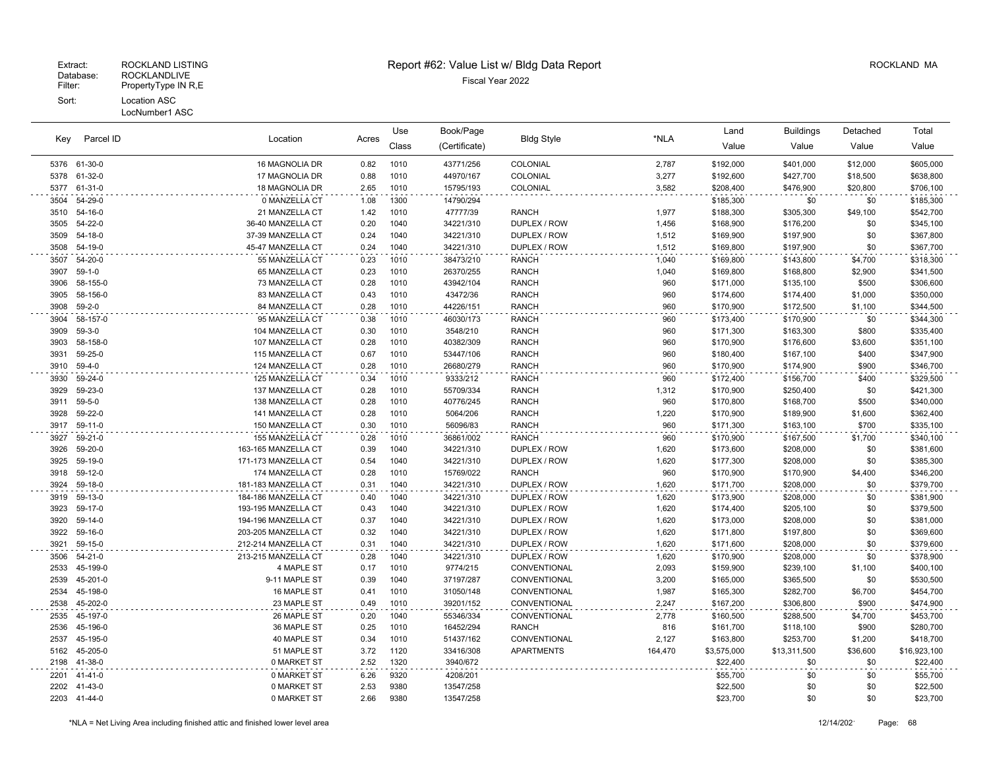### Extract: ROCKLAND LISTING **Report #62: Value List w/ Bldg Data Report** Alleman and RockLAND MA

| Key          | Parcel ID          | Location                                   | Acres        | Use          | Book/Page              | <b>Bldg Style</b>            | *NLA           | Land                   | <b>Buildings</b>       | Detached       | Total                  |
|--------------|--------------------|--------------------------------------------|--------------|--------------|------------------------|------------------------------|----------------|------------------------|------------------------|----------------|------------------------|
|              |                    |                                            |              | Class        | (Certificate)          |                              |                | Value                  | Value                  | Value          | Value                  |
|              | 5376 61-30-0       | 16 MAGNOLIA DR                             | 0.82         | 1010         | 43771/256              | COLONIAL                     | 2,787          | \$192,000              | \$401,000              | \$12,000       | \$605,000              |
| 5378         | 61-32-0            | 17 MAGNOLIA DR                             | 0.88         | 1010         | 44970/167              | COLONIAL                     | 3,277          | \$192,600              | \$427,700              | \$18,500       | \$638,800              |
| 5377         | 61-31-0            | 18 MAGNOLIA DR                             | 2.65         | 1010         | 15795/193              | COLONIAL                     | 3,582          | \$208,400              | \$476,900              | \$20,800       | \$706,100              |
| 3504         | 54-29-0            | 0 MANZELLA CT                              | 1.08         | 1300         | 14790/294              |                              |                | \$185,300              | \$0                    | \$0            | \$185,300              |
| 3510         | 54-16-0            | 21 MANZELLA CT                             | 1.42         | 1010         | 47777/39               | <b>RANCH</b>                 | 1,977          | \$188,300              | \$305,300              | \$49,100       | \$542,700              |
| 3505         | 54-22-0            | 36-40 MANZELLA CT                          | 0.20         | 1040         | 34221/310              | DUPLEX / ROW                 | 1,456          | \$168,900              | \$176,200              | \$0            | \$345,100              |
| 3509         | 54-18-0            | 37-39 MANZELLA CT                          | 0.24         | 1040         | 34221/310              | DUPLEX / ROW                 | 1,512          | \$169,900              | \$197,900              | \$0            | \$367,800              |
| 3508         | 54-19-0            | 45-47 MANZELLA CT                          | 0.24         | 1040         | 34221/310              | DUPLEX / ROW                 | 1,512          | \$169,800              | \$197,900              | \$0            | \$367,700              |
| 3507         | 54-20-0            | 55 MANZELLA CT                             | 0.23         | 1010         | 38473/210              | <b>RANCH</b>                 | 1,040          | \$169,800              | \$143,800              | \$4,700        | \$318,300              |
| 3907         | $59-1-0$           | 65 MANZELLA CT                             | 0.23         | 1010         | 26370/255              | <b>RANCH</b>                 | 1,040          | \$169,800              | \$168,800              | \$2,900        | \$341,500              |
| 3906         | 58-155-0           | 73 MANZELLA CT                             | 0.28         | 1010         | 43942/104              | <b>RANCH</b>                 | 960            | \$171,000              | \$135,100              | \$500          | \$306,600              |
| 3905         | 58-156-0           | 83 MANZELLA CT                             | 0.43         | 1010         | 43472/36               | <b>RANCH</b>                 | 960            | \$174,600              | \$174,400              | \$1,000        | \$350,000              |
| 3908         | $59 - 2 - 0$       | 84 MANZELLA CT                             | 0.28         | 1010         | 44226/151              | <b>RANCH</b>                 | 960            | \$170,900              | \$172,500              | \$1,100        | \$344,500              |
| 3904         | 58-157-0           | 95 MANZELLA CT                             | 0.38         | 1010         | 46030/173              | <b>RANCH</b>                 | 960            | \$173,400              | \$170,900              | \$0            | \$344,300              |
| 3909         | $59-3-0$           | 104 MANZELLA CT                            | 0.30         | 1010         | 3548/210               | <b>RANCH</b>                 | 960            | \$171,300              | \$163,300              | \$800          | \$335,400              |
| 3903         | 58-158-0           | 107 MANZELLA CT                            | 0.28         | 1010         | 40382/309              | <b>RANCH</b>                 | 960            | \$170,900              | \$176,600              | \$3,600        | \$351,100              |
| 3931         | 59-25-0            | 115 MANZELLA CT                            | 0.67         | 1010         | 53447/106              | <b>RANCH</b>                 | 960            | \$180,400              | \$167,100              | \$400          | \$347,900              |
| 3910         | 59-4-0             | 124 MANZELLA CT                            | 0.28         | 1010         | 26680/279              | <b>RANCH</b>                 | 960            | \$170,900              | \$174,900              | \$900          | \$346,700              |
| 3930         | 59-24-0            | 125 MANZELLA CT                            | 0.34         | 1010         | 9333/212               | <b>RANCH</b>                 | 960            | \$172,400              | \$156,700              | \$400          | \$329,500              |
| 3929         | 59-23-0            | 137 MANZELLA CT                            | 0.28         | 1010         | 55709/334              | <b>RANCH</b>                 | 1,312          | \$170,900              | \$250,400              | \$0            | \$421,300              |
| 3911         | $59 - 5 - 0$       | 138 MANZELLA CT                            | 0.28         | 1010         | 40776/245              | <b>RANCH</b>                 | 960            | \$170,800              | \$168,700              | \$500          | \$340,000              |
| 3928         | 59-22-0            | 141 MANZELLA CT                            | 0.28         | 1010         | 5064/206               | <b>RANCH</b>                 | 1,220          | \$170,900              | \$189,900              | \$1,600        | \$362,400              |
| 3917         | 59-11-0            | 150 MANZELLA CT                            | 0.30         | 1010         | 56096/83               | <b>RANCH</b>                 | 960            | \$171,300              | \$163,100              | \$700          | \$335,100              |
| 3927         | 59-21-0            | 155 MANZELLA CT                            | 0.28         | 1010         | 36861/002              | <b>RANCH</b>                 | 960            | \$170,900              | \$167,500              | \$1,700        | \$340,100              |
| 3926         | 59-20-0            | 163-165 MANZELLA CT                        | 0.39         | 1040         | 34221/310              | DUPLEX / ROW                 | 1,620          | \$173,600              | \$208,000              | \$0            | \$381,600              |
| 3925         | 59-19-0            | 171-173 MANZELLA CT                        | 0.54         | 1040         | 34221/310              | DUPLEX / ROW                 | 1,620          | \$177,300              | \$208,000              | \$0            | \$385,300              |
| 3918         | 59-12-0            | 174 MANZELLA CT                            | 0.28         | 1010         | 15769/022              | <b>RANCH</b>                 | 960            | \$170,900              | \$170,900              | \$4,400        | \$346,200              |
| 3924         | 59-18-0            | 181-183 MANZELLA CT                        | 0.31         | 1040         | 34221/310              | DUPLEX / ROW                 | 1,620          | \$171,700              | \$208,000              | \$0            | \$379,700              |
| 3919         | 59-13-0            | 184-186 MANZELLA CT                        | 0.40         | 1040         | 34221/310              | DUPLEX / ROW                 | 1,620          | \$173,900              | \$208,000              | \$0            | \$381,900              |
| 3923         | 59-17-0            | 193-195 MANZELLA CT                        | 0.43         | 1040         | 34221/310              | DUPLEX / ROW                 | 1,620          | \$174,400              | \$205,100              | \$0            | \$379,500              |
| 3920         | 59-14-0<br>59-16-0 | 194-196 MANZELLA CT<br>203-205 MANZELLA CT | 0.37<br>0.32 | 1040<br>1040 | 34221/310<br>34221/310 | DUPLEX / ROW                 | 1,620<br>1,620 | \$173,000              | \$208,000              | \$0<br>\$0     | \$381,000              |
| 3922<br>3921 | 59-15-0            | 212-214 MANZELLA CT                        | 0.31         | 1040         | 34221/310              | DUPLEX / ROW<br>DUPLEX / ROW | 1,620          | \$171,800<br>\$171,600 | \$197,800<br>\$208,000 | \$0            | \$369,600<br>\$379,600 |
|              | $54 - 21 - 0$      | 213-215 MANZELLA CT                        | 0.28         | 1040         |                        | DUPLEX / ROW                 |                |                        |                        | \$0            |                        |
| 3506<br>2533 | 45-199-0           | 4 MAPLE ST                                 | 0.17         | 1010         | 34221/310<br>9774/215  | CONVENTIONAL                 | 1,620<br>2,093 | \$170,900<br>\$159,900 | \$208,000<br>\$239,100 |                | \$378,900<br>\$400,100 |
| 2539         | 45-201-0           | 9-11 MAPLE ST                              | 0.39         | 1040         | 37197/287              | CONVENTIONAL                 | 3,200          | \$165,000              | \$365,500              | \$1,100<br>\$0 | \$530,500              |
| 2534         | 45-198-0           | 16 MAPLE ST                                | 0.41         | 1010         | 31050/148              | CONVENTIONAL                 | 1,987          | \$165,300              | \$282,700              | \$6,700        | \$454,700              |
| 2538         | 45-202-0           | 23 MAPLE ST                                | 0.49         | 1010         | 39201/152              | CONVENTIONAL                 | 2,247          | \$167,200              | \$306,800              | \$900          | \$474,900              |
| 2535         | 45-197-0           | 26 MAPLE ST                                | 0.20         | 1040         | 55346/334              | CONVENTIONAL                 | 2,778          | \$160,500              | \$288,500              | \$4,700        | \$453,700              |
| 2536         | 45-196-0           | 36 MAPLE ST                                | 0.25         | 1010         | 16452/294              | <b>RANCH</b>                 | 816            | \$161,700              | \$118,100              | \$900          | \$280,700              |
| 2537         | 45-195-0           | 40 MAPLE ST                                | 0.34         | 1010         | 51437/162              | CONVENTIONAL                 | 2,127          | \$163,800              | \$253,700              | \$1,200        | \$418,700              |
| 5162         | 45-205-0           | 51 MAPLE ST                                | 3.72         | 1120         | 33416/308              | <b>APARTMENTS</b>            | 164,470        | \$3,575,000            | \$13,311,500           | \$36,600       | \$16,923,100           |
| 2198         | 41-38-0            | 0 MARKET ST                                | 2.52         | 1320         | 3940/672               |                              |                | \$22,400               | \$0                    | \$0            | \$22,400               |
| 2201         | 41-41-0            | 0 MARKET ST                                | 6.26         | 9320         | 4208/201               |                              |                | \$55,700               | \$0                    | \$0            | \$55,700               |
| 2202         | 41-43-0            | 0 MARKET ST                                | 2.53         | 9380         | 13547/258              |                              |                | \$22,500               | \$0                    | \$0            | \$22,500               |
|              | 2203 41-44-0       | 0 MARKET ST                                | 2.66         | 9380         | 13547/258              |                              |                | \$23,700               | \$0                    | \$0            | \$23,700               |
|              |                    |                                            |              |              |                        |                              |                |                        |                        |                |                        |

 $\sim$   $\sim$ 

 $\ddot{\phantom{a}}$ 

 $\ddotsc$ 

 $\ddot{\phantom{0}}$ 

 $\sim$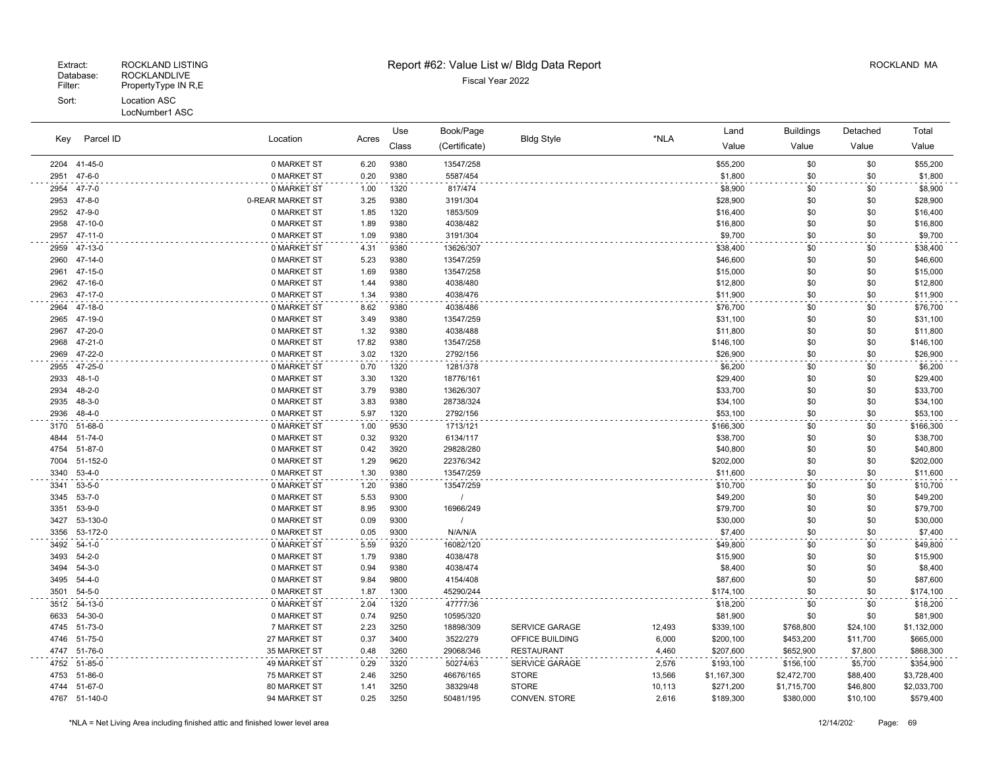| Key          | Parcel ID          | Location                   | Acres        | Use          | Book/Page     | <b>Bldg Style</b>     | *NLA   | Land                 | <b>Buildings</b> | Detached   | Total                |
|--------------|--------------------|----------------------------|--------------|--------------|---------------|-----------------------|--------|----------------------|------------------|------------|----------------------|
|              |                    |                            |              | Class        | (Certificate) |                       |        | Value                | Value            | Value      | Value                |
| 2204         | 41-45-0            | 0 MARKET ST                | 6.20         | 9380         | 13547/258     |                       |        | \$55,200             | \$0              | \$0        | \$55,200             |
| 2951         | $47 - 6 - 0$       | 0 MARKET ST                | 0.20         | 9380         | 5587/454      |                       |        | \$1,800              | \$0              | \$0        | \$1,800              |
| 2954         | $47 - 7 - 0$       | 0 MARKET ST                | 1.00         | 1320         | 817/474       |                       |        | \$8,900              | \$0              | \$0        | \$8,900              |
| 2953         | $47 - 8 - 0$       | 0-REAR MARKET ST           | 3.25         | 9380         | 3191/304      |                       |        | \$28,900             | \$0              | \$0        | \$28,900             |
| 2952         | 47-9-0             | 0 MARKET ST                | 1.85         | 1320         | 1853/509      |                       |        | \$16,400             | \$0              | \$0        | \$16,400             |
| 2958         | 47-10-0            | 0 MARKET ST                | 1.89         | 9380         | 4038/482      |                       |        | \$16,800             | \$0              | \$0        | \$16,800             |
| 2957         | 47-11-0            | 0 MARKET ST                | 1.09         | 9380         | 3191/304      |                       |        | \$9,700              | \$0              | \$0        | \$9,700              |
| 2959         | 47-13-0            | 0 MARKET ST                | 4.31         | 9380         | 13626/307     |                       |        | \$38,400             | \$0              | \$0        | \$38,400             |
| 2960         | $47 - 14 - 0$      | 0 MARKET ST                | 5.23         | 9380         | 13547/259     |                       |        | \$46,600             | \$0              | \$0        | \$46,600             |
| 2961         | 47-15-0            | 0 MARKET ST                | 1.69         | 9380         | 13547/258     |                       |        | \$15,000             | \$0              | \$0        | \$15,000             |
| 2962         | 47-16-0            | 0 MARKET ST                | 1.44         | 9380         | 4038/480      |                       |        | \$12,800             | \$0              | \$0        | \$12,800             |
| 2963         | 47-17-0            | 0 MARKET ST                | 1.34         | 9380         | 4038/476      |                       |        | \$11,900             | \$0              | \$0        | \$11,900             |
| 2964         | 47-18-0            | 0 MARKET ST                | 8.62         | 9380         | 4038/486      |                       |        | \$76,700             | \$0              | \$0        | \$76,700             |
| 2965         | 47-19-0            | 0 MARKET ST                | 3.49         | 9380         | 13547/259     |                       |        | \$31,100             | \$0              | \$0        | \$31,100             |
| 2967         | 47-20-0            | 0 MARKET ST                | 1.32         | 9380         | 4038/488      |                       |        | \$11,800             | \$0              | \$0        | \$11,800             |
| 2968         | 47-21-0            | 0 MARKET ST                | 17.82        | 9380         | 13547/258     |                       |        | \$146,100            | \$0              | \$0        | \$146,100            |
| 2969         | 47-22-0            | 0 MARKET ST                | 3.02         | 1320         | 2792/156      |                       |        | \$26,900             | \$0              | \$0        | \$26,900             |
| 2955         | 47-25-0            | 0 MARKET ST                | 0.70         | 1320         | 1281/378      |                       |        | \$6,200              | \$0              | \$0        | \$6,200              |
| 2933         | $48 - 1 - 0$       | 0 MARKET ST                | 3.30         | 1320         | 18776/161     |                       |        | \$29,400             | \$0              | \$0        | \$29,400             |
| 2934         | $48 - 2 - 0$       | 0 MARKET ST                | 3.79         | 9380         | 13626/307     |                       |        | \$33,700             | \$0              | \$0        | \$33,700             |
| 2935         | $48 - 3 - 0$       | 0 MARKET ST                | 3.83         | 9380         | 28738/324     |                       |        | \$34,100             | \$0              | \$0        | \$34,100             |
| 2936         | $48 - 4 - 0$       | 0 MARKET ST                | 5.97         | 1320         | 2792/156      |                       |        | \$53,100             | \$0              | \$0        | \$53,100             |
| 3170         | 51-68-0            | 0 MARKET ST                | 1.00         | 9530         | 1713/121      |                       |        | \$166,300            | \$0              | \$0        | \$166,300            |
| 4844         | 51-74-0            | 0 MARKET ST                | 0.32         | 9320         | 6134/117      |                       |        | \$38,700             | \$0              | \$0        | \$38,700             |
| 4754         | 51-87-0            | 0 MARKET ST                | 0.42         | 3920         | 29828/280     |                       |        | \$40,800             | \$0              | \$0        | \$40,800             |
| 7004         | 51-152-0           | 0 MARKET ST                | 1.29         | 9620         | 22376/342     |                       |        | \$202,000            | \$0              | \$0        | \$202,000            |
| 3340         | $53 - 4 - 0$       | 0 MARKET ST                | 1.30         | 9380         | 13547/259     |                       |        | \$11,600             | \$0              | \$0        | \$11,600             |
| 3341         | $53 - 5 - 0$       | 0 MARKET ST                | 1.20         | 9380         | 13547/259     |                       |        | \$10,700             | \$0              | \$0        | \$10,700             |
| 3345         | $53 - 7 - 0$       | 0 MARKET ST                | 5.53         | 9300         |               |                       |        | \$49,200             | \$0              | \$0        | \$49,200             |
| 3351<br>3427 | 53-9-0<br>53-130-0 | 0 MARKET ST<br>0 MARKET ST | 8.95<br>0.09 | 9300<br>9300 | 16966/249     |                       |        | \$79,700<br>\$30,000 | \$0<br>\$0       | \$0<br>\$0 | \$79,700<br>\$30,000 |
| 3356         | 53-172-0           | 0 MARKET ST                | 0.05         | 9300         | N/A/N/A       |                       |        | \$7,400              | \$0              | \$0        | \$7,400              |
| 3492         | $54-1-0$           | 0 MARKET ST                | 5.59         | 9320         | 16082/120     |                       |        | \$49,800             | \$0              | \$0        | \$49,800             |
| 3493         | $54 - 2 - 0$       | 0 MARKET ST                | 1.79         | 9380         | 4038/478      |                       |        | \$15,900             | \$0              | \$0        | \$15,900             |
| 3494         | $54-3-0$           | 0 MARKET ST                | 0.94         | 9380         | 4038/474      |                       |        | \$8,400              | \$0              | \$0        | \$8,400              |
| 3495         | $54 - 4 - 0$       | 0 MARKET ST                | 9.84         | 9800         | 4154/408      |                       |        | \$87,600             | \$0              | \$0        | \$87,600             |
| 3501         | $54 - 5 - 0$       | 0 MARKET ST                | 1.87         | 1300         | 45290/244     |                       |        | \$174,100            | \$0              | \$0        | \$174,100            |
| 3512         | 54-13-0            | 0 MARKET ST                | 2.04         | 1320         | 47777/36      |                       |        | \$18,200             | \$0              | \$0        | \$18,200             |
| 6633         | 54-30-0            | 0 MARKET ST                | 0.74         | 9250         | 10595/320     |                       |        | \$81,900             | \$0              | \$0        | \$81,900             |
| 4745         | 51-73-0            | 7 MARKET ST                | 2.23         | 3250         | 18898/309     | <b>SERVICE GARAGE</b> | 12,493 | \$339,100            | \$768,800        | \$24,100   | \$1,132,000          |
| 4746         | 51-75-0            | 27 MARKET ST               | 0.37         | 3400         | 3522/279      | OFFICE BUILDING       | 6,000  | \$200,100            | \$453,200        | \$11,700   | \$665,000            |
| 4747         | 51-76-0            | 35 MARKET ST               | 0.48         | 3260         | 29068/346     | <b>RESTAURANT</b>     | 4,460  | \$207,600            | \$652,900        | \$7,800    | \$868,300            |
| 4752         | 51-85-0            | 49 MARKET ST               | 0.29         | 3320         | 50274/63      | SERVICE GARAGE        | 2,576  | \$193,100            | \$156,100        | \$5,700    | \$354,900            |
| 4753         | 51-86-0            | 75 MARKET ST               | 2.46         | 3250         | 46676/165     | <b>STORE</b>          | 13,566 | \$1,167,300          | \$2,472,700      | \$88,400   | \$3,728,400          |
| 4744         | 51-67-0            | 80 MARKET ST               | 1.41         | 3250         | 38329/48      | <b>STORE</b>          | 10,113 | \$271,200            | \$1,715,700      | \$46,800   | \$2,033,700          |
|              | 4767 51-140-0      | 94 MARKET ST               | 0.25         | 3250         | 50481/195     | CONVEN. STORE         | 2,616  | \$189,300            | \$380,000        | \$10,100   | \$579,400            |
|              |                    |                            |              |              |               |                       |        |                      |                  |            |                      |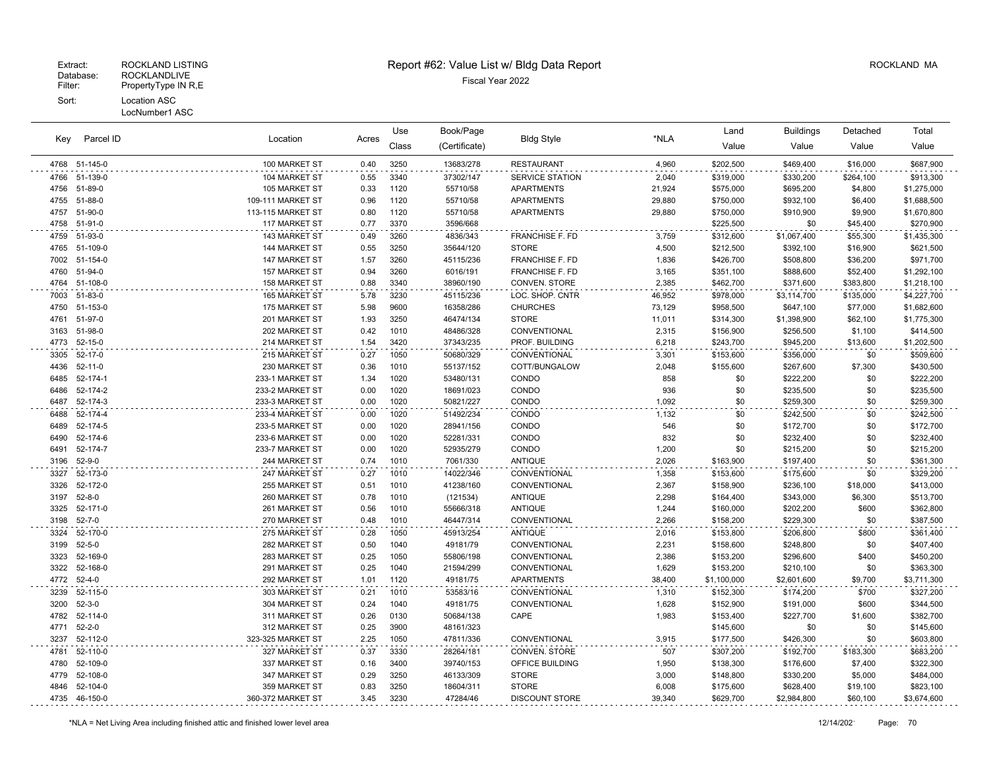#### LocNumber1 ASC

| Kev  |               |                      |       | Use   | Book/Page     |                        |        | Land        | <b>Buildings</b> | Detached  | Total       |
|------|---------------|----------------------|-------|-------|---------------|------------------------|--------|-------------|------------------|-----------|-------------|
|      | Parcel ID     | Location             | Acres | Class | (Certificate) | <b>Bldg Style</b>      | *NLA   | Value       | Value            | Value     | Value       |
|      | 4768 51-145-0 | 100 MARKET ST        | 0.40  | 3250  | 13683/278     | <b>RESTAURANT</b>      | 4,960  | \$202,500   | \$469,400        | \$16,000  | \$687,900   |
| 4766 | 51-139-0      | 104 MARKET ST        | 0.55  | 3340  | 37302/147     | <b>SERVICE STATION</b> | 2,040  | \$319,000   | \$330,200        | \$264,100 | \$913,300   |
| 4756 | 51-89-0       | 105 MARKET ST        | 0.33  | 1120  | 55710/58      | <b>APARTMENTS</b>      | 21,924 | \$575,000   | \$695,200        | \$4,800   | \$1,275,000 |
| 4755 | 51-88-0       | 109-111 MARKET ST    | 0.96  | 1120  | 55710/58      | <b>APARTMENTS</b>      | 29,880 | \$750,000   | \$932,100        | \$6,400   | \$1,688,500 |
| 4757 | 51-90-0       | 113-115 MARKET ST    | 0.80  | 1120  | 55710/58      | <b>APARTMENTS</b>      | 29,880 | \$750,000   | \$910,900        | \$9,900   | \$1,670,800 |
| 4758 | 51-91-0       | 117 MARKET ST        | 0.77  | 3370  | 3596/668      |                        |        | \$225,500   | \$0              | \$45,400  | \$270,900   |
| 4759 | 51-93-0       | 143 MARKET ST        | 0.49  | 3260  | 4836/343      | <b>FRANCHISE F. FD</b> | 3,759  | \$312,600   | \$1,067,400      | \$55,300  | \$1,435,300 |
| 4765 | 51-109-0      | 144 MARKET ST        | 0.55  | 3250  | 35644/120     | <b>STORE</b>           | 4,500  | \$212,500   | \$392,100        | \$16,900  | \$621,500   |
| 7002 | 51-154-0      | 147 MARKET ST        | 1.57  | 3260  | 45115/236     | <b>FRANCHISE F. FD</b> | 1,836  | \$426,700   | \$508,800        | \$36,200  | \$971,700   |
| 4760 | 51-94-0       | 157 MARKET ST        | 0.94  | 3260  | 6016/191      | <b>FRANCHISE F. FD</b> | 3,165  | \$351,100   | \$888,600        | \$52,400  | \$1,292,100 |
| 4764 | 51-108-0      | 158 MARKET ST        | 0.88  | 3340  | 38960/190     | CONVEN. STORE          | 2,385  | \$462,700   | \$371,600        | \$383,800 | \$1,218,100 |
| 7003 | 51-83-0       | <b>165 MARKET ST</b> | 5.78  | 3230  | 45115/236     | LOC. SHOP. CNTR        | 46,952 | \$978,000   | \$3,114,700      | \$135,000 | \$4,227,700 |
| 4750 | 51-153-0      | 175 MARKET ST        | 5.98  | 9600  | 16358/286     | <b>CHURCHES</b>        | 73,129 | \$958,500   | \$647,100        | \$77,000  | \$1,682,600 |
| 4761 | 51-97-0       | 201 MARKET ST        | 1.93  | 3250  | 46474/134     | <b>STORE</b>           | 11,011 | \$314,300   | \$1,398,900      | \$62,100  | \$1,775,300 |
| 3163 | 51-98-0       | 202 MARKET ST        | 0.42  | 1010  | 48486/328     | CONVENTIONAL           | 2,315  | \$156,900   | \$256,500        | \$1,100   | \$414,500   |
| 4773 | $52 - 15 - 0$ | 214 MARKET ST        | 1.54  | 3420  | 37343/235     | PROF. BUILDING         | 6,218  | \$243,700   | \$945,200        | \$13,600  | \$1,202,500 |
| 3305 | 52-17-0       | 215 MARKET ST        | 0.27  | 1050  | 50680/329     | CONVENTIONAL           | 3,301  | \$153,600   | \$356,000        | \$0       | \$509,600   |
| 4436 | $52 - 11 - 0$ | 230 MARKET ST        | 0.36  | 1010  | 55137/152     | COTT/BUNGALOW          | 2,048  | \$155,600   | \$267,600        | \$7,300   | \$430,500   |
| 6485 | 52-174-1      | 233-1 MARKET ST      | 1.34  | 1020  | 53480/131     | CONDO                  | 858    | \$0         | \$222,200        | \$0       | \$222,200   |
| 6486 | 52-174-2      | 233-2 MARKET ST      | 0.00  | 1020  | 18691/023     | CONDO                  | 936    | \$0         | \$235,500        | \$0       | \$235,500   |
| 6487 | 52-174-3      | 233-3 MARKET ST      | 0.00  | 1020  | 50821/227     | CONDO                  | 1,092  | \$0         | \$259,300        | \$0       | \$259,300   |
| 6488 | 52-174-4      | 233-4 MARKET ST      | 0.00  | 1020  | 51492/234     | CONDO                  | 1,132  | \$0         | \$242,500        | \$0       | \$242,500   |
| 6489 | 52-174-5      | 233-5 MARKET ST      | 0.00  | 1020  | 28941/156     | CONDO                  | 546    | \$0         | \$172,700        | \$0       | \$172,700   |
| 6490 | 52-174-6      | 233-6 MARKET ST      | 0.00  | 1020  | 52281/331     | CONDO                  | 832    | \$0         | \$232,400        | \$0       | \$232,400   |
| 6491 | 52-174-7      | 233-7 MARKET ST      | 0.00  | 1020  | 52935/279     | CONDO                  | 1,200  | \$0         | \$215,200        | \$0       | \$215,200   |
| 3196 | $52 - 9 - 0$  | 244 MARKET ST        | 0.74  | 1010  | 7061/330      | <b>ANTIQUE</b>         | 2,026  | \$163,900   | \$197,400        | \$0       | \$361,300   |
| 3327 | 52-173-0      | 247 MARKET ST        | 0.27  | 1010  | 14022/346     | CONVENTIONAL           | 1,358  | \$153,600   | \$175,600        | \$0       | \$329,200   |
| 3326 | 52-172-0      | 255 MARKET ST        | 0.51  | 1010  | 41238/160     | <b>CONVENTIONAL</b>    | 2,367  | \$158,900   | \$236,100        | \$18,000  | \$413,000   |
| 3197 | $52 - 8 - 0$  | 260 MARKET ST        | 0.78  | 1010  | (121534)      | <b>ANTIQUE</b>         | 2,298  | \$164,400   | \$343,000        | \$6,300   | \$513,700   |
| 3325 | 52-171-0      | 261 MARKET ST        | 0.56  | 1010  | 55666/318     | <b>ANTIQUE</b>         | 1,244  | \$160,000   | \$202,200        | \$600     | \$362,800   |
| 3198 | $52 - 7 - 0$  | 270 MARKET ST        | 0.48  | 1010  | 46447/314     | CONVENTIONAL           | 2,266  | \$158,200   | \$229,300        | \$0       | \$387,500   |
| 3324 | 52-170-0      | 275 MARKET ST        | 0.28  | 1050  | 45913/254     | <b>ANTIQUE</b>         | 2,016  | \$153,800   | \$206,800        | \$800     | \$361,400   |
| 3199 | $52 - 5 - 0$  | 282 MARKET ST        | 0.50  | 1040  | 49181/79      | CONVENTIONAL           | 2,231  | \$158,600   | \$248,800        | \$0       | \$407,400   |
| 3323 | 52-169-0      | 283 MARKET ST        | 0.25  | 1050  | 55806/198     | CONVENTIONAL           | 2,386  | \$153,200   | \$296,600        | \$400     | \$450,200   |
| 3322 | 52-168-0      | 291 MARKET ST        | 0.25  | 1040  | 21594/299     | CONVENTIONAL           | 1,629  | \$153,200   | \$210,100        | \$0       | \$363,300   |
| 4772 | $52 - 4 - 0$  | 292 MARKET ST        | 1.01  | 1120  | 49181/75      | APARTMENTS             | 38,400 | \$1,100,000 | \$2,601,600      | \$9,700   | \$3,711,300 |
| 3239 | 52-115-0      | 303 MARKET ST        | 0.21  | 1010  | 53583/16      | CONVENTIONAL           | 1,310  | \$152,300   | \$174,200        | \$700     | \$327,200   |
| 3200 | $52 - 3 - 0$  | 304 MARKET ST        | 0.24  | 1040  | 49181/75      | CONVENTIONAL           | 1,628  | \$152,900   | \$191,000        | \$600     | \$344,500   |
| 4782 | 52-114-0      | 311 MARKET ST        | 0.26  | 0130  | 50684/138     | CAPE                   | 1,983  | \$153,400   | \$227,700        | \$1,600   | \$382,700   |
| 4771 | $52 - 2 - 0$  | 312 MARKET ST        | 0.25  | 3900  | 48161/323     |                        |        | \$145,600   | \$0              | \$0       | \$145,600   |
| 3237 | 52-112-0      | 323-325 MARKET ST    | 2.25  | 1050  | 47811/336     | CONVENTIONAL           | 3,915  | \$177,500   | \$426,300        | \$0       | \$603,800   |
| 4781 | 52-110-0      | 327 MARKET ST        | 0.37  | 3330  | 28264/181     | CONVEN. STORE          | 507    | \$307,200   | \$192,700        | \$183,300 | \$683,200   |
| 4780 | 52-109-0      | 337 MARKET ST        | 0.16  | 3400  | 39740/153     | OFFICE BUILDING        | 1,950  | \$138,300   | \$176,600        | \$7,400   | \$322,300   |
| 4779 | 52-108-0      | 347 MARKET ST        | 0.29  | 3250  | 46133/309     | <b>STORE</b>           | 3,000  | \$148,800   | \$330,200        | \$5,000   | \$484,000   |
| 4846 | 52-104-0      | 359 MARKET ST        | 0.83  | 3250  | 18604/311     | <b>STORE</b>           | 6,008  | \$175,600   | \$628,400        | \$19,100  | \$823,100   |
|      | 4735 46-150-0 | 360-372 MARKET ST    | 3.45  | 3230  | 47284/46      | <b>DISCOUNT STORE</b>  | 39,340 | \$629,700   | \$2,984,800      | \$60,100  | \$3,674,600 |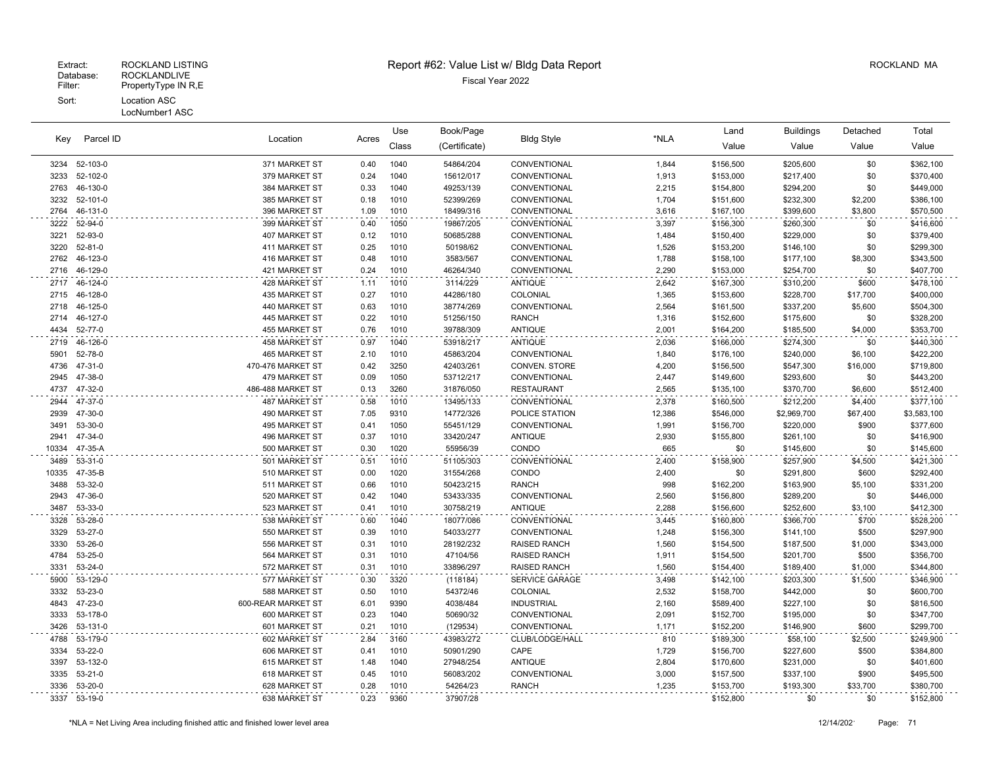## Extract: ROCKLAND LISTING **Report #62: Value List w/ Bldg Data Report** Alleman and RockLAND MA

Book/Page Land Buildings Detached

| Key           | Parcel ID          |                                |              | Use          | Book/Page              |                       |              | Land                   | <b>Buildings</b>       | Detached       | Total                  |
|---------------|--------------------|--------------------------------|--------------|--------------|------------------------|-----------------------|--------------|------------------------|------------------------|----------------|------------------------|
|               |                    | Location                       | Acres        | Class        | (Certificate)          | <b>Bldg Style</b>     | *NLA         | Value                  | Value                  | Value          | Value                  |
|               | 3234 52-103-0      | 371 MARKET ST                  | 0.40         | 1040         | 54864/204              | CONVENTIONAL          | 1,844        | \$156,500              | \$205,600              | \$0            | \$362,100              |
| 3233          | 52-102-0           | 379 MARKET ST                  | 0.24         | 1040         | 15612/017              | CONVENTIONAL          | 1,913        | \$153,000              | \$217,400              | \$0            | \$370,400              |
| 2763          | 46-130-0           | 384 MARKET ST                  | 0.33         | 1040         | 49253/139              | CONVENTIONAL          | 2,215        | \$154,800              | \$294,200              | \$0            | \$449,000              |
| 3232          | 52-101-0           | 385 MARKET ST                  | 0.18         | 1010         | 52399/269              | CONVENTIONAL          | 1,704        | \$151,600              | \$232,300              | \$2,200        | \$386,100              |
| 2764          | 46-131-0           | 396 MARKET ST                  | 1.09         | 1010         | 18499/316              | CONVENTIONAL          | 3,616        | \$167,100              | \$399,600              | \$3,800        | \$570,500              |
| 3222          | 52-94-0            | 399 MARKET ST                  | 0.40         | 1050         | 19867/205              | CONVENTIONAL          | 3,397        | \$156,300              | \$260,300              | \$0            | \$416,600              |
| 3221          | 52-93-0            | 407 MARKET ST                  | 0.12         | 1010         | 50685/288              | CONVENTIONAL          | 1,484        | \$150,400              | \$229,000              | \$0            | \$379,400              |
| 3220          | 52-81-0            | 411 MARKET ST                  | 0.25         | 1010         | 50198/62               | CONVENTIONAL          | 1,526        | \$153,200              | \$146,100              | \$0            | \$299,300              |
| 2762          | 46-123-0           | 416 MARKET ST                  | 0.48         | 1010         | 3583/567               | CONVENTIONAL          | 1,788        | \$158,100              | \$177,100              | \$8,300        | \$343,500              |
| 2716          | 46-129-0           | 421 MARKET ST                  | 0.24         | 1010         | 46264/340              | CONVENTIONAL          | 2,290        | \$153,000              | \$254,700              | \$0            | \$407,700              |
| 2717          | 46-124-0           | 428 MARKET ST                  | 1.11         | 1010         | 3114/229               | <b>ANTIQUE</b>        | 2,642        | \$167,300              | \$310,200              | \$600          | \$478,100              |
| 2715          | 46-128-0           | 435 MARKET ST                  | 0.27         | 1010         | 44286/180              | COLONIAL              | 1,365        | \$153,600              | \$228,700              | \$17,700       | \$400,000              |
| 2718          | 46-125-0           | 440 MARKET ST                  | 0.63         | 1010         | 38774/269              | CONVENTIONAL          | 2,564        | \$161,500              | \$337,200              | \$5,600        | \$504,300              |
| 2714          | 46-127-0           | 445 MARKET ST                  | 0.22         | 1010         | 51256/150              | <b>RANCH</b>          | 1,316        | \$152,600              | \$175,600              | \$0            | \$328,200              |
| 4434          | 52-77-0            | 455 MARKET ST                  | 0.76         | 1010         | 39788/309              | <b>ANTIQUE</b>        | 2,001        | \$164,200              | \$185,500              | \$4,000        | \$353,700              |
| 2719          | 46-126-0           | 458 MARKET ST                  | 0.97         | 1040         | 53918/217              | <b>ANTIQUE</b>        | 2,036        | \$166,000              | \$274,300              | \$0            | \$440,300              |
| 5901          | 52-78-0            | 465 MARKET ST                  | 2.10         | 1010         | 45863/204              | CONVENTIONAL          | 1,840        | \$176,100              | \$240,000              | \$6,100        | \$422,200              |
| 4736          | 47-31-0            | 470-476 MARKET ST              | 0.42         | 3250         | 42403/261              | CONVEN. STORE         | 4,200        | \$156,500              | \$547,300              | \$16,000       | \$719,800              |
| 2945          | 47-38-0            | 479 MARKET ST                  | 0.09         | 1050         | 53712/217              | CONVENTIONAL          | 2,447        | \$149,600              | \$293,600              | \$0            | \$443,200              |
| 4737          | 47-32-0            | 486-488 MARKET ST              | 0.13         | 3260         | 31876/050              | <b>RESTAURANT</b>     | 2,565        | \$135,100              | \$370,700              | \$6,600        | \$512,400              |
| 2944          | 47-37-0            | 487 MARKET ST                  | 0.58         | 1010         | 13495/133              | CONVENTIONAL          | 2,378        | \$160,500              | \$212,200              | \$4,400        | \$377,100              |
| 2939          | 47-30-0            | 490 MARKET ST                  | 7.05         | 9310         | 14772/326              | POLICE STATION        | 12,386       | \$546,000              | \$2,969,700            | \$67,400       | \$3,583,100            |
| 3491          | 53-30-0            | 495 MARKET ST                  | 0.41         | 1050         | 55451/129              | CONVENTIONAL          | 1,991        | \$156,700              | \$220,000              | \$900          | \$377,600              |
| 2941          | 47-34-0            | 496 MARKET ST                  | 0.37         | 1010         | 33420/247              | <b>ANTIQUE</b>        | 2,930        | \$155,800              | \$261,100              | \$0            | \$416,900              |
| 10334         | 47-35-A            | 500 MARKET ST                  | 0.30         | 1020         | 55956/39               | CONDO                 | 665          | \$0                    | \$145,600              | \$0            | \$145,600              |
| 3489          | 53-31-0            | 501 MARKET ST                  | 0.51         | 1010         | 51105/303              | CONVENTIONAL          | 2,400        | \$158,900              | \$257,900              | \$4,500        | \$421,300              |
| 10335<br>3488 | 47-35-B            | 510 MARKET ST                  | 0.00<br>0.66 | 1020         | 31554/268              | CONDO<br><b>RANCH</b> | 2,400        | \$0                    | \$291,800              | \$600          | \$292,400              |
| 2943          | 53-32-0<br>47-36-0 | 511 MARKET ST<br>520 MARKET ST | 0.42         | 1010<br>1040 | 50423/215<br>53433/335 | CONVENTIONAL          | 998<br>2,560 | \$162,200<br>\$156,800 | \$163,900              | \$5,100<br>\$0 | \$331,200              |
| 3487          | 53-33-0            | 523 MARKET ST                  | 0.41         | 1010         | 30758/219              | <b>ANTIQUE</b>        | 2,288        | \$156,600              | \$289,200<br>\$252,600 | \$3,100        | \$446,000<br>\$412,300 |
| 3328          | 53-28-0            | 538 MARKET ST                  | 0.60         | 1040         | 18077/086              | CONVENTIONAL          | 3,445        | \$160,800              | \$366,700              | \$700          | \$528,200              |
| 3329          | 53-27-0            | 550 MARKET ST                  | 0.39         | 1010         | 54033/277              | CONVENTIONAL          | 1,248        | \$156,300              | \$141,100              | \$500          | \$297,900              |
| 3330          | 53-26-0            | 556 MARKET ST                  | 0.31         | 1010         | 28192/232              | <b>RAISED RANCH</b>   | 1,560        | \$154,500              | \$187,500              | \$1,000        | \$343,000              |
| 4784          | 53-25-0            | 564 MARKET ST                  | 0.31         | 1010         | 47104/56               | <b>RAISED RANCH</b>   | 1,911        | \$154,500              | \$201,700              | \$500          | \$356,700              |
| 3331          | 53-24-0            | 572 MARKET ST                  | 0.31         | 1010         | 33896/297              | <b>RAISED RANCH</b>   | 1,560        | \$154,400              | \$189,400              | \$1,000        | \$344,800              |
| 5900          | 53-129-0           | 577 MARKET ST                  | 0.30         | 3320         | (118184)               | SERVICE GARAGE        | 3,498        | \$142,100              | \$203,300              | \$1,500        | \$346,900              |
| 3332          | 53-23-0            | 588 MARKET ST                  | 0.50         | 1010         | 54372/46               | COLONIAL              | 2,532        | \$158,700              | \$442,000              | \$0            | \$600,700              |
| 4843          | 47-23-0            | 600-REAR MARKET ST             | 6.01         | 9390         | 4038/484               | <b>INDUSTRIAL</b>     | 2,160        | \$589,400              | \$227,100              | \$0            | \$816,500              |
| 3333          | 53-178-0           | 600 MARKET ST                  | 0.23         | 1040         | 50690/32               | CONVENTIONAL          | 2,091        | \$152,700              | \$195,000              | \$0            | \$347,700              |
| 3426          | 53-131-0           | 601 MARKET ST                  | 0.21         | 1010         | (129534)               | CONVENTIONAL          | 1,171        | \$152,200              | \$146,900              | \$600          | \$299,700              |
| 4788          | 53-179-0           | 602 MARKET ST                  | 2.84         | 3160         | 43983/272              | CLUB/LODGE/HALL       | 810          | \$189,300              | \$58,100               | \$2,500        | \$249,900              |
| 3334          | 53-22-0            | 606 MARKET ST                  | 0.41         | 1010         | 50901/290              | CAPE                  | 1,729        | \$156,700              | \$227,600              | \$500          | \$384,800              |
| 3397          | 53-132-0           | 615 MARKET ST                  | 1.48         | 1040         | 27948/254              | <b>ANTIQUE</b>        | 2,804        | \$170,600              | \$231,000              | \$0            | \$401,600              |
| 3335          | 53-21-0            | 618 MARKET ST                  | 0.45         | 1010         | 56083/202              | CONVENTIONAL          | 3,000        | \$157,500              | \$337,100              | \$900          | \$495,500              |
| 3336          | 53-20-0            | 628 MARKET ST                  | 0.28         | 1010         | 54264/23               | <b>RANCH</b>          | 1,235        | \$153,700              | \$193,300              | \$33,700       | \$380,700              |
|               | 3337 53-19-0       | 638 MARKET ST                  | 0.23         | 9360         | 37907/28               |                       |              | \$152,800              | \$0                    | \$0            | \$152,800              |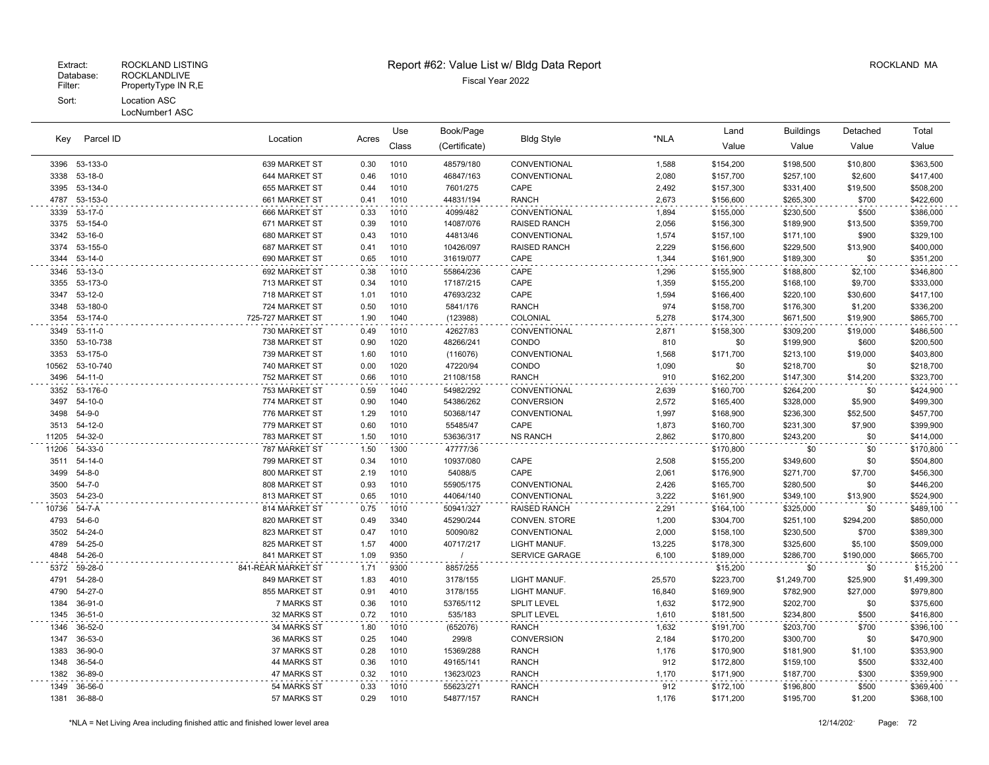| Parcel ID<br>Key |               | Location           |       | Use   | Book/Page     | <b>Bldg Style</b>   |        | Land      | <b>Buildings</b> | Detached  | Total       |
|------------------|---------------|--------------------|-------|-------|---------------|---------------------|--------|-----------|------------------|-----------|-------------|
|                  |               |                    | Acres | Class | (Certificate) |                     | *NLA   | Value     | Value            | Value     | Value       |
|                  | 3396 53-133-0 | 639 MARKET ST      | 0.30  | 1010  | 48579/180     | CONVENTIONAL        | 1,588  | \$154,200 | \$198,500        | \$10,800  | \$363,500   |
| 3338             | 53-18-0       | 644 MARKET ST      | 0.46  | 1010  | 46847/163     | CONVENTIONAL        | 2,080  | \$157,700 | \$257,100        | \$2,600   | \$417,400   |
| 3395             | 53-134-0      | 655 MARKET ST      | 0.44  | 1010  | 7601/275      | CAPE                | 2,492  | \$157,300 | \$331,400        | \$19,500  | \$508,200   |
| 4787             | 53-153-0      | 661 MARKET ST      | 0.41  | 1010  | 44831/194     | <b>RANCH</b>        | 2,673  | \$156,600 | \$265,300        | \$700     | \$422,600   |
| 3339             | 53-17-0       | 666 MARKET ST      | 0.33  | 1010  | 4099/482      | CONVENTIONAL        | 1,894  | \$155,000 | \$230,500        | \$500     | \$386,000   |
| 3375             | 53-154-0      | 671 MARKET ST      | 0.39  | 1010  | 14087/076     | <b>RAISED RANCH</b> | 2,056  | \$156,300 | \$189,900        | \$13,500  | \$359,700   |
| 3342             | 53-16-0       | 680 MARKET ST      | 0.43  | 1010  | 44813/46      | CONVENTIONAL        | 1,574  | \$157,100 | \$171,100        | \$900     | \$329,100   |
| 3374             | 53-155-0      | 687 MARKET ST      | 0.41  | 1010  | 10426/097     | <b>RAISED RANCH</b> | 2,229  | \$156,600 | \$229,500        | \$13,900  | \$400,000   |
| 3344             | 53-14-0       | 690 MARKET ST      | 0.65  | 1010  | 31619/077     | CAPE                | 1,344  | \$161,900 | \$189,300        | \$0       | \$351,200   |
| 3346             | 53-13-0       | 692 MARKET ST      | 0.38  | 1010  | 55864/236     | CAPE                | 1,296  | \$155,900 | \$188,800        | \$2,100   | \$346,800   |
| 3355             | 53-173-0      | 713 MARKET ST      | 0.34  | 1010  | 17187/215     | CAPE                | 1,359  | \$155,200 | \$168,100        | \$9,700   | \$333,000   |
| 3347             | 53-12-0       | 718 MARKET ST      | 1.01  | 1010  | 47693/232     | CAPE                | 1,594  | \$166,400 | \$220,100        | \$30,600  | \$417,100   |
| 3348             | 53-180-0      | 724 MARKET ST      | 0.50  | 1010  | 5841/176      | <b>RANCH</b>        | 974    | \$158,700 | \$176,300        | \$1,200   | \$336,200   |
| 3354             | 53-174-0      | 725-727 MARKET ST  | 1.90  | 1040  | (123988)      | COLONIAL            | 5,278  | \$174,300 | \$671,500        | \$19,900  | \$865,700   |
| 3349             | $53 - 11 - 0$ | 730 MARKET ST      | 0.49  | 1010  | 42627/83      | CONVENTIONAL        | 2,871  | \$158,300 | \$309,200        | \$19,000  | \$486,500   |
| 3350             | 53-10-738     | 738 MARKET ST      | 0.90  | 1020  | 48266/241     | CONDO               | 810    | \$0       | \$199,900        | \$600     | \$200,500   |
| 3353             | 53-175-0      | 739 MARKET ST      | 1.60  | 1010  | (116076)      | CONVENTIONAL        | 1,568  | \$171,700 | \$213,100        | \$19,000  | \$403,800   |
| 10562            | 53-10-740     | 740 MARKET ST      | 0.00  | 1020  | 47220/94      | CONDO               | 1,090  | \$0       | \$218,700        | \$0       | \$218,700   |
| 3496             | $54 - 11 - 0$ | 752 MARKET ST      | 0.66  | 1010  | 21108/158     | <b>RANCH</b>        | 910    | \$162,200 | \$147,300        | \$14,200  | \$323,700   |
| 3352             | 53-176-0      | 753 MARKET ST      | 0.59  | 1040  | 54982/292     | CONVENTIONAL        | 2,639  | \$160,700 | \$264,200        | \$0       | \$424,900   |
| 3497             | 54-10-0       | 774 MARKET ST      | 0.90  | 1040  | 54386/262     | CONVERSION          | 2,572  | \$165,400 | \$328,000        | \$5,900   | \$499,300   |
| 3498             | 54-9-0        | 776 MARKET ST      | 1.29  | 1010  | 50368/147     | CONVENTIONAL        | 1,997  | \$168,900 | \$236,300        | \$52,500  | \$457,700   |
| 3513             | 54-12-0       | 779 MARKET ST      | 0.60  | 1010  | 55485/47      | CAPE                | 1,873  | \$160,700 | \$231,300        | \$7,900   | \$399,900   |
| 11205            | 54-32-0       | 783 MARKET ST      | 1.50  | 1010  | 53636/317     | <b>NS RANCH</b>     | 2,862  | \$170,800 | \$243,200        | \$0       | \$414,000   |
| 11206            | 54-33-0       | 787 MARKET ST      | 1.50  | 1300  | 47777/36      |                     |        | \$170,800 | \$0              | \$0       | \$170,800   |
| 3511             | 54-14-0       | 799 MARKET ST      | 0.34  | 1010  | 10937/080     | CAPE                | 2,508  | \$155,200 | \$349,600        | \$0       | \$504,800   |
| 3499             | $54 - 8 - 0$  | 800 MARKET ST      | 2.19  | 1010  | 54088/5       | CAPE                | 2,061  | \$176,900 | \$271,700        | \$7,700   | \$456,300   |
| 3500             | $54 - 7 - 0$  | 808 MARKET ST      | 0.93  | 1010  | 55905/175     | CONVENTIONAL        | 2,426  | \$165,700 | \$280,500        | \$0       | \$446,200   |
| 3503             | 54-23-0       | 813 MARKET ST      | 0.65  | 1010  | 44064/140     | CONVENTIONAL        | 3,222  | \$161,900 | \$349,100        | \$13,900  | \$524,900   |
| 10736            | 54-7-A        | 814 MARKET ST      | 0.75  | 1010  | 50941/327     | <b>RAISED RANCH</b> | 2,291  | \$164,100 | \$325,000        | \$0       | \$489,100   |
| 4793             | 54-6-0        | 820 MARKET ST      | 0.49  | 3340  | 45290/244     | CONVEN. STORE       | 1,200  | \$304,700 | \$251,100        | \$294,200 | \$850,000   |
| 3502             | 54-24-0       | 823 MARKET ST      | 0.47  | 1010  | 50090/82      | CONVENTIONAL        | 2,000  | \$158,100 | \$230,500        | \$700     | \$389,300   |
| 4789             | 54-25-0       | 825 MARKET ST      | 1.57  | 4000  | 40717/217     | LIGHT MANUF.        | 13,225 | \$178,300 | \$325,600        | \$5,100   | \$509,000   |
| 4848             | 54-26-0       | 841 MARKET ST      | 1.09  | 9350  | $\prime$      | SERVICE GARAGE      | 6,100  | \$189,000 | \$286,700        | \$190,000 | \$665,700   |
| 5372             | 59-28-0       | 841-REAR MARKET ST | 1.71  | 9300  | 8857/255      |                     |        | \$15,200  | \$0              | \$0       | \$15,200    |
| 4791             | 54-28-0       | 849 MARKET ST      | 1.83  | 4010  | 3178/155      | LIGHT MANUF.        | 25,570 | \$223,700 | \$1,249,700      | \$25,900  | \$1,499,300 |
| 4790             | 54-27-0       | 855 MARKET ST      | 0.91  | 4010  | 3178/155      | LIGHT MANUF.        | 16,840 | \$169,900 | \$782,900        | \$27,000  | \$979,800   |
| 1384             | 36-91-0       | 7 MARKS ST         | 0.36  | 1010  | 53765/112     | <b>SPLIT LEVEL</b>  | 1,632  | \$172,900 | \$202,700        | \$0       | \$375,600   |
| 1345             | 36-51-0       | 32 MARKS ST        | 0.72  | 1010  | 535/183       | <b>SPLIT LEVEL</b>  | 1,610  | \$181,500 | \$234,800        | \$500     | \$416,800   |
| 1346             | 36-52-0       | 34 MARKS ST        | 1.80  | 1010  | (652076)      | <b>RANCH</b>        | 1,632  | \$191,700 | \$203,700        | \$700     | \$396,100   |
| 1347             | 36-53-0       | 36 MARKS ST        | 0.25  | 1040  | 299/8         | CONVERSION          | 2,184  | \$170,200 | \$300,700        | \$0       | \$470,900   |
| 1383             | 36-90-0       | 37 MARKS ST        | 0.28  | 1010  | 15369/288     | <b>RANCH</b>        | 1,176  | \$170,900 | \$181,900        | \$1,100   | \$353,900   |
| 1348             | 36-54-0       | 44 MARKS ST        | 0.36  | 1010  | 49165/141     | <b>RANCH</b>        | 912    | \$172,800 | \$159,100        | \$500     | \$332,400   |
| 1382             | 36-89-0       | 47 MARKS ST        | 0.32  | 1010  | 13623/023     | <b>RANCH</b>        | 1,170  | \$171,900 | \$187,700        | \$300     | \$359,900   |
| 1349             | 36-56-0       | 54 MARKS ST        | 0.33  | 1010  | 55623/271     | <b>RANCH</b>        | 912    | \$172,100 | \$196,800        | \$500     | \$369,400   |
|                  | 1381 36-88-0  | 57 MARKS ST        | 0.29  | 1010  | 54877/157     | <b>RANCH</b>        | 1,176  | \$171,200 | \$195,700        | \$1,200   | \$368,100   |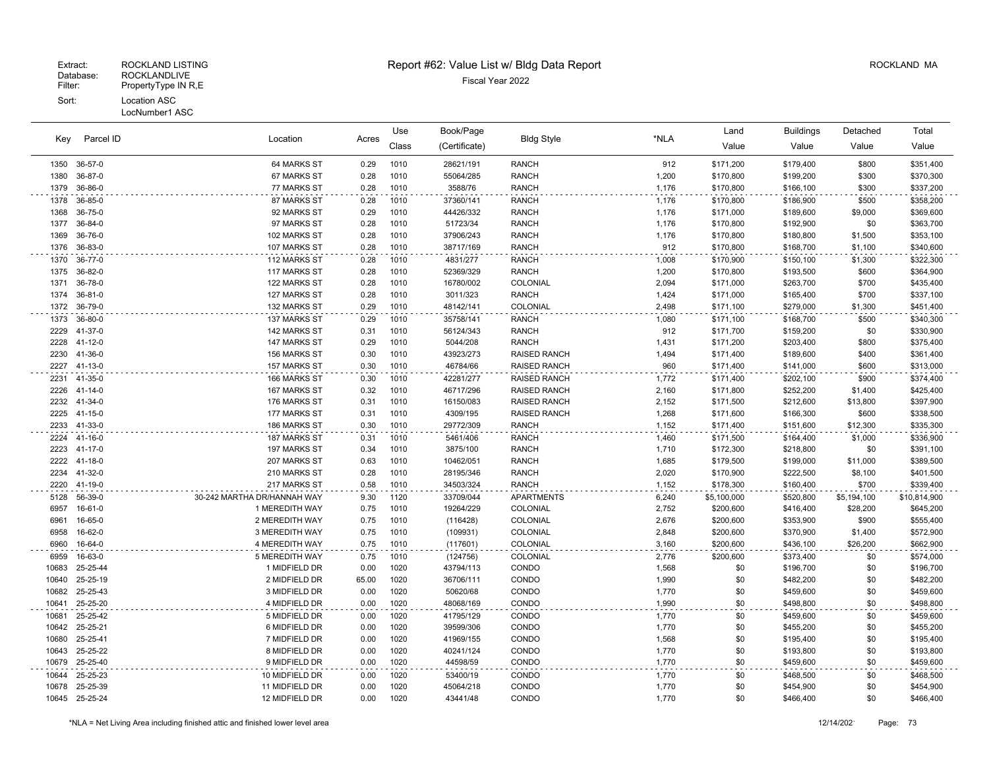LocNumber1 ASC

|       | Parcel ID<br>Kev |                             |       | Use   | Book/Page<br><b>Bldg Style</b> |                     | Land  | <b>Buildings</b> | Detached  | Total       |              |
|-------|------------------|-----------------------------|-------|-------|--------------------------------|---------------------|-------|------------------|-----------|-------------|--------------|
|       |                  | Location                    | Acres | Class | (Certificate)                  |                     | *NLA  | Value            | Value     | Value       | Value        |
| 1350  | 36-57-0          | 64 MARKS ST                 | 0.29  | 1010  | 28621/191                      | <b>RANCH</b>        | 912   | \$171,200        | \$179,400 | \$800       | \$351,400    |
| 1380  | 36-87-0          | 67 MARKS ST                 | 0.28  | 1010  | 55064/285                      | <b>RANCH</b>        | 1,200 | \$170,800        | \$199,200 | \$300       | \$370,300    |
| 1379  | 36-86-0          | 77 MARKS ST                 | 0.28  | 1010  | 3588/76                        | <b>RANCH</b>        | 1,176 | \$170,800        | \$166,100 | \$300       | \$337,200    |
| 1378  | 36-85-0          | 87 MARKS ST                 | 0.28  | 1010  | 37360/141                      | <b>RANCH</b>        | 1,176 | \$170,800        | \$186,900 | \$500       | \$358,200    |
| 1368  | 36-75-0          | 92 MARKS ST                 | 0.29  | 1010  | 44426/332                      | <b>RANCH</b>        | 1,176 | \$171,000        | \$189,600 | \$9,000     | \$369,600    |
| 1377  | 36-84-0          | 97 MARKS ST                 | 0.28  | 1010  | 51723/34                       | <b>RANCH</b>        | 1,176 | \$170,800        | \$192,900 | \$0         | \$363,700    |
| 1369  | 36-76-0          | 102 MARKS ST                | 0.28  | 1010  | 37906/243                      | <b>RANCH</b>        | 1,176 | \$170,800        | \$180,800 | \$1,500     | \$353,100    |
| 1376  | 36-83-0          | 107 MARKS ST                | 0.28  | 1010  | 38717/169                      | <b>RANCH</b>        | 912   | \$170,800        | \$168,700 | \$1,100     | \$340,600    |
| 1370  | 36-77-0          | 112 MARKS ST                | 0.28  | 1010  | 4831/277                       | <b>RANCH</b>        | 1,008 | \$170,900        | \$150,100 | \$1,300     | \$322,300    |
| 1375  | 36-82-0          | 117 MARKS ST                | 0.28  | 1010  | 52369/329                      | <b>RANCH</b>        | 1,200 | \$170,800        | \$193,500 | \$600       | \$364,900    |
| 1371  | 36-78-0          | 122 MARKS ST                | 0.28  | 1010  | 16780/002                      | COLONIAL            | 2,094 | \$171,000        | \$263,700 | \$700       | \$435,400    |
| 1374  | 36-81-0          | 127 MARKS ST                | 0.28  | 1010  | 3011/323                       | <b>RANCH</b>        | 1,424 | \$171,000        | \$165,400 | \$700       | \$337,100    |
| 1372  | 36-79-0          | 132 MARKS ST                | 0.29  | 1010  | 48142/141                      | COLONIAL            | 2,498 | \$171,100        | \$279,000 | \$1,300     | \$451,400    |
| 1373  | 36-80-0          | 137 MARKS ST                | 0.29  | 1010  | 35758/141                      | <b>RANCH</b>        | 1,080 | \$171,100        | \$168,700 | \$500       | \$340,300    |
| 2229  | 41-37-0          | 142 MARKS ST                | 0.31  | 1010  | 56124/343                      | <b>RANCH</b>        | 912   | \$171,700        | \$159,200 | \$0         | \$330,900    |
| 2228  | 41-12-0          | 147 MARKS ST                | 0.29  | 1010  | 5044/208                       | <b>RANCH</b>        | 1,431 | \$171,200        | \$203,400 | \$800       | \$375,400    |
| 2230  | 41-36-0          | 156 MARKS ST                | 0.30  | 1010  | 43923/273                      | <b>RAISED RANCH</b> | 1,494 | \$171,400        | \$189,600 | \$400       | \$361,400    |
| 2227  | 41-13-0          | 157 MARKS ST                | 0.30  | 1010  | 46784/66                       | <b>RAISED RANCH</b> | 960   | \$171,400        | \$141,000 | \$600       | \$313,000    |
| 2231  | 41-35-0          | 166 MARKS ST                | 0.30  | 1010  | 42281/277                      | <b>RAISED RANCH</b> | 1,772 | \$171,400        | \$202,100 | \$900       | \$374,400    |
| 2226  | $41 - 14 - 0$    | 167 MARKS ST                | 0.32  | 1010  | 46717/296                      | <b>RAISED RANCH</b> | 2,160 | \$171,800        | \$252,200 | \$1,400     | \$425,400    |
| 2232  | $41 - 34 - 0$    | 176 MARKS ST                | 0.31  | 1010  | 16150/083                      | <b>RAISED RANCH</b> | 2,152 | \$171,500        | \$212,600 | \$13,800    | \$397,900    |
| 2225  | 41-15-0          | 177 MARKS ST                | 0.31  | 1010  | 4309/195                       | <b>RAISED RANCH</b> | 1,268 | \$171,600        | \$166,300 | \$600       | \$338,500    |
| 2233  | 41-33-0          | 186 MARKS ST                | 0.30  | 1010  | 29772/309                      | <b>RANCH</b>        | 1,152 | \$171,400        | \$151,600 | \$12,300    | \$335,300    |
| 2224  | 41-16-0          | 187 MARKS ST                | 0.31  | 1010  | 5461/406                       | <b>RANCH</b>        | 1,460 | \$171,500        | \$164,400 | \$1,000     | \$336,900    |
| 2223  | $41 - 17 - 0$    | 197 MARKS ST                | 0.34  | 1010  | 3875/100                       | <b>RANCH</b>        | 1,710 | \$172,300        | \$218,800 | \$0         | \$391,100    |
| 2222  | 41-18-0          | 207 MARKS ST                | 0.63  | 1010  | 10462/051                      | <b>RANCH</b>        | 1,685 | \$179,500        | \$199,000 | \$11,000    | \$389,500    |
| 2234  | 41-32-0          | 210 MARKS ST                | 0.28  | 1010  | 28195/346                      | <b>RANCH</b>        | 2,020 | \$170,900        | \$222,500 | \$8,100     | \$401,500    |
| 2220  | 41-19-0          | 217 MARKS ST                | 0.58  | 1010  | 34503/324                      | <b>RANCH</b>        | 1,152 | \$178,300        | \$160,400 | \$700       | \$339,400    |
| 5128  | 56-39-0          | 30-242 MARTHA DR/HANNAH WAY | 9.30  | 1120  | 33709/044                      | <b>APARTMENTS</b>   | 6,240 | \$5,100,000      | \$520,800 | \$5,194,100 | \$10,814,900 |
| 6957  | 16-61-0          | 1 MEREDITH WAY              | 0.75  | 1010  | 19264/229                      | COLONIAL            | 2,752 | \$200,600        | \$416,400 | \$28,200    | \$645,200    |
| 6961  | 16-65-0          | 2 MEREDITH WAY              | 0.75  | 1010  | (116428)                       | COLONIAL            | 2,676 | \$200,600        | \$353,900 | \$900       | \$555,400    |
| 6958  | 16-62-0          | 3 MEREDITH WAY              | 0.75  | 1010  | (109931)                       | COLONIAL            | 2,848 | \$200,600        | \$370,900 | \$1,400     | \$572,900    |
| 6960  | 16-64-0          | 4 MEREDITH WAY              | 0.75  | 1010  | (117601)                       | COLONIAL            | 3,160 | \$200,600        | \$436,100 | \$26,200    | \$662,900    |
| 6959  | 16-63-0          | <b>5 MEREDITH WAY</b>       | 0.75  | 1010  | (124756)                       | <b>COLONIAL</b>     | 2,776 | \$200,600        | \$373,400 | \$0         | \$574,000    |
| 10683 | 25-25-44         | 1 MIDFIELD DR               | 0.00  | 1020  | 43794/113                      | CONDO               | 1,568 | \$0              | \$196,700 | \$0         | \$196,700    |
| 10640 | 25-25-19         | 2 MIDFIELD DR               | 65.00 | 1020  | 36706/111                      | CONDO               | 1,990 | \$0              | \$482,200 | \$0         | \$482,200    |
| 10682 | 25-25-43         | 3 MIDFIELD DR               | 0.00  | 1020  | 50620/68                       | CONDO               | 1,770 | \$0              | \$459,600 | \$0         | \$459,600    |
| 10641 | 25-25-20         | 4 MIDFIELD DR               | 0.00  | 1020  | 48068/169                      | CONDO               | 1,990 | \$0              | \$498,800 | \$0         | \$498,800    |
| 10681 | 25-25-42         | 5 MIDFIELD DR               | 0.00  | 1020  | 41795/129                      | CONDO               | 1,770 | \$0              | \$459,600 | \$0         | \$459,600    |
| 10642 | 25-25-21         | 6 MIDFIELD DR               | 0.00  | 1020  | 39599/306                      | CONDO               | 1,770 | \$0              | \$455,200 | \$0         | \$455,200    |
| 10680 | 25-25-41         | 7 MIDFIELD DR               | 0.00  | 1020  | 41969/155                      | CONDO               | 1,568 | \$0              | \$195,400 | \$0         | \$195,400    |
| 10643 | 25-25-22         | 8 MIDFIELD DR               | 0.00  | 1020  | 40241/124                      | CONDO               | 1,770 | \$0              | \$193,800 | \$0         | \$193,800    |
| 10679 | 25-25-40         | 9 MIDFIELD DR               | 0.00  | 1020  | 44598/59                       | CONDO               | 1,770 | \$0              | \$459,600 | \$0         | \$459,600    |
| 10644 | 25-25-23         | 10 MIDFIELD DR              | 0.00  | 1020  | 53400/19                       | CONDO               | 1,770 | \$0              | \$468,500 | \$0         | \$468,500    |
| 10678 | 25-25-39         | 11 MIDFIELD DR              | 0.00  | 1020  | 45064/218                      | CONDO               | 1,770 | \$0              | \$454,900 | \$0         | \$454,900    |
|       | 10645 25-25-24   | 12 MIDFIELD DR              | 0.00  | 1020  | 43441/48                       | CONDO               | 1,770 | \$0              | \$466,400 | \$0         | \$466,400    |
|       |                  |                             |       |       |                                |                     |       |                  |           |             |              |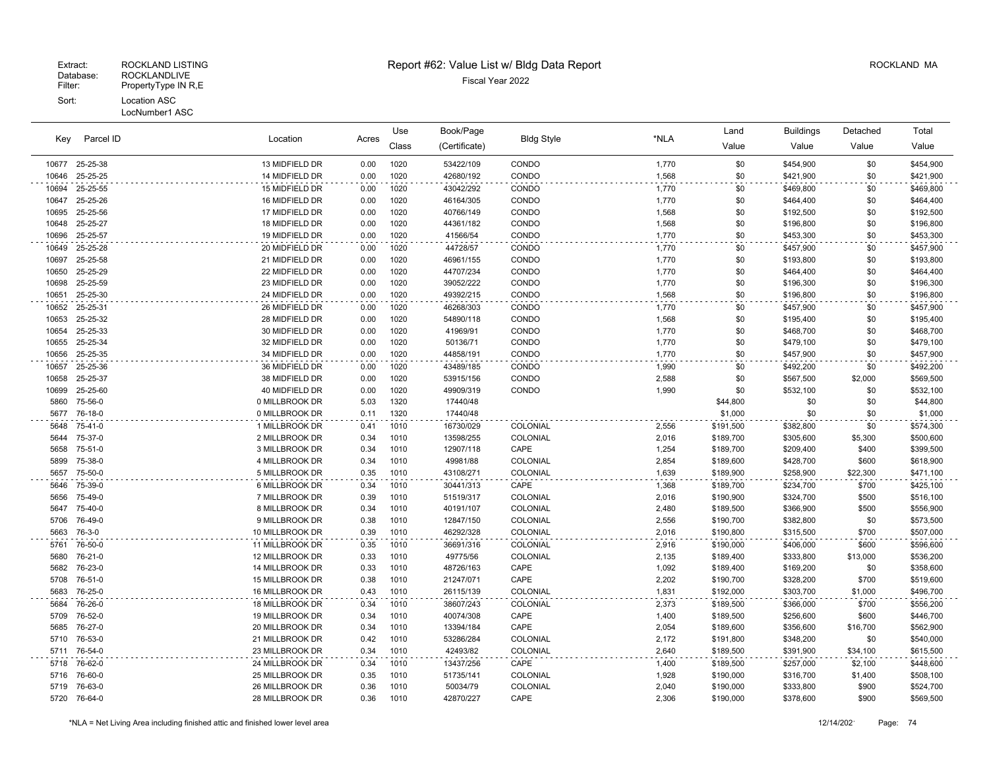| Key          | Parcel ID          | Location<br>Acres                |              | Use          | Book/Page              |                   |                | Land                   | <b>Buildings</b>       | Detached         | Total                  |
|--------------|--------------------|----------------------------------|--------------|--------------|------------------------|-------------------|----------------|------------------------|------------------------|------------------|------------------------|
|              |                    |                                  |              | Class        | (Certificate)          | <b>Bldg Style</b> | *NLA           | Value                  | Value                  | Value            | Value                  |
| 10677        | 25-25-38           | 13 MIDFIELD DR                   | 0.00         | 1020         | 53422/109              | CONDO             | 1,770          | \$0                    | \$454,900              | \$0              | \$454,900              |
| 10646        | 25-25-25           | 14 MIDFIELD DR                   | 0.00         | 1020         | 42680/192              | CONDO             | 1,568          | \$0                    | \$421,900              | \$0              | \$421,900              |
| 10694        | 25-25-55           | 15 MIDFIELD DR                   | 0.00         | 1020         | 43042/292              | CONDO             | 1,770          | \$0                    | \$469,800              | \$0              | \$469,800              |
| 10647        | 25-25-26           | 16 MIDFIELD DR                   | 0.00         | 1020         | 46164/305              | CONDO             | 1,770          | \$0                    | \$464,400              | \$0              | \$464,400              |
| 10695        | 25-25-56           | 17 MIDFIELD DR                   | 0.00         | 1020         | 40766/149              | CONDO             | 1,568          | \$0                    | \$192,500              | \$0              | \$192,500              |
| 10648        | 25-25-27           | 18 MIDFIELD DR                   | 0.00         | 1020         | 44361/182              | CONDO             | 1,568          | \$0                    | \$196,800              | \$0              | \$196,800              |
| 10696        | 25-25-57           | 19 MIDFIELD DR                   | 0.00         | 1020         | 41566/54               | CONDO             | 1,770          | \$0                    | \$453,300              | \$0              | \$453,300              |
| 10649        | 25-25-28           | 20 MIDFIELD DR                   | 0.00         | 1020         | 44728/57               | CONDO             | 1,770          | \$0                    | \$457,900              | \$0              | \$457,900              |
| 10697        | 25-25-58           | 21 MIDFIELD DR                   | 0.00         | 1020         | 46961/155              | CONDO             | 1,770          | \$0                    | \$193,800              | \$0              | \$193,800              |
| 10650        | 25-25-29           | 22 MIDFIELD DR                   | 0.00         | 1020         | 44707/234              | CONDO             | 1,770          | \$0                    | \$464,400              | \$0              | \$464,400              |
| 10698        | 25-25-59           | 23 MIDFIELD DR                   | 0.00         | 1020         | 39052/222              | CONDO             | 1,770          | \$0                    | \$196,300              | \$0              | \$196,300              |
| 10651        | 25-25-30           | 24 MIDFIELD DR                   | 0.00         | 1020         | 49392/215              | CONDO             | 1,568          | \$0                    | \$196,800              | \$0              | \$196,800              |
| 10652        | 25-25-31           | 26 MIDFIELD DR                   | 0.00         | 1020         | 46268/303              | CONDO             | 1,770          | \$0                    | \$457,900              | \$0              | \$457,900              |
| 10653        | 25-25-32           | 28 MIDFIELD DR                   | 0.00         | 1020         | 54890/118              | CONDO             | 1,568          | \$0                    | \$195,400              | \$0              | \$195,400              |
| 10654        | 25-25-33           | 30 MIDFIELD DR                   | 0.00         | 1020         | 41969/91               | CONDO             | 1,770          | \$0                    | \$468,700              | \$0              | \$468,700              |
| 10655        | 25-25-34           | 32 MIDFIELD DR                   | 0.00         | 1020         | 50136/71               | CONDO             | 1,770          | \$0                    | \$479,100              | \$0              | \$479,100              |
| 10656        | 25-25-35           | 34 MIDFIELD DR                   | 0.00         | 1020         | 44858/191              | CONDO             | 1,770          | \$0                    | \$457,900              | \$0              | \$457,900              |
| 10657        | 25-25-36           | 36 MIDFIELD DR                   | 0.00         | 1020         | 43489/185              | CONDO             | 1,990          | \$0                    | \$492,200              | \$0              | \$492,200              |
| 10658        | 25-25-37           | 38 MIDFIELD DR                   | 0.00         | 1020         | 53915/156              | CONDO             | 2,588          | \$0                    | \$567,500              | \$2,000          | \$569,500              |
| 10699        | 25-25-60           | 40 MIDFIELD DR                   | 0.00         | 1020         | 49909/319              | CONDO             | 1,990          | \$0                    | \$532,100              | \$0              | \$532,100              |
| 5860         | 75-56-0            | 0 MILLBROOK DR                   | 5.03         | 1320         | 17440/48               |                   |                | \$44,800               | \$0                    | \$0              | \$44,800               |
| 5677         | 76-18-0            | 0 MILLBROOK DR                   | 0.11         | 1320         | 17440/48               |                   |                | \$1,000                | \$0                    | \$0              | \$1,000                |
| 5648         | 75-41-0            | 1 MILLBROOK DR                   | 0.41         | 1010         | 16730/029              | COLONIAL          | 2,556          | \$191,500              | \$382,800              | \$0              | \$574,300              |
| 5644<br>5658 | 75-37-0<br>75-51-0 | 2 MILLBROOK DR<br>3 MILLBROOK DR | 0.34<br>0.34 | 1010<br>1010 | 13598/255<br>12907/118 | COLONIAL<br>CAPE  | 2,016<br>1,254 | \$189,700<br>\$189,700 | \$305,600<br>\$209,400 | \$5,300<br>\$400 | \$500,600<br>\$399,500 |
| 5899         | 75-38-0            | 4 MILLBROOK DR                   | 0.34         | 1010         | 49981/88               | COLONIAL          | 2,854          | \$189,600              | \$428,700              | \$600            | \$618,900              |
| 5657         | 75-50-0            | 5 MILLBROOK DR                   | 0.35         | 1010         | 43108/271              | COLONIAL          | 1,639          | \$189,900              | \$258,900              | \$22,300         | \$471,100              |
| 5646         | 75-39-0            | 6 MILLBROOK DR                   | 0.34         | 1010         | 30441/313              | CAPE              | 1,368          | \$189,700              | \$234,700              | \$700            | \$425,100              |
| 5656         | 75-49-0            | 7 MILLBROOK DR                   | 0.39         | 1010         | 51519/317              | COLONIAL          | 2,016          | \$190,900              | \$324,700              | \$500            | \$516,100              |
| 5647         | 75-40-0            | 8 MILLBROOK DR                   | 0.34         | 1010         | 40191/107              | COLONIAL          | 2,480          | \$189,500              | \$366,900              | \$500            | \$556,900              |
| 5706         | 76-49-0            | 9 MILLBROOK DR                   | 0.38         | 1010         | 12847/150              | COLONIAL          | 2,556          | \$190,700              | \$382,800              | \$0              | \$573,500              |
| 5663         | 76-3-0             | 10 MILLBROOK DR                  | 0.39         | 1010         | 46292/328              | COLONIAL          | 2,016          | \$190,800              | \$315,500              | \$700            | \$507,000              |
| 5761         | 76-50-0            | 11 MILLBROOK DR                  | 0.35         | 1010         | 36691/316              | COLONIAL          | 2,916          | \$190,000              | \$406,000              | \$600            | \$596,600              |
| 5680         | 76-21-0            | 12 MILLBROOK DR                  | 0.33         | 1010         | 49775/56               | COLONIAL          | 2,135          | \$189,400              | \$333,800              | \$13,000         | \$536,200              |
| 5682         | 76-23-0            | 14 MILLBROOK DR                  | 0.33         | 1010         | 48726/163              | CAPE              | 1,092          | \$189,400              | \$169,200              | \$0              | \$358,600              |
| 5708         | 76-51-0            | 15 MILLBROOK DR                  | 0.38         | 1010         | 21247/071              | CAPE              | 2,202          | \$190,700              | \$328,200              | \$700            | \$519,600              |
| 5683         | 76-25-0            | 16 MILLBROOK DR                  | 0.43         | 1010         | 26115/139              | <b>COLONIAL</b>   | 1,831          | \$192,000              | \$303,700              | \$1,000          | \$496,700              |
| 5684         | 76-26-0            | 18 MILLBROOK DR                  | 0.34         | 1010         | 38607/243              | COLONIAL          | 2,373          | \$189,500              | \$366,000              | \$700            | \$556,200              |
| 5709         | 76-52-0            | 19 MILLBROOK DR                  | 0.34         | 1010         | 40074/308              | CAPE              | 1,400          | \$189,500              | \$256,600              | \$600            | \$446,700              |
| 5685         | 76-27-0            | 20 MILLBROOK DR                  | 0.34         | 1010         | 13394/184              | CAPE              | 2,054          | \$189,600              | \$356,600              | \$16,700         | \$562,900              |
| 5710         | 76-53-0            | 21 MILLBROOK DR                  | 0.42         | 1010         | 53286/284              | COLONIAL          | 2,172          | \$191,800              | \$348,200              | \$0              | \$540,000              |
|              | 5711 76-54-0       | 23 MILLBROOK DR                  | 0.34         | 1010         | 42493/82               | COLONIAL          | 2,640          | \$189,500              | \$391,900              | \$34,100         | \$615,500              |
| 5718         | 76-62-0            | 24 MILLBROOK DR                  | 0.34         | 1010         | 13437/256              | CAPE              | 1,400          | \$189,500              | \$257,000              | \$2,100          | \$448,600              |
| 5716         | 76-60-0            | 25 MILLBROOK DR                  | 0.35         | 1010         | 51735/141              | COLONIAL          | 1,928          | \$190,000              | \$316,700              | \$1,400          | \$508,100              |
| 5719         | 76-63-0            | 26 MILLBROOK DR                  | 0.36         | 1010         | 50034/79               | COLONIAL          | 2,040          | \$190,000              | \$333,800              | \$900            | \$524,700              |
|              | 5720 76-64-0       | 28 MILLBROOK DR                  | 0.36         | 1010         | 42870/227              | CAPE              | 2,306          | \$190,000              | \$378,600              | \$900            | \$569,500              |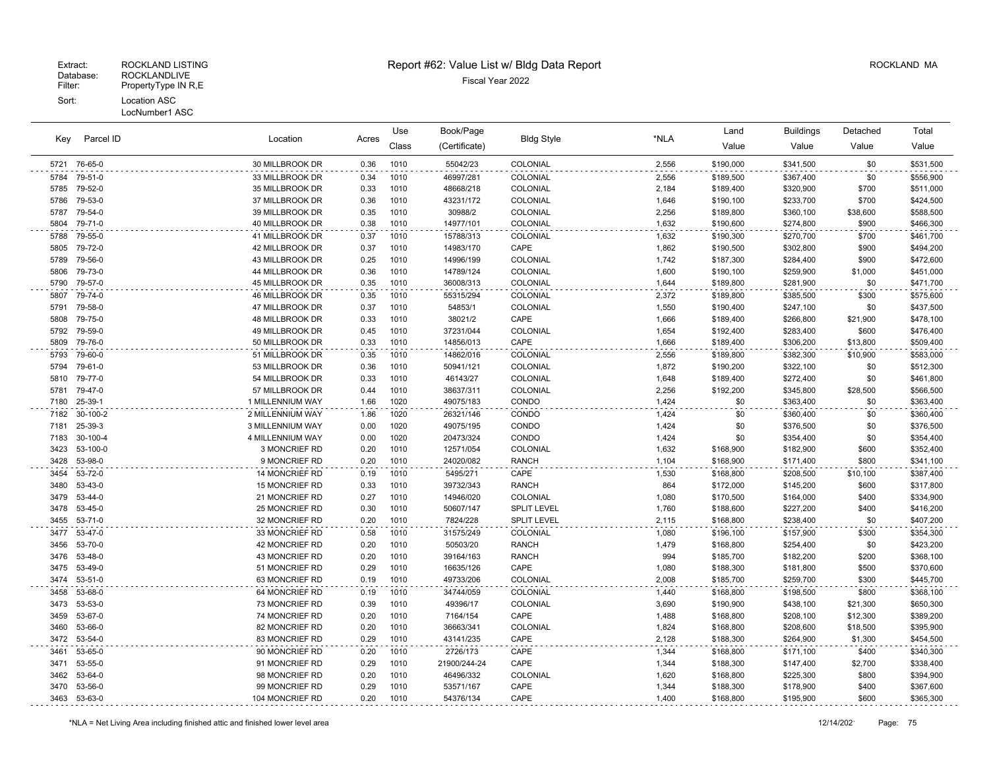| Parcel ID<br>Key |                    | Location                           | Use<br>Acres |              | Book/Page             | <b>Bldg Style</b>    | *NLA           | Land                   | <b>Buildings</b>       | Detached        | Total                  |
|------------------|--------------------|------------------------------------|--------------|--------------|-----------------------|----------------------|----------------|------------------------|------------------------|-----------------|------------------------|
|                  |                    |                                    |              | Class        | (Certificate)         |                      |                | Value                  | Value                  | Value           | Value                  |
|                  | 5721 76-65-0       | 30 MILLBROOK DR                    | 0.36         | 1010         | 55042/23              | COLONIAL             | 2,556          | \$190,000              | \$341,500              | \$0             | \$531,500              |
| 5784             | 79-51-0            | 33 MILLBROOK DR                    | 0.34         | 1010         | 46997/281             | COLONIAL             | 2,556          | \$189,500              | \$367,400              | \$0             | \$556,900              |
| 5785             | 79-52-0            | 35 MILLBROOK DR                    | 0.33         | 1010         | 48668/218             | COLONIAL             | 2,184          | \$189,400              | \$320,900              | \$700           | \$511,000              |
| 5786             | 79-53-0            | 37 MILLBROOK DR                    | 0.36         | 1010         | 43231/172             | COLONIAL             | 1,646          | \$190,100              | \$233,700              | \$700           | \$424,500              |
| 5787             | 79-54-0            | 39 MILLBROOK DR                    | 0.35         | 1010         | 30988/2               | COLONIAL             | 2,256          | \$189,800              | \$360,100              | \$38,600        | \$588,500              |
| 5804             | 79-71-0            | 40 MILLBROOK DR                    | 0.38         | 1010         | 14977/101             | COLONIAL             | 1,632          | \$190,600              | \$274,800              | \$900           | \$466,300              |
| 5788             | 79-55-0            | 41 MILLBROOK DR                    | 0.37         | 1010         | 15788/313             | COLONIAL             | 1,632          | \$190,300              | \$270,700              | \$700           | \$461,700              |
| 5805             | 79-72-0            | 42 MILLBROOK DR                    | 0.37         | 1010         | 14983/170             | CAPE                 | 1,862          | \$190,500              | \$302,800              | \$900           | \$494,200              |
| 5789             | 79-56-0            | 43 MILLBROOK DR                    | 0.25         | 1010         | 14996/199             | COLONIAL             | 1,742          | \$187,300              | \$284,400              | \$900           | \$472,600              |
| 5806             | 79-73-0            | 44 MILLBROOK DR                    | 0.36         | 1010         | 14789/124             | COLONIAL             | 1,600          | \$190,100              | \$259,900              | \$1,000         | \$451,000              |
| 5790             | 79-57-0            | 45 MILLBROOK DR                    | 0.35         | 1010         | 36008/313             | COLONIAL             | 1,644          | \$189,800              | \$281,900              | \$0             | \$471,700              |
| 5807             | 79-74-0            | 46 MILLBROOK DR                    | 0.35         | 1010         | 55315/294             | COLONIAL             | 2,372          | \$189,800              | \$385,500              | \$300           | \$575,600              |
| 5791             | 79-58-0            | 47 MILLBROOK DR                    | 0.37         | 1010         | 54853/1               | COLONIAL             | 1,550          | \$190,400              | \$247,100              | \$0             | \$437,500              |
| 5808             | 79-75-0            | 48 MILLBROOK DR                    | 0.33         | 1010         | 38021/2               | CAPE                 | 1,666          | \$189,400              | \$266,800              | \$21,900        | \$478,100              |
| 5792             | 79-59-0            | 49 MILLBROOK DR                    | 0.45         | 1010         | 37231/044             | <b>COLONIAL</b>      | 1,654          | \$192,400              | \$283,400              | \$600           | \$476,400              |
| 5809             | 79-76-0            | 50 MILLBROOK DR                    | 0.33         | 1010         | 14856/013             | CAPE                 | 1,666          | \$189,400              | \$306,200              | \$13,800        | \$509,400              |
| 5793             | 79-60-0            | 51 MILLBROOK DR                    | 0.35         | 1010         | 14862/016             | COLONIAL             | 2,556          | \$189,800              | \$382,300              | \$10,900        | \$583,000              |
| 5794             | 79-61-0            | 53 MILLBROOK DR                    | 0.36         | 1010         | 50941/121             | COLONIAL             | 1,872          | \$190,200              | \$322,100              | \$0             | \$512,300              |
| 5810<br>5781     | 79-77-0<br>79-47-0 | 54 MILLBROOK DR<br>57 MILLBROOK DR | 0.33<br>0.44 | 1010<br>1010 | 46143/27<br>38637/311 | COLONIAL<br>COLONIAL | 1,648<br>2,256 | \$189,400<br>\$192,200 | \$272,400<br>\$345,800 | \$0<br>\$28,500 | \$461,800<br>\$566,500 |
| 7180             | 25-39-1            | 1 MILLENNIUM WAY                   | 1.66         | 1020         | 49075/183             | CONDO                | 1,424          | \$0                    | \$363,400              | \$0             | \$363,400              |
| 7182             | 30-100-2           | 2 MILLENNIUM WAY                   | 1.86         | 1020         | 26321/146             | CONDO                | 1,424          | \$0                    | \$360,400              | \$0             | \$360,400              |
| 7181             | 25-39-3            | 3 MILLENNIUM WAY                   | 0.00         | 1020         | 49075/195             | CONDO                | 1,424          | \$0                    | \$376,500              | \$0             | \$376,500              |
| 7183             | 30-100-4           | 4 MILLENNIUM WAY                   | 0.00         | 1020         | 20473/324             | CONDO                | 1,424          | \$0                    | \$354,400              | \$0             | \$354,400              |
| 3423             | 53-100-0           | 3 MONCRIEF RD                      | 0.20         | 1010         | 12571/054             | COLONIAL             | 1,632          | \$168,900              | \$182,900              | \$600           | \$352,400              |
| 3428             | 53-98-0            | 9 MONCRIEF RD                      | 0.20         | 1010         | 24020/082             | <b>RANCH</b>         | 1,104          | \$168,900              | \$171,400              | \$800           | \$341,100              |
| 3454             | 53-72-0            | 14 MONCRIEF RD                     | 0.19         | 1010         | 5495/271              | CAPE                 | 1,530          | \$168,800              | \$208,500              | \$10,100        | \$387,400              |
| 3480             | 53-43-0            | 15 MONCRIEF RD                     | 0.33         | 1010         | 39732/343             | <b>RANCH</b>         | 864            | \$172,000              | \$145,200              | \$600           | \$317,800              |
| 3479             | 53-44-0            | 21 MONCRIEF RD                     | 0.27         | 1010         | 14946/020             | COLONIAL             | 1,080          | \$170,500              | \$164,000              | \$400           | \$334,900              |
| 3478             | 53-45-0            | 25 MONCRIEF RD                     | 0.30         | 1010         | 50607/147             | <b>SPLIT LEVEL</b>   | 1,760          | \$188,600              | \$227,200              | \$400           | \$416,200              |
| 3455             | 53-71-0            | 32 MONCRIEF RD                     | 0.20         | 1010         | 7824/228              | <b>SPLIT LEVEL</b>   | 2,115          | \$168,800              | \$238,400              | \$0             | \$407,200              |
| 3477             | 53-47-0            | 33 MONCRIEF RD                     | 0.58         | 1010         | 31575/249             | COLONIAL             | 1,080          | \$196,100              | \$157,900              | \$300           | \$354,300              |
| 3456             | 53-70-0            | 42 MONCRIEF RD                     | 0.20         | 1010         | 50503/20              | <b>RANCH</b>         | 1,479          | \$168,800              | \$254,400              | \$0             | \$423,200              |
| 3476             | 53-48-0            | 43 MONCRIEF RD                     | 0.20         | 1010         | 39164/163             | <b>RANCH</b>         | 994            | \$185,700              | \$182,200              | \$200           | \$368,100              |
| 3475             | 53-49-0            | 51 MONCRIEF RD                     | 0.29         | 1010         | 16635/126             | CAPE                 | 1,080          | \$188,300              | \$181,800              | \$500           | \$370,600              |
| 3474             | $53 - 51 - 0$      | 63 MONCRIEF RD                     | 0.19         | 1010         | 49733/206             | COLONIAL             | 2,008          | \$185,700              | \$259.700              | \$300           | \$445,700              |
| 3458             | 53-68-0            | 64 MONCRIEF RD                     | 0.19         | 1010         | 34744/059             | COLONIAL             | 1,440          | \$168,800              | \$198,500              | \$800           | \$368,100              |
| 3473             | 53-53-0            | 73 MONCRIEF RD                     | 0.39         | 1010         | 49396/17              | COLONIAL             | 3,690          | \$190,900              | \$438,100              | \$21,300        | \$650,300              |
| 3459             | 53-67-0            | 74 MONCRIEF RD                     | 0.20         | 1010         | 7164/154              | CAPE                 | 1,488          | \$168,800              | \$208,100              | \$12,300        | \$389,200              |
| 3460             | 53-66-0            | 82 MONCRIEF RD                     | 0.20         | 1010         | 36663/341             | COLONIAL             | 1,824          | \$168,800              | \$208,600              | \$18,500        | \$395,900              |
| 3472             | 53-54-0            | 83 MONCRIEF RD                     | 0.29         | 1010         | 43141/235             | CAPE                 | 2,128          | \$188,300              | \$264,900              | \$1,300         | \$454,500              |
| 3461             | 53-65-0            | 90 MONCRIEF RD                     | 0.20         | 1010         | 2726/173              | CAPE                 | 1,344          | \$168,800              | \$171,100              | \$400           | \$340,300              |
| 3471             | 53-55-0            | 91 MONCRIEF RD                     | 0.29         | 1010         | 21900/244-24          | CAPE                 | 1,344          | \$188,300              | \$147,400              | \$2,700         | \$338,400              |
| 3462             | 53-64-0            | 98 MONCRIEF RD                     | 0.20         | 1010         | 46496/332             | COLONIAL             | 1,620          | \$168,800              | \$225,300              | \$800           | \$394,900              |
| 3470             | 53-56-0            | 99 MONCRIEF RD                     | 0.29         | 1010         | 53571/167             | CAPE                 | 1,344          | \$188,300              | \$178,900              | \$400           | \$367,600              |
|                  | 3463 53-63-0       | 104 MONCRIEF RD                    | 0.20         | 1010         | 54376/134             | CAPE                 | 1,400          | \$168,800              | \$195,900              | \$600           | \$365,300              |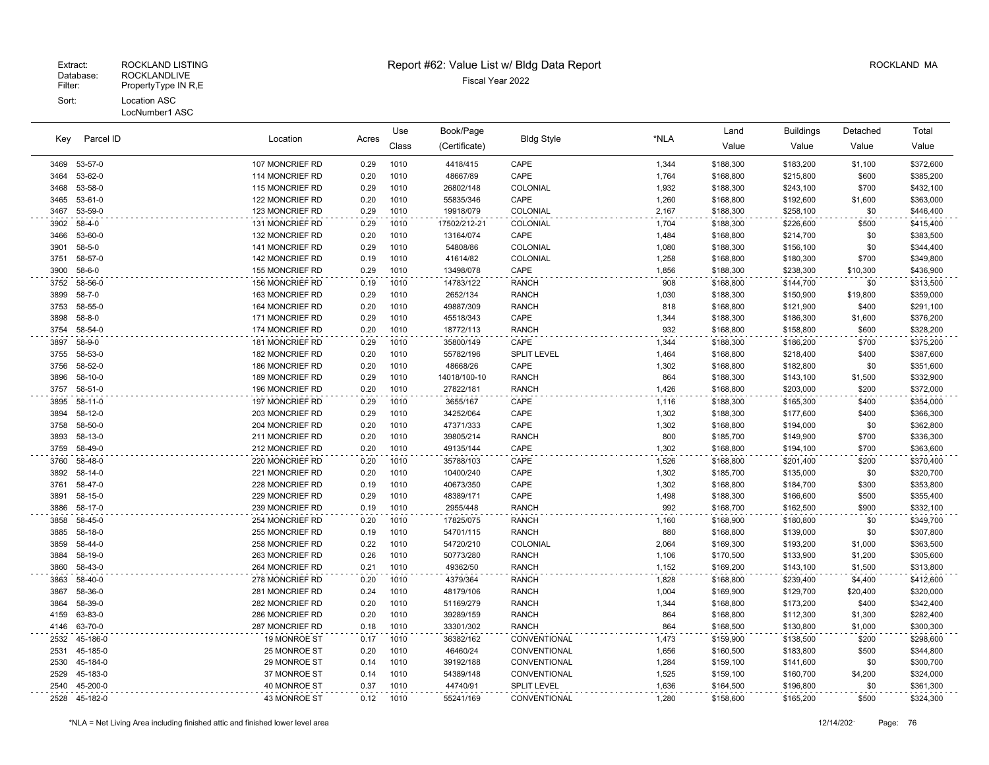| Parcel ID<br>Key | Location<br>Acres |                 | Use  | Book/Page |               |                    | Land  | <b>Buildings</b> | Detached  | Total    |           |
|------------------|-------------------|-----------------|------|-----------|---------------|--------------------|-------|------------------|-----------|----------|-----------|
|                  |                   |                 |      | Class     | (Certificate) | <b>Bldg Style</b>  | *NLA  | Value            | Value     | Value    | Value     |
| 3469             | 53-57-0           | 107 MONCRIEF RD | 0.29 | 1010      | 4418/415      | CAPE               | 1,344 | \$188,300        | \$183,200 | \$1,100  | \$372,600 |
| 3464             | 53-62-0           | 114 MONCRIEF RD | 0.20 | 1010      | 48667/89      | CAPE               | 1,764 | \$168,800        | \$215,800 | \$600    | \$385,200 |
| 3468             | 53-58-0           | 115 MONCRIEF RD | 0.29 | 1010      | 26802/148     | COLONIAL           | 1,932 | \$188,300        | \$243,100 | \$700    | \$432,100 |
| 3465             | 53-61-0           | 122 MONCRIEF RD | 0.20 | 1010      | 55835/346     | CAPE               | 1,260 | \$168,800        | \$192,600 | \$1,600  | \$363,000 |
| 3467             | 53-59-0           | 123 MONCRIEF RD | 0.29 | 1010      | 19918/079     | COLONIAL           | 2,167 | \$188,300        | \$258,100 | \$0      | \$446,400 |
| 3902             | 58-4-0            | 131 MONCRIEF RD | 0.29 | 1010      | 17502/212-21  | COLONIAL           | 1,704 | \$188,300        | \$226,600 | \$500    | \$415,400 |
| 3466             | 53-60-0           | 132 MONCRIEF RD | 0.20 | 1010      | 13164/074     | CAPE               | 1,484 | \$168,800        | \$214,700 | \$0      | \$383,500 |
| 3901             | $58 - 5 - 0$      | 141 MONCRIEF RD | 0.29 | 1010      | 54808/86      | COLONIAL           | 1,080 | \$188,300        | \$156,100 | \$0      | \$344,400 |
| 3751             | 58-57-0           | 142 MONCRIEF RD | 0.19 | 1010      | 41614/82      | COLONIAL           | 1,258 | \$168,800        | \$180,300 | \$700    | \$349,800 |
| 3900             | $58 - 6 - 0$      | 155 MONCRIEF RD | 0.29 | 1010      | 13498/078     | CAPE               | 1,856 | \$188,300        | \$238,300 | \$10,300 | \$436,900 |
| 3752             | 58-56-0           | 156 MONCRIEF RD | 0.19 | 1010      | 14783/122     | <b>RANCH</b>       | 908   | \$168,800        | \$144,700 | \$0      | \$313,500 |
| 3899             | $58 - 7 - 0$      | 163 MONCRIEF RD | 0.29 | 1010      | 2652/134      | <b>RANCH</b>       | 1,030 | \$188,300        | \$150,900 | \$19,800 | \$359,000 |
| 3753             | 58-55-0           | 164 MONCRIEF RD | 0.20 | 1010      | 49887/309     | <b>RANCH</b>       | 818   | \$168,800        | \$121,900 | \$400    | \$291,100 |
| 3898             | 58-8-0            | 171 MONCRIEF RD | 0.29 | 1010      | 45518/343     | CAPE               | 1,344 | \$188,300        | \$186,300 | \$1,600  | \$376,200 |
| 3754             | 58-54-0           | 174 MONCRIEF RD | 0.20 | 1010      | 18772/113     | <b>RANCH</b>       | 932   | \$168,800        | \$158,800 | \$600    | \$328,200 |
| 3897             | 58-9-0            | 181 MONCRIEF RD | 0.29 | 1010      | 35800/149     | CAPE               | 1,344 | \$188,300        | \$186,200 | \$700    | \$375,200 |
| 3755             | 58-53-0           | 182 MONCRIEF RD | 0.20 | 1010      | 55782/196     | SPLIT LEVEL        | 1,464 | \$168,800        | \$218,400 | \$400    | \$387,600 |
| 3756             | 58-52-0           | 186 MONCRIEF RD | 0.20 | 1010      | 48668/26      | CAPE               | 1,302 | \$168,800        | \$182,800 | \$0      | \$351,600 |
| 3896             | 58-10-0           | 189 MONCRIEF RD | 0.29 | 1010      | 14018/100-10  | <b>RANCH</b>       | 864   | \$188,300        | \$143,100 | \$1,500  | \$332,900 |
| 3757             | 58-51-0           | 196 MONCRIEF RD | 0.20 | 1010      | 27822/181     | <b>RANCH</b>       | 1,426 | \$168,800        | \$203,000 | \$200    | \$372,000 |
| 3895             | 58-11-0           | 197 MONCRIEF RD | 0.29 | 1010      | 3655/167      | CAPE               | 1,116 | \$188,300        | \$165,300 | \$400    | \$354,000 |
| 3894             | 58-12-0           | 203 MONCRIEF RD | 0.29 | 1010      | 34252/064     | CAPE               | 1,302 | \$188,300        | \$177,600 | \$400    | \$366,300 |
| 3758             | 58-50-0           | 204 MONCRIEF RD | 0.20 | 1010      | 47371/333     | CAPE               | 1,302 | \$168,800        | \$194,000 | \$0      | \$362,800 |
| 3893             | 58-13-0           | 211 MONCRIEF RD | 0.20 | 1010      | 39805/214     | <b>RANCH</b>       | 800   | \$185,700        | \$149,900 | \$700    | \$336,300 |
| 3759             | 58-49-0           | 212 MONCRIEF RD | 0.20 | 1010      | 49135/144     | CAPE               | 1,302 | \$168,800        | \$194,100 | \$700    | \$363,600 |
| 3760             | 58-48-0           | 220 MONCRIEF RD | 0.20 | 1010      | 35788/103     | CAPE               | 1,526 | \$168,800        | \$201,400 | \$200    | \$370,400 |
| 3892             | 58-14-0           | 221 MONCRIEF RD | 0.20 | 1010      | 10400/240     | CAPE               | 1,302 | \$185,700        | \$135,000 | \$0      | \$320,700 |
| 3761             | 58-47-0           | 228 MONCRIEF RD | 0.19 | 1010      | 40673/350     | CAPE               | 1,302 | \$168,800        | \$184,700 | \$300    | \$353,800 |
| 3891             | 58-15-0           | 229 MONCRIEF RD | 0.29 | 1010      | 48389/171     | CAPE               | 1,498 | \$188,300        | \$166,600 | \$500    | \$355,400 |
| 3886             | 58-17-0           | 239 MONCRIEF RD | 0.19 | 1010      | 2955/448      | <b>RANCH</b>       | 992   | \$168,700        | \$162,500 | \$900    | \$332,100 |
| 3858             | 58-45-0           | 254 MONCRIEF RD | 0.20 | 1010      | 17825/075     | <b>RANCH</b>       | 1,160 | \$168,900        | \$180,800 | \$0      | \$349,700 |
| 3885             | 58-18-0           | 255 MONCRIEF RD | 0.19 | 1010      | 54701/115     | <b>RANCH</b>       | 880   | \$168,800        | \$139,000 | \$0      | \$307,800 |
| 3859             | 58-44-0           | 258 MONCRIEF RD | 0.22 | 1010      | 54720/210     | COLONIAL           | 2,064 | \$169,300        | \$193,200 | \$1,000  | \$363,500 |
| 3884             | 58-19-0           | 263 MONCRIEF RD | 0.26 | 1010      | 50773/280     | <b>RANCH</b>       | 1,106 | \$170,500        | \$133,900 | \$1,200  | \$305,600 |
| 3860             | 58-43-0           | 264 MONCRIEF RD | 0.21 | 1010      | 49362/50      | <b>RANCH</b>       | 1,152 | \$169,200        | \$143,100 | \$1,500  | \$313,800 |
| 3863             | 58-40-0           | 278 MONCRIEF RD | 0.20 | 1010      | 4379/364      | <b>RANCH</b>       | 1,828 | \$168,800        | \$239,400 | \$4,400  | \$412,600 |
| 3867             | 58-36-0           | 281 MONCRIEF RD | 0.24 | 1010      | 48179/106     | <b>RANCH</b>       | 1,004 | \$169,900        | \$129,700 | \$20,400 | \$320,000 |
| 3864             | 58-39-0           | 282 MONCRIEF RD | 0.20 | 1010      | 51169/279     | <b>RANCH</b>       | 1,344 | \$168,800        | \$173,200 | \$400    | \$342,400 |
| 4159             | 63-83-0           | 286 MONCRIEF RD | 0.20 | 1010      | 39289/159     | <b>RANCH</b>       | 864   | \$168,800        | \$112,300 | \$1,300  | \$282,400 |
| 4146             | 63-70-0           | 287 MONCRIEF RD | 0.18 | 1010      | 33301/302     | <b>RANCH</b>       | 864   | \$168,500        | \$130,800 | \$1,000  | \$300,300 |
| 2532             | 45-186-0          | 19 MONROE ST    | 0.17 | 1010      | 36382/162     | CONVENTIONAL       | 1,473 | \$159,900        | \$138,500 | \$200    | \$298,600 |
| 2531             | 45-185-0          | 25 MONROE ST    | 0.20 | 1010      | 46460/24      | CONVENTIONAL       | 1,656 | \$160,500        | \$183,800 | \$500    | \$344,800 |
| 2530             | 45-184-0          | 29 MONROE ST    | 0.14 | 1010      | 39192/188     | CONVENTIONAL       | 1,284 | \$159,100        | \$141,600 | \$0      | \$300,700 |
| 2529             | 45-183-0          | 37 MONROE ST    | 0.14 | 1010      | 54389/148     | CONVENTIONAL       | 1,525 | \$159,100        | \$160,700 | \$4,200  | \$324,000 |
| 2540             | 45-200-0          | 40 MONROE ST    | 0.37 | 1010      | 44740/91      | <b>SPLIT LEVEL</b> | 1,636 | \$164,500        | \$196,800 | \$0      | \$361,300 |
|                  | 2528 45-182-0     | 43 MONROE ST    | 0.12 | 1010      | 55241/169     | CONVENTIONAL       | 1,280 | \$158,600        | \$165,200 | \$500    | \$324,300 |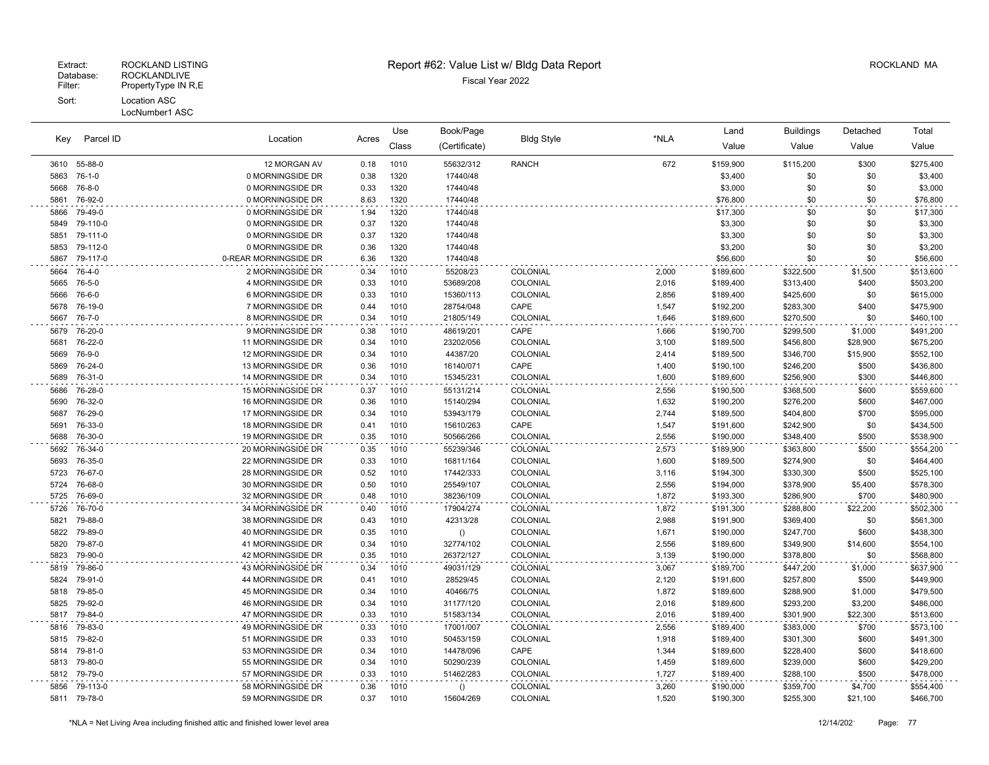## Extract: ROCKLAND LISTING **Report #62: Value List w/ Bldg Data Report** Alleman and RockLAND MA

| Key          | Parcel ID          | Location                               | Acres        | Use          | Book/Page       | <b>Bldg Style</b>    | *NLA           | Land                   | <b>Buildings</b>       | Detached     | Total                  |
|--------------|--------------------|----------------------------------------|--------------|--------------|-----------------|----------------------|----------------|------------------------|------------------------|--------------|------------------------|
|              |                    |                                        |              | Class        | (Certificate)   |                      |                | Value                  | Value                  | Value        | Value                  |
| 3610         | 55-88-0            | 12 MORGAN AV                           | 0.18         | 1010         | 55632/312       | <b>RANCH</b>         | 672            | \$159,900              | \$115,200              | \$300        | \$275,400              |
| 5863         | $76-1-0$           | 0 MORNINGSIDE DR                       | 0.38         | 1320         | 17440/48        |                      |                | \$3,400                | \$0                    | \$0          | \$3,400                |
| 5668         | 76-8-0             | 0 MORNINGSIDE DR                       | 0.33         | 1320         | 17440/48        |                      |                | \$3,000                | \$0                    | \$0          | \$3,000                |
| 5861         | 76-92-0            | 0 MORNINGSIDE DR                       | 8.63         | 1320         | 17440/48        |                      |                | \$76,800               | \$0                    | \$0          | \$76,800               |
| 5866         | 79-49-0            | 0 MORNINGSIDE DR                       | 1.94         | 1320         | 17440/48        |                      |                | \$17,300               | \$0                    | \$0          | \$17,300               |
| 5849         | 79-110-0           | 0 MORNINGSIDE DR                       | 0.37         | 1320         | 17440/48        |                      |                | \$3,300                | \$0                    | \$0          | \$3,300                |
| 5851         | 79-111-0           | 0 MORNINGSIDE DR                       | 0.37         | 1320         | 17440/48        |                      |                | \$3,300                | \$0                    | \$0          | \$3,300                |
| 5853         | 79-112-0           | 0 MORNINGSIDE DR                       | 0.36         | 1320         | 17440/48        |                      |                | \$3,200                | \$0                    | \$0          | \$3,200                |
| 5867         | 79-117-0           | 0-REAR MORNINGSIDE DR                  | 6.36         | 1320         | 17440/48        |                      |                | \$56,600               | \$0                    | \$0          | \$56,600               |
| 5664         | 76-4-0             | 2 MORNINGSIDE DR                       | 0.34         | 1010         | 55208/23        | COLONIAL             | 2,000          | \$189,600              | \$322,500              | \$1,500      | \$513,600              |
| 5665         | 76-5-0             | 4 MORNINGSIDE DR                       | 0.33         | 1010         | 53689/208       | COLONIAL             | 2,016          | \$189,400              | \$313,400              | \$400        | \$503,200              |
| 5666         | 76-6-0             | 6 MORNINGSIDE DR                       | 0.33         | 1010         | 15360/113       | COLONIAL             | 2,856          | \$189,400              | \$425,600              | \$0          | \$615,000              |
| 5678         | 76-19-0            | 7 MORNINGSIDE DR                       | 0.44         | 1010         | 28754/048       | CAPE                 | 1,547          | \$192,200              | \$283,300              | \$400        | \$475,900              |
| 5667         | 76-7-0             | 8 MORNINGSIDE DR                       | 0.34         | 1010         | 21805/149       | COLONIAL             | 1,646          | \$189,600              | \$270,500              | \$0          | \$460,100              |
| 5679         | 76-20-0            | 9 MORNINGSIDE DR                       | 0.38         | 1010         | 48619/201       | CAPE                 | 1,666          | \$190,700              | \$299,500              | \$1,000      | \$491,200              |
| 5681         | 76-22-0            | 11 MORNINGSIDE DR                      | 0.34         | 1010         | 23202/056       | <b>COLONIAL</b>      | 3,100          | \$189,500              | \$456,800              | \$28,900     | \$675,200              |
| 5669         | 76-9-0             | 12 MORNINGSIDE DR                      | 0.34         | 1010         | 44387/20        | <b>COLONIAL</b>      | 2,414          | \$189,500              | \$346,700              | \$15,900     | \$552,100              |
| 5869         | 76-24-0            | 13 MORNINGSIDE DR                      | 0.36         | 1010         | 16140/071       | CAPE                 | 1,400          | \$190,100              | \$246,200              | \$500        | \$436,800              |
| 5689         | 76-31-0            | 14 MORNINGSIDE DR                      | 0.34         | 1010         | 15345/231       | COLONIAL             | 1,600          | \$189,600              | \$256,900              | \$300        | \$446,800              |
| 5686         | 76-28-0            | 15 MORNINGSIDE DR                      | 0.37         | 1010         | 55131/214       | COLONIAL             | 2,556          | \$190,500              | \$368,500              | \$600        | \$559,600              |
| 5690         | 76-32-0            | 16 MORNINGSIDE DR                      | 0.36         | 1010         | 15140/294       | COLONIAL             | 1,632          | \$190,200              | \$276,200              | \$600        | \$467,000              |
| 5687         | 76-29-0            | 17 MORNINGSIDE DR                      | 0.34         | 1010         | 53943/179       | COLONIAL             | 2,744          | \$189,500              | \$404,800              | \$700        | \$595,000              |
| 5691         | 76-33-0            | 18 MORNINGSIDE DR                      | 0.41         | 1010         | 15610/263       | CAPE                 | 1,547          | \$191,600              | \$242,900              | \$0          | \$434,500              |
| 5688         | 76-30-0            | 19 MORNINGSIDE DR                      | 0.35         | 1010         | 50566/266       | COLONIAL             | 2,556          | \$190,000              | \$348,400              | \$500        | \$538,900              |
| 5692         | 76-34-0            | 20 MORNINGSIDE DR                      | 0.35         | 1010         | 55239/346       | COLONIAL             | 2,573          | \$189,900              | \$363,800              | \$500        | \$554,200              |
| 5693         | 76-35-0            | 22 MORNINGSIDE DR                      | 0.33         | 1010         | 16811/164       | COLONIAL             | 1,600          | \$189,500              | \$274,900              | \$0          | \$464,400              |
| 5723         | 76-67-0            | 28 MORNINGSIDE DR                      | 0.52         | 1010         | 17442/333       | <b>COLONIAL</b>      | 3,116          | \$194,300              | \$330,300              | \$500        | \$525,100              |
| 5724         | 76-68-0            | 30 MORNINGSIDE DR                      | 0.50         | 1010         | 25549/107       | COLONIAL             | 2,556          | \$194,000              | \$378,900              | \$5,400      | \$578,300              |
| 5725         | 76-69-0            | 32 MORNINGSIDE DR                      | 0.48         | 1010         | 38236/109       | COLONIAL             | 1,872          | \$193,300              | \$286,900              | \$700        | \$480,900              |
| 5726         | 76-70-0<br>79-88-0 | 34 MORNINGSIDE DR<br>38 MORNINGSIDE DR | 0.40         | 1010<br>1010 | 17904/274       | COLONIAL             | 1,872          | \$191,300              | \$288,800              | \$22,200     | \$502,300              |
| 5821<br>5822 | 79-89-0            | 40 MORNINGSIDE DR                      | 0.43<br>0.35 | 1010         | 42313/28        | COLONIAL<br>COLONIAL | 2,988<br>1,671 | \$191,900<br>\$190,000 | \$369,400<br>\$247,700 | \$0<br>\$600 | \$561,300<br>\$438,300 |
| 5820         | 79-87-0            | 41 MORNINGSIDE DR                      | 0.34         | 1010         | ()<br>32774/102 | COLONIAL             | 2,556          | \$189,600              | \$349,900              | \$14,600     | \$554,100              |
| 5823         | 79-90-0            | 42 MORNINGSIDE DR                      | 0.35         | 1010         | 26372/127       | COLONIAL             | 3,139          | \$190,000              | \$378,800              | \$0          | \$568,800              |
| 5819         | 79-86-0            | 43 MORNINGSIDE DR                      | 0.34         | 1010         | 49031/129       | COLONIAL             | 3,067          | \$189,700              | \$447,200              | \$1,000      | \$637,900              |
| 5824         | 79-91-0            | 44 MORNINGSIDE DR                      | 0.41         | 1010         | 28529/45        | <b>COLONIAL</b>      | 2,120          | \$191,600              | \$257,800              | \$500        | \$449,900              |
| 5818         | 79-85-0            | 45 MORNINGSIDE DR                      | 0.34         | 1010         | 40466/75        | <b>COLONIAL</b>      | 1,872          | \$189,600              | \$288,900              | \$1,000      | \$479,500              |
| 5825         | 79-92-0            | 46 MORNINGSIDE DR                      | 0.34         | 1010         | 31177/120       | COLONIAL             | 2,016          | \$189,600              | \$293,200              | \$3,200      | \$486,000              |
| 5817         | 79-84-0            | 47 MORNINGSIDE DR                      | 0.33         | 1010         | 51583/134       | COLONIAL             | 2,016          | \$189,400              | \$301,900              | \$22,300     | \$513,600              |
| 5816         | 79-83-0            | 49 MORNINGSIDE DR                      | 0.33         | 1010         | 17001/007       | COLONIAL             | 2,556          | \$189,400              | \$383,000              | \$700        | \$573,100              |
| 5815         | 79-82-0            | 51 MORNINGSIDE DR                      | 0.33         | 1010         | 50453/159       | COLONIAL             | 1,918          | \$189,400              | \$301,300              | \$600        | \$491,300              |
| 5814         | 79-81-0            | 53 MORNINGSIDE DR                      | 0.34         | 1010         | 14478/096       | CAPE                 | 1,344          | \$189,600              | \$228,400              | \$600        | \$418,600              |
| 5813         | 79-80-0            | 55 MORNINGSIDE DR                      | 0.34         | 1010         | 50290/239       | COLONIAL             | 1,459          | \$189,600              | \$239,000              | \$600        | \$429,200              |
| 5812         | 79-79-0            | 57 MORNINGSIDE DR                      | 0.33         | 1010         | 51462/283       | COLONIAL             | 1,727          | \$189,400              | \$288,100              | \$500        | \$478,000              |
| 5856         | 79-113-0           | 58 MORNINGSIDE DR                      | 0.36         | 1010         | ()              | <b>COLONIAL</b>      | 3,260          | \$190,000              | \$359,700              | \$4,700      | \$554,400              |
| 5811         | 79-78-0            | 59 MORNINGSIDE DR                      | 0.37         | 1010         | 15604/269       | COLONIAL             | 1,520          | \$190,300              | \$255,300              | \$21,100     | \$466,700              |
|              |                    |                                        |              |              |                 |                      |                |                        |                        |              |                        |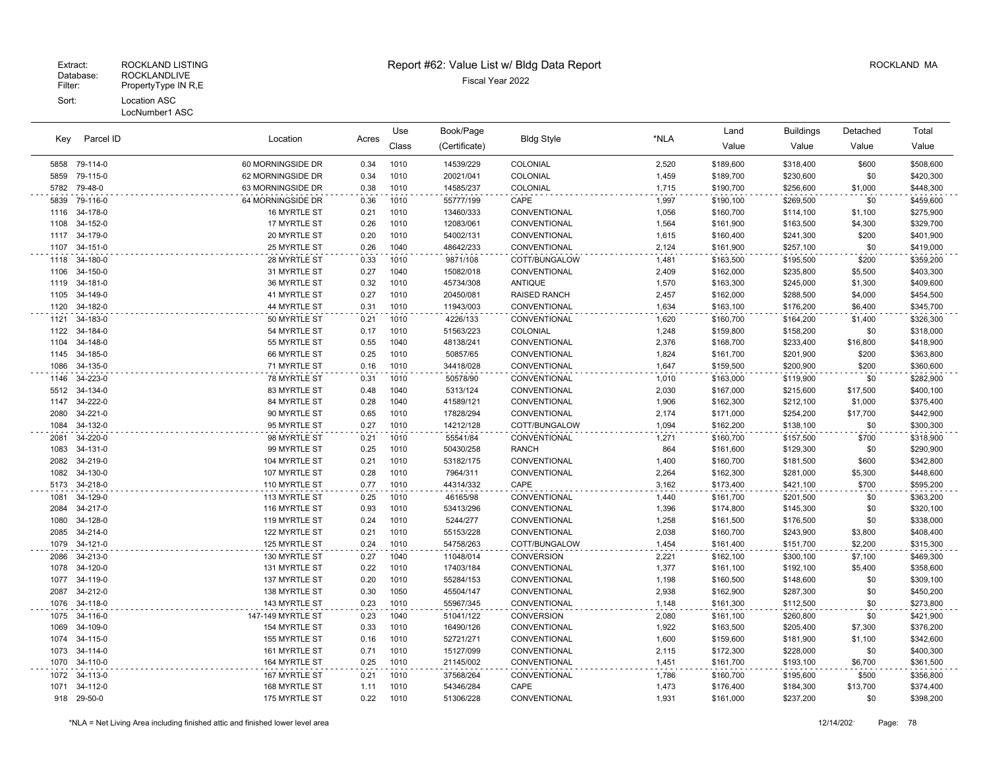| Parcel ID<br>Key | Location             | Acres                        | Use          | Book/Page    | <b>Bldg Style</b>     | *NLA                         | Land           | <b>Buildings</b>       | Detached               | Total             |                        |
|------------------|----------------------|------------------------------|--------------|--------------|-----------------------|------------------------------|----------------|------------------------|------------------------|-------------------|------------------------|
|                  |                      |                              |              | Class        | (Certificate)         |                              |                | Value                  | Value                  | Value             | Value                  |
| 5858             | 79-114-0             | 60 MORNINGSIDE DR            | 0.34         | 1010         | 14539/229             | COLONIAL                     | 2,520          | \$189,600              | \$318,400              | \$600             | \$508,600              |
| 5859             | 79-115-0             | 62 MORNINGSIDE DR            | 0.34         | 1010         | 20021/041             | COLONIAL                     | 1,459          | \$189,700              | \$230,600              | \$0               | \$420,300              |
| 5782             | 79-48-0              | 63 MORNINGSIDE DR            | 0.38         | 1010         | 14585/237             | COLONIAL                     | 1,715          | \$190,700              | \$256,600              | \$1,000           | \$448,300              |
| 5839             | 79-116-0             | 64 MORNINGSIDE DR            | 0.36         | 1010         | 55777/199             | CAPE                         | 1,997          | \$190,100              | \$269,500              | \$0               | \$459,600              |
| 1116             | 34-178-0             | 16 MYRTLE ST                 | 0.21         | 1010         | 13460/333             | CONVENTIONAL                 | 1.056          | \$160,700              | \$114,100              | \$1,100           | \$275,900              |
| 1108             | 34-152-0             | 17 MYRTLE ST                 | 0.26         | 1010         | 12083/061             | CONVENTIONAL                 | 1,564          | \$161,900              | \$163,500              | \$4,300           | \$329,700              |
| 1117             | 34-179-0             | 20 MYRTLE ST                 | 0.20         | 1010         | 54002/131             | CONVENTIONAL                 | 1,615          | \$160,400              | \$241,300              | \$200             | \$401,900              |
| 1107             | 34-151-0             | 25 MYRTLE ST                 | 0.26         | 1040         | 48642/233             | <b>CONVENTIONAL</b>          | 2.124          | \$161,900              | \$257,100              | \$0               | \$419,000              |
| 1118             | 34-180-0             | 28 MYRTLE ST                 | 0.33         | 1010         | 9871/108              | COTT/BUNGALOW                | 1,481          | \$163,500              | \$195,500              | \$200             | \$359,200              |
| 1106             | 34-150-0             | 31 MYRTLE ST                 | 0.27         | 1040         | 15082/018             | CONVENTIONAL                 | 2,409          | \$162,000              | \$235,800              | \$5,500           | \$403,300              |
| 1119             | 34-181-0             | 36 MYRTLE ST                 | 0.32         | 1010         | 45734/308             | <b>ANTIQUE</b>               | 1,570          | \$163,300              | \$245,000              | \$1,300           | \$409,600              |
| 1105             | 34-149-0             | 41 MYRTLE ST                 | 0.27         | 1010         | 20450/081             | <b>RAISED RANCH</b>          | 2,457          | \$162,000              | \$288,500              | \$4,000           | \$454,500              |
| 1120             | 34-182-0             | 44 MYRTLE ST                 | 0.31         | 1010         | 11943/003             | CONVENTIONAL                 | 1,634          | \$163,100              | \$176,200              | \$6,400           | \$345,700              |
| 1121             | 34-183-0             | 50 MYRTLE ST                 | 0.21         | 1010         | 4226/133              | CONVENTIONAL                 | 1,620          | \$160,700              | \$164,200              | \$1,400           | \$326,300              |
| 1122             | 34-184-0<br>34-148-0 | 54 MYRTLE ST                 | 0.17<br>0.55 | 1010<br>1040 | 51563/223             | COLONIAL                     | 1,248<br>2,376 | \$159,800              | \$158,200              | \$0               | \$318,000              |
| 1104<br>1145     | 34-185-0             | 55 MYRTLE ST<br>66 MYRTLE ST | 0.25         | 1010         | 48138/241<br>50857/65 | CONVENTIONAL<br>CONVENTIONAL | 1,824          | \$168,700<br>\$161,700 | \$233,400<br>\$201,900 | \$16,800<br>\$200 | \$418,900<br>\$363,800 |
| 1086             | 34-135-0             | 71 MYRTLE ST                 | 0.16         | 1010         | 34418/028             | CONVENTIONAL                 | 1,647          | \$159,500              | \$200,900              | \$200             | \$360,600              |
| 1146             | 34-223-0             | 78 MYRTLE ST                 | 0.31         | 1010         |                       | CONVENTIONAL                 |                |                        |                        | \$0               | \$282,900              |
| 5512             | 34-134-0             | 83 MYRTLE ST                 | 0.48         | 1040         | 50578/90<br>5313/124  | CONVENTIONAL                 | 1,010<br>2,030 | \$163,000<br>\$167,000 | \$119,900<br>\$215,600 | \$17,500          | \$400,100              |
| 1147             | 34-222-0             | 84 MYRTLE ST                 | 0.28         | 1040         | 41589/121             | CONVENTIONAL                 | 1,906          | \$162,300              | \$212,100              | \$1,000           | \$375,400              |
| 2080             | 34-221-0             | 90 MYRTLE ST                 | 0.65         | 1010         | 17828/294             | CONVENTIONAL                 | 2,174          | \$171,000              | \$254,200              | \$17,700          | \$442,900              |
| 1084             | 34-132-0             | 95 MYRTLE ST                 | 0.27         | 1010         | 14212/128             | COTT/BUNGALOW                | 1,094          | \$162,200              | \$138,100              | \$0               | \$300,300              |
| 2081             | 34-220-0             | 98 MYRTLE ST                 | 0.21         | 1010         | 55541/84              | CONVENTIONAL                 | 1,271          | \$160,700              | \$157,500              | \$700             | \$318,900              |
| 1083             | 34-131-0             | 99 MYRTLE ST                 | 0.25         | 1010         | 50430/258             | <b>RANCH</b>                 | 864            | \$161,600              | \$129,300              | \$0               | \$290,900              |
| 2082             | 34-219-0             | 104 MYRTLE ST                | 0.21         | 1010         | 53182/175             | CONVENTIONAL                 | 1,400          | \$160,700              | \$181,500              | \$600             | \$342,800              |
| 1082             | 34-130-0             | 107 MYRTLE ST                | 0.28         | 1010         | 7964/311              | CONVENTIONAL                 | 2,264          | \$162,300              | \$281,000              | \$5,300           | \$448,600              |
| 5173             | 34-218-0             | 110 MYRTLE ST                | 0.77         | 1010         | 44314/332             | CAPE                         | 3,162          | \$173,400              | \$421,100              | \$700             | \$595,200              |
| 1081             | 34-129-0             | 113 MYRTLE ST                | 0.25         | 1010         | 46165/98              | CONVENTIONAL                 | 1,440          | \$161,700              | \$201,500              | \$0               | \$363,200              |
| 2084             | 34-217-0             | 116 MYRTLE ST                | 0.93         | 1010         | 53413/296             | CONVENTIONAL                 | 1,396          | \$174,800              | \$145,300              | \$0               | \$320,100              |
| 1080             | 34-128-0             | 119 MYRTLE ST                | 0.24         | 1010         | 5244/277              | CONVENTIONAL                 | 1,258          | \$161,500              | \$176,500              | \$0               | \$338,000              |
| 2085             | 34-214-0             | 122 MYRTLE ST                | 0.21         | 1010         | 55153/228             | CONVENTIONAL                 | 2,038          | \$160,700              | \$243,900              | \$3,800           | \$408,400              |
| 1079             | 34-121-0             | 125 MYRTLE ST                | 0.24         | 1010         | 54758/263             | COTT/BUNGALOW                | 1,454          | \$161,400              | \$151,700              | \$2,200           | \$315,300              |
| 2086             | 34-213-0             | 130 MYRTLE ST                | 0.27         | 1040         | 11048/014             | <b>CONVERSION</b>            | 2,221          | \$162,100              | \$300,100              | \$7,100           | \$469,300              |
| 1078             | 34-120-0             | 131 MYRTLE ST                | 0.22         | 1010         | 17403/184             | CONVENTIONAL                 | 1,377          | \$161,100              | \$192,100              | \$5,400           | \$358,600              |
| 1077             | 34-119-0             | <b>137 MYRTLE ST</b>         | 0.20         | 1010         | 55284/153             | CONVENTIONAL                 | 1,198          | \$160,500              | \$148,600              | \$0               | \$309,100              |
| 2087             | 34-212-0             | 138 MYRTLE ST                | 0.30         | 1050         | 45504/147             | <b>CONVENTIONAL</b>          | 2,938          | \$162,900              | \$287,300              | \$0               | \$450,200              |
| 1076             | 34-118-0             | 143 MYRTLE ST                | 0.23         | 1010         | 55967/345             | CONVENTIONAL                 | 1,148          | \$161,300              | \$112,500              | \$0               | \$273,800              |
| 1075             | 34-116-0             | 147-149 MYRTLE ST            | 0.23         | 1040         | 51041/122             | CONVERSION                   | 2,080          | \$161,100              | \$260,800              | \$0               | \$421,900              |
| 1069             | 34-109-0             | 154 MYRTLE ST                | 0.33         | 1010         | 16490/126             | CONVENTIONAL                 | 1,922          | \$163,500              | \$205,400              | \$7,300           | \$376,200              |
| 1074             | 34-115-0             | 155 MYRTLE ST                | 0.16         | 1010         | 52721/271             | CONVENTIONAL                 | 1,600          | \$159,600              | \$181,900              | \$1,100           | \$342,600              |
| 1073             | 34-114-0             | 161 MYRTLE ST                | 0.71         | 1010         | 15127/099             | CONVENTIONAL                 | 2,115          | \$172,300              | \$228,000              | \$0               | \$400,300              |
| 1070             | 34-110-0             | 164 MYRTLE ST                | 0.25         | 1010         | 21145/002             | CONVENTIONAL                 | 1,451          | \$161,700              | \$193,100              | \$6,700           | \$361,500              |
| 1072             | 34-113-0             | 167 MYRTLE ST                | 0.21         | 1010         | 37568/264             | CONVENTIONAL                 | 1,786          | \$160,700              | \$195,600              | \$500             | \$356,800              |
| 1071             | 34-112-0             | 168 MYRTLE ST                | 1.11         | 1010         | 54346/284             | CAPE                         | 1,473          | \$176,400              | \$184,300              | \$13,700          | \$374,400              |
|                  | 918 29-50-0          | 175 MYRTLE ST                | 0.22         | 1010         | 51306/228             | CONVENTIONAL                 | 1,931          | \$161,000              | \$237,200              | \$0               | \$398,200              |
|                  |                      |                              |              |              |                       |                              |                |                        |                        |                   |                        |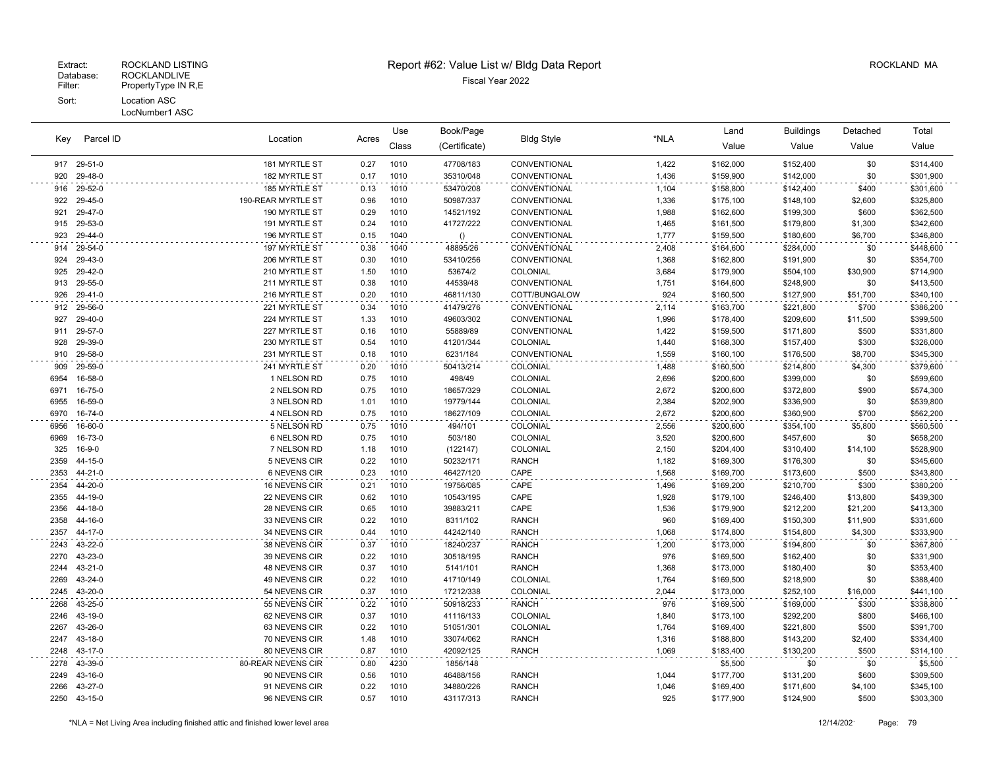| Parcel ID<br>Key |                    | Acres                          | Use          | Book/Page    | <b>Bldg Style</b>      |                              | Land           | <b>Buildings</b>       | Detached               | Total            |                        |
|------------------|--------------------|--------------------------------|--------------|--------------|------------------------|------------------------------|----------------|------------------------|------------------------|------------------|------------------------|
|                  |                    | Location                       |              | Class        | (Certificate)          |                              | *NLA           | Value                  | Value                  | Value            | Value                  |
|                  | 917 29-51-0        | 181 MYRTLE ST                  | 0.27         | 1010         | 47708/183              | CONVENTIONAL                 | 1,422          | \$162,000              | \$152,400              | \$0              | \$314,400              |
| 920              | 29-48-0            | 182 MYRTLE ST                  | 0.17         | 1010         | 35310/048              | CONVENTIONAL                 | 1,436          | \$159,900              | \$142,000              | \$0              | \$301,900              |
| 916              | 29-52-0            | 185 MYRTLE ST                  | 0.13         | 1010         | 53470/208              | CONVENTIONAL                 | 1,104          | \$158,800              | \$142,400              | \$400            | \$301,600              |
| 922              | 29-45-0            | 190-REAR MYRTLE ST             | 0.96         | 1010         | 50987/337              | CONVENTIONAL                 | 1,336          | \$175,100              | \$148,100              | \$2,600          | \$325,800              |
| 921              | 29-47-0            | 190 MYRTLE ST                  | 0.29         | 1010         | 14521/192              | CONVENTIONAL                 | 1,988          | \$162,600              | \$199,300              | \$600            | \$362,500              |
| 915              | 29-53-0            | 191 MYRTLE ST                  | 0.24         | 1010         | 41727/222              | CONVENTIONAL                 | 1,465          | \$161,500              | \$179,800              | \$1,300          | \$342,600              |
| 923              | 29-44-0            | 196 MYRTLE ST                  | 0.15         | 1040         | ()                     | CONVENTIONAL                 | 1,777          | \$159,500              | \$180,600              | \$6,700          | \$346,800              |
| 914              | 29-54-0            | 197 MYRTLE ST                  | 0.38         | 1040         | 48895/26               | CONVENTIONAL                 | 2,408          | \$164,600              | \$284,000              | \$0              | \$448,600              |
| 924              | 29-43-0            | 206 MYRTLE ST                  | 0.30         | 1010         | 53410/256              | CONVENTIONAL                 | 1,368          | \$162,800              | \$191,900              | \$0              | \$354,700              |
| 925              | 29-42-0            | 210 MYRTLE ST                  | 1.50         | 1010         | 53674/2                | COLONIAL                     | 3,684          | \$179,900              | \$504,100              | \$30,900         | \$714,900              |
| 913              | 29-55-0            | 211 MYRTLE ST                  | 0.38         | 1010         | 44539/48               | CONVENTIONAL                 | 1,751          | \$164,600              | \$248,900              | \$0              | \$413,500              |
| 926              | 29-41-0            | 216 MYRTLE ST                  | 0.20         | 1010         | 46811/130              | COTT/BUNGALOW                | 924            | \$160,500              | \$127,900              | \$51,700         | \$340,100              |
| 912              | 29-56-0            | 221 MYRTLE ST                  | 0.34         | 1010         | 41479/276              | CONVENTIONAL                 | 2,114          | \$163,700              | \$221,800              | \$700            | \$386,200              |
| 927              | 29-40-0            | 224 MYRTLE ST                  | 1.33         | 1010         | 49603/302              | CONVENTIONAL                 | 1,996          | \$178,400              | \$209,600              | \$11,500         | \$399,500              |
| 911              | 29-57-0            | 227 MYRTLE ST                  | 0.16         | 1010         | 55889/89               | CONVENTIONAL                 | 1,422          | \$159,500              | \$171,800              | \$500            | \$331,800              |
| 928              | 29-39-0            | 230 MYRTLE ST                  | 0.54         | 1010         | 41201/344              | COLONIAL                     | 1,440          | \$168,300              | \$157,400              | \$300            | \$326,000              |
| 910              | 29-58-0            | 231 MYRTLE ST                  | 0.18         | 1010         | 6231/184               | CONVENTIONAL                 | 1,559          | \$160,100              | \$176,500              | \$8,700          | \$345,300              |
| 909              | 29-59-0            | 241 MYRTLE ST                  | 0.20         | 1010         | 50413/214              | COLONIAL                     | 1,488          | \$160,500              | \$214,800              | \$4,300          | \$379,600              |
| 6954             | 16-58-0            | 1 NELSON RD                    | 0.75         | 1010         | 498/49                 | COLONIAL                     | 2,696          | \$200,600              | \$399,000              | \$0              | \$599,600              |
| 6971             | 16-75-0            | 2 NELSON RD                    | 0.75         | 1010         | 18657/329              | COLONIAL                     | 2,672          | \$200,600              | \$372,800              | \$900            | \$574,300              |
| 6955             | 16-59-0            | 3 NELSON RD                    | 1.01         | 1010         | 19779/144              | COLONIAL                     | 2,384          | \$202,900              | \$336,900              | \$0              | \$539,800              |
| 6970             | 16-74-0            | 4 NELSON RD                    | 0.75         | 1010         | 18627/109              | COLONIAL                     | 2,672          | \$200,600              | \$360,900              | \$700            | \$562,200              |
| 6956             | 16-60-0            | 5 NELSON RD                    | 0.75         | 1010         | 494/101                | COLONIAL                     | 2,556          | \$200,600              | \$354,100              | \$5,800          | \$560,500              |
| 6969             | 16-73-0            | 6 NELSON RD                    | 0.75         | 1010         | 503/180                | COLONIAL                     | 3,520          | \$200,600              | \$457,600              | \$0              | \$658,200              |
| 325              | $16 - 9 - 0$       | 7 NELSON RD                    | 1.18         | 1010         | (122147)               | COLONIAL                     | 2,150          | \$204,400              | \$310,400              | \$14,100         | \$528,900              |
| 2359             | 44-15-0            | 5 NEVENS CIR                   | 0.22         | 1010         | 50232/171              | <b>RANCH</b>                 | 1,182          | \$169,300              | \$176,300              | \$0              | \$345,600              |
| 2353             | 44-21-0            | <b>6 NEVENS CIR</b>            | 0.23         | 1010         | 46427/120              | CAPE                         | 1,568          | \$169,700              | \$173,600              | \$500            | \$343,800              |
| 2354             | 44-20-0            | 16 NEVENS CIR                  | 0.21         | 1010         | 19756/085              | CAPE                         | 1,496          | \$169,200              | \$210,700              | \$300            | \$380,200              |
| 2355             | 44-19-0            | 22 NEVENS CIR                  | 0.62         | 1010         | 10543/195              | CAPE                         | 1,928          | \$179,100              | \$246,400              | \$13,800         | \$439,300              |
| 2356             | 44-18-0            | 28 NEVENS CIR                  | 0.65         | 1010         | 39883/211              | CAPE                         | 1,536          | \$179,900              | \$212,200              | \$21,200         | \$413,300              |
| 2358             | 44-16-0            | 33 NEVENS CIR                  | 0.22         | 1010         | 8311/102               | <b>RANCH</b>                 | 960            | \$169,400              | \$150,300              | \$11,900         | \$331,600              |
| 2357             | 44-17-0            | 34 NEVENS CIR                  | 0.44         | 1010         | 44242/140              | <b>RANCH</b>                 | 1,068          | \$174,800              | \$154,800              | \$4,300          | \$333,900              |
| 2243             | 43-22-0            | 38 NEVENS CIR                  | 0.37         | 1010         | 18240/237              | <b>RANCH</b>                 | 1,200          | \$173,000              | \$194,800              | \$0              | \$367,800              |
| 2270             | 43-23-0<br>43-21-0 | 39 NEVENS CIR                  | 0.22         | 1010<br>1010 | 30518/195              | <b>RANCH</b><br><b>RANCH</b> | 976            | \$169,500              | \$162,400              | \$0              | \$331,900              |
| 2244<br>2269     |                    | 48 NEVENS CIR                  | 0.37         |              | 5141/101               | COLONIAL                     | 1,368          | \$173,000              | \$180,400              | \$0              | \$353,400              |
| 2245             | 43-24-0<br>43-20-0 | 49 NEVENS CIR<br>54 NEVENS CIR | 0.22<br>0.37 | 1010<br>1010 | 41710/149<br>17212/338 | COLONIAL                     | 1,764<br>2,044 | \$169,500              | \$218,900              | \$0              | \$388,400<br>\$441,100 |
|                  |                    |                                |              |              |                        |                              |                | \$173,000              | \$252,100              | \$16,000         |                        |
| 2268             | 43-25-0            | 55 NEVENS CIR                  | 0.22         | 1010         | 50918/233              | <b>RANCH</b>                 | 976            | \$169,500              | \$169,000              | \$300            | \$338,800              |
| 2246             | 43-19-0<br>43-26-0 | 62 NEVENS CIR                  | 0.37<br>0.22 | 1010         | 41116/133              | COLONIAL<br>COLONIAL         | 1,840          | \$173,100              | \$292,200              | \$800            | \$466,100              |
| 2267             |                    | 63 NEVENS CIR                  |              | 1010         | 51051/301              |                              | 1,764          | \$169,400              | \$221,800              | \$500            | \$391,700              |
| 2247<br>2248     | 43-18-0<br>43-17-0 | 70 NEVENS CIR<br>80 NEVENS CIR | 1.48<br>0.87 | 1010<br>1010 | 33074/062<br>42092/125 | <b>RANCH</b><br><b>RANCH</b> | 1,316<br>1,069 | \$188,800<br>\$183,400 | \$143,200<br>\$130,200 | \$2,400<br>\$500 | \$334,400<br>\$314,100 |
|                  |                    |                                |              |              |                        |                              |                |                        |                        |                  |                        |
| 2278             | 43-39-0            | 80-REAR NEVENS CIR             | 0.80         | 4230         | 1856/148               |                              |                | \$5,500                | \$0                    | \$0              | \$5,500                |
| 2249             | 43-16-0            | 90 NEVENS CIR                  | 0.56         | 1010         | 46488/156              | <b>RANCH</b>                 | 1,044          | \$177,700              | \$131,200              | \$600            | \$309,500              |
| 2266<br>2250     | 43-27-0            | 91 NEVENS CIR<br>96 NEVENS CIR | 0.22<br>0.57 | 1010<br>1010 | 34880/226              | <b>RANCH</b><br><b>RANCH</b> | 1,046<br>925   | \$169,400              | \$171,600              | \$4,100<br>\$500 | \$345,100              |
|                  | 43-15-0            |                                |              |              | 43117/313              |                              |                | \$177,900              | \$124,900              |                  | \$303,300              |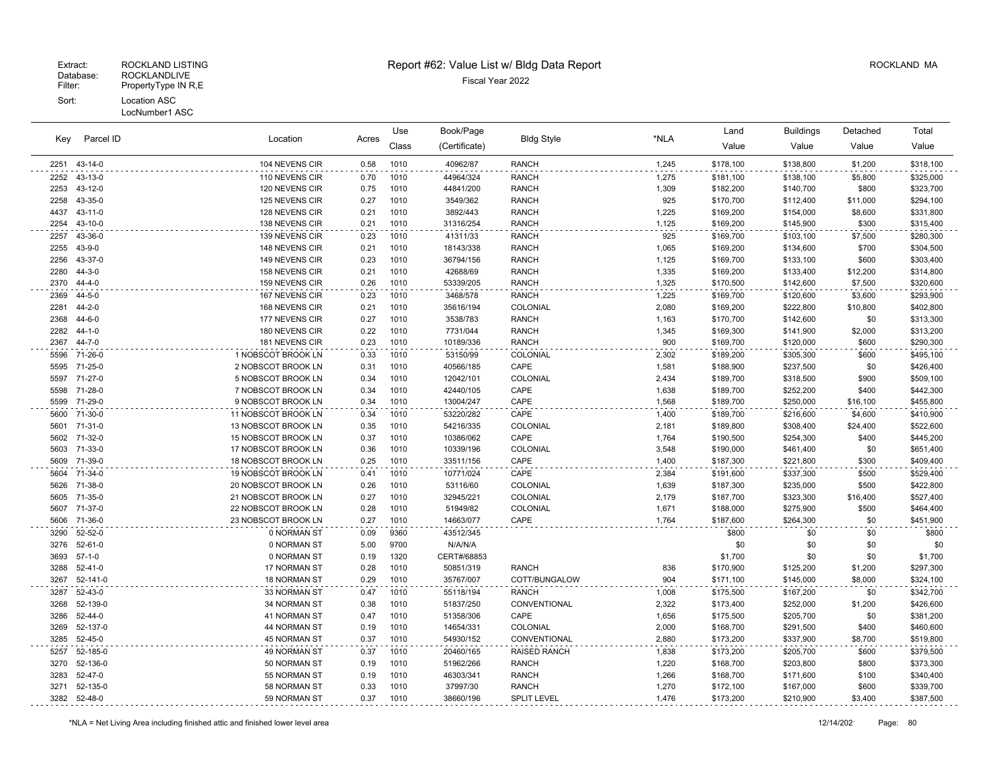| Parcel ID<br>Key |                         | Location                                   | Acres        | Use          | Book/Page              | <b>Bldg Style</b>   | *NLA           | Land                   | <b>Buildings</b>       | Detached       | Total                  |
|------------------|-------------------------|--------------------------------------------|--------------|--------------|------------------------|---------------------|----------------|------------------------|------------------------|----------------|------------------------|
|                  |                         |                                            |              | Class        | (Certificate)          |                     |                | Value                  | Value                  | Value          | Value                  |
| 2251             | 43-14-0                 | 104 NEVENS CIR                             | 0.58         | 1010         | 40962/87               | <b>RANCH</b>        | 1,245          | \$178,100              | \$138,800              | \$1,200        | \$318,100              |
| 2252             | 43-13-0                 | 110 NEVENS CIR                             | 0.70         | 1010         | 44964/324              | <b>RANCH</b>        | 1,275          | \$181,100              | \$138,100              | \$5,800        | \$325,000              |
| 2253             | 43-12-0                 | 120 NEVENS CIR                             | 0.75         | 1010         | 44841/200              | <b>RANCH</b>        | 1,309          | \$182,200              | \$140,700              | \$800          | \$323,700              |
| 2258             | 43-35-0                 | 125 NEVENS CIR                             | 0.27         | 1010         | 3549/362               | <b>RANCH</b>        | 925            | \$170,700              | \$112,400              | \$11,000       | \$294,100              |
| 4437             | 43-11-0                 | 128 NEVENS CIR                             | 0.21         | 1010         | 3892/443               | <b>RANCH</b>        | 1,225          | \$169,200              | \$154,000              | \$8,600        | \$331,800              |
| 2254             | 43-10-0                 | 138 NEVENS CIR                             | 0.21         | 1010         | 31316/254              | <b>RANCH</b>        | 1,125          | \$169,200              | \$145,900              | \$300          | \$315,400              |
| 2257             | 43-36-0                 | 139 NEVENS CIR                             | 0.23         | 1010         | 41311/33               | <b>RANCH</b>        | 925            | \$169,700              | \$103,100              | \$7,500        | \$280,300              |
| 2255             | $43 - 9 - 0$            | 148 NEVENS CIR                             | 0.21         | 1010         | 18143/338              | <b>RANCH</b>        | 1,065          | \$169,200              | \$134,600              | \$700          | \$304,500              |
| 2256             | 43-37-0                 | 149 NEVENS CIR                             | 0.23         | 1010         | 36794/156              | <b>RANCH</b>        | 1,125          | \$169,700              | \$133,100              | \$600          | \$303,400              |
| 2280             | $44 - 3 - 0$            | 158 NEVENS CIR                             | 0.21         | 1010         | 42688/69               | <b>RANCH</b>        | 1,335          | \$169,200              | \$133,400              | \$12,200       | \$314,800              |
| 2370             | 44-4-0                  | 159 NEVENS CIR                             | 0.26         | 1010         | 53339/205              | <b>RANCH</b>        | 1,325          | \$170,500              | \$142,600              | \$7,500        | \$320,600              |
| 2369             | 44-5-0                  | 167 NEVENS CIR                             | 0.23         | 1010         | 3468/578               | <b>RANCH</b>        | 1,225          | \$169,700              | \$120,600              | \$3,600        | \$293,900              |
| 2281             | $44 - 2 - 0$            | 168 NEVENS CIR                             | 0.21         | 1010         | 35616/194              | COLONIAL            | 2,080          | \$169,200              | \$222,800              | \$10,800       | \$402,800              |
| 2368             | $44 - 6 - 0$            | 177 NEVENS CIR                             | 0.27         | 1010         | 3538/783               | <b>RANCH</b>        | 1,163          | \$170,700              | \$142,600              | \$0            | \$313,300              |
| 2282             | $44 - 1 - 0$            | 180 NEVENS CIR                             | 0.22         | 1010         | 7731/044               | <b>RANCH</b>        | 1,345          | \$169,300              | \$141,900              | \$2,000        | \$313,200              |
| 2367             | 44-7-0                  | 181 NEVENS CIR                             | 0.23         | 1010         | 10189/336              | <b>RANCH</b>        | 900            | \$169,700              | \$120,000              | \$600          | \$290,300              |
| 5596             | 71-26-0                 | 1 NOBSCOT BROOK LN                         | 0.33         | 1010         | 53150/99               | COLONIAL            | 2,302          | \$189,200              | \$305,300              | \$600          | \$495,100              |
| 5595             | 71-25-0                 | 2 NOBSCOT BROOK LN                         | 0.31         | 1010         | 40566/185              | CAPE                | 1,581          | \$188,900              | \$237,500              | \$0            | \$426,400              |
| 5597             | 71-27-0                 | 5 NOBSCOT BROOK LN                         | 0.34         | 1010         | 12042/101              | COLONIAL            | 2,434          | \$189,700              | \$318,500              | \$900          | \$509,100              |
| 5598             | 71-28-0                 | 7 NOBSCOT BROOK LN                         | 0.34         | 1010         | 42440/105              | CAPE                | 1,638          | \$189,700              | \$252,200              | \$400          | \$442,300              |
| 5599             | 71-29-0                 | 9 NOBSCOT BROOK LN                         | 0.34         | 1010         | 13004/247              | CAPE                | 1,568          | \$189,700              | \$250,000              | \$16,100       | \$455,800              |
| 5600             | 71-30-0                 | 11 NOBSCOT BROOK LN                        | 0.34         | 1010         | 53220/282              | CAPE                | 1,400          | \$189,700              | \$216,600              | \$4,600        | \$410,900              |
| 5601             | 71-31-0<br>5602 71-32-0 | 13 NOBSCOT BROOK LN                        | 0.35         | 1010<br>1010 | 54216/335              | COLONIAL<br>CAPE    | 2,181          | \$189,800              | \$308,400              | \$24,400       | \$522,600              |
| 5603             | 71-33-0                 | 15 NOBSCOT BROOK LN<br>17 NOBSCOT BROOK LN | 0.37<br>0.36 | 1010         | 10386/062<br>10339/196 | COLONIAL            | 1,764<br>3,548 | \$190,500<br>\$190,000 | \$254,300<br>\$461,400 | \$400<br>\$0   | \$445,200<br>\$651,400 |
| 5609             | 71-39-0                 | 18 NOBSCOT BROOK LN                        | 0.25         | 1010         | 33511/156              | CAPE                | 1,400          | \$187,300              | \$221,800              | \$300          | \$409,400              |
|                  |                         |                                            |              |              |                        |                     |                |                        |                        |                |                        |
| 5604<br>5626     | 71-34-0<br>71-38-0      | 19 NOBSCOT BROOK LN<br>20 NOBSCOT BROOK LN | 0.41<br>0.26 | 1010<br>1010 | 10771/024<br>53116/60  | CAPE<br>COLONIAL    | 2,384<br>1,639 | \$191,600              | \$337,300<br>\$235,000 | \$500<br>\$500 | \$529,400<br>\$422,800 |
| 5605             | 71-35-0                 | 21 NOBSCOT BROOK LN                        | 0.27         | 1010         | 32945/221              | COLONIAL            | 2,179          | \$187,300<br>\$187,700 | \$323,300              | \$16,400       | \$527,400              |
| 5607             | 71-37-0                 | 22 NOBSCOT BROOK LN                        | 0.28         | 1010         | 51949/82               | COLONIAL            | 1,671          | \$188,000              | \$275,900              | \$500          | \$464,400              |
| 5606             | 71-36-0                 | 23 NOBSCOT BROOK LN                        | 0.27         | 1010         | 14663/077              | CAPE                | 1,764          | \$187,600              | \$264,300              | \$0            | \$451,900              |
| 3290             | 52-52-0                 | 0 NORMAN ST                                | 0.09         | 9360         | 43512/345              |                     |                | \$800                  | \$0                    | \$0            | \$800                  |
| 3276             | $52 - 61 - 0$           | 0 NORMAN ST                                | 5.00         | 9700         | N/A/N/A                |                     |                | \$0                    | \$0                    | \$0            | \$0                    |
| 3693             | $57-1-0$                | 0 NORMAN ST                                | 0.19         | 1320         | CERT#/68853            |                     |                | \$1,700                | \$0                    | \$0            | \$1,700                |
| 3288             | 52-41-0                 | 17 NORMAN ST                               | 0.28         | 1010         | 50851/319              | <b>RANCH</b>        | 836            | \$170,900              | \$125,200              | \$1,200        | \$297,300              |
| 3267             | 52-141-0                | <b>18 NORMAN ST</b>                        | 0.29         | 1010         | 35767/007              | COTT/BUNGALOW       | 904            | \$171,100              | \$145,000              | \$8,000        | \$324,100              |
| 3287             | 52-43-0                 | 33 NORMAN ST                               | 0.47         | 1010         | 55118/194              | <b>RANCH</b>        | 1,008          | \$175,500              | \$167,200              | \$0            | \$342,700              |
| 3268             | 52-139-0                | 34 NORMAN ST                               | 0.38         | 1010         | 51837/250              | CONVENTIONAL        | 2,322          | \$173,400              | \$252,000              | \$1,200        | \$426,600              |
| 3286             | 52-44-0                 | 41 NORMAN ST                               | 0.47         | 1010         | 51358/306              | CAPE                | 1,656          | \$175,500              | \$205,700              | \$0            | \$381,200              |
| 3269             | 52-137-0                | 44 NORMAN ST                               | 0.19         | 1010         | 14654/331              | COLONIAL            | 2,000          | \$168,700              | \$291,500              | \$400          | \$460,600              |
| 3285             | 52-45-0                 | 45 NORMAN ST                               | 0.37         | 1010         | 54930/152              | CONVENTIONAL        | 2,880          | \$173,200              | \$337,900              | \$8,700        | \$519,800              |
| 5257             | 52-185-0                | <b>49 NORMAN ST</b>                        | 0.37         | 1010         | 20460/165              | <b>RAISED RANCH</b> | 1,838          | \$173,200              | \$205,700              | \$600          | \$379,500              |
| 3270             | 52-136-0                | 50 NORMAN ST                               | 0.19         | 1010         | 51962/266              | <b>RANCH</b>        | 1,220          | \$168,700              | \$203,800              | \$800          | \$373,300              |
| 3283             | 52-47-0                 | 55 NORMAN ST                               | 0.19         | 1010         | 46303/341              | <b>RANCH</b>        | 1,266          | \$168,700              | \$171,600              | \$100          | \$340,400              |
| 3271             | 52-135-0                | 58 NORMAN ST                               | 0.33         | 1010         | 37997/30               | <b>RANCH</b>        | 1,270          | \$172,100              | \$167,000              | \$600          | \$339,700              |
|                  | 3282 52-48-0            | 59 NORMAN ST                               | 0.37         | 1010         | 38660/196              | <b>SPLIT LEVEL</b>  | 1,476          | \$173,200              | \$210,900              | \$3,400        | \$387,500              |
|                  |                         |                                            |              |              |                        |                     |                |                        |                        |                |                        |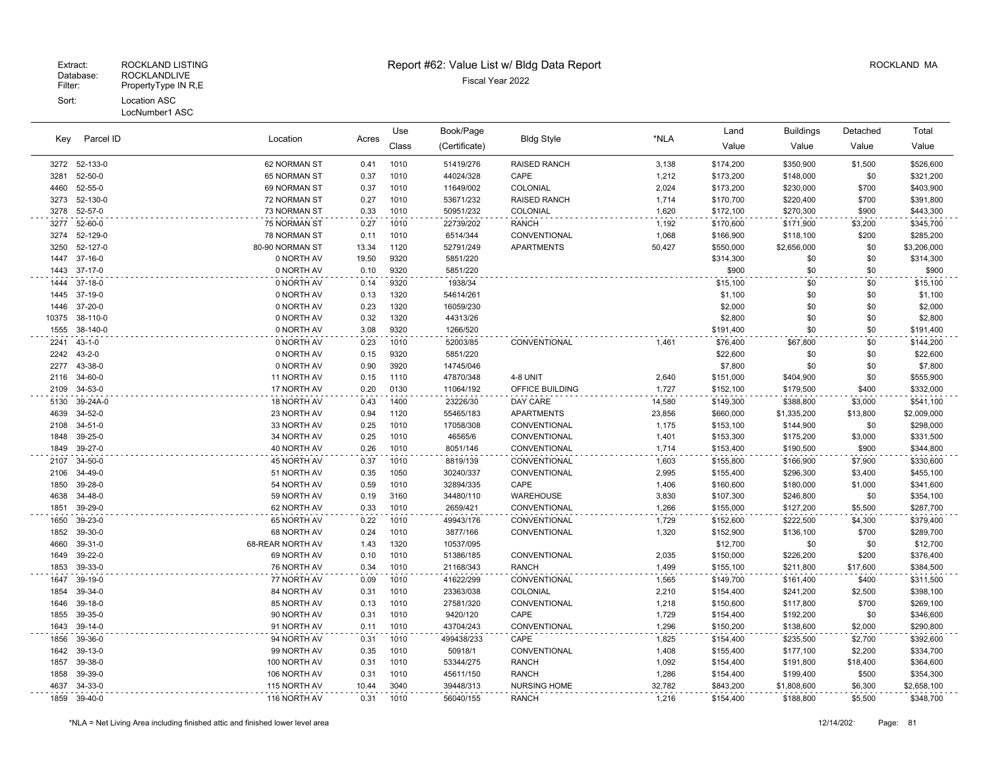| Parcel ID<br>Key |                    | Location                        |              | Use          | Book/Page              |                          |                | Land                   | <b>Buildings</b>       | Detached     | Total                  |
|------------------|--------------------|---------------------------------|--------------|--------------|------------------------|--------------------------|----------------|------------------------|------------------------|--------------|------------------------|
|                  |                    |                                 | Acres        | Class        | (Certificate)          | <b>Bldg Style</b>        | *NLA           | Value                  | Value                  | Value        | Value                  |
|                  | 3272 52-133-0      | 62 NORMAN ST                    | 0.41         | 1010         | 51419/276              | <b>RAISED RANCH</b>      | 3,138          | \$174,200              | \$350,900              | \$1,500      | \$526,600              |
| 3281             | 52-50-0            | 65 NORMAN ST                    | 0.37         | 1010         | 44024/328              | CAPE                     | 1,212          | \$173,200              | \$148,000              | \$0          | \$321,200              |
| 4460             | 52-55-0            | 69 NORMAN ST                    | 0.37         | 1010         | 11649/002              | COLONIAL                 | 2,024          | \$173,200              | \$230,000              | \$700        | \$403,900              |
| 3273             | 52-130-0           | 72 NORMAN ST                    | 0.27         | 1010         | 53671/232              | <b>RAISED RANCH</b>      | 1,714          | \$170,700              | \$220,400              | \$700        | \$391,800              |
| 3278             | 52-57-0            | 73 NORMAN ST                    | 0.33         | 1010         | 50951/232              | <b>COLONIAL</b>          | 1,620          | \$172,100              | \$270,300              | \$900        | \$443,300              |
| 3277             | 52-60-0            | 75 NORMAN ST                    | 0.27         | 1010         | 22739/202              | <b>RANCH</b>             | 1,192          | \$170,600              | \$171,900              | \$3,200      | \$345,700              |
| 3274             | 52-129-0           | 78 NORMAN ST                    | 0.11         | 1010         | 6514/344               | CONVENTIONAL             | 1,068          | \$166,900              | \$118,100              | \$200        | \$285,200              |
| 3250             | 52-127-0           | 80-90 NORMAN ST                 | 13.34        | 1120         | 52791/249              | <b>APARTMENTS</b>        | 50,427         | \$550,000              | \$2,656,000            | \$0          | \$3,206,000            |
| 1447             | 37-16-0            | 0 NORTH AV                      | 19.50        | 9320         | 5851/220               |                          |                | \$314,300              | \$0                    | \$0          | \$314,300              |
| 1443             | $37-17-0$          | 0 NORTH AV                      | 0.10         | 9320         | 5851/220               |                          |                | \$900                  | \$0                    | \$0          | \$900                  |
| 1444             | 37-18-0            | 0 NORTH AV                      | 0.14         | 9320         | 1938/34                |                          |                | \$15,100               | \$0                    | \$0          | \$15,100               |
| 1445             | 37-19-0            | 0 NORTH AV                      | 0.13         | 1320         | 54614/261              |                          |                | \$1,100                | \$0                    | \$0          | \$1,100                |
| 1446             | 37-20-0            | 0 NORTH AV                      | 0.23         | 1320         | 16059/230              |                          |                | \$2,000                | \$0                    | \$0          | \$2,000                |
| 10375            | 38-110-0           | 0 NORTH AV                      | 0.32         | 1320         | 44313/26               |                          |                | \$2,800                | \$0                    | \$0          | \$2,800                |
| 1555             | 38-140-0           | 0 NORTH AV                      | 3.08         | 9320         | 1266/520               |                          |                | \$191,400              | \$0                    | \$0          | \$191,400              |
| 2241             | $43 - 1 - 0$       | 0 NORTH AV                      | 0.23         | 1010         | 52003/85               | CONVENTIONAL             | 1,461          | \$76,400               | \$67,800               | \$0          | \$144,200              |
| 2242             | $43 - 2 - 0$       | 0 NORTH AV                      | 0.15         | 9320         | 5851/220               |                          |                | \$22,600               | \$0                    | \$0          | \$22,600               |
| 2277             | 43-38-0            | 0 NORTH AV                      | 0.90         | 3920         | 14745/046              |                          |                | \$7,800                | \$0                    | \$0          | \$7,800                |
| 2116             | 34-60-0            | 11 NORTH AV                     | 0.15         | 1110         | 47870/348              | 4-8 UNIT                 | 2,640          | \$151,000              | \$404,900              | \$0          | \$555,900              |
| 2109             | 34-53-0            | 17 NORTH AV                     | 0.20         | 0130         | 11064/192              | OFFICE BUILDING          | 1,727          | \$152,100              | \$179,500              | \$400        | \$332,000              |
| 5130             | 39-24A-0           | 18 NORTH AV                     | 0.43         | 1400         | 23226/30               | DAY CARE                 | 14,580         | \$149,300              | \$388,800              | \$3,000      | \$541,100              |
| 4639             | 34-52-0            | 23 NORTH AV                     | 0.94         | 1120         | 55465/183              | <b>APARTMENTS</b>        | 23,856         | \$660,000              | \$1,335,200            | \$13,800     | \$2,009,000            |
| 2108             | 34-51-0            | 33 NORTH AV                     | 0.25         | 1010         | 17058/308              | CONVENTIONAL             | 1,175          | \$153,100              | \$144,900              | \$0          | \$298,000              |
| 1848             | 39-25-0            | 34 NORTH AV                     | 0.25         | 1010         | 46565/6                | CONVENTIONAL             | 1,401          | \$153,300              | \$175,200              | \$3,000      | \$331,500              |
| 1849             | 39-27-0            | 40 NORTH AV                     | 0.26         | 1010         | 8051/146               | CONVENTIONAL             | 1,714          | \$153,400              | \$190,500              | \$900        | \$344,800              |
| 2107             | 34-50-0            | 45 NORTH AV                     | 0.37         | 1010         | 8819/139               | CONVENTIONAL             | 1,603          | \$155,800              | \$166,900              | \$7,900      | \$330,600              |
| 2106             | 34-49-0            | 51 NORTH AV                     | 0.35         | 1050         | 30240/337              | CONVENTIONAL             | 2,995          | \$155,400              | \$296,300              | \$3,400      | \$455,100              |
| 1850             | 39-28-0            | 54 NORTH AV                     | 0.59         | 1010         | 32894/335              | CAPE                     | 1,406          | \$160,600              | \$180,000              | \$1,000      | \$341,600              |
| 4638             | 34-48-0            | 59 NORTH AV                     | 0.19         | 3160         | 34480/110              | <b>WAREHOUSE</b>         | 3,830          | \$107,300              | \$246,800              | \$0          | \$354,100              |
| 1851             | 39-29-0            | 62 NORTH AV                     | 0.33         | 1010         | 2659/421               | CONVENTIONAL             | 1,266          | \$155,000              | \$127,200              | \$5,500      | \$287,700              |
| 1650             | 39-23-0            | 65 NORTH AV                     | 0.22         | 1010         | 49943/176              | CONVENTIONAL             | 1,729          | \$152,600              | \$222,500              | \$4,300      | \$379,400              |
| 1852<br>4660     | 39-30-0<br>39-31-0 | 68 NORTH AV                     | 0.24<br>1.43 | 1010         | 3877/166               | CONVENTIONAL             | 1,320          | \$152,900              | \$136,100              | \$700<br>\$0 | \$289,700              |
| 1649             | 39-22-0            | 68-REAR NORTH AV<br>69 NORTH AV | 0.10         | 1320<br>1010 | 10537/095<br>51386/185 | CONVENTIONAL             | 2,035          | \$12,700<br>\$150,000  | \$0<br>\$226,200       | \$200        | \$12,700<br>\$376,400  |
| 1853             | 39-33-0            | 76 NORTH AV                     | 0.34         | 1010         | 21168/343              | <b>RANCH</b>             | 1,499          | \$155,100              | \$211,800              | \$17,600     | \$384,500              |
|                  |                    |                                 | 0.09         |              |                        |                          |                |                        |                        | \$400        |                        |
| 1647<br>1854     | 39-19-0<br>39-34-0 | 77 NORTH AV<br>84 NORTH AV      | 0.31         | 1010<br>1010 | 41622/299<br>23363/038 | CONVENTIONAL<br>COLONIAL | 1,565<br>2,210 | \$149,700<br>\$154,400 | \$161,400<br>\$241,200 | \$2,500      | \$311,500<br>\$398,100 |
| 1646             | 39-18-0            | 85 NORTH AV                     | 0.13         | 1010         | 27581/320              | CONVENTIONAL             | 1,218          | \$150,600              | \$117,800              | \$700        | \$269,100              |
| 1855             | 39-35-0            | 90 NORTH AV                     | 0.31         | 1010         | 9420/120               | CAPE                     | 1,729          | \$154,400              | \$192,200              | \$0          | \$346,600              |
| 1643             | $39-14-0$          | 91 NORTH AV                     | 0.11         | 1010         | 43704/243              | CONVENTIONAL             | 1,296          | \$150,200              | \$138,600              | \$2,000      | \$290,800              |
| 1856             | 39-36-0            | 94 NORTH AV                     | 0.31         | 1010         | 499438/233             | CAPE                     | 1,825          | \$154,400              | \$235,500              | \$2,700      | \$392,600              |
| 1642             | 39-13-0            | 99 NORTH AV                     | 0.35         | 1010         | 50918/1                | CONVENTIONAL             | 1,408          | \$155,400              | \$177,100              | \$2,200      | \$334,700              |
| 1857             | 39-38-0            | 100 NORTH AV                    | 0.31         | 1010         | 53344/275              | <b>RANCH</b>             | 1,092          | \$154,400              | \$191,800              | \$18,400     | \$364,600              |
| 1858             | 39-39-0            | 106 NORTH AV                    | 0.31         | 1010         | 45611/150              | <b>RANCH</b>             | 1,286          | \$154,400              | \$199,400              | \$500        | \$354,300              |
| 4637             | 34-33-0            | 115 NORTH AV                    | 10.44        | 3040         | 39448/313              | <b>NURSING HOME</b>      | 32,782         | \$843,200              | \$1,808,600            | \$6,300      | \$2,658,100            |
| 1859             | 39-40-0            | 116 NORTH AV                    | 0.31         | 1010         | 56040/155              | <b>RANCH</b>             | 1,216          | \$154,400              | \$188,800              | \$5,500      | \$348,700              |
|                  |                    |                                 |              |              |                        |                          |                |                        |                        |              |                        |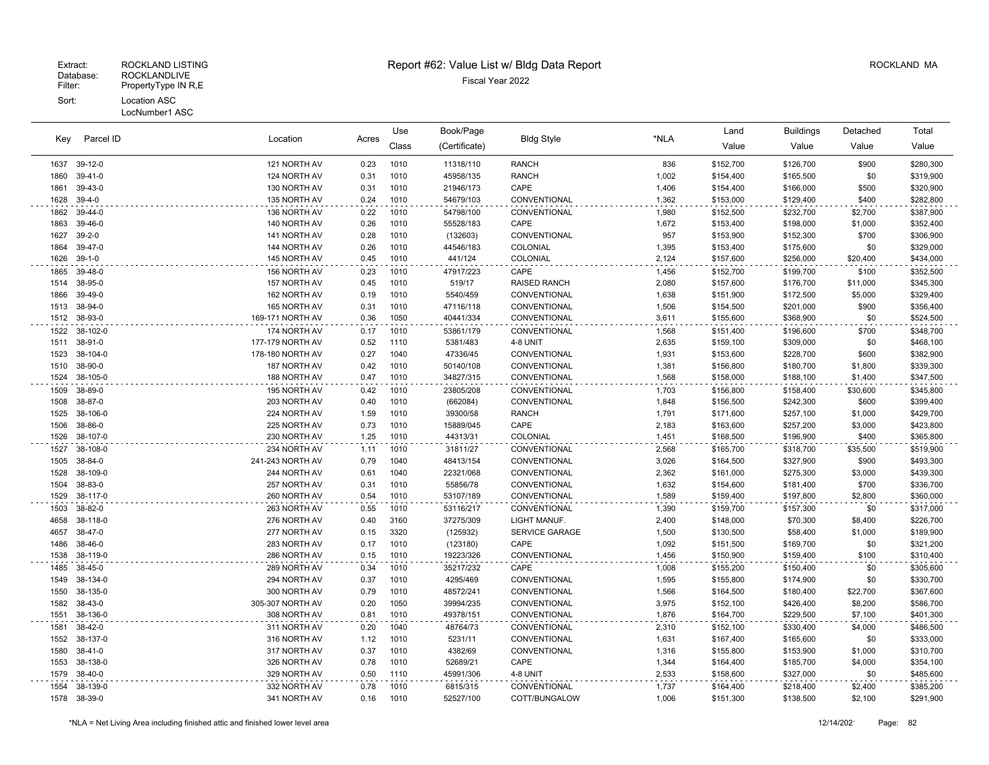| Parcel ID<br>Key |                     | Location                     |              | Use          | Book/Page             | <b>Bldg Style</b>             |                | Land                   | <b>Buildings</b>       | Detached           | Total                  |
|------------------|---------------------|------------------------------|--------------|--------------|-----------------------|-------------------------------|----------------|------------------------|------------------------|--------------------|------------------------|
|                  |                     |                              | Acres        | Class        | (Certificate)         |                               | *NLA           | Value                  | Value                  | Value              | Value                  |
| 1637             | 39-12-0             | 121 NORTH AV                 | 0.23         | 1010         | 11318/110             | <b>RANCH</b>                  | 836            | \$152,700              | \$126,700              | \$900              | \$280,300              |
| 1860             | 39-41-0             | 124 NORTH AV                 | 0.31         | 1010         | 45958/135             | <b>RANCH</b>                  | 1,002          | \$154,400              | \$165,500              | \$0                | \$319,900              |
| 1861             | 39-43-0             | 130 NORTH AV                 | 0.31         | 1010         | 21946/173             | CAPE                          | 1,406          | \$154,400              | \$166,000              | \$500              | \$320,900              |
| 1628             | $39-4-0$            | 135 NORTH AV                 | 0.24         | 1010         | 54679/103             | CONVENTIONAL                  | 1,362          | \$153,000              | \$129,400              | \$400              | \$282,800              |
| 1862             | 39-44-0             | 136 NORTH AV                 | 0.22         | 1010         | 54798/100             | CONVENTIONAL                  | 1,980          | \$152,500              | \$232,700              | \$2,700            | \$387,900              |
| 1863             | 39-46-0             | 140 NORTH AV                 | 0.26         | 1010         | 55528/183             | CAPE                          | 1,672          | \$153,400              | \$198,000              | \$1,000            | \$352,400              |
| 1627             | $39 - 2 - 0$        | 141 NORTH AV                 | 0.28         | 1010         | (132603)              | CONVENTIONAL                  | 957            | \$153,900              | \$152,300              | \$700              | \$306,900              |
| 1864             | 39-47-0             | 144 NORTH AV                 | 0.26         | 1010         | 44546/183             | COLONIAL                      | 1,395          | \$153,400              | \$175,600              | \$0                | \$329,000              |
| 1626             | $39-1-0$            | 145 NORTH AV                 | 0.45         | 1010         | 441/124               | COLONIAL                      | 2,124          | \$157,600              | \$256,000              | \$20,400           | \$434,000              |
| 1865             | 39-48-0             | 156 NORTH AV                 | 0.23         | 1010         | 47917/223             | CAPE                          | 1,456          | \$152,700              | \$199,700              | \$100              | \$352,500              |
| 1514             | 38-95-0             | 157 NORTH AV                 | 0.45         | 1010         | 519/17                | <b>RAISED RANCH</b>           | 2,080          | \$157,600              | \$176,700              | \$11,000           | \$345,300              |
| 1866             | 39-49-0             | 162 NORTH AV                 | 0.19         | 1010         | 5540/459              | CONVENTIONAL                  | 1,638          | \$151,900              | \$172,500              | \$5,000            | \$329,400              |
| 1513             | 38-94-0             | 165 NORTH AV                 | 0.31         | 1010         | 47116/118             | CONVENTIONAL                  | 1,506          | \$154,500              | \$201,000              | \$900              | \$356,400              |
| 1512             | 38-93-0             | 169-171 NORTH AV             | 0.36         | 1050         | 40441/334             | CONVENTIONAL                  | 3,611          | \$155,600              | \$368,900              | \$0                | \$524,500              |
| 1522             | 38-102-0            | 174 NORTH AV                 | 0.17         | 1010         | 53861/179             | CONVENTIONAL                  | 1,568          | \$151,400              | \$196,600              | \$700              | \$348,700              |
| 1511             | 38-91-0             | 177-179 NORTH AV             | 0.52         | 1110         | 5381/483              | 4-8 UNIT                      | 2,635          | \$159,100              | \$309,000              | \$0                | \$468,100              |
| 1523             | 38-104-0            | 178-180 NORTH AV             | 0.27         | 1040         | 47336/45              | CONVENTIONAL                  | 1,931          | \$153,600              | \$228,700              | \$600              | \$382,900              |
| 1510             | 38-90-0             | 187 NORTH AV                 | 0.42         | 1010         | 50140/108             | CONVENTIONAL                  | 1,381          | \$156,800              | \$180,700              | \$1,800            | \$339,300              |
| 1524             | 38-105-0            | 188 NORTH AV                 | 0.47         | 1010         | 34827/315             | CONVENTIONAL                  | 1,568          | \$158,000              | \$188,100              | \$1,400            | \$347,500              |
| 1509             | 38-89-0             | 195 NORTH AV                 | 0.42         | 1010         | 23805/208             | CONVENTIONAL                  | 1,703          | \$156,800              | \$158,400              | \$30,600           | \$345,800              |
| 1508             | 38-87-0             | 203 NORTH AV                 | 0.40         | 1010         | (662084)              | CONVENTIONAL                  | 1,848          | \$156,500              | \$242,300              | \$600              | \$399,400              |
| 1525             | 38-106-0            | 224 NORTH AV                 | 1.59         | 1010         | 39300/58              | <b>RANCH</b>                  | 1,791          | \$171,600              | \$257,100              | \$1,000            | \$429,700              |
| 1506             | 38-86-0             | 225 NORTH AV                 | 0.73         | 1010         | 15889/045             | CAPE                          | 2,183          | \$163,600              | \$257,200              | \$3,000            | \$423,800              |
| 1526             | 38-107-0            | 230 NORTH AV                 | 1.25         | 1010         | 44313/31              | COLONIAL                      | 1,451          | \$168,500              | \$196,900              | \$400              | \$365,800              |
| 1527             | 38-108-0            | 234 NORTH AV                 | 1.11         | 1010         | 31811/27              | CONVENTIONAL                  | 2,568          | \$165,700              | \$318,700              | \$35,500           | \$519,900              |
| 1505             | 38-84-0             | 241-243 NORTH AV             | 0.79         | 1040         | 48413/154             | CONVENTIONAL                  | 3,026          | \$164,500              | \$327,900              | \$900              | \$493,300              |
| 1528             | 38-109-0            | 244 NORTH AV                 | 0.61         | 1040         | 22321/068             | CONVENTIONAL                  | 2,362          | \$161,000              | \$275,300              | \$3,000            | \$439,300              |
| 1504             | 38-83-0             | 257 NORTH AV                 | 0.31         | 1010         | 55856/78              | CONVENTIONAL                  | 1,632          | \$154,600              | \$181,400              | \$700              | \$336,700              |
| 1529             | 38-117-0            | 260 NORTH AV                 | 0.54         | 1010         | 53107/189             | CONVENTIONAL                  | 1,589          | \$159,400              | \$197,800              | \$2,800            | \$360,000              |
| 1503             | 38-82-0             | 263 NORTH AV                 | 0.55         | 1010         | 53116/217             | CONVENTIONAL                  | 1,390          | \$159,700              | \$157,300              | \$0                | \$317,000              |
| 4658             | 38-118-0            | 276 NORTH AV                 | 0.40         | 3160         | 37275/309             | LIGHT MANUF.                  | 2,400          | \$148,000              | \$70,300               | \$8,400            | \$226,700              |
| 4657             | 38-47-0             | 277 NORTH AV                 | 0.15         | 3320         | (125932)              | <b>SERVICE GARAGE</b>         | 1,500          | \$130,500              | \$58,400               | \$1,000            | \$189,900              |
| 1486             | 38-46-0             | 283 NORTH AV                 | 0.17         | 1010         | (123180)              | CAPE                          | 1,092          | \$151,500              | \$169,700              | \$0                | \$321,200              |
| 1538             | 38-119-0            | 286 NORTH AV                 | 0.15         | 1010         | 19223/326             | CONVENTIONAL                  | 1,456          | \$150,900              | \$159,400              | \$100              | \$310,400              |
| 1485             | 38-45-0             | 289 NORTH AV                 | 0.34         | 1010         | 35217/232             | CAPE                          | 1,008          | \$155,200              | \$150,400              | \$0                | \$305,600              |
| 1549             | 38-134-0            | 294 NORTH AV                 | 0.37         | 1010         | 4295/469              | CONVENTIONAL                  | 1,595          | \$155,800              | \$174,900              | \$0                | \$330,700              |
| 1550             | 38-135-0            | 300 NORTH AV                 | 0.79         | 1010         | 48572/241             | CONVENTIONAL                  | 1,566          | \$164,500              | \$180,400              | \$22,700           | \$367,600              |
| 1582             | 38-43-0             | 305-307 NORTH AV             | 0.20         | 1050         | 39994/235             | CONVENTIONAL                  | 3,975          | \$152,100              | \$426,400              | \$8,200            | \$586,700              |
| 1551             | 38-136-0            | 308 NORTH AV                 | 0.81         | 1010         | 49378/151             | <b>CONVENTIONAL</b>           | 1,876          | \$164,700              | \$229.500              | \$7,100            | \$401,300              |
| 1581             | 38-42-0             | 311 NORTH AV                 | 0.20         | 1040         | 48764/73              | CONVENTIONAL                  | 2,310          | \$152,100              | \$330,400              | \$4,000            | \$486,500              |
| 1552             | 38-137-0            | 316 NORTH AV                 | 1.12         | 1010         | 5231/11               | CONVENTIONAL                  | 1,631          | \$167,400              | \$165,600              | \$0                | \$333,000              |
| 1580             | $38 - 41 - 0$       | 317 NORTH AV                 | 0.37         | 1010         | 4382/69               | CONVENTIONAL                  | 1,316          | \$155,800              | \$153,900              | \$1,000            | \$310,700              |
| 1553             | 38-138-0            | 326 NORTH AV                 | 0.78         | 1010         | 52689/21              | CAPE                          | 1,344          | \$164,400              | \$185,700              | \$4,000            | \$354,100              |
| 1579             | 38-40-0             | 329 NORTH AV                 | 0.50         | 1110         | 45991/306             | 4-8 UNIT                      | 2,533          | \$158,600              | \$327,000              | \$0                | \$485,600              |
| 1554<br>1578     | 38-139-0<br>38-39-0 | 332 NORTH AV<br>341 NORTH AV | 0.78<br>0.16 | 1010<br>1010 | 6815/315<br>52527/100 | CONVENTIONAL<br>COTT/BUNGALOW | 1,737<br>1.006 | \$164,400<br>\$151,300 | \$218,400<br>\$138,500 | \$2,400<br>\$2,100 | \$385,200<br>\$291,900 |
|                  |                     |                              |              |              |                       |                               |                |                        |                        |                    |                        |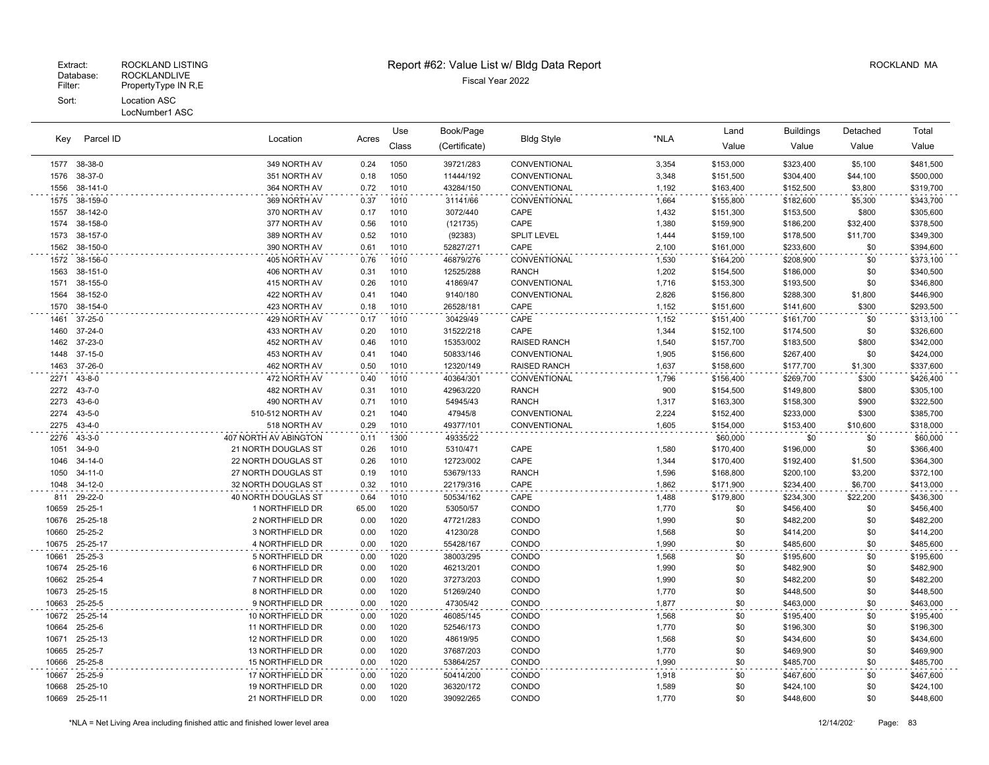#### LocNumber1 ASC

|       | Parcel ID<br>Kev | Location              |       | Use   | Book/Page     | <b>Bldg Style</b>   |       | Land      | <b>Buildings</b> | Detached | Total     |
|-------|------------------|-----------------------|-------|-------|---------------|---------------------|-------|-----------|------------------|----------|-----------|
|       |                  |                       | Acres | Class | (Certificate) |                     | *NLA  | Value     | Value            | Value    | Value     |
| 1577  | 38-38-0          | 349 NORTH AV          | 0.24  | 1050  | 39721/283     | CONVENTIONAL        | 3,354 | \$153,000 | \$323,400        | \$5,100  | \$481,500 |
| 1576  | 38-37-0          | 351 NORTH AV          | 0.18  | 1050  | 11444/192     | CONVENTIONAL        | 3,348 | \$151,500 | \$304,400        | \$44,100 | \$500,000 |
| 1556  | 38-141-0         | 364 NORTH AV          | 0.72  | 1010  | 43284/150     | CONVENTIONAL        | 1,192 | \$163,400 | \$152,500        | \$3,800  | \$319,700 |
| 1575  | 38-159-0         | 369 NORTH AV          | 0.37  | 1010  | 31141/66      | CONVENTIONAL        | 1,664 | \$155,800 | \$182,600        | \$5,300  | \$343,700 |
| 1557  | 38-142-0         | 370 NORTH AV          | 0.17  | 1010  | 3072/440      | CAPE                | 1,432 | \$151,300 | \$153,500        | \$800    | \$305,600 |
| 1574  | 38-158-0         | 377 NORTH AV          | 0.56  | 1010  | (121735)      | CAPE                | 1,380 | \$159,900 | \$186,200        | \$32,400 | \$378,500 |
| 1573  | 38-157-0         | 389 NORTH AV          | 0.52  | 1010  | (92383)       | <b>SPLIT LEVEL</b>  | 1,444 | \$159,100 | \$178,500        | \$11,700 | \$349,300 |
| 1562  | 38-150-0         | 390 NORTH AV          | 0.61  | 1010  | 52827/271     | CAPE                | 2,100 | \$161,000 | \$233,600        | \$0      | \$394,600 |
| 1572  | 38-156-0         | 405 NORTH AV          | 0.76  | 1010  | 46879/276     | CONVENTIONAL        | 1,530 | \$164,200 | \$208,900        | \$0      | \$373,100 |
| 1563  | 38-151-0         | 406 NORTH AV          | 0.31  | 1010  | 12525/288     | <b>RANCH</b>        | 1,202 | \$154,500 | \$186,000        | \$0      | \$340,500 |
| 1571  | 38-155-0         | 415 NORTH AV          | 0.26  | 1010  | 41869/47      | CONVENTIONAL        | 1,716 | \$153,300 | \$193,500        | \$0      | \$346,800 |
| 1564  | 38-152-0         | 422 NORTH AV          | 0.41  | 1040  | 9140/180      | CONVENTIONAL        | 2,826 | \$156,800 | \$288,300        | \$1,800  | \$446,900 |
| 1570  | 38-154-0         | 423 NORTH AV          | 0.18  | 1010  | 26528/181     | CAPE                | 1,152 | \$151,600 | \$141,600        | \$300    | \$293,500 |
| 1461  | $37 - 25 - 0$    | 429 NORTH AV          | 0.17  | 1010  | 30429/49      | CAPE                | 1,152 | \$151,400 | \$161,700        | \$0      | \$313,100 |
| 1460  | $37 - 24 - 0$    | 433 NORTH AV          | 0.20  | 1010  | 31522/218     | CAPE                | 1,344 | \$152,100 | \$174,500        | \$0      | \$326,600 |
| 1462  | 37-23-0          | 452 NORTH AV          | 0.46  | 1010  | 15353/002     | <b>RAISED RANCH</b> | 1,540 | \$157,700 | \$183,500        | \$800    | \$342,000 |
| 1448  | $37-15-0$        | 453 NORTH AV          | 0.41  | 1040  | 50833/146     | CONVENTIONAL        | 1,905 | \$156,600 | \$267,400        | \$0      | \$424,000 |
| 1463  | 37-26-0          | 462 NORTH AV          | 0.50  | 1010  | 12320/149     | <b>RAISED RANCH</b> | 1,637 | \$158,600 | \$177,700        | \$1,300  | \$337,600 |
| 2271  | $43 - 8 - 0$     | 472 NORTH AV          | 0.40  | 1010  | 40364/301     | CONVENTIONAL        | 1,796 | \$156,400 | \$269,700        | \$300    | \$426,400 |
| 2272  | $43 - 7 - 0$     | 482 NORTH AV          | 0.31  | 1010  | 42963/220     | <b>RANCH</b>        | 900   | \$154,500 | \$149,800        | \$800    | \$305,100 |
| 2273  | $43 - 6 - 0$     | 490 NORTH AV          | 0.71  | 1010  | 54945/43      | <b>RANCH</b>        | 1,317 | \$163,300 | \$158,300        | \$900    | \$322,500 |
| 2274  | $43 - 5 - 0$     | 510-512 NORTH AV      | 0.21  | 1040  | 47945/8       | CONVENTIONAL        | 2,224 | \$152,400 | \$233,000        | \$300    | \$385,700 |
| 2275  | $43 - 4 - 0$     | 518 NORTH AV          | 0.29  | 1010  | 49377/101     | CONVENTIONAL        | 1,605 | \$154,000 | \$153,400        | \$10,600 | \$318,000 |
| 2276  | $43 - 3 - 0$     | 407 NORTH AV ABINGTON | 0.11  | 1300  | 49335/22      |                     |       | \$60,000  | \$0              | \$0      | \$60,000  |
| 1051  | $34 - 9 - 0$     | 21 NORTH DOUGLAS ST   | 0.26  | 1010  | 5310/471      | CAPE                | 1,580 | \$170,400 | \$196,000        | \$0      | \$366,400 |
| 1046  | $34 - 14 - 0$    | 22 NORTH DOUGLAS ST   | 0.26  | 1010  | 12723/002     | CAPE                | 1,344 | \$170,400 | \$192,400        | \$1,500  | \$364,300 |
| 1050  | $34 - 11 - 0$    | 27 NORTH DOUGLAS ST   | 0.19  | 1010  | 53679/133     | <b>RANCH</b>        | 1,596 | \$168,800 | \$200,100        | \$3,200  | \$372,100 |
| 1048  | $34-12-0$        | 32 NORTH DOUGLAS ST   | 0.32  | 1010  | 22179/316     | CAPE                | 1,862 | \$171,900 | \$234,400        | \$6,700  | \$413,000 |
| 811   | 29-22-0          | 40 NORTH DOUGLAS ST   | 0.64  | 1010  | 50534/162     | CAPE                | 1,488 | \$179,800 | \$234,300        | \$22,200 | \$436,300 |
| 10659 | $25 - 25 - 1$    | 1 NORTHFIELD DR       | 65.00 | 1020  | 53050/57      | CONDO               | 1,770 | \$0       | \$456,400        | \$0      | \$456,400 |
| 10676 | 25-25-18         | 2 NORTHFIELD DR       | 0.00  | 1020  | 47721/283     | CONDO               | 1,990 | \$0       | \$482,200        | \$0      | \$482,200 |
| 10660 | 25-25-2          | 3 NORTHFIELD DR       | 0.00  | 1020  | 41230/28      | CONDO               | 1,568 | \$0       | \$414,200        | \$0      | \$414,200 |
| 10675 | 25-25-17         | 4 NORTHFIELD DR       | 0.00  | 1020  | 55428/167     | CONDO               | 1.990 | \$0       | \$485,600        | \$0      | \$485,600 |
| 10661 | $25 - 25 - 3$    | 5 NORTHFIELD DR       | 0.00  | 1020  | 38003/295     | CONDO               | 1,568 | \$0       | \$195,600        | \$0      | \$195,600 |
| 10674 | 25-25-16         | 6 NORTHFIELD DR       | 0.00  | 1020  | 46213/201     | CONDO               | 1,990 | \$0       | \$482,900        | \$0      | \$482,900 |
| 10662 | 25-25-4          | 7 NORTHFIELD DR       | 0.00  | 1020  | 37273/203     | CONDO               | 1,990 | \$0       | \$482,200        | \$0      | \$482,200 |
| 10673 | 25-25-15         | 8 NORTHFIELD DR       | 0.00  | 1020  | 51269/240     | CONDO               | 1,770 | \$0       | \$448,500        | \$0      | \$448,500 |
| 10663 | $25 - 25 - 5$    | 9 NORTHFIELD DR       | 0.00  | 1020  | 47305/42      | CONDO               | 1,877 | \$0       | \$463,000        | \$0      | \$463,000 |
| 10672 | 25-25-14         | 10 NORTHFIELD DR      | 0.00  | 1020  | 46085/145     | CONDO               | 1,568 | \$0       | \$195,400        | \$0      | \$195,400 |
| 10664 | 25-25-6          | 11 NORTHFIELD DR      | 0.00  | 1020  | 52546/173     | CONDO               | 1,770 | \$0       | \$196,300        | \$0      | \$196,300 |
| 10671 | 25-25-13         | 12 NORTHFIELD DR      | 0.00  | 1020  | 48619/95      | CONDO               | 1,568 | \$0       | \$434,600        | \$0      | \$434,600 |
| 10665 | $25 - 25 - 7$    | 13 NORTHFIELD DR      | 0.00  | 1020  | 37687/203     | CONDO               | 1,770 | \$0       | \$469,900        | \$0      | \$469,900 |
| 10666 | $25 - 25 - 8$    | 15 NORTHFIELD DR      | 0.00  | 1020  | 53864/257     | CONDO               | 1,990 | \$0       | \$485,700        | \$0      | \$485,700 |
| 10667 | 25-25-9          | 17 NORTHFIELD DR      | 0.00  | 1020  | 50414/200     | CONDO               | 1,918 | \$0       | \$467,600        | \$0      | \$467,600 |
| 10668 | 25-25-10         | 19 NORTHFIELD DR      | 0.00  | 1020  | 36320/172     | CONDO               | 1,589 | \$0       | \$424,100        | \$0      | \$424,100 |
| 10669 | 25-25-11         | 21 NORTHFIELD DR      | 0.00  | 1020  | 39092/265     | CONDO               | 1,770 | \$0       | \$448,600        | \$0      | \$448,600 |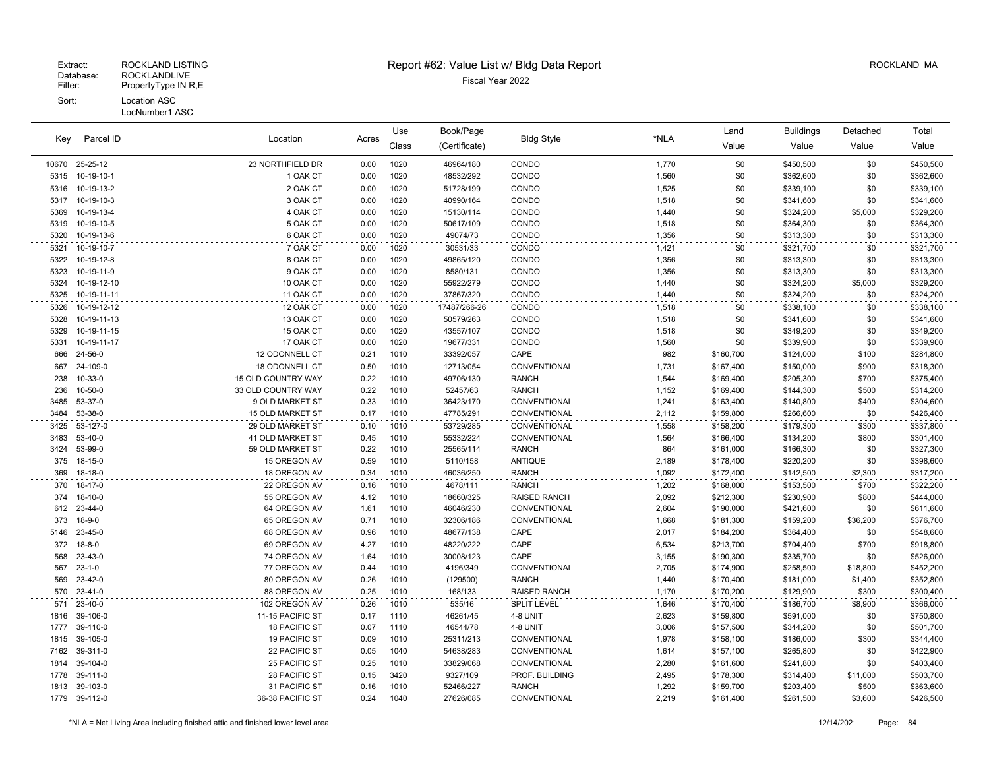# Extract: ROCKLAND LISTING **Report #62: Value List w/ Bldg Data Report** Allem Report ROCKLAND MA

| Parcel ID<br>Key |                 |                      | Use   | Book/Page | <b>Bldg Style</b> |                     | Land  | <b>Buildings</b> | Detached  | Total    |           |
|------------------|-----------------|----------------------|-------|-----------|-------------------|---------------------|-------|------------------|-----------|----------|-----------|
|                  |                 | Location             | Acres | Class     | (Certificate)     |                     | *NLA  | Value            | Value     | Value    | Value     |
|                  | 10670 25-25-12  | 23 NORTHFIELD DR     | 0.00  | 1020      | 46964/180         | CONDO               | 1,770 | \$0              | \$450,500 | \$0      | \$450,500 |
| 5315             | 10-19-10-1      | 1 OAK CT             | 0.00  | 1020      | 48532/292         | CONDO               | 1,560 | \$0              | \$362,600 | \$0      | \$362,600 |
|                  | 5316 10-19-13-2 | 2 OAK CT             | 0.00  | 1020      | 51728/199         | CONDO               | 1,525 | \$0              | \$339,100 | \$0      | \$339,100 |
| 5317             | 10-19-10-3      | 3 OAK CT             | 0.00  | 1020      | 40990/164         | CONDO               | 1,518 | \$0              | \$341,600 | \$0      | \$341,600 |
| 5369             | 10-19-13-4      | 4 OAK CT             | 0.00  | 1020      | 15130/114         | CONDO               | 1,440 | \$0              | \$324,200 | \$5,000  | \$329,200 |
| 5319             | 10-19-10-5      | 5 OAK CT             | 0.00  | 1020      | 50617/109         | CONDO               | 1,518 | \$0              | \$364,300 | \$0      | \$364,300 |
| 5320             | 10-19-13-6      | 6 OAK CT             | 0.00  | 1020      | 49074/73          | CONDO               | 1,356 | \$0              | \$313,300 | \$0      | \$313,300 |
| 5321             | 10-19-10-7      | 7 OAK CT             | 0.00  | 1020      | 30531/33          | CONDO               | 1,421 | \$0              | \$321,700 | \$0      | \$321,700 |
| 5322             | 10-19-12-8      | 8 OAK CT             | 0.00  | 1020      | 49865/120         | CONDO               | 1,356 | \$0              | \$313,300 | \$0      | \$313,300 |
| 5323             | 10-19-11-9      | 9 OAK CT             | 0.00  | 1020      | 8580/131          | CONDO               | 1,356 | \$0              | \$313,300 | \$0      | \$313,300 |
| 5324             | 10-19-12-10     | 10 OAK CT            | 0.00  | 1020      | 55922/279         | CONDO               | 1,440 | \$0              | \$324,200 | \$5,000  | \$329,200 |
| 5325             | 10-19-11-11     | 11 OAK CT            | 0.00  | 1020      | 37867/320         | CONDO               | 1,440 | \$0              | \$324,200 | \$0      | \$324,200 |
| 5326             | 10-19-12-12     | 12 OAK CT            | 0.00  | 1020      | 17487/266-26      | CONDO               | 1,518 | \$0              | \$338,100 | \$0      | \$338,100 |
| 5328             | 10-19-11-13     | 13 OAK CT            | 0.00  | 1020      | 50579/263         | CONDO               | 1,518 | \$0              | \$341,600 | \$0      | \$341,600 |
| 5329             | 10-19-11-15     | 15 OAK CT            | 0.00  | 1020      | 43557/107         | CONDO               | 1,518 | \$0              | \$349,200 | \$0      | \$349,200 |
| 5331             | 10-19-11-17     | 17 OAK CT            | 0.00  | 1020      | 19677/331         | CONDO               | 1,560 | \$0              | \$339,900 | \$0      | \$339,900 |
| 666              | 24-56-0         | 12 ODONNELL CT       | 0.21  | 1010      | 33392/057         | CAPE                | 982   | \$160,700        | \$124,000 | \$100    | \$284,800 |
| 667              | 24-109-0        | 18 ODONNELL CT       | 0.50  | 1010      | 12713/054         | CONVENTIONAL        | 1,731 | \$167,400        | \$150,000 | \$900    | \$318,300 |
| 238              | 10-33-0         | 15 OLD COUNTRY WAY   | 0.22  | 1010      | 49706/130         | <b>RANCH</b>        | 1,544 | \$169,400        | \$205,300 | \$700    | \$375,400 |
| 236              | 10-50-0         | 33 OLD COUNTRY WAY   | 0.22  | 1010      | 52457/63          | <b>RANCH</b>        | 1,152 | \$169,400        | \$144,300 | \$500    | \$314,200 |
| 3485             | 53-37-0         | 9 OLD MARKET ST      | 0.33  | 1010      | 36423/170         | CONVENTIONAL        | 1,241 | \$163,400        | \$140,800 | \$400    | \$304,600 |
| 3484             | 53-38-0         | 15 OLD MARKET ST     | 0.17  | 1010      | 47785/291         | CONVENTIONAL        | 2,112 | \$159,800        | \$266,600 | \$0      | \$426,400 |
| 3425             | 53-127-0        | 29 OLD MARKET ST     | 0.10  | 1010      | 53729/285         | CONVENTIONAL        | 1,558 | \$158,200        | \$179,300 | \$300    | \$337,800 |
| 3483             | 53-40-0         | 41 OLD MARKET ST     | 0.45  | 1010      | 55332/224         | CONVENTIONAL        | 1,564 | \$166,400        | \$134,200 | \$800    | \$301,400 |
| 3424             | 53-99-0         | 59 OLD MARKET ST     | 0.22  | 1010      | 25565/114         | <b>RANCH</b>        | 864   | \$161,000        | \$166,300 | \$0      | \$327,300 |
| 375              | 18-15-0         | 15 OREGON AV         | 0.59  | 1010      | 5110/158          | <b>ANTIQUE</b>      | 2,189 | \$178,400        | \$220,200 | \$0      | \$398,600 |
| 369              | 18-18-0         | 18 OREGON AV         | 0.34  | 1010      | 46036/250         | <b>RANCH</b>        | 1,092 | \$172,400        | \$142,500 | \$2,300  | \$317,200 |
|                  | 370 18-17-0     | 22 OREGON AV         | 0.16  | 1010      | 4678/111          | <b>RANCH</b>        | 1,202 | \$168,000        | \$153,500 | \$700    | \$322,200 |
| 374              | 18-10-0         | 55 OREGON AV         | 4.12  | 1010      | 18660/325         | <b>RAISED RANCH</b> | 2,092 | \$212,300        | \$230,900 | \$800    | \$444,000 |
| 612              | 23-44-0         | 64 OREGON AV         | 1.61  | 1010      | 46046/230         | CONVENTIONAL        | 2,604 | \$190,000        | \$421,600 | \$0      | \$611,600 |
| 373              | $18 - 9 - 0$    | 65 OREGON AV         | 0.71  | 1010      | 32306/186         | CONVENTIONAL        | 1,668 | \$181,300        | \$159,200 | \$36,200 | \$376,700 |
| 5146             | 23-45-0         | 68 OREGON AV         | 0.96  | 1010      | 48677/138         | CAPE                | 2,017 | \$184,200        | \$364,400 | \$0      | \$548,600 |
| 372              | $18 - 8 - 0$    | 69 OREGON AV         | 4.27  | 1010      | 48220/222         | CAPE                | 6,534 | \$213,700        | \$704,400 | \$700    | \$918,800 |
| 568              | 23-43-0         | 74 OREGON AV         | 1.64  | 1010      | 30008/123         | CAPE                | 3,155 | \$190,300        | \$335,700 | \$0      | \$526,000 |
| 567              | $23 - 1 - 0$    | 77 OREGON AV         | 0.44  | 1010      | 4196/349          | CONVENTIONAL        | 2,705 | \$174,900        | \$258,500 | \$18,800 | \$452,200 |
| 569              | 23-42-0         | 80 OREGON AV         | 0.26  | 1010      | (129500)          | <b>RANCH</b>        | 1,440 | \$170,400        | \$181,000 | \$1,400  | \$352,800 |
| 570              | 23-41-0         | 88 OREGON AV         | 0.25  | 1010      | 168/133           | <b>RAISED RANCH</b> | 1,170 | \$170,200        | \$129,900 | \$300    | \$300,400 |
| 571              | 23-40-0         | 102 OREGON AV        | 0.26  | 1010      | 535/16            | <b>SPLIT LEVEL</b>  | 1,646 | \$170,400        | \$186,700 | \$8,900  | \$366,000 |
| 1816             | 39-106-0        | 11-15 PACIFIC ST     | 0.17  | 1110      | 46261/45          | 4-8 UNIT            | 2,623 | \$159,800        | \$591,000 | \$0      | \$750,800 |
| 1777             | 39-110-0        | 18 PACIFIC ST        | 0.07  | 1110      | 46544/78          | 4-8 UNIT            | 3,006 | \$157,500        | \$344,200 | \$0      | \$501,700 |
| 1815             | 39-105-0        | <b>19 PACIFIC ST</b> | 0.09  | 1010      | 25311/213         | CONVENTIONAL        | 1,978 | \$158,100        | \$186,000 | \$300    | \$344,400 |
| 7162             | 39-311-0        | 22 PACIFIC ST        | 0.05  | 1040      | 54638/283         | CONVENTIONAL        | 1,614 | \$157,100        | \$265,800 | \$0      | \$422,900 |
| 1814             | 39-104-0        | 25 PACIFIC ST        | 0.25  | 1010      | 33829/068         | CONVENTIONAL        | 2,280 | \$161,600        | \$241,800 | \$0      | \$403,400 |
| 1778             | 39-111-0        | 28 PACIFIC ST        | 0.15  | 3420      | 9327/109          | PROF. BUILDING      | 2,495 | \$178,300        | \$314,400 | \$11,000 | \$503,700 |
| 1813             | 39-103-0        | 31 PACIFIC ST        | 0.16  | 1010      | 52466/227         | <b>RANCH</b>        | 1,292 | \$159,700        | \$203,400 | \$500    | \$363,600 |
|                  | 1779 39-112-0   | 36-38 PACIFIC ST     | 0.24  | 1040      | 27626/085         | CONVENTIONAL        | 2,219 | \$161,400        | \$261,500 | \$3,600  | \$426,500 |

\*NLA = Net Living Area including finished attic and finished lower level area 12/14/202 Page: 84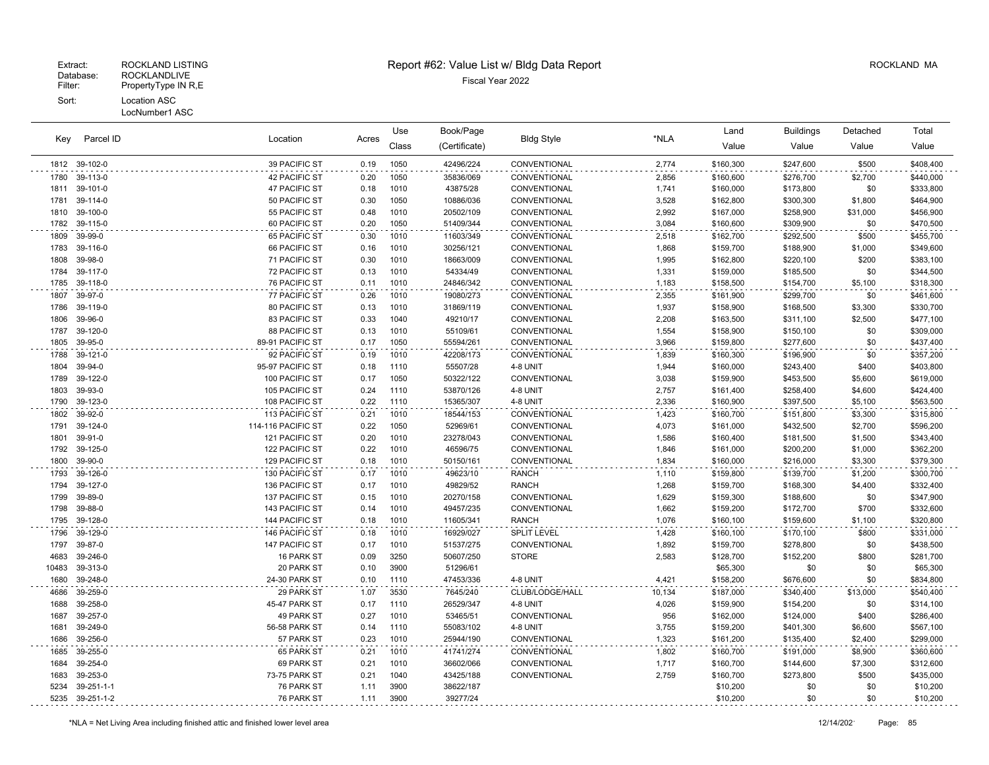|       | Parcel ID<br>Key | Location<br>Acres    |      | Use   | Book/Page     | <b>Bldg Style</b>  |        | Land      | <b>Buildings</b> | Detached | Total     |
|-------|------------------|----------------------|------|-------|---------------|--------------------|--------|-----------|------------------|----------|-----------|
|       |                  |                      |      | Class | (Certificate) |                    | *NLA   | Value     | Value            | Value    | Value     |
|       | 1812 39-102-0    | 39 PACIFIC ST        | 0.19 | 1050  | 42496/224     | CONVENTIONAL       | 2,774  | \$160,300 | \$247,600        | \$500    | \$408,400 |
| 1780  | 39-113-0         | <b>42 PACIFIC ST</b> | 0.20 | 1050  | 35836/069     | CONVENTIONAL       | 2,856  | \$160,600 | \$276,700        | \$2,700  | \$440,000 |
| 1811  | 39-101-0         | <b>47 PACIFIC ST</b> | 0.18 | 1010  | 43875/28      | CONVENTIONAL       | 1,741  | \$160,000 | \$173,800        | \$0      | \$333,800 |
| 1781  | 39-114-0         | 50 PACIFIC ST        | 0.30 | 1050  | 10886/036     | CONVENTIONAL       | 3,528  | \$162,800 | \$300,300        | \$1,800  | \$464,900 |
| 1810  | 39-100-0         | 55 PACIFIC ST        | 0.48 | 1010  | 20502/109     | CONVENTIONAL       | 2,992  | \$167,000 | \$258,900        | \$31,000 | \$456,900 |
| 1782  | 39-115-0         | 60 PACIFIC ST        | 0.20 | 1050  | 51409/344     | CONVENTIONAL       | 3,084  | \$160,600 | \$309,900        | \$0      | \$470,500 |
| 1809  | 39-99-0          | 65 PACIFIC ST        | 0.30 | 1010  | 11603/349     | CONVENTIONAL       | 2,518  | \$162,700 | \$292,500        | \$500    | \$455,700 |
| 1783  | 39-116-0         | 66 PACIFIC ST        | 0.16 | 1010  | 30256/121     | CONVENTIONAL       | 1,868  | \$159,700 | \$188,900        | \$1,000  | \$349,600 |
| 1808  | 39-98-0          | 71 PACIFIC ST        | 0.30 | 1010  | 18663/009     | CONVENTIONAL       | 1,995  | \$162,800 | \$220,100        | \$200    | \$383,100 |
| 1784  | 39-117-0         | 72 PACIFIC ST        | 0.13 | 1010  | 54334/49      | CONVENTIONAL       | 1,331  | \$159,000 | \$185,500        | \$0      | \$344,500 |
| 1785  | 39-118-0         | <b>76 PACIFIC ST</b> | 0.11 | 1010  | 24846/342     | CONVENTIONAL       | 1,183  | \$158,500 | \$154,700        | \$5,100  | \$318,300 |
| 1807  | 39-97-0          | <b>77 PACIFIC ST</b> | 0.26 | 1010  | 19080/273     | CONVENTIONAL       | 2,355  | \$161,900 | \$299,700        | \$0      | \$461,600 |
| 1786  | 39-119-0         | 80 PACIFIC ST        | 0.13 | 1010  | 31869/119     | CONVENTIONAL       | 1,937  | \$158,900 | \$168,500        | \$3,300  | \$330,700 |
| 1806  | 39-96-0          | 83 PACIFIC ST        | 0.33 | 1040  | 49210/17      | CONVENTIONAL       | 2,208  | \$163,500 | \$311,100        | \$2,500  | \$477,100 |
| 1787  | 39-120-0         | 88 PACIFIC ST        | 0.13 | 1010  | 55109/61      | CONVENTIONAL       | 1,554  | \$158,900 | \$150,100        | \$0      | \$309,000 |
| 1805  | 39-95-0          | 89-91 PACIFIC ST     | 0.17 | 1050  | 55594/261     | CONVENTIONAL       | 3,966  | \$159,800 | \$277,600        | \$0      | \$437,400 |
| 1788  | 39-121-0         | 92 PACIFIC ST        | 0.19 | 1010  | 42208/173     | CONVENTIONAL       | 1,839  | \$160,300 | \$196,900        | \$0      | \$357,200 |
| 1804  | 39-94-0          | 95-97 PACIFIC ST     | 0.18 | 1110  | 55507/28      | 4-8 UNIT           | 1,944  | \$160,000 | \$243,400        | \$400    | \$403,800 |
| 1789  | 39-122-0         | 100 PACIFIC ST       | 0.17 | 1050  | 50322/122     | CONVENTIONAL       | 3,038  | \$159,900 | \$453,500        | \$5,600  | \$619,000 |
| 1803  | 39-93-0          | 105 PACIFIC ST       | 0.24 | 1110  | 53870/126     | 4-8 UNIT           | 2,757  | \$161,400 | \$258,400        | \$4,600  | \$424,400 |
| 1790  | 39-123-0         | 108 PACIFIC ST       | 0.22 | 1110  | 15365/307     | 4-8 UNIT           | 2,336  | \$160,900 | \$397,500        | \$5,100  | \$563,500 |
| 1802  | 39-92-0          | 113 PACIFIC ST       | 0.21 | 1010  | 18544/153     | CONVENTIONAL       | 1,423  | \$160,700 | \$151,800        | \$3,300  | \$315,800 |
| 1791  | 39-124-0         | 114-116 PACIFIC ST   | 0.22 | 1050  | 52969/61      | CONVENTIONAL       | 4,073  | \$161,000 | \$432,500        | \$2,700  | \$596,200 |
| 1801  | 39-91-0          | 121 PACIFIC ST       | 0.20 | 1010  | 23278/043     | CONVENTIONAL       | 1,586  | \$160,400 | \$181,500        | \$1,500  | \$343,400 |
| 1792  | 39-125-0         | 122 PACIFIC ST       | 0.22 | 1010  | 46596/75      | CONVENTIONAL       | 1,846  | \$161,000 | \$200,200        | \$1,000  | \$362,200 |
| 1800  | 39-90-0          | 129 PACIFIC ST       | 0.18 | 1010  | 50150/161     | CONVENTIONAL       | 1,834  | \$160,000 | \$216,000        | \$3,300  | \$379,300 |
| 1793  | 39-126-0         | 130 PACIFIC ST       | 0.17 | 1010  | 49623/10      | <b>RANCH</b>       | 1,110  | \$159,800 | \$139,700        | \$1,200  | \$300,700 |
| 1794  | 39-127-0         | 136 PACIFIC ST       | 0.17 | 1010  | 49829/52      | <b>RANCH</b>       | 1,268  | \$159,700 | \$168,300        | \$4,400  | \$332,400 |
| 1799  | 39-89-0          | 137 PACIFIC ST       | 0.15 | 1010  | 20270/158     | CONVENTIONAL       | 1,629  | \$159,300 | \$188,600        | \$0      | \$347,900 |
| 1798  | 39-88-0          | 143 PACIFIC ST       | 0.14 | 1010  | 49457/235     | CONVENTIONAL       | 1,662  | \$159,200 | \$172,700        | \$700    | \$332,600 |
| 1795  | 39-128-0         | 144 PACIFIC ST       | 0.18 | 1010  | 11605/341     | <b>RANCH</b>       | 1,076  | \$160,100 | \$159,600        | \$1,100  | \$320,800 |
| 1796  | 39-129-0         | 146 PACIFIC ST       | 0.18 | 1010  | 16929/027     | <b>SPLIT LEVEL</b> | 1,428  | \$160,100 | \$170,100        | \$800    | \$331,000 |
| 1797  | 39-87-0          | 147 PACIFIC ST       | 0.17 | 1010  | 51537/275     | CONVENTIONAL       | 1,892  | \$159,700 | \$278,800        | \$0      | \$438,500 |
| 4683  | 39-246-0         | 16 PARK ST           | 0.09 | 3250  | 50607/250     | <b>STORE</b>       | 2,583  | \$128,700 | \$152,200        | \$800    | \$281,700 |
| 10483 | 39-313-0         | 20 PARK ST           | 0.10 | 3900  | 51296/61      |                    |        | \$65,300  | \$0              | \$0      | \$65,300  |
| 1680  | 39-248-0         | 24-30 PARK ST        | 0.10 | 1110  | 47453/336     | 4-8 UNIT           | 4,421  | \$158,200 | \$676,600        | \$0      | \$834,800 |
| 4686  | 39-259-0         | 29 PARK ST           | 1.07 | 3530  | 7645/240      | CLUB/LODGE/HALL    | 10,134 | \$187,000 | \$340,400        | \$13,000 | \$540,400 |
| 1688  | 39-258-0         | 45-47 PARK ST        | 0.17 | 1110  | 26529/347     | 4-8 UNIT           | 4,026  | \$159,900 | \$154,200        | \$0      | \$314,100 |
| 1687  | 39-257-0         | 49 PARK ST           | 0.27 | 1010  | 53465/51      | CONVENTIONAL       | 956    | \$162,000 | \$124,000        | \$400    | \$286,400 |
| 1681  | 39-249-0         | 56-58 PARK ST        | 0.14 | 1110  | 55083/102     | 4-8 UNIT           | 3,755  | \$159,200 | \$401,300        | \$6,600  | \$567,100 |
| 1686  | 39-256-0         | 57 PARK ST           | 0.23 | 1010  | 25944/190     | CONVENTIONAL       | 1,323  | \$161,200 | \$135,400        | \$2,400  | \$299,000 |
| 1685  | 39-255-0         | 65 PARK ST           | 0.21 | 1010  | 41741/274     | CONVENTIONAL       | 1,802  | \$160,700 | \$191,000        | \$8,900  | \$360,600 |
| 1684  | 39-254-0         | 69 PARK ST           | 0.21 | 1010  | 36602/066     | CONVENTIONAL       | 1,717  | \$160,700 | \$144,600        | \$7,300  | \$312,600 |
| 1683  | 39-253-0         | 73-75 PARK ST        | 0.21 | 1040  | 43425/188     | CONVENTIONAL       | 2,759  | \$160,700 | \$273,800        | \$500    | \$435,000 |
| 5234  | 39-251-1-1       | 76 PARK ST           | 1.11 | 3900  | 38622/187     |                    |        | \$10,200  | \$0              | \$0      | \$10,200  |
| 5235  | 39-251-1-2       | 76 PARK ST           | 1.11 | 3900  | 39277/24      |                    |        | \$10,200  | \$0              | \$0      | \$10,200  |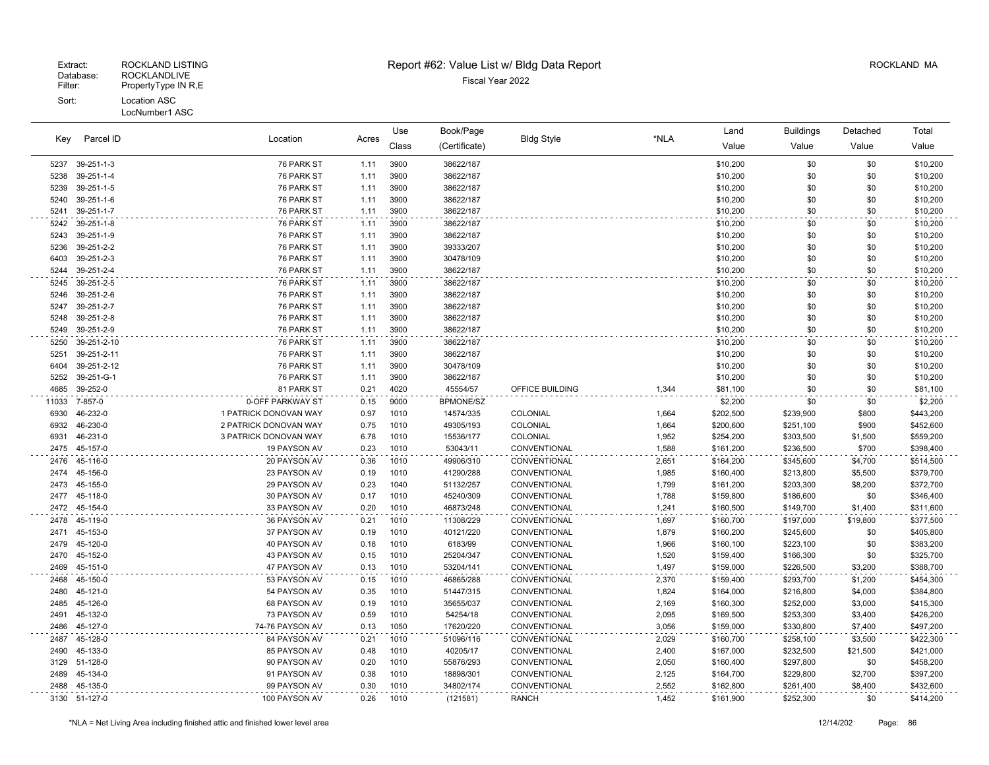| Key          | Parcel ID            | Location                     | Acres        | Use          | Book/Page              | <b>Bldg Style</b>            | *NLA           | Land                   | <b>Buildings</b>       | Detached           | Total                  |
|--------------|----------------------|------------------------------|--------------|--------------|------------------------|------------------------------|----------------|------------------------|------------------------|--------------------|------------------------|
|              |                      |                              |              | Class        | (Certificate)          |                              |                | Value                  | Value                  | Value              | Value                  |
| 5237         | 39-251-1-3           | 76 PARK ST                   | 1.11         | 3900         | 38622/187              |                              |                | \$10,200               | \$0                    | \$0                | \$10,200               |
| 5238         | 39-251-1-4           | 76 PARK ST                   | 1.11         | 3900         | 38622/187              |                              |                | \$10,200               | \$0                    | \$0                | \$10,200               |
| 5239         | 39-251-1-5           | 76 PARK ST                   | 1.11         | 3900         | 38622/187              |                              |                | \$10,200               | \$0                    | \$0                | \$10,200               |
| 5240         | 39-251-1-6           | 76 PARK ST                   | 1.11         | 3900         | 38622/187              |                              |                | \$10,200               | \$0                    | \$0                | \$10,200               |
| 5241         | 39-251-1-7           | 76 PARK ST                   | 1.11         | 3900         | 38622/187              |                              |                | \$10,200               | \$0                    | \$0                | \$10,200               |
| 5242         | 39-251-1-8           | 76 PARK ST                   | 1.11         | 3900         | 38622/187              |                              |                | \$10,200               | \$0                    | \$0                | \$10,200               |
| 5243         | 39-251-1-9           | 76 PARK ST                   | 1.11         | 3900         | 38622/187              |                              |                | \$10,200               | \$0                    | \$0                | \$10,200               |
| 5236         | 39-251-2-2           | 76 PARK ST                   | 1.11         | 3900         | 39333/207              |                              |                | \$10,200               | \$0                    | \$0                | \$10,200               |
| 6403         | 39-251-2-3           | 76 PARK ST                   | 1.11         | 3900         | 30478/109              |                              |                | \$10,200               | \$0                    | \$0                | \$10,200               |
| 5244         | 39-251-2-4           | 76 PARK ST                   | 1.11         | 3900         | 38622/187              |                              |                | \$10,200               | \$0                    | \$0                | \$10,200               |
| 5245         | 39-251-2-5           | 76 PARK ST                   | 1.11         | 3900         | 38622/187              |                              |                | \$10,200               | \$0                    | \$0                | \$10,200               |
| 5246         | 39-251-2-6           | 76 PARK ST                   | 1.11         | 3900         | 38622/187              |                              |                | \$10,200               | \$0                    | \$0                | \$10,200               |
| 5247         | 39-251-2-7           | 76 PARK ST                   | 1.11         | 3900         | 38622/187              |                              |                | \$10,200               | \$0                    | \$0                | \$10,200               |
| 5248         | 39-251-2-8           | 76 PARK ST                   | 1.11         | 3900         | 38622/187              |                              |                | \$10,200               | \$0                    | \$0                | \$10,200               |
| 5249         | 39-251-2-9           | 76 PARK ST                   | 1.11         | 3900         | 38622/187              |                              |                | \$10,200               | \$0                    | \$0                | \$10,200               |
| 5250         | 39-251-2-10          | 76 PARK ST                   | 1.11         | 3900         | 38622/187              |                              |                | \$10,200               | \$0                    | \$0                | \$10,200               |
| 5251         | 39-251-2-11          | 76 PARK ST                   | 1.11         | 3900         | 38622/187              |                              |                | \$10,200               | \$0                    | \$0                | \$10,200               |
| 6404         | 39-251-2-12          | 76 PARK ST                   | 1.11         | 3900         | 30478/109              |                              |                | \$10,200               | \$0                    | \$0                | \$10,200               |
| 5252         | 39-251-G-1           | 76 PARK ST                   | 1.11         | 3900         | 38622/187              |                              |                | \$10,200               | \$0<br>\$0             | \$0<br>\$0         | \$10,200               |
| 4685         | 39-252-0             | 81 PARK ST                   | 0.21         | 4020         | 45554/57               | OFFICE BUILDING              | 1,344          | \$81,100               |                        |                    | \$81,100               |
| 11033        | 7-857-0              | 0-OFF PARKWAY ST             | 0.15         | 9000         | <b>BPMONE/SZ</b>       |                              |                | \$2,200                | \$0                    | \$0                | \$2,200                |
| 6930         | 46-232-0             | 1 PATRICK DONOVAN WAY        | 0.97         | 1010         | 14574/335              | COLONIAL                     | 1,664          | \$202,500              | \$239,900              | \$800              | \$443,200              |
| 6932         | 46-230-0             | 2 PATRICK DONOVAN WAY        | 0.75         | 1010         | 49305/193              | COLONIAL                     | 1,664          | \$200,600              | \$251,100              | \$900              | \$452,600              |
| 6931         | 46-231-0<br>45-157-0 | 3 PATRICK DONOVAN WAY        | 6.78<br>0.23 | 1010<br>1010 | 15536/177              | COLONIAL<br>CONVENTIONAL     | 1,952          | \$254,200              | \$303,500              | \$1,500<br>\$700   | \$559,200              |
| 2475         |                      | 19 PAYSON AV                 |              |              | 53043/11               |                              | 1,588          | \$161,200              | \$236,500              |                    | \$398,400              |
| 2476<br>2474 | 45-116-0<br>45-156-0 | 20 PAYSON AV<br>23 PAYSON AV | 0.36         | 1010<br>1010 | 49906/310<br>41290/288 | CONVENTIONAL<br>CONVENTIONAL | 2,651          | \$164,200              | \$345,600              | \$4,700            | \$514,500              |
| 2473         | 45-155-0             | 29 PAYSON AV                 | 0.19<br>0.23 | 1040         | 51132/257              | CONVENTIONAL                 | 1,985<br>1,799 | \$160,400<br>\$161,200 | \$213,800<br>\$203,300 | \$5,500<br>\$8,200 | \$379,700<br>\$372,700 |
| 2477         | 45-118-0             | 30 PAYSON AV                 | 0.17         | 1010         | 45240/309              | CONVENTIONAL                 | 1,788          | \$159,800              | \$186,600              | \$0                | \$346,400              |
| 2472         | 45-154-0             | 33 PAYSON AV                 | 0.20         | 1010         | 46873/248              | CONVENTIONAL                 | 1,241          | \$160,500              | \$149,700              | \$1,400            | \$311,600              |
| 2478         | 45-119-0             | 36 PAYSON AV                 | 0.21         | 1010         | 11308/229              | CONVENTIONAL                 | 1,697          | \$160,700              | \$197,000              | \$19,800           | \$377,500              |
| 2471         | 45-153-0             | 37 PAYSON AV                 | 0.19         | 1010         | 40121/220              | CONVENTIONAL                 | 1,879          | \$160,200              | \$245,600              | \$0                | \$405,800              |
| 2479         | 45-120-0             | 40 PAYSON AV                 | 0.18         | 1010         | 6183/99                | CONVENTIONAL                 | 1,966          | \$160,100              | \$223,100              | \$0                | \$383,200              |
| 2470         | 45-152-0             | 43 PAYSON AV                 | 0.15         | 1010         | 25204/347              | CONVENTIONAL                 | 1,520          | \$159,400              | \$166,300              | \$0                | \$325,700              |
| 2469         | 45-151-0             | 47 PAYSON AV                 | 0.13         | 1010         | 53204/141              | CONVENTIONAL                 | 1,497          | \$159,000              | \$226,500              | \$3,200            | \$388,700              |
| 2468         | 45-150-0             | 53 PAYSON AV                 | 0.15         | 1010         | 46865/288              | <b>CONVENTIONAL</b>          | 2,370          | \$159,400              | \$293,700              | \$1,200            | \$454,300              |
| 2480         | 45-121-0             | 54 PAYSON AV                 | 0.35         | 1010         | 51447/315              | <b>CONVENTIONAL</b>          | 1,824          | \$164,000              | \$216,800              | \$4,000            | \$384,800              |
| 2485         | 45-126-0             | 68 PAYSON AV                 | 0.19         | 1010         | 35655/037              | CONVENTIONAL                 | 2,169          | \$160,300              | \$252,000              | \$3,000            | \$415,300              |
| 2491         | 45-132-0             | 73 PAYSON AV                 | 0.59         | 1010         | 54254/18               | CONVENTIONAL                 | 2,095          | \$169,500              | \$253,300              | \$3,400            | \$426,200              |
| 2486         | 45-127-0             | 74-76 PAYSON AV              | 0.13         | 1050         | 17620/220              | CONVENTIONAL                 | 3,056          | \$159,000              | \$330,800              | \$7,400            | \$497,200              |
| 2487         | 45-128-0             | 84 PAYSON AV                 | 0.21         | 1010         | 51096/116              | CONVENTIONAL                 | 2,029          | \$160,700              | \$258,100              | \$3,500            | \$422,300              |
| 2490         | 45-133-0             | 85 PAYSON AV                 | 0.48         | 1010         | 40205/17               | CONVENTIONAL                 | 2,400          | \$167,000              | \$232,500              | \$21,500           | \$421,000              |
| 3129         | 51-128-0             | 90 PAYSON AV                 | 0.20         | 1010         | 55876/293              | CONVENTIONAL                 | 2,050          | \$160,400              | \$297,800              | \$0                | \$458,200              |
| 2489         | 45-134-0             | 91 PAYSON AV                 | 0.38         | 1010         | 18898/301              | CONVENTIONAL                 | 2,125          | \$164,700              | \$229,800              | \$2,700            | \$397,200              |
| 2488         | 45-135-0             | 99 PAYSON AV                 | 0.30         | 1010         | 34802/174              | <b>CONVENTIONAL</b>          | 2,552          | \$162,800              | \$261,400              | \$8,400            | \$432,600              |
| 3130         | 51-127-0             | 100 PAYSON AV                | 0.26         | 1010         | (121581)               | <b>RANCH</b>                 | 1,452          | \$161,900              | \$252,300              | \$0                | \$414,200              |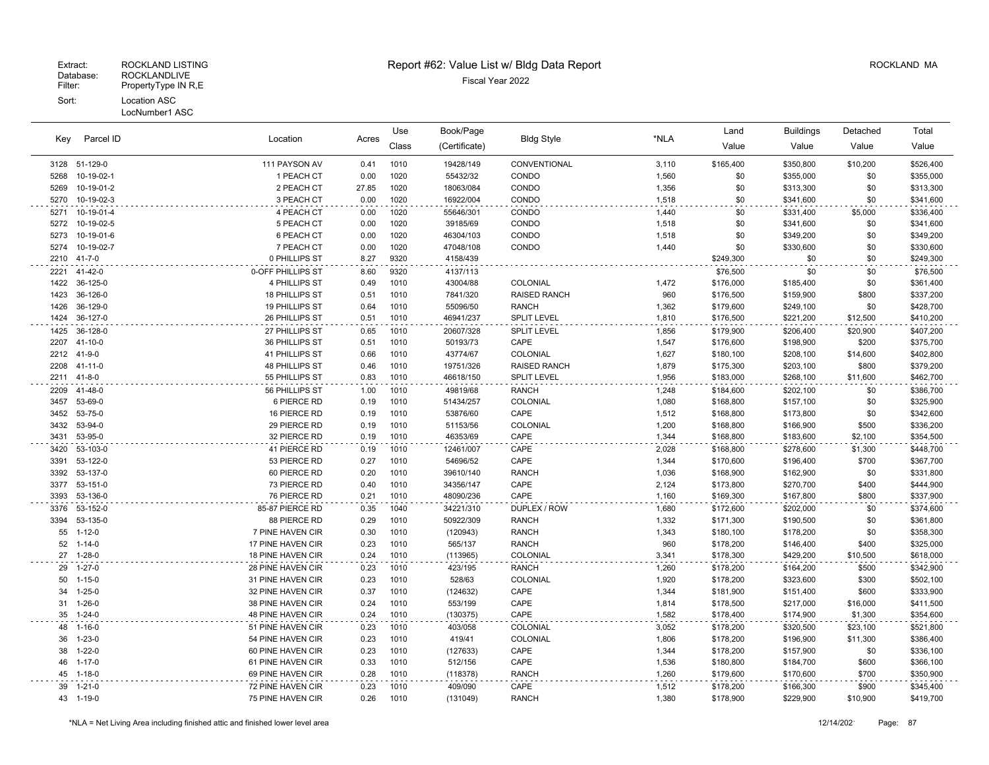| Parcel ID<br>Key |                              | Location                               | Acres        | Use          | Book/Page           | <b>Bldg Style</b>               | *NLA           | Land                   | <b>Buildings</b>       | Detached             | Total                  |
|------------------|------------------------------|----------------------------------------|--------------|--------------|---------------------|---------------------------------|----------------|------------------------|------------------------|----------------------|------------------------|
|                  |                              |                                        |              | Class        | (Certificate)       |                                 |                | Value                  | Value                  | Value                | Value                  |
|                  | 3128 51-129-0                | 111 PAYSON AV                          | 0.41         | 1010         | 19428/149           | CONVENTIONAL                    | 3,110          | \$165,400              | \$350,800              | \$10,200             | \$526,400              |
| 5268             | 10-19-02-1                   | 1 PEACH CT                             | 0.00         | 1020         | 55432/32            | CONDO                           | 1,560          | \$0                    | \$355,000              | \$0                  | \$355,000              |
| 5269             | 10-19-01-2                   | 2 PEACH CT                             | 27.85        | 1020         | 18063/084           | CONDO                           | 1,356          | \$0                    | \$313,300              | \$0                  | \$313,300              |
| 5270             | 10-19-02-3                   | 3 PEACH CT                             | 0.00         | 1020         | 16922/004           | CONDO                           | 1,518          | \$0                    | \$341,600              | \$0                  | \$341,600              |
| 5271             | 10-19-01-4                   | 4 PEACH CT                             | 0.00         | 1020         | 55646/301           | CONDO                           | 1,440          | \$0                    | \$331,400              | \$5,000              | \$336,400              |
| 5272             | 10-19-02-5                   | 5 PEACH CT                             | 0.00         | 1020         | 39185/69            | CONDO                           | 1,518          | \$0                    | \$341,600              | \$0                  | \$341,600              |
| 5273             | 10-19-01-6                   | 6 PEACH CT                             | 0.00         | 1020         | 46304/103           | CONDO                           | 1,518          | \$0                    | \$349,200              | \$0                  | \$349,200              |
| 5274             | 10-19-02-7                   | 7 PEACH CT                             | 0.00         | 1020         | 47048/108           | CONDO                           | 1,440          | \$0                    | \$330,600              | \$0                  | \$330,600              |
|                  | 2210 41-7-0                  | 0 PHILLIPS ST                          | 8.27         | 9320         | 4158/439            |                                 |                | \$249,300              | \$0                    | \$0                  | \$249,300              |
| 2221             | 41-42-0                      | 0-OFF PHILLIPS ST                      | 8.60         | 9320         | 4137/113            |                                 |                | \$76,500               | \$0                    | \$0                  | \$76,500               |
| 1422             | 36-125-0                     | 4 PHILLIPS ST                          | 0.49         | 1010         | 43004/88            | COLONIAL                        | 1,472          | \$176,000              | \$185,400              | \$0                  | \$361,400              |
| 1423             | 36-126-0                     | 18 PHILLIPS ST                         | 0.51         | 1010         | 7841/320            | <b>RAISED RANCH</b>             | 960            | \$176,500              | \$159,900              | \$800                | \$337,200              |
| 1426             | 36-129-0                     | 19 PHILLIPS ST                         | 0.64         | 1010         | 55096/50            | <b>RANCH</b>                    | 1,362          | \$179,600              | \$249,100              | \$0                  | \$428,700              |
| 1424             | 36-127-0                     | 26 PHILLIPS ST                         | 0.51         | 1010         | 46941/237           | <b>SPLIT LEVEL</b>              | 1,810          | \$176,500              | \$221,200              | \$12,500             | \$410,200              |
| 1425             | 36-128-0                     | 27 PHILLIPS ST                         | 0.65         | 1010         | 20607/328           | <b>SPLIT LEVEL</b>              | 1,856          | \$179,900              | \$206,400              | \$20,900             | \$407,200              |
| 2207             | $41 - 10 - 0$                | 36 PHILLIPS ST                         | 0.51         | 1010         | 50193/73            | CAPE                            | 1,547          | \$176,600              | \$198,900              | \$200                | \$375,700              |
| 2212             | 41-9-0                       | 41 PHILLIPS ST                         | 0.66         | 1010         | 43774/67            | COLONIAL                        | 1,627          | \$180,100              | \$208,100              | \$14,600             | \$402,800              |
| 2208             | 41-11-0                      | <b>48 PHILLIPS ST</b>                  | 0.46         | 1010         | 19751/326           | <b>RAISED RANCH</b>             | 1,879          | \$175,300              | \$203,100              | \$800                | \$379,200              |
| 2211             | $41 - 8 - 0$                 | 55 PHILLIPS ST                         | 0.83         | 1010         | 46618/150           | <b>SPLIT LEVEL</b>              | 1,956          | \$183,000              | \$268,100              | \$11,600             | \$462,700              |
| 2209             | 41-48-0                      | 56 PHILLIPS ST                         | 1.00         | 1010         | 49819/68            | <b>RANCH</b>                    | 1,248          | \$184,600              | \$202,100              | \$0                  | \$386,700              |
| 3457             | 53-69-0                      | 6 PIERCE RD                            | 0.19         | 1010         | 51434/257           | COLONIAL                        | 1,080          | \$168,800              | \$157,100              | \$0                  | \$325,900              |
| 3452             | 53-75-0                      | 16 PIERCE RD                           | 0.19         | 1010         | 53876/60            | CAPE                            | 1,512          | \$168,800              | \$173,800              | \$0                  | \$342,600              |
| 3432             | 53-94-0                      | 29 PIERCE RD                           | 0.19         | 1010         | 51153/56            | COLONIAL                        | 1,200          | \$168,800              | \$166,900              | \$500                | \$336,200              |
| 3431             | 53-95-0                      | 32 PIERCE RD                           | 0.19         | 1010         | 46353/69            | CAPE                            | 1,344          | \$168,800              | \$183,600              | \$2,100              | \$354,500              |
| 3420             | 53-103-0                     | 41 PIERCE RD                           | 0.19         | 1010         | 12461/007           | CAPE                            | 2,028          | \$168,800              | \$278,600              | \$1,300              | \$448,700              |
| 3391             | 53-122-0                     | 53 PIERCE RD                           | 0.27         | 1010         | 54696/52            | CAPE                            | 1,344          | \$170,600              | \$196,400              | \$700                | \$367,700              |
| 3392             | 53-137-0                     | 60 PIERCE RD                           | 0.20         | 1010         | 39610/140           | <b>RANCH</b>                    | 1,036          | \$168,900              | \$162,900              | \$0                  | \$331,800              |
| 3377             | 53-151-0                     | 73 PIERCE RD                           | 0.40         | 1010         | 34356/147           | CAPE                            | 2,124          | \$173,800              | \$270,700              | \$400                | \$444,900              |
| 3393             | 53-136-0                     | 76 PIERCE RD                           | 0.21         | 1010         | 48090/236           | CAPE                            | 1.160          | \$169,300              | \$167,800              | \$800                | \$337,900              |
| 3376             | 53-152-0                     | 85-87 PIERCE RD                        | 0.35         | 1040         | 34221/310           | DUPLEX / ROW                    | 1,680          | \$172,600              | \$202,000              | \$0                  | \$374,600              |
| 3394             | 53-135-0                     | 88 PIERCE RD                           | 0.29         | 1010         | 50922/309           | <b>RANCH</b>                    | 1,332          | \$171,300              | \$190,500              | \$0                  | \$361,800              |
|                  | 55 1-12-0                    | 7 PINE HAVEN CIR                       | 0.30         | 1010         | (120943)            | <b>RANCH</b>                    | 1,343          | \$180,100              | \$178,200              | \$0                  | \$358,300              |
| 52               | $1 - 14 - 0$<br>27 1-28-0    | 17 PINE HAVEN CIR                      | 0.23<br>0.24 | 1010<br>1010 | 565/137             | <b>RANCH</b><br><b>COLONIAL</b> | 960            | \$178,200              | \$146,400              | \$400                | \$325,000              |
|                  |                              | <b>18 PINE HAVEN CIR</b>               |              |              | (113965)            |                                 | 3,341          | \$178,300              | \$429,200              | \$10,500             | \$618,000              |
| 29               | $1 - 27 - 0$                 | 28 PINE HAVEN CIR                      | 0.23<br>0.23 | 1010         | 423/195             | <b>RANCH</b>                    | 1,260          | \$178,200              | \$164,200              | \$500                | \$342,900              |
| 50<br>34         | $1 - 15 - 0$<br>$1 - 25 - 0$ | 31 PINE HAVEN CIR                      | 0.37         | 1010<br>1010 | 528/63              | COLONIAL<br>CAPE                | 1,920<br>1,344 | \$178,200<br>\$181,900 | \$323,600              | \$300<br>\$600       | \$502,100<br>\$333,900 |
| 31               | $1 - 26 - 0$                 | 32 PINE HAVEN CIR<br>38 PINE HAVEN CIR | 0.24         | 1010         | (124632)<br>553/199 | CAPE                            | 1,814          | \$178,500              | \$151,400<br>\$217,000 | \$16,000             | \$411,500              |
| 35               | $1 - 24 - 0$                 | 48 PINE HAVEN CIR                      | 0.24         | 1010         | (130375)            | CAPE                            | 1,582          | \$178,400              | \$174,900              | \$1,300              | \$354,600              |
|                  |                              |                                        |              |              |                     | COLONIAL                        |                |                        |                        |                      |                        |
| 36               | 48 1-16-0<br>$1 - 23 - 0$    | 51 PINE HAVEN CIR<br>54 PINE HAVEN CIR | 0.23<br>0.23 | 1010<br>1010 | 403/058<br>419/41   | COLONIAL                        | 3,052<br>1,806 | \$178,200<br>\$178,200 | \$320,500<br>\$196,900 | \$23,100<br>\$11,300 | \$521,800<br>\$386,400 |
| 38               | $1 - 22 - 0$                 | 60 PINE HAVEN CIR                      | 0.23         | 1010         | (127633)            | CAPE                            | 1,344          | \$178,200              | \$157,900              | \$0                  | \$336,100              |
| 46               | $1 - 17 - 0$                 | 61 PINE HAVEN CIR                      | 0.33         | 1010         | 512/156             | CAPE                            | 1,536          | \$180,800              | \$184,700              | \$600                | \$366,100              |
|                  | 45 1-18-0                    | 69 PINE HAVEN CIR                      | 0.28         | 1010         | (118378)            | <b>RANCH</b>                    | 1,260          | \$179,600              | \$170,600              | \$700                | \$350,900              |
|                  | 39 1-21-0                    | 72 PINE HAVEN CIR                      | 0.23         | 1010         | 409/090             | CAPE                            | 1,512          | \$178,200              | \$166,300              | \$900                | \$345,400              |
|                  | 43 1-19-0                    | 75 PINE HAVEN CIR                      | 0.26         | 1010         | (131049)            | <b>RANCH</b>                    | 1,380          | \$178,900              | \$229,900              | \$10,900             | \$419,700              |
|                  |                              |                                        |              |              |                     |                                 |                |                        |                        |                      |                        |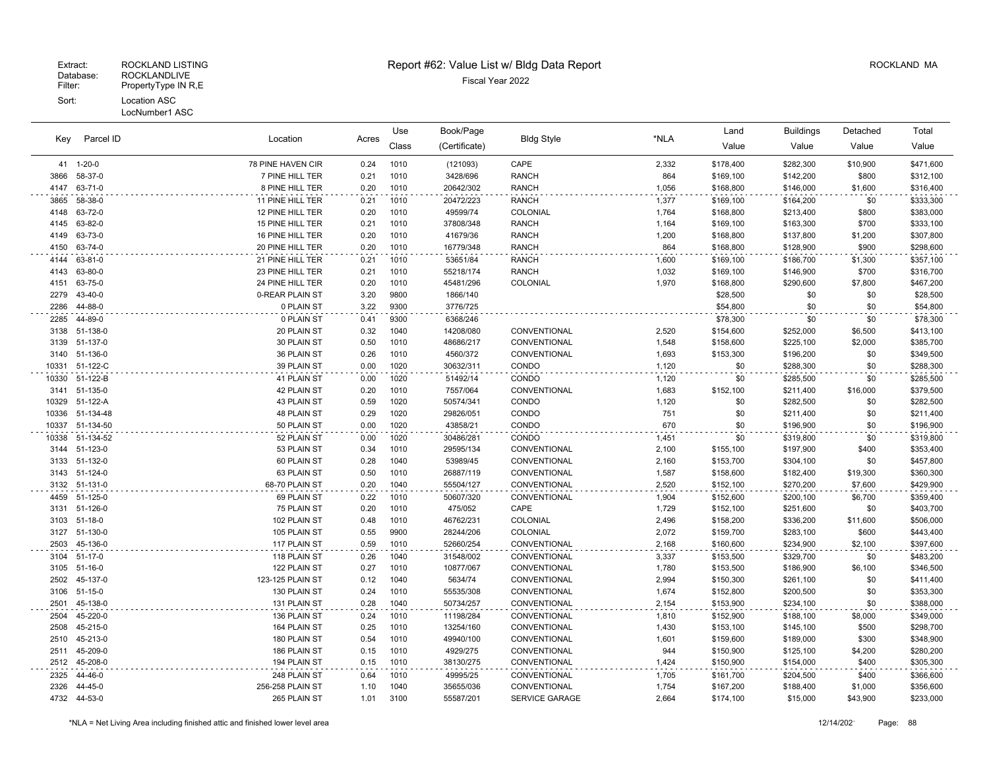| Parcel ID<br>Key |                      | Location                      |              | Use          | Book/Page              | <b>Bldg Style</b>            |                | Land                   | <b>Buildings</b>       | Detached            | Total                  |
|------------------|----------------------|-------------------------------|--------------|--------------|------------------------|------------------------------|----------------|------------------------|------------------------|---------------------|------------------------|
|                  |                      |                               | Acres        | Class        | (Certificate)          |                              | *NLA           | Value                  | Value                  | Value               | Value                  |
|                  | 41 1-20-0            | 78 PINE HAVEN CIR             | 0.24         | 1010         | (121093)               | CAPE                         | 2,332          | \$178,400              | \$282,300              | \$10,900            | \$471,600              |
| 3866             | 58-37-0              | 7 PINE HILL TER               | 0.21         | 1010         | 3428/696               | <b>RANCH</b>                 | 864            | \$169,100              | \$142,200              | \$800               | \$312,100              |
| 4147             | 63-71-0              | 8 PINE HILL TER               | 0.20         | 1010         | 20642/302              | <b>RANCH</b>                 | 1,056          | \$168,800              | \$146,000              | \$1,600             | \$316,400              |
| 3865             | 58-38-0              | 11 PINE HILL TER              | 0.21         | 1010         | 20472/223              | <b>RANCH</b>                 | 1,377          | \$169,100              | \$164,200              | \$0                 | \$333,300              |
| 4148             | 63-72-0              | 12 PINE HILL TER              | 0.20         | 1010         | 49599/74               | COLONIAL                     | 1,764          | \$168,800              | \$213,400              | \$800               | \$383,000              |
| 4145             | 63-82-0              | 15 PINE HILL TER              | 0.21         | 1010         | 37808/348              | <b>RANCH</b>                 | 1,164          | \$169,100              | \$163,300              | \$700               | \$333,100              |
| 4149             | 63-73-0              | 16 PINE HILL TER              | 0.20         | 1010         | 41679/36               | <b>RANCH</b>                 | 1,200          | \$168,800              | \$137,800              | \$1,200             | \$307,800              |
| 4150             | 63-74-0              | 20 PINE HILL TER              | 0.20         | 1010         | 16779/348              | <b>RANCH</b>                 | 864            | \$168,800              | \$128,900              | \$900               | \$298,600              |
| 4144             | 63-81-0              | 21 PINE HILL TER              | 0.21         | 1010         | 53651/84               | <b>RANCH</b>                 | 1,600          | \$169,100              | \$186,700              | \$1,300             | \$357,100              |
| 4143             | 63-80-0              | 23 PINE HILL TER              | 0.21         | 1010         | 55218/174              | <b>RANCH</b>                 | 1,032          | \$169,100              | \$146,900              | \$700               | \$316,700              |
| 4151             | 63-75-0              | 24 PINE HILL TER              | 0.20         | 1010         | 45481/296              | COLONIAL                     | 1,970          | \$168,800              | \$290,600              | \$7,800             | \$467,200              |
| 2279             | 43-40-0              | 0-REAR PLAIN ST               | 3.20         | 9800         | 1866/140               |                              |                | \$28,500               | \$0                    | \$0                 | \$28,500               |
| 2286             | 44-88-0              | 0 PLAIN ST                    | 3.22         | 9300         | 3776/725               |                              |                | \$54,800               | \$0                    | \$0                 | \$54,800               |
| 2285             | 44-89-0              | 0 PLAIN ST                    | 0.41         | 9300         | 6368/246               |                              |                | \$78,300               | \$0                    | \$0                 | \$78,300               |
| 3138             | 51-138-0             | 20 PLAIN ST                   | 0.32         | 1040         | 14208/080              | CONVENTIONAL                 | 2,520          | \$154,600              | \$252,000              | \$6,500             | \$413,100              |
| 3139             | 51-137-0             | 30 PLAIN ST                   | 0.50         | 1010         | 48686/217              | CONVENTIONAL                 | 1,548          | \$158,600              | \$225,100              | \$2,000             | \$385,700              |
| 3140             | 51-136-0             | 36 PLAIN ST                   | 0.26         | 1010         | 4560/372               | CONVENTIONAL                 | 1,693          | \$153,300              | \$196,200              | \$0                 | \$349,500              |
| 10331            | 51-122-C             | 39 PLAIN ST                   | 0.00         | 1020         | 30632/311              | CONDO                        | 1,120          | \$0                    | \$288,300              | \$0                 | \$288,300              |
| 10330            | 51-122-B             | 41 PLAIN ST                   | 0.00         | 1020         | 51492/14               | CONDO                        | 1,120          | \$0                    | \$285,500              | \$0                 | \$285,500              |
| 3141             | 51-135-0             | 42 PLAIN ST                   | 0.20         | 1010         | 7557/064               | CONVENTIONAL                 | 1,683          | \$152,100              | \$211,400              | \$16,000            | \$379,500              |
| 10329            | 51-122-A             | 43 PLAIN ST                   | 0.59         | 1020         | 50574/341              | CONDO                        | 1,120          | \$0                    | \$282,500              | \$0                 | \$282,500              |
| 10336            | 51-134-48            | 48 PLAIN ST                   | 0.29         | 1020         | 29826/051              | CONDO                        | 751            | \$0                    | \$211,400              | \$0                 | \$211,400              |
| 10337            | 51-134-50            | 50 PLAIN ST                   | 0.00         | 1020         | 43858/21               | CONDO                        | 670            | \$0                    | \$196,900              | \$0                 | \$196,900              |
| 10338            | 51-134-52            | 52 PLAIN ST                   | 0.00         | 1020         | 30486/281              | CONDO                        | 1,451          | \$0                    | \$319,800              | \$0                 | \$319,800              |
| 3144             | 51-123-0             | 53 PLAIN ST                   | 0.34         | 1010         | 29595/134              | CONVENTIONAL                 | 2,100          | \$155,100              | \$197,900              | \$400               | \$353,400              |
| 3133             | 51-132-0<br>51-124-0 | 60 PLAIN ST                   | 0.28<br>0.50 | 1040<br>1010 | 53989/45               | CONVENTIONAL                 | 2,160          | \$153,700              | \$304,100              | \$0                 | \$457,800              |
| 3143<br>3132     | 51-131-0             | 63 PLAIN ST<br>68-70 PLAIN ST | 0.20         | 1040         | 26887/119<br>55504/127 | CONVENTIONAL<br>CONVENTIONAL | 1,587<br>2,520 | \$158,600<br>\$152,100 | \$182,400<br>\$270,200 | \$19,300<br>\$7,600 | \$360,300<br>\$429,900 |
|                  | 51-125-0             |                               | 0.22         | 1010         | 50607/320              | CONVENTIONAL                 |                |                        |                        |                     |                        |
| 4459<br>3131     | 51-126-0             | 69 PLAIN ST<br>75 PLAIN ST    | 0.20         | 1010         | 475/052                | CAPE                         | 1,904<br>1,729 | \$152,600<br>\$152,100 | \$200,100<br>\$251,600 | \$6,700<br>\$0      | \$359,400<br>\$403,700 |
|                  | 3103 51-18-0         | 102 PLAIN ST                  | 0.48         | 1010         | 46762/231              | COLONIAL                     | 2,496          | \$158,200              | \$336,200              | \$11,600            | \$506,000              |
| 3127             | 51-130-0             | 105 PLAIN ST                  | 0.55         | 9900         | 28244/206              | COLONIAL                     | 2,072          | \$159,700              | \$283,100              | \$600               | \$443,400              |
| 2503             | 45-136-0             | 117 PLAIN ST                  | 0.59         | 1010         | 52660/254              | CONVENTIONAL                 | 2,168          | \$160,600              | \$234,900              | \$2,100             | \$397,600              |
| 3104             | 51-17-0              | 118 PLAIN ST                  | 0.26         | 1040         | 31548/002              | CONVENTIONAL                 | 3,337          | \$153,500              | \$329,700              | \$0                 | \$483,200              |
|                  | 3105 51-16-0         | 122 PLAIN ST                  | 0.27         | 1010         | 10877/067              | CONVENTIONAL                 | 1,780          | \$153,500              | \$186,900              | \$6,100             | \$346,500              |
| 2502             | 45-137-0             | 123-125 PLAIN ST              | 0.12         | 1040         | 5634/74                | CONVENTIONAL                 | 2,994          | \$150,300              | \$261,100              | \$0                 | \$411,400              |
| 3106             | 51-15-0              | 130 PLAIN ST                  | 0.24         | 1010         | 55535/308              | CONVENTIONAL                 | 1,674          | \$152,800              | \$200,500              | \$0                 | \$353,300              |
| 2501             | 45-138-0             | 131 PLAIN ST                  | 0.28         | 1040         | 50734/257              | CONVENTIONAL                 | 2,154          | \$153,900              | \$234,100              | \$0                 | \$388,000              |
| 2504             | 45-220-0             | 136 PLAIN ST                  | 0.24         | 1010         | 11198/284              | CONVENTIONAL                 | 1,810          | \$152,900              | \$188,100              | \$8,000             | \$349,000              |
| 2508             | 45-215-0             | 164 PLAIN ST                  | 0.25         | 1010         | 13254/160              | CONVENTIONAL                 | 1,430          | \$153,100              | \$145,100              | \$500               | \$298,700              |
| 2510             | 45-213-0             | 180 PLAIN ST                  | 0.54         | 1010         | 49940/100              | CONVENTIONAL                 | 1,601          | \$159,600              | \$189,000              | \$300               | \$348,900              |
| 2511             | 45-209-0             | 186 PLAIN ST                  | 0.15         | 1010         | 4929/275               | CONVENTIONAL                 | 944            | \$150,900              | \$125,100              | \$4,200             | \$280,200              |
| 2512             | 45-208-0             | 194 PLAIN ST                  | 0.15         | 1010         | 38130/275              | CONVENTIONAL                 | 1,424          | \$150,900              | \$154,000              | \$400               | \$305,300              |
| 2325             | 44-46-0              | 248 PLAIN ST                  | 0.64         | 1010         | 49995/25               | CONVENTIONAL                 | 1,705          | \$161,700              | \$204,500              | \$400               | \$366,600              |
| 2326             | 44-45-0              | 256-258 PLAIN ST              | 1.10         | 1040         | 35655/036              | CONVENTIONAL                 | 1,754          | \$167,200              | \$188,400              | \$1,000             | \$356,600              |
|                  | 4732 44-53-0         | 265 PLAIN ST                  | 1.01         | 3100         | 55587/201              | <b>SERVICE GARAGE</b>        | 2,664          | \$174,100              | \$15,000               | \$43,900            | \$233,000              |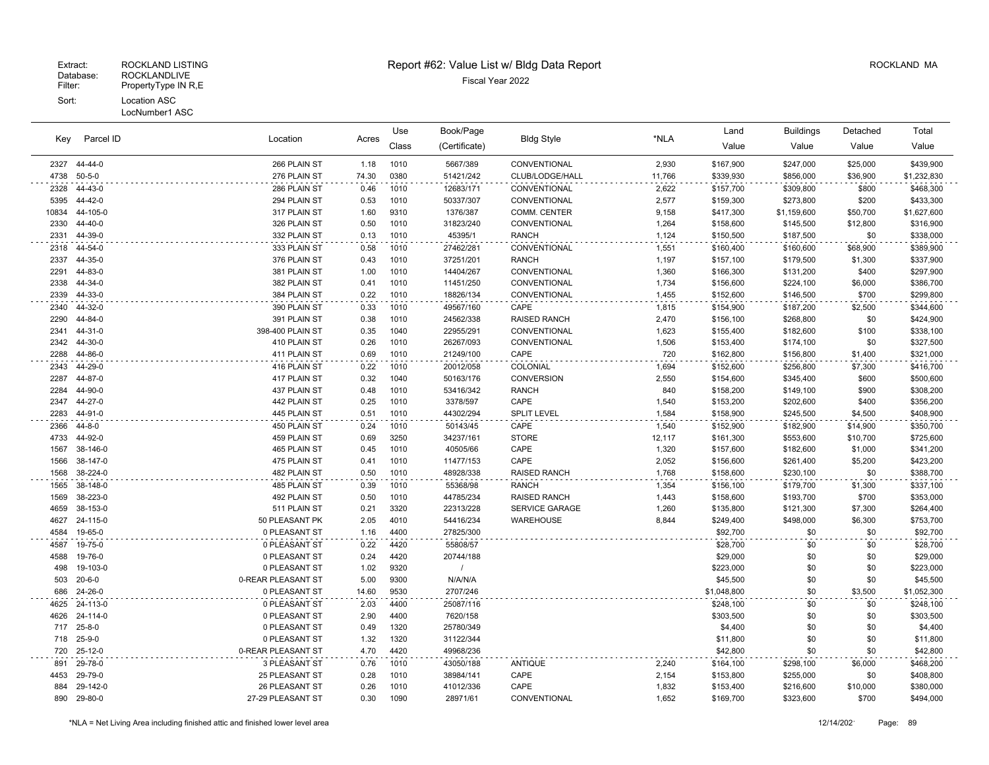# Extract: ROCKLAND LISTING **Report #62: Value List w/ Bldg Data Report** Alleman and RockLAND MA

| Key          | Parcel ID           |                              |              | Use          | Book/Page             |                       |                 | Land                   | <b>Buildings</b>       | Detached            | Total                  |
|--------------|---------------------|------------------------------|--------------|--------------|-----------------------|-----------------------|-----------------|------------------------|------------------------|---------------------|------------------------|
|              |                     | Location                     | Acres        | Class        | (Certificate)         | <b>Bldg Style</b>     | *NLA            | Value                  | Value                  | Value               | Value                  |
| 2327         | 44-44-0             | 266 PLAIN ST                 | 1.18         | 1010         | 5667/389              | CONVENTIONAL          | 2,930           | \$167,900              | \$247,000              | \$25,000            | \$439,900              |
| 4738         | $50 - 5 - 0$        | 276 PLAIN ST                 | 74.30        | 0380         | 51421/242             | CLUB/LODGE/HALL       | 11,766          | \$339,930              | \$856,000              | \$36,900            | \$1,232,830            |
| 2328         | 44-43-0             | 286 PLAIN ST                 | 0.46         | 1010         | 12683/171             | CONVENTIONAL          | 2,622           | \$157,700              | \$309,800              | \$800               | \$468,300              |
| 5395         | 44-42-0             | 294 PLAIN ST                 | 0.53         | 1010         | 50337/307             | CONVENTIONAL          | 2,577           | \$159,300              | \$273,800              | \$200               | \$433,300              |
| 10834        | 44-105-0            | 317 PLAIN ST                 | 1.60         | 9310         | 1376/387              | COMM. CENTER          | 9,158           | \$417,300              | \$1,159,600            | \$50,700            | \$1,627,600            |
| 2330         | 44-40-0             | 326 PLAIN ST                 | 0.50         | 1010         | 31823/240             | CONVENTIONAL          | 1,264           | \$158,600              | \$145,500              | \$12,800            | \$316,900              |
| 2331         | 44-39-0             | 332 PLAIN ST                 | 0.13         | 1010         | 45395/1               | <b>RANCH</b>          | 1,124           | \$150,500              | \$187,500              | \$0                 | \$338,000              |
| 2318         | 44-54-0             | 333 PLAIN ST                 | 0.58         | 1010         | 27462/281             | CONVENTIONAL          | 1,551           | \$160,400              | \$160,600              | \$68,900            | \$389,900              |
| 2337         | 44-35-0             | 376 PLAIN ST                 | 0.43         | 1010         | 37251/201             | <b>RANCH</b>          | 1,197           | \$157,100              | \$179,500              | \$1,300             | \$337,900              |
| 2291         | 44-83-0             | 381 PLAIN ST                 | 1.00         | 1010         | 14404/267             | CONVENTIONAL          | 1,360           | \$166,300              | \$131,200              | \$400               | \$297,900              |
| 2338         | 44-34-0             | 382 PLAIN ST                 | 0.41         | 1010         | 11451/250             | CONVENTIONAL          | 1,734           | \$156,600              | \$224,100              | \$6,000             | \$386,700              |
| 2339         | 44-33-0             | 384 PLAIN ST                 | 0.22         | 1010         | 18826/134             | CONVENTIONAL          | 1,455           | \$152,600              | \$146,500              | \$700               | \$299,800              |
| 2340         | 44-32-0             | 390 PLAIN ST                 | 0.33         | 1010         | 49567/160             | CAPE                  | 1,815           | \$154,900              | \$187,200              | \$2,500             | \$344,600              |
| 2290         | 44-84-0             | 391 PLAIN ST                 | 0.38         | 1010         | 24562/338             | <b>RAISED RANCH</b>   | 2,470           | \$156,100              | \$268,800              | \$0                 | \$424,900              |
| 2341         | 44-31-0             | 398-400 PLAIN ST             | 0.35         | 1040         | 22955/291             | CONVENTIONAL          | 1,623           | \$155,400              | \$182,600              | \$100               | \$338,100              |
| 2342         | 44-30-0             | 410 PLAIN ST                 | 0.26         | 1010         | 26267/093             | CONVENTIONAL          | 1,506           | \$153,400              | \$174,100              | \$0                 | \$327,500              |
| 2288         | 44-86-0             | 411 PLAIN ST                 | 0.69         | 1010         | 21249/100             | CAPE                  | 720             | \$162,800              | \$156,800              | \$1,400             | \$321,000              |
| 2343         | 44-29-0             | 416 PLAIN ST                 | 0.22         | 1010         | 20012/058             | COLONIAL              | 1,694           | \$152,600              | \$256,800              | \$7,300             | \$416,700              |
| 2287         | 44-87-0             | 417 PLAIN ST                 | 0.32         | 1040         | 50163/176             | <b>CONVERSION</b>     | 2,550           | \$154,600              | \$345,400              | \$600               | \$500,600              |
| 2284         | 44-90-0<br>44-27-0  | 437 PLAIN ST                 | 0.48         | 1010         | 53416/342             | <b>RANCH</b><br>CAPE  | 840             | \$158,200              | \$149,100              | \$900               | \$308,200              |
| 2347         |                     | 442 PLAIN ST                 | 0.25         | 1010         | 3378/597              |                       | 1,540           | \$153,200              | \$202,600              | \$400               | \$356,200              |
| 2283         | 44-91-0             | 445 PLAIN ST                 | 0.51         | 1010         | 44302/294             | SPLIT LEVEL           | 1,584           | \$158,900              | \$245,500              | \$4,500             | \$408,900              |
| 2366         | 44-8-0              | 450 PLAIN ST                 | 0.24         | 1010         | 50143/45              | CAPE                  | 1,540           | \$152,900              | \$182,900              | \$14,900            | \$350,700              |
| 4733<br>1567 | 44-92-0<br>38-146-0 | 459 PLAIN ST<br>465 PLAIN ST | 0.69<br>0.45 | 3250<br>1010 | 34237/161<br>40505/66 | <b>STORE</b><br>CAPE  | 12,117<br>1,320 | \$161,300<br>\$157,600 | \$553,600<br>\$182,600 | \$10,700<br>\$1,000 | \$725,600<br>\$341,200 |
| 1566         | 38-147-0            | 475 PLAIN ST                 | 0.41         | 1010         | 11477/153             | CAPE                  | 2,052           | \$156,600              | \$261,400              | \$5,200             | \$423,200              |
| 1568         | 38-224-0            | 482 PLAIN ST                 | 0.50         | 1010         | 48928/338             | <b>RAISED RANCH</b>   | 1,768           | \$158,600              | \$230,100              | \$0                 | \$388,700              |
| 1565         | 38-148-0            | 485 PLAIN ST                 | 0.39         | 1010         | 55368/98              | <b>RANCH</b>          | 1,354           | \$156,100              | \$179,700              | \$1,300             | \$337,100              |
| 1569         | 38-223-0            | 492 PLAIN ST                 | 0.50         | 1010         | 44785/234             | <b>RAISED RANCH</b>   | 1,443           | \$158,600              | \$193,700              | \$700               | \$353,000              |
| 4659         | 38-153-0            | 511 PLAIN ST                 | 0.21         | 3320         | 22313/228             | <b>SERVICE GARAGE</b> | 1,260           | \$135,800              | \$121,300              | \$7,300             | \$264,400              |
| 4627         | 24-115-0            | 50 PLEASANT PK               | 2.05         | 4010         | 54416/234             | WAREHOUSE             | 8,844           | \$249,400              | \$498,000              | \$6,300             | \$753,700              |
| 4584         | 19-65-0             | 0 PLEASANT ST                | 1.16         | 4400         | 27825/300             |                       |                 | \$92,700               | \$0                    | \$0                 | \$92,700               |
| 4587         | 19-75-0             | 0 PLEASANT ST                | 0.22         | 4420         | 55808/57              |                       |                 | \$28,700               | \$0                    | \$0                 | \$28,700               |
| 4588         | 19-76-0             | 0 PLEASANT ST                | 0.24         | 4420         | 20744/188             |                       |                 | \$29,000               | \$0                    | \$0                 | \$29,000               |
| 498          | 19-103-0            | 0 PLEASANT ST                | 1.02         | 9320         |                       |                       |                 | \$223,000              | \$0                    | \$0                 | \$223,000              |
| 503          | $20 - 6 - 0$        | 0-REAR PLEASANT ST           | 5.00         | 9300         | N/A/N/A               |                       |                 | \$45,500               | \$0                    | \$0                 | \$45,500               |
| 686          | 24-26-0             | 0 PLEASANT ST                | 14.60        | 9530         | 2707/246              |                       |                 | \$1,048,800            | \$0                    | \$3,500             | \$1,052,300            |
| 4625         | 24-113-0            | 0 PLEASANT ST                | 2.03         | 4400         | 25087/116             |                       |                 | \$248,100              | \$0                    | \$0                 | \$248,100              |
| 4626         | 24-114-0            | 0 PLEASANT ST                | 2.90         | 4400         | 7620/158              |                       |                 | \$303,500              | \$0                    | \$0                 | \$303,500              |
| 717          | $25 - 8 - 0$        | 0 PLEASANT ST                | 0.49         | 1320         | 25780/349             |                       |                 | \$4,400                | \$0                    | \$0                 | \$4,400                |
| 718          | $25 - 9 - 0$        | 0 PLEASANT ST                | 1.32         | 1320         | 31122/344             |                       |                 | \$11,800               | \$0                    | \$0                 | \$11,800               |
| 720          | $25-12-0$           | 0-REAR PLEASANT ST           | 4.70         | 4420         | 49968/236             |                       |                 | \$42,800               | \$0                    | \$0                 | \$42,800               |
| 891          | 29-78-0             | 3 PLEASANT ST                | 0.76         | 1010         | 43050/188             | <b>ANTIQUE</b>        | 2,240           | \$164,100              | \$298,100              | \$6,000             | \$468,200              |
| 4453         | 29-79-0             | 25 PLEASANT ST               | 0.28         | 1010         | 38984/141             | CAPE                  | 2,154           | \$153,800              | \$255,000              | \$0                 | \$408,800              |
| 884          | 29-142-0            | 26 PLEASANT ST               | 0.26         | 1010         | 41012/336             | CAPE                  | 1,832           | \$153,400              | \$216,600              | \$10,000            | \$380,000              |
| 890          | 29-80-0             | 27-29 PLEASANT ST            | 0.30         | 1090         | 28971/61              | CONVENTIONAL          | 1.652           | \$169,700              | \$323,600              | \$700               | \$494,000              |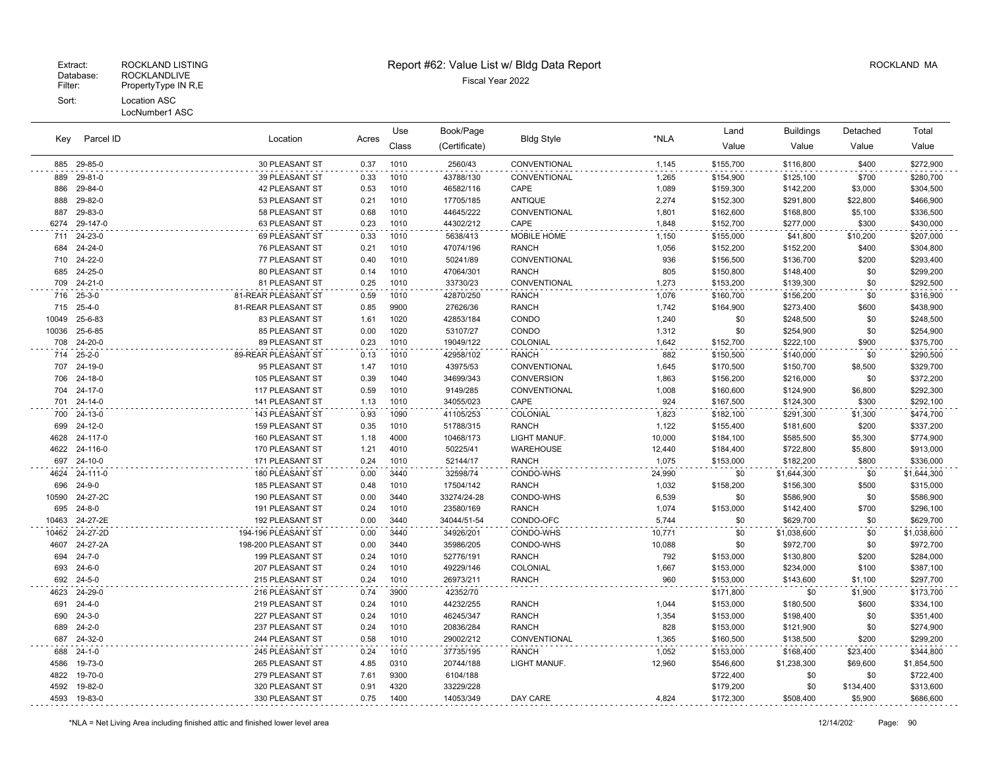#### Fiscal Year 2022<br>Fiscal Year 2022<br>Filter: PropertyType IN R,E PropertyType IN R,E Sort: Location ASC LocNumber1 ASC

| Key   | Parcel ID      | Location               | Acres | Use<br>Class | Book/Page<br>(Certificate) | <b>Bldg Style</b>   | *NLA   | Land<br>Value | <b>Buildings</b><br>Value | Detached<br>Value | Total<br>Value |
|-------|----------------|------------------------|-------|--------------|----------------------------|---------------------|--------|---------------|---------------------------|-------------------|----------------|
|       | 885 29-85-0    | 30 PLEASANT ST         | 0.37  | 1010         | 2560/43                    | <b>CONVENTIONAL</b> | 1,145  | \$155,700     | \$116,800                 | \$400             | \$272,900      |
| 889   | 29-81-0        | 39 PLEASANT ST         | 0.33  | 1010         | 43788/130                  | <b>CONVENTIONAL</b> | 1,265  | \$154,900     | \$125,100                 | \$700             | \$280,700      |
| 886   | 29-84-0        | <b>42 PLEASANT ST</b>  | 0.53  | 1010         | 46582/116                  | CAPE                | 1,089  | \$159,300     | \$142,200                 | \$3,000           | \$304,500      |
| 888   | 29-82-0        | 53 PLEASANT ST         | 0.21  | 1010         | 17705/185                  | <b>ANTIQUE</b>      | 2,274  | \$152,300     | \$291,800                 | \$22,800          | \$466,900      |
| 887   | 29-83-0        | 58 PLEASANT ST         | 0.68  | 1010         | 44645/222                  | <b>CONVENTIONAL</b> | 1,801  | \$162,600     | \$168,800                 | \$5,100           | \$336,500      |
| 6274  | 29-147-0       | 63 PLEASANT ST         | 0.23  | 1010         | 44302/212                  | CAPE                | 1,848  | \$152,700     | \$277,000                 | \$300             | \$430,000      |
|       | 711 24-23-0    | 69 PLEASANT ST         | 0.33  | 1010         | 5638/413                   | MOBILE HOME         | 1,150  | \$155,000     | \$41,800                  | \$10,200          | \$207,000      |
| 684   | 24-24-0        | 76 PLEASANT ST         | 0.21  | 1010         | 47074/196                  | <b>RANCH</b>        | 1,056  | \$152,200     | \$152,200                 | \$400             | \$304,800      |
|       | 710 24-22-0    | 77 PLEASANT ST         | 0.40  | 1010         | 50241/89                   | <b>CONVENTIONAL</b> | 936    | \$156,500     | \$136,700                 | \$200             | \$293,400      |
| 685   | 24-25-0        | 80 PLEASANT ST         | 0.14  | 1010         | 47064/301                  | <b>RANCH</b>        | 805    | \$150,800     | \$148,400                 | \$0               | \$299,200      |
|       | 709 24-21-0    | 81 PLEASANT ST         | 0.25  | 1010         | 33730/23                   | CONVENTIONAL        | 1,273  | \$153,200     | \$139,300                 | \$0               | \$292,500      |
|       | 716 25-3-0     | 81-REAR PLEASANT ST    | 0.59  | 1010         | 42870/250                  | <b>RANCH</b>        | 1,076  | \$160,700     | \$156,200                 | \$0               | \$316,900      |
| 715   | $25 - 4 - 0$   | 81-REAR PLEASANT ST    | 0.85  | 9900         | 27626/36                   | <b>RANCH</b>        | 1,742  | \$164,900     | \$273,400                 | \$600             | \$438,900      |
|       | 10049 25-6-83  | 83 PLEASANT ST         | 1.61  | 1020         | 42853/184                  | CONDO               | 1,240  | \$0           | \$248,500                 | \$0               | \$248,500      |
| 10036 | 25-6-85        | 85 PLEASANT ST         | 0.00  | 1020         | 53107/27                   | CONDO               | 1,312  | \$0           | \$254,900                 | \$0               | \$254,900      |
| 708   | 24-20-0        | 89 PLEASANT ST         | 0.23  | 1010         | 19049/122                  | COLONIAL            | 1,642  | \$152,700     | \$222,100                 | \$900             | \$375,700      |
|       | 714 25-2-0     | 89-REAR PLEASANT ST    | 0.13  | 1010         | 42958/102                  | <b>RANCH</b>        | 882    | \$150,500     | \$140,000                 | \$0               | \$290,500      |
|       | 707 24-19-0    | 95 PLEASANT ST         | 1.47  | 1010         | 43975/53                   | <b>CONVENTIONAL</b> | 1,645  | \$170,500     | \$150,700                 | \$8,500           | \$329,700      |
|       | 706 24-18-0    | 105 PLEASANT ST        | 0.39  | 1040         | 34699/343                  | CONVERSION          | 1,863  | \$156,200     | \$216,000                 | \$0               | \$372,200      |
| 704   | 24-17-0        | 117 PLEASANT ST        | 0.59  | 1010         | 9149/285                   | CONVENTIONAL        | 1,008  | \$160,600     | \$124,900                 | \$6,800           | \$292,300      |
|       | 701 24-14-0    | <b>141 PLEASANT ST</b> | 1.13  | 1010         | 34055/023                  | CAPE                | 924    | \$167,500     | \$124,300                 | \$300             | \$292,100      |
|       | 700 24-13-0    | 143 PLEASANT ST        | 0.93  | 1090         | 41105/253                  | COLONIAL            | 1,823  | \$182,100     | \$291,300                 | \$1,300           | \$474,700      |
|       | 699 24-12-0    | 159 PLEASANT ST        | 0.35  | 1010         | 51788/315                  | <b>RANCH</b>        | 1,122  | \$155,400     | \$181,600                 | \$200             | \$337,200      |
|       | 4628 24-117-0  | 160 PLEASANT ST        | 1.18  | 4000         | 10468/173                  | LIGHT MANUF.        | 10,000 | \$184,100     | \$585,500                 | \$5,300           | \$774,900      |
|       | 4622 24-116-0  | 170 PLEASANT ST        | 1.21  | 4010         | 50225/41                   | WAREHOUSE           | 12,440 | \$184,400     | \$722,800                 | \$5,800           | \$913,000      |
| 697   | 24-10-0        | 171 PLEASANT ST        | 0.24  | 1010         | 52144/17                   | <b>RANCH</b>        | 1,075  | \$153,000     | \$182,200                 | \$800             | \$336,000      |
|       | 4624 24-111-0  | 180 PLEASANT ST        | 0.00  | 3440         | 32598/74                   | CONDO-WHS           | 24,990 | \$0           | \$1,644,300               | \$0               | \$1,644,300    |
| 696   | 24-9-0         | 185 PLEASANT ST        | 0.48  | 1010         | 17504/142                  | <b>RANCH</b>        | 1,032  | \$158,200     | \$156,300                 | \$500             | \$315,000      |
|       | 10590 24-27-2C | 190 PLEASANT ST        | 0.00  | 3440         | 33274/24-28                | CONDO-WHS           | 6,539  | \$0           | \$586,900                 | \$0               | \$586,900      |
|       |                |                        |       |              |                            |                     |        |               |                           |                   |                |

|       | 700 24-13-0    | 143 PLEASANT ST        | 0.93 | 1090 | 41105/253   | COLONIAL         | 1.823  | \$182,100 | \$291,300   | \$1,300   | \$474,700   |
|-------|----------------|------------------------|------|------|-------------|------------------|--------|-----------|-------------|-----------|-------------|
|       | 699 24-12-0    | <b>159 PLEASANT ST</b> | 0.35 | 1010 | 51788/315   | <b>RANCH</b>     | 1,122  | \$155,400 | \$181,600   | \$200     | \$337,200   |
|       | 4628 24-117-0  | 160 PLEASANT ST        | 1.18 | 4000 | 10468/173   | LIGHT MANUF.     | 10,000 | \$184,100 | \$585,500   | \$5,300   | \$774,900   |
|       | 4622 24-116-0  | 170 PLEASANT ST        | 1.21 | 4010 | 50225/41    | <b>WAREHOUSE</b> | 12.440 | \$184,400 | \$722,800   | \$5,800   | \$913,000   |
|       | 697 24-10-0    | 171 PLEASANT ST        | 0.24 | 1010 | 52144/17    | <b>RANCH</b>     | 1.075  | \$153,000 | \$182,200   | \$800     | \$336,000   |
|       | 4624 24-111-0  | 180 PLEASANT ST        | 0.00 | 3440 | 32598/74    | CONDO-WHS        | 24,990 | \$0       | \$1,644,300 | \$0       | \$1,644,300 |
|       | 696 24-9-0     | <b>185 PLEASANT ST</b> | 0.48 | 1010 | 17504/142   | <b>RANCH</b>     | 1.032  | \$158,200 | \$156,300   | \$500     | \$315,000   |
|       | 10590 24-27-2C | 190 PLEASANT ST        | 0.00 | 3440 | 33274/24-28 | CONDO-WHS        | 6,539  | \$0       | \$586,900   | \$0       | \$586,900   |
| 695   | 24-8-0         | 191 PLEASANT ST        | 0.24 | 1010 | 23580/169   | <b>RANCH</b>     | 1.074  | \$153,000 | \$142,400   | \$700     | \$296,100   |
|       | 10463 24-27-2E | 192 PLEASANT ST        | 0.00 | 3440 | 34044/51-54 | CONDO-OFC        | 5,744  | \$0       | \$629,700   | \$0       | \$629,700   |
| 10462 | 24-27-2D       | 194-196 PLEASANT ST    | 0.00 | 3440 | 34926/201   | CONDO-WHS        | 10,771 | \$0       | \$1,038,600 | \$0       | \$1,038,600 |
| 4607  | 24-27-2A       | 198-200 PLEASANT ST    | 0.00 | 3440 | 35986/205   | CONDO-WHS        | 10,088 | \$0       | \$972,700   | \$0       | \$972,700   |
| 694   | 24-7-0         | 199 PLEASANT ST        | 0.24 | 1010 | 52776/191   | <b>RANCH</b>     | 792    | \$153,000 | \$130,800   | \$200     | \$284,000   |
|       | 693 24-6-0     | 207 PLEASANT ST        | 0.24 | 1010 | 49229/146   | COLONIAL         | 1.667  | \$153,000 | \$234,000   | \$100     | \$387,100   |
|       | 692 24-5-0     | 215 PLEASANT ST        | 0.24 | 1010 | 26973/211   | <b>RANCH</b>     | 960    | \$153,000 | \$143,600   | \$1,100   | \$297,700   |
|       | 4623 24-29-0   | 216 PLEASANT ST        | 0.74 | 3900 | 42352/70    |                  |        | \$171,800 | \$0         | \$1,900   | \$173,700   |
| 691   | $24 - 4 - 0$   | 219 PLEASANT ST        | 0.24 | 1010 | 44232/255   | <b>RANCH</b>     | 1.044  | \$153,000 | \$180,500   | \$600     | \$334,100   |
| 690   | $24 - 3 - 0$   | 227 PLEASANT ST        | 0.24 | 1010 | 46245/347   | <b>RANCH</b>     | 1,354  | \$153,000 | \$198,400   | \$0       | \$351,400   |
| 689   | $24 - 2 - 0$   | 237 PLEASANT ST        | 0.24 | 1010 | 20836/284   | <b>RANCH</b>     | 828    | \$153,000 | \$121,900   | \$0       | \$274,900   |
| 687   | 24-32-0        | 244 PLEASANT ST        | 0.58 | 1010 | 29002/212   | CONVENTIONAL     | 1,365  | \$160,500 | \$138,500   | \$200     | \$299,200   |
|       | 688 24-1-0     | 245 PLEASANT ST        | 0.24 | 1010 | 37735/195   | <b>RANCH</b>     | 1,052  | \$153,000 | \$168,400   | \$23,400  | \$344,800   |
| 4586  | 19-73-0        | 265 PLEASANT ST        | 4.85 | 0310 | 20744/188   | LIGHT MANUF.     | 12.960 | \$546,600 | \$1,238,300 | \$69,600  | \$1,854,500 |
| 4822  | 19-70-0        | 279 PLEASANT ST        | 7.61 | 9300 | 6104/188    |                  |        | \$722,400 | \$0         | \$0       | \$722,400   |
| 4592  | 19-82-0        | 320 PLEASANT ST        | 0.91 | 4320 | 33229/228   |                  |        | \$179,200 | \$0         | \$134,400 | \$313,600   |
|       | 4593 19-83-0   | 330 PLEASANT ST        | 0.75 | 1400 | 14053/349   | DAY CARE         | 4,824  | \$172,300 | \$508,400   | \$5,900   | \$686,600   |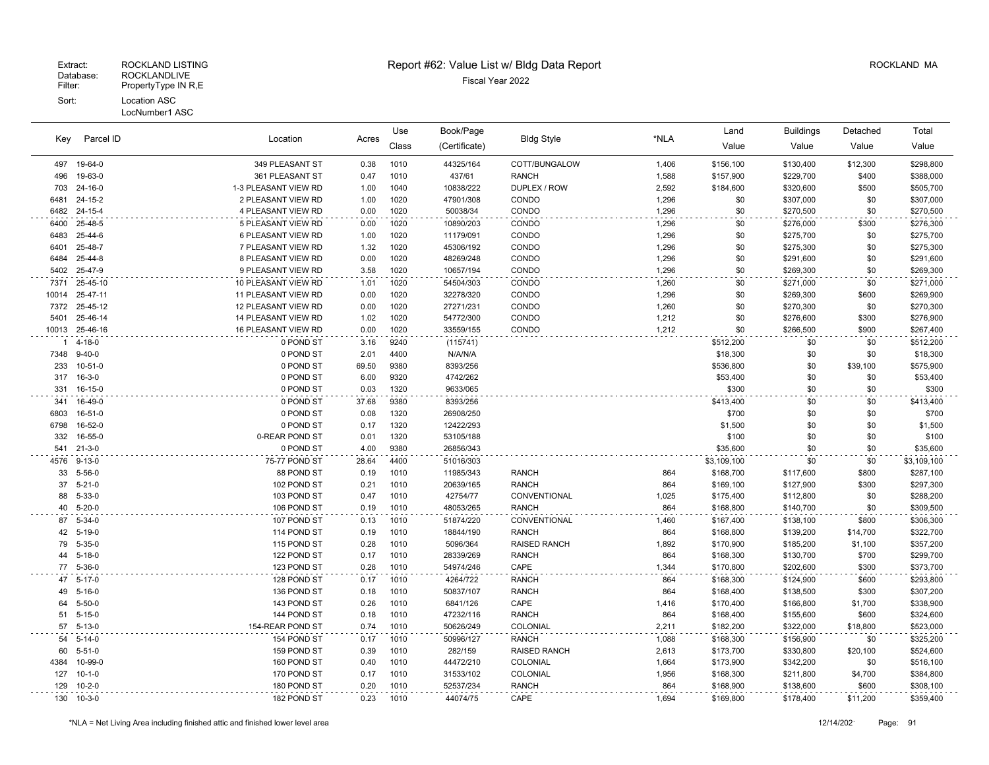# Extract: ROCKLAND LISTING **Report #62: Value List w/ Bldg Data Report** Alleman and RockLAND MA

| Parcel ID<br>Key |               |                      | Use   | Book/Page |               |                     | Land  | <b>Buildings</b> | Detached  | Total    |             |
|------------------|---------------|----------------------|-------|-----------|---------------|---------------------|-------|------------------|-----------|----------|-------------|
|                  |               | Location             | Acres | Class     | (Certificate) | <b>Bldg Style</b>   | *NLA  | Value            | Value     | Value    | Value       |
| 497              | 19-64-0       | 349 PLEASANT ST      | 0.38  | 1010      | 44325/164     | COTT/BUNGALOW       | 1,406 | \$156,100        | \$130,400 | \$12,300 | \$298,800   |
| 496              | 19-63-0       | 361 PLEASANT ST      | 0.47  | 1010      | 437/61        | <b>RANCH</b>        | 1,588 | \$157,900        | \$229,700 | \$400    | \$388,000   |
| 703              | 24-16-0       | 1-3 PLEASANT VIEW RD | 1.00  | 1040      | 10838/222     | DUPLEX / ROW        | 2,592 | \$184,600        | \$320,600 | \$500    | \$505,700   |
| 6481             | $24 - 15 - 2$ | 2 PLEASANT VIEW RD   | 1.00  | 1020      | 47901/308     | CONDO               | 1,296 | \$0              | \$307,000 | \$0      | \$307,000   |
| 6482             | 24-15-4       | 4 PLEASANT VIEW RD   | 0.00  | 1020      | 50038/34      | CONDO               | 1,296 | \$0              | \$270,500 | \$0      | \$270,500   |
| 6400             | 25-48-5       | 5 PLEASANT VIEW RD   | 0.00  | 1020      | 10890/203     | CONDO               | 1,296 | \$0              | \$276,000 | \$300    | \$276,300   |
| 6483             | 25-44-6       | 6 PLEASANT VIEW RD   | 1.00  | 1020      | 11179/091     | CONDO               | 1,296 | \$0              | \$275,700 | \$0      | \$275,700   |
| 6401             | 25-48-7       | 7 PLEASANT VIEW RD   | 1.32  | 1020      | 45306/192     | CONDO               | 1,296 | \$0              | \$275,300 | \$0      | \$275,300   |
| 6484             | 25-44-8       | 8 PLEASANT VIEW RD   | 0.00  | 1020      | 48269/248     | CONDO               | 1,296 | \$0              | \$291,600 | \$0      | \$291,600   |
| 5402             | 25-47-9       | 9 PLEASANT VIEW RD   | 3.58  | 1020      | 10657/194     | CONDO               | 1,296 | \$0              | \$269,300 | \$0      | \$269,300   |
| 7371             | 25-45-10      | 10 PLEASANT VIEW RD  | 1.01  | 1020      | 54504/303     | CONDO               | 1,260 | \$0              | \$271,000 | \$0      | \$271,000   |
| 10014            | 25-47-11      | 11 PLEASANT VIEW RD  | 0.00  | 1020      | 32278/320     | CONDO               | 1,296 | \$0              | \$269,300 | \$600    | \$269,900   |
| 7372             | 25-45-12      | 12 PLEASANT VIEW RD  | 0.00  | 1020      | 27271/231     | CONDO               | 1,260 | \$0              | \$270,300 | \$0      | \$270,300   |
| 5401             | 25-46-14      | 14 PLEASANT VIEW RD  | 1.02  | 1020      | 54772/300     | CONDO               | 1,212 | \$0              | \$276,600 | \$300    | \$276,900   |
| 10013            | 25-46-16      | 16 PLEASANT VIEW RD  | 0.00  | 1020      | 33559/155     | CONDO               | 1,212 | \$0              | \$266,500 | \$900    | \$267,400   |
|                  | $4 - 18 - 0$  | 0 POND ST            | 3.16  | 9240      | (115741)      |                     |       | \$512,200        | \$0       | \$0      | \$512,200   |
| 7348             | $9 - 40 - 0$  | 0 POND ST            | 2.01  | 4400      | N/A/N/A       |                     |       | \$18,300         | \$0       | \$0      | \$18,300    |
| 233              | $10 - 51 - 0$ | 0 POND ST            | 69.50 | 9380      | 8393/256      |                     |       | \$536,800        | \$0       | \$39,100 | \$575,900   |
| 317              | $16 - 3 - 0$  | 0 POND ST            | 6.00  | 9320      | 4742/262      |                     |       | \$53,400         | \$0       | \$0      | \$53,400    |
| 331              | 16-15-0       | 0 POND ST            | 0.03  | 1320      | 9633/065      |                     |       | \$300            | \$0       | \$0      | \$300       |
| 341              | 16-49-0       | 0 POND ST            | 37.68 | 9380      | 8393/256      |                     |       | \$413,400        | \$0       | \$0      | \$413,400   |
| 6803             | 16-51-0       | 0 POND ST            | 0.08  | 1320      | 26908/250     |                     |       | \$700            | \$0       | \$0      | \$700       |
| 6798             | 16-52-0       | 0 POND ST            | 0.17  | 1320      | 12422/293     |                     |       | \$1,500          | \$0       | \$0      | \$1,500     |
| 332              | 16-55-0       | 0-REAR POND ST       | 0.01  | 1320      | 53105/188     |                     |       | \$100            | \$0       | \$0      | \$100       |
| 541              | $21 - 3 - 0$  | 0 POND ST            | 4.00  | 9380      | 26856/343     |                     |       | \$35,600         | \$0       | \$0      | \$35,600    |
| 4576             | $9 - 13 - 0$  | 75-77 POND ST        | 28.64 | 4400      | 51016/303     |                     |       | \$3,109,100      | \$0       | \$0      | \$3,109,100 |
| 33               | $5 - 56 - 0$  | 88 POND ST           | 0.19  | 1010      | 11985/343     | <b>RANCH</b>        | 864   | \$168,700        | \$117,600 | \$800    | \$287,100   |
| 37               | $5 - 21 - 0$  | 102 POND ST          | 0.21  | 1010      | 20639/165     | <b>RANCH</b>        | 864   | \$169,100        | \$127,900 | \$300    | \$297,300   |
| 88               | $5 - 33 - 0$  | 103 POND ST          | 0.47  | 1010      | 42754/77      | CONVENTIONAL        | 1,025 | \$175,400        | \$112,800 | \$0      | \$288,200   |
| 40               | $5 - 20 - 0$  | 106 POND ST          | 0.19  | 1010      | 48053/265     | <b>RANCH</b>        | 864   | \$168,800        | \$140,700 | \$0      | \$309,500   |
| 87               | $5 - 34 - 0$  | 107 POND ST          | 0.13  | 1010      | 51874/220     | CONVENTIONAL        | 1,460 | \$167,400        | \$138,100 | \$800    | \$306,300   |
| 42               | $5 - 19 - 0$  | 114 POND ST          | 0.19  | 1010      | 18844/190     | <b>RANCH</b>        | 864   | \$168,800        | \$139,200 | \$14,700 | \$322,700   |
| 79               | $5 - 35 - 0$  | 115 POND ST          | 0.28  | 1010      | 5096/364      | <b>RAISED RANCH</b> | 1,892 | \$170,900        | \$185,200 | \$1,100  | \$357,200   |
| 44               | $5 - 18 - 0$  | 122 POND ST          | 0.17  | 1010      | 28339/269     | <b>RANCH</b>        | 864   | \$168,300        | \$130,700 | \$700    | \$299,700   |
| 77               | $5 - 36 - 0$  | 123 POND ST          | 0.28  | 1010      | 54974/246     | CAPE                | 1,344 | \$170,800        | \$202,600 | \$300    | \$373,700   |
|                  | 47 5-17-0     | 128 POND ST          | 0.17  | 1010      | 4264/722      | <b>RANCH</b>        | 864   | \$168,300        | \$124,900 | \$600    | \$293,800   |
| 49               | $5 - 16 - 0$  | 136 POND ST          | 0.18  | 1010      | 50837/107     | <b>RANCH</b>        | 864   | \$168,400        | \$138,500 | \$300    | \$307,200   |
| 64               | $5 - 50 - 0$  | 143 POND ST          | 0.26  | 1010      | 6841/126      | CAPE                | 1,416 | \$170,400        | \$166,800 | \$1,700  | \$338,900   |
| 51               | $5 - 15 - 0$  | 144 POND ST          | 0.18  | 1010      | 47232/116     | <b>RANCH</b>        | 864   | \$168,400        | \$155,600 | \$600    | \$324,600   |
| 57               | $5 - 13 - 0$  | 154-REAR POND ST     | 0.74  | 1010      | 50626/249     | COLONIAL            | 2,211 | \$182,200        | \$322,000 | \$18,800 | \$523,000   |
| 54               | $5 - 14 - 0$  | 154 POND ST          | 0.17  | 1010      | 50996/127     | <b>RANCH</b>        | 1,088 | \$168,300        | \$156,900 | \$0      | \$325,200   |
| 60               | $5 - 51 - 0$  | 159 POND ST          | 0.39  | 1010      | 282/159       | <b>RAISED RANCH</b> | 2,613 | \$173,700        | \$330,800 | \$20,100 | \$524,600   |
| 4384             | 10-99-0       | 160 POND ST          | 0.40  | 1010      | 44472/210     | COLONIAL            | 1,664 | \$173,900        | \$342,200 | \$0      | \$516,100   |
| 127              | $10 - 1 - 0$  | 170 POND ST          | 0.17  | 1010      | 31533/102     | COLONIAL            | 1,956 | \$168,300        | \$211,800 | \$4,700  | \$384,800   |
| 129              | $10 - 2 - 0$  | 180 POND ST          | 0.20  | 1010      | 52537/234     | <b>RANCH</b>        | 864   | \$168,900        | \$138,600 | \$600    | \$308,100   |
| 130              | $10 - 3 - 0$  | 182 POND ST          | 0.23  | 1010      | 44074/75      | CAPE                | 1,694 | \$169,800        | \$178,400 | \$11,200 | \$359,400   |

 $\sim$   $\sim$ 

 $\sim$ 

 $\ddot{\phantom{0}}$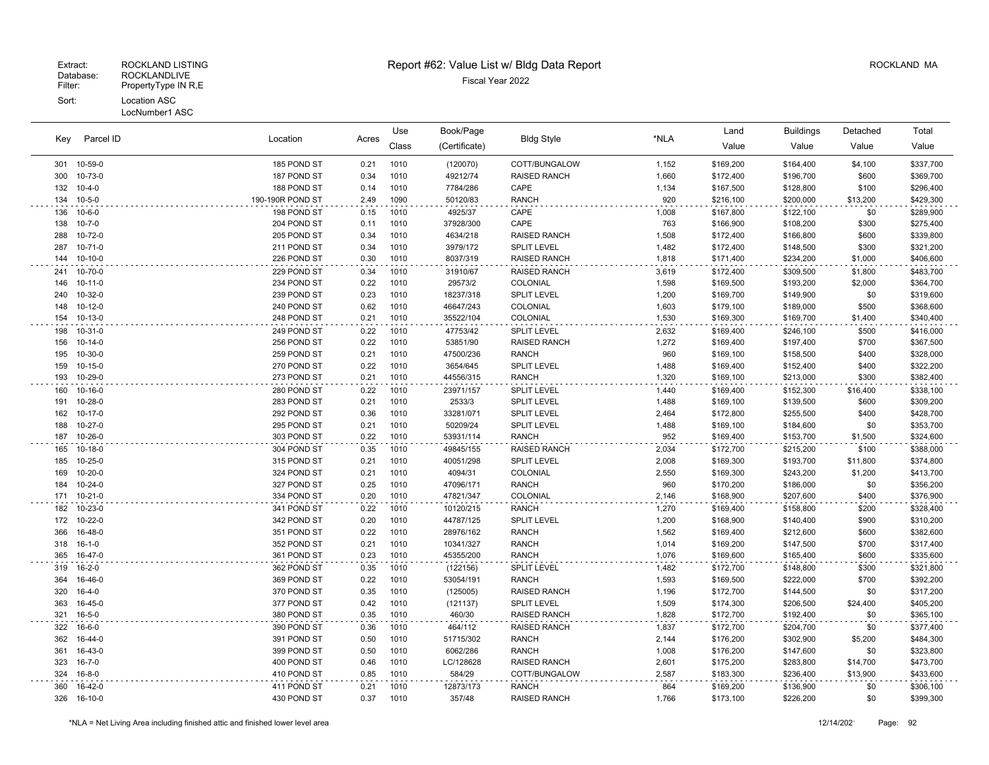|     | Parcel ID<br>Kev | Location         |      | Book/Page<br>Use<br><b>Bldg Style</b><br>Acres |               | Land                | <b>Buildings</b> | Detached  | Total     |          |           |
|-----|------------------|------------------|------|------------------------------------------------|---------------|---------------------|------------------|-----------|-----------|----------|-----------|
|     |                  |                  |      | Class                                          | (Certificate) |                     | *NLA             | Value     | Value     | Value    | Value     |
|     | 301 10-59-0      | 185 POND ST      | 0.21 | 1010                                           | (120070)      | COTT/BUNGALOW       | 1,152            | \$169,200 | \$164,400 | \$4,100  | \$337,700 |
| 300 | 10-73-0          | 187 POND ST      | 0.34 | 1010                                           | 49212/74      | <b>RAISED RANCH</b> | 1,660            | \$172,400 | \$196,700 | \$600    | \$369,700 |
| 132 | $10 - 4 - 0$     | 188 POND ST      | 0.14 | 1010                                           | 7784/286      | CAPE                | 1,134            | \$167,500 | \$128,800 | \$100    | \$296,400 |
| 134 | $10 - 5 - 0$     | 190-190R POND ST | 2.49 | 1090                                           | 50120/83      | <b>RANCH</b>        | 920              | \$216,100 | \$200,000 | \$13,200 | \$429,300 |
| 136 | $10 - 6 - 0$     | 198 POND ST      | 0.15 | 1010                                           | 4925/37       | CAPE                | 1,008            | \$167,800 | \$122,100 | \$0      | \$289,900 |
| 138 | $10 - 7 - 0$     | 204 POND ST      | 0.11 | 1010                                           | 37928/300     | CAPE                | 763              | \$166,900 | \$108,200 | \$300    | \$275,400 |
| 288 | 10-72-0          | 205 POND ST      | 0.34 | 1010                                           | 4634/218      | <b>RAISED RANCH</b> | 1,508            | \$172,400 | \$166,800 | \$600    | \$339,800 |
| 287 | $10 - 71 - 0$    | 211 POND ST      | 0.34 | 1010                                           | 3979/172      | <b>SPLIT LEVEL</b>  | 1,482            | \$172,400 | \$148,500 | \$300    | \$321,200 |
| 144 | $10-10-0$        | 226 POND ST      | 0.30 | 1010                                           | 8037/319      | <b>RAISED RANCH</b> | 1,818            | \$171,400 | \$234,200 | \$1,000  | \$406,600 |
| 241 | 10-70-0          | 229 POND ST      | 0.34 | 1010                                           | 31910/67      | RAISED RANCH        | 3,619            | \$172,400 | \$309,500 | \$1,800  | \$483,700 |
| 146 | $10 - 11 - 0$    | 234 POND ST      | 0.22 | 1010                                           | 29573/2       | COLONIAL            | 1,598            | \$169,500 | \$193,200 | \$2,000  | \$364,700 |
| 240 | 10-32-0          | 239 POND ST      | 0.23 | 1010                                           | 18237/318     | <b>SPLIT LEVEL</b>  | 1,200            | \$169,700 | \$149,900 | \$0      | \$319,600 |
| 148 | $10 - 12 - 0$    | 240 POND ST      | 0.62 | 1010                                           | 46647/243     | COLONIAL            | 1,603            | \$179,100 | \$189,000 | \$500    | \$368,600 |
| 154 | 10-13-0          | 248 POND ST      | 0.21 | 1010                                           | 35522/104     | COLONIAL            | 1,530            | \$169,300 | \$169,700 | \$1,400  | \$340,400 |
| 198 | 10-31-0          | 249 POND ST      | 0.22 | 1010                                           | 47753/42      | SPLIT LEVEL         | 2,632            | \$169,400 | \$246,100 | \$500    | \$416,000 |
| 156 | $10 - 14 - 0$    | 256 POND ST      | 0.22 | 1010                                           | 53851/90      | RAISED RANCH        | 1,272            | \$169,400 | \$197,400 | \$700    | \$367,500 |
| 195 | 10-30-0          | 259 POND ST      | 0.21 | 1010                                           | 47500/236     | <b>RANCH</b>        | 960              | \$169,100 | \$158,500 | \$400    | \$328,000 |
| 159 | $10 - 15 - 0$    | 270 POND ST      | 0.22 | 1010                                           | 3654/645      | <b>SPLIT LEVEL</b>  | 1,488            | \$169,400 | \$152,400 | \$400    | \$322,200 |
| 193 | 10-29-0          | 273 POND ST      | 0.21 | 1010                                           | 44556/315     | <b>RANCH</b>        | 1,320            | \$169,100 | \$213,000 | \$300    | \$382,400 |
| 160 | 10-16-0          | 280 POND ST      | 0.22 | 1010                                           | 23971/157     | <b>SPLIT LEVEL</b>  | 1,440            | \$169,400 | \$152,300 | \$16,400 | \$338,100 |
| 191 | 10-28-0          | 283 POND ST      | 0.21 | 1010                                           | 2533/3        | <b>SPLIT LEVEL</b>  | 1,488            | \$169,100 | \$139,500 | \$600    | \$309,200 |
| 162 | $10-17-0$        | 292 POND ST      | 0.36 | 1010                                           | 33281/071     | <b>SPLIT LEVEL</b>  | 2,464            | \$172,800 | \$255,500 | \$400    | \$428,700 |
| 188 | $10 - 27 - 0$    | 295 POND ST      | 0.21 | 1010                                           | 50209/24      | <b>SPLIT LEVEL</b>  | 1,488            | \$169,100 | \$184,600 | \$0      | \$353,700 |
| 187 | 10-26-0          | 303 POND ST      | 0.22 | 1010                                           | 53931/114     | RANCH               | 952              | \$169,400 | \$153,700 | \$1,500  | \$324,600 |
| 165 | $10-18-0$        | 304 POND ST      | 0.35 | 1010                                           | 49845/155     | RAISED RANCH        | 2,034            | \$172,700 | \$215,200 | \$100    | \$388,000 |
| 185 | $10 - 25 - 0$    | 315 POND ST      | 0.21 | 1010                                           | 40051/298     | <b>SPLIT LEVEL</b>  | 2,008            | \$169,300 | \$193,700 | \$11,800 | \$374,800 |
| 169 | $10 - 20 - 0$    | 324 POND ST      | 0.21 | 1010                                           | 4094/31       | COLONIAL            | 2,550            | \$169,300 | \$243,200 | \$1,200  | \$413,700 |
| 184 | $10 - 24 - 0$    | 327 POND ST      | 0.25 | 1010                                           | 47096/171     | <b>RANCH</b>        | 960              | \$170,200 | \$186,000 | \$0      | \$356,200 |
| 171 | $10 - 21 - 0$    | 334 POND ST      | 0.20 | 1010                                           | 47821/347     | <b>COLONIAL</b>     | 2.146            | \$168,900 | \$207,600 | \$400    | \$376,900 |
| 182 | 10-23-0          | 341 POND ST      | 0.22 | 1010                                           | 10120/215     | <b>RANCH</b>        | 1,270            | \$169,400 | \$158,800 | \$200    | \$328,400 |
| 172 | 10-22-0          | 342 POND ST      | 0.20 | 1010                                           | 44787/125     | <b>SPLIT LEVEL</b>  | 1,200            | \$168,900 | \$140,400 | \$900    | \$310,200 |
| 366 | 16-48-0          | 351 POND ST      | 0.22 | 1010                                           | 28976/162     | <b>RANCH</b>        | 1,562            | \$169,400 | \$212,600 | \$600    | \$382,600 |
| 318 | $16 - 1 - 0$     | 352 POND ST      | 0.21 | 1010                                           | 10341/327     | <b>RANCH</b>        | 1,014            | \$169,200 | \$147,500 | \$700    | \$317,400 |
| 365 | 16-47-0          | 361 POND ST      | 0.23 | 1010                                           | 45355/200     | <b>RANCH</b>        | 1,076            | \$169,600 | \$165,400 | \$600    | \$335,600 |
| 319 | $16 - 2 - 0$     | 362 POND ST      | 0.35 | 1010                                           | (122156)      | SPLIT LEVEL         | 1,482            | \$172,700 | \$148,800 | \$300    | \$321,800 |
| 364 | 16-46-0          | 369 POND ST      | 0.22 | 1010                                           | 53054/191     | <b>RANCH</b>        | 1,593            | \$169,500 | \$222,000 | \$700    | \$392,200 |
| 320 | $16 - 4 - 0$     | 370 POND ST      | 0.35 | 1010                                           | (125005)      | RAISED RANCH        | 1,196            | \$172,700 | \$144,500 | \$0      | \$317,200 |
| 363 | 16-45-0          | 377 POND ST      | 0.42 | 1010                                           | (121137)      | <b>SPLIT LEVEL</b>  | 1,509            | \$174,300 | \$206,500 | \$24,400 | \$405,200 |
| 321 | $16 - 5 - 0$     | 380 POND ST      | 0.35 | 1010                                           | 460/30        | RAISED RANCH        | 1,828            | \$172,700 | \$192,400 | \$0      | \$365,100 |
| 322 | 16-6-0           | 390 POND ST      | 0.36 | 1010                                           | 464/112       | RAISED RANCH        | 1,837            | \$172,700 | \$204,700 | \$0      | \$377,400 |
| 362 | 16-44-0          | 391 POND ST      | 0.50 | 1010                                           | 51715/302     | <b>RANCH</b>        | 2,144            | \$176,200 | \$302,900 | \$5,200  | \$484,300 |
| 361 | 16-43-0          | 399 POND ST      | 0.50 | 1010                                           | 6062/286      | <b>RANCH</b>        | 1,008            | \$176,200 | \$147,600 | \$0      | \$323,800 |
| 323 | $16 - 7 - 0$     | 400 POND ST      | 0.46 | 1010                                           | LC/128628     | RAISED RANCH        | 2,601            | \$175,200 | \$283,800 | \$14,700 | \$473,700 |
| 324 | $16 - 8 - 0$     | 410 POND ST      | 0.85 | 1010                                           | 584/29        | COTT/BUNGALOW       | 2,587            | \$183,300 | \$236,400 | \$13,900 | \$433,600 |
| 360 | 16-42-0          | 411 POND ST      | 0.21 | 1010                                           | 12873/173     | <b>RANCH</b>        | 864              | \$169,200 | \$136,900 | \$0      | \$306,100 |
| 326 | 16-10-0          | 430 POND ST      | 0.37 | 1010                                           | 357/48        | RAISED RANCH        | 1,766            | \$173,100 | \$226,200 | \$0      | \$399,300 |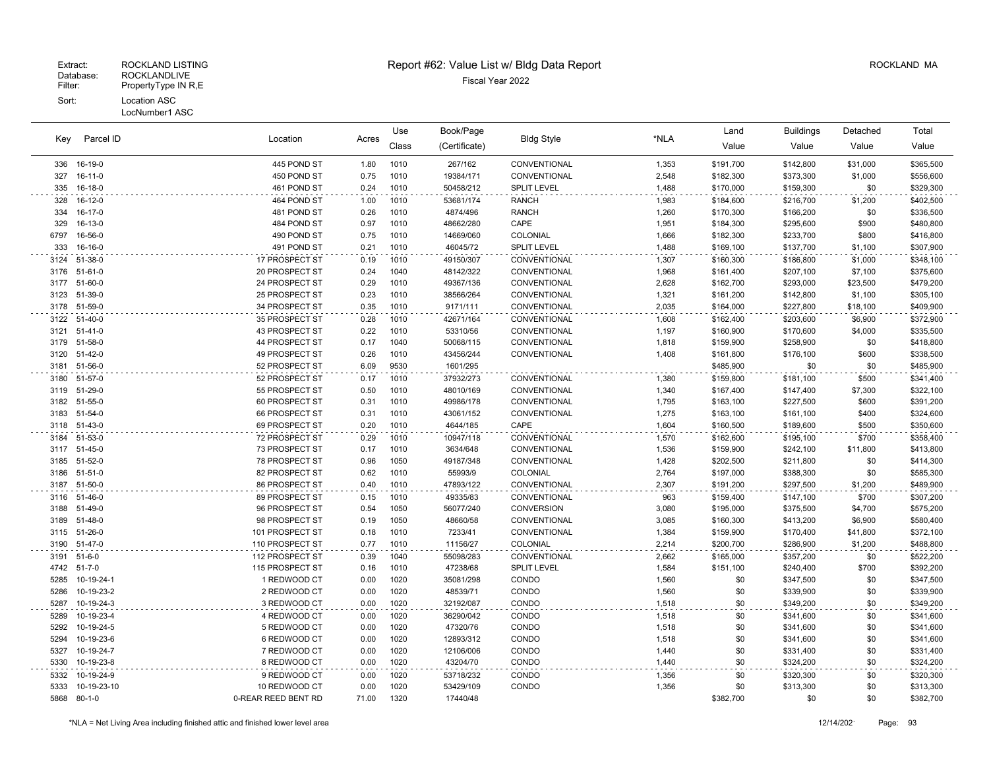LocNumber1 ASC

| Key          | Parcel ID                |                                  |              | Use          | Book/Page            |                          |                | Land                   | <b>Buildings</b>       | Detached         | Total                  |
|--------------|--------------------------|----------------------------------|--------------|--------------|----------------------|--------------------------|----------------|------------------------|------------------------|------------------|------------------------|
|              |                          | Location                         | Acres        | Class        | (Certificate)        | <b>Bldg Style</b>        | *NLA           | Value                  | Value                  | Value            | Value                  |
| 336          | 16-19-0                  | 445 POND ST                      | 1.80         | 1010         | 267/162              | CONVENTIONAL             | 1,353          | \$191,700              | \$142,800              | \$31,000         | \$365,500              |
| 327          | 16-11-0                  | 450 POND ST                      | 0.75         | 1010         | 19384/171            | CONVENTIONAL             | 2,548          | \$182,300              | \$373,300              | \$1,000          | \$556,600              |
| 335          | 16-18-0                  | 461 POND ST                      | 0.24         | 1010         | 50458/212            | <b>SPLIT LEVEL</b>       | 1,488          | \$170,000              | \$159,300              | \$0              | \$329,300              |
| 328          | 16-12-0                  | 464 POND ST                      | 1.00         | 1010         | 53681/174            | <b>RANCH</b>             | 1,983          | \$184,600              | \$216,700              | \$1,200          | \$402,500              |
| 334          | 16-17-0                  | 481 POND ST                      | 0.26         | 1010         | 4874/496             | <b>RANCH</b>             | 1,260          | \$170,300              | \$166,200              | \$0              | \$336,500              |
| 329          | 16-13-0                  | 484 POND ST                      | 0.97         | 1010         | 48662/280            | CAPE                     | 1,951          | \$184,300              | \$295,600              | \$900            | \$480,800              |
| 6797         | 16-56-0                  | 490 POND ST                      | 0.75         | 1010         | 14669/060            | COLONIAL                 | 1,666          | \$182,300              | \$233,700              | \$800            | \$416,800              |
| 333          | 16-16-0                  | 491 POND ST                      | 0.21         | 1010         | 46045/72             | <b>SPLIT LEVEL</b>       | 1,488          | \$169,100              | \$137,700              | \$1,100          | \$307,900              |
| 3124         | 51-38-0                  | 17 PROSPECT ST                   | 0.19         | 1010         | 49150/307            | CONVENTIONAL             | 1,307          | \$160,300              | \$186,800              | \$1,000          | \$348,100              |
| 3176         | $51-61-0$                | 20 PROSPECT ST                   | 0.24         | 1040         | 48142/322            | CONVENTIONAL             | 1,968          | \$161,400              | \$207,100              | \$7,100          | \$375,600              |
| 3177         | 51-60-0                  | 24 PROSPECT ST                   | 0.29         | 1010         | 49367/136            | CONVENTIONAL             | 2,628          | \$162,700              | \$293,000              | \$23,500         | \$479,200              |
| 3123         | 51-39-0                  | 25 PROSPECT ST                   | 0.23         | 1010         | 38566/264            | CONVENTIONAL             | 1,321          | \$161,200              | \$142,800              | \$1,100          | \$305,100              |
| 3178         | 51-59-0                  | 34 PROSPECT ST                   | 0.35         | 1010         | 9171/111             | CONVENTIONAL             | 2,035          | \$164,000              | \$227,800              | \$18,100         | \$409,900              |
| 3122         | 51-40-0                  | 35 PROSPECT ST                   | 0.28         | 1010         | 42671/164            | CONVENTIONAL             | 1,608          | \$162,400              | \$203,600              | \$6,900          | \$372,900              |
| 3121         | $51 - 41 - 0$            | 43 PROSPECT ST                   | 0.22         | 1010         | 53310/56             | <b>CONVENTIONAL</b>      | 1,197          | \$160,900              | \$170,600              | \$4,000          | \$335,500              |
| 3179         | 51-58-0                  | 44 PROSPECT ST                   | 0.17         | 1040         | 50068/115            | CONVENTIONAL             | 1,818          | \$159,900              | \$258,900              | \$0              | \$418,800              |
| 3120         | 51-42-0                  | 49 PROSPECT ST                   | 0.26         | 1010         | 43456/244            | CONVENTIONAL             | 1,408          | \$161,800              | \$176,100              | \$600            | \$338,500              |
| 3181         | 51-56-0                  | 52 PROSPECT ST                   | 6.09         | 9530         | 1601/295             |                          |                | \$485,900              | \$0                    | \$0              | \$485,900              |
| 3180         | 51-57-0                  | 52 PROSPECT ST                   | 0.17         | 1010         | 37932/273            | CONVENTIONAL             | 1,380          | \$159,800              | \$181,100              | \$500            | \$341,400              |
| 3119         | 51-29-0                  | 55 PROSPECT ST                   | 0.50         | 1010         | 48010/169            | CONVENTIONAL             | 1,340          | \$167,400              | \$147,400              | \$7,300          | \$322,100              |
| 3182         | 51-55-0                  | 60 PROSPECT ST                   | 0.31         | 1010         | 49986/178            | CONVENTIONAL             | 1,795          | \$163,100              | \$227,500              | \$600            | \$391,200              |
| 3183         | 51-54-0                  | 66 PROSPECT ST                   | 0.31         | 1010         | 43061/152            | CONVENTIONAL             | 1,275          | \$163,100              | \$161,100              | \$400            | \$324,600              |
| 3118         | 51-43-0                  | 69 PROSPECT ST                   | 0.20         | 1010         | 4644/185             | CAPE                     | 1,604          | \$160,500              | \$189,600              | \$500            | \$350,600              |
| 3184         | 51-53-0                  | 72 PROSPECT ST                   | 0.29         | 1010         | 10947/118            | CONVENTIONAL             | 1,570          | \$162,600              | \$195,100              | \$700            | \$358,400              |
| 3117         | 51-45-0                  | 73 PROSPECT ST                   | 0.17         | 1010         | 3634/648             | CONVENTIONAL             | 1,536          | \$159,900              | \$242,100              | \$11,800         | \$413,800              |
| 3185         | 51-52-0                  | 78 PROSPECT ST<br>82 PROSPECT ST | 0.96<br>0.62 | 1050<br>1010 | 49187/348            | CONVENTIONAL             | 1,428          | \$202,500              | \$211,800              | \$0              | \$414,300<br>\$585,300 |
| 3186<br>3187 | $51 - 51 - 0$<br>51-50-0 | 86 PROSPECT ST                   | 0.40         | 1010         | 55993/9<br>47893/122 | COLONIAL<br>CONVENTIONAL | 2,764<br>2,307 | \$197,000<br>\$191,200 | \$388,300<br>\$297,500 | \$0<br>\$1,200   | \$489,900              |
|              | 51-46-0                  | 89 PROSPECT ST                   | 0.15         | 1010         | 49335/83             | CONVENTIONAL             |                |                        |                        |                  |                        |
| 3116<br>3188 | 51-49-0                  | 96 PROSPECT ST                   | 0.54         | 1050         | 56077/240            | <b>CONVERSION</b>        | 963<br>3,080   | \$159,400<br>\$195,000 | \$147,100<br>\$375,500 | \$700<br>\$4,700 | \$307,200<br>\$575,200 |
| 3189         | 51-48-0                  | 98 PROSPECT ST                   | 0.19         | 1050         | 48660/58             | CONVENTIONAL             | 3,085          | \$160,300              | \$413,200              | \$6,900          | \$580,400              |
| 3115         | 51-26-0                  | 101 PROSPECT ST                  | 0.18         | 1010         | 7233/41              | CONVENTIONAL             | 1,384          | \$159,900              | \$170,400              | \$41,800         | \$372,100              |
| 3190         | 51-47-0                  | 110 PROSPECT ST                  | 0.77         | 1010         | 11156/27             | COLONIAL                 | 2,214          | \$200,700              | \$286,900              | \$1,200          | \$488,800              |
| 3191         | $51 - 6 - 0$             | 112 PROSPECT ST                  | 0.39         | 1040         | 55098/283            | CONVENTIONAL             | 2,662          | \$165,000              | \$357,200              | \$0              | \$522,200              |
| 4742         | 51-7-0                   | 115 PROSPECT ST                  | 0.16         | 1010         | 47238/68             | <b>SPLIT LEVEL</b>       | 1,584          | \$151,100              | \$240,400              | \$700            | \$392,200              |
| 5285         | 10-19-24-1               | 1 REDWOOD CT                     | 0.00         | 1020         | 35081/298            | CONDO                    | 1,560          | \$0                    | \$347,500              | \$0              | \$347,500              |
| 5286         | 10-19-23-2               | 2 REDWOOD CT                     | 0.00         | 1020         | 48539/71             | CONDO                    | 1,560          | \$0                    | \$339,900              | \$0              | \$339,900              |
| 5287         | 10-19-24-3               | 3 REDWOOD CT                     | 0.00         | 1020         | 32192/087            | CONDO                    | 1,518          | \$0                    | \$349,200              | \$0              | \$349,200              |
| 5289         | 10-19-23-4               | 4 REDWOOD CT                     | 0.00         | 1020         | 36290/042            | CONDO                    | 1,518          | \$0                    | \$341,600              | \$0              | \$341,600              |
| 5292         | 10-19-24-5               | 5 REDWOOD CT                     | 0.00         | 1020         | 47320/76             | CONDO                    | 1,518          | \$0                    | \$341,600              | \$0              | \$341,600              |
| 5294         | 10-19-23-6               | 6 REDWOOD CT                     | 0.00         | 1020         | 12893/312            | CONDO                    | 1,518          | \$0                    | \$341,600              | \$0              | \$341,600              |
| 5327         | 10-19-24-7               | 7 REDWOOD CT                     | 0.00         | 1020         | 12106/006            | CONDO                    | 1,440          | \$0                    | \$331,400              | \$0              | \$331,400              |
| 5330         | 10-19-23-8               | 8 REDWOOD CT                     | 0.00         | 1020         | 43204/70             | CONDO                    | 1,440          | \$0                    | \$324,200              | \$0              | \$324,200              |
| 5332         | 10-19-24-9               | 9 REDWOOD CT                     | 0.00         | 1020         | 53718/232            | CONDO                    | 1,356          | \$0                    | \$320,300              | \$0              | \$320,300              |
| 5333         | 10-19-23-10              | 10 REDWOOD CT                    | 0.00         | 1020         | 53429/109            | CONDO                    | 1,356          | \$0                    | \$313,300              | \$0              | \$313,300              |
| 5868         | $80 - 1 - 0$             | 0-REAR REED BENT RD              | 71.00        | 1320         | 17440/48             |                          |                | \$382,700              | \$0                    | \$0              | \$382,700              |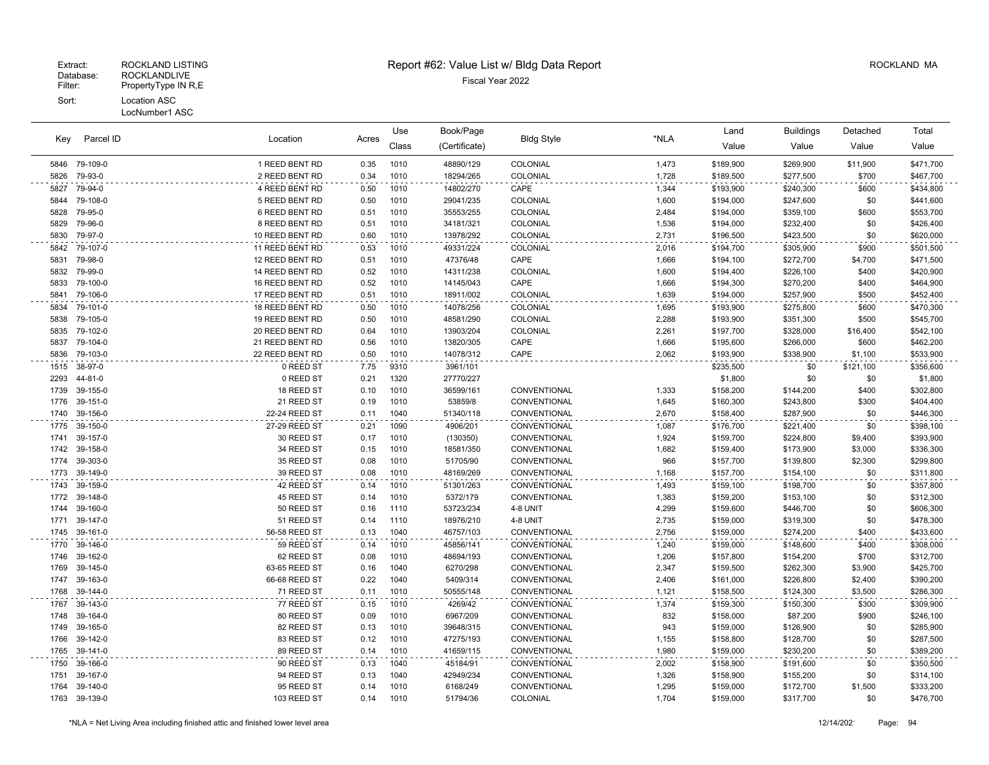|      |                      |                           | Book/Page<br>Use<br>Acres |              |                      | Land              | <b>Buildings</b> | Detached  | Total                  |                |           |
|------|----------------------|---------------------------|---------------------------|--------------|----------------------|-------------------|------------------|-----------|------------------------|----------------|-----------|
| Key  | Parcel ID            | Location                  |                           | Class        | (Certificate)        | <b>Bldg Style</b> | *NLA             | Value     | Value                  | Value          | Value     |
| 5846 | 79-109-0             | 1 REED BENT RD            | 0.35                      | 1010         | 48890/129            | COLONIAL          | 1,473            | \$189,900 | \$269,900              | \$11,900       | \$471,700 |
| 5826 | 79-93-0              | 2 REED BENT RD            | 0.34                      | 1010         | 18294/265            | COLONIAL          | 1,728            | \$189,500 | \$277,500              | \$700          | \$467,700 |
| 5827 | 79-94-0              | 4 REED BENT RD            | 0.50                      | 1010         | 14802/270            | CAPE              | 1,344            | \$193,900 | \$240,300              | \$600          | \$434,800 |
| 5844 | 79-108-0             | 5 REED BENT RD            | 0.50                      | 1010         | 29041/235            | COLONIAL          | 1,600            | \$194,000 | \$247,600              | \$0            | \$441,600 |
| 5828 | 79-95-0              | 6 REED BENT RD            | 0.51                      | 1010         | 35553/255            | COLONIAL          | 2,484            | \$194,000 | \$359,100              | \$600          | \$553,700 |
| 5829 | 79-96-0              | 8 REED BENT RD            | 0.51                      | 1010         | 34181/321            | COLONIAL          | 1,536            | \$194,000 | \$232,400              | \$0            | \$426,400 |
| 5830 | 79-97-0              | 10 REED BENT RD           | 0.60                      | 1010         | 13978/292            | COLONIAL          | 2,731            | \$196,500 | \$423,500              | \$0            | \$620,000 |
| 5842 | 79-107-0             | 11 REED BENT RD           | 0.53                      | 1010         | 49331/224            | COLONIAL          | 2,016            | \$194,700 | \$305,900              | \$900          | \$501,500 |
| 5831 | 79-98-0              | 12 REED BENT RD           | 0.51                      | 1010         | 47376/48             | CAPE              | 1,666            | \$194,100 | \$272,700              | \$4,700        | \$471,500 |
| 5832 | 79-99-0              | 14 REED BENT RD           | 0.52                      | 1010         | 14311/238            | COLONIAL          | 1,600            | \$194,400 | \$226,100              | \$400          | \$420,900 |
| 5833 | 79-100-0             | 16 REED BENT RD           | 0.52                      | 1010         | 14145/043            | CAPE              | 1,666            | \$194,300 | \$270,200              | \$400          | \$464,900 |
| 5841 | 79-106-0             | 17 REED BENT RD           | 0.51                      | 1010         | 18911/002            | COLONIAL          | 1,639            | \$194,000 | \$257,900              | \$500          | \$452,400 |
| 5834 | 79-101-0             | 18 REED BENT RD           | 0.50                      | 1010         | 14078/256            | COLONIAL          | 1,695            | \$193,900 | \$275,800              | \$600          | \$470,300 |
| 5838 | 79-105-0             | 19 REED BENT RD           | 0.50                      | 1010         | 48581/290            | COLONIAL          | 2,288            | \$193,900 | \$351,300              | \$500          | \$545,700 |
| 5835 | 79-102-0             | 20 REED BENT RD           | 0.64                      | 1010         | 13903/204            | COLONIAL          | 2,261            | \$197,700 | \$328,000              | \$16,400       | \$542,100 |
| 5837 | 79-104-0             | 21 REED BENT RD           | 0.56                      | 1010         | 13820/305            | CAPE              | 1,666            | \$195,600 | \$266,000              | \$600          | \$462,200 |
| 5836 | 79-103-0             | 22 REED BENT RD           | 0.50                      | 1010         | 14078/312            | CAPE              | 2,062            | \$193,900 | \$338,900              | \$1,100        | \$533,900 |
| 1515 | 38-97-0              | 0 REED ST                 | 7.75                      | 9310         | 3961/101             |                   |                  | \$235,500 | \$0                    | \$121,100      | \$356,600 |
| 2293 | 44-81-0              | 0 REED ST                 | 0.21                      | 1320         | 27770/227            |                   |                  | \$1,800   | \$0                    | \$0            | \$1,800   |
| 1739 | 39-155-0             | 18 REED ST                | 0.10                      | 1010         | 36599/161            | CONVENTIONAL      | 1,333            | \$158,200 | \$144,200              | \$400          | \$302,800 |
| 1776 | 39-151-0             | 21 REED ST                | 0.19                      | 1010         | 53859/8              | CONVENTIONAL      | 1,645            | \$160,300 | \$243,800              | \$300          | \$404,400 |
| 1740 | 39-156-0             | 22-24 REED ST             | 0.11                      | 1040         | 51340/118            | CONVENTIONAL      | 2,670            | \$158,400 | \$287,900              | \$0            | \$446,300 |
| 1775 | 39-150-0             | 27-29 REED ST             | 0.21                      | 1090         | 4906/201             | CONVENTIONAL      | 1,087            | \$176,700 | \$221,400              | \$0            | \$398,100 |
| 1741 | 39-157-0             | 30 REED ST                | 0.17                      | 1010         | (130350)             | CONVENTIONAL      | 1,924            | \$159,700 | \$224,800              | \$9,400        | \$393,900 |
| 1742 | 39-158-0             | 34 REED ST                | 0.15                      | 1010         | 18581/350            | CONVENTIONAL      | 1,682            | \$159,400 | \$173,900              | \$3,000        | \$336,300 |
| 1774 | 39-303-0             | 35 REED ST                | 0.08                      | 1010         | 51705/90             | CONVENTIONAL      | 966              | \$157,700 | \$139,800              | \$2,300        | \$299,800 |
| 1773 | 39-149-0             | 39 REED ST                | 0.08                      | 1010         | 48169/269            | CONVENTIONAL      | 1,168            | \$157,700 | \$154,100              | \$0            | \$311,800 |
| 1743 | 39-159-0             | 42 REED ST                | 0.14                      | 1010         | 51301/263            | CONVENTIONAL      | 1,493            | \$159,100 | \$198,700              | \$0            | \$357,800 |
| 1772 | 39-148-0             | 45 REED ST                | 0.14                      | 1010         | 5372/179             | CONVENTIONAL      | 1,383            | \$159,200 | \$153,100              | \$0            | \$312,300 |
| 1744 | 39-160-0             | 50 REED ST                | 0.16                      | 1110         | 53723/234            | 4-8 UNIT          | 4,299            | \$159,600 | \$446,700              | \$0            | \$606,300 |
| 1771 | 39-147-0             | 51 REED ST                | 0.14                      | 1110         | 18976/210            | 4-8 UNIT          | 2,735            | \$159,000 | \$319,300              | \$0            | \$478,300 |
| 1745 | 39-161-0             | 56-58 REED ST             | 0.13                      | 1040         | 46757/103            | CONVENTIONAL      | 2,756            | \$159,000 | \$274,200              | \$400          | \$433,600 |
| 1770 | 39-146-0             | 59 REED ST                | 0.14                      | 1010         | 45856/141            | CONVENTIONAL      | 1,240            | \$159,000 | \$148,600              | \$400          | \$308,000 |
| 1746 | 39-162-0             | 62 REED ST                | 0.08                      | 1010         | 48694/193            | CONVENTIONAL      | 1,206            | \$157,800 | \$154,200              | \$700          | \$312,700 |
| 1769 | 39-145-0             | 63-65 REED ST             | 0.16                      | 1040         | 6270/298             | CONVENTIONAL      | 2,347            | \$159,500 | \$262,300              | \$3,900        | \$425,700 |
| 1747 | 39-163-0             | 66-68 REED ST             | 0.22                      | 1040         | 5409/314             | CONVENTIONAL      | 2,406            | \$161,000 | \$226,800              | \$2,400        | \$390,200 |
| 1768 | 39-144-0             | 71 REED ST                | 0.11                      | 1010         | 50555/148            | CONVENTIONAL      | 1,121            | \$158,500 | \$124,300              | \$3,500        | \$286,300 |
| 1767 | 39-143-0             | 77 REED ST                | 0.15                      | 1010         | 4269/42              | CONVENTIONAL      | 1,374            | \$159,300 | \$150,300              | \$300          | \$309,900 |
| 1748 | 39-164-0             | 80 REED ST                | 0.09                      | 1010         | 6967/209             | CONVENTIONAL      | 832              | \$158,000 | \$87,200               | \$900          | \$246,100 |
| 1749 | 39-165-0             | 82 REED ST                | 0.13                      | 1010         | 39648/315            | CONVENTIONAL      | 943              | \$159,000 | \$126,900              | \$0            | \$285,900 |
| 1766 | 39-142-0             | 83 REED ST                | 0.12                      | 1010         | 47275/193            | CONVENTIONAL      | 1,155            | \$158,800 | \$128,700              | \$0            | \$287,500 |
| 1765 | 39-141-0             | 89 REED ST                | 0.14                      | 1010         | 41659/115            | CONVENTIONAL      | 1,980            | \$159,000 | \$230,200              | \$0            | \$389,200 |
| 1750 | 39-166-0             | 90 REED ST                | 0.13                      | 1040         | 45184/91             | CONVENTIONAL      | 2,002            | \$158,900 | \$191,600              | \$0            | \$350,500 |
| 1751 | 39-167-0             | 94 REED ST                | 0.13                      | 1040         | 42949/234            | CONVENTIONAL      | 1,326            | \$158,900 | \$155,200              | \$0            | \$314,100 |
| 1764 | 39-140-0<br>39-139-0 | 95 REED ST<br>103 REED ST | 0.14<br>0.14              | 1010<br>1010 | 6168/249<br>51794/36 | CONVENTIONAL      | 1,295<br>1,704   | \$159,000 | \$172,700<br>\$317,700 | \$1,500<br>\$0 | \$333,200 |
| 1763 |                      |                           |                           |              |                      | COLONIAL          |                  | \$159,000 |                        |                | \$476,700 |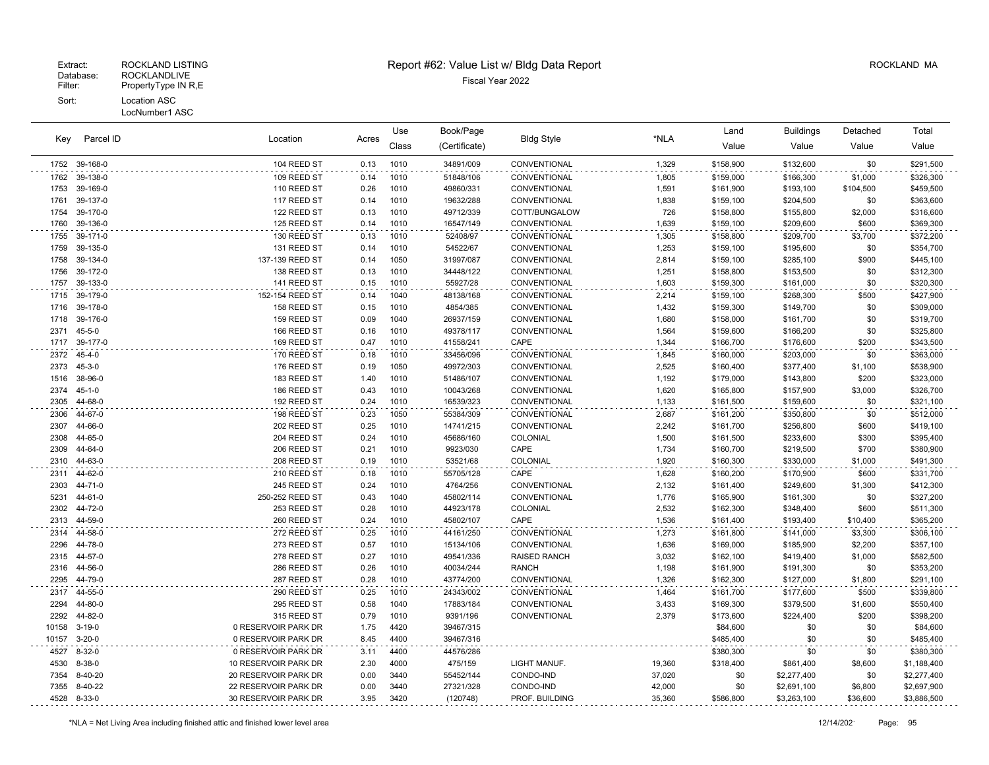| Parcel ID<br>Key | Location      |                      | Use   | Book/Page |               |                     | Land   | <b>Buildings</b> | Detached    | Total     |             |
|------------------|---------------|----------------------|-------|-----------|---------------|---------------------|--------|------------------|-------------|-----------|-------------|
|                  |               |                      | Acres | Class     | (Certificate) | <b>Bldg Style</b>   | *NLA   | Value            | Value       | Value     | Value       |
|                  | 1752 39-168-0 | 104 REED ST          | 0.13  | 1010      | 34891/009     | CONVENTIONAL        | 1,329  | \$158,900        | \$132,600   | \$0       | \$291,500   |
| 1762             | 39-138-0      | 109 REED ST          | 0.14  | 1010      | 51848/106     | CONVENTIONAL        | 1,805  | \$159,000        | \$166,300   | \$1,000   | \$326,300   |
| 1753             | 39-169-0      | 110 REED ST          | 0.26  | 1010      | 49860/331     | CONVENTIONAL        | 1,591  | \$161,900        | \$193,100   | \$104,500 | \$459,500   |
| 1761             | 39-137-0      | 117 REED ST          | 0.14  | 1010      | 19632/288     | CONVENTIONAL        | 1,838  | \$159,100        | \$204,500   | \$0       | \$363,600   |
| 1754             | 39-170-0      | 122 REED ST          | 0.13  | 1010      | 49712/339     | COTT/BUNGALOW       | 726    | \$158,800        | \$155,800   | \$2,000   | \$316,600   |
| 1760             | 39-136-0      | 125 REED ST          | 0.14  | 1010      | 16547/149     | CONVENTIONAL        | 1,639  | \$159,100        | \$209,600   | \$600     | \$369,300   |
| 1755             | 39-171-0      | 130 REED ST          | 0.13  | 1010      | 52408/97      | CONVENTIONAL        | 1,305  | \$158,800        | \$209,700   | \$3,700   | \$372,200   |
| 1759             | 39-135-0      | 131 REED ST          | 0.14  | 1010      | 54522/67      | CONVENTIONAL        | 1,253  | \$159,100        | \$195,600   | \$0       | \$354,700   |
| 1758             | 39-134-0      | 137-139 REED ST      | 0.14  | 1050      | 31997/087     | CONVENTIONAL        | 2,814  | \$159,100        | \$285,100   | \$900     | \$445,100   |
| 1756             | 39-172-0      | 138 REED ST          | 0.13  | 1010      | 34448/122     | CONVENTIONAL        | 1,251  | \$158,800        | \$153,500   | \$0       | \$312,300   |
| 1757             | 39-133-0      | 141 REED ST          | 0.15  | 1010      | 55927/28      | CONVENTIONAL        | 1,603  | \$159,300        | \$161,000   | \$0       | \$320,300   |
| 1715             | 39-179-0      | 152-154 REED ST      | 0.14  | 1040      | 48138/168     | CONVENTIONAL        | 2,214  | \$159,100        | \$268,300   | \$500     | \$427,900   |
| 1716             | 39-178-0      | 158 REED ST          | 0.15  | 1010      | 4854/385      | CONVENTIONAL        | 1,432  | \$159,300        | \$149,700   | \$0       | \$309,000   |
| 1718             | 39-176-0      | 159 REED ST          | 0.09  | 1040      | 26937/159     | CONVENTIONAL        | 1,680  | \$158,000        | \$161,700   | \$0       | \$319,700   |
| 2371             | $45 - 5 - 0$  | 166 REED ST          | 0.16  | 1010      | 49378/117     | CONVENTIONAL        | 1,564  | \$159,600        | \$166,200   | \$0       | \$325,800   |
| 1717             | 39-177-0      | 169 REED ST          | 0.47  | 1010      | 41558/241     | CAPE                | 1,344  | \$166,700        | \$176,600   | \$200     | \$343,500   |
| 2372             | $45 - 4 - 0$  | 170 REED ST          | 0.18  | 1010      | 33456/096     | CONVENTIONAL        | 1,845  | \$160,000        | \$203,000   | \$0       | \$363,000   |
| 2373             | $45 - 3 - 0$  | 176 REED ST          | 0.19  | 1050      | 49972/303     | CONVENTIONAL        | 2,525  | \$160,400        | \$377,400   | \$1,100   | \$538,900   |
| 1516             | 38-96-0       | 183 REED ST          | 1.40  | 1010      | 51486/107     | CONVENTIONAL        | 1,192  | \$179,000        | \$143,800   | \$200     | \$323,000   |
| 2374             | $45 - 1 - 0$  | 186 REED ST          | 0.43  | 1010      | 10043/268     | CONVENTIONAL        | 1,620  | \$165,800        | \$157,900   | \$3,000   | \$326,700   |
| 2305             | 44-68-0       | 192 REED ST          | 0.24  | 1010      | 16539/323     | CONVENTIONAL        | 1,133  | \$161,500        | \$159,600   | \$0       | \$321,100   |
| 2306             | 44-67-0       | 198 REED ST          | 0.23  | 1050      | 55384/309     | CONVENTIONAL        | 2,687  | \$161,200        | \$350,800   | \$0       | \$512,000   |
| 2307             | 44-66-0       | 202 REED ST          | 0.25  | 1010      | 14741/215     | CONVENTIONAL        | 2,242  | \$161,700        | \$256,800   | \$600     | \$419,100   |
| 2308             | 44-65-0       | 204 REED ST          | 0.24  | 1010      | 45686/160     | COLONIAL            | 1,500  | \$161,500        | \$233,600   | \$300     | \$395,400   |
| 2309             | 44-64-0       | 206 REED ST          | 0.21  | 1010      | 9923/030      | CAPE                | 1,734  | \$160,700        | \$219,500   | \$700     | \$380,900   |
| 2310             | 44-63-0       | 208 REED ST          | 0.19  | 1010      | 53521/68      | COLONIAL            | 1,920  | \$160,300        | \$330,000   | \$1,000   | \$491,300   |
| 2311             | 44-62-0       | 210 REED ST          | 0.18  | 1010      | 55705/128     | CAPE                | 1,628  | \$160,200        | \$170,900   | \$600     | \$331,700   |
| 2303             | 44-71-0       | 245 REED ST          | 0.24  | 1010      | 4764/256      | CONVENTIONAL        | 2,132  | \$161,400        | \$249,600   | \$1,300   | \$412,300   |
| 5231             | 44-61-0       | 250-252 REED ST      | 0.43  | 1040      | 45802/114     | CONVENTIONAL        | 1,776  | \$165,900        | \$161,300   | \$0       | \$327,200   |
| 2302             | 44-72-0       | 253 REED ST          | 0.28  | 1010      | 44923/178     | COLONIAL            | 2,532  | \$162,300        | \$348,400   | \$600     | \$511,300   |
| 2313             | 44-59-0       | 260 REED ST          | 0.24  | 1010      | 45802/107     | CAPE                | 1,536  | \$161,400        | \$193,400   | \$10,400  | \$365,200   |
| 2314             | 44-58-0       | 272 REED ST          | 0.25  | 1010      | 44161/250     | CONVENTIONAL        | 1,273  | \$161,800        | \$141,000   | \$3,300   | \$306,100   |
| 2296             | 44-78-0       | 273 REED ST          | 0.57  | 1010      | 15134/106     | CONVENTIONAL        | 1,636  | \$169,000        | \$185,900   | \$2,200   | \$357,100   |
| 2315             | 44-57-0       | 278 REED ST          | 0.27  | 1010      | 49541/336     | <b>RAISED RANCH</b> | 3,032  | \$162,100        | \$419,400   | \$1,000   | \$582,500   |
| 2316             | 44-56-0       | 286 REED ST          | 0.26  | 1010      | 40034/244     | <b>RANCH</b>        | 1,198  | \$161,900        | \$191,300   | \$0       | \$353,200   |
| 2295             | 44-79-0       | 287 REED ST          | 0.28  | 1010      | 43774/200     | CONVENTIONAL        | 1,326  | \$162,300        | \$127,000   | \$1,800   | \$291,100   |
| 2317             | 44-55-0       | 290 REED ST          | 0.25  | 1010      | 24343/002     | CONVENTIONAL        | 1,464  | \$161,700        | \$177,600   | \$500     | \$339,800   |
| 2294             | 44-80-0       | 295 REED ST          | 0.58  | 1040      | 17883/184     | CONVENTIONAL        | 3,433  | \$169,300        | \$379,500   | \$1,600   | \$550,400   |
| 2292             | 44-82-0       | 315 REED ST          | 0.79  | 1010      | 9391/196      | CONVENTIONAL        | 2,379  | \$173,600        | \$224,400   | \$200     | \$398,200   |
| 10158            | $3 - 19 - 0$  | 0 RESERVOIR PARK DR  | 1.75  | 4420      | 39467/315     |                     |        | \$84,600         | \$0         | \$0       | \$84,600    |
| 10157            | $3 - 20 - 0$  | 0 RESERVOIR PARK DR  | 8.45  | 4400      | 39467/316     |                     |        | \$485,400        | \$0         | \$0       | \$485,400   |
| 4527             | $8 - 32 - 0$  | 0 RESERVOIR PARK DR  | 3.11  | 4400      | 44576/286     |                     |        | \$380,300        | \$0         | \$0       | \$380,300   |
| 4530             | $8 - 38 - 0$  | 10 RESERVOIR PARK DR | 2.30  | 4000      | 475/159       | LIGHT MANUF.        | 19,360 | \$318,400        | \$861,400   | \$8,600   | \$1,188,400 |
| 7354             | 8-40-20       | 20 RESERVOIR PARK DR | 0.00  | 3440      | 55452/144     | CONDO-IND           | 37,020 | \$0              | \$2,277,400 | \$0       | \$2,277,400 |
| 7355             | 8-40-22       | 22 RESERVOIR PARK DR | 0.00  | 3440      | 27321/328     | CONDO-IND           | 42,000 | \$0              | \$2,691,100 | \$6,800   | \$2,697,900 |
| 4528             | 8-33-0        | 30 RESERVOIR PARK DR | 3.95  | 3420      | (120748)      | PROF. BUILDING      | 35,360 | \$586,800        | \$3,263,100 | \$36,600  | \$3,886,500 |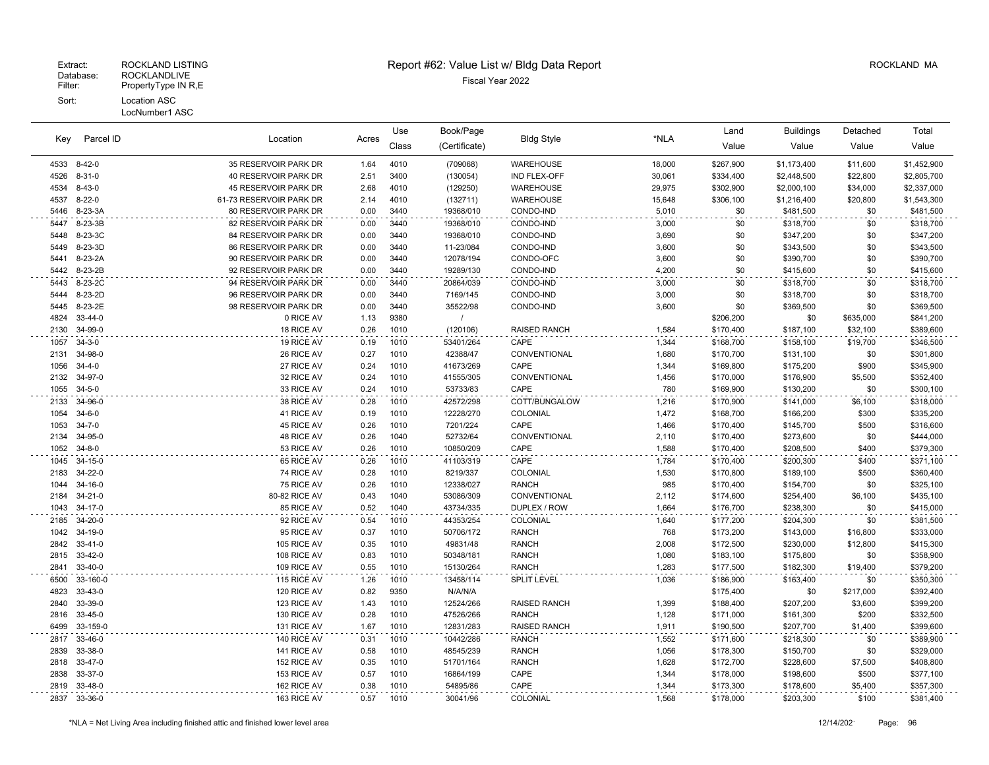| Parcel ID    | Location                |                             | Use          | Book/Page    |                      |                     | Land           | <b>Buildings</b>       | Detached               | Total        |                        |
|--------------|-------------------------|-----------------------------|--------------|--------------|----------------------|---------------------|----------------|------------------------|------------------------|--------------|------------------------|
| Key          |                         |                             | Acres        | Class        | (Certificate)        | <b>Bldg Style</b>   | *NLA           | Value                  | Value                  | Value        | Value                  |
|              | 4533 8-42-0             | 35 RESERVOIR PARK DR        | 1.64         | 4010         | (709068)             | WAREHOUSE           | 18,000         | \$267,900              | \$1,173,400            | \$11,600     | \$1,452,900            |
| 4526         | $8 - 31 - 0$            | 40 RESERVOIR PARK DR        | 2.51         | 3400         | (130054)             | IND FLEX-OFF        | 30,061         | \$334,400              | \$2,448,500            | \$22,800     | \$2,805,700            |
| 4534         | $8 - 43 - 0$            | 45 RESERVOIR PARK DR        | 2.68         | 4010         | (129250)             | WAREHOUSE           | 29,975         | \$302,900              | \$2,000,100            | \$34,000     | \$2,337,000            |
| 4537         | $8 - 22 - 0$            | 61-73 RESERVOIR PARK DR     | 2.14         | 4010         | (132711)             | WAREHOUSE           | 15,648         | \$306,100              | \$1,216,400            | \$20,800     | \$1,543,300            |
| 5446         | 8-23-3A                 | 80 RESERVOIR PARK DR        | 0.00         | 3440         | 19368/010            | CONDO-IND           | 5,010          | \$0                    | \$481,500              | \$0          | \$481,500              |
| 5447         | 8-23-3B                 | 82 RESERVOIR PARK DR        | 0.00         | 3440         | 19368/010            | CONDO-IND           | 3,000          | \$0                    | \$318,700              | \$0          | \$318,700              |
| 5448         | 8-23-3C                 | 84 RESERVOIR PARK DR        | 0.00         | 3440         | 19368/010            | CONDO-IND           | 3,690          | \$0                    | \$347,200              | \$0          | \$347,200              |
| 5449         | 8-23-3D                 | <b>86 RESERVOIR PARK DR</b> | 0.00         | 3440         | 11-23/084            | CONDO-IND           | 3,600          | \$0                    | \$343,500              | \$0          | \$343,500              |
| 5441         | 8-23-2A                 | 90 RESERVOIR PARK DR        | 0.00         | 3440         | 12078/194            | CONDO-OFC           | 3,600          | \$0                    | \$390,700              | \$0          | \$390,700              |
| 5442         | 8-23-2B                 | 92 RESERVOIR PARK DR        | 0.00         | 3440         | 19289/130            | CONDO-IND           | 4,200          | \$0                    | \$415,600              | \$0          | \$415,600              |
| 5443         | 8-23-2C                 | 94 RESERVOIR PARK DR        | 0.00         | 3440         | 20864/039            | CONDO-IND           | 3,000          | \$0                    | \$318,700              | \$0          | \$318,700              |
| 5444         | 8-23-2D                 | 96 RESERVOIR PARK DR        | 0.00         | 3440         | 7169/145             | CONDO-IND           | 3,000          | \$0                    | \$318,700              | \$0          | \$318,700              |
| 5445         | 8-23-2E                 | 98 RESERVOIR PARK DR        | 0.00         | 3440         | 35522/98             | CONDO-IND           | 3,600          | \$0                    | \$369,500              | \$0          | \$369,500              |
| 4824         | 33-44-0                 | 0 RICE AV                   | 1.13         | 9380         | $\prime$             |                     |                | \$206,200              | \$0                    | \$635,000    | \$841,200              |
| 2130         | 34-99-0                 | 18 RICE AV                  | 0.26         | 1010         | (120106)             | <b>RAISED RANCH</b> | 1,584          | \$170,400              | \$187,100              | \$32,100     | \$389,600              |
| 1057         | $34 - 3 - 0$            | 19 RICE AV                  | 0.19         | 1010         | 53401/264            | CAPE                | 1,344          | \$168,700              | \$158,100              | \$19,700     | \$346,500              |
| 2131         | 34-98-0                 | 26 RICE AV                  | 0.27         | 1010         | 42388/47             | CONVENTIONAL        | 1,680          | \$170,700              | \$131,100              | \$0          | \$301,800              |
| 1056         | $34 - 4 - 0$            | 27 RICE AV                  | 0.24         | 1010         | 41673/269            | CAPE                | 1,344          | \$169,800              | \$175,200              | \$900        | \$345,900              |
| 2132         | 34-97-0                 | 32 RICE AV                  | 0.24         | 1010         | 41555/305            | CONVENTIONAL        | 1,456          | \$170,000              | \$176,900              | \$5,500      | \$352,400              |
| 1055         | $34 - 5 - 0$            | 33 RICE AV                  | 0.24         | 1010         | 53733/83             | CAPE                | 780            | \$169,900              | \$130,200              | \$0          | \$300,100              |
| 2133         | 34-96-0                 | 38 RICE AV                  | 0.28         | 1010         | 42572/298            | COTT/BUNGALOW       | 1,216          | \$170,900              | \$141,000              | \$6,100      | \$318,000              |
| 1054         | $34 - 6 - 0$            | 41 RICE AV                  | 0.19         | 1010         | 12228/270            | COLONIAL<br>CAPE    | 1,472          | \$168,700              | \$166,200              | \$300        | \$335,200              |
| 1053<br>2134 | $34 - 7 - 0$<br>34-95-0 | 45 RICE AV<br>48 RICE AV    | 0.26<br>0.26 | 1010<br>1040 | 7201/224<br>52732/64 | CONVENTIONAL        | 1,466<br>2,110 | \$170,400              | \$145,700<br>\$273,600 | \$500<br>\$0 | \$316,600<br>\$444,000 |
| 1052         | $34 - 8 - 0$            | 53 RICE AV                  | 0.26         | 1010         | 10850/209            | CAPE                | 1,588          | \$170,400<br>\$170,400 | \$208,500              | \$400        | \$379,300              |
| 1045         | 34-15-0                 | 65 RICE AV                  | 0.26         | 1010         | 41103/319            | CAPE                | 1,784          | \$170,400              | \$200,300              | \$400        | \$371,100              |
| 2183         | 34-22-0                 | 74 RICE AV                  | 0.28         | 1010         | 8219/337             | COLONIAL            | 1,530          | \$170,800              | \$189,100              | \$500        | \$360,400              |
| 1044         | 34-16-0                 | 75 RICE AV                  | 0.26         | 1010         | 12338/027            | <b>RANCH</b>        | 985            | \$170,400              | \$154,700              | \$0          | \$325,100              |
| 2184         | $34 - 21 - 0$           | 80-82 RICE AV               | 0.43         | 1040         | 53086/309            | CONVENTIONAL        | 2,112          | \$174,600              | \$254,400              | \$6,100      | \$435,100              |
| 1043         | 34-17-0                 | 85 RICE AV                  | 0.52         | 1040         | 43734/335            | DUPLEX / ROW        | 1,664          | \$176,700              | \$238,300              | \$0          | \$415,000              |
| 2185         | 34-20-0                 | 92 RICE AV                  | 0.54         | 1010         | 44353/254            | COLONIAL            | 1,640          | \$177,200              | \$204,300              | \$0          | \$381,500              |
| 1042         | 34-19-0                 | 95 RICE AV                  | 0.37         | 1010         | 50706/172            | <b>RANCH</b>        | 768            | \$173,200              | \$143,000              | \$16,800     | \$333,000              |
| 2842         | $33 - 41 - 0$           | 105 RICE AV                 | 0.35         | 1010         | 49831/48             | <b>RANCH</b>        | 2,008          | \$172,500              | \$230,000              | \$12,800     | \$415,300              |
| 2815         | 33-42-0                 | 108 RICE AV                 | 0.83         | 1010         | 50348/181            | <b>RANCH</b>        | 1,080          | \$183,100              | \$175,800              | \$0          | \$358,900              |
| 2841         | 33-40-0                 | 109 RICE AV                 | 0.55         | 1010         | 15130/264            | <b>RANCH</b>        | 1,283          | \$177,500              | \$182,300              | \$19,400     | \$379,200              |
| 6500         | 33-160-0                | 115 RICE AV                 | 1.26         | 1010         | 13458/114            | SPLIT LEVEL         | 1,036          | \$186,900              | \$163,400              | \$0          | \$350,300              |
| 4823         | 33-43-0                 | 120 RICE AV                 | 0.82         | 9350         | N/A/N/A              |                     |                | \$175,400              | \$0                    | \$217,000    | \$392,400              |
| 2840         | 33-39-0                 | 123 RICE AV                 | 1.43         | 1010         | 12524/266            | <b>RAISED RANCH</b> | 1,399          | \$188,400              | \$207,200              | \$3,600      | \$399,200              |
| 2816         | 33-45-0                 | 130 RICE AV                 | 0.28         | 1010         | 47526/266            | <b>RANCH</b>        | 1,128          | \$171,000              | \$161,300              | \$200        | \$332,500              |
| 6499         | 33-159-0                | 131 RICE AV                 | 1.67         | 1010         | 12831/283            | <b>RAISED RANCH</b> | 1,911          | \$190,500              | \$207,700              | \$1,400      | \$399,600              |
| 2817         | 33-46-0                 | 140 RICE AV                 | 0.31         | 1010         | 10442/286            | <b>RANCH</b>        | 1,552          | \$171,600              | \$218,300              | \$0          | \$389,900              |
| 2839         | 33-38-0                 | 141 RICE AV                 | 0.58         | 1010         | 48545/239            | <b>RANCH</b>        | 1,056          | \$178,300              | \$150,700              | \$0          | \$329,000              |
| 2818         | 33-47-0                 | 152 RICE AV                 | 0.35         | 1010         | 51701/164            | <b>RANCH</b>        | 1,628          | \$172,700              | \$228,600              | \$7,500      | \$408,800              |
| 2838         | 33-37-0                 | 153 RICE AV                 | 0.57         | 1010         | 16864/199            | CAPE                | 1,344          | \$178,000              | \$198,600              | \$500        | \$377,100              |
| 2819         | 33-48-0                 | 162 RICE AV                 | 0.38         | 1010         | 54895/86             | CAPE                | 1,344          | \$173,300              | \$178,600              | \$5,400      | \$357,300              |
|              | 2837 33-36-0            | 163 RICE AV                 | 0.57         | 1010         | 30041/96             | COLONIAL            | 1,568          | \$178,000              | \$203.300              | \$100        | \$381,400              |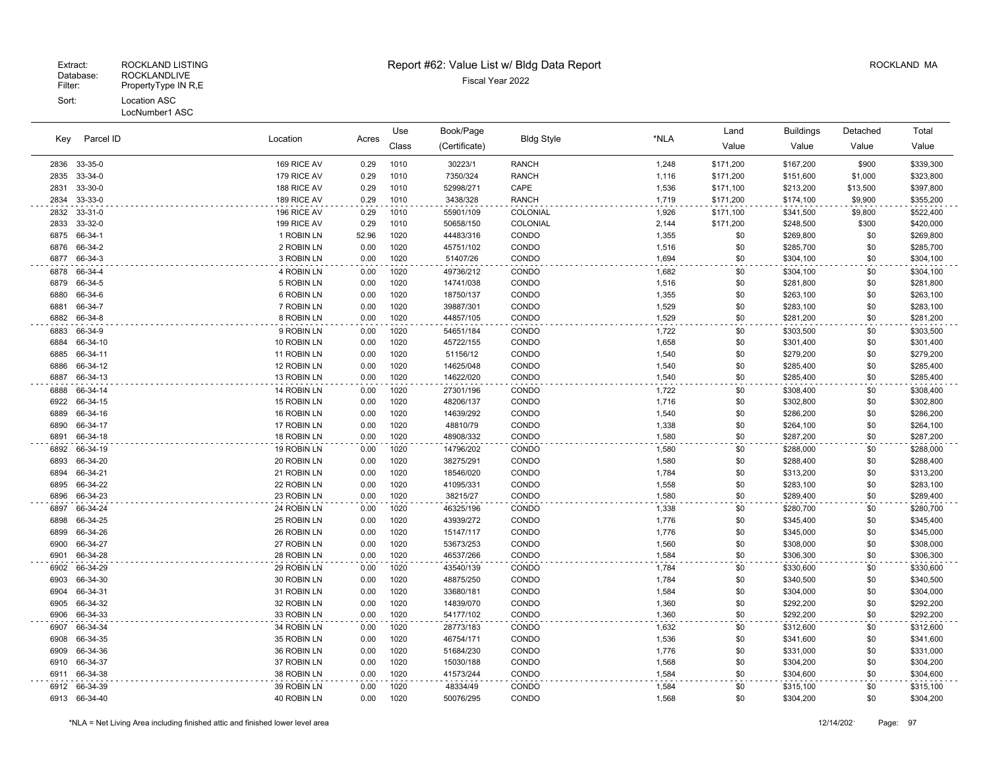#### Fiscal Year 2022 Database: ROCKLANDLIVE Extract: ROCKLAND LISTING Report #62: Value List w/ Bldg Data Report ROCKLAND MA Filter: PropertyType IN R,E Sort: Location ASC LocNumber1 ASC

Use

Book/Page Land Buildings Detached

Location Acres Value Value Value Value Key (Certificate) Bldg Style \*NLA Class Parcel ID 33-35-0 169 RICE AV 0.29 1010 30223/1 RANCH 1,248 \$171,200 \$167,200 \$900 \$339,300 33-34-0 179 RICE AV 0.29 1010 7350/324 RANCH 1,116 \$171,200 \$151,600 \$1,000 \$323,800 33-30-0 188 RICE AV 0.29 1010 52998/271 CAPE 1,536 \$171,100 \$213,200 \$13,500 \$397,800 33-33-0 189 RICE AV 0.29 1010 3438/328 RANCH 1,719 \$171,200 \$174,100 \$9,900 \$355,200 33-31-0 196 RICE AV 0.29 1010 55901/109 COLONIAL 1,926 \$171,100 \$341,500 \$9,800 \$522,400 33-32-0 199 RICE AV 0.29 1010 50658/150 COLONIAL 2,144 \$171,200 \$248,500 \$300 \$420,000 66-34-1 1 ROBIN LN 52.96 1020 44483/316 CONDO 1,355 \$0 \$269,800 \$0 \$269,800 66-34-2 2 ROBIN LN 0.00 1020 45751/102 CONDO 1,516 \$0 \$285,700 \$0 \$285,700 66-34-3 3 ROBIN LN 0.00 1020 51407/26 CONDO 1,694 \$0 \$304,100 \$0 \$304,100 66-34-4 4 ROBIN LN 0.00 1020 49736/212 CONDO 1,682 \$0 \$304,100 \$0 \$304,100 66-34-5 5 ROBIN LN 0.00 1020 14741/038 CONDO 1,516 \$0 \$281,800 \$0 \$281,800 66-34-6 6 ROBIN LN 0.00 1020 18750/137 CONDO 1,355 \$0 \$263,100 \$0 \$263,100 66-34-7 7 ROBIN LN 0.00 1020 39887/301 CONDO 1,529 \$0 \$283,100 \$0 \$283,100 66-34-8 8 ROBIN LN 0.00 1020 44857/105 CONDO 1,529 \$0 \$281,200 \$0 \$281,200 66-34-9 9 ROBIN LN 0.00 1020 54651/184 CONDO 1,722 \$0 \$303,500 \$0 \$303,500 66-34-10 10 ROBIN LN 0.00 1020 45722/155 CONDO 1,658 \$0 \$301,400 \$0 \$301,400 66-34-11 11 ROBIN LN 0.00 1020 51156/12 CONDO 1,540 \$0 \$279,200 \$0 \$279,200 66-34-12 12 ROBIN LN 0.00 1020 14625/048 CONDO 1,540 \$0 \$285,400 \$0 \$285,400 66-34-13 13 ROBIN LN 0.00 1020 14622/020 CONDO 1,540 \$0 \$285,400 \$0 \$285,400 66-34-14 14 ROBIN LN 0.00 1020 27301/196 CONDO 1,722 \$0 \$308,400 \$0 \$308,400 66-34-15 15 ROBIN LN 0.00 1020 48206/137 CONDO 1,716 \$0 \$302,800 \$0 \$302,800 66-34-16 16 ROBIN LN 0.00 1020 14639/292 CONDO 1,540 \$0 \$286,200 \$0 \$286,200 66-34-17 17 ROBIN LN 0.00 1020 48810/79 CONDO 1,338 \$0 \$264,100 \$0 \$264,100 66-34-18 18 ROBIN LN 0.00 1020 48908/332 CONDO 1,580 \$0 \$287,200 \$0 \$287,200 66-34-19 19 ROBIN LN 0.00 1020 14796/202 CONDO 1,580 \$0 \$288,000 \$0 \$288,000 66-34-20 20 ROBIN LN 0.00 1020 38275/291 CONDO 1,580 \$0 \$288,400 \$0 \$288,400 66-34-21 21 ROBIN LN 0.00 1020 18546/020 CONDO 1,784 \$0 \$313,200 \$0 \$313,200 66-34-22 22 ROBIN LN 0.00 1020 41095/331 CONDO 1,558 \$0 \$283,100 \$0 \$283,100 66-34-23 23 ROBIN LN 0.00 1020 38215/27 CONDO 1,580 \$0 \$289,400 \$0 \$289,400 66-34-24 24 ROBIN LN 0.00 1020 46325/196 CONDO 1,338 \$0 \$280,700 \$0 \$280,700 66-34-25 25 ROBIN LN 0.00 1020 43939/272 CONDO 1,776 \$0 \$345,400 \$0 \$345,400 66-34-26 26 ROBIN LN 0.00 1020 15147/117 CONDO 1,776 \$0 \$345,000 \$0 \$345,000 66-34-27 27 ROBIN LN 0.00 1020 53673/253 CONDO 1,560 \$0 \$308,000 \$0 \$308,000 66-34-28 28 ROBIN LN 0.00 1020 46537/266 CONDO 1,584 \$0 \$306,300 \$0 \$306,300 66-34-29 29 ROBIN LN 0.00 1020 43540/139 CONDO 1,784 \$0 \$330,600 \$0 \$330,600 66-34-30 30 ROBIN LN 0.00 1020 48875/250 CONDO 1,784 \$0 \$340,500 \$0 \$340,500 66-34-31 31 ROBIN LN 0.00 1020 33680/181 CONDO 1,584 \$0 \$304,000 \$0 \$304,000 66-34-32 32 ROBIN LN 0.00 1020 14839/070 CONDO 1,360 \$0 \$292,200 \$0 \$292,200 66-34-33 33 ROBIN LN 0.00 1020 54177/102 CONDO 1,360 \$0 \$292,200 \$0 \$292,200 66-34-34 34 ROBIN LN 0.00 1020 28773/183 CONDO 1,632 \$0 \$312,600 \$0 \$312,600 66-34-35 35 ROBIN LN 0.00 1020 46754/171 CONDO 1,536 \$0 \$341,600 \$0 \$341,600 66-34-36 36 ROBIN LN 0.00 1020 51684/230 CONDO 1,776 \$0 \$331,000 \$0 \$331,000 66-34-37 37 ROBIN LN 0.00 1020 15030/188 CONDO 1,568 \$0 \$304,200 \$0 \$304,200 66-34-38 38 ROBIN LN 0.00 1020 41573/244 CONDO 1,584 \$0 \$304,600 \$0 \$304,600 66-34-39 39 ROBIN LN 0.00 1020 48334/49 CONDO 1,584 \$0 \$315,100 \$0 \$315,100 66-34-40 40 ROBIN LN 0.00 1020 50076/295 CONDO 1,568 \$0 \$304,200 \$0 \$304,200

Total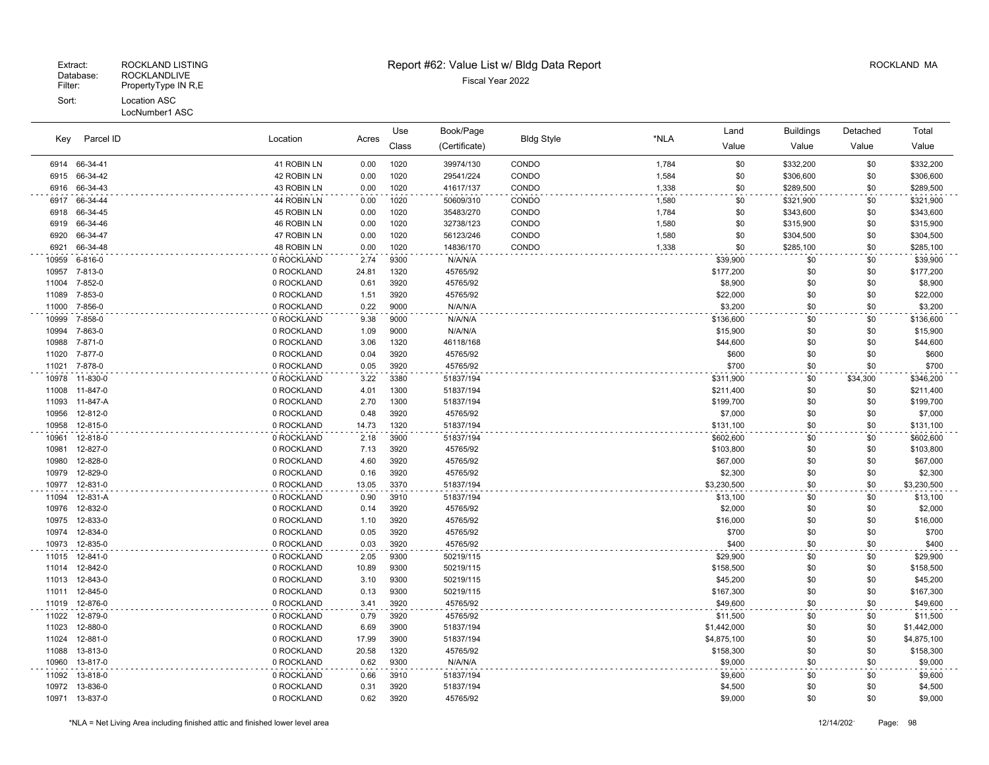| Parcel ID<br>Key |                | Location    | Acres | Use   | Book/Page     | <b>Bldg Style</b> | *NLA  | Land        | <b>Buildings</b> | Detached | Total       |
|------------------|----------------|-------------|-------|-------|---------------|-------------------|-------|-------------|------------------|----------|-------------|
|                  |                |             |       | Class | (Certificate) |                   |       | Value       | Value            | Value    | Value       |
|                  | 6914 66-34-41  | 41 ROBIN LN | 0.00  | 1020  | 39974/130     | CONDO             | 1,784 | \$0         | \$332,200        | \$0      | \$332,200   |
| 6915             | 66-34-42       | 42 ROBIN LN | 0.00  | 1020  | 29541/224     | CONDO             | 1,584 | \$0         | \$306,600        | \$0      | \$306,600   |
| 6916             | 66-34-43       | 43 ROBIN LN | 0.00  | 1020  | 41617/137     | CONDO             | 1,338 | \$0         | \$289,500        | \$0      | \$289,500   |
| 6917             | 66-34-44       | 44 ROBIN LN | 0.00  | 1020  | 50609/310     | CONDO             | 1,580 | \$0         | \$321,900        | \$0      | \$321,900   |
| 6918             | 66-34-45       | 45 ROBIN LN | 0.00  | 1020  | 35483/270     | CONDO             | 1,784 | \$0         | \$343,600        | \$0      | \$343,600   |
| 6919             | 66-34-46       | 46 ROBIN LN | 0.00  | 1020  | 32738/123     | CONDO             | 1,580 | \$0         | \$315,900        | \$0      | \$315,900   |
| 6920             | 66-34-47       | 47 ROBIN LN | 0.00  | 1020  | 56123/246     | CONDO             | 1,580 | \$0         | \$304,500        | \$0      | \$304,500   |
| 6921             | 66-34-48       | 48 ROBIN LN | 0.00  | 1020  | 14836/170     | CONDO             | 1,338 | \$0         | \$285,100        | \$0      | \$285,100   |
| 10959            | 6-816-0        | 0 ROCKLAND  | 2.74  | 9300  | N/A/N/A       |                   |       | \$39,900    | \$0              | \$0      | \$39,900    |
| 10957            | 7-813-0        | 0 ROCKLAND  | 24.81 | 1320  | 45765/92      |                   |       | \$177,200   | \$0              | \$0      | \$177,200   |
| 11004            | 7-852-0        | 0 ROCKLAND  | 0.61  | 3920  | 45765/92      |                   |       | \$8,900     | \$0              | \$0      | \$8,900     |
| 11089            | 7-853-0        | 0 ROCKLAND  | 1.51  | 3920  | 45765/92      |                   |       | \$22,000    | \$0              | \$0      | \$22,000    |
| 11000            | 7-856-0        | 0 ROCKLAND  | 0.22  | 9000  | N/A/N/A       |                   |       | \$3.200     | \$0              | \$0      | \$3,200     |
| 10999            | 7-858-0        | 0 ROCKLAND  | 9.38  | 9000  | N/A/N/A       |                   |       | \$136,600   | \$0              | \$0      | \$136,600   |
| 10994            | 7-863-0        | 0 ROCKLAND  | 1.09  | 9000  | N/A/N/A       |                   |       | \$15,900    | \$0              | \$0      | \$15,900    |
| 10988            | 7-871-0        | 0 ROCKLAND  | 3.06  | 1320  | 46118/168     |                   |       | \$44,600    | \$0              | \$0      | \$44,600    |
| 11020            | 7-877-0        | 0 ROCKLAND  | 0.04  | 3920  | 45765/92      |                   |       | \$600       | \$0              | \$0      | \$600       |
| 11021            | 7-878-0        | 0 ROCKLAND  | 0.05  | 3920  | 45765/92      |                   |       | \$700       | \$0              | \$0      | \$700       |
| 10978            | 11-830-0       | 0 ROCKLAND  | 3.22  | 3380  | 51837/194     |                   |       | \$311,900   | \$0              | \$34,300 | \$346,200   |
| 11008            | 11-847-0       | 0 ROCKLAND  | 4.01  | 1300  | 51837/194     |                   |       | \$211,400   | \$0              | \$0      | \$211,400   |
| 11093            | 11-847-A       | 0 ROCKLAND  | 2.70  | 1300  | 51837/194     |                   |       | \$199,700   | \$0              | \$0      | \$199,700   |
| 10956            | 12-812-0       | 0 ROCKLAND  | 0.48  | 3920  | 45765/92      |                   |       | \$7,000     | \$0              | \$0      | \$7,000     |
| 10958            | 12-815-0       | 0 ROCKLAND  | 14.73 | 1320  | 51837/194     |                   |       | \$131,100   | \$0              | \$0      | \$131,100   |
| 10961            | 12-818-0       | 0 ROCKLAND  | 2.18  | 3900  | 51837/194     |                   |       | \$602,600   | \$0              | \$0      | \$602,600   |
| 10981            | 12-827-0       | 0 ROCKLAND  | 7.13  | 3920  | 45765/92      |                   |       | \$103,800   | \$0              | \$0      | \$103,800   |
| 10980            | 12-828-0       | 0 ROCKLAND  | 4.60  | 3920  | 45765/92      |                   |       | \$67,000    | \$0              | \$0      | \$67,000    |
| 10979            | 12-829-0       | 0 ROCKLAND  | 0.16  | 3920  | 45765/92      |                   |       | \$2,300     | \$0              | \$0      | \$2,300     |
| 10977            | 12-831-0       | 0 ROCKLAND  | 13.05 | 3370  | 51837/194     |                   |       | \$3,230,500 | \$0              | \$0      | \$3,230,500 |
| 11094            | 12-831-A       | 0 ROCKLAND  | 0.90  | 3910  | 51837/194     |                   |       | \$13,100    | \$0              | \$0      | \$13,100    |
| 10976            | 12-832-0       | 0 ROCKLAND  | 0.14  | 3920  | 45765/92      |                   |       | \$2,000     | \$0              | \$0      | \$2,000     |
| 10975            | 12-833-0       | 0 ROCKLAND  | 1.10  | 3920  | 45765/92      |                   |       | \$16,000    | \$0              | \$0      | \$16,000    |
| 10974            | 12-834-0       | 0 ROCKLAND  | 0.05  | 3920  | 45765/92      |                   |       | \$700       | \$0              | \$0      | \$700       |
| 10973            | 12-835-0       | 0 ROCKLAND  | 0.03  | 3920  | 45765/92      |                   |       | \$400       | \$0              | \$0      | \$400       |
| 11015            | 12-841-0       | 0 ROCKLAND  | 2.05  | 9300  | 50219/115     |                   |       | \$29,900    | \$0              | \$0      | \$29,900    |
| 11014            | 12-842-0       | 0 ROCKLAND  | 10.89 | 9300  | 50219/115     |                   |       | \$158,500   | \$0              | \$0      | \$158,500   |
| 11013            | 12-843-0       | 0 ROCKLAND  | 3.10  | 9300  | 50219/115     |                   |       | \$45,200    | \$0              | \$0      | \$45,200    |
| 11011            | 12-845-0       | 0 ROCKLAND  | 0.13  | 9300  | 50219/115     |                   |       | \$167,300   | \$0              | \$0      | \$167,300   |
| 11019            | 12-876-0       | 0 ROCKLAND  | 3.41  | 3920  | 45765/92      |                   |       | \$49,600    | \$0              | \$0      | \$49,600    |
| 11022            | 12-879-0       | 0 ROCKLAND  | 0.79  | 3920  | 45765/92      |                   |       | \$11,500    | \$0              | \$0      | \$11,500    |
| 11023            | 12-880-0       | 0 ROCKLAND  | 6.69  | 3900  | 51837/194     |                   |       | \$1,442,000 | \$0              | \$0      | \$1,442,000 |
| 11024            | 12-881-0       | 0 ROCKLAND  | 17.99 | 3900  | 51837/194     |                   |       | \$4,875,100 | \$0              | \$0      | \$4,875,100 |
| 11088            | 13-813-0       | 0 ROCKLAND  | 20.58 | 1320  | 45765/92      |                   |       | \$158,300   | \$0              | \$0      | \$158,300   |
| 10960            | 13-817-0       | 0 ROCKLAND  | 0.62  | 9300  | N/A/N/A       |                   |       | \$9,000     | \$0              | \$0      | \$9,000     |
| 11092            | 13-818-0       | 0 ROCKLAND  | 0.66  | 3910  | 51837/194     |                   |       | \$9,600     | \$0              | \$0      | \$9,600     |
| 10972            | 13-836-0       | 0 ROCKLAND  | 0.31  | 3920  | 51837/194     |                   |       | \$4,500     | \$0              | \$0      | \$4,500     |
|                  | 10971 13-837-0 | 0 ROCKLAND  | 0.62  | 3920  | 45765/92      |                   |       | \$9,000     | \$0              | \$0      | \$9,000     |
|                  |                |             |       |       |               |                   |       |             |                  |          |             |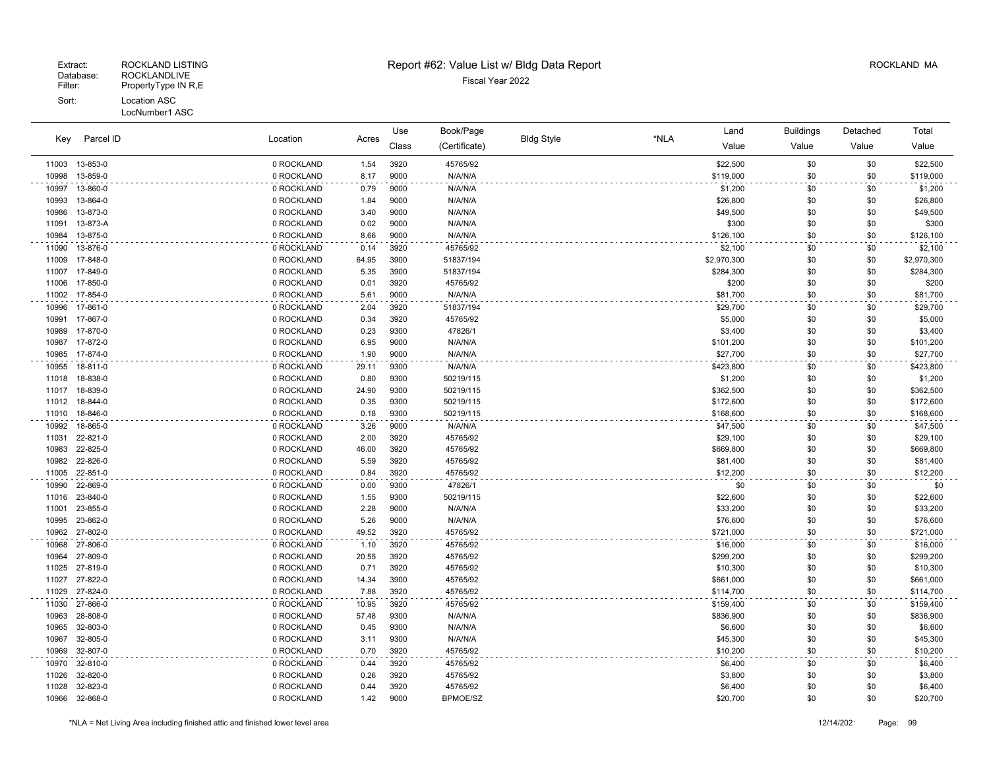|       | Parcel ID | Location<br>Acres | Use   | Book/Page |               |                   | Land | <b>Buildings</b> | Detached   | Total      |             |
|-------|-----------|-------------------|-------|-----------|---------------|-------------------|------|------------------|------------|------------|-------------|
| Key   |           |                   |       | Class     | (Certificate) | <b>Bldg Style</b> | *NLA | Value            | Value      | Value      | Value       |
| 11003 | 13-853-0  | 0 ROCKLAND        | 1.54  | 3920      | 45765/92      |                   |      | \$22,500         | \$0        | \$0        | \$22,500    |
| 10998 | 13-859-0  | 0 ROCKLAND        | 8.17  | 9000      | N/A/N/A       |                   |      | \$119,000        | \$0        | \$0        | \$119,000   |
| 10997 | 13-860-0  | 0 ROCKLAND        | 0.79  | 9000      | N/A/N/A       |                   |      | \$1,200          | \$0        | \$0        | \$1,200     |
| 10993 | 13-864-0  | 0 ROCKLAND        | 1.84  | 9000      | N/A/N/A       |                   |      | \$26,800         | \$0        | \$0        | \$26,800    |
| 10986 | 13-873-0  | 0 ROCKLAND        | 3.40  | 9000      | N/A/N/A       |                   |      | \$49,500         | \$0        | \$0        | \$49,500    |
| 11091 | 13-873-A  | 0 ROCKLAND        | 0.02  | 9000      | N/A/N/A       |                   |      | \$300            | \$0        | \$0        | \$300       |
| 10984 | 13-875-0  | 0 ROCKLAND        | 8.66  | 9000      | N/A/N/A       |                   |      | \$126,100        | \$0        | \$0        | \$126,100   |
| 11090 | 13-876-0  | 0 ROCKLAND        | 0.14  | 3920      | 45765/92      |                   |      | \$2,100          | \$0        | \$0        | \$2,100     |
| 11009 | 17-848-0  | 0 ROCKLAND        | 64.95 | 3900      | 51837/194     |                   |      | \$2,970,300      | \$0        | \$0        | \$2,970,300 |
| 11007 | 17-849-0  | 0 ROCKLAND        | 5.35  | 3900      | 51837/194     |                   |      | \$284,300        | \$0        | \$0        | \$284,300   |
| 11006 | 17-850-0  | 0 ROCKLAND        | 0.01  | 3920      | 45765/92      |                   |      | \$200            | \$0        | \$0        | \$200       |
| 11002 | 17-854-0  | 0 ROCKLAND        | 5.61  | 9000      | N/A/N/A       |                   |      | \$81,700         | \$0        | \$0        | \$81,700    |
| 10996 | 17-861-0  | 0 ROCKLAND        | 2.04  | 3920      | 51837/194     |                   |      | \$29,700         | \$0        | \$0        | \$29,700    |
| 10991 | 17-867-0  | 0 ROCKLAND        | 0.34  | 3920      | 45765/92      |                   |      | \$5,000          | \$0        | \$0        | \$5,000     |
| 10989 | 17-870-0  | 0 ROCKLAND        | 0.23  | 9300      | 47826/1       |                   |      | \$3,400          | \$0        | \$0        | \$3,400     |
| 10987 | 17-872-0  | 0 ROCKLAND        | 6.95  | 9000      | N/A/N/A       |                   |      | \$101,200        | \$0        | \$0        | \$101,200   |
| 10985 | 17-874-0  | 0 ROCKLAND        | 1.90  | 9000      | N/A/N/A       |                   |      | \$27.700         | \$0        | \$0        | \$27,700    |
| 10955 | 18-811-0  | 0 ROCKLAND        | 29.11 | 9300      | N/A/N/A       |                   |      | \$423,800        | \$0        | \$0        | \$423,800   |
| 11018 | 18-838-0  | 0 ROCKLAND        | 0.80  | 9300      | 50219/115     |                   |      | \$1,200          | \$0        | \$0        | \$1,200     |
| 11017 | 18-839-0  | 0 ROCKLAND        | 24.90 | 9300      | 50219/115     |                   |      | \$362,500        | \$0        | \$0        | \$362,500   |
| 11012 | 18-844-0  | 0 ROCKLAND        | 0.35  | 9300      | 50219/115     |                   |      | \$172,600        | \$0        | \$0        | \$172,600   |
| 11010 | 18-846-0  | 0 ROCKLAND        | 0.18  | 9300      | 50219/115     |                   |      | \$168,600        | \$0        | \$0        | \$168,600   |
| 10992 | 18-865-0  | 0 ROCKLAND        | 3.26  | 9000      | N/A/N/A       |                   |      | \$47,500         | \$0        | \$0        | \$47,500    |
| 11031 | 22-821-0  | 0 ROCKLAND        | 2.00  | 3920      | 45765/92      |                   |      | \$29,100         | \$0        | \$0        | \$29,100    |
| 10983 | 22-825-0  | 0 ROCKLAND        | 46.00 | 3920      | 45765/92      |                   |      | \$669,800        | \$0        | \$0        | \$669,800   |
| 10982 | 22-826-0  | 0 ROCKLAND        | 5.59  | 3920      | 45765/92      |                   |      | \$81,400         | \$0        | \$0        | \$81,400    |
| 11005 | 22-851-0  | 0 ROCKLAND        | 0.84  | 3920      | 45765/92      |                   |      | \$12,200         | \$0        | \$0        | \$12,200    |
| 10990 | 22-869-0  | 0 ROCKLAND        | 0.00  | 9300      | 47826/1       |                   |      | \$0              | \$0        | \$0        | \$0         |
| 11016 | 23-840-0  | 0 ROCKLAND        | 1.55  | 9300      | 50219/115     |                   |      | \$22,600         | \$0        | \$0        | \$22,600    |
| 11001 | 23-855-0  | 0 ROCKLAND        | 2.28  | 9000      | N/A/N/A       |                   |      | \$33,200         | \$0        | \$0        | \$33,200    |
| 10995 | 23-862-0  | 0 ROCKLAND        | 5.26  | 9000      | N/A/N/A       |                   |      | \$76,600         | \$0        | \$0        | \$76,600    |
| 10962 | 27-802-0  | 0 ROCKLAND        | 49.52 | 3920      | 45765/92      |                   |      | \$721,000        | \$0        | \$0        | \$721,000   |
| 10968 | 27-806-0  | 0 ROCKLAND        | 1.10  | 3920      | 45765/92      |                   |      | \$16,000         | \$0        | \$0        | \$16,000    |
| 10964 | 27-809-0  | 0 ROCKLAND        | 20.55 | 3920      | 45765/92      |                   |      | \$299,200        | \$0        | \$0        | \$299,200   |
| 11025 | 27-819-0  | 0 ROCKLAND        | 0.71  | 3920      | 45765/92      |                   |      | \$10,300         | \$0        | \$0        | \$10,300    |
| 11027 | 27-822-0  | 0 ROCKLAND        | 14.34 | 3900      | 45765/92      |                   |      | \$661,000        | \$0        | \$0<br>\$0 | \$661,000   |
| 11029 | 27-824-0  | 0 ROCKLAND        | 7.88  | 3920      | 45765/92      |                   |      | \$114,700        | \$0        |            | \$114,700   |
| 11030 | 27-866-0  | 0 ROCKLAND        | 10.95 | 3920      | 45765/92      |                   |      | \$159,400        | \$0        | \$0        | \$159,400   |
| 10963 | 28-808-0  | 0 ROCKLAND        | 57.48 | 9300      | N/A/N/A       |                   |      | \$836,900        | \$0        | \$0        | \$836,900   |
| 10965 | 32-803-0  | 0 ROCKLAND        | 0.45  | 9300      | N/A/N/A       |                   |      | \$6,600          | \$0        | \$0        | \$6,600     |
| 10967 | 32-805-0  | 0 ROCKLAND        | 3.11  | 9300      | N/A/N/A       |                   |      | \$45,300         | \$0        | \$0        | \$45,300    |
| 10969 | 32-807-0  | 0 ROCKLAND        | 0.70  | 3920      | 45765/92      |                   |      | \$10,200         | \$0        | \$0        | \$10,200    |
| 10970 | 32-810-0  | 0 ROCKLAND        | 0.44  | 3920      | 45765/92      |                   |      | \$6,400          | \$0        | \$0        | \$6,400     |
| 11026 | 32-820-0  | 0 ROCKLAND        | 0.26  | 3920      | 45765/92      |                   |      | \$3,800          | \$0        | \$0        | \$3,800     |
| 11028 | 32-823-0  | 0 ROCKLAND        | 0.44  | 3920      | 45765/92      |                   |      | \$6,400          | \$0<br>\$0 | \$0        | \$6,400     |
| 10966 | 32-868-0  | 0 ROCKLAND        | 1.42  | 9000      | BPMOE/SZ      |                   |      | \$20,700         |            | \$0        | \$20,700    |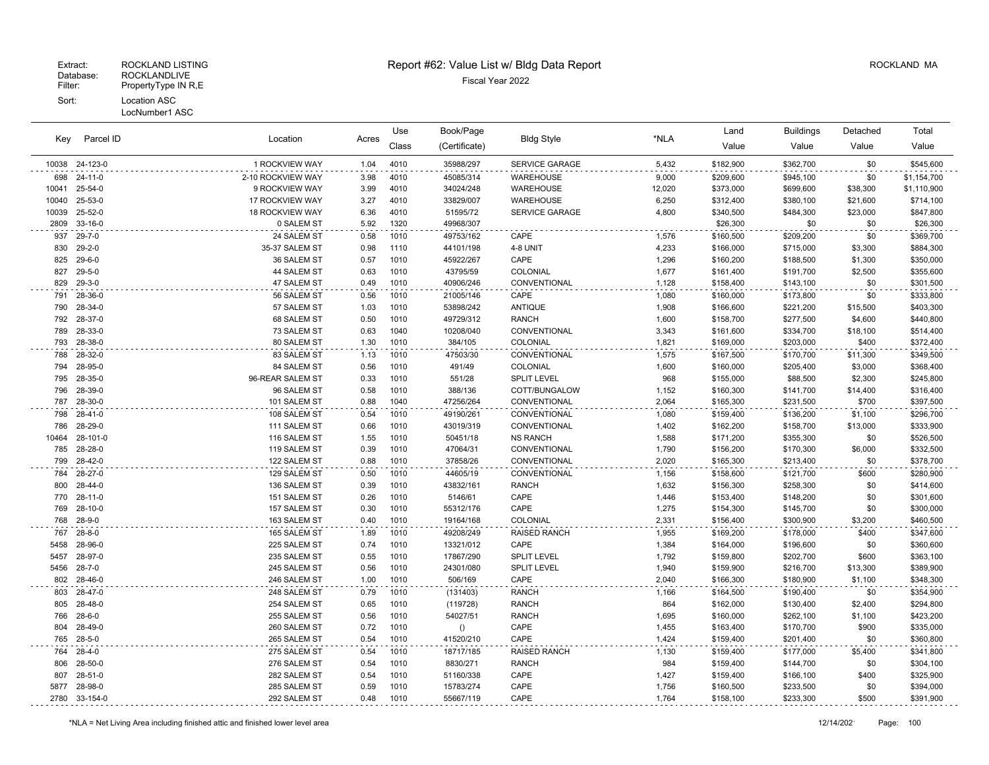# Extract: ROCKLAND LISTING **Report #62: Value List w/ Bldg Data Report** Alleman and RockLAND MA

| Parcel ID<br>Key |              |                        | Use   | Book/Page |               |                       | Land   | <b>Buildings</b> | Detached  | Total    |             |
|------------------|--------------|------------------------|-------|-----------|---------------|-----------------------|--------|------------------|-----------|----------|-------------|
|                  |              | Location               | Acres | Class     | (Certificate) | <b>Bldg Style</b>     | *NLA   | Value            | Value     | Value    | Value       |
| 10038            | 24-123-0     | 1 ROCKVIEW WAY         | 1.04  | 4010      | 35988/297     | <b>SERVICE GARAGE</b> | 5,432  | \$182,900        | \$362,700 | \$0      | \$545,600   |
| 698              | 24-11-0      | 2-10 ROCKVIEW WAY      | 3.98  | 4010      | 45085/314     | WAREHOUSE             | 9,000  | \$209,600        | \$945,100 | \$0      | \$1,154,700 |
| 10041            | 25-54-0      | 9 ROCKVIEW WAY         | 3.99  | 4010      | 34024/248     | WAREHOUSE             | 12,020 | \$373,000        | \$699,600 | \$38,300 | \$1,110,900 |
| 10040            | 25-53-0      | 17 ROCKVIEW WAY        | 3.27  | 4010      | 33829/007     | WAREHOUSE             | 6,250  | \$312,400        | \$380,100 | \$21,600 | \$714,100   |
| 10039            | 25-52-0      | <b>18 ROCKVIEW WAY</b> | 6.36  | 4010      | 51595/72      | <b>SERVICE GARAGE</b> | 4,800  | \$340,500        | \$484,300 | \$23,000 | \$847,800   |
| 2809             | 33-16-0      | 0 SALEM ST             | 5.92  | 1320      | 49968/307     |                       |        | \$26,300         | \$0       | \$0      | \$26,300    |
| 937              | $29 - 7 - 0$ | 24 SALEM ST            | 0.58  | 1010      | 49753/162     | CAPE                  | 1,576  | \$160,500        | \$209,200 | \$0      | \$369,700   |
| 830              | $29 - 2 - 0$ | 35-37 SALEM ST         | 0.98  | 1110      | 44101/198     | 4-8 UNIT              | 4,233  | \$166,000        | \$715,000 | \$3,300  | \$884,300   |
| 825              | $29 - 6 - 0$ | 36 SALEM ST            | 0.57  | 1010      | 45922/267     | CAPE                  | 1,296  | \$160,200        | \$188,500 | \$1,300  | \$350,000   |
| 827              | $29 - 5 - 0$ | 44 SALEM ST            | 0.63  | 1010      | 43795/59      | COLONIAL              | 1,677  | \$161,400        | \$191,700 | \$2,500  | \$355,600   |
| 829              | 29-3-0       | 47 SALEM ST            | 0.49  | 1010      | 40906/246     | CONVENTIONAL          | 1,128  | \$158,400        | \$143,100 | \$0      | \$301,500   |
| 791              | 28-36-0      | 56 SALEM ST            | 0.56  | 1010      | 21005/146     | CAPE                  | 1,080  | \$160,000        | \$173,800 | \$0      | \$333,800   |
| 790              | 28-34-0      | 57 SALEM ST            | 1.03  | 1010      | 53898/242     | <b>ANTIQUE</b>        | 1,908  | \$166,600        | \$221,200 | \$15,500 | \$403,300   |
| 792              | 28-37-0      | 68 SALEM ST            | 0.50  | 1010      | 49729/312     | <b>RANCH</b>          | 1,600  | \$158,700        | \$277,500 | \$4,600  | \$440,800   |
| 789              | 28-33-0      | 73 SALEM ST            | 0.63  | 1040      | 10208/040     | CONVENTIONAL          | 3,343  | \$161,600        | \$334,700 | \$18,100 | \$514,400   |
| 793              | 28-38-0      | 80 SALEM ST            | 1.30  | 1010      | 384/105       | COLONIAL              | 1,821  | \$169,000        | \$203,000 | \$400    | \$372,400   |
| 788              | 28-32-0      | 83 SALEM ST            | 1.13  | 1010      | 47503/30      | CONVENTIONAL          | 1,575  | \$167,500        | \$170,700 | \$11,300 | \$349,500   |
| 794              | 28-95-0      | 84 SALEM ST            | 0.56  | 1010      | 491/49        | COLONIAL              | 1,600  | \$160,000        | \$205,400 | \$3,000  | \$368,400   |
| 795              | 28-35-0      | 96-REAR SALEM ST       | 0.33  | 1010      | 551/28        | <b>SPLIT LEVEL</b>    | 968    | \$155,000        | \$88,500  | \$2,300  | \$245,800   |
| 796              | 28-39-0      | 96 SALEM ST            | 0.58  | 1010      | 388/136       | COTT/BUNGALOW         | 1,152  | \$160,300        | \$141,700 | \$14,400 | \$316,400   |
| 787              | 28-30-0      | 101 SALEM ST           | 0.88  | 1040      | 47256/264     | CONVENTIONAL          | 2,064  | \$165,300        | \$231,500 | \$700    | \$397,500   |
| 798              | 28-41-0      | 108 SALEM ST           | 0.54  | 1010      | 49190/261     | CONVENTIONAL          | 1,080  | \$159,400        | \$136,200 | \$1,100  | \$296,700   |
| 786              | 28-29-0      | 111 SALEM ST           | 0.66  | 1010      | 43019/319     | CONVENTIONAL          | 1,402  | \$162,200        | \$158,700 | \$13,000 | \$333,900   |
| 10464            | 28-101-0     | 116 SALEM ST           | 1.55  | 1010      | 50451/18      | <b>NS RANCH</b>       | 1,588  | \$171,200        | \$355,300 | \$0      | \$526,500   |
| 785              | 28-28-0      | 119 SALEM ST           | 0.39  | 1010      | 47064/31      | CONVENTIONAL          | 1,790  | \$156,200        | \$170,300 | \$6,000  | \$332,500   |
| 799              | 28-42-0      | 122 SALEM ST           | 0.88  | 1010      | 37858/26      | CONVENTIONAL          | 2,020  | \$165,300        | \$213,400 | \$0      | \$378,700   |
| 784              | 28-27-0      | 129 SALEM ST           | 0.50  | 1010      | 44605/19      | CONVENTIONAL          | 1,156  | \$158,600        | \$121,700 | \$600    | \$280,900   |
| 800              | 28-44-0      | 136 SALEM ST           | 0.39  | 1010      | 43832/161     | <b>RANCH</b>          | 1,632  | \$156,300        | \$258,300 | \$0      | \$414,600   |
| 770              | 28-11-0      | 151 SALEM ST           | 0.26  | 1010      | 5146/61       | CAPE                  | 1,446  | \$153,400        | \$148,200 | \$0      | \$301,600   |
| 769              | 28-10-0      | 157 SALEM ST           | 0.30  | 1010      | 55312/176     | CAPE                  | 1,275  | \$154,300        | \$145,700 | \$0      | \$300,000   |
| 768              | 28-9-0       | 163 SALEM ST           | 0.40  | 1010      | 19164/168     | COLONIAL              | 2,331  | \$156,400        | \$300,900 | \$3,200  | \$460,500   |
| 767              | $28 - 8 - 0$ | 165 SALEM ST           | 1.89  | 1010      | 49208/249     | <b>RAISED RANCH</b>   | 1,955  | \$169,200        | \$178,000 | \$400    | \$347,600   |
| 5458             | 28-96-0      | 225 SALEM ST           | 0.74  | 1010      | 13321/012     | CAPE                  | 1,384  | \$164,000        | \$196,600 | \$0      | \$360,600   |
| 5457             | 28-97-0      | 235 SALEM ST           | 0.55  | 1010      | 17867/290     | <b>SPLIT LEVEL</b>    | 1,792  | \$159,800        | \$202,700 | \$600    | \$363,100   |
| 5456             | $28 - 7 - 0$ | 245 SALEM ST           | 0.56  | 1010      | 24301/080     | <b>SPLIT LEVEL</b>    | 1,940  | \$159,900        | \$216,700 | \$13,300 | \$389,900   |
| 802              | 28-46-0      | 246 SALEM ST           | 1.00  | 1010      | 506/169       | CAPE                  | 2.040  | \$166,300        | \$180,900 | \$1,100  | \$348,300   |
| 803              | 28-47-0      | 248 SALEM ST           | 0.79  | 1010      | (131403)      | <b>RANCH</b>          | 1,166  | \$164,500        | \$190,400 | \$0      | \$354,900   |
| 805              | 28-48-0      | 254 SALEM ST           | 0.65  | 1010      | (119728)      | <b>RANCH</b>          | 864    | \$162,000        | \$130,400 | \$2,400  | \$294,800   |
| 766              | $28 - 6 - 0$ | 255 SALEM ST           | 0.56  | 1010      | 54027/51      | <b>RANCH</b>          | 1,695  | \$160,000        | \$262,100 | \$1,100  | \$423,200   |
| 804              | 28-49-0      | 260 SALEM ST           | 0.72  | 1010      | ()            | CAPE                  | 1,455  | \$163,400        | \$170,700 | \$900    | \$335,000   |
| 765              | $28 - 5 - 0$ | 265 SALEM ST           | 0.54  | 1010      | 41520/210     | CAPE                  | 1,424  | \$159,400        | \$201,400 | \$0      | \$360,800   |
| 764              | $28 - 4 - 0$ | 275 SALEM ST           | 0.54  | 1010      | 18717/185     | <b>RAISED RANCH</b>   | 1,130  | \$159,400        | \$177,000 | \$5,400  | \$341,800   |
| 806              | 28-50-0      | 276 SALEM ST           | 0.54  | 1010      | 8830/271      | <b>RANCH</b>          | 984    | \$159,400        | \$144,700 | \$0      | \$304,100   |
| 807              | 28-51-0      | 282 SALEM ST           | 0.54  | 1010      | 51160/338     | CAPE                  | 1,427  | \$159,400        | \$166,100 | \$400    | \$325,900   |
| 5877             | 28-98-0      | 285 SALEM ST           | 0.59  | 1010      | 15783/274     | CAPE                  | 1,756  | \$160,500        | \$233,500 | \$0      | \$394,000   |
| 2780             | 33-154-0     | 292 SALEM ST           | 0.48  | 1010      | 55667/119     | CAPE                  | 1,764  | \$158,100        | \$233,300 | \$500    | \$391,900   |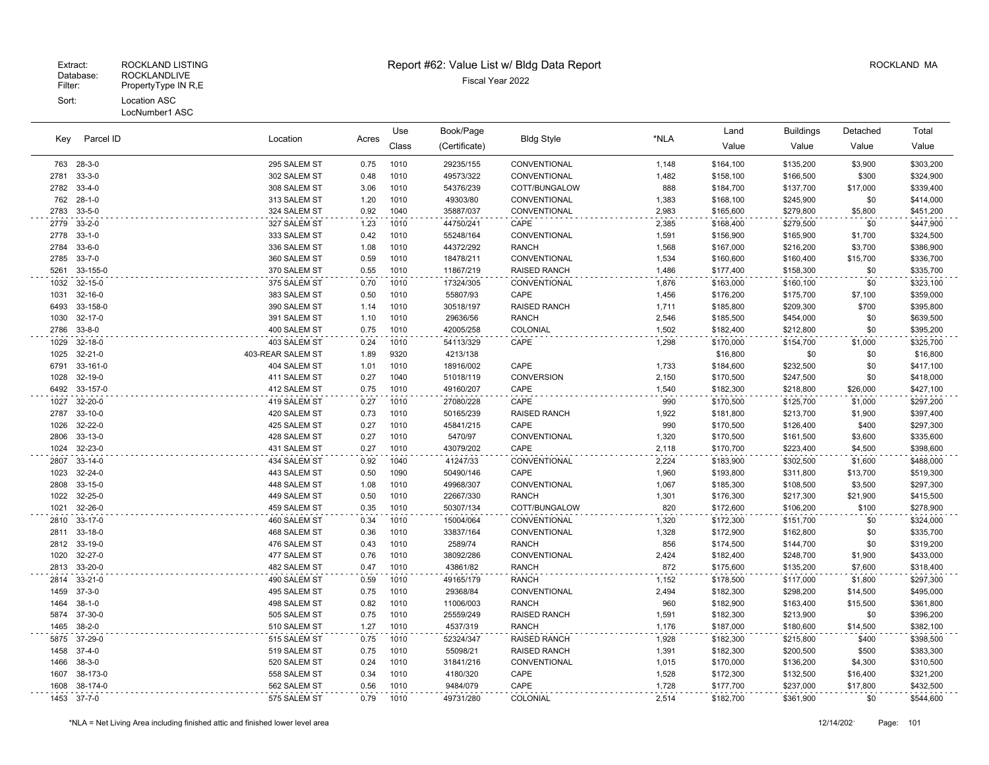LocNumber1 ASC

| Parcel ID<br>Kev | Location<br>Acres |                   | Use  | Book/Page | <b>Bldg Style</b> | $^{\star}$ NLA      | Land           | <b>Buildings</b>       | Detached               | Total    |           |
|------------------|-------------------|-------------------|------|-----------|-------------------|---------------------|----------------|------------------------|------------------------|----------|-----------|
|                  |                   |                   |      | Class     | (Certificate)     |                     |                | Value                  | Value                  | Value    | Value     |
| 763              | $28 - 3 - 0$      | 295 SALEM ST      | 0.75 | 1010      | 29235/155         | CONVENTIONAL        | 1,148          | \$164,100              | \$135,200              | \$3,900  | \$303,200 |
| 2781             | $33 - 3 - 0$      | 302 SALEM ST      | 0.48 | 1010      | 49573/322         | CONVENTIONAL        | 1,482          | \$158,100              | \$166,500              | \$300    | \$324,900 |
| 2782             | $33 - 4 - 0$      | 308 SALEM ST      | 3.06 | 1010      | 54376/239         | COTT/BUNGALOW       | 888            | \$184,700              | \$137,700              | \$17,000 | \$339,400 |
| 762              | $28 - 1 - 0$      | 313 SALEM ST      | 1.20 | 1010      | 49303/80          | CONVENTIONAL        | 1,383          | \$168,100              | \$245,900              | \$0      | \$414,000 |
| 2783             | $33 - 5 - 0$      | 324 SALEM ST      | 0.92 | 1040      | 35887/037         | CONVENTIONAL        | 2,983          | \$165,600              | \$279,800              | \$5,800  | \$451,200 |
| 2779             | $33 - 2 - 0$      | 327 SALEM ST      | 1.23 | 1010      | 44750/241         | CAPE                | 2,385          | \$168,400              | \$279,500              | \$0      | \$447,900 |
| 2778             | $33 - 1 - 0$      | 333 SALEM ST      | 0.42 | 1010      | 55248/164         | CONVENTIONAL        | 1,591          | \$156,900              | \$165,900              | \$1,700  | \$324,500 |
| 2784             | $33 - 6 - 0$      | 336 SALEM ST      | 1.08 | 1010      | 44372/292         | <b>RANCH</b>        | 1,568          | \$167,000              | \$216,200              | \$3,700  | \$386,900 |
| 2785             | $33 - 7 - 0$      | 360 SALEM ST      | 0.59 | 1010      | 18478/211         | CONVENTIONAL        | 1,534          | \$160,600              | \$160,400              | \$15,700 | \$336,700 |
| 5261             | 33-155-0          | 370 SALEM ST      | 0.55 | 1010      | 11867/219         | RAISED RANCH        | 1,486          | \$177,400              | \$158,300              | \$0      | \$335,700 |
| 1032             | $32 - 15 - 0$     | 375 SALEM ST      | 0.70 | 1010      | 17324/305         | CONVENTIONAL        | 1,876          | \$163,000              | \$160,100              | \$0      | \$323,100 |
| 1031             | $32 - 16 - 0$     | 383 SALEM ST      | 0.50 | 1010      | 55807/93          | CAPE                | 1,456          | \$176,200              | \$175,700              | \$7,100  | \$359,000 |
| 6493             | 33-158-0          | 390 SALEM ST      | 1.14 | 1010      | 30518/197         | <b>RAISED RANCH</b> | 1,711          | \$185,800              | \$209,300              | \$700    | \$395,800 |
| 1030             | $32 - 17 - 0$     | 391 SALEM ST      | 1.10 | 1010      | 29636/56          | <b>RANCH</b>        | 2,546          | \$185,500              | \$454,000              | \$0      | \$639,500 |
| 2786             | $33 - 8 - 0$      | 400 SALEM ST      | 0.75 | 1010      | 42005/258         | COLONIAL            | 1,502          | \$182,400              | \$212,800              | \$0      | \$395,200 |
| 1029             | $32 - 18 - 0$     | 403 SALEM ST      | 0.24 | 1010      | 54113/329         | CAPE                | 1,298          | \$170,000              | \$154,700              | \$1,000  | \$325,700 |
| 1025             | $32 - 21 - 0$     | 403-REAR SALEM ST | 1.89 | 9320      | 4213/138          |                     |                | \$16,800               | \$0                    | \$0      | \$16,800  |
| 6791             | 33-161-0          | 404 SALEM ST      | 1.01 | 1010      | 18916/002         | CAPE                | 1,733          | \$184,600              | \$232,500              | \$0      | \$417,100 |
| 1028             | 32-19-0           | 411 SALEM ST      | 0.27 | 1040      | 51018/119         | <b>CONVERSION</b>   | 2,150          | \$170,500              | \$247,500              | \$0      | \$418,000 |
| 6492             | 33-157-0          | 412 SALEM ST      | 0.75 | 1010      | 49160/207         | CAPE                | 1,540          | \$182,300              | \$218,800              | \$26,000 | \$427,100 |
| 1027             | 32-20-0           | 419 SALEM ST      | 0.27 | 1010      | 27080/228         | CAPE                | 990            | \$170,500              | \$125,700              | \$1,000  | \$297,200 |
| 2787             | $33-10-0$         | 420 SALEM ST      | 0.73 | 1010      | 50165/239         | RAISED RANCH        | 1,922          | \$181,800              | \$213,700              | \$1,900  | \$397,400 |
| 1026             | 32-22-0           | 425 SALEM ST      | 0.27 | 1010      | 45841/215         | CAPE                | 990            | \$170,500              | \$126,400              | \$400    | \$297,300 |
| 2806             | 33-13-0           | 428 SALEM ST      | 0.27 | 1010      | 5470/97           | CONVENTIONAL        | 1,320          | \$170,500              | \$161,500              | \$3,600  | \$335,600 |
| 1024             | 32-23-0           | 431 SALEM ST      | 0.27 | 1010      | 43079/202         | CAPE                | 2,118          | \$170,700              | \$223,400              | \$4,500  | \$398,600 |
| 2807             | $33-14-0$         | 434 SALEM ST      | 0.92 | 1040      | 41247/33          | CONVENTIONAL        | 2,224          | \$183,900              | \$302,500              | \$1,600  | \$488,000 |
| 1023             | $32 - 24 - 0$     | 443 SALEM ST      | 0.50 | 1090      | 50490/146         | CAPE                | 1,960          | \$193,800              | \$311,800              | \$13,700 | \$519,300 |
| 2808             | $33 - 15 - 0$     | 448 SALEM ST      | 1.08 | 1010      | 49968/307         | CONVENTIONAL        | 1,067          | \$185,300              | \$108,500              | \$3,500  | \$297,300 |
| 1022             | 32-25-0           | 449 SALEM ST      | 0.50 | 1010      | 22667/330         | RANCH               | 1,301          | \$176,300              | \$217,300              | \$21,900 | \$415,500 |
| 1021             | 32-26-0           | 459 SALEM ST      | 0.35 | 1010      | 50307/134         | COTT/BUNGALOW       | 820            | \$172,600              | \$106,200              | \$100    | \$278,900 |
| 2810             | 33-17-0           | 460 SALEM ST      | 0.34 | 1010      | 15004/064         | CONVENTIONAL        | 1,320          | \$172,300              | \$151,700              | \$0      | \$324,000 |
| 2811             | 33-18-0           | 468 SALEM ST      | 0.36 | 1010      | 33837/164         | CONVENTIONAL        | 1,328          | \$172,900              | \$162,800              | \$0      | \$335,700 |
| 2812             | 33-19-0           | 476 SALEM ST      | 0.43 | 1010      | 2589/74           | <b>RANCH</b>        | 856            | \$174,500              | \$144,700              | \$0      | \$319,200 |
| 1020             | 32-27-0           | 477 SALEM ST      | 0.76 | 1010      | 38092/286         | CONVENTIONAL        | 2,424          | \$182,400              | \$248,700              | \$1,900  | \$433,000 |
| 2813             | 33-20-0           | 482 SALEM ST      | 0.47 | 1010      | 43861/82          | <b>RANCH</b>        | 872            | \$175,600              | \$135,200              | \$7,600  | \$318,400 |
| 2814             | $33 - 21 - 0$     | 490 SALEM ST      | 0.59 | 1010      | 49165/179         | <b>RANCH</b>        | 1,152          | \$178,500              | \$117,000              | \$1,800  | \$297,300 |
| 1459             | $37-3-0$          | 495 SALEM ST      | 0.75 | 1010      | 29368/84          | CONVENTIONAL        | 2,494          | \$182,300              | \$298,200              | \$14,500 | \$495,000 |
| 1464             | $38-1-0$          | 498 SALEM ST      | 0.82 | 1010      | 11006/003         | <b>RANCH</b>        | 960            | \$182,900              | \$163,400              | \$15,500 | \$361,800 |
| 5874             | 37-30-0           | 505 SALEM ST      | 0.75 | 1010      | 25559/249         | RAISED RANCH        | 1,591          | \$182,300              | \$213,900              | \$0      | \$396,200 |
| 1465             | $38 - 2 - 0$      | 510 SALEM ST      | 1.27 | 1010      | 4537/319          | <b>RANCH</b>        | 1,176          | \$187,000              | \$180,600              | \$14,500 | \$382,100 |
| 5875             | 37-29-0           | 515 SALEM ST      | 0.75 | 1010      | 52324/347         | <b>RAISED RANCH</b> |                | \$182,300              |                        | \$400    | \$398,500 |
| 1458             | $37 - 4 - 0$      | 519 SALEM ST      | 0.75 | 1010      | 55098/21          | RAISED RANCH        | 1,928          |                        | \$215,800              | \$500    | \$383,300 |
| 1466             | $38-3-0$          | 520 SALEM ST      | 0.24 | 1010      | 31841/216         | CONVENTIONAL        | 1,391<br>1,015 | \$182,300<br>\$170,000 | \$200,500<br>\$136,200 | \$4,300  | \$310,500 |
| 1607             | 38-173-0          | 558 SALEM ST      | 0.34 | 1010      | 4180/320          | CAPE                | 1,528          | \$172,300              | \$132,500              | \$16,400 | \$321,200 |
| 1608             | 38-174-0          | 562 SALEM ST      | 0.56 | 1010      | 9484/079          | CAPE                | 1,728          | \$177,700              | \$237,000              | \$17,800 | \$432,500 |
|                  | 1453 37-7-0       | 575 SALEM ST      | 0.79 | 1010      | 49731/280         | COLONIAL            | 2,514          | \$182,700              | \$361,900              | \$0      | \$544,600 |
|                  |                   |                   |      |           |                   |                     |                |                        |                        |          |           |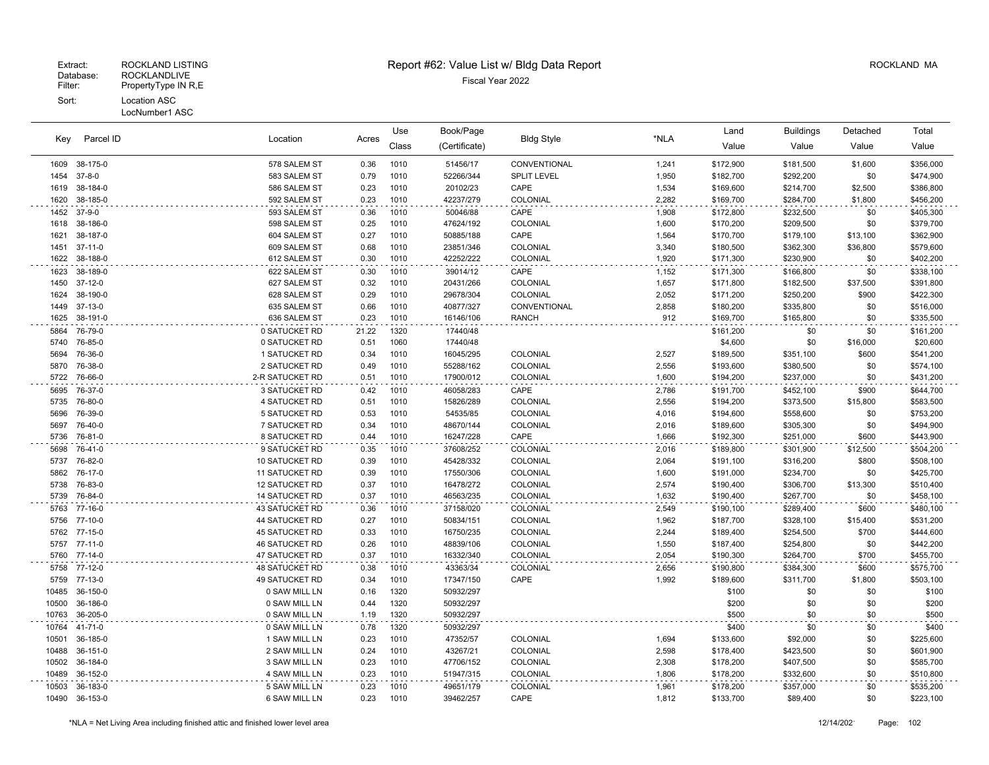#### LocNumber1 ASC

| Key          | Parcel ID          | Location                        | Acres        | Use          | Book/Page              | <b>Bldg Style</b>    | *NLA           | Land                   | <b>Buildings</b>       | Detached     | Total                  |
|--------------|--------------------|---------------------------------|--------------|--------------|------------------------|----------------------|----------------|------------------------|------------------------|--------------|------------------------|
|              |                    |                                 |              | Class        | (Certificate)          |                      |                | Value                  | Value                  | Value        | Value                  |
| 1609         | 38-175-0           | 578 SALEM ST                    | 0.36         | 1010         | 51456/17               | CONVENTIONAL         | 1,241          | \$172,900              | \$181,500              | \$1,600      | \$356,000              |
| 1454         | $37 - 8 - 0$       | 583 SALEM ST                    | 0.79         | 1010         | 52266/344              | <b>SPLIT LEVEL</b>   | 1,950          | \$182,700              | \$292,200              | \$0          | \$474,900              |
| 1619         | 38-184-0           | 586 SALEM ST                    | 0.23         | 1010         | 20102/23               | CAPE                 | 1,534          | \$169,600              | \$214,700              | \$2,500      | \$386,800              |
| 1620         | 38-185-0           | 592 SALEM ST                    | 0.23         | 1010         | 42237/279              | COLONIAL             | 2,282          | \$169,700              | \$284,700              | \$1,800      | \$456,200              |
| 1452         | $37-9-0$           | 593 SALEM ST                    | 0.36         | 1010         | 50046/88               | CAPE                 | 1,908          | \$172,800              | \$232,500              | \$0          | \$405,300              |
| 1618         | 38-186-0           | 598 SALEM ST                    | 0.25         | 1010         | 47624/192              | COLONIAL             | 1,600          | \$170,200              | \$209,500              | \$0          | \$379,700              |
| 1621         | 38-187-0           | 604 SALEM ST                    | 0.27         | 1010         | 50885/188              | CAPE                 | 1,564          | \$170,700              | \$179,100              | \$13,100     | \$362,900              |
| 1451         | $37-11-0$          | 609 SALEM ST                    | 0.68         | 1010         | 23851/346              | COLONIAL             | 3,340          | \$180,500              | \$362,300              | \$36,800     | \$579,600              |
| 1622         | 38-188-0           | 612 SALEM ST                    | 0.30         | 1010         | 42252/222              | COLONIAL             | 1,920          | \$171,300              | \$230,900              | \$0          | \$402,200              |
| 1623         | 38-189-0           | 622 SALEM ST                    | 0.30         | 1010         | 39014/12               | CAPE                 | 1,152          | \$171,300              | \$166,800              | \$0          | \$338,100              |
| 1450         | $37-12-0$          | 627 SALEM ST                    | 0.32         | 1010         | 20431/266              | COLONIAL             | 1,657          | \$171,800              | \$182,500              | \$37,500     | \$391,800              |
| 1624         | 38-190-0           | 628 SALEM ST                    | 0.29         | 1010         | 29678/304              | COLONIAL             | 2,052          | \$171,200              | \$250,200              | \$900        | \$422,300              |
| 1449         | 37-13-0            | 635 SALEM ST                    | 0.66         | 1010         | 40877/327              | CONVENTIONAL         | 2,858          | \$180,200              | \$335,800              | \$0          | \$516,000              |
| 1625         | 38-191-0           | 636 SALEM ST                    | 0.23         | 1010         | 16146/106              | <b>RANCH</b>         | 912            | \$169,700              | \$165,800              | \$0          | \$335,500              |
| 5864         | 76-79-0            | 0 SATUCKET RD                   | 21.22        | 1320         | 17440/48               |                      |                | \$161,200              | \$0                    | \$0          | \$161,200              |
| 5740         | 76-85-0            | 0 SATUCKET RD                   | 0.51         | 1060         | 17440/48               |                      |                | \$4,600                | \$0                    | \$16,000     | \$20,600               |
| 5694         | 76-36-0            | 1 SATUCKET RD                   | 0.34         | 1010         | 16045/295              | COLONIAL             | 2,527          | \$189,500              | \$351,100              | \$600        | \$541,200              |
| 5870         | 76-38-0            | 2 SATUCKET RD                   | 0.49         | 1010         | 55288/162              | COLONIAL             | 2,556          | \$193,600              | \$380,500              | \$0          | \$574,100              |
| 5722         | 76-66-0            | 2-R SATUCKET RD                 | 0.51         | 1010         | 17900/012              | COLONIAL             | 1,600          | \$194,200              | \$237,000              | \$0          | \$431,200              |
| 5695         | 76-37-0            | <b>3 SATUCKET RD</b>            | 0.42         | 1010         | 46058/283              | CAPE                 | 2,786          | \$191,700              | \$452,100              | \$900        | \$644,700              |
| 5735         | 76-80-0            | 4 SATUCKET RD                   | 0.51         | 1010         | 15826/289              | COLONIAL             | 2,556          | \$194,200              | \$373,500              | \$15,800     | \$583,500              |
| 5696         | 76-39-0            | 5 SATUCKET RD                   | 0.53         | 1010         | 54535/85               | COLONIAL             | 4,016          | \$194,600              | \$558,600              | \$0          | \$753,200              |
| 5697         | 76-40-0            | 7 SATUCKET RD                   | 0.34         | 1010         | 48670/144              | COLONIAL<br>CAPE     | 2,016          | \$189,600              | \$305,300              | \$0          | \$494,900              |
| 5736         | 76-81-0            | 8 SATUCKET RD                   | 0.44         | 1010         | 16247/228              |                      | 1,666          | \$192,300              | \$251,000              | \$600        | \$443,900              |
| 5698<br>5737 | 76-41-0<br>76-82-0 | 9 SATUCKET RD<br>10 SATUCKET RD | 0.35<br>0.39 | 1010<br>1010 | 37608/252<br>45428/332 | COLONIAL<br>COLONIAL | 2,016<br>2,064 | \$189,800              | \$301,900              | \$12,500     | \$504,200              |
| 5862         | 76-17-0            | <b>11 SATUCKET RD</b>           | 0.39         | 1010         | 17550/306              | COLONIAL             | 1,600          | \$191,100<br>\$191,000 | \$316,200<br>\$234,700 | \$800<br>\$0 | \$508,100<br>\$425,700 |
| 5738         | 76-83-0            | <b>12 SATUCKET RD</b>           | 0.37         | 1010         | 16478/272              | COLONIAL             | 2,574          | \$190,400              | \$306,700              | \$13,300     | \$510,400              |
| 5739         | 76-84-0            | <b>14 SATUCKET RD</b>           | 0.37         | 1010         | 46563/235              | COLONIAL             | 1,632          | \$190,400              | \$267,700              | \$0          | \$458,100              |
| 5763         | 77-16-0            | 43 SATUCKET RD                  | 0.36         | 1010         | 37158/020              | COLONIAL             |                | \$190,100              | \$289,400              | \$600        | \$480,100              |
| 5756         | 77-10-0            | 44 SATUCKET RD                  | 0.27         | 1010         | 50834/151              | COLONIAL             | 2,549<br>1,962 | \$187,700              | \$328,100              | \$15,400     | \$531,200              |
| 5762         | 77-15-0            | 45 SATUCKET RD                  | 0.33         | 1010         | 16750/235              | COLONIAL             | 2,244          | \$189,400              | \$254,500              | \$700        | \$444,600              |
| 5757         | 77-11-0            | <b>46 SATUCKET RD</b>           | 0.26         | 1010         | 48839/106              | COLONIAL             | 1,550          | \$187,400              | \$254,800              | \$0          | \$442,200              |
| 5760         | 77-14-0            | 47 SATUCKET RD                  | 0.37         | 1010         | 16332/340              | COLONIAL             | 2,054          | \$190,300              | \$264,700              | \$700        | \$455,700              |
| 5758         | 77-12-0            | <b>48 SATUCKET RD</b>           | 0.38         | 1010         | 43363/34               | COLONIAL             | 2,656          | \$190,800              | \$384,300              | \$600        | \$575,700              |
| 5759         | 77-13-0            | 49 SATUCKET RD                  | 0.34         | 1010         | 17347/150              | CAPE                 | 1,992          | \$189,600              | \$311,700              | \$1,800      | \$503,100              |
| 10485        | 36-150-0           | 0 SAW MILL LN                   | 0.16         | 1320         | 50932/297              |                      |                | \$100                  | \$0                    | \$0          | \$100                  |
| 10500        | 36-186-0           | 0 SAW MILL LN                   | 0.44         | 1320         | 50932/297              |                      |                | \$200                  | \$0                    | \$0          | \$200                  |
| 10763        | 36-205-0           | 0 SAW MILL LN                   | 1.19         | 1320         | 50932/297              |                      |                | \$500                  | \$0                    | \$0          | \$500                  |
| 10764        | 41-71-0            | 0 SAW MILL LN                   | 0.78         | 1320         | 50932/297              |                      |                | \$400                  | \$0                    | \$0          | \$400                  |
| 10501        | 36-185-0           | 1 SAW MILL LN                   | 0.23         | 1010         | 47352/57               | COLONIAL             | 1,694          | \$133,600              | \$92,000               | \$0          | \$225,600              |
| 10488        | 36-151-0           | 2 SAW MILL LN                   | 0.24         | 1010         | 43267/21               | COLONIAL             | 2,598          | \$178,400              | \$423,500              | \$0          | \$601,900              |
| 10502        | 36-184-0           | 3 SAW MILL LN                   | 0.23         | 1010         | 47706/152              | COLONIAL             | 2,308          | \$178,200              | \$407,500              | \$0          | \$585,700              |
| 10489        | 36-152-0           | 4 SAW MILL LN                   | 0.23         | 1010         | 51947/315              | COLONIAL             | 1,806          | \$178,200              | \$332,600              | \$0          | \$510,800              |
| 10503        | 36-183-0           | 5 SAW MILL LN                   | 0.23         | 1010         | 49651/179              | COLONIAL             | 1,961          | \$178,200              | \$357,000              | \$0          | \$535,200              |
| 10490        | 36-153-0           | 6 SAW MILL LN                   | 0.23         | 1010         | 39462/257              | CAPE                 | 1,812          | \$133,700              | \$89,400               | \$0          | \$223,100              |
|              |                    |                                 |              |              |                        |                      |                |                        |                        |              |                        |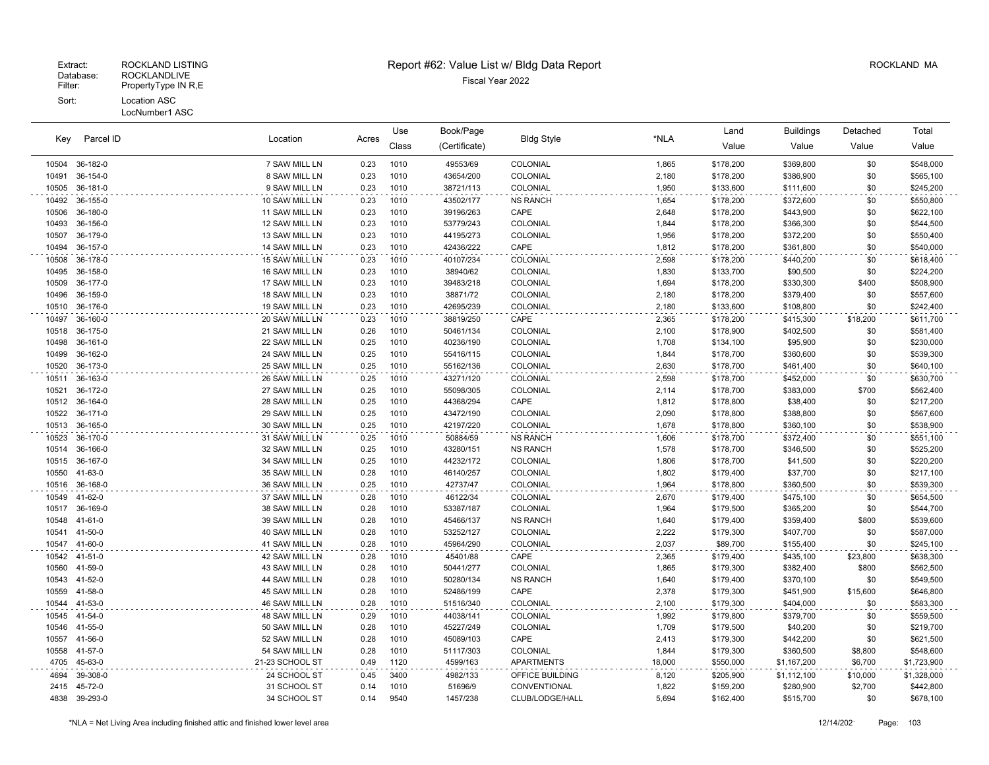LocNumber1 ASC

| Parcel ID<br>Key | Location<br>Acres |                 | Use  | Book/Page | <b>Bldg Style</b> | *NLA              | Land   | <b>Buildings</b> | Detached    | Total    |             |
|------------------|-------------------|-----------------|------|-----------|-------------------|-------------------|--------|------------------|-------------|----------|-------------|
|                  |                   |                 |      | Class     | (Certificate)     |                   |        | Value            | Value       | Value    | Value       |
| 10504            | 36-182-0          | 7 SAW MILL LN   | 0.23 | 1010      | 49553/69          | COLONIAL          | 1,865  | \$178,200        | \$369,800   | \$0      | \$548,000   |
| 10491            | 36-154-0          | 8 SAW MILL LN   | 0.23 | 1010      | 43654/200         | COLONIAL          | 2,180  | \$178,200        | \$386,900   | \$0      | \$565,100   |
| 10505            | 36-181-0          | 9 SAW MILL LN   | 0.23 | 1010      | 38721/113         | COLONIAL          | 1,950  | \$133,600        | \$111,600   | \$0      | \$245,200   |
| 10492            | 36-155-0          | 10 SAW MILL LN  | 0.23 | 1010      | 43502/177         | <b>NS RANCH</b>   | 1,654  | \$178,200        | \$372,600   | \$0      | \$550,800   |
| 10506            | 36-180-0          | 11 SAW MILL LN  | 0.23 | 1010      | 39196/263         | CAPE              | 2,648  | \$178,200        | \$443,900   | \$0      | \$622,100   |
| 10493            | 36-156-0          | 12 SAW MILL LN  | 0.23 | 1010      | 53779/243         | COLONIAL          | 1,844  | \$178,200        | \$366,300   | \$0      | \$544,500   |
| 10507            | 36-179-0          | 13 SAW MILL LN  | 0.23 | 1010      | 44195/273         | COLONIAL          | 1,956  | \$178,200        | \$372,200   | \$0      | \$550,400   |
| 10494            | 36-157-0          | 14 SAW MILL LN  | 0.23 | 1010      | 42436/222         | CAPE              | 1,812  | \$178,200        | \$361,800   | \$0      | \$540,000   |
| 10508            | 36-178-0          | 15 SAW MILL LN  | 0.23 | 1010      | 40107/234         | COLONIAL          | 2,598  | \$178,200        | \$440,200   | \$0      | \$618,400   |
| 10495            | 36-158-0          | 16 SAW MILL LN  | 0.23 | 1010      | 38940/62          | COLONIAL          | 1,830  | \$133,700        | \$90,500    | \$0      | \$224,200   |
| 10509            | 36-177-0          | 17 SAW MILL LN  | 0.23 | 1010      | 39483/218         | COLONIAL          | 1,694  | \$178,200        | \$330,300   | \$400    | \$508,900   |
| 10496            | 36-159-0          | 18 SAW MILL LN  | 0.23 | 1010      | 38871/72          | COLONIAL          | 2,180  | \$178,200        | \$379,400   | \$0      | \$557,600   |
| 10510            | 36-176-0          | 19 SAW MILL LN  | 0.23 | 1010      | 42695/239         | COLONIAL          | 2,180  | \$133,600        | \$108,800   | \$0      | \$242,400   |
| 10497            | 36-160-0          | 20 SAW MILL LN  | 0.23 | 1010      | 38819/250         | CAPE              | 2,365  | \$178,200        | \$415,300   | \$18,200 | \$611,700   |
| 10518            | 36-175-0          | 21 SAW MILL LN  | 0.26 | 1010      | 50461/134         | COLONIAL          | 2,100  | \$178,900        | \$402,500   | \$0      | \$581,400   |
| 10498            | 36-161-0          | 22 SAW MILL LN  | 0.25 | 1010      | 40236/190         | COLONIAL          | 1,708  | \$134,100        | \$95,900    | \$0      | \$230,000   |
| 10499            | 36-162-0          | 24 SAW MILL LN  | 0.25 | 1010      | 55416/115         | COLONIAL          | 1,844  | \$178,700        | \$360,600   | \$0      | \$539,300   |
| 10520            | 36-173-0          | 25 SAW MILL LN  | 0.25 | 1010      | 55162/136         | COLONIAL          | 2,630  | \$178,700        | \$461,400   | \$0      | \$640,100   |
| 10511            | 36-163-0          | 26 SAW MILL LN  | 0.25 | 1010      | 43271/120         | COLONIAL          | 2,598  | \$178,700        | \$452,000   | \$0      | \$630,700   |
| 10521            | 36-172-0          | 27 SAW MILL LN  | 0.25 | 1010      | 55098/305         | COLONIAL          | 2,114  | \$178,700        | \$383,000   | \$700    | \$562,400   |
| 10512            | 36-164-0          | 28 SAW MILL LN  | 0.25 | 1010      | 44368/294         | CAPE              | 1,812  | \$178,800        | \$38,400    | \$0      | \$217,200   |
| 10522            | 36-171-0          | 29 SAW MILL LN  | 0.25 | 1010      | 43472/190         | COLONIAL          | 2,090  | \$178,800        | \$388,800   | \$0      | \$567,600   |
| 10513            | 36-165-0          | 30 SAW MILL LN  | 0.25 | 1010      | 42197/220         | COLONIAL          | 1,678  | \$178,800        | \$360,100   | \$0      | \$538,900   |
| 10523            | 36-170-0          | 31 SAW MILL LN  | 0.25 | 1010      | 50884/59          | <b>NS RANCH</b>   | 1,606  | \$178,700        | \$372,400   | \$0      | \$551,100   |
| 10514            | 36-166-0          | 32 SAW MILL LN  | 0.25 | 1010      | 43280/151         | <b>NS RANCH</b>   | 1,578  | \$178,700        | \$346,500   | \$0      | \$525,200   |
| 10515            | 36-167-0          | 34 SAW MILL LN  | 0.25 | 1010      | 44232/172         | COLONIAL          | 1,806  | \$178,700        | \$41,500    | \$0      | \$220,200   |
| 10550            | 41-63-0           | 35 SAW MILL LN  | 0.28 | 1010      | 46140/257         | COLONIAL          | 1,802  | \$179,400        | \$37,700    | \$0      | \$217,100   |
| 10516            | 36-168-0          | 36 SAW MILL LN  | 0.25 | 1010      | 42737/47          | COLONIAL          | 1,964  | \$178,800        | \$360,500   | \$0      | \$539,300   |
| 10549            | 41-62-0           | 37 SAW MILL LN  | 0.28 | 1010      | 46122/34          | COLONIAL          | 2,670  | \$179,400        | \$475,100   | \$0      | \$654,500   |
| 10517            | 36-169-0          | 38 SAW MILL LN  | 0.28 | 1010      | 53387/187         | COLONIAL          | 1,964  | \$179,500        | \$365,200   | \$0      | \$544,700   |
| 10548            | 41-61-0           | 39 SAW MILL LN  | 0.28 | 1010      | 45466/137         | <b>NS RANCH</b>   | 1,640  | \$179,400        | \$359,400   | \$800    | \$539,600   |
| 10541            | 41-50-0           | 40 SAW MILL LN  | 0.28 | 1010      | 53252/127         | COLONIAL          | 2,222  | \$179,300        | \$407,700   | \$0      | \$587,000   |
| 10547            | 41-60-0           | 41 SAW MILL LN  | 0.28 | 1010      | 45964/290         | COLONIAL          | 2,037  | \$89,700         | \$155,400   | \$0      | \$245,100   |
| 10542            | 41-51-0           | 42 SAW MILL LN  | 0.28 | 1010      | 45401/88          | CAPE              | 2,365  | \$179,400        | \$435,100   | \$23,800 | \$638,300   |
| 10560            | 41-59-0           | 43 SAW MILL LN  | 0.28 | 1010      | 50441/277         | COLONIAL          | 1,865  | \$179,300        | \$382,400   | \$800    | \$562,500   |
| 10543            | 41-52-0           | 44 SAW MILL LN  | 0.28 | 1010      | 50280/134         | <b>NS RANCH</b>   | 1,640  | \$179,400        | \$370,100   | \$0      | \$549,500   |
| 10559            | 41-58-0           | 45 SAW MILL LN  | 0.28 | 1010      | 52486/199         | CAPE              | 2,378  | \$179,300        | \$451,900   | \$15,600 | \$646,800   |
| 10544            | 41-53-0           | 46 SAW MILL LN  | 0.28 | 1010      | 51516/340         | COLONIAL          | 2,100  | \$179,300        | \$404,000   | \$0      | \$583,300   |
| 10545            | 41-54-0           | 48 SAW MILL LN  | 0.29 | 1010      | 44038/141         | COLONIAL          | 1,992  | \$179,800        | \$379,700   | \$0      | \$559,500   |
| 10546            | 41-55-0           | 50 SAW MILL LN  | 0.28 | 1010      | 45227/249         | COLONIAL          | 1,709  | \$179,500        | \$40,200    | \$0      | \$219,700   |
| 10557            | 41-56-0           | 52 SAW MILL LN  | 0.28 | 1010      | 45089/103         | CAPE              | 2,413  | \$179,300        | \$442,200   | \$0      | \$621,500   |
| 10558            | 41-57-0           | 54 SAW MILL LN  | 0.28 | 1010      | 51117/303         | COLONIAL          | 1,844  | \$179,300        | \$360,500   | \$8,800  | \$548,600   |
| 4705             | 45-63-0           | 21-23 SCHOOL ST | 0.49 | 1120      | 4599/163          | <b>APARTMENTS</b> | 18,000 | \$550,000        | \$1,167,200 | \$6,700  | \$1,723,900 |
| 4694             | 39-308-0          | 24 SCHOOL ST    | 0.45 | 3400      | 4982/133          | OFFICE BUILDING   | 8,120  | \$205,900        | \$1,112,100 | \$10,000 | \$1,328,000 |
| 2415             | 45-72-0           | 31 SCHOOL ST    | 0.14 | 1010      | 51696/9           | CONVENTIONAL      | 1,822  | \$159,200        | \$280,900   | \$2,700  | \$442,800   |
| 4838             | 39-293-0          | 34 SCHOOL ST    | 0.14 | 9540      | 1457/238          | CLUB/LODGE/HALL   | 5,694  | \$162,400        | \$515,700   | \$0      | \$678,100   |
|                  |                   |                 |      |           |                   |                   |        |                  |             |          |             |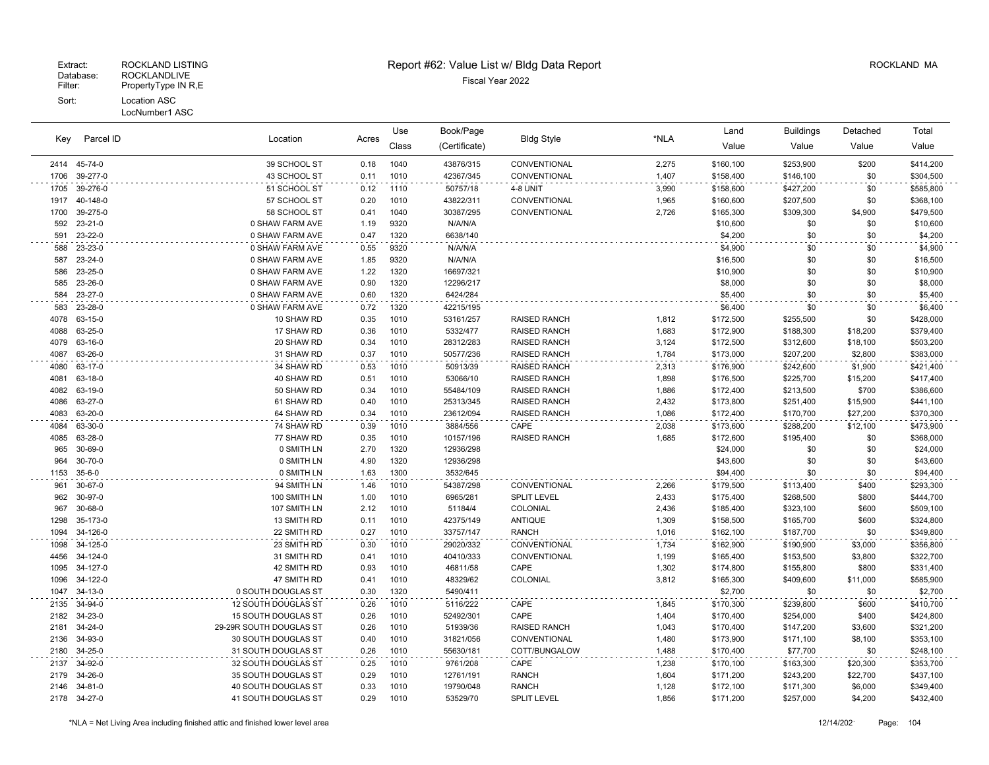Key Parcel ID

# Extract: ROCKLAND LISTING **Report #62: Value List w/ Bldg Data Report** Alleman and RockLAND MA

Location Acres Value Value Value Value Book/Page Bldg Style **Contained Accord Exercise Containers** Land Buildings Detached (Certificate) Bldg Style Class Use Total

| 2414         | 45-74-0            | 39 SCHOOL ST                               | 0.18         | 1040         | 43876/315             | CONVENTIONAL                       | 2,275          | \$160,100              | \$253,900              | \$200              | \$414,200              |  |
|--------------|--------------------|--------------------------------------------|--------------|--------------|-----------------------|------------------------------------|----------------|------------------------|------------------------|--------------------|------------------------|--|
| 1706         | 39-277-0           | 43 SCHOOL ST                               | 0.11         | 1010         | 42367/345             | CONVENTIONAL                       | 1,407          | \$158,400              | \$146,100              | \$0                | \$304,500              |  |
| 1705         | 39-276-0           | 51 SCHOOL ST                               | 0.12         | 1110         | 50757/18              | 4-8 UNIT                           | 3,990          | \$158,600              | \$427,200              | \$0                | \$585,800              |  |
| 1917         | 40-148-0           | 57 SCHOOL ST                               | 0.20         | 1010         | 43822/311             | CONVENTIONAL                       | 1,965          | \$160,600              | \$207,500              | \$0                | \$368,100              |  |
| 1700         | 39-275-0           | 58 SCHOOL ST                               | 0.41         | 1040         | 30387/295             | CONVENTIONAL                       | 2,726          | \$165,300              | \$309,300              | \$4,900            | \$479,500              |  |
| 592          | $23 - 21 - 0$      | 0 SHAW FARM AVE                            | 1.19         | 9320         | N/A/N/A               |                                    |                | \$10,600               | \$0                    | \$0                | \$10,600               |  |
| 591          | 23-22-0            | 0 SHAW FARM AVE                            | 0.47         | 1320         | 6638/140              |                                    |                | \$4,200                | \$0                    | \$0                | \$4,200                |  |
| 588          | 23-23-0            | 0 SHAW FARM AVE                            | 0.55         | 9320         | N/A/N/A               |                                    |                | \$4,900                | \$0                    | \$0                | \$4,900                |  |
| 587          | 23-24-0            | 0 SHAW FARM AVE                            | 1.85         | 9320         | N/A/N/A               |                                    |                | \$16,500               | \$0                    | \$0                | \$16,500               |  |
| 586          | 23-25-0            | 0 SHAW FARM AVE                            | 1.22         | 1320         | 16697/321             |                                    |                | \$10,900               | \$0                    | \$0                | \$10,900               |  |
| 585          | 23-26-0            | 0 SHAW FARM AVE                            | 0.90         | 1320         | 12296/217             |                                    |                | \$8,000                | \$0                    | \$0                | \$8,000                |  |
| 584          | $23 - 27 - 0$      | 0 SHAW FARM AVE                            | 0.60         | 1320         | 6424/284              |                                    |                | \$5,400                | \$0                    | \$0                | \$5,400                |  |
| 583          | 23-28-0            | 0 SHAW FARM AVE                            | 0.72         | 1320         | 42215/195             |                                    |                | \$6,400                | \$0                    | \$0                | \$6,400                |  |
| 4078         | 63-15-0            | 10 SHAW RD                                 | 0.35         | 1010         | 53161/257             | <b>RAISED RANCH</b>                | 1,812          | \$172,500              | \$255,500              | \$0                | \$428,000              |  |
| 4088         | 63-25-0            | 17 SHAW RD                                 | 0.36         | 1010         | 5332/477              | <b>RAISED RANCH</b>                | 1,683          | \$172,900              | \$188,300              | \$18,200           | \$379,400              |  |
| 4079         | 63-16-0            | 20 SHAW RD                                 | 0.34         | 1010         | 28312/283             | <b>RAISED RANCH</b>                | 3,124          | \$172,500              | \$312,600              | \$18,100           | \$503,200              |  |
| 4087         | 63-26-0            | 31 SHAW RD                                 | 0.37         | 1010         | 50577/236             | <b>RAISED RANCH</b>                | 1,784          | \$173,000              | \$207,200              | \$2,800            | \$383,000              |  |
| 4080         | 63-17-0            | 34 SHAW RD                                 | 0.53         | 1010         | 50913/39              | <b>RAISED RANCH</b>                | 2,313          | \$176,900              | \$242,600              | \$1,900            | \$421,400              |  |
| 4081         | 63-18-0            | 40 SHAW RD                                 | 0.51         | 1010         | 53066/10              | <b>RAISED RANCH</b>                | 1,898          | \$176,500              | \$225,700              | \$15,200           | \$417,400              |  |
| 4082         | 63-19-0            | 50 SHAW RD                                 | 0.34         | 1010         | 55484/109             | <b>RAISED RANCH</b>                | 1,886          | \$172,400              | \$213,500              | \$700              | \$386,600              |  |
| 4086         | 63-27-0            | 61 SHAW RD                                 | 0.40         | 1010         | 25313/345             | <b>RAISED RANCH</b>                | 2,432          | \$173,800              | \$251,400              | \$15,900           | \$441,100              |  |
| 4083         | 63-20-0            | 64 SHAW RD                                 | 0.34         | 1010         | 23612/094             | <b>RAISED RANCH</b>                | 1,086          | \$172,400              | \$170,700              | \$27,200           | \$370,300              |  |
| 4084         | 63-30-0            | 74 SHAW RD                                 | 0.39         | 1010         | 3884/556              | CAPE                               | 2,038          | \$173,600              | \$288,200              | \$12,100           | \$473,900              |  |
| 4085         | 63-28-0            | 77 SHAW RD                                 | 0.35         | 1010         | 10157/196             | <b>RAISED RANCH</b>                | 1.685          | \$172,600              | \$195,400              | \$0                | \$368,000              |  |
| 965          | 30-69-0            | 0 SMITH LN                                 | 2.70         | 1320         | 12936/298             |                                    |                | \$24,000               | \$0                    | \$0                | \$24,000               |  |
| 964          | $30 - 70 - 0$      | 0 SMITH LN                                 | 4.90         | 1320         | 12936/298             |                                    |                | \$43,600               | \$0                    | \$0                | \$43,600               |  |
| 1153         | $35 - 6 - 0$       | 0 SMITH LN                                 | 1.63         | 1300         | 3532/645              |                                    |                | \$94,400               | \$0                    | \$0                | \$94,400               |  |
| 961          | 30-67-0            | 94 SMITH LN                                | 1.46         | 1010         | 54387/298             | CONVENTIONAL                       | 2,266          | \$179,500              | \$113,400              | \$400              | \$293,300              |  |
| 962          | 30-97-0            | 100 SMITH LN                               | 1.00         | 1010         | 6965/281              | <b>SPLIT LEVEL</b>                 | 2,433          | \$175,400              | \$268,500              | \$800              | \$444,700              |  |
| 967          | 30-68-0            | 107 SMITH LN                               | 2.12         | 1010         | 51184/4               | COLONIAL                           | 2,436          | \$185,400              | \$323,100              | \$600              | \$509,100              |  |
| 1298         | 35-173-0           | 13 SMITH RD                                | 0.11         | 1010         | 42375/149             | <b>ANTIQUE</b>                     | 1,309          | \$158,500              | \$165,700              | \$600              | \$324,800              |  |
| 1094         | 34-126-0           | 22 SMITH RD                                | 0.27         | 1010         | 33757/147             | <b>RANCH</b>                       | 1,016          | \$162,100              | \$187,700              | \$0                | \$349,800              |  |
| 1098         | 34-125-0           | 23 SMITH RD                                | 0.30         | 1010         | 29020/332             | CONVENTIONAL                       | 1,734          | \$162,900              | \$190,900              | \$3,000            | \$356,800              |  |
| 4456         | 34-124-0           | 31 SMITH RD                                | 0.41         | 1010         | 40410/333             | CONVENTIONAL                       | 1,199          | \$165,400              | \$153,500              | \$3,800            | \$322,700              |  |
| 1095         | 34-127-0           | 42 SMITH RD                                | 0.93         | 1010         | 46811/58              | CAPE                               | 1,302          | \$174,800              | \$155,800              | \$800              | \$331,400              |  |
| 1096         | 34-122-0           | 47 SMITH RD                                | 0.41         | 1010         | 48329/62              | COLONIAL                           | 3,812          | \$165,300              | \$409,600              | \$11,000           | \$585,900              |  |
| 1047         | $34-13-0$          | 0 SOUTH DOUGLAS ST                         | 0.30         | 1320         | 5490/411              |                                    |                | \$2,700                | \$0                    | \$0                | \$2,700                |  |
| 2135         | 34-94-0            | 12 SOUTH DOUGLAS ST                        | 0.26         | 1010         | 5116/222              | CAPE                               | 1,845          | \$170,300              | \$239,800              | \$600              | \$410,700              |  |
| 2182         | $34 - 23 - 0$      | 15 SOUTH DOUGLAS ST                        | 0.26         | 1010         | 52492/301             | CAPE                               | 1,404          | \$170,400              | \$254,000              | \$400              | \$424,800              |  |
| 2181         | 34-24-0            | 29-29R SOUTH DOUGLAS ST                    | 0.26         | 1010         | 51939/36              | <b>RAISED RANCH</b>                | 1,043          | \$170,400              | \$147,200              | \$3,600            | \$321,200              |  |
| 2136         | 34-93-0            | 30 SOUTH DOUGLAS ST                        | 0.40         | 1010         | 31821/056             | CONVENTIONAL                       | 1,480          | \$173,900              | \$171,100              | \$8,100            | \$353,100              |  |
| 2180         | 34-25-0            | 31 SOUTH DOUGLAS ST                        | 0.26         | 1010         | 55630/181             | COTT/BUNGALOW                      | 1,488          | \$170,400              | \$77,700               | \$0                | \$248,100              |  |
| 2137<br>2179 | 34-92-0<br>34-26-0 | 32 SOUTH DOUGLAS ST<br>35 SOUTH DOUGLAS ST | 0.25         | 1010<br>1010 | 9761/208              | CAPE<br><b>RANCH</b>               | 1,238          | \$170,100              | \$163,300              | \$20,300           | \$353,700              |  |
|              |                    |                                            | 0.29         |              | 12761/191             |                                    | 1,604          | \$171,200              | \$243,200              | \$22,700           | \$437,100              |  |
| 2146<br>2178 | 34-81-0<br>34-27-0 | 40 SOUTH DOUGLAS ST<br>41 SOUTH DOUGLAS ST | 0.33<br>0.29 | 1010<br>1010 | 19790/048<br>53529/70 | <b>RANCH</b><br><b>SPLIT LEVEL</b> | 1,128<br>1,856 | \$172,100<br>\$171,200 | \$171,300<br>\$257,000 | \$6,000<br>\$4,200 | \$349,400<br>\$432,400 |  |
|              |                    |                                            |              |              |                       |                                    |                |                        |                        |                    |                        |  |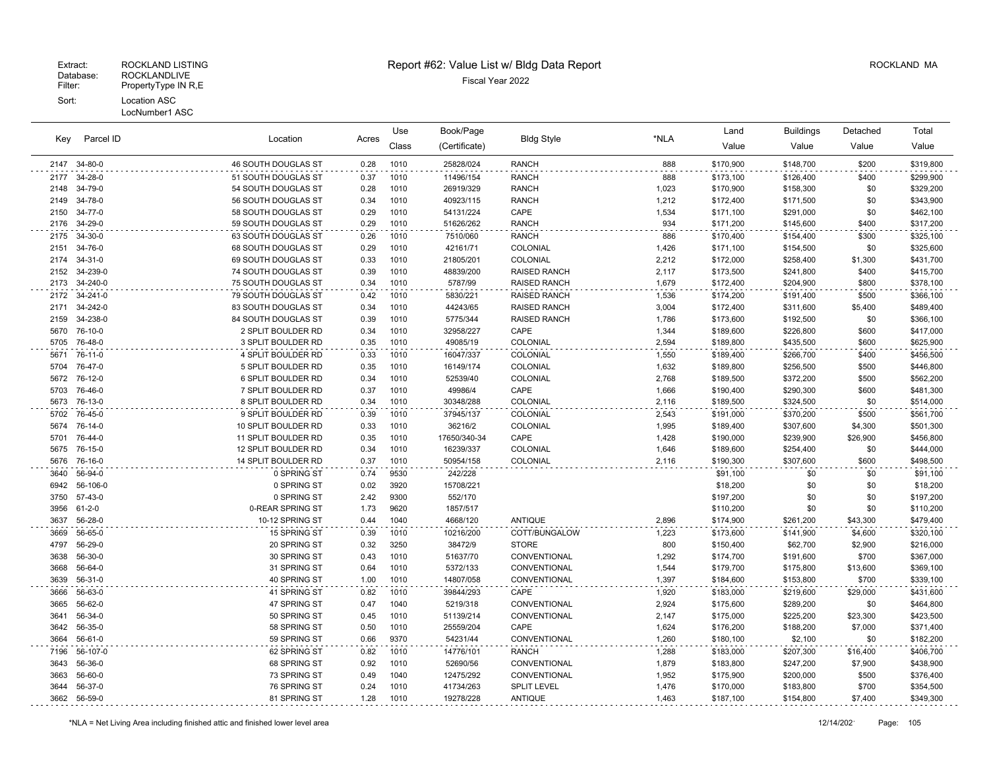| Parcel ID<br>Key |              | Location                   |       | Use   | Book/Page     |                     |       | Land      | <b>Buildings</b> | Detached | Total     |
|------------------|--------------|----------------------------|-------|-------|---------------|---------------------|-------|-----------|------------------|----------|-----------|
|                  |              |                            | Acres | Class | (Certificate) | <b>Bldg Style</b>   | *NLA  | Value     | Value            | Value    | Value     |
| 2147             | 34-80-0      | <b>46 SOUTH DOUGLAS ST</b> | 0.28  | 1010  | 25828/024     | <b>RANCH</b>        | 888   | \$170,900 | \$148,700        | \$200    | \$319,800 |
| 2177             | 34-28-0      | 51 SOUTH DOUGLAS ST        | 0.37  | 1010  | 11496/154     | <b>RANCH</b>        | 888   | \$173,100 | \$126,400        | \$400    | \$299,900 |
| 2148             | 34-79-0      | 54 SOUTH DOUGLAS ST        | 0.28  | 1010  | 26919/329     | <b>RANCH</b>        | 1,023 | \$170,900 | \$158,300        | \$0      | \$329,200 |
| 2149             | 34-78-0      | 56 SOUTH DOUGLAS ST        | 0.34  | 1010  | 40923/115     | <b>RANCH</b>        | 1,212 | \$172,400 | \$171,500        | \$0      | \$343,900 |
| 2150             | 34-77-0      | 58 SOUTH DOUGLAS ST        | 0.29  | 1010  | 54131/224     | CAPE                | 1,534 | \$171,100 | \$291,000        | \$0      | \$462,100 |
| 2176             | 34-29-0      | 59 SOUTH DOUGLAS ST        | 0.29  | 1010  | 51626/262     | <b>RANCH</b>        | 934   | \$171,200 | \$145,600        | \$400    | \$317,200 |
| 2175             | 34-30-0      | 63 SOUTH DOUGLAS ST        | 0.26  | 1010  | 7510/060      | <b>RANCH</b>        | 886   | \$170,400 | \$154,400        | \$300    | \$325,100 |
| 2151             | 34-76-0      | 68 SOUTH DOUGLAS ST        | 0.29  | 1010  | 42161/71      | COLONIAL            | 1,426 | \$171,100 | \$154,500        | \$0      | \$325,600 |
| 2174             | 34-31-0      | 69 SOUTH DOUGLAS ST        | 0.33  | 1010  | 21805/201     | COLONIAL            | 2,212 | \$172,000 | \$258,400        | \$1,300  | \$431,700 |
| 2152             | 34-239-0     | 74 SOUTH DOUGLAS ST        | 0.39  | 1010  | 48839/200     | <b>RAISED RANCH</b> | 2,117 | \$173,500 | \$241,800        | \$400    | \$415,700 |
| 2173             | 34-240-0     | 75 SOUTH DOUGLAS ST        | 0.34  | 1010  | 5787/99       | <b>RAISED RANCH</b> | 1,679 | \$172,400 | \$204,900        | \$800    | \$378,100 |
| 2172             | 34-241-0     | 79 SOUTH DOUGLAS ST        | 0.42  | 1010  | 5830/221      | <b>RAISED RANCH</b> | 1,536 | \$174,200 | \$191,400        | \$500    | \$366,100 |
| 2171             | 34-242-0     | 83 SOUTH DOUGLAS ST        | 0.34  | 1010  | 44243/65      | <b>RAISED RANCH</b> | 3,004 | \$172,400 | \$311,600        | \$5,400  | \$489,400 |
| 2159             | 34-238-0     | 84 SOUTH DOUGLAS ST        | 0.39  | 1010  | 5775/344      | <b>RAISED RANCH</b> | 1,786 | \$173,600 | \$192,500        | \$0      | \$366,100 |
| 5670             | 76-10-0      | 2 SPLIT BOULDER RD         | 0.34  | 1010  | 32958/227     | CAPE                | 1,344 | \$189,600 | \$226,800        | \$600    | \$417,000 |
| 5705             | 76-48-0      | 3 SPLIT BOULDER RD         | 0.35  | 1010  | 49085/19      | <b>COLONIAL</b>     | 2,594 | \$189,800 | \$435,500        | \$600    | \$625,900 |
| 5671             | 76-11-0      | 4 SPLIT BOULDER RD         | 0.33  | 1010  | 16047/337     | COLONIAL            | 1,550 | \$189,400 | \$266,700        | \$400    | \$456,500 |
| 5704             | 76-47-0      | 5 SPLIT BOULDER RD         | 0.35  | 1010  | 16149/174     | COLONIAL            | 1,632 | \$189,800 | \$256,500        | \$500    | \$446,800 |
| 5672             | 76-12-0      | 6 SPLIT BOULDER RD         | 0.34  | 1010  | 52539/40      | COLONIAL            | 2,768 | \$189,500 | \$372,200        | \$500    | \$562,200 |
| 5703             | 76-46-0      | 7 SPLIT BOULDER RD         | 0.37  | 1010  | 49986/4       | CAPE                | 1,666 | \$190,400 | \$290,300        | \$600    | \$481,300 |
| 5673             | 76-13-0      | 8 SPLIT BOULDER RD         | 0.34  | 1010  | 30348/288     | COLONIAL            | 2,116 | \$189,500 | \$324,500        | \$0      | \$514,000 |
| 5702             | 76-45-0      | 9 SPLIT BOULDER RD         | 0.39  | 1010  | 37945/137     | COLONIAL            | 2,543 | \$191,000 | \$370,200        | \$500    | \$561,700 |
| 5674             | 76-14-0      | 10 SPLIT BOULDER RD        | 0.33  | 1010  | 36216/2       | COLONIAL            | 1,995 | \$189,400 | \$307,600        | \$4,300  | \$501,300 |
| 5701             | 76-44-0      | 11 SPLIT BOULDER RD        | 0.35  | 1010  | 17650/340-34  | CAPE                | 1,428 | \$190,000 | \$239,900        | \$26,900 | \$456,800 |
| 5675             | 76-15-0      | 12 SPLIT BOULDER RD        | 0.34  | 1010  | 16239/337     | COLONIAL            | 1,646 | \$189,600 | \$254,400        | \$0      | \$444,000 |
| 5676             | 76-16-0      | 14 SPLIT BOULDER RD        | 0.37  | 1010  | 50954/158     | COLONIAL            | 2,116 | \$190,300 | \$307,600        | \$600    | \$498,500 |
| 3640             | 56-94-0      | 0 SPRING ST                | 0.74  | 9530  | 242/228       |                     |       | \$91,100  | \$0              | \$0      | \$91,100  |
| 6942             | 56-106-0     | 0 SPRING ST                | 0.02  | 3920  | 15708/221     |                     |       | \$18,200  | \$0              | \$0      | \$18,200  |
| 3750             | 57-43-0      | 0 SPRING ST                | 2.42  | 9300  | 552/170       |                     |       | \$197,200 | \$0              | \$0      | \$197,200 |
| 3956             | $61 - 2 - 0$ | 0-REAR SPRING ST           | 1.73  | 9620  | 1857/517      |                     |       | \$110,200 | \$0              | \$0      | \$110,200 |
| 3637             | 56-28-0      | 10-12 SPRING ST            | 0.44  | 1040  | 4668/120      | <b>ANTIQUE</b>      | 2,896 | \$174,900 | \$261,200        | \$43,300 | \$479,400 |
| 3669             | 56-65-0      | 15 SPRING ST               | 0.39  | 1010  | 10216/200     | COTT/BUNGALOW       | 1,223 | \$173,600 | \$141,900        | \$4,600  | \$320,100 |
| 4797             | 56-29-0      | 20 SPRING ST               | 0.32  | 3250  | 38472/9       | <b>STORE</b>        | 800   | \$150,400 | \$62,700         | \$2,900  | \$216,000 |
| 3638             | 56-30-0      | 30 SPRING ST               | 0.43  | 1010  | 51637/70      | CONVENTIONAL        | 1,292 | \$174,700 | \$191,600        | \$700    | \$367,000 |
| 3668             | 56-64-0      | 31 SPRING ST               | 0.64  | 1010  | 5372/133      | CONVENTIONAL        | 1,544 | \$179,700 | \$175,800        | \$13,600 | \$369,100 |
| 3639             | 56-31-0      | 40 SPRING ST               | 1.00  | 1010  | 14807/058     | CONVENTIONAL        | 1,397 | \$184,600 | \$153,800        | \$700    | \$339,100 |
| 3666             | 56-63-0      | 41 SPRING ST               | 0.82  | 1010  | 39844/293     | CAPE                | 1,920 | \$183,000 | \$219,600        | \$29,000 | \$431,600 |
| 3665             | 56-62-0      | 47 SPRING ST               | 0.47  | 1040  | 5219/318      | CONVENTIONAL        | 2,924 | \$175,600 | \$289,200        | \$0      | \$464,800 |
| 3641             | 56-34-0      | 50 SPRING ST               | 0.45  | 1010  | 51139/214     | CONVENTIONAL        | 2,147 | \$175,000 | \$225,200        | \$23,300 | \$423,500 |
| 3642             | 56-35-0      | 58 SPRING ST               | 0.50  | 1010  | 25559/204     | CAPE                | 1,624 | \$176,200 | \$188,200        | \$7,000  | \$371,400 |
| 3664             | $56-61-0$    | 59 SPRING ST               | 0.66  | 9370  | 54231/44      | CONVENTIONAL        | 1,260 | \$180,100 | \$2,100          | \$0      | \$182,200 |
| 7196             | 56-107-0     | 62 SPRING ST               | 0.82  | 1010  | 14776/101     | <b>RANCH</b>        | 1,288 | \$183,000 | \$207,300        | \$16,400 | \$406,700 |
| 3643             | 56-36-0      | 68 SPRING ST               | 0.92  | 1010  | 52690/56      | CONVENTIONAL        | 1,879 | \$183,800 | \$247,200        | \$7,900  | \$438,900 |
| 3663             | 56-60-0      | 73 SPRING ST               | 0.49  | 1040  | 12475/292     | CONVENTIONAL        | 1,952 | \$175,900 | \$200,000        | \$500    | \$376,400 |
| 3644             | 56-37-0      | 76 SPRING ST               | 0.24  | 1010  | 41734/263     | <b>SPLIT LEVEL</b>  | 1,476 | \$170,000 | \$183,800        | \$700    | \$354,500 |
| 3662             | 56-59-0      | 81 SPRING ST               | 1.28  | 1010  | 19278/228     | <b>ANTIQUE</b>      | 1,463 | \$187,100 | \$154,800        | \$7,400  | \$349,300 |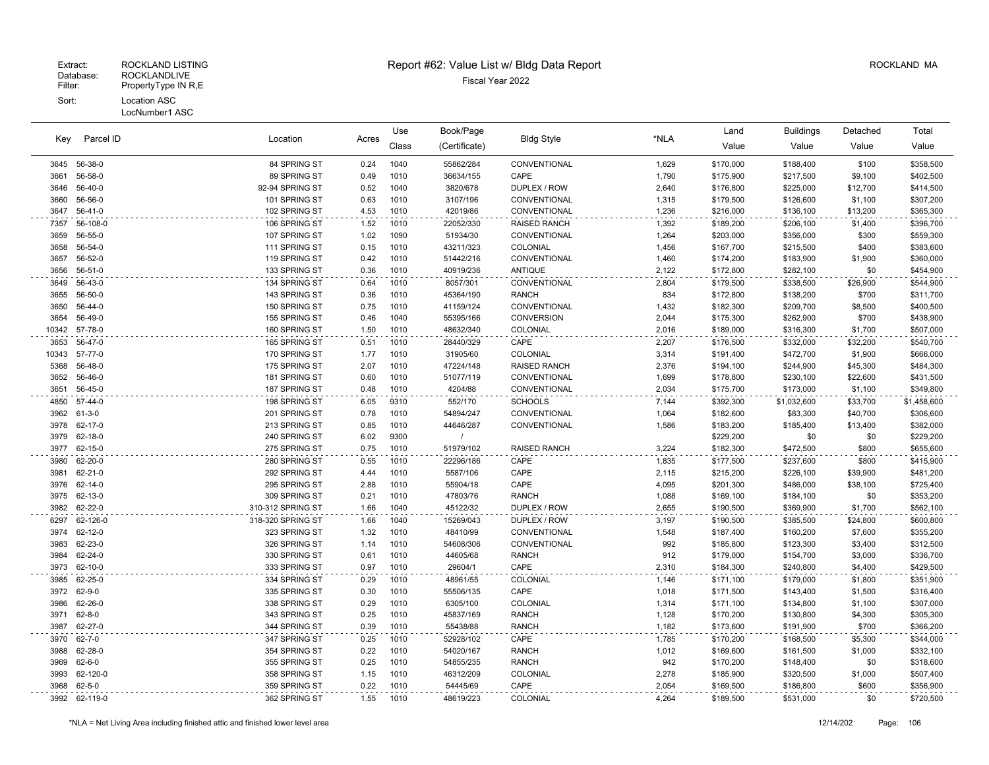LocNumber1 ASC

|       |                         |                                | Use          | Book/Page    |                       |                              | Land           | <b>Buildings</b>       | Detached    | Total            |                        |
|-------|-------------------------|--------------------------------|--------------|--------------|-----------------------|------------------------------|----------------|------------------------|-------------|------------------|------------------------|
| Key   | Parcel ID               | Location                       | Acres        | Class        | (Certificate)         | <b>Bldg Style</b>            | *NLA           | Value                  | Value       | Value            | Value                  |
|       |                         |                                |              |              |                       |                              |                |                        |             |                  |                        |
| 3645  | 56-38-0                 | 84 SPRING ST                   | 0.24         | 1040         | 55862/284             | CONVENTIONAL                 | 1,629          | \$170,000              | \$188,400   | \$100            | \$358,500              |
| 3661  | 56-58-0                 | 89 SPRING ST                   | 0.49         | 1010         | 36634/155             | CAPE                         | 1,790          | \$175,900              | \$217,500   | \$9,100          | \$402,500              |
| 3646  | 56-40-0                 | 92-94 SPRING ST                | 0.52         | 1040         | 3820/678              | DUPLEX / ROW                 | 2,640          | \$176,800              | \$225,000   | \$12,700         | \$414,500              |
| 3660  | 56-56-0                 | 101 SPRING ST                  | 0.63         | 1010         | 3107/196              | CONVENTIONAL                 | 1,315          | \$179,500              | \$126,600   | \$1,100          | \$307,200              |
| 3647  | $56-41-0$               | 102 SPRING ST                  | 4.53         | 1010         | 42019/86              | CONVENTIONAL                 | 1,236          | \$216,000              | \$136,100   | \$13,200         | \$365,300              |
| 7357  | 56-108-0                | 106 SPRING ST                  | 1.52         | 1010         | 22052/330             | <b>RAISED RANCH</b>          | 1,392          | \$189,200              | \$206,100   | \$1,400          | \$396,700              |
| 3659  | 56-55-0                 | 107 SPRING ST                  | 1.02         | 1090         | 51934/30              | CONVENTIONAL                 | 1,264          | \$203,000              | \$356,000   | \$300            | \$559,300              |
| 3658  | 56-54-0                 | 111 SPRING ST                  | 0.15         | 1010         | 43211/323             | COLONIAL                     | 1,456          | \$167,700              | \$215,500   | \$400            | \$383,600              |
| 3657  | 56-52-0                 | 119 SPRING ST                  | 0.42         | 1010         | 51442/216             | CONVENTIONAL                 | 1,460          | \$174,200              | \$183,900   | \$1,900          | \$360,000              |
| 3656  | $56 - 51 - 0$           | 133 SPRING ST                  | 0.36         | 1010         | 40919/236             | <b>ANTIQUE</b>               | 2,122          | \$172,800              | \$282,100   | \$0              | \$454,900              |
| 3649  | 56-43-0                 | 134 SPRING ST                  | 0.64         | 1010         | 8057/301              | CONVENTIONAL                 | 2,804          | \$179,500              | \$338,500   | \$26,900         | \$544,900              |
| 3655  | 56-50-0                 | 143 SPRING ST                  | 0.36         | 1010         | 45364/190             | <b>RANCH</b>                 | 834            | \$172,800              | \$138,200   | \$700            | \$311,700              |
| 3650  | 56-44-0                 | 150 SPRING ST                  | 0.75         | 1010         | 41159/124             | CONVENTIONAL                 | 1,432          | \$182,300              | \$209,700   | \$8,500          | \$400,500              |
| 3654  | 56-49-0                 | 155 SPRING ST                  | 0.46         | 1040         | 55395/166             | <b>CONVERSION</b>            | 2,044          | \$175,300              | \$262,900   | \$700            | \$438,900              |
| 10342 | 57-78-0                 | 160 SPRING ST                  | 1.50         | 1010         | 48632/340             | COLONIAL                     | 2,016          | \$189,000              | \$316,300   | \$1,700          | \$507,000              |
| 3653  | 56-47-0                 | 165 SPRING ST                  | 0.51         | 1010         | 28440/329             | CAPE                         | 2,207          | \$176,500              | \$332,000   | \$32,200         | \$540,700              |
| 10343 | 57-77-0                 | 170 SPRING ST                  | 1.77         | 1010         | 31905/60              | <b>COLONIAL</b>              | 3,314          | \$191,400              | \$472,700   | \$1,900          | \$666,000              |
| 5368  | 56-48-0                 | 175 SPRING ST                  | 2.07         | 1010         | 47224/148             | <b>RAISED RANCH</b>          | 2,376          | \$194,100              | \$244,900   | \$45,300         | \$484,300              |
| 3652  | 56-46-0                 | 181 SPRING ST                  | 0.60         | 1010         | 51077/119             | CONVENTIONAL                 | 1,699          | \$178,800              | \$230,100   | \$22,600         | \$431,500              |
| 3651  | 56-45-0                 | 187 SPRING ST                  | 0.48         | 1010         | 4204/88               | CONVENTIONAL                 | 2,034          | \$175,700              | \$173,000   | \$1,100          | \$349,800              |
| 4850  | 57-44-0                 | 198 SPRING ST                  | 6.05         | 9310         | 552/170               | <b>SCHOOLS</b>               | 7,144          | \$392,300              | \$1,032,600 | \$33,700         | \$1,458,600            |
| 3962  | $61 - 3 - 0$            | 201 SPRING ST                  | 0.78         | 1010         | 54894/247             | CONVENTIONAL                 | 1,064          | \$182,600              | \$83,300    | \$40,700         | \$306,600              |
| 3978  | 62-17-0                 | 213 SPRING ST                  | 0.85         | 1010         | 44646/287             | CONVENTIONAL                 | 1,586          | \$183,200              | \$185,400   | \$13,400         | \$382,000              |
| 3979  | 62-18-0                 | 240 SPRING ST                  | 6.02         | 9300         |                       |                              |                | \$229,200              | \$0         | \$0              | \$229,200              |
| 3977  | 62-15-0                 | 275 SPRING ST                  | 0.75         | 1010         | 51979/102             | <b>RAISED RANCH</b>          | 3,224          | \$182,300              | \$472,500   | \$800            | \$655,600              |
| 3980  | 62-20-0                 | 280 SPRING ST                  | 0.55         | 1010         | 22296/186             | CAPE                         | 1,835          | \$177,500              | \$237,600   | \$800            | \$415,900              |
| 3981  | 62-21-0                 | 292 SPRING ST                  | 4.44         | 1010         | 5587/106              | CAPE                         | 2,115          | \$215,200              | \$226,100   | \$39,900         | \$481,200              |
| 3976  | 62-14-0                 | 295 SPRING ST                  | 2.88         | 1010         | 55904/18              | CAPE                         | 4,095          | \$201,300              | \$486,000   | \$38,100         | \$725,400              |
| 3975  | 62-13-0                 | 309 SPRING ST                  | 0.21         | 1010         | 47803/76              | <b>RANCH</b>                 | 1,088          | \$169,100              | \$184,100   | \$0              | \$353,200              |
| 3982  | 62-22-0                 | 310-312 SPRING ST              | 1.66         | 1040         | 45122/32              | DUPLEX / ROW                 | 2,655          | \$190,500              | \$369,900   | \$1,700          | \$562,100              |
| 6297  | 62-126-0                | 318-320 SPRING ST              | 1.66         | 1040         | 15269/043             | DUPLEX / ROW                 | 3,197          | \$190,500              | \$385,500   | \$24,800         | \$600,800              |
| 3974  | 62-12-0                 | 323 SPRING ST                  | 1.32         | 1010         | 48410/99              | CONVENTIONAL                 | 1,548          | \$187,400              | \$160,200   | \$7,600          | \$355,200              |
| 3983  | 62-23-0                 | 326 SPRING ST                  | 1.14         | 1010         | 54608/306             | CONVENTIONAL                 | 992            | \$185,800              | \$123,300   | \$3,400          | \$312,500              |
| 3984  | 62-24-0                 | 330 SPRING ST                  | 0.61         | 1010         | 44605/68              | <b>RANCH</b>                 | 912            | \$179,000              | \$154,700   | \$3,000          | \$336,700              |
| 3973  | $62 - 10 - 0$           | 333 SPRING ST                  | 0.97         | 1010         | 29604/1               | CAPE                         | 2,310          | \$184,300              | \$240,800   | \$4,400          | \$429,500              |
| 3985  | 62-25-0                 | 334 SPRING ST                  | 0.29         | 1010         | 48961/55              | <b>COLONIAL</b>              |                | \$171,100              | \$179,000   | \$1,800          | \$351,900              |
| 3972  | $62 - 9 - 0$            | 335 SPRING ST                  | 0.30         | 1010         | 55506/135             | CAPE                         | 1,146<br>1,018 | \$171,500              | \$143,400   | \$1,500          | \$316,400              |
| 3986  | 62-26-0                 | 338 SPRING ST                  | 0.29         | 1010         | 6305/100              | COLONIAL                     | 1,314          | \$171,100              | \$134,800   | \$1,100          | \$307,000              |
|       |                         |                                |              |              |                       |                              |                |                        |             |                  |                        |
| 3971  | $62 - 8 - 0$<br>62-27-0 | 343 SPRING ST<br>344 SPRING ST | 0.25<br>0.39 | 1010<br>1010 | 45837/169<br>55438/88 | <b>RANCH</b><br><b>RANCH</b> | 1,128<br>1,182 | \$170,200<br>\$173,600 | \$130,800   | \$4,300<br>\$700 | \$305,300<br>\$366,200 |
| 3987  |                         |                                |              |              |                       |                              |                |                        | \$191,900   |                  |                        |
| 3970  | $62 - 7 - 0$            | 347 SPRING ST                  | 0.25         | 1010         | 52928/102             | CAPE                         | 1,785          | \$170,200              | \$168,500   | \$5,300          | \$344,000              |
| 3988  | 62-28-0                 | 354 SPRING ST                  | 0.22         | 1010         | 54020/167             | <b>RANCH</b>                 | 1,012          | \$169,600              | \$161,500   | \$1,000          | \$332,100              |
| 3969  | $62 - 6 - 0$            | 355 SPRING ST                  | 0.25         | 1010         | 54855/235             | <b>RANCH</b>                 | 942            | \$170,200              | \$148,400   | \$0              | \$318,600              |
| 3993  | 62-120-0                | 358 SPRING ST                  | 1.15         | 1010         | 46312/209             | COLONIAL                     | 2,278          | \$185,900              | \$320,500   | \$1,000          | \$507,400              |
| 3968  | $62 - 5 - 0$            | 359 SPRING ST                  | 0.22         | 1010         | 54445/69              | CAPE                         | 2,054          | \$169,500              | \$186,800   | \$600            | \$356,900              |
|       | 3992 62-119-0           | 362 SPRING ST                  | 1.55         | 1010         | 48619/223             | COLONIAL                     | 4,264          | \$189,500              | \$531,000   | \$0              | \$720,500              |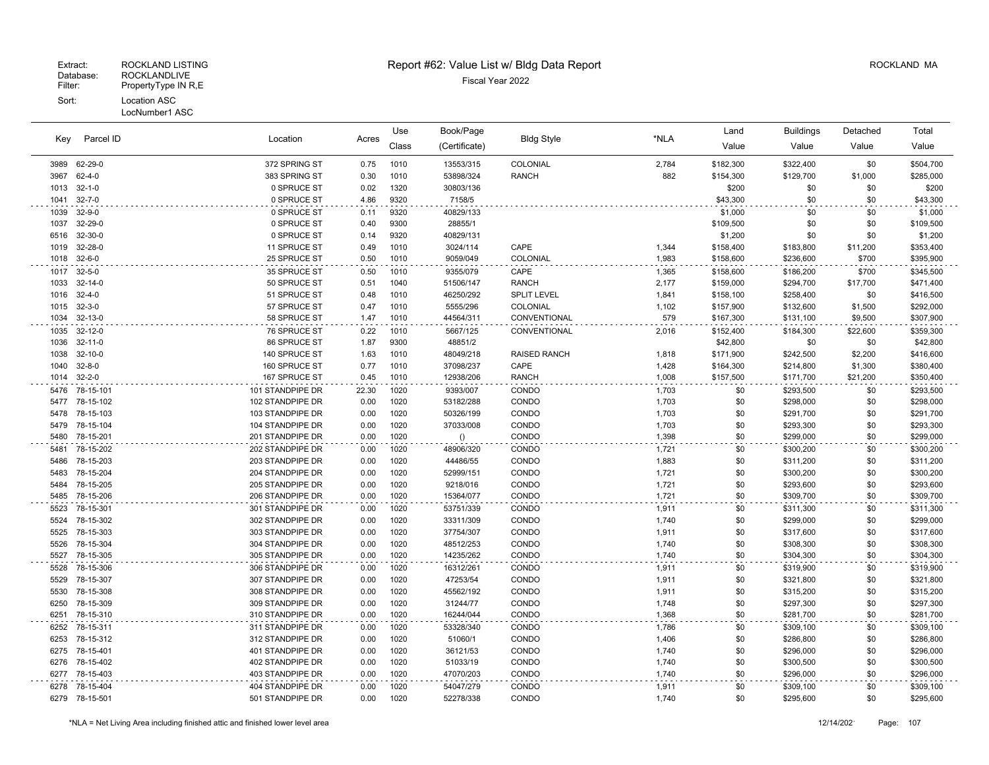#### LocNumber1 ASC

| Parcel ID<br>Key | Location      |                  | Use   | Book/Page |                  |                     | Land  | <b>Buildings</b> | Detached  | Total    |           |
|------------------|---------------|------------------|-------|-----------|------------------|---------------------|-------|------------------|-----------|----------|-----------|
|                  |               |                  | Acres | Class     | (Certificate)    | <b>Bldg Style</b>   | *NLA  | Value            | Value     | Value    | Value     |
| 3989             | 62-29-0       | 372 SPRING ST    | 0.75  | 1010      | 13553/315        | COLONIAL            | 2,784 | \$182,300        | \$322,400 | \$0      | \$504,700 |
| 3967             | $62 - 4 - 0$  | 383 SPRING ST    | 0.30  | 1010      | 53898/324        | <b>RANCH</b>        | 882   | \$154,300        | \$129,700 | \$1,000  | \$285,000 |
| 1013             | $32 - 1 - 0$  | 0 SPRUCE ST      | 0.02  | 1320      | 30803/136        |                     |       | \$200            | \$0       | \$0      | \$200     |
| 1041             | $32 - 7 - 0$  | 0 SPRUCE ST      | 4.86  | 9320      | 7158/5           |                     |       | \$43,300         | \$0       | \$0      | \$43,300  |
| 1039             | $32 - 9 - 0$  | 0 SPRUCE ST      | 0.11  | 9320      | 40829/133        |                     |       | \$1,000          | \$0       | \$0      | \$1,000   |
| 1037             | 32-29-0       | 0 SPRUCE ST      | 0.40  | 9300      | 28855/1          |                     |       | \$109,500        | \$0       | \$0      | \$109,500 |
| 6516             | 32-30-0       | 0 SPRUCE ST      | 0.14  | 9320      | 40829/131        |                     |       | \$1,200          | \$0       | \$0      | \$1,200   |
| 1019             | 32-28-0       | 11 SPRUCE ST     | 0.49  | 1010      | 3024/114         | CAPE                | 1,344 | \$158,400        | \$183,800 | \$11,200 | \$353,400 |
| 1018             | $32 - 6 - 0$  | 25 SPRUCE ST     | 0.50  | 1010      | 9059/049         | COLONIAL            | 1,983 | \$158,600        | \$236,600 | \$700    | \$395,900 |
| 1017             | $32 - 5 - 0$  | 35 SPRUCE ST     | 0.50  | 1010      | 9355/079         | CAPE                | 1,365 | \$158,600        | \$186,200 | \$700    | \$345,500 |
| 1033             | $32 - 14 - 0$ | 50 SPRUCE ST     | 0.51  | 1040      | 51506/147        | <b>RANCH</b>        | 2,177 | \$159,000        | \$294,700 | \$17,700 | \$471,400 |
| 1016             | $32 - 4 - 0$  | 51 SPRUCE ST     | 0.48  | 1010      | 46250/292        | <b>SPLIT LEVEL</b>  | 1,841 | \$158,100        | \$258,400 | \$0      | \$416,500 |
| 1015             | $32 - 3 - 0$  | 57 SPRUCE ST     | 0.47  | 1010      | 5555/296         | COLONIAL            | 1,102 | \$157,900        | \$132,600 | \$1,500  | \$292,000 |
| 1034             | $32 - 13 - 0$ | 58 SPRUCE ST     | 1.47  | 1010      | 44564/311        | CONVENTIONAL        | 579   | \$167,300        | \$131,100 | \$9,500  | \$307,900 |
| 1035             | 32-12-0       | 76 SPRUCE ST     | 0.22  | 1010      | 5667/125         | CONVENTIONAL        | 2,016 | \$152,400        | \$184,300 | \$22,600 | \$359,300 |
| 1036             | $32 - 11 - 0$ | 86 SPRUCE ST     | 1.87  | 9300      | 48851/2          |                     |       | \$42,800         | \$0       | \$0      | \$42,800  |
| 1038             | $32 - 10 - 0$ | 140 SPRUCE ST    | 1.63  | 1010      | 48049/218        | <b>RAISED RANCH</b> | 1,818 | \$171,900        | \$242,500 | \$2,200  | \$416,600 |
| 1040             | $32 - 8 - 0$  | 160 SPRUCE ST    | 0.77  | 1010      | 37098/237        | CAPE                | 1,428 | \$164,300        | \$214,800 | \$1,300  | \$380,400 |
| 1014             | $32 - 2 - 0$  | 167 SPRUCE ST    | 0.45  | 1010      | 12938/206        | <b>RANCH</b>        | 1,008 | \$157,500        | \$171,700 | \$21,200 | \$350,400 |
| 5476             | 78-15-101     | 101 STANDPIPE DR | 22.30 | 1020      | 9393/007         | CONDO               | 1,703 | \$0              | \$293,500 | \$0      | \$293,500 |
| 5477             | 78-15-102     | 102 STANDPIPE DR | 0.00  | 1020      | 53182/288        | CONDO               | 1,703 | \$0              | \$298,000 | \$0      | \$298,000 |
| 5478             | 78-15-103     | 103 STANDPIPE DR | 0.00  | 1020      | 50326/199        | CONDO               | 1,703 | \$0              | \$291,700 | \$0      | \$291,700 |
| 5479             | 78-15-104     | 104 STANDPIPE DR | 0.00  | 1020      | 37033/008        | CONDO               | 1,703 | \$0              | \$293,300 | \$0      | \$293,300 |
| 5480             | 78-15-201     | 201 STANDPIPE DR | 0.00  | 1020      | $\left( \right)$ | CONDO               | 1,398 | \$0              | \$299,000 | \$0      | \$299,000 |
| 5481             | 78-15-202     | 202 STANDPIPE DR | 0.00  | 1020      | 48906/320        | CONDO               | 1,721 | \$0              | \$300,200 | \$0      | \$300,200 |
| 5486             | 78-15-203     | 203 STANDPIPE DR | 0.00  | 1020      | 44486/55         | CONDO               | 1,883 | \$0              | \$311,200 | \$0      | \$311,200 |
| 5483             | 78-15-204     | 204 STANDPIPE DR | 0.00  | 1020      | 52999/151        | CONDO               | 1,721 | \$0              | \$300,200 | \$0      | \$300,200 |
| 5484             | 78-15-205     | 205 STANDPIPE DR | 0.00  | 1020      | 9218/016         | CONDO               | 1,721 | \$0              | \$293,600 | \$0      | \$293,600 |
| 5485             | 78-15-206     | 206 STANDPIPE DR | 0.00  | 1020      | 15364/077        | CONDO               | 1,721 | \$0              | \$309,700 | \$0      | \$309,700 |
| 5523             | 78-15-301     | 301 STANDPIPE DR | 0.00  | 1020      | 53751/339        | CONDO               | 1,911 | \$0              | \$311,300 | \$0      | \$311,300 |
| 5524             | 78-15-302     | 302 STANDPIPE DR | 0.00  | 1020      | 33311/309        | CONDO               | 1,740 | \$0              | \$299,000 | \$0      | \$299,000 |
| 5525             | 78-15-303     | 303 STANDPIPE DR | 0.00  | 1020      | 37754/307        | CONDO               | 1,911 | \$0              | \$317,600 | \$0      | \$317,600 |
| 5526             | 78-15-304     | 304 STANDPIPE DR | 0.00  | 1020      | 48512/253        | CONDO               | 1,740 | \$0              | \$308,300 | \$0      | \$308,300 |
| 5527             | 78-15-305     | 305 STANDPIPE DR | 0.00  | 1020      | 14235/262        | CONDO               | 1,740 | \$0              | \$304,300 | \$0      | \$304,300 |
| 5528             | 78-15-306     | 306 STANDPIPE DR | 0.00  | 1020      | 16312/261        | CONDO               | 1,911 | \$0              | \$319,900 | \$0      | \$319,900 |
| 5529             | 78-15-307     | 307 STANDPIPE DR | 0.00  | 1020      | 47253/54         | CONDO               | 1,911 | \$0              | \$321,800 | \$0      | \$321,800 |
| 5530             | 78-15-308     | 308 STANDPIPE DR | 0.00  | 1020      | 45562/192        | CONDO               | 1,911 | \$0              | \$315,200 | \$0      | \$315,200 |
| 6250             | 78-15-309     | 309 STANDPIPE DR | 0.00  | 1020      | 31244/77         | CONDO               | 1,748 | \$0              | \$297,300 | \$0      | \$297,300 |
| 6251             | 78-15-310     | 310 STANDPIPE DR | 0.00  | 1020      | 16244/044        | CONDO               | 1,368 | \$0              | \$281,700 | \$0      | \$281,700 |
| 6252             | 78-15-311     | 311 STANDPIPE DR | 0.00  | 1020      | 53328/340        | CONDO               | 1,786 | \$0              | \$309,100 | \$0      | \$309,100 |
| 6253             | 78-15-312     | 312 STANDPIPE DR | 0.00  | 1020      | 51060/1          | CONDO               | 1,406 | \$0              | \$286,800 | \$0      | \$286,800 |
| 6275             | 78-15-401     | 401 STANDPIPE DR | 0.00  | 1020      | 36121/53         | CONDO               | 1,740 | \$0              | \$296,000 | \$0      | \$296,000 |
| 6276             | 78-15-402     | 402 STANDPIPE DR | 0.00  | 1020      | 51033/19         | CONDO               | 1,740 | \$0              | \$300,500 | \$0      | \$300,500 |
| 6277             | 78-15-403     | 403 STANDPIPE DR | 0.00  | 1020      | 47070/203        | CONDO               | 1,740 | \$0              | \$296,000 | \$0      | \$296,000 |
| 6278             | 78-15-404     | 404 STANDPIPE DR | 0.00  | 1020      | 54047/279        | CONDO               | 1,911 | \$0              | \$309,100 | \$0      | \$309,100 |
| 6279             | 78-15-501     | 501 STANDPIPE DR | 0.00  | 1020      | 52278/338        | CONDO               | 1,740 | \$0              | \$295,600 | \$0      | \$295,600 |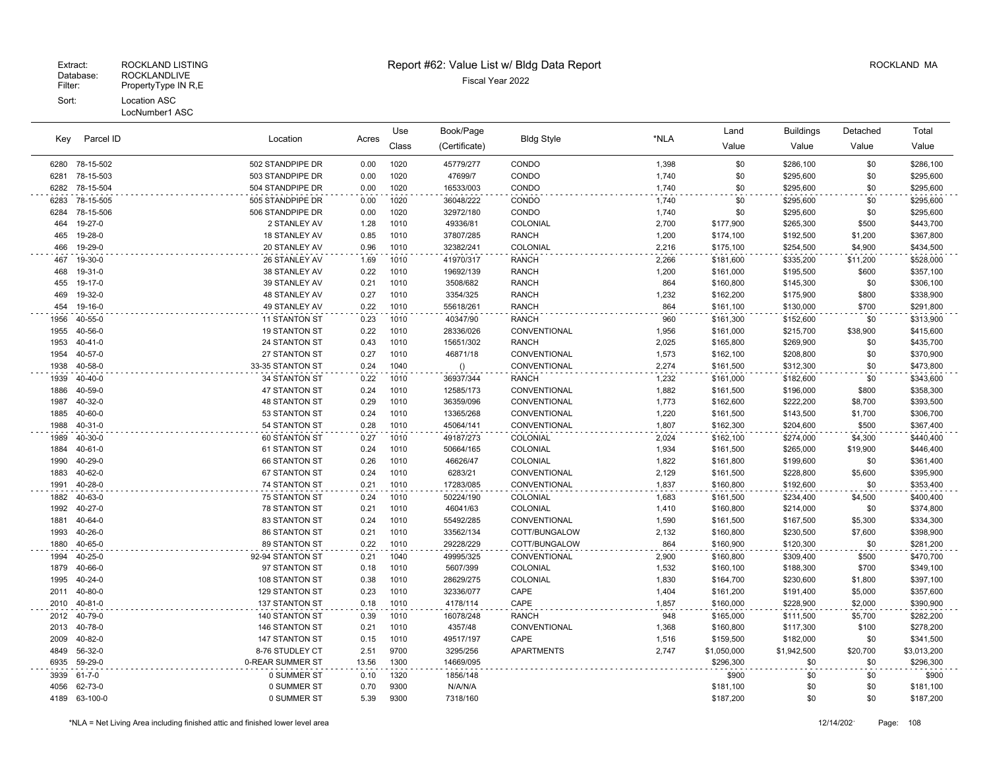| Parcel ID<br>Key |                | Location             |       | Use   | Book/Page     |                   |       | Land        | <b>Buildings</b> | Detached | Total       |
|------------------|----------------|----------------------|-------|-------|---------------|-------------------|-------|-------------|------------------|----------|-------------|
|                  |                |                      | Acres | Class | (Certificate) | <b>Bldg Style</b> | *NLA  | Value       | Value            | Value    | Value       |
|                  | 6280 78-15-502 | 502 STANDPIPE DR     | 0.00  | 1020  | 45779/277     | CONDO             | 1,398 | \$0         | \$286,100        | \$0      | \$286,100   |
| 6281             | 78-15-503      | 503 STANDPIPE DR     | 0.00  | 1020  | 47699/7       | CONDO             | 1,740 | \$0         | \$295,600        | \$0      | \$295,600   |
| 6282             | 78-15-504      | 504 STANDPIPE DR     | 0.00  | 1020  | 16533/003     | CONDO             | 1,740 | \$0         | \$295,600        | \$0      | \$295,600   |
| 6283             | 78-15-505      | 505 STANDPIPE DR     | 0.00  | 1020  | 36048/222     | CONDO             | 1,740 | \$0         | \$295,600        | \$0      | \$295,600   |
| 6284             | 78-15-506      | 506 STANDPIPE DR     | 0.00  | 1020  | 32972/180     | CONDO             | 1,740 | \$0         | \$295,600        | \$0      | \$295,600   |
| 464              | 19-27-0        | 2 STANLEY AV         | 1.28  | 1010  | 49336/81      | COLONIAL          | 2,700 | \$177,900   | \$265,300        | \$500    | \$443,700   |
| 465              | 19-28-0        | 18 STANLEY AV        | 0.85  | 1010  | 37807/285     | <b>RANCH</b>      | 1,200 | \$174,100   | \$192,500        | \$1,200  | \$367,800   |
| 466              | 19-29-0        | 20 STANLEY AV        | 0.96  | 1010  | 32382/241     | COLONIAL          | 2,216 | \$175,100   | \$254,500        | \$4,900  | \$434,500   |
| 467              | 19-30-0        | 26 STANLEY AV        | 1.69  | 1010  | 41970/317     | <b>RANCH</b>      | 2,266 | \$181,600   | \$335,200        | \$11,200 | \$528,000   |
| 468              | 19-31-0        | 38 STANLEY AV        | 0.22  | 1010  | 19692/139     | <b>RANCH</b>      | 1,200 | \$161,000   | \$195,500        | \$600    | \$357,100   |
| 455              | 19-17-0        | 39 STANLEY AV        | 0.21  | 1010  | 3508/682      | <b>RANCH</b>      | 864   | \$160,800   | \$145,300        | \$0      | \$306,100   |
| 469              | 19-32-0        | <b>48 STANLEY AV</b> | 0.27  | 1010  | 3354/325      | <b>RANCH</b>      | 1,232 | \$162,200   | \$175,900        | \$800    | \$338,900   |
| 454              | 19-16-0        | 49 STANLEY AV        | 0.22  | 1010  | 55618/261     | <b>RANCH</b>      | 864   | \$161,100   | \$130,000        | \$700    | \$291,800   |
| 1956             | 40-55-0        | 11 STANTON ST        | 0.23  | 1010  | 40347/90      | <b>RANCH</b>      | 960   | \$161,300   | \$152,600        | \$0      | \$313,900   |
| 1955             | 40-56-0        | 19 STANTON ST        | 0.22  | 1010  | 28336/026     | CONVENTIONAL      | 1,956 | \$161,000   | \$215,700        | \$38,900 | \$415,600   |
| 1953             | $40 - 41 - 0$  | 24 STANTON ST        | 0.43  | 1010  | 15651/302     | <b>RANCH</b>      | 2,025 | \$165,800   | \$269,900        | \$0      | \$435,700   |
| 1954             | 40-57-0        | 27 STANTON ST        | 0.27  | 1010  | 46871/18      | CONVENTIONAL      | 1,573 | \$162,100   | \$208,800        | \$0      | \$370,900   |
| 1938             | 40-58-0        | 33-35 STANTON ST     | 0.24  | 1040  | ()            | CONVENTIONAL      | 2,274 | \$161,500   | \$312,300        | \$0      | \$473,800   |
| 1939             | 40-40-0        | 34 STANTON ST        | 0.22  | 1010  | 36937/344     | <b>RANCH</b>      | 1,232 | \$161,000   | \$182,600        | \$0      | \$343,600   |
| 1886             | 40-59-0        | 47 STANTON ST        | 0.24  | 1010  | 12585/173     | CONVENTIONAL      | 1,882 | \$161,500   | \$196,000        | \$800    | \$358,300   |
| 1987             | 40-32-0        | <b>48 STANTON ST</b> | 0.29  | 1010  | 36359/096     | CONVENTIONAL      | 1,773 | \$162,600   | \$222,200        | \$8,700  | \$393,500   |
| 1885             | 40-60-0        | 53 STANTON ST        | 0.24  | 1010  | 13365/268     | CONVENTIONAL      | 1,220 | \$161,500   | \$143,500        | \$1,700  | \$306,700   |
| 1988             | $40 - 31 - 0$  | 54 STANTON ST        | 0.28  | 1010  | 45064/141     | CONVENTIONAL      | 1,807 | \$162,300   | \$204,600        | \$500    | \$367,400   |
| 1989             | 40-30-0        | 60 STANTON ST        | 0.27  | 1010  | 49187/273     | COLONIAL          | 2,024 | \$162,100   | \$274,000        | \$4,300  | \$440,400   |
| 1884             | $40 - 61 - 0$  | 61 STANTON ST        | 0.24  | 1010  | 50664/165     | COLONIAL          | 1,934 | \$161,500   | \$265,000        | \$19,900 | \$446,400   |
| 1990             | 40-29-0        | 66 STANTON ST        | 0.26  | 1010  | 46626/47      | COLONIAL          | 1,822 | \$161,800   | \$199,600        | \$0      | \$361,400   |
| 1883             | 40-62-0        | 67 STANTON ST        | 0.24  | 1010  | 6283/21       | CONVENTIONAL      | 2,129 | \$161,500   | \$228,800        | \$5,600  | \$395,900   |
| 1991             | 40-28-0        | 74 STANTON ST        | 0.21  | 1010  | 17283/085     | CONVENTIONAL      | 1,837 | \$160,800   | \$192,600        | \$0      | \$353,400   |
| 1882             | 40-63-0        | 75 STANTON ST        | 0.24  | 1010  | 50224/190     | COLONIAL          | 1,683 | \$161,500   | \$234,400        | \$4,500  | \$400,400   |
| 1992             | 40-27-0        | <b>78 STANTON ST</b> | 0.21  | 1010  | 46041/63      | COLONIAL          | 1,410 | \$160,800   | \$214,000        | \$0      | \$374,800   |
| 1881             | 40-64-0        | 83 STANTON ST        | 0.24  | 1010  | 55492/285     | CONVENTIONAL      | 1,590 | \$161,500   | \$167,500        | \$5,300  | \$334,300   |
| 1993             | 40-26-0        | 86 STANTON ST        | 0.21  | 1010  | 33562/134     | COTT/BUNGALOW     | 2,132 | \$160,800   | \$230,500        | \$7,600  | \$398,900   |
| 1880             | 40-65-0        | 89 STANTON ST        | 0.22  | 1010  | 29228/229     | COTT/BUNGALOW     | 864   | \$160,900   | \$120,300        | \$0      | \$281,200   |
| 1994             | 40-25-0        | 92-94 STANTON ST     | 0.21  | 1040  | 49995/325     | CONVENTIONAL      | 2,900 | \$160,800   | \$309,400        | \$500    | \$470,700   |
| 1879             | 40-66-0        | 97 STANTON ST        | 0.18  | 1010  | 5607/399      | COLONIAL          | 1,532 | \$160,100   | \$188,300        | \$700    | \$349,100   |
| 1995             | 40-24-0        | 108 STANTON ST       | 0.38  | 1010  | 28629/275     | COLONIAL          | 1,830 | \$164,700   | \$230,600        | \$1,800  | \$397,100   |
| 2011             | 40-80-0        | 129 STANTON ST       | 0.23  | 1010  | 32336/077     | CAPE              | 1,404 | \$161,200   | \$191,400        | \$5,000  | \$357,600   |
| 2010             | $40 - 81 - 0$  | 137 STANTON ST       | 0.18  | 1010  | 4178/114      | CAPE              | 1,857 | \$160,000   | \$228,900        | \$2,000  | \$390,900   |
| 2012             | 40-79-0        | 140 STANTON ST       | 0.39  | 1010  | 16078/248     | <b>RANCH</b>      | 948   | \$165,000   | \$111,500        | \$5,700  | \$282,200   |
| 2013             | 40-78-0        | 146 STANTON ST       | 0.21  | 1010  | 4357/48       | CONVENTIONAL      | 1,368 | \$160,800   | \$117,300        | \$100    | \$278,200   |
| 2009             | 40-82-0        | 147 STANTON ST       | 0.15  | 1010  | 49517/197     | CAPE              | 1,516 | \$159,500   | \$182,000        | \$0      | \$341,500   |
| 4849             | 56-32-0        | 8-76 STUDLEY CT      | 2.51  | 9700  | 3295/256      | <b>APARTMENTS</b> | 2,747 | \$1,050,000 | \$1,942,500      | \$20,700 | \$3,013,200 |
| 6935             | 59-29-0        | 0-REAR SUMMER ST     | 13.56 | 1300  | 14669/095     |                   |       | \$296,300   | \$0              | \$0      | \$296,300   |
| 3939             | $61 - 7 - 0$   | 0 SUMMER ST          | 0.10  | 1320  | 1856/148      |                   |       | \$900       | \$0              | \$0      | \$900       |
| 4056             | 62-73-0        | 0 SUMMER ST          | 0.70  | 9300  | N/A/N/A       |                   |       | \$181,100   | \$0              | \$0      | \$181,100   |
| 4189             | 63-100-0       | 0 SUMMER ST          | 5.39  | 9300  | 7318/160      |                   |       | \$187,200   | \$0              | \$0      | \$187,200   |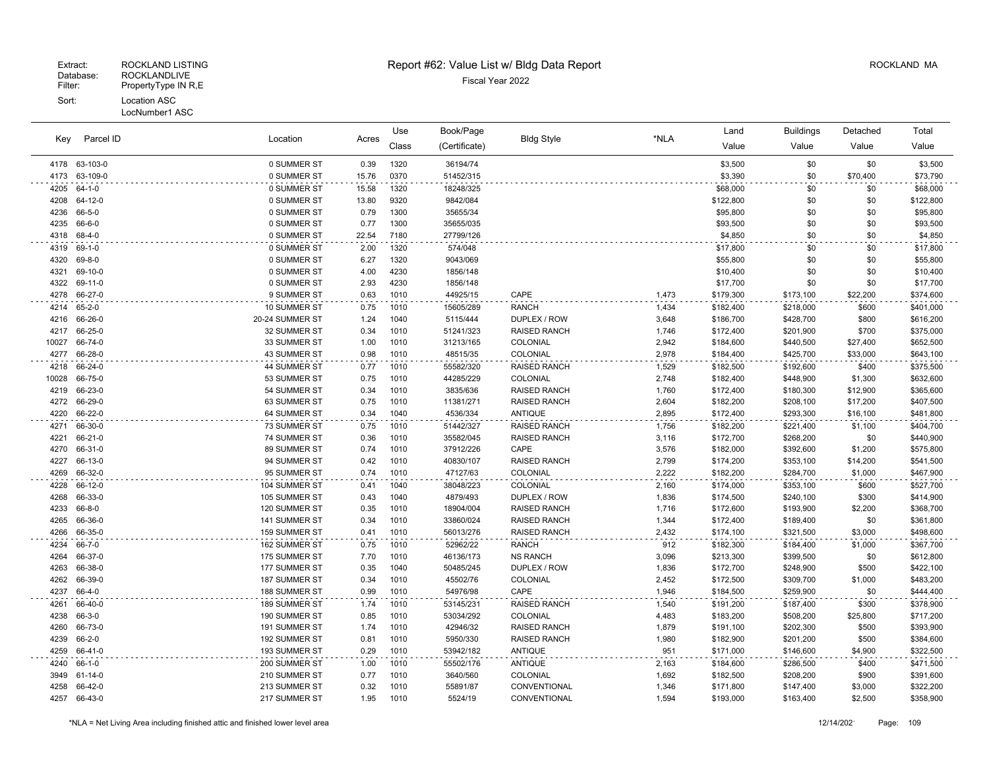|              |                    |                                |              | Use          | Book/Page              |                                            |                | Land                   | <b>Buildings</b>       | Detached          | Total                  |
|--------------|--------------------|--------------------------------|--------------|--------------|------------------------|--------------------------------------------|----------------|------------------------|------------------------|-------------------|------------------------|
| Key          | Parcel ID          | Location                       | Acres        | Class        | (Certificate)          | <b>Bldg Style</b>                          | *NLA           | Value                  | Value                  | Value             | Value                  |
|              | 4178 63-103-0      | 0 SUMMER ST                    | 0.39         | 1320         | 36194/74               |                                            |                | \$3,500                | \$0                    | \$0               | \$3,500                |
| 4173         | 63-109-0           | 0 SUMMER ST                    | 15.76        | 0370         | 51452/315              |                                            |                | \$3,390                | \$0                    | \$70,400          | \$73,790               |
| 4205         | $64 - 1 - 0$       | 0 SUMMER ST                    | 15.58        | 1320         | 18248/325              |                                            |                | \$68,000               | \$0                    | \$0               | \$68,000               |
| 4208         | 64-12-0            | 0 SUMMER ST                    | 13.80        | 9320         | 9842/084               |                                            |                | \$122,800              | \$0                    | \$0               | \$122,800              |
| 4236         | 66-5-0             | 0 SUMMER ST                    | 0.79         | 1300         | 35655/34               |                                            |                | \$95,800               | \$0                    | \$0               | \$95,800               |
| 4235         | 66-6-0             | 0 SUMMER ST                    | 0.77         | 1300         | 35655/035              |                                            |                | \$93,500               | \$0                    | \$0               | \$93,500               |
| 4318         | 68-4-0             | 0 SUMMER ST                    | 22.54        | 7180         | 27799/126              |                                            |                | \$4,850                | \$0                    | \$0               | \$4,850                |
| 4319         | 69-1-0             | 0 SUMMER ST                    | 2.00         | 1320         | 574/048                |                                            |                | \$17,800               | \$0                    | \$0               | \$17,800               |
| 4320         | 69-8-0             | 0 SUMMER ST                    | 6.27         | 1320         | 9043/069               |                                            |                | \$55,800               | \$0                    | \$0               | \$55,800               |
| 4321         | 69-10-0            | 0 SUMMER ST                    | 4.00         | 4230         | 1856/148               |                                            |                | \$10,400               | \$0                    | \$0               | \$10,400               |
| 4322         | 69-11-0            | 0 SUMMER ST                    | 2.93         | 4230         | 1856/148               |                                            |                | \$17,700               | \$0                    | \$0               | \$17,700               |
| 4278         | 66-27-0            | 9 SUMMER ST                    | 0.63         | 1010         | 44925/15               | CAPE                                       | 1,473          | \$179,300              | \$173,100              | \$22,200          | \$374,600              |
| 4214         | $65 - 2 - 0$       | 10 SUMMER ST                   | 0.75         | 1010         | 15605/289              | <b>RANCH</b>                               | 1,434          | \$182,400              | \$218,000              | \$600             | \$401,000              |
| 4216         | 66-26-0            | 20-24 SUMMER ST                | 1.24         | 1040         | 5115/444               | DUPLEX / ROW                               | 3,648          | \$186,700              | \$428,700              | \$800             | \$616,200              |
| 4217         | 66-25-0            | 32 SUMMER ST                   | 0.34         | 1010         | 51241/323              | <b>RAISED RANCH</b>                        | 1,746          | \$172,400              | \$201,900              | \$700             | \$375,000              |
| 10027        | 66-74-0            | 33 SUMMER ST                   | 1.00         | 1010         | 31213/165              | COLONIAL                                   | 2,942          | \$184,600              | \$440,500              | \$27,400          | \$652,500              |
| 4277         | 66-28-0            | 43 SUMMER ST                   | 0.98         | 1010         | 48515/35               | COLONIAL                                   | 2,978          | \$184,400              | \$425,700              | \$33,000          | \$643,100              |
| 4218         | 66-24-0            | 44 SUMMER ST                   | 0.77         | 1010         | 55582/320              | <b>RAISED RANCH</b>                        | 1,529          | \$182,500              | \$192,600              | \$400             | \$375,500              |
| 10028        | 66-75-0            | 53 SUMMER ST                   | 0.75         | 1010         | 44285/229              | COLONIAL                                   | 2,748          | \$182,400              | \$448,900              | \$1,300           | \$632,600              |
| 4219         | 66-23-0            | 54 SUMMER ST                   | 0.34         | 1010         | 3835/636               | <b>RAISED RANCH</b>                        | 1,760          | \$172,400              | \$180,300              | \$12,900          | \$365,600              |
| 4272         | 66-29-0            | 63 SUMMER ST                   | 0.75         | 1010         | 11381/271              | <b>RAISED RANCH</b>                        | 2,604          | \$182,200              | \$208,100              | \$17,200          | \$407,500              |
| 4220         | 66-22-0            | 64 SUMMER ST                   | 0.34         | 1040         | 4536/334               | <b>ANTIQUE</b>                             | 2,895          | \$172,400              | \$293,300              | \$16,100          | \$481,800              |
| 4271         | 66-30-0            | 73 SUMMER ST                   | 0.75         | 1010         | 51442/327              | <b>RAISED RANCH</b>                        | 1,756          | \$182,200              | \$221,400              | \$1,100           | \$404,700              |
| 4221         | 66-21-0            | 74 SUMMER ST                   | 0.36         | 1010         | 35582/045              | <b>RAISED RANCH</b>                        | 3,116          | \$172,700              | \$268,200              | \$0               | \$440,900              |
| 4270         | 66-31-0            | 89 SUMMER ST                   | 0.74         | 1010         | 37912/226              | CAPE                                       | 3,576          | \$182,000              | \$392,600              | \$1,200           | \$575,800              |
| 4227         | 66-13-0            | 94 SUMMER ST                   | 0.42         | 1010         | 40830/107              | <b>RAISED RANCH</b>                        | 2,799          | \$174,200              | \$353,100              | \$14,200          | \$541,500              |
| 4269         | 66-32-0            | 95 SUMMER ST                   | 0.74         | 1010         | 47127/63               | COLONIAL                                   | 2,222          | \$182,200              | \$284,700              | \$1,000           | \$467,900              |
| 4228         | 66-12-0            | 104 SUMMER ST                  | 0.41         | 1040         | 38048/223              | COLONIAL                                   | 2,160          | \$174,000              | \$353,100              | \$600             | \$527,700              |
| 4268         | 66-33-0            | 105 SUMMER ST                  | 0.43         | 1040         | 4879/493               | DUPLEX / ROW                               | 1,836          | \$174,500              | \$240,100              | \$300             | \$414,900              |
| 4233         | 66-8-0             | 120 SUMMER ST                  | 0.35         | 1010         | 18904/004              | <b>RAISED RANCH</b>                        | 1,716          | \$172,600              | \$193,900              | \$2,200           | \$368,700              |
| 4265<br>4266 | 66-36-0<br>66-35-0 | 141 SUMMER ST<br>159 SUMMER ST | 0.34<br>0.41 | 1010<br>1010 | 33860/024              | <b>RAISED RANCH</b><br><b>RAISED RANCH</b> | 1,344          | \$172,400              | \$189,400              | \$0               | \$361,800<br>\$498,600 |
|              |                    |                                |              |              | 56013/276              |                                            | 2,432          | \$174,100              | \$321,500              | \$3,000           |                        |
| 4234         | 66-7-0<br>66-37-0  | 162 SUMMER ST<br>175 SUMMER ST | 0.75         | 1010<br>1010 | 52962/22               | <b>RANCH</b><br><b>NS RANCH</b>            | 912<br>3,096   | \$182,300              | \$184,400              | \$1,000<br>\$0    | \$367,700              |
| 4264         | 66-38-0            |                                | 7.70<br>0.35 | 1040         | 46136/173<br>50485/245 | DUPLEX / ROW                               |                | \$213,300              | \$399,500              | \$500             | \$612,800              |
| 4263<br>4262 | 66-39-0            | 177 SUMMER ST<br>187 SUMMER ST | 0.34         | 1010         | 45502/76               | COLONIAL                                   | 1,836<br>2,452 | \$172,700              | \$248,900              |                   | \$422,100<br>\$483,200 |
| 4237         | 66-4-0             | 188 SUMMER ST                  | 0.99         | 1010         | 54976/98               | CAPE                                       | 1,946          | \$172,500<br>\$184,500 | \$309,700<br>\$259,900 | \$1,000<br>\$0    | \$444,400              |
| 4261         | 66-40-0            | 189 SUMMER ST                  |              |              |                        |                                            |                |                        |                        |                   |                        |
| 4238         |                    |                                | 1.74<br>0.85 | 1010         | 53145/231              | <b>RAISED RANCH</b><br>COLONIAL            | 1,540          | \$191,200              | \$187,400              | \$300             | \$378,900              |
| 4260         | 66-3-0<br>66-73-0  | 190 SUMMER ST<br>191 SUMMER ST | 1.74         | 1010<br>1010 | 53034/292<br>42946/32  | <b>RAISED RANCH</b>                        | 4,483<br>1,879 | \$183,200<br>\$191,100 | \$508,200<br>\$202,300 | \$25,800<br>\$500 | \$717,200<br>\$393,900 |
| 4239         | 66-2-0             | 192 SUMMER ST                  | 0.81         | 1010         | 5950/330               | <b>RAISED RANCH</b>                        | 1,980          | \$182,900              | \$201,200              | \$500             | \$384,600              |
| 4259         | 66-41-0            | 193 SUMMER ST                  | 0.29         | 1010         | 53942/182              | <b>ANTIQUE</b>                             | 951            | \$171,000              | \$146,600              | \$4,900           | \$322,500              |
| 4240         | $66 - 1 - 0$       | 200 SUMMER ST                  | 1.00         | 1010         | 55502/176              | <b>ANTIQUE</b>                             | 2,163          | \$184,600              | \$286,500              | \$400             | \$471,500              |
| 3949         | 61-14-0            | 210 SUMMER ST                  | 0.77         | 1010         | 3640/560               | COLONIAL                                   | 1,692          | \$182,500              | \$208,200              | \$900             | \$391,600              |
| 4258         | 66-42-0            | 213 SUMMER ST                  | 0.32         | 1010         | 55891/87               | CONVENTIONAL                               | 1,346          | \$171,800              | \$147,400              | \$3,000           | \$322,200              |
|              | 4257 66-43-0       | 217 SUMMER ST                  | 1.95         | 1010         | 5524/19                | CONVENTIONAL                               | 1,594          | \$193,000              | \$163,400              | \$2,500           | \$358,900              |
|              |                    |                                |              |              |                        |                                            |                |                        |                        |                   |                        |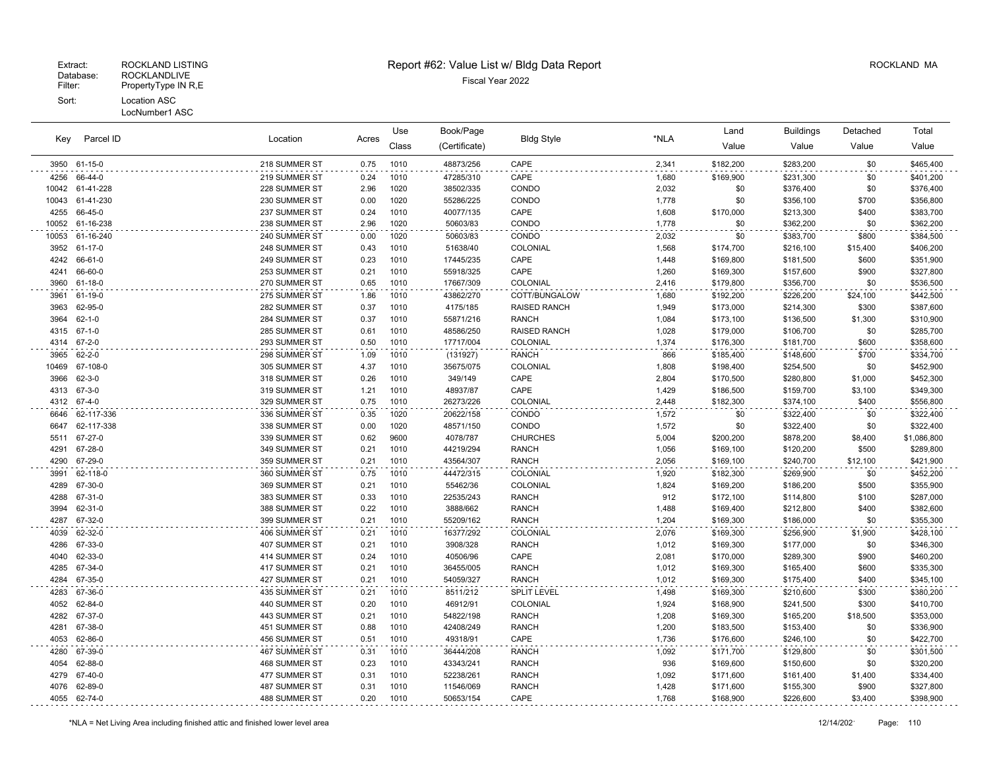### Extract: ROCKLAND LISTING **Report #62: Value List w/ Bldg Data Report** Alleman and RockLAND MA

|              |                    |                                |              | Use          | Book/Page             |                              |              | Land                   | <b>Buildings</b>       | Detached       | Total                  |
|--------------|--------------------|--------------------------------|--------------|--------------|-----------------------|------------------------------|--------------|------------------------|------------------------|----------------|------------------------|
| Key          | Parcel ID          | Location                       | Acres        | Class        | (Certificate)         | <b>Bldg Style</b>            | *NLA         | Value                  | Value                  | Value          | Value                  |
| 3950         | 61-15-0            | 218 SUMMER ST                  | 0.75         | 1010         | 48873/256             | CAPE                         | 2,341        | \$182,200              | \$283,200              | \$0            | \$465,400              |
| 4256         | 66-44-0            | 219 SUMMER ST                  | 0.24         | 1010         | 47285/310             | CAPE                         | 1,680        | \$169,900              | \$231,300              | \$0            | \$401,200              |
| 10042        | 61-41-228          | 228 SUMMER ST                  | 2.96         | 1020         | 38502/335             | CONDO                        | 2,032        | \$0                    | \$376,400              | \$0            | \$376,400              |
| 10043        | 61-41-230          | 230 SUMMER ST                  | 0.00         | 1020         | 55286/225             | CONDO                        | 1,778        | \$0                    | \$356,100              | \$700          | \$356,800              |
| 4255         | 66-45-0            | 237 SUMMER ST                  | 0.24         | 1010         | 40077/135             | CAPE                         | 1,608        | \$170,000              | \$213,300              | \$400          | \$383,700              |
| 10052        | 61-16-238          | 238 SUMMER ST                  | 2.96         | 1020         | 50603/83              | CONDO                        | 1,778        | \$0                    | \$362,200              | \$0            | \$362,200              |
| 10053        | 61-16-240          | 240 SUMMER ST                  | 0.00         | 1020         | 50603/83              | CONDO                        | 2,032        | \$0                    | \$383,700              | \$800          | \$384,500              |
| 3952         | 61-17-0            | 248 SUMMER ST                  | 0.43         | 1010         | 51638/40              | COLONIAL                     | 1,568        | \$174,700              | \$216,100              | \$15,400       | \$406,200              |
| 4242         | 66-61-0            | 249 SUMMER ST                  | 0.23         | 1010         | 17445/235             | CAPE                         | 1,448        | \$169,800              | \$181,500              | \$600          | \$351,900              |
| 4241         | 66-60-0            | 253 SUMMER ST                  | 0.21         | 1010         | 55918/325             | CAPE                         | 1,260        | \$169,300              | \$157,600              | \$900          | \$327,800              |
| 3960         | 61-18-0            | 270 SUMMER ST                  | 0.65         | 1010         | 17667/309             | COLONIAL                     | 2,416        | \$179,800              | \$356,700              | \$0            | \$536,500              |
| 3961         | 61-19-0            | 275 SUMMER ST                  | 1.86         | 1010         | 43862/270             | COTT/BUNGALOW                | 1,680        | \$192,200              | \$226,200              | \$24,100       | \$442,500              |
| 3963         | 62-95-0            | 282 SUMMER ST                  | 0.37         | 1010         | 4175/185              | <b>RAISED RANCH</b>          | 1,949        | \$173,000              | \$214,300              | \$300          | \$387,600              |
| 3964         | $62 - 1 - 0$       | 284 SUMMER ST                  | 0.37         | 1010         | 55871/216             | <b>RANCH</b>                 | 1,084        | \$173,100              | \$136,500              | \$1,300        | \$310,900              |
| 4315         | $67 - 1 - 0$       | 285 SUMMER ST                  | 0.61         | 1010         | 48586/250             | RAISED RANCH                 | 1,028        | \$179,000              | \$106,700              | \$0            | \$285,700              |
| 4314         | $67 - 2 - 0$       | 293 SUMMER ST                  | 0.50         | 1010         | 17717/004             | COLONIAL                     | 1,374        | \$176,300              | \$181,700              | \$600          | \$358,600              |
| 3965         | $62 - 2 - 0$       | 298 SUMMER ST                  | 1.09         | 1010         | (131927)              | <b>RANCH</b>                 | 866          | \$185,400              | \$148,600              | \$700          | \$334,700              |
| 10469        | 67-108-0           | 305 SUMMER ST                  | 4.37         | 1010         | 35675/075             | COLONIAL                     | 1,808        | \$198,400              | \$254,500              | \$0            | \$452,900              |
| 3966         | $62 - 3 - 0$       | 318 SUMMER ST                  | 0.26         | 1010         | 349/149               | CAPE                         | 2,804        | \$170,500              | \$280,800              | \$1,000        | \$452,300              |
| 4313         | 67-3-0             | 319 SUMMER ST                  | 1.21         | 1010         | 48937/87              | CAPE                         | 1,429        | \$186,500              | \$159,700              | \$3,100        | \$349,300              |
| 4312         | 67-4-0             | 329 SUMMER ST                  | 0.75         | 1010         | 26273/226             | COLONIAL                     | 2,448        | \$182,300              | \$374,100              | \$400          | \$556,800              |
| 6646         | 62-117-336         | 336 SUMMER ST                  | 0.35         | 1020         | 20622/158             | CONDO                        | 1,572        | \$0                    | \$322,400              | \$0            | \$322,400              |
| 6647         | 62-117-338         | 338 SUMMER ST                  | 0.00         | 1020         | 48571/150             | CONDO                        | 1,572        | \$0                    | \$322,400              | \$0            | \$322,400              |
| 5511         | 67-27-0            | 339 SUMMER ST                  | 0.62         | 9600         | 4078/787              | <b>CHURCHES</b>              | 5,004        | \$200,200              | \$878,200              | \$8,400        | \$1,086,800            |
| 4291         | 67-28-0            | 349 SUMMER ST                  | 0.21         | 1010         | 44219/294             | <b>RANCH</b>                 | 1,056        | \$169,100              | \$120,200              | \$500          | \$289,800              |
| 4290         | 67-29-0            | 359 SUMMER ST                  | 0.21         | 1010         | 43564/307             | <b>RANCH</b>                 | 2,056        | \$169,100              | \$240,700              | \$12,100       | \$421,900              |
| 3991         | 62-118-0           | 360 SUMMER ST                  | 0.75         | 1010         | 44472/315             | COLONIAL                     | 1,920        | \$182,300              | \$269,900              | \$0            | \$452,200              |
| 4289         | 67-30-0            | 369 SUMMER ST                  | 0.21         | 1010         | 55462/36              | COLONIAL                     | 1,824        | \$169,200              | \$186,200              | \$500          | \$355,900              |
| 4288<br>3994 | 67-31-0<br>62-31-0 | 383 SUMMER ST<br>388 SUMMER ST | 0.33<br>0.22 | 1010<br>1010 | 22535/243<br>3888/662 | <b>RANCH</b><br><b>RANCH</b> | 912<br>1,488 | \$172,100              | \$114,800              | \$100<br>\$400 | \$287,000<br>\$382,600 |
| 4287         | 67-32-0            | 399 SUMMER ST                  | 0.21         | 1010         | 55209/162             | <b>RANCH</b>                 | 1,204        | \$169,400<br>\$169,300 | \$212,800<br>\$186,000 | \$0            | \$355,300              |
| 4039         | 62-32-0            | 406 SUMMER ST                  | 0.21         | 1010         | 16377/292             | COLONIAL                     | 2,076        | \$169,300              | \$256,900              | \$1,900        | \$428,100              |
| 4286         | 67-33-0            | 407 SUMMER ST                  | 0.21         | 1010         | 3908/328              | <b>RANCH</b>                 | 1,012        | \$169,300              | \$177,000              | \$0            | \$346,300              |
| 4040         | 62-33-0            | 414 SUMMER ST                  | 0.24         | 1010         | 40506/96              | CAPE                         | 2,081        | \$170,000              | \$289,300              | \$900          | \$460,200              |
| 4285         | 67-34-0            | 417 SUMMER ST                  | 0.21         | 1010         | 36455/005             | <b>RANCH</b>                 | 1,012        | \$169,300              | \$165,400              | \$600          | \$335,300              |
| 4284         | 67-35-0            | 427 SUMMER ST                  | 0.21         | 1010         | 54059/327             | <b>RANCH</b>                 | 1,012        | \$169,300              | \$175,400              | \$400          | \$345,100              |
| 4283         | 67-36-0            | 435 SUMMER ST                  | 0.21         | 1010         | 8511/212              | SPLIT LEVEL                  | 1,498        | \$169,300              | \$210,600              | \$300          | \$380,200              |
| 4052         | 62-84-0            | 440 SUMMER ST                  | 0.20         | 1010         | 46912/91              | COLONIAL                     | 1,924        | \$168,900              | \$241,500              | \$300          | \$410,700              |
| 4282         | 67-37-0            | 443 SUMMER ST                  | 0.21         | 1010         | 54822/198             | <b>RANCH</b>                 | 1,208        | \$169,300              | \$165,200              | \$18,500       | \$353,000              |
| 4281         | 67-38-0            | 451 SUMMER ST                  | 0.88         | 1010         | 42408/249             | <b>RANCH</b>                 | 1,200        | \$183,500              | \$153,400              | \$0            | \$336,900              |
| 4053         | 62-86-0            | 456 SUMMER ST                  | 0.51         | 1010         | 49318/91              | CAPE                         | 1,736        | \$176,600              | \$246,100              | \$0            | \$422,700              |
| 4280         | 67-39-0            | 467 SUMMER ST                  | 0.31         | 1010         | 36444/208             | <b>RANCH</b>                 | 1,092        | \$171,700              | \$129,800              | \$0            | \$301,500              |
| 4054         | 62-88-0            | 468 SUMMER ST                  | 0.23         | 1010         | 43343/241             | <b>RANCH</b>                 | 936          | \$169,600              | \$150,600              | \$0            | \$320,200              |
| 4279         | 67-40-0            | 477 SUMMER ST                  | 0.31         | 1010         | 52238/261             | <b>RANCH</b>                 | 1,092        | \$171,600              | \$161,400              | \$1,400        | \$334,400              |
| 4076         | 62-89-0            | 487 SUMMER ST                  | 0.31         | 1010         | 11546/069             | <b>RANCH</b>                 | 1,428        | \$171,600              | \$155,300              | \$900          | \$327,800              |
|              | 4055 62-74-0       | 488 SUMMER ST                  | 0.20         | 1010         | 50653/154             | CAPE                         | 1,768        | \$168,900              | \$226,600              | \$3,400        | \$398,900              |
|              |                    |                                |              |              |                       |                              |              |                        |                        |                |                        |

 $\sim$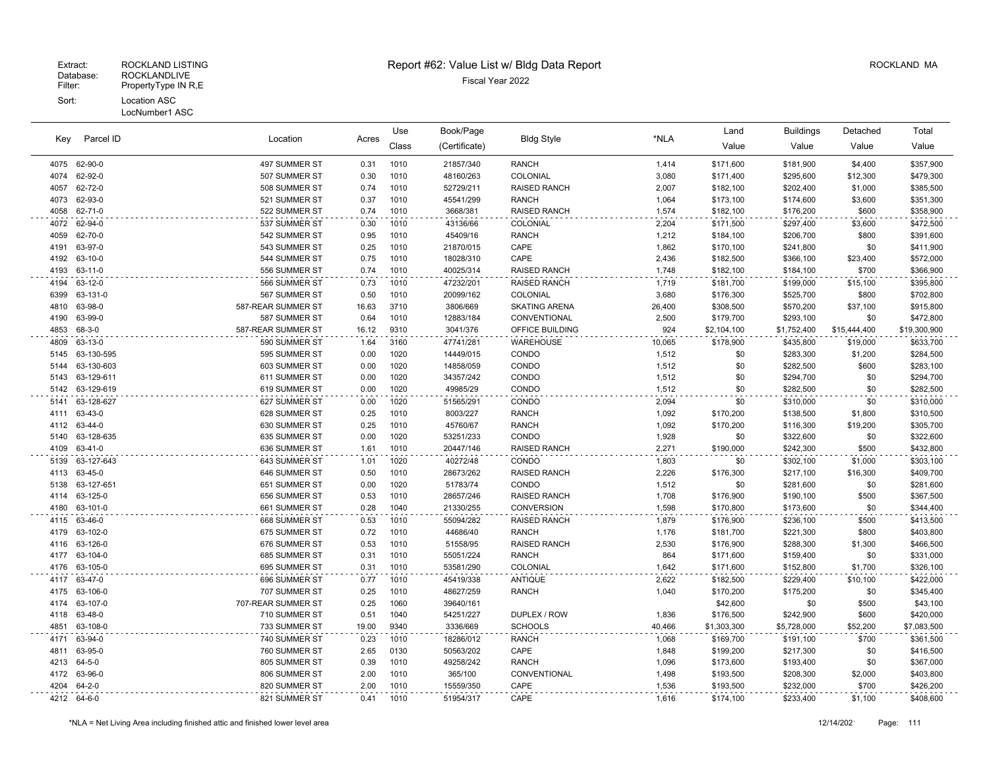#### LocNumber1 ASC

|      |                 |                    |       | Use   | Book/Page     |                      | *NLA   | Land        | <b>Buildings</b> | Detached     | Total        |
|------|-----------------|--------------------|-------|-------|---------------|----------------------|--------|-------------|------------------|--------------|--------------|
| Kev  | Parcel ID       | Location           | Acres | Class | (Certificate) | <b>Bldg Style</b>    |        | Value       | Value            | Value        | Value        |
|      | 4075 62-90-0    | 497 SUMMER ST      | 0.31  | 1010  | 21857/340     | <b>RANCH</b>         | 1,414  | \$171,600   | \$181,900        | \$4,400      | \$357,900    |
| 4074 | 62-92-0         | 507 SUMMER ST      | 0.30  | 1010  | 48160/263     | COLONIAL             | 3,080  | \$171,400   | \$295,600        | \$12,300     | \$479,300    |
| 4057 | 62-72-0         | 508 SUMMER ST      | 0.74  | 1010  | 52729/211     | RAISED RANCH         | 2,007  | \$182,100   | \$202,400        | \$1,000      | \$385,500    |
| 4073 | 62-93-0         | 521 SUMMER ST      | 0.37  | 1010  | 45541/299     | <b>RANCH</b>         | 1,064  | \$173,100   | \$174,600        | \$3,600      | \$351,300    |
| 4058 | 62-71-0         | 522 SUMMER ST      | 0.74  | 1010  | 3668/381      | <b>RAISED RANCH</b>  | 1,574  | \$182,100   | \$176,200        | \$600        | \$358,900    |
| 4072 | 62-94-0         | 537 SUMMER ST      | 0.30  | 1010  | 43136/66      | COLONIAL             | 2,204  | \$171,500   | \$297,400        | \$3,600      | \$472,500    |
| 4059 | 62-70-0         | 542 SUMMER ST      | 0.95  | 1010  | 45409/16      | <b>RANCH</b>         | 1,212  | \$184,100   | \$206,700        | \$800        | \$391,600    |
| 4191 | 63-97-0         | 543 SUMMER ST      | 0.25  | 1010  | 21870/015     | CAPE                 | 1,862  | \$170,100   | \$241,800        | \$0          | \$411,900    |
| 4192 | 63-10-0         | 544 SUMMER ST      | 0.75  | 1010  | 18028/310     | CAPE                 | 2,436  | \$182,500   | \$366,100        | \$23,400     | \$572,000    |
| 4193 | 63-11-0         | 556 SUMMER ST      | 0.74  | 1010  | 40025/314     | <b>RAISED RANCH</b>  | 1,748  | \$182,100   | \$184,100        | \$700        | \$366,900    |
| 4194 | 63-12-0         | 566 SUMMER ST      | 0.73  | 1010  | 47232/201     | <b>RAISED RANCH</b>  | 1,719  | \$181,700   | \$199,000        | \$15,100     | \$395,800    |
| 6399 | 63-131-0        | 567 SUMMER ST      | 0.50  | 1010  | 20099/162     | COLONIAL             | 3,680  | \$176,300   | \$525,700        | \$800        | \$702,800    |
| 4810 | 63-98-0         | 587-REAR SUMMER ST | 16.63 | 3710  | 3806/669      | <b>SKATING ARENA</b> | 26,400 | \$308,500   | \$570,200        | \$37,100     | \$915,800    |
| 4190 | 63-99-0         | 587 SUMMER ST      | 0.64  | 1010  | 12883/184     | CONVENTIONAL         | 2,500  | \$179,700   | \$293,100        | \$0          | \$472,800    |
| 4853 | 68-3-0          | 587-REAR SUMMER ST | 16.12 | 9310  | 3041/376      | OFFICE BUILDING      | 924    | \$2,104,100 | \$1,752,400      | \$15,444,400 | \$19,300,900 |
| 4809 | 63-13-0         | 590 SUMMER ST      | 1.64  | 3160  | 47741/281     | WAREHOUSE            | 10,065 | \$178,900   | \$435,800        | \$19,000     | \$633,700    |
| 5145 | 63-130-595      | 595 SUMMER ST      | 0.00  | 1020  | 14449/015     | CONDO                | 1,512  | \$0         | \$283,300        | \$1,200      | \$284,500    |
| 5144 | 63-130-603      | 603 SUMMER ST      | 0.00  | 1020  | 14858/059     | CONDO                | 1,512  | \$0         | \$282,500        | \$600        | \$283,100    |
|      | 5143 63-129-611 | 611 SUMMER ST      | 0.00  | 1020  | 34357/242     | CONDO                | 1,512  | \$0         | \$294,700        | \$0          | \$294,700    |
| 5142 | 63-129-619      | 619 SUMMER ST      | 0.00  | 1020  | 49985/29      | CONDO                | 1,512  | \$0         | \$282,500        | \$0          | \$282,500    |
| 5141 | 63-128-627      | 627 SUMMER ST      | 0.00  | 1020  | 51565/291     | CONDO                | 2,094  | \$0         | \$310,000        | \$0          | \$310,000    |
| 4111 | 63-43-0         | 628 SUMMER ST      | 0.25  | 1010  | 8003/227      | <b>RANCH</b>         | 1,092  | \$170,200   | \$138,500        | \$1,800      | \$310,500    |
|      | 4112 63-44-0    | 630 SUMMER ST      | 0.25  | 1010  | 45760/67      | <b>RANCH</b>         | 1,092  | \$170,200   | \$116,300        | \$19,200     | \$305,700    |
| 5140 | 63-128-635      | 635 SUMMER ST      | 0.00  | 1020  | 53251/233     | CONDO                | 1,928  | \$0         | \$322,600        | \$0          | \$322,600    |
| 4109 | 63-41-0         | 636 SUMMER ST      | 1.61  | 1010  | 20447/146     | <b>RAISED RANCH</b>  | 2,271  | \$190,000   | \$242,300        | \$500        | \$432,800    |
| 5139 | 63-127-643      | 643 SUMMER ST      | 1.01  | 1020  | 40272/48      | CONDO                | 1,803  | \$0         | \$302,100        | \$1,000      | \$303,100    |
| 4113 | 63-45-0         | 646 SUMMER ST      | 0.50  | 1010  | 28673/262     | <b>RAISED RANCH</b>  | 2,226  | \$176,300   | \$217,100        | \$16,300     | \$409,700    |
| 5138 | 63-127-651      | 651 SUMMER ST      | 0.00  | 1020  | 51783/74      | CONDO                | 1,512  | \$0         | \$281,600        | \$0          | \$281,600    |
| 4114 | 63-125-0        | 656 SUMMER ST      | 0.53  | 1010  | 28657/246     | <b>RAISED RANCH</b>  | 1,708  | \$176,900   | \$190,100        | \$500        | \$367,500    |
| 4180 | 63-101-0        | 661 SUMMER ST      | 0.28  | 1040  | 21330/255     | <b>CONVERSION</b>    | 1,598  | \$170,800   | \$173,600        | \$0          | \$344,400    |
| 4115 | 63-46-0         | 668 SUMMER ST      | 0.53  | 1010  | 55094/282     | <b>RAISED RANCH</b>  | 1,879  | \$176,900   | \$236,100        | \$500        | \$413,500    |
| 4179 | 63-102-0        | 675 SUMMER ST      | 0.72  | 1010  | 44686/40      | <b>RANCH</b>         | 1,176  | \$181,700   | \$221,300        | \$800        | \$403,800    |
| 4116 | 63-126-0        | 676 SUMMER ST      | 0.53  | 1010  | 51558/95      | <b>RAISED RANCH</b>  | 2,530  | \$176,900   | \$288,300        | \$1,300      | \$466,500    |
| 4177 | 63-104-0        | 685 SUMMER ST      | 0.31  | 1010  | 55051/224     | <b>RANCH</b>         | 864    | \$171,600   | \$159,400        | \$0          | \$331,000    |
| 4176 | 63-105-0        | 695 SUMMER ST      | 0.31  | 1010  | 53581/290     | COLONIAL             | 1,642  | \$171,600   | \$152,800        | \$1,700      | \$326,100    |
| 4117 | 63-47-0         | 696 SUMMER ST      | 0.77  | 1010  | 45419/338     | <b>ANTIQUE</b>       | 2,622  | \$182,500   | \$229,400        | \$10,100     | \$422,000    |
| 4175 | 63-106-0        | 707 SUMMER ST      | 0.25  | 1010  | 48627/259     | <b>RANCH</b>         | 1,040  | \$170,200   | \$175,200        | \$0          | \$345,400    |
| 4174 | 63-107-0        | 707-REAR SUMMER ST | 0.25  | 1060  | 39640/161     |                      |        | \$42,600    | \$0              | \$500        | \$43,100     |
| 4118 | 63-48-0         | 710 SUMMER ST      | 0.51  | 1040  | 54251/227     | DUPLEX / ROW         | 1,836  | \$176,500   | \$242,900        | \$600        | \$420,000    |
| 4851 | 63-108-0        | 733 SUMMER ST      | 19.00 | 9340  | 3336/669      | <b>SCHOOLS</b>       | 40,466 | \$1,303,300 | \$5,728,000      | \$52,200     | \$7,083,500  |
| 4171 | 63-94-0         | 740 SUMMER ST      | 0.23  | 1010  | 18286/012     | <b>RANCH</b>         | 1,068  | \$169,700   | \$191,100        | \$700        | \$361,500    |
| 4811 | 63-95-0         | 760 SUMMER ST      | 2.65  | 0130  | 50563/202     | CAPE                 | 1,848  | \$199,200   | \$217,300        | \$0          | \$416,500    |
|      | 4213 64-5-0     | 805 SUMMER ST      | 0.39  | 1010  | 49258/242     | <b>RANCH</b>         | 1,096  | \$173,600   | \$193,400        | \$0          | \$367,000    |
|      | 4172 63-96-0    | 806 SUMMER ST      | 2.00  | 1010  | 365/100       | CONVENTIONAL         | 1,498  | \$193,500   | \$208,300        | \$2,000      | \$403,800    |
|      | 4204 64-2-0     | 820 SUMMER ST      | 2.00  | 1010  | 15559/350     | CAPE                 | 1,536  | \$193,500   | \$232,000        | \$700        | \$426,200    |
|      | 4212 64-6-0     | 821 SUMMER ST      | 0.41  | 1010  | 51954/317     | CAPE                 | 1,616  | \$174,100   | \$233,400        | \$1,100      | \$408,600    |
|      |                 |                    |       |       |               |                      |        |             |                  |              |              |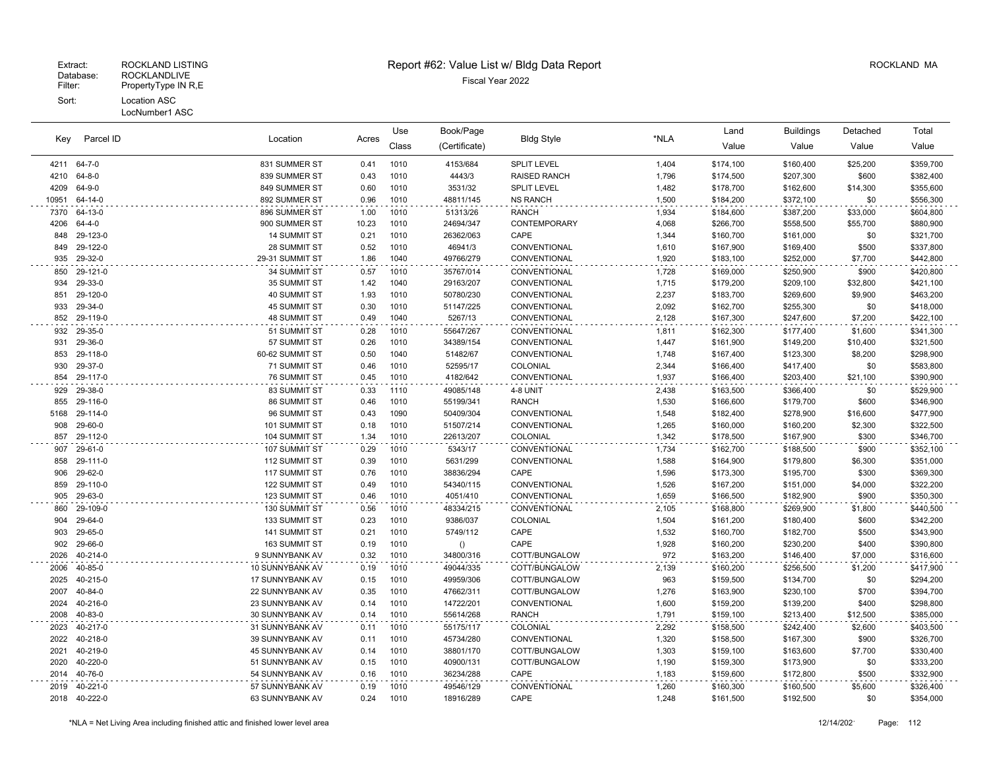$\overline{\phantom{a}}$ 

|       |                                                                               |                     |       | Use   | Book/Page     |                     |       | Land      | Buildings | Detached  | Total     |
|-------|-------------------------------------------------------------------------------|---------------------|-------|-------|---------------|---------------------|-------|-----------|-----------|-----------|-----------|
| Key   | Parcel ID                                                                     | Location            | Acres | Class | (Certificate) | <b>Bldg Style</b>   | *NLA  | Value     | Value     | Value     | Value     |
|       | 4211 64-7-0                                                                   | 831 SUMMER ST       | 0.41  | 1010  | 4153/684      | <b>SPLIT LEVEL</b>  | 1,404 | \$174,100 | \$160,400 | \$25,200  | \$359,700 |
| 4210  | 64-8-0                                                                        | 839 SUMMER ST       | 0.43  | 1010  | 4443/3        | <b>RAISED RANCH</b> | 1,796 | \$174,500 | \$207,300 | \$600     | \$382,400 |
| 4209  | 64-9-0                                                                        | 849 SUMMER ST       | 0.60  | 1010  | 3531/32       | <b>SPLIT LEVEL</b>  | 1,482 | \$178,700 | \$162,600 | \$14,300  | \$355,600 |
| 10951 | 64-14-0                                                                       | 892 SUMMER ST       | 0.96  | 1010  | 48811/145     | <b>NS RANCH</b>     | 1.500 | \$184,200 | \$372,100 | \$0       | \$556,300 |
| 7370  | 64-13-0                                                                       | 896 SUMMER ST       | 1.00  | 1010  | 51313/26      | <b>RANCH</b>        | 1,934 | \$184,600 | \$387,200 | \$33,000  | \$604,800 |
| 4206  | $64 - 4 - 0$                                                                  | 900 SUMMER ST       | 10.23 | 1010  | 24694/347     | CONTEMPORARY        | 4,068 | \$266,700 | \$558,500 | \$55,700  | \$880,900 |
| 848   | 29-123-0                                                                      | <b>14 SUMMIT ST</b> | 0.21  | 1010  | 26362/063     | CAPE                | 1,344 | \$160,700 | \$161,000 | \$0       | \$321,700 |
| 849   | 29-122-0                                                                      | 28 SUMMIT ST        | 0.52  | 1010  | 46941/3       | CONVENTIONAL        | 1,610 | \$167,900 | \$169,400 | \$500     | \$337,800 |
| 935   | 29-32-0                                                                       | 29-31 SUMMIT ST     | 1.86  | 1040  | 49766/279     | CONVENTIONAL        | 1,920 | \$183,100 | \$252,000 | \$7,700   | \$442,800 |
| 850   | 29-121-0                                                                      | 34 SUMMIT ST        | 0.57  | 1010  | 35767/014     | CONVENTIONAL        | 1,728 | \$169,000 | \$250,900 | \$900     | \$420,800 |
| 934   | 29-33-0                                                                       | 35 SUMMIT ST        | 1.42  | 1040  | 29163/207     | CONVENTIONAL        | 1,715 | \$179,200 | \$209,100 | \$32,800  | \$421,100 |
| 851   | 29-120-0                                                                      | 40 SUMMIT ST        | 1.93  | 1010  | 50780/230     | CONVENTIONAL        | 2,237 | \$183,700 | \$269,600 | \$9,900   | \$463,200 |
| 933   | 29-34-0                                                                       | 45 SUMMIT ST        | 0.30  | 1010  | 51147/225     | CONVENTIONAL        | 2,092 | \$162,700 | \$255,300 | \$0       | \$418,000 |
| 852   | 29-119-0                                                                      | <b>48 SUMMIT ST</b> | 0.49  | 1040  | 5267/13       | CONVENTIONAL        | 2,128 | \$167,300 | \$247,600 | \$7,200   | \$422,100 |
| 932   | 29-35-0                                                                       | 51 SUMMIT ST        | 0.28  | 1010  | 55647/267     | CONVENTIONAL        | 1,811 | \$162,300 | \$177,400 | \$1,600   | \$341,300 |
| 931   | 29-36-0                                                                       | 57 SUMMIT ST        | 0.26  | 1010  | 34389/154     | CONVENTIONAL        | 1,447 | \$161,900 | \$149,200 | \$10,400  | \$321,500 |
| 853   | 29-118-0                                                                      | 60-62 SUMMIT ST     | 0.50  | 1040  | 51482/67      | CONVENTIONAL        | 1,748 | \$167,400 | \$123,300 | \$8,200   | \$298,900 |
| 930   | 29-37-0                                                                       | 71 SUMMIT ST        | 0.46  | 1010  | 52595/17      | COLONIAL            | 2,344 | \$166,400 | \$417,400 | \$0       | \$583,800 |
| 854   | 29-117-0                                                                      | 76 SUMMIT ST        | 0.45  | 1010  | 4182/642      | CONVENTIONAL        | 1,937 | \$166,400 | \$203,400 | \$21,100  | \$390,900 |
| 929   | 29-38-0                                                                       | 83 SUMMIT ST        | 0.33  | 1110  | 49085/148     | 4-8 UNIT            | 2,438 | \$163,500 | \$366,400 | \$0       | \$529,900 |
| 855   | 29-116-0                                                                      | 86 SUMMIT ST        | 0.46  | 1010  | 55199/341     | <b>RANCH</b>        | 1,530 | \$166,600 | \$179,700 | \$600     | \$346,900 |
| 5168  | 29-114-0                                                                      | 96 SUMMIT ST        | 0.43  | 1090  | 50409/304     | CONVENTIONAL        | 1,548 | \$182,400 | \$278,900 | \$16,600  | \$477,900 |
| 908   | 29-60-0                                                                       | 101 SUMMIT ST       | 0.18  | 1010  | 51507/214     | CONVENTIONAL        | 1,265 | \$160,000 | \$160,200 | \$2,300   | \$322,500 |
| 857   | 29-112-0                                                                      | 104 SUMMIT ST       | 1.34  | 1010  | 22613/207     | COLONIAL            | 1,342 | \$178,500 | \$167,900 | \$300     | \$346,700 |
|       | 907 29-61-0                                                                   | 107 SUMMIT ST       | 0.29  | 1010  | 5343/17       | CONVENTIONAL        | 1,734 | \$162,700 | \$188,500 | \$900     | \$352,100 |
| 858   | 29-111-0                                                                      | 112 SUMMIT ST       | 0.39  | 1010  | 5631/299      | CONVENTIONAL        | 1,588 | \$164,900 | \$179,800 | \$6,300   | \$351,000 |
| 906   | 29-62-0                                                                       | 117 SUMMIT ST       | 0.76  | 1010  | 38836/294     | CAPE                | 1,596 | \$173,300 | \$195,700 | \$300     | \$369,300 |
| 859   | 29-110-0                                                                      | 122 SUMMIT ST       | 0.49  | 1010  | 54340/115     | CONVENTIONAL        | 1,526 | \$167,200 | \$151,000 | \$4,000   | \$322,200 |
| 905   | 29-63-0                                                                       | 123 SUMMIT ST       | 0.46  | 1010  | 4051/410      | CONVENTIONAL        | 1,659 | \$166,500 | \$182,900 | \$900     | \$350,300 |
| 860   | 29-109-0                                                                      | 130 SUMMIT ST       | 0.56  | 1010  | 48334/215     | CONVENTIONAL        | 2,105 | \$168,800 | \$269,900 | \$1,800   | \$440,500 |
| 904   | 29-64-0                                                                       | 133 SUMMIT ST       | 0.23  | 1010  | 9386/037      | COLONIAL            | 1,504 | \$161,200 | \$180,400 | \$600     | \$342,200 |
| 903   | 29-65-0                                                                       | 141 SUMMIT ST       | 0.21  | 1010  | 5749/112      | CAPE                | 1,532 | \$160,700 | \$182,700 | \$500     | \$343,900 |
| 902   | 29-66-0                                                                       | 163 SUMMIT ST       | 0.19  | 1010  | ()            | CAPE                | 1,928 | \$160,200 | \$230,200 | \$400     | \$390,800 |
| 2026  | 40-214-0                                                                      | 9 SUNNYBANK AV      | 0.32  | 1010  | 34800/316     | COTT/BUNGALOW       | 972   | \$163,200 | \$146,400 | \$7,000   | \$316,600 |
| 2006  | 40-85-0                                                                       | 10 SUNNYBANK AV     | 0.19  | 1010  | 49044/335     | COTT/BUNGALOW       | 2,139 | \$160,200 | \$256,500 | \$1,200   | \$417,900 |
| 2025  | 40-215-0                                                                      | 17 SUNNYBANK AV     | 0.15  | 1010  | 49959/306     | COTT/BUNGALOW       | 963   | \$159,500 | \$134,700 | \$0       | \$294,200 |
| 2007  | 40-84-0                                                                       | 22 SUNNYBANK AV     | 0.35  | 1010  | 47662/311     | COTT/BUNGALOW       | 1,276 | \$163,900 | \$230,100 | \$700     | \$394,700 |
| 2024  | 40-216-0                                                                      | 23 SUNNYBANK AV     | 0.14  | 1010  | 14722/201     | CONVENTIONAL        | 1,600 | \$159,200 | \$139,200 | \$400     | \$298,800 |
| 2008  | 40-83-0                                                                       | 30 SUNNYBANK AV     | 0.14  | 1010  | 55614/268     | <b>RANCH</b>        | 1,791 | \$159,100 | \$213,400 | \$12,500  | \$385,000 |
| 2023  | 40-217-0                                                                      | 31 SUNNYBANK AV     | 0.11  | 1010  | 55175/117     | COLONIAL            | 2,292 | \$158,500 | \$242,400 | \$2,600   | \$403,500 |
| 2022  | 40-218-0                                                                      | 39 SUNNYBANK AV     | 0.11  | 1010  | 45734/280     | CONVENTIONAL        | 1,320 | \$158,500 | \$167,300 | \$900     | \$326,700 |
| 2021  | 40-219-0                                                                      | 45 SUNNYBANK AV     | 0.14  | 1010  | 38801/170     | COTT/BUNGALOW       | 1,303 | \$159,100 | \$163,600 | \$7,700   | \$330,400 |
| 2020  | 40-220-0                                                                      | 51 SUNNYBANK AV     | 0.15  | 1010  | 40900/131     | COTT/BUNGALOW       | 1,190 | \$159,300 | \$173,900 | \$0       | \$333,200 |
| 2014  | 40-76-0                                                                       | 54 SUNNYBANK AV     | 0.16  | 1010  | 36234/288     | CAPE                | 1,183 | \$159,600 | \$172,800 | \$500     | \$332,900 |
| 2019  | 40-221-0                                                                      | 57 SUNNYBANK AV     | 0.19  | 1010  | 49546/129     | CONVENTIONAL        | 1,260 | \$160,300 | \$160,500 | \$5,600   | \$326,400 |
|       | 2018 40-222-0                                                                 | 63 SUNNYBANK AV     | 0.24  | 1010  | 18916/289     | CAPE                | 1,248 | \$161,500 | \$192,500 | \$0       | \$354,000 |
|       | *NLA = Net Living Area including finished attic and finished lower level area |                     |       |       |               |                     |       |           |           | 12/14/202 | Page: 112 |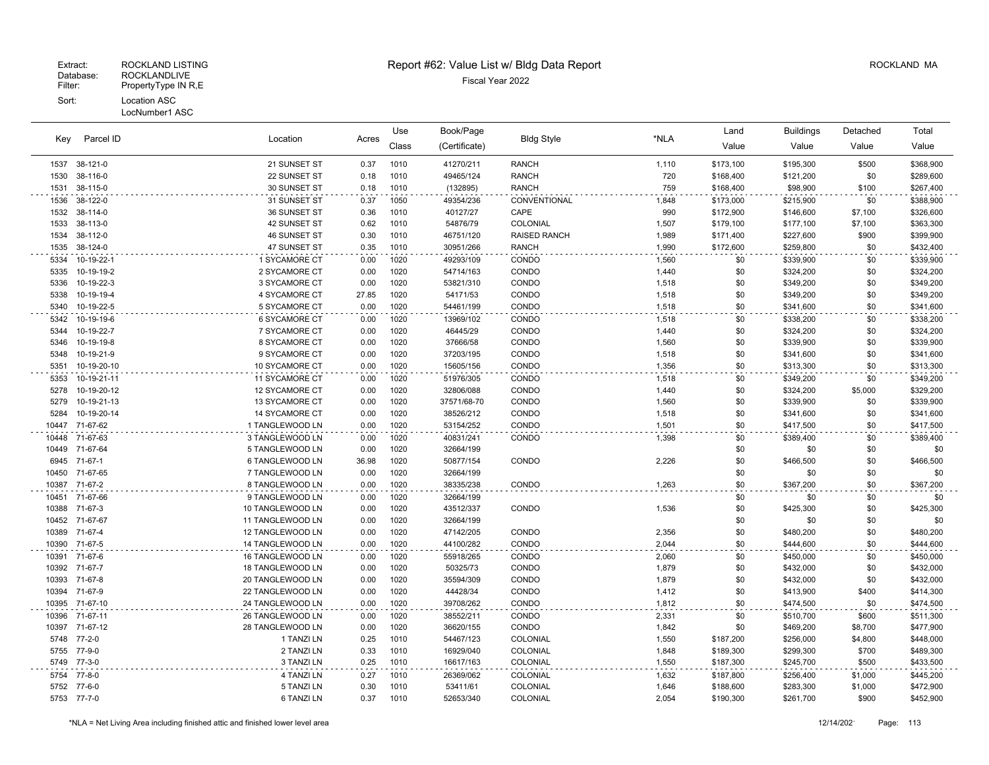#### LocNumber1 ASC

| Kev          | Parcel ID                | Location                       | Acres         | Use          | Book/Page             | <b>Bldg Style</b>   | *NLA           | Land       | <b>Buildings</b>       | Detached   | Total                  |
|--------------|--------------------------|--------------------------------|---------------|--------------|-----------------------|---------------------|----------------|------------|------------------------|------------|------------------------|
|              |                          |                                |               | Class        | (Certificate)         |                     |                | Value      | Value                  | Value      | Value                  |
| 1537         | 38-121-0                 | 21 SUNSET ST                   | 0.37          | 1010         | 41270/211             | <b>RANCH</b>        | 1,110          | \$173,100  | \$195,300              | \$500      | \$368,900              |
| 1530         | 38-116-0                 | 22 SUNSET ST                   | 0.18          | 1010         | 49465/124             | <b>RANCH</b>        | 720            | \$168,400  | \$121,200              | \$0        | \$289,600              |
| 1531         | 38-115-0                 | 30 SUNSET ST                   | 0.18          | 1010         | (132895)              | <b>RANCH</b>        | 759            | \$168,400  | \$98,900               | \$100      | \$267,400              |
| 1536         | 38-122-0                 | 31 SUNSET ST                   | 0.37          | 1050         | 49354/236             | CONVENTIONAL        | 1,848          | \$173,000  | \$215,900              | \$0        | \$388,900              |
| 1532         | 38-114-0                 | 36 SUNSET ST                   | 0.36          | 1010         | 40127/27              | CAPE                | 990            | \$172,900  | \$146,600              | \$7,100    | \$326,600              |
| 1533         | 38-113-0                 | 42 SUNSET ST                   | 0.62          | 1010         | 54876/79              | COLONIAL            | 1,507          | \$179,100  | \$177,100              | \$7,100    | \$363,300              |
| 1534         | 38-112-0                 | 46 SUNSET ST                   | 0.30          | 1010         | 46751/120             | <b>RAISED RANCH</b> | 1,989          | \$171,400  | \$227,600              | \$900      | \$399,900              |
| 1535         | 38-124-0                 | 47 SUNSET ST                   | 0.35          | 1010         | 30951/266             | <b>RANCH</b>        | 1,990          | \$172,600  | \$259,800              | \$0        | \$432,400              |
| 5334         | 10-19-22-1               | 1 SYCAMORE CT                  | 0.00          | 1020         | 49293/109             | CONDO               | 1,560          | \$0        | \$339,900              | \$0        | \$339,900              |
| 5335         | 10-19-19-2               | 2 SYCAMORE CT                  | 0.00          | 1020         | 54714/163             | CONDO               | 1,440          | \$0        | \$324,200              | \$0        | \$324,200              |
| 5336         | 10-19-22-3               | 3 SYCAMORE CT                  | 0.00          | 1020         | 53821/310             | CONDO               | 1,518          | \$0        | \$349,200              | \$0        | \$349,200              |
| 5338<br>5340 | 10-19-19-4<br>10-19-22-5 | 4 SYCAMORE CT<br>5 SYCAMORE CT | 27.85<br>0.00 | 1020<br>1020 | 54171/53<br>54461/199 | CONDO<br>CONDO      | 1,518<br>1,518 | \$0<br>\$0 | \$349,200<br>\$341,600 | \$0<br>\$0 | \$349,200<br>\$341,600 |
|              |                          |                                |               |              |                       |                     |                |            |                        |            |                        |
| 5342<br>5344 | 10-19-19-6<br>10-19-22-7 | 6 SYCAMORE CT<br>7 SYCAMORE CT | 0.00<br>0.00  | 1020         | 13969/102             | CONDO               | 1,518          | \$0<br>\$0 | \$338,200              | \$0        | \$338,200              |
| 5346         | 10-19-19-8               | 8 SYCAMORE CT                  | 0.00          | 1020<br>1020 | 46445/29<br>37666/58  | CONDO<br>CONDO      | 1,440<br>1,560 | \$0        | \$324,200<br>\$339,900 | \$0<br>\$0 | \$324,200<br>\$339,900 |
| 5348         | 10-19-21-9               | 9 SYCAMORE CT                  | 0.00          | 1020         | 37203/195             | CONDO               | 1,518          | \$0        | \$341,600              | \$0        | \$341,600              |
| 5351         | 10-19-20-10              | 10 SYCAMORE CT                 | 0.00          | 1020         | 15605/156             | CONDO               | 1,356          | \$0        | \$313,300              | \$0        | \$313,300              |
| 5353         | 10-19-21-11              | 11 SYCAMORE CT                 | 0.00          | 1020         | 51976/305             | CONDO               | 1,518          | \$0        | \$349,200              | \$0        | \$349,200              |
| 5278         | 10-19-20-12              | 12 SYCAMORE CT                 | 0.00          | 1020         | 32806/088             | CONDO               | 1,440          | \$0        | \$324,200              | \$5,000    | \$329,200              |
| 5279         | 10-19-21-13              | 13 SYCAMORE CT                 | 0.00          | 1020         | 37571/68-70           | CONDO               | 1,560          | \$0        | \$339,900              | \$0        | \$339,900              |
| 5284         | 10-19-20-14              | 14 SYCAMORE CT                 | 0.00          | 1020         | 38526/212             | CONDO               | 1,518          | \$0        | \$341,600              | \$0        | \$341,600              |
| 10447        | 71-67-62                 | 1 TANGLEWOOD LN                | 0.00          | 1020         | 53154/252             | CONDO               | 1,501          | \$0        | \$417,500              | \$0        | \$417,500              |
| 10448        | 71-67-63                 | 3 TANGLEWOOD LN                | 0.00          | 1020         | 40831/241             | CONDO               | 1,398          | \$0        | \$389,400              | \$0        | \$389,400              |
| 10449        | 71-67-64                 | 5 TANGLEWOOD LN                | 0.00          | 1020         | 32664/199             |                     |                | \$0        | \$0                    | \$0        | \$0                    |
|              | 6945 71-67-1             | 6 TANGLEWOOD LN                | 36.98         | 1020         | 50877/154             | CONDO               | 2,226          | \$0        | \$466,500              | \$0        | \$466,500              |
| 10450        | 71-67-65                 | 7 TANGLEWOOD LN                | 0.00          | 1020         | 32664/199             |                     |                | \$0        | \$0                    | \$0        | \$0                    |
| 10387        | 71-67-2                  | 8 TANGLEWOOD LN                | 0.00          | 1020         | 38335/238             | CONDO               | 1,263          | \$0        | \$367,200              | \$0        | \$367,200              |
| 10451        | 71-67-66                 | 9 TANGLEWOOD LN                | 0.00          | 1020         | 32664/199             |                     |                | \$0        | \$0                    | \$0        | \$0                    |
| 10388        | 71-67-3                  | 10 TANGLEWOOD LN               | 0.00          | 1020         | 43512/337             | CONDO               | 1,536          | \$0        | \$425,300              | \$0        | \$425,300              |
| 10452        | 71-67-67                 | 11 TANGLEWOOD LN               | 0.00          | 1020         | 32664/199             |                     |                | \$0        | \$0                    | \$0        | \$0                    |
| 10389        | 71-67-4                  | 12 TANGLEWOOD LN               | 0.00          | 1020         | 47142/205             | CONDO               | 2,356          | \$0        | \$480,200              | \$0        | \$480,200              |
| 10390        | 71-67-5                  | 14 TANGLEWOOD LN               | 0.00          | 1020         | 44100/282             | CONDO               | 2,044          | \$0        | \$444,600              | \$0        | \$444,600              |
|              | 10391 71-67-6            | 16 TANGLEWOOD LN               | 0.00          | 1020         | 55918/265             | CONDO               | 2,060          | \$0        | \$450,000              | \$0        | \$450,000              |
| 10392        | 71-67-7                  | 18 TANGLEWOOD LN               | 0.00          | 1020         | 50325/73              | CONDO               | 1,879          | \$0        | \$432,000              | \$0        | \$432,000              |
| 10393        | 71-67-8                  | 20 TANGLEWOOD LN               | 0.00          | 1020         | 35594/309             | CONDO               | 1,879          | \$0        | \$432,000              | \$0        | \$432,000              |
| 10394        | 71-67-9                  | 22 TANGLEWOOD LN               | 0.00          | 1020         | 44428/34              | CONDO               | 1,412          | \$0        | \$413,900              | \$400      | \$414,300              |
|              | 10395 71-67-10           | 24 TANGLEWOOD LN               | 0.00          | 1020         | 39708/262             | CONDO               | 1,812          | \$0        | \$474,500              | \$0        | \$474,500              |
| 10396        | 71-67-11                 | 26 TANGLEWOOD LN               | 0.00          | 1020         | 38552/211             | CONDO               | 2,331          | \$0        | \$510,700              | \$600      | \$511,300              |
| 10397        | 71-67-12                 | 28 TANGLEWOOD LN               | 0.00          | 1020         | 36620/155             | CONDO               | 1,842          | \$0        | \$469,200              | \$8,700    | \$477,900              |
| 5748         | $77 - 2 - 0$             | 1 TANZI LN                     | 0.25          | 1010         | 54467/123             | COLONIAL            | 1,550          | \$187,200  | \$256,000              | \$4,800    | \$448,000              |
| 5755         | 77-9-0                   | 2 TANZI LN                     | 0.33          | 1010         | 16929/040             | COLONIAL            | 1,848          | \$189,300  | \$299,300              | \$700      | \$489,300              |
| 5749         | $77 - 3 - 0$             | 3 TANZI LN                     | 0.25          | 1010         | 16617/163             | COLONIAL            | 1,550          | \$187,300  | \$245,700              | \$500      | \$433,500              |
| 5754         | 77-8-0                   | 4 TANZI LN                     | 0.27          | 1010         | 26369/062             | COLONIAL            | 1,632          | \$187,800  | \$256,400              | \$1,000    | \$445,200              |
| 5752         | 77-6-0                   | 5 TANZI LN                     | 0.30          | 1010         | 53411/61              | COLONIAL            | 1,646          | \$188,600  | \$283,300              | \$1,000    | \$472,900              |
|              | 5753 77-7-0              | 6 TANZI LN                     | 0.37          | 1010         | 52653/340             | COLONIAL            | 2,054          | \$190,300  | \$261,700              | \$900      | \$452,900              |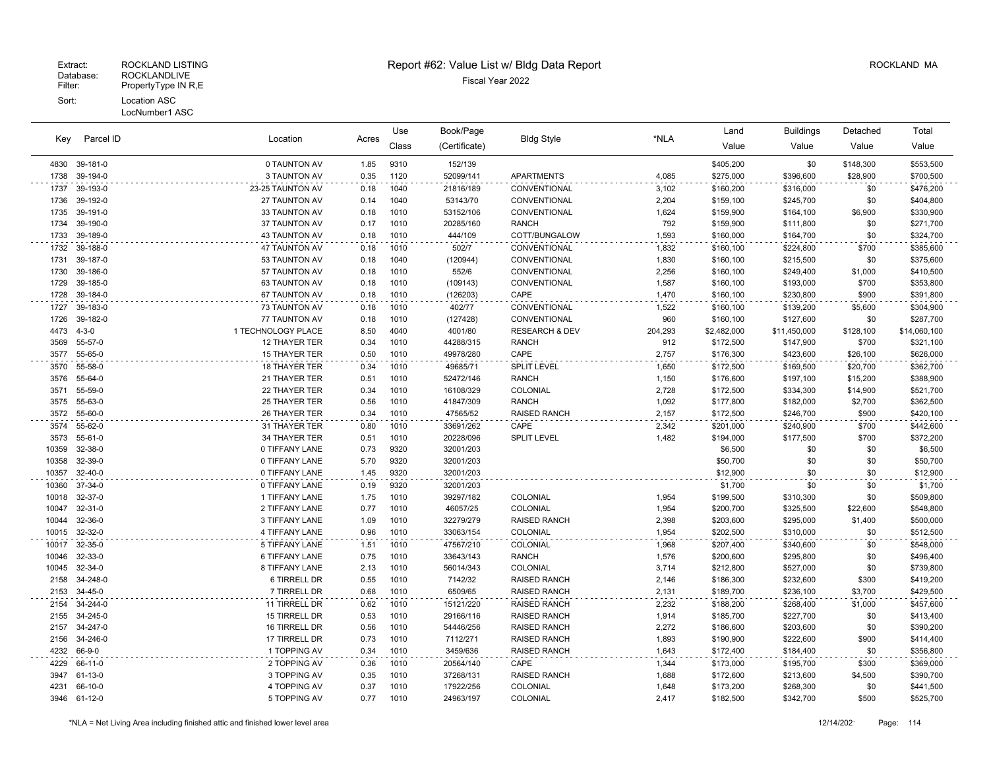|       |               |                       |       | Use   | Book/Page     |                           |         | Land        | Buildings    | Detached  | Total        |
|-------|---------------|-----------------------|-------|-------|---------------|---------------------------|---------|-------------|--------------|-----------|--------------|
| Key   | Parcel ID     | Location              | Acres | Class | (Certificate) | <b>Bldg Style</b>         | *NLA    | Value       | Value        | Value     | Value        |
|       | 4830 39-181-0 | 0 TAUNTON AV          | 1.85  | 9310  | 152/139       |                           |         | \$405,200   | \$0          | \$148,300 | \$553,500    |
| 1738  | 39-194-0      | 3 TAUNTON AV          | 0.35  | 1120  | 52099/141     | <b>APARTMENTS</b>         | 4,085   | \$275,000   | \$396,600    | \$28,900  | \$700,500    |
| 1737  | 39-193-0      | 23-25 TAUNTON AV      | 0.18  | 1040  | 21816/189     | CONVENTIONAL              | 3,102   | \$160,200   | \$316,000    | \$0       | \$476,200    |
| 1736  | 39-192-0      | 27 TAUNTON AV         | 0.14  | 1040  | 53143/70      | CONVENTIONAL              | 2,204   | \$159,100   | \$245,700    | \$0       | \$404,800    |
| 1735  | 39-191-0      | 33 TAUNTON AV         | 0.18  | 1010  | 53152/106     | CONVENTIONAL              | 1,624   | \$159,900   | \$164,100    | \$6,900   | \$330,900    |
| 1734  | 39-190-0      | 37 TAUNTON AV         | 0.17  | 1010  | 20285/160     | <b>RANCH</b>              | 792     | \$159,900   | \$111,800    | \$0       | \$271,700    |
| 1733  | 39-189-0      | <b>43 TAUNTON AV</b>  | 0.18  | 1010  | 444/109       | COTT/BUNGALOW             | 1,593   | \$160,000   | \$164,700    | \$0       | \$324,700    |
| 1732  | 39-188-0      | 47 TAUNTON AV         | 0.18  | 1010  | 502/7         | CONVENTIONAL              | 1,832   | \$160,100   | \$224,800    | \$700     | \$385,600    |
| 1731  | 39-187-0      | 53 TAUNTON AV         | 0.18  | 1040  | (120944)      | CONVENTIONAL              | 1,830   | \$160,100   | \$215,500    | \$0       | \$375,600    |
| 1730  | 39-186-0      | 57 TAUNTON AV         | 0.18  | 1010  | 552/6         | CONVENTIONAL              | 2,256   | \$160,100   | \$249,400    | \$1,000   | \$410,500    |
| 1729  | 39-185-0      | 63 TAUNTON AV         | 0.18  | 1010  | (109143)      | CONVENTIONAL              | 1,587   | \$160,100   | \$193,000    | \$700     | \$353,800    |
| 1728  | 39-184-0      | 67 TAUNTON AV         | 0.18  | 1010  | (126203)      | CAPE                      | 1,470   | \$160,100   | \$230,800    | \$900     | \$391,800    |
| 1727  | 39-183-0      | 73 TAUNTON AV         | 0.18  | 1010  | 402/77        | CONVENTIONAL              | 1,522   | \$160,100   | \$139,200    | \$5,600   | \$304,900    |
| 1726  | 39-182-0      | 77 TAUNTON AV         | 0.18  | 1010  | (127428)      | CONVENTIONAL              | 960     | \$160,100   | \$127,600    | \$0       | \$287,700    |
| 4473  | $4 - 3 - 0$   | 1 TECHNOLOGY PLACE    | 8.50  | 4040  | 4001/80       | <b>RESEARCH &amp; DEV</b> | 204,293 | \$2,482,000 | \$11,450,000 | \$128,100 | \$14,060,100 |
| 3569  | 55-57-0       | 12 THAYER TER         | 0.34  | 1010  | 44288/315     | <b>RANCH</b>              | 912     | \$172,500   | \$147,900    | \$700     | \$321,100    |
| 3577  | 55-65-0       | 15 THAYER TER         | 0.50  | 1010  | 49978/280     | CAPE                      | 2,757   | \$176,300   | \$423,600    | \$26,100  | \$626,000    |
| 3570  | 55-58-0       | 18 THAYER TER         | 0.34  | 1010  | 49685/71      | SPLIT LEVEL               | 1,650   | \$172,500   | \$169,500    | \$20,700  | \$362,700    |
| 3576  | 55-64-0       | 21 THAYER TER         | 0.51  | 1010  | 52472/146     | <b>RANCH</b>              | 1,150   | \$176,600   | \$197,100    | \$15,200  | \$388,900    |
| 3571  | 55-59-0       | 22 THAYER TER         | 0.34  | 1010  | 16108/329     | COLONIAL                  | 2,728   | \$172,500   | \$334,300    | \$14,900  | \$521,700    |
| 3575  | 55-63-0       | 25 THAYER TER         | 0.56  | 1010  | 41847/309     | <b>RANCH</b>              | 1,092   | \$177,800   | \$182,000    | \$2,700   | \$362,500    |
| 3572  | 55-60-0       | 26 THAYER TER         | 0.34  | 1010  | 47565/52      | <b>RAISED RANCH</b>       | 2,157   | \$172,500   | \$246,700    | \$900     | \$420,100    |
| 3574  | 55-62-0       | 31 THAYER TER         | 0.80  | 1010  | 33691/262     | CAPE                      | 2,342   | \$201,000   | \$240,900    | \$700     | \$442,600    |
| 3573  | 55-61-0       | 34 THAYER TER         | 0.51  | 1010  | 20228/096     | <b>SPLIT LEVEL</b>        | 1,482   | \$194,000   | \$177,500    | \$700     | \$372,200    |
| 10359 | 32-38-0       | 0 TIFFANY LANE        | 0.73  | 9320  | 32001/203     |                           |         | \$6,500     | \$0          | \$0       | \$6,500      |
| 10358 | 32-39-0       | 0 TIFFANY LANE        | 5.70  | 9320  | 32001/203     |                           |         | \$50,700    | \$0          | \$0       | \$50,700     |
| 10357 | 32-40-0       | 0 TIFFANY LANE        | 1.45  | 9320  | 32001/203     |                           |         | \$12,900    | \$0          | \$0       | \$12,900     |
| 10360 | 37-34-0       | 0 TIFFANY LANE        | 0.19  | 9320  | 32001/203     |                           |         | \$1,700     | \$0          | \$0       | \$1,700      |
| 10018 | 32-37-0       | 1 TIFFANY LANE        | 1.75  | 1010  | 39297/182     | COLONIAL                  | 1,954   | \$199,500   | \$310,300    | \$0       | \$509,800    |
| 10047 | 32-31-0       | 2 TIFFANY LANE        | 0.77  | 1010  | 46057/25      | COLONIAL                  | 1,954   | \$200,700   | \$325,500    | \$22,600  | \$548,800    |
| 10044 | 32-36-0       | 3 TIFFANY LANE        | 1.09  | 1010  | 32279/279     | <b>RAISED RANCH</b>       | 2,398   | \$203,600   | \$295,000    | \$1,400   | \$500,000    |
| 10015 | 32-32-0       | 4 TIFFANY LANE        | 0.96  | 1010  | 33063/154     | COLONIAL                  | 1,954   | \$202,500   | \$310,000    | \$0       | \$512,500    |
| 10017 | 32-35-0       | 5 TIFFANY LANE        | 1.51  | 1010  | 47567/210     | COLONIAL                  | 1,968   | \$207,400   | \$340,600    | \$0       | \$548,000    |
| 10046 | 32-33-0       | <b>6 TIFFANY LANE</b> | 0.75  | 1010  | 33643/143     | <b>RANCH</b>              | 1,576   | \$200,600   | \$295,800    | \$0       | \$496,400    |
| 10045 | 32-34-0       | 8 TIFFANY LANE        | 2.13  | 1010  | 56014/343     | COLONIAL                  | 3,714   | \$212,800   | \$527,000    | \$0       | \$739,800    |
| 2158  | 34-248-0      | <b>6 TIRRELL DR</b>   | 0.55  | 1010  | 7142/32       | <b>RAISED RANCH</b>       | 2,146   | \$186,300   | \$232,600    | \$300     | \$419,200    |
| 2153  | 34-45-0       | 7 TIRRELL DR          | 0.68  | 1010  | 6509/65       | <b>RAISED RANCH</b>       | 2,131   | \$189,700   | \$236,100    | \$3,700   | \$429,500    |
| 2154  | 34-244-0      | 11 TIRRELL DR         | 0.62  | 1010  | 15121/220     | <b>RAISED RANCH</b>       | 2,232   | \$188,200   | \$268,400    | \$1,000   | \$457,600    |
| 2155  | 34-245-0      | 15 TIRRELL DR         | 0.53  | 1010  | 29166/116     | <b>RAISED RANCH</b>       | 1,914   | \$185,700   | \$227,700    | \$0       | \$413,400    |
| 2157  | 34-247-0      | 16 TIRRELL DR         | 0.56  | 1010  | 54446/256     | <b>RAISED RANCH</b>       | 2,272   | \$186,600   | \$203,600    | \$0       | \$390,200    |
| 2156  | 34-246-0      | 17 TIRRELL DR         | 0.73  | 1010  | 7112/271      | <b>RAISED RANCH</b>       | 1,893   | \$190,900   | \$222,600    | \$900     | \$414,400    |
| 4232  | 66-9-0        | 1 TOPPING AV          | 0.34  | 1010  | 3459/636      | <b>RAISED RANCH</b>       | 1,643   | \$172,400   | \$184,400    | \$0       | \$356,800    |
| 4229  | 66-11-0       | 2 TOPPING AV          | 0.36  | 1010  | 20564/140     | CAPE                      | 1,344   | \$173,000   | \$195,700    | \$300     | \$369,000    |
| 3947  | 61-13-0       | 3 TOPPING AV          | 0.35  | 1010  | 37268/131     | <b>RAISED RANCH</b>       | 1,688   | \$172,600   | \$213,600    | \$4,500   | \$390,700    |
| 4231  | 66-10-0       | 4 TOPPING AV          | 0.37  | 1010  | 17922/256     | COLONIAL                  | 1,648   | \$173,200   | \$268,300    | \$0       | \$441,500    |
|       | 3946 61-12-0  | 5 TOPPING AV          | 0.77  | 1010  | 24963/197     | COLONIAL                  | 2,417   | \$182,500   | \$342,700    | \$500     | \$525,700    |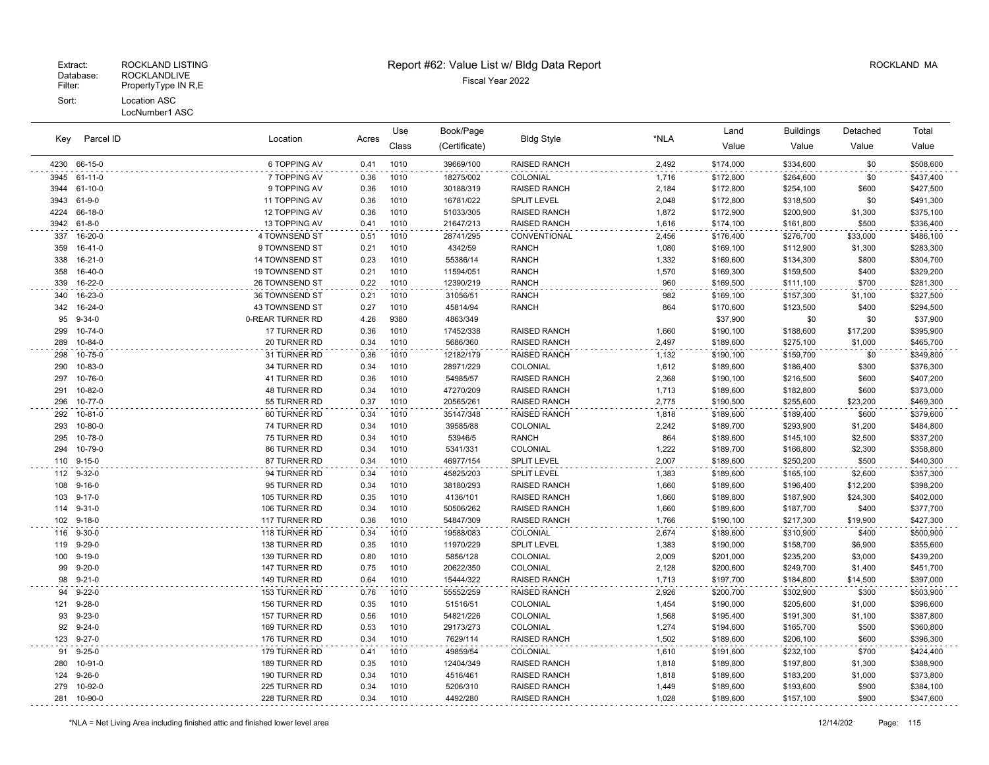### Extract: ROCKLAND LISTING **Report #62: Value List w/ Bldg Data Report** Alleman and RockLAND MA

|      |               |                  |       | Use   | Book/Page     |                     |       | Land      | <b>Buildings</b> | Detached | Total     |
|------|---------------|------------------|-------|-------|---------------|---------------------|-------|-----------|------------------|----------|-----------|
| Key  | Parcel ID     | Location         | Acres | Class | (Certificate) | <b>Bldg Style</b>   | *NLA  | Value     | Value            | Value    | Value     |
| 4230 | 66-15-0       | 6 TOPPING AV     | 0.41  | 1010  | 39669/100     | RAISED RANCH        | 2,492 | \$174,000 | \$334,600        | \$0      | \$508,600 |
| 3945 | 61-11-0       | 7 TOPPING AV     | 0.36  | 1010  | 18275/002     | COLONIAL            | 1,716 | \$172,800 | \$264,600        | \$0      | \$437,400 |
| 3944 | 61-10-0       | 9 TOPPING AV     | 0.36  | 1010  | 30188/319     | RAISED RANCH        | 2,184 | \$172,800 | \$254,100        | \$600    | \$427,500 |
| 3943 | 61-9-0        | 11 TOPPING AV    | 0.36  | 1010  | 16781/022     | <b>SPLIT LEVEL</b>  | 2,048 | \$172,800 | \$318,500        | \$0      | \$491,300 |
| 4224 | 66-18-0       | 12 TOPPING AV    | 0.36  | 1010  | 51033/305     | <b>RAISED RANCH</b> | 1,872 | \$172,900 | \$200,900        | \$1,300  | \$375,100 |
| 3942 | $61 - 8 - 0$  | 13 TOPPING AV    | 0.41  | 1010  | 21647/213     | RAISED RANCH        | 1,616 | \$174,100 | \$161,800        | \$500    | \$336,400 |
| 337  | 16-20-0       | 4 TOWNSEND ST    | 0.51  | 1010  | 28741/295     | CONVENTIONAL        | 2,456 | \$176,400 | \$276,700        | \$33,000 | \$486,100 |
| 359  | $16-41-0$     | 9 TOWNSEND ST    | 0.21  | 1010  | 4342/59       | <b>RANCH</b>        | 1,080 | \$169,100 | \$112,900        | \$1,300  | \$283,300 |
| 338  | $16 - 21 - 0$ | 14 TOWNSEND ST   | 0.23  | 1010  | 55386/14      | <b>RANCH</b>        | 1,332 | \$169,600 | \$134,300        | \$800    | \$304,700 |
| 358  | $16-40-0$     | 19 TOWNSEND ST   | 0.21  | 1010  | 11594/051     | <b>RANCH</b>        | 1,570 | \$169,300 | \$159,500        | \$400    | \$329,200 |
| 339  | 16-22-0       | 26 TOWNSEND ST   | 0.22  | 1010  | 12390/219     | <b>RANCH</b>        | 960   | \$169,500 | \$111,100        | \$700    | \$281,300 |
| 340  | 16-23-0       | 36 TOWNSEND ST   | 0.21  | 1010  | 31056/51      | <b>RANCH</b>        | 982   | \$169,100 | \$157,300        | \$1,100  | \$327,500 |
| 342  | 16-24-0       | 43 TOWNSEND ST   | 0.27  | 1010  | 45814/94      | <b>RANCH</b>        | 864   | \$170,600 | \$123,500        | \$400    | \$294,500 |
| 95   | $9 - 34 - 0$  | 0-REAR TURNER RD | 4.26  | 9380  | 4863/349      |                     |       | \$37,900  | \$0              | \$0      | \$37,900  |
| 299  | $10 - 74 - 0$ | 17 TURNER RD     | 0.36  | 1010  | 17452/338     | <b>RAISED RANCH</b> | 1,660 | \$190,100 | \$188,600        | \$17,200 | \$395,900 |
| 289  | 10-84-0       | 20 TURNER RD     | 0.34  | 1010  | 5686/360      | RAISED RANCH        | 2,497 | \$189,600 | \$275,100        | \$1,000  | \$465,700 |
| 298  | $10 - 75 - 0$ | 31 TURNER RD     | 0.36  | 1010  | 12182/179     | RAISED RANCH        | 1,132 | \$190,100 | \$159,700        | \$0      | \$349,800 |
| 290  | 10-83-0       | 34 TURNER RD     | 0.34  | 1010  | 28971/229     | COLONIAL            | 1,612 | \$189,600 | \$186,400        | \$300    | \$376,300 |
| 297  | 10-76-0       | 41 TURNER RD     | 0.36  | 1010  | 54985/57      | <b>RAISED RANCH</b> | 2,368 | \$190,100 | \$216,500        | \$600    | \$407,200 |
| 291  | 10-82-0       | 48 TURNER RD     | 0.34  | 1010  | 47270/209     | RAISED RANCH        | 1,713 | \$189,600 | \$182,800        | \$600    | \$373,000 |
| 296  | 10-77-0       | 55 TURNER RD     | 0.37  | 1010  | 20565/261     | RAISED RANCH        | 2,775 | \$190,500 | \$255,600        | \$23,200 | \$469,300 |
| 292  | $10 - 81 - 0$ | 60 TURNER RD     | 0.34  | 1010  | 35147/348     | <b>RAISED RANCH</b> | 1,818 | \$189,600 | \$189,400        | \$600    | \$379,600 |
| 293  | 10-80-0       | 74 TURNER RD     | 0.34  | 1010  | 39585/88      | COLONIAL            | 2,242 | \$189,700 | \$293,900        | \$1,200  | \$484,800 |
| 295  | 10-78-0       | 75 TURNER RD     | 0.34  | 1010  | 53946/5       | <b>RANCH</b>        | 864   | \$189,600 | \$145,100        | \$2,500  | \$337,200 |
| 294  | 10-79-0       | 86 TURNER RD     | 0.34  | 1010  | 5341/331      | COLONIAL            | 1,222 | \$189,700 | \$166,800        | \$2,300  | \$358,800 |
| 110  | $9 - 15 - 0$  | 87 TURNER RD     | 0.34  | 1010  | 46977/154     | <b>SPLIT LEVEL</b>  | 2,007 | \$189,600 | \$250,200        | \$500    | \$440,300 |
| 112  | $9 - 32 - 0$  | 94 TURNER RD     | 0.34  | 1010  | 45825/203     | <b>SPLIT LEVEL</b>  | 1,383 | \$189,600 | \$165,100        | \$2,600  | \$357,300 |
| 108  | $9 - 16 - 0$  | 95 TURNER RD     | 0.34  | 1010  | 38180/293     | <b>RAISED RANCH</b> | 1,660 | \$189,600 | \$196,400        | \$12,200 | \$398,200 |
| 103  | $9 - 17 - 0$  | 105 TURNER RD    | 0.35  | 1010  | 4136/101      | <b>RAISED RANCH</b> | 1,660 | \$189,800 | \$187,900        | \$24,300 | \$402,000 |
| 114  | $9 - 31 - 0$  | 106 TURNER RD    | 0.34  | 1010  | 50506/262     | <b>RAISED RANCH</b> | 1,660 | \$189,600 | \$187,700        | \$400    | \$377,700 |
| 102  | $9 - 18 - 0$  | 117 TURNER RD    | 0.36  | 1010  | 54847/309     | <b>RAISED RANCH</b> | 1,766 | \$190,100 | \$217,300        | \$19,900 | \$427,300 |
| 116  | $9 - 30 - 0$  | 118 TURNER RD    | 0.34  | 1010  | 19588/083     | COLONIAL            | 2,674 | \$189,600 | \$310,900        | \$400    | \$500,900 |
| 119  | $9 - 29 - 0$  | 138 TURNER RD    | 0.35  | 1010  | 11970/229     | <b>SPLIT LEVEL</b>  | 1,383 | \$190,000 | \$158,700        | \$6,900  | \$355,600 |
| 100  | $9 - 19 - 0$  | 139 TURNER RD    | 0.80  | 1010  | 5856/128      | COLONIAL            | 2,009 | \$201,000 | \$235,200        | \$3,000  | \$439,200 |
| 99   | $9 - 20 - 0$  | 147 TURNER RD    | 0.75  | 1010  | 20622/350     | COLONIAL            | 2,128 | \$200,600 | \$249,700        | \$1,400  | \$451,700 |
| 98   | $9 - 21 - 0$  | 149 TURNER RD    | 0.64  | 1010  | 15444/322     | RAISED RANCH        | 1,713 | \$197,700 | \$184,800        | \$14,500 | \$397,000 |
| 94   | $9 - 22 - 0$  | 153 TURNER RD    | 0.76  | 1010  | 55552/259     | RAISED RANCH        | 2,926 | \$200,700 | \$302,900        | \$300    | \$503,900 |
| 121  | $9 - 28 - 0$  | 156 TURNER RD    | 0.35  | 1010  | 51516/51      | COLONIAL            | 1,454 | \$190,000 | \$205,600        | \$1,000  | \$396,600 |
| 93   | $9 - 23 - 0$  | 157 TURNER RD    | 0.56  | 1010  | 54821/226     | COLONIAL            | 1,568 | \$195,400 | \$191,300        | \$1,100  | \$387,800 |
| 92   | $9 - 24 - 0$  | 169 TURNER RD    | 0.53  | 1010  | 29173/273     | COLONIAL            | 1,274 | \$194,600 | \$165,700        | \$500    | \$360,800 |
| 123  | $9 - 27 - 0$  | 176 TURNER RD    | 0.34  | 1010  | 7629/114      | <b>RAISED RANCH</b> | 1,502 | \$189,600 | \$206,100        | \$600    | \$396,300 |
| 91   | $9 - 25 - 0$  | 179 TURNER RD    | 0.41  | 1010  | 49859/54      | COLONIAL            | 1,610 | \$191,600 | \$232,100        | \$700    | \$424,400 |
| 280  | 10-91-0       | 189 TURNER RD    | 0.35  | 1010  | 12404/349     | RAISED RANCH        | 1,818 | \$189,800 | \$197,800        | \$1,300  | \$388,900 |
| 124  | $9 - 26 - 0$  | 190 TURNER RD    | 0.34  | 1010  | 4516/461      | RAISED RANCH        | 1,818 | \$189,600 | \$183,200        | \$1,000  | \$373,800 |
| 279  | 10-92-0       | 225 TURNER RD    | 0.34  | 1010  | 5206/310      | <b>RAISED RANCH</b> | 1,449 | \$189,600 | \$193,600        | \$900    | \$384,100 |
| 281  | 10-90-0       | 228 TURNER RD    | 0.34  | 1010  | 4492/280      | RAISED RANCH        | 1,028 | \$189,600 | \$157,100        | \$900    | \$347,600 |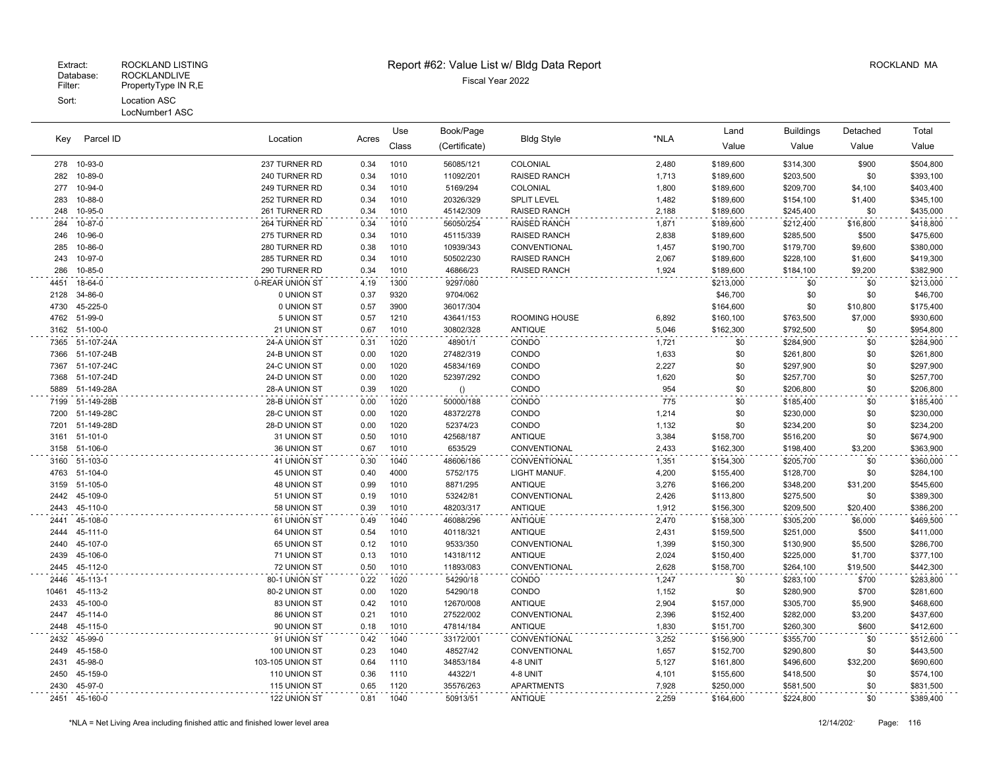|       |               |                  |       | Use   | Book/Page     |                      |       | Land      | <b>Buildings</b> | Detached | Total     |
|-------|---------------|------------------|-------|-------|---------------|----------------------|-------|-----------|------------------|----------|-----------|
| Key   | Parcel ID     | Location         | Acres | Class | (Certificate) | <b>Bldg Style</b>    | *NLA  | Value     | Value            | Value    | Value     |
|       | 278 10-93-0   | 237 TURNER RD    | 0.34  | 1010  | 56085/121     | COLONIAL             | 2,480 | \$189,600 | \$314,300        | \$900    | \$504,800 |
| 282   | 10-89-0       | 240 TURNER RD    | 0.34  | 1010  | 11092/201     | <b>RAISED RANCH</b>  | 1,713 | \$189,600 | \$203,500        | \$0      | \$393,100 |
| 277   | 10-94-0       | 249 TURNER RD    | 0.34  | 1010  | 5169/294      | COLONIAL             | 1,800 | \$189,600 | \$209,700        | \$4,100  | \$403,400 |
| 283   | 10-88-0       | 252 TURNER RD    | 0.34  | 1010  | 20326/329     | <b>SPLIT LEVEL</b>   | 1,482 | \$189,600 | \$154,100        | \$1,400  | \$345,100 |
| 248   | 10-95-0       | 261 TURNER RD    | 0.34  | 1010  | 45142/309     | <b>RAISED RANCH</b>  | 2,188 | \$189,600 | \$245,400        | \$0      | \$435,000 |
| 284   | 10-87-0       | 264 TURNER RD    | 0.34  | 1010  | 56050/254     | RAISED RANCH         | 1,871 | \$189,600 | \$212,400        | \$16,800 | \$418,800 |
| 246   | 10-96-0       | 275 TURNER RD    | 0.34  | 1010  | 45115/339     | <b>RAISED RANCH</b>  | 2,838 | \$189,600 | \$285,500        | \$500    | \$475,600 |
| 285   | 10-86-0       | 280 TURNER RD    | 0.38  | 1010  | 10939/343     | CONVENTIONAL         | 1,457 | \$190,700 | \$179,700        | \$9,600  | \$380,000 |
| 243   | 10-97-0       | 285 TURNER RD    | 0.34  | 1010  | 50502/230     | <b>RAISED RANCH</b>  | 2,067 | \$189,600 | \$228,100        | \$1,600  | \$419,300 |
| 286   | 10-85-0       | 290 TURNER RD    | 0.34  | 1010  | 46866/23      | <b>RAISED RANCH</b>  | 1,924 | \$189,600 | \$184,100        | \$9,200  | \$382,900 |
| 4451  | 18-64-0       | 0-REAR UNION ST  | 4.19  | 1300  | 9297/080      |                      |       | \$213,000 | \$0              | \$0      | \$213,000 |
| 2128  | 34-86-0       | 0 UNION ST       | 0.37  | 9320  | 9704/062      |                      |       | \$46,700  | \$0              | \$0      | \$46,700  |
| 4730  | 45-225-0      | 0 UNION ST       | 0.57  | 3900  | 36017/304     |                      |       | \$164,600 | \$0              | \$10,800 | \$175,400 |
| 4762  | 51-99-0       | 5 UNION ST       | 0.57  | 1210  | 43641/153     | <b>ROOMING HOUSE</b> | 6,892 | \$160,100 | \$763,500        | \$7,000  | \$930,600 |
|       | 3162 51-100-0 | 21 UNION ST      | 0.67  | 1010  | 30802/328     | <b>ANTIQUE</b>       | 5,046 | \$162,300 | \$792,500        | \$0      | \$954,800 |
| 7365  | 51-107-24A    | 24-A UNION ST    | 0.31  | 1020  | 48901/1       | CONDO                | 1,721 | \$0       | \$284,900        | \$0      | \$284,900 |
| 7366  | 51-107-24B    | 24-B UNION ST    | 0.00  | 1020  | 27482/319     | CONDO                | 1,633 | \$0       | \$261,800        | \$0      | \$261,800 |
| 7367  | 51-107-24C    | 24-C UNION ST    | 0.00  | 1020  | 45834/169     | CONDO                | 2,227 | \$0       | \$297,900        | \$0      | \$297,900 |
| 7368  | 51-107-24D    | 24-D UNION ST    | 0.00  | 1020  | 52397/292     | CONDO                | 1,620 | \$0       | \$257,700        | \$0      | \$257,700 |
| 5889  | 51-149-28A    | 28-A UNION ST    | 0.39  | 1020  | ()            | CONDO                | 954   | \$0       | \$206,800        | \$0      | \$206,800 |
| 7199  | 51-149-28B    | 28-B UNION ST    | 0.00  | 1020  | 50000/188     | CONDO                | 775   | \$0       | \$185,400        | \$0      | \$185,400 |
| 7200  | 51-149-28C    | 28-C UNION ST    | 0.00  | 1020  | 48372/278     | CONDO                | 1,214 | \$0       | \$230,000        | \$0      | \$230,000 |
| 7201  | 51-149-28D    | 28-D UNION ST    | 0.00  | 1020  | 52374/23      | CONDO                | 1,132 | \$0       | \$234,200        | \$0      | \$234,200 |
|       | 3161 51-101-0 | 31 UNION ST      | 0.50  | 1010  | 42568/187     | <b>ANTIQUE</b>       | 3,384 | \$158,700 | \$516,200        | \$0      | \$674,900 |
| 3158  | 51-106-0      | 36 UNION ST      | 0.67  | 1010  | 6535/29       | CONVENTIONAL         | 2,433 | \$162,300 | \$198,400        | \$3,200  | \$363,900 |
| 3160  | 51-103-0      | 41 UNION ST      | 0.30  | 1040  | 48606/186     | CONVENTIONAL         | 1,351 | \$154,300 | \$205,700        | \$0      | \$360,000 |
| 4763  | 51-104-0      | 45 UNION ST      | 0.40  | 4000  | 5752/175      | LIGHT MANUF.         | 4,200 | \$155,400 | \$128,700        | \$0      | \$284,100 |
| 3159  | 51-105-0      | 48 UNION ST      | 0.99  | 1010  | 8871/295      | ANTIQUE              | 3,276 | \$166,200 | \$348,200        | \$31,200 | \$545,600 |
| 2442  | 45-109-0      | 51 UNION ST      | 0.19  | 1010  | 53242/81      | CONVENTIONAL         | 2,426 | \$113,800 | \$275,500        | \$0      | \$389,300 |
| 2443  | 45-110-0      | 58 UNION ST      | 0.39  | 1010  | 48203/317     | <b>ANTIQUE</b>       | 1,912 | \$156,300 | \$209,500        | \$20,400 | \$386,200 |
| 2441  | 45-108-0      | 61 UNION ST      | 0.49  | 1040  | 46088/296     | <b>ANTIQUE</b>       | 2,470 | \$158,300 | \$305,200        | \$6,000  | \$469,500 |
| 2444  | 45-111-0      | 64 UNION ST      | 0.54  | 1010  | 40118/321     | <b>ANTIQUE</b>       | 2,431 | \$159,500 | \$251,000        | \$500    | \$411,000 |
| 2440  | 45-107-0      | 65 UNION ST      | 0.12  | 1010  | 9533/350      | CONVENTIONAL         | 1,399 | \$150,300 | \$130,900        | \$5,500  | \$286,700 |
| 2439  | 45-106-0      | 71 UNION ST      | 0.13  | 1010  | 14318/112     | <b>ANTIQUE</b>       | 2,024 | \$150,400 | \$225,000        | \$1,700  | \$377,100 |
| 2445  | 45-112-0      | 72 UNION ST      | 0.50  | 1010  | 11893/083     | CONVENTIONAL         | 2,628 | \$158,700 | \$264,100        | \$19,500 | \$442,300 |
| 2446  | 45-113-1      | 80-1 UNION ST    | 0.22  | 1020  | 54290/18      | CONDO                | 1,247 | \$0       | \$283,100        | \$700    | \$283,800 |
| 10461 | 45-113-2      | 80-2 UNION ST    | 0.00  | 1020  | 54290/18      | CONDO                | 1,152 | \$0       | \$280,900        | \$700    | \$281,600 |
| 2433  | 45-100-0      | 83 UNION ST      | 0.42  | 1010  | 12670/008     | <b>ANTIQUE</b>       | 2,904 | \$157,000 | \$305,700        | \$5,900  | \$468,600 |
| 2447  | 45-114-0      | 86 UNION ST      | 0.21  | 1010  | 27522/002     | CONVENTIONAL         | 2,396 | \$152,400 | \$282,000        | \$3,200  | \$437,600 |
| 2448  | 45-115-0      | 90 UNION ST      | 0.18  | 1010  | 47814/184     | <b>ANTIQUE</b>       | 1,830 | \$151,700 | \$260,300        | \$600    | \$412,600 |
| 2432  | 45-99-0       | 91 UNION ST      | 0.42  | 1040  | 33172/001     | CONVENTIONAL         | 3,252 | \$156,900 | \$355,700        | \$0      | \$512,600 |
| 2449  | 45-158-0      | 100 UNION ST     | 0.23  | 1040  | 48527/42      | CONVENTIONAL         | 1,657 | \$152,700 | \$290,800        | \$0      | \$443,500 |
| 2431  | 45-98-0       | 103-105 UNION ST | 0.64  | 1110  | 34853/184     | 4-8 UNIT             | 5,127 | \$161,800 | \$496,600        | \$32,200 | \$690,600 |
| 2450  | 45-159-0      | 110 UNION ST     | 0.36  | 1110  | 44322/1       | 4-8 UNIT             | 4,101 | \$155,600 | \$418,500        | \$0      | \$574,100 |
| 2430  | 45-97-0       | 115 UNION ST     | 0.65  | 1120  | 35576/263     | <b>APARTMENTS</b>    | 7,928 | \$250,000 | \$581,500        | \$0      | \$831,500 |
|       | 2451 45-160-0 | 122 UNION ST     | 0.81  | 1040  | 50913/51      | <b>ANTIQUE</b>       | 2,259 | \$164,600 | \$224,800        | \$0      | \$389,400 |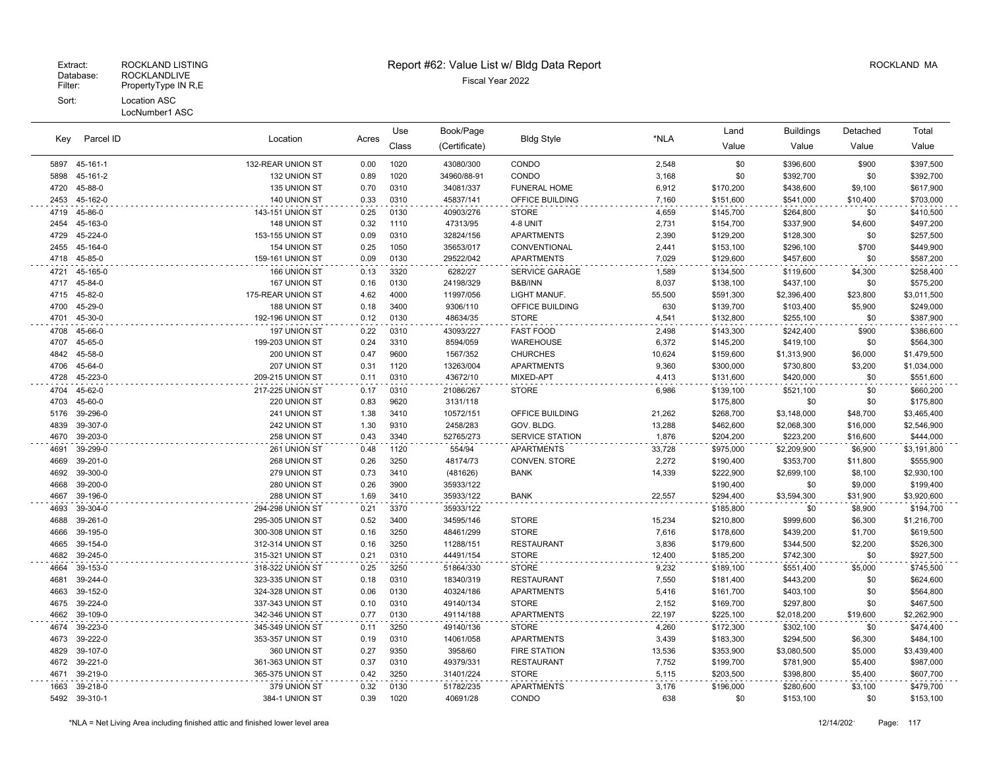| Class<br>(Certificate)<br>Value<br>Value<br>Value<br>Value<br>45-161-1<br>132-REAR UNION ST<br>0.00<br>1020<br>43080/300<br>CONDO<br>2,548<br>\$0<br>\$396,600<br>\$900<br>\$397,500<br>5897<br>\$0<br>5898<br>45-161-2<br>132 UNION ST<br>0.89<br>1020<br>34960/88-91<br>CONDO<br>3,168<br>\$392,700<br>\$0<br>\$392,700<br>45-88-0<br>135 UNION ST<br>0.70<br>0310<br>34081/337<br><b>FUNERAL HOME</b><br>6,912<br>\$170,200<br>\$438,600<br>\$9,100<br>\$617,900<br>4720<br>2453<br>45-162-0<br>140 UNION ST<br>0.33<br>0310<br>45837/141<br>OFFICE BUILDING<br>7,160<br>\$541,000<br>\$10,400<br>\$703,000<br>\$151,600<br>45-86-0<br>143-151 UNION ST<br>4719<br>0.25<br>0130<br>40903/276<br><b>STORE</b><br>\$145,700<br>\$264,800<br>\$0<br>\$410,500<br>4,659<br>45-163-0<br>148 UNION ST<br>0.32<br>47313/95<br>4-8 UNIT<br>2,731<br>\$337,900<br>\$4,600<br>\$497,200<br>2454<br>1110<br>\$154,700<br>45-224-0<br>153-155 UNION ST<br>0.09<br>0310<br>32824/156<br><b>APARTMENTS</b><br>2,390<br>\$129,200<br>\$128,300<br>\$0<br>\$257,500<br>4729<br>2455<br>45-164-0<br>154 UNION ST<br>1050<br>35653/017<br>CONVENTIONAL<br>2,441<br>\$153,100<br>\$296,100<br>\$700<br>\$449,900<br>0.25<br>45-85-0<br>159-161 UNION ST<br>0.09<br>0130<br>29522/042<br><b>APARTMENTS</b><br>7,029<br>\$129,600<br>\$457,600<br>\$0<br>\$587,200<br>4718<br>45-165-0<br>166 UNION ST<br>6282/27<br><b>SERVICE GARAGE</b><br>\$258,400<br>4721<br>0.13<br>3320<br>1,589<br>\$134,500<br>\$119,600<br>\$4,300<br>0130<br>4717<br>45-84-0<br>167 UNION ST<br>0.16<br>24198/329<br>B&B/INN<br>8.037<br>\$138,100<br>\$437,100<br>\$0<br>\$575,200<br>45-82-0<br>4000<br>55,500<br>4715<br>175-REAR UNION ST<br>4.62<br>11997/056<br>LIGHT MANUF.<br>\$591,300<br>\$2,396,400<br>\$23,800<br>\$3,011,500<br>45-29-0<br>188 UNION ST<br>3400<br>OFFICE BUILDING<br>630<br>4700<br>0.18<br>9306/110<br>\$139,700<br>\$103,400<br>\$5,900<br>\$249,000<br>45-30-0<br>192-196 UNION ST<br>0.12<br>0130<br>48634/35<br><b>STORE</b><br>4,541<br>\$132,800<br>\$255,100<br>\$0<br>\$387,900<br>4701<br>197 UNION ST<br>43093/227<br><b>FAST FOOD</b><br>\$143,300<br>\$386,600<br>4708<br>45-66-0<br>0.22<br>0310<br>2,498<br>\$242,400<br>\$900<br>45-65-0<br>3310<br>WAREHOUSE<br>6,372<br>\$0<br>4707<br>199-203 UNION ST<br>0.24<br>8594/059<br>\$145,200<br>\$419,100<br>\$564,300<br>45-58-0<br>200 UNION ST<br>9600<br>1567/352<br><b>CHURCHES</b><br>10,624<br>\$159,600<br>\$6,000<br>\$1,479,500<br>4842<br>0.47<br>\$1,313,900<br>45-64-0<br>207 UNION ST<br>1120<br>13263/004<br><b>APARTMENTS</b><br>9,360<br>\$300,000<br>\$730,800<br>\$3,200<br>\$1,034,000<br>4706<br>0.31<br>45-223-0<br>4728<br>209-215 UNION ST<br>0310<br>43672/10<br>MIXED-APT<br>4.413<br>\$420,000<br>\$0<br>\$551,600<br>0.11<br>\$131,600<br>45-62-0<br>217-225 UNION ST<br>0310<br><b>STORE</b><br>4704<br>0.17<br>21086/267<br>6,986<br>\$139,100<br>\$521,100<br>\$0<br>\$660,200<br>4703<br>45-60-0<br>220 UNION ST<br>0.83<br>9620<br>3131/118<br>\$175,800<br>\$0<br>\$0<br>\$175,800<br>39-296-0<br>241 UNION ST<br>1.38<br>3410<br>10572/151<br>OFFICE BUILDING<br>21,262<br>\$268,700<br>\$3,148,000<br>\$48,700<br>\$3,465,400<br>5176<br>4839<br>39-307-0<br>242 UNION ST<br>1.30<br>9310<br>2458/283<br>GOV. BLDG.<br>13,288<br>\$462,600<br>\$2,068,300<br>\$16,000<br>\$2,546,900<br>4670<br>39-203-0<br>258 UNION ST<br>0.43<br>3340<br>52765/273<br><b>SERVICE STATION</b><br>1,876<br>\$204,200<br>\$223,200<br>\$16,600<br>\$444,000<br>39-299-0<br>261 UNION ST<br>1120<br><b>APARTMENTS</b><br>\$2,209,900<br>4691<br>0.48<br>554/94<br>33,728<br>\$975,000<br>\$6,900<br>\$3,191,800<br>39-201-0<br>0.26<br>3250<br>2,272<br>\$353,700<br>\$555,900<br>4669<br>268 UNION ST<br>48174/73<br>CONVEN. STORE<br>\$190,400<br>\$11,800<br>39-300-0<br>0.73<br>14,339<br>\$222,900<br>\$2,699,100<br>\$2,930,100<br>4692<br>279 UNION ST<br>3410<br>(481626)<br><b>BANK</b><br>\$8,100<br>39-200-0<br>4668<br>280 UNION ST<br>0.26<br>3900<br>35933/122<br>\$190,400<br>\$0<br>\$9,000<br>\$199,400<br>4667<br>39-196-0<br>288 UNION ST<br>1.69<br>3410<br>35933/122<br>22,557<br>\$294,400<br>\$3,594,300<br>\$31,900<br>\$3,920,600<br><b>BANK</b><br>39-304-0<br>294-298 UNION ST<br>3370<br>35933/122<br>\$194,700<br>4693<br>0.21<br>\$185,800<br>\$0<br>\$8,900<br>39-261-0<br>0.52<br>3400<br>15,234<br>4688<br>295-305 UNION ST<br>34595/146<br><b>STORE</b><br>\$210,800<br>\$999,600<br>\$6,300<br>\$1,216,700<br>39-195-0<br>3250<br>48461/299<br><b>STORE</b><br>7,616<br>\$439,200<br>\$619,500<br>4666<br>300-308 UNION ST<br>0.16<br>\$178,600<br>\$1,700<br>39-154-0<br>3250<br>11288/151<br><b>RESTAURANT</b><br>3,836<br>\$2,200<br>\$526,300<br>4665<br>312-314 UNION ST<br>0.16<br>\$179,600<br>\$344,500<br>4682<br>39-245-0<br>315-321 UNION ST<br>0.21<br>0310<br>44491/154<br><b>STORE</b><br>12,400<br>\$185,200<br>\$742,300<br>\$0<br>\$927,500<br>39-153-0<br>318-322 UNION ST<br><b>STORE</b><br>9,232<br>4664<br>0.25<br>3250<br>51864/330<br>\$189,100<br>\$551,400<br>\$5,000<br>\$745,500<br>39-244-0<br>323-335 UNION ST<br>0.18<br>0310<br>18340/319<br><b>RESTAURANT</b><br>7,550<br>\$443,200<br>\$0<br>\$624,600<br>4681<br>\$181,400<br>39-152-0<br>324-328 UNION ST<br>0130<br>40324/186<br><b>APARTMENTS</b><br>5,416<br>\$403,100<br>\$0<br>\$564,800<br>4663<br>0.06<br>\$161,700<br>39-224-0<br>0310<br>\$467,500<br>4675<br>337-343 UNION ST<br>0.10<br>49140/134<br><b>STORE</b><br>2,152<br>\$169,700<br>\$297,800<br>\$0<br>4662<br>39-109-0<br>0.77<br>0130<br>22.197<br>\$19,600<br>\$2,262,900<br>342-346 UNION ST<br>49114/188<br><b>APARTMENTS</b><br>\$225,100<br>\$2,018,200<br>39-223-0<br>\$474,400<br>345-349 UNION ST<br>3250<br>49140/136<br><b>STORE</b><br>4,260<br>\$172,300<br>\$302,100<br>\$0<br>4674<br>0.11<br>39-222-0<br>353-357 UNION ST<br>0310<br><b>APARTMENTS</b><br>3,439<br>\$294,500<br>\$6,300<br>\$484,100<br>4673<br>0.19<br>14061/058<br>\$183,300<br>39-107-0<br>0.27<br>9350<br>3958/60<br><b>FIRE STATION</b><br>13,536<br>\$353,900<br>\$3,080,500<br>\$5,000<br>\$3,439,400<br>4829<br>360 UNION ST<br>4672<br>39-221-0<br>361-363 UNION ST<br>0.37<br>0310<br>49379/331<br><b>RESTAURANT</b><br>7,752<br>\$199,700<br>\$5,400<br>\$987,000<br>\$781,900<br>39-219-0<br>4671<br>365-375 UNION ST<br>0.42<br>3250<br>31401/224<br><b>STORE</b><br>5,115<br>\$203,500<br>\$398,800<br>\$5,400<br>\$607,700<br>39-218-0<br>379 UNION ST<br>0130<br>51782/235<br><b>APARTMENTS</b><br>3,176<br>\$196,000<br>\$280,600<br>\$3,100<br>\$479,700<br>1663<br>0.32<br>5492 39-310-1<br>0.39<br>CONDO<br>384-1 UNION ST<br>1020<br>40691/28<br>638<br>\$0<br>\$153,100<br>\$0<br>\$153,100 |     |           |          |       | Use | Book/Page |                   |      | Land | <b>Buildings</b> | Detached | Total |
|-----------------------------------------------------------------------------------------------------------------------------------------------------------------------------------------------------------------------------------------------------------------------------------------------------------------------------------------------------------------------------------------------------------------------------------------------------------------------------------------------------------------------------------------------------------------------------------------------------------------------------------------------------------------------------------------------------------------------------------------------------------------------------------------------------------------------------------------------------------------------------------------------------------------------------------------------------------------------------------------------------------------------------------------------------------------------------------------------------------------------------------------------------------------------------------------------------------------------------------------------------------------------------------------------------------------------------------------------------------------------------------------------------------------------------------------------------------------------------------------------------------------------------------------------------------------------------------------------------------------------------------------------------------------------------------------------------------------------------------------------------------------------------------------------------------------------------------------------------------------------------------------------------------------------------------------------------------------------------------------------------------------------------------------------------------------------------------------------------------------------------------------------------------------------------------------------------------------------------------------------------------------------------------------------------------------------------------------------------------------------------------------------------------------------------------------------------------------------------------------------------------------------------------------------------------------------------------------------------------------------------------------------------------------------------------------------------------------------------------------------------------------------------------------------------------------------------------------------------------------------------------------------------------------------------------------------------------------------------------------------------------------------------------------------------------------------------------------------------------------------------------------------------------------------------------------------------------------------------------------------------------------------------------------------------------------------------------------------------------------------------------------------------------------------------------------------------------------------------------------------------------------------------------------------------------------------------------------------------------------------------------------------------------------------------------------------------------------------------------------------------------------------------------------------------------------------------------------------------------------------------------------------------------------------------------------------------------------------------------------------------------------------------------------------------------------------------------------------------------------------------------------------------------------------------------------------------------------------------------------------------------------------------------------------------------------------------------------------------------------------------------------------------------------------------------------------------------------------------------------------------------------------------------------------------------------------------------------------------------------------------------------------------------------------------------------------------------------------------------------------------------------------------------------------------------------------------------------------------------------------------------------------------------------------------------------------------------------------------------------------------------------------------------------------------------------------------------------------------------------------------------------------------------------------------------------------------------------------------------------------------------------------------------------------------------------------------------------------------------------------------------------------------------------------------------------------------------------------------------------------------------------------------------------------------------------------------------------------------------------------------------------------------------------------------------------------------------------------------------------------------------------------------------------------------------------------------------------------------------------------------------------------------------------------------------------------------------------------------------------------------------------------------------------------------------------------------------------------------------------------------------------------------------------------------------------------------------------------------------------------------------------------------------------------------------------------------------------------------------------------------------------------------------------------------------------------------------------------------------------------------------------------------------------------------------------------------------------------------------------------------------------------------------------------------------------------------------------------------------------------------------------------|-----|-----------|----------|-------|-----|-----------|-------------------|------|------|------------------|----------|-------|
|                                                                                                                                                                                                                                                                                                                                                                                                                                                                                                                                                                                                                                                                                                                                                                                                                                                                                                                                                                                                                                                                                                                                                                                                                                                                                                                                                                                                                                                                                                                                                                                                                                                                                                                                                                                                                                                                                                                                                                                                                                                                                                                                                                                                                                                                                                                                                                                                                                                                                                                                                                                                                                                                                                                                                                                                                                                                                                                                                                                                                                                                                                                                                                                                                                                                                                                                                                                                                                                                                                                                                                                                                                                                                                                                                                                                                                                                                                                                                                                                                                                                                                                                                                                                                                                                                                                                                                                                                                                                                                                                                                                                                                                                                                                                                                                                                                                                                                                                                                                                                                                                                                                                                                                                                                                                                                                                                                                                                                                                                                                                                                                                                                                                                                                                                                                                                                                                                                                                                                                                                                                                                                                                                                                                                                                                                                                                                                                                                                                                                                                                                                                                                                                                                                                                                                       | Key | Parcel ID | Location | Acres |     |           | <b>Bldg Style</b> | *NLA |      |                  |          |       |
|                                                                                                                                                                                                                                                                                                                                                                                                                                                                                                                                                                                                                                                                                                                                                                                                                                                                                                                                                                                                                                                                                                                                                                                                                                                                                                                                                                                                                                                                                                                                                                                                                                                                                                                                                                                                                                                                                                                                                                                                                                                                                                                                                                                                                                                                                                                                                                                                                                                                                                                                                                                                                                                                                                                                                                                                                                                                                                                                                                                                                                                                                                                                                                                                                                                                                                                                                                                                                                                                                                                                                                                                                                                                                                                                                                                                                                                                                                                                                                                                                                                                                                                                                                                                                                                                                                                                                                                                                                                                                                                                                                                                                                                                                                                                                                                                                                                                                                                                                                                                                                                                                                                                                                                                                                                                                                                                                                                                                                                                                                                                                                                                                                                                                                                                                                                                                                                                                                                                                                                                                                                                                                                                                                                                                                                                                                                                                                                                                                                                                                                                                                                                                                                                                                                                                                       |     |           |          |       |     |           |                   |      |      |                  |          |       |
|                                                                                                                                                                                                                                                                                                                                                                                                                                                                                                                                                                                                                                                                                                                                                                                                                                                                                                                                                                                                                                                                                                                                                                                                                                                                                                                                                                                                                                                                                                                                                                                                                                                                                                                                                                                                                                                                                                                                                                                                                                                                                                                                                                                                                                                                                                                                                                                                                                                                                                                                                                                                                                                                                                                                                                                                                                                                                                                                                                                                                                                                                                                                                                                                                                                                                                                                                                                                                                                                                                                                                                                                                                                                                                                                                                                                                                                                                                                                                                                                                                                                                                                                                                                                                                                                                                                                                                                                                                                                                                                                                                                                                                                                                                                                                                                                                                                                                                                                                                                                                                                                                                                                                                                                                                                                                                                                                                                                                                                                                                                                                                                                                                                                                                                                                                                                                                                                                                                                                                                                                                                                                                                                                                                                                                                                                                                                                                                                                                                                                                                                                                                                                                                                                                                                                                       |     |           |          |       |     |           |                   |      |      |                  |          |       |
|                                                                                                                                                                                                                                                                                                                                                                                                                                                                                                                                                                                                                                                                                                                                                                                                                                                                                                                                                                                                                                                                                                                                                                                                                                                                                                                                                                                                                                                                                                                                                                                                                                                                                                                                                                                                                                                                                                                                                                                                                                                                                                                                                                                                                                                                                                                                                                                                                                                                                                                                                                                                                                                                                                                                                                                                                                                                                                                                                                                                                                                                                                                                                                                                                                                                                                                                                                                                                                                                                                                                                                                                                                                                                                                                                                                                                                                                                                                                                                                                                                                                                                                                                                                                                                                                                                                                                                                                                                                                                                                                                                                                                                                                                                                                                                                                                                                                                                                                                                                                                                                                                                                                                                                                                                                                                                                                                                                                                                                                                                                                                                                                                                                                                                                                                                                                                                                                                                                                                                                                                                                                                                                                                                                                                                                                                                                                                                                                                                                                                                                                                                                                                                                                                                                                                                       |     |           |          |       |     |           |                   |      |      |                  |          |       |
|                                                                                                                                                                                                                                                                                                                                                                                                                                                                                                                                                                                                                                                                                                                                                                                                                                                                                                                                                                                                                                                                                                                                                                                                                                                                                                                                                                                                                                                                                                                                                                                                                                                                                                                                                                                                                                                                                                                                                                                                                                                                                                                                                                                                                                                                                                                                                                                                                                                                                                                                                                                                                                                                                                                                                                                                                                                                                                                                                                                                                                                                                                                                                                                                                                                                                                                                                                                                                                                                                                                                                                                                                                                                                                                                                                                                                                                                                                                                                                                                                                                                                                                                                                                                                                                                                                                                                                                                                                                                                                                                                                                                                                                                                                                                                                                                                                                                                                                                                                                                                                                                                                                                                                                                                                                                                                                                                                                                                                                                                                                                                                                                                                                                                                                                                                                                                                                                                                                                                                                                                                                                                                                                                                                                                                                                                                                                                                                                                                                                                                                                                                                                                                                                                                                                                                       |     |           |          |       |     |           |                   |      |      |                  |          |       |
|                                                                                                                                                                                                                                                                                                                                                                                                                                                                                                                                                                                                                                                                                                                                                                                                                                                                                                                                                                                                                                                                                                                                                                                                                                                                                                                                                                                                                                                                                                                                                                                                                                                                                                                                                                                                                                                                                                                                                                                                                                                                                                                                                                                                                                                                                                                                                                                                                                                                                                                                                                                                                                                                                                                                                                                                                                                                                                                                                                                                                                                                                                                                                                                                                                                                                                                                                                                                                                                                                                                                                                                                                                                                                                                                                                                                                                                                                                                                                                                                                                                                                                                                                                                                                                                                                                                                                                                                                                                                                                                                                                                                                                                                                                                                                                                                                                                                                                                                                                                                                                                                                                                                                                                                                                                                                                                                                                                                                                                                                                                                                                                                                                                                                                                                                                                                                                                                                                                                                                                                                                                                                                                                                                                                                                                                                                                                                                                                                                                                                                                                                                                                                                                                                                                                                                       |     |           |          |       |     |           |                   |      |      |                  |          |       |
|                                                                                                                                                                                                                                                                                                                                                                                                                                                                                                                                                                                                                                                                                                                                                                                                                                                                                                                                                                                                                                                                                                                                                                                                                                                                                                                                                                                                                                                                                                                                                                                                                                                                                                                                                                                                                                                                                                                                                                                                                                                                                                                                                                                                                                                                                                                                                                                                                                                                                                                                                                                                                                                                                                                                                                                                                                                                                                                                                                                                                                                                                                                                                                                                                                                                                                                                                                                                                                                                                                                                                                                                                                                                                                                                                                                                                                                                                                                                                                                                                                                                                                                                                                                                                                                                                                                                                                                                                                                                                                                                                                                                                                                                                                                                                                                                                                                                                                                                                                                                                                                                                                                                                                                                                                                                                                                                                                                                                                                                                                                                                                                                                                                                                                                                                                                                                                                                                                                                                                                                                                                                                                                                                                                                                                                                                                                                                                                                                                                                                                                                                                                                                                                                                                                                                                       |     |           |          |       |     |           |                   |      |      |                  |          |       |
|                                                                                                                                                                                                                                                                                                                                                                                                                                                                                                                                                                                                                                                                                                                                                                                                                                                                                                                                                                                                                                                                                                                                                                                                                                                                                                                                                                                                                                                                                                                                                                                                                                                                                                                                                                                                                                                                                                                                                                                                                                                                                                                                                                                                                                                                                                                                                                                                                                                                                                                                                                                                                                                                                                                                                                                                                                                                                                                                                                                                                                                                                                                                                                                                                                                                                                                                                                                                                                                                                                                                                                                                                                                                                                                                                                                                                                                                                                                                                                                                                                                                                                                                                                                                                                                                                                                                                                                                                                                                                                                                                                                                                                                                                                                                                                                                                                                                                                                                                                                                                                                                                                                                                                                                                                                                                                                                                                                                                                                                                                                                                                                                                                                                                                                                                                                                                                                                                                                                                                                                                                                                                                                                                                                                                                                                                                                                                                                                                                                                                                                                                                                                                                                                                                                                                                       |     |           |          |       |     |           |                   |      |      |                  |          |       |
|                                                                                                                                                                                                                                                                                                                                                                                                                                                                                                                                                                                                                                                                                                                                                                                                                                                                                                                                                                                                                                                                                                                                                                                                                                                                                                                                                                                                                                                                                                                                                                                                                                                                                                                                                                                                                                                                                                                                                                                                                                                                                                                                                                                                                                                                                                                                                                                                                                                                                                                                                                                                                                                                                                                                                                                                                                                                                                                                                                                                                                                                                                                                                                                                                                                                                                                                                                                                                                                                                                                                                                                                                                                                                                                                                                                                                                                                                                                                                                                                                                                                                                                                                                                                                                                                                                                                                                                                                                                                                                                                                                                                                                                                                                                                                                                                                                                                                                                                                                                                                                                                                                                                                                                                                                                                                                                                                                                                                                                                                                                                                                                                                                                                                                                                                                                                                                                                                                                                                                                                                                                                                                                                                                                                                                                                                                                                                                                                                                                                                                                                                                                                                                                                                                                                                                       |     |           |          |       |     |           |                   |      |      |                  |          |       |
|                                                                                                                                                                                                                                                                                                                                                                                                                                                                                                                                                                                                                                                                                                                                                                                                                                                                                                                                                                                                                                                                                                                                                                                                                                                                                                                                                                                                                                                                                                                                                                                                                                                                                                                                                                                                                                                                                                                                                                                                                                                                                                                                                                                                                                                                                                                                                                                                                                                                                                                                                                                                                                                                                                                                                                                                                                                                                                                                                                                                                                                                                                                                                                                                                                                                                                                                                                                                                                                                                                                                                                                                                                                                                                                                                                                                                                                                                                                                                                                                                                                                                                                                                                                                                                                                                                                                                                                                                                                                                                                                                                                                                                                                                                                                                                                                                                                                                                                                                                                                                                                                                                                                                                                                                                                                                                                                                                                                                                                                                                                                                                                                                                                                                                                                                                                                                                                                                                                                                                                                                                                                                                                                                                                                                                                                                                                                                                                                                                                                                                                                                                                                                                                                                                                                                                       |     |           |          |       |     |           |                   |      |      |                  |          |       |
|                                                                                                                                                                                                                                                                                                                                                                                                                                                                                                                                                                                                                                                                                                                                                                                                                                                                                                                                                                                                                                                                                                                                                                                                                                                                                                                                                                                                                                                                                                                                                                                                                                                                                                                                                                                                                                                                                                                                                                                                                                                                                                                                                                                                                                                                                                                                                                                                                                                                                                                                                                                                                                                                                                                                                                                                                                                                                                                                                                                                                                                                                                                                                                                                                                                                                                                                                                                                                                                                                                                                                                                                                                                                                                                                                                                                                                                                                                                                                                                                                                                                                                                                                                                                                                                                                                                                                                                                                                                                                                                                                                                                                                                                                                                                                                                                                                                                                                                                                                                                                                                                                                                                                                                                                                                                                                                                                                                                                                                                                                                                                                                                                                                                                                                                                                                                                                                                                                                                                                                                                                                                                                                                                                                                                                                                                                                                                                                                                                                                                                                                                                                                                                                                                                                                                                       |     |           |          |       |     |           |                   |      |      |                  |          |       |
|                                                                                                                                                                                                                                                                                                                                                                                                                                                                                                                                                                                                                                                                                                                                                                                                                                                                                                                                                                                                                                                                                                                                                                                                                                                                                                                                                                                                                                                                                                                                                                                                                                                                                                                                                                                                                                                                                                                                                                                                                                                                                                                                                                                                                                                                                                                                                                                                                                                                                                                                                                                                                                                                                                                                                                                                                                                                                                                                                                                                                                                                                                                                                                                                                                                                                                                                                                                                                                                                                                                                                                                                                                                                                                                                                                                                                                                                                                                                                                                                                                                                                                                                                                                                                                                                                                                                                                                                                                                                                                                                                                                                                                                                                                                                                                                                                                                                                                                                                                                                                                                                                                                                                                                                                                                                                                                                                                                                                                                                                                                                                                                                                                                                                                                                                                                                                                                                                                                                                                                                                                                                                                                                                                                                                                                                                                                                                                                                                                                                                                                                                                                                                                                                                                                                                                       |     |           |          |       |     |           |                   |      |      |                  |          |       |
|                                                                                                                                                                                                                                                                                                                                                                                                                                                                                                                                                                                                                                                                                                                                                                                                                                                                                                                                                                                                                                                                                                                                                                                                                                                                                                                                                                                                                                                                                                                                                                                                                                                                                                                                                                                                                                                                                                                                                                                                                                                                                                                                                                                                                                                                                                                                                                                                                                                                                                                                                                                                                                                                                                                                                                                                                                                                                                                                                                                                                                                                                                                                                                                                                                                                                                                                                                                                                                                                                                                                                                                                                                                                                                                                                                                                                                                                                                                                                                                                                                                                                                                                                                                                                                                                                                                                                                                                                                                                                                                                                                                                                                                                                                                                                                                                                                                                                                                                                                                                                                                                                                                                                                                                                                                                                                                                                                                                                                                                                                                                                                                                                                                                                                                                                                                                                                                                                                                                                                                                                                                                                                                                                                                                                                                                                                                                                                                                                                                                                                                                                                                                                                                                                                                                                                       |     |           |          |       |     |           |                   |      |      |                  |          |       |
|                                                                                                                                                                                                                                                                                                                                                                                                                                                                                                                                                                                                                                                                                                                                                                                                                                                                                                                                                                                                                                                                                                                                                                                                                                                                                                                                                                                                                                                                                                                                                                                                                                                                                                                                                                                                                                                                                                                                                                                                                                                                                                                                                                                                                                                                                                                                                                                                                                                                                                                                                                                                                                                                                                                                                                                                                                                                                                                                                                                                                                                                                                                                                                                                                                                                                                                                                                                                                                                                                                                                                                                                                                                                                                                                                                                                                                                                                                                                                                                                                                                                                                                                                                                                                                                                                                                                                                                                                                                                                                                                                                                                                                                                                                                                                                                                                                                                                                                                                                                                                                                                                                                                                                                                                                                                                                                                                                                                                                                                                                                                                                                                                                                                                                                                                                                                                                                                                                                                                                                                                                                                                                                                                                                                                                                                                                                                                                                                                                                                                                                                                                                                                                                                                                                                                                       |     |           |          |       |     |           |                   |      |      |                  |          |       |
|                                                                                                                                                                                                                                                                                                                                                                                                                                                                                                                                                                                                                                                                                                                                                                                                                                                                                                                                                                                                                                                                                                                                                                                                                                                                                                                                                                                                                                                                                                                                                                                                                                                                                                                                                                                                                                                                                                                                                                                                                                                                                                                                                                                                                                                                                                                                                                                                                                                                                                                                                                                                                                                                                                                                                                                                                                                                                                                                                                                                                                                                                                                                                                                                                                                                                                                                                                                                                                                                                                                                                                                                                                                                                                                                                                                                                                                                                                                                                                                                                                                                                                                                                                                                                                                                                                                                                                                                                                                                                                                                                                                                                                                                                                                                                                                                                                                                                                                                                                                                                                                                                                                                                                                                                                                                                                                                                                                                                                                                                                                                                                                                                                                                                                                                                                                                                                                                                                                                                                                                                                                                                                                                                                                                                                                                                                                                                                                                                                                                                                                                                                                                                                                                                                                                                                       |     |           |          |       |     |           |                   |      |      |                  |          |       |
|                                                                                                                                                                                                                                                                                                                                                                                                                                                                                                                                                                                                                                                                                                                                                                                                                                                                                                                                                                                                                                                                                                                                                                                                                                                                                                                                                                                                                                                                                                                                                                                                                                                                                                                                                                                                                                                                                                                                                                                                                                                                                                                                                                                                                                                                                                                                                                                                                                                                                                                                                                                                                                                                                                                                                                                                                                                                                                                                                                                                                                                                                                                                                                                                                                                                                                                                                                                                                                                                                                                                                                                                                                                                                                                                                                                                                                                                                                                                                                                                                                                                                                                                                                                                                                                                                                                                                                                                                                                                                                                                                                                                                                                                                                                                                                                                                                                                                                                                                                                                                                                                                                                                                                                                                                                                                                                                                                                                                                                                                                                                                                                                                                                                                                                                                                                                                                                                                                                                                                                                                                                                                                                                                                                                                                                                                                                                                                                                                                                                                                                                                                                                                                                                                                                                                                       |     |           |          |       |     |           |                   |      |      |                  |          |       |
|                                                                                                                                                                                                                                                                                                                                                                                                                                                                                                                                                                                                                                                                                                                                                                                                                                                                                                                                                                                                                                                                                                                                                                                                                                                                                                                                                                                                                                                                                                                                                                                                                                                                                                                                                                                                                                                                                                                                                                                                                                                                                                                                                                                                                                                                                                                                                                                                                                                                                                                                                                                                                                                                                                                                                                                                                                                                                                                                                                                                                                                                                                                                                                                                                                                                                                                                                                                                                                                                                                                                                                                                                                                                                                                                                                                                                                                                                                                                                                                                                                                                                                                                                                                                                                                                                                                                                                                                                                                                                                                                                                                                                                                                                                                                                                                                                                                                                                                                                                                                                                                                                                                                                                                                                                                                                                                                                                                                                                                                                                                                                                                                                                                                                                                                                                                                                                                                                                                                                                                                                                                                                                                                                                                                                                                                                                                                                                                                                                                                                                                                                                                                                                                                                                                                                                       |     |           |          |       |     |           |                   |      |      |                  |          |       |
|                                                                                                                                                                                                                                                                                                                                                                                                                                                                                                                                                                                                                                                                                                                                                                                                                                                                                                                                                                                                                                                                                                                                                                                                                                                                                                                                                                                                                                                                                                                                                                                                                                                                                                                                                                                                                                                                                                                                                                                                                                                                                                                                                                                                                                                                                                                                                                                                                                                                                                                                                                                                                                                                                                                                                                                                                                                                                                                                                                                                                                                                                                                                                                                                                                                                                                                                                                                                                                                                                                                                                                                                                                                                                                                                                                                                                                                                                                                                                                                                                                                                                                                                                                                                                                                                                                                                                                                                                                                                                                                                                                                                                                                                                                                                                                                                                                                                                                                                                                                                                                                                                                                                                                                                                                                                                                                                                                                                                                                                                                                                                                                                                                                                                                                                                                                                                                                                                                                                                                                                                                                                                                                                                                                                                                                                                                                                                                                                                                                                                                                                                                                                                                                                                                                                                                       |     |           |          |       |     |           |                   |      |      |                  |          |       |
|                                                                                                                                                                                                                                                                                                                                                                                                                                                                                                                                                                                                                                                                                                                                                                                                                                                                                                                                                                                                                                                                                                                                                                                                                                                                                                                                                                                                                                                                                                                                                                                                                                                                                                                                                                                                                                                                                                                                                                                                                                                                                                                                                                                                                                                                                                                                                                                                                                                                                                                                                                                                                                                                                                                                                                                                                                                                                                                                                                                                                                                                                                                                                                                                                                                                                                                                                                                                                                                                                                                                                                                                                                                                                                                                                                                                                                                                                                                                                                                                                                                                                                                                                                                                                                                                                                                                                                                                                                                                                                                                                                                                                                                                                                                                                                                                                                                                                                                                                                                                                                                                                                                                                                                                                                                                                                                                                                                                                                                                                                                                                                                                                                                                                                                                                                                                                                                                                                                                                                                                                                                                                                                                                                                                                                                                                                                                                                                                                                                                                                                                                                                                                                                                                                                                                                       |     |           |          |       |     |           |                   |      |      |                  |          |       |
|                                                                                                                                                                                                                                                                                                                                                                                                                                                                                                                                                                                                                                                                                                                                                                                                                                                                                                                                                                                                                                                                                                                                                                                                                                                                                                                                                                                                                                                                                                                                                                                                                                                                                                                                                                                                                                                                                                                                                                                                                                                                                                                                                                                                                                                                                                                                                                                                                                                                                                                                                                                                                                                                                                                                                                                                                                                                                                                                                                                                                                                                                                                                                                                                                                                                                                                                                                                                                                                                                                                                                                                                                                                                                                                                                                                                                                                                                                                                                                                                                                                                                                                                                                                                                                                                                                                                                                                                                                                                                                                                                                                                                                                                                                                                                                                                                                                                                                                                                                                                                                                                                                                                                                                                                                                                                                                                                                                                                                                                                                                                                                                                                                                                                                                                                                                                                                                                                                                                                                                                                                                                                                                                                                                                                                                                                                                                                                                                                                                                                                                                                                                                                                                                                                                                                                       |     |           |          |       |     |           |                   |      |      |                  |          |       |
|                                                                                                                                                                                                                                                                                                                                                                                                                                                                                                                                                                                                                                                                                                                                                                                                                                                                                                                                                                                                                                                                                                                                                                                                                                                                                                                                                                                                                                                                                                                                                                                                                                                                                                                                                                                                                                                                                                                                                                                                                                                                                                                                                                                                                                                                                                                                                                                                                                                                                                                                                                                                                                                                                                                                                                                                                                                                                                                                                                                                                                                                                                                                                                                                                                                                                                                                                                                                                                                                                                                                                                                                                                                                                                                                                                                                                                                                                                                                                                                                                                                                                                                                                                                                                                                                                                                                                                                                                                                                                                                                                                                                                                                                                                                                                                                                                                                                                                                                                                                                                                                                                                                                                                                                                                                                                                                                                                                                                                                                                                                                                                                                                                                                                                                                                                                                                                                                                                                                                                                                                                                                                                                                                                                                                                                                                                                                                                                                                                                                                                                                                                                                                                                                                                                                                                       |     |           |          |       |     |           |                   |      |      |                  |          |       |
|                                                                                                                                                                                                                                                                                                                                                                                                                                                                                                                                                                                                                                                                                                                                                                                                                                                                                                                                                                                                                                                                                                                                                                                                                                                                                                                                                                                                                                                                                                                                                                                                                                                                                                                                                                                                                                                                                                                                                                                                                                                                                                                                                                                                                                                                                                                                                                                                                                                                                                                                                                                                                                                                                                                                                                                                                                                                                                                                                                                                                                                                                                                                                                                                                                                                                                                                                                                                                                                                                                                                                                                                                                                                                                                                                                                                                                                                                                                                                                                                                                                                                                                                                                                                                                                                                                                                                                                                                                                                                                                                                                                                                                                                                                                                                                                                                                                                                                                                                                                                                                                                                                                                                                                                                                                                                                                                                                                                                                                                                                                                                                                                                                                                                                                                                                                                                                                                                                                                                                                                                                                                                                                                                                                                                                                                                                                                                                                                                                                                                                                                                                                                                                                                                                                                                                       |     |           |          |       |     |           |                   |      |      |                  |          |       |
|                                                                                                                                                                                                                                                                                                                                                                                                                                                                                                                                                                                                                                                                                                                                                                                                                                                                                                                                                                                                                                                                                                                                                                                                                                                                                                                                                                                                                                                                                                                                                                                                                                                                                                                                                                                                                                                                                                                                                                                                                                                                                                                                                                                                                                                                                                                                                                                                                                                                                                                                                                                                                                                                                                                                                                                                                                                                                                                                                                                                                                                                                                                                                                                                                                                                                                                                                                                                                                                                                                                                                                                                                                                                                                                                                                                                                                                                                                                                                                                                                                                                                                                                                                                                                                                                                                                                                                                                                                                                                                                                                                                                                                                                                                                                                                                                                                                                                                                                                                                                                                                                                                                                                                                                                                                                                                                                                                                                                                                                                                                                                                                                                                                                                                                                                                                                                                                                                                                                                                                                                                                                                                                                                                                                                                                                                                                                                                                                                                                                                                                                                                                                                                                                                                                                                                       |     |           |          |       |     |           |                   |      |      |                  |          |       |
|                                                                                                                                                                                                                                                                                                                                                                                                                                                                                                                                                                                                                                                                                                                                                                                                                                                                                                                                                                                                                                                                                                                                                                                                                                                                                                                                                                                                                                                                                                                                                                                                                                                                                                                                                                                                                                                                                                                                                                                                                                                                                                                                                                                                                                                                                                                                                                                                                                                                                                                                                                                                                                                                                                                                                                                                                                                                                                                                                                                                                                                                                                                                                                                                                                                                                                                                                                                                                                                                                                                                                                                                                                                                                                                                                                                                                                                                                                                                                                                                                                                                                                                                                                                                                                                                                                                                                                                                                                                                                                                                                                                                                                                                                                                                                                                                                                                                                                                                                                                                                                                                                                                                                                                                                                                                                                                                                                                                                                                                                                                                                                                                                                                                                                                                                                                                                                                                                                                                                                                                                                                                                                                                                                                                                                                                                                                                                                                                                                                                                                                                                                                                                                                                                                                                                                       |     |           |          |       |     |           |                   |      |      |                  |          |       |
|                                                                                                                                                                                                                                                                                                                                                                                                                                                                                                                                                                                                                                                                                                                                                                                                                                                                                                                                                                                                                                                                                                                                                                                                                                                                                                                                                                                                                                                                                                                                                                                                                                                                                                                                                                                                                                                                                                                                                                                                                                                                                                                                                                                                                                                                                                                                                                                                                                                                                                                                                                                                                                                                                                                                                                                                                                                                                                                                                                                                                                                                                                                                                                                                                                                                                                                                                                                                                                                                                                                                                                                                                                                                                                                                                                                                                                                                                                                                                                                                                                                                                                                                                                                                                                                                                                                                                                                                                                                                                                                                                                                                                                                                                                                                                                                                                                                                                                                                                                                                                                                                                                                                                                                                                                                                                                                                                                                                                                                                                                                                                                                                                                                                                                                                                                                                                                                                                                                                                                                                                                                                                                                                                                                                                                                                                                                                                                                                                                                                                                                                                                                                                                                                                                                                                                       |     |           |          |       |     |           |                   |      |      |                  |          |       |
|                                                                                                                                                                                                                                                                                                                                                                                                                                                                                                                                                                                                                                                                                                                                                                                                                                                                                                                                                                                                                                                                                                                                                                                                                                                                                                                                                                                                                                                                                                                                                                                                                                                                                                                                                                                                                                                                                                                                                                                                                                                                                                                                                                                                                                                                                                                                                                                                                                                                                                                                                                                                                                                                                                                                                                                                                                                                                                                                                                                                                                                                                                                                                                                                                                                                                                                                                                                                                                                                                                                                                                                                                                                                                                                                                                                                                                                                                                                                                                                                                                                                                                                                                                                                                                                                                                                                                                                                                                                                                                                                                                                                                                                                                                                                                                                                                                                                                                                                                                                                                                                                                                                                                                                                                                                                                                                                                                                                                                                                                                                                                                                                                                                                                                                                                                                                                                                                                                                                                                                                                                                                                                                                                                                                                                                                                                                                                                                                                                                                                                                                                                                                                                                                                                                                                                       |     |           |          |       |     |           |                   |      |      |                  |          |       |
|                                                                                                                                                                                                                                                                                                                                                                                                                                                                                                                                                                                                                                                                                                                                                                                                                                                                                                                                                                                                                                                                                                                                                                                                                                                                                                                                                                                                                                                                                                                                                                                                                                                                                                                                                                                                                                                                                                                                                                                                                                                                                                                                                                                                                                                                                                                                                                                                                                                                                                                                                                                                                                                                                                                                                                                                                                                                                                                                                                                                                                                                                                                                                                                                                                                                                                                                                                                                                                                                                                                                                                                                                                                                                                                                                                                                                                                                                                                                                                                                                                                                                                                                                                                                                                                                                                                                                                                                                                                                                                                                                                                                                                                                                                                                                                                                                                                                                                                                                                                                                                                                                                                                                                                                                                                                                                                                                                                                                                                                                                                                                                                                                                                                                                                                                                                                                                                                                                                                                                                                                                                                                                                                                                                                                                                                                                                                                                                                                                                                                                                                                                                                                                                                                                                                                                       |     |           |          |       |     |           |                   |      |      |                  |          |       |
|                                                                                                                                                                                                                                                                                                                                                                                                                                                                                                                                                                                                                                                                                                                                                                                                                                                                                                                                                                                                                                                                                                                                                                                                                                                                                                                                                                                                                                                                                                                                                                                                                                                                                                                                                                                                                                                                                                                                                                                                                                                                                                                                                                                                                                                                                                                                                                                                                                                                                                                                                                                                                                                                                                                                                                                                                                                                                                                                                                                                                                                                                                                                                                                                                                                                                                                                                                                                                                                                                                                                                                                                                                                                                                                                                                                                                                                                                                                                                                                                                                                                                                                                                                                                                                                                                                                                                                                                                                                                                                                                                                                                                                                                                                                                                                                                                                                                                                                                                                                                                                                                                                                                                                                                                                                                                                                                                                                                                                                                                                                                                                                                                                                                                                                                                                                                                                                                                                                                                                                                                                                                                                                                                                                                                                                                                                                                                                                                                                                                                                                                                                                                                                                                                                                                                                       |     |           |          |       |     |           |                   |      |      |                  |          |       |
|                                                                                                                                                                                                                                                                                                                                                                                                                                                                                                                                                                                                                                                                                                                                                                                                                                                                                                                                                                                                                                                                                                                                                                                                                                                                                                                                                                                                                                                                                                                                                                                                                                                                                                                                                                                                                                                                                                                                                                                                                                                                                                                                                                                                                                                                                                                                                                                                                                                                                                                                                                                                                                                                                                                                                                                                                                                                                                                                                                                                                                                                                                                                                                                                                                                                                                                                                                                                                                                                                                                                                                                                                                                                                                                                                                                                                                                                                                                                                                                                                                                                                                                                                                                                                                                                                                                                                                                                                                                                                                                                                                                                                                                                                                                                                                                                                                                                                                                                                                                                                                                                                                                                                                                                                                                                                                                                                                                                                                                                                                                                                                                                                                                                                                                                                                                                                                                                                                                                                                                                                                                                                                                                                                                                                                                                                                                                                                                                                                                                                                                                                                                                                                                                                                                                                                       |     |           |          |       |     |           |                   |      |      |                  |          |       |
|                                                                                                                                                                                                                                                                                                                                                                                                                                                                                                                                                                                                                                                                                                                                                                                                                                                                                                                                                                                                                                                                                                                                                                                                                                                                                                                                                                                                                                                                                                                                                                                                                                                                                                                                                                                                                                                                                                                                                                                                                                                                                                                                                                                                                                                                                                                                                                                                                                                                                                                                                                                                                                                                                                                                                                                                                                                                                                                                                                                                                                                                                                                                                                                                                                                                                                                                                                                                                                                                                                                                                                                                                                                                                                                                                                                                                                                                                                                                                                                                                                                                                                                                                                                                                                                                                                                                                                                                                                                                                                                                                                                                                                                                                                                                                                                                                                                                                                                                                                                                                                                                                                                                                                                                                                                                                                                                                                                                                                                                                                                                                                                                                                                                                                                                                                                                                                                                                                                                                                                                                                                                                                                                                                                                                                                                                                                                                                                                                                                                                                                                                                                                                                                                                                                                                                       |     |           |          |       |     |           |                   |      |      |                  |          |       |
|                                                                                                                                                                                                                                                                                                                                                                                                                                                                                                                                                                                                                                                                                                                                                                                                                                                                                                                                                                                                                                                                                                                                                                                                                                                                                                                                                                                                                                                                                                                                                                                                                                                                                                                                                                                                                                                                                                                                                                                                                                                                                                                                                                                                                                                                                                                                                                                                                                                                                                                                                                                                                                                                                                                                                                                                                                                                                                                                                                                                                                                                                                                                                                                                                                                                                                                                                                                                                                                                                                                                                                                                                                                                                                                                                                                                                                                                                                                                                                                                                                                                                                                                                                                                                                                                                                                                                                                                                                                                                                                                                                                                                                                                                                                                                                                                                                                                                                                                                                                                                                                                                                                                                                                                                                                                                                                                                                                                                                                                                                                                                                                                                                                                                                                                                                                                                                                                                                                                                                                                                                                                                                                                                                                                                                                                                                                                                                                                                                                                                                                                                                                                                                                                                                                                                                       |     |           |          |       |     |           |                   |      |      |                  |          |       |
|                                                                                                                                                                                                                                                                                                                                                                                                                                                                                                                                                                                                                                                                                                                                                                                                                                                                                                                                                                                                                                                                                                                                                                                                                                                                                                                                                                                                                                                                                                                                                                                                                                                                                                                                                                                                                                                                                                                                                                                                                                                                                                                                                                                                                                                                                                                                                                                                                                                                                                                                                                                                                                                                                                                                                                                                                                                                                                                                                                                                                                                                                                                                                                                                                                                                                                                                                                                                                                                                                                                                                                                                                                                                                                                                                                                                                                                                                                                                                                                                                                                                                                                                                                                                                                                                                                                                                                                                                                                                                                                                                                                                                                                                                                                                                                                                                                                                                                                                                                                                                                                                                                                                                                                                                                                                                                                                                                                                                                                                                                                                                                                                                                                                                                                                                                                                                                                                                                                                                                                                                                                                                                                                                                                                                                                                                                                                                                                                                                                                                                                                                                                                                                                                                                                                                                       |     |           |          |       |     |           |                   |      |      |                  |          |       |
|                                                                                                                                                                                                                                                                                                                                                                                                                                                                                                                                                                                                                                                                                                                                                                                                                                                                                                                                                                                                                                                                                                                                                                                                                                                                                                                                                                                                                                                                                                                                                                                                                                                                                                                                                                                                                                                                                                                                                                                                                                                                                                                                                                                                                                                                                                                                                                                                                                                                                                                                                                                                                                                                                                                                                                                                                                                                                                                                                                                                                                                                                                                                                                                                                                                                                                                                                                                                                                                                                                                                                                                                                                                                                                                                                                                                                                                                                                                                                                                                                                                                                                                                                                                                                                                                                                                                                                                                                                                                                                                                                                                                                                                                                                                                                                                                                                                                                                                                                                                                                                                                                                                                                                                                                                                                                                                                                                                                                                                                                                                                                                                                                                                                                                                                                                                                                                                                                                                                                                                                                                                                                                                                                                                                                                                                                                                                                                                                                                                                                                                                                                                                                                                                                                                                                                       |     |           |          |       |     |           |                   |      |      |                  |          |       |
|                                                                                                                                                                                                                                                                                                                                                                                                                                                                                                                                                                                                                                                                                                                                                                                                                                                                                                                                                                                                                                                                                                                                                                                                                                                                                                                                                                                                                                                                                                                                                                                                                                                                                                                                                                                                                                                                                                                                                                                                                                                                                                                                                                                                                                                                                                                                                                                                                                                                                                                                                                                                                                                                                                                                                                                                                                                                                                                                                                                                                                                                                                                                                                                                                                                                                                                                                                                                                                                                                                                                                                                                                                                                                                                                                                                                                                                                                                                                                                                                                                                                                                                                                                                                                                                                                                                                                                                                                                                                                                                                                                                                                                                                                                                                                                                                                                                                                                                                                                                                                                                                                                                                                                                                                                                                                                                                                                                                                                                                                                                                                                                                                                                                                                                                                                                                                                                                                                                                                                                                                                                                                                                                                                                                                                                                                                                                                                                                                                                                                                                                                                                                                                                                                                                                                                       |     |           |          |       |     |           |                   |      |      |                  |          |       |
|                                                                                                                                                                                                                                                                                                                                                                                                                                                                                                                                                                                                                                                                                                                                                                                                                                                                                                                                                                                                                                                                                                                                                                                                                                                                                                                                                                                                                                                                                                                                                                                                                                                                                                                                                                                                                                                                                                                                                                                                                                                                                                                                                                                                                                                                                                                                                                                                                                                                                                                                                                                                                                                                                                                                                                                                                                                                                                                                                                                                                                                                                                                                                                                                                                                                                                                                                                                                                                                                                                                                                                                                                                                                                                                                                                                                                                                                                                                                                                                                                                                                                                                                                                                                                                                                                                                                                                                                                                                                                                                                                                                                                                                                                                                                                                                                                                                                                                                                                                                                                                                                                                                                                                                                                                                                                                                                                                                                                                                                                                                                                                                                                                                                                                                                                                                                                                                                                                                                                                                                                                                                                                                                                                                                                                                                                                                                                                                                                                                                                                                                                                                                                                                                                                                                                                       |     |           |          |       |     |           |                   |      |      |                  |          |       |
|                                                                                                                                                                                                                                                                                                                                                                                                                                                                                                                                                                                                                                                                                                                                                                                                                                                                                                                                                                                                                                                                                                                                                                                                                                                                                                                                                                                                                                                                                                                                                                                                                                                                                                                                                                                                                                                                                                                                                                                                                                                                                                                                                                                                                                                                                                                                                                                                                                                                                                                                                                                                                                                                                                                                                                                                                                                                                                                                                                                                                                                                                                                                                                                                                                                                                                                                                                                                                                                                                                                                                                                                                                                                                                                                                                                                                                                                                                                                                                                                                                                                                                                                                                                                                                                                                                                                                                                                                                                                                                                                                                                                                                                                                                                                                                                                                                                                                                                                                                                                                                                                                                                                                                                                                                                                                                                                                                                                                                                                                                                                                                                                                                                                                                                                                                                                                                                                                                                                                                                                                                                                                                                                                                                                                                                                                                                                                                                                                                                                                                                                                                                                                                                                                                                                                                       |     |           |          |       |     |           |                   |      |      |                  |          |       |
|                                                                                                                                                                                                                                                                                                                                                                                                                                                                                                                                                                                                                                                                                                                                                                                                                                                                                                                                                                                                                                                                                                                                                                                                                                                                                                                                                                                                                                                                                                                                                                                                                                                                                                                                                                                                                                                                                                                                                                                                                                                                                                                                                                                                                                                                                                                                                                                                                                                                                                                                                                                                                                                                                                                                                                                                                                                                                                                                                                                                                                                                                                                                                                                                                                                                                                                                                                                                                                                                                                                                                                                                                                                                                                                                                                                                                                                                                                                                                                                                                                                                                                                                                                                                                                                                                                                                                                                                                                                                                                                                                                                                                                                                                                                                                                                                                                                                                                                                                                                                                                                                                                                                                                                                                                                                                                                                                                                                                                                                                                                                                                                                                                                                                                                                                                                                                                                                                                                                                                                                                                                                                                                                                                                                                                                                                                                                                                                                                                                                                                                                                                                                                                                                                                                                                                       |     |           |          |       |     |           |                   |      |      |                  |          |       |
|                                                                                                                                                                                                                                                                                                                                                                                                                                                                                                                                                                                                                                                                                                                                                                                                                                                                                                                                                                                                                                                                                                                                                                                                                                                                                                                                                                                                                                                                                                                                                                                                                                                                                                                                                                                                                                                                                                                                                                                                                                                                                                                                                                                                                                                                                                                                                                                                                                                                                                                                                                                                                                                                                                                                                                                                                                                                                                                                                                                                                                                                                                                                                                                                                                                                                                                                                                                                                                                                                                                                                                                                                                                                                                                                                                                                                                                                                                                                                                                                                                                                                                                                                                                                                                                                                                                                                                                                                                                                                                                                                                                                                                                                                                                                                                                                                                                                                                                                                                                                                                                                                                                                                                                                                                                                                                                                                                                                                                                                                                                                                                                                                                                                                                                                                                                                                                                                                                                                                                                                                                                                                                                                                                                                                                                                                                                                                                                                                                                                                                                                                                                                                                                                                                                                                                       |     |           |          |       |     |           |                   |      |      |                  |          |       |
|                                                                                                                                                                                                                                                                                                                                                                                                                                                                                                                                                                                                                                                                                                                                                                                                                                                                                                                                                                                                                                                                                                                                                                                                                                                                                                                                                                                                                                                                                                                                                                                                                                                                                                                                                                                                                                                                                                                                                                                                                                                                                                                                                                                                                                                                                                                                                                                                                                                                                                                                                                                                                                                                                                                                                                                                                                                                                                                                                                                                                                                                                                                                                                                                                                                                                                                                                                                                                                                                                                                                                                                                                                                                                                                                                                                                                                                                                                                                                                                                                                                                                                                                                                                                                                                                                                                                                                                                                                                                                                                                                                                                                                                                                                                                                                                                                                                                                                                                                                                                                                                                                                                                                                                                                                                                                                                                                                                                                                                                                                                                                                                                                                                                                                                                                                                                                                                                                                                                                                                                                                                                                                                                                                                                                                                                                                                                                                                                                                                                                                                                                                                                                                                                                                                                                                       |     |           |          |       |     |           |                   |      |      |                  |          |       |
|                                                                                                                                                                                                                                                                                                                                                                                                                                                                                                                                                                                                                                                                                                                                                                                                                                                                                                                                                                                                                                                                                                                                                                                                                                                                                                                                                                                                                                                                                                                                                                                                                                                                                                                                                                                                                                                                                                                                                                                                                                                                                                                                                                                                                                                                                                                                                                                                                                                                                                                                                                                                                                                                                                                                                                                                                                                                                                                                                                                                                                                                                                                                                                                                                                                                                                                                                                                                                                                                                                                                                                                                                                                                                                                                                                                                                                                                                                                                                                                                                                                                                                                                                                                                                                                                                                                                                                                                                                                                                                                                                                                                                                                                                                                                                                                                                                                                                                                                                                                                                                                                                                                                                                                                                                                                                                                                                                                                                                                                                                                                                                                                                                                                                                                                                                                                                                                                                                                                                                                                                                                                                                                                                                                                                                                                                                                                                                                                                                                                                                                                                                                                                                                                                                                                                                       |     |           |          |       |     |           |                   |      |      |                  |          |       |
|                                                                                                                                                                                                                                                                                                                                                                                                                                                                                                                                                                                                                                                                                                                                                                                                                                                                                                                                                                                                                                                                                                                                                                                                                                                                                                                                                                                                                                                                                                                                                                                                                                                                                                                                                                                                                                                                                                                                                                                                                                                                                                                                                                                                                                                                                                                                                                                                                                                                                                                                                                                                                                                                                                                                                                                                                                                                                                                                                                                                                                                                                                                                                                                                                                                                                                                                                                                                                                                                                                                                                                                                                                                                                                                                                                                                                                                                                                                                                                                                                                                                                                                                                                                                                                                                                                                                                                                                                                                                                                                                                                                                                                                                                                                                                                                                                                                                                                                                                                                                                                                                                                                                                                                                                                                                                                                                                                                                                                                                                                                                                                                                                                                                                                                                                                                                                                                                                                                                                                                                                                                                                                                                                                                                                                                                                                                                                                                                                                                                                                                                                                                                                                                                                                                                                                       |     |           |          |       |     |           |                   |      |      |                  |          |       |
|                                                                                                                                                                                                                                                                                                                                                                                                                                                                                                                                                                                                                                                                                                                                                                                                                                                                                                                                                                                                                                                                                                                                                                                                                                                                                                                                                                                                                                                                                                                                                                                                                                                                                                                                                                                                                                                                                                                                                                                                                                                                                                                                                                                                                                                                                                                                                                                                                                                                                                                                                                                                                                                                                                                                                                                                                                                                                                                                                                                                                                                                                                                                                                                                                                                                                                                                                                                                                                                                                                                                                                                                                                                                                                                                                                                                                                                                                                                                                                                                                                                                                                                                                                                                                                                                                                                                                                                                                                                                                                                                                                                                                                                                                                                                                                                                                                                                                                                                                                                                                                                                                                                                                                                                                                                                                                                                                                                                                                                                                                                                                                                                                                                                                                                                                                                                                                                                                                                                                                                                                                                                                                                                                                                                                                                                                                                                                                                                                                                                                                                                                                                                                                                                                                                                                                       |     |           |          |       |     |           |                   |      |      |                  |          |       |
|                                                                                                                                                                                                                                                                                                                                                                                                                                                                                                                                                                                                                                                                                                                                                                                                                                                                                                                                                                                                                                                                                                                                                                                                                                                                                                                                                                                                                                                                                                                                                                                                                                                                                                                                                                                                                                                                                                                                                                                                                                                                                                                                                                                                                                                                                                                                                                                                                                                                                                                                                                                                                                                                                                                                                                                                                                                                                                                                                                                                                                                                                                                                                                                                                                                                                                                                                                                                                                                                                                                                                                                                                                                                                                                                                                                                                                                                                                                                                                                                                                                                                                                                                                                                                                                                                                                                                                                                                                                                                                                                                                                                                                                                                                                                                                                                                                                                                                                                                                                                                                                                                                                                                                                                                                                                                                                                                                                                                                                                                                                                                                                                                                                                                                                                                                                                                                                                                                                                                                                                                                                                                                                                                                                                                                                                                                                                                                                                                                                                                                                                                                                                                                                                                                                                                                       |     |           |          |       |     |           |                   |      |      |                  |          |       |
|                                                                                                                                                                                                                                                                                                                                                                                                                                                                                                                                                                                                                                                                                                                                                                                                                                                                                                                                                                                                                                                                                                                                                                                                                                                                                                                                                                                                                                                                                                                                                                                                                                                                                                                                                                                                                                                                                                                                                                                                                                                                                                                                                                                                                                                                                                                                                                                                                                                                                                                                                                                                                                                                                                                                                                                                                                                                                                                                                                                                                                                                                                                                                                                                                                                                                                                                                                                                                                                                                                                                                                                                                                                                                                                                                                                                                                                                                                                                                                                                                                                                                                                                                                                                                                                                                                                                                                                                                                                                                                                                                                                                                                                                                                                                                                                                                                                                                                                                                                                                                                                                                                                                                                                                                                                                                                                                                                                                                                                                                                                                                                                                                                                                                                                                                                                                                                                                                                                                                                                                                                                                                                                                                                                                                                                                                                                                                                                                                                                                                                                                                                                                                                                                                                                                                                       |     |           |          |       |     |           |                   |      |      |                  |          |       |
|                                                                                                                                                                                                                                                                                                                                                                                                                                                                                                                                                                                                                                                                                                                                                                                                                                                                                                                                                                                                                                                                                                                                                                                                                                                                                                                                                                                                                                                                                                                                                                                                                                                                                                                                                                                                                                                                                                                                                                                                                                                                                                                                                                                                                                                                                                                                                                                                                                                                                                                                                                                                                                                                                                                                                                                                                                                                                                                                                                                                                                                                                                                                                                                                                                                                                                                                                                                                                                                                                                                                                                                                                                                                                                                                                                                                                                                                                                                                                                                                                                                                                                                                                                                                                                                                                                                                                                                                                                                                                                                                                                                                                                                                                                                                                                                                                                                                                                                                                                                                                                                                                                                                                                                                                                                                                                                                                                                                                                                                                                                                                                                                                                                                                                                                                                                                                                                                                                                                                                                                                                                                                                                                                                                                                                                                                                                                                                                                                                                                                                                                                                                                                                                                                                                                                                       |     |           |          |       |     |           |                   |      |      |                  |          |       |
|                                                                                                                                                                                                                                                                                                                                                                                                                                                                                                                                                                                                                                                                                                                                                                                                                                                                                                                                                                                                                                                                                                                                                                                                                                                                                                                                                                                                                                                                                                                                                                                                                                                                                                                                                                                                                                                                                                                                                                                                                                                                                                                                                                                                                                                                                                                                                                                                                                                                                                                                                                                                                                                                                                                                                                                                                                                                                                                                                                                                                                                                                                                                                                                                                                                                                                                                                                                                                                                                                                                                                                                                                                                                                                                                                                                                                                                                                                                                                                                                                                                                                                                                                                                                                                                                                                                                                                                                                                                                                                                                                                                                                                                                                                                                                                                                                                                                                                                                                                                                                                                                                                                                                                                                                                                                                                                                                                                                                                                                                                                                                                                                                                                                                                                                                                                                                                                                                                                                                                                                                                                                                                                                                                                                                                                                                                                                                                                                                                                                                                                                                                                                                                                                                                                                                                       |     |           |          |       |     |           |                   |      |      |                  |          |       |
|                                                                                                                                                                                                                                                                                                                                                                                                                                                                                                                                                                                                                                                                                                                                                                                                                                                                                                                                                                                                                                                                                                                                                                                                                                                                                                                                                                                                                                                                                                                                                                                                                                                                                                                                                                                                                                                                                                                                                                                                                                                                                                                                                                                                                                                                                                                                                                                                                                                                                                                                                                                                                                                                                                                                                                                                                                                                                                                                                                                                                                                                                                                                                                                                                                                                                                                                                                                                                                                                                                                                                                                                                                                                                                                                                                                                                                                                                                                                                                                                                                                                                                                                                                                                                                                                                                                                                                                                                                                                                                                                                                                                                                                                                                                                                                                                                                                                                                                                                                                                                                                                                                                                                                                                                                                                                                                                                                                                                                                                                                                                                                                                                                                                                                                                                                                                                                                                                                                                                                                                                                                                                                                                                                                                                                                                                                                                                                                                                                                                                                                                                                                                                                                                                                                                                                       |     |           |          |       |     |           |                   |      |      |                  |          |       |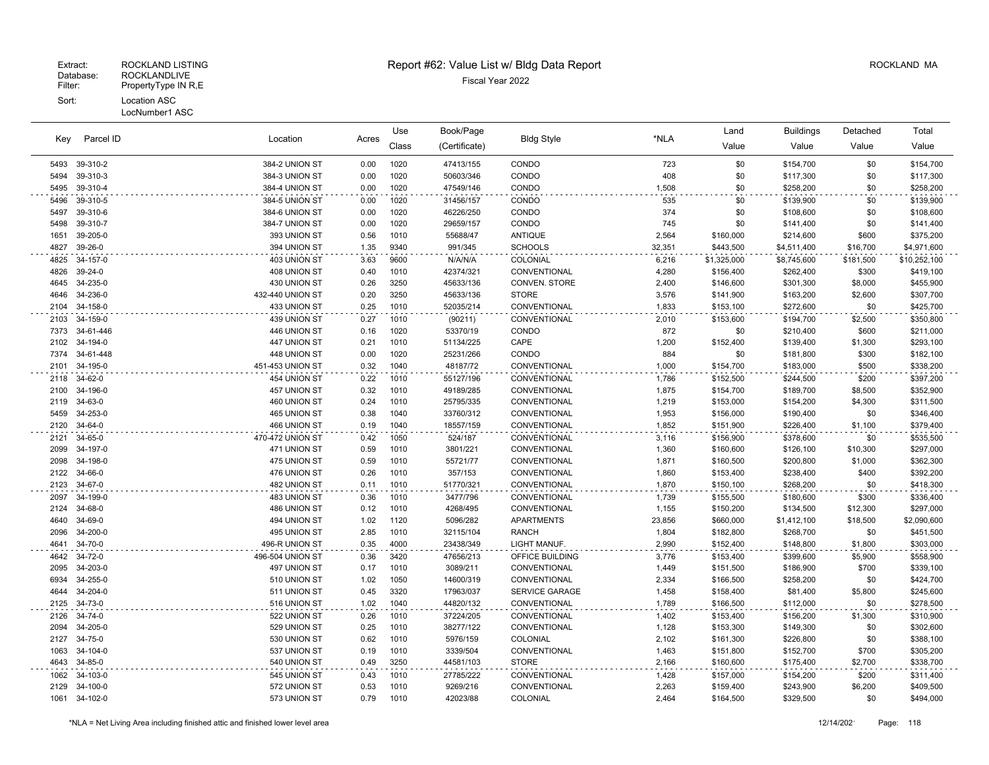|              |                       |                                  |              | Use          | Book/Page              |                              |                | Land                   | <b>Buildings</b>       | Detached         | Total                  |
|--------------|-----------------------|----------------------------------|--------------|--------------|------------------------|------------------------------|----------------|------------------------|------------------------|------------------|------------------------|
| Key          | Parcel ID             | Location                         | Acres        | Class        | (Certificate)          | <b>Bldg Style</b>            | *NLA           | Value                  | Value                  | Value            | Value                  |
|              | 5493 39-310-2         | 384-2 UNION ST                   | 0.00         | 1020         | 47413/155              | CONDO                        | 723            | \$0                    | \$154,700              | \$0              | \$154,700              |
| 5494         | 39-310-3              | 384-3 UNION ST                   | 0.00         | 1020         | 50603/346              | CONDO                        | 408            | \$0                    | \$117,300              | \$0              | \$117,300              |
| 5495         | 39-310-4              | 384-4 UNION ST                   | 0.00         | 1020         | 47549/146              | CONDO                        | 1,508          | \$0                    | \$258,200              | \$0              | \$258,200              |
| 5496         | 39-310-5              | 384-5 UNION ST                   | 0.00         | 1020         | 31456/157              | CONDO                        | 535            | \$0                    | \$139,900              | \$0              | \$139,900              |
| 5497         | 39-310-6              | 384-6 UNION ST                   | 0.00         | 1020         | 46226/250              | CONDO                        | 374            | \$0                    | \$108,600              | \$0              | \$108,600              |
| 5498         | 39-310-7              | 384-7 UNION ST                   | 0.00         | 1020         | 29659/157              | CONDO                        | 745            | \$0                    | \$141,400              | \$0              | \$141,400              |
| 1651         | 39-205-0              | 393 UNION ST                     | 0.56         | 1010         | 55688/47               | <b>ANTIQUE</b>               | 2,564          | \$160,000              | \$214,600              | \$600            | \$375,200              |
| 4827         | 39-26-0               | 394 UNION ST                     | 1.35         | 9340         | 991/345                | <b>SCHOOLS</b>               | 32,351         | \$443,500              | \$4,511,400            | \$16,700         | \$4,971,600            |
| 4825         | 34-157-0              | 403 UNION ST                     | 3.63         | 9600         | N/A/N/A                | COLONIAL                     | 6,216          | \$1,325,000            | \$8,745,600            | \$181,500        | \$10,252,100           |
| 4826         | 39-24-0               | 408 UNION ST                     | 0.40         | 1010         | 42374/321              | CONVENTIONAL                 | 4,280          | \$156,400              | \$262,400              | \$300            | \$419,100              |
| 4645         | 34-235-0              | 430 UNION ST                     | 0.26         | 3250         | 45633/136              | CONVEN. STORE                | 2,400          | \$146,600              | \$301,300              | \$8,000          | \$455,900              |
| 4646         | 34-236-0              | 432-440 UNION ST                 | 0.20         | 3250         | 45633/136              | <b>STORE</b>                 | 3,576          | \$141,900              | \$163,200              | \$2,600          | \$307,700              |
| 2104         | 34-158-0              | 433 UNION ST                     | 0.25         | 1010         | 52035/214              | CONVENTIONAL                 | 1,833          | \$153,100              | \$272,600              | \$0              | \$425,700              |
| 2103         | 34-159-0              | 439 UNION ST                     | 0.27         | 1010         | (90211)                | CONVENTIONAL                 | 2,010          | \$153,600              | \$194,700              | \$2,500          | \$350,800              |
| 7373         | 34-61-446             | 446 UNION ST                     | 0.16         | 1020         | 53370/19               | CONDO                        | 872            | \$0                    | \$210,400              | \$600            | \$211,000              |
| 2102         | 34-194-0<br>34-61-448 | 447 UNION ST                     | 0.21         | 1010<br>1020 | 51134/225              | CAPE<br>CONDO                | 1,200<br>884   | \$152,400              | \$139,400              | \$1,300          | \$293,100              |
| 7374<br>2101 | 34-195-0              | 448 UNION ST<br>451-453 UNION ST | 0.00<br>0.32 | 1040         | 25231/266<br>48187/72  | CONVENTIONAL                 | 1,000          | \$0<br>\$154,700       | \$181,800<br>\$183,000 | \$300<br>\$500   | \$182,100<br>\$338,200 |
|              |                       | 454 UNION ST                     |              | 1010         |                        |                              |                |                        |                        |                  |                        |
| 2118<br>2100 | 34-62-0<br>34-196-0   | 457 UNION ST                     | 0.22<br>0.32 | 1010         | 55127/196<br>49189/285 | CONVENTIONAL<br>CONVENTIONAL | 1,786<br>1,875 | \$152,500<br>\$154,700 | \$244,500<br>\$189,700 | \$200<br>\$8,500 | \$397,200<br>\$352,900 |
| 2119         | 34-63-0               | 460 UNION ST                     | 0.24         | 1010         | 25795/335              | CONVENTIONAL                 | 1,219          | \$153,000              | \$154,200              | \$4,300          | \$311,500              |
| 5459         | 34-253-0              | 465 UNION ST                     | 0.38         | 1040         | 33760/312              | CONVENTIONAL                 | 1,953          | \$156,000              | \$190,400              | \$0              | \$346,400              |
| 2120         | 34-64-0               | 466 UNION ST                     | 0.19         | 1040         | 18557/159              | CONVENTIONAL                 | 1,852          | \$151,900              | \$226,400              | \$1,100          | \$379,400              |
| 2121         | 34-65-0               | 470-472 UNION ST                 | 0.42         | 1050         | 524/187                | CONVENTIONAL                 | 3,116          | \$156,900              | \$378,600              | \$0              | \$535,500              |
| 2099         | 34-197-0              | 471 UNION ST                     | 0.59         | 1010         | 3801/221               | CONVENTIONAL                 | 1,360          | \$160,600              | \$126,100              | \$10,300         | \$297,000              |
| 2098         | 34-198-0              | 475 UNION ST                     | 0.59         | 1010         | 55721/77               | CONVENTIONAL                 | 1,871          | \$160,500              | \$200,800              | \$1,000          | \$362,300              |
| 2122         | 34-66-0               | 476 UNION ST                     | 0.26         | 1010         | 357/153                | CONVENTIONAL                 | 1,860          | \$153,400              | \$238,400              | \$400            | \$392,200              |
| 2123         | 34-67-0               | 482 UNION ST                     | 0.11         | 1010         | 51770/321              | CONVENTIONAL                 | 1,870          | \$150,100              | \$268,200              | \$0              | \$418,300              |
| 2097         | 34-199-0              | 483 UNION ST                     | 0.36         | 1010         | 3477/796               | CONVENTIONAL                 | 1,739          | \$155,500              | \$180,600              | \$300            | \$336,400              |
| 2124         | 34-68-0               | 486 UNION ST                     | 0.12         | 1010         | 4268/495               | CONVENTIONAL                 | 1,155          | \$150,200              | \$134,500              | \$12,300         | \$297,000              |
| 4640         | 34-69-0               | 494 UNION ST                     | 1.02         | 1120         | 5096/282               | <b>APARTMENTS</b>            | 23,856         | \$660,000              | \$1,412,100            | \$18,500         | \$2,090,600            |
| 2096         | 34-200-0              | 495 UNION ST                     | 2.85         | 1010         | 32115/104              | <b>RANCH</b>                 | 1,804          | \$182,800              | \$268,700              | \$0              | \$451,500              |
| 4641         | 34-70-0               | 496-R UNION ST                   | 0.35         | 4000         | 23438/349              | LIGHT MANUF.                 | 2,990          | \$152,400              | \$148,800              | \$1,800          | \$303,000              |
| 4642         | 34-72-0               | 496-504 UNION ST                 | 0.36         | 3420         | 47656/213              | OFFICE BUILDING              | 3,776          | \$153,400              | \$399,600              | \$5,900          | \$558,900              |
| 2095         | 34-203-0              | 497 UNION ST                     | 0.17         | 1010         | 3089/211               | CONVENTIONAL                 | 1,449          | \$151,500              | \$186,900              | \$700            | \$339,100              |
| 6934         | 34-255-0              | 510 UNION ST                     | 1.02         | 1050         | 14600/319              | CONVENTIONAL                 | 2,334          | \$166,500              | \$258,200              | \$0              | \$424,700              |
| 4644         | 34-204-0              | 511 UNION ST                     | 0.45         | 3320         | 17963/037              | <b>SERVICE GARAGE</b>        | 1,458          | \$158,400              | \$81,400               | \$5,800          | \$245,600              |
| 2125         | 34-73-0               | 516 UNION ST                     | 1.02         | 1040         | 44820/132              | CONVENTIONAL                 | 1,789          | \$166,500              | \$112,000              | \$0              | \$278,500              |
| 2126         | 34-74-0               | 522 UNION ST                     | 0.26         | 1010         | 37224/205              | CONVENTIONAL                 | 1,402          | \$153,400              | \$156,200              | \$1,300          | \$310,900              |
| 2094         | 34-205-0              | 529 UNION ST                     | 0.25         | 1010         | 38277/122              | CONVENTIONAL                 | 1,128          | \$153,300              | \$149,300              | \$0              | \$302,600              |
| 2127         | 34-75-0               | 530 UNION ST                     | 0.62         | 1010         | 5976/159               | COLONIAL                     | 2,102          | \$161,300              | \$226,800              | \$0              | \$388,100              |
| 1063         | 34-104-0              | 537 UNION ST                     | 0.19         | 1010         | 3339/504               | CONVENTIONAL                 | 1,463          | \$151,800              | \$152,700              | \$700            | \$305,200              |
| 4643         | 34-85-0               | 540 UNION ST                     | 0.49         | 3250         | 44581/103              | <b>STORE</b>                 | 2,166          | \$160,600              | \$175,400              | \$2,700          | \$338,700              |
| 1062         | 34-103-0              | 545 UNION ST                     | 0.43         | 1010         | 27785/222              | CONVENTIONAL                 | 1,428          | \$157,000              | \$154,200              | \$200            | \$311,400              |
| 2129         | 34-100-0              | 572 UNION ST                     | 0.53         | 1010         | 9269/216               | CONVENTIONAL                 | 2,263          | \$159,400              | \$243,900              | \$6,200          | \$409,500              |
| 1061         | 34-102-0              | 573 UNION ST                     | 0.79         | 1010         | 42023/88               | COLONIAL                     | 2,464          | \$164,500              | \$329,500              | \$0              | \$494,000              |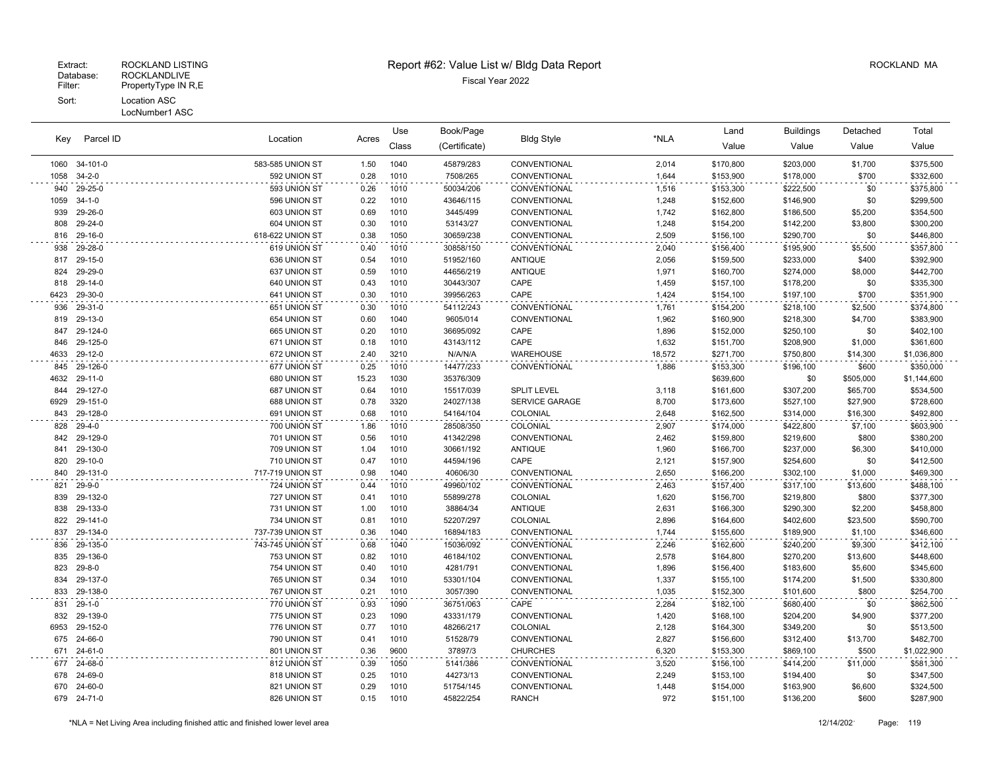LocNumber1 ASC

|      |              |                  |       | Use   | Book/Page     |                    |        | Land      | <b>Buildings</b> | Detached  | Total       |
|------|--------------|------------------|-------|-------|---------------|--------------------|--------|-----------|------------------|-----------|-------------|
| Key  | Parcel ID    | Location         | Acres | Class | (Certificate) | <b>Bldg Style</b>  | *NLA   | Value     | Value            | Value     | Value       |
| 1060 | 34-101-0     | 583-585 UNION ST | 1.50  | 1040  | 45879/283     | CONVENTIONAL       | 2,014  | \$170,800 | \$203,000        | \$1,700   | \$375,500   |
| 1058 | $34 - 2 - 0$ | 592 UNION ST     | 0.28  | 1010  | 7508/265      | CONVENTIONAL       | 1,644  | \$153,900 | \$178,000        | \$700     | \$332,600   |
| 940  | 29-25-0      | 593 UNION ST     | 0.26  | 1010  | 50034/206     | CONVENTIONAL       | 1,516  | \$153,300 | \$222,500        | \$0       | \$375,800   |
| 1059 | $34 - 1 - 0$ | 596 UNION ST     | 0.22  | 1010  | 43646/115     | CONVENTIONAL       | 1,248  | \$152,600 | \$146,900        | \$0       | \$299,500   |
| 939  | 29-26-0      | 603 UNION ST     | 0.69  | 1010  | 3445/499      | CONVENTIONAL       | 1,742  | \$162,800 | \$186,500        | \$5,200   | \$354,500   |
| 808  | 29-24-0      | 604 UNION ST     | 0.30  | 1010  | 53143/27      | CONVENTIONAL       | 1,248  | \$154,200 | \$142,200        | \$3,800   | \$300,200   |
| 816  | 29-16-0      | 618-622 UNION ST | 0.38  | 1050  | 30659/238     | CONVENTIONAL       | 2,509  | \$156,100 | \$290,700        | \$0       | \$446,800   |
| 938  | 29-28-0      | 619 UNION ST     | 0.40  | 1010  | 30858/150     | CONVENTIONAL       | 2,040  | \$156,400 | \$195,900        | \$5,500   | \$357,800   |
| 817  | 29-15-0      | 636 UNION ST     | 0.54  | 1010  | 51952/160     | <b>ANTIQUE</b>     | 2,056  | \$159,500 | \$233,000        | \$400     | \$392,900   |
| 824  | 29-29-0      | 637 UNION ST     | 0.59  | 1010  | 44656/219     | <b>ANTIQUE</b>     | 1,971  | \$160,700 | \$274,000        | \$8,000   | \$442,700   |
| 818  | 29-14-0      | 640 UNION ST     | 0.43  | 1010  | 30443/307     | CAPE               | 1,459  | \$157,100 | \$178,200        | \$0       | \$335,300   |
| 6423 | 29-30-0      | 641 UNION ST     | 0.30  | 1010  | 39956/263     | CAPE               | 1,424  | \$154,100 | \$197,100        | \$700     | \$351,900   |
| 936  | 29-31-0      | 651 UNION ST     | 0.30  | 1010  | 54112/243     | CONVENTIONAL       | 1,761  | \$154,200 | \$218,100        | \$2,500   | \$374,800   |
| 819  | 29-13-0      | 654 UNION ST     | 0.60  | 1040  | 9605/014      | CONVENTIONAL       | 1,962  | \$160,900 | \$218,300        | \$4,700   | \$383,900   |
| 847  | 29-124-0     | 665 UNION ST     | 0.20  | 1010  | 36695/092     | CAPE               | 1,896  | \$152,000 | \$250,100        | \$0       | \$402,100   |
| 846  | 29-125-0     | 671 UNION ST     | 0.18  | 1010  | 43143/112     | CAPE               | 1,632  | \$151,700 | \$208,900        | \$1,000   | \$361,600   |
| 4633 | 29-12-0      | 672 UNION ST     | 2.40  | 3210  | N/A/N/A       | WAREHOUSE          | 18,572 | \$271,700 | \$750,800        | \$14,300  | \$1,036,800 |
| 845  | 29-126-0     | 677 UNION ST     | 0.25  | 1010  | 14477/233     | CONVENTIONAL       | 1,886  | \$153,300 | \$196,100        | \$600     | \$350,000   |
| 4632 | 29-11-0      | 680 UNION ST     | 15.23 | 1030  | 35376/309     |                    |        | \$639,600 | \$0              | \$505,000 | \$1,144,600 |
| 844  | 29-127-0     | 687 UNION ST     | 0.64  | 1010  | 15517/039     | <b>SPLIT LEVEL</b> | 3,118  | \$161,600 | \$307,200        | \$65,700  | \$534,500   |
| 6929 | 29-151-0     | 688 UNION ST     | 0.78  | 3320  | 24027/138     | SERVICE GARAGE     | 8,700  | \$173,600 | \$527,100        | \$27,900  | \$728,600   |
| 843  | 29-128-0     | 691 UNION ST     | 0.68  | 1010  | 54164/104     | COLONIAL           | 2,648  | \$162,500 | \$314,000        | \$16,300  | \$492,800   |
| 828  | $29 - 4 - 0$ | 700 UNION ST     | 1.86  | 1010  | 28508/350     | COLONIAL           | 2,907  | \$174,000 | \$422,800        | \$7,100   | \$603,900   |
| 842  | 29-129-0     | 701 UNION ST     | 0.56  | 1010  | 41342/298     | CONVENTIONAL       | 2,462  | \$159,800 | \$219,600        | \$800     | \$380,200   |
| 841  | 29-130-0     | 709 UNION ST     | 1.04  | 1010  | 30661/192     | <b>ANTIQUE</b>     | 1,960  | \$166,700 | \$237,000        | \$6,300   | \$410,000   |
| 820  | 29-10-0      | 710 UNION ST     | 0.47  | 1010  | 44594/196     | CAPE               | 2,121  | \$157,900 | \$254,600        | \$0       | \$412,500   |
| 840  | 29-131-0     | 717-719 UNION ST | 0.98  | 1040  | 40606/30      | CONVENTIONAL       | 2,650  | \$166,200 | \$302,100        | \$1,000   | \$469,300   |
| 821  | $29 - 9 - 0$ | 724 UNION ST     | 0.44  | 1010  | 49960/102     | CONVENTIONAL       | 2,463  | \$157,400 | \$317,100        | \$13,600  | \$488,100   |
| 839  | 29-132-0     | 727 UNION ST     | 0.41  | 1010  | 55899/278     | COLONIAL           | 1,620  | \$156,700 | \$219,800        | \$800     | \$377,300   |
| 838  | 29-133-0     | 731 UNION ST     | 1.00  | 1010  | 38864/34      | <b>ANTIQUE</b>     | 2,631  | \$166,300 | \$290,300        | \$2,200   | \$458,800   |
| 822  | 29-141-0     | 734 UNION ST     | 0.81  | 1010  | 52207/297     | COLONIAL           | 2,896  | \$164,600 | \$402,600        | \$23,500  | \$590,700   |
| 837  | 29-134-0     | 737-739 UNION ST | 0.36  | 1040  | 16894/183     | CONVENTIONAL       | 1,744  | \$155,600 | \$189,900        | \$1,100   | \$346,600   |
| 836  | 29-135-0     | 743-745 UNION ST | 0.68  | 1040  | 15036/092     | CONVENTIONAL       | 2,246  | \$162,600 | \$240,200        | \$9,300   | \$412,100   |
| 835  | 29-136-0     | 753 UNION ST     | 0.82  | 1010  | 46184/102     | CONVENTIONAL       | 2,578  | \$164,800 | \$270,200        | \$13,600  | \$448,600   |
| 823  | $29 - 8 - 0$ | 754 UNION ST     | 0.40  | 1010  | 4281/791      | CONVENTIONAL       | 1,896  | \$156,400 | \$183,600        | \$5,600   | \$345,600   |
| 834  | 29-137-0     | 765 UNION ST     | 0.34  | 1010  | 53301/104     | CONVENTIONAL       | 1,337  | \$155,100 | \$174,200        | \$1,500   | \$330,800   |
| 833  | 29-138-0     | 767 UNION ST     | 0.21  | 1010  | 3057/390      | CONVENTIONAL       | 1,035  | \$152,300 | \$101,600        | \$800     | \$254,700   |
| 831  | $29-1-0$     | 770 UNION ST     | 0.93  | 1090  | 36751/063     | CAPE               | 2,284  | \$182,100 | \$680,400        | \$0       | \$862,500   |
| 832  | 29-139-0     | 775 UNION ST     | 0.23  | 1090  | 43331/179     | CONVENTIONAL       | 1,420  | \$168,100 | \$204,200        | \$4,900   | \$377,200   |
| 6953 | 29-152-0     | 776 UNION ST     | 0.77  | 1010  | 48266/217     | COLONIAL           | 2,128  | \$164,300 | \$349,200        | \$0       | \$513,500   |
| 675  | 24-66-0      | 790 UNION ST     | 0.41  | 1010  | 51528/79      | CONVENTIONAL       | 2,827  | \$156,600 | \$312,400        | \$13,700  | \$482,700   |
|      | 671 24-61-0  | 801 UNION ST     | 0.36  | 9600  | 37897/3       | <b>CHURCHES</b>    | 6,320  | \$153,300 | \$869,100        | \$500     | \$1,022,900 |
|      | 677 24-68-0  | 812 UNION ST     | 0.39  | 1050  | 5141/386      | CONVENTIONAL       | 3,520  | \$156,100 | \$414,200        | \$11,000  | \$581,300   |
| 678  | 24-69-0      | 818 UNION ST     | 0.25  | 1010  | 44273/13      | CONVENTIONAL       | 2,249  | \$153,100 | \$194,400        | \$0       | \$347,500   |
| 670  | 24-60-0      | 821 UNION ST     | 0.29  | 1010  | 51754/145     | CONVENTIONAL       | 1,448  | \$154,000 | \$163,900        | \$6,600   | \$324,500   |
|      | 679 24-71-0  | 826 UNION ST     | 0.15  | 1010  | 45822/254     | <b>RANCH</b>       | 972    | \$151,100 | \$136,200        | \$600     | \$287,900   |
|      |              |                  |       |       |               |                    |        |           |                  |           |             |

 $\sim 10^7$ 

 $\sim$ 

 $\sim$   $\sim$ 

 $\sim$   $\sim$ 

 $\sim$   $\sim$ 

 $\sim$   $\sim$ 

 $\sim$   $\sim$ 

 $\sim$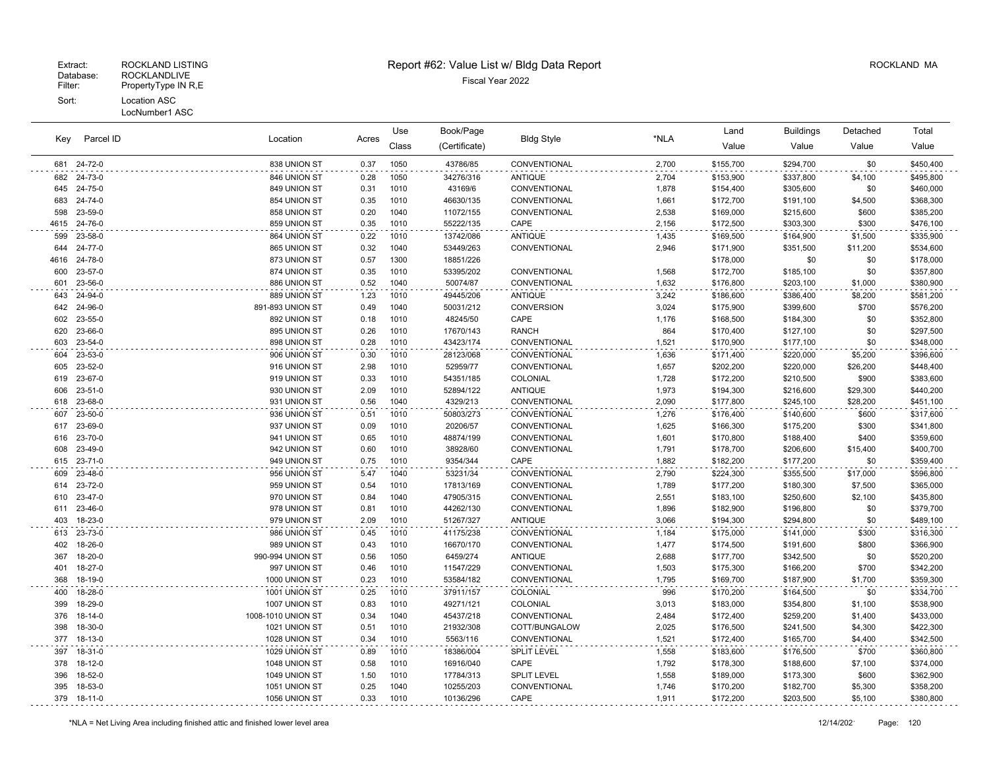#### Patabase: ROCKLANDLIVE<br>Filter: PropertyType IN R,E PropertyType IN R,E Sort: Location ASC LocNumber1 ASC

Extract: ROCKLAND LISTING **Report #62: Value List w/ Bldg Data Report** Allem Report **ROCKLAND MA** 

Use

| Key | Parcel ID      | Location<br>Acres |      | Use   | Book/Page     | <b>Bldg Style</b> | *NLA  | Land           | <b>Buildings</b> | Detached    | Total           |
|-----|----------------|-------------------|------|-------|---------------|-------------------|-------|----------------|------------------|-------------|-----------------|
|     |                |                   |      | Class | (Certificate) |                   |       | Value          | Value            | Value       | Value           |
|     | 681 24-72-0    | 838 UNION ST      | 0.37 | 1050  | 43786/85      | CONVENTIONAL      | 2,700 | \$155,700      | \$294,700        | \$0         | \$450,400       |
|     | 682 24-73-0    | 846 UNION ST      | 0.28 | 1050  | 34276/316     | <b>ANTIQUE</b>    | 2,704 | \$153,900      | \$337,800        | \$4,100     | \$495,800       |
|     | 645 24-75-0    | 849 UNION ST      | 0.31 | 1010  | 43169/6       | CONVENTIONAL      | 1,878 | \$154,400      | \$305,600        | \$0         | \$460,000       |
|     | 683 24-74-0    | 854 UNION ST      | 0.35 | 1010  | 46630/135     | CONVENTIONAL      | 1,661 | \$172,700      | \$191,100        | \$4,500     | \$368,300       |
| 598 | 23-59-0        | 858 UNION ST      | 0.20 | 1040  | 11072/155     | CONVENTIONAL      | 2,538 | \$169,000      | \$215,600        | \$600       | \$385,200       |
|     | 4615 24-76-0   | 859 UNION ST      | 0.35 | 1010  | 55222/135     | CAPE              | 2,156 | \$172,500      | \$303,300        | \$300       | \$476,100       |
| 599 | 23-58-0        | 864 UNION ST      | 0.22 | 1010  | 13742/086     | <b>ANTIQUE</b>    | 1,435 | \$169,500      | \$164,900        | \$1,500     | \$335,900       |
|     | 644 24-77-0    | 865 UNION ST      | 0.32 | 1040  | 53449/263     | CONVENTIONAL      | 2,946 | \$171,900      | \$351,500        | \$11,200    | \$534,600       |
|     | 4616 24-78-0   | 873 UNION ST      | 0.57 | 1300  | 18851/226     |                   |       | \$178,000      | \$0              | \$0         | \$178,000       |
| 600 | 23-57-0        | 874 UNION ST      | 0.35 | 1010  | 53395/202     | CONVENTIONAL      | 1,568 | \$172,700      | \$185,100        | \$0         | \$357,800       |
|     | 601 23-56-0    | 886 UNION ST      | 0.52 | 1040  | 50074/87      | CONVENTIONAL      | 1,632 | \$176,800      | \$203,100        | \$1,000     | \$380,900       |
|     | 643 24-94-0    | 889 UNION ST      | 1.23 | 1010  | 49445/206     | <b>ANTIQUE</b>    | 3,242 | \$186,600      | \$386,400        | \$8,200     | \$581,200       |
|     | 642 24-96-0    | 891-893 UNION ST  | 0.49 | 1040  | 50031/212     | <b>CONVERSION</b> | 3,024 | \$175,900      | \$399,600        | \$700       | \$576,200       |
|     | 602 23-55-0    | 892 UNION ST      | 0.18 | 1010  | 48245/50      | CAPE              | 1,176 | \$168,500      | \$184,300        | \$0         | \$352,800       |
| 620 | 23-66-0        | 895 UNION ST      | 0.26 | 1010  | 17670/143     | <b>RANCH</b>      | 864   | \$170,400      | \$127,100        | \$0         | \$297,500       |
|     | 603 23-54-0    | 898 UNION ST      | 0.28 | 1010  | 43423/174     | CONVENTIONAL      | 1,521 | \$170,900      | \$177,100        | \$0         | \$348,000       |
| 604 | 23-53-0        | 906 UNION ST      | 0.30 | 1010  | 28123/068     | CONVENTIONAL      | 1,636 | \$171,400      | \$220,000        | \$5,200     | \$396,600       |
| 605 | 23-52-0        | 916 UNION ST      | 2.98 | 1010  | 52959/77      | CONVENTIONAL      | 1,657 | \$202,200      | \$220,000        | \$26,200    | \$448,400       |
|     | 619 23-67-0    | 919 UNION ST      | 0.33 | 1010  | 54351/185     | COLONIAL          | 1,728 | \$172,200      | \$210,500        | \$900       | \$383,600       |
| 606 | 23-51-0        | 930 UNION ST      | 2.09 | 1010  | 52894/122     | <b>ANTIQUE</b>    | 1,973 | \$194,300      | \$216,600        | \$29,300    | \$440,200       |
|     | 618 23-68-0    | 931 UNION ST      | 0.56 | 1040  | 4329/213      | CONVENTIONAL      | 2,090 | \$177,800      | \$245,100        | \$28,200    | \$451,100       |
|     | 607 23-50-0    | 936 UNION ST      | 0.51 | 1010  | 50803/273     | CONVENTIONAL      | 1,276 | \$176,400      | \$140,600        | \$600       | \$317,600       |
|     | 617 23-69-0    | 937 UNION ST      | 0.09 | 1010  | 20206/57      | CONVENTIONAL      | 1,625 | \$166,300      | \$175,200        | \$300       | \$341,800       |
|     | 616 23-70-0    | 941 UNION ST      | 0.65 | 1010  | 48874/199     | CONVENTIONAL      | 1,601 | \$170,800      | \$188,400        | \$400       | \$359,600       |
|     | 608 23-49-0    | 942 UNION ST      | 0.60 | 1010  | 38928/60      | CONVENTIONAL      | 1,791 | \$178,700      | \$206,600        | \$15,400    | \$400,700       |
|     | 615 23-71-0    | 949 UNION ST      | 0.75 | 1010  | 9354/344      | CAPE              | 1,882 | \$182,200      | \$177,200        | \$0         | \$359,400       |
|     | 609 23-48-0    | 956 UNION ST      | 5.47 | 1040  | 53231/34      | CONVENTIONAL      | 2,790 | \$224,300      | \$355,500        | \$17,000    | \$596,800       |
|     | 614 23-72-0    | 959 UNION ST      | 0.54 | 1010  | 17813/169     | CONVENTIONAL      | 1,789 | \$177,200      | \$180,300        | \$7,500     | \$365,000       |
|     | 610 23-47-0    | 970 UNION ST      | 0.84 | 1040  | 47905/315     | CONVENTIONAL      | 2,551 | \$183,100      | \$250,600        | \$2,100     | \$435,800       |
|     | 611 23-46-0    | 978 UNION ST      | 0.81 | 1010  | 44262/130     | CONVENTIONAL      | 1,896 | \$182,900      | \$196,800        | \$0         | \$379,700       |
|     | 403 18-23-0    | 979 UNION ST      | 2.09 | 1010  | 51267/327     | <b>ANTIQUE</b>    | 3,066 | \$194,300      | \$294,800        | \$0         | \$489,100       |
|     | 613 23-73-0    | 986 UNION ST      | 0.45 | 1010  | 41175/238     | CONVENTIONAL      | 1,184 | \$175,000      | \$141,000        | \$300       | \$316,300       |
|     | $102 - 18.260$ | 080 HAILON ST     | 0.13 | 1010  | 16670/170     | CONVENTIONAL      | 1.177 | <b>C174500</b> | $$101$ 600       | <b>CROO</b> | <b>C366 OOO</b> |

| 403 | 18-23-0       | <b>AN UNION ST</b> | 2.UY | 1010 | 512677327 | <b>AN I IQUE</b>    | 3,000 | \$194,300 | \$294,800 | PO.     | \$489,100 |
|-----|---------------|--------------------|------|------|-----------|---------------------|-------|-----------|-----------|---------|-----------|
| 613 | 23-73-0       | 986 UNION ST       | 0.45 | 1010 | 41175/238 | <b>CONVENTIONAL</b> | 1,184 | \$175,000 | \$141,000 | \$300   | \$316,300 |
| 402 | 18-26-0       | 989 UNION ST       | 0.43 | 1010 | 16670/170 | <b>CONVENTIONAL</b> | 1.477 | \$174,500 | \$191,600 | \$800   | \$366,900 |
| 367 | 18-20-0       | 990-994 UNION ST   | 0.56 | 1050 | 6459/274  | ANTIQUE             | 2,688 | \$177,700 | \$342,500 | \$0     | \$520,200 |
| 401 | 18-27-0       | 997 UNION ST       | 0.46 | 1010 | 11547/229 | <b>CONVENTIONAL</b> | 1,503 | \$175,300 | \$166,200 | \$700   | \$342,200 |
| 368 | 18-19-0       | 1000 UNION ST      | 0.23 | 1010 | 53584/182 | <b>CONVENTIONAL</b> | 1.795 | \$169,700 | \$187,900 | \$1,700 | \$359,300 |
| 400 | 18-28-0       | 1001 UNION ST      | 0.25 | 1010 | 37911/157 | COLONIAL            | 996   | \$170,200 | \$164,500 | \$0     | \$334,700 |
| 399 | 18-29-0       | 1007 UNION ST      | 0.83 | 1010 | 49271/121 | <b>COLONIAL</b>     | 3,013 | \$183,000 | \$354,800 | \$1,100 | \$538,900 |
| 376 | $18 - 14 - 0$ | 1008-1010 UNION ST | 0.34 | 1040 | 45437/218 | <b>CONVENTIONAL</b> | 2,484 | \$172,400 | \$259,200 | \$1,400 | \$433,000 |
| 398 | 18-30-0       | 1021 UNION ST      | 0.51 | 1010 | 21932/308 | COTT/BUNGALOW       | 2,025 | \$176,500 | \$241,500 | \$4,300 | \$422,300 |
| 377 | 18-13-0       | 1028 UNION ST      | 0.34 | 1010 | 5563/116  | <b>CONVENTIONAL</b> | 1,521 | \$172.400 | \$165,700 | \$4,400 | \$342,500 |
| 397 | 18-31-0       | 1029 UNION ST      | 0.89 | 1010 | 18386/004 | <b>SPLIT LEVEL</b>  | 1,558 | \$183,600 | \$176,500 | \$700   | \$360,800 |
| 378 | 18-12-0       | 1048 UNION ST      | 0.58 | 1010 | 16916/040 | CAPE                | 1,792 | \$178,300 | \$188,600 | \$7,100 | \$374,000 |
| 396 | 18-52-0       | 1049 UNION ST      | 1.50 | 1010 | 17784/313 | <b>SPLIT LEVEL</b>  | 1.558 | \$189,000 | \$173,300 | \$600   | \$362,900 |
| 395 | 18-53-0       | 1051 UNION ST      | 0.25 | 1040 | 10255/203 | <b>CONVENTIONAL</b> | 1.746 | \$170,200 | \$182,700 | \$5,300 | \$358,200 |
| 379 | $18 - 11 - 0$ | 1056 UNION ST      | 0.33 | 1010 | 10136/296 | CAPE                | 1,911 | \$172,200 | \$203,500 | \$5,100 | \$380,800 |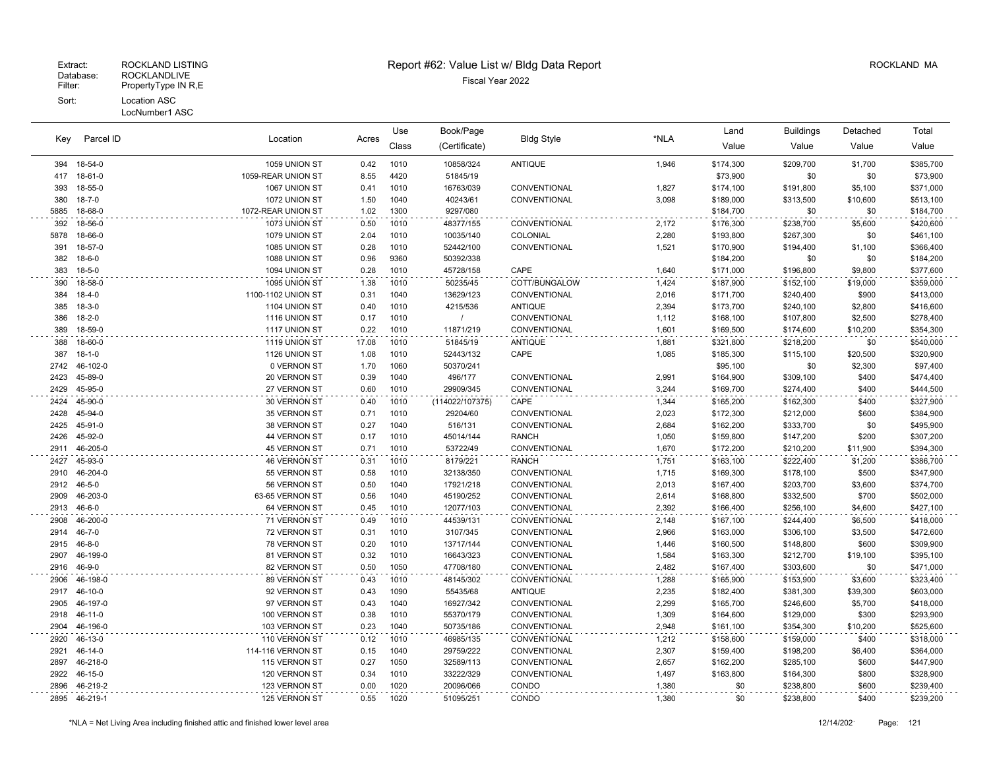#### Patabase: ROCKLANDLIVE<br>Filter: PropertyType IN R,E PropertyType IN R,E Sort: Location ASC

#### LocNumber1 ASC

Parcel ID

Key

### Extract: ROCKLAND LISTING **Report #62: Value List w/ Bldg Data Report** Alleman and RockLAND MA

**Bldg Style** 

Book/Page Bldg Style **Container and Buildings** Detached

Location Acres

Use

|      |               |                    |       | Class | (Certificate)   |                |       | Value     | Value     | Value    | Value     |
|------|---------------|--------------------|-------|-------|-----------------|----------------|-------|-----------|-----------|----------|-----------|
| 394  | 18-54-0       | 1059 UNION ST      | 0.42  | 1010  | 10858/324       | <b>ANTIQUE</b> | 1,946 | \$174,300 | \$209,700 | \$1,700  | \$385,700 |
|      | 417 18-61-0   | 1059-REAR UNION ST | 8.55  | 4420  | 51845/19        |                |       | \$73,900  | \$0       | \$0      | \$73,900  |
| 393  | 18-55-0       | 1067 UNION ST      | 0.41  | 1010  | 16763/039       | CONVENTIONAL   | 1,827 | \$174,100 | \$191,800 | \$5,100  | \$371,000 |
| 380  | $18 - 7 - 0$  | 1072 UNION ST      | 1.50  | 1040  | 40243/61        | CONVENTIONAL   | 3,098 | \$189,000 | \$313,500 | \$10,600 | \$513,100 |
| 5885 | 18-68-0       | 1072-REAR UNION ST | 1.02  | 1300  | 9297/080        |                |       | \$184,700 | \$0       | \$0      | \$184,700 |
| 392  | 18-56-0       | 1073 UNION ST      | 0.50  | 1010  | 48377/155       | CONVENTIONAL   | 2,172 | \$176,300 | \$238,700 | \$5,600  | \$420,600 |
| 5878 | 18-66-0       | 1079 UNION ST      | 2.04  | 1010  | 10035/140       | COLONIAL       | 2,280 | \$193,800 | \$267,300 | \$0      | \$461,100 |
| 391  | 18-57-0       | 1085 UNION ST      | 0.28  | 1010  | 52442/100       | CONVENTIONAL   | 1,521 | \$170,900 | \$194,400 | \$1,100  | \$366,400 |
| 382  | 18-6-0        | 1088 UNION ST      | 0.96  | 9360  | 50392/338       |                |       | \$184,200 | \$0       | \$0      | \$184,200 |
|      | 383 18-5-0    | 1094 UNION ST      | 0.28  | 1010  | 45728/158       | CAPE           | 1,640 | \$171,000 | \$196,800 | \$9,800  | \$377,600 |
| 390  | 18-58-0       | 1095 UNION ST      | 1.38  | 1010  | 50235/45        | COTT/BUNGALOW  | 1,424 | \$187,900 | \$152,100 | \$19,000 | \$359,000 |
| 384  | 18-4-0        | 1100-1102 UNION ST | 0.31  | 1040  | 13629/123       | CONVENTIONAL   | 2,016 | \$171,700 | \$240,400 | \$900    | \$413,000 |
| 385  | $18-3-0$      | 1104 UNION ST      | 0.40  | 1010  | 4215/536        | <b>ANTIQUE</b> | 2,394 | \$173,700 | \$240,100 | \$2,800  | \$416,600 |
| 386  | 18-2-0        | 1116 UNION ST      | 0.17  | 1010  |                 | CONVENTIONAL   | 1,112 | \$168,100 | \$107,800 | \$2,500  | \$278,400 |
| 389  | 18-59-0       | 1117 UNION ST      | 0.22  | 1010  | 11871/219       | CONVENTIONAL   | 1,601 | \$169,500 | \$174,600 | \$10,200 | \$354,300 |
| 388  | 18-60-0       | 1119 UNION ST      | 17.08 | 1010  | 51845/19        | <b>ANTIQUE</b> | 1,881 | \$321,800 | \$218,200 | \$0      | \$540,000 |
| 387  | $18 - 1 - 0$  | 1126 UNION ST      | 1.08  | 1010  | 52443/132       | CAPE           | 1,085 | \$185,300 | \$115,100 | \$20,500 | \$320,900 |
|      | 2742 46-102-0 | 0 VERNON ST        | 1.70  | 1060  | 50370/241       |                |       | \$95,100  | \$0       | \$2,300  | \$97,400  |
| 2423 | 45-89-0       | 20 VERNON ST       | 0.39  | 1040  | 496/177         | CONVENTIONAL   | 2,991 | \$164,900 | \$309,100 | \$400    | \$474,400 |
| 2429 | 45-95-0       | 27 VERNON ST       | 0.60  | 1010  | 29909/345       | CONVENTIONAL   | 3,244 | \$169,700 | \$274,400 | \$400    | \$444,500 |
| 2424 | 45-90-0       | 30 VERNON ST       | 0.40  | 1010  | (114022/107375) | CAPE           | 1,344 | \$165,200 | \$162,300 | \$400    | \$327,900 |
| 2428 | 45-94-0       | 35 VERNON ST       | 0.71  | 1010  | 29204/60        | CONVENTIONAL   | 2,023 | \$172,300 | \$212,000 | \$600    | \$384,900 |
| 2425 | 45-91-0       | 38 VERNON ST       | 0.27  | 1040  | 516/131         | CONVENTIONAL   | 2,684 | \$162,200 | \$333,700 | \$0      | \$495,900 |
| 2426 | 45-92-0       | 44 VERNON ST       | 0.17  | 1010  | 45014/144       | <b>RANCH</b>   | 1,050 | \$159,800 | \$147,200 | \$200    | \$307,200 |
| 2911 | 46-205-0      | 45 VERNON ST       | 0.71  | 1010  | 53722/49        | CONVENTIONAL   | 1,670 | \$172,200 | \$210,200 | \$11,900 | \$394,300 |
|      | 2427 45-93-0  | 46 VERNON ST       | 0.31  | 1010  | 8179/221        | <b>RANCH</b>   | 1,751 | \$163,100 | \$222,400 | \$1,200  | \$386,700 |
| 2910 | 46-204-0      | 55 VERNON ST       | 0.58  | 1010  | 32138/350       | CONVENTIONAL   | 1,715 | \$169,300 | \$178,100 | \$500    | \$347,900 |
|      | 2912 46-5-0   | 56 VERNON ST       | 0.50  | 1040  | 17921/218       | CONVENTIONAL   | 2,013 | \$167,400 | \$203,700 | \$3,600  | \$374,700 |
| 2909 | 46-203-0      | 63-65 VERNON ST    | 0.56  | 1040  | 45190/252       | CONVENTIONAL   | 2,614 | \$168,800 | \$332,500 | \$700    | \$502,000 |
| 2913 | 46-6-0        | 64 VERNON ST       | 0.45  | 1010  | 12077/103       | CONVENTIONAL   | 2,392 | \$166,400 | \$256,100 | \$4,600  | \$427,100 |
| 2908 | 46-200-0      | 71 VERNON ST       | 0.49  | 1010  | 44539/131       | CONVENTIONAL   | 2,148 | \$167,100 | \$244,400 | \$6,500  | \$418,000 |
| 2914 | $46 - 7 - 0$  | 72 VERNON ST       | 0.31  | 1010  | 3107/345        | CONVENTIONAL   | 2,966 | \$163,000 | \$306,100 | \$3,500  | \$472,600 |
| 2915 | $46 - 8 - 0$  | 78 VERNON ST       | 0.20  | 1010  | 13717/144       | CONVENTIONAL   | 1,446 | \$160,500 | \$148,800 | \$600    | \$309,900 |
| 2907 | 46-199-0      | 81 VERNON ST       | 0.32  | 1010  | 16643/323       | CONVENTIONAL   | 1,584 | \$163,300 | \$212,700 | \$19,100 | \$395,100 |
|      | 2916 46-9-0   | 82 VERNON ST       | 0.50  | 1050  | 47708/180       | CONVENTIONAL   | 2,482 | \$167,400 | \$303,600 | \$0      | \$471,000 |
| 2906 | 46-198-0      | 89 VERNON ST       | 0.43  | 1010  | 48145/302       | CONVENTIONAL   | 1,288 | \$165,900 | \$153,900 | \$3,600  | \$323,400 |
| 2917 | 46-10-0       | 92 VERNON ST       | 0.43  | 1090  | 55435/68        | <b>ANTIQUE</b> | 2,235 | \$182,400 | \$381,300 | \$39,300 | \$603,000 |
| 2905 | 46-197-0      | 97 VERNON ST       | 0.43  | 1040  | 16927/342       | CONVENTIONAL   | 2,299 | \$165,700 | \$246,600 | \$5,700  | \$418,000 |
|      | 2918 46-11-0  | 100 VERNON ST      | 0.38  | 1010  | 55370/179       | CONVENTIONAL   | 1,309 | \$164,600 | \$129,000 | \$300    | \$293,900 |
| 2904 | 46-196-0      | 103 VERNON ST      | 0.23  | 1040  | 50735/186       | CONVENTIONAL   | 2,948 | \$161,100 | \$354,300 | \$10,200 | \$525,600 |
| 2920 | 46-13-0       | 110 VERNON ST      | 0.12  | 1010  | 46985/135       | CONVENTIONAL   | 1,212 | \$158,600 | \$159,000 | \$400    | \$318,000 |
|      | 2921 46-14-0  | 114-116 VERNON ST  | 0.15  | 1040  | 29759/222       | CONVENTIONAL   | 2,307 | \$159,400 | \$198,200 | \$6,400  | \$364,000 |
|      | 2897 46-218-0 | 115 VERNON ST      | 0.27  | 1050  | 32589/113       | CONVENTIONAL   | 2,657 | \$162,200 | \$285,100 | \$600    | \$447,900 |

 46-15-0 120 VERNON ST 0.34 1010 33222/329 CONVENTIONAL 1,497 \$163,800 \$164,300 \$800 \$328,900 46-219-2 123 VERNON ST 0.00 1020 20096/066 CONDO 1,380 \$0 \$238,800 \$600 \$239,400 46-219-1 125 VERNON ST 0.55 1020 51095/251 CONDO 1,380 \$0 \$238,800 \$400 \$239,200

Total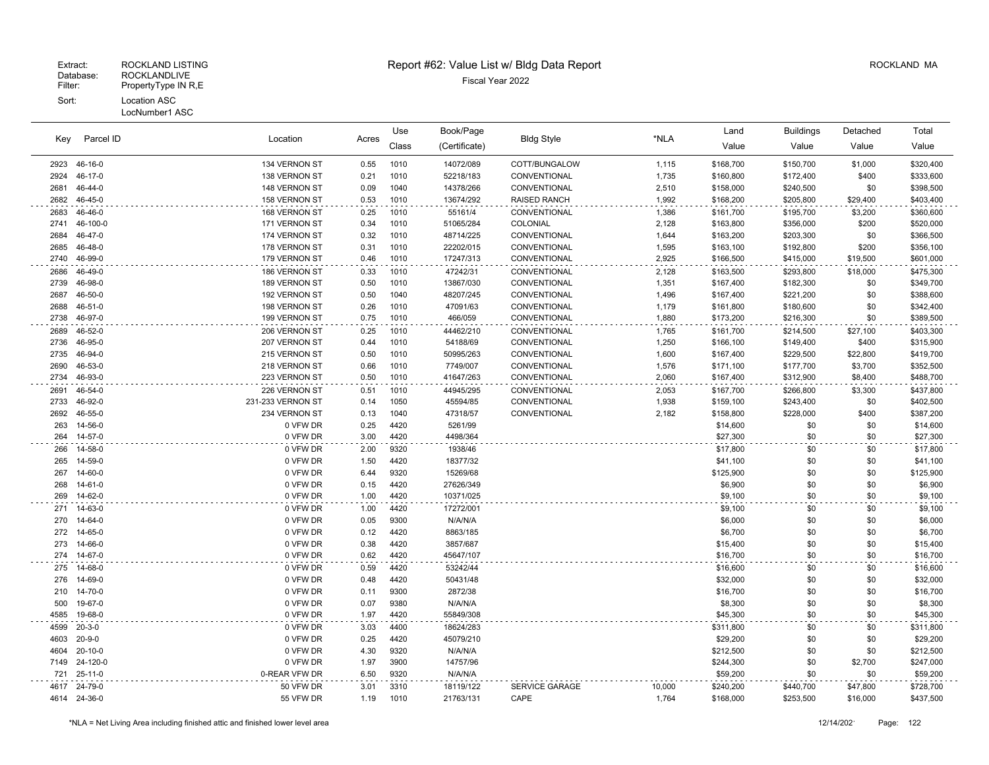| Parcel ID<br>Key | Location<br>Acres |                   | Book/Page<br>Use<br><b>Bldg Style</b> |       | Land          | <b>Buildings</b>      | Detached | Total     |           |          |           |
|------------------|-------------------|-------------------|---------------------------------------|-------|---------------|-----------------------|----------|-----------|-----------|----------|-----------|
|                  |                   |                   |                                       | Class | (Certificate) |                       | *NLA     | Value     | Value     | Value    | Value     |
| 2923             | 46-16-0           | 134 VERNON ST     | 0.55                                  | 1010  | 14072/089     | COTT/BUNGALOW         | 1,115    | \$168,700 | \$150,700 | \$1,000  | \$320,400 |
| 2924             | 46-17-0           | 138 VERNON ST     | 0.21                                  | 1010  | 52218/183     | CONVENTIONAL          | 1,735    | \$160,800 | \$172,400 | \$400    | \$333,600 |
| 2681             | 46-44-0           | 148 VERNON ST     | 0.09                                  | 1040  | 14378/266     | CONVENTIONAL          | 2,510    | \$158,000 | \$240,500 | \$0      | \$398,500 |
| 2682             | 46-45-0           | 158 VERNON ST     | 0.53                                  | 1010  | 13674/292     | <b>RAISED RANCH</b>   | 1,992    | \$168,200 | \$205,800 | \$29,400 | \$403,400 |
| 2683             | 46-46-0           | 168 VERNON ST     | 0.25                                  | 1010  | 55161/4       | CONVENTIONAL          | 1,386    | \$161,700 | \$195,700 | \$3,200  | \$360,600 |
| 2741             | 46-100-0          | 171 VERNON ST     | 0.34                                  | 1010  | 51065/284     | COLONIAL              | 2,128    | \$163,800 | \$356,000 | \$200    | \$520,000 |
| 2684             | 46-47-0           | 174 VERNON ST     | 0.32                                  | 1010  | 48714/225     | CONVENTIONAL          | 1,644    | \$163,200 | \$203,300 | \$0      | \$366,500 |
| 2685             | 46-48-0           | 178 VERNON ST     | 0.31                                  | 1010  | 22202/015     | CONVENTIONAL          | 1,595    | \$163,100 | \$192,800 | \$200    | \$356,100 |
| 2740             | 46-99-0           | 179 VERNON ST     | 0.46                                  | 1010  | 17247/313     | CONVENTIONAL          | 2,925    | \$166,500 | \$415,000 | \$19,500 | \$601,000 |
| 2686             | 46-49-0           | 186 VERNON ST     | 0.33                                  | 1010  | 47242/31      | CONVENTIONAL          | 2,128    | \$163,500 | \$293,800 | \$18,000 | \$475,300 |
| 2739             | 46-98-0           | 189 VERNON ST     | 0.50                                  | 1010  | 13867/030     | CONVENTIONAL          | 1,351    | \$167,400 | \$182,300 | \$0      | \$349,700 |
| 2687             | 46-50-0           | 192 VERNON ST     | 0.50                                  | 1040  | 48207/245     | CONVENTIONAL          | 1,496    | \$167,400 | \$221,200 | \$0      | \$388,600 |
| 2688             | $46 - 51 - 0$     | 198 VERNON ST     | 0.26                                  | 1010  | 47091/63      | CONVENTIONAL          | 1,179    | \$161,800 | \$180,600 | \$0      | \$342,400 |
| 2738             | 46-97-0           | 199 VERNON ST     | 0.75                                  | 1010  | 466/059       | CONVENTIONAL          | 1,880    | \$173,200 | \$216,300 | \$0      | \$389,500 |
| 2689             | 46-52-0           | 206 VERNON ST     | 0.25                                  | 1010  | 44462/210     | CONVENTIONAL          | 1,765    | \$161,700 | \$214,500 | \$27,100 | \$403,300 |
| 2736             | 46-95-0           | 207 VERNON ST     | 0.44                                  | 1010  | 54188/69      | CONVENTIONAL          | 1,250    | \$166,100 | \$149,400 | \$400    | \$315,900 |
| 2735             | 46-94-0           | 215 VERNON ST     | 0.50                                  | 1010  | 50995/263     | CONVENTIONAL          | 1,600    | \$167,400 | \$229,500 | \$22,800 | \$419,700 |
| 2690             | 46-53-0           | 218 VERNON ST     | 0.66                                  | 1010  | 7749/007      | CONVENTIONAL          | 1,576    | \$171,100 | \$177,700 | \$3,700  | \$352,500 |
| 2734             | 46-93-0           | 223 VERNON ST     | 0.50                                  | 1010  | 41647/263     | CONVENTIONAL          | 2,060    | \$167,400 | \$312,900 | \$8,400  | \$488,700 |
| 2691             | 46-54-0           | 226 VERNON ST     | 0.51                                  | 1010  | 44945/295     | CONVENTIONAL          | 2,053    | \$167,700 | \$266,800 | \$3,300  | \$437,800 |
| 2733             | 46-92-0           | 231-233 VERNON ST | 0.14                                  | 1050  | 45594/85      | CONVENTIONAL          | 1,938    | \$159,100 | \$243,400 | \$0      | \$402,500 |
| 2692             | 46-55-0           | 234 VERNON ST     | 0.13                                  | 1040  | 47318/57      | CONVENTIONAL          | 2,182    | \$158,800 | \$228,000 | \$400    | \$387,200 |
| 263              | 14-56-0           | 0 VFW DR          | 0.25                                  | 4420  | 5261/99       |                       |          | \$14,600  | \$0       | \$0      | \$14,600  |
| 264              | 14-57-0           | 0 VFW DR          | 3.00                                  | 4420  | 4498/364      |                       |          | \$27,300  | \$0       | \$0      | \$27,300  |
| 266              | 14-58-0           | 0 VFW DR          | 2.00                                  | 9320  | 1938/46       |                       |          | \$17,800  | \$0       | \$0      | \$17,800  |
| 265              | 14-59-0           | 0 VFW DR          | 1.50                                  | 4420  | 18377/32      |                       |          | \$41,100  | \$0       | \$0      | \$41,100  |
| 267              | 14-60-0           | 0 VFW DR          | 6.44                                  | 9320  | 15269/68      |                       |          | \$125,900 | \$0       | \$0      | \$125,900 |
| 268              | 14-61-0           | 0 VFW DR          | 0.15                                  | 4420  | 27626/349     |                       |          | \$6,900   | \$0       | \$0      | \$6,900   |
| 269              | 14-62-0           | 0 VFW DR          | 1.00                                  | 4420  | 10371/025     |                       |          | \$9,100   | \$0       | \$0      | \$9,100   |
| 271              | 14-63-0           | 0 VFW DR          | 1.00                                  | 4420  | 17272/001     |                       |          | \$9,100   | \$0       | \$0      | \$9,100   |
| 270              | 14-64-0           | 0 VFW DR          | 0.05                                  | 9300  | N/A/N/A       |                       |          | \$6,000   | \$0       | \$0      | \$6,000   |
| 272              | 14-65-0           | 0 VFW DR          | 0.12                                  | 4420  | 8863/185      |                       |          | \$6,700   | \$0       | \$0      | \$6,700   |
| 273              | 14-66-0           | 0 VFW DR          | 0.38                                  | 4420  | 3857/687      |                       |          | \$15,400  | \$0       | \$0      | \$15,400  |
| 274              | 14-67-0           | 0 VFW DR          | 0.62                                  | 4420  | 45647/107     |                       |          | \$16,700  | \$0       | \$0      | \$16,700  |
|                  | 275 14-68-0       | 0 VFW DR          | 0.59                                  | 4420  | 53242/44      |                       |          | \$16,600  | \$0       | \$0      | \$16,600  |
| 276              | 14-69-0           | 0 VFW DR          | 0.48                                  | 4420  | 50431/48      |                       |          | \$32,000  | \$0       | \$0      | \$32,000  |
| 210              | 14-70-0           | 0 VFW DR          | 0.11                                  | 9300  | 2872/38       |                       |          | \$16,700  | \$0       | \$0      | \$16,700  |
| 500              | 19-67-0           | 0 VFW DR          | 0.07                                  | 9380  | N/A/N/A       |                       |          | \$8,300   | \$0       | \$0      | \$8,300   |
| 4585             | 19-68-0           | 0 VFW DR          | 1.97                                  | 4420  | 55849/308     |                       |          | \$45,300  | \$0       | \$0      | \$45,300  |
| 4599             | $20 - 3 - 0$      | 0 VFW DR          | 3.03                                  | 4400  | 18624/283     |                       |          | \$311,800 | \$0       | \$0      | \$311,800 |
| 4603             | $20 - 9 - 0$      | 0 VFW DR          | 0.25                                  | 4420  | 45079/210     |                       |          | \$29,200  | \$0       | \$0      | \$29,200  |
| 4604             | $20 - 10 - 0$     | 0 VFW DR          | 4.30                                  | 9320  | N/A/N/A       |                       |          | \$212,500 | \$0       | \$0      | \$212,500 |
| 7149             | 24-120-0          | 0 VFW DR          | 1.97                                  | 3900  | 14757/96      |                       |          | \$244,300 | \$0       | \$2,700  | \$247,000 |
| 721              | $25 - 11 - 0$     | 0-REAR VFW DR     | 6.50                                  | 9320  | N/A/N/A       |                       |          | \$59,200  | \$0       | \$0      | \$59,200  |
| 4617             | 24-79-0           | 50 VFW DR         | 3.01                                  | 3310  | 18119/122     | <b>SERVICE GARAGE</b> | 10,000   | \$240,200 | \$440,700 | \$47,800 | \$728,700 |
|                  | 4614 24-36-0      | 55 VFW DR         | 1.19                                  | 1010  | 21763/131     | CAPE                  | 1,764    | \$168,000 | \$253,500 | \$16,000 | \$437,500 |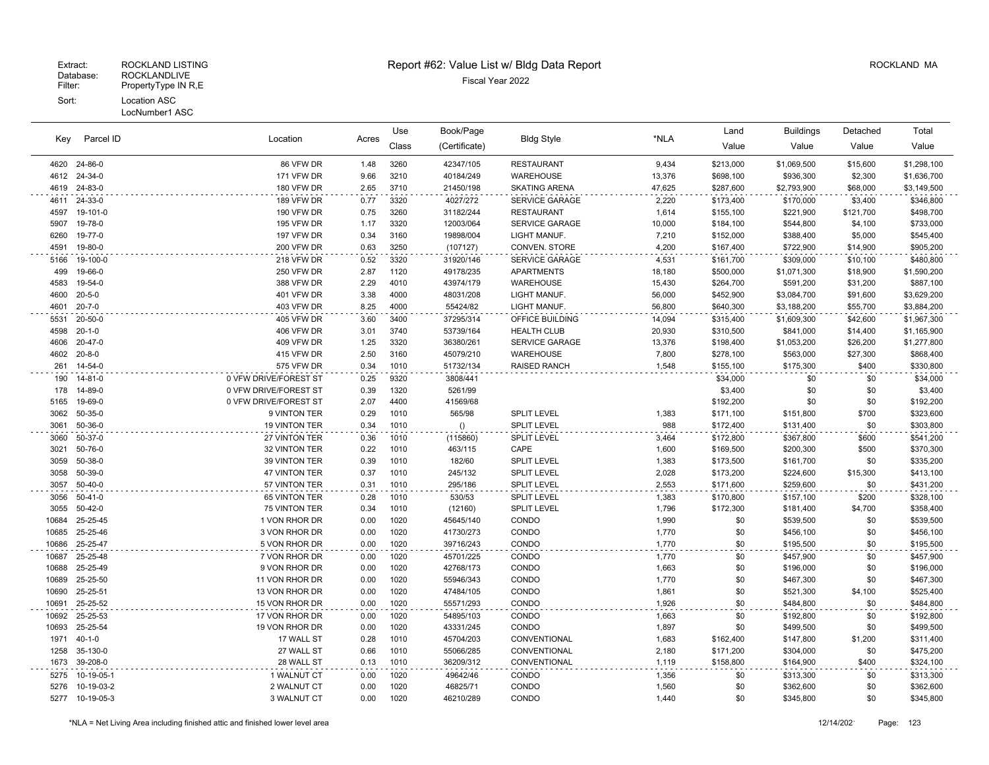#### LocNumber1 ASC

| Kev            | Parcel ID            | Location                       | Acres        | Use          | Book/Page              |                       | *NLA           | Land       | <b>Buildings</b>       | Detached   | Total                  |
|----------------|----------------------|--------------------------------|--------------|--------------|------------------------|-----------------------|----------------|------------|------------------------|------------|------------------------|
|                |                      |                                |              | Class        | (Certificate)          | <b>Bldg Style</b>     |                | Value      | Value                  | Value      | Value                  |
| 4620           | 24-86-0              | 86 VFW DR                      | 1.48         | 3260         | 42347/105              | <b>RESTAURANT</b>     | 9,434          | \$213,000  | \$1,069,500            | \$15,600   | \$1,298,100            |
| 4612           | 24-34-0              | 171 VFW DR                     | 9.66         | 3210         | 40184/249              | WAREHOUSE             | 13,376         | \$698,100  | \$936,300              | \$2,300    | \$1,636,700            |
| 4619           | 24-83-0              | 180 VFW DR                     | 2.65         | 3710         | 21450/198              | <b>SKATING ARENA</b>  | 47,625         | \$287,600  | \$2,793,900            | \$68,000   | \$3,149,500            |
| 4611           | 24-33-0              | 189 VFW DR                     | 0.77         | 3320         | 4027/272               | SERVICE GARAGE        | 2,220          | \$173,400  | \$170,000              | \$3,400    | \$346,800              |
| 4597           | 19-101-0             | <b>190 VFW DR</b>              | 0.75         | 3260         | 31182/244              | <b>RESTAURANT</b>     | 1,614          | \$155,100  | \$221,900              | \$121,700  | \$498,700              |
| 5907           | 19-78-0              | 195 VFW DR                     | 1.17         | 3320         | 12003/064              | SERVICE GARAGE        | 10,000         | \$184,100  | \$544,800              | \$4,100    | \$733,000              |
| 6260           | 19-77-0              | 197 VFW DR                     | 0.34         | 3160         | 19898/004              | LIGHT MANUF.          | 7,210          | \$152,000  | \$388,400              | \$5,000    | \$545,400              |
| 4591           | 19-80-0              | <b>200 VFW DR</b>              | 0.63         | 3250         | (107127)               | CONVEN. STORE         | 4,200          | \$167,400  | \$722,900              | \$14,900   | \$905,200              |
| 5166           | 19-100-0             | 218 VFW DR                     | 0.52         | 3320         | 31920/146              | <b>SERVICE GARAGE</b> | 4,531          | \$161,700  | \$309,000              | \$10,100   | \$480,800              |
| 499            | 19-66-0              | 250 VFW DR                     | 2.87         | 1120         | 49178/235              | <b>APARTMENTS</b>     | 18,180         | \$500,000  | \$1,071,300            | \$18,900   | \$1,590,200            |
| 4583           | 19-54-0              | 388 VFW DR                     | 2.29         | 4010         | 43974/179              | WAREHOUSE             | 15,430         | \$264,700  | \$591,200              | \$31,200   | \$887,100              |
| 4600           | $20 - 5 - 0$         | 401 VFW DR                     | 3.38         | 4000         | 48031/208              | LIGHT MANUF.          | 56,000         | \$452,900  | \$3,084,700            | \$91,600   | \$3,629,200            |
| 4601           | $20 - 7 - 0$         | 403 VFW DR                     | 8.25         | 4000         | 55424/82               | LIGHT MANUF.          | 56,800         | \$640,300  | \$3,188,200            | \$55,700   | \$3,884,200            |
| 5531           | 20-50-0              | 405 VFW DR                     | 3.60         | 3400         | 37295/314              | OFFICE BUILDING       | 14,094         | \$315,400  | \$1,609,300            | \$42,600   | \$1,967,300            |
| 4598           | $20 - 1 - 0$         | 406 VFW DR                     | 3.01         | 3740         | 53739/164              | <b>HEALTH CLUB</b>    | 20,930         | \$310,500  | \$841,000              | \$14,400   | \$1,165,900            |
| 4606           | 20-47-0              | 409 VFW DR                     | 1.25         | 3320         | 36380/261              | <b>SERVICE GARAGE</b> | 13,376         | \$198,400  | \$1,053,200            | \$26,200   | \$1,277,800            |
| 4602           | $20 - 8 - 0$         | 415 VFW DR                     | 2.50         | 3160         | 45079/210              | WAREHOUSE             | 7,800          | \$278,100  | \$563,000              | \$27,300   | \$868,400              |
| 261            | 14-54-0              | 575 VFW DR                     | 0.34         | 1010         | 51732/134              | <b>RAISED RANCH</b>   | 1,548          | \$155,100  | \$175,300              | \$400      | \$330,800              |
| 190            | 14-81-0              | 0 VFW DRIVE/FOREST ST          | 0.25         | 9320         | 3808/441               |                       |                | \$34,000   | \$0                    | \$0        | \$34,000               |
| 178            | 14-89-0              | 0 VFW DRIVE/FOREST ST          | 0.39         | 1320         | 5261/99                |                       |                | \$3,400    | \$0                    | \$0        | \$3,400                |
| 5165           | 19-69-0              | 0 VFW DRIVE/FOREST ST          | 2.07         | 4400         | 41569/68               |                       |                | \$192,200  | \$0                    | \$0        | \$192,200              |
| 3062           | 50-35-0              | 9 VINTON TER                   | 0.29         | 1010         | 565/98                 | <b>SPLIT LEVEL</b>    | 1,383          | \$171,100  | \$151,800              | \$700      | \$323,600              |
| 3061           | 50-36-0              | 19 VINTON TER                  | 0.34         | 1010         | ()                     | <b>SPLIT LEVEL</b>    | 988            | \$172,400  | \$131,400              | \$0        | \$303,800              |
| 3060           | 50-37-0              | 27 VINTON TER                  | 0.36         | 1010         | (115860)               | <b>SPLIT LEVEL</b>    | 3,464          | \$172,800  | \$367,800              | \$600      | \$541,200              |
| 3021           | 50-76-0              | 32 VINTON TER                  | 0.22         | 1010         | 463/115                | CAPE                  | 1,600          | \$169,500  | \$200,300              | \$500      | \$370,300              |
| 3059           | 50-38-0              | 39 VINTON TER                  | 0.39         | 1010         | 182/60                 | SPLIT LEVEL           | 1,383          | \$173,500  | \$161,700              | \$0        | \$335,200              |
| 3058           | 50-39-0              | 47 VINTON TER                  | 0.37         | 1010         | 245/132                | <b>SPLIT LEVEL</b>    | 2,028          | \$173,200  | \$224,600              | \$15,300   | \$413,100              |
| 3057           | $50 - 40 - 0$        | 57 VINTON TER                  | 0.31         | 1010         | 295/186                | <b>SPLIT LEVEL</b>    | 2,553          | \$171,600  | \$259,600              | \$0        | \$431,200              |
| 3056           | $50 - 41 - 0$        | 65 VINTON TER                  | 0.28         | 1010         | 530/53                 | SPLIT LEVEL           | 1,383          | \$170,800  | \$157,100              | \$200      | \$328,100              |
| 3055           | $50 - 42 - 0$        | 75 VINTON TER                  | 0.34         | 1010         | (12160)                | <b>SPLIT LEVEL</b>    | 1,796          | \$172,300  | \$181,400              | \$4,700    | \$358,400              |
| 10684<br>10685 | 25-25-45<br>25-25-46 | 1 VON RHOR DR<br>3 VON RHOR DR | 0.00<br>0.00 | 1020<br>1020 | 45645/140<br>41730/273 | CONDO<br>CONDO        | 1,990<br>1,770 | \$0<br>\$0 | \$539,500              | \$0<br>\$0 | \$539,500<br>\$456,100 |
| 10686          | 25-25-47             | 5 VON RHOR DR                  | 0.00         | 1020         | 39716/243              | CONDO                 | 1,770          | \$0        | \$456,100<br>\$195,500 | \$0        | \$195,500              |
|                | 25-25-48             |                                |              |              |                        |                       |                | \$0        |                        |            |                        |
| 10687<br>10688 | 25-25-49             | 7 VON RHOR DR<br>9 VON RHOR DR | 0.00<br>0.00 | 1020<br>1020 | 45701/225<br>42768/173 | CONDO<br>CONDO        | 1,770<br>1,663 | \$0        | \$457,900<br>\$196,000 | \$0<br>\$0 | \$457,900<br>\$196,000 |
| 10689          | 25-25-50             | 11 VON RHOR DR                 | 0.00         | 1020         | 55946/343              | CONDO                 | 1,770          | \$0        | \$467,300              | \$0        | \$467,300              |
| 10690          | 25-25-51             | 13 VON RHOR DR                 | 0.00         | 1020         | 47484/105              | CONDO                 | 1,861          | \$0        | \$521,300              | \$4,100    | \$525,400              |
| 10691          | 25-25-52             | 15 VON RHOR DR                 | 0.00         | 1020         | 55571/293              | CONDO                 | 1,926          | \$0        | \$484,800              | \$0        | \$484,800              |
| 10692          | 25-25-53             | 17 VON RHOR DR                 | 0.00         | 1020         | 54895/103              | CONDO                 |                | \$0        | \$192,800              | \$0        | \$192,800              |
| 10693          | 25-25-54             | 19 VON RHOR DR                 | 0.00         | 1020         | 43331/245              | CONDO                 | 1,663<br>1,897 | \$0        | \$499,500              | \$0        | \$499,500              |
| 1971           | $40 - 1 - 0$         | 17 WALL ST                     | 0.28         | 1010         | 45704/203              | CONVENTIONAL          | 1,683          | \$162,400  | \$147,800              | \$1,200    | \$311,400              |
| 1258           | 35-130-0             | 27 WALL ST                     | 0.66         | 1010         | 55066/285              | CONVENTIONAL          | 2,180          | \$171,200  | \$304,000              | \$0        | \$475,200              |
| 1673           | 39-208-0             | 28 WALL ST                     | 0.13         | 1010         | 36209/312              | CONVENTIONAL          | 1,119          | \$158,800  | \$164,900              | \$400      | \$324,100              |
| 5275           | 10-19-05-1           | 1 WALNUT CT                    | 0.00         | 1020         | 49642/46               | CONDO                 | 1,356          | \$0        | \$313,300              | \$0        | \$313,300              |
| 5276           | 10-19-03-2           | 2 WALNUT CT                    | 0.00         | 1020         | 46825/71               | CONDO                 | 1,560          | \$0        | \$362,600              | \$0        | \$362,600              |
|                | 5277 10-19-05-3      | 3 WALNUT CT                    | 0.00         | 1020         | 46210/289              | CONDO                 | 1,440          | \$0        | \$345,800              | \$0        | \$345,800              |
|                |                      |                                |              |              |                        |                       |                |            |                        |            |                        |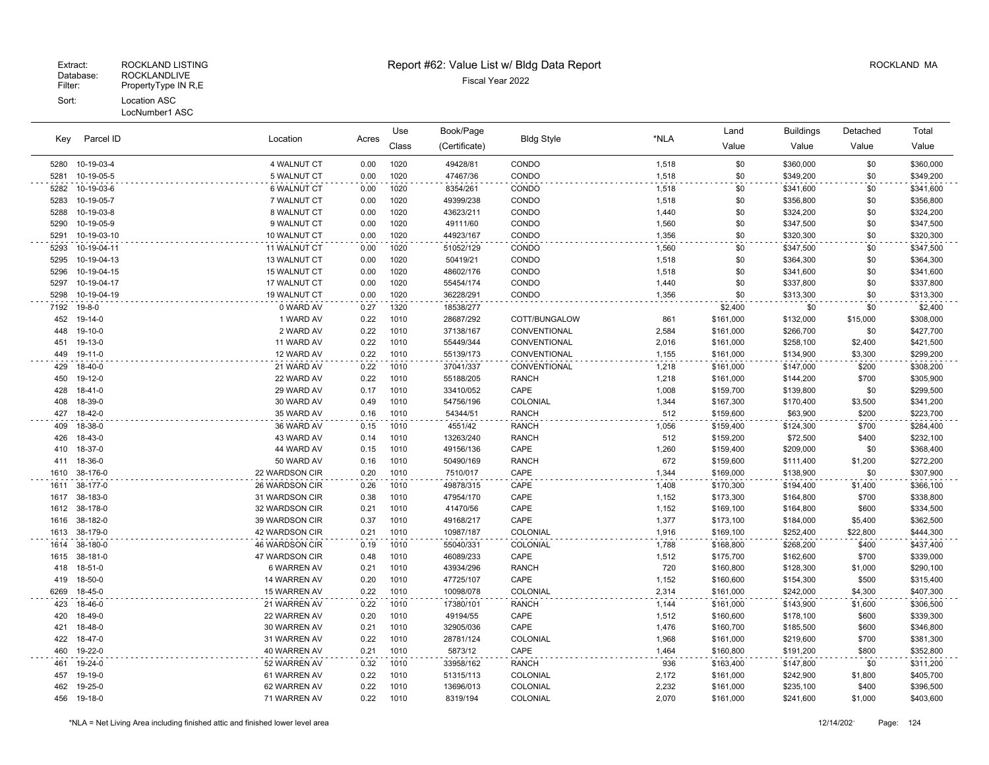### Extract: ROCKLAND LISTING **Report #62: Value List w/ Bldg Data Report** Allem Report ROCKLAND MA

| Parcel ID<br>Key |             |                | Use   | Book/Page |               |                   | Land  | <b>Buildings</b> | Detached  | Total    |           |
|------------------|-------------|----------------|-------|-----------|---------------|-------------------|-------|------------------|-----------|----------|-----------|
|                  |             | Location       | Acres | Class     | (Certificate) | <b>Bldg Style</b> | *NLA  | Value            | Value     | Value    | Value     |
| 5280             | 10-19-03-4  | 4 WALNUT CT    | 0.00  | 1020      | 49428/81      | CONDO             | 1,518 | \$0              | \$360,000 | \$0      | \$360,000 |
| 5281             | 10-19-05-5  | 5 WALNUT CT    | 0.00  | 1020      | 47467/36      | CONDO             | 1,518 | \$0              | \$349,200 | \$0      | \$349,200 |
| 5282             | 10-19-03-6  | 6 WALNUT CT    | 0.00  | 1020      | 8354/261      | CONDO             | 1,518 | \$0              | \$341,600 | \$0      | \$341,600 |
| 5283             | 10-19-05-7  | 7 WALNUT CT    | 0.00  | 1020      | 49399/238     | CONDO             | 1,518 | \$0              | \$356,800 | \$0      | \$356,800 |
| 5288             | 10-19-03-8  | 8 WALNUT CT    | 0.00  | 1020      | 43623/211     | CONDO             | 1,440 | \$0              | \$324,200 | \$0      | \$324,200 |
| 5290             | 10-19-05-9  | 9 WALNUT CT    | 0.00  | 1020      | 49111/60      | CONDO             | 1,560 | \$0              | \$347,500 | \$0      | \$347,500 |
| 5291             | 10-19-03-10 | 10 WALNUT CT   | 0.00  | 1020      | 44923/167     | CONDO             | 1,356 | \$0              | \$320,300 | \$0      | \$320,300 |
| 5293             | 10-19-04-11 | 11 WALNUT CT   | 0.00  | 1020      | 51052/129     | CONDO             | 1,560 | \$0              | \$347,500 | \$0      | \$347,500 |
| 5295             | 10-19-04-13 | 13 WALNUT CT   | 0.00  | 1020      | 50419/21      | CONDO             | 1,518 | \$0              | \$364,300 | \$0      | \$364,300 |
| 5296             | 10-19-04-15 | 15 WALNUT CT   | 0.00  | 1020      | 48602/176     | CONDO             | 1,518 | \$0              | \$341,600 | \$0      | \$341,600 |
| 5297             | 10-19-04-17 | 17 WALNUT CT   | 0.00  | 1020      | 55454/174     | CONDO             | 1,440 | \$0              | \$337,800 | \$0      | \$337,800 |
| 5298             | 10-19-04-19 | 19 WALNUT CT   | 0.00  | 1020      | 36228/291     | CONDO             | 1,356 | \$0              | \$313,300 | \$0      | \$313,300 |
| 7192             | 19-8-0      | 0 WARD AV      | 0.27  | 1320      | 18538/277     |                   |       | \$2,400          | \$0       | \$0      | \$2,400   |
| 452              | 19-14-0     | 1 WARD AV      | 0.22  | 1010      | 28687/292     | COTT/BUNGALOW     | 861   | \$161,000        | \$132,000 | \$15,000 | \$308,000 |
| 448              | 19-10-0     | 2 WARD AV      | 0.22  | 1010      | 37138/167     | CONVENTIONAL      | 2,584 | \$161,000        | \$266,700 | \$0      | \$427,700 |
| 451              | 19-13-0     | 11 WARD AV     | 0.22  | 1010      | 55449/344     | CONVENTIONAL      | 2,016 | \$161,000        | \$258,100 | \$2,400  | \$421,500 |
| 449              | 19-11-0     | 12 WARD AV     | 0.22  | 1010      | 55139/173     | CONVENTIONAL      | 1,155 | \$161,000        | \$134,900 | \$3,300  | \$299,200 |
| 429              | 18-40-0     | 21 WARD AV     | 0.22  | 1010      | 37041/337     | CONVENTIONAL      | 1,218 | \$161,000        | \$147,000 | \$200    | \$308,200 |
| 450              | 19-12-0     | 22 WARD AV     | 0.22  | 1010      | 55188/205     | <b>RANCH</b>      | 1,218 | \$161,000        | \$144,200 | \$700    | \$305,900 |
| 428              | 18-41-0     | 29 WARD AV     | 0.17  | 1010      | 33410/052     | CAPE              | 1,008 | \$159,700        | \$139,800 | \$0      | \$299,500 |
| 408              | 18-39-0     | 30 WARD AV     | 0.49  | 1010      | 54756/196     | COLONIAL          | 1,344 | \$167,300        | \$170,400 | \$3,500  | \$341,200 |
| 427              | 18-42-0     | 35 WARD AV     | 0.16  | 1010      | 54344/51      | <b>RANCH</b>      | 512   | \$159,600        | \$63,900  | \$200    | \$223,700 |
| 409              | 18-38-0     | 36 WARD AV     | 0.15  | 1010      | 4551/42       | <b>RANCH</b>      | 1,056 | \$159,400        | \$124,300 | \$700    | \$284,400 |
| 426              | 18-43-0     | 43 WARD AV     | 0.14  | 1010      | 13263/240     | <b>RANCH</b>      | 512   | \$159,200        | \$72,500  | \$400    | \$232,100 |
| 410              | 18-37-0     | 44 WARD AV     | 0.15  | 1010      | 49156/136     | CAPE              | 1,260 | \$159,400        | \$209,000 | \$0      | \$368,400 |
| 411              | 18-36-0     | 50 WARD AV     | 0.16  | 1010      | 50490/169     | <b>RANCH</b>      | 672   | \$159,600        | \$111,400 | \$1,200  | \$272,200 |
| 1610             | 38-176-0    | 22 WARDSON CIR | 0.20  | 1010      | 7510/017      | CAPE              | 1,344 | \$169,000        | \$138,900 | \$0      | \$307,900 |
| 1611             | 38-177-0    | 26 WARDSON CIR | 0.26  | 1010      | 49878/315     | CAPE              | 1,408 | \$170,300        | \$194,400 | \$1,400  | \$366,100 |
| 1617             | 38-183-0    | 31 WARDSON CIR | 0.38  | 1010      | 47954/170     | CAPE              | 1,152 | \$173,300        | \$164,800 | \$700    | \$338,800 |
| 1612             | 38-178-0    | 32 WARDSON CIR | 0.21  | 1010      | 41470/56      | CAPE              | 1,152 | \$169,100        | \$164,800 | \$600    | \$334,500 |
| 1616             | 38-182-0    | 39 WARDSON CIR | 0.37  | 1010      | 49168/217     | CAPE              | 1,377 | \$173,100        | \$184,000 | \$5,400  | \$362,500 |
| 1613             | 38-179-0    | 42 WARDSON CIR | 0.21  | 1010      | 10987/187     | COLONIAL          | 1,916 | \$169,100        | \$252,400 | \$22,800 | \$444,300 |
| 1614             | 38-180-0    | 46 WARDSON CIR | 0.19  | 1010      | 55040/331     | COLONIAL          | 1,788 | \$168,800        | \$268,200 | \$400    | \$437,400 |
| 1615             | 38-181-0    | 47 WARDSON CIR | 0.48  | 1010      | 46089/233     | CAPE              | 1,512 | \$175,700        | \$162,600 | \$700    | \$339,000 |
| 418              | 18-51-0     | 6 WARREN AV    | 0.21  | 1010      | 43934/296     | <b>RANCH</b>      | 720   | \$160,800        | \$128,300 | \$1,000  | \$290,100 |
| 419              | 18-50-0     | 14 WARREN AV   | 0.20  | 1010      | 47725/107     | CAPE              | 1,152 | \$160,600        | \$154,300 | \$500    | \$315,400 |
| 6269             | 18-45-0     | 15 WARREN AV   | 0.22  | 1010      | 10098/078     | COLONIAL          | 2,314 | \$161,000        | \$242,000 | \$4,300  | \$407,300 |
| 423              | 18-46-0     | 21 WARREN AV   | 0.22  | 1010      | 17380/101     | <b>RANCH</b>      | 1,144 | \$161,000        | \$143,900 | \$1,600  | \$306,500 |
| 420              | 18-49-0     | 22 WARREN AV   | 0.20  | 1010      | 49194/55      | CAPE              | 1,512 | \$160,600        | \$178,100 | \$600    | \$339,300 |
| 421              | 18-48-0     | 30 WARREN AV   | 0.21  | 1010      | 32905/036     | CAPE              | 1,476 | \$160,700        | \$185,500 | \$600    | \$346,800 |
| 422              | 18-47-0     | 31 WARREN AV   | 0.22  | 1010      | 28781/124     | COLONIAL          | 1,968 | \$161,000        | \$219,600 | \$700    | \$381,300 |
| 460              | 19-22-0     | 40 WARREN AV   | 0.21  | 1010      | 5873/12       | CAPE              | 1,464 | \$160,800        | \$191,200 | \$800    | \$352,800 |
| 461              | 19-24-0     | 52 WARREN AV   | 0.32  | 1010      | 33958/162     | <b>RANCH</b>      | 936   | \$163,400        | \$147,800 | \$0      | \$311,200 |
| 457              | 19-19-0     | 61 WARREN AV   | 0.22  | 1010      | 51315/113     | COLONIAL          | 2,172 | \$161,000        | \$242,900 | \$1,800  | \$405,700 |
| 462              | 19-25-0     | 62 WARREN AV   | 0.22  | 1010      | 13696/013     | COLONIAL          | 2,232 | \$161,000        | \$235,100 | \$400    | \$396,500 |

19-18-0 71 WARREN AV 0.22 1010 8319/194 COLONIAL 2,070 \$161,000 \$241,600 \$1,000 \$403,600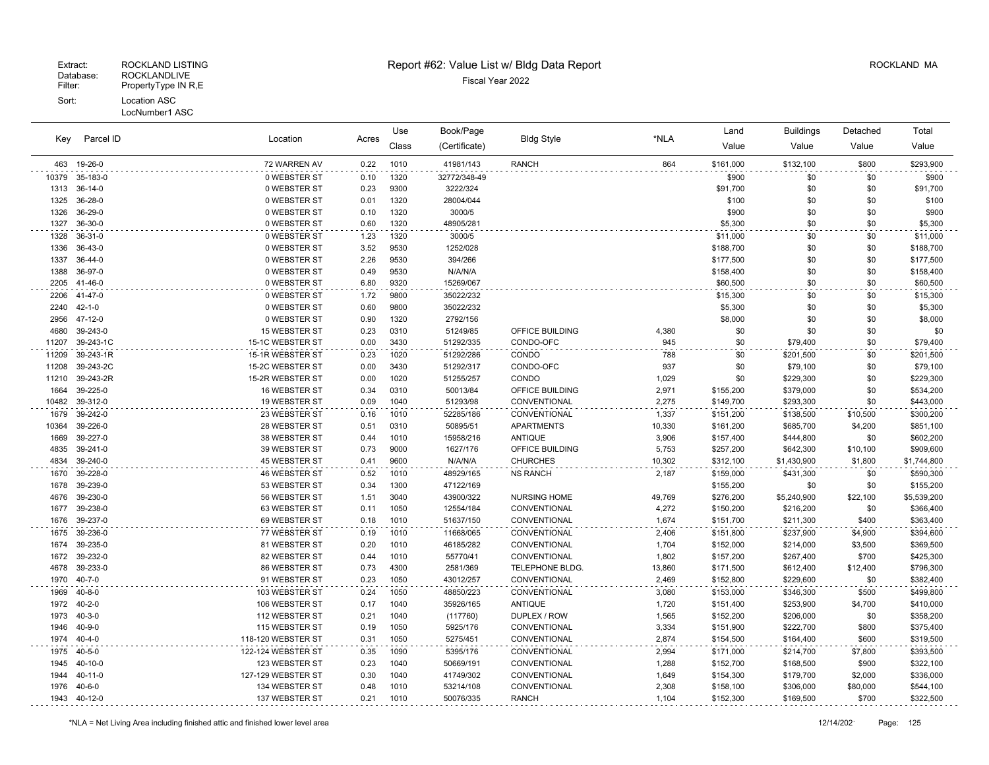| Parcel ID<br>Key |               |                      | Location<br>Acres |       | Book/Page     |                        |        | Land      | <b>Buildings</b> | Detached | Total       |
|------------------|---------------|----------------------|-------------------|-------|---------------|------------------------|--------|-----------|------------------|----------|-------------|
|                  |               |                      |                   | Class | (Certificate) | <b>Bldg Style</b>      | *NLA   | Value     | Value            | Value    | Value       |
| 463              | 19-26-0       | 72 WARREN AV         | 0.22              | 1010  | 41981/143     | <b>RANCH</b>           | 864    | \$161,000 | \$132,100        | \$800    | \$293,900   |
| 10379            | 35-183-0      | 0 WEBSTER ST         | 0.10              | 1320  | 32772/348-49  |                        |        | \$900     | \$0              | \$0      | \$900       |
| 1313             | 36-14-0       | 0 WEBSTER ST         | 0.23              | 9300  | 3222/324      |                        |        | \$91,700  | \$0              | \$0      | \$91,700    |
| 1325             | 36-28-0       | 0 WEBSTER ST         | 0.01              | 1320  | 28004/044     |                        |        | \$100     | \$0              | \$0      | \$100       |
| 1326             | 36-29-0       | 0 WEBSTER ST         | 0.10              | 1320  | 3000/5        |                        |        | \$900     | \$0              | \$0      | \$900       |
| 1327             | 36-30-0       | 0 WEBSTER ST         | 0.60              | 1320  | 48905/281     |                        |        | \$5,300   | \$0              | \$0      | \$5,300     |
| 1328             | 36-31-0       | 0 WEBSTER ST         | 1.23              | 1320  | 3000/5        |                        |        | \$11,000  | \$0              | \$0      | \$11,000    |
| 1336             | 36-43-0       | 0 WEBSTER ST         | 3.52              | 9530  | 1252/028      |                        |        | \$188,700 | \$0              | \$0      | \$188,700   |
| 1337             | 36-44-0       | 0 WEBSTER ST         | 2.26              | 9530  | 394/266       |                        |        | \$177,500 | \$0              | \$0      | \$177,500   |
| 1388             | 36-97-0       | 0 WEBSTER ST         | 0.49              | 9530  | N/A/N/A       |                        |        | \$158,400 | \$0              | \$0      | \$158,400   |
| 2205             | 41-46-0       | 0 WEBSTER ST         | 6.80              | 9320  | 15269/067     |                        |        | \$60,500  | \$0              | \$0      | \$60,500    |
| 2206             | 41-47-0       | 0 WEBSTER ST         | 1.72              | 9800  | 35022/232     |                        |        | \$15,300  | \$0              | \$0      | \$15,300    |
| 2240             | $42 - 1 - 0$  | 0 WEBSTER ST         | 0.60              | 9800  | 35022/232     |                        |        | \$5,300   | \$0              | \$0      | \$5,300     |
| 2956             | 47-12-0       | 0 WEBSTER ST         | 0.90              | 1320  | 2792/156      |                        |        | \$8,000   | \$0              | \$0      | \$8,000     |
| 4680             | 39-243-0      | 15 WEBSTER ST        | 0.23              | 0310  | 51249/85      | OFFICE BUILDING        | 4,380  | \$0       | \$0              | \$0      | \$0         |
| 11207            | 39-243-1C     | 15-1C WEBSTER ST     | 0.00              | 3430  | 51292/335     | CONDO-OFC              | 945    | \$0       | \$79,400         | \$0      | \$79,400    |
| 11209            | 39-243-1R     | 15-1R WEBSTER ST     | 0.23              | 1020  | 51292/286     | CONDO                  | 788    | \$0       | \$201,500        | \$0      | \$201,500   |
| 11208            | 39-243-2C     | 15-2C WEBSTER ST     | 0.00              | 3430  | 51292/317     | CONDO-OFC              | 937    | \$0       | \$79,100         | \$0      | \$79,100    |
| 11210            | 39-243-2R     | 15-2R WEBSTER ST     | 0.00              | 1020  | 51255/257     | CONDO                  | 1,029  | \$0       | \$229,300        | \$0      | \$229,300   |
| 1664             | 39-225-0      | <b>16 WEBSTER ST</b> | 0.34              | 0310  | 50013/84      | <b>OFFICE BUILDING</b> | 2,971  | \$155,200 | \$379,000        | \$0      | \$534,200   |
| 10482            | 39-312-0      | <b>19 WEBSTER ST</b> | 0.09              | 1040  | 51293/98      | CONVENTIONAL           | 2.275  | \$149,700 | \$293,300        | \$0      | \$443,000   |
| 1679             | 39-242-0      | 23 WEBSTER ST        | 0.16              | 1010  | 52285/186     | CONVENTIONAL           | 1,337  | \$151,200 | \$138,500        | \$10,500 | \$300,200   |
| 10364            | 39-226-0      | 28 WEBSTER ST        | 0.51              | 0310  | 50895/51      | <b>APARTMENTS</b>      | 10,330 | \$161,200 | \$685,700        | \$4,200  | \$851,100   |
| 1669             | 39-227-0      | 38 WEBSTER ST        | 0.44              | 1010  | 15958/216     | <b>ANTIQUE</b>         | 3,906  | \$157,400 | \$444,800        | \$0      | \$602,200   |
| 4835             | 39-241-0      | 39 WEBSTER ST        | 0.73              | 9000  | 1627/176      | OFFICE BUILDING        | 5,753  | \$257,200 | \$642,300        | \$10,100 | \$909,600   |
| 4834             | 39-240-0      | 45 WEBSTER ST        | 0.41              | 9600  | N/A/N/A       | <b>CHURCHES</b>        | 10,302 | \$312,100 | \$1,430,900      | \$1,800  | \$1,744,800 |
| 1670             | 39-228-0      | 46 WEBSTER ST        | 0.52              | 1010  | 48929/165     | <b>NS RANCH</b>        | 2,187  | \$159,000 | \$431,300        | \$0      | \$590,300   |
| 1678             | 39-239-0      | 53 WEBSTER ST        | 0.34              | 1300  | 47122/169     |                        |        | \$155,200 | \$0              | \$0      | \$155,200   |
| 4676             | 39-230-0      | 56 WEBSTER ST        | 1.51              | 3040  | 43900/322     | <b>NURSING HOME</b>    | 49,769 | \$276,200 | \$5,240,900      | \$22,100 | \$5,539,200 |
| 1677             | 39-238-0      | 63 WEBSTER ST        | 0.11              | 1050  | 12554/184     | CONVENTIONAL           | 4,272  | \$150,200 | \$216,200        | \$0      | \$366,400   |
| 1676             | 39-237-0      | 69 WEBSTER ST        | 0.18              | 1010  | 51637/150     | CONVENTIONAL           | 1,674  | \$151,700 | \$211,300        | \$400    | \$363,400   |
| 1675             | 39-236-0      | 77 WEBSTER ST        | 0.19              | 1010  | 11668/065     | CONVENTIONAL           | 2,406  | \$151,800 | \$237,900        | \$4,900  | \$394,600   |
| 1674             | 39-235-0      | 81 WEBSTER ST        | 0.20              | 1010  | 46185/282     | CONVENTIONAL           | 1,704  | \$152,000 | \$214,000        | \$3,500  | \$369,500   |
| 1672             | 39-232-0      | 82 WEBSTER ST        | 0.44              | 1010  | 55770/41      | CONVENTIONAL           | 1,802  | \$157,200 | \$267,400        | \$700    | \$425,300   |
| 4678             | 39-233-0      | 86 WEBSTER ST        | 0.73              | 4300  | 2581/369      | TELEPHONE BLDG.        | 13,860 | \$171,500 | \$612,400        | \$12,400 | \$796,300   |
| 1970             | $40 - 7 - 0$  | 91 WEBSTER ST        | 0.23              | 1050  | 43012/257     | CONVENTIONAL           | 2,469  | \$152,800 | \$229,600        | \$0      | \$382,400   |
| 1969             | $40 - 8 - 0$  | 103 WEBSTER ST       | 0.24              | 1050  | 48850/223     | CONVENTIONAL           | 3,080  | \$153,000 | \$346,300        | \$500    | \$499,800   |
| 1972             | $40 - 2 - 0$  | 106 WEBSTER ST       | 0.17              | 1040  | 35926/165     | <b>ANTIQUE</b>         | 1,720  | \$151,400 | \$253,900        | \$4,700  | \$410,000   |
| 1973             | $40 - 3 - 0$  | 112 WEBSTER ST       | 0.21              | 1040  | (117760)      | DUPLEX / ROW           | 1,565  | \$152,200 | \$206,000        | \$0      | \$358,200   |
| 1946             | $40 - 9 - 0$  | 115 WEBSTER ST       | 0.19              | 1050  | 5925/176      | CONVENTIONAL           | 3,334  | \$151,900 | \$222,700        | \$800    | \$375,400   |
| 1974             | $40 - 4 - 0$  | 118-120 WEBSTER ST   | 0.31              | 1050  | 5275/451      | CONVENTIONAL           | 2,874  | \$154,500 | \$164,400        | \$600    | \$319,500   |
| 1975             | $40 - 5 - 0$  | 122-124 WEBSTER ST   | 0.35              | 1090  | 5395/176      | CONVENTIONAL           | 2,994  | \$171,000 | \$214,700        | \$7,800  | \$393,500   |
| 1945             | 40-10-0       | 123 WEBSTER ST       | 0.23              | 1040  | 50669/191     | CONVENTIONAL           | 1,288  | \$152,700 | \$168,500        | \$900    | \$322,100   |
| 1944             | $40 - 11 - 0$ | 127-129 WEBSTER ST   | 0.30              | 1040  | 41749/302     | CONVENTIONAL           | 1,649  | \$154,300 | \$179,700        | \$2,000  | \$336,000   |
| 1976             | $40 - 6 - 0$  | 134 WEBSTER ST       | 0.48              | 1010  | 53214/108     | CONVENTIONAL           | 2,308  | \$158,100 | \$306,000        | \$80,000 | \$544,100   |
| 1943             | 40-12-0       | 137 WEBSTER ST       | 0.21              | 1010  | 50076/335     | <b>RANCH</b>           | 1,104  | \$152,300 | \$169,500        | \$700    | \$322,500   |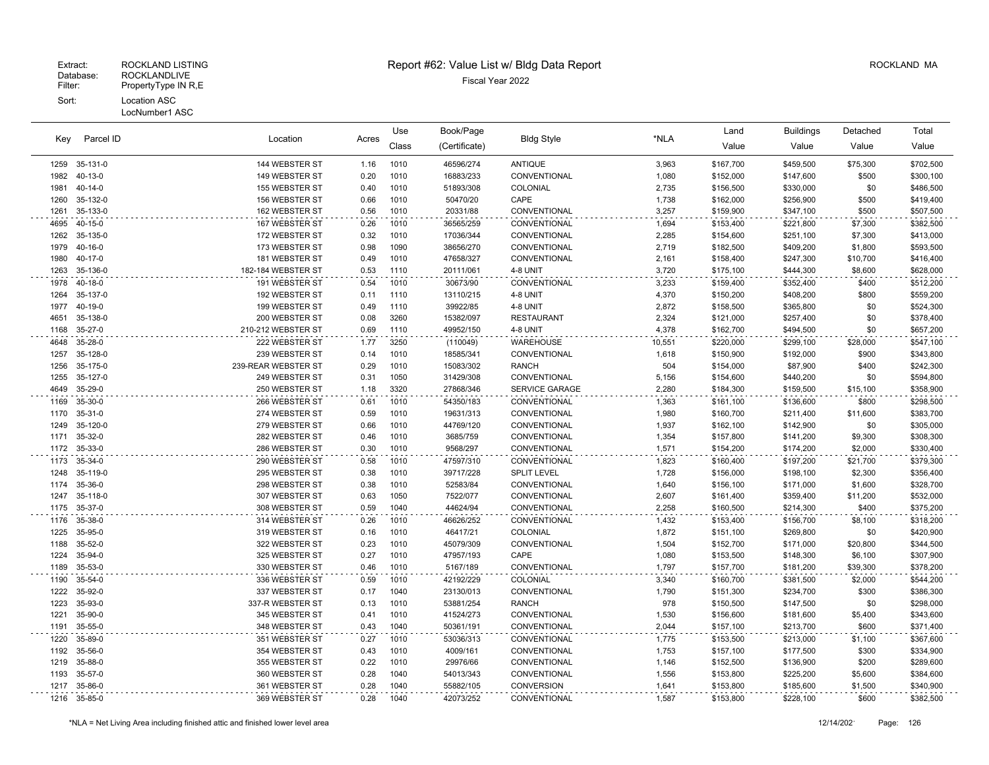| Parcel ID<br>Key |               |                     |       | Use   | Book/Page     |                     |        | Land      | <b>Buildings</b> | Detached | Total     |
|------------------|---------------|---------------------|-------|-------|---------------|---------------------|--------|-----------|------------------|----------|-----------|
|                  |               | Location            | Acres | Class | (Certificate) | <b>Bldg Style</b>   | *NLA   | Value     | Value            | Value    | Value     |
| 1259             | 35-131-0      | 144 WEBSTER ST      | 1.16  | 1010  | 46596/274     | <b>ANTIQUE</b>      | 3,963  | \$167,700 | \$459,500        | \$75,300 | \$702,500 |
| 1982             | $40 - 13 - 0$ | 149 WEBSTER ST      | 0.20  | 1010  | 16883/233     | CONVENTIONAL        | 1,080  | \$152,000 | \$147,600        | \$500    | \$300,100 |
| 1981             | $40 - 14 - 0$ | 155 WEBSTER ST      | 0.40  | 1010  | 51893/308     | COLONIAL            | 2,735  | \$156,500 | \$330,000        | \$0      | \$486,500 |
| 1260             | 35-132-0      | 156 WEBSTER ST      | 0.66  | 1010  | 50470/20      | CAPE                | 1,738  | \$162,000 | \$256,900        | \$500    | \$419,400 |
| 1261             | 35-133-0      | 162 WEBSTER ST      | 0.56  | 1010  | 20331/88      | CONVENTIONAL        | 3,257  | \$159,900 | \$347,100        | \$500    | \$507,500 |
| 4695             | $40 - 15 - 0$ | 167 WEBSTER ST      | 0.26  | 1010  | 36565/259     | CONVENTIONAL        | 1,694  | \$153,400 | \$221,800        | \$7,300  | \$382,500 |
| 1262             | 35-135-0      | 172 WEBSTER ST      | 0.32  | 1010  | 17036/344     | <b>CONVENTIONAL</b> | 2,285  | \$154,600 | \$251,100        | \$7,300  | \$413,000 |
| 1979             | $40 - 16 - 0$ | 173 WEBSTER ST      | 0.98  | 1090  | 38656/270     | CONVENTIONAL        | 2,719  | \$182,500 | \$409,200        | \$1,800  | \$593,500 |
| 1980             | 40-17-0       | 181 WEBSTER ST      | 0.49  | 1010  | 47658/327     | CONVENTIONAL        | 2,161  | \$158,400 | \$247,300        | \$10,700 | \$416,400 |
| 1263             | 35-136-0      | 182-184 WEBSTER ST  | 0.53  | 1110  | 20111/061     | 4-8 UNIT            | 3,720  | \$175,100 | \$444,300        | \$8,600  | \$628,000 |
| 1978             | 40-18-0       | 191 WEBSTER ST      | 0.54  | 1010  | 30673/90      | CONVENTIONAL        | 3,233  | \$159,400 | \$352,400        | \$400    | \$512,200 |
| 1264             | 35-137-0      | 192 WEBSTER ST      | 0.11  | 1110  | 13110/215     | 4-8 UNIT            | 4,370  | \$150,200 | \$408,200        | \$800    | \$559,200 |
| 1977             | 40-19-0       | 199 WEBSTER ST      | 0.49  | 1110  | 39922/85      | 4-8 UNIT            | 2,872  | \$158,500 | \$365,800        | \$0      | \$524,300 |
| 4651             | 35-138-0      | 200 WEBSTER ST      | 0.08  | 3260  | 15382/097     | <b>RESTAURANT</b>   | 2,324  | \$121,000 | \$257,400        | \$0      | \$378,400 |
| 1168             | 35-27-0       | 210-212 WEBSTER ST  | 0.69  | 1110  | 49952/150     | 4-8 UNIT            | 4,378  | \$162,700 | \$494,500        | \$0      | \$657,200 |
| 4648             | 35-28-0       | 222 WEBSTER ST      | 1.77  | 3250  | (110049)      | <b>WAREHOUSE</b>    | 10,551 | \$220,000 | \$299,100        | \$28,000 | \$547,100 |
| 1257             | 35-128-0      | 239 WEBSTER ST      | 0.14  | 1010  | 18585/341     | CONVENTIONAL        | 1,618  | \$150,900 | \$192,000        | \$900    | \$343,800 |
| 1256             | 35-175-0      | 239-REAR WEBSTER ST | 0.29  | 1010  | 15083/302     | <b>RANCH</b>        | 504    | \$154,000 | \$87,900         | \$400    | \$242,300 |
| 1255             | 35-127-0      | 249 WEBSTER ST      | 0.31  | 1050  | 31429/308     | CONVENTIONAL        | 5,156  | \$154,600 | \$440,200        | \$0      | \$594,800 |
| 4649             | 35-29-0       | 250 WEBSTER ST      | 1.18  | 3320  | 27868/346     | SERVICE GARAGE      | 2,280  | \$184,300 | \$159,500        | \$15,100 | \$358,900 |
| 1169             | 35-30-0       | 266 WEBSTER ST      | 0.61  | 1010  | 54350/183     | CONVENTIONAL        | 1,363  | \$161,100 | \$136,600        | \$800    | \$298,500 |
| 1170             | $35 - 31 - 0$ | 274 WEBSTER ST      | 0.59  | 1010  | 19631/313     | CONVENTIONAL        | 1,980  | \$160,700 | \$211,400        | \$11,600 | \$383,700 |
| 1249             | 35-120-0      | 279 WEBSTER ST      | 0.66  | 1010  | 44769/120     | CONVENTIONAL        | 1,937  | \$162,100 | \$142,900        | \$0      | \$305,000 |
| 1171             | 35-32-0       | 282 WEBSTER ST      | 0.46  | 1010  | 3685/759      | CONVENTIONAL        | 1,354  | \$157,800 | \$141,200        | \$9,300  | \$308,300 |
| 1172             | 35-33-0       | 286 WEBSTER ST      | 0.30  | 1010  | 9568/297      | CONVENTIONAL        | 1,571  | \$154,200 | \$174,200        | \$2,000  | \$330,400 |
| 1173             | 35-34-0       | 290 WEBSTER ST      | 0.58  | 1010  | 47597/310     | CONVENTIONAL        | 1,823  | \$160,400 | \$197,200        | \$21,700 | \$379,300 |
| 1248             | 35-119-0      | 295 WEBSTER ST      | 0.38  | 1010  | 39717/228     | <b>SPLIT LEVEL</b>  | 1,728  | \$156,000 | \$198,100        | \$2,300  | \$356,400 |
| 1174             | 35-36-0       | 298 WEBSTER ST      | 0.38  | 1010  | 52583/84      | CONVENTIONAL        | 1,640  | \$156,100 | \$171,000        | \$1,600  | \$328,700 |
| 1247             | 35-118-0      | 307 WEBSTER ST      | 0.63  | 1050  | 7522/077      | CONVENTIONAL        | 2,607  | \$161,400 | \$359,400        | \$11,200 | \$532,000 |
| 1175             | 35-37-0       | 308 WEBSTER ST      | 0.59  | 1040  | 44624/94      | CONVENTIONAL        | 2,258  | \$160,500 | \$214,300        | \$400    | \$375,200 |
| 1176             | 35-38-0       | 314 WEBSTER ST      | 0.26  | 1010  | 46626/252     | CONVENTIONAL        | 1,432  | \$153,400 | \$156,700        | \$8,100  | \$318,200 |
| 1225             | 35-95-0       | 319 WEBSTER ST      | 0.16  | 1010  | 46417/21      | COLONIAL            | 1,872  | \$151,100 | \$269,800        | \$0      | \$420,900 |
| 1188             | 35-52-0       | 322 WEBSTER ST      | 0.23  | 1010  | 45079/309     | CONVENTIONAL        | 1,504  | \$152,700 | \$171,000        | \$20,800 | \$344,500 |
| 1224             | 35-94-0       | 325 WEBSTER ST      | 0.27  | 1010  | 47957/193     | CAPE                | 1,080  | \$153,500 | \$148,300        | \$6,100  | \$307,900 |
| 1189             | 35-53-0       | 330 WEBSTER ST      | 0.46  | 1010  | 5167/189      | CONVENTIONAL        | 1,797  | \$157,700 | \$181,200        | \$39,300 | \$378,200 |
| 1190             | 35-54-0       | 336 WEBSTER ST      | 0.59  | 1010  | 42192/229     | COLONIAL            | 3,340  | \$160,700 | \$381,500        | \$2,000  | \$544,200 |
| 1222             | 35-92-0       | 337 WEBSTER ST      | 0.17  | 1040  | 23130/013     | CONVENTIONAL        | 1,790  | \$151,300 | \$234,700        | \$300    | \$386,300 |
| 1223             | 35-93-0       | 337-R WEBSTER ST    | 0.13  | 1010  | 53881/254     | <b>RANCH</b>        | 978    | \$150,500 | \$147,500        | \$0      | \$298,000 |
| 1221             | 35-90-0       | 345 WEBSTER ST      | 0.41  | 1010  | 41524/273     | CONVENTIONAL        | 1,530  | \$156,600 | \$181,600        | \$5,400  | \$343,600 |
| 1191             | 35-55-0       | 348 WEBSTER ST      | 0.43  | 1040  | 50361/191     | CONVENTIONAL        | 2,044  | \$157,100 | \$213,700        | \$600    | \$371,400 |
| 1220             | 35-89-0       | 351 WEBSTER ST      | 0.27  | 1010  | 53036/313     | CONVENTIONAL        | 1,775  | \$153,500 | \$213,000        | \$1,100  | \$367,600 |
| 1192             | 35-56-0       | 354 WEBSTER ST      | 0.43  | 1010  | 4009/161      | CONVENTIONAL        | 1,753  | \$157,100 | \$177,500        | \$300    | \$334,900 |
| 1219             | 35-88-0       | 355 WEBSTER ST      | 0.22  | 1010  | 29976/66      | CONVENTIONAL        | 1,146  | \$152,500 | \$136,900        | \$200    | \$289,600 |
| 1193             | 35-57-0       | 360 WEBSTER ST      | 0.28  | 1040  | 54013/343     | CONVENTIONAL        | 1,556  | \$153,800 | \$225,200        | \$5,600  | \$384,600 |
| 1217             | 35-86-0       | 361 WEBSTER ST      | 0.28  | 1040  | 55882/105     | <b>CONVERSION</b>   | 1,641  | \$153,800 | \$185,600        | \$1,500  | \$340,900 |
| 1216             | 35-85-0       | 369 WEBSTER ST      | 0.28  | 1040  | 42073/252     | CONVENTIONAL        | 1,587  | \$153,800 | \$228,100        | \$600    | \$382,500 |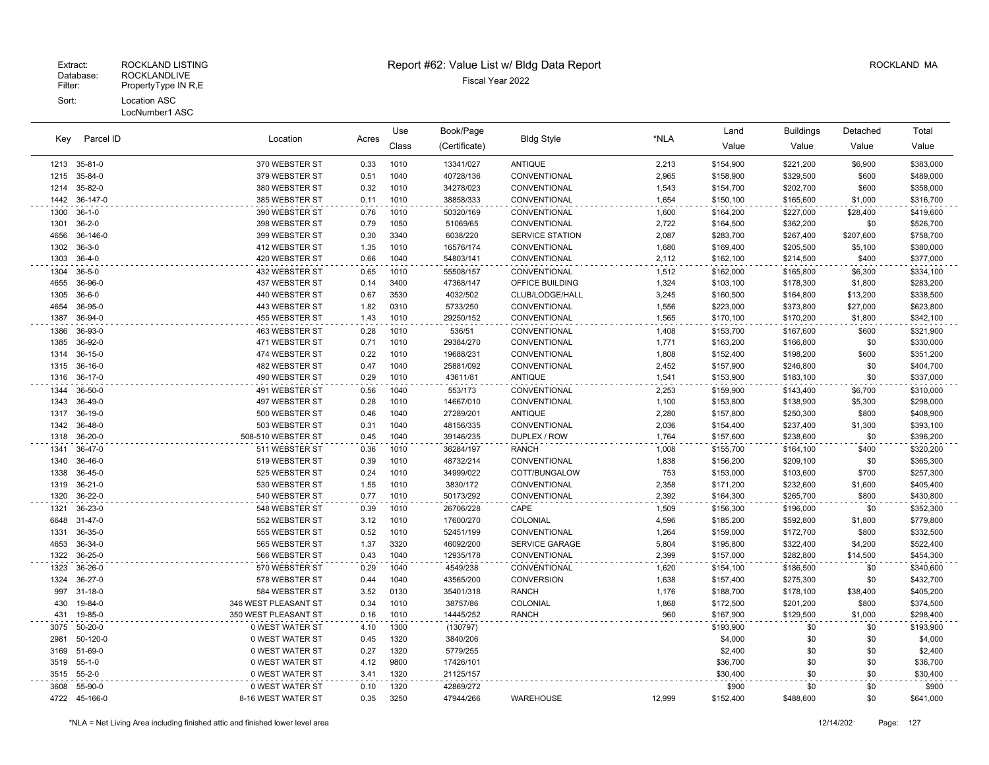| Parcel ID<br>Key |                    | Location<br>Acres                |              | Use          | Book/Page              | <b>Bldg Style</b>      |                | Land                   | <b>Buildings</b>       | Detached       | Total                  |
|------------------|--------------------|----------------------------------|--------------|--------------|------------------------|------------------------|----------------|------------------------|------------------------|----------------|------------------------|
|                  |                    |                                  |              | Class        | (Certificate)          |                        | *NLA           | Value                  | Value                  | Value          | Value                  |
|                  | 1213 35-81-0       | 370 WEBSTER ST                   | 0.33         | 1010         | 13341/027              | <b>ANTIQUE</b>         | 2,213          | \$154,900              | \$221,200              | \$6,900        | \$383,000              |
| 1215             | 35-84-0            | 379 WEBSTER ST                   | 0.51         | 1040         | 40728/136              | CONVENTIONAL           | 2,965          | \$158,900              | \$329,500              | \$600          | \$489,000              |
| 1214             | 35-82-0            | 380 WEBSTER ST                   | 0.32         | 1010         | 34278/023              | CONVENTIONAL           | 1,543          | \$154,700              | \$202,700              | \$600          | \$358,000              |
| 1442             | 36-147-0           | 385 WEBSTER ST                   | 0.11         | 1010         | 38858/333              | CONVENTIONAL           | 1,654          | \$150,100              | \$165,600              | \$1,000        | \$316,700              |
| 1300             | $36 - 1 - 0$       | 390 WEBSTER ST                   | 0.76         | 1010         | 50320/169              | CONVENTIONAL           | 1,600          | \$164,200              | \$227,000              | \$28,400       | \$419,600              |
| 1301             | $36 - 2 - 0$       | 398 WEBSTER ST                   | 0.79         | 1050         | 51069/65               | CONVENTIONAL           | 2,722          | \$164,500              | \$362,200              | \$0            | \$526,700              |
| 4656             | 36-146-0           | 399 WEBSTER ST                   | 0.30         | 3340         | 6038/220               | <b>SERVICE STATION</b> | 2,087          | \$283,700              | \$267,400              | \$207,600      | \$758,700              |
| 1302             | $36 - 3 - 0$       | 412 WEBSTER ST                   | 1.35         | 1010         | 16576/174              | CONVENTIONAL           | 1,680          | \$169,400              | \$205,500              | \$5,100        | \$380,000              |
| 1303             | $36-4-0$           | 420 WEBSTER ST                   | 0.66         | 1040         | 54803/141              | CONVENTIONAL           | 2,112          | \$162,100              | \$214,500              | \$400          | \$377,000              |
| 1304             | $36 - 5 - 0$       | 432 WEBSTER ST                   | 0.65         | 1010         | 55508/157              | CONVENTIONAL           | 1,512          | \$162,000              | \$165,800              | \$6,300        | \$334,100              |
| 4655             | 36-96-0            | 437 WEBSTER ST                   | 0.14         | 3400         | 47368/147              | OFFICE BUILDING        | 1,324          | \$103,100              | \$178,300              | \$1,800        | \$283,200              |
| 1305             | $36 - 6 - 0$       | 440 WEBSTER ST                   | 0.67         | 3530         | 4032/502               | CLUB/LODGE/HALL        | 3,245          | \$160,500              | \$164,800              | \$13,200       | \$338,500              |
| 4654             | 36-95-0            | 443 WEBSTER ST                   | 1.82         | 0310         | 5733/250               | CONVENTIONAL           | 1,556          | \$223,000              | \$373,800              | \$27,000       | \$623,800              |
| 1387             | 36-94-0            | 455 WEBSTER ST                   | 1.43         | 1010         | 29250/152              | CONVENTIONAL           | 1,565          | \$170,100              | \$170,200              | \$1,800        | \$342,100              |
| 1386             | 36-93-0            | 463 WEBSTER ST                   | 0.28         | 1010         | 536/51                 | CONVENTIONAL           | 1,408          | \$153,700              | \$167,600              | \$600          | \$321,900              |
| 1385             | 36-92-0            | 471 WEBSTER ST                   | 0.71         | 1010         | 29384/270              | CONVENTIONAL           | 1,771          | \$163,200              | \$166,800              | \$0            | \$330,000              |
| 1314             | 36-15-0            | 474 WEBSTER ST                   | 0.22         | 1010         | 19688/231              | CONVENTIONAL           | 1,808          | \$152,400              | \$198,200              | \$600          | \$351,200              |
| 1315             | 36-16-0            | 482 WEBSTER ST                   | 0.47         | 1040         | 25881/092              | CONVENTIONAL           | 2,452          | \$157,900              | \$246,800              | \$0            | \$404,700              |
| 1316             | 36-17-0            | 490 WEBSTER ST                   | 0.29         | 1010         | 43611/81               | <b>ANTIQUE</b>         | 1,541          | \$153,900              | \$183,100              | \$0            | \$337,000              |
| 1344             | 36-50-0            | 491 WEBSTER ST                   | 0.56         | 1040         | 553/173                | CONVENTIONAL           | 2,253          | \$159,900              | \$143,400              | \$6,700        | \$310,000              |
| 1343             | 36-49-0            | 497 WEBSTER ST                   | 0.28         | 1010         | 14667/010              | CONVENTIONAL           | 1,100          | \$153,800              | \$138,900              | \$5,300        | \$298,000              |
| 1317             | 36-19-0            | 500 WEBSTER ST                   | 0.46         | 1040         | 27289/201              | <b>ANTIQUE</b>         | 2,280          | \$157,800              | \$250,300              | \$800          | \$408,900              |
| 1342             | 36-48-0            | 503 WEBSTER ST                   | 0.31         | 1040         | 48156/335              | CONVENTIONAL           | 2,036          | \$154,400              | \$237,400              | \$1,300        | \$393,100              |
| 1318             | 36-20-0            | 508-510 WEBSTER ST               | 0.45         | 1040         | 39146/235              | DUPLEX / ROW           | 1,764          | \$157,600              | \$238,600              | \$0            | \$396,200              |
| 1341             | 36-47-0            | 511 WEBSTER ST                   | 0.36         | 1010         | 36284/197              | <b>RANCH</b>           | 1,008          | \$155,700              | \$164,100              | \$400          | \$320,200              |
| 1340             | 36-46-0            | 519 WEBSTER ST                   | 0.39         | 1010         | 48732/214              | CONVENTIONAL           | 1,838          | \$156,200              | \$209,100              | \$0            | \$365,300              |
| 1338             | 36-45-0            | 525 WEBSTER ST                   | 0.24         | 1010         | 34999/022              | COTT/BUNGALOW          | 753            | \$153,000              | \$103,600              | \$700          | \$257,300              |
| 1319             | $36 - 21 - 0$      | 530 WEBSTER ST                   | 1.55<br>0.77 | 1010<br>1010 | 3830/172               | CONVENTIONAL           | 2,358          | \$171,200              | \$232,600              | \$1,600        | \$405,400              |
| 1320             | 36-22-0            | 540 WEBSTER ST                   |              |              | 50173/292              | CONVENTIONAL           | 2,392          | \$164,300              | \$265,700              | \$800          | \$430,800              |
| 1321<br>6648     | 36-23-0<br>31-47-0 | 548 WEBSTER ST<br>552 WEBSTER ST | 0.39<br>3.12 | 1010<br>1010 | 26706/228<br>17600/270 | CAPE<br>COLONIAL       | 1,509<br>4,596 | \$156,300<br>\$185,200 | \$196,000<br>\$592,800 | \$0<br>\$1,800 | \$352,300<br>\$779,800 |
| 1331             | 36-35-0            | 555 WEBSTER ST                   | 0.52         | 1010         | 52451/199              | CONVENTIONAL           | 1,264          | \$159,000              | \$172,700              | \$800          | \$332,500              |
| 4653             | 36-34-0            | 565 WEBSTER ST                   | 1.37         | 3320         | 46092/200              | <b>SERVICE GARAGE</b>  | 5,804          | \$195,800              | \$322,400              | \$4,200        | \$522,400              |
| 1322             | 36-25-0            | 566 WEBSTER ST                   | 0.43         | 1040         | 12935/178              | CONVENTIONAL           | 2,399          | \$157,000              | \$282,800              | \$14,500       | \$454,300              |
| 1323             | 36-26-0            | 570 WEBSTER ST                   | 0.29         | 1040         | 4549/238               | CONVENTIONAL           | 1,620          | \$154,100              | \$186,500              | \$0            | \$340,600              |
| 1324             | 36-27-0            | 578 WEBSTER ST                   | 0.44         | 1040         | 43565/200              | <b>CONVERSION</b>      | 1,638          | \$157,400              | \$275,300              | \$0            | \$432,700              |
| 997              | $31 - 18 - 0$      | 584 WEBSTER ST                   | 3.52         | 0130         | 35401/318              | <b>RANCH</b>           | 1,176          | \$188,700              | \$178,100              | \$38,400       | \$405,200              |
| 430              | 19-84-0            | 346 WEST PLEASANT ST             | 0.34         | 1010         | 38757/86               | COLONIAL               | 1,868          | \$172,500              | \$201,200              | \$800          | \$374,500              |
| 431              | 19-85-0            | 350 WEST PLEASANT ST             | 0.16         | 1010         | 14445/252              | <b>RANCH</b>           | 960            | \$167,900              | \$129,500              | \$1,000        | \$298,400              |
| 3075             | 50-20-0            | 0 WEST WATER ST                  | 4.10         | 1300         | (130797)               |                        |                | \$193,900              | \$0                    | \$0            | \$193,900              |
| 2981             | 50-120-0           | 0 WEST WATER ST                  | 0.45         | 1320         | 3840/206               |                        |                | \$4,000                | \$0                    | \$0            | \$4,000                |
| 3169             | 51-69-0            | 0 WEST WATER ST                  | 0.27         | 1320         | 5779/255               |                        |                | \$2,400                | \$0                    | \$0            | \$2,400                |
| 3519             | $55 - 1 - 0$       | 0 WEST WATER ST                  | 4.12         | 9800         | 17426/101              |                        |                | \$36,700               | \$0                    | \$0            | \$36,700               |
| 3515             | $55 - 2 - 0$       | 0 WEST WATER ST                  | 3.41         | 1320         | 21125/157              |                        |                | \$30,400               | \$0                    | \$0            | \$30,400               |
| 3608             | 55-90-0            | 0 WEST WATER ST                  | 0.10         | 1320         | 42869/272              |                        |                | \$900                  | \$0                    | \$0            | \$900                  |
|                  | 4722 45-166-0      | 8-16 WEST WATER ST               | 0.35         | 3250         | 47944/266              | WAREHOUSE              | 12,999         | \$152,400              | \$488,600              | \$0            | \$641,000              |
|                  |                    |                                  |              |              |                        |                        |                |                        |                        |                |                        |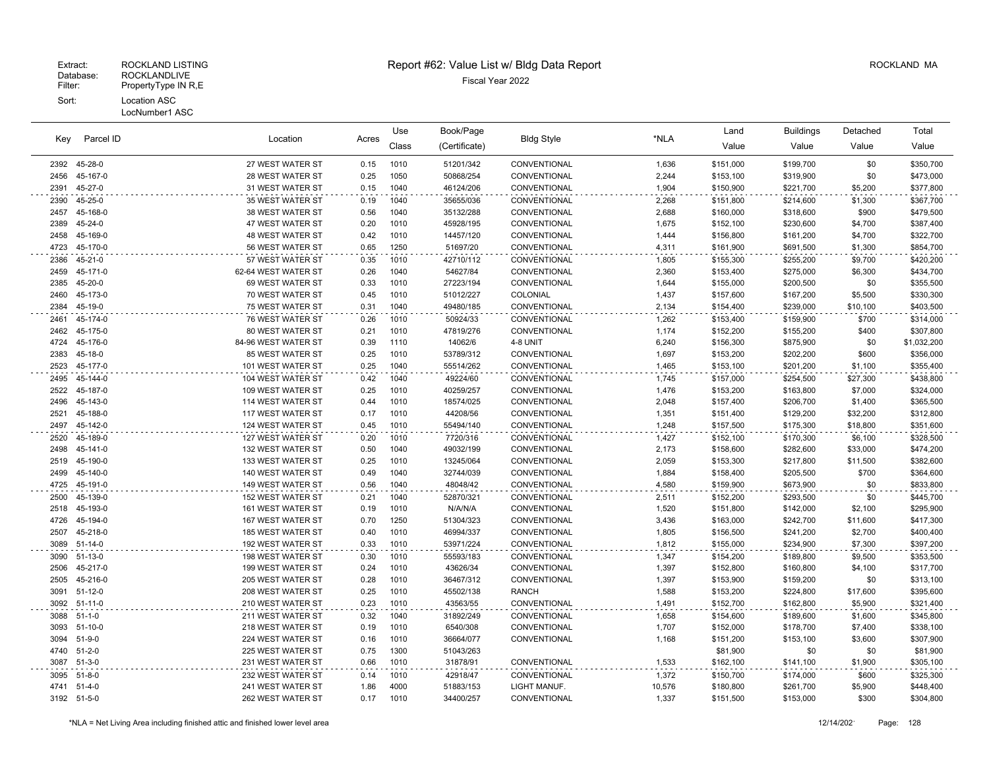| Parcel ID<br>Key    |                              | Location                               |              | Use          | Book/Page              | <b>Bldg Style</b>            |                 | Land                  | <b>Buildings</b>       | Detached         | Total                 |
|---------------------|------------------------------|----------------------------------------|--------------|--------------|------------------------|------------------------------|-----------------|-----------------------|------------------------|------------------|-----------------------|
|                     |                              |                                        | Acres        | Class        | (Certificate)          |                              | *NLA            | Value                 | Value                  | Value            | Value                 |
| 2392                | 45-28-0                      | 27 WEST WATER ST                       | 0.15         | 1010         | 51201/342              | CONVENTIONAL                 | 1,636           | \$151,000             | \$199,700              | \$0              | \$350,700             |
| 2456                | 45-167-0                     | 28 WEST WATER ST                       | 0.25         | 1050         | 50868/254              | CONVENTIONAL                 | 2,244           | \$153,100             | \$319,900              | \$0              | \$473,000             |
| 2391                | 45-27-0                      | 31 WEST WATER ST                       | 0.15         | 1040         | 46124/206              | CONVENTIONAL                 | 1,904           | \$150,900             | \$221,700              | \$5,200          | \$377,800             |
| 2390                | 45-25-0                      | 35 WEST WATER ST                       | 0.19         | 1040         | 35655/036              | CONVENTIONAL                 | 2,268           | \$151,800             | \$214,600              | \$1,300          | \$367,700             |
| 2457                | 45-168-0                     | 38 WEST WATER ST                       | 0.56         | 1040         | 35132/288              | CONVENTIONAL                 | 2,688           | \$160,000             | \$318,600              | \$900            | \$479,500             |
| 2389                | 45-24-0                      | 47 WEST WATER ST                       | 0.20         | 1010         | 45928/195              | CONVENTIONAL                 | 1,675           | \$152,100             | \$230,600              | \$4,700          | \$387,400             |
| 2458                | 45-169-0                     | 48 WEST WATER ST                       | 0.42         | 1010         | 14457/120              | CONVENTIONAL                 | 1,444           | \$156,800             | \$161,200              | \$4,700          | \$322,700             |
| 4723                | 45-170-0                     | 56 WEST WATER ST                       | 0.65         | 1250         | 51697/20               | CONVENTIONAL                 | 4,311           | \$161,900             | \$691,500              | \$1,300          | \$854,700             |
| 2386                | 45-21-0                      | 57 WEST WATER ST                       | 0.35         | 1010         | 42710/112              | CONVENTIONAL                 | 1,805           | \$155,300             | \$255,200              | \$9,700          | \$420,200             |
| 2459                | 45-171-0                     | 62-64 WEST WATER ST                    | 0.26         | 1040         | 54627/84               | <b>CONVENTIONAL</b>          | 2,360           | \$153,400             | \$275,000              | \$6,300          | \$434,700             |
| 2385                | 45-20-0                      | 69 WEST WATER ST                       | 0.33         | 1010         | 27223/194              | CONVENTIONAL                 | 1,644           | \$155,000             | \$200,500              | \$0              | \$355,500             |
| 2460                | 45-173-0                     | 70 WEST WATER ST                       | 0.45         | 1010         | 51012/227              | <b>COLONIAL</b>              | 1,437           | \$157,600             | \$167,200              | \$5,500          | \$330,300             |
| 2384                | 45-19-0                      | 75 WEST WATER ST                       | 0.31         | 1040         | 49480/185              | CONVENTIONAL                 | 2,134           | \$154,400             | \$239,000              | \$10,100         | \$403,500             |
| 2461                | 45-174-0                     | 76 WEST WATER ST                       | 0.26         | 1010         | 50924/33               | CONVENTIONAL                 | 1,262           | \$153,400             | \$159,900              | \$700            | \$314,000             |
| 2462                | 45-175-0                     | 80 WEST WATER ST                       | 0.21         | 1010         | 47819/276              | CONVENTIONAL                 | 1,174           | \$152,200             | \$155,200              | \$400            | \$307,800             |
| 4724                | 45-176-0                     | 84-96 WEST WATER ST                    | 0.39         | 1110         | 14062/6                | 4-8 UNIT                     | 6,240           | \$156,300             | \$875,900              | \$0              | \$1,032,200           |
| 2383                | 45-18-0                      | 85 WEST WATER ST                       | 0.25         | 1010         | 53789/312              | CONVENTIONAL                 | 1,697           | \$153,200             | \$202,200              | \$600            | \$356,000             |
| 2523                | 45-177-0                     | 101 WEST WATER ST                      | 0.25         | 1040         | 55514/262              | CONVENTIONAL                 | 1,465           | \$153,100             | \$201,200              | \$1,100          | \$355,400             |
| 2495                | 45-144-0                     | 104 WEST WATER ST                      | 0.42         | 1040         | 49224/60               | CONVENTIONAL                 | 1,745           | \$157,000             | \$254,500              | \$27,300         | \$438,800             |
| 2522                | 45-187-0                     | 109 WEST WATER ST                      | 0.25         | 1010         | 40259/257              | CONVENTIONAL                 | 1,476           | \$153,200             | \$163,800              | \$7,000          | \$324,000             |
| 2496                | 45-143-0                     | 114 WEST WATER ST                      | 0.44         | 1010         | 18574/025              | CONVENTIONAL                 | 2,048           | \$157,400             | \$206,700              | \$1,400          | \$365,500             |
| 2521                | 45-188-0                     | 117 WEST WATER ST                      | 0.17         | 1010         | 44208/56               | CONVENTIONAL                 | 1,351           | \$151,400             | \$129,200              | \$32,200         | \$312,800             |
| 2497                | 45-142-0                     | 124 WEST WATER ST                      | 0.45         | 1010         | 55494/140              | CONVENTIONAL                 | 1,248           | \$157,500             | \$175,300              | \$18,800         | \$351,600             |
| 2520                | 45-189-0                     | 127 WEST WATER ST                      | 0.20         | 1010         | 7720/316               | CONVENTIONAL                 | 1,427           | \$152,100             | \$170,300              | \$6,100          | \$328,500             |
| 2498                | 45-141-0                     | 132 WEST WATER ST                      | 0.50         | 1040         | 49032/199              | CONVENTIONAL                 | 2,173           | \$158,600             | \$282,600              | \$33,000         | \$474,200             |
| 2519                | 45-190-0                     | 133 WEST WATER ST                      | 0.25         | 1010         | 13245/064              | CONVENTIONAL                 | 2,059           | \$153,300             | \$217,800              | \$11,500         | \$382,600             |
| 2499                | 45-140-0                     | 140 WEST WATER ST                      | 0.49         | 1040         | 32744/039              | CONVENTIONAL                 | 1,884           | \$158,400             | \$205,500              | \$700            | \$364,600             |
| 4725                | 45-191-0                     | 149 WEST WATER ST                      | 0.56         | 1040         | 48048/42               | CONVENTIONAL                 | 4,580           | \$159,900             | \$673,900              | \$0              | \$833,800             |
| 2500                | 45-139-0                     | <b>152 WEST WATER ST</b>               | 0.21         | 1040         | 52870/321              | CONVENTIONAL                 | 2,511           | \$152,200             | \$293,500              | \$0              | \$445,700             |
| 2518                | 45-193-0                     | 161 WEST WATER ST                      | 0.19         | 1010         | N/A/N/A                | CONVENTIONAL                 | 1,520           | \$151,800             | \$142,000              | \$2,100          | \$295,900             |
| 4726                | 45-194-0                     | 167 WEST WATER ST                      | 0.70         | 1250         | 51304/323              | CONVENTIONAL                 | 3,436           | \$163,000             | \$242,700              | \$11,600         | \$417,300             |
| 2507                | 45-218-0                     | 185 WEST WATER ST                      | 0.40         | 1010         | 46994/337              | CONVENTIONAL                 | 1,805           | \$156,500             | \$241,200              | \$2,700          | \$400,400             |
| 3089                | $51 - 14 - 0$                | 192 WEST WATER ST                      | 0.33         | 1010         | 53971/224              | CONVENTIONAL                 | 1,812           | \$155,000             | \$234,900              | \$7,300          | \$397,200             |
| 3090                | $51-13-0$                    | 198 WEST WATER ST                      | 0.30         | 1010         | 55593/183              | CONVENTIONAL                 | 1,347           | \$154,200             | \$189,800              | \$9,500          | \$353,500             |
| 2506                | 45-217-0                     | 199 WEST WATER ST                      | 0.24         | 1010         | 43626/34               | CONVENTIONAL                 | 1,397           | \$152,800             | \$160,800              | \$4,100          | \$317,700             |
| 2505                | 45-216-0                     | 205 WEST WATER ST                      | 0.28         | 1010         | 36467/312              | CONVENTIONAL                 | 1,397           | \$153,900             | \$159,200              | \$0              | \$313,100             |
| 3091<br>3092        | 51-12-0<br>$51 - 11 - 0$     | 208 WEST WATER ST                      | 0.25<br>0.23 | 1010<br>1010 | 45502/138              | <b>RANCH</b>                 | 1,588           | \$153,200             | \$224,800              | \$17,600         | \$395,600             |
|                     |                              | 210 WEST WATER ST                      |              |              | 43563/55               | CONVENTIONAL                 | 1,491           | \$152,700             | \$162,800              | \$5,900          | \$321,400             |
| 3088                | $51 - 1 - 0$                 | 211 WEST WATER ST                      | 0.32         | 1040         | 31892/249              | CONVENTIONAL                 | 1,658           | \$154,600             | \$189,600              | \$1,600          | \$345,800             |
| 3093                | $51-10-0$                    | 218 WEST WATER ST                      | 0.19         | 1010         | 6540/308               | <b>CONVENTIONAL</b>          | 1,707           | \$152,000             | \$178,700              | \$7,400          | \$338,100             |
| 3094<br>4740        | $51 - 9 - 0$<br>$51 - 2 - 0$ | 224 WEST WATER ST<br>225 WEST WATER ST | 0.16<br>0.75 | 1010<br>1300 | 36664/077<br>51043/263 | CONVENTIONAL                 | 1,168           | \$151,200<br>\$81,900 | \$153,100<br>\$0       | \$3,600<br>\$0   | \$307,900             |
| 3087                | $51 - 3 - 0$                 | 231 WEST WATER ST                      | 0.66         | 1010         | 31878/91               | <b>CONVENTIONAL</b>          | 1,533           | \$162,100             | \$141,100              | \$1,900          | \$81,900<br>\$305,100 |
|                     |                              |                                        |              |              |                        |                              |                 |                       |                        |                  |                       |
| 3095                | $51 - 8 - 0$                 | 232 WEST WATER ST                      | 0.14         | 1010<br>4000 | 42918/47               | CONVENTIONAL                 | 1,372<br>10,576 | \$150,700             | \$174,000              | \$600            | \$325,300             |
| 4741<br>3192 51-5-0 | $51 - 4 - 0$                 | 241 WEST WATER ST<br>262 WEST WATER ST | 1.86<br>0.17 | 1010         | 51883/153<br>34400/257 | LIGHT MANUF.<br>CONVENTIONAL | 1,337           | \$180,800             | \$261,700<br>\$153,000 | \$5,900<br>\$300 | \$448,400             |
|                     |                              |                                        |              |              |                        |                              |                 | \$151,500             |                        |                  | \$304,800             |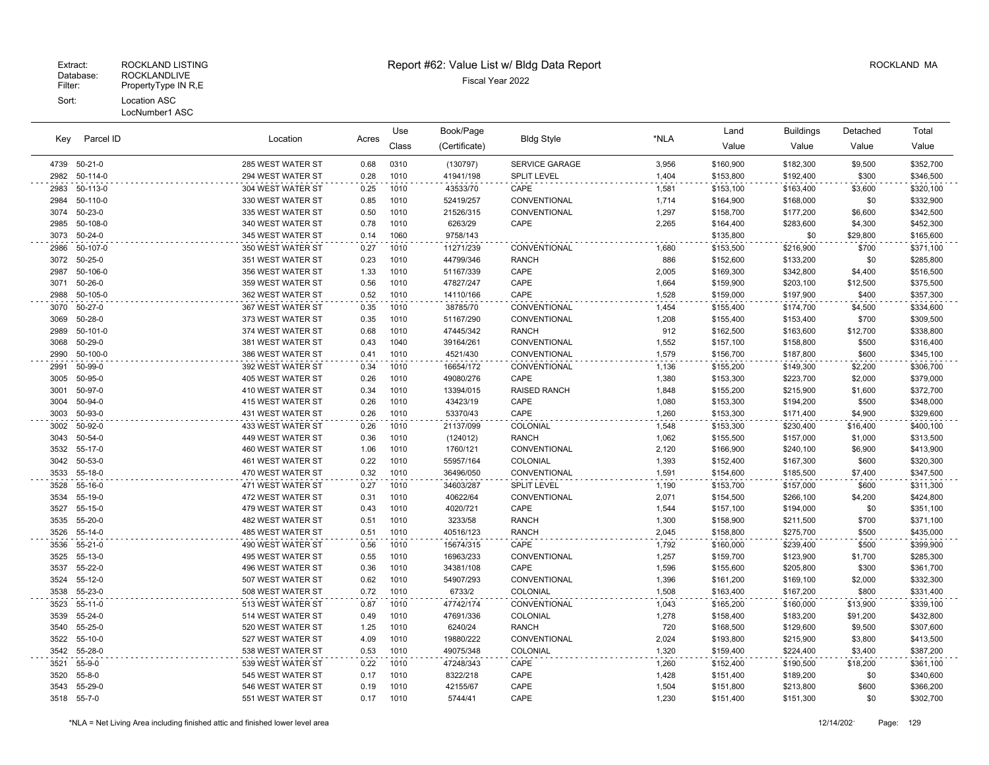| Parcel ID<br>Key | Location                |                                        | Use          | Book/Page    |                     |                     | Land           | <b>Buildings</b>       | Detached               | Total        |                        |
|------------------|-------------------------|----------------------------------------|--------------|--------------|---------------------|---------------------|----------------|------------------------|------------------------|--------------|------------------------|
|                  |                         |                                        | Acres        | Class        | (Certificate)       | <b>Bldg Style</b>   | *NLA           | Value                  | Value                  | Value        | Value                  |
| 4739             | 50-21-0                 | 285 WEST WATER ST                      | 0.68         | 0310         | (130797)            | SERVICE GARAGE      | 3,956          | \$160,900              | \$182,300              | \$9,500      | \$352,700              |
| 2982             | 50-114-0                | 294 WEST WATER ST                      | 0.28         | 1010         | 41941/198           | SPLIT LEVEL         | 1,404          | \$153,800              | \$192,400              | \$300        | \$346,500              |
| 2983             | 50-113-0                | 304 WEST WATER ST                      | 0.25         | 1010         | 43533/70            | CAPE                | 1,581          | \$153,100              | \$163,400              | \$3,600      | \$320,100              |
| 2984             | 50-110-0                | 330 WEST WATER ST                      | 0.85         | 1010         | 52419/257           | CONVENTIONAL        | 1,714          | \$164,900              | \$168,000              | \$0          | \$332,900              |
| 3074             | 50-23-0                 | 335 WEST WATER ST                      | 0.50         | 1010         | 21526/315           | CONVENTIONAL        | 1,297          | \$158,700              | \$177,200              | \$6,600      | \$342,500              |
| 2985             | 50-108-0                | 340 WEST WATER ST                      | 0.78         | 1010         | 6263/29             | CAPE                | 2,265          | \$164,400              | \$283,600              | \$4,300      | \$452,300              |
| 3073             | $50 - 24 - 0$           | 345 WEST WATER ST                      | 0.14         | 1060         | 9758/143            |                     |                | \$135,800              | \$0                    | \$29,800     | \$165,600              |
| 2986             | 50-107-0                | 350 WEST WATER ST                      | 0.27         | 1010         | 11271/239           | CONVENTIONAL        | 1,680          | \$153,500              | \$216,900              | \$700        | \$371,100              |
| 3072             | $50 - 25 - 0$           | 351 WEST WATER ST                      | 0.23         | 1010         | 44799/346           | <b>RANCH</b>        | 886            | \$152,600              | \$133,200              | \$0          | \$285,800              |
| 2987             | 50-106-0                | 356 WEST WATER ST                      | 1.33         | 1010         | 51167/339           | CAPE                | 2,005          | \$169,300              | \$342,800              | \$4,400      | \$516,500              |
| 3071             | 50-26-0                 | 359 WEST WATER ST                      | 0.56         | 1010         | 47827/247           | CAPE                | 1,664          | \$159,900              | \$203,100              | \$12,500     | \$375,500              |
| 2988             | 50-105-0                | 362 WEST WATER ST                      | 0.52         | 1010         | 14110/166           | CAPE                | 1,528          | \$159,000              | \$197,900              | \$400        | \$357,300              |
| 3070             | 50-27-0                 | 367 WEST WATER ST                      | 0.35         | 1010         | 38785/70            | CONVENTIONAL        | 1,454          | \$155,400              | \$174,700              | \$4,500      | \$334,600              |
| 3069             | $50 - 28 - 0$           | 373 WEST WATER ST                      | 0.35         | 1010         | 51167/290           | CONVENTIONAL        | 1,208          | \$155,400              | \$153,400              | \$700        | \$309,500              |
| 2989             | 50-101-0                | 374 WEST WATER ST                      | 0.68         | 1010         | 47445/342           | <b>RANCH</b>        | 912            | \$162,500              | \$163,600              | \$12,700     | \$338,800              |
| 3068             | 50-29-0                 | 381 WEST WATER ST                      | 0.43         | 1040         | 39164/261           | CONVENTIONAL        | 1,552          | \$157,100              | \$158,800              | \$500        | \$316,400              |
| 2990             | 50-100-0                | 386 WEST WATER ST                      | 0.41         | 1010         | 4521/430            | CONVENTIONAL        | 1,579          | \$156,700              | \$187,800              | \$600        | \$345,100              |
| 2991             | 50-99-0                 | 392 WEST WATER ST                      | 0.34         | 1010         | 16654/172           | CONVENTIONAL        | 1,136          | \$155,200              | \$149,300              | \$2,200      | \$306,700              |
| 3005             | 50-95-0                 | 405 WEST WATER ST                      | 0.26         | 1010         | 49080/276           | CAPE                | 1,380          | \$153,300              | \$223,700              | \$2,000      | \$379,000              |
| 3001             | 50-97-0                 | 410 WEST WATER ST                      | 0.34         | 1010         | 13394/015           | <b>RAISED RANCH</b> | 1,848          | \$155,200              | \$215,900              | \$1,600      | \$372,700              |
| 3004             | 50-94-0                 | 415 WEST WATER ST                      | 0.26         | 1010         | 43423/19            | CAPE                | 1,080          | \$153,300              | \$194,200              | \$500        | \$348,000              |
| 3003             | 50-93-0                 | 431 WEST WATER ST                      | 0.26         | 1010         | 53370/43            | CAPE                | 1,260          | \$153,300              | \$171,400              | \$4,900      | \$329,600              |
| 3002             | 50-92-0                 | 433 WEST WATER ST                      | 0.26         | 1010         | 21137/099           | COLONIAL            | 1,548          | \$153,300              | \$230,400              | \$16,400     | \$400,100              |
| 3043             | 50-54-0                 | 449 WEST WATER ST                      | 0.36         | 1010         | (124012)            | <b>RANCH</b>        | 1,062          | \$155,500              | \$157,000              | \$1,000      | \$313,500              |
| 3532             | 55-17-0                 | 460 WEST WATER ST                      | 1.06         | 1010         | 1760/121            | CONVENTIONAL        | 2,120          | \$166,900              | \$240,100              | \$6,900      | \$413,900              |
| 3042             | 50-53-0                 | 461 WEST WATER ST                      | 0.22         | 1010         | 55957/164           | COLONIAL            | 1,393          | \$152,400              | \$167,300              | \$600        | \$320,300              |
| 3533             | 55-18-0                 | 470 WEST WATER ST                      | 0.32         | 1010         | 36496/050           | CONVENTIONAL        | 1,591          | \$154,600              | \$185,500              | \$7,400      | \$347,500              |
| 3528             | 55-16-0                 | 471 WEST WATER ST                      | 0.27         | 1010         | 34603/287           | <b>SPLIT LEVEL</b>  | 1,190          | \$153,700              | \$157,000              | \$600        | \$311,300              |
| 3534             | 55-19-0                 | 472 WEST WATER ST                      | 0.31         | 1010         | 40622/64            | CONVENTIONAL        | 2,071          | \$154,500              | \$266,100              | \$4,200      | \$424,800              |
| 3527             | 55-15-0                 | 479 WEST WATER ST                      | 0.43         | 1010         | 4020/721            | CAPE                | 1,544          | \$157,100              | \$194,000              | \$0          | \$351,100              |
| 3535             | 55-20-0                 | 482 WEST WATER ST                      | 0.51         | 1010         | 3233/58             | <b>RANCH</b>        | 1,300          | \$158,900              | \$211,500              | \$700        | \$371,100              |
| 3526             | 55-14-0                 | 485 WEST WATER ST                      | 0.51         | 1010         | 40516/123           | <b>RANCH</b>        | 2,045          | \$158,800              | \$275,700              | \$500        | \$435,000              |
| 3536             | $55 - 21 - 0$           | 490 WEST WATER ST                      | 0.56         | 1010         | 15674/315           | CAPE                | 1,792          | \$160,000              | \$239,400              | \$500        | \$399,900              |
| 3525             | $55-13-0$               | 495 WEST WATER ST                      | 0.55         | 1010         | 16963/233           | CONVENTIONAL        | 1,257          | \$159,700              | \$123,900              | \$1,700      | \$285,300              |
| 3537             | 55-22-0                 | 496 WEST WATER ST                      | 0.36         | 1010         | 34381/108           | CAPE                | 1,596          | \$155,600              | \$205,800              | \$300        | \$361,700              |
| 3524             | $55-12-0$               | 507 WEST WATER ST                      | 0.62         | 1010         | 54907/293           | CONVENTIONAL        | 1,396          | \$161,200              | \$169,100              | \$2,000      | \$332,300              |
| 3538             | 55-23-0                 | 508 WEST WATER ST                      | 0.72         | 1010         | 6733/2              | COLONIAL            | 1.508          | \$163,400              | \$167,200              | \$800        | \$331,400              |
| 3523             | $55-11-0$               | 513 WEST WATER ST                      | 0.87         | 1010         | 47742/174           | CONVENTIONAL        | 1,043          | \$165,200              | \$160,000              | \$13,900     | \$339,100              |
| 3539             | 55-24-0                 | 514 WEST WATER ST                      | 0.49         | 1010         | 47691/336           | COLONIAL            | 1,278          | \$158,400              | \$183,200              | \$91,200     | \$432,800              |
| 3540             | 55-25-0                 | 520 WEST WATER ST                      | 1.25         | 1010         | 6240/24             | <b>RANCH</b>        | 720            | \$168,500              | \$129,600              | \$9,500      | \$307,600              |
| 3522             | $55-10-0$               | 527 WEST WATER ST                      | 4.09         | 1010         | 19880/222           | CONVENTIONAL        | 2,024          | \$193,800              | \$215,900              | \$3,800      | \$413,500              |
| 3542             | 55-28-0                 | 538 WEST WATER ST                      | 0.53         | 1010         | 49075/348           | COLONIAL            | 1,320          | \$159,400              | \$224,400              | \$3,400      | \$387,200              |
| 3521             | $55-9-0$                | 539 WEST WATER ST                      | 0.22         | 1010         | 47248/343           | CAPE                | 1,260          | \$152,400              | \$190,500              | \$18,200     | \$361,100              |
| 3520             | $55 - 8 - 0$            | 545 WEST WATER ST                      | 0.17         | 1010         | 8322/218            | CAPE<br>CAPE        | 1,428          | \$151,400              | \$189,200              | \$0          | \$340,600              |
| 3543<br>3518     | 55-29-0<br>$55 - 7 - 0$ | 546 WEST WATER ST<br>551 WEST WATER ST | 0.19<br>0.17 | 1010<br>1010 | 42155/67<br>5744/41 | CAPE                | 1,504<br>1,230 | \$151,800<br>\$151,400 | \$213,800<br>\$151,300 | \$600<br>\$0 | \$366,200<br>\$302,700 |
|                  |                         |                                        |              |              |                     |                     |                |                        |                        |              |                        |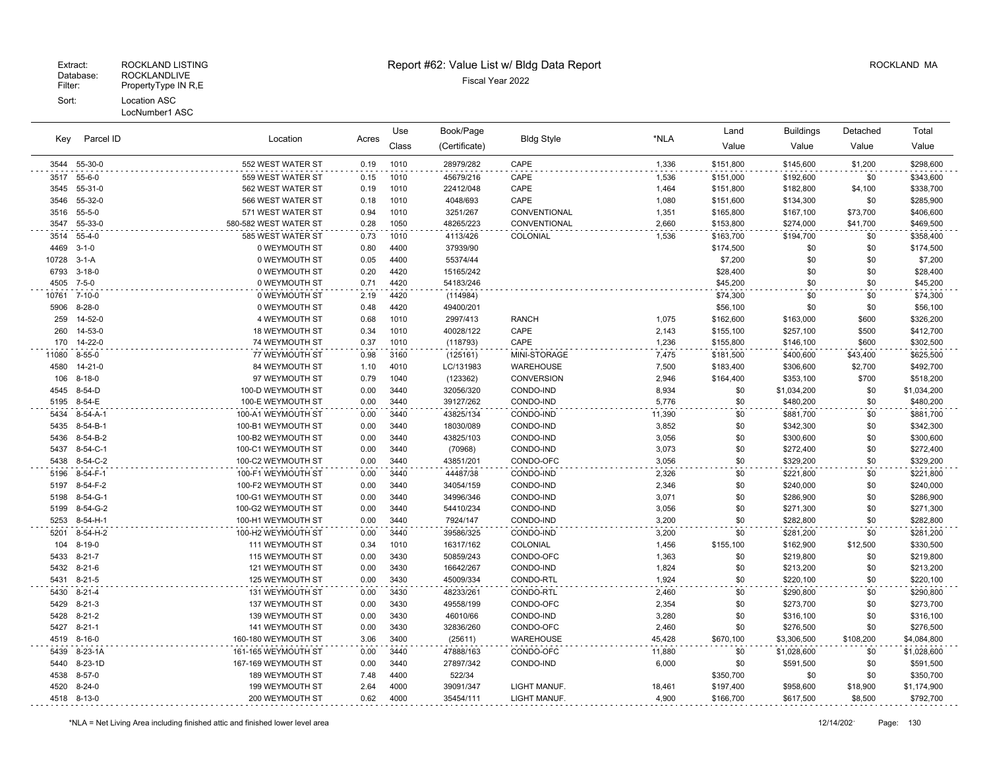| Parcel ID<br>Key |                              |                        |              | Use          | Book/Page     |                        |                 | Land      | <b>Buildings</b> | Detached         | Total       |
|------------------|------------------------------|------------------------|--------------|--------------|---------------|------------------------|-----------------|-----------|------------------|------------------|-------------|
|                  |                              | Location               | Acres        | Class        | (Certificate) | <b>Bldg Style</b>      | *NLA            | Value     | Value            | Value            | Value       |
| 3544             | 55-30-0                      | 552 WEST WATER ST      | 0.19         | 1010         | 28979/282     | CAPE                   | 1,336           | \$151,800 | \$145,600        | \$1,200          | \$298,600   |
| 3517             | $55 - 6 - 0$                 | 559 WEST WATER ST      | 0.15         | 1010         | 45679/216     | CAPE                   | 1,536           | \$151,000 | \$192,600        | \$0              | \$343,600   |
| 3545             | 55-31-0                      | 562 WEST WATER ST      | 0.19         | 1010         | 22412/048     | CAPE                   | 1,464           | \$151,800 | \$182,800        | \$4,100          | \$338,700   |
| 3546             | 55-32-0                      | 566 WEST WATER ST      | 0.18         | 1010         | 4048/693      | CAPE                   | 1,080           | \$151,600 | \$134,300        | \$0              | \$285,900   |
| 3516             | $55 - 5 - 0$                 | 571 WEST WATER ST      | 0.94         | 1010         | 3251/267      | CONVENTIONAL           | 1,351           | \$165,800 | \$167,100        | \$73,700         | \$406,600   |
| 3547             | 55-33-0                      | 580-582 WEST WATER ST  | 0.28         | 1050         | 48265/223     | CONVENTIONAL           | 2,660           | \$153,800 | \$274,000        | \$41,700         | \$469,500   |
| 3514             | $55 - 4 - 0$                 | 585 WEST WATER ST      | 0.73         | 1010         | 4113/426      | COLONIAL               | 1,536           | \$163,700 | \$194,700        | \$0              | \$358,400   |
| 4469             | $3 - 1 - 0$                  | 0 WEYMOUTH ST          | 0.80         | 4400         | 37939/90      |                        |                 | \$174,500 | \$0              | \$0              | \$174,500   |
| 10728            | 3-1-A                        | 0 WEYMOUTH ST          | 0.05         | 4400         | 55374/44      |                        |                 | \$7,200   | \$0              | \$0              | \$7,200     |
| 6793             | $3 - 18 - 0$                 | 0 WEYMOUTH ST          | 0.20         | 4420         | 15165/242     |                        |                 | \$28,400  | \$0              | \$0              | \$28,400    |
| 4505             | $7 - 5 - 0$                  | 0 WEYMOUTH ST          | 0.71         | 4420         | 54183/246     |                        |                 | \$45,200  | \$0              | \$0              | \$45,200    |
| 10761            | 7-10-0                       | 0 WEYMOUTH ST          | 2.19         | 4420         | (114984)      |                        |                 | \$74,300  | \$0              | \$0              | \$74,300    |
| 5906             | $8 - 28 - 0$                 | 0 WEYMOUTH ST          | 0.48         | 4420         | 49400/201     |                        |                 | \$56,100  | \$0              | \$0              | \$56,100    |
| 259              | 14-52-0                      | 4 WEYMOUTH ST          | 0.68         | 1010         | 2997/413      | <b>RANCH</b>           | 1,075           | \$162,600 | \$163,000        | \$600            | \$326,200   |
| 260              | 14-53-0                      | <b>18 WEYMOUTH ST</b>  | 0.34         | 1010         | 40028/122     | CAPE                   | 2,143           | \$155,100 | \$257,100        | \$500            | \$412,700   |
| 170              | 14-22-0                      | 74 WEYMOUTH ST         | 0.37         | 1010         | (118793)      | CAPE                   | 1,236           | \$155,800 | \$146,100        | \$600            | \$302,500   |
| 11080            | $8 - 55 - 0$                 | 77 WEYMOUTH ST         | 0.98         | 3160         | (125161)      | MINI-STORAGE           | 7,475           | \$181,500 | \$400,600        | \$43,400         | \$625,500   |
| 4580             | $14 - 21 - 0$                | 84 WEYMOUTH ST         | 1.10         | 4010         | LC/131983     | WAREHOUSE              | 7,500           | \$183,400 | \$306,600        | \$2,700          | \$492,700   |
| 106              | $8 - 18 - 0$                 | 97 WEYMOUTH ST         | 0.79         | 1040         | (123362)      | <b>CONVERSION</b>      | 2,946           | \$164,400 | \$353,100        | \$700            | \$518,200   |
| 4545             | 8-54-D                       | 100-D WEYMOUTH ST      | 0.00         | 3440         | 32056/320     | CONDO-IND              | 8,934           | \$0       | \$1,034,200      | \$0              | \$1,034,200 |
| 5195             | 8-54-E                       | 100-E WEYMOUTH ST      | 0.00         | 3440         | 39127/262     | CONDO-IND              | 5,776           | \$0       | \$480,200        | \$0              | \$480,200   |
| 5434             | 8-54-A-1                     | 100-A1 WEYMOUTH ST     | 0.00         | 3440         | 43825/134     | CONDO-IND              | 11,390          | \$0       | \$881,700        | \$0              | \$881,700   |
| 5435             | $8 - 54 - B - 1$             | 100-B1 WEYMOUTH ST     | 0.00         | 3440         | 18030/089     | CONDO-IND              | 3,852           | \$0       | \$342,300        | \$0              | \$342,300   |
| 5436             | 8-54-B-2                     | 100-B2 WEYMOUTH ST     | 0.00         | 3440         | 43825/103     | CONDO-IND              | 3,056           | \$0       | \$300,600        | \$0              | \$300,600   |
| 5437             | 8-54-C-1                     | 100-C1 WEYMOUTH ST     | 0.00         | 3440         | (70968)       | CONDO-IND              | 3,073           | \$0       | \$272,400        | \$0              | \$272,400   |
| 5438             | 8-54-C-2                     | 100-C2 WEYMOUTH ST     | 0.00         | 3440         | 43851/201     | CONDO-OFC              | 3,056           | \$0       | \$329,200        | \$0              | \$329,200   |
| 5196             | 8-54-F-1                     | 100-F1 WEYMOUTH ST     | 0.00         | 3440         | 44487/38      | CONDO-IND              | 2,326           | \$0       | \$221,800        | \$0              | \$221,800   |
| 5197             | 8-54-F-2                     | 100-F2 WEYMOUTH ST     | 0.00         | 3440         | 34054/159     | CONDO-IND              | 2,346           | \$0       | \$240,000        | \$0              | \$240,000   |
| 5198             | 8-54-G-1                     | 100-G1 WEYMOUTH ST     | 0.00         | 3440         | 34996/346     | CONDO-IND              | 3,071           | \$0       | \$286,900        | \$0              | \$286,900   |
| 5199             | 8-54-G-2                     | 100-G2 WEYMOUTH ST     | 0.00         | 3440         | 54410/234     | CONDO-IND              | 3,056           | \$0       | \$271,300        | \$0              | \$271,300   |
| 5253             | 8-54-H-1                     | 100-H1 WEYMOUTH ST     | 0.00         | 3440         | 7924/147      | CONDO-IND              | 3,200           | \$0       | \$282,800        | \$0              | \$282,800   |
| 5201             | 8-54-H-2                     | 100-H2 WEYMOUTH ST     | 0.00         | 3440         | 39586/325     | CONDO-IND              | 3,200           | \$0       | \$281,200        | \$0              | \$281,200   |
| 104              | $8 - 19 - 0$                 | 111 WEYMOUTH ST        | 0.34         | 1010         | 16317/162     | COLONIAL               | 1,456           | \$155,100 | \$162,900        | \$12,500         | \$330,500   |
| 5433             | $8 - 21 - 7$                 | 115 WEYMOUTH ST        | 0.00         | 3430         | 50859/243     | CONDO-OFC              | 1,363           | \$0       | \$219,800        | \$0              | \$219,800   |
| 5432             | $8 - 21 - 6$                 | 121 WEYMOUTH ST        | 0.00         | 3430         | 16642/267     | CONDO-IND              | 1,824           | \$0       | \$213,200        | \$0              | \$213,200   |
| 5431             | $8 - 21 - 5$                 | 125 WEYMOUTH ST        | 0.00         | 3430         | 45009/334     | CONDO-RTL              | 1,924           | \$0       | \$220,100        | \$0              | \$220,100   |
| 5430             | $8 - 21 - 4$                 | 131 WEYMOUTH ST        | 0.00         | 3430         | 48233/261     | CONDO-RTL              | 2,460           | \$0       | \$290,800        | \$0              | \$290,800   |
| 5429             | $8 - 21 - 3$                 | 137 WEYMOUTH ST        | 0.00         | 3430         | 49558/199     | CONDO-OFC              | 2,354           | \$0       | \$273,700        | \$0              | \$273,700   |
| 5428             | $8 - 21 - 2$                 | 139 WEYMOUTH ST        | 0.00         | 3430         | 46010/66      | CONDO-IND              | 3,280           | \$0       | \$316,100        | \$0              | \$316,100   |
| 5427             | $8 - 21 - 1$<br>$8 - 16 - 0$ | 141 WEYMOUTH ST        | 0.00<br>3.06 | 3430<br>3400 | 32836/260     | CONDO-OFC<br>WAREHOUSE | 2,460<br>45,428 | \$0       | \$276,500        | \$0<br>\$108,200 | \$276,500   |
| 4519             |                              | 160-180 WEYMOUTH ST    |              |              | (25611)       |                        |                 | \$670,100 | \$3,306,500      |                  | \$4,084,800 |
| 5439             | 8-23-1A                      | 161-165 WEYMOUTH ST    | 0.00         | 3440         | 47888/163     | CONDO-OFC              | 11,880          | \$0       | \$1,028,600      | \$0              | \$1,028,600 |
| 5440             | 8-23-1D                      | 167-169 WEYMOUTH ST    | 0.00         | 3440         | 27897/342     | CONDO-IND              | 6,000           | \$0       | \$591,500        | \$0              | \$591,500   |
| 4538             | $8 - 57 - 0$                 | <b>189 WEYMOUTH ST</b> | 7.48         | 4400         | 522/34        |                        |                 | \$350,700 | \$0              | \$0              | \$350,700   |
| 4520             | $8 - 24 - 0$                 | 199 WEYMOUTH ST        | 2.64<br>0.62 | 4000         | 39091/347     | LIGHT MANUF.           | 18,461<br>4.900 | \$197,400 | \$958,600        | \$18,900         | \$1,174,900 |
| 4518 8-13-0      |                              | 200 WEYMOUTH ST        |              | 4000         | 35454/111     | LIGHT MANUF.           |                 | \$166,700 | \$617,500        | \$8,500          | \$792,700   |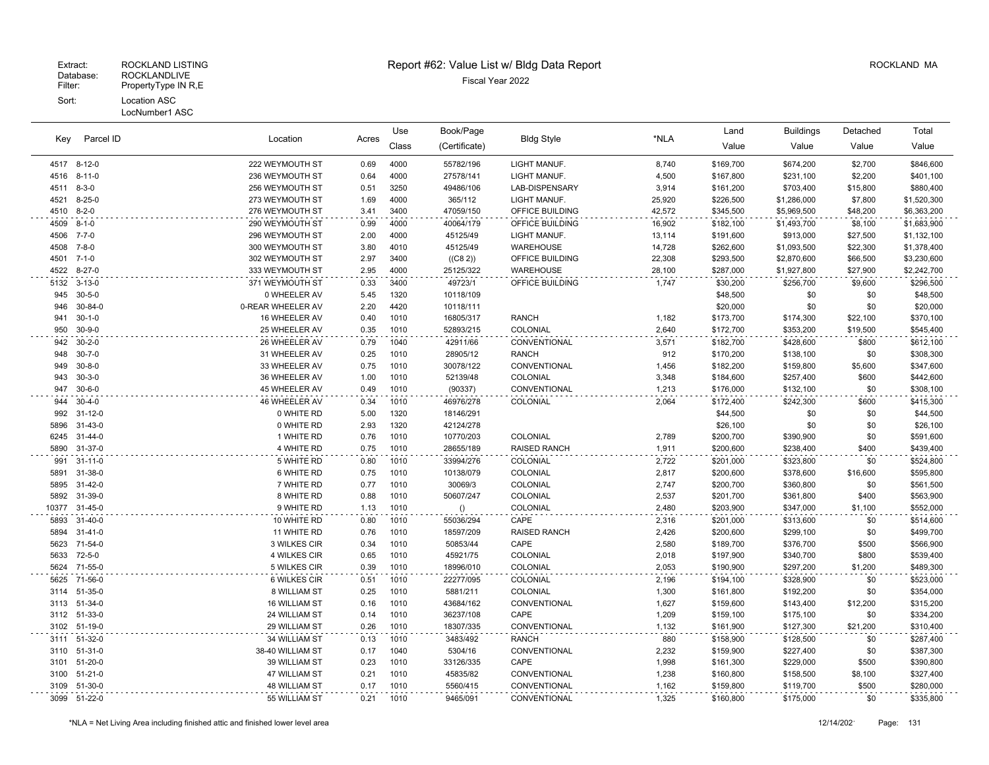| Parcel ID<br>Key | Location      |                   | Use   | Book/Page    | <b>Bldg Style</b> |                     | Land   | <b>Buildings</b> | Detached    | Total    |             |
|------------------|---------------|-------------------|-------|--------------|-------------------|---------------------|--------|------------------|-------------|----------|-------------|
|                  |               |                   | Acres | Class        | (Certificate)     |                     | *NLA   | Value            | Value       | Value    | Value       |
|                  | 4517 8-12-0   | 222 WEYMOUTH ST   | 0.69  | 4000         | 55782/196         | LIGHT MANUF.        | 8,740  | \$169,700        | \$674,200   | \$2,700  | \$846,600   |
|                  | 4516 8-11-0   | 236 WEYMOUTH ST   | 0.64  | 4000         | 27578/141         | LIGHT MANUF.        | 4,500  | \$167,800        | \$231,100   | \$2,200  | \$401,100   |
| 4511 8-3-0       |               | 256 WEYMOUTH ST   | 0.51  | 3250         | 49486/106         | LAB-DISPENSARY      | 3,914  | \$161,200        | \$703,400   | \$15,800 | \$880,400   |
| 4521             | $8 - 25 - 0$  | 273 WEYMOUTH ST   | 1.69  | 4000         | 365/112           | LIGHT MANUF.        | 25,920 | \$226,500        | \$1,286,000 | \$7,800  | \$1,520,300 |
| 4510 8-2-0       |               | 276 WEYMOUTH ST   | 3.41  | 3400         | 47059/150         | OFFICE BUILDING     | 42,572 | \$345,500        | \$5,969,500 | \$48,200 | \$6,363,200 |
| 4509 8-1-0       |               | 290 WEYMOUTH ST   | 0.99  | 4000         | 40064/179         | OFFICE BUILDING     | 16,902 | \$182,100        | \$1,493,700 | \$8,100  | \$1,683,900 |
| 4506             | $7 - 7 - 0$   | 296 WEYMOUTH ST   | 2.00  | 4000         | 45125/49          | LIGHT MANUF.        | 13,114 | \$191,600        | \$913,000   | \$27,500 | \$1,132,100 |
| 4508             | $7 - 8 - 0$   | 300 WEYMOUTH ST   | 3.80  | 4010         | 45125/49          | <b>WAREHOUSE</b>    | 14,728 | \$262,600        | \$1,093,500 | \$22,300 | \$1,378,400 |
| 4501             | $7 - 1 - 0$   | 302 WEYMOUTH ST   | 2.97  | 3400         | ((C8 2))          | OFFICE BUILDING     | 22,308 | \$293,500        | \$2,870,600 | \$66,500 | \$3,230,600 |
|                  | 4522 8-27-0   | 333 WEYMOUTH ST   | 2.95  | 4000         | 25125/322         | WAREHOUSE           | 28,100 | \$287,000        | \$1,927,800 | \$27,900 | \$2,242,700 |
| 5132             | $3 - 13 - 0$  | 371 WEYMOUTH ST   | 0.33  | 3400         | 49723/1           | OFFICE BUILDING     | 1,747  | \$30,200         | \$256,700   | \$9,600  | \$296,500   |
| 945              | $30 - 5 - 0$  | 0 WHEELER AV      | 5.45  | 1320         | 10118/109         |                     |        | \$48,500         | \$0         | \$0      | \$48,500    |
| 946              | 30-84-0       | 0-REAR WHEELER AV | 2.20  | 4420         | 10118/111         |                     |        | \$20,000         | \$0         | \$0      | \$20,000    |
| 941              | $30 - 1 - 0$  | 16 WHEELER AV     | 0.40  | 1010         | 16805/317         | <b>RANCH</b>        | 1,182  | \$173,700        | \$174,300   | \$22,100 | \$370,100   |
| 950              | $30 - 9 - 0$  | 25 WHEELER AV     | 0.35  | 1010         | 52893/215         | COLONIAL            | 2,640  | \$172,700        | \$353,200   | \$19,500 | \$545,400   |
| 942              | $30 - 2 - 0$  | 26 WHEELER AV     | 0.79  | 1040         | 42911/66          | CONVENTIONAL        | 3,571  | \$182,700        | \$428,600   | \$800    | \$612,100   |
| 948              | $30 - 7 - 0$  | 31 WHEELER AV     | 0.25  | 1010         | 28905/12          | <b>RANCH</b>        | 912    | \$170,200        | \$138,100   | \$0      | \$308,300   |
| 949              | $30 - 8 - 0$  | 33 WHEELER AV     | 0.75  | 1010         | 30078/122         | CONVENTIONAL        | 1,456  | \$182,200        | \$159,800   | \$5,600  | \$347,600   |
| 943              | $30 - 3 - 0$  | 36 WHEELER AV     | 1.00  | 1010         | 52139/48          | COLONIAL            | 3,348  | \$184,600        | \$257,400   | \$600    | \$442,600   |
| 947              | $30 - 6 - 0$  | 45 WHEELER AV     | 0.49  | 1010         | (90337)           | CONVENTIONAL        | 1,213  | \$176,000        | \$132,100   | \$0      | \$308,100   |
| 944              | $30 - 4 - 0$  | 46 WHEELER AV     | 0.34  | 1010         | 46976/278         | COLONIAL            | 2,064  | \$172,400        | \$242,300   | \$600    | \$415,300   |
| 992              | $31 - 12 - 0$ | 0 WHITE RD        | 5.00  | 1320         | 18146/291         |                     |        | \$44,500         | \$0         | \$0      | \$44,500    |
| 5896             | $31 - 43 - 0$ | 0 WHITE RD        | 2.93  | 1320         | 42124/278         |                     |        | \$26,100         | \$0         | \$0      | \$26,100    |
| 6245             | 31-44-0       | 1 WHITE RD        | 0.76  | 1010         | 10770/203         | COLONIAL            | 2,789  | \$200,700        | \$390,900   | \$0      | \$591,600   |
| 5890             | 31-37-0       | 4 WHITE RD        | 0.75  | 1010         | 28655/189         | <b>RAISED RANCH</b> | 1,911  | \$200,600        | \$238,400   | \$400    | \$439,400   |
| 991              | $31 - 11 - 0$ | 5 WHITE RD        | 0.80  | 1010         | 33994/276         | COLONIAL            | 2,722  | \$201,000        | \$323,800   | \$0      | \$524,800   |
| 5891             | 31-38-0       | 6 WHITE RD        | 0.75  | 1010         | 10138/079         | COLONIAL            | 2,817  | \$200,600        | \$378,600   | \$16,600 | \$595,800   |
| 5895             | 31-42-0       | 7 WHITE RD        | 0.77  | 1010         | 30069/3           | COLONIAL            | 2,747  | \$200,700        | \$360,800   | \$0      | \$561,500   |
| 5892             | 31-39-0       | 8 WHITE RD        | 0.88  | 1010         | 50607/247         | COLONIAL            | 2,537  | \$201,700        | \$361,800   | \$400    | \$563,900   |
| 10377            | $31 - 45 - 0$ | 9 WHITE RD        | 1.13  | 1010         | ()                | COLONIAL            | 2,480  | \$203,900        | \$347,000   | \$1,100  | \$552,000   |
| 5893             | $31 - 40 - 0$ | 10 WHITE RD       | 0.80  | 1010         | 55036/294         | CAPE                | 2,316  | \$201,000        | \$313,600   | \$0      | \$514,600   |
| 5894             | $31 - 41 - 0$ | 11 WHITE RD       | 0.76  | 1010         | 18597/209         | <b>RAISED RANCH</b> | 2,426  | \$200,600        | \$299,100   | \$0      | \$499,700   |
| 5623             | 71-54-0       | 3 WILKES CIR      | 0.34  | 1010         | 50853/44          | CAPE                | 2,580  | \$189,700        | \$376,700   | \$500    | \$566,900   |
| 5633             | $72 - 5 - 0$  | 4 WILKES CIR      | 0.65  | 1010         | 45921/75          | COLONIAL            | 2,018  | \$197,900        | \$340,700   | \$800    | \$539,400   |
| 5624             | 71-55-0       | 5 WILKES CIR      | 0.39  | 1010         | 18996/010         | COLONIAL            | 2,053  | \$190,900        | \$297,200   | \$1,200  | \$489,300   |
| 5625             | 71-56-0       | 6 WILKES CIR      | 0.51  | 1010         | 22277/095         | COLONIAL            | 2,196  | \$194,100        | \$328,900   | \$0      | \$523,000   |
| 3114             | 51-35-0       | 8 WILLIAM ST      | 0.25  | 1010         | 5881/211          | COLONIAL            | 1,300  | \$161,800        | \$192,200   | \$0      | \$354,000   |
| 3113             | 51-34-0       | 16 WILLIAM ST     | 0.16  | 1010         | 43684/162         | CONVENTIONAL        | 1,627  | \$159,600        | \$143,400   | \$12,200 | \$315,200   |
|                  | 3112 51-33-0  | 24 WILLIAM ST     | 0.14  | 1010<br>1010 | 36237/108         | CAPE                | 1,209  | \$159,100        | \$175,100   | \$0      | \$334,200   |
|                  | 3102 51-19-0  | 29 WILLIAM ST     | 0.26  |              | 18307/335         | CONVENTIONAL        | 1,132  | \$161,900        | \$127,300   | \$21,200 | \$310,400   |
|                  | 3111 51-32-0  | 34 WILLIAM ST     | 0.13  | 1010         | 3483/492          | <b>RANCH</b>        | 880    | \$158,900        | \$128,500   | \$0      | \$287,400   |
|                  | 3110 51-31-0  | 38-40 WILLIAM ST  | 0.17  | 1040         | 5304/16           | CONVENTIONAL        | 2,232  | \$159,900        | \$227,400   | \$0      | \$387,300   |
|                  | 3101 51-20-0  | 39 WILLIAM ST     | 0.23  | 1010         | 33126/335         | CAPE                | 1,998  | \$161,300        | \$229,000   | \$500    | \$390,800   |
|                  | 3100 51-21-0  | 47 WILLIAM ST     | 0.21  | 1010         | 45835/82          | CONVENTIONAL        | 1,238  | \$160,800        | \$158,500   | \$8,100  | \$327,400   |
|                  | 3109 51-30-0  | 48 WILLIAM ST     | 0.17  | 1010         | 5560/415          | CONVENTIONAL        | 1,162  | \$159,800        | \$119,700   | \$500    | \$280,000   |
|                  | 3099 51-22-0  | 55 WILLIAM ST     | 0.21  | 1010         | 9465/091          | CONVENTIONAL        | 1,325  | \$160,800        | \$175,000   | \$0      | \$335,800   |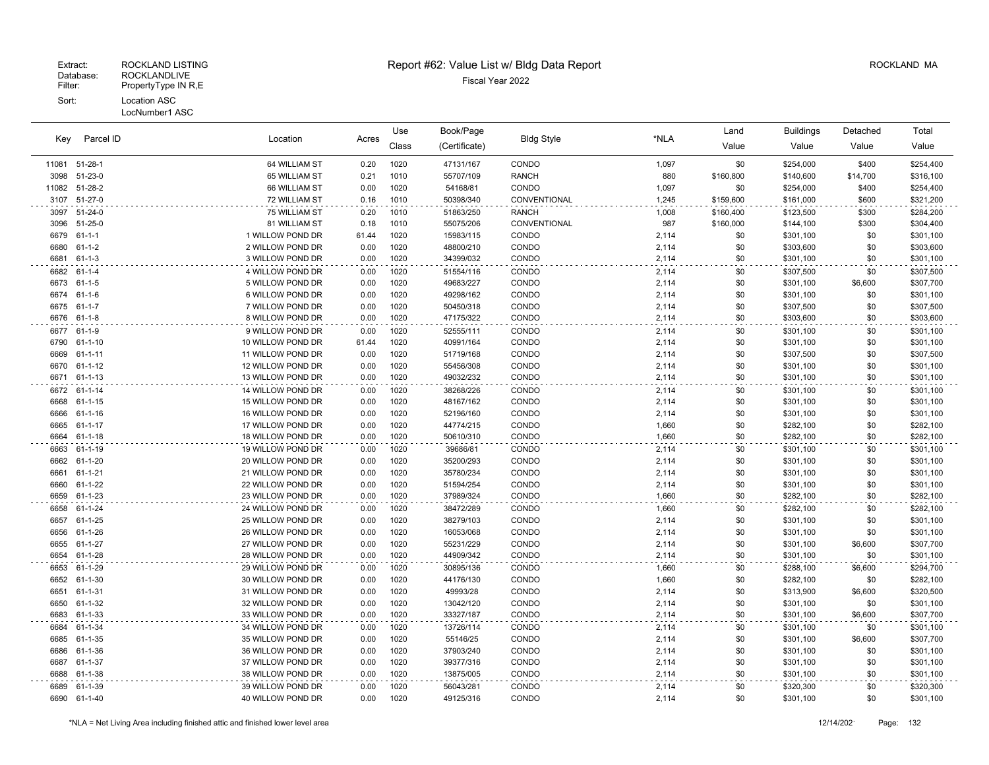#### LocNumber1 ASC

|       |               |                   |       | Use   | Book/Page     | <b>Bldg Style</b> |       | Land      | <b>Buildings</b> | Detached | Total     |
|-------|---------------|-------------------|-------|-------|---------------|-------------------|-------|-----------|------------------|----------|-----------|
| Key   | Parcel ID     | Location          | Acres | Class | (Certificate) |                   | *NLA  | Value     | Value            | Value    | Value     |
|       | 11081 51-28-1 | 64 WILLIAM ST     | 0.20  | 1020  | 47131/167     | CONDO             | 1,097 | \$0       | \$254,000        | \$400    | \$254,400 |
| 3098  | 51-23-0       | 65 WILLIAM ST     | 0.21  | 1010  | 55707/109     | <b>RANCH</b>      | 880   | \$160,800 | \$140,600        | \$14,700 | \$316,100 |
| 11082 | 51-28-2       | 66 WILLIAM ST     | 0.00  | 1020  | 54168/81      | CONDO             | 1,097 | \$0       | \$254,000        | \$400    | \$254,400 |
| 3107  | 51-27-0       | 72 WILLIAM ST     | 0.16  | 1010  | 50398/340     | CONVENTIONAL      | 1,245 | \$159,600 | \$161,000        | \$600    | \$321,200 |
| 3097  | $51 - 24 - 0$ | 75 WILLIAM ST     | 0.20  | 1010  | 51863/250     | <b>RANCH</b>      | 1,008 | \$160,400 | \$123,500        | \$300    | \$284,200 |
| 3096  | $51 - 25 - 0$ | 81 WILLIAM ST     | 0.18  | 1010  | 55075/206     | CONVENTIONAL      | 987   | \$160,000 | \$144,100        | \$300    | \$304,400 |
| 6679  | $61 - 1 - 1$  | 1 WILLOW POND DR  | 61.44 | 1020  | 15983/115     | CONDO             | 2,114 | \$0       | \$301,100        | \$0      | \$301,100 |
| 6680  | $61 - 1 - 2$  | 2 WILLOW POND DR  | 0.00  | 1020  | 48800/210     | CONDO             | 2,114 | \$0       | \$303,600        | \$0      | \$303,600 |
| 6681  | $61 - 1 - 3$  | 3 WILLOW POND DR  | 0.00  | 1020  | 34399/032     | CONDO             | 2,114 | \$0       | \$301,100        | \$0      | \$301,100 |
| 6682  | 61-1-4        | 4 WILLOW POND DR  | 0.00  | 1020  | 51554/116     | CONDO             | 2,114 | \$0       | \$307,500        | \$0      | \$307,500 |
| 6673  | $61 - 1 - 5$  | 5 WILLOW POND DR  | 0.00  | 1020  | 49683/227     | CONDO             | 2,114 | \$0       | \$301,100        | \$6,600  | \$307,700 |
| 6674  | $61 - 1 - 6$  | 6 WILLOW POND DR  | 0.00  | 1020  | 49298/162     | CONDO             | 2,114 | \$0       | \$301,100        | \$0      | \$301,100 |
| 6675  | $61 - 1 - 7$  | 7 WILLOW POND DR  | 0.00  | 1020  | 50450/318     | CONDO             | 2,114 | \$0       | \$307,500        | \$0      | \$307,500 |
| 6676  | $61 - 1 - 8$  | 8 WILLOW POND DR  | 0.00  | 1020  | 47175/322     | CONDO             | 2,114 | \$0       | \$303,600        | \$0      | \$303,600 |
| 6677  | $61 - 1 - 9$  | 9 WILLOW POND DR  | 0.00  | 1020  | 52555/111     | CONDO             | 2,114 | \$0       | \$301,100        | \$0      | \$301,100 |
| 6790  | $61 - 1 - 10$ | 10 WILLOW POND DR | 61.44 | 1020  | 40991/164     | CONDO             | 2,114 | \$0       | \$301,100        | \$0      | \$301,100 |
| 6669  | $61 - 1 - 11$ | 11 WILLOW POND DR | 0.00  | 1020  | 51719/168     | CONDO             | 2,114 | \$0       | \$307,500        | \$0      | \$307,500 |
| 6670  | $61 - 1 - 12$ | 12 WILLOW POND DR | 0.00  | 1020  | 55456/308     | CONDO             | 2,114 | \$0       | \$301,100        | \$0      | \$301,100 |
| 6671  | $61 - 1 - 13$ | 13 WILLOW POND DR | 0.00  | 1020  | 49032/232     | CONDO             | 2,114 | \$0       | \$301,100        | \$0      | \$301,100 |
|       | 6672 61-1-14  | 14 WILLOW POND DR | 0.00  | 1020  | 38268/226     | CONDO             | 2,114 | \$0       | \$301,100        | \$0      | \$301,100 |
| 6668  | $61 - 1 - 15$ | 15 WILLOW POND DR | 0.00  | 1020  | 48167/162     | CONDO             | 2,114 | \$0       | \$301,100        | \$0      | \$301,100 |
| 6666  | 61-1-16       | 16 WILLOW POND DR | 0.00  | 1020  | 52196/160     | CONDO             | 2,114 | \$0       | \$301,100        | \$0      | \$301,100 |
| 6665  | $61 - 1 - 17$ | 17 WILLOW POND DR | 0.00  | 1020  | 44774/215     | CONDO             | 1,660 | \$0       | \$282,100        | \$0      | \$282,100 |
| 6664  | $61 - 1 - 18$ | 18 WILLOW POND DR | 0.00  | 1020  | 50610/310     | CONDO             | 1,660 | \$0       | \$282,100        | \$0      | \$282,100 |
| 6663  | 61-1-19       | 19 WILLOW POND DR | 0.00  | 1020  | 39686/81      | CONDO             | 2,114 | \$0       | \$301,100        | \$0      | \$301,100 |
| 6662  | 61-1-20       | 20 WILLOW POND DR | 0.00  | 1020  | 35200/293     | CONDO             | 2,114 | \$0       | \$301,100        | \$0      | \$301,100 |
| 6661  | $61 - 1 - 21$ | 21 WILLOW POND DR | 0.00  | 1020  | 35780/234     | CONDO             | 2,114 | \$0       | \$301,100        | \$0      | \$301,100 |
| 6660  | $61 - 1 - 22$ | 22 WILLOW POND DR | 0.00  | 1020  | 51594/254     | CONDO             | 2,114 | \$0       | \$301,100        | \$0      | \$301,100 |
| 6659  | $61 - 1 - 23$ | 23 WILLOW POND DR | 0.00  | 1020  | 37989/324     | CONDO             | 1,660 | \$0       | \$282,100        | \$0      | \$282,100 |
| 6658  | $61 - 1 - 24$ | 24 WILLOW POND DR | 0.00  | 1020  | 38472/289     | CONDO             | 1,660 | \$0       | \$282,100        | \$0      | \$282,100 |
| 6657  | $61 - 1 - 25$ | 25 WILLOW POND DR | 0.00  | 1020  | 38279/103     | CONDO             | 2,114 | \$0       | \$301,100        | \$0      | \$301,100 |
| 6656  | 61-1-26       | 26 WILLOW POND DR | 0.00  | 1020  | 16053/068     | CONDO             | 2,114 | \$0       | \$301,100        | \$0      | \$301,100 |
| 6655  | $61 - 1 - 27$ | 27 WILLOW POND DR | 0.00  | 1020  | 55231/229     | CONDO             | 2,114 | \$0       | \$301,100        | \$6,600  | \$307,700 |
| 6654  | $61 - 1 - 28$ | 28 WILLOW POND DR | 0.00  | 1020  | 44909/342     | CONDO             | 2,114 | \$0       | \$301,100        | \$0      | \$301,100 |
| 6653  | 61-1-29       | 29 WILLOW POND DR | 0.00  | 1020  | 30895/136     | CONDO             | 1,660 | \$0       | \$288,100        | \$6,600  | \$294,700 |
| 6652  | 61-1-30       | 30 WILLOW POND DR | 0.00  | 1020  | 44176/130     | CONDO             | 1,660 | \$0       | \$282,100        | \$0      | \$282,100 |
| 6651  | $61 - 1 - 31$ | 31 WILLOW POND DR | 0.00  | 1020  | 49993/28      | CONDO             | 2,114 | \$0       | \$313,900        | \$6,600  | \$320,500 |
| 6650  | 61-1-32       | 32 WILLOW POND DR | 0.00  | 1020  | 13042/120     | CONDO             | 2,114 | \$0       | \$301,100        | \$0      | \$301,100 |
| 6683  | 61-1-33       | 33 WILLOW POND DR | 0.00  | 1020  | 33327/187     | CONDO             | 2,114 | \$0       | \$301,100        | \$6,600  | \$307,700 |
| 6684  | 61-1-34       | 34 WILLOW POND DR | 0.00  | 1020  | 13726/114     | CONDO             | 2,114 | \$0       | \$301,100        | \$0      | \$301,100 |
| 6685  | 61-1-35       | 35 WILLOW POND DR | 0.00  | 1020  | 55146/25      | CONDO             | 2,114 | \$0       | \$301,100        | \$6,600  | \$307,700 |
| 6686  | 61-1-36       | 36 WILLOW POND DR | 0.00  | 1020  | 37903/240     | CONDO             | 2,114 | \$0       | \$301,100        | \$0      | \$301,100 |
| 6687  | 61-1-37       | 37 WILLOW POND DR | 0.00  | 1020  | 39377/316     | CONDO             | 2,114 | \$0       | \$301,100        | \$0      | \$301,100 |
| 6688  | 61-1-38       | 38 WILLOW POND DR | 0.00  | 1020  | 13875/005     | CONDO             | 2,114 | \$0       | \$301,100        | \$0      | \$301,100 |
| 6689  | 61-1-39       | 39 WILLOW POND DR | 0.00  | 1020  | 56043/281     | CONDO             | 2,114 | \$0       | \$320,300        | \$0      | \$320,300 |
|       | 6690 61-1-40  | 40 WILLOW POND DR | 0.00  | 1020  | 49125/316     | CONDO             | 2,114 | \$0       | \$301,100        | \$0      | \$301,100 |
|       |               |                   |       |       |               |                   |       |           |                  |          |           |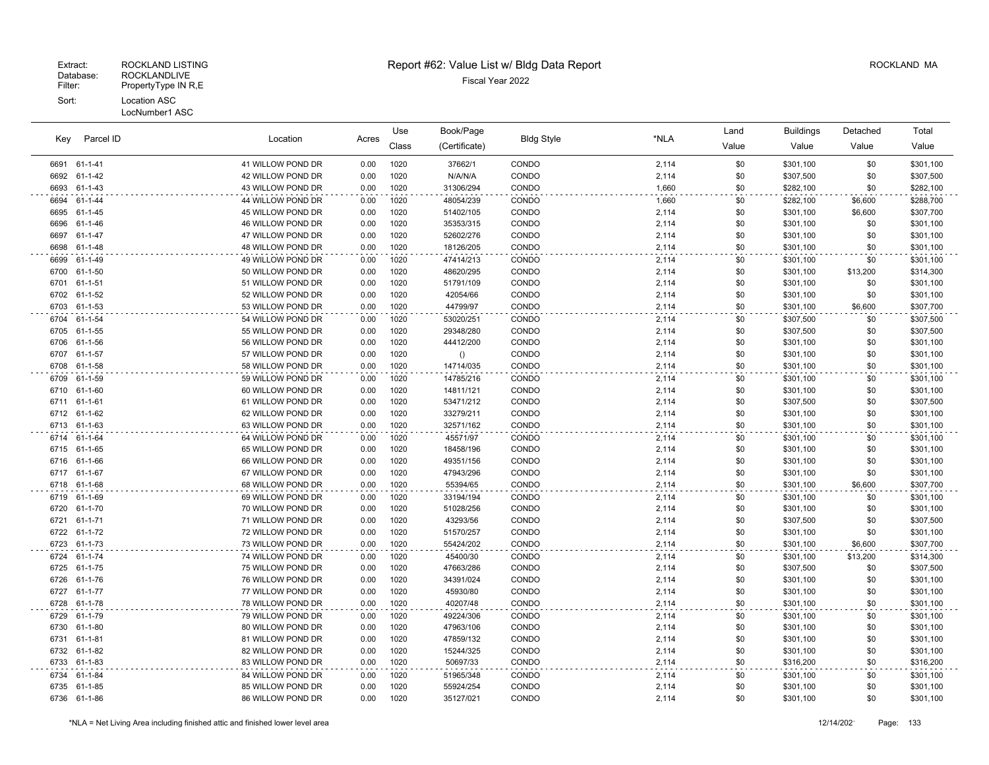| Parcel ID |               | Location          |       | Use   | Book/Page     | <b>Bldg Style</b> | *NLA  | Land  | <b>Buildings</b> | Detached | Total     |
|-----------|---------------|-------------------|-------|-------|---------------|-------------------|-------|-------|------------------|----------|-----------|
| Kev       |               |                   | Acres | Class | (Certificate) |                   |       | Value | Value            | Value    | Value     |
|           | 6691 61-1-41  | 41 WILLOW POND DR | 0.00  | 1020  | 37662/1       | CONDO             | 2,114 | \$0   | \$301,100        | \$0      | \$301,100 |
| 6692      | 61-1-42       | 42 WILLOW POND DR | 0.00  | 1020  | N/A/N/A       | CONDO             | 2,114 | \$0   | \$307,500        | \$0      | \$307,500 |
| 6693      | 61-1-43       | 43 WILLOW POND DR | 0.00  | 1020  | 31306/294     | CONDO             | 1,660 | \$0   | \$282,100        | \$0      | \$282,100 |
| 6694      | 61-1-44       | 44 WILLOW POND DR | 0.00  | 1020  | 48054/239     | CONDO             | 1,660 | \$0   | \$282,100        | \$6,600  | \$288,700 |
| 6695      | 61-1-45       | 45 WILLOW POND DR | 0.00  | 1020  | 51402/105     | CONDO             | 2,114 | \$0   | \$301,100        | \$6,600  | \$307,700 |
| 6696      | 61-1-46       | 46 WILLOW POND DR | 0.00  | 1020  | 35353/315     | CONDO             | 2,114 | \$0   | \$301,100        | \$0      | \$301,100 |
| 6697      | 61-1-47       | 47 WILLOW POND DR | 0.00  | 1020  | 52602/276     | CONDO             | 2,114 | \$0   | \$301,100        | \$0      | \$301,100 |
| 6698      | 61-1-48       | 48 WILLOW POND DR | 0.00  | 1020  | 18126/205     | CONDO             | 2,114 | \$0   | \$301,100        | \$0      | \$301,100 |
| 6699      | 61-1-49       | 49 WILLOW POND DR | 0.00  | 1020  | 47414/213     | CONDO             | 2,114 | \$0   | \$301,100        | \$0      | \$301,100 |
| 6700      | 61-1-50       | 50 WILLOW POND DR | 0.00  | 1020  | 48620/295     | CONDO             | 2,114 | \$0   | \$301,100        | \$13,200 | \$314,300 |
| 6701      | 61-1-51       | 51 WILLOW POND DR | 0.00  | 1020  | 51791/109     | CONDO             | 2,114 | \$0   | \$301,100        | \$0      | \$301,100 |
| 6702      | 61-1-52       | 52 WILLOW POND DR | 0.00  | 1020  | 42054/66      | CONDO             | 2,114 | \$0   | \$301,100        | \$0      | \$301,100 |
| 6703      | 61-1-53       | 53 WILLOW POND DR | 0.00  | 1020  | 44799/97      | CONDO             | 2,114 | \$0   | \$301,100        | \$6,600  | \$307,700 |
| 6704      | 61-1-54       | 54 WILLOW POND DR | 0.00  | 1020  | 53020/251     | CONDO             | 2,114 | \$0   | \$307,500        | \$0      | \$307,500 |
| 6705      | 61-1-55       | 55 WILLOW POND DR | 0.00  | 1020  | 29348/280     | CONDO             | 2,114 | \$0   | \$307,500        | \$0      | \$307,500 |
| 6706      | 61-1-56       | 56 WILLOW POND DR | 0.00  | 1020  | 44412/200     | CONDO             | 2,114 | \$0   | \$301,100        | \$0      | \$301,100 |
| 6707      | 61-1-57       | 57 WILLOW POND DR | 0.00  | 1020  | ()            | CONDO             | 2,114 | \$0   | \$301,100        | \$0      | \$301,100 |
| 6708      | 61-1-58       | 58 WILLOW POND DR | 0.00  | 1020  | 14714/035     | CONDO             | 2,114 | \$0   | \$301,100        | \$0      | \$301,100 |
| 6709      | 61-1-59       | 59 WILLOW POND DR | 0.00  | 1020  | 14785/216     | CONDO             | 2,114 | \$0   | \$301,100        | \$0      | \$301,100 |
| 6710      | 61-1-60       | 60 WILLOW POND DR | 0.00  | 1020  | 14811/121     | CONDO             | 2,114 | \$0   | \$301,100        | \$0      | \$301,100 |
| 6711      | 61-1-61       | 61 WILLOW POND DR | 0.00  | 1020  | 53471/212     | CONDO             | 2,114 | \$0   | \$307,500        | \$0      | \$307,500 |
| 6712      | 61-1-62       | 62 WILLOW POND DR | 0.00  | 1020  | 33279/211     | CONDO             | 2,114 | \$0   | \$301,100        | \$0      | \$301,100 |
| 6713      | 61-1-63       | 63 WILLOW POND DR | 0.00  | 1020  | 32571/162     | CONDO             | 2,114 | \$0   | \$301,100        | \$0      | \$301,100 |
| 6714      | 61-1-64       | 64 WILLOW POND DR | 0.00  | 1020  | 45571/97      | CONDO             | 2,114 | \$0   | \$301,100        | \$0      | \$301,100 |
| 6715      | 61-1-65       | 65 WILLOW POND DR | 0.00  | 1020  | 18458/196     | CONDO             | 2,114 | \$0   | \$301,100        | \$0      | \$301,100 |
| 6716      | 61-1-66       | 66 WILLOW POND DR | 0.00  | 1020  | 49351/156     | CONDO             | 2,114 | \$0   | \$301,100        | \$0      | \$301,100 |
| 6717      | 61-1-67       | 67 WILLOW POND DR | 0.00  | 1020  | 47943/296     | CONDO             | 2,114 | \$0   | \$301,100        | \$0      | \$301,100 |
| 6718      | 61-1-68       | 68 WILLOW POND DR | 0.00  | 1020  | 55394/65      | CONDO             | 2,114 | \$0   | \$301,100        | \$6,600  | \$307,700 |
| 6719      | 61-1-69       | 69 WILLOW POND DR | 0.00  | 1020  | 33194/194     | CONDO             | 2,114 | \$0   | \$301,100        | \$0      | \$301,100 |
| 6720      | 61-1-70       | 70 WILLOW POND DR | 0.00  | 1020  | 51028/256     | CONDO             | 2,114 | \$0   | \$301,100        | \$0      | \$301,100 |
| 6721      | 61-1-71       | 71 WILLOW POND DR | 0.00  | 1020  | 43293/56      | CONDO             | 2,114 | \$0   | \$307,500        | \$0      | \$307,500 |
| 6722      | 61-1-72       | 72 WILLOW POND DR | 0.00  | 1020  | 51570/257     | CONDO             | 2,114 | \$0   | \$301,100        | \$0      | \$301,100 |
| 6723      | 61-1-73       | 73 WILLOW POND DR | 0.00  | 1020  | 55424/202     | CONDO             | 2,114 | \$0   | \$301,100        | \$6,600  | \$307,700 |
| 6724      | 61-1-74       | 74 WILLOW POND DR | 0.00  | 1020  | 45400/30      | CONDO             | 2,114 | \$0   | \$301,100        | \$13,200 | \$314,300 |
| 6725      | 61-1-75       | 75 WILLOW POND DR | 0.00  | 1020  | 47663/286     | CONDO             | 2,114 | \$0   | \$307,500        | \$0      | \$307,500 |
| 6726      | 61-1-76       | 76 WILLOW POND DR | 0.00  | 1020  | 34391/024     | CONDO             | 2,114 | \$0   | \$301,100        | \$0      | \$301,100 |
| 6727      | 61-1-77       | 77 WILLOW POND DR | 0.00  | 1020  | 45930/80      | CONDO             | 2,114 | \$0   | \$301,100        | \$0      | \$301,100 |
| 6728      | 61-1-78       | 78 WILLOW POND DR | 0.00  | 1020  | 40207/48      | CONDO             | 2,114 | \$0   | \$301,100        | \$0      | \$301,100 |
| 6729      | 61-1-79       | 79 WILLOW POND DR | 0.00  | 1020  | 49224/306     | CONDO             | 2,114 | \$0   | \$301,100        | \$0      | \$301,100 |
| 6730      | 61-1-80       | 80 WILLOW POND DR | 0.00  | 1020  | 47963/106     | CONDO             | 2,114 | \$0   | \$301,100        | \$0      | \$301,100 |
| 6731      | $61 - 1 - 81$ | 81 WILLOW POND DR | 0.00  | 1020  | 47859/132     | CONDO             | 2,114 | \$0   | \$301,100        | \$0      | \$301,100 |
| 6732      | 61-1-82       | 82 WILLOW POND DR | 0.00  | 1020  | 15244/325     | CONDO             | 2,114 | \$0   | \$301,100        | \$0      | \$301,100 |
| 6733      | 61-1-83       | 83 WILLOW POND DR | 0.00  | 1020  | 50697/33      | CONDO             | 2,114 | \$0   | \$316,200        | \$0      | \$316,200 |
| 6734      | 61-1-84       | 84 WILLOW POND DR | 0.00  | 1020  | 51965/348     | CONDO             | 2,114 | \$0   | \$301,100        | \$0      | \$301,100 |
| 6735      | 61-1-85       | 85 WILLOW POND DR | 0.00  | 1020  | 55924/254     | CONDO             | 2,114 | \$0   | \$301,100        | \$0      | \$301,100 |
|           | 6736 61-1-86  | 86 WILLOW POND DR | 0.00  | 1020  | 35127/021     | CONDO             | 2,114 | \$0   | \$301,100        | \$0      | \$301,100 |
|           |               |                   |       |       |               |                   |       |       |                  |          |           |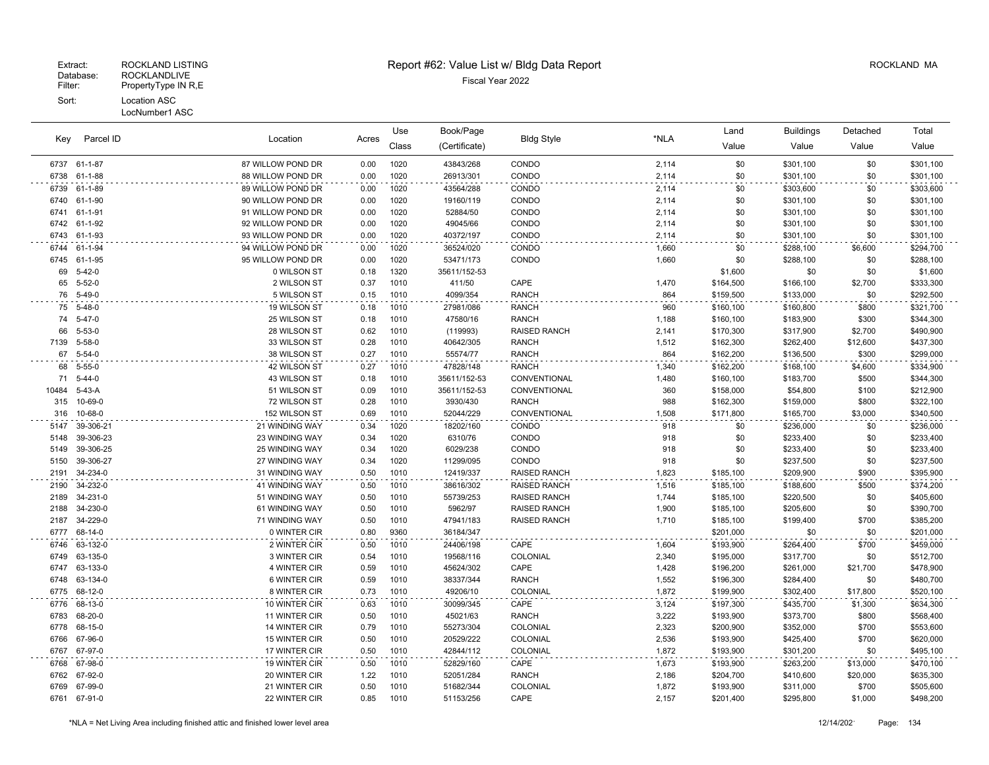|              |                    |                                | Use          | Book/Page    |               |                     | Land           | <b>Buildings</b> | Detached  | Total    |           |
|--------------|--------------------|--------------------------------|--------------|--------------|---------------|---------------------|----------------|------------------|-----------|----------|-----------|
| Kev          | Parcel ID          | Location                       | Acres        | Class        | (Certificate) | <b>Bldg Style</b>   | *NLA           | Value            | Value     | Value    | Value     |
|              | 6737 61-1-87       | 87 WILLOW POND DR              | 0.00         | 1020         | 43843/268     | CONDO               | 2,114          | \$0              | \$301,100 | \$0      | \$301,100 |
| 6738         | 61-1-88            | 88 WILLOW POND DR              | 0.00         | 1020         | 26913/301     | CONDO               | 2,114          | \$0              | \$301,100 | \$0      | \$301,100 |
| 6739         | 61-1-89            | 89 WILLOW POND DR              | 0.00         | 1020         | 43564/288     | CONDO               | 2,114          | \$0              | \$303,600 | \$0      | \$303,600 |
| 6740         | 61-1-90            | 90 WILLOW POND DR              | 0.00         | 1020         | 19160/119     | CONDO               | 2,114          | \$0              | \$301,100 | \$0      | \$301,100 |
| 6741         | 61-1-91            | 91 WILLOW POND DR              | 0.00         | 1020         | 52884/50      | CONDO               | 2,114          | \$0              | \$301,100 | \$0      | \$301,100 |
| 6742         | 61-1-92            | 92 WILLOW POND DR              | 0.00         | 1020         | 49045/66      | CONDO               | 2,114          | \$0              | \$301,100 | \$0      | \$301,100 |
| 6743         | 61-1-93            | 93 WILLOW POND DR              | 0.00         | 1020         | 40372/197     | CONDO               | 2,114          | \$0              | \$301,100 | \$0      | \$301,100 |
| 6744         | 61-1-94            | 94 WILLOW POND DR              | 0.00         | 1020         | 36524/020     | CONDO               | 1,660          | \$0              | \$288,100 | \$6,600  | \$294,700 |
| 6745         | 61-1-95            | 95 WILLOW POND DR              | 0.00         | 1020         | 53471/173     | CONDO               | 1,660          | \$0              | \$288,100 | \$0      | \$288,100 |
| 69           | $5 - 42 - 0$       | 0 WILSON ST                    | 0.18         | 1320         | 35611/152-53  |                     |                | \$1,600          | \$0       | \$0      | \$1,600   |
| 65           | $5 - 52 - 0$       | 2 WILSON ST                    | 0.37         | 1010         | 411/50        | CAPE                | 1,470          | \$164,500        | \$166,100 | \$2,700  | \$333,300 |
| 76           | 5-49-0             | 5 WILSON ST                    | 0.15         | 1010         | 4099/354      | <b>RANCH</b>        | 864            | \$159,500        | \$133,000 | \$0      | \$292,500 |
| 75           | 5-48-0             | 19 WILSON ST                   | 0.18         | 1010         | 27981/086     | <b>RANCH</b>        | 960            | \$160,100        | \$160,800 | \$800    | \$321,700 |
| 74           | $5 - 47 - 0$       | 25 WILSON ST                   | 0.18         | 1010         | 47580/16      | <b>RANCH</b>        | 1,188          | \$160,100        | \$183,900 | \$300    | \$344,300 |
| 66           | $5 - 53 - 0$       | 28 WILSON ST                   | 0.62         | 1010         | (119993)      | <b>RAISED RANCH</b> | 2,141          | \$170,300        | \$317,900 | \$2,700  | \$490,900 |
| 7139         | $5 - 58 - 0$       | 33 WILSON ST                   | 0.28         | 1010         | 40642/305     | <b>RANCH</b>        | 1,512          | \$162,300        | \$262,400 | \$12,600 | \$437,300 |
| 67           | $5 - 54 - 0$       | 38 WILSON ST                   | 0.27         | 1010         | 55574/77      | <b>RANCH</b>        | 864            | \$162,200        | \$136,500 | \$300    | \$299,000 |
| 68           | 5-55-0             | 42 WILSON ST                   | 0.27         | 1010         | 47828/148     | <b>RANCH</b>        | 1,340          | \$162,200        | \$168,100 | \$4,600  | \$334,900 |
| 71           | $5 - 44 - 0$       | 43 WILSON ST                   | 0.18         | 1010         | 35611/152-53  | CONVENTIONAL        | 1,480          | \$160,100        | \$183,700 | \$500    | \$344,300 |
| 10484        | $5-43-A$           | 51 WILSON ST                   | 0.09         | 1010         | 35611/152-53  | CONVENTIONAL        | 360            | \$158,000        | \$54,800  | \$100    | \$212,900 |
| 315          | 10-69-0            | 72 WILSON ST                   | 0.28         | 1010         | 3930/430      | <b>RANCH</b>        | 988            | \$162,300        | \$159,000 | \$800    | \$322,100 |
| 316          | 10-68-0            | 152 WILSON ST                  | 0.69         | 1010         | 52044/229     | CONVENTIONAL        | 1,508          | \$171,800        | \$165,700 | \$3,000  | \$340,500 |
| 5147         | 39-306-21          | 21 WINDING WAY                 | 0.34         | 1020         | 18202/160     | CONDO               | 918            | \$0              | \$236,000 | \$0      | \$236,000 |
| 5148         | 39-306-23          | 23 WINDING WAY                 | 0.34         | 1020         | 6310/76       | CONDO               | 918            | \$0              | \$233,400 | \$0      | \$233,400 |
| 5149         | 39-306-25          | <b>25 WINDING WAY</b>          | 0.34         | 1020         | 6029/238      | CONDO               | 918            | \$0              | \$233,400 | \$0      | \$233,400 |
| 5150         | 39-306-27          | 27 WINDING WAY                 | 0.34         | 1020         | 11299/095     | CONDO               | 918            | \$0              | \$237,500 | \$0      | \$237,500 |
| 2191         | 34-234-0           | <b>31 WINDING WAY</b>          | 0.50         | 1010         | 12419/337     | <b>RAISED RANCH</b> | 1,823          | \$185,100        | \$209,900 | \$900    | \$395,900 |
| 2190         | 34-232-0           | 41 WINDING WAY                 | 0.50         | 1010         | 38616/302     | <b>RAISED RANCH</b> | 1,516          | \$185,100        | \$188,600 | \$500    | \$374,200 |
| 2189         | 34-231-0           | 51 WINDING WAY                 | 0.50         | 1010         | 55739/253     | <b>RAISED RANCH</b> | 1,744          | \$185,100        | \$220,500 | \$0      | \$405,600 |
| 2188         | 34-230-0           | 61 WINDING WAY                 | 0.50         | 1010         | 5962/97       | <b>RAISED RANCH</b> | 1,900          | \$185,100        | \$205,600 | \$0      | \$390,700 |
| 2187         | 34-229-0           | 71 WINDING WAY                 | 0.50         | 1010         | 47941/183     | <b>RAISED RANCH</b> | 1,710          | \$185,100        | \$199,400 | \$700    | \$385,200 |
| 6777         | 68-14-0            | 0 WINTER CIR                   | 0.80         | 9360         | 36184/347     |                     |                | \$201,000        | \$0       | \$0      | \$201,000 |
| 6746         | 63-132-0           | 2 WINTER CIR                   | 0.50         | 1010         | 24406/198     | CAPE                | 1,604          | \$193,900        | \$264,400 | \$700    | \$459,000 |
| 6749         | 63-135-0           | 3 WINTER CIR                   | 0.54         | 1010         | 19568/116     | COLONIAL            | 2,340          | \$195,000        | \$317,700 | \$0      | \$512,700 |
| 6747         | 63-133-0           | 4 WINTER CIR                   | 0.59         | 1010         | 45624/302     | CAPE                | 1,428          | \$196,200        | \$261,000 | \$21,700 | \$478,900 |
| 6748         | 63-134-0           | 6 WINTER CIR                   | 0.59         | 1010         | 38337/344     | <b>RANCH</b>        | 1,552          | \$196,300        | \$284,400 | \$0      | \$480,700 |
| 6775         | 68-12-0            | 8 WINTER CIR                   | 0.73         | 1010         | 49206/10      | COLONIAL            | 1,872          | \$199,900        | \$302,400 | \$17,800 | \$520,100 |
| 6776         | 68-13-0            | 10 WINTER CIR                  | 0.63         | 1010         | 30099/345     | CAPE                | 3,124          | \$197,300        | \$435,700 | \$1,300  | \$634,300 |
| 6783         | 68-20-0            | 11 WINTER CIR                  | 0.50         | 1010         | 45021/63      | <b>RANCH</b>        | 3,222          | \$193,900        | \$373,700 | \$800    | \$568,400 |
| 6778         | 68-15-0            | 14 WINTER CIR                  | 0.79         | 1010         | 55273/304     | COLONIAL            | 2,323          | \$200,900        | \$352,000 | \$700    | \$553,600 |
| 6766         | 67-96-0            | 15 WINTER CIR                  | 0.50         | 1010         | 20529/222     | COLONIAL            | 2,536          | \$193,900        | \$425,400 | \$700    | \$620,000 |
| 6767         | 67-97-0            | 17 WINTER CIR                  | 0.50         | 1010         | 42844/112     | <b>COLONIAL</b>     | 1,872          | \$193,900        | \$301,200 | \$0      | \$495,100 |
| 6768         | 67-98-0            | 19 WINTER CIR                  | 0.50         | 1010         | 52829/160     | CAPE                | 1,673          | \$193,900        | \$263,200 | \$13,000 | \$470,100 |
| 6762         | 67-92-0            | 20 WINTER CIR                  | 1.22         | 1010         | 52051/284     | <b>RANCH</b>        | 2,186          | \$204,700        | \$410,600 | \$20,000 | \$635,300 |
| 6769<br>6761 | 67-99-0<br>67-91-0 | 21 WINTER CIR<br>22 WINTER CIR | 0.50<br>0.85 | 1010<br>1010 | 51682/344     | COLONIAL<br>CAPE    | 1,872<br>2,157 | \$193,900        | \$311,000 | \$700    | \$505,600 |
|              |                    |                                |              |              | 51153/256     |                     |                | \$201,400        | \$295,800 | \$1,000  | \$498,200 |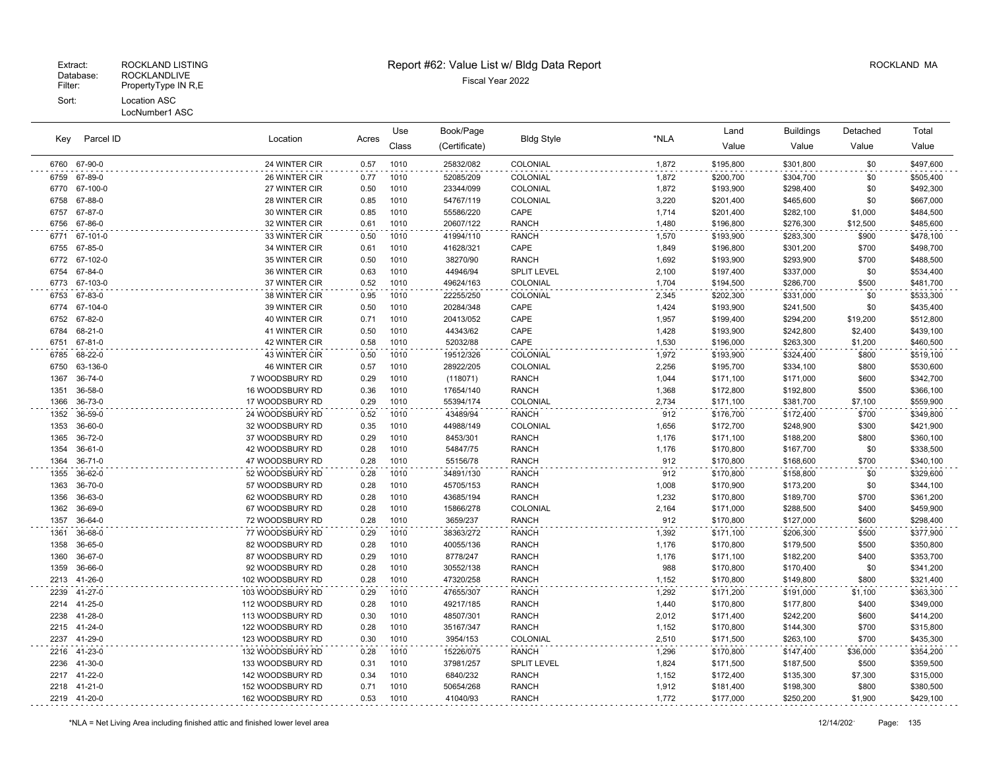|              | Parcel ID           |                                |              | Use          | Book/Page              | <b>Bldg Style</b>    |                | Land                   | <b>Buildings</b>       | Detached       | Total                  |
|--------------|---------------------|--------------------------------|--------------|--------------|------------------------|----------------------|----------------|------------------------|------------------------|----------------|------------------------|
| Key          |                     | Location                       | Acres        | Class        | (Certificate)          |                      | *NLA           | Value                  | Value                  | Value          | Value                  |
| 6760         | 67-90-0             | 24 WINTER CIR                  | 0.57         | 1010         | 25832/082              | COLONIAL             | 1,872          | \$195,800              | \$301,800              | \$0            | \$497,600              |
| 6759         | 67-89-0             | 26 WINTER CIR                  | 0.77         | 1010         | 52085/209              | COLONIAL             | 1,872          | \$200,700              | \$304,700              | \$0            | \$505,400              |
| 6770         | 67-100-0            | 27 WINTER CIR                  | 0.50         | 1010         | 23344/099              | COLONIAL             | 1,872          | \$193,900              | \$298,400              | \$0            | \$492,300              |
| 6758         | 67-88-0             | 28 WINTER CIR                  | 0.85         | 1010         | 54767/119              | COLONIAL             | 3,220          | \$201,400              | \$465,600              | \$0            | \$667,000              |
| 6757         | 67-87-0             | 30 WINTER CIR                  | 0.85         | 1010         | 55586/220              | CAPE                 | 1,714          | \$201,400              | \$282,100              | \$1,000        | \$484,500              |
| 6756         | 67-86-0             | 32 WINTER CIR                  | 0.61         | 1010         | 20607/122              | <b>RANCH</b>         | 1,480          | \$196,800              | \$276,300              | \$12,500       | \$485,600              |
| 6771         | 67-101-0            | 33 WINTER CIR                  | 0.50         | 1010         | 41994/110              | <b>RANCH</b>         | 1,570          | \$193,900              | \$283,300              | \$900          | \$478,100              |
| 6755         | 67-85-0             | 34 WINTER CIR                  | 0.61         | 1010         | 41628/321              | CAPE                 | 1,849          | \$196,800              | \$301,200              | \$700          | \$498,700              |
| 6772         | 67-102-0            | 35 WINTER CIR                  | 0.50         | 1010         | 38270/90               | <b>RANCH</b>         | 1,692          | \$193,900              | \$293,900              | \$700          | \$488,500              |
| 6754         | 67-84-0             | 36 WINTER CIR                  | 0.63         | 1010         | 44946/94               | <b>SPLIT LEVEL</b>   | 2,100          | \$197,400              | \$337,000              | \$0            | \$534,400              |
| 6773         | 67-103-0            | 37 WINTER CIR                  | 0.52         | 1010         | 49624/163              | COLONIAL             | 1,704          | \$194,500              | \$286,700              | \$500          | \$481,700              |
| 6753         | 67-83-0             | 38 WINTER CIR                  | 0.95         | 1010         | 22255/250              | COLONIAL             | 2,345          | \$202,300              | \$331,000              | \$0            | \$533,300              |
| 6774         | 67-104-0            | 39 WINTER CIR                  | 0.50         | 1010         | 20284/348              | CAPE                 | 1,424          | \$193,900              | \$241,500              | \$0            | \$435,400              |
| 6752         | 67-82-0             | 40 WINTER CIR                  | 0.71         | 1010         | 20413/052              | CAPE                 | 1,957          | \$199,400              | \$294,200              | \$19,200       | \$512,800              |
| 6784         | 68-21-0             | 41 WINTER CIR                  | 0.50         | 1010         | 44343/62               | CAPE                 | 1,428          | \$193,900              | \$242,800              | \$2,400        | \$439,100              |
| 6751         | 67-81-0             | 42 WINTER CIR                  | 0.58         | 1010         | 52032/88               | CAPE                 | 1,530          | \$196,000              | \$263,300              | \$1,200        | \$460,500              |
| 6785<br>6750 | 68-22-0<br>63-136-0 | 43 WINTER CIR<br>46 WINTER CIR | 0.50         | 1010<br>1010 | 19512/326<br>28922/205 | COLONIAL<br>COLONIAL | 1,972<br>2,256 | \$193,900<br>\$195,700 | \$324,400<br>\$334,100 | \$800<br>\$800 | \$519,100<br>\$530,600 |
| 1367         | 36-74-0             | 7 WOODSBURY RD                 | 0.57<br>0.29 | 1010         | (118071)               | <b>RANCH</b>         | 1,044          | \$171,100              | \$171,000              | \$600          | \$342,700              |
| 1351         | 36-58-0             | 16 WOODSBURY RD                | 0.36         | 1010         | 17654/140              | <b>RANCH</b>         | 1,368          | \$172,800              | \$192,800              | \$500          | \$366,100              |
| 1366         | 36-73-0             | 17 WOODSBURY RD                | 0.29         | 1010         | 55394/174              | COLONIAL             | 2,734          | \$171,100              | \$381,700              | \$7,100        | \$559,900              |
| 1352         | 36-59-0             | 24 WOODSBURY RD                | 0.52         | 1010         | 43489/94               | <b>RANCH</b>         | 912            | \$176,700              | \$172,400              | \$700          | \$349,800              |
| 1353         | 36-60-0             | 32 WOODSBURY RD                | 0.35         | 1010         | 44988/149              | COLONIAL             | 1,656          | \$172,700              | \$248,900              | \$300          | \$421,900              |
| 1365         | 36-72-0             | 37 WOODSBURY RD                | 0.29         | 1010         | 8453/301               | <b>RANCH</b>         | 1,176          | \$171,100              | \$188,200              | \$800          | \$360,100              |
| 1354         | 36-61-0             | 42 WOODSBURY RD                | 0.28         | 1010         | 54847/75               | <b>RANCH</b>         | 1,176          | \$170,800              | \$167,700              | \$0            | \$338,500              |
| 1364         | $36 - 71 - 0$       | 47 WOODSBURY RD                | 0.28         | 1010         | 55156/78               | <b>RANCH</b>         | 912            | \$170,800              | \$168,600              | \$700          | \$340,100              |
| 1355         | 36-62-0             | 52 WOODSBURY RD                | 0.28         | 1010         | 34891/130              | <b>RANCH</b>         | 912            | \$170,800              | \$158,800              | \$0            | \$329,600              |
| 1363         | 36-70-0             | 57 WOODSBURY RD                | 0.28         | 1010         | 45705/153              | <b>RANCH</b>         | 1,008          | \$170,900              | \$173,200              | \$0            | \$344,100              |
| 1356         | 36-63-0             | 62 WOODSBURY RD                | 0.28         | 1010         | 43685/194              | <b>RANCH</b>         | 1,232          | \$170,800              | \$189,700              | \$700          | \$361,200              |
| 1362         | 36-69-0             | 67 WOODSBURY RD                | 0.28         | 1010         | 15866/278              | COLONIAL             | 2,164          | \$171,000              | \$288,500              | \$400          | \$459,900              |
| 1357         | 36-64-0             | 72 WOODSBURY RD                | 0.28         | 1010         | 3659/237               | <b>RANCH</b>         | 912            | \$170,800              | \$127,000              | \$600          | \$298,400              |
| 1361         | 36-68-0             | 77 WOODSBURY RD                | 0.29         | 1010         | 38363/272              | <b>RANCH</b>         | 1,392          | \$171,100              | \$206,300              | \$500          | \$377,900              |
| 1358         | 36-65-0             | 82 WOODSBURY RD                | 0.28         | 1010         | 40055/136              | <b>RANCH</b>         | 1,176          | \$170,800              | \$179,500              | \$500          | \$350,800              |
| 1360         | 36-67-0             | 87 WOODSBURY RD                | 0.29         | 1010         | 8778/247               | <b>RANCH</b>         | 1,176          | \$171,100              | \$182,200              | \$400          | \$353,700              |
| 1359         | 36-66-0             | 92 WOODSBURY RD                | 0.28         | 1010         | 30552/138              | <b>RANCH</b>         | 988            | \$170,800              | \$170,400              | \$0            | \$341,200              |
| 2213         | 41-26-0             | 102 WOODSBURY RD               | 0.28         | 1010         | 47320/258              | <b>RANCH</b>         | 1,152          | \$170,800              | \$149,800              | \$800          | \$321,400              |
| 2239         | 41-27-0             | 103 WOODSBURY RD               | 0.29         | 1010         | 47655/307              | <b>RANCH</b>         | 1,292          | \$171,200              | \$191,000              | \$1,100        | \$363,300              |
| 2214         | 41-25-0             | 112 WOODSBURY RD               | 0.28         | 1010         | 49217/185              | <b>RANCH</b>         | 1,440          | \$170,800              | \$177,800              | \$400          | \$349,000              |
| 2238         | 41-28-0             | 113 WOODSBURY RD               | 0.30         | 1010         | 48507/301              | <b>RANCH</b>         | 2,012          | \$171,400              | \$242,200              | \$600          | \$414,200              |
| 2215         | 41-24-0             | 122 WOODSBURY RD               | 0.28         | 1010         | 35167/347              | <b>RANCH</b>         | 1,152          | \$170,800              | \$144,300              | \$700          | \$315,800              |
| 2237         | 41-29-0             | 123 WOODSBURY RD               | 0.30         | 1010         | 3954/153               | COLONIAL             | 2,510          | \$171,500              | \$263,100              | \$700          | \$435,300              |
| 2216         | 41-23-0             | 132 WOODSBURY RD               | 0.28         | 1010         | 15226/075              | <b>RANCH</b>         | 1,296          | \$170,800              | \$147,400              | \$36,000       | \$354,200              |
| 2236         | 41-30-0             | 133 WOODSBURY RD               | 0.31         | 1010         | 37981/257              | <b>SPLIT LEVEL</b>   | 1,824          | \$171,500              | \$187,500              | \$500          | \$359,500              |
| 2217         | 41-22-0             | 142 WOODSBURY RD               | 0.34         | 1010         | 6840/232               | <b>RANCH</b>         | 1,152          | \$172,400              | \$135,300              | \$7,300        | \$315,000              |
| 2218         | 41-21-0             | 152 WOODSBURY RD               | 0.71         | 1010         | 50654/268              | <b>RANCH</b>         | 1,912          | \$181,400              | \$198,300              | \$800          | \$380,500              |
|              | 2219 41-20-0        | 162 WOODSBURY RD               | 0.53         | 1010         | 41040/93               | <b>RANCH</b>         | 1,772          | \$177,000              | \$250,200              | \$1,900        | \$429,100              |